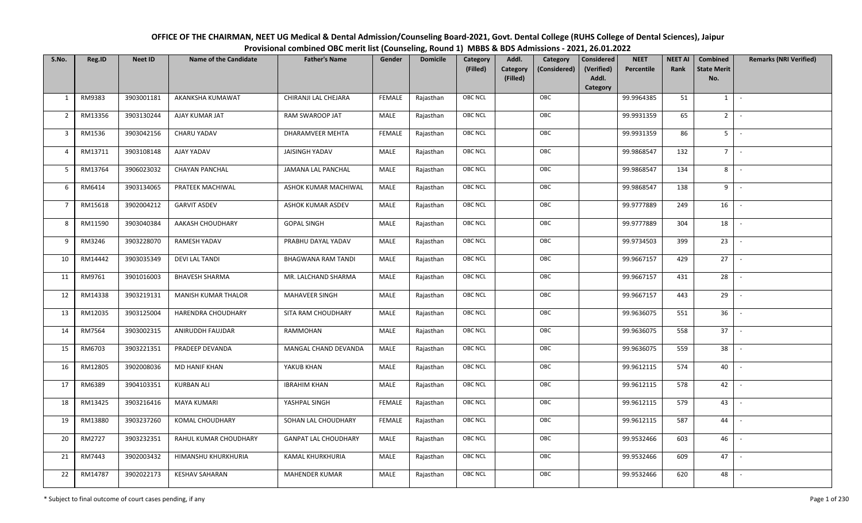| OFFICE OF THE CHAIRMAN, NEET UG Medical & Dental Admission/Counseling Board-2021, Govt. Dental College (RUHS College of Dental Sciences), Jaipur |
|--------------------------------------------------------------------------------------------------------------------------------------------------|
| Provisional combined OBC merit list (Counseling, Round 1) MBBS & BDS Admissions - 2021, 26.01.2022                                               |

| S.No.          | Reg.ID  | <b>Neet ID</b> | <b>Name of the Candidate</b> | <b>Father's Name</b>        | Gender        | <b>Domicile</b> | Category<br>(Filled) | Addl.<br><b>Category</b><br>(Filled) | Category<br>(Considered) | Considered<br>(Verified)<br>Addl. | <b>NEET</b><br>Percentile | <b>NEET AI</b><br>Rank | Combined<br><b>State Merit</b><br>No. | <b>Remarks (NRI Verified)</b> |
|----------------|---------|----------------|------------------------------|-----------------------------|---------------|-----------------|----------------------|--------------------------------------|--------------------------|-----------------------------------|---------------------------|------------------------|---------------------------------------|-------------------------------|
|                |         |                |                              |                             |               |                 |                      |                                      |                          | Category                          |                           |                        |                                       |                               |
| 1              | RM9383  | 3903001181     | AKANKSHA KUMAWAT             | CHIRANJI LAL CHEJARA        | <b>FEMALE</b> | Rajasthan       | <b>OBC NCL</b>       |                                      | OBC                      |                                   | 99.9964385                | 51                     | 1                                     | $\sim$                        |
| $\overline{2}$ | RM13356 | 3903130244     | AJAY KUMAR JAT               | RAM SWAROOP JAT             | MALE          | Rajasthan       | <b>OBC NCL</b>       |                                      | OBC                      |                                   | 99.9931359                | 65                     | $2^{\circ}$                           |                               |
| 3              | RM1536  | 3903042156     | CHARU YADAV                  | DHARAMVEER MEHTA            | <b>FEMALE</b> | Rajasthan       | OBC NCL              |                                      | OBC                      |                                   | 99.9931359                | 86                     | 5 <sub>1</sub>                        | $\sim$                        |
| $\overline{4}$ | RM13711 | 3903108148     | AJAY YADAV                   | JAISINGH YADAV              | MALE          | Rajasthan       | OBC NCL              |                                      | OBC                      |                                   | 99.9868547                | 132                    | $7^{\circ}$                           | $\sim$                        |
| 5              | RM13764 | 3906023032     | <b>CHAYAN PANCHAL</b>        | JAMANA LAL PANCHAL          | MALE          | Rajasthan       | <b>OBC NCL</b>       |                                      | OBC                      |                                   | 99.9868547                | 134                    | 8                                     | $\sim$                        |
| 6              | RM6414  | 3903134065     | PRATEEK MACHIWAL             | ASHOK KUMAR MACHIWAL        | MALE          | Rajasthan       | <b>OBC NCL</b>       |                                      | OBC                      |                                   | 99.9868547                | 138                    | 9                                     | $\sim$                        |
| $\overline{7}$ | RM15618 | 3902004212     | <b>GARVIT ASDEV</b>          | ASHOK KUMAR ASDEV           | MALE          | Rajasthan       | OBC NCL              |                                      | OBC                      |                                   | 99.9777889                | 249                    | 16                                    | $\overline{\phantom{a}}$      |
| 8              | RM11590 | 3903040384     | AAKASH CHOUDHARY             | <b>GOPAL SINGH</b>          | MALE          | Rajasthan       | <b>OBC NCL</b>       |                                      | OBC                      |                                   | 99.9777889                | 304                    | 18                                    |                               |
| 9              | RM3246  | 3903228070     | <b>RAMESH YADAV</b>          | PRABHU DAYAL YADAV          | MALE          | Rajasthan       | OBC NCL              |                                      | OBC                      |                                   | 99.9734503                | 399                    | 23                                    | $\overline{\phantom{a}}$      |
| 10             | RM14442 | 3903035349     | <b>DEVI LAL TANDI</b>        | <b>BHAGWANA RAM TANDI</b>   | <b>MALE</b>   | Rajasthan       | <b>OBC NCL</b>       |                                      | OBC                      |                                   | 99.9667157                | 429                    | 27                                    | $\overline{\phantom{a}}$      |
| 11             | RM9761  | 3901016003     | <b>BHAVESH SHARMA</b>        | MR. LALCHAND SHARMA         | MALE          | Rajasthan       | OBC NCL              |                                      | OBC                      |                                   | 99.9667157                | 431                    | 28                                    |                               |
| 12             | RM14338 | 3903219131     | <b>MANISH KUMAR THALOR</b>   | <b>MAHAVEER SINGH</b>       | MALE          | Rajasthan       | <b>OBC NCL</b>       |                                      | OBC                      |                                   | 99.9667157                | 443                    | 29                                    | $\overline{\phantom{a}}$      |
| 13             | RM12035 | 3903125004     | HARENDRA CHOUDHARY           | SITA RAM CHOUDHARY          | MALE          | Rajasthan       | OBC NCL              |                                      | OBC                      |                                   | 99.9636075                | 551                    | 36                                    |                               |
| 14             | RM7564  | 3903002315     | ANIRUDDH FAUJDAR             | RAMMOHAN                    | MALE          | Rajasthan       | OBC NCL              |                                      | OBC                      |                                   | 99.9636075                | 558                    | 37                                    | $\sim$                        |
| 15             | RM6703  | 3903221351     | PRADEEP DEVANDA              | MANGAL CHAND DEVANDA        | MALE          | Rajasthan       | OBC NCL              |                                      | OBC                      |                                   | 99.9636075                | 559                    | 38                                    | $\overline{\phantom{a}}$      |
| 16             | RM12805 | 3902008036     | <b>MD HANIF KHAN</b>         | YAKUB KHAN                  | MALE          | Rajasthan       | <b>OBC NCL</b>       |                                      | OBC                      |                                   | 99.9612115                | 574                    | 40                                    | $\sim$                        |
| 17             | RM6389  | 3904103351     | <b>KURBAN ALI</b>            | <b>IBRAHIM KHAN</b>         | MALE          | Rajasthan       | OBC NCL              |                                      | OBC                      |                                   | 99.9612115                | 578                    | 42                                    | $\sim$                        |
| 18             | RM13425 | 3903216416     | <b>MAYA KUMARI</b>           | YASHPAL SINGH               | <b>FEMALE</b> | Rajasthan       | <b>OBC NCL</b>       |                                      | OBC                      |                                   | 99.9612115                | 579                    | 43                                    |                               |
| 19             | RM13880 | 3903237260     | KOMAL CHOUDHARY              | SOHAN LAL CHOUDHARY         | <b>FEMALE</b> | Rajasthan       | OBC NCL              |                                      | OBC                      |                                   | 99.9612115                | 587                    | 44                                    | $\overline{\phantom{a}}$      |
| 20             | RM2727  | 3903232351     | RAHUL KUMAR CHOUDHARY        | <b>GANPAT LAL CHOUDHARY</b> | MALE          | Rajasthan       | OBC NCL              |                                      | OBC                      |                                   | 99.9532466                | 603                    | 46                                    | $\overline{\phantom{a}}$      |
| 21             | RM7443  | 3902003432     | HIMANSHU KHURKHURIA          | KAMAL KHURKHURIA            | MALE          | Rajasthan       | OBC NCL              |                                      | OBC                      |                                   | 99.9532466                | 609                    | 47                                    |                               |
| 22             | RM14787 | 3902022173     | <b>KESHAV SAHARAN</b>        | <b>MAHENDER KUMAR</b>       | MALE          | Rajasthan       | <b>OBC NCL</b>       |                                      | OBC                      |                                   | 99.9532466                | 620                    | 48                                    |                               |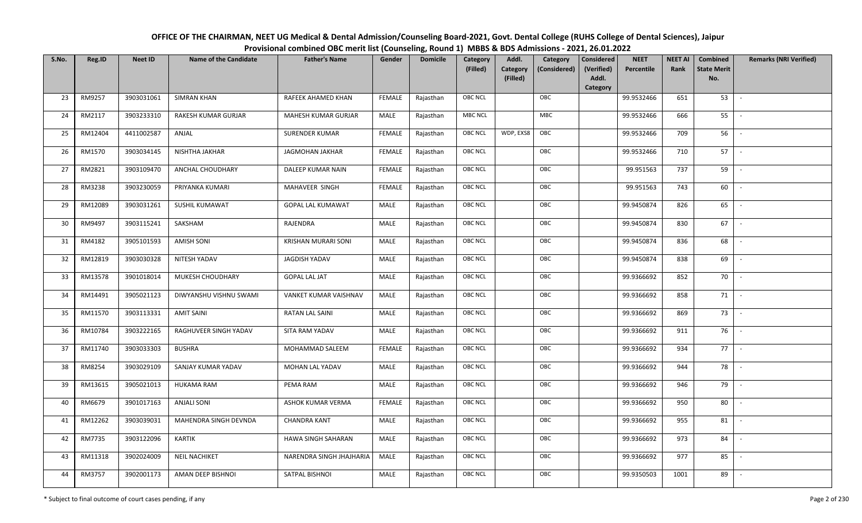OFFICE OF THE CHAIRMAN, NEET UG Medical & Dental Admission/Counseling Board-2021, Govt. Dental College (RUHS College of Dental Sciences), JaipurProvisional combined OBC merit list (Counseling, Round 1) MBBS & BDS Admissions - 2021, 26.01.2022

| S.No. | Reg.ID  | <b>Neet ID</b> | <b>Name of the Candidate</b> | <b>Father's Name</b>       | Gender        | <b>Domicile</b> | Category<br>(Filled) | Addl.                | Category     | Considered<br>(Verified) | <b>NEET</b> | <b>NEET AI</b><br>Rank | Combined<br><b>State Merit</b> | <b>Remarks (NRI Verified)</b> |
|-------|---------|----------------|------------------------------|----------------------------|---------------|-----------------|----------------------|----------------------|--------------|--------------------------|-------------|------------------------|--------------------------------|-------------------------------|
|       |         |                |                              |                            |               |                 |                      | Category<br>(Filled) | (Considered) | Addl.                    | Percentile  |                        | No.                            |                               |
|       |         |                |                              |                            |               |                 |                      |                      |              | Category                 |             |                        |                                |                               |
| 23    | RM9257  | 3903031061     | <b>SIMRAN KHAN</b>           | RAFEEK AHAMED KHAN         | FEMALE        | Rajasthan       | <b>OBC NCL</b>       |                      | OBC          |                          | 99.9532466  | 651                    | 53                             | $\overline{\phantom{a}}$      |
| 24    | RM2117  | 3903233310     | RAKESH KUMAR GURJAR          | MAHESH KUMAR GURJAR        | MALE          | Rajasthan       | MBC NCL              |                      | <b>MBC</b>   |                          | 99.9532466  | 666                    | 55                             |                               |
| 25    | RM12404 | 4411002587     | ANJAL                        | <b>SURENDER KUMAR</b>      | FEMALE        | Rajasthan       | OBC NCL              | WDP, EXS8            | OBC          |                          | 99.9532466  | 709                    | 56                             |                               |
| 26    | RM1570  | 3903034145     | NISHTHA JAKHAR               | JAGMOHAN JAKHAR            | <b>FEMALE</b> | Rajasthan       | OBC NCL              |                      | OBC          |                          | 99.9532466  | 710                    | 57                             | $\overline{\phantom{a}}$      |
| 27    | RM2821  | 3903109470     | ANCHAL CHOUDHARY             | DALEEP KUMAR NAIN          | <b>FEMALE</b> | Rajasthan       | OBC NCL              |                      | OBC          |                          | 99.951563   | 737                    | 59                             | $\sim$                        |
| 28    | RM3238  | 3903230059     | PRIYANKA KUMARI              | MAHAVEER SINGH             | <b>FEMALE</b> | Rajasthan       | OBC NCL              |                      | OBC          |                          | 99.951563   | 743                    | 60                             | $\sim$                        |
| 29    | RM12089 | 3903031261     | SUSHIL KUMAWAT               | <b>GOPAL LAL KUMAWAT</b>   | MALE          | Rajasthan       | OBC NCL              |                      | OBC          |                          | 99.9450874  | 826                    | 65                             | $\sim$                        |
| 30    | RM9497  | 3903115241     | SAKSHAM                      | RAJENDRA                   | MALE          | Rajasthan       | OBC NCL              |                      | OBC          |                          | 99.9450874  | 830                    | 67                             | $\overline{\phantom{a}}$      |
| 31    | RM4182  | 3905101593     | <b>AMISH SONI</b>            | <b>KRISHAN MURARI SONI</b> | MALE          | Rajasthan       | OBC NCL              |                      | OBC          |                          | 99.9450874  | 836                    | 68                             |                               |
| 32    | RM12819 | 3903030328     | NITESH YADAV                 | <b>JAGDISH YADAV</b>       | <b>MALE</b>   | Rajasthan       | OBC NCL              |                      | OBC          |                          | 99.9450874  | 838                    | 69                             | $\sim$                        |
| 33    | RM13578 | 3901018014     | MUKESH CHOUDHARY             | <b>GOPAL LAL JAT</b>       | MALE          | Rajasthan       | OBC NCL              |                      | OBC          |                          | 99.9366692  | 852                    | 70                             |                               |
| 34    | RM14491 | 3905021123     | DIWYANSHU VISHNU SWAMI       | VANKET KUMAR VAISHNAV      | MALE          | Rajasthan       | OBC NCL              |                      | OBC          |                          | 99.9366692  | 858                    | 71                             | $\sim$                        |
| 35    | RM11570 | 3903113331     | <b>AMIT SAINI</b>            | RATAN LAL SAINI            | MALE          | Rajasthan       | OBC NCL              |                      | OBC          |                          | 99.9366692  | 869                    | 73                             |                               |
| 36    | RM10784 | 3903222165     | RAGHUVEER SINGH YADAV        | SITA RAM YADAV             | MALE          | Rajasthan       | OBC NCL              |                      | OBC          |                          | 99.9366692  | 911                    | 76                             | $\sim$                        |
| 37    | RM11740 | 3903033303     | <b>BUSHRA</b>                | MOHAMMAD SALEEM            | <b>FEMALE</b> | Rajasthan       | OBC NCL              |                      | OBC          |                          | 99.9366692  | 934                    | 77                             | $\sim$                        |
| 38    | RM8254  | 3903029109     | SANJAY KUMAR YADAV           | MOHAN LAL YADAV            | MALE          | Rajasthan       | OBC NCL              |                      | OBC          |                          | 99.9366692  | 944                    | 78                             | $\overline{\phantom{a}}$      |
| 39    | RM13615 | 3905021013     | HUKAMA RAM                   | PEMA RAM                   | MALE          | Rajasthan       | OBC NCL              |                      | OBC          |                          | 99.9366692  | 946                    | 79                             | $\overline{\phantom{a}}$      |
| 40    | RM6679  | 3901017163     | <b>ANJALI SONI</b>           | ASHOK KUMAR VERMA          | <b>FEMALE</b> | Rajasthan       | OBC NCL              |                      | OBC          |                          | 99.9366692  | 950                    | 80                             | $\overline{\phantom{a}}$      |
| 41    | RM12262 | 3903039031     | MAHENDRA SINGH DEVNDA        | <b>CHANDRA KANT</b>        | MALE          | Rajasthan       | OBC NCL              |                      | OBC          |                          | 99.9366692  | 955                    | 81                             |                               |
| 42    | RM7735  | 3903122096     | <b>KARTIK</b>                | HAWA SINGH SAHARAN         | MALE          | Rajasthan       | OBC NCL              |                      | OBC          |                          | 99.9366692  | 973                    | 84                             | $\overline{\phantom{a}}$      |
| 43    | RM11318 | 3902024009     | NEIL NACHIKET                | NARENDRA SINGH JHAJHARIA   | MALE          | Rajasthan       | OBC NCL              |                      | OBC          |                          | 99.9366692  | 977                    | 85                             |                               |
| 44    | RM3757  | 3902001173     | AMAN DEEP BISHNOI            | SATPAL BISHNOI             | MALE          | Rajasthan       | OBC NCL              |                      | OBC          |                          | 99.9350503  | 1001                   | 89                             |                               |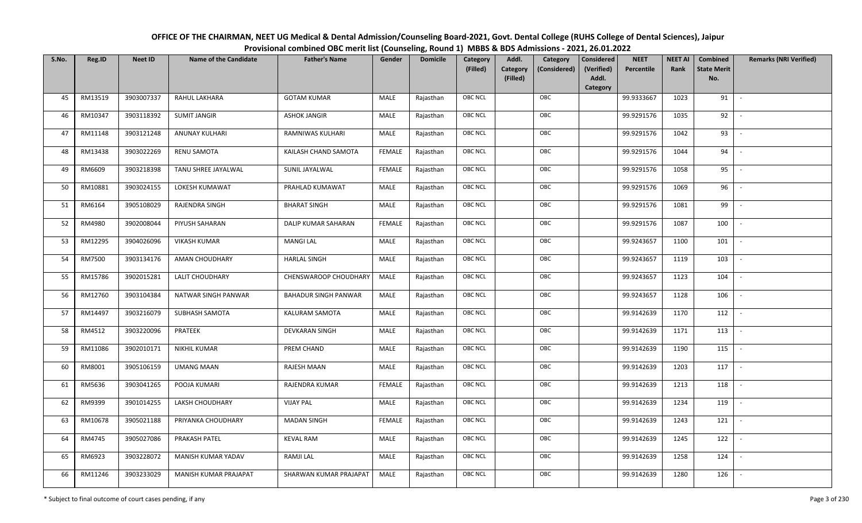| OFFICE OF THE CHAIRMAN, NEET UG Medical & Dental Admission/Counseling Board-2021, Govt. Dental College (RUHS College of Dental Sciences), Jaipur |
|--------------------------------------------------------------------------------------------------------------------------------------------------|
| Provisional combined OBC merit list (Counseling, Round 1) MBBS & BDS Admissions - 2021, 26.01.2022                                               |

| S.No. | Reg.ID  | <b>Neet ID</b> | <b>Name of the Candidate</b> | <b>Father's Name</b>        | Gender        | <b>Domicile</b> | Category<br>(Filled) | Addl.<br>Category<br>(Filled) | Category<br>(Considered) | <b>Considered</b><br>(Verified)<br>Addl. | <b>NEET</b><br>Percentile | <b>NEET AI</b><br>Rank | Combined<br><b>State Merit</b><br>No. | <b>Remarks (NRI Verified)</b> |
|-------|---------|----------------|------------------------------|-----------------------------|---------------|-----------------|----------------------|-------------------------------|--------------------------|------------------------------------------|---------------------------|------------------------|---------------------------------------|-------------------------------|
|       |         |                |                              |                             |               |                 |                      |                               |                          | Category                                 |                           |                        |                                       |                               |
| 45    | RM13519 | 3903007337     | RAHUL LAKHARA                | <b>GOTAM KUMAR</b>          | MALE          | Rajasthan       | OBC NCL              |                               | OBC                      |                                          | 99.9333667                | 1023                   | 91                                    | $\overline{\phantom{a}}$      |
| 46    | RM10347 | 3903118392     | <b>SUMIT JANGIR</b>          | <b>ASHOK JANGIR</b>         | MALE          | Rajasthan       | OBC NCL              |                               | OBC                      |                                          | 99.9291576                | 1035                   | 92                                    |                               |
| 47    | RM11148 | 3903121248     | ANUNAY KULHARI               | RAMNIWAS KULHARI            | MALE          | Rajasthan       | <b>OBC NCL</b>       |                               | OBC                      |                                          | 99.9291576                | 1042                   | 93                                    | $\sim$                        |
| 48    | RM13438 | 3903022269     | RENU SAMOTA                  | KAILASH CHAND SAMOTA        | <b>FEMALE</b> | Rajasthan       | OBC NCL              |                               | OBC                      |                                          | 99.9291576                | 1044                   | 94                                    | $\overline{\phantom{a}}$      |
| 49    | RM6609  | 3903218398     | TANU SHREE JAYALWAL          | SUNIL JAYALWAL              | <b>FEMALE</b> | Rajasthan       | OBC NCL              |                               | OBC                      |                                          | 99.9291576                | 1058                   | 95                                    | $\sim$                        |
| 50    | RM10881 | 3903024155     | LOKESH KUMAWAT               | PRAHLAD KUMAWAT             | MALE          | Rajasthan       | OBC NCL              |                               | OBC                      |                                          | 99.9291576                | 1069                   | 96                                    | $\sim$                        |
| 51    | RM6164  | 3905108029     | RAJENDRA SINGH               | <b>BHARAT SINGH</b>         | MALE          | Rajasthan       | OBC NCL              |                               | OBC                      |                                          | 99.9291576                | 1081                   | 99                                    |                               |
| 52    | RM4980  | 3902008044     | PIYUSH SAHARAN               | DALIP KUMAR SAHARAN         | <b>FEMALE</b> | Rajasthan       | <b>OBC NCL</b>       |                               | OBC                      |                                          | 99.9291576                | 1087                   | 100                                   |                               |
| 53    | RM12295 | 3904026096     | <b>VIKASH KUMAR</b>          | <b>MANGI LAL</b>            | MALE          | Rajasthan       | OBC NCL              |                               | OBC                      |                                          | 99.9243657                | 1100                   | 101                                   |                               |
| 54    | RM7500  | 3903134176     | <b>AMAN CHOUDHARY</b>        | <b>HARLAL SINGH</b>         | MALE          | Rajasthan       | OBC NCL              |                               | OBC                      |                                          | 99.9243657                | 1119                   | 103                                   |                               |
| 55    | RM15786 | 3902015281     | LALIT CHOUDHARY              | CHENSWAROOP CHOUDHARY       | MALE          | Rajasthan       | OBC NCL              |                               | OBC                      |                                          | 99.9243657                | 1123                   | 104                                   |                               |
| 56    | RM12760 | 3903104384     | NATWAR SINGH PANWAR          | <b>BAHADUR SINGH PANWAR</b> | MALE          | Rajasthan       | OBC NCL              |                               | OBC                      |                                          | 99.9243657                | 1128                   | 106                                   | $\overline{\phantom{a}}$      |
| 57    | RM14497 | 3903216079     | SUBHASH SAMOTA               | KALURAM SAMOTA              | MALE          | Rajasthan       | OBC NCL              |                               | OBC                      |                                          | 99.9142639                | 1170                   | 112                                   |                               |
| 58    | RM4512  | 3903220096     | PRATEEK                      | <b>DEVKARAN SINGH</b>       | MALE          | Rajasthan       | OBC NCL              |                               | OBC                      |                                          | 99.9142639                | 1171                   | 113                                   | $\sim$                        |
| 59    | RM11086 | 3902010171     | <b>NIKHIL KUMAR</b>          | PREM CHAND                  | MALE          | Rajasthan       | OBC NCL              |                               | OBC                      |                                          | 99.9142639                | 1190                   | 115                                   | $\sim$                        |
| 60    | RM8001  | 3905106159     | <b>UMANG MAAN</b>            | RAJESH MAAN                 | MALE          | Rajasthan       | OBC NCL              |                               | OBC                      |                                          | 99.9142639                | 1203                   | 117                                   | $\sim$                        |
| 61    | RM5636  | 3903041265     | POOJA KUMARI                 | RAJENDRA KUMAR              | <b>FEMALE</b> | Rajasthan       | OBC NCL              |                               | OBC                      |                                          | 99.9142639                | 1213                   | 118                                   | $\sim$                        |
| 62    | RM9399  | 3901014255     | LAKSH CHOUDHARY              | <b>VIJAY PAL</b>            | MALE          | Rajasthan       | OBC NCL              |                               | OBC                      |                                          | 99.9142639                | 1234                   | 119                                   |                               |
| 63    | RM10678 | 3905021188     | PRIYANKA CHOUDHARY           | <b>MADAN SINGH</b>          | <b>FEMALE</b> | Rajasthan       | OBC NCL              |                               | OBC                      |                                          | 99.9142639                | 1243                   | 121                                   |                               |
| 64    | RM4745  | 3905027086     | PRAKASH PATEL                | <b>KEVAL RAM</b>            | MALE          | Rajasthan       | OBC NCL              |                               | OBC                      |                                          | 99.9142639                | 1245                   | 122                                   |                               |
| 65    | RM6923  | 3903228072     | MANISH KUMAR YADAV           | RAMJI LAL                   | MALE          | Rajasthan       | <b>OBC NCL</b>       |                               | OBC                      |                                          | 99.9142639                | 1258                   | 124                                   |                               |
| 66    | RM11246 | 3903233029     | MANISH KUMAR PRAJAPAT        | SHARWAN KUMAR PRAJAPAT      | MALE          | Rajasthan       | OBC NCL              |                               | OBC                      |                                          | 99.9142639                | 1280                   | 126                                   |                               |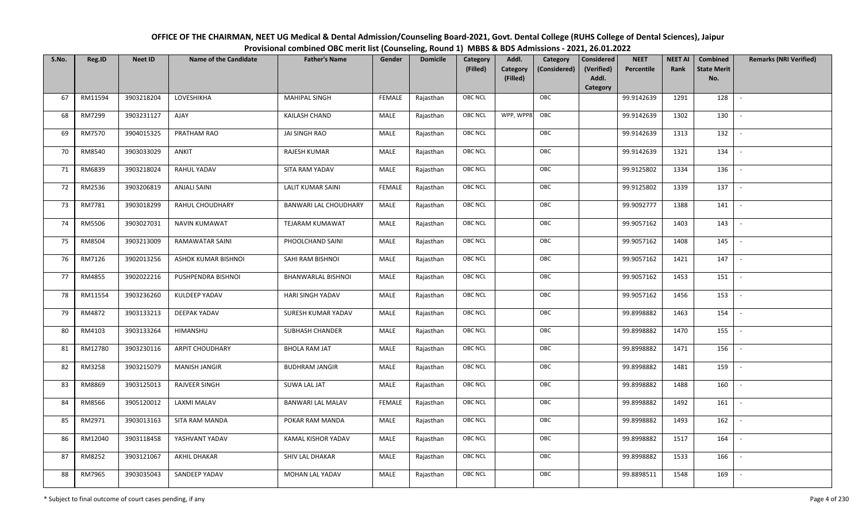| OFFICE OF THE CHAIRMAN, NEET UG Medical & Dental Admission/Counseling Board-2021, Govt. Dental College (RUHS College of Dental Sciences), Jaipur |
|--------------------------------------------------------------------------------------------------------------------------------------------------|
| Provisional combined OBC merit list (Counseling, Round 1) MBBS & BDS Admissions - 2021, 26.01.2022                                               |

| S.No. | Reg.ID  | <b>Neet ID</b> | <b>Name of the Candidate</b> | <b>Father's Name</b>         | Gender        | <b>Domicile</b> | Category       | Addl.                | Category     | <b>Considered</b>   | <b>NEET</b> | <b>NEET AI</b> | Combined                  | <b>Remarks (NRI Verified)</b> |
|-------|---------|----------------|------------------------------|------------------------------|---------------|-----------------|----------------|----------------------|--------------|---------------------|-------------|----------------|---------------------------|-------------------------------|
|       |         |                |                              |                              |               |                 | (Filled)       | Category<br>(Filled) | (Considered) | (Verified)<br>Addl. | Percentile  | Rank           | <b>State Merit</b><br>No. |                               |
|       |         |                |                              |                              |               |                 |                |                      |              | Category            |             |                |                           |                               |
| 67    | RM11594 | 3903218204     | LOVESHIKHA                   | <b>MAHIPAL SINGH</b>         | <b>FEMALE</b> | Rajasthan       | OBC NCL        |                      | OBC          |                     | 99.9142639  | 1291           | 128                       |                               |
| 68    | RM7299  | 3903231127     | <b>AJAY</b>                  | <b>KAILASH CHAND</b>         | MALE          | Rajasthan       | OBC NCL        | WPP, WPP8            | OBC          |                     | 99.9142639  | 1302           | 130                       |                               |
| 69    | RM7570  | 3904015325     | PRATHAM RAO                  | JAI SINGH RAO                | MALE          | Rajasthan       | OBC NCL        |                      | OBC          |                     | 99.9142639  | 1313           | 132                       | $\overline{\phantom{a}}$      |
| 70    | RM8540  | 3903033029     | ANKIT                        | RAJESH KUMAR                 | MALE          | Rajasthan       | OBC NCL        |                      | OBC          |                     | 99.9142639  | 1321           | 134                       | $\overline{\phantom{a}}$      |
| 71    | RM6839  | 3903218024     | RAHUL YADAV                  | SITA RAM YADAV               | MALE          | Rajasthan       | OBC NCL        |                      | OBC          |                     | 99.9125802  | 1334           | 136                       | $\sim$                        |
| 72    | RM2536  | 3903206819     | <b>ANJALI SAINI</b>          | <b>LALIT KUMAR SAINI</b>     | <b>FEMALE</b> | Rajasthan       | <b>OBC NCL</b> |                      | OBC          |                     | 99.9125802  | 1339           | 137                       | $\overline{\phantom{a}}$      |
| 73    | RM7781  | 3903018299     | RAHUL CHOUDHARY              | <b>BANWARI LAL CHOUDHARY</b> | MALE          | Rajasthan       | OBC NCL        |                      | OBC          |                     | 99.9092777  | 1388           | 141                       | $\overline{\phantom{a}}$      |
| 74    | RM5506  | 3903027031     | <b>NAVIN KUMAWAT</b>         | TEJARAM KUMAWAT              | MALE          | Rajasthan       | OBC NCL        |                      | OBC          |                     | 99.9057162  | 1403           | 143                       |                               |
| 75    | RM8504  | 3903213009     | RAMAWATAR SAINI              | PHOOLCHAND SAINI             | MALE          | Rajasthan       | OBC NCL        |                      | OBC          |                     | 99.9057162  | 1408           | 145                       |                               |
| 76    | RM7126  | 3902013256     | ASHOK KUMAR BISHNOI          | SAHI RAM BISHNOI             | MALE          | Rajasthan       | OBC NCL        |                      | OBC          |                     | 99.9057162  | 1421           | 147                       | $\sim$                        |
| 77    | RM4855  | 3902022216     | PUSHPENDRA BISHNOI           | <b>BHANWARLAL BISHNOI</b>    | MALE          | Rajasthan       | OBC NCL        |                      | OBC          |                     | 99.9057162  | 1453           | 151                       |                               |
| 78    | RM11554 | 3903236260     | KULDEEP YADAV                | HARI SINGH YADAV             | MALE          | Rajasthan       | OBC NCL        |                      | OBC          |                     | 99.9057162  | 1456           | 153                       | $\overline{\phantom{a}}$      |
| 79    | RM4872  | 3903133213     | DEEPAK YADAV                 | SURESH KUMAR YADAV           | MALE          | Rajasthan       | OBC NCL        |                      | OBC          |                     | 99.8998882  | 1463           | 154                       |                               |
| 80    | RM4103  | 3903133264     | HIMANSHU                     | <b>SUBHASH CHANDER</b>       | MALE          | Rajasthan       | OBC NCL        |                      | OBC          |                     | 99.8998882  | 1470           | 155                       | $\sim$                        |
| 81    | RM12780 | 3903230116     | <b>ARPIT CHOUDHARY</b>       | <b>BHOLA RAM JAT</b>         | MALE          | Rajasthan       | OBC NCL        |                      | OBC          |                     | 99.8998882  | 1471           | 156                       | $\sim$                        |
| 82    | RM3258  | 3903215079     | <b>MANISH JANGIR</b>         | <b>BUDHRAM JANGIR</b>        | MALE          | Rajasthan       | OBC NCL        |                      | OBC          |                     | 99.8998882  | 1481           | 159                       | $\sim$                        |
| 83    | RM8869  | 3903125013     | <b>RAJVEER SINGH</b>         | SUWA LAL JAT                 | MALE          | Rajasthan       | OBC NCL        |                      | OBC          |                     | 99.8998882  | 1488           | 160                       | $\overline{\phantom{a}}$      |
| 84    | RM8566  | 3905120012     | LAXMI MALAV                  | <b>BANWARI LAL MALAV</b>     | <b>FEMALE</b> | Rajasthan       | OBC NCL        |                      | OBC          |                     | 99.8998882  | 1492           | 161                       |                               |
| 85    | RM2971  | 3903013163     | SITA RAM MANDA               | POKAR RAM MANDA              | MALE          | Rajasthan       | OBC NCL        |                      | OBC          |                     | 99.8998882  | 1493           | 162                       |                               |
| 86    | RM12040 | 3903118458     | YASHVANT YADAV               | KAMAL KISHOR YADAV           | MALE          | Rajasthan       | OBC NCL        |                      | OBC          |                     | 99.8998882  | 1517           | 164                       |                               |
| 87    | RM8252  | 3903121067     | AKHIL DHAKAR                 | SHIV LAL DHAKAR              | MALE          | Rajasthan       | <b>OBC NCL</b> |                      | OBC          |                     | 99.8998882  | 1533           | 166                       |                               |
| 88    | RM7965  | 3903035043     | SANDEEP YADAV                | MOHAN LAL YADAV              | MALE          | Rajasthan       | OBC NCL        |                      | OBC          |                     | 99.8898511  | 1548           | 169                       |                               |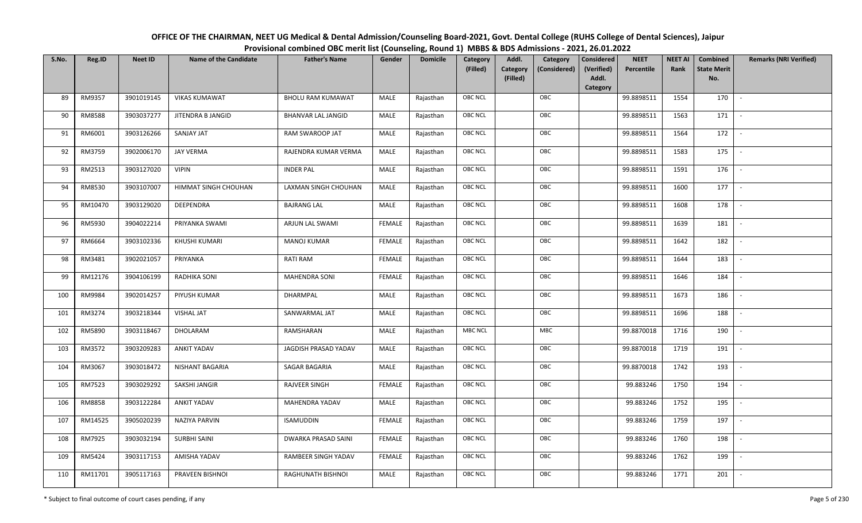| OFFICE OF THE CHAIRMAN, NEET UG Medical & Dental Admission/Counseling Board-2021, Govt. Dental College (RUHS College of Dental Sciences), Jaipur |
|--------------------------------------------------------------------------------------------------------------------------------------------------|
| Provisional combined OBC merit list (Counseling, Round 1) MBBS & BDS Admissions - 2021, 26.01.2022                                               |

| S.No. | Reg.ID  | <b>Neet ID</b> | <b>Name of the Candidate</b> | <b>Father's Name</b>       | Gender        | <b>Domicile</b> | Category<br>(Filled) | Addl.<br>Category<br>(Filled) | Category<br>(Considered) | Considered<br>(Verified)<br>Addl.<br>Category | <b>NEET</b><br>Percentile | <b>NEET AI</b><br>Rank | Combined<br><b>State Merit</b><br>No. | <b>Remarks (NRI Verified)</b> |
|-------|---------|----------------|------------------------------|----------------------------|---------------|-----------------|----------------------|-------------------------------|--------------------------|-----------------------------------------------|---------------------------|------------------------|---------------------------------------|-------------------------------|
| 89    | RM9357  | 3901019145     | <b>VIKAS KUMAWAT</b>         | <b>BHOLU RAM KUMAWAT</b>   | MALE          | Rajasthan       | OBC NCL              |                               | OBC                      |                                               | 99.8898511                | 1554                   | 170                                   | $\overline{\phantom{a}}$      |
| 90    | RM8588  | 3903037277     | JITENDRA B JANGID            | <b>BHANVAR LAL JANGID</b>  | MALE          | Rajasthan       | OBC NCL              |                               | OBC                      |                                               | 99.8898511                | 1563                   | 171                                   |                               |
| 91    | RM6001  | 3903126266     | <b>SANJAY JAT</b>            | RAM SWAROOP JAT            | MALE          | Rajasthan       | OBC NCL              |                               | OBC                      |                                               | 99.8898511                | 1564                   | 172                                   | $\sim$                        |
| 92    | RM3759  | 3902006170     | JAY VERMA                    | RAJENDRA KUMAR VERMA       | MALE          | Rajasthan       | OBC NCL              |                               | OBC                      |                                               | 99.8898511                | 1583                   | 175                                   | $\sim$                        |
| 93    | RM2513  | 3903127020     | <b>VIPIN</b>                 | <b>INDER PAL</b>           | MALE          | Rajasthan       | OBC NCL              |                               | OBC                      |                                               | 99.8898511                | 1591                   | 176                                   | $\sim$                        |
| 94    | RM8530  | 3903107007     | HIMMAT SINGH CHOUHAN         | LAXMAN SINGH CHOUHAN       | MALE          | Rajasthan       | OBC NCL              |                               | OBC                      |                                               | 99.8898511                | 1600                   | 177                                   |                               |
| 95    | RM10470 | 3903129020     | DEEPENDRA                    | <b>BAJRANG LAL</b>         | MALE          | Rajasthan       | OBC NCL              |                               | OBC                      |                                               | 99.8898511                | 1608                   | 178                                   | $\overline{\phantom{a}}$      |
| 96    | RM5930  | 3904022214     | PRIYANKA SWAMI               | ARJUN LAL SWAMI            | FEMALE        | Rajasthan       | OBC NCL              |                               | OBC                      |                                               | 99.8898511                | 1639                   | 181                                   | $\overline{\phantom{a}}$      |
| 97    | RM6664  | 3903102336     | KHUSHI KUMARI                | <b>MANOJ KUMAR</b>         | FEMALE        | Rajasthan       | OBC NCL              |                               | OBC                      |                                               | 99.8898511                | 1642                   | 182                                   |                               |
| 98    | RM3481  | 3902021057     | PRIYANKA                     | RATI RAM                   | FEMALE        | Rajasthan       | OBC NCL              |                               | OBC                      |                                               | 99.8898511                | 1644                   | 183                                   | $\sim$                        |
| 99    | RM12176 | 3904106199     | RADHIKA SONI                 | <b>MAHENDRA SONI</b>       | FEMALE        | Rajasthan       | OBC NCL              |                               | OBC                      |                                               | 99.8898511                | 1646                   | 184                                   |                               |
| 100   | RM9984  | 3902014257     | PIYUSH KUMAR                 | DHARMPAL                   | MALE          | Rajasthan       | OBC NCL              |                               | OBC                      |                                               | 99.8898511                | 1673                   | 186                                   | $\mathcal{L}$                 |
| 101   | RM3274  | 3903218344     | <b>VISHAL JAT</b>            | SANWARMAL JAT              | MALE          | Rajasthan       | OBC NCL              |                               | OBC                      |                                               | 99.8898511                | 1696                   | 188                                   |                               |
| 102   | RM5890  | 3903118467     | DHOLARAM                     | RAMSHARAN                  | MALE          | Rajasthan       | <b>MBC NCL</b>       |                               | MBC                      |                                               | 99.8870018                | 1716                   | 190                                   | $\blacksquare$                |
| 103   | RM3572  | 3903209283     | <b>ANKIT YADAV</b>           | JAGDISH PRASAD YADAV       | MALE          | Rajasthan       | OBC NCL              |                               | OBC                      |                                               | 99.8870018                | 1719                   | 191                                   | $\overline{\phantom{a}}$      |
| 104   | RM3067  | 3903018472     | NISHANT BAGARIA              | SAGAR BAGARIA              | MALE          | Rajasthan       | OBC NCL              |                               | OBC                      |                                               | 99.8870018                | 1742                   | 193                                   | $\sim$                        |
| 105   | RM7523  | 3903029292     | SAKSHI JANGIR                | RAJVEER SINGH              | FEMALE        | Rajasthan       | <b>OBC NCL</b>       |                               | OBC                      |                                               | 99.883246                 | 1750                   | 194                                   | $\blacksquare$                |
| 106   | RM8858  | 3903122284     | <b>ANKIT YADAV</b>           | MAHENDRA YADAV             | MALE          | Rajasthan       | <b>OBC NCL</b>       |                               | OBC                      |                                               | 99.883246                 | 1752                   | 195                                   | $\overline{\phantom{a}}$      |
| 107   | RM14525 | 3905020239     | NAZIYA PARVIN                | <b>ISAMUDDIN</b>           | <b>FEMALE</b> | Rajasthan       | <b>OBC NCL</b>       |                               | OBC                      |                                               | 99.883246                 | 1759                   | 197                                   | $\overline{\phantom{a}}$      |
| 108   | RM7925  | 3903032194     | <b>SURBHI SAINI</b>          | <b>DWARKA PRASAD SAINI</b> | FEMALE        | Rajasthan       | OBC NCL              |                               | OBC                      |                                               | 99.883246                 | 1760                   | 198                                   |                               |
| 109   | RM5424  | 3903117153     | AMISHA YADAV                 | RAMBEER SINGH YADAV        | FEMALE        | Rajasthan       | <b>OBC NCL</b>       |                               | OBC                      |                                               | 99.883246                 | 1762                   | 199                                   | $\overline{\phantom{a}}$      |
| 110   | RM11701 | 3905117163     | PRAVEEN BISHNOI              | RAGHUNATH BISHNOI          | MALE          | Rajasthan       | OBC NCL              |                               | OBC                      |                                               | 99.883246                 | 1771                   | 201                                   | $\sim$                        |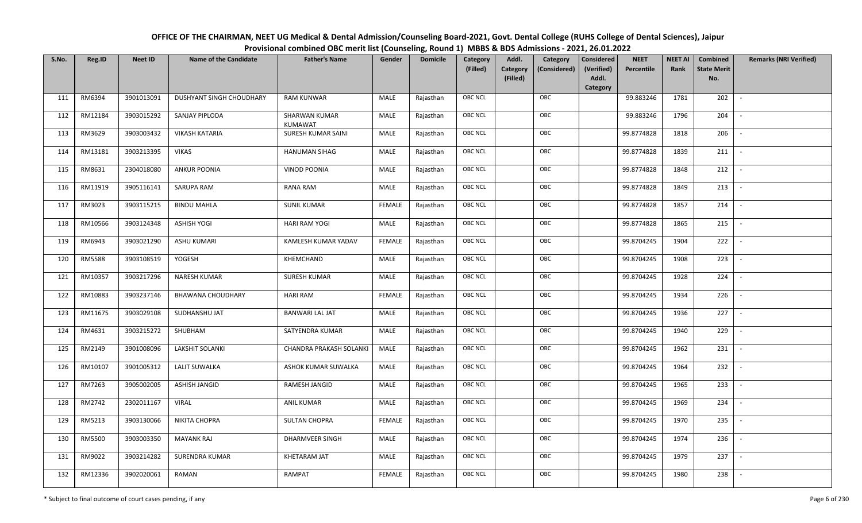| OFFICE OF THE CHAIRMAN, NEET UG Medical & Dental Admission/Counseling Board-2021, Govt. Dental College (RUHS College of Dental Sciences), Jaipur |
|--------------------------------------------------------------------------------------------------------------------------------------------------|
| Provisional combined OBC merit list (Counseling, Round 1) MBBS & BDS Admissions - 2021, 26.01.2022                                               |

| S.No. | Reg.ID        | <b>Neet ID</b> | <b>Name of the Candidate</b> | <b>Father's Name</b>            | Gender        | <b>Domicile</b> | Category<br>(Filled) | Addl.<br>Category<br>(Filled) | Category<br>(Considered) | <b>Considered</b><br>(Verified)<br>Addl. | <b>NEET</b><br>Percentile | <b>NEET AI</b><br>Rank | Combined<br><b>State Merit</b><br>No. | <b>Remarks (NRI Verified)</b> |
|-------|---------------|----------------|------------------------------|---------------------------------|---------------|-----------------|----------------------|-------------------------------|--------------------------|------------------------------------------|---------------------------|------------------------|---------------------------------------|-------------------------------|
|       |               |                |                              |                                 |               |                 |                      |                               |                          | Category                                 |                           |                        |                                       |                               |
| 111   | RM6394        | 3901013091     | DUSHYANT SINGH CHOUDHARY     | <b>RAM KUNWAR</b>               | MALE          | Rajasthan       | OBC NCL              |                               | OBC                      |                                          | 99.883246                 | 1781                   | 202                                   | $\overline{\phantom{a}}$      |
| 112   | RM12184       | 3903015292     | SANJAY PIPLODA               | SHARWAN KUMAR<br><b>KUMAWAT</b> | MALE          | Rajasthan       | OBC NCL              |                               | OBC                      |                                          | 99.883246                 | 1796                   | 204                                   |                               |
| 113   | RM3629        | 3903003432     | <b>VIKASH KATARIA</b>        | SURESH KUMAR SAINI              | MALE          | Rajasthan       | <b>OBC NCL</b>       |                               | OBC                      |                                          | 99.8774828                | 1818                   | 206                                   |                               |
| 114   | RM13181       | 3903213395     | <b>VIKAS</b>                 | <b>HANUMAN SIHAG</b>            | MALE          | Rajasthan       | OBC NCL              |                               | OBC                      |                                          | 99.8774828                | 1839                   | 211                                   | $\overline{\phantom{a}}$      |
| 115   | RM8631        | 2304018080     | <b>ANKUR POONIA</b>          | <b>VINOD POONIA</b>             | MALE          | Rajasthan       | OBC NCL              |                               | OBC                      |                                          | 99.8774828                | 1848                   | 212                                   | $\sim$                        |
| 116   | RM11919       | 3905116141     | SARUPA RAM                   | RANA RAM                        | MALE          | Rajasthan       | OBC NCL              |                               | OBC                      |                                          | 99.8774828                | 1849                   | 213                                   | $\sim$                        |
| 117   | RM3023        | 3903115215     | <b>BINDU MAHLA</b>           | <b>SUNIL KUMAR</b>              | <b>FEMALE</b> | Rajasthan       | OBC NCL              |                               | OBC                      |                                          | 99.8774828                | 1857                   | 214                                   | $\overline{\phantom{a}}$      |
| 118   | RM10566       | 3903124348     | <b>ASHISH YOGI</b>           | <b>HARI RAM YOGI</b>            | MALE          | Rajasthan       | OBC NCL              |                               | OBC                      |                                          | 99.8774828                | 1865                   | 215                                   |                               |
| 119   | RM6943        | 3903021290     | <b>ASHU KUMARI</b>           | KAMLESH KUMAR YADAV             | <b>FEMALE</b> | Rajasthan       | OBC NCL              |                               | OBC                      |                                          | 99.8704245                | 1904                   | 222                                   |                               |
| 120   | <b>RM5588</b> | 3903108519     | YOGESH                       | KHEMCHAND                       | MALE          | Rajasthan       | OBC NCL              |                               | OBC                      |                                          | 99.8704245                | 1908                   | 223                                   |                               |
| 121   | RM10357       | 3903217296     | NARESH KUMAR                 | <b>SURESH KUMAR</b>             | MALE          | Rajasthan       | OBC NCL              |                               | OBC                      |                                          | 99.8704245                | 1928                   | 224                                   |                               |
| 122   | RM10883       | 3903237146     | <b>BHAWANA CHOUDHARY</b>     | <b>HARI RAM</b>                 | <b>FEMALE</b> | Rajasthan       | OBC NCL              |                               | OBC                      |                                          | 99.8704245                | 1934                   | 226                                   | $\mathcal{L}$                 |
| 123   | RM11675       | 3903029108     | SUDHANSHU JAT                | <b>BANWARI LAL JAT</b>          | MALE          | Rajasthan       | OBC NCL              |                               | OBC                      |                                          | 99.8704245                | 1936                   | 227                                   |                               |
| 124   | RM4631        | 3903215272     | SHUBHAM                      | SATYENDRA KUMAR                 | MALE          | Rajasthan       | <b>OBC NCL</b>       |                               | OBC                      |                                          | 99.8704245                | 1940                   | 229                                   |                               |
| 125   | RM2149        | 3901008096     | <b>LAKSHIT SOLANKI</b>       | CHANDRA PRAKASH SOLANKI         | MALE          | Rajasthan       | OBC NCL              |                               | OBC                      |                                          | 99.8704245                | 1962                   | 231                                   | $\overline{\phantom{a}}$      |
| 126   | RM10107       | 3901005312     | <b>LALIT SUWALKA</b>         | ASHOK KUMAR SUWALKA             | <b>MALE</b>   | Rajasthan       | OBC NCL              |                               | OBC                      |                                          | 99.8704245                | 1964                   | 232                                   | $\overline{a}$                |
| 127   | RM7263        | 3905002005     | ASHISH JANGID                | RAMESH JANGID                   | MALE          | Rajasthan       | OBC NCL              |                               | OBC                      |                                          | 99.8704245                | 1965                   | 233                                   | $\overline{\phantom{a}}$      |
| 128   | RM2742        | 2302011167     | <b>VIRAL</b>                 | <b>ANIL KUMAR</b>               | MALE          | Rajasthan       | OBC NCL              |                               | OBC                      |                                          | 99.8704245                | 1969                   | 234                                   | $\overline{\phantom{a}}$      |
| 129   | RM5213        | 3903130066     | NIKITA CHOPRA                | <b>SULTAN CHOPRA</b>            | <b>FEMALE</b> | Rajasthan       | OBC NCL              |                               | OBC                      |                                          | 99.8704245                | 1970                   | 235                                   |                               |
| 130   | RM5500        | 3903003350     | <b>MAYANK RAJ</b>            | <b>DHARMVEER SINGH</b>          | MALE          | Rajasthan       | OBC NCL              |                               | OBC                      |                                          | 99.8704245                | 1974                   | 236                                   |                               |
| 131   | RM9022        | 3903214282     | <b>SURENDRA KUMAR</b>        | KHETARAM JAT                    | <b>MALE</b>   | Rajasthan       | OBC NCL              |                               | OBC                      |                                          | 99.8704245                | 1979                   | 237                                   |                               |
| 132   | RM12336       | 3902020061     | RAMAN                        | RAMPAT                          | <b>FEMALE</b> | Rajasthan       | OBC NCL              |                               | OBC                      |                                          | 99.8704245                | 1980                   | 238                                   |                               |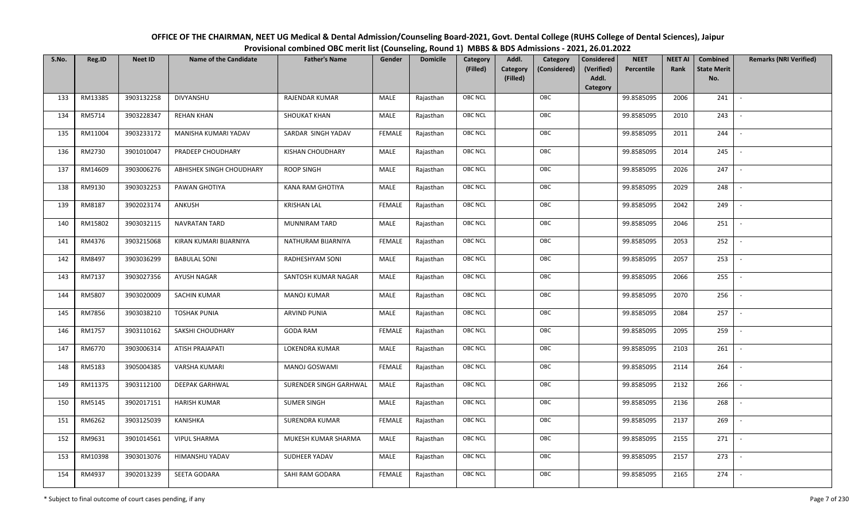| OFFICE OF THE CHAIRMAN, NEET UG Medical & Dental Admission/Counseling Board-2021, Govt. Dental College (RUHS College of Dental Sciences), Jaipur |
|--------------------------------------------------------------------------------------------------------------------------------------------------|
| Provisional combined OBC merit list (Counseling, Round 1) MBBS & BDS Admissions - 2021, 26.01.2022                                               |

| S.No. | Reg.ID  | <b>Neet ID</b> | <b>Name of the Candidate</b> | <b>Father's Name</b>    | Gender        | <b>Domicile</b> | Category<br>(Filled) | Addl.<br><b>Category</b><br>(Filled) | Category<br>(Considered) | Considered<br>(Verified)<br>Addl. | <b>NEET</b><br>Percentile | <b>NEET AI</b><br>Rank | Combined<br><b>State Merit</b><br>No. | <b>Remarks (NRI Verified)</b> |
|-------|---------|----------------|------------------------------|-------------------------|---------------|-----------------|----------------------|--------------------------------------|--------------------------|-----------------------------------|---------------------------|------------------------|---------------------------------------|-------------------------------|
|       |         |                |                              |                         |               |                 |                      |                                      |                          | Category                          |                           |                        |                                       |                               |
| 133   | RM13385 | 3903132258     | DIVYANSHU                    | <b>RAJENDAR KUMAR</b>   | MALE          | Rajasthan       | <b>OBC NCL</b>       |                                      | OBC                      |                                   | 99.8585095                | 2006                   | 241                                   | $\overline{\phantom{a}}$      |
| 134   | RM5714  | 3903228347     | <b>REHAN KHAN</b>            | SHOUKAT KHAN            | MALE          | Rajasthan       | OBC NCL              |                                      | OBC                      |                                   | 99.8585095                | 2010                   | 243                                   |                               |
| 135   | RM11004 | 3903233172     | MANISHA KUMARI YADAV         | SARDAR SINGH YADAV      | <b>FEMALE</b> | Rajasthan       | <b>OBC NCL</b>       |                                      | OBC                      |                                   | 99.8585095                | 2011                   | 244                                   | $\sim$                        |
| 136   | RM2730  | 3901010047     | PRADEEP CHOUDHARY            | <b>KISHAN CHOUDHARY</b> | MALE          | Rajasthan       | OBC NCL              |                                      | OBC                      |                                   | 99.8585095                | 2014                   | 245                                   | $\overline{\phantom{a}}$      |
| 137   | RM14609 | 3903006276     | ABHISHEK SINGH CHOUDHARY     | <b>ROOP SINGH</b>       | MALE          | Rajasthan       | <b>OBC NCL</b>       |                                      | OBC                      |                                   | 99.8585095                | 2026                   | 247                                   | $\sim$                        |
| 138   | RM9130  | 3903032253     | PAWAN GHOTIYA                | <b>KANA RAM GHOTIYA</b> | MALE          | Rajasthan       | <b>OBC NCL</b>       |                                      | OBC                      |                                   | 99.8585095                | 2029                   | 248                                   | $\overline{\phantom{a}}$      |
| 139   | RM8187  | 3902023174     | ANKUSH                       | <b>KRISHAN LAL</b>      | <b>FEMALE</b> | Rajasthan       | OBC NCL              |                                      | OBC                      |                                   | 99.8585095                | 2042                   | 249                                   | $\overline{\phantom{a}}$      |
| 140   | RM15802 | 3903032115     | NAVRATAN TARD                | MUNNIRAM TARD           | MALE          | Rajasthan       | OBC NCL              |                                      | OBC                      |                                   | 99.8585095                | 2046                   | 251                                   |                               |
| 141   | RM4376  | 3903215068     | KIRAN KUMARI BIJARNIYA       | NATHURAM BIJARNIYA      | <b>FEMALE</b> | Rajasthan       | OBC NCL              |                                      | OBC                      |                                   | 99.8585095                | 2053                   | 252                                   |                               |
| 142   | RM8497  | 3903036299     | <b>BABULAL SONI</b>          | RADHESHYAM SONI         | MALE          | Rajasthan       | OBC NCL              |                                      | OBC                      |                                   | 99.8585095                | 2057                   | 253                                   |                               |
| 143   | RM7137  | 3903027356     | AYUSH NAGAR                  | SANTOSH KUMAR NAGAR     | MALE          | Rajasthan       | <b>OBC NCL</b>       |                                      | OBC                      |                                   | 99.8585095                | 2066                   | 255                                   |                               |
| 144   | RM5807  | 3903020009     | <b>SACHIN KUMAR</b>          | <b>MANOJ KUMAR</b>      | MALE          | Rajasthan       | OBC NCL              |                                      | OBC                      |                                   | 99.8585095                | 2070                   | 256                                   | $\sim$                        |
| 145   | RM7856  | 3903038210     | <b>TOSHAK PUNIA</b>          | ARVIND PUNIA            | MALE          | Rajasthan       | <b>OBC NCL</b>       |                                      | OBC                      |                                   | 99.8585095                | 2084                   | 257                                   |                               |
| 146   | RM1757  | 3903110162     | SAKSHI CHOUDHARY             | <b>GODA RAM</b>         | <b>FEMALE</b> | Rajasthan       | <b>OBC NCL</b>       |                                      | OBC                      |                                   | 99.8585095                | 2095                   | 259                                   | $\overline{\phantom{a}}$      |
| 147   | RM6770  | 3903006314     | ATISH PRAJAPATI              | <b>LOKENDRA KUMAR</b>   | <b>MALE</b>   | Rajasthan       | OBC NCL              |                                      | OBC                      |                                   | 99.8585095                | 2103                   | 261                                   | $\sim$                        |
| 148   | RM5183  | 3905004385     | VARSHA KUMARI                | MANOJ GOSWAMI           | <b>FEMALE</b> | Rajasthan       | <b>OBC NCL</b>       |                                      | OBC                      |                                   | 99.8585095                | 2114                   | 264                                   | $\sim$                        |
| 149   | RM11375 | 3903112100     | <b>DEEPAK GARHWAL</b>        | SURENDER SINGH GARHWAL  | MALE          | Rajasthan       | <b>OBC NCL</b>       |                                      | OBC                      |                                   | 99.8585095                | 2132                   | 266                                   | $\overline{\phantom{a}}$      |
| 150   | RM5145  | 3902017151     | <b>HARISH KUMAR</b>          | <b>SUMER SINGH</b>      | MALE          | Rajasthan       | OBC NCL              |                                      | OBC                      |                                   | 99.8585095                | 2136                   | 268                                   |                               |
| 151   | RM6262  | 3903125039     | KANISHKA                     | <b>SURENDRA KUMAR</b>   | <b>FEMALE</b> | Rajasthan       | <b>OBC NCL</b>       |                                      | OBC                      |                                   | 99.8585095                | 2137                   | 269                                   |                               |
| 152   | RM9631  | 3901014561     | <b>VIPUL SHARMA</b>          | MUKESH KUMAR SHARMA     | MALE          | Rajasthan       | OBC NCL              |                                      | OBC                      |                                   | 99.8585095                | 2155                   | 271                                   | $\blacksquare$                |
| 153   | RM10398 | 3903013076     | HIMANSHU YADAV               | SUDHEER YADAV           | <b>MALE</b>   | Rajasthan       | <b>OBC NCL</b>       |                                      | OBC                      |                                   | 99.8585095                | 2157                   | 273                                   |                               |
| 154   | RM4937  | 3902013239     | SEETA GODARA                 | SAHI RAM GODARA         | <b>FEMALE</b> | Rajasthan       | <b>OBC NCL</b>       |                                      | OBC                      |                                   | 99.8585095                | 2165                   | 274                                   |                               |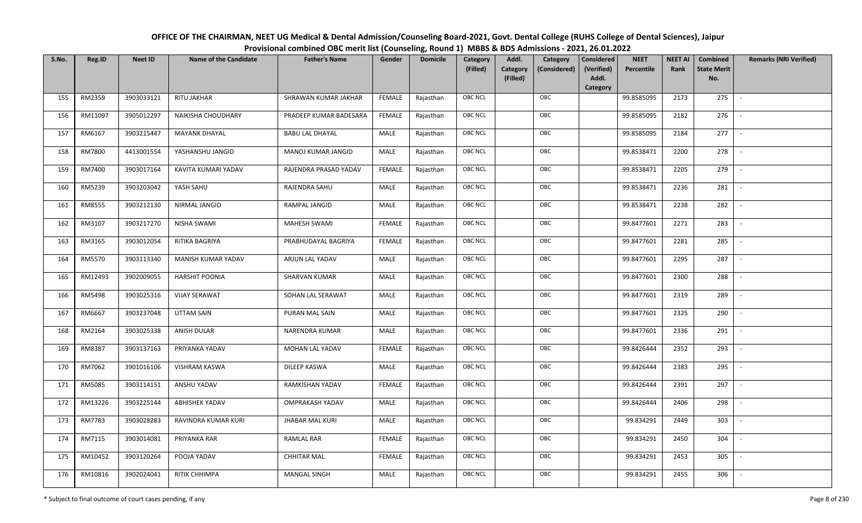OFFICE OF THE CHAIRMAN, NEET UG Medical & Dental Admission/Counseling Board-2021, Govt. Dental College (RUHS College of Dental Sciences), JaipurProvisional combined OBC merit list (Counseling, Round 1) MBBS & BDS Admissions - 2021, 26.01.2022

| S.No. | Reg.ID  | <b>Neet ID</b> | <b>Name of the Candidate</b> | <b>Father's Name</b>   | Gender        | <b>Domicile</b> | Category       | Addl.                | Category     | Considered          | <b>NEET</b> | <b>NEET AI</b> | Combined                  | <b>Remarks (NRI Verified)</b> |
|-------|---------|----------------|------------------------------|------------------------|---------------|-----------------|----------------|----------------------|--------------|---------------------|-------------|----------------|---------------------------|-------------------------------|
|       |         |                |                              |                        |               |                 | (Filled)       | Category<br>(Filled) | (Considered) | (Verified)<br>Addl. | Percentile  | Rank           | <b>State Merit</b><br>No. |                               |
|       |         |                |                              |                        |               |                 |                |                      |              | Category            |             |                |                           |                               |
| 155   | RM2359  | 3903033121     | RITU JAKHAR                  | SHRAWAN KUMAR JAKHAR   | FEMALE        | Rajasthan       | <b>OBC NCL</b> |                      | OBC          |                     | 99.8585095  | 2173           | 275                       | $\overline{\phantom{a}}$      |
| 156   | RM11097 | 3905012297     | NAIKISHA CHOUDHARY           | PRADEEP KUMAR BADESARA | <b>FEMALE</b> | Rajasthan       | OBC NCL        |                      | OBC          |                     | 99.8585095  | 2182           | 276                       |                               |
| 157   | RM6167  | 3903215447     | <b>MAYANK DHAYAL</b>         | <b>BABU LAL DHAYAL</b> | MALE          | Rajasthan       | OBC NCL        |                      | OBC          |                     | 99.8585095  | 2184           | 277                       |                               |
| 158   | RM7800  | 4413001554     | YASHANSHU JANGID             | MANOJ KUMAR JANGID     | MALE          | Rajasthan       | OBC NCL        |                      | OBC          |                     | 99.8538471  | 2200           | 278                       |                               |
| 159   | RM7400  | 3903017164     | KAVITA KUMARI YADAV          | RAJENDRA PRASAD YADAV  | <b>FEMALE</b> | Rajasthan       | OBC NCL        |                      | OBC          |                     | 99.8538471  | 2205           | 279                       | $\sim$                        |
| 160   | RM5239  | 3903203042     | YASH SAHU                    | RAJENDRA SAHU          | MALE          | Rajasthan       | OBC NCL        |                      | OBC          |                     | 99.8538471  | 2236           | 281                       | $\overline{\phantom{a}}$      |
| 161   | RM8555  | 3903212130     | NIRMAL JANGID                | RAMPAL JANGID          | MALE          | Rajasthan       | OBC NCL        |                      | OBC          |                     | 99.8538471  | 2238           | 282                       | $\sim$                        |
| 162   | RM3107  | 3903217270     | NISHA SWAMI                  | MAHESH SWAMI           | <b>FEMALE</b> | Rajasthan       | OBC NCL        |                      | OBC          |                     | 99.8477601  | 2271           | 283                       |                               |
| 163   | RM3165  | 3903012054     | RITIKA BAGRIYA               | PRABHUDAYAL BAGRIYA    | <b>FEMALE</b> | Rajasthan       | OBC NCL        |                      | OBC          |                     | 99.8477601  | 2281           | 285                       |                               |
| 164   | RM5570  | 3903113340     | MANISH KUMAR YADAV           | ARJUN LAL YADAV        | <b>MALE</b>   | Rajasthan       | OBC NCL        |                      | OBC          |                     | 99.8477601  | 2295           | 287                       | $\sim$                        |
| 165   | RM12493 | 3902009055     | <b>HARSHIT POONIA</b>        | <b>SHARVAN KUMAR</b>   | MALE          | Rajasthan       | OBC NCL        |                      | OBC          |                     | 99.8477601  | 2300           | 288                       |                               |
| 166   | RM5498  | 3903025316     | <b>VIJAY SERAWAT</b>         | SOHAN LAL SERAWAT      | MALE          | Rajasthan       | OBC NCL        |                      | OBC          |                     | 99.8477601  | 2319           | 289                       | $\blacksquare$                |
| 167   | RM6667  | 3903237048     | <b>UTTAM SAIN</b>            | PURAN MAL SAIN         | MALE          | Rajasthan       | OBC NCL        |                      | OBC          |                     | 99.8477601  | 2325           | 290                       |                               |
| 168   | RM2164  | 3903025338     | <b>ANISH DULAR</b>           | NARENDRA KUMAR         | MALE          | Rajasthan       | OBC NCL        |                      | OBC          |                     | 99.8477601  | 2336           | 291                       | $\sim$                        |
| 169   | RM8387  | 3903137163     | PRIYANKA YADAV               | MOHAN LAL YADAV        | <b>FEMALE</b> | Rajasthan       | OBC NCL        |                      | OBC          |                     | 99.8426444  | 2352           | 293                       | $\sim$                        |
| 170   | RM7062  | 3901016106     | <b>VISHRAM KASWA</b>         | DILEEP KASWA           | MALE          | Rajasthan       | OBC NCL        |                      | OBC          |                     | 99.8426444  | 2383           | 295                       | $\sim$                        |
| 171   | RM5085  | 3903114151     | ANSHU YADAV                  | RAMKISHAN YADAV        | <b>FEMALE</b> | Rajasthan       | <b>OBC NCL</b> |                      | OBC          |                     | 99.8426444  | 2391           | 297                       | $\overline{\phantom{a}}$      |
| 172   | RM13226 | 3903225144     | <b>ABHISHEK YADAV</b>        | <b>OMPRAKASH YADAV</b> | MALE          | Rajasthan       | OBC NCL        |                      | OBC          |                     | 99.8426444  | 2406           | 298                       |                               |
| 173   | RM7783  | 3903028283     | RAVINDRA KUMAR KURI          | <b>JHABAR MAL KURI</b> | MALE          | Rajasthan       | OBC NCL        |                      | OBC          |                     | 99.834291   | 2449           | 303                       |                               |
| 174   | RM7115  | 3903014081     | PRIYANKA RAR                 | <b>RAMLAL RAR</b>      | <b>FEMALE</b> | Rajasthan       | OBC NCL        |                      | OBC          |                     | 99.834291   | 2450           | 304                       | $\overline{\phantom{a}}$      |
| 175   | RM10452 | 3903120264     | POOJA YADAV                  | <b>CHHITAR MAL</b>     | <b>FEMALE</b> | Rajasthan       | OBC NCL        |                      | OBC          |                     | 99.834291   | 2453           | 305                       |                               |
| 176   | RM10816 | 3902024041     | RITIK CHHIMPA                | MANGAL SINGH           | MALE          | Rajasthan       | OBC NCL        |                      | OBC          |                     | 99.834291   | 2455           | 306                       |                               |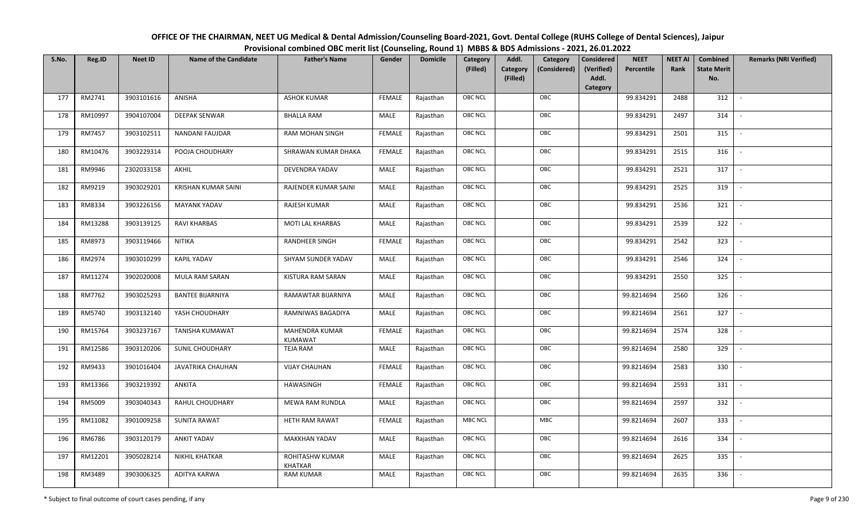| OFFICE OF THE CHAIRMAN, NEET UG Medical & Dental Admission/Counseling Board-2021, Govt. Dental College (RUHS College of Dental Sciences), Jaipur |
|--------------------------------------------------------------------------------------------------------------------------------------------------|
| Provisional combined OBC merit list (Counseling, Round 1) MBBS & BDS Admissions - 2021, 26.01.2022                                               |

| S.No. | Reg.ID  | <b>Neet ID</b> | <b>Name of the Candidate</b> | <b>Father's Name</b>              | Gender        | <b>Domicile</b> | Category<br>(Filled) | Addl.<br><b>Category</b><br>(Filled) | Category<br>(Considered) | Considered<br>(Verified)<br>Addl. | <b>NEET</b><br>Percentile | <b>NEET AI</b><br>Rank | Combined<br><b>State Merit</b><br>No. | <b>Remarks (NRI Verified)</b> |
|-------|---------|----------------|------------------------------|-----------------------------------|---------------|-----------------|----------------------|--------------------------------------|--------------------------|-----------------------------------|---------------------------|------------------------|---------------------------------------|-------------------------------|
| 177   | RM2741  | 3903101616     | ANISHA                       | <b>ASHOK KUMAR</b>                | <b>FEMALE</b> | Rajasthan       | <b>OBC NCL</b>       |                                      | OBC                      | Category                          | 99.834291                 | 2488                   | 312                                   | $\sim$                        |
| 178   | RM10997 | 3904107004     | DEEPAK SENWAR                | <b>BHALLA RAM</b>                 | MALE          | Rajasthan       | OBC NCL              |                                      | OBC                      |                                   | 99.834291                 | 2497                   | 314                                   |                               |
| 179   | RM7457  | 3903102511     | NANDANI FAUJDAR              | RAM MOHAN SINGH                   | <b>FEMALE</b> | Rajasthan       | <b>OBC NCL</b>       |                                      | OBC                      |                                   | 99.834291                 | 2501                   | 315                                   |                               |
| 180   | RM10476 | 3903229314     | POOJA CHOUDHARY              | SHRAWAN KUMAR DHAKA               | <b>FEMALE</b> | Rajasthan       | OBC NCL              |                                      | OBC                      |                                   | 99.834291                 | 2515                   | 316                                   | $\overline{\phantom{a}}$      |
| 181   | RM9946  | 2302033158     | AKHIL                        | DEVENDRA YADAV                    | MALE          | Rajasthan       | <b>OBC NCL</b>       |                                      | OBC                      |                                   | 99.834291                 | 2521                   | 317                                   | $\overline{\phantom{a}}$      |
| 182   | RM9219  | 3903029201     | <b>KRISHAN KUMAR SAINI</b>   | RAJENDER KUMAR SAINI              | MALE          | Rajasthan       | <b>OBC NCL</b>       |                                      | OBC                      |                                   | 99.834291                 | 2525                   | 319                                   | $\overline{\phantom{a}}$      |
| 183   | RM8334  | 3903226156     | <b>MAYANK YADAV</b>          | RAJESH KUMAR                      | MALE          | Rajasthan       | <b>OBC NCL</b>       |                                      | OBC                      |                                   | 99.834291                 | 2536                   | 321                                   | $\overline{\phantom{a}}$      |
| 184   | RM13288 | 3903139125     | <b>RAVI KHARBAS</b>          | MOTI LAL KHARBAS                  | MALE          | Rajasthan       | OBC NCL              |                                      | OBC                      |                                   | 99.834291                 | 2539                   | 322                                   |                               |
| 185   | RM8973  | 3903119466     | <b>NITIKA</b>                | RANDHEER SINGH                    | <b>FEMALE</b> | Rajasthan       | <b>OBC NCL</b>       |                                      | OBC                      |                                   | 99.834291                 | 2542                   | 323                                   |                               |
| 186   | RM2974  | 3903010299     | <b>KAPIL YADAV</b>           | SHYAM SUNDER YADAV                | MALE          | Rajasthan       | OBC NCL              |                                      | OBC                      |                                   | 99.834291                 | 2546                   | 324                                   |                               |
| 187   | RM11274 | 3902020008     | <b>MULA RAM SARAN</b>        | KISTURA RAM SARAN                 | MALE          | Rajasthan       | <b>OBC NCL</b>       |                                      | OBC                      |                                   | 99.834291                 | 2550                   | 325                                   |                               |
| 188   | RM7762  | 3903025293     | <b>BANTEE BIJARNIYA</b>      | RAMAWTAR BIJARNIYA                | MALE          | Rajasthan       | OBC NCL              |                                      | OBC                      |                                   | 99.8214694                | 2560                   | 326                                   |                               |
| 189   | RM5740  | 3903132140     | YASH CHOUDHARY               | RAMNIWAS BAGADIYA                 | MALE          | Rajasthan       | <b>OBC NCL</b>       |                                      | OBC                      |                                   | 99.8214694                | 2561                   | 327                                   |                               |
| 190   | RM15764 | 3903237167     | <b>TANISHA KUMAWAT</b>       | MAHENDRA KUMAR<br>KUMAWAT         | <b>FEMALE</b> | Rajasthan       | OBC NCL              |                                      | OBC                      |                                   | 99.8214694                | 2574                   | 328                                   | $\overline{\phantom{a}}$      |
| 191   | RM12586 | 3903120206     | <b>SUNIL CHOUDHARY</b>       | <b>TEJA RAM</b>                   | <b>MALE</b>   | Rajasthan       | OBC NCL              |                                      | OBC                      |                                   | 99.8214694                | 2580                   | 329                                   | $\overline{\phantom{a}}$      |
| 192   | RM9433  | 3901016404     | JAVATRIKA CHAUHAN            | <b>VIJAY CHAUHAN</b>              | <b>FEMALE</b> | Rajasthan       | <b>OBC NCL</b>       |                                      | OBC                      |                                   | 99.8214694                | 2583                   | 330                                   | $\sim$                        |
| 193   | RM13366 | 3903219392     | ANKITA                       | HAWASINGH                         | <b>FEMALE</b> | Rajasthan       | <b>OBC NCL</b>       |                                      | OBC                      |                                   | 99.8214694                | 2593                   | 331                                   | $\overline{\phantom{a}}$      |
| 194   | RM5009  | 3903040343     | RAHUL CHOUDHARY              | MEWA RAM RUNDLA                   | MALE          | Rajasthan       | OBC NCL              |                                      | OBC                      |                                   | 99.8214694                | 2597                   | 332                                   |                               |
| 195   | RM11082 | 3901009258     | <b>SUNITA RAWAT</b>          | HETH RAM RAWAT                    | <b>FEMALE</b> | Rajasthan       | <b>MBC NCL</b>       |                                      | <b>MBC</b>               |                                   | 99.8214694                | 2607                   | 333                                   |                               |
| 196   | RM6786  | 3903120179     | <b>ANKIT YADAV</b>           | <b>MAKKHAN YADAV</b>              | MALE          | Rajasthan       | OBC NCL              |                                      | OBC                      |                                   | 99.8214694                | 2616                   | 334                                   |                               |
| 197   | RM12201 | 3905028214     | <b>NIKHIL KHATKAR</b>        | ROHITASHW KUMAR<br><b>KHATKAR</b> | <b>MALE</b>   | Rajasthan       | <b>OBC NCL</b>       |                                      | OBC                      |                                   | 99.8214694                | 2625                   | 335                                   |                               |
| 198   | RM3489  | 3903006325     | ADITYA KARWA                 | <b>RAM KUMAR</b>                  | MALE          | Rajasthan       | <b>OBC NCL</b>       |                                      | OBC                      |                                   | 99.8214694                | 2635                   | 336                                   |                               |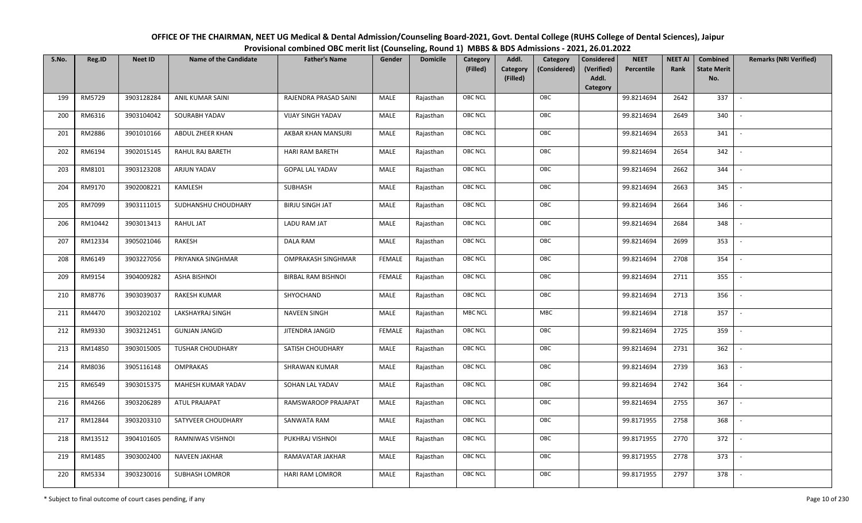| OFFICE OF THE CHAIRMAN, NEET UG Medical & Dental Admission/Counseling Board-2021, Govt. Dental College (RUHS College of Dental Sciences), Jaipur |
|--------------------------------------------------------------------------------------------------------------------------------------------------|
| Provisional combined OBC merit list (Counseling, Round 1) MBBS & BDS Admissions - 2021, 26.01.2022                                               |

| S.No. | Reg.ID  | <b>Neet ID</b> | <b>Name of the Candidate</b> | <b>Father's Name</b>      | Gender        | <b>Domicile</b> | Category<br>(Filled) | Addl.<br>Category | Category<br>(Considered) | Considered<br>(Verified) | <b>NEET AI</b><br><b>NEET</b><br>Percentile<br>Rank | Combined<br><b>State Merit</b> | <b>Remarks (NRI Verified)</b> |
|-------|---------|----------------|------------------------------|---------------------------|---------------|-----------------|----------------------|-------------------|--------------------------|--------------------------|-----------------------------------------------------|--------------------------------|-------------------------------|
|       |         |                |                              |                           |               |                 |                      | (Filled)          |                          | Addl.<br>Category        |                                                     | No.                            |                               |
| 199   | RM5729  | 3903128284     | ANIL KUMAR SAINI             | RAJENDRA PRASAD SAINI     | MALE          | Rajasthan       | <b>OBC NCL</b>       |                   | OBC                      |                          | 99.8214694<br>2642                                  | 337                            | $\sim$                        |
| 200   | RM6316  | 3903104042     | SOURABH YADAV                | <b>VIJAY SINGH YADAV</b>  | MALE          | Rajasthan       | OBC NCL              |                   | OBC                      |                          | 99.8214694<br>2649                                  | 340                            |                               |
| 201   | RM2886  | 3901010166     | ABDUL ZHEER KHAN             | AKBAR KHAN MANSURI        | MALE          | Rajasthan       | OBC NCL              |                   | OBC                      |                          | 99.8214694<br>2653                                  | 341                            | $\sim$                        |
| 202   | RM6194  | 3902015145     | RAHUL RAJ BARETH             | <b>HARI RAM BARETH</b>    | <b>MALE</b>   | Rajasthan       | <b>OBC NCL</b>       |                   | OBC                      |                          | 99.8214694<br>2654                                  | 342                            | $\sim$                        |
| 203   | RM8101  | 3903123208     | ARJUN YADAV                  | <b>GOPAL LAL YADAV</b>    | MALE          | Rajasthan       | <b>OBC NCL</b>       |                   | OBC                      |                          | 99.8214694<br>2662                                  | 344                            | $\overline{\phantom{a}}$      |
| 204   | RM9170  | 3902008221     | KAMLESH                      | SUBHASH                   | MALE          | Rajasthan       | OBC NCL              |                   | OBC                      |                          | 99.8214694<br>2663                                  | 345                            | $\sim$                        |
| 205   | RM7099  | 3903111015     | SUDHANSHU CHOUDHARY          | <b>BIRJU SINGH JAT</b>    | MALE          | Rajasthan       | OBC NCL              |                   | OBC                      |                          | 99.8214694<br>2664                                  | 346                            | $\overline{\phantom{a}}$      |
| 206   | RM10442 | 3903013413     | RAHUL JAT                    | LADU RAM JAT              | MALE          | Rajasthan       | OBC NCL              |                   | OBC                      |                          | 99.8214694<br>2684                                  | 348                            |                               |
| 207   | RM12334 | 3905021046     | RAKESH                       | <b>DALA RAM</b>           | MALE          | Rajasthan       | OBC NCL              |                   | OBC                      |                          | 99.8214694<br>2699                                  | 353                            |                               |
| 208   | RM6149  | 3903227056     | PRIYANKA SINGHMAR            | <b>OMPRAKASH SINGHMAR</b> | <b>FEMALE</b> | Rajasthan       | <b>OBC NCL</b>       |                   | OBC                      |                          | 99.8214694<br>2708                                  | 354                            | $\overline{\phantom{a}}$      |
| 209   | RM9154  | 3904009282     | <b>ASHA BISHNOI</b>          | <b>BIRBAL RAM BISHNOI</b> | <b>FEMALE</b> | Rajasthan       | OBC NCL              |                   | OBC                      |                          | 99.8214694<br>2711                                  | 355                            |                               |
| 210   | RM8776  | 3903039037     | RAKESH KUMAR                 | SHYOCHAND                 | <b>MALE</b>   | Rajasthan       | <b>OBC NCL</b>       |                   | OBC                      |                          | 99.8214694<br>2713                                  | 356                            | $\sim$                        |
| 211   | RM4470  | 3903202102     | LAKSHAYRAJ SINGH             | <b>NAVEEN SINGH</b>       | MALE          | Rajasthan       | <b>MBC NCL</b>       |                   | MBC                      |                          | 99.8214694<br>2718                                  | 357                            |                               |
| 212   | RM9330  | 3903212451     | <b>GUNJAN JANGID</b>         | JITENDRA JANGID           | FEMALE        | Rajasthan       | OBC NCL              |                   | OBC                      |                          | 99.8214694<br>2725                                  | 359                            | $\sim$                        |
| 213   | RM14850 | 3903015005     | <b>TUSHAR CHOUDHARY</b>      | SATISH CHOUDHARY          | <b>MALE</b>   | Rajasthan       | OBC NCL              |                   | OBC                      |                          | 99.8214694<br>2731                                  | 362                            | $\sim$                        |
| 214   | RM8036  | 3905116148     | <b>OMPRAKAS</b>              | SHRAWAN KUMAR             | MALE          | Rajasthan       | <b>OBC NCL</b>       |                   | OBC                      |                          | 99.8214694<br>2739                                  | 363                            | $\sim$                        |
| 215   | RM6549  | 3903015375     | MAHESH KUMAR YADAV           | SOHAN LAL YADAV           | MALE          | Rajasthan       | <b>OBC NCL</b>       |                   | OBC                      |                          | 99.8214694<br>2742                                  | 364                            | $\sim$                        |
| 216   | RM4266  | 3903206289     | ATUL PRAJAPAT                | RAMSWAROOP PRAJAPAT       | <b>MALE</b>   | Rajasthan       | OBC NCL              |                   | OBC                      |                          | 99.8214694<br>2755                                  | 367                            | $\sim$                        |
| 217   | RM12844 | 3903203310     | SATYVEER CHOUDHARY           | SANWATA RAM               | MALE          | Rajasthan       | <b>OBC NCL</b>       |                   | OBC                      |                          | 99.8171955<br>2758                                  | 368                            | $\overline{\phantom{a}}$      |
| 218   | RM13512 | 3904101605     | RAMNIWAS VISHNOI             | PUKHRAJ VISHNOI           | <b>MALE</b>   | Rajasthan       | OBC NCL              |                   | OBC                      |                          | 99.8171955<br>2770                                  | 372                            |                               |
| 219   | RM1485  | 3903002400     | NAVEEN JAKHAR                | RAMAVATAR JAKHAR          | <b>MALE</b>   | Rajasthan       | OBC NCL              |                   | OBC                      |                          | 99.8171955<br>2778                                  | 373                            | $\overline{\phantom{a}}$      |
| 220   | RM5334  | 3903230016     | <b>SUBHASH LOMROR</b>        | <b>HARI RAM LOMROR</b>    | MALE          | Rajasthan       | OBC NCL              |                   | OBC                      |                          | 99.8171955<br>2797                                  | 378                            | $\overline{\phantom{a}}$      |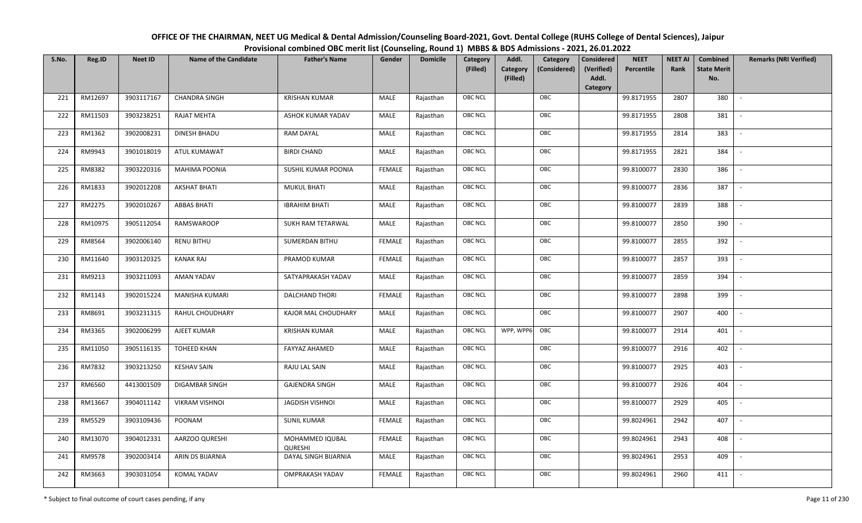| OFFICE OF THE CHAIRMAN, NEET UG Medical & Dental Admission/Counseling Board-2021, Govt. Dental College (RUHS College of Dental Sciences), Jaipur |
|--------------------------------------------------------------------------------------------------------------------------------------------------|
| Provisional combined OBC merit list (Counseling, Round 1) MBBS & BDS Admissions - 2021, 26.01.2022                                               |

| S.No. | Reg.ID  | <b>Neet ID</b> | <b>Name of the Candidate</b> | <b>Father's Name</b>              | Gender        | <b>Domicile</b> | Category<br>(Filled) | Addl.<br>Category<br>(Considered) | <b>Considered</b><br>(Verified) | <b>NEET</b><br>Percentile | <b>NEET AI</b><br>Rank | Combined<br><b>State Merit</b> | <b>Remarks (NRI Verified)</b> |
|-------|---------|----------------|------------------------------|-----------------------------------|---------------|-----------------|----------------------|-----------------------------------|---------------------------------|---------------------------|------------------------|--------------------------------|-------------------------------|
|       |         |                |                              |                                   |               |                 |                      | Category<br>(Filled)              | Addl.                           |                           |                        | No.                            |                               |
|       |         |                |                              |                                   |               |                 |                      |                                   | Category                        |                           |                        |                                |                               |
| 221   | RM12697 | 3903117167     | <b>CHANDRA SINGH</b>         | <b>KRISHAN KUMAR</b>              | MALE          | Rajasthan       | <b>OBC NCL</b>       | OBC                               |                                 | 99.8171955                | 2807                   | 380                            | $\sim$                        |
| 222   | RM11503 | 3903238251     | <b>RAJAT MEHTA</b>           | ASHOK KUMAR YADAV                 | <b>MALE</b>   | Rajasthan       | OBC NCL              | OBC                               |                                 | 99.8171955                | 2808                   | 381                            |                               |
| 223   | RM1362  | 3902008231     | DINESH BHADU                 | <b>RAM DAYAL</b>                  | MALE          | Rajasthan       | OBC NCL              | OBC                               |                                 | 99.8171955                | 2814                   | 383                            | $\overline{\phantom{a}}$      |
| 224   | RM9943  | 3901018019     | ATUL KUMAWAT                 | <b>BIRDI CHAND</b>                | MALE          | Rajasthan       | <b>OBC NCL</b>       | OBC                               |                                 | 99.8171955                | 2821                   | 384                            | $\overline{\phantom{a}}$      |
| 225   | RM8382  | 3903220316     | <b>MAHIMA POONIA</b>         | SUSHIL KUMAR POONIA               | <b>FEMALE</b> | Rajasthan       | OBC NCL              | OBC                               |                                 | 99.8100077                | 2830                   | 386                            | $\sim$                        |
| 226   | RM1833  | 3902012208     | AKSHAT BHATI                 | <b>MUKUL BHATI</b>                | MALE          | Rajasthan       | <b>OBC NCL</b>       | OBC                               |                                 | 99.8100077                | 2836                   | 387                            | $\overline{\phantom{a}}$      |
| 227   | RM2275  | 3902010267     | <b>ABBAS BHATI</b>           | <b>IBRAHIM BHATI</b>              | MALE          | Rajasthan       | OBC NCL              | OBC                               |                                 | 99.8100077                | 2839                   | 388                            | $\overline{\phantom{a}}$      |
| 228   | RM10975 | 3905112054     | RAMSWAROOP                   | SUKH RAM TETARWAL                 | MALE          | Rajasthan       | OBC NCL              | OBC                               |                                 | 99.8100077                | 2850                   | 390                            |                               |
| 229   | RM8564  | 3902006140     | <b>RENU BITHU</b>            | <b>SUMERDAN BITHU</b>             | <b>FEMALE</b> | Rajasthan       | OBC NCL              | OBC                               |                                 | 99.8100077                | 2855                   | 392                            |                               |
| 230   | RM11640 | 3903120325     | <b>KANAK RAJ</b>             | PRAMOD KUMAR                      | <b>FEMALE</b> | Rajasthan       | OBC NCL              | OBC                               |                                 | 99.8100077                | 2857                   | 393                            | $\sim$                        |
| 231   | RM9213  | 3903211093     | AMAN YADAV                   | SATYAPRAKASH YADAV                | MALE          | Rajasthan       | OBC NCL              | OBC                               |                                 | 99.8100077                | 2859                   | 394                            |                               |
| 232   | RM1143  | 3902015224     | <b>MANISHA KUMARI</b>        | DALCHAND THORI                    | <b>FEMALE</b> | Rajasthan       | <b>OBC NCL</b>       | OBC                               |                                 | 99.8100077                | 2898                   | 399                            | $\overline{\phantom{a}}$      |
| 233   | RM8691  | 3903231315     | <b>RAHUL CHOUDHARY</b>       | KAJOR MAL CHOUDHARY               | MALE          | Rajasthan       | OBC NCL              | OBC                               |                                 | 99.8100077                | 2907                   | 400                            |                               |
| 234   | RM3365  | 3902006299     | AJEET KUMAR                  | <b>KRISHAN KUMAR</b>              | MALE          | Rajasthan       | <b>OBC NCL</b>       | WPP, WPP6<br>OBC                  |                                 | 99.8100077                | 2914                   | 401                            | $\sim$                        |
| 235   | RM11050 | 3905116135     | <b>TOHEED KHAN</b>           | <b>FAYYAZ AHAMED</b>              | MALE          | Rajasthan       | <b>OBC NCL</b>       | OBC                               |                                 | 99.8100077                | 2916                   | 402                            | $\sim$                        |
| 236   | RM7832  | 3903213250     | <b>KESHAV SAIN</b>           | RAJU LAL SAIN                     | MALE          | Rajasthan       | OBC NCL              | OBC                               |                                 | 99.8100077                | 2925                   | 403                            | $\sim$                        |
| 237   | RM6560  | 4413001509     | DIGAMBAR SINGH               | <b>GAJENDRA SINGH</b>             | MALE          | Rajasthan       | OBC NCL              | OBC                               |                                 | 99.8100077                | 2926                   | 404                            | $\overline{\phantom{a}}$      |
| 238   | RM13667 | 3904011142     | <b>VIKRAM VISHNOI</b>        | <b>JAGDISH VISHNOI</b>            | <b>MALE</b>   | Rajasthan       | OBC NCL              | OBC                               |                                 | 99.8100077                | 2929                   | 405                            |                               |
| 239   | RM5529  | 3903109436     | POONAM                       | <b>SUNIL KUMAR</b>                | <b>FEMALE</b> | Rajasthan       | <b>OBC NCL</b>       | OBC                               |                                 | 99.8024961                | 2942                   | 407                            |                               |
| 240   | RM13070 | 3904012331     | AARZOO QURESHI               | MOHAMMED IQUBAL<br><b>QURESHI</b> | <b>FEMALE</b> | Rajasthan       | OBC NCL              | OBC                               |                                 | 99.8024961                | 2943                   | 408                            |                               |
| 241   | RM9578  | 3902003414     | ARIN DS BIJARNIA             | DAYAL SINGH BIJARNIA              | MALE          | Rajasthan       | <b>OBC NCL</b>       | OBC                               |                                 | 99.8024961                | 2953                   | 409                            |                               |
| 242   | RM3663  | 3903031054     | KOMAL YADAV                  | <b>OMPRAKASH YADAV</b>            | FEMALE        | Rajasthan       | OBC NCL              | OBC                               |                                 | 99.8024961                | 2960                   | 411                            | $\overline{\phantom{a}}$      |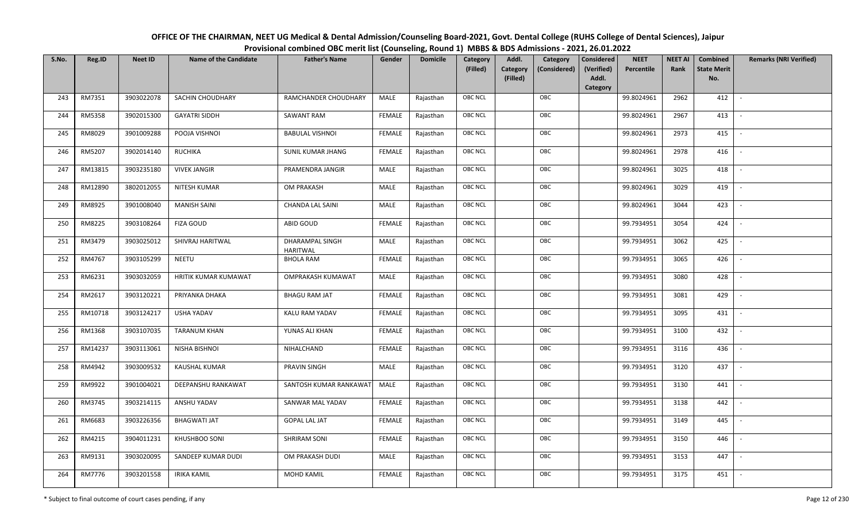| OFFICE OF THE CHAIRMAN, NEET UG Medical & Dental Admission/Counseling Board-2021, Govt. Dental College (RUHS College of Dental Sciences), Jaipur |
|--------------------------------------------------------------------------------------------------------------------------------------------------|
| Provisional combined OBC merit list (Counseling, Round 1) MBBS & BDS Admissions - 2021, 26.01.2022                                               |

| S.No. | Reg.ID  | <b>Neet ID</b> | <b>Name of the Candidate</b> | <b>Father's Name</b>                      | Gender        | <b>Domicile</b> | Category<br>(Filled) | Addl.<br>Category<br>(Filled) | Category<br>(Considered) | <b>Considered</b><br>(Verified)<br>Addl. | <b>NEET</b><br>Percentile | <b>NEET AI</b><br>Rank | Combined<br><b>State Merit</b><br>No. | <b>Remarks (NRI Verified)</b> |
|-------|---------|----------------|------------------------------|-------------------------------------------|---------------|-----------------|----------------------|-------------------------------|--------------------------|------------------------------------------|---------------------------|------------------------|---------------------------------------|-------------------------------|
| 243   | RM7351  | 3903022078     | SACHIN CHOUDHARY             | RAMCHANDER CHOUDHARY                      | MALE          | Rajasthan       | OBC NCL              |                               | OBC                      | Category                                 | 99.8024961                | 2962                   | 412                                   | $\sim$                        |
| 244   | RM5358  | 3902015300     | <b>GAYATRI SIDDH</b>         | SAWANT RAM                                | <b>FEMALE</b> | Rajasthan       | OBC NCL              |                               | OBC                      |                                          | 99.8024961                | 2967                   | 413                                   |                               |
| 245   | RM8029  | 3901009288     | POOJA VISHNOI                | <b>BABULAL VISHNOI</b>                    | <b>FEMALE</b> | Rajasthan       | <b>OBC NCL</b>       |                               | OBC                      |                                          | 99.8024961                | 2973                   | 415                                   |                               |
| 246   | RM5207  | 3902014140     | <b>RUCHIKA</b>               | SUNIL KUMAR JHANG                         | <b>FEMALE</b> | Rajasthan       | OBC NCL              |                               | OBC                      |                                          | 99.8024961                | 2978                   | 416                                   | $\overline{\phantom{a}}$      |
| 247   | RM13815 | 3903235180     | <b>VIVEK JANGIR</b>          | PRAMENDRA JANGIR                          | MALE          | Rajasthan       | OBC NCL              |                               | OBC                      |                                          | 99.8024961                | 3025                   | 418                                   | $\overline{\phantom{a}}$      |
| 248   | RM12890 | 3802012055     | NITESH KUMAR                 | OM PRAKASH                                | MALE          | Rajasthan       | OBC NCL              |                               | OBC                      |                                          | 99.8024961                | 3029                   | 419                                   | $\overline{\phantom{a}}$      |
| 249   | RM8925  | 3901008040     | <b>MANISH SAINI</b>          | <b>CHANDA LAL SAINI</b>                   | MALE          | Rajasthan       | OBC NCL              |                               | OBC                      |                                          | 99.8024961                | 3044                   | 423                                   | $\overline{\phantom{a}}$      |
| 250   | RM8225  | 3903108264     | <b>FIZA GOUD</b>             | ABID GOUD                                 | <b>FEMALE</b> | Rajasthan       | OBC NCL              |                               | OBC                      |                                          | 99.7934951                | 3054                   | 424                                   |                               |
| 251   | RM3479  | 3903025012     | SHIVRAJ HARITWAL             | <b>DHARAMPAL SINGH</b><br><b>HARITWAL</b> | MALE          | Rajasthan       | OBC NCL              |                               | OBC                      |                                          | 99.7934951                | 3062                   | 425                                   |                               |
| 252   | RM4767  | 3903105299     | NEETU                        | <b>BHOLA RAM</b>                          | <b>FEMALE</b> | Rajasthan       | OBC NCL              |                               | OBC                      |                                          | 99.7934951                | 3065                   | 426                                   |                               |
| 253   | RM6231  | 3903032059     | HRITIK KUMAR KUMAWAT         | OMPRAKASH KUMAWAT                         | MALE          | Rajasthan       | <b>OBC NCL</b>       |                               | OBC                      |                                          | 99.7934951                | 3080                   | 428                                   |                               |
| 254   | RM2617  | 3903120221     | PRIYANKA DHAKA               | <b>BHAGU RAM JAT</b>                      | <b>FEMALE</b> | Rajasthan       | OBC NCL              |                               | OBC                      |                                          | 99.7934951                | 3081                   | 429                                   |                               |
| 255   | RM10718 | 3903124217     | <b>USHA YADAV</b>            | <b>KALU RAM YADAV</b>                     | FEMALE        | Rajasthan       | OBC NCL              |                               | OBC                      |                                          | 99.7934951                | 3095                   | 431                                   |                               |
| 256   | RM1368  | 3903107035     | <b>TARANUM KHAN</b>          | YUNAS ALI KHAN                            | <b>FEMALE</b> | Rajasthan       | OBC NCL              |                               | OBC                      |                                          | 99.7934951                | 3100                   | 432                                   | $\sim$                        |
| 257   | RM14237 | 3903113061     | NISHA BISHNOI                | NIHALCHAND                                | <b>FEMALE</b> | Rajasthan       | OBC NCL              |                               | OBC                      |                                          | 99.7934951                | 3116                   | 436                                   | $\overline{\phantom{a}}$      |
| 258   | RM4942  | 3903009532     | KAUSHAL KUMAR                | PRAVIN SINGH                              | MALE          | Rajasthan       | OBC NCL              |                               | OBC                      |                                          | 99.7934951                | 3120                   | 437                                   | $\sim$                        |
| 259   | RM9922  | 3901004021     | DEEPANSHU RANKAWAT           | SANTOSH KUMAR RANKAWAT                    | MALE          | Rajasthan       | OBC NCL              |                               | OBC                      |                                          | 99.7934951                | 3130                   | 441                                   | $\overline{\phantom{a}}$      |
| 260   | RM3745  | 3903214115     | ANSHU YADAV                  | SANWAR MAL YADAV                          | <b>FEMALE</b> | Rajasthan       | OBC NCL              |                               | OBC                      |                                          | 99.7934951                | 3138                   | 442                                   |                               |
| 261   | RM6683  | 3903226356     | BHAGWATI JAT                 | <b>GOPAL LAL JAT</b>                      | <b>FEMALE</b> | Rajasthan       | <b>OBC NCL</b>       |                               | OBC                      |                                          | 99.7934951                | 3149                   | 445                                   |                               |
| 262   | RM4215  | 3904011231     | KHUSHBOO SONI                | <b>SHRIRAM SONI</b>                       | <b>FEMALE</b> | Rajasthan       | OBC NCL              |                               | OBC                      |                                          | 99.7934951                | 3150                   | 446                                   | $\overline{\phantom{a}}$      |
| 263   | RM9131  | 3903020095     | SANDEEP KUMAR DUDI           | OM PRAKASH DUDI                           | <b>MALE</b>   | Rajasthan       | OBC NCL              |                               | OBC                      |                                          | 99.7934951                | 3153                   | 447                                   |                               |
| 264   | RM7776  | 3903201558     | <b>IRIKA KAMIL</b>           | <b>MOHD KAMIL</b>                         | <b>FEMALE</b> | Rajasthan       | OBC NCL              |                               | OBC                      |                                          | 99.7934951                | 3175                   | 451                                   |                               |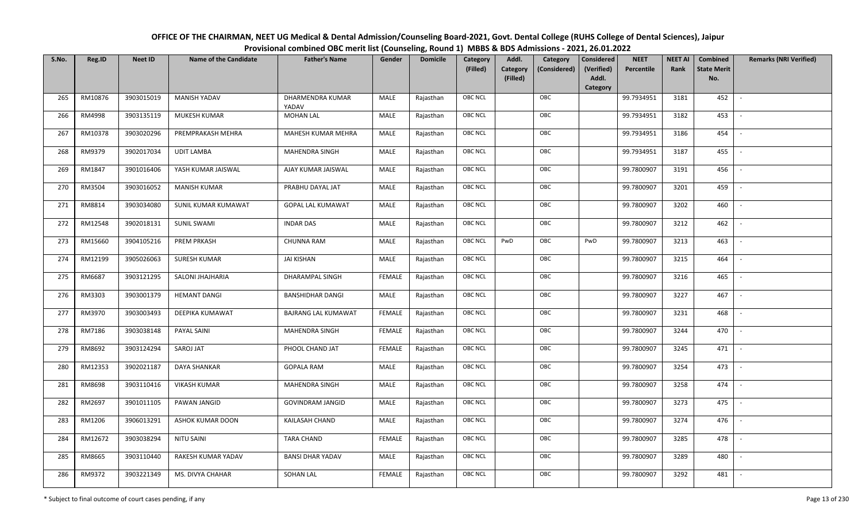| OFFICE OF THE CHAIRMAN, NEET UG Medical & Dental Admission/Counseling Board-2021, Govt. Dental College (RUHS College of Dental Sciences), Jaipur |
|--------------------------------------------------------------------------------------------------------------------------------------------------|
| Provisional combined OBC merit list (Counseling, Round 1) MBBS & BDS Admissions - 2021, 26.01.2022                                               |

| S.No. | Reg.ID  | <b>Neet ID</b> | <b>Name of the Candidate</b> | <b>Father's Name</b>      | Gender        | <b>Domicile</b> | Category<br>(Filled) | Addl.<br><b>Category</b><br>(Filled) | Category<br>(Considered) | Considered<br>(Verified)<br>Addl. | <b>NEET</b><br>Percentile | <b>NEET AI</b><br>Rank | Combined<br><b>State Merit</b><br>No. | <b>Remarks (NRI Verified)</b> |
|-------|---------|----------------|------------------------------|---------------------------|---------------|-----------------|----------------------|--------------------------------------|--------------------------|-----------------------------------|---------------------------|------------------------|---------------------------------------|-------------------------------|
| 265   | RM10876 | 3903015019     | <b>MANISH YADAV</b>          | DHARMENDRA KUMAR<br>YADAV | MALE          | Rajasthan       | <b>OBC NCL</b>       |                                      | OBC                      | Category                          | 99.7934951                | 3181                   | 452                                   | $\overline{\phantom{a}}$      |
| 266   | RM4998  | 3903135119     | MUKESH KUMAR                 | <b>MOHAN LAL</b>          | MALE          | Rajasthan       | OBC NCL              |                                      | OBC                      |                                   | 99.7934951                | 3182                   | 453                                   |                               |
| 267   | RM10378 | 3903020296     | PREMPRAKASH MEHRA            | MAHESH KUMAR MEHRA        | MALE          | Rajasthan       | <b>OBC NCL</b>       |                                      | OBC                      |                                   | 99.7934951                | 3186                   | 454                                   | $\sim$                        |
| 268   | RM9379  | 3902017034     | <b>UDIT LAMBA</b>            | MAHENDRA SINGH            | MALE          | Rajasthan       | OBC NCL              |                                      | OBC                      |                                   | 99.7934951                | 3187                   | 455                                   | $\overline{\phantom{a}}$      |
| 269   | RM1847  | 3901016406     | YASH KUMAR JAISWAL           | AJAY KUMAR JAISWAL        | MALE          | Rajasthan       | <b>OBC NCL</b>       |                                      | OBC                      |                                   | 99.7800907                | 3191                   | 456                                   | $\sim$                        |
| 270   | RM3504  | 3903016052     | <b>MANISH KUMAR</b>          | PRABHU DAYAL JAT          | MALE          | Rajasthan       | <b>OBC NCL</b>       |                                      | OBC                      |                                   | 99.7800907                | 3201                   | 459                                   | $\overline{\phantom{a}}$      |
| 271   | RM8814  | 3903034080     | SUNIL KUMAR KUMAWAT          | <b>GOPAL LAL KUMAWAT</b>  | MALE          | Rajasthan       | OBC NCL              |                                      | OBC                      |                                   | 99.7800907                | 3202                   | 460                                   | $\overline{\phantom{a}}$      |
| 272   | RM12548 | 3902018131     | <b>SUNIL SWAMI</b>           | <b>INDAR DAS</b>          | MALE          | Rajasthan       | OBC NCL              |                                      | OBC                      |                                   | 99.7800907                | 3212                   | 462                                   |                               |
| 273   | RM15660 | 3904105216     | <b>PREM PRKASH</b>           | <b>CHUNNA RAM</b>         | MALE          | Rajasthan       | <b>OBC NCL</b>       | PwD                                  | OBC                      | PwD                               | 99.7800907                | 3213                   | 463                                   |                               |
| 274   | RM12199 | 3905026063     | SURESH KUMAR                 | <b>JAI KISHAN</b>         | MALE          | Rajasthan       | OBC NCL              |                                      | OBC                      |                                   | 99.7800907                | 3215                   | 464                                   |                               |
| 275   | RM6687  | 3903121295     | SALONI JHAJHARIA             | <b>DHARAMPAL SINGH</b>    | <b>FEMALE</b> | Rajasthan       | <b>OBC NCL</b>       |                                      | OBC                      |                                   | 99.7800907                | 3216                   | 465                                   |                               |
| 276   | RM3303  | 3903001379     | <b>HEMANT DANGI</b>          | <b>BANSHIDHAR DANGI</b>   | MALE          | Rajasthan       | OBC NCL              |                                      | OBC                      |                                   | 99.7800907                | 3227                   | 467                                   | $\sim$                        |
| 277   | RM3970  | 3903003493     | DEEPIKA KUMAWAT              | BAJRANG LAL KUMAWAT       | <b>FEMALE</b> | Rajasthan       | <b>OBC NCL</b>       |                                      | OBC                      |                                   | 99.7800907                | 3231                   | 468                                   |                               |
| 278   | RM7186  | 3903038148     | PAYAL SAINI                  | MAHENDRA SINGH            | <b>FEMALE</b> | Rajasthan       | <b>OBC NCL</b>       |                                      | OBC                      |                                   | 99.7800907                | 3244                   | 470                                   | $\overline{\phantom{a}}$      |
| 279   | RM8692  | 3903124294     | SAROJ JAT                    | PHOOL CHAND JAT           | <b>FEMALE</b> | Rajasthan       | OBC NCL              |                                      | OBC                      |                                   | 99.7800907                | 3245                   | 471                                   | $\overline{\phantom{a}}$      |
| 280   | RM12353 | 3902021187     | DAYA SHANKAR                 | <b>GOPALA RAM</b>         | MALE          | Rajasthan       | <b>OBC NCL</b>       |                                      | OBC                      |                                   | 99.7800907                | 3254                   | 473                                   | $\sim$                        |
| 281   | RM8698  | 3903110416     | <b>VIKASH KUMAR</b>          | MAHENDRA SINGH            | MALE          | Rajasthan       | <b>OBC NCL</b>       |                                      | OBC                      |                                   | 99.7800907                | 3258                   | 474                                   | $\overline{\phantom{a}}$      |
| 282   | RM2697  | 3901011105     | PAWAN JANGID                 | <b>GOVINDRAM JANGID</b>   | MALE          | Rajasthan       | OBC NCL              |                                      | OBC                      |                                   | 99.7800907                | 3273                   | 475                                   |                               |
| 283   | RM1206  | 3906013291     | <b>ASHOK KUMAR DOON</b>      | KAILASAH CHAND            | MALE          | Rajasthan       | <b>OBC NCL</b>       |                                      | OBC                      |                                   | 99.7800907                | 3274                   | 476                                   |                               |
| 284   | RM12672 | 3903038294     | <b>NITU SAINI</b>            | <b>TARA CHAND</b>         | <b>FEMALE</b> | Rajasthan       | OBC NCL              |                                      | OBC                      |                                   | 99.7800907                | 3285                   | 478                                   | $\overline{\phantom{a}}$      |
| 285   | RM8665  | 3903110440     | RAKESH KUMAR YADAV           | <b>BANSI DHAR YADAV</b>   | <b>MALE</b>   | Rajasthan       | <b>OBC NCL</b>       |                                      | OBC                      |                                   | 99.7800907                | 3289                   | 480                                   |                               |
| 286   | RM9372  | 3903221349     | MS. DIVYA CHAHAR             | <b>SOHAN LAL</b>          | <b>FEMALE</b> | Rajasthan       | <b>OBC NCL</b>       |                                      | OBC                      |                                   | 99.7800907                | 3292                   | 481                                   |                               |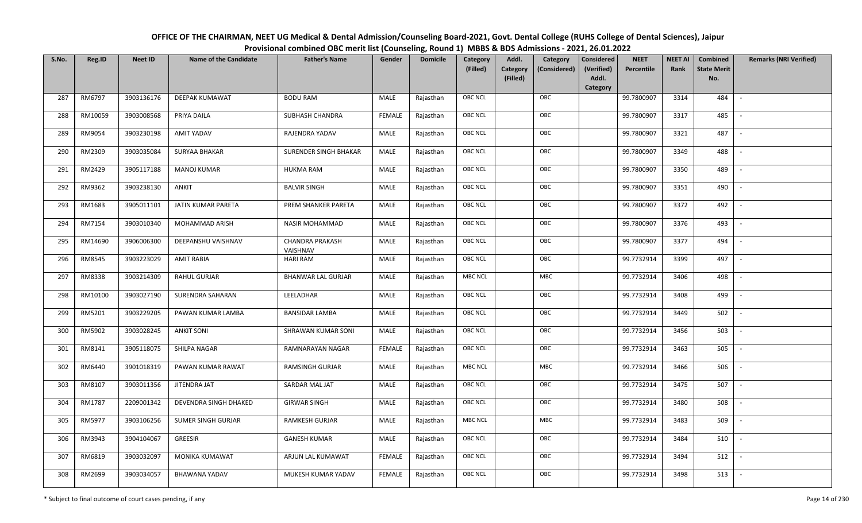| OFFICE OF THE CHAIRMAN, NEET UG Medical & Dental Admission/Counseling Board-2021, Govt. Dental College (RUHS College of Dental Sciences), Jaipur |
|--------------------------------------------------------------------------------------------------------------------------------------------------|
| Provisional combined OBC merit list (Counseling, Round 1) MBBS & BDS Admissions - 2021, 26.01.2022                                               |

| S.No. | Reg.ID  | <b>Neet ID</b> | <b>Name of the Candidate</b> | <b>Father's Name</b>               | Gender        | <b>Domicile</b> | <b>Category</b> | Addl.                | Category     | <b>Considered</b>   | <b>NEET</b> | <b>NEET AI</b> | Combined                  | <b>Remarks (NRI Verified)</b> |
|-------|---------|----------------|------------------------------|------------------------------------|---------------|-----------------|-----------------|----------------------|--------------|---------------------|-------------|----------------|---------------------------|-------------------------------|
|       |         |                |                              |                                    |               |                 | (Filled)        | Category<br>(Filled) | (Considered) | (Verified)<br>Addl. | Percentile  | Rank           | <b>State Merit</b><br>No. |                               |
|       |         |                |                              |                                    |               |                 |                 |                      |              | <b>Category</b>     |             |                |                           |                               |
| 287   | RM6797  | 3903136176     | DEEPAK KUMAWAT               | <b>BODU RAM</b>                    | MALE          | Rajasthan       | <b>OBC NCL</b>  |                      | OBC          |                     | 99.7800907  | 3314           | 484                       |                               |
| 288   | RM10059 | 3903008568     | PRIYA DAILA                  | SUBHASH CHANDRA                    | FEMALE        | Rajasthan       | OBC NCL         |                      | OBC          |                     | 99.7800907  | 3317           | 485                       |                               |
| 289   | RM9054  | 3903230198     | AMIT YADAV                   | RAJENDRA YADAV                     | MALE          | Rajasthan       | OBC NCL         |                      | OBC          |                     | 99.7800907  | 3321           | 487                       | $\blacksquare$                |
| 290   | RM2309  | 3903035084     | SURYAA BHAKAR                | SURENDER SINGH BHAKAR              | MALE          | Rajasthan       | OBC NCL         |                      | OBC          |                     | 99.7800907  | 3349           | 488                       | $\sim$                        |
| 291   | RM2429  | 3905117188     | <b>MANOJ KUMAR</b>           | <b>HUKMA RAM</b>                   | MALE          | Rajasthan       | OBC NCL         |                      | OBC          |                     | 99.7800907  | 3350           | 489                       | $\sim$                        |
| 292   | RM9362  | 3903238130     | ANKIT                        | <b>BALVIR SINGH</b>                | MALE          | Rajasthan       | OBC NCL         |                      | OBC          |                     | 99.7800907  | 3351           | 490                       | $\sim$                        |
| 293   | RM1683  | 3905011101     | JATIN KUMAR PARETA           | PREM SHANKER PARETA                | MALE          | Rajasthan       | OBC NCL         |                      | OBC          |                     | 99.7800907  | 3372           | 492                       | $\sim$                        |
| 294   | RM7154  | 3903010340     | MOHAMMAD ARISH               | <b>NASIR MOHAMMAD</b>              | MALE          | Rajasthan       | OBC NCL         |                      | OBC          |                     | 99.7800907  | 3376           | 493                       |                               |
| 295   | RM14690 | 3906006300     | DEEPANSHU VAISHNAV           | <b>CHANDRA PRAKASH</b><br>VAISHNAV | MALE          | Rajasthan       | <b>OBC NCL</b>  |                      | OBC          |                     | 99.7800907  | 3377           | 494                       |                               |
| 296   | RM8545  | 3903223029     | <b>AMIT RABIA</b>            | <b>HARI RAM</b>                    | MALE          | Rajasthan       | OBC NCL         |                      | OBC          |                     | 99.7732914  | 3399           | 497                       | $\overline{\phantom{a}}$      |
| 297   | RM8338  | 3903214309     | RAHUL GURJAR                 | <b>BHANWAR LAL GURJAR</b>          | MALE          | Rajasthan       | <b>MBC NCL</b>  |                      | <b>MBC</b>   |                     | 99.7732914  | 3406           | 498                       |                               |
| 298   | RM10100 | 3903027190     | SURENDRA SAHARAN             | LEELADHAR                          | MALE          | Rajasthan       | OBC NCL         |                      | OBC          |                     | 99.7732914  | 3408           | 499                       |                               |
| 299   | RM5201  | 3903229205     | PAWAN KUMAR LAMBA            | <b>BANSIDAR LAMBA</b>              | MALE          | Rajasthan       | OBC NCL         |                      | OBC          |                     | 99.7732914  | 3449           | 502                       |                               |
| 300   | RM5902  | 3903028245     | <b>ANKIT SONI</b>            | SHRAWAN KUMAR SONI                 | MALE          | Rajasthan       | OBC NCL         |                      | OBC          |                     | 99.7732914  | 3456           | 503                       |                               |
| 301   | RM8141  | 3905118075     | SHILPA NAGAR                 | RAMNARAYAN NAGAR                   | <b>FEMALE</b> | Rajasthan       | OBC NCL         |                      | OBC          |                     | 99.7732914  | 3463           | 505                       | $\sim$                        |
| 302   | RM6440  | 3901018319     | PAWAN KUMAR RAWAT            | <b>RAMSINGH GURJAR</b>             | MALE          | Rajasthan       | <b>MBC NCL</b>  |                      | MBC          |                     | 99.7732914  | 3466           | 506                       | $\sim$                        |
| 303   | RM8107  | 3903011356     | JITENDRA JAT                 | SARDAR MAL JAT                     | MALE          | Rajasthan       | <b>OBC NCL</b>  |                      | OBC          |                     | 99.7732914  | 3475           | 507                       | $\sim$                        |
| 304   | RM1787  | 2209001342     | DEVENDRA SINGH DHAKED        | <b>GIRWAR SINGH</b>                | MALE          | Rajasthan       | OBC NCL         |                      | OBC          |                     | 99.7732914  | 3480           | 508                       | $\overline{\phantom{a}}$      |
| 305   | RM5977  | 3903106256     | <b>SUMER SINGH GURJAR</b>    | <b>RAMKESH GURJAR</b>              | MALE          | Rajasthan       | <b>MBC NCL</b>  |                      | <b>MBC</b>   |                     | 99.7732914  | 3483           | 509                       |                               |
| 306   | RM3943  | 3904104067     | GREESIR                      | <b>GANESH KUMAR</b>                | MALE          | Rajasthan       | OBC NCL         |                      | OBC          |                     | 99.7732914  | 3484           | 510                       |                               |
| 307   | RM6819  | 3903032097     | MONIKA KUMAWAT               | ARJUN LAL KUMAWAT                  | <b>FEMALE</b> | Rajasthan       | OBC NCL         |                      | OBC          |                     | 99.7732914  | 3494           | 512                       |                               |
| 308   | RM2699  | 3903034057     | <b>BHAWANA YADAV</b>         | MUKESH KUMAR YADAV                 | <b>FEMALE</b> | Rajasthan       | <b>OBC NCL</b>  |                      | OBC          |                     | 99.7732914  | 3498           | 513                       |                               |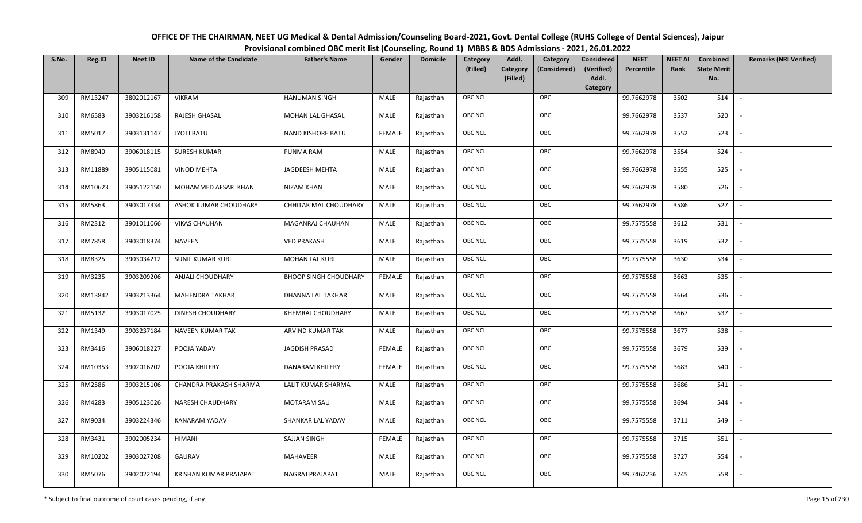| OFFICE OF THE CHAIRMAN, NEET UG Medical & Dental Admission/Counseling Board-2021, Govt. Dental College (RUHS College of Dental Sciences), Jaipur |
|--------------------------------------------------------------------------------------------------------------------------------------------------|
| Provisional combined OBC merit list (Counseling, Round 1) MBBS & BDS Admissions - 2021, 26.01.2022                                               |

| S.No. | Reg.ID  | <b>Neet ID</b> | <b>Name of the Candidate</b> | <b>Father's Name</b>         | Gender        | <b>Domicile</b> | Category<br>(Filled) | Addl.<br>Category<br>(Filled) | Category<br>(Considered) | <b>Considered</b><br>(Verified)<br>Addl. | <b>NEET</b><br>Percentile | <b>NEET AI</b><br>Rank | Combined<br><b>State Merit</b><br>No. | <b>Remarks (NRI Verified)</b> |
|-------|---------|----------------|------------------------------|------------------------------|---------------|-----------------|----------------------|-------------------------------|--------------------------|------------------------------------------|---------------------------|------------------------|---------------------------------------|-------------------------------|
|       |         |                |                              |                              |               |                 |                      |                               |                          | Category                                 |                           |                        |                                       |                               |
| 309   | RM13247 | 3802012167     | <b>VIKRAM</b>                | <b>HANUMAN SINGH</b>         | MALE          | Rajasthan       | OBC NCL              |                               | OBC                      |                                          | 99.7662978                | 3502                   | 514                                   | $\overline{\phantom{a}}$      |
| 310   | RM6583  | 3903216158     | RAJESH GHASAL                | MOHAN LAL GHASAL             | MALE          | Rajasthan       | OBC NCL              |                               | OBC                      |                                          | 99.7662978                | 3537                   | 520                                   |                               |
| 311   | RM5017  | 3903131147     | <b>JYOTI BATU</b>            | <b>NAND KISHORE BATU</b>     | <b>FEMALE</b> | Rajasthan       | <b>OBC NCL</b>       |                               | OBC                      |                                          | 99.7662978                | 3552                   | 523                                   |                               |
| 312   | RM8940  | 3906018115     | SURESH KUMAR                 | PUNMA RAM                    | MALE          | Rajasthan       | OBC NCL              |                               | OBC                      |                                          | 99.7662978                | 3554                   | 524                                   | $\overline{\phantom{a}}$      |
| 313   | RM11889 | 3905115081     | <b>VINOD MEHTA</b>           | <b>JAGDEESH MEHTA</b>        | MALE          | Rajasthan       | OBC NCL              |                               | OBC                      |                                          | 99.7662978                | 3555                   | 525                                   | $\sim$                        |
| 314   | RM10623 | 3905122150     | MOHAMMED AFSAR KHAN          | NIZAM KHAN                   | MALE          | Rajasthan       | OBC NCL              |                               | OBC                      |                                          | 99.7662978                | 3580                   | 526                                   | $\sim$                        |
| 315   | RM5863  | 3903017334     | ASHOK KUMAR CHOUDHARY        | CHHITAR MAL CHOUDHARY        | MALE          | Rajasthan       | OBC NCL              |                               | OBC                      |                                          | 99.7662978                | 3586                   | 527                                   | $\overline{\phantom{a}}$      |
| 316   | RM2312  | 3901011066     | <b>VIKAS CHAUHAN</b>         | MAGANRAJ CHAUHAN             | MALE          | Rajasthan       | OBC NCL              |                               | OBC                      |                                          | 99.7575558                | 3612                   | 531                                   |                               |
| 317   | RM7858  | 3903018374     | NAVEEN                       | <b>VED PRAKASH</b>           | MALE          | Rajasthan       | OBC NCL              |                               | OBC                      |                                          | 99.7575558                | 3619                   | 532                                   |                               |
| 318   | RM8325  | 3903034212     | <b>SUNIL KUMAR KURI</b>      | MOHAN LAL KURI               | MALE          | Rajasthan       | OBC NCL              |                               | OBC                      |                                          | 99.7575558                | 3630                   | 534                                   |                               |
| 319   | RM3235  | 3903209206     | ANJALI CHOUDHARY             | <b>BHOOP SINGH CHOUDHARY</b> | <b>FEMALE</b> | Rajasthan       | OBC NCL              |                               | OBC                      |                                          | 99.7575558                | 3663                   | 535                                   |                               |
| 320   | RM13842 | 3903213364     | <b>MAHENDRA TAKHAR</b>       | <b>DHANNA LAL TAKHAR</b>     | MALE          | Rajasthan       | OBC NCL              |                               | OBC                      |                                          | 99.7575558                | 3664                   | 536                                   | $\overline{\phantom{a}}$      |
| 321   | RM5132  | 3903017025     | DINESH CHOUDHARY             | KHEMRAJ CHOUDHARY            | MALE          | Rajasthan       | OBC NCL              |                               | OBC                      |                                          | 99.7575558                | 3667                   | 537                                   |                               |
| 322   | RM1349  | 3903237184     | <b>NAVEEN KUMAR TAK</b>      | ARVIND KUMAR TAK             | MALE          | Rajasthan       | <b>OBC NCL</b>       |                               | OBC                      |                                          | 99.7575558                | 3677                   | 538                                   |                               |
| 323   | RM3416  | 3906018227     | POOJA YADAV                  | JAGDISH PRASAD               | <b>FEMALE</b> | Rajasthan       | OBC NCL              |                               | OBC                      |                                          | 99.7575558                | 3679                   | 539                                   | $\overline{\phantom{a}}$      |
| 324   | RM10353 | 3902016202     | POOJA KHILERY                | DANARAM KHILERY              | <b>FEMALE</b> | Rajasthan       | OBC NCL              |                               | OBC                      |                                          | 99.7575558                | 3683                   | 540                                   | $\sim$                        |
| 325   | RM2586  | 3903215106     | CHANDRA PRAKASH SHARMA       | LALIT KUMAR SHARMA           | MALE          | Rajasthan       | OBC NCL              |                               | OBC                      |                                          | 99.7575558                | 3686                   | 541                                   | $\overline{\phantom{a}}$      |
| 326   | RM4283  | 3905123026     | NARESH CHAUDHARY             | MOTARAM SAU                  | MALE          | Rajasthan       | OBC NCL              |                               | OBC                      |                                          | 99.7575558                | 3694                   | 544                                   |                               |
| 327   | RM9034  | 3903224346     | KANARAM YADAV                | SHANKAR LAL YADAV            | MALE          | Rajasthan       | OBC NCL              |                               | OBC                      |                                          | 99.7575558                | 3711                   | 549                                   |                               |
| 328   | RM3431  | 3902005234     | HIMANI                       | SAJJAN SINGH                 | <b>FEMALE</b> | Rajasthan       | OBC NCL              |                               | OBC                      |                                          | 99.7575558                | 3715                   | 551                                   |                               |
| 329   | RM10202 | 3903027208     | GAURAV                       | <b>MAHAVEER</b>              | MALE          | Rajasthan       | OBC NCL              |                               | OBC                      |                                          | 99.7575558                | 3727                   | 554                                   |                               |
| 330   | RM5076  | 3902022194     | KRISHAN KUMAR PRAJAPAT       | NAGRAJ PRAJAPAT              | MALE          | Rajasthan       | <b>OBC NCL</b>       |                               | OBC                      |                                          | 99.7462236                | 3745                   | 558                                   |                               |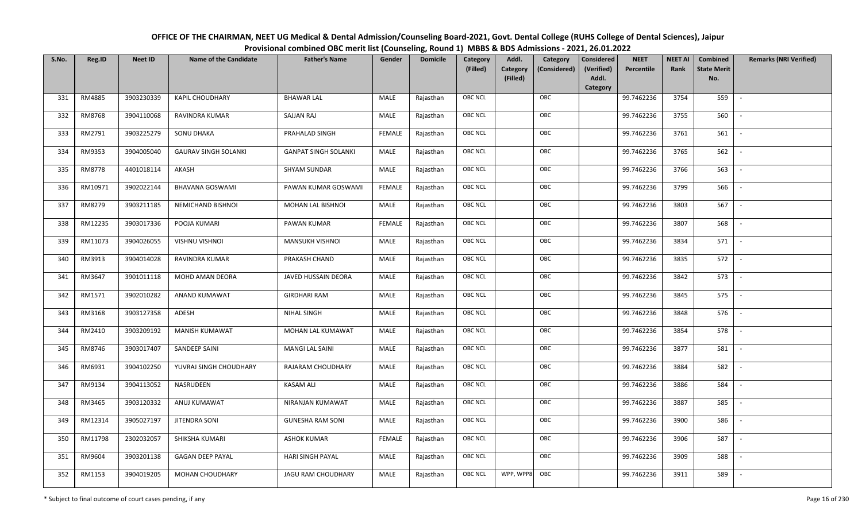| OFFICE OF THE CHAIRMAN, NEET UG Medical & Dental Admission/Counseling Board-2021, Govt. Dental College (RUHS College of Dental Sciences), Jaipur |
|--------------------------------------------------------------------------------------------------------------------------------------------------|
| Provisional combined OBC merit list (Counseling, Round 1) MBBS & BDS Admissions - 2021, 26.01.2022                                               |

| S.No. | Reg.ID  | <b>Neet ID</b> | <b>Name of the Candidate</b> | <b>Father's Name</b>        | Gender        | <b>Domicile</b> | Category<br>(Filled) | Addl.<br><b>Category</b><br>(Filled) | Category<br>(Considered) | <b>Considered</b><br>(Verified)<br>Addl. | <b>NEET</b><br>Percentile | <b>NEET AI</b><br>Rank | Combined<br><b>State Merit</b><br>No. | <b>Remarks (NRI Verified)</b> |
|-------|---------|----------------|------------------------------|-----------------------------|---------------|-----------------|----------------------|--------------------------------------|--------------------------|------------------------------------------|---------------------------|------------------------|---------------------------------------|-------------------------------|
|       |         |                |                              |                             |               |                 |                      |                                      |                          | Category                                 |                           |                        |                                       |                               |
| 331   | RM4885  | 3903230339     | <b>KAPIL CHOUDHARY</b>       | <b>BHAWAR LAL</b>           | MALE          | Rajasthan       | OBC NCL              |                                      | OBC                      |                                          | 99.7462236                | 3754                   | 559                                   | $\overline{\phantom{a}}$      |
| 332   | RM8768  | 3904110068     | RAVINDRA KUMAR               | <b>SAJJAN RAJ</b>           | MALE          | Rajasthan       | OBC NCL              |                                      | OBC                      |                                          | 99.7462236                | 3755                   | 560                                   |                               |
| 333   | RM2791  | 3903225279     | SONU DHAKA                   | PRAHALAD SINGH              | <b>FEMALE</b> | Rajasthan       | <b>OBC NCL</b>       |                                      | OBC                      |                                          | 99.7462236                | 3761                   | 561                                   | $\overline{\phantom{a}}$      |
| 334   | RM9353  | 3904005040     | <b>GAURAV SINGH SOLANKI</b>  | <b>GANPAT SINGH SOLANKI</b> | MALE          | Rajasthan       | OBC NCL              |                                      | OBC                      |                                          | 99.7462236                | 3765                   | 562                                   | $\overline{\phantom{a}}$      |
| 335   | RM8778  | 4401018114     | AKASH                        | SHYAM SUNDAR                | MALE          | Rajasthan       | OBC NCL              |                                      | OBC                      |                                          | 99.7462236                | 3766                   | 563                                   | $\sim$                        |
| 336   | RM10971 | 3902022144     | <b>BHAVANA GOSWAMI</b>       | PAWAN KUMAR GOSWAMI         | <b>FEMALE</b> | Rajasthan       | OBC NCL              |                                      | OBC                      |                                          | 99.7462236                | 3799                   | 566                                   | $\sim$                        |
| 337   | RM8279  | 3903211185     | NEMICHAND BISHNOI            | MOHAN LAL BISHNOI           | MALE          | Rajasthan       | OBC NCL              |                                      | OBC                      |                                          | 99.7462236                | 3803                   | 567                                   | $\overline{\phantom{a}}$      |
| 338   | RM12235 | 3903017336     | POOJA KUMARI                 | PAWAN KUMAR                 | <b>FEMALE</b> | Rajasthan       | OBC NCL              |                                      | OBC                      |                                          | 99.7462236                | 3807                   | 568                                   |                               |
| 339   | RM11073 | 3904026055     | <b>VISHNU VISHNOI</b>        | MANSUKH VISHNOI             | MALE          | Rajasthan       | OBC NCL              |                                      | OBC                      |                                          | 99.7462236                | 3834                   | 571                                   |                               |
| 340   | RM3913  | 3904014028     | RAVINDRA KUMAR               | PRAKASH CHAND               | MALE          | Rajasthan       | OBC NCL              |                                      | OBC                      |                                          | 99.7462236                | 3835                   | 572                                   |                               |
| 341   | RM3647  | 3901011118     | MOHD AMAN DEORA              | JAVED HUSSAIN DEORA         | MALE          | Rajasthan       | OBC NCL              |                                      | OBC                      |                                          | 99.7462236                | 3842                   | 573                                   |                               |
| 342   | RM1571  | 3902010282     | ANAND KUMAWAT                | <b>GIRDHARI RAM</b>         | MALE          | Rajasthan       | OBC NCL              |                                      | OBC                      |                                          | 99.7462236                | 3845                   | 575                                   | $\overline{\phantom{a}}$      |
| 343   | RM3168  | 3903127358     | ADESH                        | NIHAL SINGH                 | MALE          | Rajasthan       | OBC NCL              |                                      | OBC                      |                                          | 99.7462236                | 3848                   | 576                                   |                               |
| 344   | RM2410  | 3903209192     | MANISH KUMAWAT               | MOHAN LAL KUMAWAT           | MALE          | Rajasthan       | <b>OBC NCL</b>       |                                      | OBC                      |                                          | 99.7462236                | 3854                   | 578                                   | $\overline{\phantom{a}}$      |
| 345   | RM8746  | 3903017407     | SANDEEP SAINI                | <b>MANGI LAL SAINI</b>      | MALE          | Rajasthan       | OBC NCL              |                                      | OBC                      |                                          | 99.7462236                | 3877                   | 581                                   | $\overline{\phantom{a}}$      |
| 346   | RM6931  | 3904102250     | YUVRAJ SINGH CHOUDHARY       | RAJARAM CHOUDHARY           | MALE          | Rajasthan       | OBC NCL              |                                      | OBC                      |                                          | 99.7462236                | 3884                   | 582                                   | $\sim$                        |
| 347   | RM9134  | 3904113052     | NASRUDEEN                    | <b>KASAM ALI</b>            | MALE          | Rajasthan       | OBC NCL              |                                      | OBC                      |                                          | 99.7462236                | 3886                   | 584                                   | $\overline{\phantom{a}}$      |
| 348   | RM3465  | 3903120332     | ANUJ KUMAWAT                 | NIRANJAN KUMAWAT            | MALE          | Rajasthan       | OBC NCL              |                                      | OBC                      |                                          | 99.7462236                | 3887                   | 585                                   | $\overline{\phantom{a}}$      |
| 349   | RM12314 | 3905027197     | JITENDRA SONI                | <b>GUNESHA RAM SONI</b>     | MALE          | Rajasthan       | OBC NCL              |                                      | OBC                      |                                          | 99.7462236                | 3900                   | 586                                   |                               |
| 350   | RM11798 | 2302032057     | SHIKSHA KUMARI               | <b>ASHOK KUMAR</b>          | <b>FEMALE</b> | Rajasthan       | OBC NCL              |                                      | OBC                      |                                          | 99.7462236                | 3906                   | 587                                   |                               |
| 351   | RM9604  | 3903201138     | <b>GAGAN DEEP PAYAL</b>      | <b>HARI SINGH PAYAL</b>     | MALE          | Rajasthan       | OBC NCL              |                                      | OBC                      |                                          | 99.7462236                | 3909                   | 588                                   |                               |
| 352   | RM1153  | 3904019205     | MOHAN CHOUDHARY              | JAGU RAM CHOUDHARY          | MALE          | Rajasthan       | <b>OBC NCL</b>       | WPP, WPP8                            | OBC                      |                                          | 99.7462236                | 3911                   | 589                                   |                               |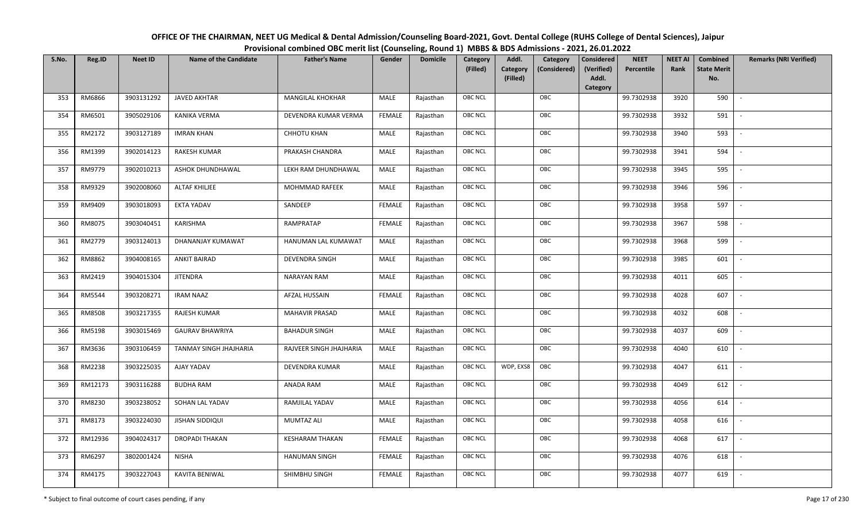| OFFICE OF THE CHAIRMAN, NEET UG Medical & Dental Admission/Counseling Board-2021, Govt. Dental College (RUHS College of Dental Sciences), Jaipur |
|--------------------------------------------------------------------------------------------------------------------------------------------------|
| Provisional combined OBC merit list (Counseling, Round 1) MBBS & BDS Admissions - 2021, 26.01.2022                                               |

| S.No. | Reg.ID  | <b>Neet ID</b> | <b>Name of the Candidate</b>  | <b>Father's Name</b>    | Gender        | <b>Domicile</b> | Category<br>(Filled) | Addl.<br><b>Category</b><br>(Filled) | Category<br>(Considered) | Considered<br>(Verified)<br>Addl. | <b>NEET</b><br>Percentile | <b>NEET AI</b><br>Rank | Combined<br><b>State Merit</b><br>No. | <b>Remarks (NRI Verified)</b> |
|-------|---------|----------------|-------------------------------|-------------------------|---------------|-----------------|----------------------|--------------------------------------|--------------------------|-----------------------------------|---------------------------|------------------------|---------------------------------------|-------------------------------|
| 353   | RM6866  | 3903131292     | <b>JAVED AKHTAR</b>           | <b>MANGILAL KHOKHAR</b> | MALE          | Rajasthan       | <b>OBC NCL</b>       |                                      | OBC                      | Category                          | 99.7302938                | 3920                   | 590                                   | $\overline{\phantom{a}}$      |
| 354   | RM6501  | 3905029106     | KANIKA VERMA                  | DEVENDRA KUMAR VERMA    | FEMALE        | Rajasthan       | OBC NCL              |                                      | OBC                      |                                   | 99.7302938                | 3932                   | 591                                   |                               |
| 355   | RM2172  | 3903127189     | <b>IMRAN KHAN</b>             | <b>CHHOTU KHAN</b>      | MALE          | Rajasthan       | <b>OBC NCL</b>       |                                      | OBC                      |                                   | 99.7302938                | 3940                   | 593                                   |                               |
| 356   | RM1399  | 3902014123     | RAKESH KUMAR                  | PRAKASH CHANDRA         | MALE          | Rajasthan       | OBC NCL              |                                      | OBC                      |                                   | 99.7302938                | 3941                   | 594                                   | $\overline{\phantom{a}}$      |
| 357   | RM9779  | 3902010213     | ASHOK DHUNDHAWAL              | LEKH RAM DHUNDHAWAL     | MALE          | Rajasthan       | <b>OBC NCL</b>       |                                      | OBC                      |                                   | 99.7302938                | 3945                   | 595                                   | $\sim$                        |
| 358   | RM9329  | 3902008060     | ALTAF KHILJEE                 | MOHMMAD RAFEEK          | MALE          | Rajasthan       | <b>OBC NCL</b>       |                                      | OBC                      |                                   | 99.7302938                | 3946                   | 596                                   | $\overline{\phantom{a}}$      |
| 359   | RM9409  | 3903018093     | <b>EKTA YADAV</b>             | SANDEEP                 | <b>FEMALE</b> | Rajasthan       | OBC NCL              |                                      | OBC                      |                                   | 99.7302938                | 3958                   | 597                                   | $\overline{\phantom{a}}$      |
| 360   | RM8075  | 3903040451     | KARISHMA                      | RAMPRATAP               | <b>FEMALE</b> | Rajasthan       | OBC NCL              |                                      | OBC                      |                                   | 99.7302938                | 3967                   | 598                                   |                               |
| 361   | RM2779  | 3903124013     | DHANANJAY KUMAWAT             | HANUMAN LAL KUMAWAT     | MALE          | Rajasthan       | OBC NCL              |                                      | OBC                      |                                   | 99.7302938                | 3968                   | 599                                   |                               |
| 362   | RM8862  | 3904008165     | <b>ANKIT BAIRAD</b>           | DEVENDRA SINGH          | MALE          | Rajasthan       | OBC NCL              |                                      | OBC                      |                                   | 99.7302938                | 3985                   | 601                                   |                               |
| 363   | RM2419  | 3904015304     | <b>JITENDRA</b>               | <b>NARAYAN RAM</b>      | MALE          | Rajasthan       | <b>OBC NCL</b>       |                                      | OBC                      |                                   | 99.7302938                | 4011                   | 605                                   |                               |
| 364   | RM5544  | 3903208271     | <b>IRAM NAAZ</b>              | AFZAL HUSSAIN           | <b>FEMALE</b> | Rajasthan       | OBC NCL              |                                      | OBC                      |                                   | 99.7302938                | 4028                   | 607                                   | $\overline{\phantom{a}}$      |
| 365   | RM8508  | 3903217355     | RAJESH KUMAR                  | <b>MAHAVIR PRASAD</b>   | MALE          | Rajasthan       | <b>OBC NCL</b>       |                                      | OBC                      |                                   | 99.7302938                | 4032                   | 608                                   |                               |
| 366   | RM5198  | 3903015469     | <b>GAURAV BHAWRIYA</b>        | <b>BAHADUR SINGH</b>    | MALE          | Rajasthan       | OBC NCL              |                                      | OBC                      |                                   | 99.7302938                | 4037                   | 609                                   | $\overline{\phantom{a}}$      |
| 367   | RM3636  | 3903106459     | <b>TANMAY SINGH JHAJHARIA</b> | RAJVEER SINGH JHAJHARIA | <b>MALE</b>   | Rajasthan       | OBC NCL              |                                      | OBC                      |                                   | 99.7302938                | 4040                   | 610                                   | $\sim$                        |
| 368   | RM2238  | 3903225035     | AJAY YADAV                    | DEVENDRA KUMAR          | MALE          | Rajasthan       | <b>OBC NCL</b>       | WDP, EXS8                            | OBC                      |                                   | 99.7302938                | 4047                   | 611                                   | $\overline{\phantom{a}}$      |
| 369   | RM12173 | 3903116288     | <b>BUDHA RAM</b>              | ANADA RAM               | MALE          | Rajasthan       | <b>OBC NCL</b>       |                                      | OBC                      |                                   | 99.7302938                | 4049                   | 612                                   | $\overline{\phantom{a}}$      |
| 370   | RM8230  | 3903238052     | SOHAN LAL YADAV               | RAMJILAL YADAV          | MALE          | Rajasthan       | OBC NCL              |                                      | OBC                      |                                   | 99.7302938                | 4056                   | 614                                   |                               |
| 371   | RM8173  | 3903224030     | <b>JISHAN SIDDIQUI</b>        | <b>MUMTAZ ALI</b>       | MALE          | Rajasthan       | <b>OBC NCL</b>       |                                      | OBC                      |                                   | 99.7302938                | 4058                   | 616                                   |                               |
| 372   | RM12936 | 3904024317     | <b>DROPADI THAKAN</b>         | <b>KESHARAM THAKAN</b>  | <b>FEMALE</b> | Rajasthan       | OBC NCL              |                                      | OBC                      |                                   | 99.7302938                | 4068                   | 617                                   | $\overline{\phantom{a}}$      |
| 373   | RM6297  | 3802001424     | <b>NISHA</b>                  | <b>HANUMAN SINGH</b>    | <b>FEMALE</b> | Rajasthan       | <b>OBC NCL</b>       |                                      | OBC                      |                                   | 99.7302938                | 4076                   | 618                                   |                               |
| 374   | RM4175  | 3903227043     | KAVITA BENIWAL                | SHIMBHU SINGH           | <b>FEMALE</b> | Rajasthan       | <b>OBC NCL</b>       |                                      | OBC                      |                                   | 99.7302938                | 4077                   | 619                                   |                               |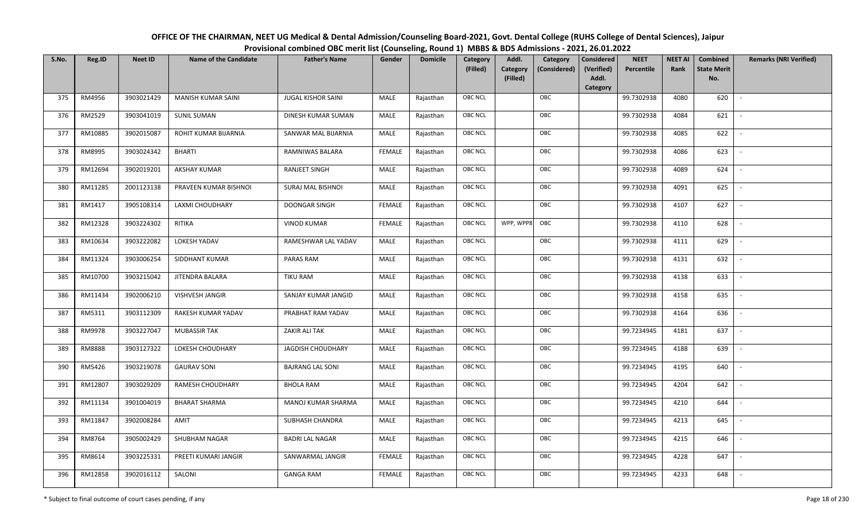| OFFICE OF THE CHAIRMAN, NEET UG Medical & Dental Admission/Counseling Board-2021, Govt. Dental College (RUHS College of Dental Sciences), Jaipur |
|--------------------------------------------------------------------------------------------------------------------------------------------------|
| Provisional combined OBC merit list (Counseling, Round 1) MBBS & BDS Admissions - 2021, 26.01.2022                                               |

| S.No. | Reg.ID  | <b>Neet ID</b> | <b>Name of the Candidate</b> | <b>Father's Name</b>      | Gender        | <b>Domicile</b> | Category<br>(Filled) | Addl.<br><b>Category</b><br>(Filled) | Category<br>(Considered) | Considered<br>(Verified)<br>Addl. | <b>NEET</b><br>Percentile | <b>NEET AI</b><br>Rank | Combined<br><b>State Merit</b><br>No. | <b>Remarks (NRI Verified)</b> |
|-------|---------|----------------|------------------------------|---------------------------|---------------|-----------------|----------------------|--------------------------------------|--------------------------|-----------------------------------|---------------------------|------------------------|---------------------------------------|-------------------------------|
|       |         |                |                              |                           |               |                 |                      |                                      |                          | Category                          |                           |                        |                                       |                               |
| 375   | RM4956  | 3903021429     | <b>MANISH KUMAR SAINI</b>    | <b>JUGAL KISHOR SAINI</b> | MALE          | Rajasthan       | <b>OBC NCL</b>       |                                      | OBC                      |                                   | 99.7302938                | 4080                   | 620                                   | $\sim$                        |
| 376   | RM2529  | 3903041019     | <b>SUNIL SUMAN</b>           | DINESH KUMAR SUMAN        | MALE          | Rajasthan       | OBC NCL              |                                      | OBC                      |                                   | 99.7302938                | 4084                   | 621                                   |                               |
| 377   | RM10885 | 3902015087     | ROHIT KUMAR BIJARNIA         | SANWAR MAL BIJARNIA       | MALE          | Rajasthan       | <b>OBC NCL</b>       |                                      | OBC                      |                                   | 99.7302938                | 4085                   | 622                                   | $\blacksquare$                |
| 378   | RM8995  | 3903024342     | <b>BHARTI</b>                | RAMNIWAS BALARA           | <b>FEMALE</b> | Rajasthan       | OBC NCL              |                                      | OBC                      |                                   | 99.7302938                | 4086                   | 623                                   | $\overline{\phantom{a}}$      |
| 379   | RM12694 | 3902019201     | AKSHAY KUMAR                 | RANJEET SINGH             | MALE          | Rajasthan       | <b>OBC NCL</b>       |                                      | OBC                      |                                   | 99.7302938                | 4089                   | 624                                   | $\overline{\phantom{a}}$      |
| 380   | RM11285 | 2001123138     | PRAVEEN KUMAR BISHNOI        | <b>SURAJ MAL BISHNOI</b>  | MALE          | Rajasthan       | <b>OBC NCL</b>       |                                      | OBC                      |                                   | 99.7302938                | 4091                   | 625                                   | $\overline{\phantom{a}}$      |
| 381   | RM1417  | 3905108314     | LAXMI CHOUDHARY              | <b>DOONGAR SINGH</b>      | <b>FEMALE</b> | Rajasthan       | <b>OBC NCL</b>       |                                      | OBC                      |                                   | 99.7302938                | 4107                   | 627                                   | $\overline{\phantom{a}}$      |
| 382   | RM12328 | 3903224302     | RITIKA                       | <b>VINOD KUMAR</b>        | <b>FEMALE</b> | Rajasthan       | <b>OBC NCL</b>       | WPP, WPP8                            | OBC                      |                                   | 99.7302938                | 4110                   | 628                                   |                               |
| 383   | RM10634 | 3903222082     | LOKESH YADAV                 | RAMESHWAR LAL YADAV       | MALE          | Rajasthan       | <b>OBC NCL</b>       |                                      | OBC                      |                                   | 99.7302938                | 4111                   | 629                                   |                               |
| 384   | RM11324 | 3903006254     | SIDDHANT KUMAR               | PARAS RAM                 | MALE          | Rajasthan       | OBC NCL              |                                      | OBC                      |                                   | 99.7302938                | 4131                   | 632                                   |                               |
| 385   | RM10700 | 3903215042     | <b>JITENDRA BALARA</b>       | <b>TIKU RAM</b>           | MALE          | Rajasthan       | <b>OBC NCL</b>       |                                      | OBC                      |                                   | 99.7302938                | 4138                   | 633                                   |                               |
| 386   | RM11434 | 3902006210     | VISHVESH JANGIR              | SANJAY KUMAR JANGID       | MALE          | Rajasthan       | OBC NCL              |                                      | OBC                      |                                   | 99.7302938                | 4158                   | 635                                   | $\sim$                        |
| 387   | RM5311  | 3903112309     | RAKESH KUMAR YADAV           | PRABHAT RAM YADAV         | MALE          | Rajasthan       | <b>OBC NCL</b>       |                                      | OBC                      |                                   | 99.7302938                | 4164                   | 636                                   |                               |
| 388   | RM9978  | 3903227047     | <b>MUBASSIR TAK</b>          | ZAKIR ALI TAK             | MALE          | Rajasthan       | <b>OBC NCL</b>       |                                      | OBC                      |                                   | 99.7234945                | 4181                   | 637                                   | $\sim$                        |
| 389   | RM8888  | 3903127322     | LOKESH CHOUDHARY             | <b>JAGDISH CHOUDHARY</b>  | <b>MALE</b>   | Rajasthan       | OBC NCL              |                                      | OBC                      |                                   | 99.7234945                | 4188                   | 639                                   | $\overline{\phantom{a}}$      |
| 390   | RM5426  | 3903219078     | <b>GAURAV SONI</b>           | <b>BAJRANG LAL SONI</b>   | MALE          | Rajasthan       | <b>OBC NCL</b>       |                                      | OBC                      |                                   | 99.7234945                | 4195                   | 640                                   | $\overline{\phantom{a}}$      |
| 391   | RM12807 | 3903029209     | RAMESH CHOUDHARY             | <b>BHOLA RAM</b>          | MALE          | Rajasthan       | <b>OBC NCL</b>       |                                      | OBC                      |                                   | 99.7234945                | 4204                   | 642                                   | $\overline{\phantom{a}}$      |
| 392   | RM11134 | 3901004019     | <b>BHARAT SHARMA</b>         | MANOJ KUMAR SHARMA        | MALE          | Rajasthan       | OBC NCL              |                                      | OBC                      |                                   | 99.7234945                | 4210                   | 644                                   |                               |
| 393   | RM11847 | 3902008284     | AMIT                         | SUBHASH CHANDRA           | MALE          | Rajasthan       | <b>OBC NCL</b>       |                                      | OBC                      |                                   | 99.7234945                | 4213                   | 645                                   |                               |
| 394   | RM8764  | 3905002429     | SHUBHAM NAGAR                | <b>BADRI LAL NAGAR</b>    | MALE          | Rajasthan       | OBC NCL              |                                      | OBC                      |                                   | 99.7234945                | 4215                   | 646                                   | $\overline{\phantom{a}}$      |
| 395   | RM8614  | 3903225331     | PREETI KUMARI JANGIR         | SANWARMAL JANGIR          | <b>FEMALE</b> | Rajasthan       | <b>OBC NCL</b>       |                                      | OBC                      |                                   | 99.7234945                | 4228                   | 647                                   | $\overline{\phantom{a}}$      |
| 396   | RM12858 | 3902016112     | SALONI                       | <b>GANGA RAM</b>          | <b>FEMALE</b> | Rajasthan       | <b>OBC NCL</b>       |                                      | OBC                      |                                   | 99.7234945                | 4233                   | 648                                   |                               |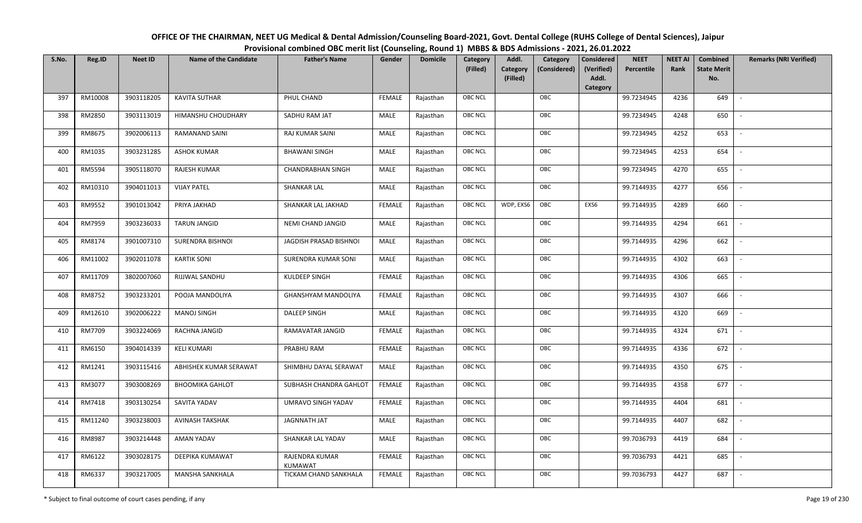| OFFICE OF THE CHAIRMAN, NEET UG Medical & Dental Admission/Counseling Board-2021, Govt. Dental College (RUHS College of Dental Sciences), Jaipur |
|--------------------------------------------------------------------------------------------------------------------------------------------------|
| Provisional combined OBC merit list (Counseling, Round 1) MBBS & BDS Admissions - 2021, 26.01.2022                                               |

| S.No. | Reg.ID  | <b>Neet ID</b> | <b>Name of the Candidate</b> | <b>Father's Name</b>             | Gender        | <b>Domicile</b> | Category<br>(Filled) | Addl.<br>Category | Category<br>(Considered) | <b>Considered</b><br>(Verified) | <b>NEET</b><br>Percentile | <b>NEET AI</b><br>Rank | Combined<br><b>State Merit</b> | <b>Remarks (NRI Verified)</b> |
|-------|---------|----------------|------------------------------|----------------------------------|---------------|-----------------|----------------------|-------------------|--------------------------|---------------------------------|---------------------------|------------------------|--------------------------------|-------------------------------|
|       |         |                |                              |                                  |               |                 |                      | (Filled)          |                          | Addl.<br>Category               |                           |                        | No.                            |                               |
| 397   | RM10008 | 3903118205     | <b>KAVITA SUTHAR</b>         | PHUL CHAND                       | <b>FEMALE</b> | Rajasthan       | OBC NCL              |                   | OBC                      |                                 | 99.7234945                | 4236                   | 649                            | $\sim$                        |
| 398   | RM2850  | 3903113019     | HIMANSHU CHOUDHARY           | SADHU RAM JAT                    | MALE          | Rajasthan       | OBC NCL              |                   | OBC                      |                                 | 99.7234945                | 4248                   | 650                            |                               |
| 399   | RM8675  | 3902006113     | RAMANAND SAINI               | RAJ KUMAR SAINI                  | MALE          | Rajasthan       | OBC NCL              |                   | OBC                      |                                 | 99.7234945                | 4252                   | 653                            |                               |
| 400   | RM1035  | 3903231285     | <b>ASHOK KUMAR</b>           | <b>BHAWANI SINGH</b>             | MALE          | Rajasthan       | OBC NCL              |                   | OBC                      |                                 | 99.7234945                | 4253                   | 654                            | $\overline{\phantom{a}}$      |
| 401   | RM5594  | 3905118070     | RAJESH KUMAR                 | <b>CHANDRABHAN SINGH</b>         | MALE          | Rajasthan       | OBC NCL              |                   | OBC                      |                                 | 99.7234945                | 4270                   | 655                            | $\overline{\phantom{a}}$      |
| 402   | RM10310 | 3904011013     | <b>VIJAY PATEL</b>           | <b>SHANKAR LAL</b>               | MALE          | Rajasthan       | OBC NCL              |                   | OBC                      |                                 | 99.7144935                | 4277                   | 656                            | $\overline{\phantom{a}}$      |
| 403   | RM9552  | 3901013042     | PRIYA JAKHAD                 | SHANKAR LAL JAKHAD               | <b>FEMALE</b> | Rajasthan       | OBC NCL              | WDP, EXS6         | OBC                      | EXS6                            | 99.7144935                | 4289                   | 660                            | $\overline{\phantom{a}}$      |
| 404   | RM7959  | 3903236033     | TARUN JANGID                 | NEMI CHAND JANGID                | MALE          | Rajasthan       | OBC NCL              |                   | OBC                      |                                 | 99.7144935                | 4294                   | 661                            |                               |
| 405   | RM8174  | 3901007310     | SURENDRA BISHNOI             | JAGDISH PRASAD BISHNOI           | MALE          | Rajasthan       | OBC NCL              |                   | OBC                      |                                 | 99.7144935                | 4296                   | 662                            |                               |
| 406   | RM11002 | 3902011078     | <b>KARTIK SONI</b>           | SURENDRA KUMAR SONI              | MALE          | Rajasthan       | OBC NCL              |                   | OBC                      |                                 | 99.7144935                | 4302                   | 663                            |                               |
| 407   | RM11709 | 3802007060     | RIJJWAL SANDHU               | KULDEEP SINGH                    | <b>FEMALE</b> | Rajasthan       | <b>OBC NCL</b>       |                   | OBC                      |                                 | 99.7144935                | 4306                   | 665                            |                               |
| 408   | RM8752  | 3903233201     | POOJA MANDOLIYA              | <b>GHANSHYAM MANDOLIYA</b>       | <b>FEMALE</b> | Rajasthan       | OBC NCL              |                   | OBC                      |                                 | 99.7144935                | 4307                   | 666                            |                               |
| 409   | RM12610 | 3902006222     | <b>MANOJ SINGH</b>           | <b>DALEEP SINGH</b>              | MALE          | Rajasthan       | OBC NCL              |                   | OBC                      |                                 | 99.7144935                | 4320                   | 669                            |                               |
| 410   | RM7709  | 3903224069     | RACHNA JANGID                | RAMAVATAR JANGID                 | <b>FEMALE</b> | Rajasthan       | OBC NCL              |                   | OBC                      |                                 | 99.7144935                | 4324                   | 671                            | $\overline{\phantom{a}}$      |
| 411   | RM6150  | 3904014339     | <b>KELI KUMARI</b>           | PRABHU RAM                       | <b>FEMALE</b> | Rajasthan       | OBC NCL              |                   | OBC                      |                                 | 99.7144935                | 4336                   | 672                            | $\overline{\phantom{a}}$      |
| 412   | RM1241  | 3903115416     | ABHISHEK KUMAR SERAWAT       | SHIMBHU DAYAL SERAWAT            | MALE          | Rajasthan       | OBC NCL              |                   | OBC                      |                                 | 99.7144935                | 4350                   | 675                            | $\overline{\phantom{a}}$      |
| 413   | RM3077  | 3903008269     | <b>BHOOMIKA GAHLOT</b>       | SUBHASH CHANDRA GAHLOT           | <b>FEMALE</b> | Rajasthan       | OBC NCL              |                   | OBC                      |                                 | 99.7144935                | 4358                   | 677                            | $\overline{\phantom{a}}$      |
| 414   | RM7418  | 3903130254     | SAVITA YADAV                 | UMRAVO SINGH YADAV               | <b>FEMALE</b> | Rajasthan       | OBC NCL              |                   | OBC                      |                                 | 99.7144935                | 4404                   | 681                            |                               |
| 415   | RM11240 | 3903238003     | AVINASH TAKSHAK              | JAGNNATH JAT                     | MALE          | Rajasthan       | <b>OBC NCL</b>       |                   | OBC                      |                                 | 99.7144935                | 4407                   | 682                            |                               |
| 416   | RM8987  | 3903214448     | <b>AMAN YADAV</b>            | SHANKAR LAL YADAV                | MALE          | Rajasthan       | OBC NCL              |                   | OBC                      |                                 | 99.7036793                | 4419                   | 684                            |                               |
| 417   | RM6122  | 3903028175     | DEEPIKA KUMAWAT              | RAJENDRA KUMAR<br><b>KUMAWAT</b> | <b>FEMALE</b> | Rajasthan       | OBC NCL              |                   | OBC                      |                                 | 99.7036793                | 4421                   | 685                            |                               |
| 418   | RM6337  | 3903217005     | <b>MANSHA SANKHALA</b>       | TICKAM CHAND SANKHALA            | <b>FEMALE</b> | Rajasthan       | OBC NCL              |                   | OBC                      |                                 | 99.7036793                | 4427                   | 687                            |                               |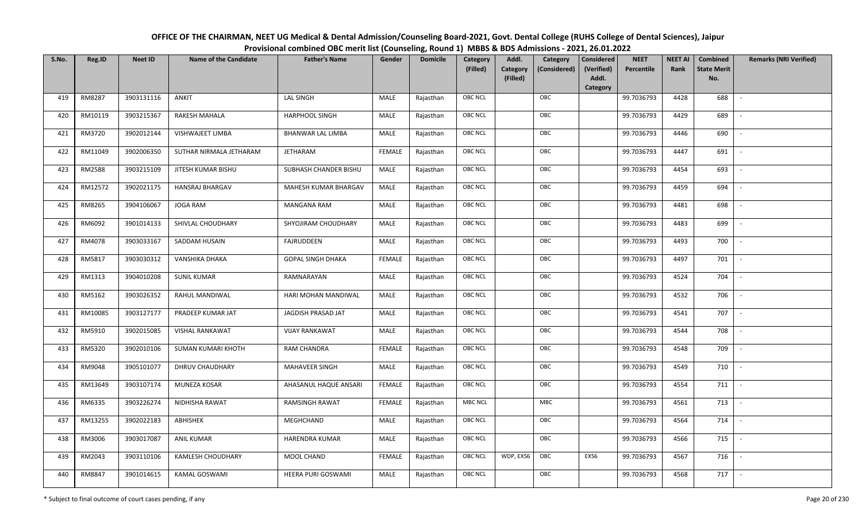| OFFICE OF THE CHAIRMAN, NEET UG Medical & Dental Admission/Counseling Board-2021, Govt. Dental College (RUHS College of Dental Sciences), Jaipur |
|--------------------------------------------------------------------------------------------------------------------------------------------------|
| Provisional combined OBC merit list (Counseling, Round 1) MBBS & BDS Admissions - 2021, 26.01.2022                                               |

| S.No. | Reg.ID  | <b>Neet ID</b> | <b>Name of the Candidate</b> | <b>Father's Name</b>     | Gender        | <b>Domicile</b> | Category<br>(Filled) | Addl.<br><b>Category</b><br>(Filled) | Category<br>(Considered) | <b>Considered</b><br>(Verified)<br>Addl. | <b>NEET</b><br>Percentile | <b>NEET AI</b><br>Rank | <b>Combined</b><br><b>State Merit</b><br>No. | <b>Remarks (NRI Verified)</b> |
|-------|---------|----------------|------------------------------|--------------------------|---------------|-----------------|----------------------|--------------------------------------|--------------------------|------------------------------------------|---------------------------|------------------------|----------------------------------------------|-------------------------------|
|       |         |                |                              |                          |               |                 |                      |                                      |                          | <b>Category</b>                          |                           |                        |                                              |                               |
| 419   | RM8287  | 3903131116     | ANKIT                        | <b>LAL SINGH</b>         | MALE          | Rajasthan       | OBC NCL              |                                      | OBC                      |                                          | 99.7036793                | 4428                   | 688                                          | $\overline{\phantom{a}}$      |
| 420   | RM10119 | 3903215367     | RAKESH MAHALA                | <b>HARPHOOL SINGH</b>    | MALE          | Rajasthan       | OBC NCL              |                                      | OBC                      |                                          | 99.7036793                | 4429                   | 689                                          |                               |
| 421   | RM3720  | 3902012144     | VISHWAJEET LIMBA             | <b>BHANWAR LAL LIMBA</b> | MALE          | Rajasthan       | <b>OBC NCL</b>       |                                      | OBC                      |                                          | 99.7036793                | 4446                   | 690                                          |                               |
| 422   | RM11049 | 3902006350     | SUTHAR NIRMALA JETHARAM      | <b>JETHARAM</b>          | <b>FEMALE</b> | Rajasthan       | OBC NCL              |                                      | OBC                      |                                          | 99.7036793                | 4447                   | 691                                          | $\overline{\phantom{a}}$      |
| 423   | RM2588  | 3903215109     | JITESH KUMAR BISHU           | SUBHASH CHANDER BISHU    | MALE          | Rajasthan       | OBC NCL              |                                      | OBC                      |                                          | 99.7036793                | 4454                   | 693                                          | $\sim$                        |
| 424   | RM12572 | 3902021175     | HANSRAJ BHARGAV              | MAHESH KUMAR BHARGAV     | MALE          | Rajasthan       | OBC NCL              |                                      | OBC                      |                                          | 99.7036793                | 4459                   | 694                                          | $\overline{\phantom{a}}$      |
| 425   | RM8265  | 3904106067     | <b>JOGA RAM</b>              | MANGANA RAM              | <b>MALE</b>   | Rajasthan       | OBC NCL              |                                      | OBC                      |                                          | 99.7036793                | 4481                   | 698                                          | $\overline{\phantom{a}}$      |
| 426   | RM6092  | 3901014133     | SHIVLAL CHOUDHARY            | SHYOJIRAM CHOUDHARY      | MALE          | Rajasthan       | OBC NCL              |                                      | OBC                      |                                          | 99.7036793                | 4483                   | 699                                          |                               |
| 427   | RM4078  | 3903033167     | SADDAM HUSAIN                | <b>FAJRUDDEEN</b>        | MALE          | Rajasthan       | OBC NCL              |                                      | OBC                      |                                          | 99.7036793                | 4493                   | 700                                          |                               |
| 428   | RM5817  | 3903030312     | VANSHIKA DHAKA               | <b>GOPAL SINGH DHAKA</b> | <b>FEMALE</b> | Rajasthan       | OBC NCL              |                                      | OBC                      |                                          | 99.7036793                | 4497                   | 701                                          | $\overline{\phantom{a}}$      |
| 429   | RM1313  | 3904010208     | <b>SUNIL KUMAR</b>           | RAMNARAYAN               | MALE          | Rajasthan       | OBC NCL              |                                      | OBC                      |                                          | 99.7036793                | 4524                   | 704                                          |                               |
| 430   | RM5162  | 3903026352     | RAHUL MANDIWAL               | HARI MOHAN MANDIWAL      | MALE          | Rajasthan       | OBC NCL              |                                      | OBC                      |                                          | 99.7036793                | 4532                   | 706                                          | $\sim$                        |
| 431   | RM10085 | 3903127177     | PRADEEP KUMAR JAT            | JAGDISH PRASAD JAT       | MALE          | Rajasthan       | OBC NCL              |                                      | OBC                      |                                          | 99.7036793                | 4541                   | 707                                          |                               |
| 432   | RM5910  | 3902015085     | <b>VISHAL RANKAWAT</b>       | <b>VIJAY RANKAWAT</b>    | MALE          | Rajasthan       | <b>OBC NCL</b>       |                                      | OBC                      |                                          | 99.7036793                | 4544                   | 708                                          | $\sim$                        |
| 433   | RM5320  | 3902010106     | SUMAN KUMARI KHOTH           | RAM CHANDRA              | <b>FEMALE</b> | Rajasthan       | OBC NCL              |                                      | OBC                      |                                          | 99.7036793                | 4548                   | 709                                          | $\overline{\phantom{a}}$      |
| 434   | RM9048  | 3905101077     | DHRUV CHAUDHARY              | MAHAVEER SINGH           | MALE          | Rajasthan       | OBC NCL              |                                      | OBC                      |                                          | 99.7036793                | 4549                   | 710                                          | $\sim$                        |
| 435   | RM13649 | 3903107174     | MUNEZA KOSAR                 | AHASANUL HAQUE ANSARI    | <b>FEMALE</b> | Rajasthan       | OBC NCL              |                                      | OBC                      |                                          | 99.7036793                | 4554                   | 711                                          | $\sim$                        |
| 436   | RM6335  | 3903226274     | NIDHISHA RAWAT               | RAMSINGH RAWAT           | <b>FEMALE</b> | Rajasthan       | <b>MBC NCL</b>       |                                      | MBC                      |                                          | 99.7036793                | 4561                   | 713                                          | $\overline{\phantom{a}}$      |
| 437   | RM13255 | 3902022183     | ABHISHEK                     | MEGHCHAND                | MALE          | Rajasthan       | OBC NCL              |                                      | OBC                      |                                          | 99.7036793                | 4564                   | 714                                          |                               |
| 438   | RM3006  | 3903017087     | <b>ANIL KUMAR</b>            | HARENDRA KUMAR           | MALE          | Rajasthan       | OBC NCL              |                                      | OBC                      |                                          | 99.7036793                | 4566                   | 715                                          |                               |
| 439   | RM2043  | 3903110106     | <b>KAMLESH CHOUDHARY</b>     | MOOL CHAND               | <b>FEMALE</b> | Rajasthan       | OBC NCL              | WDP, EXS6                            | OBC                      | EXS6                                     | 99.7036793                | 4567                   | 716                                          | $\overline{\phantom{a}}$      |
| 440   | RM8847  | 3901014615     | KAMAL GOSWAMI                | HEERA PURI GOSWAMI       | MALE          | Rajasthan       | <b>OBC NCL</b>       |                                      | OBC                      |                                          | 99.7036793                | 4568                   | 717                                          |                               |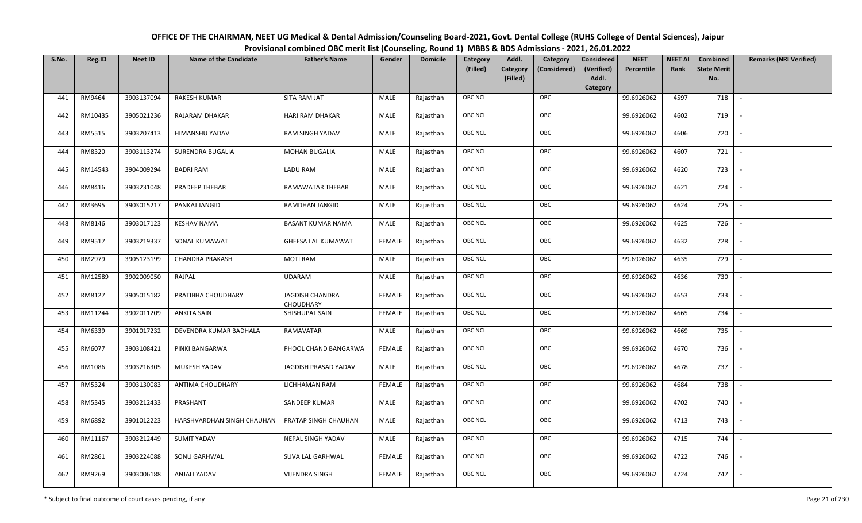| OFFICE OF THE CHAIRMAN, NEET UG Medical & Dental Admission/Counseling Board-2021, Govt. Dental College (RUHS College of Dental Sciences), Jaipur |
|--------------------------------------------------------------------------------------------------------------------------------------------------|
| Provisional combined OBC merit list (Counseling, Round 1) MBBS & BDS Admissions - 2021, 26.01.2022                                               |

| S.No. | Reg.ID  | <b>Neet ID</b> | <b>Name of the Candidate</b> | <b>Father's Name</b>                | Gender        | <b>Domicile</b> | Category<br>(Filled) | Addl.<br><b>Category</b><br>(Filled) | Category<br>(Considered) | Considered<br>(Verified)<br>Addl. | <b>NEET</b><br>Percentile | <b>NEET AI</b><br>Rank | Combined<br><b>State Merit</b><br>No. | <b>Remarks (NRI Verified)</b> |
|-------|---------|----------------|------------------------------|-------------------------------------|---------------|-----------------|----------------------|--------------------------------------|--------------------------|-----------------------------------|---------------------------|------------------------|---------------------------------------|-------------------------------|
|       |         |                |                              |                                     |               |                 | <b>OBC NCL</b>       |                                      | OBC                      | Category                          |                           |                        |                                       |                               |
| 441   | RM9464  | 3903137094     | <b>RAKESH KUMAR</b>          | SITA RAM JAT                        | MALE          | Rajasthan       |                      |                                      |                          |                                   | 99.6926062                | 4597                   | 718                                   | $\overline{\phantom{a}}$      |
| 442   | RM10435 | 3905021236     | RAJARAM DHAKAR               | <b>HARI RAM DHAKAR</b>              | MALE          | Rajasthan       | OBC NCL              |                                      | OBC                      |                                   | 99.6926062                | 4602                   | 719                                   |                               |
| 443   | RM5515  | 3903207413     | HIMANSHU YADAV               | <b>RAM SINGH YADAV</b>              | MALE          | Rajasthan       | <b>OBC NCL</b>       |                                      | OBC                      |                                   | 99.6926062                | 4606                   | 720                                   |                               |
| 444   | RM8320  | 3903113274     | SURENDRA BUGALIA             | <b>MOHAN BUGALIA</b>                | MALE          | Rajasthan       | OBC NCL              |                                      | OBC                      |                                   | 99.6926062                | 4607                   | 721                                   | $\overline{\phantom{a}}$      |
| 445   | RM14543 | 3904009294     | <b>BADRI RAM</b>             | LADU RAM                            | MALE          | Rajasthan       | <b>OBC NCL</b>       |                                      | OBC                      |                                   | 99.6926062                | 4620                   | 723                                   | $\overline{\phantom{a}}$      |
| 446   | RM8416  | 3903231048     | PRADEEP THEBAR               | RAMAWATAR THEBAR                    | MALE          | Rajasthan       | <b>OBC NCL</b>       |                                      | OBC                      |                                   | 99.6926062                | 4621                   | 724                                   | $\overline{\phantom{a}}$      |
| 447   | RM3695  | 3903015217     | PANKAJ JANGID                | RAMDHAN JANGID                      | MALE          | Rajasthan       | <b>OBC NCL</b>       |                                      | OBC                      |                                   | 99.6926062                | 4624                   | 725                                   | $\overline{\phantom{a}}$      |
| 448   | RM8146  | 3903017123     | <b>KESHAV NAMA</b>           | <b>BASANT KUMAR NAMA</b>            | MALE          | Rajasthan       | OBC NCL              |                                      | OBC                      |                                   | 99.6926062                | 4625                   | 726                                   |                               |
| 449   | RM9517  | 3903219337     | SONAL KUMAWAT                | <b>GHEESA LAL KUMAWAT</b>           | <b>FEMALE</b> | Rajasthan       | <b>OBC NCL</b>       |                                      | OBC                      |                                   | 99.6926062                | 4632                   | 728                                   |                               |
| 450   | RM2979  | 3905123199     | <b>CHANDRA PRAKASH</b>       | <b>MOTI RAM</b>                     | MALE          | Rajasthan       | OBC NCL              |                                      | OBC                      |                                   | 99.6926062                | 4635                   | 729                                   |                               |
| 451   | RM12589 | 3902009050     | RAJPAL                       | <b>UDARAM</b>                       | MALE          | Rajasthan       | <b>OBC NCL</b>       |                                      | OBC                      |                                   | 99.6926062                | 4636                   | 730                                   |                               |
| 452   | RM8127  | 3905015182     | PRATIBHA CHOUDHARY           | <b>JAGDISH CHANDRA</b><br>CHOUDHARY | <b>FEMALE</b> | Rajasthan       | <b>OBC NCL</b>       |                                      | OBC                      |                                   | 99.6926062                | 4653                   | 733                                   |                               |
| 453   | RM11244 | 3902011209     | <b>ANKITA SAIN</b>           | SHISHUPAL SAIN                      | <b>FEMALE</b> | Rajasthan       | <b>OBC NCL</b>       |                                      | OBC                      |                                   | 99.6926062                | 4665                   | 734                                   |                               |
| 454   | RM6339  | 3901017232     | DEVENDRA KUMAR BADHALA       | RAMAVATAR                           | MALE          | Rajasthan       | <b>OBC NCL</b>       |                                      | OBC                      |                                   | 99.6926062                | 4669                   | 735                                   | $\overline{\phantom{a}}$      |
| 455   | RM6077  | 3903108421     | PINKI BANGARWA               | PHOOL CHAND BANGARWA                | <b>FEMALE</b> | Rajasthan       | OBC NCL              |                                      | OBC                      |                                   | 99.6926062                | 4670                   | 736                                   | $\sim$                        |
| 456   | RM1086  | 3903216305     | MUKESH YADAV                 | JAGDISH PRASAD YADAV                | MALE          | Rajasthan       | <b>OBC NCL</b>       |                                      | OBC                      |                                   | 99.6926062                | 4678                   | 737                                   | $\sim$                        |
| 457   | RM5324  | 3903130083     | ANTIMA CHOUDHARY             | LICHHAMAN RAM                       | <b>FEMALE</b> | Rajasthan       | <b>OBC NCL</b>       |                                      | OBC                      |                                   | 99.6926062                | 4684                   | 738                                   | $\overline{\phantom{a}}$      |
| 458   | RM5345  | 3903212433     | PRASHANT                     | SANDEEP KUMAR                       | MALE          | Rajasthan       | OBC NCL              |                                      | OBC                      |                                   | 99.6926062                | 4702                   | 740                                   |                               |
| 459   | RM6892  | 3901012223     | HARSHVARDHAN SINGH CHAUHAN   | PRATAP SINGH CHAUHAN                | MALE          | Rajasthan       | <b>OBC NCL</b>       |                                      | OBC                      |                                   | 99.6926062                | 4713                   | 743                                   |                               |
| 460   | RM11167 | 3903212449     | <b>SUMIT YADAV</b>           | NEPAL SINGH YADAV                   | MALE          | Rajasthan       | <b>OBC NCL</b>       |                                      | OBC                      |                                   | 99.6926062                | 4715                   | 744                                   | $\overline{\phantom{a}}$      |
| 461   | RM2861  | 3903224088     | SONU GARHWAL                 | SUVA LAL GARHWAL                    | <b>FEMALE</b> | Rajasthan       | <b>OBC NCL</b>       |                                      | OBC                      |                                   | 99.6926062                | 4722                   | 746                                   |                               |
| 462   | RM9269  | 3903006188     | ANJALI YADAV                 | <b>VIJENDRA SINGH</b>               | <b>FEMALE</b> | Rajasthan       | <b>OBC NCL</b>       |                                      | OBC                      |                                   | 99.6926062                | 4724                   | 747                                   |                               |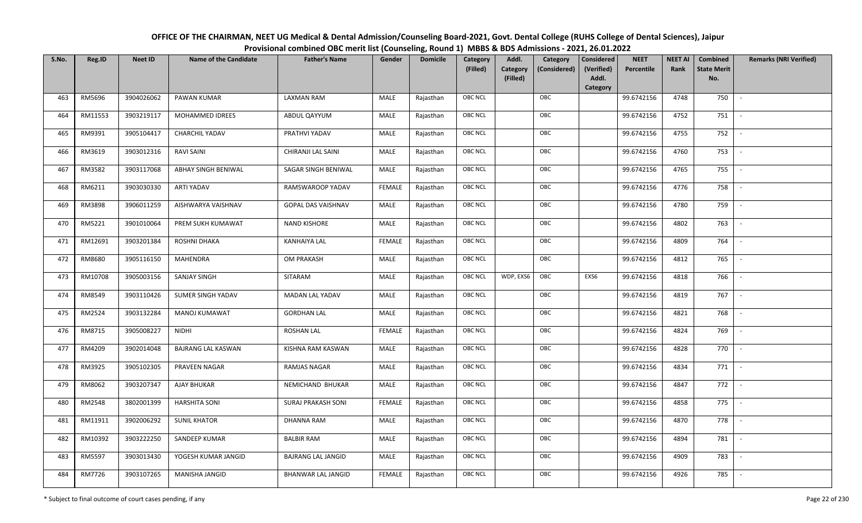| OFFICE OF THE CHAIRMAN, NEET UG Medical & Dental Admission/Counseling Board-2021, Govt. Dental College (RUHS College of Dental Sciences), Jaipur |
|--------------------------------------------------------------------------------------------------------------------------------------------------|
| Provisional combined OBC merit list (Counseling, Round 1) MBBS & BDS Admissions - 2021, 26.01.2022                                               |

| S.No. | Reg.ID  | <b>Neet ID</b> | <b>Name of the Candidate</b> | <b>Father's Name</b>      | Gender        | <b>Domicile</b> | Category<br>(Filled) | Addl.<br>Category | Category<br>(Considered) | <b>Considered</b><br>(Verified)<br>Addl. | <b>NEET</b><br>Percentile | <b>NEET AI</b><br>Rank | Combined<br><b>State Merit</b><br>No. | <b>Remarks (NRI Verified)</b> |
|-------|---------|----------------|------------------------------|---------------------------|---------------|-----------------|----------------------|-------------------|--------------------------|------------------------------------------|---------------------------|------------------------|---------------------------------------|-------------------------------|
|       |         |                |                              |                           |               |                 |                      | (Filled)          |                          | Category                                 |                           |                        |                                       |                               |
| 463   | RM5696  | 3904026062     | PAWAN KUMAR                  | <b>LAXMAN RAM</b>         | MALE          | Rajasthan       | OBC NCL              |                   | OBC                      |                                          | 99.6742156                | 4748                   | 750                                   | $\sim$                        |
| 464   | RM11553 | 3903219117     | MOHAMMED IDREES              | ABDUL QAYYUM              | MALE          | Rajasthan       | OBC NCL              |                   | OBC                      |                                          | 99.6742156                | 4752                   | 751                                   |                               |
| 465   | RM9391  | 3905104417     | CHARCHIL YADAV               | PRATHVI YADAV             | MALE          | Rajasthan       | OBC NCL              |                   | OBC                      |                                          | 99.6742156                | 4755                   | 752                                   | $\overline{\phantom{a}}$      |
| 466   | RM3619  | 3903012316     | RAVI SAINI                   | CHIRANJI LAL SAINI        | MALE          | Rajasthan       | OBC NCL              |                   | OBC                      |                                          | 99.6742156                | 4760                   | 753                                   | $\overline{\phantom{a}}$      |
| 467   | RM3582  | 3903117068     | ABHAY SINGH BENIWAL          | SAGAR SINGH BENIWAL       | MALE          | Rajasthan       | OBC NCL              |                   | OBC                      |                                          | 99.6742156                | 4765                   | 755                                   | $\sim$                        |
| 468   | RM6211  | 3903030330     | <b>ARTI YADAV</b>            | RAMSWAROOP YADAV          | <b>FEMALE</b> | Rajasthan       | OBC NCL              |                   | OBC                      |                                          | 99.6742156                | 4776                   | 758                                   | $\sim$                        |
| 469   | RM3898  | 3906011259     | AISHWARYA VAISHNAV           | GOPAL DAS VAISHNAV        | MALE          | Rajasthan       | OBC NCL              |                   | OBC                      |                                          | 99.6742156                | 4780                   | 759                                   | $\overline{\phantom{a}}$      |
| 470   | RM5221  | 3901010064     | PREM SUKH KUMAWAT            | <b>NAND KISHORE</b>       | MALE          | Rajasthan       | OBC NCL              |                   | OBC                      |                                          | 99.6742156                | 4802                   | 763                                   |                               |
| 471   | RM12691 | 3903201384     | ROSHNI DHAKA                 | <b>KANHAIYA LAL</b>       | <b>FEMALE</b> | Rajasthan       | OBC NCL              |                   | OBC                      |                                          | 99.6742156                | 4809                   | 764                                   |                               |
| 472   | RM8680  | 3905116150     | MAHENDRA                     | <b>OM PRAKASH</b>         | MALE          | Rajasthan       | OBC NCL              |                   | OBC                      |                                          | 99.6742156                | 4812                   | 765                                   | $\overline{\phantom{a}}$      |
| 473   | RM10708 | 3905003156     | SANJAY SINGH                 | SITARAM                   | MALE          | Rajasthan       | OBC NCL              | WDP, EXS6         | OBC                      | EXS6                                     | 99.6742156                | 4818                   | 766                                   |                               |
| 474   | RM8549  | 3903110426     | SUMER SINGH YADAV            | MADAN LAL YADAV           | MALE          | Rajasthan       | OBC NCL              |                   | OBC                      |                                          | 99.6742156                | 4819                   | 767                                   | $\sim$                        |
| 475   | RM2524  | 3903132284     | <b>MANOJ KUMAWAT</b>         | <b>GORDHAN LAL</b>        | MALE          | Rajasthan       | OBC NCL              |                   | OBC                      |                                          | 99.6742156                | 4821                   | 768                                   |                               |
| 476   | RM8715  | 3905008227     | NIDHI                        | <b>ROSHAN LAL</b>         | <b>FEMALE</b> | Rajasthan       | <b>OBC NCL</b>       |                   | OBC                      |                                          | 99.6742156                | 4824                   | 769                                   | $\sim$                        |
| 477   | RM4209  | 3902014048     | <b>BAJRANG LAL KASWAN</b>    | KISHNA RAM KASWAN         | MALE          | Rajasthan       | OBC NCL              |                   | OBC                      |                                          | 99.6742156                | 4828                   | 770                                   | $\overline{\phantom{a}}$      |
| 478   | RM3925  | 3905102305     | PRAVEEN NAGAR                | RAMJAS NAGAR              | <b>MALE</b>   | Rajasthan       | OBC NCL              |                   | OBC                      |                                          | 99.6742156                | 4834                   | 771                                   | $\sim$                        |
| 479   | RM8062  | 3903207347     | <b>AJAY BHUKAR</b>           | NEMICHAND BHUKAR          | MALE          | Rajasthan       | OBC NCL              |                   | OBC                      |                                          | 99.6742156                | 4847                   | 772                                   | $\sim$                        |
| 480   | RM2548  | 3802001399     | <b>HARSHITA SONI</b>         | SURAJ PRAKASH SONI        | <b>FEMALE</b> | Rajasthan       | OBC NCL              |                   | OBC                      |                                          | 99.6742156                | 4858                   | 775                                   | $\overline{\phantom{a}}$      |
| 481   | RM11911 | 3902006292     | <b>SUNIL KHATOR</b>          | <b>DHANNA RAM</b>         | MALE          | Rajasthan       | OBC NCL              |                   | OBC                      |                                          | 99.6742156                | 4870                   | 778                                   |                               |
| 482   | RM10392 | 3903222250     | SANDEEP KUMAR                | <b>BALBIR RAM</b>         | MALE          | Rajasthan       | OBC NCL              |                   | OBC                      |                                          | 99.6742156                | 4894                   | 781                                   |                               |
| 483   | RM5597  | 3903013430     | YOGESH KUMAR JANGID          | <b>BAJRANG LAL JANGID</b> | MALE          | Rajasthan       | OBC NCL              |                   | OBC                      |                                          | 99.6742156                | 4909                   | 783                                   | $\overline{\phantom{a}}$      |
| 484   | RM7726  | 3903107265     | MANISHA JANGID               | <b>BHANWAR LAL JANGID</b> | <b>FEMALE</b> | Rajasthan       | <b>OBC NCL</b>       |                   | OBC                      |                                          | 99.6742156                | 4926                   | 785                                   |                               |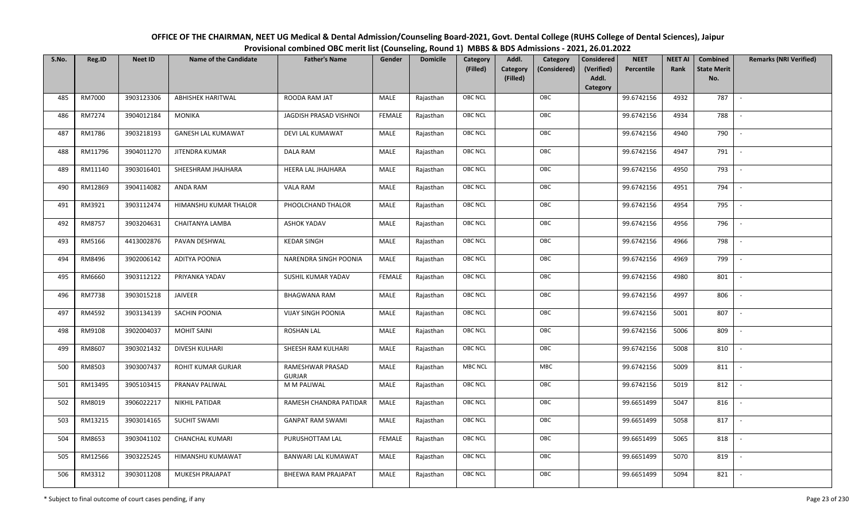| OFFICE OF THE CHAIRMAN, NEET UG Medical & Dental Admission/Counseling Board-2021, Govt. Dental College (RUHS College of Dental Sciences), Jaipur |
|--------------------------------------------------------------------------------------------------------------------------------------------------|
| Provisional combined OBC merit list (Counseling, Round 1) MBBS & BDS Admissions - 2021, 26.01.2022                                               |

| S.No. | Reg.ID  | <b>Neet ID</b> | <b>Name of the Candidate</b> | <b>Father's Name</b>              | Gender        | <b>Domicile</b> | Category<br>(Filled) | Addl.<br><b>Category</b><br>(Filled) | Category<br>(Considered) | Considered<br>(Verified)<br>Addl. | <b>NEET</b><br>Percentile | <b>NEET AI</b><br>Rank | Combined<br><b>State Merit</b><br>No. | <b>Remarks (NRI Verified)</b> |
|-------|---------|----------------|------------------------------|-----------------------------------|---------------|-----------------|----------------------|--------------------------------------|--------------------------|-----------------------------------|---------------------------|------------------------|---------------------------------------|-------------------------------|
| 485   | RM7000  | 3903123306     | <b>ABHISHEK HARITWAL</b>     | ROODA RAM JAT                     | MALE          | Rajasthan       | <b>OBC NCL</b>       |                                      | OBC                      | Category                          | 99.6742156                | 4932                   | 787                                   | $\sim$                        |
| 486   | RM7274  | 3904012184     | <b>MONIKA</b>                | JAGDISH PRASAD VISHNOI            | <b>FEMALE</b> | Rajasthan       | OBC NCL              |                                      | OBC                      |                                   | 99.6742156                | 4934                   | 788                                   |                               |
| 487   | RM1786  | 3903218193     | <b>GANESH LAL KUMAWAT</b>    | DEVI LAL KUMAWAT                  | MALE          | Rajasthan       | <b>OBC NCL</b>       |                                      | OBC                      |                                   | 99.6742156                | 4940                   | 790                                   |                               |
| 488   | RM11796 | 3904011270     | JITENDRA KUMAR               | DALA RAM                          | MALE          | Rajasthan       | OBC NCL              |                                      | OBC                      |                                   | 99.6742156                | 4947                   | 791                                   | $\overline{\phantom{a}}$      |
| 489   | RM11140 | 3903016401     | SHEESHRAM JHAJHARA           | HEERA LAL JHAJHARA                | MALE          | Rajasthan       | <b>OBC NCL</b>       |                                      | OBC                      |                                   | 99.6742156                | 4950                   | 793                                   | $\sim$                        |
| 490   | RM12869 | 3904114082     | ANDA RAM                     | VALA RAM                          | MALE          | Rajasthan       | <b>OBC NCL</b>       |                                      | OBC                      |                                   | 99.6742156                | 4951                   | 794                                   | $\overline{\phantom{a}}$      |
| 491   | RM3921  | 3903112474     | HIMANSHU KUMAR THALOR        | PHOOLCHAND THALOR                 | MALE          | Rajasthan       | <b>OBC NCL</b>       |                                      | OBC                      |                                   | 99.6742156                | 4954                   | 795                                   | $\overline{\phantom{a}}$      |
| 492   | RM8757  | 3903204631     | <b>CHAITANYA LAMBA</b>       | <b>ASHOK YADAV</b>                | MALE          | Rajasthan       | OBC NCL              |                                      | OBC                      |                                   | 99.6742156                | 4956                   | 796                                   |                               |
| 493   | RM5166  | 4413002876     | PAVAN DESHWAL                | <b>KEDAR SINGH</b>                | MALE          | Rajasthan       | <b>OBC NCL</b>       |                                      | OBC                      |                                   | 99.6742156                | 4966                   | 798                                   |                               |
| 494   | RM8496  | 3902006142     | <b>ADITYA POONIA</b>         | NARENDRA SINGH POONIA             | MALE          | Rajasthan       | OBC NCL              |                                      | OBC                      |                                   | 99.6742156                | 4969                   | 799                                   |                               |
| 495   | RM6660  | 3903112122     | PRIYANKA YADAV               | SUSHIL KUMAR YADAV                | <b>FEMALE</b> | Rajasthan       | <b>OBC NCL</b>       |                                      | OBC                      |                                   | 99.6742156                | 4980                   | 801                                   |                               |
| 496   | RM7738  | 3903015218     | JAIVEER                      | <b>BHAGWANA RAM</b>               | MALE          | Rajasthan       | OBC NCL              |                                      | OBC                      |                                   | 99.6742156                | 4997                   | 806                                   |                               |
| 497   | RM4592  | 3903134139     | SACHIN POONIA                | <b>VIJAY SINGH POONIA</b>         | MALE          | Rajasthan       | <b>OBC NCL</b>       |                                      | OBC                      |                                   | 99.6742156                | 5001                   | 807                                   |                               |
| 498   | RM9108  | 3902004037     | <b>MOHIT SAINI</b>           | <b>ROSHAN LAL</b>                 | MALE          | Rajasthan       | OBC NCL              |                                      | OBC                      |                                   | 99.6742156                | 5006                   | 809                                   | $\overline{a}$                |
| 499   | RM8607  | 3903021432     | DIVESH KULHARI               | SHEESH RAM KULHARI                | <b>MALE</b>   | Rajasthan       | OBC NCL              |                                      | OBC                      |                                   | 99.6742156                | 5008                   | 810                                   | $\sim$                        |
| 500   | RM8503  | 3903007437     | ROHIT KUMAR GURJAR           | RAMESHWAR PRASAD<br><b>GURJAR</b> | MALE          | Rajasthan       | <b>MBC NCL</b>       |                                      | MBC                      |                                   | 99.6742156                | 5009                   | 811                                   | $\sim$                        |
| 501   | RM13495 | 3905103415     | PRANAV PALIWAL               | M M PALIWAL                       | MALE          | Rajasthan       | <b>OBC NCL</b>       |                                      | OBC                      |                                   | 99.6742156                | 5019                   | 812                                   | $\overline{\phantom{a}}$      |
| 502   | RM8019  | 3906022217     | NIKHIL PATIDAR               | RAMESH CHANDRA PATIDAR            | MALE          | Rajasthan       | OBC NCL              |                                      | OBC                      |                                   | 99.6651499                | 5047                   | 816                                   |                               |
| 503   | RM13215 | 3903014165     | <b>SUCHIT SWAMI</b>          | <b>GANPAT RAM SWAMI</b>           | MALE          | Rajasthan       | <b>OBC NCL</b>       |                                      | OBC                      |                                   | 99.6651499                | 5058                   | 817                                   |                               |
| 504   | RM8653  | 3903041102     | <b>CHANCHAL KUMARI</b>       | PURUSHOTTAM LAL                   | <b>FEMALE</b> | Rajasthan       | OBC NCL              |                                      | OBC                      |                                   | 99.6651499                | 5065                   | 818                                   |                               |
| 505   | RM12566 | 3903225245     | HIMANSHU KUMAWAT             | <b>BANWARI LAL KUMAWAT</b>        | <b>MALE</b>   | Rajasthan       | <b>OBC NCL</b>       |                                      | OBC                      |                                   | 99.6651499                | 5070                   | 819                                   |                               |
| 506   | RM3312  | 3903011208     | <b>MUKESH PRAJAPAT</b>       | BHEEWA RAM PRAJAPAT               | MALE          | Rajasthan       | <b>OBC NCL</b>       |                                      | OBC                      |                                   | 99.6651499                | 5094                   | 821                                   |                               |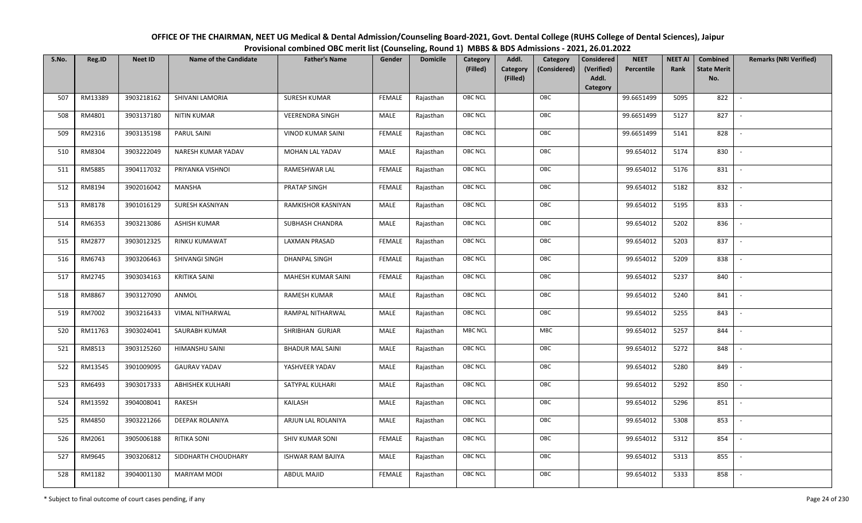| OFFICE OF THE CHAIRMAN, NEET UG Medical & Dental Admission/Counseling Board-2021, Govt. Dental College (RUHS College of Dental Sciences), Jaipur |
|--------------------------------------------------------------------------------------------------------------------------------------------------|
| Provisional combined OBC merit list (Counseling, Round 1) MBBS & BDS Admissions - 2021, 26.01.2022                                               |

| S.No. | Reg.ID  | <b>Neet ID</b> | <b>Name of the Candidate</b> | <b>Father's Name</b>     | Gender        | <b>Domicile</b> | Category<br>(Filled) | Addl.<br>Category | Category<br>(Considered) | <b>Considered</b><br>(Verified) | <b>NEET</b><br>Percentile | <b>NEET AI</b><br>Rank | Combined<br><b>State Merit</b> | <b>Remarks (NRI Verified)</b> |
|-------|---------|----------------|------------------------------|--------------------------|---------------|-----------------|----------------------|-------------------|--------------------------|---------------------------------|---------------------------|------------------------|--------------------------------|-------------------------------|
|       |         |                |                              |                          |               |                 |                      | (Filled)          |                          | Addl.<br>Category               |                           |                        | No.                            |                               |
| 507   | RM13389 | 3903218162     | SHIVANI LAMORIA              | <b>SURESH KUMAR</b>      | <b>FEMALE</b> | Rajasthan       | OBC NCL              |                   | OBC                      |                                 | 99.6651499                | 5095                   | 822                            | $\overline{\phantom{a}}$      |
| 508   | RM4801  | 3903137180     | <b>NITIN KUMAR</b>           | <b>VEERENDRA SINGH</b>   | MALE          | Rajasthan       | OBC NCL              |                   | OBC                      |                                 | 99.6651499                | 5127                   | 827                            |                               |
| 509   | RM2316  | 3903135198     | PARUL SAINI                  | <b>VINOD KUMAR SAINI</b> | <b>FEMALE</b> | Rajasthan       | <b>OBC NCL</b>       |                   | OBC                      |                                 | 99.6651499                | 5141                   | 828                            | $\overline{\phantom{a}}$      |
| 510   | RM8304  | 3903222049     | NARESH KUMAR YADAV           | MOHAN LAL YADAV          | MALE          | Rajasthan       | OBC NCL              |                   | OBC                      |                                 | 99.654012                 | 5174                   | 830                            | $\overline{\phantom{a}}$      |
| 511   | RM5885  | 3904117032     | PRIYANKA VISHNOI             | RAMESHWAR LAL            | <b>FEMALE</b> | Rajasthan       | OBC NCL              |                   | OBC                      |                                 | 99.654012                 | 5176                   | 831                            | $\sim$                        |
| 512   | RM8194  | 3902016042     | MANSHA                       | PRATAP SINGH             | <b>FEMALE</b> | Rajasthan       | OBC NCL              |                   | OBC                      |                                 | 99.654012                 | 5182                   | 832                            | $\sim$                        |
| 513   | RM8178  | 3901016129     | SURESH KASNIYAN              | RAMKISHOR KASNIYAN       | MALE          | Rajasthan       | OBC NCL              |                   | OBC                      |                                 | 99.654012                 | 5195                   | 833                            | $\overline{\phantom{a}}$      |
| 514   | RM6353  | 3903213086     | <b>ASHISH KUMAR</b>          | SUBHASH CHANDRA          | MALE          | Rajasthan       | OBC NCL              |                   | OBC                      |                                 | 99.654012                 | 5202                   | 836                            |                               |
| 515   | RM2877  | 3903012325     | RINKU KUMAWAT                | LAXMAN PRASAD            | <b>FEMALE</b> | Rajasthan       | OBC NCL              |                   | OBC                      |                                 | 99.654012                 | 5203                   | 837                            |                               |
| 516   | RM6743  | 3903206463     | SHIVANGI SINGH               | <b>DHANPAL SINGH</b>     | <b>FEMALE</b> | Rajasthan       | OBC NCL              |                   | OBC                      |                                 | 99.654012                 | 5209                   | 838                            | $\overline{\phantom{a}}$      |
| 517   | RM2745  | 3903034163     | <b>KRITIKA SAINI</b>         | MAHESH KUMAR SAINI       | <b>FEMALE</b> | Rajasthan       | OBC NCL              |                   | OBC                      |                                 | 99.654012                 | 5237                   | 840                            |                               |
| 518   | RM8867  | 3903127090     | ANMOL                        | <b>RAMESH KUMAR</b>      | MALE          | Rajasthan       | OBC NCL              |                   | OBC                      |                                 | 99.654012                 | 5240                   | 841                            | $\sim$                        |
| 519   | RM7002  | 3903216433     | <b>VIMAL NITHARWAL</b>       | RAMPAL NITHARWAL         | MALE          | Rajasthan       | OBC NCL              |                   | OBC                      |                                 | 99.654012                 | 5255                   | 843                            |                               |
| 520   | RM11763 | 3903024041     | SAURABH KUMAR                | SHRIBHAN GURJAR          | MALE          | Rajasthan       | <b>MBC NCL</b>       |                   | <b>MBC</b>               |                                 | 99.654012                 | 5257                   | 844                            | $\overline{\phantom{a}}$      |
| 521   | RM8513  | 3903125260     | HIMANSHU SAINI               | <b>BHADUR MAL SAINI</b>  | MALE          | Rajasthan       | OBC NCL              |                   | OBC                      |                                 | 99.654012                 | 5272                   | 848                            | $\overline{\phantom{a}}$      |
| 522   | RM13545 | 3901009095     | <b>GAURAV YADAV</b>          | YASHVEER YADAV           | MALE          | Rajasthan       | OBC NCL              |                   | OBC                      |                                 | 99.654012                 | 5280                   | 849                            | $\sim$                        |
| 523   | RM6493  | 3903017333     | <b>ABHISHEK KULHARI</b>      | SATYPAL KULHARI          | MALE          | Rajasthan       | OBC NCL              |                   | OBC                      |                                 | 99.654012                 | 5292                   | 850                            | $\sim$                        |
| 524   | RM13592 | 3904008041     | RAKESH                       | KAILASH                  | MALE          | Rajasthan       | OBC NCL              |                   | OBC                      |                                 | 99.654012                 | 5296                   | 851                            | $\overline{\phantom{a}}$      |
| 525   | RM4850  | 3903221266     | DEEPAK ROLANIYA              | ARJUN LAL ROLANIYA       | MALE          | Rajasthan       | OBC NCL              |                   | OBC                      |                                 | 99.654012                 | 5308                   | 853                            |                               |
| 526   | RM2061  | 3905006188     | <b>RITIKA SONI</b>           | SHIV KUMAR SONI          | <b>FEMALE</b> | Rajasthan       | OBC NCL              |                   | OBC                      |                                 | 99.654012                 | 5312                   | 854                            |                               |
| 527   | RM9645  | 3903206812     | SIDDHARTH CHOUDHARY          | <b>ISHWAR RAM BAJIYA</b> | MALE          | Rajasthan       | OBC NCL              |                   | OBC                      |                                 | 99.654012                 | 5313                   | 855                            | $\overline{\phantom{a}}$      |
| 528   | RM1182  | 3904001130     | MARIYAM MODI                 | ABDUL MAJID              | <b>FEMALE</b> | Rajasthan       | OBC NCL              |                   | OBC                      |                                 | 99.654012                 | 5333                   | 858                            |                               |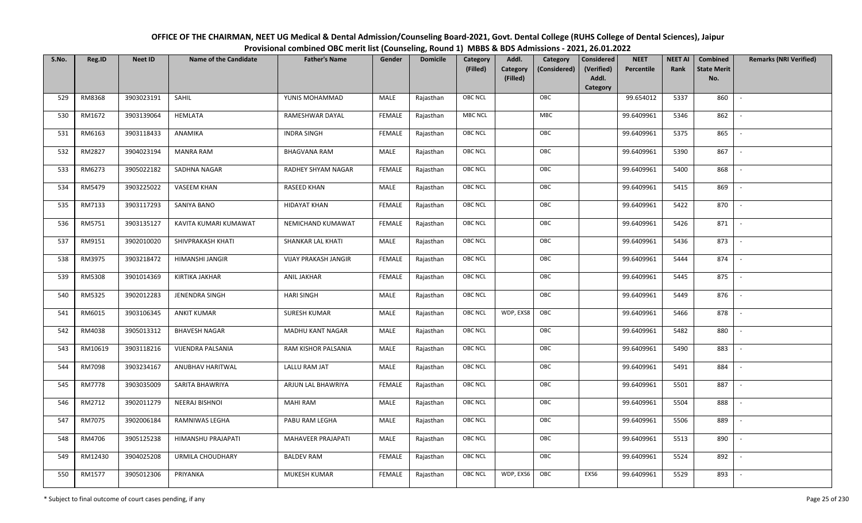| OFFICE OF THE CHAIRMAN, NEET UG Medical & Dental Admission/Counseling Board-2021, Govt. Dental College (RUHS College of Dental Sciences), Jaipur |
|--------------------------------------------------------------------------------------------------------------------------------------------------|
| Provisional combined OBC merit list (Counseling, Round 1) MBBS & BDS Admissions - 2021, 26.01.2022                                               |

| S.No. | Reg.ID        | <b>Neet ID</b> | <b>Name of the Candidate</b> | <b>Father's Name</b>        | Gender        | <b>Domicile</b> | Category<br>(Filled) | Addl.<br>Category<br>(Filled) | Category<br>(Considered) | <b>Considered</b><br>(Verified)<br>Addl. | <b>NEET</b><br>Percentile | <b>NEET AI</b><br>Rank | Combined<br><b>State Merit</b><br>No. | <b>Remarks (NRI Verified)</b> |
|-------|---------------|----------------|------------------------------|-----------------------------|---------------|-----------------|----------------------|-------------------------------|--------------------------|------------------------------------------|---------------------------|------------------------|---------------------------------------|-------------------------------|
|       |               |                |                              |                             |               |                 |                      |                               |                          | Category                                 |                           |                        |                                       |                               |
| 529   | RM8368        | 3903023191     | SAHIL                        | YUNIS MOHAMMAD              | MALE          | Rajasthan       | OBC NCL              |                               | OBC                      |                                          | 99.654012                 | 5337                   | 860                                   | $\overline{\phantom{a}}$      |
| 530   | RM1672        | 3903139064     | <b>HEMLATA</b>               | RAMESHWAR DAYAL             | <b>FEMALE</b> | Rajasthan       | <b>MBC NCL</b>       |                               | <b>MBC</b>               |                                          | 99.6409961                | 5346                   | 862                                   |                               |
| 531   | RM6163        | 3903118433     | ANAMIKA                      | <b>INDRA SINGH</b>          | <b>FEMALE</b> | Rajasthan       | <b>OBC NCL</b>       |                               | OBC                      |                                          | 99.6409961                | 5375                   | 865                                   | $\overline{\phantom{a}}$      |
| 532   | RM2827        | 3904023194     | <b>MANRA RAM</b>             | <b>BHAGVANA RAM</b>         | MALE          | Rajasthan       | OBC NCL              |                               | OBC                      |                                          | 99.6409961                | 5390                   | 867                                   | $\overline{\phantom{a}}$      |
| 533   | RM6273        | 3905022182     | SADHNA NAGAR                 | RADHEY SHYAM NAGAR          | <b>FEMALE</b> | Rajasthan       | OBC NCL              |                               | OBC                      |                                          | 99.6409961                | 5400                   | 868                                   | $\sim$                        |
| 534   | RM5479        | 3903225022     | <b>VASEEM KHAN</b>           | <b>RASEED KHAN</b>          | MALE          | Rajasthan       | OBC NCL              |                               | OBC                      |                                          | 99.6409961                | 5415                   | 869                                   | $\sim$                        |
| 535   | RM7133        | 3903117293     | SANIYA BANO                  | <b>HIDAYAT KHAN</b>         | <b>FEMALE</b> | Rajasthan       | OBC NCL              |                               | OBC                      |                                          | 99.6409961                | 5422                   | 870                                   | $\overline{a}$                |
| 536   | RM5751        | 3903135127     | KAVITA KUMARI KUMAWAT        | NEMICHAND KUMAWAT           | <b>FEMALE</b> | Rajasthan       | OBC NCL              |                               | OBC                      |                                          | 99.6409961                | 5426                   | 871                                   |                               |
| 537   | RM9151        | 3902010020     | SHIVPRAKASH KHATI            | SHANKAR LAL KHATI           | MALE          | Rajasthan       | OBC NCL              |                               | OBC                      |                                          | 99.6409961                | 5436                   | 873                                   |                               |
| 538   | RM3975        | 3903218472     | HIMANSHI JANGIR              | <b>VIJAY PRAKASH JANGIR</b> | <b>FEMALE</b> | Rajasthan       | OBC NCL              |                               | OBC                      |                                          | 99.6409961                | 5444                   | 874                                   | $\overline{\phantom{a}}$      |
| 539   | RM5308        | 3901014369     | KIRTIKA JAKHAR               | ANIL JAKHAR                 | <b>FEMALE</b> | Rajasthan       | OBC NCL              |                               | OBC                      |                                          | 99.6409961                | 5445                   | 875                                   |                               |
| 540   | RM5325        | 3902012283     | JENENDRA SINGH               | <b>HARI SINGH</b>           | MALE          | Rajasthan       | OBC NCL              |                               | OBC                      |                                          | 99.6409961                | 5449                   | 876                                   | $\sim$                        |
| 541   | RM6015        | 3903106345     | <b>ANKIT KUMAR</b>           | <b>SURESH KUMAR</b>         | MALE          | Rajasthan       | OBC NCL              | WDP, EXS8                     | OBC                      |                                          | 99.6409961                | 5466                   | 878                                   |                               |
| 542   | RM4038        | 3905013312     | <b>BHAVESH NAGAR</b>         | <b>MADHU KANT NAGAR</b>     | MALE          | Rajasthan       | <b>OBC NCL</b>       |                               | OBC                      |                                          | 99.6409961                | 5482                   | 880                                   |                               |
| 543   | RM10619       | 3903118216     | VIJENDRA PALSANIA            | RAM KISHOR PALSANIA         | MALE          | Rajasthan       | OBC NCL              |                               | OBC                      |                                          | 99.6409961                | 5490                   | 883                                   | $\overline{\phantom{a}}$      |
| 544   | RM7098        | 3903234167     | ANUBHAV HARITWAL             | LALLU RAM JAT               | <b>MALE</b>   | Rajasthan       | OBC NCL              |                               | OBC                      |                                          | 99.6409961                | 5491                   | 884                                   | $\sim$                        |
| 545   | <b>RM7778</b> | 3903035009     | SARITA BHAWRIYA              | ARJUN LAL BHAWRIYA          | <b>FEMALE</b> | Rajasthan       | OBC NCL              |                               | OBC                      |                                          | 99.6409961                | 5501                   | 887                                   | $\overline{\phantom{a}}$      |
| 546   | RM2712        | 3902011279     | NEERAJ BISHNOI               | <b>MAHI RAM</b>             | MALE          | Rajasthan       | OBC NCL              |                               | OBC                      |                                          | 99.6409961                | 5504                   | 888                                   | $\overline{\phantom{a}}$      |
| 547   | RM7075        | 3902006184     | RAMNIWAS LEGHA               | PABU RAM LEGHA              | MALE          | Rajasthan       | OBC NCL              |                               | OBC                      |                                          | 99.6409961                | 5506                   | 889                                   |                               |
| 548   | RM4706        | 3905125238     | HIMANSHU PRAJAPATI           | MAHAVEER PRAJAPATI          | MALE          | Rajasthan       | OBC NCL              |                               | OBC                      |                                          | 99.6409961                | 5513                   | 890                                   |                               |
| 549   | RM12430       | 3904025208     | URMILA CHOUDHARY             | <b>BALDEV RAM</b>           | <b>FEMALE</b> | Rajasthan       | OBC NCL              |                               | OBC                      |                                          | 99.6409961                | 5524                   | 892                                   |                               |
| 550   | RM1577        | 3905012306     | PRIYANKA                     | <b>MUKESH KUMAR</b>         | <b>FEMALE</b> | Rajasthan       | OBC NCL              | WDP, EXS6                     | OBC                      | EXS6                                     | 99.6409961                | 5529                   | 893                                   |                               |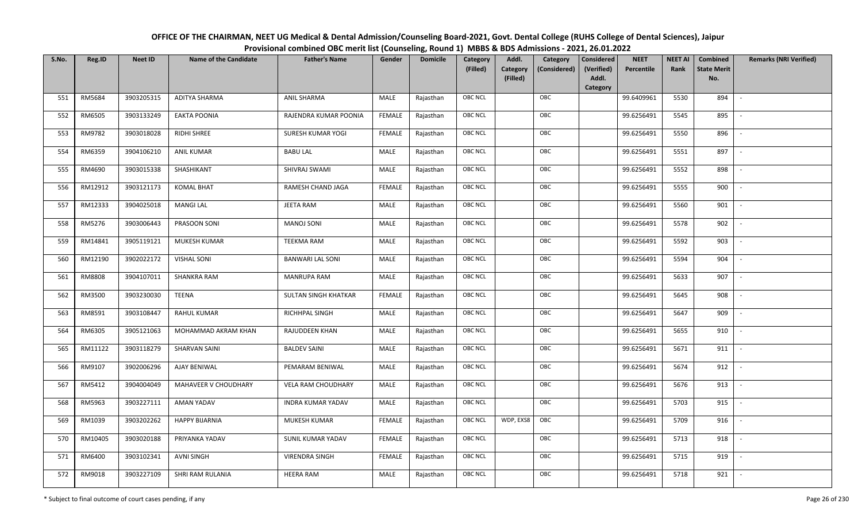| OFFICE OF THE CHAIRMAN, NEET UG Medical & Dental Admission/Counseling Board-2021, Govt. Dental College (RUHS College of Dental Sciences), Jaipur |
|--------------------------------------------------------------------------------------------------------------------------------------------------|
| Provisional combined OBC merit list (Counseling, Round 1) MBBS & BDS Admissions - 2021, 26.01.2022                                               |

| S.No. | Reg.ID  | <b>Neet ID</b> | <b>Name of the Candidate</b> | <b>Father's Name</b>     | Gender        | <b>Domicile</b> | Category<br>(Filled) | Addl.<br>Category<br>(Filled) | Category<br>(Considered) | <b>Considered</b><br>(Verified)<br>Addl. | <b>NEET</b><br>Percentile | <b>NEET AI</b><br>Rank | Combined<br><b>State Merit</b><br>No. | <b>Remarks (NRI Verified)</b> |
|-------|---------|----------------|------------------------------|--------------------------|---------------|-----------------|----------------------|-------------------------------|--------------------------|------------------------------------------|---------------------------|------------------------|---------------------------------------|-------------------------------|
|       |         |                |                              |                          |               |                 |                      |                               |                          | Category                                 |                           |                        |                                       |                               |
| 551   | RM5684  | 3903205315     | <b>ADITYA SHARMA</b>         | <b>ANIL SHARMA</b>       | MALE          | Rajasthan       | OBC NCL              |                               | OBC                      |                                          | 99.6409961                | 5530                   | 894                                   | $\overline{\phantom{a}}$      |
| 552   | RM6505  | 3903133249     | EAKTA POONIA                 | RAJENDRA KUMAR POONIA    | <b>FEMALE</b> | Rajasthan       | OBC NCL              |                               | OBC                      |                                          | 99.6256491                | 5545                   | 895                                   |                               |
| 553   | RM9782  | 3903018028     | RIDHI SHREE                  | <b>SURESH KUMAR YOGI</b> | <b>FEMALE</b> | Rajasthan       | <b>OBC NCL</b>       |                               | OBC                      |                                          | 99.6256491                | 5550                   | 896                                   |                               |
| 554   | RM6359  | 3904106210     | <b>ANIL KUMAR</b>            | <b>BABU LAL</b>          | MALE          | Rajasthan       | OBC NCL              |                               | OBC                      |                                          | 99.6256491                | 5551                   | 897                                   | $\overline{\phantom{a}}$      |
| 555   | RM4690  | 3903015338     | SHASHIKANT                   | SHIVRAJ SWAMI            | MALE          | Rajasthan       | OBC NCL              |                               | OBC                      |                                          | 99.6256491                | 5552                   | 898                                   | $\sim$                        |
| 556   | RM12912 | 3903121173     | <b>KOMAL BHAT</b>            | RAMESH CHAND JAGA        | <b>FEMALE</b> | Rajasthan       | OBC NCL              |                               | OBC                      |                                          | 99.6256491                | 5555                   | 900                                   | $\sim$                        |
| 557   | RM12333 | 3904025018     | <b>MANGI LAL</b>             | JEETA RAM                | MALE          | Rajasthan       | OBC NCL              |                               | OBC                      |                                          | 99.6256491                | 5560                   | 901                                   | $\overline{\phantom{a}}$      |
| 558   | RM5276  | 3903006443     | PRASOON SONI                 | <b>MANOJ SONI</b>        | MALE          | Rajasthan       | OBC NCL              |                               | OBC                      |                                          | 99.6256491                | 5578                   | 902                                   |                               |
| 559   | RM14841 | 3905119121     | MUKESH KUMAR                 | TEEKMA RAM               | MALE          | Rajasthan       | OBC NCL              |                               | OBC                      |                                          | 99.6256491                | 5592                   | 903                                   |                               |
| 560   | RM12190 | 3902022172     | <b>VISHAL SONI</b>           | <b>BANWARI LAL SONI</b>  | MALE          | Rajasthan       | OBC NCL              |                               | OBC                      |                                          | 99.6256491                | 5594                   | 904                                   |                               |
| 561   | RM8808  | 3904107011     | <b>SHANKRA RAM</b>           | <b>MANRUPA RAM</b>       | MALE          | Rajasthan       | OBC NCL              |                               | OBC                      |                                          | 99.6256491                | 5633                   | 907                                   |                               |
| 562   | RM3500  | 3903230030     | <b>TEENA</b>                 | SULTAN SINGH KHATKAR     | <b>FEMALE</b> | Rajasthan       | OBC NCL              |                               | OBC                      |                                          | 99.6256491                | 5645                   | 908                                   | $\mathcal{L}$                 |
| 563   | RM8591  | 3903108447     | RAHUL KUMAR                  | RICHHPAL SINGH           | MALE          | Rajasthan       | OBC NCL              |                               | OBC                      |                                          | 99.6256491                | 5647                   | 909                                   |                               |
| 564   | RM6305  | 3905121063     | MOHAMMAD AKRAM KHAN          | RAJUDDEEN KHAN           | MALE          | Rajasthan       | <b>OBC NCL</b>       |                               | OBC                      |                                          | 99.6256491                | 5655                   | 910                                   |                               |
| 565   | RM11122 | 3903118279     | SHARVAN SAINI                | <b>BALDEV SAINI</b>      | MALE          | Rajasthan       | OBC NCL              |                               | OBC                      |                                          | 99.6256491                | 5671                   | 911                                   | $\overline{\phantom{a}}$      |
| 566   | RM9107  | 3902006296     | AJAY BENIWAL                 | PEMARAM BENIWAL          | <b>MALE</b>   | Rajasthan       | OBC NCL              |                               | OBC                      |                                          | 99.6256491                | 5674                   | 912                                   | $\overline{a}$                |
| 567   | RM5412  | 3904004049     | MAHAVEER V CHOUDHARY         | VELA RAM CHOUDHARY       | MALE          | Rajasthan       | OBC NCL              |                               | OBC                      |                                          | 99.6256491                | 5676                   | 913                                   | $\overline{\phantom{a}}$      |
| 568   | RM5963  | 3903227111     | AMAN YADAV                   | <b>INDRA KUMAR YADAV</b> | MALE          | Rajasthan       | OBC NCL              |                               | OBC                      |                                          | 99.6256491                | 5703                   | 915                                   | $\overline{\phantom{a}}$      |
| 569   | RM1039  | 3903202262     | HAPPY BIJARNIA               | MUKESH KUMAR             | <b>FEMALE</b> | Rajasthan       | OBC NCL              | WDP, EXS8                     | OBC                      |                                          | 99.6256491                | 5709                   | 916                                   |                               |
| 570   | RM10405 | 3903020188     | PRIYANKA YADAV               | SUNIL KUMAR YADAV        | <b>FEMALE</b> | Rajasthan       | OBC NCL              |                               | OBC                      |                                          | 99.6256491                | 5713                   | 918                                   |                               |
| 571   | RM6400  | 3903102341     | <b>AVNI SINGH</b>            | <b>VIRENDRA SINGH</b>    | <b>FEMALE</b> | Rajasthan       | OBC NCL              |                               | OBC                      |                                          | 99.6256491                | 5715                   | 919                                   |                               |
| 572   | RM9018  | 3903227109     | SHRI RAM RULANIA             | <b>HEERA RAM</b>         | MALE          | Rajasthan       | OBC NCL              |                               | OBC                      |                                          | 99.6256491                | 5718                   | 921                                   |                               |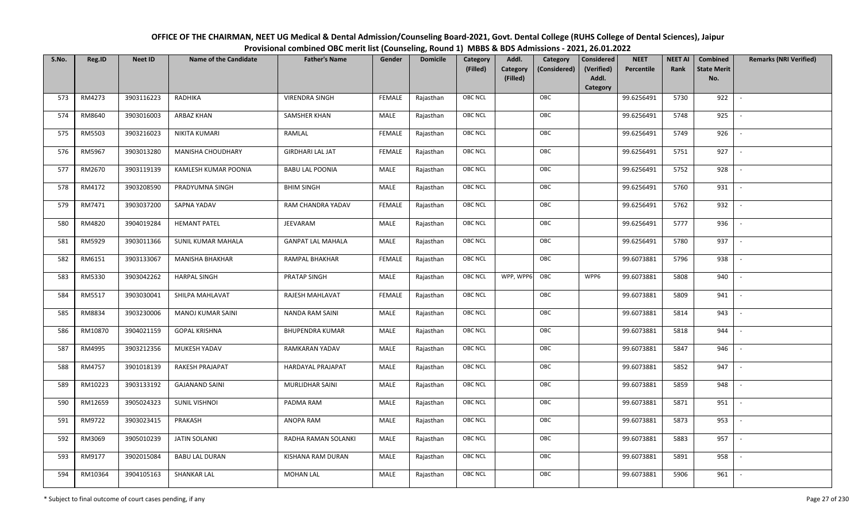| OFFICE OF THE CHAIRMAN, NEET UG Medical & Dental Admission/Counseling Board-2021, Govt. Dental College (RUHS College of Dental Sciences), Jaipur |
|--------------------------------------------------------------------------------------------------------------------------------------------------|
| Provisional combined OBC merit list (Counseling, Round 1) MBBS & BDS Admissions - 2021, 26.01.2022                                               |

| S.No. | Reg.ID  | <b>Neet ID</b> | <b>Name of the Candidate</b> | <b>Father's Name</b>     | Gender        | <b>Domicile</b> | Category<br>(Filled) | Addl.<br>Category | Category<br>(Considered) | <b>Considered</b><br>(Verified) | <b>NEET</b><br>Percentile | <b>NEET AI</b><br>Rank | Combined<br><b>State Merit</b> | <b>Remarks (NRI Verified)</b> |
|-------|---------|----------------|------------------------------|--------------------------|---------------|-----------------|----------------------|-------------------|--------------------------|---------------------------------|---------------------------|------------------------|--------------------------------|-------------------------------|
|       |         |                |                              |                          |               |                 |                      | (Filled)          |                          | Addl.<br>Category               |                           |                        | No.                            |                               |
| 573   | RM4273  | 3903116223     | RADHIKA                      | <b>VIRENDRA SINGH</b>    | <b>FEMALE</b> | Rajasthan       | OBC NCL              |                   | OBC                      |                                 | 99.6256491                | 5730                   | 922                            | $\overline{\phantom{a}}$      |
| 574   | RM8640  | 3903016003     | ARBAZ KHAN                   | SAMSHER KHAN             | MALE          | Rajasthan       | OBC NCL              |                   | OBC                      |                                 | 99.6256491                | 5748                   | 925                            |                               |
| 575   | RM5503  | 3903216023     | NIKITA KUMARI                | RAMLAL                   | <b>FEMALE</b> | Rajasthan       | <b>OBC NCL</b>       |                   | OBC                      |                                 | 99.6256491                | 5749                   | 926                            |                               |
| 576   | RM5967  | 3903013280     | MANISHA CHOUDHARY            | <b>GIRDHARI LAL JAT</b>  | <b>FEMALE</b> | Rajasthan       | OBC NCL              |                   | OBC                      |                                 | 99.6256491                | 5751                   | 927                            | $\overline{\phantom{a}}$      |
| 577   | RM2670  | 3903119139     | KAMLESH KUMAR POONIA         | <b>BABU LAL POONIA</b>   | MALE          | Rajasthan       | OBC NCL              |                   | OBC                      |                                 | 99.6256491                | 5752                   | 928                            | $\sim$                        |
| 578   | RM4172  | 3903208590     | PRADYUMNA SINGH              | <b>BHIM SINGH</b>        | MALE          | Rajasthan       | OBC NCL              |                   | OBC                      |                                 | 99.6256491                | 5760                   | 931                            | $\overline{\phantom{a}}$      |
| 579   | RM7471  | 3903037200     | SAPNA YADAV                  | RAM CHANDRA YADAV        | <b>FEMALE</b> | Rajasthan       | OBC NCL              |                   | OBC                      |                                 | 99.6256491                | 5762                   | 932                            |                               |
| 580   | RM4820  | 3904019284     | <b>HEMANT PATEL</b>          | JEEVARAM                 | MALE          | Rajasthan       | OBC NCL              |                   | OBC                      |                                 | 99.6256491                | 5777                   | 936                            |                               |
| 581   | RM5929  | 3903011366     | SUNIL KUMAR MAHALA           | <b>GANPAT LAL MAHALA</b> | MALE          | Rajasthan       | OBC NCL              |                   | OBC                      |                                 | 99.6256491                | 5780                   | 937                            |                               |
| 582   | RM6151  | 3903133067     | <b>MANISHA BHAKHAR</b>       | RAMPAL BHAKHAR           | <b>FEMALE</b> | Rajasthan       | OBC NCL              |                   | OBC                      |                                 | 99.6073881                | 5796                   | 938                            |                               |
| 583   | RM5330  | 3903042262     | <b>HARPAL SINGH</b>          | PRATAP SINGH             | MALE          | Rajasthan       | <b>OBC NCL</b>       | WPP, WPP6         | OBC                      | WPP6                            | 99.6073881                | 5808                   | 940                            |                               |
| 584   | RM5517  | 3903030041     | SHILPA MAHLAVAT              | RAJESH MAHLAVAT          | FEMALE        | Rajasthan       | OBC NCL              |                   | OBC                      |                                 | 99.6073881                | 5809                   | 941                            | $\sim$                        |
| 585   | RM8834  | 3903230006     | <b>MANOJ KUMAR SAINI</b>     | <b>NANDA RAM SAINI</b>   | MALE          | Rajasthan       | OBC NCL              |                   | OBC                      |                                 | 99.6073881                | 5814                   | 943                            |                               |
| 586   | RM10870 | 3904021159     | <b>GOPAL KRISHNA</b>         | <b>BHUPENDRA KUMAR</b>   | MALE          | Rajasthan       | OBC NCL              |                   | OBC                      |                                 | 99.6073881                | 5818                   | 944                            | $\overline{\phantom{a}}$      |
| 587   | RM4995  | 3903212356     | MUKESH YADAV                 | RAMKARAN YADAV           | MALE          | Rajasthan       | OBC NCL              |                   | OBC                      |                                 | 99.6073881                | 5847                   | 946                            | $\overline{\phantom{a}}$      |
| 588   | RM4757  | 3901018139     | RAKESH PRAJAPAT              | HARDAYAL PRAJAPAT        | MALE          | Rajasthan       | OBC NCL              |                   | OBC                      |                                 | 99.6073881                | 5852                   | 947                            | $\sim$                        |
| 589   | RM10223 | 3903133192     | <b>GAJANAND SAINI</b>        | MURLIDHAR SAINI          | MALE          | Rajasthan       | OBC NCL              |                   | OBC                      |                                 | 99.6073881                | 5859                   | 948                            | $\overline{\phantom{a}}$      |
| 590   | RM12659 | 3905024323     | <b>SUNIL VISHNOI</b>         | PADMA RAM                | MALE          | Rajasthan       | OBC NCL              |                   | OBC                      |                                 | 99.6073881                | 5871                   | 951                            |                               |
| 591   | RM9722  | 3903023415     | PRAKASH                      | ANOPA RAM                | MALE          | Rajasthan       | <b>OBC NCL</b>       |                   | OBC                      |                                 | 99.6073881                | 5873                   | 953                            |                               |
| 592   | RM3069  | 3905010239     | <b>JATIN SOLANKI</b>         | RADHA RAMAN SOLANKI      | MALE          | Rajasthan       | OBC NCL              |                   | OBC                      |                                 | 99.6073881                | 5883                   | 957                            | $\overline{\phantom{a}}$      |
| 593   | RM9177  | 3902015084     | <b>BABU LAL DURAN</b>        | KISHANA RAM DURAN        | <b>MALE</b>   | Rajasthan       | OBC NCL              |                   | OBC                      |                                 | 99.6073881                | 5891                   | 958                            |                               |
| 594   | RM10364 | 3904105163     | <b>SHANKAR LAL</b>           | <b>MOHAN LAL</b>         | MALE          | Rajasthan       | OBC NCL              |                   | OBC                      |                                 | 99.6073881                | 5906                   | 961                            |                               |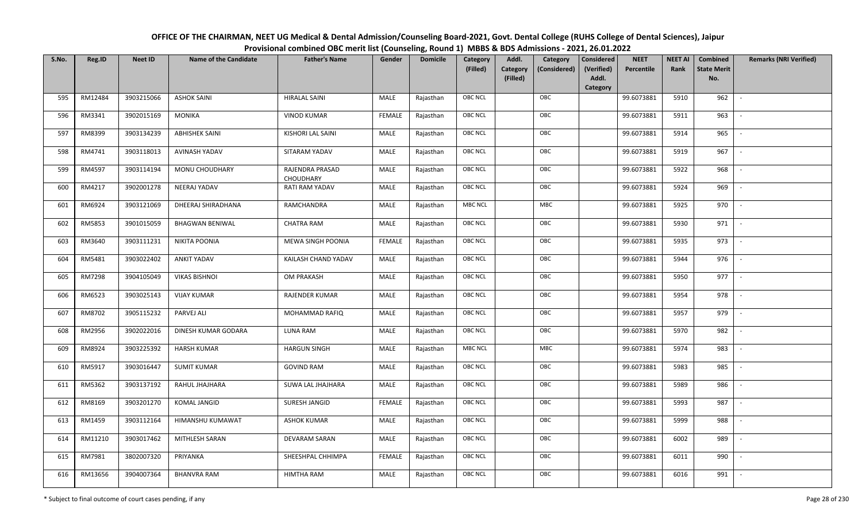| OFFICE OF THE CHAIRMAN, NEET UG Medical & Dental Admission/Counseling Board-2021, Govt. Dental College (RUHS College of Dental Sciences), Jaipur |
|--------------------------------------------------------------------------------------------------------------------------------------------------|
| Provisional combined OBC merit list (Counseling, Round 1) MBBS & BDS Admissions - 2021, 26.01.2022                                               |

| S.No. | Reg.ID  | <b>Neet ID</b> | <b>Name of the Candidate</b> | <b>Father's Name</b>         | Gender        | <b>Domicile</b> | Category<br>(Filled) | Addl.<br>Category | Category<br>(Considered) | <b>Considered</b><br>(Verified)<br>Addl. | <b>NEET</b><br>Percentile | <b>NEET AI</b><br>Rank | Combined<br><b>State Merit</b><br>No. | <b>Remarks (NRI Verified)</b> |
|-------|---------|----------------|------------------------------|------------------------------|---------------|-----------------|----------------------|-------------------|--------------------------|------------------------------------------|---------------------------|------------------------|---------------------------------------|-------------------------------|
|       |         |                |                              |                              |               |                 |                      | (Filled)          |                          | Category                                 |                           |                        |                                       |                               |
| 595   | RM12484 | 3903215066     | <b>ASHOK SAINI</b>           | <b>HIRALAL SAINI</b>         | MALE          | Rajasthan       | OBC NCL              |                   | OBC                      |                                          | 99.6073881                | 5910                   | 962                                   | $\overline{\phantom{a}}$      |
| 596   | RM3341  | 3902015169     | <b>MONIKA</b>                | <b>VINOD KUMAR</b>           | <b>FEMALE</b> | Rajasthan       | OBC NCL              |                   | OBC                      |                                          | 99.6073881                | 5911                   | 963                                   |                               |
| 597   | RM8399  | 3903134239     | <b>ABHISHEK SAINI</b>        | <b>KISHORI LAL SAINI</b>     | MALE          | Rajasthan       | <b>OBC NCL</b>       |                   | OBC                      |                                          | 99.6073881                | 5914                   | 965                                   |                               |
| 598   | RM4741  | 3903118013     | AVINASH YADAV                | SITARAM YADAV                | MALE          | Rajasthan       | OBC NCL              |                   | OBC                      |                                          | 99.6073881                | 5919                   | 967                                   | $\overline{\phantom{a}}$      |
| 599   | RM4597  | 3903114194     | MONU CHOUDHARY               | RAJENDRA PRASAD<br>CHOUDHARY | MALE          | Rajasthan       | OBC NCL              |                   | OBC                      |                                          | 99.6073881                | 5922                   | 968                                   | $\overline{\phantom{a}}$      |
| 600   | RM4217  | 3902001278     | NEERAJ YADAV                 | RATI RAM YADAV               | MALE          | Rajasthan       | OBC NCL              |                   | OBC                      |                                          | 99.6073881                | 5924                   | 969                                   | $\overline{\phantom{a}}$      |
| 601   | RM6924  | 3903121069     | DHEERAJ SHIRADHANA           | RAMCHANDRA                   | <b>MALE</b>   | Rajasthan       | <b>MBC NCL</b>       |                   | <b>MBC</b>               |                                          | 99.6073881                | 5925                   | 970                                   | $\overline{\phantom{a}}$      |
| 602   | RM5853  | 3901015059     | <b>BHAGWAN BENIWAL</b>       | <b>CHATRA RAM</b>            | MALE          | Rajasthan       | OBC NCL              |                   | OBC                      |                                          | 99.6073881                | 5930                   | 971                                   |                               |
| 603   | RM3640  | 3903111231     | NIKITA POONIA                | MEWA SINGH POONIA            | <b>FEMALE</b> | Rajasthan       | OBC NCL              |                   | OBC                      |                                          | 99.6073881                | 5935                   | 973                                   |                               |
| 604   | RM5481  | 3903022402     | <b>ANKIT YADAV</b>           | KAILASH CHAND YADAV          | MALE          | Rajasthan       | OBC NCL              |                   | OBC                      |                                          | 99.6073881                | 5944                   | 976                                   |                               |
| 605   | RM7298  | 3904105049     | <b>VIKAS BISHNOI</b>         | OM PRAKASH                   | MALE          | Rajasthan       | OBC NCL              |                   | OBC                      |                                          | 99.6073881                | 5950                   | 977                                   |                               |
| 606   | RM6523  | 3903025143     | <b>VIJAY KUMAR</b>           | <b>RAJENDER KUMAR</b>        | MALE          | Rajasthan       | OBC NCL              |                   | OBC                      |                                          | 99.6073881                | 5954                   | 978                                   | $\mathcal{L}$                 |
| 607   | RM8702  | 3905115232     | PARVEJ ALI                   | MOHAMMAD RAFIQ               | MALE          | Rajasthan       | OBC NCL              |                   | OBC                      |                                          | 99.6073881                | 5957                   | 979                                   |                               |
| 608   | RM2956  | 3902022016     | DINESH KUMAR GODARA          | LUNA RAM                     | MALE          | Rajasthan       | <b>OBC NCL</b>       |                   | OBC                      |                                          | 99.6073881                | 5970                   | 982                                   |                               |
| 609   | RM8924  | 3903225392     | <b>HARSH KUMAR</b>           | <b>HARGUN SINGH</b>          | MALE          | Rajasthan       | <b>MBC NCL</b>       |                   | MBC                      |                                          | 99.6073881                | 5974                   | 983                                   | $\overline{\phantom{a}}$      |
| 610   | RM5917  | 3903016447     | <b>SUMIT KUMAR</b>           | <b>GOVIND RAM</b>            | <b>MALE</b>   | Rajasthan       | OBC NCL              |                   | OBC                      |                                          | 99.6073881                | 5983                   | 985                                   | $\sim$                        |
| 611   | RM5362  | 3903137192     | RAHUL JHAJHARA               | SUWA LAL JHAJHARA            | MALE          | Rajasthan       | OBC NCL              |                   | OBC                      |                                          | 99.6073881                | 5989                   | 986                                   | $\overline{\phantom{a}}$      |
| 612   | RM8169  | 3903201270     | KOMAL JANGID                 | SURESH JANGID                | <b>FEMALE</b> | Rajasthan       | OBC NCL              |                   | OBC                      |                                          | 99.6073881                | 5993                   | 987                                   | $\overline{\phantom{a}}$      |
| 613   | RM1459  | 3903112164     | HIMANSHU KUMAWAT             | <b>ASHOK KUMAR</b>           | MALE          | Rajasthan       | OBC NCL              |                   | OBC                      |                                          | 99.6073881                | 5999                   | 988                                   |                               |
| 614   | RM11210 | 3903017462     | MITHLESH SARAN               | DEVARAM SARAN                | MALE          | Rajasthan       | OBC NCL              |                   | OBC                      |                                          | 99.6073881                | 6002                   | 989                                   |                               |
| 615   | RM7981  | 3802007320     | PRIYANKA                     | SHEESHPAL CHHIMPA            | <b>FEMALE</b> | Rajasthan       | OBC NCL              |                   | OBC                      |                                          | 99.6073881                | 6011                   | 990                                   |                               |
| 616   | RM13656 | 3904007364     | <b>BHANVRA RAM</b>           | <b>HIMTHA RAM</b>            | MALE          | Rajasthan       | OBC NCL              |                   | OBC                      |                                          | 99.6073881                | 6016                   | 991                                   |                               |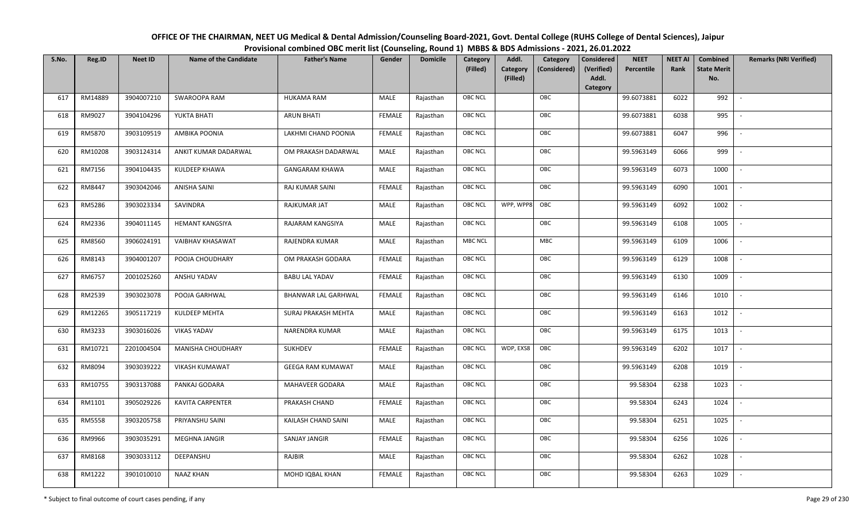| OFFICE OF THE CHAIRMAN, NEET UG Medical & Dental Admission/Counseling Board-2021, Govt. Dental College (RUHS College of Dental Sciences), Jaipur |
|--------------------------------------------------------------------------------------------------------------------------------------------------|
| Provisional combined OBC merit list (Counseling, Round 1) MBBS & BDS Admissions - 2021, 26.01.2022                                               |

| S.No. | Reg.ID        | <b>Neet ID</b> | <b>Name of the Candidate</b> | <b>Father's Name</b>       | Gender        | <b>Domicile</b> | Category<br>(Filled) | Addl.<br><b>Category</b> | Category<br>(Considered) | <b>Considered</b><br>(Verified) | <b>NEET</b><br>Percentile | <b>NEET AI</b><br>Rank | Combined<br><b>State Merit</b> | <b>Remarks (NRI Verified)</b> |
|-------|---------------|----------------|------------------------------|----------------------------|---------------|-----------------|----------------------|--------------------------|--------------------------|---------------------------------|---------------------------|------------------------|--------------------------------|-------------------------------|
|       |               |                |                              |                            |               |                 |                      | (Filled)                 |                          | Addl.<br>Category               |                           |                        | No.                            |                               |
| 617   | RM14889       | 3904007210     | SWAROOPA RAM                 | <b>HUKAMA RAM</b>          | MALE          | Rajasthan       | OBC NCL              |                          | OBC                      |                                 | 99.6073881                | 6022                   | 992                            | $\overline{\phantom{a}}$      |
| 618   | RM9027        | 3904104296     | YUKTA BHATI                  | <b>ARUN BHATI</b>          | <b>FEMALE</b> | Rajasthan       | OBC NCL              |                          | OBC                      |                                 | 99.6073881                | 6038                   | 995                            |                               |
| 619   | RM5870        | 3903109519     | AMBIKA POONIA                | LAKHMI CHAND POONIA        | <b>FEMALE</b> | Rajasthan       | <b>OBC NCL</b>       |                          | OBC                      |                                 | 99.6073881                | 6047                   | 996                            |                               |
| 620   | RM10208       | 3903124314     | ANKIT KUMAR DADARWAL         | OM PRAKASH DADARWAL        | MALE          | Rajasthan       | OBC NCL              |                          | OBC                      |                                 | 99.5963149                | 6066                   | 999                            | $\overline{\phantom{a}}$      |
| 621   | RM7156        | 3904104435     | KULDEEP KHAWA                | <b>GANGARAM KHAWA</b>      | MALE          | Rajasthan       | OBC NCL              |                          | OBC                      |                                 | 99.5963149                | 6073                   | 1000                           | $\sim$                        |
| 622   | RM8447        | 3903042046     | ANISHA SAINI                 | RAJ KUMAR SAINI            | <b>FEMALE</b> | Rajasthan       | OBC NCL              |                          | OBC                      |                                 | 99.5963149                | 6090                   | 1001                           | $\sim$                        |
| 623   | RM5286        | 3903023334     | SAVINDRA                     | RAJKUMAR JAT               | MALE          | Rajasthan       | OBC NCL              | WPP, WPP8                | OBC                      |                                 | 99.5963149                | 6092                   | 1002                           | $\overline{\phantom{a}}$      |
| 624   | RM2336        | 3904011145     | <b>HEMANT KANGSIYA</b>       | RAJARAM KANGSIYA           | MALE          | Rajasthan       | OBC NCL              |                          | OBC                      |                                 | 99.5963149                | 6108                   | 1005                           |                               |
| 625   | RM8560        | 3906024191     | VAIBHAV KHASAWAT             | RAJENDRA KUMAR             | MALE          | Rajasthan       | MBC NCL              |                          | MBC                      |                                 | 99.5963149                | 6109                   | 1006                           |                               |
| 626   | RM8143        | 3904001207     | POOJA CHOUDHARY              | OM PRAKASH GODARA          | <b>FEMALE</b> | Rajasthan       | OBC NCL              |                          | OBC                      |                                 | 99.5963149                | 6129                   | 1008                           | $\overline{\phantom{a}}$      |
| 627   | RM6757        | 2001025260     | ANSHU YADAV                  | <b>BABU LAL YADAV</b>      | <b>FEMALE</b> | Rajasthan       | OBC NCL              |                          | OBC                      |                                 | 99.5963149                | 6130                   | 1009                           |                               |
| 628   | RM2539        | 3903023078     | POOJA GARHWAL                | <b>BHANWAR LAL GARHWAL</b> | <b>FEMALE</b> | Rajasthan       | OBC NCL              |                          | OBC                      |                                 | 99.5963149                | 6146                   | 1010                           | $\overline{\phantom{a}}$      |
| 629   | RM12265       | 3905117219     | KULDEEP MEHTA                | SURAJ PRAKASH MEHTA        | MALE          | Rajasthan       | OBC NCL              |                          | OBC                      |                                 | 99.5963149                | 6163                   | 1012                           |                               |
| 630   | RM3233        | 3903016026     | <b>VIKAS YADAV</b>           | NARENDRA KUMAR             | MALE          | Rajasthan       | <b>OBC NCL</b>       |                          | OBC                      |                                 | 99.5963149                | 6175                   | 1013                           | $\overline{\phantom{a}}$      |
| 631   | RM10721       | 2201004504     | MANISHA CHOUDHARY            | SUKHDEV                    | <b>FEMALE</b> | Rajasthan       | OBC NCL              | WDP, EXS8                | OBC                      |                                 | 99.5963149                | 6202                   | 1017                           | $\overline{\phantom{a}}$      |
| 632   | RM8094        | 3903039222     | <b>VIKASH KUMAWAT</b>        | <b>GEEGA RAM KUMAWAT</b>   | MALE          | Rajasthan       | OBC NCL              |                          | OBC                      |                                 | 99.5963149                | 6208                   | 1019                           | $\sim$                        |
| 633   | RM10755       | 3903137088     | PANKAJ GODARA                | MAHAVEER GODARA            | MALE          | Rajasthan       | OBC NCL              |                          | OBC                      |                                 | 99.58304                  | 6238                   | 1023                           | $\sim$                        |
| 634   | RM1101        | 3905029226     | KAVITA CARPENTER             | PRAKASH CHAND              | <b>FEMALE</b> | Rajasthan       | OBC NCL              |                          | OBC                      |                                 | 99.58304                  | 6243                   | 1024                           | $\sim$                        |
| 635   | <b>RM5558</b> | 3903205758     | PRIYANSHU SAINI              | KAILASH CHAND SAINI        | MALE          | Rajasthan       | OBC NCL              |                          | OBC                      |                                 | 99.58304                  | 6251                   | 1025                           |                               |
| 636   | RM9966        | 3903035291     | MEGHNA JANGIR                | <b>SANJAY JANGIR</b>       | <b>FEMALE</b> | Rajasthan       | OBC NCL              |                          | OBC                      |                                 | 99.58304                  | 6256                   | 1026                           |                               |
| 637   | RM8168        | 3903033112     | DEEPANSHU                    | RAJBIR                     | MALE          | Rajasthan       | OBC NCL              |                          | OBC                      |                                 | 99.58304                  | 6262                   | 1028                           | $\overline{\phantom{a}}$      |
| 638   | RM1222        | 3901010010     | <b>NAAZ KHAN</b>             | MOHD IQBAL KHAN            | <b>FEMALE</b> | Rajasthan       | <b>OBC NCL</b>       |                          | OBC                      |                                 | 99.58304                  | 6263                   | 1029                           |                               |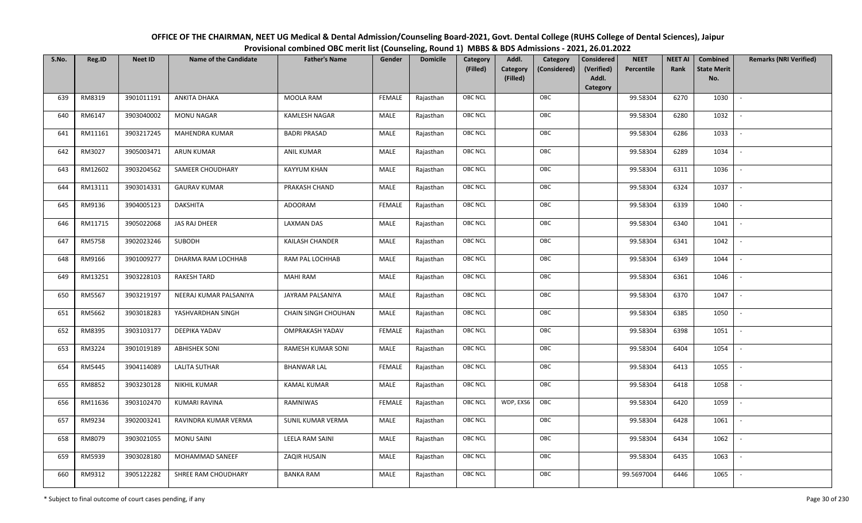| OFFICE OF THE CHAIRMAN, NEET UG Medical & Dental Admission/Counseling Board-2021, Govt. Dental College (RUHS College of Dental Sciences), Jaipur |
|--------------------------------------------------------------------------------------------------------------------------------------------------|
| Provisional combined OBC merit list (Counseling, Round 1) MBBS & BDS Admissions - 2021, 26.01.2022                                               |

| S.No. | Reg.ID  | <b>Neet ID</b> | <b>Name of the Candidate</b> | <b>Father's Name</b>     | Gender        | <b>Domicile</b> | Category<br>(Filled) | Addl.<br>Category<br>(Filled) | Category<br>(Considered) | <b>Considered</b><br>(Verified)<br>Addl. | <b>NEET</b><br>Percentile | <b>NEET AI</b><br>Rank | Combined<br><b>State Merit</b><br>No. | <b>Remarks (NRI Verified)</b> |
|-------|---------|----------------|------------------------------|--------------------------|---------------|-----------------|----------------------|-------------------------------|--------------------------|------------------------------------------|---------------------------|------------------------|---------------------------------------|-------------------------------|
|       |         |                |                              |                          |               |                 |                      |                               |                          | Category                                 |                           |                        |                                       |                               |
| 639   | RM8319  | 3901011191     | ANKITA DHAKA                 | MOOLA RAM                | <b>FEMALE</b> | Rajasthan       | OBC NCL              |                               | OBC                      |                                          | 99.58304                  | 6270                   | 1030                                  | $\sim$                        |
| 640   | RM6147  | 3903040002     | MONU NAGAR                   | <b>KAMLESH NAGAR</b>     | MALE          | Rajasthan       | OBC NCL              |                               | OBC                      |                                          | 99.58304                  | 6280                   | 1032                                  |                               |
| 641   | RM11161 | 3903217245     | MAHENDRA KUMAR               | <b>BADRI PRASAD</b>      | MALE          | Rajasthan       | <b>OBC NCL</b>       |                               | OBC                      |                                          | 99.58304                  | 6286                   | 1033                                  | $\sim$                        |
| 642   | RM3027  | 3905003471     | <b>ARUN KUMAR</b>            | ANIL KUMAR               | MALE          | Rajasthan       | OBC NCL              |                               | OBC                      |                                          | 99.58304                  | 6289                   | 1034                                  | $\overline{\phantom{a}}$      |
| 643   | RM12602 | 3903204562     | SAMEER CHOUDHARY             | <b>KAYYUM KHAN</b>       | MALE          | Rajasthan       | OBC NCL              |                               | OBC                      |                                          | 99.58304                  | 6311                   | 1036                                  | $\sim$                        |
| 644   | RM13111 | 3903014331     | <b>GAURAV KUMAR</b>          | PRAKASH CHAND            | MALE          | Rajasthan       | OBC NCL              |                               | OBC                      |                                          | 99.58304                  | 6324                   | 1037                                  | $\overline{\phantom{a}}$      |
| 645   | RM9136  | 3904005123     | <b>DAKSHITA</b>              | ADOORAM                  | <b>FEMALE</b> | Rajasthan       | OBC NCL              |                               | OBC                      |                                          | 99.58304                  | 6339                   | 1040                                  | $\overline{\phantom{a}}$      |
| 646   | RM11715 | 3905022068     | <b>JAS RAJ DHEER</b>         | <b>LAXMAN DAS</b>        | MALE          | Rajasthan       | OBC NCL              |                               | OBC                      |                                          | 99.58304                  | 6340                   | 1041                                  |                               |
| 647   | RM5758  | 3902023246     | SUBODH                       | KAILASH CHANDER          | MALE          | Rajasthan       | OBC NCL              |                               | OBC                      |                                          | 99.58304                  | 6341                   | 1042                                  |                               |
| 648   | RM9166  | 3901009277     | DHARMA RAM LOCHHAB           | RAM PAL LOCHHAB          | MALE          | Rajasthan       | OBC NCL              |                               | OBC                      |                                          | 99.58304                  | 6349                   | 1044                                  | $\overline{\phantom{a}}$      |
| 649   | RM13251 | 3903228103     | <b>RAKESH TARD</b>           | <b>MAHI RAM</b>          | MALE          | Rajasthan       | <b>OBC NCL</b>       |                               | OBC                      |                                          | 99.58304                  | 6361                   | 1046                                  |                               |
| 650   | RM5567  | 3903219197     | NEERAJ KUMAR PALSANIYA       | <b>JAYRAM PALSANIYA</b>  | MALE          | Rajasthan       | OBC NCL              |                               | OBC                      |                                          | 99.58304                  | 6370                   | 1047                                  | $\mathcal{L}$                 |
| 651   | RM5662  | 3903018283     | YASHVARDHAN SINGH            | CHAIN SINGH CHOUHAN      | MALE          | Rajasthan       | OBC NCL              |                               | OBC                      |                                          | 99.58304                  | 6385                   | 1050                                  |                               |
| 652   | RM8395  | 3903103177     | DEEPIKA YADAV                | <b>OMPRAKASH YADAV</b>   | <b>FEMALE</b> | Rajasthan       | OBC NCL              |                               | OBC                      |                                          | 99.58304                  | 6398                   | 1051                                  | $\sim$                        |
| 653   | RM3224  | 3901019189     | <b>ABHISHEK SONI</b>         | <b>RAMESH KUMAR SONI</b> | <b>MALE</b>   | Rajasthan       | OBC NCL              |                               | OBC                      |                                          | 99.58304                  | 6404                   | 1054                                  | $\sim$                        |
| 654   | RM5445  | 3904114089     | <b>LALITA SUTHAR</b>         | <b>BHANWAR LAL</b>       | <b>FEMALE</b> | Rajasthan       | OBC NCL              |                               | OBC                      |                                          | 99.58304                  | 6413                   | 1055                                  | $\sim$                        |
| 655   | RM8852  | 3903230128     | NIKHIL KUMAR                 | <b>KAMAL KUMAR</b>       | MALE          | Rajasthan       | OBC NCL              |                               | OBC                      |                                          | 99.58304                  | 6418                   | 1058                                  | $\overline{\phantom{a}}$      |
| 656   | RM11636 | 3903102470     | <b>KUMARI RAVINA</b>         | RAMNIWAS                 | <b>FEMALE</b> | Rajasthan       | OBC NCL              | WDP, EXS6                     | OBC                      |                                          | 99.58304                  | 6420                   | 1059                                  |                               |
| 657   | RM9234  | 3902003241     | RAVINDRA KUMAR VERMA         | SUNIL KUMAR VERMA        | MALE          | Rajasthan       | <b>OBC NCL</b>       |                               | OBC                      |                                          | 99.58304                  | 6428                   | 1061                                  |                               |
| 658   | RM8079  | 3903021055     | <b>MONU SAINI</b>            | <b>LEELA RAM SAINI</b>   | MALE          | Rajasthan       | OBC NCL              |                               | OBC                      |                                          | 99.58304                  | 6434                   | 1062                                  | $\blacksquare$                |
| 659   | RM5939  | 3903028180     | MOHAMMAD SANEEF              | ZAQIR HUSAIN             | <b>MALE</b>   | Rajasthan       | OBC NCL              |                               | OBC                      |                                          | 99.58304                  | 6435                   | 1063                                  | $\overline{\phantom{a}}$      |
| 660   | RM9312  | 3905122282     | SHREE RAM CHOUDHARY          | <b>BANKA RAM</b>         | MALE          | Rajasthan       | OBC NCL              |                               | OBC                      |                                          | 99.5697004                | 6446                   | 1065                                  |                               |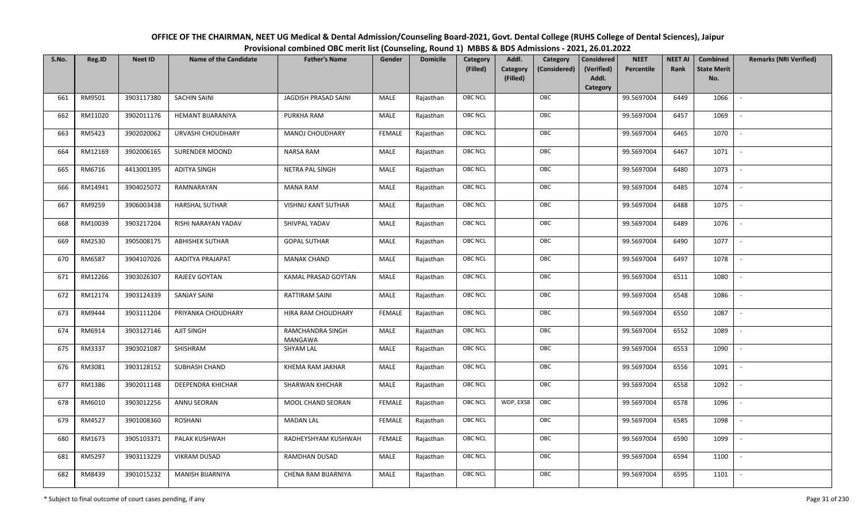| OFFICE OF THE CHAIRMAN, NEET UG Medical & Dental Admission/Counseling Board-2021, Govt. Dental College (RUHS College of Dental Sciences), Jaipur |
|--------------------------------------------------------------------------------------------------------------------------------------------------|
| Provisional combined OBC merit list (Counseling, Round 1) MBBS & BDS Admissions - 2021, 26.01.2022                                               |

| S.No. | Reg.ID  | <b>Neet ID</b> | <b>Name of the Candidate</b> | <b>Father's Name</b>        | Gender        | <b>Domicile</b> | Category<br>(Filled) | Addl.<br><b>Category</b><br>(Filled) | Category<br>(Considered) | Considered<br>(Verified)<br>Addl.<br>Category | <b>NEET</b><br>Percentile | <b>NEET AI</b><br>Rank | Combined<br><b>State Merit</b><br>No. | <b>Remarks (NRI Verified)</b> |
|-------|---------|----------------|------------------------------|-----------------------------|---------------|-----------------|----------------------|--------------------------------------|--------------------------|-----------------------------------------------|---------------------------|------------------------|---------------------------------------|-------------------------------|
| 661   | RM9501  | 3903117380     | <b>SACHIN SAINI</b>          | JAGDISH PRASAD SAINI        | MALE          | Rajasthan       | <b>OBC NCL</b>       |                                      | OBC                      |                                               | 99.5697004                | 6449                   | 1066                                  | $\mathbb{L}$                  |
| 662   | RM11020 | 3902011176     | HEMANT BIJARANIYA            | PURKHA RAM                  | MALE          | Rajasthan       | OBC NCL              |                                      | OBC                      |                                               | 99.5697004                | 6457                   | 1069                                  |                               |
| 663   | RM5423  | 3902020062     | URVASHI CHOUDHARY            | MANOJ CHOUDHARY             | <b>FEMALE</b> | Rajasthan       | <b>OBC NCL</b>       |                                      | OBC                      |                                               | 99.5697004                | 6465                   | 1070                                  | $\overline{\phantom{a}}$      |
| 664   | RM12169 | 3902006165     | <b>SURENDER MOOND</b>        | NARSA RAM                   | MALE          | Rajasthan       | OBC NCL              |                                      | OBC                      |                                               | 99.5697004                | 6467                   | 1071                                  | $\overline{\phantom{a}}$      |
| 665   | RM6716  | 4413001395     | ADITYA SINGH                 | NETRA PAL SINGH             | MALE          | Rajasthan       | <b>OBC NCL</b>       |                                      | OBC                      |                                               | 99.5697004                | 6480                   | 1073                                  | $\sim$                        |
| 666   | RM14941 | 3904025072     | RAMNARAYAN                   | <b>MANA RAM</b>             | MALE          | Rajasthan       | <b>OBC NCL</b>       |                                      | OBC                      |                                               | 99.5697004                | 6485                   | 1074                                  | $\sim$                        |
| 667   | RM9259  | 3906003438     | <b>HARSHAL SUTHAR</b>        | <b>VISHNU KANT SUTHAR</b>   | MALE          | Rajasthan       | OBC NCL              |                                      | OBC                      |                                               | 99.5697004                | 6488                   | 1075                                  | $\overline{\phantom{a}}$      |
| 668   | RM10039 | 3903217204     | RISHI NARAYAN YADAV          | SHIVPAL YADAV               | MALE          | Rajasthan       | OBC NCL              |                                      | OBC                      |                                               | 99.5697004                | 6489                   | 1076                                  |                               |
| 669   | RM2530  | 3905008175     | <b>ABHISHEK SUTHAR</b>       | <b>GOPAL SUTHAR</b>         | MALE          | Rajasthan       | OBC NCL              |                                      | OBC                      |                                               | 99.5697004                | 6490                   | 1077                                  |                               |
| 670   | RM6587  | 3904107026     | AADITYA PRAJAPAT             | <b>MANAK CHAND</b>          | MALE          | Rajasthan       | OBC NCL              |                                      | OBC                      |                                               | 99.5697004                | 6497                   | 1078                                  | $\overline{\phantom{a}}$      |
| 671   | RM12266 | 3903026307     | RAJEEV GOYTAN                | KAMAL PRASAD GOYTAN         | MALE          | Rajasthan       | <b>OBC NCL</b>       |                                      | OBC                      |                                               | 99.5697004                | 6511                   | 1080                                  |                               |
| 672   | RM12174 | 3903124339     | SANJAY SAINI                 | RATTIRAM SAINI              | MALE          | Rajasthan       | OBC NCL              |                                      | OBC                      |                                               | 99.5697004                | 6548                   | 1086                                  |                               |
| 673   | RM9444  | 3903111204     | PRIYANKA CHOUDHARY           | HIRA RAM CHOUDHARY          | <b>FEMALE</b> | Rajasthan       | <b>OBC NCL</b>       |                                      | OBC                      |                                               | 99.5697004                | 6550                   | 1087                                  |                               |
| 674   | RM6914  | 3903127146     | <b>AJIT SINGH</b>            | RAMCHANDRA SINGH<br>MANGAWA | MALE          | Rajasthan       | <b>OBC NCL</b>       |                                      | OBC                      |                                               | 99.5697004                | 6552                   | 1089                                  | $\sim$                        |
| 675   | RM3337  | 3903021087     | SHISHRAM                     | <b>SHYAM LAL</b>            | <b>MALE</b>   | Rajasthan       | OBC NCL              |                                      | OBC                      |                                               | 99.5697004                | 6553                   | 1090                                  | $\overline{\phantom{a}}$      |
| 676   | RM3081  | 3903128152     | SUBHASH CHAND                | KHEMA RAM JAKHAR            | MALE          | Rajasthan       | <b>OBC NCL</b>       |                                      | OBC                      |                                               | 99.5697004                | 6556                   | 1091                                  | $\sim$                        |
| 677   | RM1386  | 3902011148     | DEEPENDRA KHICHAR            | <b>SHARWAN KHICHAR</b>      | MALE          | Rajasthan       | <b>OBC NCL</b>       |                                      | OBC                      |                                               | 99.5697004                | 6558                   | 1092                                  | $\overline{\phantom{a}}$      |
| 678   | RM6010  | 3903012256     | ANNU SEORAN                  | MOOL CHAND SEORAN           | <b>FEMALE</b> | Rajasthan       | OBC NCL              | WDP, EXS8                            | OBC                      |                                               | 99.5697004                | 6578                   | 1096                                  |                               |
| 679   | RM4527  | 3901008360     | ROSHANI                      | <b>MADAN LAL</b>            | <b>FEMALE</b> | Rajasthan       | <b>OBC NCL</b>       |                                      | OBC                      |                                               | 99.5697004                | 6585                   | 1098                                  |                               |
| 680   | RM1673  | 3905103371     | PALAK KUSHWAH                | RADHEYSHYAM KUSHWAH         | <b>FEMALE</b> | Rajasthan       | OBC NCL              |                                      | OBC                      |                                               | 99.5697004                | 6590                   | 1099                                  |                               |
| 681   | RM5297  | 3903113229     | <b>VIKRAM DUSAD</b>          | RAMDHAN DUSAD               | <b>MALE</b>   | Rajasthan       | <b>OBC NCL</b>       |                                      | OBC                      |                                               | 99.5697004                | 6594                   | 1100                                  |                               |
| 682   | RM8439  | 3901015232     | <b>MANISH BIJARNIYA</b>      | CHENA RAM BIJARNIYA         | MALE          | Rajasthan       | <b>OBC NCL</b>       |                                      | OBC                      |                                               | 99.5697004                | 6595                   | 1101                                  |                               |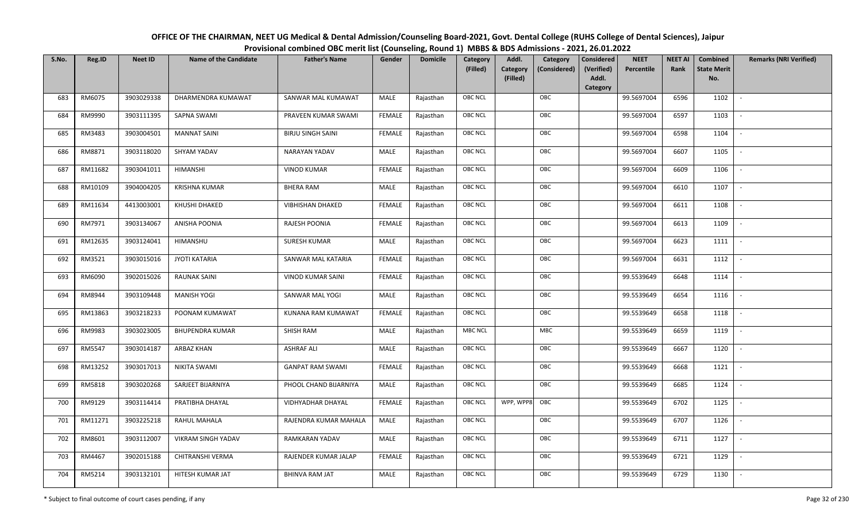| OFFICE OF THE CHAIRMAN, NEET UG Medical & Dental Admission/Counseling Board-2021, Govt. Dental College (RUHS College of Dental Sciences), Jaipur |
|--------------------------------------------------------------------------------------------------------------------------------------------------|
| Provisional combined OBC merit list (Counseling, Round 1) MBBS & BDS Admissions - 2021, 26.01.2022                                               |

| S.No. | Reg.ID  | <b>Neet ID</b> | <b>Name of the Candidate</b> | <b>Father's Name</b>     | Gender        | <b>Domicile</b> | Category<br>(Filled) | Addl.<br><b>Category</b><br>(Filled) | Category<br>(Considered) | Considered<br>(Verified)<br>Addl.<br>Category | <b>NEET</b><br>Percentile | <b>NEET AI</b><br>Rank | Combined<br><b>State Merit</b><br>No. | <b>Remarks (NRI Verified)</b> |
|-------|---------|----------------|------------------------------|--------------------------|---------------|-----------------|----------------------|--------------------------------------|--------------------------|-----------------------------------------------|---------------------------|------------------------|---------------------------------------|-------------------------------|
| 683   | RM6075  | 3903029338     | DHARMENDRA KUMAWAT           | SANWAR MAL KUMAWAT       | MALE          | Rajasthan       | <b>OBC NCL</b>       |                                      | OBC                      |                                               | 99.5697004                | 6596                   | 1102                                  | $\sim$                        |
| 684   | RM9990  | 3903111395     | SAPNA SWAMI                  | PRAVEEN KUMAR SWAMI      | <b>FEMALE</b> | Rajasthan       | OBC NCL              |                                      | OBC                      |                                               | 99.5697004                | 6597                   | 1103                                  |                               |
| 685   | RM3483  | 3903004501     | <b>MANNAT SAINI</b>          | <b>BIRJU SINGH SAINI</b> | <b>FEMALE</b> | Rajasthan       | <b>OBC NCL</b>       |                                      | OBC                      |                                               | 99.5697004                | 6598                   | 1104                                  |                               |
| 686   | RM8871  | 3903118020     | SHYAM YADAV                  | NARAYAN YADAV            | MALE          | Rajasthan       | OBC NCL              |                                      | OBC                      |                                               | 99.5697004                | 6607                   | 1105                                  | $\overline{\phantom{a}}$      |
| 687   | RM11682 | 3903041011     | HIMANSHI                     | <b>VINOD KUMAR</b>       | <b>FEMALE</b> | Rajasthan       | <b>OBC NCL</b>       |                                      | OBC                      |                                               | 99.5697004                | 6609                   | 1106                                  | $\sim$                        |
| 688   | RM10109 | 3904004205     | <b>KRISHNA KUMAR</b>         | <b>BHERA RAM</b>         | MALE          | Rajasthan       | <b>OBC NCL</b>       |                                      | OBC                      |                                               | 99.5697004                | 6610                   | 1107                                  | $\sim$                        |
| 689   | RM11634 | 4413003001     | KHUSHI DHAKED                | <b>VIBHISHAN DHAKED</b>  | <b>FEMALE</b> | Rajasthan       | OBC NCL              |                                      | OBC                      |                                               | 99.5697004                | 6611                   | 1108                                  | $\overline{\phantom{a}}$      |
| 690   | RM7971  | 3903134067     | ANISHA POONIA                | RAJESH POONIA            | <b>FEMALE</b> | Rajasthan       | OBC NCL              |                                      | OBC                      |                                               | 99.5697004                | 6613                   | 1109                                  |                               |
| 691   | RM12635 | 3903124041     | HIMANSHU                     | <b>SURESH KUMAR</b>      | MALE          | Rajasthan       | OBC NCL              |                                      | OBC                      |                                               | 99.5697004                | 6623                   | 1111                                  |                               |
| 692   | RM3521  | 3903015016     | <b>JYOTI KATARIA</b>         | SANWAR MAL KATARIA       | <b>FEMALE</b> | Rajasthan       | OBC NCL              |                                      | OBC                      |                                               | 99.5697004                | 6631                   | 1112                                  | $\overline{\phantom{a}}$      |
| 693   | RM6090  | 3902015026     | <b>RAUNAK SAINI</b>          | <b>VINOD KUMAR SAINI</b> | <b>FEMALE</b> | Rajasthan       | <b>OBC NCL</b>       |                                      | OBC                      |                                               | 99.5539649                | 6648                   | 1114                                  |                               |
| 694   | RM8944  | 3903109448     | <b>MANISH YOGI</b>           | SANWAR MAL YOGI          | MALE          | Rajasthan       | OBC NCL              |                                      | OBC                      |                                               | 99.5539649                | 6654                   | 1116                                  | $\overline{\phantom{a}}$      |
| 695   | RM13863 | 3903218233     | POONAM KUMAWAT               | KUNANA RAM KUMAWAT       | <b>FEMALE</b> | Rajasthan       | <b>OBC NCL</b>       |                                      | OBC                      |                                               | 99.5539649                | 6658                   | 1118                                  |                               |
| 696   | RM9983  | 3903023005     | <b>BHUPENDRA KUMAR</b>       | SHISH RAM                | MALE          | Rajasthan       | <b>MBC NCL</b>       |                                      | MBC                      |                                               | 99.5539649                | 6659                   | 1119                                  | $\overline{\phantom{a}}$      |
| 697   | RM5547  | 3903014187     | <b>ARBAZ KHAN</b>            | <b>ASHRAF ALI</b>        | <b>MALE</b>   | Rajasthan       | OBC NCL              |                                      | OBC                      |                                               | 99.5539649                | 6667                   | 1120                                  | $\sim$                        |
| 698   | RM13252 | 3903017013     | <b>NIKITA SWAMI</b>          | <b>GANPAT RAM SWAMI</b>  | <b>FEMALE</b> | Rajasthan       | <b>OBC NCL</b>       |                                      | OBC                      |                                               | 99.5539649                | 6668                   | 1121                                  | $\sim$                        |
| 699   | RM5818  | 3903020268     | SARJEET BIJARNIYA            | PHOOL CHAND BIJARNIYA    | MALE          | Rajasthan       | <b>OBC NCL</b>       |                                      | OBC                      |                                               | 99.5539649                | 6685                   | 1124                                  | $\overline{\phantom{a}}$      |
| 700   | RM9129  | 3903114414     | PRATIBHA DHAYAL              | VIDHYADHAR DHAYAL        | <b>FEMALE</b> | Rajasthan       | <b>OBC NCL</b>       | WPP, WPP8 OBC                        |                          |                                               | 99.5539649                | 6702                   | 1125                                  |                               |
| 701   | RM11271 | 3903225218     | RAHUL MAHALA                 | RAJENDRA KUMAR MAHALA    | MALE          | Rajasthan       | <b>OBC NCL</b>       |                                      | OBC                      |                                               | 99.5539649                | 6707                   | 1126                                  |                               |
| 702   | RM8601  | 3903112007     | VIKRAM SINGH YADAV           | RAMKARAN YADAV           | MALE          | Rajasthan       | OBC NCL              |                                      | OBC                      |                                               | 99.5539649                | 6711                   | 1127                                  | $\blacksquare$                |
| 703   | RM4467  | 3902015188     | CHITRANSHI VERMA             | RAJENDER KUMAR JALAP     | <b>FEMALE</b> | Rajasthan       | <b>OBC NCL</b>       |                                      | OBC                      |                                               | 99.5539649                | 6721                   | 1129                                  |                               |
| 704   | RM5214  | 3903132101     | HITESH KUMAR JAT             | <b>BHINVA RAM JAT</b>    | MALE          | Rajasthan       | <b>OBC NCL</b>       |                                      | OBC                      |                                               | 99.5539649                | 6729                   | 1130                                  |                               |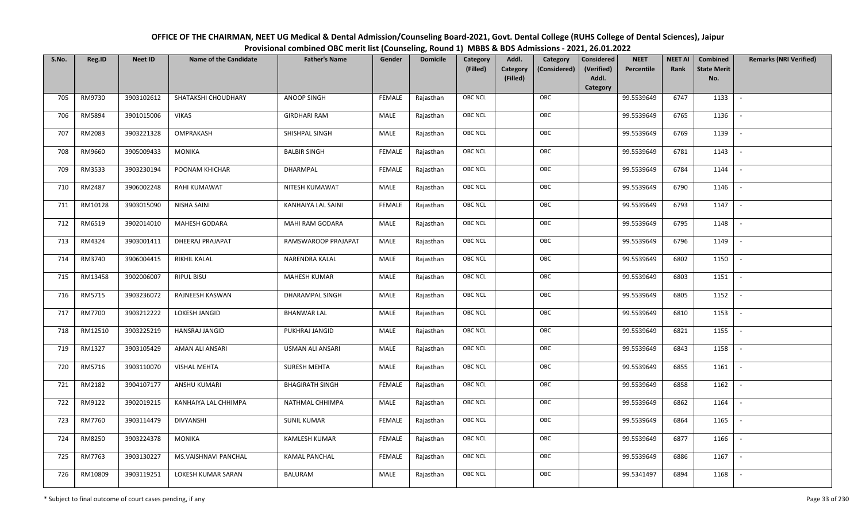| OFFICE OF THE CHAIRMAN, NEET UG Medical & Dental Admission/Counseling Board-2021, Govt. Dental College (RUHS College of Dental Sciences), Jaipur |
|--------------------------------------------------------------------------------------------------------------------------------------------------|
| Provisional combined OBC merit list (Counseling, Round 1) MBBS & BDS Admissions - 2021, 26.01.2022                                               |

| S.No. | Reg.ID  | <b>Neet ID</b> | <b>Name of the Candidate</b> | <b>Father's Name</b>    | Gender        | <b>Domicile</b> | Category<br>(Filled) | Addl.<br>Category<br>(Considered) | <b>Considered</b><br>(Verified) | <b>NEET</b><br>Percentile | <b>NEET AI</b><br>Rank | Combined<br><b>State Merit</b> | <b>Remarks (NRI Verified)</b> |
|-------|---------|----------------|------------------------------|-------------------------|---------------|-----------------|----------------------|-----------------------------------|---------------------------------|---------------------------|------------------------|--------------------------------|-------------------------------|
|       |         |                |                              |                         |               |                 |                      | Category<br>(Filled)              | Addl.                           |                           |                        | No.                            |                               |
|       |         |                |                              |                         |               |                 |                      |                                   | Category                        |                           |                        |                                |                               |
| 705   | RM9730  | 3903102612     | SHATAKSHI CHOUDHARY          | <b>ANOOP SINGH</b>      | <b>FEMALE</b> | Rajasthan       | <b>OBC NCL</b>       | OBC                               |                                 | 99.5539649                | 6747                   | 1133                           | $\sim$                        |
| 706   | RM5894  | 3901015006     | <b>VIKAS</b>                 | <b>GIRDHARI RAM</b>     | MALE          | Rajasthan       | OBC NCL              | OBC                               |                                 | 99.5539649                | 6765                   | 1136                           |                               |
| 707   | RM2083  | 3903221328     | OMPRAKASH                    | SHISHPAL SINGH          | MALE          | Rajasthan       | OBC NCL              | OBC                               |                                 | 99.5539649                | 6769                   | 1139                           | $\overline{\phantom{a}}$      |
| 708   | RM9660  | 3905009433     | <b>MONIKA</b>                | <b>BALBIR SINGH</b>     | <b>FEMALE</b> | Rajasthan       | <b>OBC NCL</b>       | OBC                               |                                 | 99.5539649                | 6781                   | 1143                           | $\overline{\phantom{a}}$      |
| 709   | RM3533  | 3903230194     | POONAM KHICHAR               | DHARMPAL                | <b>FEMALE</b> | Rajasthan       | OBC NCL              | OBC                               |                                 | 99.5539649                | 6784                   | 1144                           | $\sim$                        |
| 710   | RM2487  | 3906002248     | RAHI KUMAWAT                 | NITESH KUMAWAT          | MALE          | Rajasthan       | OBC NCL              | OBC                               |                                 | 99.5539649                | 6790                   | 1146                           | $\overline{\phantom{a}}$      |
| 711   | RM10128 | 3903015090     | NISHA SAINI                  | KANHAIYA LAL SAINI      | <b>FEMALE</b> | Rajasthan       | OBC NCL              | OBC                               |                                 | 99.5539649                | 6793                   | 1147                           | $\overline{\phantom{a}}$      |
| 712   | RM6519  | 3902014010     | MAHESH GODARA                | MAHI RAM GODARA         | MALE          | Rajasthan       | OBC NCL              | OBC                               |                                 | 99.5539649                | 6795                   | 1148                           |                               |
| 713   | RM4324  | 3903001411     | <b>DHEERAJ PRAJAPAT</b>      | RAMSWAROOP PRAJAPAT     | <b>MALE</b>   | Rajasthan       | OBC NCL              | OBC                               |                                 | 99.5539649                | 6796                   | 1149                           |                               |
| 714   | RM3740  | 3906004415     | RIKHIL KALAL                 | NARENDRA KALAL          | <b>MALE</b>   | Rajasthan       | OBC NCL              | OBC                               |                                 | 99.5539649                | 6802                   | 1150                           | $\sim$                        |
| 715   | RM13458 | 3902006007     | <b>RIPUL BISU</b>            | MAHESH KUMAR            | MALE          | Rajasthan       | OBC NCL              | OBC                               |                                 | 99.5539649                | 6803                   | 1151                           |                               |
| 716   | RM5715  | 3903236072     | RAJNEESH KASWAN              | DHARAMPAL SINGH         | MALE          | Rajasthan       | <b>OBC NCL</b>       | OBC                               |                                 | 99.5539649                | 6805                   | 1152                           | $\overline{\phantom{a}}$      |
| 717   | RM7700  | 3903212222     | <b>LOKESH JANGID</b>         | <b>BHANWAR LAL</b>      | MALE          | Rajasthan       | OBC NCL              | OBC                               |                                 | 99.5539649                | 6810                   | 1153                           |                               |
| 718   | RM12510 | 3903225219     | HANSRAJ JANGID               | PUKHRAJ JANGID          | MALE          | Rajasthan       | OBC NCL              | OBC                               |                                 | 99.5539649                | 6821                   | 1155                           | $\overline{\phantom{a}}$      |
| 719   | RM1327  | 3903105429     | AMAN ALI ANSARI              | <b>USMAN ALI ANSARI</b> | MALE          | Rajasthan       | <b>OBC NCL</b>       | OBC                               |                                 | 99.5539649                | 6843                   | 1158                           | $\sim$                        |
| 720   | RM5716  | 3903110070     | <b>VISHAL MEHTA</b>          | <b>SURESH MEHTA</b>     | MALE          | Rajasthan       | OBC NCL              | OBC                               |                                 | 99.5539649                | 6855                   | 1161                           | $\sim$                        |
| 721   | RM2182  | 3904107177     | ANSHU KUMARI                 | <b>BHAGIRATH SINGH</b>  | <b>FEMALE</b> | Rajasthan       | OBC NCL              | OBC                               |                                 | 99.5539649                | 6858                   | 1162                           | $\overline{\phantom{a}}$      |
| 722   | RM9122  | 3902019215     | KANHAIYA LAL CHHIMPA         | NATHMAL CHHIMPA         | MALE          | Rajasthan       | OBC NCL              | OBC                               |                                 | 99.5539649                | 6862                   | 1164                           |                               |
| 723   | RM7760  | 3903114479     | <b>DIVYANSHI</b>             | <b>SUNIL KUMAR</b>      | <b>FEMALE</b> | Rajasthan       | OBC NCL              | OBC                               |                                 | 99.5539649                | 6864                   | 1165                           |                               |
| 724   | RM8250  | 3903224378     | <b>MONIKA</b>                | <b>KAMLESH KUMAR</b>    | <b>FEMALE</b> | Rajasthan       | OBC NCL              | OBC                               |                                 | 99.5539649                | 6877                   | 1166                           |                               |
| 725   | RM7763  | 3903130227     | MS.VAISHNAVI PANCHAL         | <b>KAMAL PANCHAL</b>    | <b>FEMALE</b> | Rajasthan       | <b>OBC NCL</b>       | OBC                               |                                 | 99.5539649                | 6886                   | 1167                           |                               |
| 726   | RM10809 | 3903119251     | LOKESH KUMAR SARAN           | <b>BALURAM</b>          | MALE          | Rajasthan       | OBC NCL              | OBC                               |                                 | 99.5341497                | 6894                   | 1168                           |                               |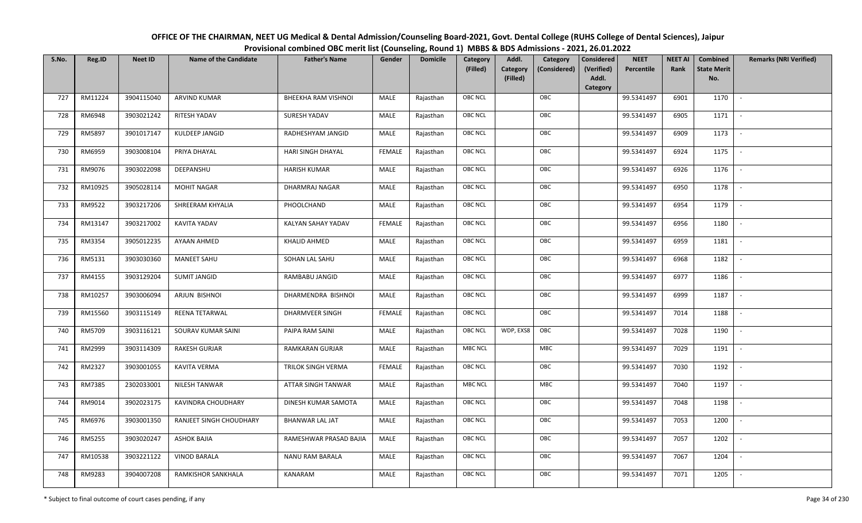| OFFICE OF THE CHAIRMAN, NEET UG Medical & Dental Admission/Counseling Board-2021, Govt. Dental College (RUHS College of Dental Sciences), Jaipur |
|--------------------------------------------------------------------------------------------------------------------------------------------------|
| Provisional combined OBC merit list (Counseling, Round 1) MBBS & BDS Admissions - 2021, 26.01.2022                                               |

| S.No. | Reg.ID  | <b>Neet ID</b> | <b>Name of the Candidate</b> | <b>Father's Name</b>       | Gender        | <b>Domicile</b> | Category<br>(Filled) | Addl.<br><b>Category</b><br>(Filled) | Category<br>(Considered) | Considered<br>(Verified)<br>Addl.<br>Category | <b>NEET</b><br>Percentile | <b>NEET AI</b><br>Rank | Combined<br><b>State Merit</b><br>No. | <b>Remarks (NRI Verified)</b> |
|-------|---------|----------------|------------------------------|----------------------------|---------------|-----------------|----------------------|--------------------------------------|--------------------------|-----------------------------------------------|---------------------------|------------------------|---------------------------------------|-------------------------------|
| 727   | RM11224 | 3904115040     | <b>ARVIND KUMAR</b>          | <b>BHEEKHA RAM VISHNOI</b> | MALE          | Rajasthan       | <b>OBC NCL</b>       |                                      | OBC                      |                                               | 99.5341497                | 6901                   | 1170                                  | $\sim$                        |
| 728   | RM6948  | 3903021242     | RITESH YADAV                 | SURESH YADAV               | MALE          | Rajasthan       | OBC NCL              |                                      | OBC                      |                                               | 99.5341497                | 6905                   | 1171                                  |                               |
| 729   | RM5897  | 3901017147     | KULDEEP JANGID               | RADHESHYAM JANGID          | MALE          | Rajasthan       | <b>OBC NCL</b>       |                                      | OBC                      |                                               | 99.5341497                | 6909                   | 1173                                  | $\blacksquare$                |
| 730   | RM6959  | 3903008104     | PRIYA DHAYAL                 | HARI SINGH DHAYAL          | <b>FEMALE</b> | Rajasthan       | OBC NCL              |                                      | OBC                      |                                               | 99.5341497                | 6924                   | 1175                                  | $\overline{\phantom{a}}$      |
| 731   | RM9076  | 3903022098     | DEEPANSHU                    | <b>HARISH KUMAR</b>        | MALE          | Rajasthan       | <b>OBC NCL</b>       |                                      | OBC                      |                                               | 99.5341497                | 6926                   | 1176                                  | $\sim$                        |
| 732   | RM10925 | 3905028114     | <b>MOHIT NAGAR</b>           | DHARMRAJ NAGAR             | MALE          | Rajasthan       | <b>OBC NCL</b>       |                                      | OBC                      |                                               | 99.5341497                | 6950                   | 1178                                  | $\sim$                        |
| 733   | RM9522  | 3903217206     | SHREERAM KHYALIA             | PHOOLCHAND                 | MALE          | Rajasthan       | OBC NCL              |                                      | OBC                      |                                               | 99.5341497                | 6954                   | 1179                                  | $\overline{\phantom{a}}$      |
| 734   | RM13147 | 3903217002     | KAVITA YADAV                 | KALYAN SAHAY YADAV         | <b>FEMALE</b> | Rajasthan       | OBC NCL              |                                      | OBC                      |                                               | 99.5341497                | 6956                   | 1180                                  |                               |
| 735   | RM3354  | 3905012235     | AYAAN AHMED                  | <b>KHALID AHMED</b>        | MALE          | Rajasthan       | OBC NCL              |                                      | OBC                      |                                               | 99.5341497                | 6959                   | 1181                                  |                               |
| 736   | RM5131  | 3903030360     | <b>MANEET SAHU</b>           | SOHAN LAL SAHU             | MALE          | Rajasthan       | OBC NCL              |                                      | OBC                      |                                               | 99.5341497                | 6968                   | 1182                                  | $\overline{\phantom{a}}$      |
| 737   | RM4155  | 3903129204     | <b>SUMIT JANGID</b>          | RAMBABU JANGID             | MALE          | Rajasthan       | <b>OBC NCL</b>       |                                      | OBC                      |                                               | 99.5341497                | 6977                   | 1186                                  |                               |
| 738   | RM10257 | 3903006094     | ARJUN BISHNOI                | DHARMENDRA BISHNOI         | MALE          | Rajasthan       | OBC NCL              |                                      | OBC                      |                                               | 99.5341497                | 6999                   | 1187                                  | $\sim$                        |
| 739   | RM15560 | 3903115149     | REENA TETARWAL               | <b>DHARMVEER SINGH</b>     | FEMALE        | Rajasthan       | <b>OBC NCL</b>       |                                      | OBC                      |                                               | 99.5341497                | 7014                   | 1188                                  |                               |
| 740   | RM5709  | 3903116121     | SOURAV KUMAR SAINI           | PAIPA RAM SAINI            | MALE          | Rajasthan       | OBC NCL              | WDP, EXS8                            | OBC                      |                                               | 99.5341497                | 7028                   | 1190                                  | $\overline{\phantom{a}}$      |
| 741   | RM2999  | 3903114309     | <b>RAKESH GURJAR</b>         | <b>RAMKARAN GURJAR</b>     | <b>MALE</b>   | Rajasthan       | <b>MBC NCL</b>       |                                      | MBC                      |                                               | 99.5341497                | 7029                   | 1191                                  | $\sim$                        |
| 742   | RM2327  | 3903001055     | KAVITA VERMA                 | TRILOK SINGH VERMA         | <b>FEMALE</b> | Rajasthan       | <b>OBC NCL</b>       |                                      | OBC                      |                                               | 99.5341497                | 7030                   | 1192                                  | $\sim$                        |
| 743   | RM7385  | 2302033001     | NILESH TANWAR                | ATTAR SINGH TANWAR         | MALE          | Rajasthan       | <b>MBC NCL</b>       |                                      | MBC                      |                                               | 99.5341497                | 7040                   | 1197                                  | $\sim$                        |
| 744   | RM9014  | 3902023175     | KAVINDRA CHOUDHARY           | DINESH KUMAR SAMOTA        | MALE          | Rajasthan       | OBC NCL              |                                      | OBC                      |                                               | 99.5341497                | 7048                   | 1198                                  |                               |
| 745   | RM6976  | 3903001350     | RANJEET SINGH CHOUDHARY      | <b>BHANWAR LAL JAT</b>     | <b>MALE</b>   | Rajasthan       | <b>OBC NCL</b>       |                                      | OBC                      |                                               | 99.5341497                | 7053                   | 1200                                  |                               |
| 746   | RM5255  | 3903020247     | <b>ASHOK BAJIA</b>           | RAMESHWAR PRASAD BAJIA     | MALE          | Rajasthan       | OBC NCL              |                                      | OBC                      |                                               | 99.5341497                | 7057                   | 1202                                  | $\blacksquare$                |
| 747   | RM10538 | 3903221122     | <b>VINOD BARALA</b>          | <b>NANU RAM BARALA</b>     | <b>MALE</b>   | Rajasthan       | <b>OBC NCL</b>       |                                      | OBC                      |                                               | 99.5341497                | 7067                   | 1204                                  | $\overline{\phantom{a}}$      |
| 748   | RM9283  | 3904007208     | RAMKISHOR SANKHALA           | KANARAM                    | MALE          | Rajasthan       | <b>OBC NCL</b>       |                                      | OBC                      |                                               | 99.5341497                | 7071                   | 1205                                  |                               |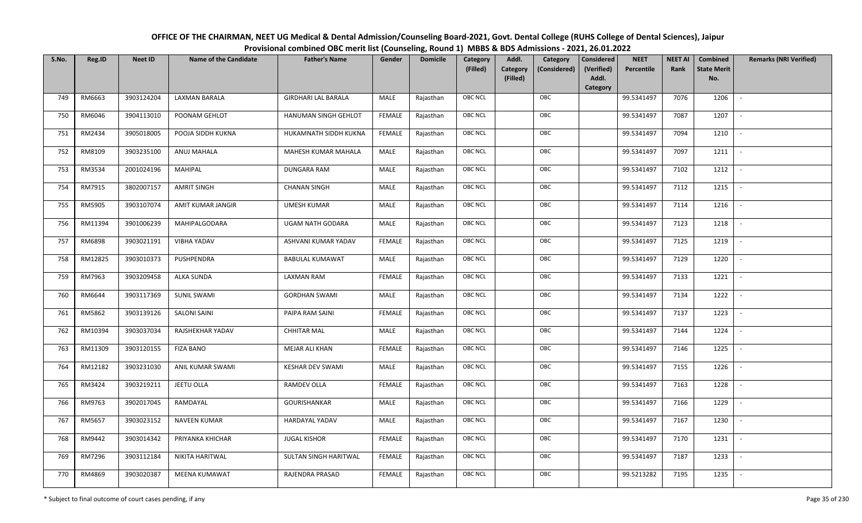| OFFICE OF THE CHAIRMAN, NEET UG Medical & Dental Admission/Counseling Board-2021, Govt. Dental College (RUHS College of Dental Sciences), Jaipur |
|--------------------------------------------------------------------------------------------------------------------------------------------------|
| Provisional combined OBC merit list (Counseling, Round 1) MBBS & BDS Admissions - 2021, 26.01.2022                                               |

| S.No. | Reg.ID  | <b>Neet ID</b> | <b>Name of the Candidate</b> | <b>Father's Name</b>         | Gender        | <b>Domicile</b> | Category<br>(Filled) | Addl.<br><b>Category</b><br>(Filled) | Category<br>(Considered) | Considered<br>(Verified)<br>Addl.<br>Category | <b>NEET</b><br>Percentile | <b>NEET AI</b><br>Rank | Combined<br><b>State Merit</b><br>No. | <b>Remarks (NRI Verified)</b> |
|-------|---------|----------------|------------------------------|------------------------------|---------------|-----------------|----------------------|--------------------------------------|--------------------------|-----------------------------------------------|---------------------------|------------------------|---------------------------------------|-------------------------------|
| 749   | RM6663  | 3903124204     | LAXMAN BARALA                | <b>GIRDHARI LAL BARALA</b>   | MALE          | Rajasthan       | <b>OBC NCL</b>       |                                      | OBC                      |                                               | 99.5341497                | 7076                   | 1206                                  | $\sim$                        |
| 750   | RM6046  | 3904113010     | POONAM GEHLOT                | HANUMAN SINGH GEHLOT         | FEMALE        | Rajasthan       | OBC NCL              |                                      | OBC                      |                                               | 99.5341497                | 7087                   | 1207                                  |                               |
| 751   | RM2434  | 3905018005     | POOJA SIDDH KUKNA            | HUKAMNATH SIDDH KUKNA        | <b>FEMALE</b> | Rajasthan       | <b>OBC NCL</b>       |                                      | OBC                      |                                               | 99.5341497                | 7094                   | 1210                                  |                               |
| 752   | RM8109  | 3903235100     | ANUJ MAHALA                  | MAHESH KUMAR MAHALA          | MALE          | Rajasthan       | OBC NCL              |                                      | OBC                      |                                               | 99.5341497                | 7097                   | 1211                                  | $\overline{\phantom{a}}$      |
| 753   | RM3534  | 2001024196     | <b>MAHIPAL</b>               | DUNGARA RAM                  | MALE          | Rajasthan       | <b>OBC NCL</b>       |                                      | OBC                      |                                               | 99.5341497                | 7102                   | 1212                                  | $\sim$                        |
| 754   | RM7915  | 3802007157     | <b>AMRIT SINGH</b>           | <b>CHANAN SINGH</b>          | MALE          | Rajasthan       | <b>OBC NCL</b>       |                                      | OBC                      |                                               | 99.5341497                | 7112                   | 1215                                  | $\sim$                        |
| 755   | RM5905  | 3903107074     | AMIT KUMAR JANGIR            | <b>UMESH KUMAR</b>           | MALE          | Rajasthan       | OBC NCL              |                                      | OBC                      |                                               | 99.5341497                | 7114                   | 1216                                  | $\overline{\phantom{a}}$      |
| 756   | RM11394 | 3901006239     | MAHIPALGODARA                | UGAM NATH GODARA             | MALE          | Rajasthan       | OBC NCL              |                                      | OBC                      |                                               | 99.5341497                | 7123                   | 1218                                  |                               |
| 757   | RM6898  | 3903021191     | <b>VIBHA YADAV</b>           | ASHVANI KUMAR YADAV          | <b>FEMALE</b> | Rajasthan       | OBC NCL              |                                      | OBC                      |                                               | 99.5341497                | 7125                   | 1219                                  |                               |
| 758   | RM12825 | 3903010373     | PUSHPENDRA                   | <b>BABULAL KUMAWAT</b>       | MALE          | Rajasthan       | OBC NCL              |                                      | OBC                      |                                               | 99.5341497                | 7129                   | 1220                                  | $\overline{\phantom{a}}$      |
| 759   | RM7963  | 3903209458     | ALKA SUNDA                   | <b>LAXMAN RAM</b>            | <b>FEMALE</b> | Rajasthan       | <b>OBC NCL</b>       |                                      | OBC                      |                                               | 99.5341497                | 7133                   | 1221                                  |                               |
| 760   | RM6644  | 3903117369     | <b>SUNIL SWAMI</b>           | <b>GORDHAN SWAMI</b>         | MALE          | Rajasthan       | OBC NCL              |                                      | OBC                      |                                               | 99.5341497                | 7134                   | 1222                                  | $\overline{\phantom{a}}$      |
| 761   | RM5862  | 3903139126     | <b>SALONI SAINI</b>          | PAIPA RAM SAINI              | <b>FEMALE</b> | Rajasthan       | <b>OBC NCL</b>       |                                      | OBC                      |                                               | 99.5341497                | 7137                   | 1223                                  |                               |
| 762   | RM10394 | 3903037034     | RAJSHEKHAR YADAV             | <b>CHHITAR MAL</b>           | MALE          | Rajasthan       | OBC NCL              |                                      | OBC                      |                                               | 99.5341497                | 7144                   | 1224                                  | $\sim$                        |
| 763   | RM11309 | 3903120155     | <b>FIZA BANO</b>             | <b>MEJAR ALI KHAN</b>        | <b>FEMALE</b> | Rajasthan       | OBC NCL              |                                      | OBC                      |                                               | 99.5341497                | 7146                   | 1225                                  | $\overline{\phantom{a}}$      |
| 764   | RM12182 | 3903231030     | ANIL KUMAR SWAMI             | <b>KESHAR DEV SWAMI</b>      | MALE          | Rajasthan       | <b>OBC NCL</b>       |                                      | OBC                      |                                               | 99.5341497                | 7155                   | 1226                                  | $\sim$                        |
| 765   | RM3424  | 3903219211     | JEETU OLLA                   | RAMDEV OLLA                  | <b>FEMALE</b> | Rajasthan       | <b>OBC NCL</b>       |                                      | OBC                      |                                               | 99.5341497                | 7163                   | 1228                                  | $\overline{\phantom{a}}$      |
| 766   | RM9763  | 3902017045     | RAMDAYAL                     | <b>GOURISHANKAR</b>          | MALE          | Rajasthan       | OBC NCL              |                                      | OBC                      |                                               | 99.5341497                | 7166                   | 1229                                  |                               |
| 767   | RM5657  | 3903023152     | NAVEEN KUMAR                 | HARDAYAL YADAV               | MALE          | Rajasthan       | <b>OBC NCL</b>       |                                      | OBC                      |                                               | 99.5341497                | 7167                   | 1230                                  |                               |
| 768   | RM9442  | 3903014342     | PRIYANKA KHICHAR             | <b>JUGAL KISHOR</b>          | <b>FEMALE</b> | Rajasthan       | OBC NCL              |                                      | OBC                      |                                               | 99.5341497                | 7170                   | 1231                                  | $\overline{\phantom{a}}$      |
| 769   | RM7296  | 3903112184     | NIKITA HARITWAL              | <b>SULTAN SINGH HARITWAL</b> | <b>FEMALE</b> | Rajasthan       | <b>OBC NCL</b>       |                                      | OBC                      |                                               | 99.5341497                | 7187                   | 1233                                  | $\overline{\phantom{a}}$      |
| 770   | RM4869  | 3903020387     | MEENA KUMAWAT                | RAJENDRA PRASAD              | <b>FEMALE</b> | Rajasthan       | <b>OBC NCL</b>       |                                      | OBC                      |                                               | 99.5213282                | 7195                   | 1235                                  |                               |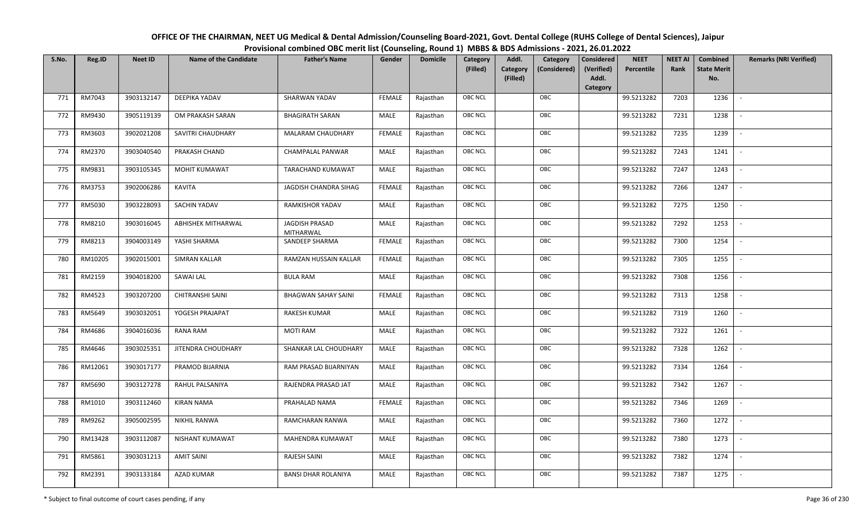| OFFICE OF THE CHAIRMAN, NEET UG Medical & Dental Admission/Counseling Board-2021, Govt. Dental College (RUHS College of Dental Sciences), Jaipur |
|--------------------------------------------------------------------------------------------------------------------------------------------------|
| Provisional combined OBC merit list (Counseling, Round 1) MBBS & BDS Admissions - 2021, 26.01.2022                                               |

| S.No. | Reg.ID  | <b>Neet ID</b> | <b>Name of the Candidate</b> | <b>Father's Name</b>               | Gender        | <b>Domicile</b> | Category<br>(Filled) | Addl.<br>Category<br>(Filled) | Category<br>(Considered) | <b>Considered</b><br>(Verified)<br>Addl. | <b>NEET</b><br>Percentile | <b>NEET AI</b><br>Rank | Combined<br><b>State Merit</b><br>No. | <b>Remarks (NRI Verified)</b> |
|-------|---------|----------------|------------------------------|------------------------------------|---------------|-----------------|----------------------|-------------------------------|--------------------------|------------------------------------------|---------------------------|------------------------|---------------------------------------|-------------------------------|
|       |         |                |                              |                                    |               |                 |                      |                               |                          | Category                                 |                           |                        |                                       |                               |
| 771   | RM7043  | 3903132147     | DEEPIKA YADAV                | SHARWAN YADAV                      | <b>FEMALE</b> | Rajasthan       | OBC NCL              |                               | OBC                      |                                          | 99.5213282                | 7203                   | 1236                                  | $\overline{\phantom{a}}$      |
| 772   | RM9430  | 3905119139     | OM PRAKASH SARAN             | <b>BHAGIRATH SARAN</b>             | MALE          | Rajasthan       | OBC NCL              |                               | OBC                      |                                          | 99.5213282                | 7231                   | 1238                                  |                               |
| 773   | RM3603  | 3902021208     | SAVITRI CHAUDHARY            | MALARAM CHAUDHARY                  | <b>FEMALE</b> | Rajasthan       | <b>OBC NCL</b>       |                               | OBC                      |                                          | 99.5213282                | 7235                   | 1239                                  |                               |
| 774   | RM2370  | 3903040540     | PRAKASH CHAND                | CHAMPALAL PANWAR                   | MALE          | Rajasthan       | OBC NCL              |                               | OBC                      |                                          | 99.5213282                | 7243                   | 1241                                  | $\overline{\phantom{a}}$      |
| 775   | RM9831  | 3903105345     | MOHIT KUMAWAT                | TARACHAND KUMAWAT                  | MALE          | Rajasthan       | OBC NCL              |                               | OBC                      |                                          | 99.5213282                | 7247                   | 1243                                  | $\sim$                        |
| 776   | RM3753  | 3902006286     | KAVITA                       | JAGDISH CHANDRA SIHAG              | <b>FEMALE</b> | Rajasthan       | OBC NCL              |                               | OBC                      |                                          | 99.5213282                | 7266                   | 1247                                  | $\sim$                        |
| 777   | RM5030  | 3903228093     | SACHIN YADAV                 | RAMKISHOR YADAV                    | <b>MALE</b>   | Rajasthan       | OBC NCL              |                               | OBC                      |                                          | 99.5213282                | 7275                   | 1250                                  | $\overline{\phantom{a}}$      |
| 778   | RM8210  | 3903016045     | <b>ABHISHEK MITHARWAL</b>    | <b>JAGDISH PRASAD</b><br>MITHARWAL | MALE          | Rajasthan       | <b>OBC NCL</b>       |                               | OBC                      |                                          | 99.5213282                | 7292                   | 1253                                  |                               |
| 779   | RM8213  | 3904003149     | YASHI SHARMA                 | SANDEEP SHARMA                     | <b>FEMALE</b> | Rajasthan       | OBC NCL              |                               | OBC                      |                                          | 99.5213282                | 7300                   | 1254                                  |                               |
| 780   | RM10205 | 3902015001     | SIMRAN KALLAR                | RAMZAN HUSSAIN KALLAR              | <b>FEMALE</b> | Rajasthan       | OBC NCL              |                               | OBC                      |                                          | 99.5213282                | 7305                   | 1255                                  | $\overline{\phantom{a}}$      |
| 781   | RM2159  | 3904018200     | SAWAI LAL                    | <b>BULA RAM</b>                    | MALE          | Rajasthan       | OBC NCL              |                               | OBC                      |                                          | 99.5213282                | 7308                   | 1256                                  |                               |
| 782   | RM4523  | 3903207200     | <b>CHITRANSHI SAINI</b>      | <b>BHAGWAN SAHAY SAINI</b>         | <b>FEMALE</b> | Rajasthan       | <b>OBC NCL</b>       |                               | OBC                      |                                          | 99.5213282                | 7313                   | 1258                                  | $\mathcal{L}$                 |
| 783   | RM5649  | 3903032051     | YOGESH PRAJAPAT              | <b>RAKESH KUMAR</b>                | MALE          | Rajasthan       | OBC NCL              |                               | OBC                      |                                          | 99.5213282                | 7319                   | 1260                                  |                               |
| 784   | RM4686  | 3904016036     | <b>RANA RAM</b>              | <b>MOTI RAM</b>                    | MALE          | Rajasthan       | <b>OBC NCL</b>       |                               | OBC                      |                                          | 99.5213282                | 7322                   | 1261                                  | $\overline{\phantom{a}}$      |
| 785   | RM4646  | 3903025351     | JITENDRA CHOUDHARY           | SHANKAR LAL CHOUDHARY              | MALE          | Rajasthan       | OBC NCL              |                               | OBC                      |                                          | 99.5213282                | 7328                   | 1262                                  | $\overline{\phantom{a}}$      |
| 786   | RM12061 | 3903017177     | PRAMOD BIJARNIA              | RAM PRASAD BIJARNIYAN              | <b>MALE</b>   | Rajasthan       | OBC NCL              |                               | OBC                      |                                          | 99.5213282                | 7334                   | 1264                                  | $\overline{a}$                |
| 787   | RM5690  | 3903127278     | RAHUL PALSANIYA              | RAJENDRA PRASAD JAT                | MALE          | Rajasthan       | OBC NCL              |                               | OBC                      |                                          | 99.5213282                | 7342                   | 1267                                  | $\sim$                        |
| 788   | RM1010  | 3903112460     | <b>KIRAN NAMA</b>            | PRAHALAD NAMA                      | <b>FEMALE</b> | Rajasthan       | OBC NCL              |                               | OBC                      |                                          | 99.5213282                | 7346                   | 1269                                  | $\overline{\phantom{a}}$      |
| 789   | RM9262  | 3905002595     | NIKHIL RANWA                 | RAMCHARAN RANWA                    | MALE          | Rajasthan       | OBC NCL              |                               | OBC                      |                                          | 99.5213282                | 7360                   | 1272                                  |                               |
| 790   | RM13428 | 3903112087     | NISHANT KUMAWAT              | MAHENDRA KUMAWAT                   | MALE          | Rajasthan       | OBC NCL              |                               | OBC                      |                                          | 99.5213282                | 7380                   | 1273                                  |                               |
| 791   | RM5861  | 3903031213     | <b>AMIT SAINI</b>            | RAJESH SAINI                       | <b>MALE</b>   | Rajasthan       | OBC NCL              |                               | OBC                      |                                          | 99.5213282                | 7382                   | 1274                                  | $\overline{\phantom{a}}$      |
| 792   | RM2391  | 3903133184     | AZAD KUMAR                   | <b>BANSI DHAR ROLANIYA</b>         | MALE          | Rajasthan       | <b>OBC NCL</b>       |                               | OBC                      |                                          | 99.5213282                | 7387                   | 1275                                  |                               |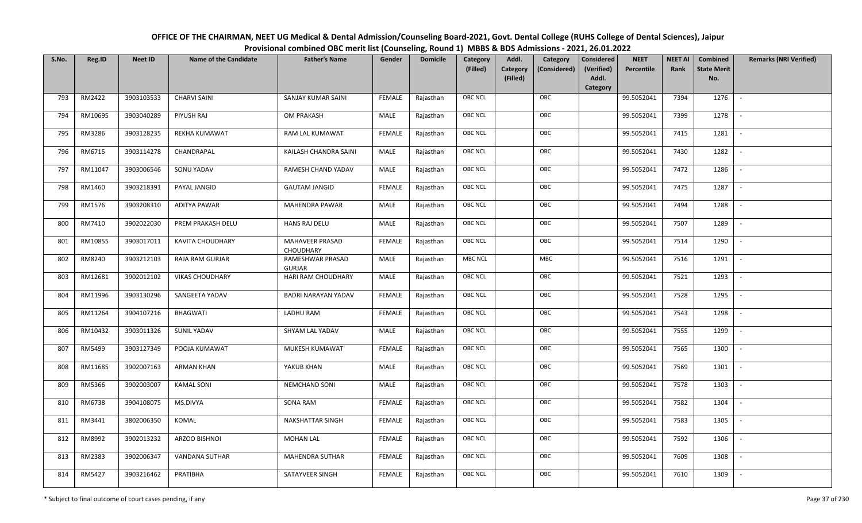| OFFICE OF THE CHAIRMAN, NEET UG Medical & Dental Admission/Counseling Board-2021, Govt. Dental College (RUHS College of Dental Sciences), Jaipur |
|--------------------------------------------------------------------------------------------------------------------------------------------------|
| Provisional combined OBC merit list (Counseling, Round 1) MBBS & BDS Admissions - 2021, 26.01.2022                                               |

| S.No. | Reg.ID  | <b>Neet ID</b> | <b>Name of the Candidate</b> | <b>Father's Name</b>              | Gender        | <b>Domicile</b> | <b>Category</b> | Addl.                | Category     | <b>Considered</b>   | <b>NEET</b><br>Percentile | <b>NEET AI</b><br>Rank | Combined<br><b>State Merit</b> | <b>Remarks (NRI Verified)</b> |
|-------|---------|----------------|------------------------------|-----------------------------------|---------------|-----------------|-----------------|----------------------|--------------|---------------------|---------------------------|------------------------|--------------------------------|-------------------------------|
|       |         |                |                              |                                   |               |                 | (Filled)        | Category<br>(Filled) | (Considered) | (Verified)<br>Addl. |                           |                        | No.                            |                               |
|       |         |                |                              |                                   |               |                 |                 |                      |              | <b>Category</b>     |                           |                        |                                |                               |
| 793   | RM2422  | 3903103533     | <b>CHARVI SAINI</b>          | SANJAY KUMAR SAINI                | <b>FEMALE</b> | Rajasthan       | <b>OBC NCL</b>  |                      | OBC          |                     | 99.5052041                | 7394                   | 1276                           | $\sim$                        |
| 794   | RM10695 | 3903040289     | PIYUSH RAJ                   | OM PRAKASH                        | MALE          | Rajasthan       | <b>OBC NCL</b>  |                      | OBC          |                     | 99.5052041                | 7399                   | 1278                           |                               |
| 795   | RM3286  | 3903128235     | <b>REKHA KUMAWAT</b>         | RAM LAL KUMAWAT                   | <b>FEMALE</b> | Rajasthan       | OBC NCL         |                      | OBC          |                     | 99.5052041                | 7415                   | 1281                           | $\overline{\phantom{a}}$      |
| 796   | RM6715  | 3903114278     | CHANDRAPAL                   | KAILASH CHANDRA SAINI             | MALE          | Rajasthan       | <b>OBC NCL</b>  |                      | OBC          |                     | 99.5052041                | 7430                   | 1282                           | $\overline{\phantom{a}}$      |
| 797   | RM11047 | 3903006546     | SONU YADAV                   | RAMESH CHAND YADAV                | MALE          | Rajasthan       | <b>OBC NCL</b>  |                      | OBC          |                     | 99.5052041                | 7472                   | 1286                           | $\sim$                        |
| 798   | RM1460  | 3903218391     | PAYAL JANGID                 | <b>GAUTAM JANGID</b>              | <b>FEMALE</b> | Rajasthan       | <b>OBC NCL</b>  |                      | OBC          |                     | 99.5052041                | 7475                   | 1287                           | $\overline{\phantom{a}}$      |
| 799   | RM1576  | 3903208310     | <b>ADITYA PAWAR</b>          | MAHENDRA PAWAR                    | MALE          | Rajasthan       | <b>OBC NCL</b>  |                      | OBC          |                     | 99.5052041                | 7494                   | 1288                           | $\blacksquare$                |
| 800   | RM7410  | 3902022030     | PREM PRAKASH DELU            | <b>HANS RAJ DELU</b>              | MALE          | Rajasthan       | <b>OBC NCL</b>  |                      | OBC          |                     | 99.5052041                | 7507                   | 1289                           |                               |
| 801   | RM10855 | 3903017011     | <b>KAVITA CHOUDHARY</b>      | MAHAVEER PRASAD<br>CHOUDHARY      | <b>FEMALE</b> | Rajasthan       | <b>OBC NCL</b>  |                      | OBC          |                     | 99.5052041                | 7514                   | 1290                           |                               |
| 802   | RM8240  | 3903212103     | RAJA RAM GURJAR              | RAMESHWAR PRASAD<br><b>GURJAR</b> | MALE          | Rajasthan       | <b>MBC NCL</b>  |                      | MBC          |                     | 99.5052041                | 7516                   | 1291                           | $\overline{\phantom{a}}$      |
| 803   | RM12681 | 3902012102     | <b>VIKAS CHOUDHARY</b>       | HARI RAM CHOUDHARY                | MALE          | Rajasthan       | <b>OBC NCL</b>  |                      | OBC          |                     | 99.5052041                | 7521                   | 1293                           |                               |
| 804   | RM11996 | 3903130296     | SANGEETA YADAV               | <b>BADRI NARAYAN YADAV</b>        | <b>FEMALE</b> | Rajasthan       | OBC NCL         |                      | OBC          |                     | 99.5052041                | 7528                   | 1295                           | $\blacksquare$                |
| 805   | RM11264 | 3904107216     | <b>BHAGWATI</b>              | LADHU RAM                         | FEMALE        | Rajasthan       | <b>OBC NCL</b>  |                      | OBC          |                     | 99.5052041                | 7543                   | 1298                           |                               |
| 806   | RM10432 | 3903011326     | SUNIL YADAV                  | SHYAM LAL YADAV                   | MALE          | Rajasthan       | OBC NCL         |                      | OBC          |                     | 99.5052041                | 7555                   | 1299                           | $\sim$                        |
| 807   | RM5499  | 3903127349     | POOJA KUMAWAT                | MUKESH KUMAWAT                    | <b>FEMALE</b> | Rajasthan       | <b>OBC NCL</b>  |                      | OBC          |                     | 99.5052041                | 7565                   | 1300                           | $\overline{\phantom{a}}$      |
| 808   | RM11685 | 3902007163     | ARMAN KHAN                   | YAKUB KHAN                        | MALE          | Rajasthan       | <b>OBC NCL</b>  |                      | OBC          |                     | 99.5052041                | 7569                   | 1301                           | $\sim$                        |
| 809   | RM5366  | 3902003007     | <b>KAMAL SONI</b>            | <b>NEMCHAND SONI</b>              | MALE          | Rajasthan       | <b>OBC NCL</b>  |                      | OBC          |                     | 99.5052041                | 7578                   | 1303                           | $\overline{\phantom{a}}$      |
| 810   | RM6738  | 3904108075     | MS.DIVYA                     | SONA RAM                          | <b>FEMALE</b> | Rajasthan       | <b>OBC NCL</b>  |                      | OBC          |                     | 99.5052041                | 7582                   | 1304                           |                               |
| 811   | RM3441  | 3802006350     | KOMAL                        | NAKSHATTAR SINGH                  | <b>FEMALE</b> | Rajasthan       | OBC NCL         |                      | OBC          |                     | 99.5052041                | 7583                   | 1305                           |                               |
| 812   | RM8992  | 3902013232     | ARZOO BISHNOI                | <b>MOHAN LAL</b>                  | <b>FEMALE</b> | Rajasthan       | <b>OBC NCL</b>  |                      | OBC          |                     | 99.5052041                | 7592                   | 1306                           |                               |
| 813   | RM2383  | 3902006347     | VANDANA SUTHAR               | <b>MAHENDRA SUTHAR</b>            | <b>FEMALE</b> | Rajasthan       | <b>OBC NCL</b>  |                      | OBC          |                     | 99.5052041                | 7609                   | 1308                           |                               |
| 814   | RM5427  | 3903216462     | PRATIBHA                     | SATAYVEER SINGH                   | <b>FEMALE</b> | Rajasthan       | <b>OBC NCL</b>  |                      | OBC          |                     | 99.5052041                | 7610                   | 1309                           |                               |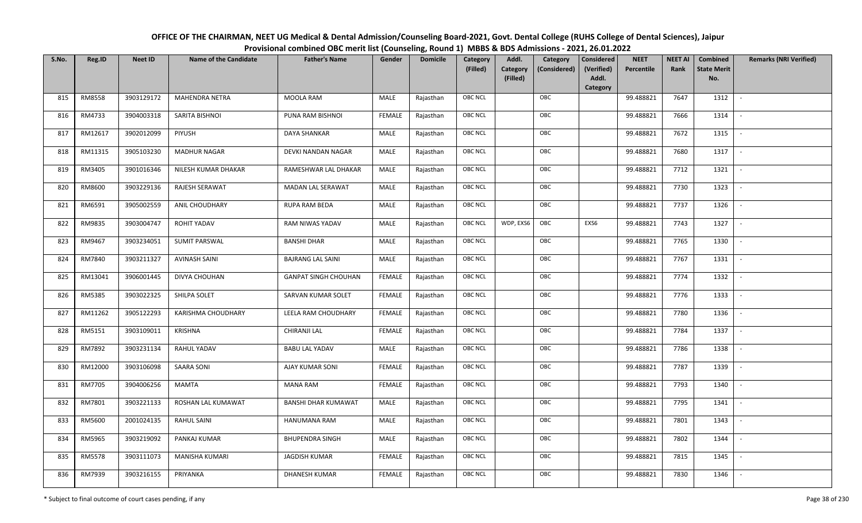| OFFICE OF THE CHAIRMAN, NEET UG Medical & Dental Admission/Counseling Board-2021, Govt. Dental College (RUHS College of Dental Sciences), Jaipur |  |
|--------------------------------------------------------------------------------------------------------------------------------------------------|--|
| Provisional combined OBC merit list (Counseling, Round 1) MBBS & BDS Admissions - 2021, 26.01.2022                                               |  |

| S.No. | Reg.ID  | <b>Neet ID</b> | <b>Name of the Candidate</b> | <b>Father's Name</b>        | Gender        | <b>Domicile</b> | Category       | Addl.                | Category     | <b>Considered</b>   | <b>NEET</b><br>Percentile | <b>NEET AI</b><br>Rank | Combined<br><b>State Merit</b> | <b>Remarks (NRI Verified)</b> |
|-------|---------|----------------|------------------------------|-----------------------------|---------------|-----------------|----------------|----------------------|--------------|---------------------|---------------------------|------------------------|--------------------------------|-------------------------------|
|       |         |                |                              |                             |               |                 | (Filled)       | Category<br>(Filled) | (Considered) | (Verified)<br>Addl. |                           |                        | No.                            |                               |
|       |         |                |                              |                             |               |                 |                |                      |              | Category            |                           |                        |                                |                               |
| 815   | RM8558  | 3903129172     | <b>MAHENDRA NETRA</b>        | MOOLA RAM                   | MALE          | Rajasthan       | <b>OBC NCL</b> | OBC                  |              |                     | 99.488821                 | 7647                   | 1312                           | $\sim$                        |
| 816   | RM4733  | 3904003318     | SARITA BISHNOI               | PUNA RAM BISHNOI            | <b>FEMALE</b> | Rajasthan       | <b>OBC NCL</b> | OBC                  |              |                     | 99.488821                 | 7666                   | 1314                           |                               |
| 817   | RM12617 | 3902012099     | <b>PIYUSH</b>                | <b>DAYA SHANKAR</b>         | MALE          | Rajasthan       | OBC NCL        | OBC                  |              |                     | 99.488821                 | 7672                   | 1315                           | $\overline{\phantom{a}}$      |
| 818   | RM11315 | 3905103230     | <b>MADHUR NAGAR</b>          | DEVKI NANDAN NAGAR          | <b>MALE</b>   | Rajasthan       | <b>OBC NCL</b> | OBC                  |              |                     | 99.488821                 | 7680                   | 1317                           | $\overline{\phantom{a}}$      |
| 819   | RM3405  | 3901016346     | NILESH KUMAR DHAKAR          | RAMESHWAR LAL DHAKAR        | MALE          | Rajasthan       | OBC NCL        | OBC                  |              |                     | 99.488821                 | 7712                   | 1321                           | $\sim$                        |
| 820   | RM8600  | 3903229136     | RAJESH SERAWAT               | MADAN LAL SERAWAT           | <b>MALE</b>   | Rajasthan       | OBC NCL        | OBC                  |              |                     | 99.488821                 | 7730                   | 1323                           | $\overline{\phantom{a}}$      |
| 821   | RM6591  | 3905002559     | ANIL CHOUDHARY               | RUPA RAM BEDA               | MALE          | Rajasthan       | OBC NCL        | OBC                  |              |                     | 99.488821                 | 7737                   | 1326                           | $\overline{\phantom{a}}$      |
| 822   | RM9835  | 3903004747     | <b>ROHIT YADAV</b>           | RAM NIWAS YADAV             | <b>MALE</b>   | Rajasthan       | OBC NCL        | WDP, EXS6<br>OBC     |              | EXS6                | 99.488821                 | 7743                   | 1327                           |                               |
| 823   | RM9467  | 3903234051     | <b>SUMIT PARSWAL</b>         | <b>BANSHI DHAR</b>          | <b>MALE</b>   | Rajasthan       | OBC NCL        | OBC                  |              |                     | 99.488821                 | 7765                   | 1330                           |                               |
| 824   | RM7840  | 3903211327     | <b>AVINASH SAINI</b>         | <b>BAJRANG LAL SAINI</b>    | <b>MALE</b>   | Rajasthan       | <b>OBC NCL</b> | OBC                  |              |                     | 99.488821                 | 7767                   | 1331                           | $\sim$                        |
| 825   | RM13041 | 3906001445     | DIVYA CHOUHAN                | <b>GANPAT SINGH CHOUHAN</b> | <b>FEMALE</b> | Rajasthan       | <b>OBC NCL</b> | OBC                  |              |                     | 99.488821                 | 7774                   | 1332                           |                               |
| 826   | RM5385  | 3903022325     | SHILPA SOLET                 | SARVAN KUMAR SOLET          | <b>FEMALE</b> | Rajasthan       | OBC NCL        | OBC                  |              |                     | 99.488821                 | 7776                   | 1333                           | $\sim$                        |
| 827   | RM11262 | 3905122293     | <b>KARISHMA CHOUDHARY</b>    | LEELA RAM CHOUDHARY         | <b>FEMALE</b> | Rajasthan       | OBC NCL        | OBC                  |              |                     | 99.488821                 | 7780                   | 1336                           |                               |
| 828   | RM5151  | 3903109011     | KRISHNA                      | CHIRANJI LAL                | <b>FEMALE</b> | Rajasthan       | OBC NCL        | OBC                  |              |                     | 99.488821                 | 7784                   | 1337                           | $\sim$                        |
| 829   | RM7892  | 3903231134     | RAHUL YADAV                  | <b>BABU LAL YADAV</b>       | MALE          | Rajasthan       | <b>OBC NCL</b> | OBC                  |              |                     | 99.488821                 | 7786                   | 1338                           | $\overline{\phantom{a}}$      |
| 830   | RM12000 | 3903106098     | <b>SAARA SONI</b>            | AJAY KUMAR SONI             | <b>FEMALE</b> | Rajasthan       | <b>OBC NCL</b> | OBC                  |              |                     | 99.488821                 | 7787                   | 1339                           | $\sim$                        |
| 831   | RM7705  | 3904006256     | MAMTA                        | <b>MANA RAM</b>             | <b>FEMALE</b> | Rajasthan       | OBC NCL        | OBC                  |              |                     | 99.488821                 | 7793                   | 1340                           | $\overline{\phantom{a}}$      |
| 832   | RM7801  | 3903221133     | ROSHAN LAL KUMAWAT           | <b>BANSHI DHAR KUMAWAT</b>  | MALE          | Rajasthan       | OBC NCL        | OBC                  |              |                     | 99.488821                 | 7795                   | 1341                           |                               |
| 833   | RM5600  | 2001024135     | <b>RAHUL SAINI</b>           | HANUMANA RAM                | MALE          | Rajasthan       | <b>OBC NCL</b> | OBC                  |              |                     | 99.488821                 | 7801                   | 1343                           |                               |
| 834   | RM5965  | 3903219092     | PANKAJ KUMAR                 | <b>BHUPENDRA SINGH</b>      | <b>MALE</b>   | Rajasthan       | <b>OBC NCL</b> | OBC                  |              |                     | 99.488821                 | 7802                   | 1344                           | $\overline{\phantom{a}}$      |
| 835   | RM5578  | 3903111073     | <b>MANISHA KUMARI</b>        | JAGDISH KUMAR               | <b>FEMALE</b> | Rajasthan       | <b>OBC NCL</b> | OBC                  |              |                     | 99.488821                 | 7815                   | 1345                           |                               |
| 836   | RM7939  | 3903216155     | PRIYANKA                     | <b>DHANESH KUMAR</b>        | FEMALE        | Rajasthan       | OBC NCL        | OBC                  |              |                     | 99.488821                 | 7830                   | 1346                           |                               |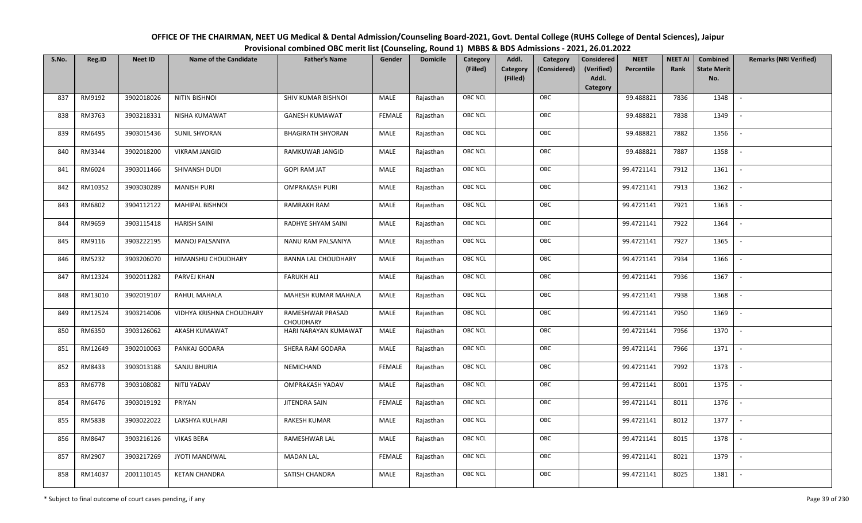| OFFICE OF THE CHAIRMAN, NEET UG Medical & Dental Admission/Counseling Board-2021, Govt. Dental College (RUHS College of Dental Sciences), Jaipur |
|--------------------------------------------------------------------------------------------------------------------------------------------------|
| Provisional combined OBC merit list (Counseling, Round 1) MBBS & BDS Admissions - 2021, 26.01.2022                                               |

| S.No. | Reg.ID  | <b>Neet ID</b> | <b>Name of the Candidate</b> | <b>Father's Name</b>                 | Gender        | <b>Domicile</b> | Category<br>(Filled) | Addl.<br>Category<br>(Filled) | Category<br>(Considered) | <b>Considered</b><br>(Verified)<br>Addl.<br>Category | <b>NEET</b><br>Percentile | <b>NEET AI</b><br>Rank | Combined<br><b>State Merit</b><br>No. | <b>Remarks (NRI Verified)</b> |
|-------|---------|----------------|------------------------------|--------------------------------------|---------------|-----------------|----------------------|-------------------------------|--------------------------|------------------------------------------------------|---------------------------|------------------------|---------------------------------------|-------------------------------|
| 837   | RM9192  | 3902018026     | <b>NITIN BISHNOI</b>         | SHIV KUMAR BISHNOI                   | MALE          | Rajasthan       | <b>OBC NCL</b>       |                               | OBC                      |                                                      | 99.488821                 | 7836                   | 1348                                  | $\sim$                        |
| 838   | RM3763  | 3903218331     | <b>NISHA KUMAWAT</b>         | <b>GANESH KUMAWAT</b>                | <b>FEMALE</b> | Rajasthan       | OBC NCL              |                               | OBC                      |                                                      | 99.488821                 | 7838                   | 1349                                  |                               |
| 839   | RM6495  | 3903015436     | <b>SUNIL SHYORAN</b>         | <b>BHAGIRATH SHYORAN</b>             | MALE          | Rajasthan       | <b>OBC NCL</b>       |                               | OBC                      |                                                      | 99.488821                 | 7882                   | 1356                                  |                               |
| 840   | RM3344  | 3902018200     | <b>VIKRAM JANGID</b>         | RAMKUWAR JANGID                      | MALE          | Rajasthan       | OBC NCL              |                               | OBC                      |                                                      | 99.488821                 | 7887                   | 1358                                  | $\overline{\phantom{a}}$      |
| 841   | RM6024  | 3903011466     | SHIVANSH DUDI                | <b>GOPI RAM JAT</b>                  | MALE          | Rajasthan       | OBC NCL              |                               | OBC                      |                                                      | 99.4721141                | 7912                   | 1361                                  | $\sim$                        |
| 842   | RM10352 | 3903030289     | <b>MANISH PURI</b>           | <b>OMPRAKASH PURI</b>                | MALE          | Rajasthan       | OBC NCL              |                               | OBC                      |                                                      | 99.4721141                | 7913                   | 1362                                  | $\overline{\phantom{a}}$      |
| 843   | RM6802  | 3904112122     | <b>MAHIPAL BISHNOI</b>       | RAMRAKH RAM                          | MALE          | Rajasthan       | OBC NCL              |                               | OBC                      |                                                      | 99.4721141                | 7921                   | 1363                                  |                               |
| 844   | RM9659  | 3903115418     | <b>HARISH SAINI</b>          | RADHYE SHYAM SAINI                   | MALE          | Rajasthan       | OBC NCL              |                               | OBC                      |                                                      | 99.4721141                | 7922                   | 1364                                  |                               |
| 845   | RM9116  | 3903222195     | MANOJ PALSANIYA              | NANU RAM PALSANIYA                   | MALE          | Rajasthan       | OBC NCL              |                               | OBC                      |                                                      | 99.4721141                | 7927                   | 1365                                  |                               |
| 846   | RM5232  | 3903206070     | HIMANSHU CHOUDHARY           | <b>BANNA LAL CHOUDHARY</b>           | MALE          | Rajasthan       | OBC NCL              |                               | OBC                      |                                                      | 99.4721141                | 7934                   | 1366                                  |                               |
| 847   | RM12324 | 3902011282     | PARVEJ KHAN                  | <b>FARUKH ALI</b>                    | MALE          | Rajasthan       | <b>OBC NCL</b>       |                               | OBC                      |                                                      | 99.4721141                | 7936                   | 1367                                  |                               |
| 848   | RM13010 | 3902019107     | RAHUL MAHALA                 | MAHESH KUMAR MAHALA                  | MALE          | Rajasthan       | OBC NCL              |                               | OBC                      |                                                      | 99.4721141                | 7938                   | 1368                                  |                               |
| 849   | RM12524 | 3903214006     | VIDHYA KRISHNA CHOUDHARY     | RAMESHWAR PRASAD<br><b>CHOUDHARY</b> | MALE          | Rajasthan       | OBC NCL              |                               | OBC                      |                                                      | 99.4721141                | 7950                   | 1369                                  |                               |
| 850   | RM6350  | 3903126062     | AKASH KUMAWAT                | HARI NARAYAN KUMAWAT                 | MALE          | Rajasthan       | OBC NCL              |                               | OBC                      |                                                      | 99.4721141                | 7956                   | 1370                                  | $\sim$                        |
| 851   | RM12649 | 3902010063     | PANKAJ GODARA                | SHERA RAM GODARA                     | <b>MALE</b>   | Rajasthan       | OBC NCL              |                               | OBC                      |                                                      | 99.4721141                | 7966                   | 1371                                  | $\sim$                        |
| 852   | RM8433  | 3903013188     | SANJU BHURIA                 | NEMICHAND                            | <b>FEMALE</b> | Rajasthan       | OBC NCL              |                               | OBC                      |                                                      | 99.4721141                | 7992                   | 1373                                  | $\sim$                        |
| 853   | RM6778  | 3903108082     | NITIJ YADAV                  | <b>OMPRAKASH YADAV</b>               | MALE          | Rajasthan       | OBC NCL              |                               | OBC                      |                                                      | 99.4721141                | 8001                   | 1375                                  | $\overline{\phantom{a}}$      |
| 854   | RM6476  | 3903019192     | PRIYAN                       | JITENDRA SAIN                        | <b>FEMALE</b> | Rajasthan       | OBC NCL              |                               | OBC                      |                                                      | 99.4721141                | 8011                   | 1376                                  |                               |
| 855   | RM5838  | 3903022022     | LAKSHYA KULHARI              | <b>RAKESH KUMAR</b>                  | <b>MALE</b>   | Rajasthan       | <b>OBC NCL</b>       |                               | OBC                      |                                                      | 99.4721141                | 8012                   | 1377                                  |                               |
| 856   | RM8647  | 3903216126     | <b>VIKAS BERA</b>            | RAMESHWAR LAL                        | MALE          | Rajasthan       | OBC NCL              |                               | OBC                      |                                                      | 99.4721141                | 8015                   | 1378                                  | $\blacksquare$                |
| 857   | RM2907  | 3903217269     | <b>JYOTI MANDIWAL</b>        | <b>MADAN LAL</b>                     | <b>FEMALE</b> | Rajasthan       | OBC NCL              |                               | OBC                      |                                                      | 99.4721141                | 8021                   | 1379                                  |                               |
| 858   | RM14037 | 2001110145     | <b>KETAN CHANDRA</b>         | SATISH CHANDRA                       | MALE          | Rajasthan       | OBC NCL              |                               | OBC                      |                                                      | 99.4721141                | 8025                   | 1381                                  |                               |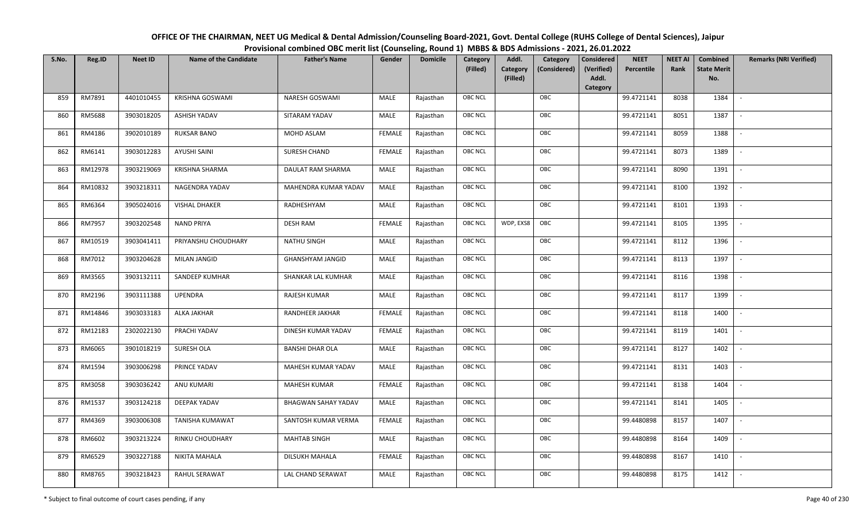| OFFICE OF THE CHAIRMAN, NEET UG Medical & Dental Admission/Counseling Board-2021, Govt. Dental College (RUHS College of Dental Sciences), Jaipur |
|--------------------------------------------------------------------------------------------------------------------------------------------------|
| Provisional combined OBC merit list (Counseling, Round 1) MBBS & BDS Admissions - 2021, 26.01.2022                                               |

| S.No. | Reg.ID  | <b>Neet ID</b> | <b>Name of the Candidate</b> | <b>Father's Name</b>    | Gender        | <b>Domicile</b> | Category<br>(Filled) | Addl.<br>Category<br>(Filled) | Category<br>(Considered) | <b>Considered</b><br>(Verified)<br>Addl. | <b>NEET</b><br>Percentile | <b>NEET AI</b><br>Rank | Combined<br><b>State Merit</b><br>No. | <b>Remarks (NRI Verified)</b> |
|-------|---------|----------------|------------------------------|-------------------------|---------------|-----------------|----------------------|-------------------------------|--------------------------|------------------------------------------|---------------------------|------------------------|---------------------------------------|-------------------------------|
|       |         |                |                              |                         |               |                 |                      |                               |                          | Category                                 |                           |                        |                                       |                               |
| 859   | RM7891  | 4401010455     | KRISHNA GOSWAMI              | <b>NARESH GOSWAMI</b>   | MALE          | Rajasthan       | OBC NCL              |                               | OBC                      |                                          | 99.4721141                | 8038                   | 1384                                  | $\overline{\phantom{a}}$      |
| 860   | RM5688  | 3903018205     | ASHISH YADAV                 | SITARAM YADAV           | MALE          | Rajasthan       | OBC NCL              |                               | OBC                      |                                          | 99.4721141                | 8051                   | 1387                                  |                               |
| 861   | RM4186  | 3902010189     | <b>RUKSAR BANO</b>           | MOHD ASLAM              | <b>FEMALE</b> | Rajasthan       | <b>OBC NCL</b>       |                               | OBC                      |                                          | 99.4721141                | 8059                   | 1388                                  |                               |
| 862   | RM6141  | 3903012283     | <b>AYUSHI SAINI</b>          | SURESH CHAND            | <b>FEMALE</b> | Rajasthan       | OBC NCL              |                               | OBC                      |                                          | 99.4721141                | 8073                   | 1389                                  | $\overline{\phantom{a}}$      |
| 863   | RM12978 | 3903219069     | KRISHNA SHARMA               | DAULAT RAM SHARMA       | MALE          | Rajasthan       | OBC NCL              |                               | OBC                      |                                          | 99.4721141                | 8090                   | 1391                                  | $\sim$                        |
| 864   | RM10832 | 3903218311     | NAGENDRA YADAV               | MAHENDRA KUMAR YADAV    | MALE          | Rajasthan       | OBC NCL              |                               | OBC                      |                                          | 99.4721141                | 8100                   | 1392                                  | $\overline{\phantom{a}}$      |
| 865   | RM6364  | 3905024016     | <b>VISHAL DHAKER</b>         | RADHESHYAM              | MALE          | Rajasthan       | OBC NCL              |                               | OBC                      |                                          | 99.4721141                | 8101                   | 1393                                  | $\overline{\phantom{a}}$      |
| 866   | RM7957  | 3903202548     | <b>NAND PRIYA</b>            | <b>DESH RAM</b>         | <b>FEMALE</b> | Rajasthan       | OBC NCL              | WDP, EXS8                     | OBC                      |                                          | 99.4721141                | 8105                   | 1395                                  |                               |
| 867   | RM10519 | 3903041411     | PRIYANSHU CHOUDHARY          | <b>NATHU SINGH</b>      | MALE          | Rajasthan       | OBC NCL              |                               | OBC                      |                                          | 99.4721141                | 8112                   | 1396                                  |                               |
| 868   | RM7012  | 3903204628     | <b>MILAN JANGID</b>          | <b>GHANSHYAM JANGID</b> | MALE          | Rajasthan       | OBC NCL              |                               | OBC                      |                                          | 99.4721141                | 8113                   | 1397                                  | $\overline{\phantom{a}}$      |
| 869   | RM3565  | 3903132111     | SANDEEP KUMHAR               | SHANKAR LAL KUMHAR      | MALE          | Rajasthan       | <b>OBC NCL</b>       |                               | OBC                      |                                          | 99.4721141                | 8116                   | 1398                                  |                               |
| 870   | RM2196  | 3903111388     | <b>UPENDRA</b>               | RAJESH KUMAR            | MALE          | Rajasthan       | OBC NCL              |                               | OBC                      |                                          | 99.4721141                | 8117                   | 1399                                  |                               |
| 871   | RM14846 | 3903033183     | ALKA JAKHAR                  | RANDHEER JAKHAR         | FEMALE        | Rajasthan       | OBC NCL              |                               | OBC                      |                                          | 99.4721141                | 8118                   | 1400                                  |                               |
| 872   | RM12183 | 2302022130     | PRACHI YADAV                 | DINESH KUMAR YADAV      | <b>FEMALE</b> | Rajasthan       | OBC NCL              |                               | OBC                      |                                          | 99.4721141                | 8119                   | 1401                                  | $\sim$                        |
| 873   | RM6065  | 3901018219     | SURESH OLA                   | <b>BANSHI DHAR OLA</b>  | <b>MALE</b>   | Rajasthan       | OBC NCL              |                               | OBC                      |                                          | 99.4721141                | 8127                   | 1402                                  | $\sim$                        |
| 874   | RM1594  | 3903006298     | PRINCE YADAV                 | MAHESH KUMAR YADAV      | MALE          | Rajasthan       | OBC NCL              |                               | OBC                      |                                          | 99.4721141                | 8131                   | 1403                                  | $\sim$                        |
| 875   | RM3058  | 3903036242     | ANU KUMARI                   | MAHESH KUMAR            | <b>FEMALE</b> | Rajasthan       | OBC NCL              |                               | OBC                      |                                          | 99.4721141                | 8138                   | 1404                                  | $\overline{\phantom{a}}$      |
| 876   | RM1537  | 3903124218     | DEEPAK YADAV                 | BHAGWAN SAHAY YADAV     | MALE          | Rajasthan       | OBC NCL              |                               | OBC                      |                                          | 99.4721141                | 8141                   | 1405                                  |                               |
| 877   | RM4369  | 3903006308     | TANISHA KUMAWAT              | SANTOSH KUMAR VERMA     | <b>FEMALE</b> | Rajasthan       | <b>OBC NCL</b>       |                               | OBC                      |                                          | 99.4480898                | 8157                   | 1407                                  |                               |
| 878   | RM6602  | 3903213224     | RINKU CHOUDHARY              | <b>MAHTAB SINGH</b>     | MALE          | Rajasthan       | OBC NCL              |                               | OBC                      |                                          | 99.4480898                | 8164                   | 1409                                  | $\blacksquare$                |
| 879   | RM6529  | 3903227188     | NIKITA MAHALA                | DILSUKH MAHALA          | <b>FEMALE</b> | Rajasthan       | OBC NCL              |                               | OBC                      |                                          | 99.4480898                | 8167                   | 1410                                  | $\overline{\phantom{a}}$      |
| 880   | RM8765  | 3903218423     | RAHUL SERAWAT                | LAL CHAND SERAWAT       | MALE          | Rajasthan       | OBC NCL              |                               | OBC                      |                                          | 99.4480898                | 8175                   | 1412                                  |                               |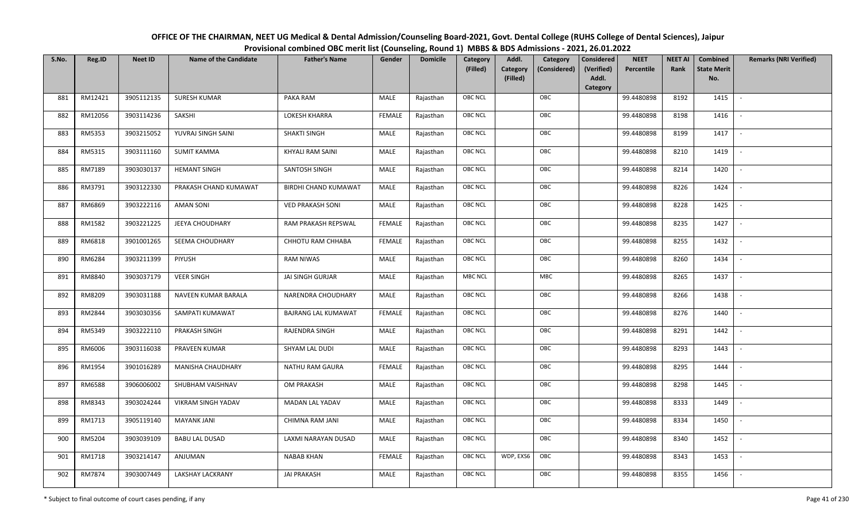| OFFICE OF THE CHAIRMAN, NEET UG Medical & Dental Admission/Counseling Board-2021, Govt. Dental College (RUHS College of Dental Sciences), Jaipur |
|--------------------------------------------------------------------------------------------------------------------------------------------------|
| Provisional combined OBC merit list (Counseling, Round 1) MBBS & BDS Admissions - 2021, 26.01.2022                                               |

| S.No. | Reg.ID  | <b>Neet ID</b> | <b>Name of the Candidate</b> | <b>Father's Name</b>        | Gender        | <b>Domicile</b> | Category<br>(Filled) | Addl.<br><b>Category</b><br>(Filled) | Category<br>(Considered) | <b>Considered</b><br>(Verified)<br>Addl.<br>Category | <b>NEET</b><br>Percentile | <b>NEET AI</b><br>Rank | Combined<br><b>State Merit</b><br>No. | <b>Remarks (NRI Verified)</b> |
|-------|---------|----------------|------------------------------|-----------------------------|---------------|-----------------|----------------------|--------------------------------------|--------------------------|------------------------------------------------------|---------------------------|------------------------|---------------------------------------|-------------------------------|
| 881   | RM12421 | 3905112135     | <b>SURESH KUMAR</b>          | PAKA RAM                    | MALE          | Rajasthan       | <b>OBC NCL</b>       |                                      | OBC                      |                                                      | 99.4480898                | 8192                   | 1415                                  | $\overline{\phantom{a}}$      |
| 882   | RM12056 | 3903114236     | SAKSHI                       | LOKESH KHARRA               | <b>FEMALE</b> | Rajasthan       | OBC NCL              |                                      | OBC                      |                                                      | 99.4480898                | 8198                   | 1416                                  |                               |
| 883   | RM5353  | 3903215052     | YUVRAJ SINGH SAINI           | SHAKTI SINGH                | MALE          | Rajasthan       | <b>OBC NCL</b>       |                                      | OBC                      |                                                      | 99.4480898                | 8199                   | 1417                                  | $\overline{\phantom{a}}$      |
| 884   | RM5315  | 3903111160     | <b>SUMIT KAMMA</b>           | KHYALI RAM SAINI            | MALE          | Rajasthan       | OBC NCL              |                                      | OBC                      |                                                      | 99.4480898                | 8210                   | 1419                                  | $\overline{\phantom{a}}$      |
| 885   | RM7189  | 3903030137     | <b>HEMANT SINGH</b>          | SANTOSH SINGH               | MALE          | Rajasthan       | OBC NCL              |                                      | OBC                      |                                                      | 99.4480898                | 8214                   | 1420                                  | $\overline{\phantom{a}}$      |
| 886   | RM3791  | 3903122330     | PRAKASH CHAND KUMAWAT        | <b>BIRDHI CHAND KUMAWAT</b> | MALE          | Rajasthan       | <b>OBC NCL</b>       |                                      | OBC                      |                                                      | 99.4480898                | 8226                   | 1424                                  | $\sim$                        |
| 887   | RM6869  | 3903222116     | <b>AMAN SONI</b>             | <b>VED PRAKASH SONI</b>     | MALE          | Rajasthan       | OBC NCL              |                                      | OBC                      |                                                      | 99.4480898                | 8228                   | 1425                                  | $\overline{\phantom{a}}$      |
| 888   | RM1582  | 3903221225     | JEEYA CHOUDHARY              | RAM PRAKASH REPSWAL         | <b>FEMALE</b> | Rajasthan       | <b>OBC NCL</b>       |                                      | OBC                      |                                                      | 99.4480898                | 8235                   | 1427                                  |                               |
| 889   | RM6818  | 3901001265     | SEEMA CHOUDHARY              | CHHOTU RAM CHHABA           | <b>FEMALE</b> | Rajasthan       | OBC NCL              |                                      | OBC                      |                                                      | 99.4480898                | 8255                   | 1432                                  |                               |
| 890   | RM6284  | 3903211399     | PIYUSH                       | RAM NIWAS                   | MALE          | Rajasthan       | OBC NCL              |                                      | OBC                      |                                                      | 99.4480898                | 8260                   | 1434                                  | $\sim$                        |
| 891   | RM8840  | 3903037179     | <b>VEER SINGH</b>            | <b>JAI SINGH GURJAR</b>     | MALE          | Rajasthan       | <b>MBC NCL</b>       |                                      | MBC                      |                                                      | 99.4480898                | 8265                   | 1437                                  |                               |
| 892   | RM8209  | 3903031188     | NAVEEN KUMAR BARALA          | NARENDRA CHOUDHARY          | MALE          | Rajasthan       | OBC NCL              |                                      | OBC                      |                                                      | 99.4480898                | 8266                   | 1438                                  |                               |
| 893   | RM2844  | 3903030356     | SAMPATI KUMAWAT              | BAJRANG LAL KUMAWAT         | FEMALE        | Rajasthan       | <b>OBC NCL</b>       |                                      | OBC                      |                                                      | 99.4480898                | 8276                   | 1440                                  |                               |
| 894   | RM5349  | 3903222110     | PRAKASH SINGH                | RAJENDRA SINGH              | MALE          | Rajasthan       | OBC NCL              |                                      | OBC                      |                                                      | 99.4480898                | 8291                   | 1442                                  | $\blacksquare$                |
| 895   | RM6006  | 3903116038     | PRAVEEN KUMAR                | SHYAM LAL DUDI              | MALE          | Rajasthan       | OBC NCL              |                                      | OBC                      |                                                      | 99.4480898                | 8293                   | 1443                                  | $\overline{\phantom{a}}$      |
| 896   | RM1954  | 3901016289     | <b>MANISHA CHAUDHARY</b>     | <b>NATHU RAM GAURA</b>      | <b>FEMALE</b> | Rajasthan       | OBC NCL              |                                      | OBC                      |                                                      | 99.4480898                | 8295                   | 1444                                  | $\sim$                        |
| 897   | RM6588  | 3906006002     | SHUBHAM VAISHNAV             | OM PRAKASH                  | MALE          | Rajasthan       | <b>OBC NCL</b>       |                                      | OBC                      |                                                      | 99.4480898                | 8298                   | 1445                                  | $\sim$                        |
| 898   | RM8343  | 3903024244     | VIKRAM SINGH YADAV           | MADAN LAL YADAV             | MALE          | Rajasthan       | <b>OBC NCL</b>       |                                      | OBC                      |                                                      | 99.4480898                | 8333                   | 1449                                  | $\blacksquare$                |
| 899   | RM1713  | 3905119140     | <b>MAYANK JANI</b>           | CHIMNA RAM JANI             | MALE          | Rajasthan       | OBC NCL              |                                      | OBC                      |                                                      | 99.4480898                | 8334                   | 1450                                  | $\blacksquare$                |
| 900   | RM5204  | 3903039109     | <b>BABU LAL DUSAD</b>        | LAXMI NARAYAN DUSAD         | MALE          | Rajasthan       | <b>OBC NCL</b>       |                                      | OBC                      |                                                      | 99.4480898                | 8340                   | 1452                                  |                               |
| 901   | RM1718  | 3903214147     | ANJUMAN                      | <b>NABAB KHAN</b>           | <b>FEMALE</b> | Rajasthan       | <b>OBC NCL</b>       | WDP, EXS6                            | OBC                      |                                                      | 99.4480898                | 8343                   | 1453                                  | $\overline{\phantom{a}}$      |
| 902   | RM7874  | 3903007449     | LAKSHAY LACKRANY             | <b>JAI PRAKASH</b>          | MALE          | Rajasthan       | OBC NCL              |                                      | OBC                      |                                                      | 99.4480898                | 8355                   | 1456                                  |                               |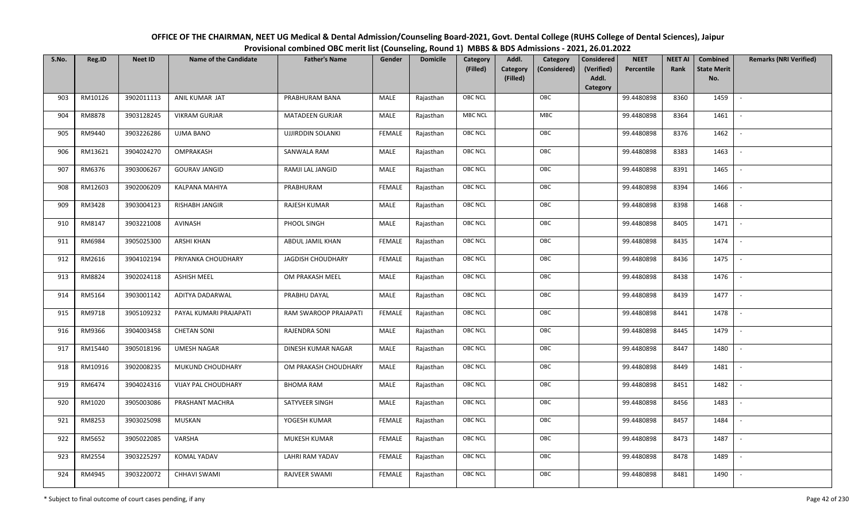| OFFICE OF THE CHAIRMAN, NEET UG Medical & Dental Admission/Counseling Board-2021, Govt. Dental College (RUHS College of Dental Sciences), Jaipur |
|--------------------------------------------------------------------------------------------------------------------------------------------------|
| Provisional combined OBC merit list (Counseling, Round 1) MBBS & BDS Admissions - 2021, 26.01.2022                                               |

| S.No. | Reg.ID  | <b>Neet ID</b> | <b>Name of the Candidate</b> | <b>Father's Name</b>     | Gender        | <b>Domicile</b> | Category<br>(Filled) | Addl.<br>Category<br>(Filled) | Category<br>(Considered) | <b>Considered</b><br>(Verified)<br>Addl.<br>Category | <b>NEET</b><br>Percentile | <b>NEET AI</b><br>Rank | Combined<br><b>State Merit</b><br>No. | <b>Remarks (NRI Verified)</b> |
|-------|---------|----------------|------------------------------|--------------------------|---------------|-----------------|----------------------|-------------------------------|--------------------------|------------------------------------------------------|---------------------------|------------------------|---------------------------------------|-------------------------------|
| 903   | RM10126 | 3902011113     | ANIL KUMAR JAT               | PRABHURAM BANA           | MALE          | Rajasthan       | OBC NCL              |                               | OBC                      |                                                      | 99.4480898                | 8360                   | 1459                                  | $\overline{\phantom{a}}$      |
| 904   | RM8878  | 3903128245     | <b>VIKRAM GURJAR</b>         | <b>MATADEEN GURJAR</b>   | MALE          | Rajasthan       | <b>MBC NCL</b>       |                               | <b>MBC</b>               |                                                      | 99.4480898                | 8364                   | 1461                                  |                               |
| 905   | RM9440  | 3903226286     | UJMA BANO                    | <b>UJJIRDDIN SOLANKI</b> | <b>FEMALE</b> | Rajasthan       | <b>OBC NCL</b>       |                               | OBC                      |                                                      | 99.4480898                | 8376                   | 1462                                  | $\overline{\phantom{a}}$      |
| 906   | RM13621 | 3904024270     | OMPRAKASH                    | SANWALA RAM              | MALE          | Rajasthan       | OBC NCL              |                               | OBC                      |                                                      | 99.4480898                | 8383                   | 1463                                  | $\overline{\phantom{a}}$      |
| 907   | RM6376  | 3903006267     | <b>GOURAV JANGID</b>         | RAMJI LAL JANGID         | MALE          | Rajasthan       | OBC NCL              |                               | OBC                      |                                                      | 99.4480898                | 8391                   | 1465                                  | $\sim$                        |
| 908   | RM12603 | 3902006209     | KALPANA MAHIYA               | PRABHURAM                | <b>FEMALE</b> | Rajasthan       | OBC NCL              |                               | OBC                      |                                                      | 99.4480898                | 8394                   | 1466                                  | $\sim$                        |
| 909   | RM3428  | 3903004123     | RISHABH JANGIR               | RAJESH KUMAR             | MALE          | Rajasthan       | OBC NCL              |                               | OBC                      |                                                      | 99.4480898                | 8398                   | 1468                                  | $\sim$                        |
| 910   | RM8147  | 3903221008     | AVINASH                      | PHOOL SINGH              | MALE          | Rajasthan       | OBC NCL              |                               | OBC                      |                                                      | 99.4480898                | 8405                   | 1471                                  |                               |
| 911   | RM6984  | 3905025300     | ARSHI KHAN                   | ABDUL JAMIL KHAN         | <b>FEMALE</b> | Rajasthan       | OBC NCL              |                               | OBC                      |                                                      | 99.4480898                | 8435                   | 1474                                  |                               |
| 912   | RM2616  | 3904102194     | PRIYANKA CHOUDHARY           | JAGDISH CHOUDHARY        | <b>FEMALE</b> | Rajasthan       | OBC NCL              |                               | OBC                      |                                                      | 99.4480898                | 8436                   | 1475                                  | $\overline{\phantom{a}}$      |
| 913   | RM8824  | 3902024118     | <b>ASHISH MEEL</b>           | OM PRAKASH MEEL          | MALE          | Rajasthan       | OBC NCL              |                               | OBC                      |                                                      | 99.4480898                | 8438                   | 1476                                  |                               |
| 914   | RM5164  | 3903001142     | ADITYA DADARWAL              | PRABHU DAYAL             | MALE          | Rajasthan       | OBC NCL              |                               | OBC                      |                                                      | 99.4480898                | 8439                   | 1477                                  | $\sim$                        |
| 915   | RM9718  | 3905109232     | PAYAL KUMARI PRAJAPATI       | RAM SWAROOP PRAJAPATI    | <b>FEMALE</b> | Rajasthan       | OBC NCL              |                               | OBC                      |                                                      | 99.4480898                | 8441                   | 1478                                  |                               |
| 916   | RM9366  | 3904003458     | <b>CHETAN SONI</b>           | RAJENDRA SONI            | MALE          | Rajasthan       | <b>OBC NCL</b>       |                               | OBC                      |                                                      | 99.4480898                | 8445                   | 1479                                  |                               |
| 917   | RM15440 | 3905018196     | <b>UMESH NAGAR</b>           | DINESH KUMAR NAGAR       | MALE          | Rajasthan       | OBC NCL              |                               | OBC                      |                                                      | 99.4480898                | 8447                   | 1480                                  | $\overline{\phantom{a}}$      |
| 918   | RM10916 | 3902008235     | MUKUND CHOUDHARY             | OM PRAKASH CHOUDHARY     | MALE          | Rajasthan       | OBC NCL              |                               | OBC                      |                                                      | 99.4480898                | 8449                   | 1481                                  | $\sim$                        |
| 919   | RM6474  | 3904024316     | VIJAY PAL CHOUDHARY          | <b>BHOMA RAM</b>         | MALE          | Rajasthan       | OBC NCL              |                               | OBC                      |                                                      | 99.4480898                | 8451                   | 1482                                  | $\sim$                        |
| 920   | RM1020  | 3905003086     | PRASHANT MACHRA              | SATYVEER SINGH           | MALE          | Rajasthan       | OBC NCL              |                               | OBC                      |                                                      | 99.4480898                | 8456                   | 1483                                  | $\sim$                        |
| 921   | RM8253  | 3903025098     | <b>MUSKAN</b>                | YOGESH KUMAR             | <b>FEMALE</b> | Rajasthan       | OBC NCL              |                               | OBC                      |                                                      | 99.4480898                | 8457                   | 1484                                  |                               |
| 922   | RM5652  | 3905022085     | VARSHA                       | MUKESH KUMAR             | <b>FEMALE</b> | Rajasthan       | OBC NCL              |                               | OBC                      |                                                      | 99.4480898                | 8473                   | 1487                                  |                               |
| 923   | RM2554  | 3903225297     | KOMAL YADAV                  | <b>LAHRI RAM YADAV</b>   | <b>FEMALE</b> | Rajasthan       | OBC NCL              |                               | OBC                      |                                                      | 99.4480898                | 8478                   | 1489                                  | $\overline{\phantom{a}}$      |
| 924   | RM4945  | 3903220072     | CHHAVI SWAMI                 | <b>RAJVEER SWAMI</b>     | <b>FEMALE</b> | Rajasthan       | OBC NCL              |                               | OBC                      |                                                      | 99.4480898                | 8481                   | 1490                                  |                               |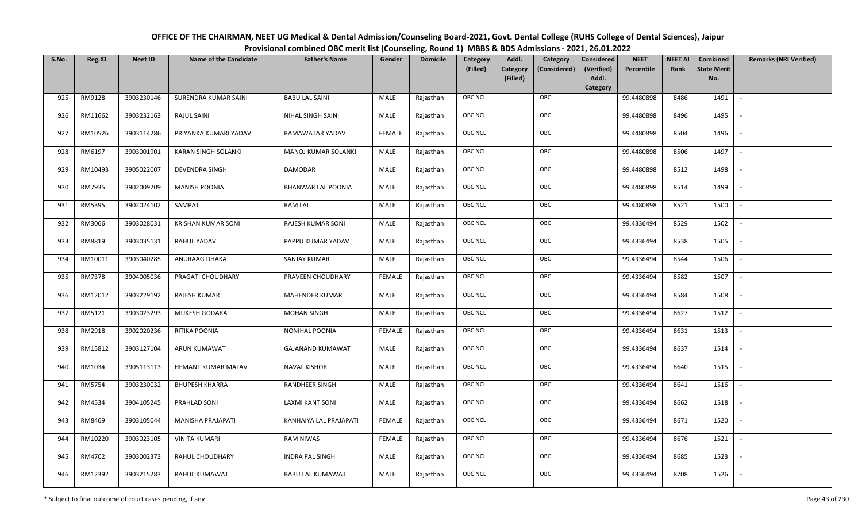| OFFICE OF THE CHAIRMAN, NEET UG Medical & Dental Admission/Counseling Board-2021, Govt. Dental College (RUHS College of Dental Sciences), Jaipur |
|--------------------------------------------------------------------------------------------------------------------------------------------------|
| Provisional combined OBC merit list (Counseling, Round 1) MBBS & BDS Admissions - 2021, 26.01.2022                                               |

| S.No. | Reg.ID  | <b>Neet ID</b> | <b>Name of the Candidate</b> | <b>Father's Name</b>      | Gender        | <b>Domicile</b> | Category<br>(Filled) | Addl.<br>Category<br>(Filled) | Category<br>(Considered) | <b>Considered</b><br>(Verified)<br>Addl.<br>Category | <b>NEET</b><br>Percentile | <b>NEET AI</b><br>Rank | Combined<br><b>State Merit</b><br>No. | <b>Remarks (NRI Verified)</b> |
|-------|---------|----------------|------------------------------|---------------------------|---------------|-----------------|----------------------|-------------------------------|--------------------------|------------------------------------------------------|---------------------------|------------------------|---------------------------------------|-------------------------------|
| 925   | RM9128  | 3903230146     | SURENDRA KUMAR SAINI         | <b>BABU LAL SAINI</b>     | MALE          | Rajasthan       | OBC NCL              |                               | OBC                      |                                                      | 99.4480898                | 8486                   | 1491                                  | $\overline{\phantom{a}}$      |
| 926   | RM11662 | 3903232163     | RAJUL SAINI                  | NIHAL SINGH SAINI         | MALE          | Rajasthan       | OBC NCL              |                               | OBC                      |                                                      | 99.4480898                | 8496                   | 1495                                  |                               |
| 927   | RM10526 | 3903114286     | PRIYANKA KUMARI YADAV        | RAMAWATAR YADAV           | <b>FEMALE</b> | Rajasthan       | <b>OBC NCL</b>       |                               | OBC                      |                                                      | 99.4480898                | 8504                   | 1496                                  | $\sim$                        |
| 928   | RM6197  | 3903001901     | KARAN SINGH SOLANKI          | MANOJ KUMAR SOLANKI       | MALE          | Rajasthan       | OBC NCL              |                               | OBC                      |                                                      | 99.4480898                | 8506                   | 1497                                  | $\overline{\phantom{a}}$      |
| 929   | RM10493 | 3905022007     | <b>DEVENDRA SINGH</b>        | <b>DAMODAR</b>            | MALE          | Rajasthan       | OBC NCL              |                               | OBC                      |                                                      | 99.4480898                | 8512                   | 1498                                  | $\sim$                        |
| 930   | RM7935  | 3902009209     | <b>MANISH POONIA</b>         | <b>BHANWAR LAL POONIA</b> | MALE          | Rajasthan       | OBC NCL              |                               | OBC                      |                                                      | 99.4480898                | 8514                   | 1499                                  | $\overline{\phantom{a}}$      |
| 931   | RM5395  | 3902024102     | SAMPAT                       | <b>RAM LAL</b>            | MALE          | Rajasthan       | OBC NCL              |                               | OBC                      |                                                      | 99.4480898                | 8521                   | 1500                                  | $\overline{\phantom{a}}$      |
| 932   | RM3066  | 3903028031     | KRISHAN KUMAR SONI           | RAJESH KUMAR SONI         | MALE          | Rajasthan       | OBC NCL              |                               | OBC                      |                                                      | 99.4336494                | 8529                   | 1502                                  |                               |
| 933   | RM8819  | 3903035131     | RAHUL YADAV                  | PAPPU KUMAR YADAV         | MALE          | Rajasthan       | OBC NCL              |                               | OBC                      |                                                      | 99.4336494                | 8538                   | 1505                                  |                               |
| 934   | RM10011 | 3903040285     | ANURAAG DHAKA                | <b>SANJAY KUMAR</b>       | MALE          | Rajasthan       | OBC NCL              |                               | OBC                      |                                                      | 99.4336494                | 8544                   | 1506                                  | $\overline{\phantom{a}}$      |
| 935   | RM7378  | 3904005036     | PRAGATI CHOUDHARY            | PRAVEEN CHOUDHARY         | <b>FEMALE</b> | Rajasthan       | <b>OBC NCL</b>       |                               | OBC                      |                                                      | 99.4336494                | 8582                   | 1507                                  |                               |
| 936   | RM12012 | 3903229192     | RAJESH KUMAR                 | <b>MAHENDER KUMAR</b>     | MALE          | Rajasthan       | OBC NCL              |                               | OBC                      |                                                      | 99.4336494                | 8584                   | 1508                                  | $\sim$                        |
| 937   | RM5121  | 3903023293     | MUKESH GODARA                | <b>MOHAN SINGH</b>        | MALE          | Rajasthan       | OBC NCL              |                               | OBC                      |                                                      | 99.4336494                | 8627                   | 1512                                  |                               |
| 938   | RM2918  | 3902020236     | RITIKA POONIA                | <b>NONIHAL POONIA</b>     | <b>FEMALE</b> | Rajasthan       | OBC NCL              |                               | OBC                      |                                                      | 99.4336494                | 8631                   | 1513                                  | $\sim$                        |
| 939   | RM15812 | 3903127104     | ARUN KUMAWAT                 | <b>GAJANAND KUMAWAT</b>   | MALE          | Rajasthan       | OBC NCL              |                               | OBC                      |                                                      | 99.4336494                | 8637                   | 1514                                  | $\sim$                        |
| 940   | RM1034  | 3905113113     | HEMANT KUMAR MALAV           | <b>NAVAL KISHOR</b>       | MALE          | Rajasthan       | OBC NCL              |                               | OBC                      |                                                      | 99.4336494                | 8640                   | 1515                                  | $\sim$                        |
| 941   | RM5754  | 3903230032     | <b>BHUPESH KHARRA</b>        | RANDHEER SINGH            | MALE          | Rajasthan       | OBC NCL              |                               | OBC                      |                                                      | 99.4336494                | 8641                   | 1516                                  | $\overline{\phantom{a}}$      |
| 942   | RM4534  | 3904105245     | PRAHLAD SONI                 | <b>LAXMI KANT SONI</b>    | MALE          | Rajasthan       | OBC NCL              |                               | OBC                      |                                                      | 99.4336494                | 8662                   | 1518                                  |                               |
| 943   | RM8469  | 3903105044     | MANISHA PRAJAPATI            | KANHAIYA LAL PRAJAPATI    | <b>FEMALE</b> | Rajasthan       | <b>OBC NCL</b>       |                               | OBC                      |                                                      | 99.4336494                | 8671                   | 1520                                  |                               |
| 944   | RM10220 | 3903023105     | <b>VINITA KUMARI</b>         | <b>RAM NIWAS</b>          | <b>FEMALE</b> | Rajasthan       | OBC NCL              |                               | OBC                      |                                                      | 99.4336494                | 8676                   | 1521                                  | $\blacksquare$                |
| 945   | RM4702  | 3903002373     | RAHUL CHOUDHARY              | <b>INDRA PAL SINGH</b>    | <b>MALE</b>   | Rajasthan       | OBC NCL              |                               | OBC                      |                                                      | 99.4336494                | 8685                   | 1523                                  |                               |
| 946   | RM12392 | 3903215283     | RAHUL KUMAWAT                | <b>BABU LAL KUMAWAT</b>   | MALE          | Rajasthan       | OBC NCL              |                               | OBC                      |                                                      | 99.4336494                | 8708                   | 1526                                  |                               |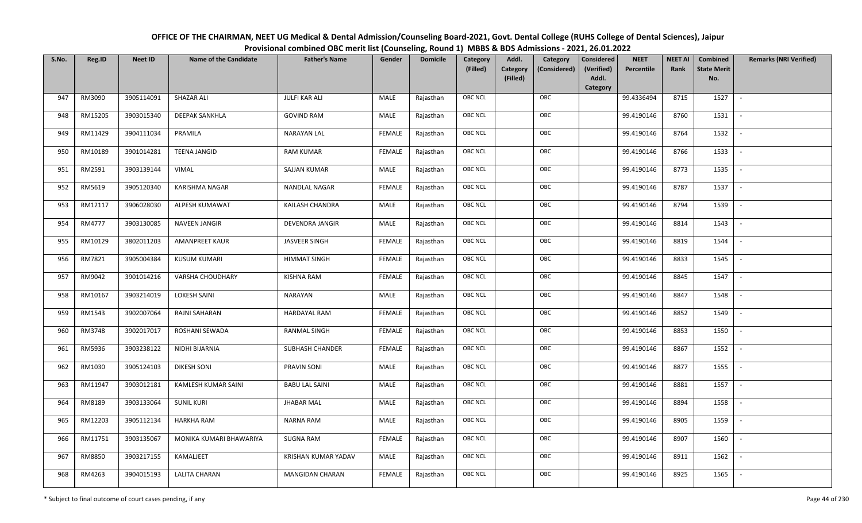| OFFICE OF THE CHAIRMAN, NEET UG Medical & Dental Admission/Counseling Board-2021, Govt. Dental College (RUHS College of Dental Sciences), Jaipur |
|--------------------------------------------------------------------------------------------------------------------------------------------------|
| Provisional combined OBC merit list (Counseling, Round 1) MBBS & BDS Admissions - 2021, 26.01.2022                                               |

| S.No. | Reg.ID  | <b>Neet ID</b> | <b>Name of the Candidate</b> | <b>Father's Name</b>       | Gender        | <b>Domicile</b> | Category<br>(Filled) | Addl.<br>Category<br>(Filled) | Category<br>(Considered) | <b>Considered</b><br>(Verified)<br>Addl. | <b>NEET</b><br>Percentile | <b>NEET AI</b><br>Rank | Combined<br><b>State Merit</b><br>No. | <b>Remarks (NRI Verified)</b> |
|-------|---------|----------------|------------------------------|----------------------------|---------------|-----------------|----------------------|-------------------------------|--------------------------|------------------------------------------|---------------------------|------------------------|---------------------------------------|-------------------------------|
|       |         |                |                              |                            |               |                 |                      |                               |                          | Category                                 |                           |                        |                                       |                               |
| 947   | RM3090  | 3905114091     | SHAZAR ALI                   | JULFI KAR ALI              | MALE          | Rajasthan       | OBC NCL              |                               | OBC                      |                                          | 99.4336494                | 8715                   | 1527                                  | $\sim$                        |
| 948   | RM15205 | 3903015340     | <b>DEEPAK SANKHLA</b>        | <b>GOVIND RAM</b>          | MALE          | Rajasthan       | OBC NCL              |                               | OBC                      |                                          | 99.4190146                | 8760                   | 1531                                  |                               |
| 949   | RM11429 | 3904111034     | PRAMILA                      | NARAYAN LAL                | <b>FEMALE</b> | Rajasthan       | <b>OBC NCL</b>       |                               | OBC                      |                                          | 99.4190146                | 8764                   | 1532                                  |                               |
| 950   | RM10189 | 3901014281     | <b>TEENA JANGID</b>          | <b>RAM KUMAR</b>           | <b>FEMALE</b> | Rajasthan       | OBC NCL              |                               | OBC                      |                                          | 99.4190146                | 8766                   | 1533                                  | $\overline{\phantom{a}}$      |
| 951   | RM2591  | 3903139144     | <b>VIMAL</b>                 | SAJJAN KUMAR               | MALE          | Rajasthan       | OBC NCL              |                               | OBC                      |                                          | 99.4190146                | 8773                   | 1535                                  | $\sim$                        |
| 952   | RM5619  | 3905120340     | KARISHMA NAGAR               | NANDLAL NAGAR              | <b>FEMALE</b> | Rajasthan       | OBC NCL              |                               | OBC                      |                                          | 99.4190146                | 8787                   | 1537                                  | $\sim$                        |
| 953   | RM12117 | 3906028030     | ALPESH KUMAWAT               | KAILASH CHANDRA            | MALE          | Rajasthan       | OBC NCL              |                               | OBC                      |                                          | 99.4190146                | 8794                   | 1539                                  | $\overline{\phantom{a}}$      |
| 954   | RM4777  | 3903130085     | NAVEEN JANGIR                | DEVENDRA JANGIR            | MALE          | Rajasthan       | OBC NCL              |                               | OBC                      |                                          | 99.4190146                | 8814                   | 1543                                  |                               |
| 955   | RM10129 | 3802011203     | AMANPREET KAUR               | <b>JASVEER SINGH</b>       | <b>FEMALE</b> | Rajasthan       | OBC NCL              |                               | OBC                      |                                          | 99.4190146                | 8819                   | 1544                                  |                               |
| 956   | RM7821  | 3905004384     | <b>KUSUM KUMARI</b>          | <b>HIMMAT SINGH</b>        | <b>FEMALE</b> | Rajasthan       | OBC NCL              |                               | OBC                      |                                          | 99.4190146                | 8833                   | 1545                                  | $\overline{\phantom{a}}$      |
| 957   | RM9042  | 3901014216     | VARSHA CHOUDHARY             | <b>KISHNA RAM</b>          | <b>FEMALE</b> | Rajasthan       | OBC NCL              |                               | OBC                      |                                          | 99.4190146                | 8845                   | 1547                                  |                               |
| 958   | RM10167 | 3903214019     | <b>LOKESH SAINI</b>          | NARAYAN                    | MALE          | Rajasthan       | OBC NCL              |                               | OBC                      |                                          | 99.4190146                | 8847                   | 1548                                  | $\mathcal{L}$                 |
| 959   | RM1543  | 3902007064     | RAJNI SAHARAN                | <b>HARDAYAL RAM</b>        | <b>FEMALE</b> | Rajasthan       | OBC NCL              |                               | OBC                      |                                          | 99.4190146                | 8852                   | 1549                                  |                               |
| 960   | RM3748  | 3902017017     | ROSHANI SEWADA               | RANMAL SINGH               | FEMALE        | Rajasthan       | <b>OBC NCL</b>       |                               | OBC                      |                                          | 99.4190146                | 8853                   | 1550                                  |                               |
| 961   | RM5936  | 3903238122     | NIDHI BIJARNIA               | <b>SUBHASH CHANDER</b>     | <b>FEMALE</b> | Rajasthan       | OBC NCL              |                               | OBC                      |                                          | 99.4190146                | 8867                   | 1552                                  | $\overline{\phantom{a}}$      |
| 962   | RM1030  | 3905124103     | <b>DIKESH SONI</b>           | PRAVIN SONI                | MALE          | Rajasthan       | OBC NCL              |                               | OBC                      |                                          | 99.4190146                | 8877                   | 1555                                  | $\sim$                        |
| 963   | RM11947 | 3903012181     | KAMLESH KUMAR SAINI          | <b>BABU LAL SAINI</b>      | MALE          | Rajasthan       | OBC NCL              |                               | OBC                      |                                          | 99.4190146                | 8881                   | 1557                                  | $\sim$                        |
| 964   | RM8189  | 3903133064     | <b>SUNIL KURI</b>            | <b>JHABAR MAL</b>          | MALE          | Rajasthan       | OBC NCL              |                               | OBC                      |                                          | 99.4190146                | 8894                   | 1558                                  | $\sim$                        |
| 965   | RM12203 | 3905112134     | <b>HARKHA RAM</b>            | <b>NARNA RAM</b>           | MALE          | Rajasthan       | OBC NCL              |                               | OBC                      |                                          | 99.4190146                | 8905                   | 1559                                  |                               |
| 966   | RM11751 | 3903135067     | MONIKA KUMARI BHAWARIYA      | <b>SUGNA RAM</b>           | <b>FEMALE</b> | Rajasthan       | OBC NCL              |                               | OBC                      |                                          | 99.4190146                | 8907                   | 1560                                  |                               |
| 967   | RM8850  | 3903217155     | KAMALJEET                    | <b>KRISHAN KUMAR YADAV</b> | MALE          | Rajasthan       | OBC NCL              |                               | OBC                      |                                          | 99.4190146                | 8911                   | 1562                                  | $\overline{\phantom{a}}$      |
| 968   | RM4263  | 3904015193     | <b>LALITA CHARAN</b>         | <b>MANGIDAN CHARAN</b>     | <b>FEMALE</b> | Rajasthan       | OBC NCL              |                               | OBC                      |                                          | 99.4190146                | 8925                   | 1565                                  |                               |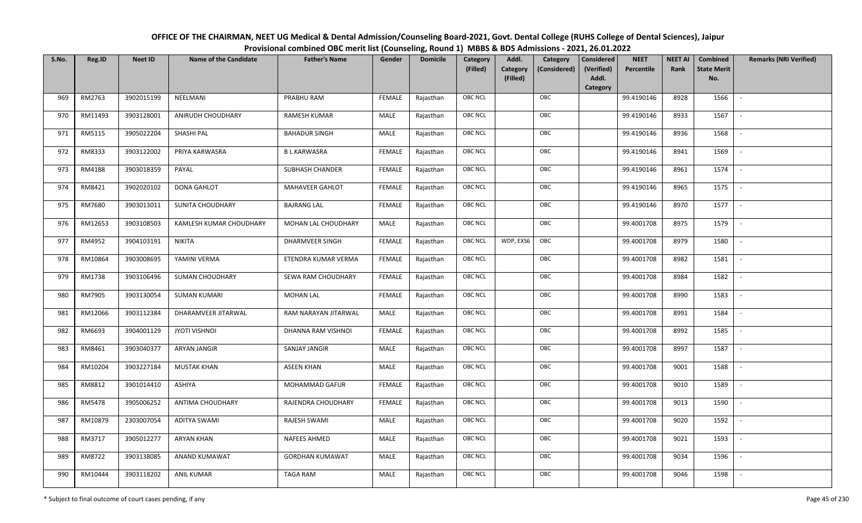| OFFICE OF THE CHAIRMAN, NEET UG Medical & Dental Admission/Counseling Board-2021, Govt. Dental College (RUHS College of Dental Sciences), Jaipur |
|--------------------------------------------------------------------------------------------------------------------------------------------------|
| Provisional combined OBC merit list (Counseling, Round 1) MBBS & BDS Admissions - 2021, 26.01.2022                                               |

| S.No. | Reg.ID  | <b>Neet ID</b> | <b>Name of the Candidate</b> | <b>Father's Name</b>   | Gender        | <b>Domicile</b> | Category<br>(Filled) | Addl.<br>Category<br>(Filled) | Category<br>(Considered) | <b>Considered</b><br>(Verified)<br>Addl. | <b>NEET</b><br>Percentile | <b>NEET AI</b><br>Rank | Combined<br><b>State Merit</b><br>No. | <b>Remarks (NRI Verified)</b> |
|-------|---------|----------------|------------------------------|------------------------|---------------|-----------------|----------------------|-------------------------------|--------------------------|------------------------------------------|---------------------------|------------------------|---------------------------------------|-------------------------------|
|       |         |                |                              |                        |               |                 |                      |                               |                          | Category                                 |                           |                        |                                       |                               |
| 969   | RM2763  | 3902015199     | NEELMANI                     | PRABHU RAM             | <b>FEMALE</b> | Rajasthan       | OBC NCL              |                               | OBC                      |                                          | 99.4190146                | 8928                   | 1566                                  | $\overline{\phantom{a}}$      |
| 970   | RM11493 | 3903128001     | ANIRUDH CHOUDHARY            | <b>RAMESH KUMAR</b>    | MALE          | Rajasthan       | OBC NCL              |                               | OBC                      |                                          | 99.4190146                | 8933                   | 1567                                  |                               |
| 971   | RM5115  | 3905022204     | SHASHI PAL                   | <b>BAHADUR SINGH</b>   | MALE          | Rajasthan       | <b>OBC NCL</b>       |                               | OBC                      |                                          | 99.4190146                | 8936                   | 1568                                  |                               |
| 972   | RM8333  | 3903122002     | PRIYA KARWASRA               | <b>BLKARWASRA</b>      | <b>FEMALE</b> | Rajasthan       | OBC NCL              |                               | OBC                      |                                          | 99.4190146                | 8941                   | 1569                                  | $\overline{\phantom{a}}$      |
| 973   | RM4188  | 3903018359     | PAYAL                        | <b>SUBHASH CHANDER</b> | <b>FEMALE</b> | Rajasthan       | OBC NCL              |                               | OBC                      |                                          | 99.4190146                | 8961                   | 1574                                  | $\sim$                        |
| 974   | RM8421  | 3902020102     | DONA GAHLOT                  | <b>MAHAVEER GAHLOT</b> | <b>FEMALE</b> | Rajasthan       | OBC NCL              |                               | OBC                      |                                          | 99.4190146                | 8965                   | 1575                                  | $\sim$                        |
| 975   | RM7680  | 3903013011     | SUNITA CHOUDHARY             | <b>BAJRANG LAL</b>     | <b>FEMALE</b> | Rajasthan       | OBC NCL              |                               | OBC                      |                                          | 99.4190146                | 8970                   | 1577                                  | $\overline{\phantom{a}}$      |
| 976   | RM12653 | 3903108503     | KAMLESH KUMAR CHOUDHARY      | MOHAN LAL CHOUDHARY    | MALE          | Rajasthan       | OBC NCL              |                               | OBC                      |                                          | 99.4001708                | 8975                   | 1579                                  |                               |
| 977   | RM4952  | 3904103191     | <b>NIKITA</b>                | DHARMVEER SINGH        | <b>FEMALE</b> | Rajasthan       | OBC NCL              | WDP, EXS6                     | OBC                      |                                          | 99.4001708                | 8979                   | 1580                                  |                               |
| 978   | RM10864 | 3903008695     | YAMINI VERMA                 | ETENDRA KUMAR VERMA    | <b>FEMALE</b> | Rajasthan       | OBC NCL              |                               | OBC                      |                                          | 99.4001708                | 8982                   | 1581                                  | $\overline{\phantom{a}}$      |
| 979   | RM1738  | 3903106496     | <b>SUMAN CHOUDHARY</b>       | SEWA RAM CHOUDHARY     | <b>FEMALE</b> | Rajasthan       | OBC NCL              |                               | OBC                      |                                          | 99.4001708                | 8984                   | 1582                                  |                               |
| 980   | RM7905  | 3903130054     | <b>SUMAN KUMARI</b>          | <b>MOHAN LAL</b>       | <b>FEMALE</b> | Rajasthan       | OBC NCL              |                               | OBC                      |                                          | 99.4001708                | 8990                   | 1583                                  | $\mathcal{L}$                 |
| 981   | RM12066 | 3903112384     | DHARAMVEER JITARWAL          | RAM NARAYAN JITARWAL   | MALE          | Rajasthan       | OBC NCL              |                               | OBC                      |                                          | 99.4001708                | 8991                   | 1584                                  |                               |
| 982   | RM6693  | 3904001129     | <b>JYOTI VISHNOI</b>         | DHANNA RAM VISHNOI     | <b>FEMALE</b> | Rajasthan       | <b>OBC NCL</b>       |                               | OBC                      |                                          | 99.4001708                | 8992                   | 1585                                  |                               |
| 983   | RM8461  | 3903040377     | ARYAN JANGIR                 | <b>SANJAY JANGIR</b>   | MALE          | Rajasthan       | OBC NCL              |                               | OBC                      |                                          | 99.4001708                | 8997                   | 1587                                  | $\overline{\phantom{a}}$      |
| 984   | RM10204 | 3903227184     | <b>MUSTAK KHAN</b>           | <b>ASEEN KHAN</b>      | <b>MALE</b>   | Rajasthan       | OBC NCL              |                               | OBC                      |                                          | 99.4001708                | 9001                   | 1588                                  | $\overline{a}$                |
| 985   | RM8812  | 3901014410     | ASHIYA                       | MOHAMMAD GAFUR         | <b>FEMALE</b> | Rajasthan       | OBC NCL              |                               | OBC                      |                                          | 99.4001708                | 9010                   | 1589                                  | $\sim$                        |
| 986   | RM5478  | 3905006252     | ANTIMA CHOUDHARY             | RAJENDRA CHOUDHARY     | <b>FEMALE</b> | Rajasthan       | OBC NCL              |                               | OBC                      |                                          | 99.4001708                | 9013                   | 1590                                  | $\overline{\phantom{a}}$      |
| 987   | RM10879 | 2303007054     | <b>ADITYA SWAMI</b>          | RAJESH SWAMI           | MALE          | Rajasthan       | OBC NCL              |                               | OBC                      |                                          | 99.4001708                | 9020                   | 1592                                  |                               |
| 988   | RM3717  | 3905012277     | <b>ARYAN KHAN</b>            | NAFEES AHMED           | MALE          | Rajasthan       | OBC NCL              |                               | OBC                      |                                          | 99.4001708                | 9021                   | 1593                                  |                               |
| 989   | RM8722  | 3903138085     | ANAND KUMAWAT                | <b>GORDHAN KUMAWAT</b> | <b>MALE</b>   | Rajasthan       | OBC NCL              |                               | OBC                      |                                          | 99.4001708                | 9034                   | 1596                                  | $\overline{\phantom{a}}$      |
| 990   | RM10444 | 3903118202     | <b>ANIL KUMAR</b>            | <b>TAGA RAM</b>        | MALE          | Rajasthan       | <b>OBC NCL</b>       |                               | OBC                      |                                          | 99.4001708                | 9046                   | 1598                                  |                               |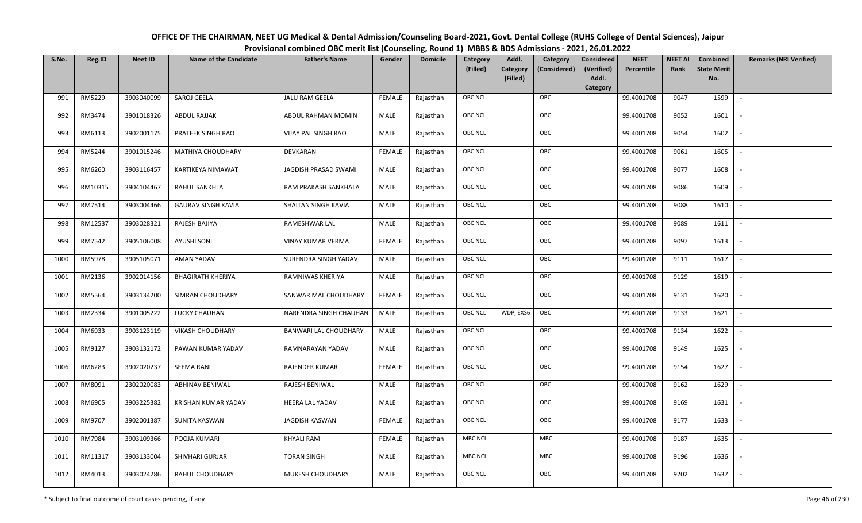| OFFICE OF THE CHAIRMAN, NEET UG Medical & Dental Admission/Counseling Board-2021, Govt. Dental College (RUHS College of Dental Sciences), Jaipur |
|--------------------------------------------------------------------------------------------------------------------------------------------------|
| Provisional combined OBC merit list (Counseling, Round 1) MBBS & BDS Admissions - 2021, 26.01.2022                                               |

| S.No. | Reg.ID  | <b>Neet ID</b> | <b>Name of the Candidate</b> | <b>Father's Name</b>   | Gender        | <b>Domicile</b> | Category<br>(Filled) | Addl.<br><b>Category</b><br>(Filled) | Category<br>(Considered) | <b>Considered</b><br>(Verified)<br>Addl. | <b>NEET</b><br>Percentile | <b>NEET AI</b><br>Rank | Combined<br><b>State Merit</b><br>No. | <b>Remarks (NRI Verified)</b> |
|-------|---------|----------------|------------------------------|------------------------|---------------|-----------------|----------------------|--------------------------------------|--------------------------|------------------------------------------|---------------------------|------------------------|---------------------------------------|-------------------------------|
| 991   | RM5229  | 3903040099     | SAROJ GEELA                  | <b>JALU RAM GEELA</b>  | <b>FEMALE</b> | Rajasthan       | <b>OBC NCL</b>       |                                      | OBC                      | Category                                 | 99.4001708                | 9047                   | 1599                                  | $\sim$                        |
| 992   | RM3474  | 3901018326     | <b>ABDUL RAJJAK</b>          | ABDUL RAHMAN MOMIN     | MALE          | Rajasthan       | OBC NCL              |                                      | OBC                      |                                          | 99.4001708                | 9052                   | 1601                                  |                               |
| 993   | RM6113  | 3902001175     | PRATEEK SINGH RAO            | VIJAY PAL SINGH RAO    | MALE          | Rajasthan       | <b>OBC NCL</b>       |                                      | OBC                      |                                          | 99.4001708                | 9054                   | 1602                                  | $\blacksquare$                |
| 994   | RM5244  | 3901015246     | MATHIYA CHOUDHARY            | DEVKARAN               | <b>FEMALE</b> | Rajasthan       | OBC NCL              |                                      | OBC                      |                                          | 99.4001708                | 9061                   | 1605                                  | $\overline{\phantom{a}}$      |
| 995   | RM6260  | 3903116457     | KARTIKEYA NIMAWAT            | JAGDISH PRASAD SWAMI   | MALE          | Rajasthan       | <b>OBC NCL</b>       |                                      | OBC                      |                                          | 99.4001708                | 9077                   | 1608                                  | $\sim$                        |
| 996   | RM10315 | 3904104467     | RAHUL SANKHLA                | RAM PRAKASH SANKHALA   | MALE          | Rajasthan       | <b>OBC NCL</b>       |                                      | OBC                      |                                          | 99.4001708                | 9086                   | 1609                                  | $\overline{\phantom{a}}$      |
| 997   | RM7514  | 3903004466     | <b>GAURAV SINGH KAVIA</b>    | SHAITAN SINGH KAVIA    | MALE          | Rajasthan       | OBC NCL              |                                      | OBC                      |                                          | 99.4001708                | 9088                   | 1610                                  | $\overline{\phantom{a}}$      |
| 998   | RM12537 | 3903028321     | RAJESH BAJIYA                | RAMESHWAR LAL          | MALE          | Rajasthan       | OBC NCL              |                                      | OBC                      |                                          | 99.4001708                | 9089                   | 1611                                  |                               |
| 999   | RM7542  | 3905106008     | <b>AYUSHI SONI</b>           | VINAY KUMAR VERMA      | <b>FEMALE</b> | Rajasthan       | OBC NCL              |                                      | OBC                      |                                          | 99.4001708                | 9097                   | 1613                                  |                               |
| 1000  | RM5978  | 3905105071     | AMAN YADAV                   | SURENDRA SINGH YADAV   | MALE          | Rajasthan       | OBC NCL              |                                      | OBC                      |                                          | 99.4001708                | 9111                   | 1617                                  | $\overline{\phantom{a}}$      |
| 1001  | RM2136  | 3902014156     | <b>BHAGIRATH KHERIYA</b>     | RAMNIWAS KHERIYA       | MALE          | Rajasthan       | <b>OBC NCL</b>       |                                      | OBC                      |                                          | 99.4001708                | 9129                   | 1619                                  |                               |
| 1002  | RM5564  | 3903134200     | SIMRAN CHOUDHARY             | SANWAR MAL CHOUDHARY   | <b>FEMALE</b> | Rajasthan       | OBC NCL              |                                      | OBC                      |                                          | 99.4001708                | 9131                   | 1620                                  | $\sim$                        |
| 1003  | RM2334  | 3901005222     | LUCKY CHAUHAN                | NARENDRA SINGH CHAUHAN | MALE          | Rajasthan       | <b>OBC NCL</b>       | WDP, EXS6                            | OBC                      |                                          | 99.4001708                | 9133                   | 1621                                  |                               |
| 1004  | RM6933  | 3903123119     | <b>VIKASH CHOUDHARY</b>      | BANWARI LAL CHOUDHARY  | MALE          | Rajasthan       | OBC NCL              |                                      | OBC                      |                                          | 99.4001708                | 9134                   | 1622                                  | $\sim$                        |
| 1005  | RM9127  | 3903132172     | PAWAN KUMAR YADAV            | RAMNARAYAN YADAV       | <b>MALE</b>   | Rajasthan       | OBC NCL              |                                      | OBC                      |                                          | 99.4001708                | 9149                   | 1625                                  | $\overline{\phantom{a}}$      |
| 1006  | RM6283  | 3902020237     | <b>SEEMA RANI</b>            | RAJENDER KUMAR         | <b>FEMALE</b> | Rajasthan       | <b>OBC NCL</b>       |                                      | OBC                      |                                          | 99.4001708                | 9154                   | 1627                                  | $\overline{\phantom{a}}$      |
| 1007  | RM8091  | 2302020083     | <b>ABHINAV BENIWAL</b>       | RAJESH BENIWAL         | MALE          | Rajasthan       | <b>OBC NCL</b>       |                                      | OBC                      |                                          | 99.4001708                | 9162                   | 1629                                  | $\overline{\phantom{a}}$      |
| 1008  | RM6905  | 3903225382     | KRISHAN KUMAR YADAV          | <b>HEERA LAL YADAV</b> | MALE          | Rajasthan       | OBC NCL              |                                      | OBC                      |                                          | 99.4001708                | 9169                   | 1631                                  |                               |
| 1009  | RM9707  | 3902001387     | <b>SUNITA KASWAN</b>         | <b>JAGDISH KASWAN</b>  | <b>FEMALE</b> | Rajasthan       | <b>OBC NCL</b>       |                                      | OBC                      |                                          | 99.4001708                | 9177                   | 1633                                  |                               |
| 1010  | RM7984  | 3903109366     | POOJA KUMARI                 | <b>KHYALI RAM</b>      | <b>FEMALE</b> | Rajasthan       | <b>MBC NCL</b>       |                                      | MBC                      |                                          | 99.4001708                | 9187                   | 1635                                  | $\blacksquare$                |
| 1011  | RM11317 | 3903133004     | SHIVHARI GURJAR              | <b>TORAN SINGH</b>     | MALE          | Rajasthan       | <b>MBC NCL</b>       |                                      | MBC                      |                                          | 99.4001708                | 9196                   | 1636                                  | $\overline{\phantom{a}}$      |
| 1012  | RM4013  | 3903024286     | RAHUL CHOUDHARY              | MUKESH CHOUDHARY       | MALE          | Rajasthan       | <b>OBC NCL</b>       |                                      | OBC                      |                                          | 99.4001708                | 9202                   | 1637                                  |                               |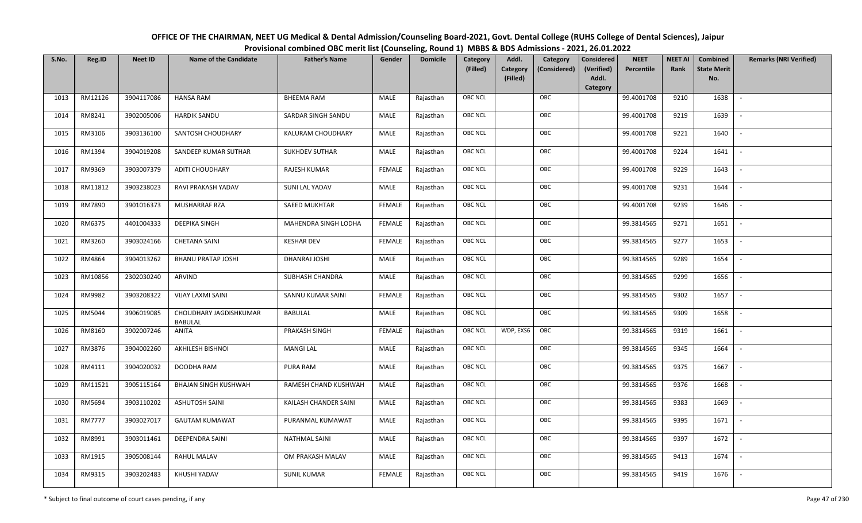| OFFICE OF THE CHAIRMAN, NEET UG Medical & Dental Admission/Counseling Board-2021, Govt. Dental College (RUHS College of Dental Sciences), Jaipur |
|--------------------------------------------------------------------------------------------------------------------------------------------------|
| Provisional combined OBC merit list (Counseling, Round 1) MBBS & BDS Admissions - 2021, 26.01.2022                                               |

| S.No. | Reg.ID        | <b>Neet ID</b> | <b>Name of the Candidate</b>             | <b>Father's Name</b>     | Gender        | <b>Domicile</b> | Category<br>(Filled) | Addl.<br>Category<br>(Filled) | Category<br>(Considered) | <b>Considered</b><br>(Verified)<br>Addl. | <b>NEET</b><br>Percentile | <b>NEET AI</b><br>Rank | Combined<br><b>State Merit</b><br>No. | <b>Remarks (NRI Verified)</b> |
|-------|---------------|----------------|------------------------------------------|--------------------------|---------------|-----------------|----------------------|-------------------------------|--------------------------|------------------------------------------|---------------------------|------------------------|---------------------------------------|-------------------------------|
|       |               |                |                                          |                          |               |                 |                      |                               |                          | Category                                 |                           |                        |                                       |                               |
| 1013  | RM12126       | 3904117086     | <b>HANSA RAM</b>                         | <b>BHEEMA RAM</b>        | MALE          | Rajasthan       | OBC NCL              |                               | OBC                      |                                          | 99.4001708                | 9210                   | 1638                                  | $\overline{\phantom{a}}$      |
| 1014  | RM8241        | 3902005006     | <b>HARDIK SANDU</b>                      | SARDAR SINGH SANDU       | MALE          | Rajasthan       | OBC NCL              |                               | OBC                      |                                          | 99.4001708                | 9219                   | 1639                                  |                               |
| 1015  | RM3106        | 3903136100     | SANTOSH CHOUDHARY                        | <b>KALURAM CHOUDHARY</b> | MALE          | Rajasthan       | <b>OBC NCL</b>       |                               | OBC                      |                                          | 99.4001708                | 9221                   | 1640                                  |                               |
| 1016  | RM1394        | 3904019208     | SANDEEP KUMAR SUTHAR                     | <b>SUKHDEV SUTHAR</b>    | MALE          | Rajasthan       | OBC NCL              |                               | OBC                      |                                          | 99.4001708                | 9224                   | 1641                                  | $\overline{\phantom{a}}$      |
| 1017  | RM9369        | 3903007379     | <b>ADITI CHOUDHARY</b>                   | RAJESH KUMAR             | <b>FEMALE</b> | Rajasthan       | OBC NCL              |                               | OBC                      |                                          | 99.4001708                | 9229                   | 1643                                  | $\sim$                        |
| 1018  | RM11812       | 3903238023     | RAVI PRAKASH YADAV                       | SUNI LAL YADAV           | MALE          | Rajasthan       | OBC NCL              |                               | OBC                      |                                          | 99.4001708                | 9231                   | 1644                                  | $\overline{\phantom{a}}$      |
| 1019  | RM7890        | 3901016373     | MUSHARRAF RZA                            | SAEED MUKHTAR            | <b>FEMALE</b> | Rajasthan       | OBC NCL              |                               | OBC                      |                                          | 99.4001708                | 9239                   | 1646                                  | $\sim$                        |
| 1020  | RM6375        | 4401004333     | <b>DEEPIKA SINGH</b>                     | MAHENDRA SINGH LODHA     | <b>FEMALE</b> | Rajasthan       | OBC NCL              |                               | OBC                      |                                          | 99.3814565                | 9271                   | 1651                                  |                               |
| 1021  | RM3260        | 3903024166     | <b>CHETANA SAINI</b>                     | <b>KESHAR DEV</b>        | <b>FEMALE</b> | Rajasthan       | OBC NCL              |                               | OBC                      |                                          | 99.3814565                | 9277                   | 1653                                  |                               |
| 1022  | RM4864        | 3904013262     | <b>BHANU PRATAP JOSHI</b>                | DHANRAJ JOSHI            | MALE          | Rajasthan       | OBC NCL              |                               | OBC                      |                                          | 99.3814565                | 9289                   | 1654                                  | $\overline{\phantom{a}}$      |
| 1023  | RM10856       | 2302030240     | ARVIND                                   | SUBHASH CHANDRA          | MALE          | Rajasthan       | OBC NCL              |                               | OBC                      |                                          | 99.3814565                | 9299                   | 1656                                  |                               |
| 1024  | RM9982        | 3903208322     | <b>VIJAY LAXMI SAINI</b>                 | SANNU KUMAR SAINI        | <b>FEMALE</b> | Rajasthan       | OBC NCL              |                               | OBC                      |                                          | 99.3814565                | 9302                   | 1657                                  | $\overline{\phantom{a}}$      |
| 1025  | RM5044        | 3906019085     | CHOUDHARY JAGDISHKUMAR<br><b>BABULAL</b> | BABULAL                  | MALE          | Rajasthan       | OBC NCL              |                               | OBC                      |                                          | 99.3814565                | 9309                   | 1658                                  |                               |
| 1026  | RM8160        | 3902007246     | ANITA                                    | PRAKASH SINGH            | <b>FEMALE</b> | Rajasthan       | <b>OBC NCL</b>       | WDP, EXS6                     | OBC                      |                                          | 99.3814565                | 9319                   | 1661                                  | $\overline{\phantom{a}}$      |
| 1027  | RM3876        | 3904002260     | AKHILESH BISHNOI                         | <b>MANGI LAL</b>         | MALE          | Rajasthan       | OBC NCL              |                               | OBC                      |                                          | 99.3814565                | 9345                   | 1664                                  | $\overline{\phantom{a}}$      |
| 1028  | RM4111        | 3904020032     | DOODHA RAM                               | PURA RAM                 | <b>MALE</b>   | Rajasthan       | OBC NCL              |                               | OBC                      |                                          | 99.3814565                | 9375                   | 1667                                  | $\overline{\phantom{a}}$      |
| 1029  | RM11521       | 3905115164     | BHAJAN SINGH KUSHWAH                     | RAMESH CHAND KUSHWAH     | MALE          | Rajasthan       | OBC NCL              |                               | OBC                      |                                          | 99.3814565                | 9376                   | 1668                                  | $\overline{\phantom{a}}$      |
| 1030  | RM5694        | 3903110202     | <b>ASHUTOSH SAINI</b>                    | KAILASH CHANDER SAINI    | MALE          | Rajasthan       | OBC NCL              |                               | OBC                      |                                          | 99.3814565                | 9383                   | 1669                                  | $\overline{\phantom{a}}$      |
| 1031  | <b>RM7777</b> | 3903027017     | <b>GAUTAM KUMAWAT</b>                    | PURANMAL KUMAWAT         | MALE          | Rajasthan       | OBC NCL              |                               | OBC                      |                                          | 99.3814565                | 9395                   | 1671                                  |                               |
| 1032  | RM8991        | 3903011461     | DEEPENDRA SAINI                          | <b>NATHMAL SAINI</b>     | MALE          | Rajasthan       | OBC NCL              |                               | OBC                      |                                          | 99.3814565                | 9397                   | 1672                                  |                               |
| 1033  | RM1915        | 3905008144     | <b>RAHUL MALAV</b>                       | OM PRAKASH MALAV         | MALE          | Rajasthan       | OBC NCL              |                               | OBC                      |                                          | 99.3814565                | 9413                   | 1674                                  | $\overline{\phantom{a}}$      |
| 1034  | RM9315        | 3903202483     | KHUSHI YADAV                             | <b>SUNIL KUMAR</b>       | <b>FEMALE</b> | Rajasthan       | <b>OBC NCL</b>       |                               | OBC                      |                                          | 99.3814565                | 9419                   | 1676                                  |                               |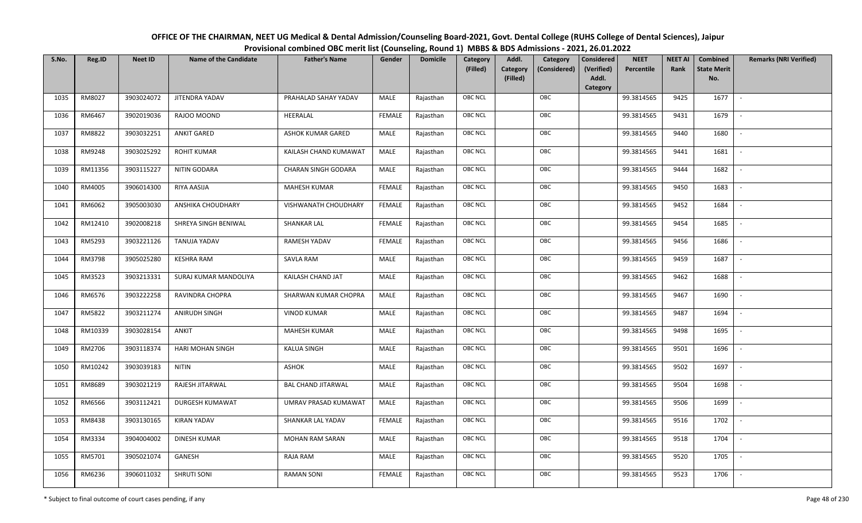| OFFICE OF THE CHAIRMAN, NEET UG Medical & Dental Admission/Counseling Board-2021, Govt. Dental College (RUHS College of Dental Sciences), Jaipur |
|--------------------------------------------------------------------------------------------------------------------------------------------------|
| Provisional combined OBC merit list (Counseling, Round 1) MBBS & BDS Admissions - 2021, 26.01.2022                                               |

| S.No. | Reg.ID  | <b>Neet ID</b> | <b>Name of the Candidate</b> | <b>Father's Name</b>      | Gender        | <b>Domicile</b> | Category<br>(Filled) | Addl.<br>Category<br>(Filled) | Category<br>(Considered) | <b>Considered</b><br>(Verified)<br>Addl. | <b>NEET</b><br>Percentile | <b>NEET AI</b><br>Rank | Combined<br><b>State Merit</b><br>No. | <b>Remarks (NRI Verified)</b> |
|-------|---------|----------------|------------------------------|---------------------------|---------------|-----------------|----------------------|-------------------------------|--------------------------|------------------------------------------|---------------------------|------------------------|---------------------------------------|-------------------------------|
|       |         |                |                              |                           |               |                 |                      |                               |                          | Category                                 |                           |                        |                                       |                               |
| 1035  | RM8027  | 3903024072     | JITENDRA YADAV               | PRAHALAD SAHAY YADAV      | MALE          | Rajasthan       | OBC NCL              |                               | OBC                      |                                          | 99.3814565                | 9425                   | 1677                                  | $\sim$                        |
| 1036  | RM6467  | 3902019036     | RAJOO MOOND                  | HEERALAL                  | <b>FEMALE</b> | Rajasthan       | OBC NCL              |                               | OBC                      |                                          | 99.3814565                | 9431                   | 1679                                  |                               |
| 1037  | RM8822  | 3903032251     | <b>ANKIT GARED</b>           | ASHOK KUMAR GARED         | MALE          | Rajasthan       | <b>OBC NCL</b>       |                               | OBC                      |                                          | 99.3814565                | 9440                   | 1680                                  |                               |
| 1038  | RM9248  | 3903025292     | <b>ROHIT KUMAR</b>           | KAILASH CHAND KUMAWAT     | MALE          | Rajasthan       | OBC NCL              |                               | OBC                      |                                          | 99.3814565                | 9441                   | 1681                                  | $\overline{\phantom{a}}$      |
| 1039  | RM11356 | 3903115227     | NITIN GODARA                 | CHARAN SINGH GODARA       | MALE          | Rajasthan       | OBC NCL              |                               | OBC                      |                                          | 99.3814565                | 9444                   | 1682                                  | $\sim$                        |
| 1040  | RM4005  | 3906014300     | RIYA AASIJA                  | <b>MAHESH KUMAR</b>       | <b>FEMALE</b> | Rajasthan       | OBC NCL              |                               | OBC                      |                                          | 99.3814565                | 9450                   | 1683                                  | $\sim$                        |
| 1041  | RM6062  | 3905003030     | ANSHIKA CHOUDHARY            | VISHWANATH CHOUDHARY      | <b>FEMALE</b> | Rajasthan       | OBC NCL              |                               | OBC                      |                                          | 99.3814565                | 9452                   | 1684                                  | $\overline{\phantom{a}}$      |
| 1042  | RM12410 | 3902008218     | SHREYA SINGH BENIWAL         | <b>SHANKAR LAL</b>        | <b>FEMALE</b> | Rajasthan       | OBC NCL              |                               | OBC                      |                                          | 99.3814565                | 9454                   | 1685                                  |                               |
| 1043  | RM5293  | 3903221126     | TANUJA YADAV                 | RAMESH YADAV              | <b>FEMALE</b> | Rajasthan       | OBC NCL              |                               | OBC                      |                                          | 99.3814565                | 9456                   | 1686                                  |                               |
| 1044  | RM3798  | 3905025280     | <b>KESHRA RAM</b>            | <b>SAVLA RAM</b>          | MALE          | Rajasthan       | OBC NCL              |                               | OBC                      |                                          | 99.3814565                | 9459                   | 1687                                  | $\overline{\phantom{a}}$      |
| 1045  | RM3523  | 3903213331     | SURAJ KUMAR MANDOLIYA        | KAILASH CHAND JAT         | MALE          | Rajasthan       | OBC NCL              |                               | OBC                      |                                          | 99.3814565                | 9462                   | 1688                                  |                               |
| 1046  | RM6576  | 3903222258     | RAVINDRA CHOPRA              | SHARWAN KUMAR CHOPRA      | MALE          | Rajasthan       | OBC NCL              |                               | OBC                      |                                          | 99.3814565                | 9467                   | 1690                                  | $\mathcal{L}$                 |
| 1047  | RM5822  | 3903211274     | ANIRUDH SINGH                | <b>VINOD KUMAR</b>        | MALE          | Rajasthan       | OBC NCL              |                               | OBC                      |                                          | 99.3814565                | 9487                   | 1694                                  |                               |
| 1048  | RM10339 | 3903028154     | ANKIT                        | <b>MAHESH KUMAR</b>       | MALE          | Rajasthan       | <b>OBC NCL</b>       |                               | OBC                      |                                          | 99.3814565                | 9498                   | 1695                                  |                               |
| 1049  | RM2706  | 3903118374     | HARI MOHAN SINGH             | <b>KALUA SINGH</b>        | MALE          | Rajasthan       | OBC NCL              |                               | OBC                      |                                          | 99.3814565                | 9501                   | 1696                                  | $\overline{\phantom{a}}$      |
| 1050  | RM10242 | 3903039183     | <b>NITIN</b>                 | <b>ASHOK</b>              | MALE          | Rajasthan       | OBC NCL              |                               | OBC                      |                                          | 99.3814565                | 9502                   | 1697                                  | $\sim$                        |
| 1051  | RM8689  | 3903021219     | RAJESH JITARWAL              | <b>BAL CHAND JITARWAL</b> | MALE          | Rajasthan       | OBC NCL              |                               | OBC                      |                                          | 99.3814565                | 9504                   | 1698                                  | $\sim$                        |
| 1052  | RM6566  | 3903112421     | DURGESH KUMAWAT              | UMRAV PRASAD KUMAWAT      | MALE          | Rajasthan       | OBC NCL              |                               | OBC                      |                                          | 99.3814565                | 9506                   | 1699                                  |                               |
| 1053  | RM8438  | 3903130165     | <b>KIRAN YADAV</b>           | SHANKAR LAL YADAV         | <b>FEMALE</b> | Rajasthan       | OBC NCL              |                               | OBC                      |                                          | 99.3814565                | 9516                   | 1702                                  |                               |
| 1054  | RM3334  | 3904004002     | <b>DINESH KUMAR</b>          | MOHAN RAM SARAN           | MALE          | Rajasthan       | OBC NCL              |                               | OBC                      |                                          | 99.3814565                | 9518                   | 1704                                  |                               |
| 1055  | RM5701  | 3905021074     | GANESH                       | RAJA RAM                  | MALE          | Rajasthan       | OBC NCL              |                               | OBC                      |                                          | 99.3814565                | 9520                   | 1705                                  | $\overline{\phantom{a}}$      |
| 1056  | RM6236  | 3906011032     | <b>SHRUTI SONI</b>           | <b>RAMAN SONI</b>         | <b>FEMALE</b> | Rajasthan       | OBC NCL              |                               | OBC                      |                                          | 99.3814565                | 9523                   | 1706                                  |                               |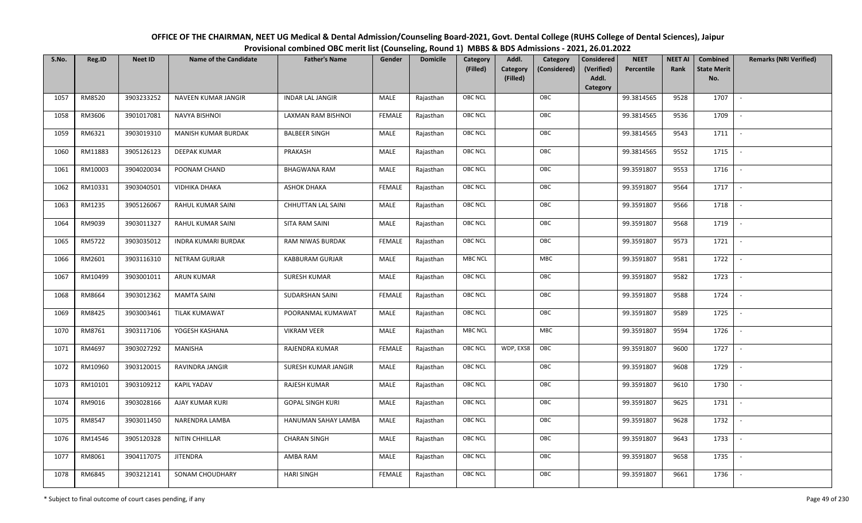| OFFICE OF THE CHAIRMAN, NEET UG Medical & Dental Admission/Counseling Board-2021, Govt. Dental College (RUHS College of Dental Sciences), Jaipur |
|--------------------------------------------------------------------------------------------------------------------------------------------------|
| Provisional combined OBC merit list (Counseling, Round 1) MBBS & BDS Admissions - 2021, 26.01.2022                                               |

| S.No. | Reg.ID  | <b>Neet ID</b> | <b>Name of the Candidate</b> | <b>Father's Name</b>    | Gender        | <b>Domicile</b> | Category<br>(Filled) | Addl.<br><b>Category</b><br>(Filled) | Category<br>(Considered) | <b>Considered</b><br>(Verified)<br>Addl.<br>Category | <b>NEET</b><br>Percentile | <b>NEET AI</b><br>Rank | Combined<br><b>State Merit</b><br>No. | <b>Remarks (NRI Verified)</b> |
|-------|---------|----------------|------------------------------|-------------------------|---------------|-----------------|----------------------|--------------------------------------|--------------------------|------------------------------------------------------|---------------------------|------------------------|---------------------------------------|-------------------------------|
| 1057  | RM8520  | 3903233252     | NAVEEN KUMAR JANGIR          | <b>INDAR LAL JANGIR</b> | MALE          | Rajasthan       | <b>OBC NCL</b>       |                                      | OBC                      |                                                      | 99.3814565                | 9528                   | 1707                                  | $\sim$                        |
| 1058  | RM3606  | 3901017081     | <b>NAVYA BISHNOI</b>         | LAXMAN RAM BISHNOI      | <b>FEMALE</b> | Rajasthan       | OBC NCL              |                                      | OBC                      |                                                      | 99.3814565                | 9536                   | 1709                                  |                               |
| 1059  | RM6321  | 3903019310     | <b>MANISH KUMAR BURDAK</b>   | <b>BALBEER SINGH</b>    | MALE          | Rajasthan       | <b>OBC NCL</b>       |                                      | OBC                      |                                                      | 99.3814565                | 9543                   | 1711                                  | $\overline{\phantom{a}}$      |
| 1060  | RM11883 | 3905126123     | DEEPAK KUMAR                 | PRAKASH                 | MALE          | Rajasthan       | OBC NCL              |                                      | OBC                      |                                                      | 99.3814565                | 9552                   | 1715                                  | $\overline{\phantom{a}}$      |
| 1061  | RM10003 | 3904020034     | POONAM CHAND                 | <b>BHAGWANA RAM</b>     | <b>MALE</b>   | Rajasthan       | <b>OBC NCL</b>       |                                      | OBC                      |                                                      | 99.3591807                | 9553                   | 1716                                  | $\sim$                        |
| 1062  | RM10331 | 3903040501     | <b>VIDHIKA DHAKA</b>         | <b>ASHOK DHAKA</b>      | <b>FEMALE</b> | Rajasthan       | <b>OBC NCL</b>       |                                      | OBC                      |                                                      | 99.3591807                | 9564                   | 1717                                  | $\overline{\phantom{a}}$      |
| 1063  | RM1235  | 3905126067     | RAHUL KUMAR SAINI            | CHHUTTAN LAL SAINI      | MALE          | Rajasthan       | <b>OBC NCL</b>       |                                      | OBC                      |                                                      | 99.3591807                | 9566                   | 1718                                  | $\overline{\phantom{a}}$      |
| 1064  | RM9039  | 3903011327     | RAHUL KUMAR SAINI            | SITA RAM SAINI          | MALE          | Rajasthan       | OBC NCL              |                                      | OBC                      |                                                      | 99.3591807                | 9568                   | 1719                                  |                               |
| 1065  | RM5722  | 3903035012     | <b>INDRA KUMARI BURDAK</b>   | RAM NIWAS BURDAK        | <b>FEMALE</b> | Rajasthan       | OBC NCL              |                                      | OBC                      |                                                      | 99.3591807                | 9573                   | 1721                                  |                               |
| 1066  | RM2601  | 3903116310     | NETRAM GURJAR                | <b>KABBURAM GURJAR</b>  | MALE          | Rajasthan       | <b>MBC NCL</b>       |                                      | MBC                      |                                                      | 99.3591807                | 9581                   | 1722                                  | $\sim$                        |
| 1067  | RM10499 | 3903001011     | <b>ARUN KUMAR</b>            | <b>SURESH KUMAR</b>     | MALE          | Rajasthan       | OBC NCL              |                                      | OBC                      |                                                      | 99.3591807                | 9582                   | 1723                                  |                               |
| 1068  | RM8664  | 3903012362     | <b>MAMTA SAINI</b>           | <b>SUDARSHAN SAINI</b>  | FEMALE        | Rajasthan       | <b>OBC NCL</b>       |                                      | OBC                      |                                                      | 99.3591807                | 9588                   | 1724                                  | $\mathbb{L}$                  |
| 1069  | RM8425  | 3903003461     | <b>TILAK KUMAWAT</b>         | POORANMAL KUMAWAT       | MALE          | Rajasthan       | OBC NCL              |                                      | OBC                      |                                                      | 99.3591807                | 9589                   | 1725                                  |                               |
| 1070  | RM8761  | 3903117106     | YOGESH KASHANA               | <b>VIKRAM VEER</b>      | MALE          | Rajasthan       | <b>MBC NCL</b>       |                                      | <b>MBC</b>               |                                                      | 99.3591807                | 9594                   | 1726                                  | $\overline{\phantom{a}}$      |
| 1071  | RM4697  | 3903027292     | MANISHA                      | RAJENDRA KUMAR          | <b>FEMALE</b> | Rajasthan       | <b>OBC NCL</b>       | WDP, EXS8                            | OBC                      |                                                      | 99.3591807                | 9600                   | 1727                                  | $\overline{\phantom{a}}$      |
| 1072  | RM10960 | 3903120015     | RAVINDRA JANGIR              | SURESH KUMAR JANGIR     | MALE          | Rajasthan       | <b>OBC NCL</b>       |                                      | OBC                      |                                                      | 99.3591807                | 9608                   | 1729                                  | $\sim$                        |
| 1073  | RM10101 | 3903109212     | <b>KAPIL YADAV</b>           | RAJESH KUMAR            | MALE          | Rajasthan       | <b>OBC NCL</b>       |                                      | OBC                      |                                                      | 99.3591807                | 9610                   | 1730                                  | $\overline{\phantom{a}}$      |
| 1074  | RM9016  | 3903028166     | AJAY KUMAR KURI              | <b>GOPAL SINGH KURI</b> | MALE          | Rajasthan       | OBC NCL              |                                      | OBC                      |                                                      | 99.3591807                | 9625                   | 1731                                  | $\overline{\phantom{a}}$      |
| 1075  | RM8547  | 3903011450     | NARENDRA LAMBA               | HANUMAN SAHAY LAMBA     | MALE          | Rajasthan       | OBC NCL              |                                      | OBC                      |                                                      | 99.3591807                | 9628                   | 1732                                  |                               |
| 1076  | RM14546 | 3905120328     | NITIN CHHILLAR               | <b>CHARAN SINGH</b>     | MALE          | Rajasthan       | OBC NCL              |                                      | OBC                      |                                                      | 99.3591807                | 9643                   | 1733                                  |                               |
| 1077  | RM8061  | 3904117075     | <b>JITENDRA</b>              | AMBA RAM                | MALE          | Rajasthan       | <b>OBC NCL</b>       |                                      | OBC                      |                                                      | 99.3591807                | 9658                   | 1735                                  | $\overline{\phantom{a}}$      |
| 1078  | RM6845  | 3903212141     | SONAM CHOUDHARY              | <b>HARI SINGH</b>       | <b>FEMALE</b> | Rajasthan       | <b>OBC NCL</b>       |                                      | OBC                      |                                                      | 99.3591807                | 9661                   | 1736                                  |                               |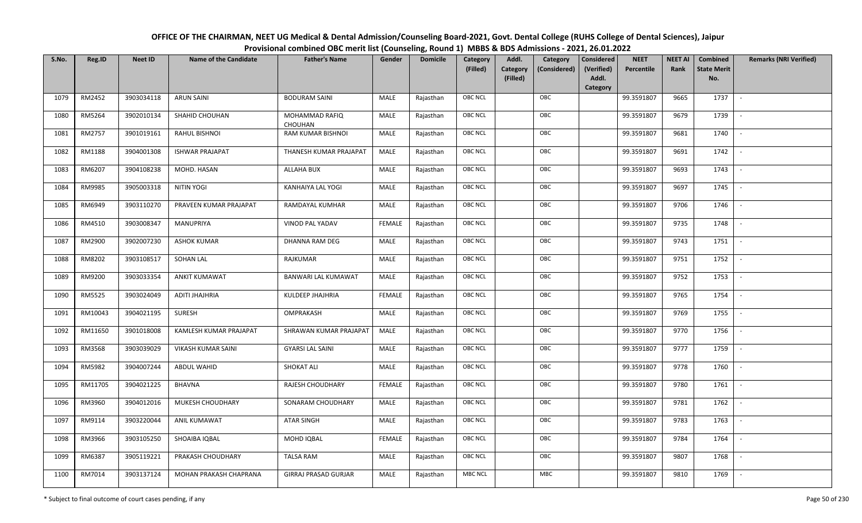| OFFICE OF THE CHAIRMAN, NEET UG Medical & Dental Admission/Counseling Board-2021, Govt. Dental College (RUHS College of Dental Sciences), Jaipur |
|--------------------------------------------------------------------------------------------------------------------------------------------------|
| Provisional combined OBC merit list (Counseling, Round 1) MBBS & BDS Admissions - 2021, 26.01.2022                                               |

| S.No. | Reg.ID  | <b>Neet ID</b> | <b>Name of the Candidate</b> | <b>Father's Name</b>             | Gender        | <b>Domicile</b> | Category<br>(Filled) | Addl.<br><b>Category</b><br>(Filled) | Category<br>(Considered) | <b>Considered</b><br>(Verified)<br>Addl.<br>Category | <b>NEET</b><br>Percentile | <b>NEET AI</b><br>Rank | <b>Combined</b><br><b>State Merit</b><br>No. | <b>Remarks (NRI Verified)</b> |
|-------|---------|----------------|------------------------------|----------------------------------|---------------|-----------------|----------------------|--------------------------------------|--------------------------|------------------------------------------------------|---------------------------|------------------------|----------------------------------------------|-------------------------------|
| 1079  | RM2452  | 3903034118     | <b>ARUN SAINI</b>            | <b>BODURAM SAINI</b>             | MALE          | Rajasthan       | <b>OBC NCL</b>       |                                      | OBC                      |                                                      | 99.3591807                | 9665                   | 1737                                         | $\sim$                        |
| 1080  | RM5264  | 3902010134     | SHAHID CHOUHAN               | MOHAMMAD RAFIQ<br><b>CHOUHAN</b> | MALE          | Rajasthan       | OBC NCL              |                                      | OBC                      |                                                      | 99.3591807                | 9679                   | 1739                                         |                               |
| 1081  | RM2757  | 3901019161     | <b>RAHUL BISHNOI</b>         | RAM KUMAR BISHNOI                | MALE          | Rajasthan       | <b>OBC NCL</b>       |                                      | OBC                      |                                                      | 99.3591807                | 9681                   | 1740                                         | $\overline{\phantom{a}}$      |
| 1082  | RM1188  | 3904001308     | <b>ISHWAR PRAJAPAT</b>       | THANESH KUMAR PRAJAPAT           | MALE          | Rajasthan       | <b>OBC NCL</b>       |                                      | OBC                      |                                                      | 99.3591807                | 9691                   | 1742                                         | $\overline{\phantom{a}}$      |
| 1083  | RM6207  | 3904108238     | MOHD. HASAN                  | <b>ALLAHA BUX</b>                | MALE          | Rajasthan       | OBC NCL              |                                      | OBC                      |                                                      | 99.3591807                | 9693                   | 1743                                         | $\sim$                        |
| 1084  | RM9985  | 3905003318     | <b>NITIN YOGI</b>            | KANHAIYA LAL YOGI                | MALE          | Rajasthan       | <b>OBC NCL</b>       |                                      | OBC                      |                                                      | 99.3591807                | 9697                   | 1745                                         | $\overline{\phantom{a}}$      |
| 1085  | RM6949  | 3903110270     | PRAVEEN KUMAR PRAJAPAT       | RAMDAYAL KUMHAR                  | <b>MALE</b>   | Rajasthan       | OBC NCL              |                                      | OBC                      |                                                      | 99.3591807                | 9706                   | 1746                                         | $\overline{\phantom{a}}$      |
| 1086  | RM4510  | 3903008347     | MANUPRIYA                    | VINOD PAL YADAV                  | <b>FEMALE</b> | Rajasthan       | OBC NCL              |                                      | OBC                      |                                                      | 99.3591807                | 9735                   | 1748                                         |                               |
| 1087  | RM2900  | 3902007230     | <b>ASHOK KUMAR</b>           | DHANNA RAM DEG                   | MALE          | Rajasthan       | OBC NCL              |                                      | OBC                      |                                                      | 99.3591807                | 9743                   | 1751                                         |                               |
| 1088  | RM8202  | 3903108517     | <b>SOHAN LAL</b>             | RAJKUMAR                         | MALE          | Rajasthan       | <b>OBC NCL</b>       |                                      | OBC                      |                                                      | 99.3591807                | 9751                   | 1752                                         | $\sim$                        |
| 1089  | RM9200  | 3903033354     | <b>ANKIT KUMAWAT</b>         | BANWARI LAL KUMAWAT              | <b>MALE</b>   | Rajasthan       | OBC NCL              |                                      | OBC                      |                                                      | 99.3591807                | 9752                   | 1753                                         |                               |
| 1090  | RM5525  | 3903024049     | ADITI JHAJHRIA               | KULDEEP JHAJHRIA                 | <b>FEMALE</b> | Rajasthan       | <b>OBC NCL</b>       |                                      | OBC                      |                                                      | 99.3591807                | 9765                   | 1754                                         | $\sim$                        |
| 1091  | RM10043 | 3904021195     | SURESH                       | OMPRAKASH                        | MALE          | Rajasthan       | OBC NCL              |                                      | OBC                      |                                                      | 99.3591807                | 9769                   | 1755                                         |                               |
| 1092  | RM11650 | 3901018008     | KAMLESH KUMAR PRAJAPAT       | SHRAWAN KUMAR PRAJAPAT           | MALE          | Rajasthan       | <b>OBC NCL</b>       |                                      | OBC                      |                                                      | 99.3591807                | 9770                   | 1756                                         | $\sim$                        |
| 1093  | RM3568  | 3903039029     | <b>VIKASH KUMAR SAINI</b>    | <b>GYARSI LAL SAINI</b>          | <b>MALE</b>   | Rajasthan       | <b>OBC NCL</b>       |                                      | OBC                      |                                                      | 99.3591807                | 9777                   | 1759                                         | $\sim$                        |
| 1094  | RM5982  | 3904007244     | ABDUL WAHID                  | <b>SHOKAT ALI</b>                | MALE          | Rajasthan       | <b>OBC NCL</b>       |                                      | OBC                      |                                                      | 99.3591807                | 9778                   | 1760                                         | $\overline{\phantom{a}}$      |
| 1095  | RM11705 | 3904021225     | BHAVNA                       | RAJESH CHOUDHARY                 | <b>FEMALE</b> | Rajasthan       | <b>OBC NCL</b>       |                                      | OBC                      |                                                      | 99.3591807                | 9780                   | 1761                                         | $\sim$                        |
| 1096  | RM3960  | 3904012016     | MUKESH CHOUDHARY             | SONARAM CHOUDHARY                | MALE          | Rajasthan       | <b>OBC NCL</b>       |                                      | OBC                      |                                                      | 99.3591807                | 9781                   | 1762                                         |                               |
| 1097  | RM9114  | 3903220044     | ANIL KUMAWAT                 | ATAR SINGH                       | MALE          | Rajasthan       | OBC NCL              |                                      | OBC                      |                                                      | 99.3591807                | 9783                   | 1763                                         |                               |
| 1098  | RM3966  | 3903105250     | SHOAIBA IQBAL                | MOHD IQBAL                       | <b>FEMALE</b> | Rajasthan       | <b>OBC NCL</b>       |                                      | OBC                      |                                                      | 99.3591807                | 9784                   | 1764                                         | $\overline{\phantom{a}}$      |
| 1099  | RM6387  | 3905119221     | PRAKASH CHOUDHARY            | <b>TALSA RAM</b>                 | MALE          | Rajasthan       | OBC NCL              |                                      | OBC                      |                                                      | 99.3591807                | 9807                   | 1768                                         |                               |
| 1100  | RM7014  | 3903137124     | MOHAN PRAKASH CHAPRANA       | <b>GIRRAJ PRASAD GURJAR</b>      | MALE          | Rajasthan       | <b>MBC NCL</b>       |                                      | MBC                      |                                                      | 99.3591807                | 9810                   | 1769                                         |                               |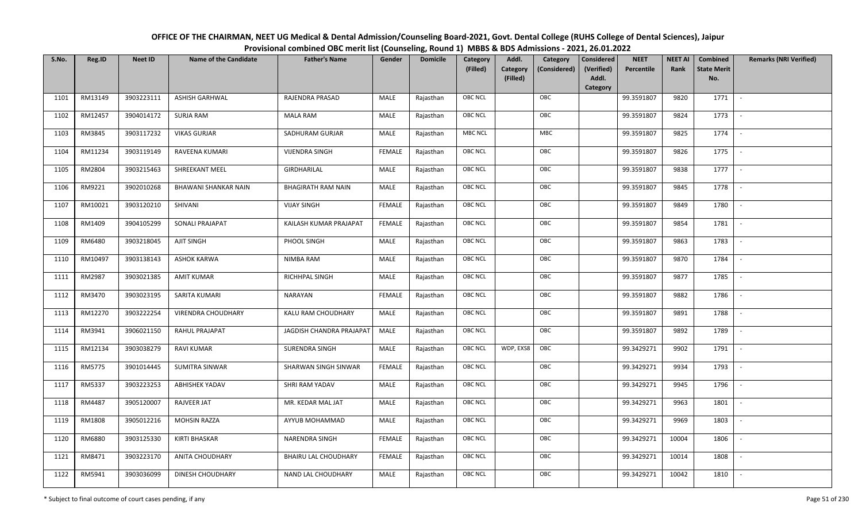| OFFICE OF THE CHAIRMAN, NEET UG Medical & Dental Admission/Counseling Board-2021, Govt. Dental College (RUHS College of Dental Sciences), Jaipur |
|--------------------------------------------------------------------------------------------------------------------------------------------------|
| Provisional combined OBC merit list (Counseling, Round 1) MBBS & BDS Admissions - 2021, 26.01.2022                                               |

| S.No. | Reg.ID  | <b>Neet ID</b> | <b>Name of the Candidate</b> | <b>Father's Name</b>        | Gender        | <b>Domicile</b> | Category<br>(Filled) | Addl.<br><b>Category</b><br>(Filled) | Category<br>(Considered) | <b>Considered</b><br>(Verified)<br>Addl.<br>Category | <b>NEET</b><br>Percentile | <b>NEET AI</b><br>Rank | Combined<br><b>State Merit</b><br>No. | <b>Remarks (NRI Verified)</b> |
|-------|---------|----------------|------------------------------|-----------------------------|---------------|-----------------|----------------------|--------------------------------------|--------------------------|------------------------------------------------------|---------------------------|------------------------|---------------------------------------|-------------------------------|
| 1101  | RM13149 | 3903223111     | <b>ASHISH GARHWAL</b>        | RAJENDRA PRASAD             | MALE          | Rajasthan       | <b>OBC NCL</b>       |                                      | OBC                      |                                                      | 99.3591807                | 9820                   | 1771                                  | $\sim$                        |
| 1102  | RM12457 | 3904014172     | SURJA RAM                    | <b>MALA RAM</b>             | MALE          | Rajasthan       | OBC NCL              |                                      | OBC                      |                                                      | 99.3591807                | 9824                   | 1773                                  |                               |
| 1103  | RM3845  | 3903117232     | <b>VIKAS GURJAR</b>          | SADHURAM GURJAR             | MALE          | Rajasthan       | MBC NCL              |                                      | MBC                      |                                                      | 99.3591807                | 9825                   | 1774                                  | $\overline{\phantom{a}}$      |
| 1104  | RM11234 | 3903119149     | RAVEENA KUMARI               | <b>VIJENDRA SINGH</b>       | <b>FEMALE</b> | Rajasthan       | OBC NCL              |                                      | OBC                      |                                                      | 99.3591807                | 9826                   | 1775                                  | $\overline{\phantom{a}}$      |
| 1105  | RM2804  | 3903215463     | SHREEKANT MEEL               | GIRDHARILAL                 | MALE          | Rajasthan       | <b>OBC NCL</b>       |                                      | OBC                      |                                                      | 99.3591807                | 9838                   | 1777                                  | $\sim$                        |
| 1106  | RM9221  | 3902010268     | BHAWANI SHANKAR NAIN         | <b>BHAGIRATH RAM NAIN</b>   | MALE          | Rajasthan       | <b>OBC NCL</b>       |                                      | OBC                      |                                                      | 99.3591807                | 9845                   | 1778                                  | $\sim$                        |
| 1107  | RM10021 | 3903120210     | SHIVANI                      | <b>VIJAY SINGH</b>          | <b>FEMALE</b> | Rajasthan       | OBC NCL              |                                      | OBC                      |                                                      | 99.3591807                | 9849                   | 1780                                  | $\overline{\phantom{a}}$      |
| 1108  | RM1409  | 3904105299     | SONALI PRAJAPAT              | KAILASH KUMAR PRAJAPAT      | <b>FEMALE</b> | Rajasthan       | OBC NCL              |                                      | OBC                      |                                                      | 99.3591807                | 9854                   | 1781                                  |                               |
| 1109  | RM6480  | 3903218045     | AJIT SINGH                   | PHOOL SINGH                 | MALE          | Rajasthan       | OBC NCL              |                                      | OBC                      |                                                      | 99.3591807                | 9863                   | 1783                                  |                               |
| 1110  | RM10497 | 3903138143     | <b>ASHOK KARWA</b>           | NIMBA RAM                   | MALE          | Rajasthan       | OBC NCL              |                                      | OBC                      |                                                      | 99.3591807                | 9870                   | 1784                                  | $\overline{\phantom{a}}$      |
| 1111  | RM2987  | 3903021385     | <b>AMIT KUMAR</b>            | RICHHPAL SINGH              | MALE          | Rajasthan       | <b>OBC NCL</b>       |                                      | OBC                      |                                                      | 99.3591807                | 9877                   | 1785                                  |                               |
| 1112  | RM3470  | 3903023195     | SARITA KUMARI                | NARAYAN                     | <b>FEMALE</b> | Rajasthan       | OBC NCL              |                                      | OBC                      |                                                      | 99.3591807                | 9882                   | 1786                                  | $\sim$                        |
| 1113  | RM12270 | 3903222254     | <b>VIRENDRA CHOUDHARY</b>    | KALU RAM CHOUDHARY          | MALE          | Rajasthan       | <b>OBC NCL</b>       |                                      | OBC                      |                                                      | 99.3591807                | 9891                   | 1788                                  |                               |
| 1114  | RM3941  | 3906021150     | RAHUL PRAJAPAT               | JAGDISH CHANDRA PRAJAPAT    | MALE          | Rajasthan       | OBC NCL              |                                      | OBC                      |                                                      | 99.3591807                | 9892                   | 1789                                  | $\overline{\phantom{a}}$      |
| 1115  | RM12134 | 3903038279     | <b>RAVI KUMAR</b>            | <b>SURENDRA SINGH</b>       | <b>MALE</b>   | Rajasthan       | <b>OBC NCL</b>       | WDP, EXS8                            | OBC                      |                                                      | 99.3429271                | 9902                   | 1791                                  | $\sim$                        |
| 1116  | RM5775  | 3901014445     | SUMITRA SINWAR               | SHARWAN SINGH SINWAR        | <b>FEMALE</b> | Rajasthan       | <b>OBC NCL</b>       |                                      | OBC                      |                                                      | 99.3429271                | 9934                   | 1793                                  | $\overline{\phantom{a}}$      |
| 1117  | RM5337  | 3903223253     | <b>ABHISHEK YADAV</b>        | SHRI RAM YADAV              | MALE          | Rajasthan       | <b>OBC NCL</b>       |                                      | OBC                      |                                                      | 99.3429271                | 9945                   | 1796                                  | $\overline{\phantom{a}}$      |
| 1118  | RM4487  | 3905120007     | RAJVEER JAT                  | MR. KEDAR MAL JAT           | MALE          | Rajasthan       | OBC NCL              |                                      | OBC                      |                                                      | 99.3429271                | 9963                   | 1801                                  |                               |
| 1119  | RM1808  | 3905012216     | <b>MOHSIN RAZZA</b>          | AYYUB MOHAMMAD              | MALE          | Rajasthan       | <b>OBC NCL</b>       |                                      | OBC                      |                                                      | 99.3429271                | 9969                   | 1803                                  |                               |
| 1120  | RM6880  | 3903125330     | <b>KIRTI BHASKAR</b>         | <b>NARENDRA SINGH</b>       | <b>FEMALE</b> | Rajasthan       | OBC NCL              |                                      | OBC                      |                                                      | 99.3429271                | 10004                  | 1806                                  | $\blacksquare$                |
| 1121  | RM8471  | 3903223170     | <b>ANITA CHOUDHARY</b>       | <b>BHAIRU LAL CHOUDHARY</b> | <b>FEMALE</b> | Rajasthan       | <b>OBC NCL</b>       |                                      | OBC                      |                                                      | 99.3429271                | 10014                  | 1808                                  | $\overline{\phantom{a}}$      |
| 1122  | RM5941  | 3903036099     | DINESH CHOUDHARY             | NAND LAL CHOUDHARY          | MALE          | Rajasthan       | <b>OBC NCL</b>       |                                      | OBC                      |                                                      | 99.3429271                | 10042                  | 1810                                  |                               |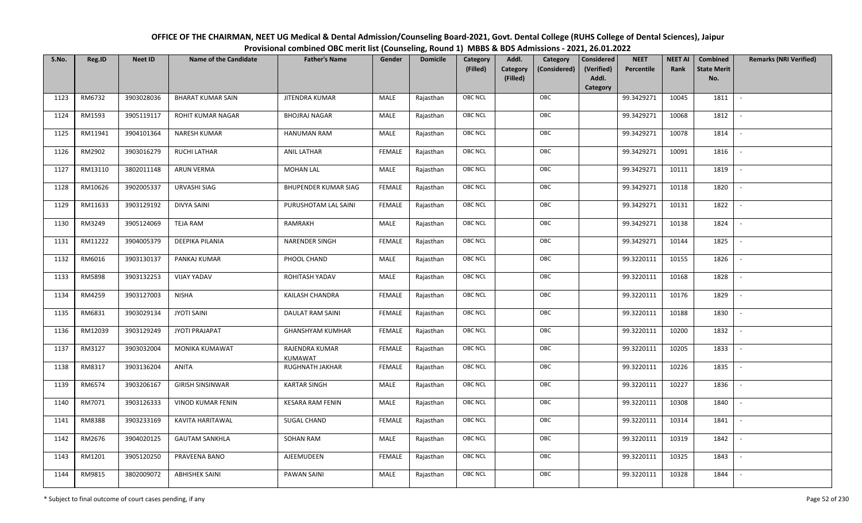| OFFICE OF THE CHAIRMAN, NEET UG Medical & Dental Admission/Counseling Board-2021, Govt. Dental College (RUHS College of Dental Sciences), Jaipur |
|--------------------------------------------------------------------------------------------------------------------------------------------------|
| Provisional combined OBC merit list (Counseling, Round 1) MBBS & BDS Admissions - 2021, 26.01.2022                                               |

| S.No. | Reg.ID  | <b>Neet ID</b> | <b>Name of the Candidate</b> | <b>Father's Name</b>        | Gender        | <b>Domicile</b> | Category<br>(Filled) | Addl.<br><b>Category</b><br>(Filled) | Category<br>(Considered) | Considered<br>(Verified)<br>Addl. | <b>NEET</b><br>Percentile | <b>NEET AI</b><br>Rank | Combined<br><b>State Merit</b><br>No. | <b>Remarks (NRI Verified)</b> |
|-------|---------|----------------|------------------------------|-----------------------------|---------------|-----------------|----------------------|--------------------------------------|--------------------------|-----------------------------------|---------------------------|------------------------|---------------------------------------|-------------------------------|
|       |         |                |                              |                             |               |                 |                      |                                      |                          | Category                          |                           |                        |                                       |                               |
| 1123  | RM6732  | 3903028036     | <b>BHARAT KUMAR SAIN</b>     | <b>JITENDRA KUMAR</b>       | MALE          | Rajasthan       | <b>OBC NCL</b>       |                                      | OBC                      |                                   | 99.3429271                | 10045                  | 1811                                  | $\sim$                        |
| 1124  | RM1593  | 3905119117     | ROHIT KUMAR NAGAR            | <b>BHOJRAJ NAGAR</b>        | MALE          | Rajasthan       | OBC NCL              |                                      | OBC                      |                                   | 99.3429271                | 10068                  | 1812                                  |                               |
| 1125  | RM11941 | 3904101364     | NARESH KUMAR                 | <b>HANUMAN RAM</b>          | MALE          | Rajasthan       | <b>OBC NCL</b>       |                                      | OBC                      |                                   | 99.3429271                | 10078                  | 1814                                  |                               |
| 1126  | RM2902  | 3903016279     | <b>RUCHI LATHAR</b>          | <b>ANIL LATHAR</b>          | <b>FEMALE</b> | Rajasthan       | <b>OBC NCL</b>       |                                      | OBC                      |                                   | 99.3429271                | 10091                  | 1816                                  | $\overline{\phantom{a}}$      |
| 1127  | RM13110 | 3802011148     | <b>ARUN VERMA</b>            | <b>MOHAN LAL</b>            | <b>MALE</b>   | Rajasthan       | <b>OBC NCL</b>       |                                      | OBC                      |                                   | 99.3429271                | 10111                  | 1819                                  | $\sim$                        |
| 1128  | RM10626 | 3902005337     | URVASHI SIAG                 | <b>BHUPENDER KUMAR SIAG</b> | <b>FEMALE</b> | Rajasthan       | <b>OBC NCL</b>       |                                      | OBC                      |                                   | 99.3429271                | 10118                  | 1820                                  | $\overline{\phantom{a}}$      |
| 1129  | RM11633 | 3903129192     | DIVYA SAINI                  | PURUSHOTAM LAL SAINI        | <b>FEMALE</b> | Rajasthan       | <b>OBC NCL</b>       |                                      | OBC                      |                                   | 99.3429271                | 10131                  | 1822                                  |                               |
| 1130  | RM3249  | 3905124069     | <b>TEJA RAM</b>              | RAMRAKH                     | MALE          | Rajasthan       | <b>OBC NCL</b>       |                                      | OBC                      |                                   | 99.3429271                | 10138                  | 1824                                  |                               |
| 1131  | RM11222 | 3904005379     | DEEPIKA PILANIA              | <b>NARENDER SINGH</b>       | <b>FEMALE</b> | Rajasthan       | OBC NCL              |                                      | OBC                      |                                   | 99.3429271                | 10144                  | 1825                                  |                               |
| 1132  | RM6016  | 3903130137     | PANKAJ KUMAR                 | PHOOL CHAND                 | <b>MALE</b>   | Rajasthan       | <b>OBC NCL</b>       |                                      | OBC                      |                                   | 99.3220111                | 10155                  | 1826                                  | $\overline{\phantom{a}}$      |
| 1133  | RM5898  | 3903132253     | <b>VIJAY YADAV</b>           | ROHITASH YADAV              | MALE          | Rajasthan       | OBC NCL              |                                      | OBC                      |                                   | 99.3220111                | 10168                  | 1828                                  |                               |
| 1134  | RM4259  | 3903127003     | <b>NISHA</b>                 | KAILASH CHANDRA             | <b>FEMALE</b> | Rajasthan       | <b>OBC NCL</b>       |                                      | OBC                      |                                   | 99.3220111                | 10176                  | 1829                                  |                               |
| 1135  | RM6831  | 3903029134     | <b>JYOTI SAINI</b>           | DAULAT RAM SAINI            | <b>FEMALE</b> | Rajasthan       | OBC NCL              |                                      | OBC                      |                                   | 99.3220111                | 10188                  | 1830                                  |                               |
| 1136  | RM12039 | 3903129249     | <b>JYOTI PRAJAPAT</b>        | <b>GHANSHYAM KUMHAR</b>     | <b>FEMALE</b> | Rajasthan       | OBC NCL              |                                      | OBC                      |                                   | 99.3220111                | 10200                  | 1832                                  | $\overline{\phantom{a}}$      |
| 1137  | RM3127  | 3903032004     | <b>MONIKA KUMAWAT</b>        | RAJENDRA KUMAR<br>KUMAWAT   | <b>FEMALE</b> | Rajasthan       | OBC NCL              |                                      | OBC                      |                                   | 99.3220111                | 10205                  | 1833                                  | $\overline{\phantom{a}}$      |
| 1138  | RM8317  | 3903136204     | ANITA                        | RUGHNATH JAKHAR             | <b>FEMALE</b> | Rajasthan       | OBC NCL              |                                      | OBC                      |                                   | 99.3220111                | 10226                  | 1835                                  | $\sim$                        |
| 1139  | RM6574  | 3903206167     | <b>GIRISH SINSINWAR</b>      | <b>KARTAR SINGH</b>         | MALE          | Rajasthan       | <b>OBC NCL</b>       |                                      | OBC                      |                                   | 99.3220111                | 10227                  | 1836                                  | $\overline{\phantom{a}}$      |
| 1140  | RM7071  | 3903126333     | VINOD KUMAR FENIN            | <b>KESARA RAM FENIN</b>     | MALE          | Rajasthan       | OBC NCL              |                                      | OBC                      |                                   | 99.3220111                | 10308                  | 1840                                  | $\sim$                        |
| 1141  | RM8388  | 3903233169     | KAVITA HARITAWAL             | <b>SUGAL CHAND</b>          | <b>FEMALE</b> | Rajasthan       | <b>OBC NCL</b>       |                                      | OBC                      |                                   | 99.3220111                | 10314                  | 1841                                  |                               |
| 1142  | RM2676  | 3904020125     | <b>GAUTAM SANKHLA</b>        | SOHAN RAM                   | MALE          | Rajasthan       | OBC NCL              |                                      | OBC                      |                                   | 99.3220111                | 10319                  | 1842                                  |                               |
| 1143  | RM1201  | 3905120250     | PRAVEENA BANO                | AJEEMUDEEN                  | <b>FEMALE</b> | Rajasthan       | <b>OBC NCL</b>       |                                      | OBC                      |                                   | 99.3220111                | 10325                  | 1843                                  |                               |
| 1144  | RM9815  | 3802009072     | <b>ABHISHEK SAINI</b>        | <b>PAWAN SAINI</b>          | MALE          | Rajasthan       | <b>OBC NCL</b>       |                                      | OBC                      |                                   | 99.3220111                | 10328                  | 1844                                  |                               |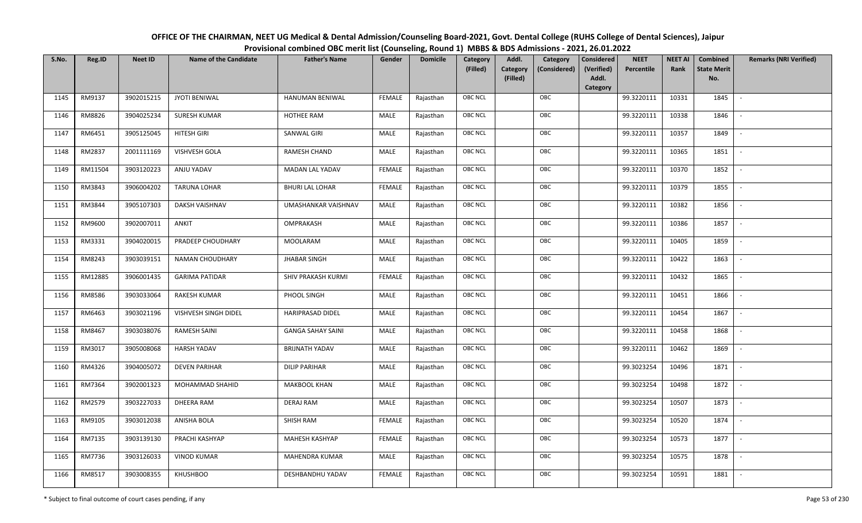| OFFICE OF THE CHAIRMAN, NEET UG Medical & Dental Admission/Counseling Board-2021, Govt. Dental College (RUHS College of Dental Sciences), Jaipur |
|--------------------------------------------------------------------------------------------------------------------------------------------------|
| Provisional combined OBC merit list (Counseling, Round 1) MBBS & BDS Admissions - 2021, 26.01.2022                                               |

| S.No. | Reg.ID  | <b>Neet ID</b> | <b>Name of the Candidate</b> | <b>Father's Name</b>     | Gender        | <b>Domicile</b> | Category       | Addl.<br>Category                    | <b>Considered</b>   | <b>NEET</b> | <b>NEET AI</b> | Combined                  | <b>Remarks (NRI Verified)</b> |
|-------|---------|----------------|------------------------------|--------------------------|---------------|-----------------|----------------|--------------------------------------|---------------------|-------------|----------------|---------------------------|-------------------------------|
|       |         |                |                              |                          |               |                 | (Filled)       | Category<br>(Considered)<br>(Filled) | (Verified)<br>Addl. | Percentile  | Rank           | <b>State Merit</b><br>No. |                               |
|       |         |                |                              |                          |               |                 |                |                                      | Category            |             |                |                           |                               |
| 1145  | RM9137  | 3902015215     | JYOTI BENIWAL                | HANUMAN BENIWAL          | <b>FEMALE</b> | Rajasthan       | <b>OBC NCL</b> | OBC                                  |                     | 99.3220111  | 10331          | 1845                      | $\sim$                        |
| 1146  | RM8826  | 3904025234     | <b>SURESH KUMAR</b>          | HOTHEE RAM               | MALE          | Rajasthan       | OBC NCL        | OBC                                  |                     | 99.3220111  | 10338          | 1846                      |                               |
| 1147  | RM6451  | 3905125045     | <b>HITESH GIRI</b>           | SANWAL GIRI              | MALE          | Rajasthan       | OBC NCL        | OBC                                  |                     | 99.3220111  | 10357          | 1849                      |                               |
| 1148  | RM2837  | 2001111169     | VISHVESH GOLA                | RAMESH CHAND             | <b>MALE</b>   | Rajasthan       | <b>OBC NCL</b> | OBC                                  |                     | 99.3220111  | 10365          | 1851                      | $\overline{\phantom{a}}$      |
| 1149  | RM11504 | 3903120223     | ANJU YADAV                   | MADAN LAL YADAV          | <b>FEMALE</b> | Rajasthan       | OBC NCL        | OBC                                  |                     | 99.3220111  | 10370          | 1852                      | $\sim$                        |
| 1150  | RM3843  | 3906004202     | <b>TARUNA LOHAR</b>          | <b>BHURI LAL LOHAR</b>   | <b>FEMALE</b> | Rajasthan       | <b>OBC NCL</b> | OBC                                  |                     | 99.3220111  | 10379          | 1855                      | $\overline{\phantom{a}}$      |
| 1151  | RM3844  | 3905107303     | DAKSH VAISHNAV               | UMASHANKAR VAISHNAV      | MALE          | Rajasthan       | OBC NCL        | OBC                                  |                     | 99.3220111  | 10382          | 1856                      | $\blacksquare$                |
| 1152  | RM9600  | 3902007011     | ANKIT                        | OMPRAKASH                | MALE          | Rajasthan       | OBC NCL        | OBC                                  |                     | 99.3220111  | 10386          | 1857                      |                               |
| 1153  | RM3331  | 3904020015     | PRADEEP CHOUDHARY            | <b>MOOLARAM</b>          | <b>MALE</b>   | Rajasthan       | OBC NCL        | OBC                                  |                     | 99.3220111  | 10405          | 1859                      |                               |
| 1154  | RM8243  | 3903039151     | NAMAN CHOUDHARY              | <b>JHABAR SINGH</b>      | <b>MALE</b>   | Rajasthan       | OBC NCL        | OBC                                  |                     | 99.3220111  | 10422          | 1863                      | $\sim$                        |
| 1155  | RM12885 | 3906001435     | <b>GARIMA PATIDAR</b>        | SHIV PRAKASH KURMI       | <b>FEMALE</b> | Rajasthan       | OBC NCL        | OBC                                  |                     | 99.3220111  | 10432          | 1865                      |                               |
| 1156  | RM8586  | 3903033064     | <b>RAKESH KUMAR</b>          | PHOOL SINGH              | MALE          | Rajasthan       | <b>OBC NCL</b> | OBC                                  |                     | 99.3220111  | 10451          | 1866                      | $\sim$                        |
| 1157  | RM6463  | 3903021196     | VISHVESH SINGH DIDEL         | <b>HARIPRASAD DIDEL</b>  | MALE          | Rajasthan       | OBC NCL        | OBC                                  |                     | 99.3220111  | 10454          | 1867                      |                               |
| 1158  | RM8467  | 3903038076     | <b>RAMESH SAINI</b>          | <b>GANGA SAHAY SAINI</b> | MALE          | Rajasthan       | OBC NCL        | OBC                                  |                     | 99.3220111  | 10458          | 1868                      | $\overline{\phantom{a}}$      |
| 1159  | RM3017  | 3905008068     | <b>HARSH YADAV</b>           | <b>BRIJNATH YADAV</b>    | MALE          | Rajasthan       | <b>OBC NCL</b> | OBC                                  |                     | 99.3220111  | 10462          | 1869                      | $\overline{\phantom{a}}$      |
| 1160  | RM4326  | 3904005072     | <b>DEVEN PARIHAR</b>         | <b>DILIP PARIHAR</b>     | MALE          | Rajasthan       | OBC NCL        | OBC                                  |                     | 99.3023254  | 10496          | 1871                      | $\sim$                        |
| 1161  | RM7364  | 3902001323     | MOHAMMAD SHAHID              | MAKBOOL KHAN             | MALE          | Rajasthan       | OBC NCL        | OBC                                  |                     | 99.3023254  | 10498          | 1872                      | $\overline{\phantom{a}}$      |
| 1162  | RM2579  | 3903227033     | <b>DHEERA RAM</b>            | <b>DERAJ RAM</b>         | <b>MALE</b>   | Rajasthan       | OBC NCL        | OBC                                  |                     | 99.3023254  | 10507          | 1873                      |                               |
| 1163  | RM9105  | 3903012038     | ANISHA BOLA                  | SHISH RAM                | <b>FEMALE</b> | Rajasthan       | <b>OBC NCL</b> | OBC                                  |                     | 99.3023254  | 10520          | 1874                      |                               |
| 1164  | RM7135  | 3903139130     | PRACHI KASHYAP               | MAHESH KASHYAP           | <b>FEMALE</b> | Rajasthan       | OBC NCL        | OBC                                  |                     | 99.3023254  | 10573          | 1877                      | $\overline{\phantom{a}}$      |
| 1165  | RM7736  | 3903126033     | <b>VINOD KUMAR</b>           | MAHENDRA KUMAR           | MALE          | Rajasthan       | <b>OBC NCL</b> | OBC                                  |                     | 99.3023254  | 10575          | 1878                      |                               |
| 1166  | RM8517  | 3903008355     | <b>KHUSHBOO</b>              | DESHBANDHU YADAV         | FEMALE        | Rajasthan       | OBC NCL        | OBC                                  |                     | 99.3023254  | 10591          | 1881                      |                               |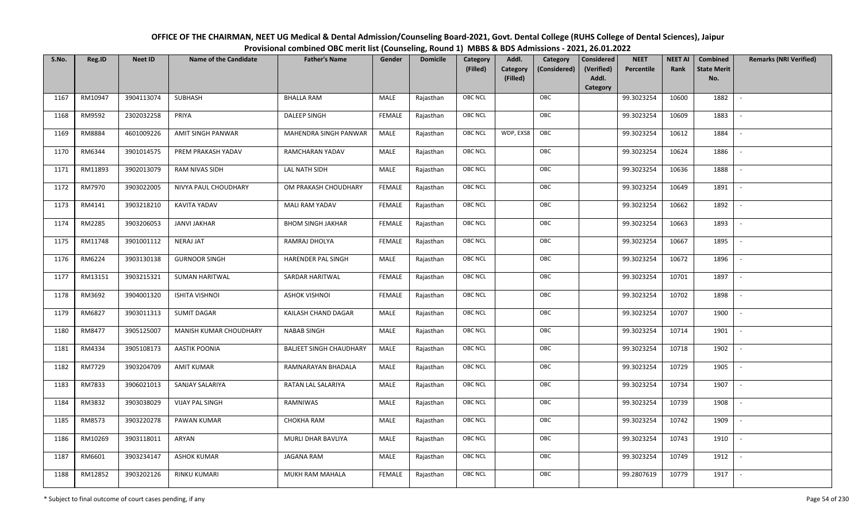| OFFICE OF THE CHAIRMAN, NEET UG Medical & Dental Admission/Counseling Board-2021, Govt. Dental College (RUHS College of Dental Sciences), Jaipur |
|--------------------------------------------------------------------------------------------------------------------------------------------------|
| Provisional combined OBC merit list (Counseling, Round 1) MBBS & BDS Admissions - 2021, 26.01.2022                                               |

| S.No. | Reg.ID  | <b>Neet ID</b> | <b>Name of the Candidate</b> | <b>Father's Name</b>           | Gender        | <b>Domicile</b> | Category<br>(Filled) | Addl.<br><b>Category</b><br>(Filled) | Category<br>(Considered) | <b>Considered</b><br>(Verified)<br>Addl. | <b>NEET</b><br>Percentile | <b>NEET AI</b><br>Rank | Combined<br><b>State Merit</b><br>No. | <b>Remarks (NRI Verified)</b> |
|-------|---------|----------------|------------------------------|--------------------------------|---------------|-----------------|----------------------|--------------------------------------|--------------------------|------------------------------------------|---------------------------|------------------------|---------------------------------------|-------------------------------|
|       |         |                |                              |                                |               |                 |                      |                                      |                          | Category                                 |                           |                        |                                       |                               |
| 1167  | RM10947 | 3904113074     | SUBHASH                      | <b>BHALLA RAM</b>              | MALE          | Rajasthan       | OBC NCL              |                                      | OBC                      |                                          | 99.3023254                | 10600                  | 1882                                  | $\overline{\phantom{a}}$      |
| 1168  | RM9592  | 2302032258     | PRIYA                        | <b>DALEEP SINGH</b>            | <b>FEMALE</b> | Rajasthan       | OBC NCL              |                                      | OBC                      |                                          | 99.3023254                | 10609                  | 1883                                  |                               |
| 1169  | RM8884  | 4601009226     | AMIT SINGH PANWAR            | MAHENDRA SINGH PANWAR          | MALE          | Rajasthan       | <b>OBC NCL</b>       | WDP, EXS8                            | OBC                      |                                          | 99.3023254                | 10612                  | 1884                                  |                               |
| 1170  | RM6344  | 3901014575     | PREM PRAKASH YADAV           | RAMCHARAN YADAV                | MALE          | Rajasthan       | OBC NCL              |                                      | OBC                      |                                          | 99.3023254                | 10624                  | 1886                                  | $\overline{\phantom{a}}$      |
| 1171  | RM11893 | 3902013079     | <b>RAM NIVAS SIDH</b>        | LAL NATH SIDH                  | MALE          | Rajasthan       | <b>OBC NCL</b>       |                                      | OBC                      |                                          | 99.3023254                | 10636                  | 1888                                  | $\sim$                        |
| 1172  | RM7970  | 3903022005     | NIVYA PAUL CHOUDHARY         | OM PRAKASH CHOUDHARY           | <b>FEMALE</b> | Rajasthan       | <b>OBC NCL</b>       |                                      | OBC                      |                                          | 99.3023254                | 10649                  | 1891                                  | $\overline{\phantom{a}}$      |
| 1173  | RM4141  | 3903218210     | <b>KAVITA YADAV</b>          | MALI RAM YADAV                 | <b>FEMALE</b> | Rajasthan       | <b>OBC NCL</b>       |                                      | OBC                      |                                          | 99.3023254                | 10662                  | 1892                                  | $\blacksquare$                |
| 1174  | RM2285  | 3903206053     | <b>JANVI JAKHAR</b>          | <b>BHOM SINGH JAKHAR</b>       | <b>FEMALE</b> | Rajasthan       | OBC NCL              |                                      | OBC                      |                                          | 99.3023254                | 10663                  | 1893                                  |                               |
| 1175  | RM11748 | 3901001112     | <b>NERAJ JAT</b>             | RAMRAJ DHOLYA                  | <b>FEMALE</b> | Rajasthan       | <b>OBC NCL</b>       |                                      | OBC                      |                                          | 99.3023254                | 10667                  | 1895                                  |                               |
| 1176  | RM6224  | 3903130138     | <b>GURNOOR SINGH</b>         | HARENDER PAL SINGH             | MALE          | Rajasthan       | OBC NCL              |                                      | OBC                      |                                          | 99.3023254                | 10672                  | 1896                                  | $\overline{\phantom{a}}$      |
| 1177  | RM13151 | 3903215321     | <b>SUMAN HARITWAL</b>        | SARDAR HARITWAL                | <b>FEMALE</b> | Rajasthan       | <b>OBC NCL</b>       |                                      | OBC                      |                                          | 99.3023254                | 10701                  | 1897                                  |                               |
| 1178  | RM3692  | 3904001320     | <b>ISHITA VISHNOI</b>        | <b>ASHOK VISHNOI</b>           | <b>FEMALE</b> | Rajasthan       | OBC NCL              |                                      | OBC                      |                                          | 99.3023254                | 10702                  | 1898                                  |                               |
| 1179  | RM6827  | 3903011313     | <b>SUMIT DAGAR</b>           | KAILASH CHAND DAGAR            | MALE          | Rajasthan       | <b>OBC NCL</b>       |                                      | OBC                      |                                          | 99.3023254                | 10707                  | 1900                                  |                               |
| 1180  | RM8477  | 3905125007     | MANISH KUMAR CHOUDHARY       | <b>NABAB SINGH</b>             | MALE          | Rajasthan       | OBC NCL              |                                      | OBC                      |                                          | 99.3023254                | 10714                  | 1901                                  | $\sim$                        |
| 1181  | RM4334  | 3905108173     | <b>AASTIK POONIA</b>         | <b>BALIEET SINGH CHAUDHARY</b> | <b>MALE</b>   | Rajasthan       | OBC NCL              |                                      | OBC                      |                                          | 99.3023254                | 10718                  | 1902                                  | $\overline{\phantom{a}}$      |
| 1182  | RM7729  | 3903204709     | <b>AMIT KUMAR</b>            | RAMNARAYAN BHADALA             | MALE          | Rajasthan       | <b>OBC NCL</b>       |                                      | OBC                      |                                          | 99.3023254                | 10729                  | 1905                                  | $\sim$                        |
| 1183  | RM7833  | 3906021013     | SANJAY SALARIYA              | RATAN LAL SALARIYA             | MALE          | Rajasthan       | <b>OBC NCL</b>       |                                      | OBC                      |                                          | 99.3023254                | 10734                  | 1907                                  | $\overline{\phantom{a}}$      |
| 1184  | RM3832  | 3903038029     | <b>VIJAY PAL SINGH</b>       | RAMNIWAS                       | MALE          | Rajasthan       | OBC NCL              |                                      | OBC                      |                                          | 99.3023254                | 10739                  | 1908                                  |                               |
| 1185  | RM8573  | 3903220278     | PAWAN KUMAR                  | CHOKHA RAM                     | MALE          | Rajasthan       | <b>OBC NCL</b>       |                                      | OBC                      |                                          | 99.3023254                | 10742                  | 1909                                  |                               |
| 1186  | RM10269 | 3903118011     | ARYAN                        | MURLI DHAR BAVLIYA             | MALE          | Rajasthan       | OBC NCL              |                                      | OBC                      |                                          | 99.3023254                | 10743                  | 1910                                  | $\blacksquare$                |
| 1187  | RM6601  | 3903234147     | <b>ASHOK KUMAR</b>           | <b>JAGANA RAM</b>              | <b>MALE</b>   | Rajasthan       | <b>OBC NCL</b>       |                                      | OBC                      |                                          | 99.3023254                | 10749                  | 1912                                  | $\overline{\phantom{a}}$      |
| 1188  | RM12852 | 3903202126     | <b>RINKU KUMARI</b>          | MUKH RAM MAHALA                | <b>FEMALE</b> | Rajasthan       | <b>OBC NCL</b>       |                                      | OBC                      |                                          | 99.2807619                | 10779                  | 1917                                  |                               |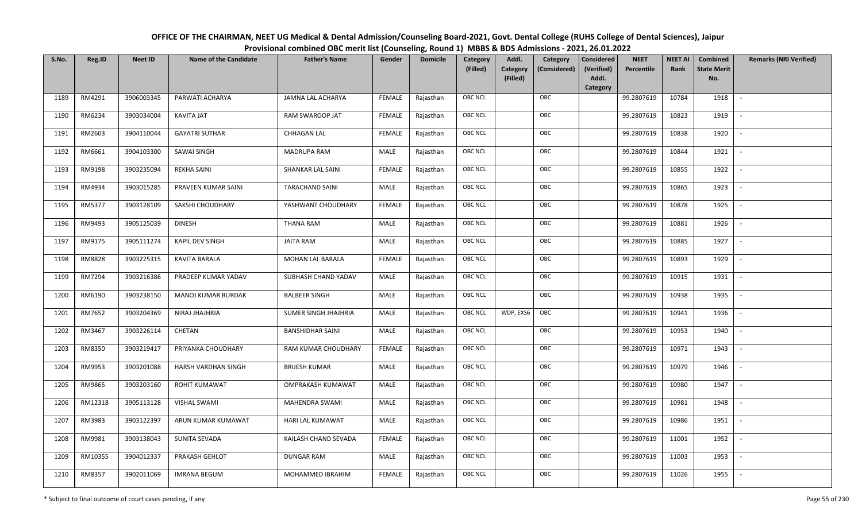| OFFICE OF THE CHAIRMAN, NEET UG Medical & Dental Admission/Counseling Board-2021, Govt. Dental College (RUHS College of Dental Sciences), Jaipur |
|--------------------------------------------------------------------------------------------------------------------------------------------------|
| Provisional combined OBC merit list (Counseling, Round 1) MBBS & BDS Admissions - 2021, 26.01.2022                                               |

| S.No. | Reg.ID  | <b>Neet ID</b> | <b>Name of the Candidate</b> | <b>Father's Name</b>     | Gender        | <b>Domicile</b> | Category<br>(Filled) | Addl.<br><b>Category</b><br>(Filled) | Category<br>(Considered) | <b>Considered</b><br>(Verified)<br>Addl. | <b>NEET</b><br>Percentile | <b>NEET AI</b><br>Rank | Combined<br><b>State Merit</b><br>No. | <b>Remarks (NRI Verified)</b> |
|-------|---------|----------------|------------------------------|--------------------------|---------------|-----------------|----------------------|--------------------------------------|--------------------------|------------------------------------------|---------------------------|------------------------|---------------------------------------|-------------------------------|
|       |         |                |                              |                          |               |                 |                      |                                      |                          | Category                                 |                           |                        |                                       |                               |
| 1189  | RM4291  | 3906003345     | PARWATI ACHARYA              | <b>JAMNA LAL ACHARYA</b> | <b>FEMALE</b> | Rajasthan       | <b>OBC NCL</b>       |                                      | OBC                      |                                          | 99.2807619                | 10784                  | 1918                                  | $\blacksquare$                |
| 1190  | RM6234  | 3903034004     | KAVITA JAT                   | RAM SWAROOP JAT          | <b>FEMALE</b> | Rajasthan       | OBC NCL              |                                      | OBC                      |                                          | 99.2807619                | 10823                  | 1919                                  |                               |
| 1191  | RM2603  | 3904110044     | <b>GAYATRI SUTHAR</b>        | <b>CHHAGAN LAL</b>       | <b>FEMALE</b> | Rajasthan       | OBC NCL              |                                      | OBC                      |                                          | 99.2807619                | 10838                  | 1920                                  |                               |
| 1192  | RM6661  | 3904103300     | SAWAI SINGH                  | MADRUPA RAM              | MALE          | Rajasthan       | OBC NCL              |                                      | OBC                      |                                          | 99.2807619                | 10844                  | 1921                                  | $\overline{\phantom{a}}$      |
| 1193  | RM9198  | 3903235094     | <b>REKHA SAINI</b>           | SHANKAR LAL SAINI        | <b>FEMALE</b> | Rajasthan       | <b>OBC NCL</b>       |                                      | OBC                      |                                          | 99.2807619                | 10855                  | 1922                                  | $\sim$                        |
| 1194  | RM4934  | 3903015285     | PRAVEEN KUMAR SAINI          | <b>TARACHAND SAINI</b>   | MALE          | Rajasthan       | <b>OBC NCL</b>       |                                      | OBC                      |                                          | 99.2807619                | 10865                  | 1923                                  | $\overline{\phantom{a}}$      |
| 1195  | RM5377  | 3903128109     | SAKSHI CHOUDHARY             | YASHWANT CHOUDHARY       | <b>FEMALE</b> | Rajasthan       | OBC NCL              |                                      | OBC                      |                                          | 99.2807619                | 10878                  | 1925                                  | $\blacksquare$                |
| 1196  | RM9493  | 3905125039     | <b>DINESH</b>                | <b>THANA RAM</b>         | MALE          | Rajasthan       | OBC NCL              |                                      | OBC                      |                                          | 99.2807619                | 10881                  | 1926                                  |                               |
| 1197  | RM9175  | 3905111274     | KAPIL DEV SINGH              | <b>JAITA RAM</b>         | MALE          | Rajasthan       | OBC NCL              |                                      | OBC                      |                                          | 99.2807619                | 10885                  | 1927                                  |                               |
| 1198  | RM8828  | 3903225315     | <b>KAVITA BARALA</b>         | <b>MOHAN LAL BARALA</b>  | <b>FEMALE</b> | Rajasthan       | OBC NCL              |                                      | OBC                      |                                          | 99.2807619                | 10893                  | 1929                                  |                               |
| 1199  | RM7294  | 3903216386     | PRADEEP KUMAR YADAV          | SUBHASH CHAND YADAV      | MALE          | Rajasthan       | <b>OBC NCL</b>       |                                      | OBC                      |                                          | 99.2807619                | 10915                  | 1931                                  |                               |
| 1200  | RM6190  | 3903238150     | MANOJ KUMAR BURDAK           | <b>BALBEER SINGH</b>     | MALE          | Rajasthan       | OBC NCL              |                                      | OBC                      |                                          | 99.2807619                | 10938                  | 1935                                  | $\sim$                        |
| 1201  | RM7652  | 3903204369     | NIRAJ JHAJHRIA               | SUMER SINGH JHAJHRIA     | MALE          | Rajasthan       | <b>OBC NCL</b>       | WDP, EXS6                            | OBC                      |                                          | 99.2807619                | 10941                  | 1936                                  |                               |
| 1202  | RM3467  | 3903226114     | CHETAN                       | <b>BANSHIDHAR SAINI</b>  | MALE          | Rajasthan       | OBC NCL              |                                      | OBC                      |                                          | 99.2807619                | 10953                  | 1940                                  | $\overline{\phantom{a}}$      |
| 1203  | RM8350  | 3903219417     | PRIYANKA CHOUDHARY           | RAM KUMAR CHOUDHARY      | <b>FEMALE</b> | Rajasthan       | OBC NCL              |                                      | OBC                      |                                          | 99.2807619                | 10971                  | 1943                                  | $\overline{\phantom{a}}$      |
| 1204  | RM9953  | 3903201088     | HARSH VARDHAN SINGH          | <b>BRIJESH KUMAR</b>     | MALE          | Rajasthan       | <b>OBC NCL</b>       |                                      | OBC                      |                                          | 99.2807619                | 10979                  | 1946                                  | $\overline{\phantom{a}}$      |
| 1205  | RM9865  | 3903203160     | ROHIT KUMAWAT                | OMPRAKASH KUMAWAT        | MALE          | Rajasthan       | <b>OBC NCL</b>       |                                      | OBC                      |                                          | 99.2807619                | 10980                  | 1947                                  | $\overline{\phantom{a}}$      |
| 1206  | RM12318 | 3905113128     | <b>VISHAL SWAMI</b>          | MAHENDRA SWAMI           | MALE          | Rajasthan       | OBC NCL              |                                      | OBC                      |                                          | 99.2807619                | 10981                  | 1948                                  |                               |
| 1207  | RM3983  | 3903122397     | ARUN KUMAR KUMAWAT           | HARI LAL KUMAWAT         | MALE          | Rajasthan       | <b>OBC NCL</b>       |                                      | OBC                      |                                          | 99.2807619                | 10986                  | 1951                                  |                               |
| 1208  | RM9981  | 3903138043     | SUNITA SEVADA                | KAILASH CHAND SEVADA     | <b>FEMALE</b> | Rajasthan       | OBC NCL              |                                      | OBC                      |                                          | 99.2807619                | 11001                  | 1952                                  | $\blacksquare$                |
| 1209  | RM10355 | 3904012337     | PRAKASH GEHLOT               | <b>DUNGAR RAM</b>        | <b>MALE</b>   | Rajasthan       | <b>OBC NCL</b>       |                                      | OBC                      |                                          | 99.2807619                | 11003                  | 1953                                  | $\overline{\phantom{a}}$      |
| 1210  | RM8357  | 3902011069     | <b>IMRANA BEGUM</b>          | MOHAMMED IBRAHIM         | <b>FEMALE</b> | Rajasthan       | <b>OBC NCL</b>       |                                      | OBC                      |                                          | 99.2807619                | 11026                  | 1955                                  |                               |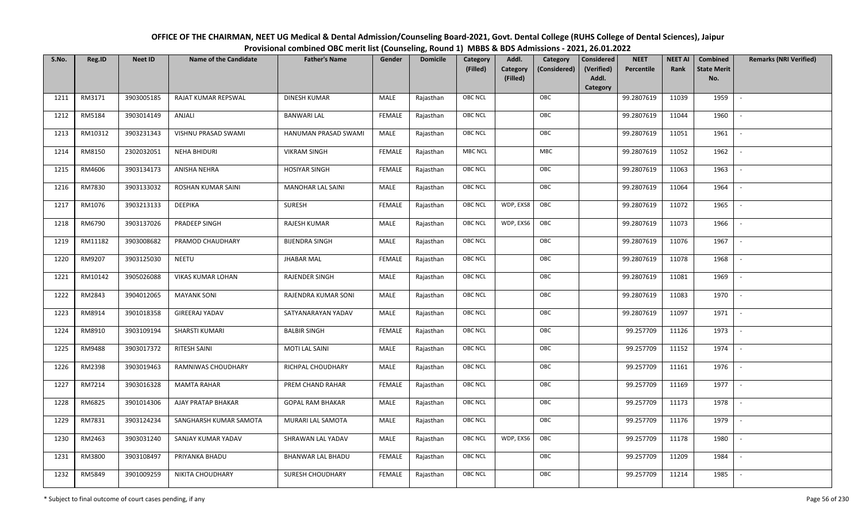| OFFICE OF THE CHAIRMAN, NEET UG Medical & Dental Admission/Counseling Board-2021, Govt. Dental College (RUHS College of Dental Sciences), Jaipur |
|--------------------------------------------------------------------------------------------------------------------------------------------------|
| Provisional combined OBC merit list (Counseling, Round 1) MBBS & BDS Admissions - 2021, 26.01.2022                                               |

| S.No. | Reg.ID  | <b>Neet ID</b> | <b>Name of the Candidate</b> | <b>Father's Name</b>     | Gender        | <b>Domicile</b> | <b>Category</b> | Addl.                | Category     | <b>Considered</b>   | <b>NEET</b> | <b>NEET AI</b> | Combined                  | <b>Remarks (NRI Verified)</b> |
|-------|---------|----------------|------------------------------|--------------------------|---------------|-----------------|-----------------|----------------------|--------------|---------------------|-------------|----------------|---------------------------|-------------------------------|
|       |         |                |                              |                          |               |                 | (Filled)        | Category<br>(Filled) | (Considered) | (Verified)<br>Addl. | Percentile  | Rank           | <b>State Merit</b><br>No. |                               |
|       |         |                |                              |                          |               |                 |                 |                      |              | <b>Category</b>     |             |                |                           |                               |
| 1211  | RM3171  | 3903005185     | RAJAT KUMAR REPSWAL          | DINESH KUMAR             | MALE          | Rajasthan       | <b>OBC NCL</b>  |                      | OBC          |                     | 99.2807619  | 11039          | 1959                      |                               |
| 1212  | RM5184  | 3903014149     | ANJALI                       | <b>BANWARI LAL</b>       | <b>FEMALE</b> | Rajasthan       | OBC NCL         |                      | OBC          |                     | 99.2807619  | 11044          | 1960                      |                               |
| 1213  | RM10312 | 3903231343     | VISHNU PRASAD SWAMI          | HANUMAN PRASAD SWAMI     | MALE          | Rajasthan       | OBC NCL         |                      | OBC          |                     | 99.2807619  | 11051          | 1961                      | $\sim$                        |
| 1214  | RM8150  | 2302032051     | <b>NEHA BHIDURI</b>          | <b>VIKRAM SINGH</b>      | <b>FEMALE</b> | Rajasthan       | <b>MBC NCL</b>  |                      | MBC          |                     | 99.2807619  | 11052          | 1962                      | $\overline{\phantom{a}}$      |
| 1215  | RM4606  | 3903134173     | ANISHA NEHRA                 | <b>HOSIYAR SINGH</b>     | <b>FEMALE</b> | Rajasthan       | OBC NCL         |                      | OBC          |                     | 99.2807619  | 11063          | 1963                      | $\sim$                        |
| 1216  | RM7830  | 3903133032     | ROSHAN KUMAR SAINI           | <b>MANOHAR LAL SAINI</b> | MALE          | Rajasthan       | <b>OBC NCL</b>  |                      | OBC          |                     | 99.2807619  | 11064          | 1964                      |                               |
| 1217  | RM1076  | 3903213133     | DEEPIKA                      | SURESH                   | <b>FEMALE</b> | Rajasthan       | <b>OBC NCL</b>  | WDP, EXS8            | OBC          |                     | 99.2807619  | 11072          | 1965                      |                               |
| 1218  | RM6790  | 3903137026     | PRADEEP SINGH                | RAJESH KUMAR             | MALE          | Rajasthan       | <b>OBC NCL</b>  | WDP, EXS6            | OBC          |                     | 99.2807619  | 11073          | 1966                      |                               |
| 1219  | RM11182 | 3903008682     | PRAMOD CHAUDHARY             | <b>BIJENDRA SINGH</b>    | MALE          | Rajasthan       | <b>OBC NCL</b>  |                      | OBC          |                     | 99.2807619  | 11076          | 1967                      |                               |
| 1220  | RM9207  | 3903125030     | <b>NEETU</b>                 | <b>JHABAR MAL</b>        | <b>FEMALE</b> | Rajasthan       | OBC NCL         |                      | OBC          |                     | 99.2807619  | 11078          | 1968                      | $\overline{\phantom{a}}$      |
| 1221  | RM10142 | 3905026088     | VIKAS KUMAR LOHAN            | <b>RAJENDER SINGH</b>    | MALE          | Rajasthan       | <b>OBC NCL</b>  |                      | OBC          |                     | 99.2807619  | 11081          | 1969                      |                               |
| 1222  | RM2843  | 3904012065     | <b>MAYANK SONI</b>           | RAJENDRA KUMAR SONI      | MALE          | Rajasthan       | OBC NCL         |                      | OBC          |                     | 99.2807619  | 11083          | 1970                      | $\blacksquare$                |
| 1223  | RM8914  | 3901018358     | <b>GIREERAJ YADAV</b>        | SATYANARAYAN YADAV       | MALE          | Rajasthan       | <b>OBC NCL</b>  |                      | OBC          |                     | 99.2807619  | 11097          | 1971                      |                               |
| 1224  | RM8910  | 3903109194     | SHARSTI KUMARI               | <b>BALBIR SINGH</b>      | <b>FEMALE</b> | Rajasthan       | OBC NCL         |                      | OBC          |                     | 99.257709   | 11126          | 1973                      | $\overline{\phantom{a}}$      |
| 1225  | RM9488  | 3903017372     | RITESH SAINI                 | <b>MOTI LAL SAINI</b>    | MALE          | Rajasthan       | OBC NCL         |                      | OBC          |                     | 99.257709   | 11152          | 1974                      | $\overline{\phantom{a}}$      |
| 1226  | RM2398  | 3903019463     | RAMNIWAS CHOUDHARY           | RICHPAL CHOUDHARY        | MALE          | Rajasthan       | <b>OBC NCL</b>  |                      | OBC          |                     | 99.257709   | 11161          | 1976                      | $\sim$                        |
| 1227  | RM7214  | 3903016328     | <b>MAMTA RAHAR</b>           | PREM CHAND RAHAR         | <b>FEMALE</b> | Rajasthan       | OBC NCL         |                      | OBC          |                     | 99.257709   | 11169          | 1977                      | $\overline{\phantom{a}}$      |
| 1228  | RM6825  | 3901014306     | AJAY PRATAP BHAKAR           | <b>GOPAL RAM BHAKAR</b>  | MALE          | Rajasthan       | <b>OBC NCL</b>  |                      | OBC          |                     | 99.257709   | 11173          | 1978                      |                               |
| 1229  | RM7831  | 3903124234     | SANGHARSH KUMAR SAMOTA       | MURARI LAL SAMOTA        | MALE          | Rajasthan       | OBC NCL         |                      | OBC          |                     | 99.257709   | 11176          | 1979                      |                               |
| 1230  | RM2463  | 3903031240     | SANJAY KUMAR YADAV           | SHRAWAN LAL YADAV        | MALE          | Rajasthan       | <b>OBC NCL</b>  | WDP, EXS6            | OBC          |                     | 99.257709   | 11178          | 1980                      |                               |
| 1231  | RM3800  | 3903108497     | PRIYANKA BHADU               | BHANWAR LAL BHADU        | <b>FEMALE</b> | Rajasthan       | <b>OBC NCL</b>  |                      | OBC          |                     | 99.257709   | 11209          | 1984                      |                               |
| 1232  | RM5849  | 3901009259     | NIKITA CHOUDHARY             | SURESH CHOUDHARY         | <b>FEMALE</b> | Rajasthan       | <b>OBC NCL</b>  |                      | OBC          |                     | 99.257709   | 11214          | 1985                      |                               |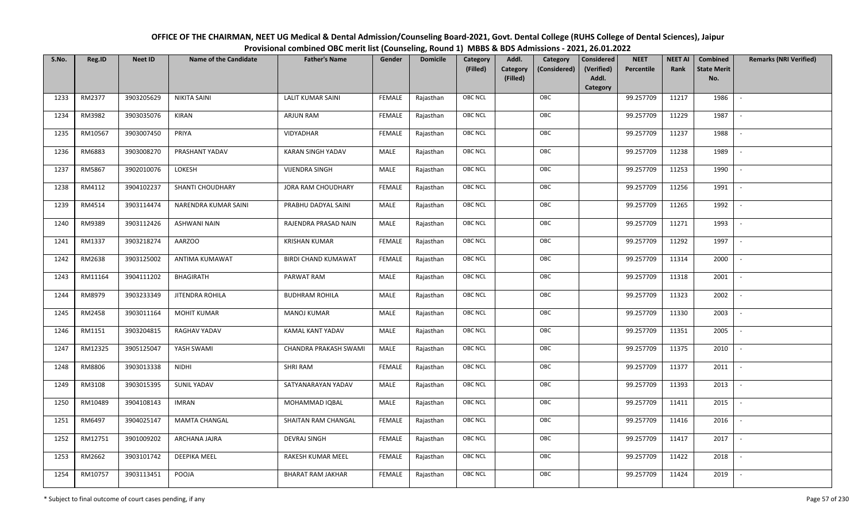| OFFICE OF THE CHAIRMAN, NEET UG Medical & Dental Admission/Counseling Board-2021, Govt. Dental College (RUHS College of Dental Sciences), Jaipur |
|--------------------------------------------------------------------------------------------------------------------------------------------------|
| Provisional combined OBC merit list (Counseling, Round 1) MBBS & BDS Admissions - 2021, 26.01.2022                                               |

| S.No. | Reg.ID  | <b>Neet ID</b> | <b>Name of the Candidate</b> | <b>Father's Name</b>       | Gender        | <b>Domicile</b> | Category<br>(Filled) | Addl.<br>Category<br>(Filled) | Category<br>(Considered) | <b>Considered</b><br>(Verified)<br>Addl. | <b>NEET</b><br>Percentile | <b>NEET AI</b><br>Rank | Combined<br><b>State Merit</b><br>No. | <b>Remarks (NRI Verified)</b> |
|-------|---------|----------------|------------------------------|----------------------------|---------------|-----------------|----------------------|-------------------------------|--------------------------|------------------------------------------|---------------------------|------------------------|---------------------------------------|-------------------------------|
|       | RM2377  | 3903205629     | <b>NIKITA SAINI</b>          | <b>LALIT KUMAR SAINI</b>   |               |                 | OBC NCL              |                               | OBC                      | Category                                 |                           | 11217                  | 1986                                  | $\blacksquare$                |
| 1233  |         |                |                              |                            | <b>FEMALE</b> | Rajasthan       |                      |                               |                          |                                          | 99.257709                 |                        |                                       |                               |
| 1234  | RM3982  | 3903035076     | <b>KIRAN</b>                 | ARJUN RAM                  | <b>FEMALE</b> | Rajasthan       | OBC NCL              |                               | OBC                      |                                          | 99.257709                 | 11229                  | 1987                                  |                               |
| 1235  | RM10567 | 3903007450     | PRIYA                        | VIDYADHAR                  | <b>FEMALE</b> | Rajasthan       | <b>OBC NCL</b>       |                               | OBC                      |                                          | 99.257709                 | 11237                  | 1988                                  |                               |
| 1236  | RM6883  | 3903008270     | PRASHANT YADAV               | KARAN SINGH YADAV          | MALE          | Rajasthan       | OBC NCL              |                               | OBC                      |                                          | 99.257709                 | 11238                  | 1989                                  | $\overline{\phantom{a}}$      |
| 1237  | RM5867  | 3902010076     | LOKESH                       | <b>VIJENDRA SINGH</b>      | MALE          | Rajasthan       | OBC NCL              |                               | OBC                      |                                          | 99.257709                 | 11253                  | 1990                                  | $\sim$                        |
| 1238  | RM4112  | 3904102237     | SHANTI CHOUDHARY             | JORA RAM CHOUDHARY         | <b>FEMALE</b> | Rajasthan       | OBC NCL              |                               | OBC                      |                                          | 99.257709                 | 11256                  | 1991                                  | $\overline{\phantom{a}}$      |
| 1239  | RM4514  | 3903114474     | NARENDRA KUMAR SAINI         | PRABHU DADYAL SAINI        | MALE          | Rajasthan       | OBC NCL              |                               | OBC                      |                                          | 99.257709                 | 11265                  | 1992                                  |                               |
| 1240  | RM9389  | 3903112426     | <b>ASHWANI NAIN</b>          | RAJENDRA PRASAD NAIN       | MALE          | Rajasthan       | OBC NCL              |                               | OBC                      |                                          | 99.257709                 | 11271                  | 1993                                  |                               |
| 1241  | RM1337  | 3903218274     | AARZOO                       | <b>KRISHAN KUMAR</b>       | <b>FEMALE</b> | Rajasthan       | OBC NCL              |                               | OBC                      |                                          | 99.257709                 | 11292                  | 1997                                  |                               |
| 1242  | RM2638  | 3903125002     | ANTIMA KUMAWAT               | <b>BIRDI CHAND KUMAWAT</b> | <b>FEMALE</b> | Rajasthan       | OBC NCL              |                               | OBC                      |                                          | 99.257709                 | 11314                  | 2000                                  | $\overline{\phantom{a}}$      |
| 1243  | RM11164 | 3904111202     | <b>BHAGIRATH</b>             | PARWAT RAM                 | MALE          | Rajasthan       | <b>OBC NCL</b>       |                               | OBC                      |                                          | 99.257709                 | 11318                  | 2001                                  |                               |
| 1244  | RM8979  | 3903233349     | <b>JITENDRA ROHILA</b>       | <b>BUDHRAM ROHILA</b>      | MALE          | Rajasthan       | OBC NCL              |                               | OBC                      |                                          | 99.257709                 | 11323                  | 2002                                  | $\sim$                        |
| 1245  | RM2458  | 3903011164     | <b>MOHIT KUMAR</b>           | <b>MANOJ KUMAR</b>         | MALE          | Rajasthan       | OBC NCL              |                               | OBC                      |                                          | 99.257709                 | 11330                  | 2003                                  |                               |
| 1246  | RM1151  | 3903204815     | RAGHAV YADAV                 | KAMAL KANT YADAV           | MALE          | Rajasthan       | OBC NCL              |                               | OBC                      |                                          | 99.257709                 | 11351                  | 2005                                  | $\overline{\phantom{a}}$      |
| 1247  | RM12325 | 3905125047     | YASH SWAMI                   | CHANDRA PRAKASH SWAMI      | <b>MALE</b>   | Rajasthan       | OBC NCL              |                               | OBC                      |                                          | 99.257709                 | 11375                  | 2010                                  | $\overline{\phantom{a}}$      |
| 1248  | RM8806  | 3903013338     | <b>NIDHI</b>                 | SHRI RAM                   | <b>FEMALE</b> | Rajasthan       | OBC NCL              |                               | OBC                      |                                          | 99.257709                 | 11377                  | 2011                                  | $\overline{\phantom{a}}$      |
| 1249  | RM3108  | 3903015395     | <b>SUNIL YADAV</b>           | SATYANARAYAN YADAV         | MALE          | Rajasthan       | OBC NCL              |                               | OBC                      |                                          | 99.257709                 | 11393                  | 2013                                  | $\overline{\phantom{a}}$      |
| 1250  | RM10489 | 3904108143     | <b>IMRAN</b>                 | MOHAMMAD IQBAL             | MALE          | Rajasthan       | OBC NCL              |                               | OBC                      |                                          | 99.257709                 | 11411                  | 2015                                  |                               |
| 1251  | RM6497  | 3904025147     | <b>MAMTA CHANGAL</b>         | SHAITAN RAM CHANGAL        | <b>FEMALE</b> | Rajasthan       | <b>OBC NCL</b>       |                               | OBC                      |                                          | 99.257709                 | 11416                  | 2016                                  |                               |
| 1252  | RM12751 | 3901009202     | ARCHANA JAJRA                | <b>DEVRAJ SINGH</b>        | <b>FEMALE</b> | Rajasthan       | OBC NCL              |                               | OBC                      |                                          | 99.257709                 | 11417                  | 2017                                  | $\blacksquare$                |
| 1253  | RM2662  | 3903101742     | <b>DEEPIKA MEEL</b>          | RAKESH KUMAR MEEL          | <b>FEMALE</b> | Rajasthan       | OBC NCL              |                               | OBC                      |                                          | 99.257709                 | 11422                  | 2018                                  |                               |
| 1254  | RM10757 | 3903113451     | POOJA                        | <b>BHARAT RAM JAKHAR</b>   | <b>FEMALE</b> | Rajasthan       | OBC NCL              |                               | OBC                      |                                          | 99.257709                 | 11424                  | 2019                                  |                               |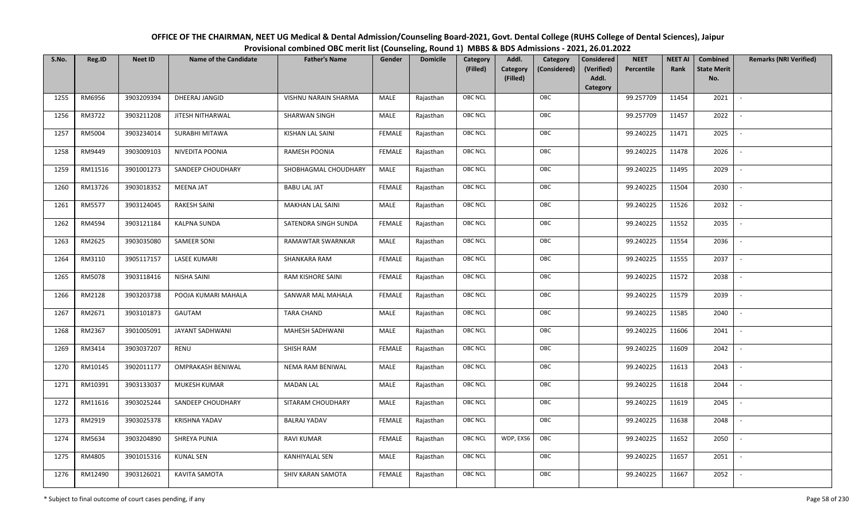| OFFICE OF THE CHAIRMAN, NEET UG Medical & Dental Admission/Counseling Board-2021, Govt. Dental College (RUHS College of Dental Sciences), Jaipur |
|--------------------------------------------------------------------------------------------------------------------------------------------------|
| Provisional combined OBC merit list (Counseling, Round 1) MBBS & BDS Admissions - 2021, 26.01.2022                                               |

| S.No. | Reg.ID  | <b>Neet ID</b> | <b>Name of the Candidate</b> | <b>Father's Name</b>    | Gender        | <b>Domicile</b> | Category<br>(Filled) | Addl.<br><b>Category</b><br>(Filled) | Category<br>(Considered) | <b>Considered</b><br>(Verified)<br>Addl. | <b>NEET</b><br>Percentile | <b>NEET AI</b><br>Rank | Combined<br><b>State Merit</b><br>No. | <b>Remarks (NRI Verified)</b> |
|-------|---------|----------------|------------------------------|-------------------------|---------------|-----------------|----------------------|--------------------------------------|--------------------------|------------------------------------------|---------------------------|------------------------|---------------------------------------|-------------------------------|
|       |         |                |                              |                         |               |                 |                      |                                      |                          | Category                                 |                           |                        |                                       |                               |
| 1255  | RM6956  | 3903209394     | DHEERAJ JANGID               | VISHNU NARAIN SHARMA    | MALE          | Rajasthan       | <b>OBC NCL</b>       |                                      | OBC                      |                                          | 99.257709                 | 11454                  | 2021                                  | $\sim$                        |
| 1256  | RM3722  | 3903211208     | JITESH NITHARWAL             | SHARWAN SINGH           | MALE          | Rajasthan       | OBC NCL              |                                      | OBC                      |                                          | 99.257709                 | 11457                  | 2022                                  |                               |
| 1257  | RM5004  | 3903234014     | SURABHI MITAWA               | KISHAN LAL SAINI        | <b>FEMALE</b> | Rajasthan       | <b>OBC NCL</b>       |                                      | OBC                      |                                          | 99.240225                 | 11471                  | 2025                                  |                               |
| 1258  | RM9449  | 3903009103     | NIVEDITA POONIA              | RAMESH POONIA           | <b>FEMALE</b> | Rajasthan       | OBC NCL              |                                      | OBC                      |                                          | 99.240225                 | 11478                  | 2026                                  | $\overline{\phantom{a}}$      |
| 1259  | RM11516 | 3901001273     | SANDEEP CHOUDHARY            | SHOBHAGMAL CHOUDHARY    | MALE          | Rajasthan       | <b>OBC NCL</b>       |                                      | OBC                      |                                          | 99.240225                 | 11495                  | 2029                                  | $\sim$                        |
| 1260  | RM13726 | 3903018352     | <b>MEENA JAT</b>             | <b>BABU LAL JAT</b>     | <b>FEMALE</b> | Rajasthan       | <b>OBC NCL</b>       |                                      | OBC                      |                                          | 99.240225                 | 11504                  | 2030                                  | $\overline{\phantom{a}}$      |
| 1261  | RM5577  | 3903124045     | <b>RAKESH SAINI</b>          | <b>MAKHAN LAL SAINI</b> | MALE          | Rajasthan       | OBC NCL              |                                      | OBC                      |                                          | 99.240225                 | 11526                  | 2032                                  | $\blacksquare$                |
| 1262  | RM4594  | 3903121184     | KALPNA SUNDA                 | SATENDRA SINGH SUNDA    | <b>FEMALE</b> | Rajasthan       | OBC NCL              |                                      | OBC                      |                                          | 99.240225                 | 11552                  | 2035                                  |                               |
| 1263  | RM2625  | 3903035080     | <b>SAMEER SONI</b>           | RAMAWTAR SWARNKAR       | MALE          | Rajasthan       | OBC NCL              |                                      | OBC                      |                                          | 99.240225                 | 11554                  | 2036                                  |                               |
| 1264  | RM3110  | 3905117157     | <b>LASEE KUMARI</b>          | SHANKARA RAM            | <b>FEMALE</b> | Rajasthan       | OBC NCL              |                                      | OBC                      |                                          | 99.240225                 | 11555                  | 2037                                  | $\overline{\phantom{a}}$      |
| 1265  | RM5078  | 3903118416     | <b>NISHA SAINI</b>           | RAM KISHORE SAINI       | <b>FEMALE</b> | Rajasthan       | <b>OBC NCL</b>       |                                      | OBC                      |                                          | 99.240225                 | 11572                  | 2038                                  |                               |
| 1266  | RM2128  | 3903203738     | POOJA KUMARI MAHALA          | SANWAR MAL MAHALA       | <b>FEMALE</b> | Rajasthan       | OBC NCL              |                                      | OBC                      |                                          | 99.240225                 | 11579                  | 2039                                  | $\sim$                        |
| 1267  | RM2671  | 3903101873     | GAUTAM                       | <b>TARA CHAND</b>       | MALE          | Rajasthan       | <b>OBC NCL</b>       |                                      | OBC                      |                                          | 99.240225                 | 11585                  | 2040                                  |                               |
| 1268  | RM2367  | 3901005091     | JAYANT SADHWANI              | MAHESH SADHWANI         | MALE          | Rajasthan       | OBC NCL              |                                      | OBC                      |                                          | 99.240225                 | 11606                  | 2041                                  | $\sim$                        |
| 1269  | RM3414  | 3903037207     | RENU                         | SHISH RAM               | <b>FEMALE</b> | Rajasthan       | OBC NCL              |                                      | OBC                      |                                          | 99.240225                 | 11609                  | 2042                                  | $\overline{\phantom{a}}$      |
| 1270  | RM10145 | 3902011177     | <b>OMPRAKASH BENIWAL</b>     | NEMA RAM BENIWAL        | MALE          | Rajasthan       | <b>OBC NCL</b>       |                                      | OBC                      |                                          | 99.240225                 | 11613                  | 2043                                  | $\sim$                        |
| 1271  | RM10391 | 3903133037     | MUKESH KUMAR                 | <b>MADAN LAL</b>        | MALE          | Rajasthan       | <b>OBC NCL</b>       |                                      | OBC                      |                                          | 99.240225                 | 11618                  | 2044                                  | $\overline{\phantom{a}}$      |
| 1272  | RM11616 | 3903025244     | SANDEEP CHOUDHARY            | SITARAM CHOUDHARY       | MALE          | Rajasthan       | OBC NCL              |                                      | OBC                      |                                          | 99.240225                 | 11619                  | 2045                                  |                               |
| 1273  | RM2919  | 3903025378     | <b>KRISHNA YADAV</b>         | <b>BALRAJ YADAV</b>     | <b>FEMALE</b> | Rajasthan       | <b>OBC NCL</b>       |                                      | OBC                      |                                          | 99.240225                 | 11638                  | 2048                                  |                               |
| 1274  | RM5634  | 3903204890     | SHREYA PUNIA                 | <b>RAVI KUMAR</b>       | <b>FEMALE</b> | Rajasthan       | <b>OBC NCL</b>       | WDP, EXS6                            | OBC                      |                                          | 99.240225                 | 11652                  | 2050                                  | $\overline{\phantom{a}}$      |
| 1275  | RM4805  | 3901015316     | <b>KUNAL SEN</b>             | <b>KANHIYALAL SEN</b>   | <b>MALE</b>   | Rajasthan       | <b>OBC NCL</b>       |                                      | OBC                      |                                          | 99.240225                 | 11657                  | 2051                                  | $\overline{\phantom{a}}$      |
| 1276  | RM12490 | 3903126021     | KAVITA SAMOTA                | SHIV KARAN SAMOTA       | <b>FEMALE</b> | Rajasthan       | <b>OBC NCL</b>       |                                      | OBC                      |                                          | 99.240225                 | 11667                  | 2052                                  |                               |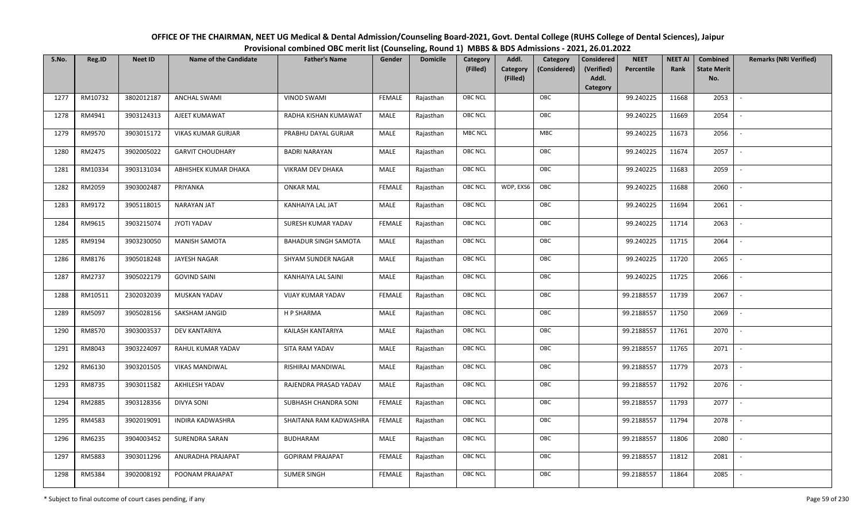| OFFICE OF THE CHAIRMAN, NEET UG Medical & Dental Admission/Counseling Board-2021, Govt. Dental College (RUHS College of Dental Sciences), Jaipur |
|--------------------------------------------------------------------------------------------------------------------------------------------------|
| Provisional combined OBC merit list (Counseling, Round 1) MBBS & BDS Admissions - 2021, 26.01.2022                                               |

| S.No. | Reg.ID  | <b>Neet ID</b> | <b>Name of the Candidate</b> | <b>Father's Name</b>        | Gender        | <b>Domicile</b> | Category<br>(Filled) | Addl.<br><b>Category</b><br>(Filled) | Category<br>(Considered) | <b>Considered</b><br>(Verified)<br>Addl. | <b>NEET</b><br>Percentile | <b>NEET AI</b><br>Rank | Combined<br><b>State Merit</b><br>No. | <b>Remarks (NRI Verified)</b> |
|-------|---------|----------------|------------------------------|-----------------------------|---------------|-----------------|----------------------|--------------------------------------|--------------------------|------------------------------------------|---------------------------|------------------------|---------------------------------------|-------------------------------|
|       |         |                |                              |                             |               |                 |                      |                                      |                          | Category                                 |                           |                        |                                       |                               |
| 1277  | RM10732 | 3802012187     | <b>ANCHAL SWAMI</b>          | <b>VINOD SWAMI</b>          | <b>FEMALE</b> | Rajasthan       | <b>OBC NCL</b>       |                                      | OBC                      |                                          | 99.240225                 | 11668                  | 2053                                  | $\sim$                        |
| 1278  | RM4941  | 3903124313     | AJEET KUMAWAT                | RADHA KISHAN KUMAWAT        | MALE          | Rajasthan       | OBC NCL              |                                      | OBC                      |                                          | 99.240225                 | 11669                  | 2054                                  |                               |
| 1279  | RM9570  | 3903015172     | VIKAS KUMAR GURJAR           | PRABHU DAYAL GURJAR         | MALE          | Rajasthan       | <b>MBC NCL</b>       |                                      | MBC                      |                                          | 99.240225                 | 11673                  | 2056                                  |                               |
| 1280  | RM2475  | 3902005022     | <b>GARVIT CHOUDHARY</b>      | <b>BADRI NARAYAN</b>        | MALE          | Rajasthan       | OBC NCL              |                                      | OBC                      |                                          | 99.240225                 | 11674                  | 2057                                  | $\overline{\phantom{a}}$      |
| 1281  | RM10334 | 3903131034     | ABHISHEK KUMAR DHAKA         | VIKRAM DEV DHAKA            | MALE          | Rajasthan       | <b>OBC NCL</b>       |                                      | OBC                      |                                          | 99.240225                 | 11683                  | 2059                                  | $\sim$                        |
| 1282  | RM2059  | 3903002487     | PRIYANKA                     | <b>ONKAR MAL</b>            | <b>FEMALE</b> | Rajasthan       | <b>OBC NCL</b>       | WDP, EXS6                            | OBC                      |                                          | 99.240225                 | 11688                  | 2060                                  | $\overline{\phantom{a}}$      |
| 1283  | RM9172  | 3905118015     | <b>NARAYAN JAT</b>           | <b>KANHAIYA LAL JAT</b>     | MALE          | Rajasthan       | OBC NCL              |                                      | OBC                      |                                          | 99.240225                 | 11694                  | 2061                                  | $\blacksquare$                |
| 1284  | RM9615  | 3903215074     | JYOTI YADAV                  | SURESH KUMAR YADAV          | <b>FEMALE</b> | Rajasthan       | OBC NCL              |                                      | OBC                      |                                          | 99.240225                 | 11714                  | 2063                                  |                               |
| 1285  | RM9194  | 3903230050     | <b>MANISH SAMOTA</b>         | <b>BAHADUR SINGH SAMOTA</b> | MALE          | Rajasthan       | OBC NCL              |                                      | OBC                      |                                          | 99.240225                 | 11715                  | 2064                                  |                               |
| 1286  | RM8176  | 3905018248     | JAYESH NAGAR                 | SHYAM SUNDER NAGAR          | MALE          | Rajasthan       | OBC NCL              |                                      | OBC                      |                                          | 99.240225                 | 11720                  | 2065                                  |                               |
| 1287  | RM2737  | 3905022179     | <b>GOVIND SAINI</b>          | KANHAIYA LAL SAINI          | MALE          | Rajasthan       | <b>OBC NCL</b>       |                                      | OBC                      |                                          | 99.240225                 | 11725                  | 2066                                  |                               |
| 1288  | RM10511 | 2302032039     | MUSKAN YADAV                 | VIJAY KUMAR YADAV           | <b>FEMALE</b> | Rajasthan       | OBC NCL              |                                      | OBC                      |                                          | 99.2188557                | 11739                  | 2067                                  | $\mathcal{L}$                 |
| 1289  | RM5097  | 3905028156     | SAKSHAM JANGID               | H P SHARMA                  | MALE          | Rajasthan       | <b>OBC NCL</b>       |                                      | OBC                      |                                          | 99.2188557                | 11750                  | 2069                                  |                               |
| 1290  | RM8570  | 3903003537     | DEV KANTARIYA                | KAILASH KANTARIYA           | MALE          | Rajasthan       | OBC NCL              |                                      | OBC                      |                                          | 99.2188557                | 11761                  | 2070                                  | $\sim$                        |
| 1291  | RM8043  | 3903224097     | RAHUL KUMAR YADAV            | SITA RAM YADAV              | <b>MALE</b>   | Rajasthan       | OBC NCL              |                                      | OBC                      |                                          | 99.2188557                | 11765                  | 2071                                  | $\sim$                        |
| 1292  | RM6130  | 3903201505     | <b>VIKAS MANDIWAL</b>        | RISHIRAJ MANDIWAL           | MALE          | Rajasthan       | <b>OBC NCL</b>       |                                      | OBC                      |                                          | 99.2188557                | 11779                  | 2073                                  | $\sim$                        |
| 1293  | RM8735  | 3903011582     | AKHILESH YADAV               | RAJENDRA PRASAD YADAV       | MALE          | Rajasthan       | <b>OBC NCL</b>       |                                      | OBC                      |                                          | 99.2188557                | 11792                  | 2076                                  | $\overline{\phantom{a}}$      |
| 1294  | RM2885  | 3903128356     | <b>DIVYA SONI</b>            | SUBHASH CHANDRA SONI        | <b>FEMALE</b> | Rajasthan       | OBC NCL              |                                      | OBC                      |                                          | 99.2188557                | 11793                  | 2077                                  |                               |
| 1295  | RM4583  | 3902019091     | <b>INDIRA KADWASHRA</b>      | SHAITANA RAM KADWASHRA      | <b>FEMALE</b> | Rajasthan       | <b>OBC NCL</b>       |                                      | OBC                      |                                          | 99.2188557                | 11794                  | 2078                                  |                               |
| 1296  | RM6235  | 3904003452     | <b>SURENDRA SARAN</b>        | <b>BUDHARAM</b>             | MALE          | Rajasthan       | OBC NCL              |                                      | OBC                      |                                          | 99.2188557                | 11806                  | 2080                                  |                               |
| 1297  | RM5883  | 3903011296     | ANURADHA PRAJAPAT            | <b>GOPIRAM PRAJAPAT</b>     | <b>FEMALE</b> | Rajasthan       | <b>OBC NCL</b>       |                                      | OBC                      |                                          | 99.2188557                | 11812                  | 2081                                  | $\overline{\phantom{a}}$      |
| 1298  | RM5384  | 3902008192     | POONAM PRAJAPAT              | <b>SUMER SINGH</b>          | <b>FEMALE</b> | Rajasthan       | <b>OBC NCL</b>       |                                      | OBC                      |                                          | 99.2188557                | 11864                  | 2085                                  |                               |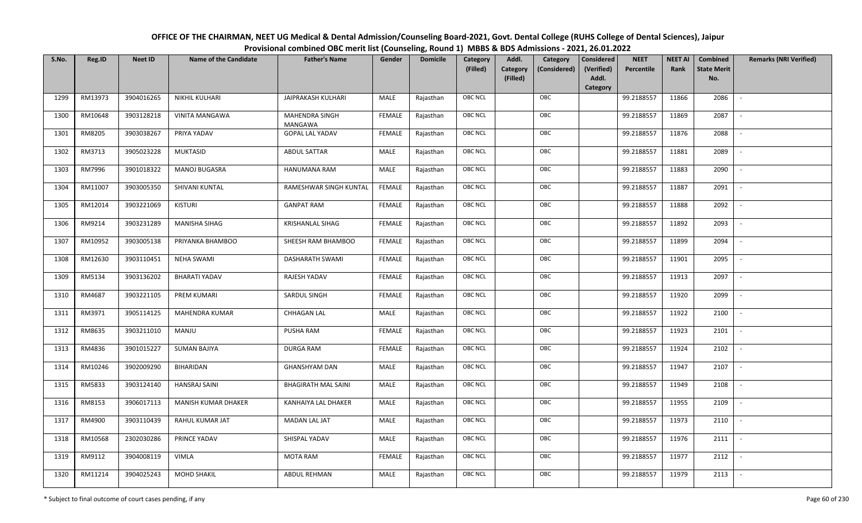| OFFICE OF THE CHAIRMAN, NEET UG Medical & Dental Admission/Counseling Board-2021, Govt. Dental College (RUHS College of Dental Sciences), Jaipur |
|--------------------------------------------------------------------------------------------------------------------------------------------------|
| Provisional combined OBC merit list (Counseling, Round 1) MBBS & BDS Admissions - 2021, 26.01.2022                                               |

| S.No. | Reg.ID  | <b>Neet ID</b> | <b>Name of the Candidate</b> | <b>Father's Name</b>       | Gender        | <b>Domicile</b> | Category<br>(Filled) | Addl.<br><b>Category</b> | Category<br>(Considered) | Considered<br><b>NEET</b><br>(Verified)<br>Percentile | <b>NEET AI</b><br>Rank | Combined<br><b>State Merit</b> | <b>Remarks (NRI Verified)</b> |
|-------|---------|----------------|------------------------------|----------------------------|---------------|-----------------|----------------------|--------------------------|--------------------------|-------------------------------------------------------|------------------------|--------------------------------|-------------------------------|
|       |         |                |                              |                            |               |                 |                      | (Filled)                 |                          | Addl.<br>Category                                     |                        | No.                            |                               |
| 1299  | RM13973 | 3904016265     | NIKHIL KULHARI               | JAIPRAKASH KULHARI         | MALE          | Rajasthan       | <b>OBC NCL</b>       |                          | OBC                      | 99.2188557                                            | 11866                  | 2086                           | $\sim$                        |
| 1300  | RM10648 | 3903128218     | VINITA MANGAWA               | MAHENDRA SINGH<br>MANGAWA  | <b>FEMALE</b> | Rajasthan       | <b>OBC NCL</b>       |                          | OBC                      | 99.2188557                                            | 11869                  | 2087                           |                               |
| 1301  | RM8205  | 3903038267     | PRIYA YADAV                  | <b>GOPAL LAL YADAV</b>     | FEMALE        | Rajasthan       | OBC NCL              |                          | OBC                      | 99.2188557                                            | 11876                  | 2088                           | $\sim$                        |
| 1302  | RM3713  | 3905023228     | <b>MUKTASID</b>              | <b>ABDUL SATTAR</b>        | <b>MALE</b>   | Rajasthan       | <b>OBC NCL</b>       |                          | OBC                      | 99.2188557                                            | 11881                  | 2089                           | $\sim$                        |
| 1303  | RM7996  | 3901018322     | MANOJ BUGASRA                | HANUMANA RAM               | <b>MALE</b>   | Rajasthan       | OBC NCL              |                          | OBC                      | 99.2188557                                            | 11883                  | 2090                           | $\overline{\phantom{a}}$      |
| 1304  | RM11007 | 3903005350     | SHIVANI KUNTAL               | RAMESHWAR SINGH KUNTAL     | <b>FEMALE</b> | Rajasthan       | OBC NCL              |                          | OBC                      | 99.2188557                                            | 11887                  | 2091                           | $\sim$                        |
| 1305  | RM12014 | 3903221069     | <b>KISTURI</b>               | <b>GANPAT RAM</b>          | <b>FEMALE</b> | Rajasthan       | OBC NCL              |                          | OBC                      | 99.2188557                                            | 11888                  | 2092                           |                               |
| 1306  | RM9214  | 3903231289     | MANISHA SIHAG                | <b>KRISHANLAL SIHAG</b>    | <b>FEMALE</b> | Rajasthan       | OBC NCL              |                          | OBC                      | 99.2188557                                            | 11892                  | 2093                           |                               |
| 1307  | RM10952 | 3903005138     | PRIYANKA BHAMBOO             | SHEESH RAM BHAMBOO         | <b>FEMALE</b> | Rajasthan       | OBC NCL              |                          | OBC                      | 99.2188557                                            | 11899                  | 2094                           |                               |
| 1308  | RM12630 | 3903110451     | <b>NEHA SWAMI</b>            | <b>DASHARATH SWAMI</b>     | <b>FEMALE</b> | Rajasthan       | <b>OBC NCL</b>       |                          | OBC                      | 99.2188557                                            | 11901                  | 2095                           | $\sim$                        |
| 1309  | RM5134  | 3903136202     | <b>BHARATI YADAV</b>         | RAJESH YADAV               | <b>FEMALE</b> | Rajasthan       | OBC NCL              |                          | OBC                      | 99.2188557                                            | 11913                  | 2097                           |                               |
| 1310  | RM4687  | 3903221105     | PREM KUMARI                  | SARDUL SINGH               | FEMALE        | Rajasthan       | <b>OBC NCL</b>       |                          | OBC                      | 99.2188557                                            | 11920                  | 2099                           | $\overline{\phantom{a}}$      |
| 1311  | RM3971  | 3905114125     | <b>MAHENDRA KUMAR</b>        | CHHAGAN LAL                | MALE          | Rajasthan       | OBC NCL              |                          | OBC                      | 99.2188557                                            | 11922                  | 2100                           |                               |
| 1312  | RM8635  | 3903211010     | MANJU                        | PUSHA RAM                  | FEMALE        | Rajasthan       | OBC NCL              |                          | OBC                      | 99.2188557                                            | 11923                  | 2101                           | $\sim$                        |
| 1313  | RM4836  | 3901015227     | <b>SUMAN BAJIYA</b>          | <b>DURGA RAM</b>           | <b>FEMALE</b> | Rajasthan       | OBC NCL              |                          | OBC                      | 99.2188557                                            | 11924                  | 2102                           | $\sim$                        |
| 1314  | RM10246 | 3902009290     | BIHARIDAN                    | <b>GHANSHYAM DAN</b>       | MALE          | Rajasthan       | <b>OBC NCL</b>       |                          | OBC                      | 99.2188557                                            | 11947                  | 2107                           | $\sim$                        |
| 1315  | RM5833  | 3903124140     | <b>HANSRAJ SAINI</b>         | <b>BHAGIRATH MAL SAINI</b> | <b>MALE</b>   | Rajasthan       | <b>OBC NCL</b>       |                          | OBC                      | 99.2188557                                            | 11949                  | 2108                           | $\sim$                        |
| 1316  | RM8153  | 3906017113     | MANISH KUMAR DHAKER          | KANHAIYA LAL DHAKER        | <b>MALE</b>   | Rajasthan       | OBC NCL              |                          | OBC                      | 99.2188557                                            | 11955                  | 2109                           | $\sim$                        |
| 1317  | RM4900  | 3903110439     | RAHUL KUMAR JAT              | <b>MADAN LAL JAT</b>       | MALE          | Rajasthan       | <b>OBC NCL</b>       |                          | OBC                      | 99.2188557                                            | 11973                  | 2110                           | $\sim$                        |
| 1318  | RM10568 | 2302030286     | PRINCE YADAV                 | SHISPAL YADAV              | <b>MALE</b>   | Rajasthan       | OBC NCL              |                          | OBC                      | 99.2188557                                            | 11976                  | 2111                           |                               |
| 1319  | RM9112  | 3904008119     | <b>VIMLA</b>                 | MOTA RAM                   | <b>FEMALE</b> | Rajasthan       | OBC NCL              |                          | OBC                      | 99.2188557                                            | 11977                  | 2112                           | $\overline{\phantom{a}}$      |
| 1320  | RM11214 | 3904025243     | <b>MOHD SHAKIL</b>           | ABDUL REHMAN               | MALE          | Rajasthan       | OBC NCL              |                          | OBC                      | 99.2188557                                            | 11979                  | 2113                           |                               |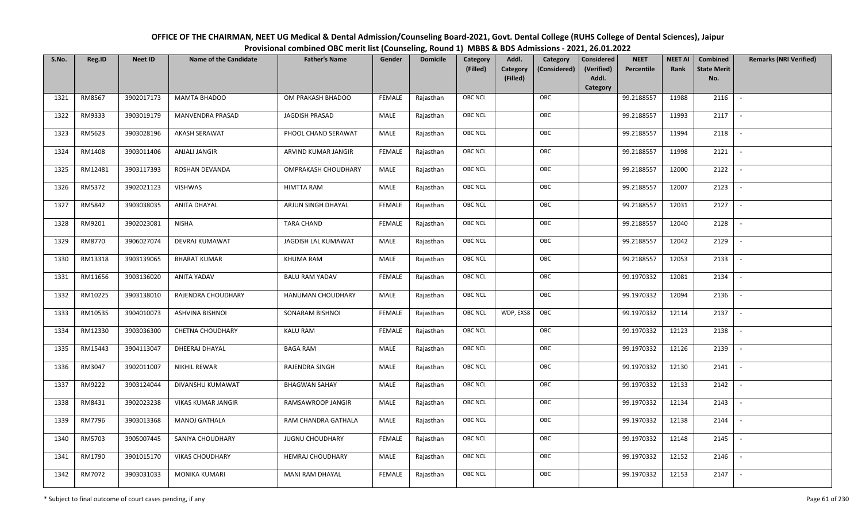| OFFICE OF THE CHAIRMAN, NEET UG Medical & Dental Admission/Counseling Board-2021, Govt. Dental College (RUHS College of Dental Sciences), Jaipur |
|--------------------------------------------------------------------------------------------------------------------------------------------------|
| Provisional combined OBC merit list (Counseling, Round 1) MBBS & BDS Admissions - 2021, 26.01.2022                                               |

| S.No. | Reg.ID  | <b>Neet ID</b> | <b>Name of the Candidate</b> | <b>Father's Name</b>    | Gender        | <b>Domicile</b> | Category<br>(Filled) | Addl.<br><b>Category</b><br>(Filled) | Category<br>(Considered) | <b>Considered</b><br>(Verified)<br>Addl. | <b>NEET</b><br>Percentile | <b>NEET AI</b><br>Rank | Combined<br><b>State Merit</b><br>No. | <b>Remarks (NRI Verified)</b> |
|-------|---------|----------------|------------------------------|-------------------------|---------------|-----------------|----------------------|--------------------------------------|--------------------------|------------------------------------------|---------------------------|------------------------|---------------------------------------|-------------------------------|
|       |         |                |                              |                         |               |                 |                      |                                      |                          | Category                                 |                           |                        |                                       |                               |
| 1321  | RM8567  | 3902017173     | <b>MAMTA BHADOO</b>          | OM PRAKASH BHADOO       | <b>FEMALE</b> | Rajasthan       | <b>OBC NCL</b>       |                                      | OBC                      |                                          | 99.2188557                | 11988                  | 2116                                  | $\sim$                        |
| 1322  | RM9333  | 3903019179     | MANVENDRA PRASAD             | JAGDISH PRASAD          | MALE          | Rajasthan       | OBC NCL              |                                      | OBC                      |                                          | 99.2188557                | 11993                  | 2117                                  |                               |
| 1323  | RM5623  | 3903028196     | AKASH SERAWAT                | PHOOL CHAND SERAWAT     | MALE          | Rajasthan       | <b>OBC NCL</b>       |                                      | OBC                      |                                          | 99.2188557                | 11994                  | 2118                                  |                               |
| 1324  | RM1408  | 3903011406     | ANJALI JANGIR                | ARVIND KUMAR JANGIR     | <b>FEMALE</b> | Rajasthan       | OBC NCL              |                                      | OBC                      |                                          | 99.2188557                | 11998                  | 2121                                  | $\overline{\phantom{a}}$      |
| 1325  | RM12481 | 3903117393     | ROSHAN DEVANDA               | OMPRAKASH CHOUDHARY     | MALE          | Rajasthan       | <b>OBC NCL</b>       |                                      | OBC                      |                                          | 99.2188557                | 12000                  | 2122                                  | $\sim$                        |
| 1326  | RM5372  | 3902021123     | VISHWAS                      | HIMTTA RAM              | MALE          | Rajasthan       | <b>OBC NCL</b>       |                                      | OBC                      |                                          | 99.2188557                | 12007                  | 2123                                  | $\overline{\phantom{a}}$      |
| 1327  | RM5842  | 3903038035     | ANITA DHAYAL                 | ARJUN SINGH DHAYAL      | <b>FEMALE</b> | Rajasthan       | OBC NCL              |                                      | OBC                      |                                          | 99.2188557                | 12031                  | 2127                                  | $\overline{\phantom{a}}$      |
| 1328  | RM9201  | 3902023081     | <b>NISHA</b>                 | <b>TARA CHAND</b>       | <b>FEMALE</b> | Rajasthan       | OBC NCL              |                                      | OBC                      |                                          | 99.2188557                | 12040                  | 2128                                  |                               |
| 1329  | RM8770  | 3906027074     | DEVRAJ KUMAWAT               | JAGDISH LAL KUMAWAT     | MALE          | Rajasthan       | OBC NCL              |                                      | OBC                      |                                          | 99.2188557                | 12042                  | 2129                                  |                               |
| 1330  | RM13318 | 3903139065     | <b>BHARAT KUMAR</b>          | <b>KHUMA RAM</b>        | MALE          | Rajasthan       | OBC NCL              |                                      | OBC                      |                                          | 99.2188557                | 12053                  | 2133                                  | $\overline{\phantom{a}}$      |
| 1331  | RM11656 | 3903136020     | <b>ANITA YADAV</b>           | <b>BALU RAM YADAV</b>   | <b>FEMALE</b> | Rajasthan       | <b>OBC NCL</b>       |                                      | OBC                      |                                          | 99.1970332                | 12081                  | 2134                                  |                               |
| 1332  | RM10225 | 3903138010     | RAJENDRA CHOUDHARY           | HANUMAN CHOUDHARY       | MALE          | Rajasthan       | <b>OBC NCL</b>       |                                      | OBC                      |                                          | 99.1970332                | 12094                  | 2136                                  | $\overline{\phantom{a}}$      |
| 1333  | RM10535 | 3904010073     | <b>ASHVINA BISHNOI</b>       | SONARAM BISHNOI         | <b>FEMALE</b> | Rajasthan       | <b>OBC NCL</b>       | WDP, EXS8                            | OBC                      |                                          | 99.1970332                | 12114                  | 2137                                  |                               |
| 1334  | RM12330 | 3903036300     | <b>CHETNA CHOUDHARY</b>      | <b>KALU RAM</b>         | <b>FEMALE</b> | Rajasthan       | OBC NCL              |                                      | OBC                      |                                          | 99.1970332                | 12123                  | 2138                                  | $\overline{\phantom{a}}$      |
| 1335  | RM15443 | 3904113047     | DHEERAJ DHAYAL               | <b>BAGA RAM</b>         | <b>MALE</b>   | Rajasthan       | OBC NCL              |                                      | OBC                      |                                          | 99.1970332                | 12126                  | 2139                                  | $\overline{\phantom{a}}$      |
| 1336  | RM3047  | 3902011007     | NIKHIL REWAR                 | RAJENDRA SINGH          | MALE          | Rajasthan       | <b>OBC NCL</b>       |                                      | OBC                      |                                          | 99.1970332                | 12130                  | 2141                                  | $\sim$                        |
| 1337  | RM9222  | 3903124044     | DIVANSHU KUMAWAT             | <b>BHAGWAN SAHAY</b>    | MALE          | Rajasthan       | <b>OBC NCL</b>       |                                      | OBC                      |                                          | 99.1970332                | 12133                  | 2142                                  | $\overline{\phantom{a}}$      |
| 1338  | RM8431  | 3902023238     | VIKAS KUMAR JANGIR           | RAMSAWROOP JANGIR       | MALE          | Rajasthan       | OBC NCL              |                                      | OBC                      |                                          | 99.1970332                | 12134                  | 2143                                  |                               |
| 1339  | RM7796  | 3903013368     | <b>MANOJ GATHALA</b>         | RAM CHANDRA GATHALA     | MALE          | Rajasthan       | <b>OBC NCL</b>       |                                      | OBC                      |                                          | 99.1970332                | 12138                  | 2144                                  |                               |
| 1340  | RM5703  | 3905007445     | SANIYA CHOUDHARY             | <b>JUGNU CHOUDHARY</b>  | <b>FEMALE</b> | Rajasthan       | OBC NCL              |                                      | OBC                      |                                          | 99.1970332                | 12148                  | 2145                                  | $\blacksquare$                |
| 1341  | RM1790  | 3901015170     | <b>VIKAS CHOUDHARY</b>       | <b>HEMRAJ CHOUDHARY</b> | MALE          | Rajasthan       | <b>OBC NCL</b>       |                                      | OBC                      |                                          | 99.1970332                | 12152                  | 2146                                  |                               |
| 1342  | RM7072  | 3903031033     | MONIKA KUMARI                | MANI RAM DHAYAL         | <b>FEMALE</b> | Rajasthan       | <b>OBC NCL</b>       |                                      | OBC                      |                                          | 99.1970332                | 12153                  | 2147                                  |                               |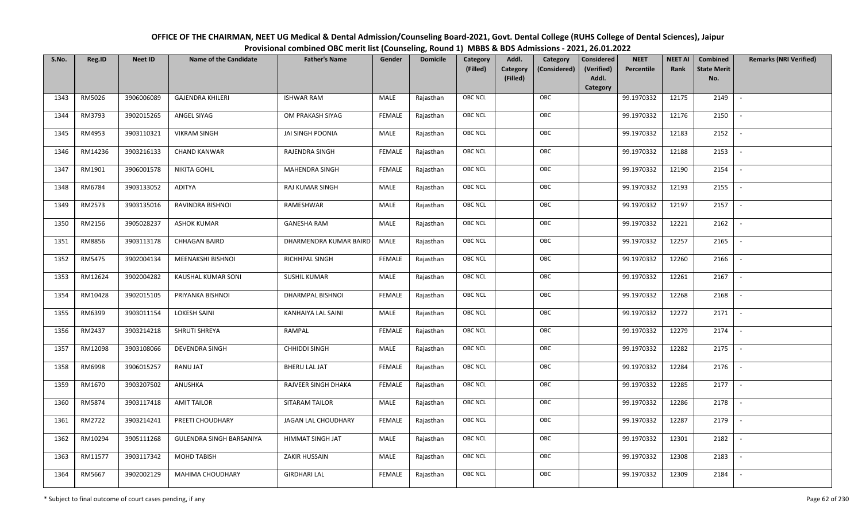| OFFICE OF THE CHAIRMAN, NEET UG Medical & Dental Admission/Counseling Board-2021, Govt. Dental College (RUHS College of Dental Sciences), Jaipur |  |
|--------------------------------------------------------------------------------------------------------------------------------------------------|--|
| Provisional combined OBC merit list (Counseling, Round 1) MBBS & BDS Admissions - 2021, 26.01.2022                                               |  |

| S.No. | Reg.ID  | <b>Neet ID</b> | <b>Name of the Candidate</b> | <b>Father's Name</b>   | Gender        | <b>Domicile</b> | Category       | Addl.                | Category     | <b>Considered</b>   | <b>NEET</b> | <b>NEET AI</b> | Combined                  | <b>Remarks (NRI Verified)</b> |
|-------|---------|----------------|------------------------------|------------------------|---------------|-----------------|----------------|----------------------|--------------|---------------------|-------------|----------------|---------------------------|-------------------------------|
|       |         |                |                              |                        |               |                 | (Filled)       | Category<br>(Filled) | (Considered) | (Verified)<br>Addl. | Percentile  | Rank           | <b>State Merit</b><br>No. |                               |
|       |         |                |                              |                        |               |                 |                |                      |              | Category            |             |                |                           |                               |
| 1343  | RM5026  | 3906006089     | <b>GAJENDRA KHILERI</b>      | <b>ISHWAR RAM</b>      | MALE          | Rajasthan       | <b>OBC NCL</b> |                      | OBC          |                     | 99.1970332  | 12175          | 2149                      |                               |
| 1344  | RM3793  | 3902015265     | ANGEL SIYAG                  | OM PRAKASH SIYAG       | <b>FEMALE</b> | Rajasthan       | OBC NCL        |                      | OBC          |                     | 99.1970332  | 12176          | 2150                      |                               |
| 1345  | RM4953  | 3903110321     | <b>VIKRAM SINGH</b>          | JAI SINGH POONIA       | MALE          | Rajasthan       | OBC NCL        |                      | OBC          |                     | 99.1970332  | 12183          | 2152                      |                               |
| 1346  | RM14236 | 3903216133     | <b>CHAND KANWAR</b>          | RAJENDRA SINGH         | <b>FEMALE</b> | Rajasthan       | <b>OBC NCL</b> |                      | OBC          |                     | 99.1970332  | 12188          | 2153                      | $\overline{\phantom{a}}$      |
| 1347  | RM1901  | 3906001578     | NIKITA GOHIL                 | MAHENDRA SINGH         | <b>FEMALE</b> | Rajasthan       | OBC NCL        |                      | OBC          |                     | 99.1970332  | 12190          | 2154                      | $\sim$                        |
| 1348  | RM6784  | 3903133052     | ADITYA                       | RAJ KUMAR SINGH        | MALE          | Rajasthan       | <b>OBC NCL</b> |                      | OBC          |                     | 99.1970332  | 12193          | 2155                      | $\overline{\phantom{a}}$      |
| 1349  | RM2573  | 3903135016     | RAVINDRA BISHNOI             | RAMESHWAR              | MALE          | Rajasthan       | <b>OBC NCL</b> |                      | OBC          |                     | 99.1970332  | 12197          | 2157                      | $\overline{\phantom{a}}$      |
| 1350  | RM2156  | 3905028237     | <b>ASHOK KUMAR</b>           | <b>GANESHA RAM</b>     | MALE          | Rajasthan       | <b>OBC NCL</b> |                      | OBC          |                     | 99.1970332  | 12221          | 2162                      |                               |
| 1351  | RM8856  | 3903113178     | CHHAGAN BAIRD                | DHARMENDRA KUMAR BAIRD | MALE          | Rajasthan       | <b>OBC NCL</b> |                      | OBC          |                     | 99.1970332  | 12257          | 2165                      |                               |
| 1352  | RM5475  | 3902004134     | MEENAKSHI BISHNOI            | RICHHPAL SINGH         | <b>FEMALE</b> | Rajasthan       | OBC NCL        |                      | OBC          |                     | 99.1970332  | 12260          | 2166                      | $\overline{\phantom{a}}$      |
| 1353  | RM12624 | 3902004282     | KAUSHAL KUMAR SONI           | <b>SUSHIL KUMAR</b>    | MALE          | Rajasthan       | <b>OBC NCL</b> |                      | OBC          |                     | 99.1970332  | 12261          | 2167                      |                               |
| 1354  | RM10428 | 3902015105     | PRIYANKA BISHNOI             | DHARMPAL BISHNOI       | <b>FEMALE</b> | Rajasthan       | OBC NCL        |                      | OBC          |                     | 99.1970332  | 12268          | 2168                      | $\overline{\phantom{a}}$      |
| 1355  | RM6399  | 3903011154     | <b>LOKESH SAINI</b>          | KANHAIYA LAL SAINI     | MALE          | Rajasthan       | <b>OBC NCL</b> |                      | OBC          |                     | 99.1970332  | 12272          | 2171                      |                               |
| 1356  | RM2437  | 3903214218     | SHRUTI SHREYA                | RAMPAL                 | <b>FEMALE</b> | Rajasthan       | OBC NCL        |                      | OBC          |                     | 99.1970332  | 12279          | 2174                      | $\sim$                        |
| 1357  | RM12098 | 3903108066     | DEVENDRA SINGH               | CHHIDDI SINGH          | MALE          | Rajasthan       | OBC NCL        |                      | OBC          |                     | 99.1970332  | 12282          | 2175                      | $\sim$                        |
| 1358  | RM6998  | 3906015257     | RANU JAT                     | <b>BHERU LAL JAT</b>   | <b>FEMALE</b> | Rajasthan       | <b>OBC NCL</b> |                      | OBC          |                     | 99.1970332  | 12284          | 2176                      | $\sim$                        |
| 1359  | RM1670  | 3903207502     | ANUSHKA                      | RAJVEER SINGH DHAKA    | <b>FEMALE</b> | Rajasthan       | OBC NCL        |                      | OBC          |                     | 99.1970332  | 12285          | 2177                      | $\overline{\phantom{a}}$      |
| 1360  | RM5874  | 3903117418     | <b>AMIT TAILOR</b>           | SITARAM TAILOR         | MALE          | Rajasthan       | <b>OBC NCL</b> |                      | OBC          |                     | 99.1970332  | 12286          | 2178                      |                               |
| 1361  | RM2722  | 3903214241     | PREETI CHOUDHARY             | JAGAN LAL CHOUDHARY    | <b>FEMALE</b> | Rajasthan       | OBC NCL        |                      | OBC          |                     | 99.1970332  | 12287          | 2179                      |                               |
| 1362  | RM10294 | 3905111268     | GULENDRA SINGH BARSANIYA     | HIMMAT SINGH JAT       | MALE          | Rajasthan       | OBC NCL        |                      | OBC          |                     | 99.1970332  | 12301          | 2182                      |                               |
| 1363  | RM11577 | 3903117342     | MOHD TABISH                  | ZAKIR HUSSAIN          | MALE          | Rajasthan       | <b>OBC NCL</b> |                      | OBC          |                     | 99.1970332  | 12308          | 2183                      |                               |
| 1364  | RM5667  | 3902002129     | <b>MAHIMA CHOUDHARY</b>      | <b>GIRDHARI LAL</b>    | <b>FEMALE</b> | Rajasthan       | <b>OBC NCL</b> |                      | OBC          |                     | 99.1970332  | 12309          | 2184                      |                               |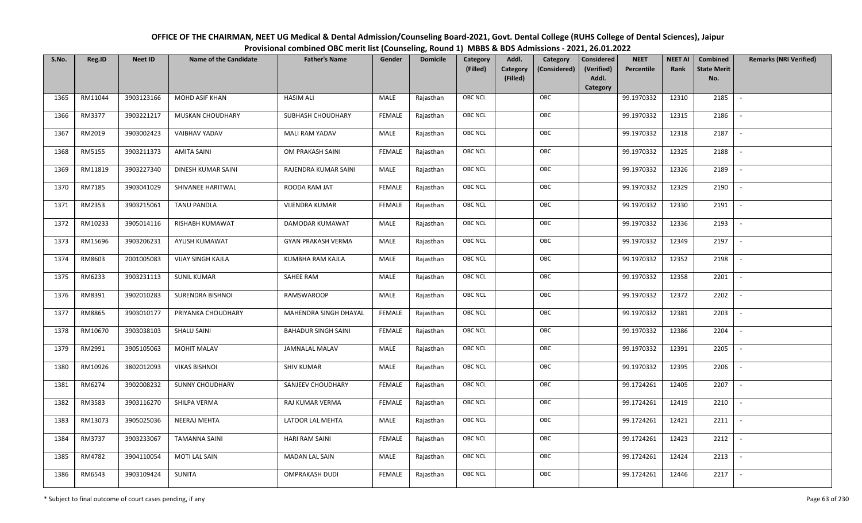| OFFICE OF THE CHAIRMAN, NEET UG Medical & Dental Admission/Counseling Board-2021, Govt. Dental College (RUHS College of Dental Sciences), Jaipur |
|--------------------------------------------------------------------------------------------------------------------------------------------------|
| Provisional combined OBC merit list (Counseling, Round 1) MBBS & BDS Admissions - 2021, 26.01.2022                                               |

| S.No. | Reg.ID  | <b>Neet ID</b> | <b>Name of the Candidate</b> | <b>Father's Name</b>       | Gender        | <b>Domicile</b> | Category<br>(Filled) | Addl.<br><b>Category</b><br>(Filled) | Category<br>(Considered) | <b>Considered</b><br>(Verified)<br>Addl. | <b>NEET</b><br>Percentile | <b>NEET AI</b><br>Rank | Combined<br><b>State Merit</b><br>No. | <b>Remarks (NRI Verified)</b> |
|-------|---------|----------------|------------------------------|----------------------------|---------------|-----------------|----------------------|--------------------------------------|--------------------------|------------------------------------------|---------------------------|------------------------|---------------------------------------|-------------------------------|
|       |         |                |                              |                            |               |                 |                      |                                      |                          | Category                                 |                           |                        |                                       |                               |
| 1365  | RM11044 | 3903123166     | MOHD ASIF KHAN               | <b>HASIM ALI</b>           | MALE          | Rajasthan       | <b>OBC NCL</b>       |                                      | OBC                      |                                          | 99.1970332                | 12310                  | 2185                                  | $\overline{\phantom{a}}$      |
| 1366  | RM3377  | 3903221217     | MUSKAN CHOUDHARY             | SUBHASH CHOUDHARY          | <b>FEMALE</b> | Rajasthan       | OBC NCL              |                                      | OBC                      |                                          | 99.1970332                | 12315                  | 2186                                  |                               |
| 1367  | RM2019  | 3903002423     | <b>VAIBHAV YADAV</b>         | MALI RAM YADAV             | MALE          | Rajasthan       | <b>OBC NCL</b>       |                                      | OBC                      |                                          | 99.1970332                | 12318                  | 2187                                  |                               |
| 1368  | RM5155  | 3903211373     | <b>AMITA SAINI</b>           | OM PRAKASH SAINI           | <b>FEMALE</b> | Rajasthan       | OBC NCL              |                                      | OBC                      |                                          | 99.1970332                | 12325                  | 2188                                  | $\overline{\phantom{a}}$      |
| 1369  | RM11819 | 3903227340     | DINESH KUMAR SAINI           | RAJENDRA KUMAR SAINI       | MALE          | Rajasthan       | <b>OBC NCL</b>       |                                      | OBC                      |                                          | 99.1970332                | 12326                  | 2189                                  | $\sim$                        |
| 1370  | RM7185  | 3903041029     | SHIVANEE HARITWAL            | ROODA RAM JAT              | <b>FEMALE</b> | Rajasthan       | <b>OBC NCL</b>       |                                      | OBC                      |                                          | 99.1970332                | 12329                  | 2190                                  | $\overline{\phantom{a}}$      |
| 1371  | RM2353  | 3903215061     | <b>TANU PANDLA</b>           | <b>VIJENDRA KUMAR</b>      | <b>FEMALE</b> | Rajasthan       | OBC NCL              |                                      | OBC                      |                                          | 99.1970332                | 12330                  | 2191                                  | $\overline{\phantom{a}}$      |
| 1372  | RM10233 | 3905014116     | RISHABH KUMAWAT              | DAMODAR KUMAWAT            | MALE          | Rajasthan       | OBC NCL              |                                      | OBC                      |                                          | 99.1970332                | 12336                  | 2193                                  |                               |
| 1373  | RM15696 | 3903206231     | AYUSH KUMAWAT                | <b>GYAN PRAKASH VERMA</b>  | MALE          | Rajasthan       | OBC NCL              |                                      | OBC                      |                                          | 99.1970332                | 12349                  | 2197                                  |                               |
| 1374  | RM8603  | 2001005083     | <b>VIJAY SINGH KAJLA</b>     | KUMBHA RAM KAJLA           | MALE          | Rajasthan       | OBC NCL              |                                      | OBC                      |                                          | 99.1970332                | 12352                  | 2198                                  |                               |
| 1375  | RM6233  | 3903231113     | <b>SUNIL KUMAR</b>           | SAHEE RAM                  | MALE          | Rajasthan       | <b>OBC NCL</b>       |                                      | OBC                      |                                          | 99.1970332                | 12358                  | 2201                                  |                               |
| 1376  | RM8391  | 3902010283     | SURENDRA BISHNOI             | RAMSWAROOP                 | MALE          | Rajasthan       | OBC NCL              |                                      | OBC                      |                                          | 99.1970332                | 12372                  | 2202                                  | $\sim$                        |
| 1377  | RM8865  | 3903010177     | PRIYANKA CHOUDHARY           | MAHENDRA SINGH DHAYAL      | <b>FEMALE</b> | Rajasthan       | <b>OBC NCL</b>       |                                      | OBC                      |                                          | 99.1970332                | 12381                  | 2203                                  |                               |
| 1378  | RM10670 | 3903038103     | <b>SHALU SAINI</b>           | <b>BAHADUR SINGH SAINI</b> | <b>FEMALE</b> | Rajasthan       | OBC NCL              |                                      | OBC                      |                                          | 99.1970332                | 12386                  | 2204                                  | $\sim$                        |
| 1379  | RM2991  | 3905105063     | <b>MOHIT MALAV</b>           | <b>JAMNALAL MALAV</b>      | <b>MALE</b>   | Rajasthan       | OBC NCL              |                                      | OBC                      |                                          | 99.1970332                | 12391                  | 2205                                  | $\overline{\phantom{a}}$      |
| 1380  | RM10926 | 3802012093     | <b>VIKAS BISHNOI</b>         | <b>SHIV KUMAR</b>          | MALE          | Rajasthan       | <b>OBC NCL</b>       |                                      | OBC                      |                                          | 99.1970332                | 12395                  | 2206                                  | $\sim$                        |
| 1381  | RM6274  | 3902008232     | <b>SUNNY CHOUDHARY</b>       | SANJEEV CHOUDHARY          | <b>FEMALE</b> | Rajasthan       | <b>OBC NCL</b>       |                                      | OBC                      |                                          | 99.1724261                | 12405                  | 2207                                  | $\overline{\phantom{a}}$      |
| 1382  | RM3583  | 3903116270     | SHILPA VERMA                 | RAJ KUMAR VERMA            | <b>FEMALE</b> | Rajasthan       | OBC NCL              |                                      | OBC                      |                                          | 99.1724261                | 12419                  | 2210                                  |                               |
| 1383  | RM13073 | 3905025036     | NEERAJ MEHTA                 | LATOOR LAL MEHTA           | MALE          | Rajasthan       | <b>OBC NCL</b>       |                                      | OBC                      |                                          | 99.1724261                | 12421                  | 2211                                  |                               |
| 1384  | RM3737  | 3903233067     | <b>TAMANNA SAINI</b>         | <b>HARI RAM SAINI</b>      | <b>FEMALE</b> | Rajasthan       | OBC NCL              |                                      | OBC                      |                                          | 99.1724261                | 12423                  | 2212                                  | $\blacksquare$                |
| 1385  | RM4782  | 3904110054     | <b>MOTI LAL SAIN</b>         | <b>MADAN LAL SAIN</b>      | <b>MALE</b>   | Rajasthan       | <b>OBC NCL</b>       |                                      | OBC                      |                                          | 99.1724261                | 12424                  | 2213                                  | $\overline{\phantom{a}}$      |
| 1386  | RM6543  | 3903109424     | <b>SUNITA</b>                | <b>OMPRAKASH DUDI</b>      | <b>FEMALE</b> | Rajasthan       | <b>OBC NCL</b>       |                                      | OBC                      |                                          | 99.1724261                | 12446                  | 2217                                  |                               |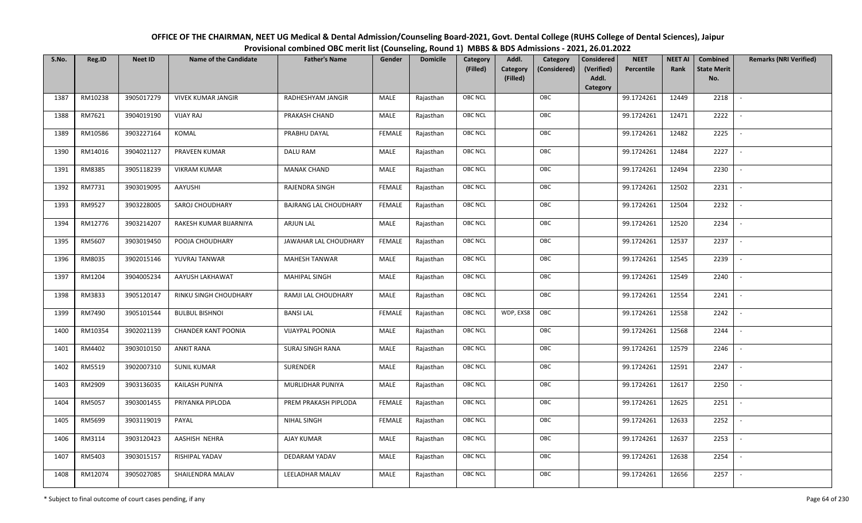| OFFICE OF THE CHAIRMAN, NEET UG Medical & Dental Admission/Counseling Board-2021, Govt. Dental College (RUHS College of Dental Sciences), Jaipur |
|--------------------------------------------------------------------------------------------------------------------------------------------------|
| Provisional combined OBC merit list (Counseling, Round 1) MBBS & BDS Admissions - 2021, 26.01.2022                                               |

| S.No. | Reg.ID  | <b>Neet ID</b> | <b>Name of the Candidate</b> | <b>Father's Name</b>         | Gender        | <b>Domicile</b> | Category<br>(Filled) | Addl.<br>Category<br>(Filled) | Category<br>(Considered) | <b>Considered</b><br>(Verified)<br>Addl. | <b>NEET</b><br>Percentile | <b>NEET AI</b><br>Rank | Combined<br><b>State Merit</b><br>No. | <b>Remarks (NRI Verified)</b> |
|-------|---------|----------------|------------------------------|------------------------------|---------------|-----------------|----------------------|-------------------------------|--------------------------|------------------------------------------|---------------------------|------------------------|---------------------------------------|-------------------------------|
|       |         |                |                              |                              |               |                 |                      |                               |                          | Category                                 |                           |                        |                                       |                               |
| 1387  | RM10238 | 3905017279     | <b>VIVEK KUMAR JANGIR</b>    | RADHESHYAM JANGIR            | MALE          | Rajasthan       | OBC NCL              |                               | OBC                      |                                          | 99.1724261                | 12449                  | 2218                                  | $\overline{\phantom{a}}$      |
| 1388  | RM7621  | 3904019190     | <b>VIJAY RAJ</b>             | PRAKASH CHAND                | MALE          | Rajasthan       | OBC NCL              |                               | OBC                      |                                          | 99.1724261                | 12471                  | 2222                                  |                               |
| 1389  | RM10586 | 3903227164     | KOMAL                        | PRABHU DAYAL                 | <b>FEMALE</b> | Rajasthan       | <b>OBC NCL</b>       |                               | OBC                      |                                          | 99.1724261                | 12482                  | 2225                                  |                               |
| 1390  | RM14016 | 3904021127     | PRAVEEN KUMAR                | DALU RAM                     | MALE          | Rajasthan       | OBC NCL              |                               | OBC                      |                                          | 99.1724261                | 12484                  | 2227                                  | $\overline{\phantom{a}}$      |
| 1391  | RM8385  | 3905118239     | <b>VIKRAM KUMAR</b>          | <b>MANAK CHAND</b>           | MALE          | Rajasthan       | OBC NCL              |                               | OBC                      |                                          | 99.1724261                | 12494                  | 2230                                  | $\sim$                        |
| 1392  | RM7731  | 3903019095     | AAYUSHI                      | RAJENDRA SINGH               | <b>FEMALE</b> | Rajasthan       | OBC NCL              |                               | OBC                      |                                          | 99.1724261                | 12502                  | 2231                                  | $\sim$                        |
| 1393  | RM9527  | 3903228005     | SAROJ CHOUDHARY              | <b>BAJRANG LAL CHOUDHARY</b> | <b>FEMALE</b> | Rajasthan       | OBC NCL              |                               | OBC                      |                                          | 99.1724261                | 12504                  | 2232                                  | $\overline{\phantom{a}}$      |
| 1394  | RM12776 | 3903214207     | RAKESH KUMAR BIJARNIYA       | <b>ARJUN LAL</b>             | MALE          | Rajasthan       | OBC NCL              |                               | OBC                      |                                          | 99.1724261                | 12520                  | 2234                                  |                               |
| 1395  | RM5607  | 3903019450     | POOJA CHOUDHARY              | JAWAHAR LAL CHOUDHARY        | <b>FEMALE</b> | Rajasthan       | OBC NCL              |                               | OBC                      |                                          | 99.1724261                | 12537                  | 2237                                  |                               |
| 1396  | RM8035  | 3902015146     | YUVRAJ TANWAR                | <b>MAHESH TANWAR</b>         | MALE          | Rajasthan       | OBC NCL              |                               | OBC                      |                                          | 99.1724261                | 12545                  | 2239                                  |                               |
| 1397  | RM1204  | 3904005234     | AAYUSH LAKHAWAT              | <b>MAHIPAL SINGH</b>         | MALE          | Rajasthan       | OBC NCL              |                               | OBC                      |                                          | 99.1724261                | 12549                  | 2240                                  |                               |
| 1398  | RM3833  | 3905120147     | RINKU SINGH CHOUDHARY        | RAMJI LAL CHOUDHARY          | MALE          | Rajasthan       | <b>OBC NCL</b>       |                               | OBC                      |                                          | 99.1724261                | 12554                  | 2241                                  | $\overline{\phantom{a}}$      |
| 1399  | RM7490  | 3905101544     | <b>BULBUL BISHNOI</b>        | <b>BANSILAL</b>              | <b>FEMALE</b> | Rajasthan       | OBC NCL              | WDP, EXS8                     | OBC                      |                                          | 99.1724261                | 12558                  | 2242                                  |                               |
| 1400  | RM10354 | 3902021139     | <b>CHANDER KANT POONIA</b>   | <b>VIJAYPAL POONIA</b>       | MALE          | Rajasthan       | <b>OBC NCL</b>       |                               | OBC                      |                                          | 99.1724261                | 12568                  | 2244                                  |                               |
| 1401  | RM4402  | 3903010150     | <b>ANKIT RANA</b>            | SURAJ SINGH RANA             | MALE          | Rajasthan       | OBC NCL              |                               | OBC                      |                                          | 99.1724261                | 12579                  | 2246                                  | $\overline{\phantom{a}}$      |
| 1402  | RM5519  | 3902007310     | <b>SUNIL KUMAR</b>           | SURENDER                     | MALE          | Rajasthan       | OBC NCL              |                               | OBC                      |                                          | 99.1724261                | 12591                  | 2247                                  | $\sim$                        |
| 1403  | RM2909  | 3903136035     | KAILASH PUNIYA               | <b>MURLIDHAR PUNIYA</b>      | MALE          | Rajasthan       | OBC NCL              |                               | OBC                      |                                          | 99.1724261                | 12617                  | 2250                                  | $\sim$                        |
| 1404  | RM5057  | 3903001455     | PRIYANKA PIPLODA             | PREM PRAKASH PIPLODA         | <b>FEMALE</b> | Rajasthan       | OBC NCL              |                               | OBC                      |                                          | 99.1724261                | 12625                  | 2251                                  | $\overline{\phantom{a}}$      |
| 1405  | RM5699  | 3903119019     | PAYAL                        | NIHAL SINGH                  | <b>FEMALE</b> | Rajasthan       | OBC NCL              |                               | OBC                      |                                          | 99.1724261                | 12633                  | 2252                                  |                               |
| 1406  | RM3114  | 3903120423     | AASHISH NEHRA                | AJAY KUMAR                   | MALE          | Rajasthan       | OBC NCL              |                               | OBC                      |                                          | 99.1724261                | 12637                  | 2253                                  |                               |
| 1407  | RM5403  | 3903015157     | RISHIPAL YADAV               | DEDARAM YADAV                | <b>MALE</b>   | Rajasthan       | OBC NCL              |                               | OBC                      |                                          | 99.1724261                | 12638                  | 2254                                  | $\overline{\phantom{a}}$      |
| 1408  | RM12074 | 3905027085     | SHAILENDRA MALAV             | LEELADHAR MALAV              | MALE          | Rajasthan       | <b>OBC NCL</b>       |                               | OBC                      |                                          | 99.1724261                | 12656                  | 2257                                  |                               |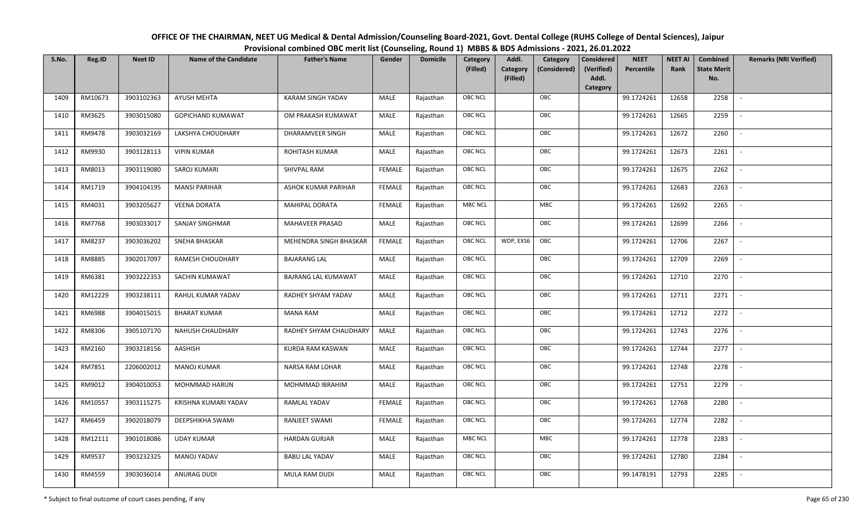| OFFICE OF THE CHAIRMAN, NEET UG Medical & Dental Admission/Counseling Board-2021, Govt. Dental College (RUHS College of Dental Sciences), Jaipur |
|--------------------------------------------------------------------------------------------------------------------------------------------------|
| Provisional combined OBC merit list (Counseling, Round 1) MBBS & BDS Admissions - 2021, 26.01.2022                                               |

| S.No. | Reg.ID  | <b>Neet ID</b> | <b>Name of the Candidate</b> | <b>Father's Name</b>     | Gender        | <b>Domicile</b> | Category<br>(Filled) | Addl.<br><b>Category</b><br>(Filled) | Category<br>(Considered) | <b>Considered</b><br>(Verified)<br>Addl. | <b>NEET</b><br>Percentile | <b>NEET AI</b><br>Rank | Combined<br><b>State Merit</b><br>No. | <b>Remarks (NRI Verified)</b> |
|-------|---------|----------------|------------------------------|--------------------------|---------------|-----------------|----------------------|--------------------------------------|--------------------------|------------------------------------------|---------------------------|------------------------|---------------------------------------|-------------------------------|
| 1409  | RM10673 | 3903102363     | <b>AYUSH MEHTA</b>           | <b>KARAM SINGH YADAV</b> | MALE          | Rajasthan       | <b>OBC NCL</b>       |                                      | OBC                      | Category                                 | 99.1724261                | 12658                  | 2258                                  | $\sim$                        |
| 1410  | RM3625  | 3903015080     | GOPICHAND KUMAWAT            | OM PRAKASH KUMAWAT       | MALE          | Rajasthan       | OBC NCL              |                                      | OBC                      |                                          | 99.1724261                | 12665                  | 2259                                  |                               |
| 1411  | RM9478  | 3903032169     | LAKSHYA CHOUDHARY            | DHARAMVEER SINGH         | MALE          | Rajasthan       | <b>OBC NCL</b>       |                                      | OBC                      |                                          | 99.1724261                | 12672                  | 2260                                  |                               |
| 1412  | RM9930  | 3903128113     | <b>VIPIN KUMAR</b>           | ROHITASH KUMAR           | MALE          | Rajasthan       | OBC NCL              |                                      | OBC                      |                                          | 99.1724261                | 12673                  | 2261                                  | $\overline{\phantom{a}}$      |
| 1413  | RM8013  | 3903119080     | SAROJ KUMARI                 | SHIVPAL RAM              | <b>FEMALE</b> | Rajasthan       | <b>OBC NCL</b>       |                                      | OBC                      |                                          | 99.1724261                | 12675                  | 2262                                  | $\overline{\phantom{a}}$      |
| 1414  | RM1719  | 3904104195     | <b>MANSI PARIHAR</b>         | ASHOK KUMAR PARIHAR      | <b>FEMALE</b> | Rajasthan       | <b>OBC NCL</b>       |                                      | OBC                      |                                          | 99.1724261                | 12683                  | 2263                                  | $\overline{\phantom{a}}$      |
| 1415  | RM4031  | 3903205627     | <b>VEENA DORATA</b>          | MAHIPAL DORATA           | <b>FEMALE</b> | Rajasthan       | <b>MBC NCL</b>       |                                      | MBC                      |                                          | 99.1724261                | 12692                  | 2265                                  | $\blacksquare$                |
| 1416  | RM7768  | 3903033017     | <b>SANJAY SINGHMAR</b>       | MAHAVEER PRASAD          | MALE          | Rajasthan       | OBC NCL              |                                      | OBC                      |                                          | 99.1724261                | 12699                  | 2266                                  |                               |
| 1417  | RM8237  | 3903036202     | SNEHA BHASKAR                | MEHENDRA SINGH BHASKAR   | <b>FEMALE</b> | Rajasthan       | <b>OBC NCL</b>       | WDP, EXS6                            | OBC                      |                                          | 99.1724261                | 12706                  | 2267                                  |                               |
| 1418  | RM8885  | 3902017097     | RAMESH CHOUDHARY             | <b>BAJARANG LAL</b>      | MALE          | Rajasthan       | OBC NCL              |                                      | OBC                      |                                          | 99.1724261                | 12709                  | 2269                                  |                               |
| 1419  | RM6381  | 3903222353     | SACHIN KUMAWAT               | BAJRANG LAL KUMAWAT      | MALE          | Rajasthan       | <b>OBC NCL</b>       |                                      | OBC                      |                                          | 99.1724261                | 12710                  | 2270                                  |                               |
| 1420  | RM12229 | 3903238111     | RAHUL KUMAR YADAV            | RADHEY SHYAM YADAV       | MALE          | Rajasthan       | OBC NCL              |                                      | OBC                      |                                          | 99.1724261                | 12711                  | 2271                                  | $\overline{\phantom{a}}$      |
| 1421  | RM6988  | 3904015015     | <b>BHARAT KUMAR</b>          | <b>MANA RAM</b>          | MALE          | Rajasthan       | <b>OBC NCL</b>       |                                      | OBC                      |                                          | 99.1724261                | 12712                  | 2272                                  |                               |
| 1422  | RM8306  | 3905107170     | <b>NAHUSH CHAUDHARY</b>      | RADHEY SHYAM CHAUDHARY   | MALE          | Rajasthan       | OBC NCL              |                                      | OBC                      |                                          | 99.1724261                | 12743                  | 2276                                  | $\sim$                        |
| 1423  | RM2160  | 3903218156     | AASHISH                      | <b>KURDA RAM KASWAN</b>  | <b>MALE</b>   | Rajasthan       | OBC NCL              |                                      | OBC                      |                                          | 99.1724261                | 12744                  | 2277                                  | $\sim$                        |
| 1424  | RM7851  | 2206002012     | <b>MANOJ KUMAR</b>           | NARSA RAM LOHAR          | MALE          | Rajasthan       | <b>OBC NCL</b>       |                                      | OBC                      |                                          | 99.1724261                | 12748                  | 2278                                  | $\sim$                        |
| 1425  | RM9012  | 3904010053     | MOHMMAD HARUN                | MOHMMAD IBRAHIM          | MALE          | Rajasthan       | <b>OBC NCL</b>       |                                      | OBC                      |                                          | 99.1724261                | 12751                  | 2279                                  | $\overline{\phantom{a}}$      |
| 1426  | RM10557 | 3903115275     | KRISHNA KUMARI YADAV         | RAMLAL YADAV             | <b>FEMALE</b> | Rajasthan       | OBC NCL              |                                      | OBC                      |                                          | 99.1724261                | 12768                  | 2280                                  |                               |
| 1427  | RM6459  | 3902018079     | DEEPSHIKHA SWAMI             | RANJEET SWAMI            | <b>FEMALE</b> | Rajasthan       | <b>OBC NCL</b>       |                                      | OBC                      |                                          | 99.1724261                | 12774                  | 2282                                  |                               |
| 1428  | RM12111 | 3901018086     | <b>UDAY KUMAR</b>            | <b>HARDAN GURJAR</b>     | MALE          | Rajasthan       | <b>MBC NCL</b>       |                                      | MBC                      |                                          | 99.1724261                | 12778                  | 2283                                  | $\blacksquare$                |
| 1429  | RM9537  | 3903232325     | <b>MANOJ YADAV</b>           | <b>BABU LAL YADAV</b>    | <b>MALE</b>   | Rajasthan       | <b>OBC NCL</b>       |                                      | OBC                      |                                          | 99.1724261                | 12780                  | 2284                                  | $\overline{\phantom{a}}$      |
| 1430  | RM4559  | 3903036014     | ANURAG DUDI                  | MULA RAM DUDI            | MALE          | Rajasthan       | <b>OBC NCL</b>       |                                      | OBC                      |                                          | 99.1478191                | 12793                  | 2285                                  |                               |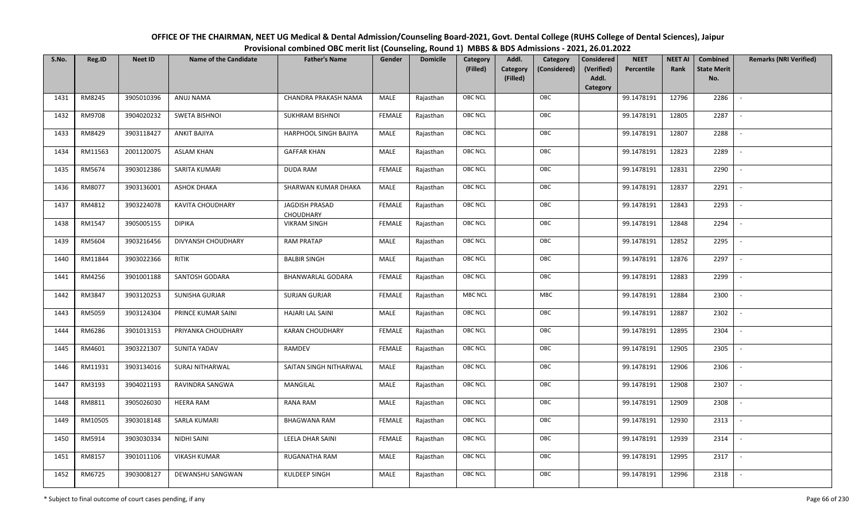| OFFICE OF THE CHAIRMAN, NEET UG Medical & Dental Admission/Counseling Board-2021, Govt. Dental College (RUHS College of Dental Sciences), Jaipur |
|--------------------------------------------------------------------------------------------------------------------------------------------------|
| Provisional combined OBC merit list (Counseling, Round 1) MBBS & BDS Admissions - 2021, 26.01.2022                                               |

| S.No. | Reg.ID  | <b>Neet ID</b> | <b>Name of the Candidate</b> | <b>Father's Name</b>               | Gender        | <b>Domicile</b> | Category<br>(Filled) | Addl.<br><b>Category</b><br>(Filled) | Category<br>(Considered) | Considered<br>(Verified)<br>Addl. | <b>NEET</b><br>Percentile | <b>NEET AI</b><br>Rank | Combined<br><b>State Merit</b><br>No. | <b>Remarks (NRI Verified)</b> |
|-------|---------|----------------|------------------------------|------------------------------------|---------------|-----------------|----------------------|--------------------------------------|--------------------------|-----------------------------------|---------------------------|------------------------|---------------------------------------|-------------------------------|
| 1431  | RM8245  | 3905010396     | ANUJ NAMA                    | CHANDRA PRAKASH NAMA               | MALE          | Rajasthan       | <b>OBC NCL</b>       |                                      | OBC                      | Category                          | 99.1478191                | 12796                  | 2286                                  | $\overline{\phantom{a}}$      |
| 1432  | RM9708  | 3904020232     | <b>SWETA BISHNOI</b>         | SUKHRAM BISHNOI                    | <b>FEMALE</b> | Rajasthan       | OBC NCL              |                                      | OBC                      |                                   | 99.1478191                | 12805                  | 2287                                  |                               |
| 1433  | RM8429  | 3903118427     | ANKIT BAJIYA                 | HARPHOOL SINGH BAJIYA              | MALE          | Rajasthan       | <b>OBC NCL</b>       |                                      | OBC                      |                                   | 99.1478191                | 12807                  | 2288                                  |                               |
| 1434  | RM11563 | 2001120075     | <b>ASLAM KHAN</b>            | <b>GAFFAR KHAN</b>                 | MALE          | Rajasthan       | OBC NCL              |                                      | OBC                      |                                   | 99.1478191                | 12823                  | 2289                                  | $\overline{\phantom{a}}$      |
| 1435  | RM5674  | 3903012386     | SARITA KUMARI                | <b>DUDA RAM</b>                    | <b>FEMALE</b> | Rajasthan       | <b>OBC NCL</b>       |                                      | OBC                      |                                   | 99.1478191                | 12831                  | 2290                                  | $\overline{\phantom{a}}$      |
| 1436  | RM8077  | 3903136001     | <b>ASHOK DHAKA</b>           | SHARWAN KUMAR DHAKA                | MALE          | Rajasthan       | <b>OBC NCL</b>       |                                      | OBC                      |                                   | 99.1478191                | 12837                  | 2291                                  | $\overline{\phantom{a}}$      |
| 1437  | RM4812  | 3903224078     | <b>KAVITA CHOUDHARY</b>      | <b>JAGDISH PRASAD</b><br>CHOUDHARY | <b>FEMALE</b> | Rajasthan       | <b>OBC NCL</b>       |                                      | OBC                      |                                   | 99.1478191                | 12843                  | 2293                                  |                               |
| 1438  | RM1547  | 3905005155     | <b>DIPIKA</b>                | <b>VIKRAM SINGH</b>                | <b>FEMALE</b> | Rajasthan       | OBC NCL              |                                      | OBC                      |                                   | 99.1478191                | 12848                  | 2294                                  |                               |
| 1439  | RM5604  | 3903216456     | DIVYANSH CHOUDHARY           | <b>RAM PRATAP</b>                  | MALE          | Rajasthan       | <b>OBC NCL</b>       |                                      | OBC                      |                                   | 99.1478191                | 12852                  | 2295                                  |                               |
| 1440  | RM11844 | 3903022366     | <b>RITIK</b>                 | <b>BALBIR SINGH</b>                | MALE          | Rajasthan       | OBC NCL              |                                      | OBC                      |                                   | 99.1478191                | 12876                  | 2297                                  | $\overline{\phantom{a}}$      |
| 1441  | RM4256  | 3901001188     | <b>SANTOSH GODARA</b>        | <b>BHANWARLAL GODARA</b>           | <b>FEMALE</b> | Rajasthan       | <b>OBC NCL</b>       |                                      | OBC                      |                                   | 99.1478191                | 12883                  | 2299                                  |                               |
| 1442  | RM3847  | 3903120253     | SUNISHA GURJAR               | <b>SURJAN GURJAR</b>               | <b>FEMALE</b> | Rajasthan       | <b>MBC NCL</b>       |                                      | MBC                      |                                   | 99.1478191                | 12884                  | 2300                                  |                               |
| 1443  | RM5059  | 3903124304     | PRINCE KUMAR SAINI           | HAJARI LAL SAINI                   | MALE          | Rajasthan       | <b>OBC NCL</b>       |                                      | OBC                      |                                   | 99.1478191                | 12887                  | 2302                                  |                               |
| 1444  | RM6286  | 3901013153     | PRIYANKA CHOUDHARY           | <b>KARAN CHOUDHARY</b>             | <b>FEMALE</b> | Rajasthan       | <b>OBC NCL</b>       |                                      | OBC                      |                                   | 99.1478191                | 12895                  | 2304                                  | $\overline{a}$                |
| 1445  | RM4601  | 3903221307     | SUNITA YADAV                 | RAMDEV                             | <b>FEMALE</b> | Rajasthan       | OBC NCL              |                                      | OBC                      |                                   | 99.1478191                | 12905                  | 2305                                  | $\overline{\phantom{a}}$      |
| 1446  | RM11931 | 3903134016     | <b>SURAJ NITHARWAL</b>       | SAITAN SINGH NITHARWAL             | MALE          | Rajasthan       | <b>OBC NCL</b>       |                                      | OBC                      |                                   | 99.1478191                | 12906                  | 2306                                  | $\overline{\phantom{a}}$      |
| 1447  | RM3193  | 3904021193     | RAVINDRA SANGWA              | MANGILAL                           | MALE          | Rajasthan       | <b>OBC NCL</b>       |                                      | OBC                      |                                   | 99.1478191                | 12908                  | 2307                                  | $\overline{\phantom{a}}$      |
| 1448  | RM8811  | 3905026030     | <b>HEERA RAM</b>             | RANA RAM                           | MALE          | Rajasthan       | OBC NCL              |                                      | OBC                      |                                   | 99.1478191                | 12909                  | 2308                                  |                               |
| 1449  | RM10505 | 3903018148     | <b>SARLA KUMARI</b>          | <b>BHAGWANA RAM</b>                | <b>FEMALE</b> | Rajasthan       | <b>OBC NCL</b>       |                                      | OBC                      |                                   | 99.1478191                | 12930                  | 2313                                  |                               |
| 1450  | RM5914  | 3903030334     | NIDHI SAINI                  | LEELA DHAR SAINI                   | <b>FEMALE</b> | Rajasthan       | OBC NCL              |                                      | OBC                      |                                   | 99.1478191                | 12939                  | 2314                                  | $\blacksquare$                |
| 1451  | RM8157  | 3901011106     | <b>VIKASH KUMAR</b>          | RUGANATHA RAM                      | <b>MALE</b>   | Rajasthan       | <b>OBC NCL</b>       |                                      | OBC                      |                                   | 99.1478191                | 12995                  | 2317                                  |                               |
| 1452  | RM6725  | 3903008127     | DEWANSHU SANGWAN             | KULDEEP SINGH                      | MALE          | Rajasthan       | <b>OBC NCL</b>       |                                      | OBC                      |                                   | 99.1478191                | 12996                  | 2318                                  |                               |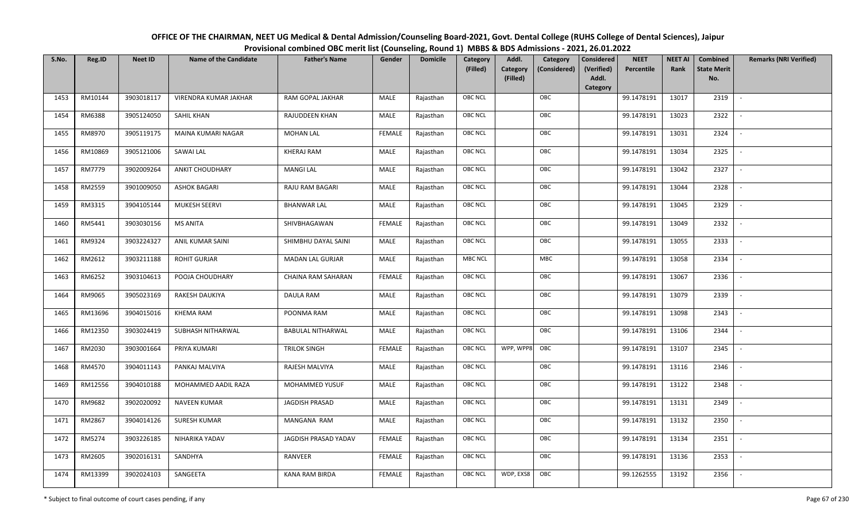| OFFICE OF THE CHAIRMAN, NEET UG Medical & Dental Admission/Counseling Board-2021, Govt. Dental College (RUHS College of Dental Sciences), Jaipur |
|--------------------------------------------------------------------------------------------------------------------------------------------------|
| Provisional combined OBC merit list (Counseling, Round 1) MBBS & BDS Admissions - 2021, 26.01.2022                                               |

| S.No. | Reg.ID        | <b>Neet ID</b> | <b>Name of the Candidate</b> | <b>Father's Name</b>     | Gender        | <b>Domicile</b> | Category<br>(Filled) | Addl.<br><b>Category</b><br>(Filled) | Category<br>(Considered) | <b>Considered</b><br>(Verified)<br>Addl. | <b>NEET</b><br>Percentile | <b>NEET AI</b><br>Rank | Combined<br><b>State Merit</b><br>No. | <b>Remarks (NRI Verified)</b> |
|-------|---------------|----------------|------------------------------|--------------------------|---------------|-----------------|----------------------|--------------------------------------|--------------------------|------------------------------------------|---------------------------|------------------------|---------------------------------------|-------------------------------|
|       |               |                |                              |                          |               |                 |                      |                                      |                          | Category                                 |                           |                        |                                       |                               |
| 1453  | RM10144       | 3903018117     | VIRENDRA KUMAR JAKHAR        | RAM GOPAL JAKHAR         | MALE          | Rajasthan       | <b>OBC NCL</b>       |                                      | OBC                      |                                          | 99.1478191                | 13017                  | 2319                                  | $\sim$                        |
| 1454  | RM6388        | 3905124050     | SAHIL KHAN                   | RAJUDDEEN KHAN           | MALE          | Rajasthan       | OBC NCL              |                                      | OBC                      |                                          | 99.1478191                | 13023                  | 2322                                  |                               |
| 1455  | RM8970        | 3905119175     | MAINA KUMARI NAGAR           | MOHAN LAL                | <b>FEMALE</b> | Rajasthan       | <b>OBC NCL</b>       |                                      | OBC                      |                                          | 99.1478191                | 13031                  | 2324                                  |                               |
| 1456  | RM10869       | 3905121006     | SAWAI LAL                    | KHERAJ RAM               | MALE          | Rajasthan       | OBC NCL              |                                      | OBC                      |                                          | 99.1478191                | 13034                  | 2325                                  | $\overline{\phantom{a}}$      |
| 1457  | <b>RM7779</b> | 3902009264     | <b>ANKIT CHOUDHARY</b>       | <b>MANGI LAL</b>         | <b>MALE</b>   | Rajasthan       | <b>OBC NCL</b>       |                                      | OBC                      |                                          | 99.1478191                | 13042                  | 2327                                  | $\sim$                        |
| 1458  | RM2559        | 3901009050     | <b>ASHOK BAGARI</b>          | RAJU RAM BAGARI          | MALE          | Rajasthan       | <b>OBC NCL</b>       |                                      | OBC                      |                                          | 99.1478191                | 13044                  | 2328                                  | $\overline{\phantom{a}}$      |
| 1459  | RM3315        | 3904105144     | MUKESH SEERVI                | <b>BHANWAR LAL</b>       | MALE          | Rajasthan       | <b>OBC NCL</b>       |                                      | OBC                      |                                          | 99.1478191                | 13045                  | 2329                                  |                               |
| 1460  | RM5441        | 3903030156     | <b>MS ANITA</b>              | SHIVBHAGAWAN             | <b>FEMALE</b> | Rajasthan       | OBC NCL              |                                      | OBC                      |                                          | 99.1478191                | 13049                  | 2332                                  |                               |
| 1461  | RM9324        | 3903224327     | ANIL KUMAR SAINI             | SHIMBHU DAYAL SAINI      | MALE          | Rajasthan       | OBC NCL              |                                      | OBC                      |                                          | 99.1478191                | 13055                  | 2333                                  |                               |
| 1462  | RM2612        | 3903211188     | <b>ROHIT GURJAR</b>          | <b>MADAN LAL GURJAR</b>  | <b>MALE</b>   | Rajasthan       | <b>MBC NCL</b>       |                                      | MBC                      |                                          | 99.1478191                | 13058                  | 2334                                  | $\sim$                        |
| 1463  | RM6252        | 3903104613     | POOJA CHOUDHARY              | CHAINA RAM SAHARAN       | <b>FEMALE</b> | Rajasthan       | OBC NCL              |                                      | OBC                      |                                          | 99.1478191                | 13067                  | 2336                                  |                               |
| 1464  | RM9065        | 3905023169     | RAKESH DAUKIYA               | DAULA RAM                | MALE          | Rajasthan       | <b>OBC NCL</b>       |                                      | OBC                      |                                          | 99.1478191                | 13079                  | 2339                                  | $\mathbb{L}$                  |
| 1465  | RM13696       | 3904015016     | <b>KHEMA RAM</b>             | POONMA RAM               | MALE          | Rajasthan       | OBC NCL              |                                      | OBC                      |                                          | 99.1478191                | 13098                  | 2343                                  |                               |
| 1466  | RM12350       | 3903024419     | SUBHASH NITHARWAL            | <b>BABULAL NITHARWAL</b> | MALE          | Rajasthan       | OBC NCL              |                                      | OBC                      |                                          | 99.1478191                | 13106                  | 2344                                  | $\overline{\phantom{a}}$      |
| 1467  | RM2030        | 3903001664     | PRIYA KUMARI                 | <b>TRILOK SINGH</b>      | <b>FEMALE</b> | Rajasthan       | <b>OBC NCL</b>       | WPP, WPP8                            | OBC                      |                                          | 99.1478191                | 13107                  | 2345                                  | $\overline{\phantom{a}}$      |
| 1468  | RM4570        | 3904011143     | PANKAJ MALVIYA               | RAJESH MALVIYA           | MALE          | Rajasthan       | <b>OBC NCL</b>       |                                      | OBC                      |                                          | 99.1478191                | 13116                  | 2346                                  | $\sim$                        |
| 1469  | RM12556       | 3904010188     | MOHAMMED AADIL RAZA          | MOHAMMED YUSUF           | MALE          | Rajasthan       | <b>OBC NCL</b>       |                                      | OBC                      |                                          | 99.1478191                | 13122                  | 2348                                  | $\sim$                        |
| 1470  | RM9682        | 3902020092     | <b>NAVEEN KUMAR</b>          | <b>JAGDISH PRASAD</b>    | MALE          | Rajasthan       | OBC NCL              |                                      | OBC                      |                                          | 99.1478191                | 13131                  | 2349                                  | $\sim$                        |
| 1471  | RM2867        | 3904014126     | <b>SURESH KUMAR</b>          | MANGANA RAM              | MALE          | Rajasthan       | OBC NCL              |                                      | OBC                      |                                          | 99.1478191                | 13132                  | 2350                                  |                               |
| 1472  | RM5274        | 3903226185     | NIHARIKA YADAV               | JAGDISH PRASAD YADAV     | <b>FEMALE</b> | Rajasthan       | OBC NCL              |                                      | OBC                      |                                          | 99.1478191                | 13134                  | 2351                                  |                               |
| 1473  | RM2605        | 3902016131     | SANDHYA                      | RANVEER                  | <b>FEMALE</b> | Rajasthan       | <b>OBC NCL</b>       |                                      | OBC                      |                                          | 99.1478191                | 13136                  | 2353                                  |                               |
| 1474  | RM13399       | 3902024103     | SANGEETA                     | <b>KANA RAM BIRDA</b>    | <b>FEMALE</b> | Rajasthan       | <b>OBC NCL</b>       | WDP, EXS8                            | OBC                      |                                          | 99.1262555                | 13192                  | 2356                                  |                               |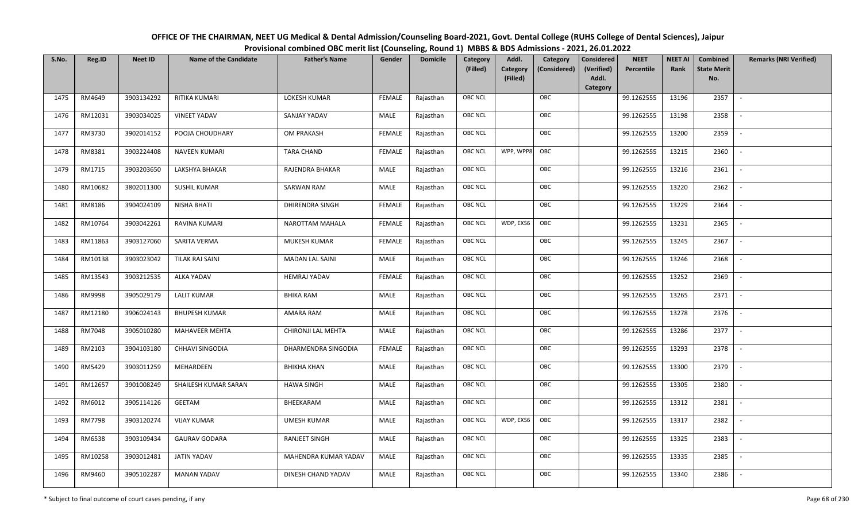| OFFICE OF THE CHAIRMAN, NEET UG Medical & Dental Admission/Counseling Board-2021, Govt. Dental College (RUHS College of Dental Sciences), Jaipur |
|--------------------------------------------------------------------------------------------------------------------------------------------------|
| Provisional combined OBC merit list (Counseling, Round 1) MBBS & BDS Admissions - 2021, 26.01.2022                                               |

| S.No. | Reg.ID        | <b>Neet ID</b> | <b>Name of the Candidate</b> | <b>Father's Name</b>   | Gender        | <b>Domicile</b> | Category<br>(Filled) | Addl.<br><b>Category</b><br>(Filled) | Category<br>(Considered) | <b>Considered</b><br>(Verified)<br>Addl. | <b>NEET</b><br>Percentile | <b>NEET AI</b><br>Rank | Combined<br><b>State Merit</b><br>No. | <b>Remarks (NRI Verified)</b> |
|-------|---------------|----------------|------------------------------|------------------------|---------------|-----------------|----------------------|--------------------------------------|--------------------------|------------------------------------------|---------------------------|------------------------|---------------------------------------|-------------------------------|
|       |               |                |                              |                        |               |                 |                      |                                      |                          | Category                                 |                           |                        |                                       |                               |
| 1475  | RM4649        | 3903134292     | RITIKA KUMARI                | LOKESH KUMAR           | <b>FEMALE</b> | Rajasthan       | <b>OBC NCL</b>       |                                      | OBC                      |                                          | 99.1262555                | 13196                  | 2357                                  | $\sim$                        |
| 1476  | RM12031       | 3903034025     | <b>VINEET YADAV</b>          | SANJAY YADAV           | MALE          | Rajasthan       | OBC NCL              |                                      | OBC                      |                                          | 99.1262555                | 13198                  | 2358                                  |                               |
| 1477  | RM3730        | 3902014152     | POOJA CHOUDHARY              | OM PRAKASH             | <b>FEMALE</b> | Rajasthan       | <b>OBC NCL</b>       |                                      | OBC                      |                                          | 99.1262555                | 13200                  | 2359                                  |                               |
| 1478  | RM8381        | 3903224408     | NAVEEN KUMARI                | <b>TARA CHAND</b>      | <b>FEMALE</b> | Rajasthan       | <b>OBC NCL</b>       | WPP, WPP8                            | OBC                      |                                          | 99.1262555                | 13215                  | 2360                                  | $\overline{\phantom{a}}$      |
| 1479  | RM1715        | 3903203650     | LAKSHYA BHAKAR               | RAJENDRA BHAKAR        | MALE          | Rajasthan       | <b>OBC NCL</b>       |                                      | OBC                      |                                          | 99.1262555                | 13216                  | 2361                                  | $\sim$                        |
| 1480  | RM10682       | 3802011300     | SUSHIL KUMAR                 | <b>SARWAN RAM</b>      | MALE          | Rajasthan       | <b>OBC NCL</b>       |                                      | OBC                      |                                          | 99.1262555                | 13220                  | 2362                                  | $\overline{\phantom{a}}$      |
| 1481  | RM8186        | 3904024109     | <b>NISHA BHATI</b>           | DHIRENDRA SINGH        | <b>FEMALE</b> | Rajasthan       | <b>OBC NCL</b>       |                                      | OBC                      |                                          | 99.1262555                | 13229                  | 2364                                  | $\blacksquare$                |
| 1482  | RM10764       | 3903042261     | RAVINA KUMARI                | NAROTTAM MAHALA        | <b>FEMALE</b> | Rajasthan       | <b>OBC NCL</b>       | WDP, EXS6                            | OBC                      |                                          | 99.1262555                | 13231                  | 2365                                  |                               |
| 1483  | RM11863       | 3903127060     | SARITA VERMA                 | MUKESH KUMAR           | <b>FEMALE</b> | Rajasthan       | <b>OBC NCL</b>       |                                      | OBC                      |                                          | 99.1262555                | 13245                  | 2367                                  |                               |
| 1484  | RM10138       | 3903023042     | TILAK RAJ SAINI              | <b>MADAN LAL SAINI</b> | MALE          | Rajasthan       | OBC NCL              |                                      | OBC                      |                                          | 99.1262555                | 13246                  | 2368                                  |                               |
| 1485  | RM13543       | 3903212535     | ALKA YADAV                   | <b>HEMRAJ YADAV</b>    | <b>FEMALE</b> | Rajasthan       | <b>OBC NCL</b>       |                                      | OBC                      |                                          | 99.1262555                | 13252                  | 2369                                  |                               |
| 1486  | RM9998        | 3905029179     | <b>LALIT KUMAR</b>           | <b>BHIKA RAM</b>       | MALE          | Rajasthan       | OBC NCL              |                                      | OBC                      |                                          | 99.1262555                | 13265                  | 2371                                  | $\overline{\phantom{a}}$      |
| 1487  | RM12180       | 3906024143     | <b>BHUPESH KUMAR</b>         | AMARA RAM              | MALE          | Rajasthan       | <b>OBC NCL</b>       |                                      | OBC                      |                                          | 99.1262555                | 13278                  | 2376                                  |                               |
| 1488  | RM7048        | 3905010280     | <b>MAHAVEER MEHTA</b>        | CHIRONJI LAL MEHTA     | MALE          | Rajasthan       | <b>OBC NCL</b>       |                                      | OBC                      |                                          | 99.1262555                | 13286                  | 2377                                  | $\sim$                        |
| 1489  | RM2103        | 3904103180     | <b>CHHAVI SINGODIA</b>       | DHARMENDRA SINGODIA    | <b>FEMALE</b> | Rajasthan       | OBC NCL              |                                      | OBC                      |                                          | 99.1262555                | 13293                  | 2378                                  | $\overline{\phantom{a}}$      |
| 1490  | RM5429        | 3903011259     | MEHARDEEN                    | <b>BHIKHA KHAN</b>     | MALE          | Rajasthan       | <b>OBC NCL</b>       |                                      | OBC                      |                                          | 99.1262555                | 13300                  | 2379                                  | $\sim$                        |
| 1491  | RM12657       | 3901008249     | SHAILESH KUMAR SARAN         | <b>HAWA SINGH</b>      | MALE          | Rajasthan       | <b>OBC NCL</b>       |                                      | OBC                      |                                          | 99.1262555                | 13305                  | 2380                                  | $\overline{\phantom{a}}$      |
| 1492  | RM6012        | 3905114126     | <b>GEETAM</b>                | BHEEKARAM              | MALE          | Rajasthan       | OBC NCL              |                                      | OBC                      |                                          | 99.1262555                | 13312                  | 2381                                  |                               |
| 1493  | <b>RM7798</b> | 3903120274     | <b>VIJAY KUMAR</b>           | <b>UMESH KUMAR</b>     | MALE          | Rajasthan       | <b>OBC NCL</b>       | WDP, EXS6                            | OBC                      |                                          | 99.1262555                | 13317                  | 2382                                  |                               |
| 1494  | RM6538        | 3903109434     | <b>GAURAV GODARA</b>         | <b>RANJEET SINGH</b>   | MALE          | Rajasthan       | <b>OBC NCL</b>       |                                      | OBC                      |                                          | 99.1262555                | 13325                  | 2383                                  | $\blacksquare$                |
| 1495  | RM10258       | 3903012481     | <b>JATIN YADAV</b>           | MAHENDRA KUMAR YADAV   | <b>MALE</b>   | Rajasthan       | <b>OBC NCL</b>       |                                      | OBC                      |                                          | 99.1262555                | 13335                  | 2385                                  |                               |
| 1496  | RM9460        | 3905102287     | <b>MANAN YADAV</b>           | DINESH CHAND YADAV     | MALE          | Rajasthan       | <b>OBC NCL</b>       |                                      | OBC                      |                                          | 99.1262555                | 13340                  | 2386                                  |                               |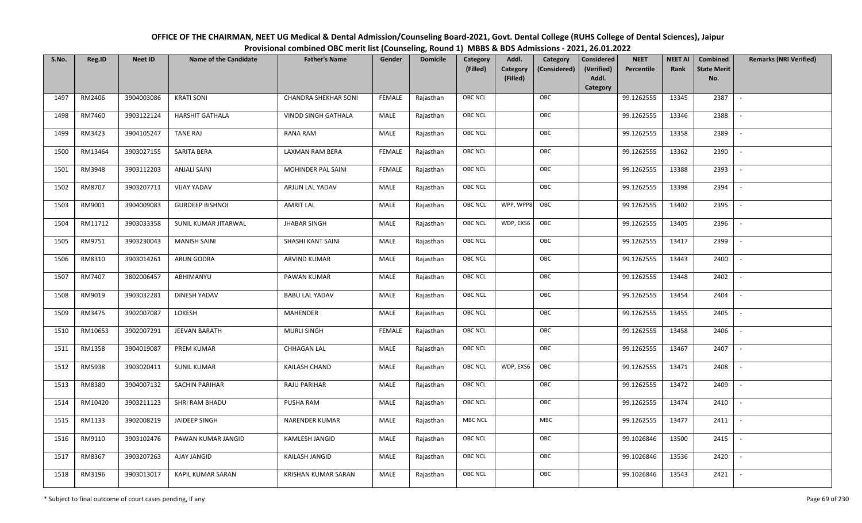| OFFICE OF THE CHAIRMAN, NEET UG Medical & Dental Admission/Counseling Board-2021, Govt. Dental College (RUHS College of Dental Sciences), Jaipur |
|--------------------------------------------------------------------------------------------------------------------------------------------------|
| Provisional combined OBC merit list (Counseling, Round 1) MBBS & BDS Admissions - 2021, 26.01.2022                                               |

| S.No. | Reg.ID  | <b>Neet ID</b> | <b>Name of the Candidate</b> | <b>Father's Name</b>        | Gender        | <b>Domicile</b> | Category<br>(Filled) | Addl.<br><b>Category</b><br>(Filled) | Category<br>(Considered) | Considered<br>(Verified)<br>Addl. | <b>NEET</b><br>Percentile | <b>NEET AI</b><br>Rank | Combined<br><b>State Merit</b><br>No. | <b>Remarks (NRI Verified)</b> |
|-------|---------|----------------|------------------------------|-----------------------------|---------------|-----------------|----------------------|--------------------------------------|--------------------------|-----------------------------------|---------------------------|------------------------|---------------------------------------|-------------------------------|
|       |         |                |                              |                             |               |                 |                      |                                      |                          | Category                          |                           |                        |                                       |                               |
| 1497  | RM2406  | 3904003086     | <b>KRATI SONI</b>            | <b>CHANDRA SHEKHAR SONI</b> | <b>FEMALE</b> | Rajasthan       | <b>OBC NCL</b>       |                                      | OBC                      |                                   | 99.1262555                | 13345                  | 2387                                  | $\sim$                        |
| 1498  | RM7460  | 3903122124     | HARSHIT GATHALA              | VINOD SINGH GATHALA         | MALE          | Rajasthan       | OBC NCL              |                                      | OBC                      |                                   | 99.1262555                | 13346                  | 2388                                  |                               |
| 1499  | RM3423  | 3904105247     | <b>TANE RAJ</b>              | RANA RAM                    | MALE          | Rajasthan       | <b>OBC NCL</b>       |                                      | OBC                      |                                   | 99.1262555                | 13358                  | 2389                                  |                               |
| 1500  | RM13464 | 3903027155     | SARITA BERA                  | LAXMAN RAM BERA             | <b>FEMALE</b> | Rajasthan       | OBC NCL              |                                      | OBC                      |                                   | 99.1262555                | 13362                  | 2390                                  | $\overline{\phantom{a}}$      |
| 1501  | RM3948  | 3903112203     | <b>ANJALI SAINI</b>          | MOHINDER PAL SAINI          | <b>FEMALE</b> | Rajasthan       | <b>OBC NCL</b>       |                                      | OBC                      |                                   | 99.1262555                | 13388                  | 2393                                  | $\sim$                        |
| 1502  | RM8707  | 3903207711     | <b>VIJAY YADAV</b>           | ARJUN LAL YADAV             | MALE          | Rajasthan       | <b>OBC NCL</b>       |                                      | OBC                      |                                   | 99.1262555                | 13398                  | 2394                                  | $\overline{\phantom{a}}$      |
| 1503  | RM9001  | 3904009083     | <b>GURDEEP BISHNOI</b>       | <b>AMRIT LAL</b>            | MALE          | Rajasthan       | <b>OBC NCL</b>       | WPP, WPP8                            | OBC                      |                                   | 99.1262555                | 13402                  | 2395                                  | $\blacksquare$                |
| 1504  | RM11712 | 3903033358     | SUNIL KUMAR JITARWAL         | <b>JHABAR SINGH</b>         | MALE          | Rajasthan       | <b>OBC NCL</b>       | WDP, EXS6                            | OBC                      |                                   | 99.1262555                | 13405                  | 2396                                  |                               |
| 1505  | RM9751  | 3903230043     | <b>MANISH SAINI</b>          | SHASHI KANT SAINI           | MALE          | Rajasthan       | <b>OBC NCL</b>       |                                      | OBC                      |                                   | 99.1262555                | 13417                  | 2399                                  |                               |
| 1506  | RM8310  | 3903014261     | ARUN GODRA                   | ARVIND KUMAR                | MALE          | Rajasthan       | OBC NCL              |                                      | OBC                      |                                   | 99.1262555                | 13443                  | 2400                                  | $\overline{\phantom{a}}$      |
| 1507  | RM7407  | 3802006457     | ABHIMANYU                    | PAWAN KUMAR                 | MALE          | Rajasthan       | <b>OBC NCL</b>       |                                      | OBC                      |                                   | 99.1262555                | 13448                  | 2402                                  |                               |
| 1508  | RM9019  | 3903032281     | DINESH YADAV                 | <b>BABU LAL YADAV</b>       | MALE          | Rajasthan       | OBC NCL              |                                      | OBC                      |                                   | 99.1262555                | 13454                  | 2404                                  | $\sim$                        |
| 1509  | RM3475  | 3902007087     | LOKESH                       | <b>MAHENDER</b>             | MALE          | Rajasthan       | <b>OBC NCL</b>       |                                      | OBC                      |                                   | 99.1262555                | 13455                  | 2405                                  |                               |
| 1510  | RM10653 | 3902007291     | JEEVAN BARATH                | <b>MURLI SINGH</b>          | <b>FEMALE</b> | Rajasthan       | <b>OBC NCL</b>       |                                      | OBC                      |                                   | 99.1262555                | 13458                  | 2406                                  | $\overline{\phantom{a}}$      |
| 1511  | RM1358  | 3904019087     | <b>PREM KUMAR</b>            | <b>CHHAGAN LAL</b>          | <b>MALE</b>   | Rajasthan       | OBC NCL              |                                      | OBC                      |                                   | 99.1262555                | 13467                  | 2407                                  | $\overline{\phantom{a}}$      |
| 1512  | RM5938  | 3903020411     | <b>SUNIL KUMAR</b>           | KAILASH CHAND               | MALE          | Rajasthan       | <b>OBC NCL</b>       | WDP, EXS6                            | OBC                      |                                   | 99.1262555                | 13471                  | 2408                                  | $\overline{\phantom{a}}$      |
| 1513  | RM8380  | 3904007132     | SACHIN PARIHAR               | RAJU PARIHAR                | MALE          | Rajasthan       | <b>OBC NCL</b>       |                                      | OBC                      |                                   | 99.1262555                | 13472                  | 2409                                  | $\overline{\phantom{a}}$      |
| 1514  | RM10420 | 3903211123     | SHRI RAM BHADU               | PUSHA RAM                   | MALE          | Rajasthan       | OBC NCL              |                                      | OBC                      |                                   | 99.1262555                | 13474                  | 2410                                  |                               |
| 1515  | RM1133  | 3902008219     | JAIDEEP SINGH                | <b>NARENDER KUMAR</b>       | MALE          | Rajasthan       | <b>MBC NCL</b>       |                                      | <b>MBC</b>               |                                   | 99.1262555                | 13477                  | 2411                                  |                               |
| 1516  | RM9110  | 3903102476     | PAWAN KUMAR JANGID           | KAMLESH JANGID              | MALE          | Rajasthan       | OBC NCL              |                                      | OBC                      |                                   | 99.1026846                | 13500                  | 2415                                  | $\blacksquare$                |
| 1517  | RM8367  | 3903207263     | AJAY JANGID                  | KAILASH JANGID              | <b>MALE</b>   | Rajasthan       | <b>OBC NCL</b>       |                                      | OBC                      |                                   | 99.1026846                | 13536                  | 2420                                  |                               |
| 1518  | RM3196  | 3903013017     | KAPIL KUMAR SARAN            | KRISHAN KUMAR SARAN         | MALE          | Rajasthan       | <b>OBC NCL</b>       |                                      | OBC                      |                                   | 99.1026846                | 13543                  | 2421                                  |                               |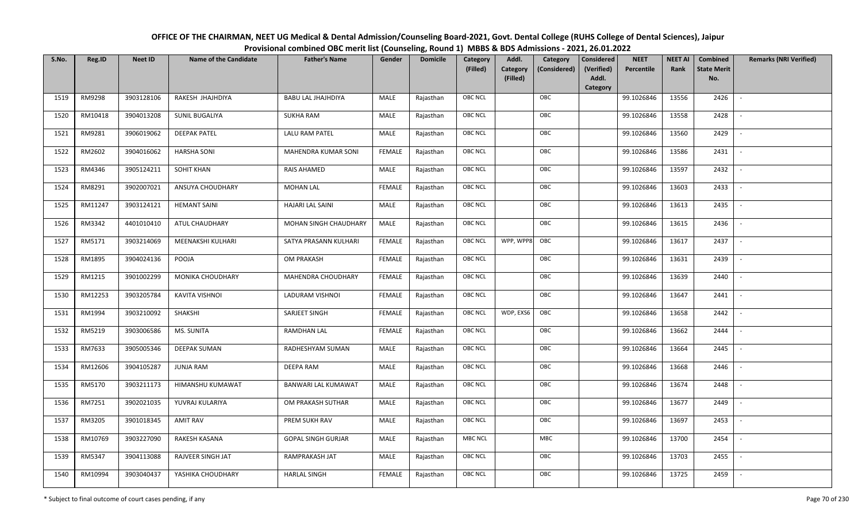| OFFICE OF THE CHAIRMAN, NEET UG Medical & Dental Admission/Counseling Board-2021, Govt. Dental College (RUHS College of Dental Sciences), Jaipur |
|--------------------------------------------------------------------------------------------------------------------------------------------------|
| Provisional combined OBC merit list (Counseling, Round 1) MBBS & BDS Admissions - 2021, 26.01.2022                                               |

| S.No. | Reg.ID  | <b>Neet ID</b> | <b>Name of the Candidate</b> | <b>Father's Name</b>      | Gender        | <b>Domicile</b> | Category<br>(Filled) | Addl.<br>Category<br>(Filled) | Category<br>(Considered) | <b>Considered</b><br>(Verified)<br>Addl. | <b>NEET</b><br>Percentile | <b>NEET AI</b><br>Rank | Combined<br><b>State Merit</b><br>No. | <b>Remarks (NRI Verified)</b> |
|-------|---------|----------------|------------------------------|---------------------------|---------------|-----------------|----------------------|-------------------------------|--------------------------|------------------------------------------|---------------------------|------------------------|---------------------------------------|-------------------------------|
|       |         |                |                              |                           |               |                 |                      |                               |                          | Category                                 |                           |                        |                                       |                               |
| 1519  | RM9298  | 3903128106     | RAKESH JHAJHDIYA             | <b>BABU LAL JHAJHDIYA</b> | MALE          | Rajasthan       | OBC NCL              |                               | OBC                      |                                          | 99.1026846                | 13556                  | 2426                                  | $\blacksquare$                |
| 1520  | RM10418 | 3904013208     | SUNIL BUGALIYA               | <b>SUKHA RAM</b>          | MALE          | Rajasthan       | OBC NCL              |                               | OBC                      |                                          | 99.1026846                | 13558                  | 2428                                  |                               |
| 1521  | RM9281  | 3906019062     | <b>DEEPAK PATEL</b>          | LALU RAM PATEL            | MALE          | Rajasthan       | <b>OBC NCL</b>       |                               | OBC                      |                                          | 99.1026846                | 13560                  | 2429                                  |                               |
| 1522  | RM2602  | 3904016062     | <b>HARSHA SONI</b>           | MAHENDRA KUMAR SONI       | <b>FEMALE</b> | Rajasthan       | OBC NCL              |                               | OBC                      |                                          | 99.1026846                | 13586                  | 2431                                  | $\overline{\phantom{a}}$      |
| 1523  | RM4346  | 3905124211     | SOHIT KHAN                   | <b>RAIS AHAMED</b>        | MALE          | Rajasthan       | OBC NCL              |                               | OBC                      |                                          | 99.1026846                | 13597                  | 2432                                  | $\overline{\phantom{a}}$      |
| 1524  | RM8291  | 3902007021     | ANSUYA CHOUDHARY             | <b>MOHAN LAL</b>          | <b>FEMALE</b> | Rajasthan       | OBC NCL              |                               | OBC                      |                                          | 99.1026846                | 13603                  | 2433                                  | $\overline{\phantom{a}}$      |
| 1525  | RM11247 | 3903124121     | <b>HEMANT SAINI</b>          | <b>HAJARI LAL SAINI</b>   | MALE          | Rajasthan       | OBC NCL              |                               | OBC                      |                                          | 99.1026846                | 13613                  | 2435                                  | $\blacksquare$                |
| 1526  | RM3342  | 4401010410     | ATUL CHAUDHARY               | MOHAN SINGH CHAUDHARY     | MALE          | Rajasthan       | OBC NCL              |                               | OBC                      |                                          | 99.1026846                | 13615                  | 2436                                  |                               |
| 1527  | RM5171  | 3903214069     | MEENAKSHI KULHARI            | SATYA PRASANN KULHARI     | <b>FEMALE</b> | Rajasthan       | <b>OBC NCL</b>       | WPP, WPP8                     | OBC                      |                                          | 99.1026846                | 13617                  | 2437                                  |                               |
| 1528  | RM1895  | 3904024136     | POOJA                        | <b>OM PRAKASH</b>         | <b>FEMALE</b> | Rajasthan       | OBC NCL              |                               | OBC                      |                                          | 99.1026846                | 13631                  | 2439                                  |                               |
| 1529  | RM1215  | 3901002299     | MONIKA CHOUDHARY             | MAHENDRA CHOUDHARY        | <b>FEMALE</b> | Rajasthan       | <b>OBC NCL</b>       |                               | OBC                      |                                          | 99.1026846                | 13639                  | 2440                                  |                               |
| 1530  | RM12253 | 3903205784     | KAVITA VISHNOI               | LADURAM VISHNOI           | <b>FEMALE</b> | Rajasthan       | OBC NCL              |                               | OBC                      |                                          | 99.1026846                | 13647                  | 2441                                  | $\sim$                        |
| 1531  | RM1994  | 3903210092     | SHAKSHI                      | SARJEET SINGH             | FEMALE        | Rajasthan       | OBC NCL              | WDP, EXS6                     | OBC                      |                                          | 99.1026846                | 13658                  | 2442                                  |                               |
| 1532  | RM5219  | 3903006586     | MS. SUNITA                   | <b>RAMDHAN LAL</b>        | <b>FEMALE</b> | Rajasthan       | OBC NCL              |                               | OBC                      |                                          | 99.1026846                | 13662                  | 2444                                  | $\overline{a}$                |
| 1533  | RM7633  | 3905005346     | <b>DEEPAK SUMAN</b>          | RADHESHYAM SUMAN          | <b>MALE</b>   | Rajasthan       | OBC NCL              |                               | OBC                      |                                          | 99.1026846                | 13664                  | 2445                                  | $\overline{\phantom{a}}$      |
| 1534  | RM12606 | 3904105287     | <b>JUNJA RAM</b>             | <b>DEEPA RAM</b>          | MALE          | Rajasthan       | OBC NCL              |                               | OBC                      |                                          | 99.1026846                | 13668                  | 2446                                  | $\sim$                        |
| 1535  | RM5170  | 3903211173     | HIMANSHU KUMAWAT             | BANWARI LAL KUMAWAT       | MALE          | Rajasthan       | OBC NCL              |                               | OBC                      |                                          | 99.1026846                | 13674                  | 2448                                  | $\overline{\phantom{a}}$      |
| 1536  | RM7251  | 3902021035     | YUVRAJ KULARIYA              | OM PRAKASH SUTHAR         | MALE          | Rajasthan       | OBC NCL              |                               | OBC                      |                                          | 99.1026846                | 13677                  | 2449                                  |                               |
| 1537  | RM3205  | 3901018345     | AMIT RAV                     | PREM SUKH RAV             | MALE          | Rajasthan       | <b>OBC NCL</b>       |                               | OBC                      |                                          | 99.1026846                | 13697                  | 2453                                  |                               |
| 1538  | RM10769 | 3903227090     | RAKESH KASANA                | <b>GOPAL SINGH GURJAR</b> | MALE          | Rajasthan       | <b>MBC NCL</b>       |                               | <b>MBC</b>               |                                          | 99.1026846                | 13700                  | 2454                                  | $\blacksquare$                |
| 1539  | RM5347  | 3904113088     | RAJVEER SINGH JAT            | RAMPRAKASH JAT            | <b>MALE</b>   | Rajasthan       | OBC NCL              |                               | OBC                      |                                          | 99.1026846                | 13703                  | 2455                                  |                               |
| 1540  | RM10994 | 3903040437     | YASHIKA CHOUDHARY            | <b>HARLAL SINGH</b>       | <b>FEMALE</b> | Rajasthan       | OBC NCL              |                               | OBC                      |                                          | 99.1026846                | 13725                  | 2459                                  |                               |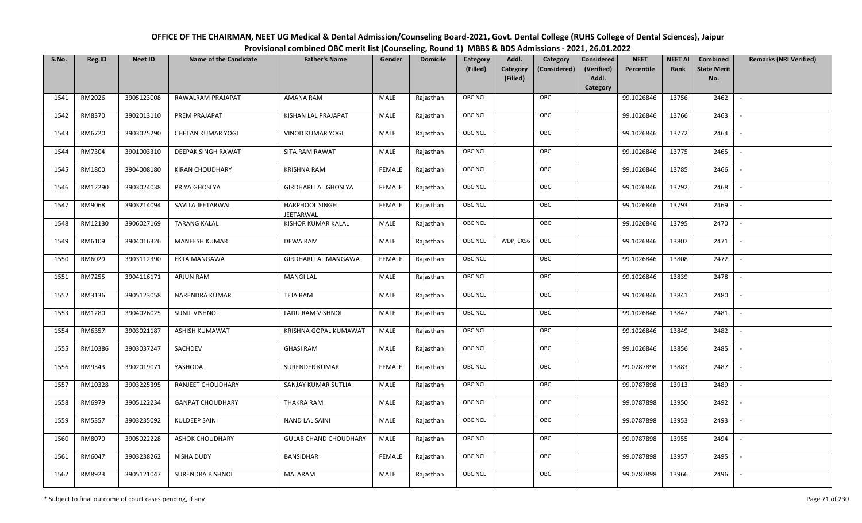| OFFICE OF THE CHAIRMAN, NEET UG Medical & Dental Admission/Counseling Board-2021, Govt. Dental College (RUHS College of Dental Sciences), Jaipur |
|--------------------------------------------------------------------------------------------------------------------------------------------------|
| Provisional combined OBC merit list (Counseling, Round 1) MBBS & BDS Admissions - 2021, 26.01.2022                                               |

| S.No. | Reg.ID  | <b>Neet ID</b> | <b>Name of the Candidate</b> | <b>Father's Name</b>               | Gender        | <b>Domicile</b> | Category<br>(Filled) | Addl.<br><b>Category</b><br>(Filled) | Category<br>(Considered) | Considered<br>(Verified)<br>Addl. | <b>NEET</b><br>Percentile | <b>NEET AI</b><br>Rank | Combined<br><b>State Merit</b><br>No. | <b>Remarks (NRI Verified)</b> |
|-------|---------|----------------|------------------------------|------------------------------------|---------------|-----------------|----------------------|--------------------------------------|--------------------------|-----------------------------------|---------------------------|------------------------|---------------------------------------|-------------------------------|
| 1541  | RM2026  | 3905123008     | RAWALRAM PRAJAPAT            | AMANA RAM                          | MALE          | Rajasthan       | <b>OBC NCL</b>       |                                      | OBC                      | Category                          | 99.1026846                | 13756                  | 2462                                  | $\sim$                        |
| 1542  | RM8370  | 3902013110     | PREM PRAJAPAT                | KISHAN LAL PRAJAPAT                | MALE          | Rajasthan       | OBC NCL              |                                      | OBC                      |                                   | 99.1026846                | 13766                  | 2463                                  |                               |
| 1543  | RM6720  | 3903025290     | <b>CHETAN KUMAR YOGI</b>     | <b>VINOD KUMAR YOGI</b>            | MALE          | Rajasthan       | <b>OBC NCL</b>       |                                      | OBC                      |                                   | 99.1026846                | 13772                  | 2464                                  |                               |
| 1544  | RM7304  | 3901003310     | DEEPAK SINGH RAWAT           | SITA RAM RAWAT                     | MALE          | Rajasthan       | OBC NCL              |                                      | OBC                      |                                   | 99.1026846                | 13775                  | 2465                                  | $\overline{\phantom{a}}$      |
| 1545  | RM1800  | 3904008180     | <b>KIRAN CHOUDHARY</b>       | <b>KRISHNA RAM</b>                 | <b>FEMALE</b> | Rajasthan       | <b>OBC NCL</b>       |                                      | OBC                      |                                   | 99.1026846                | 13785                  | 2466                                  | $\overline{\phantom{a}}$      |
| 1546  | RM12290 | 3903024038     | PRIYA GHOSLYA                | <b>GIRDHARI LAL GHOSLYA</b>        | <b>FEMALE</b> | Rajasthan       | <b>OBC NCL</b>       |                                      | OBC                      |                                   | 99.1026846                | 13792                  | 2468                                  | $\overline{\phantom{a}}$      |
| 1547  | RM9068  | 3903214094     | SAVITA JEETARWAL             | <b>HARPHOOL SINGH</b><br>JEETARWAL | <b>FEMALE</b> | Rajasthan       | <b>OBC NCL</b>       |                                      | OBC                      |                                   | 99.1026846                | 13793                  | 2469                                  |                               |
| 1548  | RM12130 | 3906027169     | <b>TARANG KALAL</b>          | KISHOR KUMAR KALAL                 | MALE          | Rajasthan       | <b>OBC NCL</b>       |                                      | OBC                      |                                   | 99.1026846                | 13795                  | 2470                                  |                               |
| 1549  | RM6109  | 3904016326     | <b>MANEESH KUMAR</b>         | <b>DEWA RAM</b>                    | MALE          | Rajasthan       | OBC NCL              | WDP, EXS6                            | OBC                      |                                   | 99.1026846                | 13807                  | 2471                                  |                               |
| 1550  | RM6029  | 3903112390     | EKTA MANGAWA                 | <b>GIRDHARI LAL MANGAWA</b>        | <b>FEMALE</b> | Rajasthan       | <b>OBC NCL</b>       |                                      | OBC                      |                                   | 99.1026846                | 13808                  | 2472                                  | $\overline{\phantom{a}}$      |
| 1551  | RM7255  | 3904116171     | ARJUN RAM                    | <b>MANGI LAL</b>                   | MALE          | Rajasthan       | OBC NCL              |                                      | OBC                      |                                   | 99.1026846                | 13839                  | 2478                                  |                               |
| 1552  | RM3136  | 3905123058     | NARENDRA KUMAR               | <b>TEJA RAM</b>                    | MALE          | Rajasthan       | <b>OBC NCL</b>       |                                      | OBC                      |                                   | 99.1026846                | 13841                  | 2480                                  |                               |
| 1553  | RM1280  | 3904026025     | <b>SUNIL VISHNOI</b>         | LADU RAM VISHNOI                   | MALE          | Rajasthan       | OBC NCL              |                                      | OBC                      |                                   | 99.1026846                | 13847                  | 2481                                  |                               |
| 1554  | RM6357  | 3903021187     | ASHISH KUMAWAT               | KRISHNA GOPAL KUMAWAT              | MALE          | Rajasthan       | <b>OBC NCL</b>       |                                      | OBC                      |                                   | 99.1026846                | 13849                  | 2482                                  | $\overline{\phantom{a}}$      |
| 1555  | RM10386 | 3903037247     | SACHDEV                      | <b>GHASI RAM</b>                   | MALE          | Rajasthan       | OBC NCL              |                                      | OBC                      |                                   | 99.1026846                | 13856                  | 2485                                  | $\overline{\phantom{a}}$      |
| 1556  | RM9543  | 3902019071     | YASHODA                      | <b>SURENDER KUMAR</b>              | <b>FEMALE</b> | Rajasthan       | <b>OBC NCL</b>       |                                      | OBC                      |                                   | 99.0787898                | 13883                  | 2487                                  | $\sim$                        |
| 1557  | RM10328 | 3903225395     | RANJEET CHOUDHARY            | SANJAY KUMAR SUTLIA                | MALE          | Rajasthan       | <b>OBC NCL</b>       |                                      | OBC                      |                                   | 99.0787898                | 13913                  | 2489                                  | $\overline{\phantom{a}}$      |
| 1558  | RM6979  | 3905122234     | <b>GANPAT CHOUDHARY</b>      | THAKRA RAM                         | MALE          | Rajasthan       | OBC NCL              |                                      | OBC                      |                                   | 99.0787898                | 13950                  | 2492                                  | $\sim$                        |
| 1559  | RM5357  | 3903235092     | KULDEEP SAINI                | NAND LAL SAINI                     | MALE          | Rajasthan       | <b>OBC NCL</b>       |                                      | OBC                      |                                   | 99.0787898                | 13953                  | 2493                                  |                               |
| 1560  | RM8070  | 3905022228     | <b>ASHOK CHOUDHARY</b>       | <b>GULAB CHAND CHOUDHARY</b>       | MALE          | Rajasthan       | OBC NCL              |                                      | OBC                      |                                   | 99.0787898                | 13955                  | 2494                                  |                               |
| 1561  | RM6047  | 3903238262     | NISHA DUDY                   | <b>BANSIDHAR</b>                   | <b>FEMALE</b> | Rajasthan       | <b>OBC NCL</b>       |                                      | OBC                      |                                   | 99.0787898                | 13957                  | 2495                                  |                               |
| 1562  | RM8923  | 3905121047     | <b>SURENDRA BISHNOI</b>      | MALARAM                            | MALE          | Rajasthan       | <b>OBC NCL</b>       |                                      | OBC                      |                                   | 99.0787898                | 13966                  | 2496                                  |                               |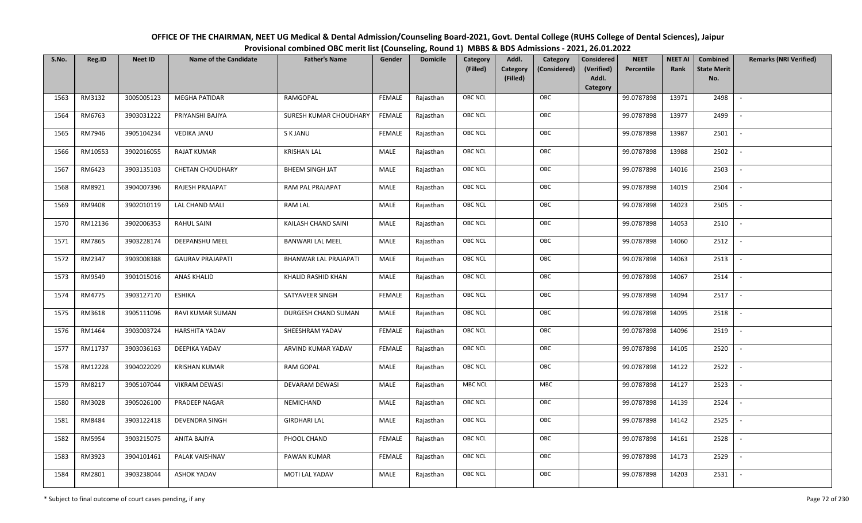| OFFICE OF THE CHAIRMAN, NEET UG Medical & Dental Admission/Counseling Board-2021, Govt. Dental College (RUHS College of Dental Sciences), Jaipur |
|--------------------------------------------------------------------------------------------------------------------------------------------------|
| Provisional combined OBC merit list (Counseling, Round 1) MBBS & BDS Admissions - 2021, 26.01.2022                                               |

| S.No. | Reg.ID  | <b>Neet ID</b> | <b>Name of the Candidate</b> | <b>Father's Name</b>    | Gender        | <b>Domicile</b> | Category       | Addl.<br>Category                    | <b>Considered</b>   | <b>NEET</b> | <b>NEET AI</b> | Combined                  | <b>Remarks (NRI Verified)</b> |
|-------|---------|----------------|------------------------------|-------------------------|---------------|-----------------|----------------|--------------------------------------|---------------------|-------------|----------------|---------------------------|-------------------------------|
|       |         |                |                              |                         |               |                 | (Filled)       | Category<br>(Considered)<br>(Filled) | (Verified)<br>Addl. | Percentile  | Rank           | <b>State Merit</b><br>No. |                               |
|       |         |                |                              |                         |               |                 |                |                                      | Category            |             |                |                           |                               |
| 1563  | RM3132  | 3005005123     | <b>MEGHA PATIDAR</b>         | RAMGOPAL                | <b>FEMALE</b> | Rajasthan       | <b>OBC NCL</b> | OBC                                  |                     | 99.0787898  | 13971          | 2498                      | $\sim$                        |
| 1564  | RM6763  | 3903031222     | PRIYANSHI BAJIYA             | SURESH KUMAR CHOUDHARY  | <b>FEMALE</b> | Rajasthan       | OBC NCL        | OBC                                  |                     | 99.0787898  | 13977          | 2499                      |                               |
| 1565  | RM7946  | 3905104234     | <b>VEDIKA JANU</b>           | S K JANU                | <b>FEMALE</b> | Rajasthan       | <b>OBC NCL</b> | OBC                                  |                     | 99.0787898  | 13987          | 2501                      | $\overline{\phantom{a}}$      |
| 1566  | RM10553 | 3902016055     | <b>RAJAT KUMAR</b>           | <b>KRISHAN LAL</b>      | <b>MALE</b>   | Rajasthan       | <b>OBC NCL</b> | OBC                                  |                     | 99.0787898  | 13988          | 2502                      | $\overline{\phantom{a}}$      |
| 1567  | RM6423  | 3903135103     | <b>CHETAN CHOUDHARY</b>      | <b>BHEEM SINGH JAT</b>  | MALE          | Rajasthan       | OBC NCL        | OBC                                  |                     | 99.0787898  | 14016          | 2503                      | $\sim$                        |
| 1568  | RM8921  | 3904007396     | RAJESH PRAJAPAT              | RAM PAL PRAJAPAT        | <b>MALE</b>   | Rajasthan       | <b>OBC NCL</b> | OBC                                  |                     | 99.0787898  | 14019          | 2504                      | $\overline{\phantom{a}}$      |
| 1569  | RM9408  | 3902010119     | LAL CHAND MALI               | <b>RAM LAL</b>          | MALE          | Rajasthan       | OBC NCL        | OBC                                  |                     | 99.0787898  | 14023          | 2505                      | $\overline{\phantom{a}}$      |
| 1570  | RM12136 | 3902006353     | <b>RAHUL SAINI</b>           | KAILASH CHAND SAINI     | MALE          | Rajasthan       | OBC NCL        | OBC                                  |                     | 99.0787898  | 14053          | 2510                      |                               |
| 1571  | RM7865  | 3903228174     | DEEPANSHU MEEL               | <b>BANWARI LAL MEEL</b> | <b>MALE</b>   | Rajasthan       | OBC NCL        | OBC                                  |                     | 99.0787898  | 14060          | 2512                      |                               |
| 1572  | RM2347  | 3903008388     | <b>GAURAV PRAJAPATI</b>      | BHANWAR LAL PRAJAPATI   | <b>MALE</b>   | Rajasthan       | OBC NCL        | OBC                                  |                     | 99.0787898  | 14063          | 2513                      | $\overline{\phantom{a}}$      |
| 1573  | RM9549  | 3901015016     | <b>ANAS KHALID</b>           | KHALID RASHID KHAN      | MALE          | Rajasthan       | <b>OBC NCL</b> | OBC                                  |                     | 99.0787898  | 14067          | 2514                      |                               |
| 1574  | RM4775  | 3903127170     | <b>ESHIKA</b>                | SATYAVEER SINGH         | <b>FEMALE</b> | Rajasthan       | <b>OBC NCL</b> | OBC                                  |                     | 99.0787898  | 14094          | 2517                      | $\overline{\phantom{a}}$      |
| 1575  | RM3618  | 3905111096     | RAVI KUMAR SUMAN             | DURGESH CHAND SUMAN     | MALE          | Rajasthan       | OBC NCL        | OBC                                  |                     | 99.0787898  | 14095          | 2518                      |                               |
| 1576  | RM1464  | 3903003724     | <b>HARSHITA YADAV</b>        | SHEESHRAM YADAV         | <b>FEMALE</b> | Rajasthan       | OBC NCL        | OBC                                  |                     | 99.0787898  | 14096          | 2519                      | $\sim$                        |
| 1577  | RM11737 | 3903036163     | DEEPIKA YADAV                | ARVIND KUMAR YADAV      | <b>FEMALE</b> | Rajasthan       | <b>OBC NCL</b> | OBC                                  |                     | 99.0787898  | 14105          | 2520                      | $\overline{\phantom{a}}$      |
| 1578  | RM12228 | 3904022029     | <b>KRISHAN KUMAR</b>         | RAM GOPAL               | MALE          | Rajasthan       | OBC NCL        | OBC                                  |                     | 99.0787898  | 14122          | 2522                      | $\overline{\phantom{a}}$      |
| 1579  | RM8217  | 3905107044     | <b>VIKRAM DEWASI</b>         | DEVARAM DEWASI          | MALE          | Rajasthan       | <b>MBC NCL</b> | MBC                                  |                     | 99.0787898  | 14127          | 2523                      | $\overline{\phantom{a}}$      |
| 1580  | RM3028  | 3905026100     | PRADEEP NAGAR                | NEMICHAND               | <b>MALE</b>   | Rajasthan       | OBC NCL        | OBC                                  |                     | 99.0787898  | 14139          | 2524                      |                               |
| 1581  | RM8484  | 3903122418     | <b>DEVENDRA SINGH</b>        | <b>GIRDHARI LAL</b>     | MALE          | Rajasthan       | OBC NCL        | OBC                                  |                     | 99.0787898  | 14142          | 2525                      |                               |
| 1582  | RM5954  | 3903215075     | ANITA BAJIYA                 | PHOOL CHAND             | <b>FEMALE</b> | Rajasthan       | OBC NCL        | OBC                                  |                     | 99.0787898  | 14161          | 2528                      |                               |
| 1583  | RM3923  | 3904101461     | PALAK VAISHNAV               | PAWAN KUMAR             | <b>FEMALE</b> | Rajasthan       | <b>OBC NCL</b> | OBC                                  |                     | 99.0787898  | 14173          | 2529                      |                               |
| 1584  | RM2801  | 3903238044     | <b>ASHOK YADAV</b>           | MOTI LAL YADAV          | MALE          | Rajasthan       | OBC NCL        | OBC                                  |                     | 99.0787898  | 14203          | 2531                      |                               |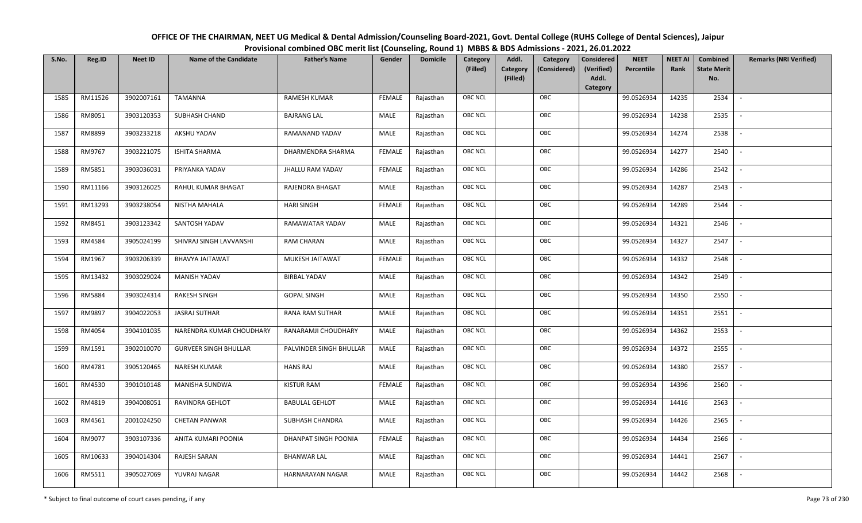| OFFICE OF THE CHAIRMAN, NEET UG Medical & Dental Admission/Counseling Board-2021, Govt. Dental College (RUHS College of Dental Sciences), Jaipur |
|--------------------------------------------------------------------------------------------------------------------------------------------------|
| Provisional combined OBC merit list (Counseling, Round 1) MBBS & BDS Admissions - 2021, 26.01.2022                                               |

| S.No. | Reg.ID  | <b>Neet ID</b> | <b>Name of the Candidate</b> | <b>Father's Name</b>    | Gender        | <b>Domicile</b> | <b>Category</b> | Addl.                | Category     | <b>Considered</b>   | <b>NEET</b> | <b>NEET AI</b> | Combined                  | <b>Remarks (NRI Verified)</b> |
|-------|---------|----------------|------------------------------|-------------------------|---------------|-----------------|-----------------|----------------------|--------------|---------------------|-------------|----------------|---------------------------|-------------------------------|
|       |         |                |                              |                         |               |                 | (Filled)        | Category<br>(Filled) | (Considered) | (Verified)<br>Addl. | Percentile  | Rank           | <b>State Merit</b><br>No. |                               |
|       |         |                |                              |                         |               |                 |                 |                      |              | <b>Category</b>     |             |                |                           |                               |
| 1585  | RM11526 | 3902007161     | TAMANNA                      | <b>RAMESH KUMAR</b>     | <b>FEMALE</b> | Rajasthan       | <b>OBC NCL</b>  |                      | OBC          |                     | 99.0526934  | 14235          | 2534                      |                               |
| 1586  | RM8051  | 3903120353     | SUBHASH CHAND                | <b>BAJRANG LAL</b>      | MALE          | Rajasthan       | OBC NCL         |                      | OBC          |                     | 99.0526934  | 14238          | 2535                      |                               |
| 1587  | RM8899  | 3903233218     | AKSHU YADAV                  | RAMANAND YADAV          | MALE          | Rajasthan       | OBC NCL         |                      | OBC          |                     | 99.0526934  | 14274          | 2538                      |                               |
| 1588  | RM9767  | 3903221075     | <b>ISHITA SHARMA</b>         | DHARMENDRA SHARMA       | <b>FEMALE</b> | Rajasthan       | OBC NCL         |                      | OBC          |                     | 99.0526934  | 14277          | 2540                      | $\blacksquare$                |
| 1589  | RM5851  | 3903036031     | PRIYANKA YADAV               | <b>JHALLU RAM YADAV</b> | <b>FEMALE</b> | Rajasthan       | OBC NCL         |                      | OBC          |                     | 99.0526934  | 14286          | 2542                      | $\sim$                        |
| 1590  | RM11166 | 3903126025     | RAHUL KUMAR BHAGAT           | RAJENDRA BHAGAT         | MALE          | Rajasthan       | <b>OBC NCL</b>  |                      | OBC          |                     | 99.0526934  | 14287          | 2543                      |                               |
| 1591  | RM13293 | 3903238054     | NISTHA MAHALA                | <b>HARI SINGH</b>       | <b>FEMALE</b> | Rajasthan       | OBC NCL         |                      | OBC          |                     | 99.0526934  | 14289          | 2544                      |                               |
| 1592  | RM8451  | 3903123342     | SANTOSH YADAV                | RAMAWATAR YADAV         | MALE          | Rajasthan       | <b>OBC NCL</b>  |                      | OBC          |                     | 99.0526934  | 14321          | 2546                      |                               |
| 1593  | RM4584  | 3905024199     | SHIVRAJ SINGH LAVVANSHI      | <b>RAM CHARAN</b>       | MALE          | Rajasthan       | OBC NCL         |                      | OBC          |                     | 99.0526934  | 14327          | 2547                      |                               |
| 1594  | RM1967  | 3903206339     | BHAVYA JAITAWAT              | MUKESH JAITAWAT         | <b>FEMALE</b> | Rajasthan       | OBC NCL         |                      | OBC          |                     | 99.0526934  | 14332          | 2548                      | $\overline{\phantom{a}}$      |
| 1595  | RM13432 | 3903029024     | <b>MANISH YADAV</b>          | <b>BIRBAL YADAV</b>     | MALE          | Rajasthan       | <b>OBC NCL</b>  |                      | OBC          |                     | 99.0526934  | 14342          | 2549                      |                               |
| 1596  | RM5884  | 3903024314     | RAKESH SINGH                 | <b>GOPAL SINGH</b>      | MALE          | Rajasthan       | OBC NCL         |                      | OBC          |                     | 99.0526934  | 14350          | 2550                      | $\overline{\phantom{a}}$      |
| 1597  | RM9897  | 3904022053     | <b>JASRAJ SUTHAR</b>         | <b>RANA RAM SUTHAR</b>  | MALE          | Rajasthan       | <b>OBC NCL</b>  |                      | OBC          |                     | 99.0526934  | 14351          | 2551                      |                               |
| 1598  | RM4054  | 3904101035     | NARENDRA KUMAR CHOUDHARY     | RANARAMJI CHOUDHARY     | MALE          | Rajasthan       | OBC NCL         |                      | OBC          |                     | 99.0526934  | 14362          | 2553                      | $\overline{\phantom{a}}$      |
| 1599  | RM1591  | 3902010070     | <b>GURVEER SINGH BHULLAR</b> | PALVINDER SINGH BHULLAR | MALE          | Rajasthan       | OBC NCL         |                      | OBC          |                     | 99.0526934  | 14372          | 2555                      | $\overline{\phantom{a}}$      |
| 1600  | RM4781  | 3905120465     | NARESH KUMAR                 | <b>HANS RAJ</b>         | MALE          | Rajasthan       | OBC NCL         |                      | OBC          |                     | 99.0526934  | 14380          | 2557                      | $\sim$                        |
| 1601  | RM4530  | 3901010148     | MANISHA SUNDWA               | <b>KISTUR RAM</b>       | <b>FEMALE</b> | Rajasthan       | OBC NCL         |                      | OBC          |                     | 99.0526934  | 14396          | 2560                      | $\overline{\phantom{a}}$      |
| 1602  | RM4819  | 3904008051     | RAVINDRA GEHLOT              | <b>BABULAL GEHLOT</b>   | MALE          | Rajasthan       | OBC NCL         |                      | OBC          |                     | 99.0526934  | 14416          | 2563                      |                               |
| 1603  | RM4561  | 2001024250     | <b>CHETAN PANWAR</b>         | SUBHASH CHANDRA         | MALE          | Rajasthan       | OBC NCL         |                      | OBC          |                     | 99.0526934  | 14426          | 2565                      |                               |
| 1604  | RM9077  | 3903107336     | ANITA KUMARI POONIA          | DHANPAT SINGH POONIA    | <b>FEMALE</b> | Rajasthan       | OBC NCL         |                      | OBC          |                     | 99.0526934  | 14434          | 2566                      |                               |
| 1605  | RM10633 | 3904014304     | RAJESH SARAN                 | <b>BHANWAR LAL</b>      | MALE          | Rajasthan       | <b>OBC NCL</b>  |                      | OBC          |                     | 99.0526934  | 14441          | 2567                      |                               |
| 1606  | RM5511  | 3905027069     | YUVRAJ NAGAR                 | HARNARAYAN NAGAR        | MALE          | Rajasthan       | OBC NCL         |                      | OBC          |                     | 99.0526934  | 14442          | 2568                      |                               |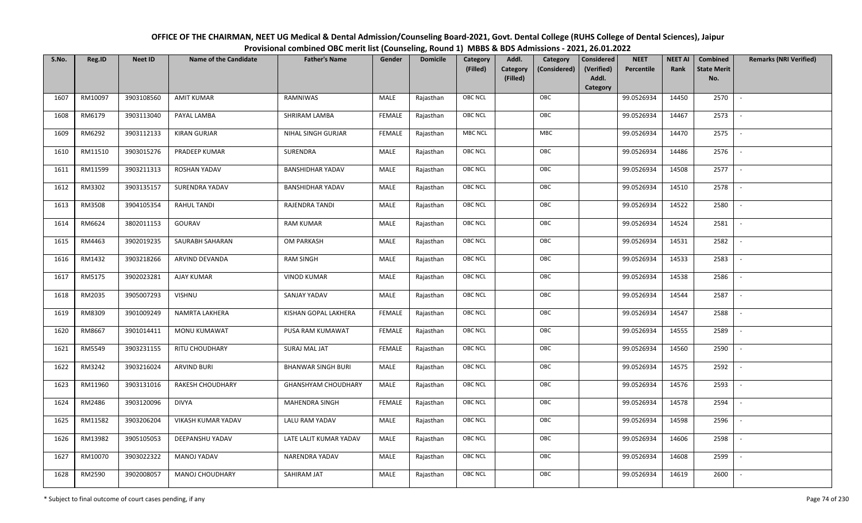| OFFICE OF THE CHAIRMAN, NEET UG Medical & Dental Admission/Counseling Board-2021, Govt. Dental College (RUHS College of Dental Sciences), Jaipur |
|--------------------------------------------------------------------------------------------------------------------------------------------------|
| Provisional combined OBC merit list (Counseling, Round 1) MBBS & BDS Admissions - 2021, 26.01.2022                                               |

| S.No. | Reg.ID  | <b>Neet ID</b> | <b>Name of the Candidate</b> | <b>Father's Name</b>       | Gender        | <b>Domicile</b> | Category       | Addl.<br>Category                    | <b>Considered</b>   | <b>NEET</b> | <b>NEET AI</b> | Combined                  | <b>Remarks (NRI Verified)</b> |
|-------|---------|----------------|------------------------------|----------------------------|---------------|-----------------|----------------|--------------------------------------|---------------------|-------------|----------------|---------------------------|-------------------------------|
|       |         |                |                              |                            |               |                 | (Filled)       | Category<br>(Considered)<br>(Filled) | (Verified)<br>Addl. | Percentile  | Rank           | <b>State Merit</b><br>No. |                               |
|       |         |                |                              |                            |               |                 |                |                                      | Category            |             |                |                           |                               |
| 1607  | RM10097 | 3903108560     | <b>AMIT KUMAR</b>            | RAMNIWAS                   | MALE          | Rajasthan       | <b>OBC NCL</b> | OBC                                  |                     | 99.0526934  | 14450          | 2570                      | $\sim$                        |
| 1608  | RM6179  | 3903113040     | PAYAL LAMBA                  | SHRIRAM LAMBA              | <b>FEMALE</b> | Rajasthan       | OBC NCL        | OBC                                  |                     | 99.0526934  | 14467          | 2573                      |                               |
| 1609  | RM6292  | 3903112133     | <b>KIRAN GURJAR</b>          | NIHAL SINGH GURJAR         | <b>FEMALE</b> | Rajasthan       | <b>MBC NCL</b> | MBC                                  |                     | 99.0526934  | 14470          | 2575                      | $\overline{\phantom{a}}$      |
| 1610  | RM11510 | 3903015276     | PRADEEP KUMAR                | SURENDRA                   | MALE          | Rajasthan       | OBC NCL        | OBC                                  |                     | 99.0526934  | 14486          | 2576                      | $\overline{\phantom{a}}$      |
| 1611  | RM11599 | 3903211313     | ROSHAN YADAV                 | <b>BANSHIDHAR YADAV</b>    | MALE          | Rajasthan       | OBC NCL        | OBC                                  |                     | 99.0526934  | 14508          | 2577                      | $\sim$                        |
| 1612  | RM3302  | 3903135157     | SURENDRA YADAV               | <b>BANSHIDHAR YADAV</b>    | MALE          | Rajasthan       | <b>OBC NCL</b> | OBC                                  |                     | 99.0526934  | 14510          | 2578                      | $\overline{\phantom{a}}$      |
| 1613  | RM3508  | 3904105354     | RAHUL TANDI                  | RAJENDRA TANDI             | MALE          | Rajasthan       | OBC NCL        | OBC                                  |                     | 99.0526934  | 14522          | 2580                      |                               |
| 1614  | RM6624  | 3802011153     | GOURAV                       | <b>RAM KUMAR</b>           | <b>MALE</b>   | Rajasthan       | OBC NCL        | OBC                                  |                     | 99.0526934  | 14524          | 2581                      |                               |
| 1615  | RM4463  | 3902019235     | SAURABH SAHARAN              | OM PARKASH                 | <b>MALE</b>   | Rajasthan       | OBC NCL        | OBC                                  |                     | 99.0526934  | 14531          | 2582                      |                               |
| 1616  | RM1432  | 3903218266     | ARVIND DEVANDA               | <b>RAM SINGH</b>           | <b>MALE</b>   | Rajasthan       | OBC NCL        | OBC                                  |                     | 99.0526934  | 14533          | 2583                      | $\overline{\phantom{a}}$      |
| 1617  | RM5175  | 3902023281     | <b>AJAY KUMAR</b>            | <b>VINOD KUMAR</b>         | <b>MALE</b>   | Rajasthan       | OBC NCL        | OBC                                  |                     | 99.0526934  | 14538          | 2586                      |                               |
| 1618  | RM2035  | 3905007293     | <b>VISHNU</b>                | SANJAY YADAV               | MALE          | Rajasthan       | <b>OBC NCL</b> | OBC                                  |                     | 99.0526934  | 14544          | 2587                      | $\sim$                        |
| 1619  | RM8309  | 3901009249     | NAMRTA LAKHERA               | KISHAN GOPAL LAKHERA       | <b>FEMALE</b> | Rajasthan       | OBC NCL        | OBC                                  |                     | 99.0526934  | 14547          | 2588                      |                               |
| 1620  | RM8667  | 3901014411     | MONU KUMAWAT                 | PUSA RAM KUMAWAT           | <b>FEMALE</b> | Rajasthan       | OBC NCL        | OBC                                  |                     | 99.0526934  | 14555          | 2589                      | $\overline{\phantom{a}}$      |
| 1621  | RM5549  | 3903231155     | RITU CHOUDHARY               | SURAJ MAL JAT              | <b>FEMALE</b> | Rajasthan       | <b>OBC NCL</b> | OBC                                  |                     | 99.0526934  | 14560          | 2590                      | $\overline{\phantom{a}}$      |
| 1622  | RM3242  | 3903216024     | <b>ARVIND BURI</b>           | <b>BHANWAR SINGH BURI</b>  | MALE          | Rajasthan       | OBC NCL        | OBC                                  |                     | 99.0526934  | 14575          | 2592                      | $\sim$                        |
| 1623  | RM11960 | 3903131016     | <b>RAKESH CHOUDHARY</b>      | <b>GHANSHYAM CHOUDHARY</b> | MALE          | Rajasthan       | OBC NCL        | OBC                                  |                     | 99.0526934  | 14576          | 2593                      | $\overline{\phantom{a}}$      |
| 1624  | RM2486  | 3903120096     | <b>DIVYA</b>                 | <b>MAHENDRA SINGH</b>      | <b>FEMALE</b> | Rajasthan       | OBC NCL        | OBC                                  |                     | 99.0526934  | 14578          | 2594                      |                               |
| 1625  | RM11582 | 3903206204     | VIKASH KUMAR YADAV           | LALU RAM YADAV             | MALE          | Rajasthan       | <b>OBC NCL</b> | OBC                                  |                     | 99.0526934  | 14598          | 2596                      |                               |
| 1626  | RM13982 | 3905105053     | DEEPANSHU YADAV              | LATE LALIT KUMAR YADAV     | <b>MALE</b>   | Rajasthan       | OBC NCL        | OBC                                  |                     | 99.0526934  | 14606          | 2598                      |                               |
| 1627  | RM10070 | 3903022322     | <b>MANOJ YADAV</b>           | NARENDRA YADAV             | MALE          | Rajasthan       | <b>OBC NCL</b> | OBC                                  |                     | 99.0526934  | 14608          | 2599                      |                               |
| 1628  | RM2590  | 3902008057     | MANOJ CHOUDHARY              | SAHIRAM JAT                | MALE          | Rajasthan       | OBC NCL        | OBC                                  |                     | 99.0526934  | 14619          | 2600                      |                               |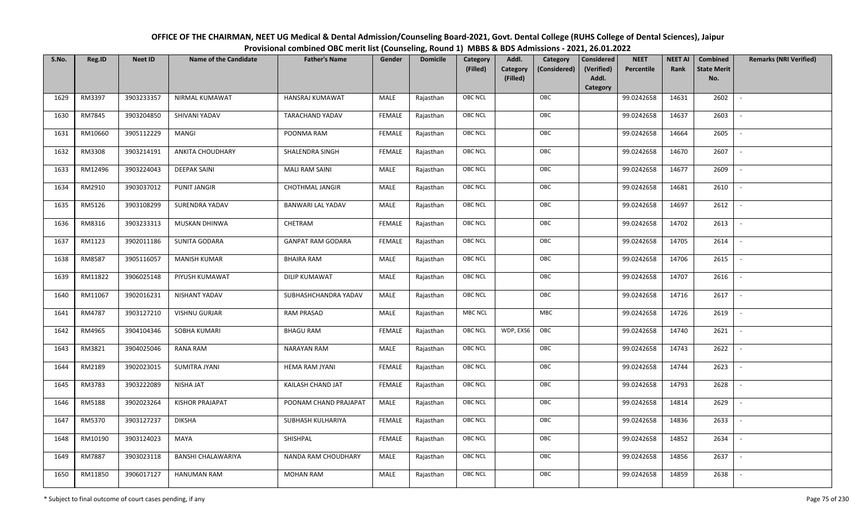| OFFICE OF THE CHAIRMAN, NEET UG Medical & Dental Admission/Counseling Board-2021, Govt. Dental College (RUHS College of Dental Sciences), Jaipur |
|--------------------------------------------------------------------------------------------------------------------------------------------------|
| Provisional combined OBC merit list (Counseling, Round 1) MBBS & BDS Admissions - 2021, 26.01.2022                                               |

| S.No. | Reg.ID  | <b>Neet ID</b> | <b>Name of the Candidate</b> | <b>Father's Name</b>     | Gender        | <b>Domicile</b> | Category<br>(Filled) | Addl.<br><b>Category</b><br>(Filled) | Category<br>(Considered) | <b>Considered</b><br>(Verified)<br>Addl. | <b>NEET</b><br>Percentile | <b>NEET AI</b><br>Rank | Combined<br><b>State Merit</b><br>No. | <b>Remarks (NRI Verified)</b> |
|-------|---------|----------------|------------------------------|--------------------------|---------------|-----------------|----------------------|--------------------------------------|--------------------------|------------------------------------------|---------------------------|------------------------|---------------------------------------|-------------------------------|
|       |         |                |                              |                          |               |                 |                      |                                      |                          | Category                                 |                           |                        |                                       |                               |
| 1629  | RM3397  | 3903233357     | NIRMAL KUMAWAT               | <b>HANSRAJ KUMAWAT</b>   | MALE          | Rajasthan       | <b>OBC NCL</b>       |                                      | OBC                      |                                          | 99.0242658                | 14631                  | 2602                                  | $\sim$                        |
| 1630  | RM7845  | 3903204850     | SHIVANI YADAV                | TARACHAND YADAV          | <b>FEMALE</b> | Rajasthan       | OBC NCL              |                                      | OBC                      |                                          | 99.0242658                | 14637                  | 2603                                  |                               |
| 1631  | RM10660 | 3905112229     | MANGI                        | POONMA RAM               | <b>FEMALE</b> | Rajasthan       | <b>OBC NCL</b>       |                                      | OBC                      |                                          | 99.0242658                | 14664                  | 2605                                  |                               |
| 1632  | RM3308  | 3903214191     | ANKITA CHOUDHARY             | SHALENDRA SINGH          | <b>FEMALE</b> | Rajasthan       | OBC NCL              |                                      | OBC                      |                                          | 99.0242658                | 14670                  | 2607                                  | $\overline{\phantom{a}}$      |
| 1633  | RM12496 | 3903224043     | <b>DEEPAK SAINI</b>          | <b>MALI RAM SAINI</b>    | MALE          | Rajasthan       | <b>OBC NCL</b>       |                                      | OBC                      |                                          | 99.0242658                | 14677                  | 2609                                  | $\sim$                        |
| 1634  | RM2910  | 3903037012     | <b>PUNIT JANGIR</b>          | <b>CHOTHMAL JANGIR</b>   | MALE          | Rajasthan       | <b>OBC NCL</b>       |                                      | OBC                      |                                          | 99.0242658                | 14681                  | 2610                                  | $\overline{\phantom{a}}$      |
| 1635  | RM5126  | 3903108299     | SURENDRA YADAV               | <b>BANWARI LAL YADAV</b> | MALE          | Rajasthan       | OBC NCL              |                                      | OBC                      |                                          | 99.0242658                | 14697                  | 2612                                  | $\blacksquare$                |
| 1636  | RM8316  | 3903233313     | MUSKAN DHINWA                | CHETRAM                  | <b>FEMALE</b> | Rajasthan       | OBC NCL              |                                      | OBC                      |                                          | 99.0242658                | 14702                  | 2613                                  |                               |
| 1637  | RM1123  | 3902011186     | <b>SUNITA GODARA</b>         | <b>GANPAT RAM GODARA</b> | <b>FEMALE</b> | Rajasthan       | OBC NCL              |                                      | OBC                      |                                          | 99.0242658                | 14705                  | 2614                                  |                               |
| 1638  | RM8587  | 3905116057     | <b>MANISH KUMAR</b>          | <b>BHAIRA RAM</b>        | MALE          | Rajasthan       | OBC NCL              |                                      | OBC                      |                                          | 99.0242658                | 14706                  | 2615                                  | $\overline{\phantom{a}}$      |
| 1639  | RM11822 | 3906025148     | PIYUSH KUMAWAT               | <b>DILIP KUMAWAT</b>     | MALE          | Rajasthan       | <b>OBC NCL</b>       |                                      | OBC                      |                                          | 99.0242658                | 14707                  | 2616                                  |                               |
| 1640  | RM11067 | 3902016231     | NISHANT YADAV                | SUBHASHCHANDRA YADAV     | MALE          | Rajasthan       | OBC NCL              |                                      | OBC                      |                                          | 99.0242658                | 14716                  | 2617                                  | $\mathcal{L}$                 |
| 1641  | RM4787  | 3903127210     | <b>VISHNU GURJAR</b>         | <b>RAM PRASAD</b>        | MALE          | Rajasthan       | <b>MBC NCL</b>       |                                      | MBC                      |                                          | 99.0242658                | 14726                  | 2619                                  |                               |
| 1642  | RM4965  | 3904104346     | SOBHA KUMARI                 | <b>BHAGU RAM</b>         | <b>FEMALE</b> | Rajasthan       | OBC NCL              | WDP, EXS6                            | OBC                      |                                          | 99.0242658                | 14740                  | 2621                                  | $\sim$                        |
| 1643  | RM3821  | 3904025046     | <b>RANA RAM</b>              | <b>NARAYAN RAM</b>       | <b>MALE</b>   | Rajasthan       | <b>OBC NCL</b>       |                                      | OBC                      |                                          | 99.0242658                | 14743                  | 2622                                  | $\overline{\phantom{a}}$      |
| 1644  | RM2189  | 3902023015     | <b>SUMITRA JYANI</b>         | HEMA RAM JYANI           | <b>FEMALE</b> | Rajasthan       | <b>OBC NCL</b>       |                                      | OBC                      |                                          | 99.0242658                | 14744                  | 2623                                  | $\sim$                        |
| 1645  | RM3783  | 3903222089     | NISHA JAT                    | KAILASH CHAND JAT        | <b>FEMALE</b> | Rajasthan       | <b>OBC NCL</b>       |                                      | OBC                      |                                          | 99.0242658                | 14793                  | 2628                                  | $\overline{\phantom{a}}$      |
| 1646  | RM5188  | 3902023264     | <b>KISHOR PRAJAPAT</b>       | POONAM CHAND PRAJAPAT    | MALE          | Rajasthan       | OBC NCL              |                                      | OBC                      |                                          | 99.0242658                | 14814                  | 2629                                  |                               |
| 1647  | RM5370  | 3903127237     | <b>DIKSHA</b>                | SUBHASH KULHARIYA        | <b>FEMALE</b> | Rajasthan       | <b>OBC NCL</b>       |                                      | OBC                      |                                          | 99.0242658                | 14836                  | 2633                                  |                               |
| 1648  | RM10190 | 3903124023     | MAYA                         | SHISHPAL                 | <b>FEMALE</b> | Rajasthan       | OBC NCL              |                                      | OBC                      |                                          | 99.0242658                | 14852                  | 2634                                  | $\blacksquare$                |
| 1649  | RM7887  | 3903023118     | <b>BANSHI CHALAWARIYA</b>    | NANDA RAM CHOUDHARY      | <b>MALE</b>   | Rajasthan       | <b>OBC NCL</b>       |                                      | OBC                      |                                          | 99.0242658                | 14856                  | 2637                                  | $\overline{\phantom{a}}$      |
| 1650  | RM11850 | 3906017127     | <b>HANUMAN RAM</b>           | <b>MOHAN RAM</b>         | MALE          | Rajasthan       | <b>OBC NCL</b>       |                                      | OBC                      |                                          | 99.0242658                | 14859                  | 2638                                  |                               |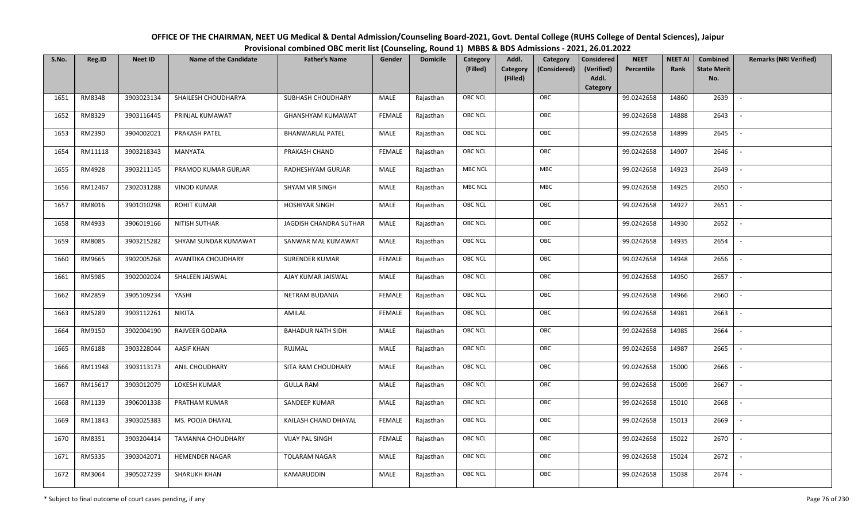| OFFICE OF THE CHAIRMAN, NEET UG Medical & Dental Admission/Counseling Board-2021, Govt. Dental College (RUHS College of Dental Sciences), Jaipur |
|--------------------------------------------------------------------------------------------------------------------------------------------------|
| Provisional combined OBC merit list (Counseling, Round 1) MBBS & BDS Admissions - 2021, 26.01.2022                                               |

| S.No. | Reg.ID  | <b>Neet ID</b> | <b>Name of the Candidate</b> | <b>Father's Name</b>     | Gender        | <b>Domicile</b> | Category<br>(Filled) | Addl.<br><b>Category</b><br>(Filled) | Category<br>(Considered) | <b>Considered</b><br>(Verified)<br>Addl. | <b>NEET</b><br>Percentile | <b>NEET AI</b><br>Rank | Combined<br><b>State Merit</b><br>No. | <b>Remarks (NRI Verified)</b> |
|-------|---------|----------------|------------------------------|--------------------------|---------------|-----------------|----------------------|--------------------------------------|--------------------------|------------------------------------------|---------------------------|------------------------|---------------------------------------|-------------------------------|
| 1651  | RM8348  | 3903023134     | SHAILESH CHOUDHARYA          | SUBHASH CHOUDHARY        | MALE          | Rajasthan       | <b>OBC NCL</b>       |                                      | OBC                      | Category                                 | 99.0242658                | 14860                  | 2639                                  | $\mathbb{L}$                  |
|       |         |                |                              |                          |               |                 |                      |                                      |                          |                                          |                           |                        |                                       |                               |
| 1652  | RM8329  | 3903116445     | PRINJAL KUMAWAT              | <b>GHANSHYAM KUMAWAT</b> | <b>FEMALE</b> | Rajasthan       | OBC NCL              |                                      | OBC                      |                                          | 99.0242658                | 14888                  | 2643                                  |                               |
| 1653  | RM2390  | 3904002021     | PRAKASH PATEL                | <b>BHANWARLAL PATEL</b>  | MALE          | Rajasthan       | <b>OBC NCL</b>       |                                      | OBC                      |                                          | 99.0242658                | 14899                  | 2645                                  |                               |
| 1654  | RM11118 | 3903218343     | MANYATA                      | PRAKASH CHAND            | <b>FEMALE</b> | Rajasthan       | OBC NCL              |                                      | OBC                      |                                          | 99.0242658                | 14907                  | 2646                                  | $\overline{\phantom{a}}$      |
| 1655  | RM4928  | 3903211145     | PRAMOD KUMAR GURJAR          | RADHESHYAM GURJAR        | MALE          | Rajasthan       | <b>MBC NCL</b>       |                                      | MBC                      |                                          | 99.0242658                | 14923                  | 2649                                  | $\sim$                        |
| 1656  | RM12467 | 2302031288     | <b>VINOD KUMAR</b>           | SHYAM VIR SINGH          | MALE          | Rajasthan       | <b>MBC NCL</b>       |                                      | MBC                      |                                          | 99.0242658                | 14925                  | 2650                                  | $\overline{\phantom{a}}$      |
| 1657  | RM8016  | 3901010298     | <b>ROHIT KUMAR</b>           | <b>HOSHIYAR SINGH</b>    | <b>MALE</b>   | Rajasthan       | OBC NCL              |                                      | OBC                      |                                          | 99.0242658                | 14927                  | 2651                                  | $\blacksquare$                |
| 1658  | RM4933  | 3906019166     | NITISH SUTHAR                | JAGDISH CHANDRA SUTHAR   | MALE          | Rajasthan       | OBC NCL              |                                      | OBC                      |                                          | 99.0242658                | 14930                  | 2652                                  |                               |
| 1659  | RM8085  | 3903215282     | SHYAM SUNDAR KUMAWAT         | SANWAR MAL KUMAWAT       | MALE          | Rajasthan       | OBC NCL              |                                      | OBC                      |                                          | 99.0242658                | 14935                  | 2654                                  |                               |
| 1660  | RM9665  | 3902005268     | AVANTIKA CHOUDHARY           | <b>SURENDER KUMAR</b>    | <b>FEMALE</b> | Rajasthan       | OBC NCL              |                                      | OBC                      |                                          | 99.0242658                | 14948                  | 2656                                  | $\overline{\phantom{a}}$      |
| 1661  | RM5985  | 3902002024     | SHALEEN JAISWAL              | AJAY KUMAR JAISWAL       | MALE          | Rajasthan       | <b>OBC NCL</b>       |                                      | OBC                      |                                          | 99.0242658                | 14950                  | 2657                                  |                               |
| 1662  | RM2859  | 3905109234     | YASHI                        | NETRAM BUDANIA           | <b>FEMALE</b> | Rajasthan       | OBC NCL              |                                      | OBC                      |                                          | 99.0242658                | 14966                  | 2660                                  | $\sim$                        |
| 1663  | RM5289  | 3903112261     | <b>NIKITA</b>                | AMILAL                   | <b>FEMALE</b> | Rajasthan       | <b>OBC NCL</b>       |                                      | OBC                      |                                          | 99.0242658                | 14981                  | 2663                                  |                               |
| 1664  | RM9150  | 3902004190     | RAJVEER GODARA               | <b>BAHADUR NATH SIDH</b> | MALE          | Rajasthan       | <b>OBC NCL</b>       |                                      | OBC                      |                                          | 99.0242658                | 14985                  | 2664                                  | $\sim$                        |
| 1665  | RM6188  | 3903228044     | <b>AASIF KHAN</b>            | RUJMAL                   | <b>MALE</b>   | Rajasthan       | OBC NCL              |                                      | OBC                      |                                          | 99.0242658                | 14987                  | 2665                                  | $\overline{\phantom{a}}$      |
| 1666  | RM11948 | 3903113173     | ANIL CHOUDHARY               | SITA RAM CHOUDHARY       | MALE          | Rajasthan       | <b>OBC NCL</b>       |                                      | OBC                      |                                          | 99.0242658                | 15000                  | 2666                                  | $\overline{\phantom{a}}$      |
| 1667  | RM15617 | 3903012079     | LOKESH KUMAR                 | <b>GULLA RAM</b>         | MALE          | Rajasthan       | <b>OBC NCL</b>       |                                      | OBC                      |                                          | 99.0242658                | 15009                  | 2667                                  | $\overline{\phantom{a}}$      |
| 1668  | RM1139  | 3906001338     | PRATHAM KUMAR                | SANDEEP KUMAR            | MALE          | Rajasthan       | OBC NCL              |                                      | OBC                      |                                          | 99.0242658                | 15010                  | 2668                                  |                               |
| 1669  | RM11843 | 3903025383     | MS. POOJA DHAYAL             | KAILASH CHAND DHAYAL     | <b>FEMALE</b> | Rajasthan       | <b>OBC NCL</b>       |                                      | OBC                      |                                          | 99.0242658                | 15013                  | 2669                                  |                               |
| 1670  | RM8351  | 3903204414     | TAMANNA CHOUDHARY            | <b>VIJAY PAL SINGH</b>   | <b>FEMALE</b> | Rajasthan       | OBC NCL              |                                      | OBC                      |                                          | 99.0242658                | 15022                  | 2670                                  | $\blacksquare$                |
| 1671  | RM5335  | 3903042071     | <b>HEMENDER NAGAR</b>        | <b>TOLARAM NAGAR</b>     | <b>MALE</b>   | Rajasthan       | <b>OBC NCL</b>       |                                      | OBC                      |                                          | 99.0242658                | 15024                  | 2672                                  |                               |
| 1672  | RM3064  | 3905027239     | <b>SHARUKH KHAN</b>          | KAMARUDDIN               | MALE          | Rajasthan       | <b>OBC NCL</b>       |                                      | OBC                      |                                          | 99.0242658                | 15038                  | 2674                                  |                               |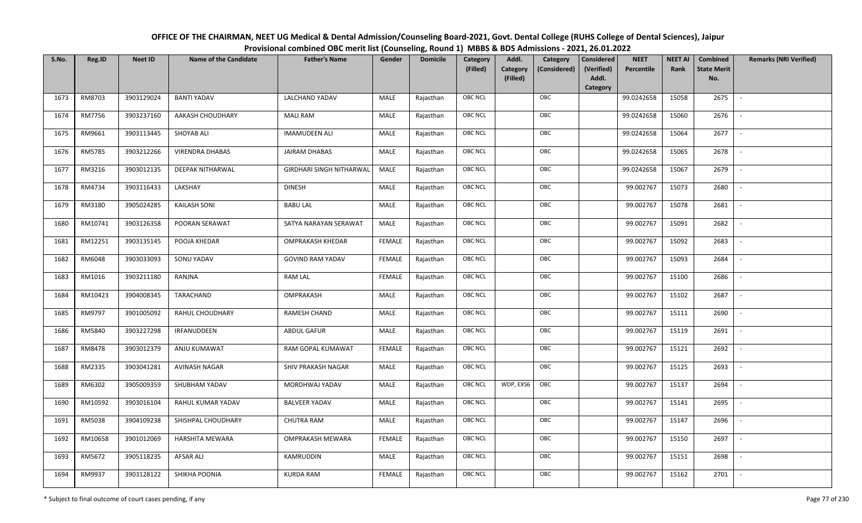| OFFICE OF THE CHAIRMAN, NEET UG Medical & Dental Admission/Counseling Board-2021, Govt. Dental College (RUHS College of Dental Sciences), Jaipur |
|--------------------------------------------------------------------------------------------------------------------------------------------------|
| Provisional combined OBC merit list (Counseling, Round 1) MBBS & BDS Admissions - 2021, 26.01.2022                                               |

| S.No. | Reg.ID  | <b>Neet ID</b> | <b>Name of the Candidate</b> | <b>Father's Name</b>            | Gender        | <b>Domicile</b> | Category<br>(Filled) | Addl.<br><b>Category</b><br>(Filled) | Category<br>(Considered) | <b>Considered</b><br>(Verified)<br>Addl. | <b>NEET</b><br>Percentile | <b>NEET AI</b><br>Rank | <b>Combined</b><br><b>State Merit</b><br>No. | <b>Remarks (NRI Verified)</b> |
|-------|---------|----------------|------------------------------|---------------------------------|---------------|-----------------|----------------------|--------------------------------------|--------------------------|------------------------------------------|---------------------------|------------------------|----------------------------------------------|-------------------------------|
| 1673  | RM8703  | 3903129024     | <b>BANTI YADAV</b>           | LALCHAND YADAV                  | MALE          | Rajasthan       | <b>OBC NCL</b>       |                                      | OBC                      | Category                                 | 99.0242658                | 15058                  | 2675                                         | $\blacksquare$                |
| 1674  | RM7756  | 3903237160     | AAKASH CHOUDHARY             | <b>MALI RAM</b>                 | MALE          | Rajasthan       | OBC NCL              |                                      | OBC                      |                                          | 99.0242658                | 15060                  | 2676                                         |                               |
| 1675  | RM9661  | 3903113445     | <b>SHOYAB ALI</b>            | <b>IMAMUDEEN ALI</b>            | MALE          | Rajasthan       | <b>OBC NCL</b>       |                                      | OBC                      |                                          | 99.0242658                | 15064                  | 2677                                         | $\overline{\phantom{a}}$      |
| 1676  | RM5785  | 3903212266     | <b>VIRENDRA DHABAS</b>       | JAIRAM DHABAS                   | MALE          | Rajasthan       | <b>OBC NCL</b>       |                                      | OBC                      |                                          | 99.0242658                | 15065                  | 2678                                         | $\overline{\phantom{a}}$      |
| 1677  | RM3216  | 3903012135     | <b>DEEPAK NITHARWAL</b>      | <b>GIRDHARI SINGH NITHARWAL</b> | MALE          | Rajasthan       | OBC NCL              |                                      | OBC                      |                                          | 99.0242658                | 15067                  | 2679                                         | $\sim$                        |
| 1678  | RM4734  | 3903116433     | LAKSHAY                      | <b>DINESH</b>                   | MALE          | Rajasthan       | OBC NCL              |                                      | OBC                      |                                          | 99.002767                 | 15073                  | 2680                                         | $\overline{\phantom{a}}$      |
| 1679  | RM3180  | 3905024285     | <b>KAILASH SONI</b>          | <b>BABU LAL</b>                 | <b>MALE</b>   | Rajasthan       | OBC NCL              |                                      | OBC                      |                                          | 99.002767                 | 15078                  | 2681                                         | $\overline{\phantom{a}}$      |
| 1680  | RM10741 | 3903126358     | POORAN SERAWAT               | SATYA NARAYAN SERAWAT           | MALE          | Rajasthan       | OBC NCL              |                                      | OBC                      |                                          | 99.002767                 | 15091                  | 2682                                         |                               |
| 1681  | RM12251 | 3903135145     | POOJA KHEDAR                 | OMPRAKASH KHEDAR                | <b>FEMALE</b> | Rajasthan       | OBC NCL              |                                      | OBC                      |                                          | 99.002767                 | 15092                  | 2683                                         |                               |
| 1682  | RM6048  | 3903033093     | SONU YADAV                   | <b>GOVIND RAM YADAV</b>         | <b>FEMALE</b> | Rajasthan       | <b>OBC NCL</b>       |                                      | OBC                      |                                          | 99.002767                 | 15093                  | 2684                                         | $\sim$                        |
| 1683  | RM1016  | 3903211180     | RANJNA                       | <b>RAM LAL</b>                  | <b>FEMALE</b> | Rajasthan       | <b>OBC NCL</b>       |                                      | OBC                      |                                          | 99.002767                 | 15100                  | 2686                                         |                               |
| 1684  | RM10423 | 3904008345     | TARACHAND                    | OMPRAKASH                       | MALE          | Rajasthan       | <b>OBC NCL</b>       |                                      | OBC                      |                                          | 99.002767                 | 15102                  | 2687                                         | $\overline{\phantom{a}}$      |
| 1685  | RM9797  | 3901005092     | RAHUL CHOUDHARY              | RAMESH CHAND                    | MALE          | Rajasthan       | OBC NCL              |                                      | OBC                      |                                          | 99.002767                 | 15111                  | 2690                                         |                               |
| 1686  | RM5840  | 3903227298     | IRFANUDDEEN                  | <b>ABDUL GAFUR</b>              | MALE          | Rajasthan       | <b>OBC NCL</b>       |                                      | OBC                      |                                          | 99.002767                 | 15119                  | 2691                                         | $\sim$                        |
| 1687  | RM8478  | 3903012379     | ANJU KUMAWAT                 | RAM GOPAL KUMAWAT               | <b>FEMALE</b> | Rajasthan       | <b>OBC NCL</b>       |                                      | OBC                      |                                          | 99.002767                 | 15121                  | 2692                                         | $\sim$                        |
| 1688  | RM2335  | 3903041281     | AVINASH NAGAR                | SHIV PRAKASH NAGAR              | MALE          | Rajasthan       | <b>OBC NCL</b>       |                                      | OBC                      |                                          | 99.002767                 | 15125                  | 2693                                         | $\overline{\phantom{a}}$      |
| 1689  | RM6302  | 3905009359     | SHUBHAM YADAV                | MORDHWAJ YADAV                  | MALE          | Rajasthan       | <b>OBC NCL</b>       | WDP, EXS6                            | OBC                      |                                          | 99.002767                 | 15137                  | 2694                                         | $\overline{\phantom{a}}$      |
| 1690  | RM10592 | 3903016104     | RAHUL KUMAR YADAV            | <b>BALVEER YADAV</b>            | MALE          | Rajasthan       | OBC NCL              |                                      | OBC                      |                                          | 99.002767                 | 15141                  | 2695                                         |                               |
| 1691  | RM5038  | 3904109238     | SHISHPAL CHOUDHARY           | <b>CHUTRA RAM</b>               | MALE          | Rajasthan       | OBC NCL              |                                      | OBC                      |                                          | 99.002767                 | 15147                  | 2696                                         |                               |
| 1692  | RM10658 | 3901012069     | HARSHITA MEWARA              | OMPRAKASH MEWARA                | <b>FEMALE</b> | Rajasthan       | OBC NCL              |                                      | OBC                      |                                          | 99.002767                 | 15150                  | 2697                                         | $\overline{\phantom{a}}$      |
| 1693  | RM5672  | 3905118235     | <b>AFSAR ALI</b>             | KAMRUDDIN                       | <b>MALE</b>   | Rajasthan       | OBC NCL              |                                      | OBC                      |                                          | 99.002767                 | 15151                  | 2698                                         | $\overline{\phantom{a}}$      |
| 1694  | RM9937  | 3903128122     | SHIKHA POONIA                | <b>KURDA RAM</b>                | FEMALE        | Rajasthan       | OBC NCL              |                                      | OBC                      |                                          | 99.002767                 | 15162                  | 2701                                         |                               |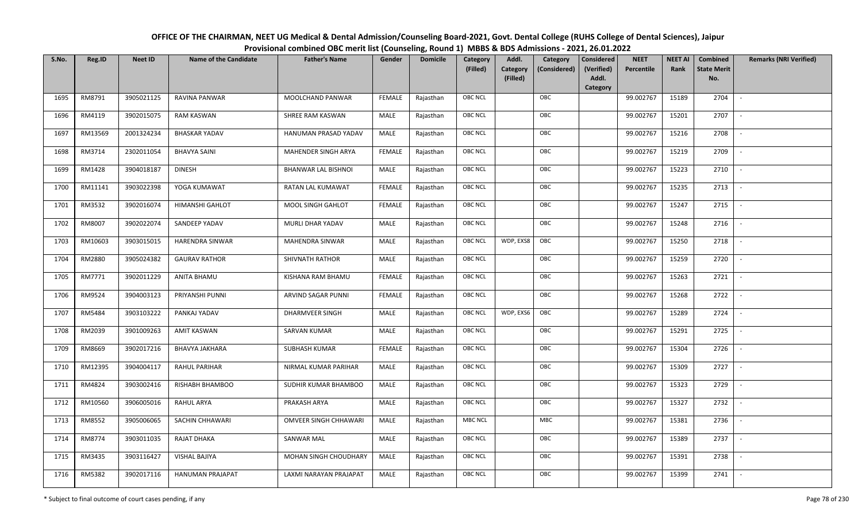| OFFICE OF THE CHAIRMAN, NEET UG Medical & Dental Admission/Counseling Board-2021, Govt. Dental College (RUHS College of Dental Sciences), Jaipur |
|--------------------------------------------------------------------------------------------------------------------------------------------------|
| Provisional combined OBC merit list (Counseling, Round 1) MBBS & BDS Admissions - 2021, 26.01.2022                                               |

| S.No. | Reg.ID  | <b>Neet ID</b> | <b>Name of the Candidate</b> | <b>Father's Name</b>         | Gender        | <b>Domicile</b> | Category<br>(Filled) | Addl.<br><b>Category</b><br>(Filled) | Category<br>(Considered) | <b>Considered</b><br>(Verified)<br>Addl. | <b>NEET</b><br>Percentile | <b>NEET AI</b><br>Rank | Combined<br><b>State Merit</b><br>No. | <b>Remarks (NRI Verified)</b> |
|-------|---------|----------------|------------------------------|------------------------------|---------------|-----------------|----------------------|--------------------------------------|--------------------------|------------------------------------------|---------------------------|------------------------|---------------------------------------|-------------------------------|
| 1695  | RM8791  | 3905021125     | RAVINA PANWAR                | MOOLCHAND PANWAR             | <b>FEMALE</b> | Rajasthan       | <b>OBC NCL</b>       |                                      | OBC                      | Category                                 | 99.002767                 | 15189                  | 2704                                  | $\sim$                        |
|       |         |                |                              |                              |               |                 |                      |                                      |                          |                                          |                           |                        |                                       |                               |
| 1696  | RM4119  | 3902015075     | RAM KASWAN                   | SHREE RAM KASWAN             | MALE          | Rajasthan       | OBC NCL              |                                      | OBC                      |                                          | 99.002767                 | 15201                  | 2707                                  |                               |
| 1697  | RM13569 | 2001324234     | <b>BHASKAR YADAV</b>         | HANUMAN PRASAD YADAV         | MALE          | Rajasthan       | OBC NCL              |                                      | OBC                      |                                          | 99.002767                 | 15216                  | 2708                                  | $\sim$                        |
| 1698  | RM3714  | 2302011054     | <b>BHAVYA SAINI</b>          | MAHENDER SINGH ARYA          | <b>FEMALE</b> | Rajasthan       | OBC NCL              |                                      | OBC                      |                                          | 99.002767                 | 15219                  | 2709                                  | $\overline{\phantom{a}}$      |
| 1699  | RM1428  | 3904018187     | <b>DINESH</b>                | <b>BHANWAR LAL BISHNOI</b>   | MALE          | Rajasthan       | <b>OBC NCL</b>       |                                      | OBC                      |                                          | 99.002767                 | 15223                  | 2710                                  | $\sim$                        |
| 1700  | RM11141 | 3903022398     | YOGA KUMAWAT                 | RATAN LAL KUMAWAT            | <b>FEMALE</b> | Rajasthan       | <b>OBC NCL</b>       |                                      | OBC                      |                                          | 99.002767                 | 15235                  | 2713                                  | $\sim$                        |
| 1701  | RM3532  | 3902016074     | <b>HIMANSHI GAHLOT</b>       | MOOL SINGH GAHLOT            | <b>FEMALE</b> | Rajasthan       | OBC NCL              |                                      | OBC                      |                                          | 99.002767                 | 15247                  | 2715                                  | $\overline{\phantom{a}}$      |
| 1702  | RM8007  | 3902022074     | SANDEEP YADAV                | MURLI DHAR YADAV             | MALE          | Rajasthan       | OBC NCL              |                                      | OBC                      |                                          | 99.002767                 | 15248                  | 2716                                  |                               |
| 1703  | RM10603 | 3903015015     | HARENDRA SINWAR              | MAHENDRA SINWAR              | MALE          | Rajasthan       | <b>OBC NCL</b>       | WDP, EXS8                            | OBC                      |                                          | 99.002767                 | 15250                  | 2718                                  |                               |
| 1704  | RM2880  | 3905024382     | <b>GAURAV RATHOR</b>         | SHIVNATH RATHOR              | MALE          | Rajasthan       | <b>OBC NCL</b>       |                                      | OBC                      |                                          | 99.002767                 | 15259                  | 2720                                  | $\overline{\phantom{a}}$      |
| 1705  | RM7771  | 3902011229     | ANITA BHAMU                  | KISHANA RAM BHAMU            | <b>FEMALE</b> | Rajasthan       | <b>OBC NCL</b>       |                                      | OBC                      |                                          | 99.002767                 | 15263                  | 2721                                  |                               |
| 1706  | RM9524  | 3904003123     | PRIYANSHI PUNNI              | ARVIND SAGAR PUNNI           | <b>FEMALE</b> | Rajasthan       | <b>OBC NCL</b>       |                                      | OBC                      |                                          | 99.002767                 | 15268                  | 2722                                  | $\overline{\phantom{a}}$      |
| 1707  | RM5484  | 3903103222     | PANKAJ YADAV                 | <b>DHARMVEER SINGH</b>       | MALE          | Rajasthan       | <b>OBC NCL</b>       | WDP, EXS6                            | OBC                      |                                          | 99.002767                 | 15289                  | 2724                                  |                               |
| 1708  | RM2039  | 3901009263     | <b>AMIT KASWAN</b>           | SARVAN KUMAR                 | MALE          | Rajasthan       | OBC NCL              |                                      | OBC                      |                                          | 99.002767                 | 15291                  | 2725                                  | $\overline{\phantom{a}}$      |
| 1709  | RM8669  | 3902017216     | <b>BHAVYA JAKHARA</b>        | <b>SUBHASH KUMAR</b>         | <b>FEMALE</b> | Rajasthan       | OBC NCL              |                                      | OBC                      |                                          | 99.002767                 | 15304                  | 2726                                  | $\overline{\phantom{a}}$      |
| 1710  | RM12395 | 3904004117     | <b>RAHUL PARIHAR</b>         | NIRMAL KUMAR PARIHAR         | MALE          | Rajasthan       | <b>OBC NCL</b>       |                                      | OBC                      |                                          | 99.002767                 | 15309                  | 2727                                  | $\sim$                        |
| 1711  | RM4824  | 3903002416     | RISHABH BHAMBOO              | SUDHIR KUMAR BHAMBOO         | MALE          | Rajasthan       | <b>OBC NCL</b>       |                                      | OBC                      |                                          | 99.002767                 | 15323                  | 2729                                  | $\overline{\phantom{a}}$      |
| 1712  | RM10560 | 3906005016     | <b>RAHUL ARYA</b>            | PRAKASH ARYA                 | MALE          | Rajasthan       | OBC NCL              |                                      | OBC                      |                                          | 99.002767                 | 15327                  | 2732                                  |                               |
| 1713  | RM8552  | 3905006065     | SACHIN CHHAWARI              | <b>OMVEER SINGH CHHAWARI</b> | MALE          | Rajasthan       | <b>MBC NCL</b>       |                                      | <b>MBC</b>               |                                          | 99.002767                 | 15381                  | 2736                                  |                               |
| 1714  | RM8774  | 3903011035     | RAJAT DHAKA                  | SANWAR MAL                   | MALE          | Rajasthan       | OBC NCL              |                                      | OBC                      |                                          | 99.002767                 | 15389                  | 2737                                  | $\blacksquare$                |
| 1715  | RM3435  | 3903116427     | VISHAL BAJIYA                | MOHAN SINGH CHOUDHARY        | MALE          | Rajasthan       | <b>OBC NCL</b>       |                                      | OBC                      |                                          | 99.002767                 | 15391                  | 2738                                  |                               |
| 1716  | RM5382  | 3902017116     | HANUMAN PRAJAPAT             | LAXMI NARAYAN PRAJAPAT       | MALE          | Rajasthan       | <b>OBC NCL</b>       |                                      | OBC                      |                                          | 99.002767                 | 15399                  | 2741                                  |                               |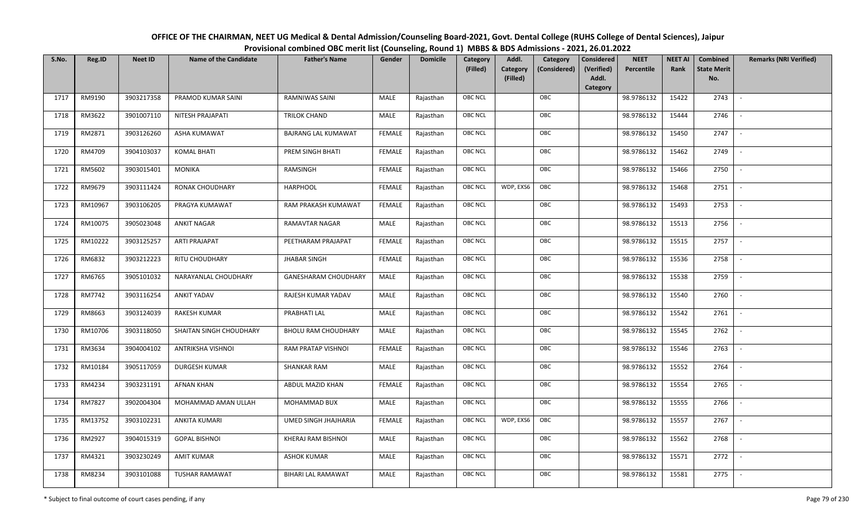| OFFICE OF THE CHAIRMAN, NEET UG Medical & Dental Admission/Counseling Board-2021, Govt. Dental College (RUHS College of Dental Sciences), Jaipur |
|--------------------------------------------------------------------------------------------------------------------------------------------------|
| Provisional combined OBC merit list (Counseling, Round 1) MBBS & BDS Admissions - 2021, 26.01.2022                                               |

| S.No. | Reg.ID  | <b>Neet ID</b> | <b>Name of the Candidate</b> | <b>Father's Name</b>        | Gender        | <b>Domicile</b> | Category<br>(Filled) | Addl.<br>Category | Category<br>(Considered) | <b>Considered</b><br>(Verified) | <b>NEET</b><br>Percentile | <b>NEET AI</b><br>Rank | Combined<br><b>State Merit</b> | <b>Remarks (NRI Verified)</b> |
|-------|---------|----------------|------------------------------|-----------------------------|---------------|-----------------|----------------------|-------------------|--------------------------|---------------------------------|---------------------------|------------------------|--------------------------------|-------------------------------|
|       |         |                |                              |                             |               |                 |                      | (Filled)          |                          | Addl.<br>Category               |                           |                        | No.                            |                               |
| 1717  | RM9190  | 3903217358     | PRAMOD KUMAR SAINI           | RAMNIWAS SAINI              | MALE          | Rajasthan       | <b>OBC NCL</b>       |                   | OBC                      |                                 | 98.9786132                | 15422                  | 2743                           | $\overline{\phantom{a}}$      |
| 1718  | RM3622  | 3901007110     | NITESH PRAJAPATI             | TRILOK CHAND                | MALE          | Rajasthan       | OBC NCL              |                   | OBC                      |                                 | 98.9786132                | 15444                  | 2746                           |                               |
| 1719  | RM2871  | 3903126260     | ASHA KUMAWAT                 | <b>BAJRANG LAL KUMAWAT</b>  | <b>FEMALE</b> | Rajasthan       | <b>OBC NCL</b>       |                   | OBC                      |                                 | 98.9786132                | 15450                  | 2747                           | $\sim$                        |
| 1720  | RM4709  | 3904103037     | <b>KOMAL BHATI</b>           | PREM SINGH BHATI            | <b>FEMALE</b> | Rajasthan       | OBC NCL              |                   | OBC                      |                                 | 98.9786132                | 15462                  | 2749                           | $\overline{\phantom{a}}$      |
| 1721  | RM5602  | 3903015401     | MONIKA                       | RAMSINGH                    | <b>FEMALE</b> | Rajasthan       | OBC NCL              |                   | OBC                      |                                 | 98.9786132                | 15466                  | 2750                           | $\sim$                        |
| 1722  | RM9679  | 3903111424     | RONAK CHOUDHARY              | <b>HARPHOOL</b>             | <b>FEMALE</b> | Rajasthan       | <b>OBC NCL</b>       | WDP, EXS6         | OBC                      |                                 | 98.9786132                | 15468                  | 2751                           | $\overline{\phantom{a}}$      |
| 1723  | RM10967 | 3903106205     | PRAGYA KUMAWAT               | RAM PRAKASH KUMAWAT         | <b>FEMALE</b> | Rajasthan       | <b>OBC NCL</b>       |                   | OBC                      |                                 | 98.9786132                | 15493                  | 2753                           | $\overline{\phantom{a}}$      |
| 1724  | RM10075 | 3905023048     | <b>ANKIT NAGAR</b>           | RAMAVTAR NAGAR              | MALE          | Rajasthan       | OBC NCL              |                   | OBC                      |                                 | 98.9786132                | 15513                  | 2756                           |                               |
| 1725  | RM10222 | 3903125257     | <b>ARTI PRAJAPAT</b>         | PEETHARAM PRAJAPAT          | <b>FEMALE</b> | Rajasthan       | OBC NCL              |                   | OBC                      |                                 | 98.9786132                | 15515                  | 2757                           |                               |
| 1726  | RM6832  | 3903212223     | RITU CHOUDHARY               | <b>JHABAR SINGH</b>         | <b>FEMALE</b> | Rajasthan       | OBC NCL              |                   | OBC                      |                                 | 98.9786132                | 15536                  | 2758                           |                               |
| 1727  | RM6765  | 3905101032     | NARAYANLAL CHOUDHARY         | <b>GANESHARAM CHOUDHARY</b> | MALE          | Rajasthan       | <b>OBC NCL</b>       |                   | OBC                      |                                 | 98.9786132                | 15538                  | 2759                           |                               |
| 1728  | RM7742  | 3903116254     | <b>ANKIT YADAV</b>           | RAJESH KUMAR YADAV          | MALE          | Rajasthan       | OBC NCL              |                   | OBC                      |                                 | 98.9786132                | 15540                  | 2760                           | $\sim$                        |
| 1729  | RM8663  | 3903124039     | RAKESH KUMAR                 | PRABHATI LAL                | MALE          | Rajasthan       | OBC NCL              |                   | OBC                      |                                 | 98.9786132                | 15542                  | 2761                           |                               |
| 1730  | RM10706 | 3903118050     | SHAITAN SINGH CHOUDHARY      | <b>BHOLU RAM CHOUDHARY</b>  | MALE          | Rajasthan       | OBC NCL              |                   | OBC                      |                                 | 98.9786132                | 15545                  | 2762                           | $\sim$                        |
| 1731  | RM3634  | 3904004102     | ANTRIKSHA VISHNOI            | RAM PRATAP VISHNOI          | <b>FEMALE</b> | Rajasthan       | OBC NCL              |                   | OBC                      |                                 | 98.9786132                | 15546                  | 2763                           | $\overline{\phantom{a}}$      |
| 1732  | RM10184 | 3905117059     | <b>DURGESH KUMAR</b>         | <b>SHANKAR RAM</b>          | MALE          | Rajasthan       | OBC NCL              |                   | OBC                      |                                 | 98.9786132                | 15552                  | 2764                           | $\sim$                        |
| 1733  | RM4234  | 3903231191     | AFNAN KHAN                   | ABDUL MAZID KHAN            | <b>FEMALE</b> | Rajasthan       | OBC NCL              |                   | OBC                      |                                 | 98.9786132                | 15554                  | 2765                           | $\overline{\phantom{a}}$      |
| 1734  | RM7827  | 3902004304     | MOHAMMAD AMAN ULLAH          | MOHAMMAD BUX                | MALE          | Rajasthan       | OBC NCL              |                   | OBC                      |                                 | 98.9786132                | 15555                  | 2766                           |                               |
| 1735  | RM13752 | 3903102231     | ANKITA KUMARI                | <b>UMED SINGH JHAJHARIA</b> | <b>FEMALE</b> | Rajasthan       | <b>OBC NCL</b>       | WDP, EXS6         | OBC                      |                                 | 98.9786132                | 15557                  | 2767                           |                               |
| 1736  | RM2927  | 3904015319     | <b>GOPAL BISHNOI</b>         | KHERAJ RAM BISHNOI          | MALE          | Rajasthan       | OBC NCL              |                   | OBC                      |                                 | 98.9786132                | 15562                  | 2768                           |                               |
| 1737  | RM4321  | 3903230249     | <b>AMIT KUMAR</b>            | <b>ASHOK KUMAR</b>          | <b>MALE</b>   | Rajasthan       | OBC NCL              |                   | OBC                      |                                 | 98.9786132                | 15571                  | 2772                           |                               |
| 1738  | RM8234  | 3903101088     | TUSHAR RAMAWAT               | BIHARI LAL RAMAWAT          | MALE          | Rajasthan       | <b>OBC NCL</b>       |                   | OBC                      |                                 | 98.9786132                | 15581                  | 2775                           |                               |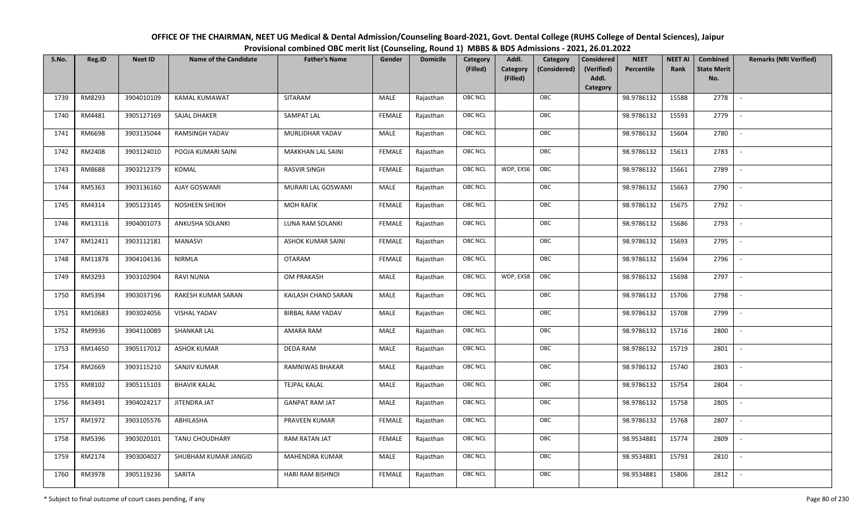| OFFICE OF THE CHAIRMAN, NEET UG Medical & Dental Admission/Counseling Board-2021, Govt. Dental College (RUHS College of Dental Sciences), Jaipur |
|--------------------------------------------------------------------------------------------------------------------------------------------------|
| Provisional combined OBC merit list (Counseling, Round 1) MBBS & BDS Admissions - 2021, 26.01.2022                                               |

| S.No. | Reg.ID  | <b>Neet ID</b> | <b>Name of the Candidate</b> | <b>Father's Name</b>    | Gender        | <b>Domicile</b> | Category<br>(Filled) | Addl.<br><b>Category</b><br>(Filled) | Category<br>(Considered) | Considered<br>(Verified)<br>Addl. | <b>NEET</b><br>Percentile | <b>NEET AI</b><br>Rank | Combined<br><b>State Merit</b><br>No. | <b>Remarks (NRI Verified)</b> |
|-------|---------|----------------|------------------------------|-------------------------|---------------|-----------------|----------------------|--------------------------------------|--------------------------|-----------------------------------|---------------------------|------------------------|---------------------------------------|-------------------------------|
|       |         |                |                              |                         |               |                 |                      |                                      |                          | Category                          |                           |                        |                                       |                               |
| 1739  | RM8293  | 3904010109     | KAMAL KUMAWAT                | SITARAM                 | MALE          | Rajasthan       | <b>OBC NCL</b>       |                                      | OBC                      |                                   | 98.9786132                | 15588                  | 2778                                  | $\sim$                        |
| 1740  | RM4481  | 3905127169     | SAJAL DHAKER                 | SAMPAT LAL              | <b>FEMALE</b> | Rajasthan       | <b>OBC NCL</b>       |                                      | OBC                      |                                   | 98.9786132                | 15593                  | 2779                                  |                               |
| 1741  | RM6698  | 3903135044     | RAMSINGH YADAV               | MURLIDHAR YADAV         | MALE          | Rajasthan       | <b>OBC NCL</b>       |                                      | OBC                      |                                   | 98.9786132                | 15604                  | 2780                                  |                               |
| 1742  | RM2408  | 3903124010     | POOJA KUMARI SAINI           | MAKKHAN LAL SAINI       | <b>FEMALE</b> | Rajasthan       | OBC NCL              |                                      | OBC                      |                                   | 98.9786132                | 15613                  | 2783                                  | $\overline{\phantom{a}}$      |
| 1743  | RM8688  | 3903212379     | KOMAL                        | <b>RASVIR SINGH</b>     | <b>FEMALE</b> | Rajasthan       | <b>OBC NCL</b>       | WDP, EXS6                            | OBC                      |                                   | 98.9786132                | 15661                  | 2789                                  | $\overline{\phantom{a}}$      |
| 1744  | RM5363  | 3903136160     | AJAY GOSWAMI                 | MURARI LAL GOSWAMI      | MALE          | Rajasthan       | <b>OBC NCL</b>       |                                      | OBC                      |                                   | 98.9786132                | 15663                  | 2790                                  | $\sim$                        |
| 1745  | RM4314  | 3905123145     | NOSHEEN SHEIKH               | <b>MOH RAFIK</b>        | <b>FEMALE</b> | Rajasthan       | OBC NCL              |                                      | OBC                      |                                   | 98.9786132                | 15675                  | 2792                                  | $\overline{\phantom{a}}$      |
| 1746  | RM13116 | 3904001073     | ANKUSHA SOLANKI              | LUNA RAM SOLANKI        | <b>FEMALE</b> | Rajasthan       | <b>OBC NCL</b>       |                                      | OBC                      |                                   | 98.9786132                | 15686                  | 2793                                  |                               |
| 1747  | RM12411 | 3903112181     | <b>MANASVI</b>               | ASHOK KUMAR SAINI       | <b>FEMALE</b> | Rajasthan       | OBC NCL              |                                      | OBC                      |                                   | 98.9786132                | 15693                  | 2795                                  | $\overline{\phantom{a}}$      |
| 1748  | RM11878 | 3904104136     | <b>NIRMLA</b>                | <b>OTARAM</b>           | <b>FEMALE</b> | Rajasthan       | <b>OBC NCL</b>       |                                      | OBC                      |                                   | 98.9786132                | 15694                  | 2796                                  | $\overline{\phantom{a}}$      |
| 1749  | RM3293  | 3903102904     | <b>RAVI NUNIA</b>            | OM PRAKASH              | MALE          | Rajasthan       | <b>OBC NCL</b>       | WDP, EXS8                            | OBC                      |                                   | 98.9786132                | 15698                  | 2797                                  |                               |
| 1750  | RM5394  | 3903037196     | RAKESH KUMAR SARAN           | KAILASH CHAND SARAN     | MALE          | Rajasthan       | <b>OBC NCL</b>       |                                      | OBC                      |                                   | 98.9786132                | 15706                  | 2798                                  |                               |
| 1751  | RM10683 | 3903024056     | <b>VISHAL YADAV</b>          | <b>BIRBAL RAM YADAV</b> | MALE          | Rajasthan       | <b>OBC NCL</b>       |                                      | OBC                      |                                   | 98.9786132                | 15708                  | 2799                                  |                               |
| 1752  | RM9936  | 3904110089     | <b>SHANKAR LAL</b>           | AMARA RAM               | MALE          | Rajasthan       | OBC NCL              |                                      | OBC                      |                                   | 98.9786132                | 15716                  | 2800                                  | $\sim$                        |
| 1753  | RM14650 | 3905117012     | <b>ASHOK KUMAR</b>           | <b>DEDA RAM</b>         | MALE          | Rajasthan       | OBC NCL              |                                      | OBC                      |                                   | 98.9786132                | 15719                  | 2801                                  | $\overline{\phantom{a}}$      |
| 1754  | RM2669  | 3903115210     | SANJIV KUMAR                 | RAMNIWAS BHAKAR         | MALE          | Rajasthan       | <b>OBC NCL</b>       |                                      | OBC                      |                                   | 98.9786132                | 15740                  | 2803                                  | $\overline{\phantom{a}}$      |
| 1755  | RM8102  | 3905115103     | <b>BHAVIK KALAL</b>          | <b>TEJPAL KALAL</b>     | MALE          | Rajasthan       | OBC NCL              |                                      | OBC                      |                                   | 98.9786132                | 15754                  | 2804                                  | $\blacksquare$                |
| 1756  | RM3491  | 3904024217     | JITENDRA JAT                 | <b>GANPAT RAM JAT</b>   | MALE          | Rajasthan       | <b>OBC NCL</b>       |                                      | OBC                      |                                   | 98.9786132                | 15758                  | 2805                                  |                               |
| 1757  | RM1972  | 3903105576     | ABHILASHA                    | PRAVEEN KUMAR           | <b>FEMALE</b> | Rajasthan       | OBC NCL              |                                      | OBC                      |                                   | 98.9786132                | 15768                  | 2807                                  |                               |
| 1758  | RM5396  | 3903020101     | TANU CHOUDHARY               | RAM RATAN JAT           | <b>FEMALE</b> | Rajasthan       | OBC NCL              |                                      | OBC                      |                                   | 98.9534881                | 15774                  | 2809                                  |                               |
| 1759  | RM2174  | 3903004027     | SHUBHAM KUMAR JANGID         | MAHENDRA KUMAR          | MALE          | Rajasthan       | <b>OBC NCL</b>       |                                      | OBC                      |                                   | 98.9534881                | 15793                  | 2810                                  |                               |
| 1760  | RM3978  | 3905119236     | SARITA                       | HARI RAM BISHNOI        | <b>FEMALE</b> | Rajasthan       | <b>OBC NCL</b>       |                                      | OBC                      |                                   | 98.9534881                | 15806                  | 2812                                  |                               |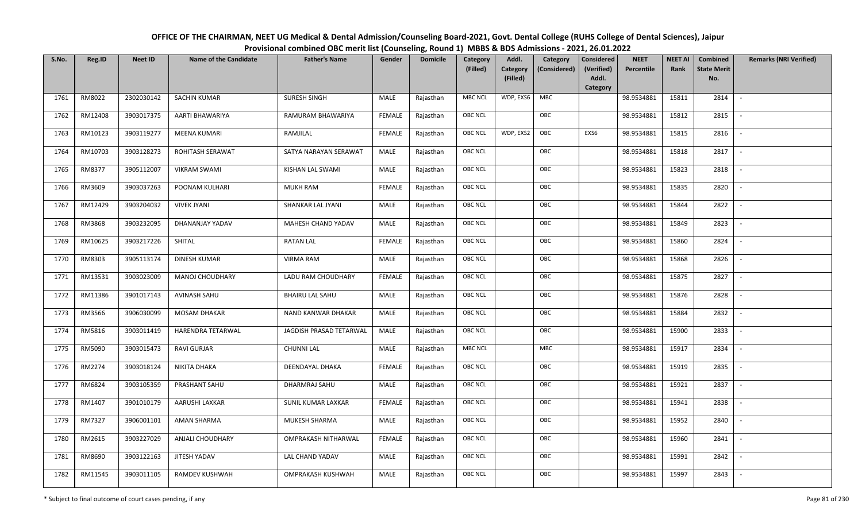| OFFICE OF THE CHAIRMAN, NEET UG Medical & Dental Admission/Counseling Board-2021, Govt. Dental College (RUHS College of Dental Sciences), Jaipur |
|--------------------------------------------------------------------------------------------------------------------------------------------------|
| Provisional combined OBC merit list (Counseling, Round 1) MBBS & BDS Admissions - 2021, 26.01.2022                                               |

| S.No. | Reg.ID  | <b>Neet ID</b> | <b>Name of the Candidate</b> | <b>Father's Name</b>    | Gender        | <b>Domicile</b> | Category<br>(Filled) | Addl.<br><b>Category</b><br>(Filled) | Category<br>(Considered) | <b>Considered</b><br>(Verified)<br>Addl. | <b>NEET</b><br>Percentile | <b>NEET AI</b><br>Rank | Combined<br><b>State Merit</b><br>No. | <b>Remarks (NRI Verified)</b> |
|-------|---------|----------------|------------------------------|-------------------------|---------------|-----------------|----------------------|--------------------------------------|--------------------------|------------------------------------------|---------------------------|------------------------|---------------------------------------|-------------------------------|
|       |         |                |                              |                         |               |                 |                      |                                      |                          | Category                                 |                           |                        |                                       |                               |
| 1761  | RM8022  | 2302030142     | <b>SACHIN KUMAR</b>          | <b>SURESH SINGH</b>     | MALE          | Rajasthan       | <b>MBC NCL</b>       | WDP, EXS6                            | MBC                      |                                          | 98.9534881                | 15811                  | 2814                                  | $\sim$                        |
| 1762  | RM12408 | 3903017375     | AARTI BHAWARIYA              | RAMURAM BHAWARIYA       | <b>FEMALE</b> | Rajasthan       | OBC NCL              |                                      | OBC                      |                                          | 98.9534881                | 15812                  | 2815                                  |                               |
| 1763  | RM10123 | 3903119277     | <b>MEENA KUMARI</b>          | RAMJILAL                | <b>FEMALE</b> | Rajasthan       | <b>OBC NCL</b>       | WDP, EXS2                            | OBC                      | EXS6                                     | 98.9534881                | 15815                  | 2816                                  |                               |
| 1764  | RM10703 | 3903128273     | ROHITASH SERAWAT             | SATYA NARAYAN SERAWAT   | MALE          | Rajasthan       | OBC NCL              |                                      | OBC                      |                                          | 98.9534881                | 15818                  | 2817                                  | $\overline{\phantom{a}}$      |
| 1765  | RM8377  | 3905112007     | <b>VIKRAM SWAMI</b>          | KISHAN LAL SWAMI        | MALE          | Rajasthan       | <b>OBC NCL</b>       |                                      | OBC                      |                                          | 98.9534881                | 15823                  | 2818                                  | $\sim$                        |
| 1766  | RM3609  | 3903037263     | POONAM KULHARI               | <b>MUKH RAM</b>         | <b>FEMALE</b> | Rajasthan       | <b>OBC NCL</b>       |                                      | OBC                      |                                          | 98.9534881                | 15835                  | 2820                                  | $\overline{\phantom{a}}$      |
| 1767  | RM12429 | 3903204032     | <b>VIVEK JYANI</b>           | SHANKAR LAL JYANI       | MALE          | Rajasthan       | OBC NCL              |                                      | OBC                      |                                          | 98.9534881                | 15844                  | 2822                                  | $\blacksquare$                |
| 1768  | RM3868  | 3903232095     | DHANANJAY YADAV              | MAHESH CHAND YADAV      | MALE          | Rajasthan       | OBC NCL              |                                      | OBC                      |                                          | 98.9534881                | 15849                  | 2823                                  |                               |
| 1769  | RM10625 | 3903217226     | SHITAL                       | <b>RATAN LAL</b>        | <b>FEMALE</b> | Rajasthan       | OBC NCL              |                                      | OBC                      |                                          | 98.9534881                | 15860                  | 2824                                  |                               |
| 1770  | RM8303  | 3905113174     | <b>DINESH KUMAR</b>          | <b>VIRMA RAM</b>        | MALE          | Rajasthan       | OBC NCL              |                                      | OBC                      |                                          | 98.9534881                | 15868                  | 2826                                  | $\overline{\phantom{a}}$      |
| 1771  | RM13531 | 3903023009     | MANOJ CHOUDHARY              | LADU RAM CHOUDHARY      | <b>FEMALE</b> | Rajasthan       | <b>OBC NCL</b>       |                                      | OBC                      |                                          | 98.9534881                | 15875                  | 2827                                  |                               |
| 1772  | RM11386 | 3901017143     | AVINASH SAHU                 | <b>BHAIRU LAL SAHU</b>  | MALE          | Rajasthan       | OBC NCL              |                                      | OBC                      |                                          | 98.9534881                | 15876                  | 2828                                  | $\sim$                        |
| 1773  | RM3566  | 3906030099     | <b>MOSAM DHAKAR</b>          | NAND KANWAR DHAKAR      | MALE          | Rajasthan       | <b>OBC NCL</b>       |                                      | OBC                      |                                          | 98.9534881                | 15884                  | 2832                                  |                               |
| 1774  | RM5816  | 3903011419     | HARENDRA TETARWAL            | JAGDISH PRASAD TETARWAL | MALE          | Rajasthan       | OBC NCL              |                                      | OBC                      |                                          | 98.9534881                | 15900                  | 2833                                  | $\overline{\phantom{a}}$      |
| 1775  | RM5090  | 3903015473     | <b>RAVI GURJAR</b>           | <b>CHUNNI LAL</b>       | <b>MALE</b>   | Rajasthan       | <b>MBC NCL</b>       |                                      | MBC                      |                                          | 98.9534881                | 15917                  | 2834                                  | $\overline{\phantom{a}}$      |
| 1776  | RM2274  | 3903018124     | NIKITA DHAKA                 | DEENDAYAL DHAKA         | <b>FEMALE</b> | Rajasthan       | <b>OBC NCL</b>       |                                      | OBC                      |                                          | 98.9534881                | 15919                  | 2835                                  | $\sim$                        |
| 1777  | RM6824  | 3903105359     | PRASHANT SAHU                | DHARMRAJ SAHU           | MALE          | Rajasthan       | <b>OBC NCL</b>       |                                      | OBC                      |                                          | 98.9534881                | 15921                  | 2837                                  | $\overline{\phantom{a}}$      |
| 1778  | RM1407  | 3901010179     | AARUSHI LAXKAR               | SUNIL KUMAR LAXKAR      | <b>FEMALE</b> | Rajasthan       | OBC NCL              |                                      | OBC                      |                                          | 98.9534881                | 15941                  | 2838                                  |                               |
| 1779  | RM7327  | 3906001101     | <b>AMAN SHARMA</b>           | MUKESH SHARMA           | MALE          | Rajasthan       | <b>OBC NCL</b>       |                                      | OBC                      |                                          | 98.9534881                | 15952                  | 2840                                  |                               |
| 1780  | RM2615  | 3903227029     | <b>ANJALI CHOUDHARY</b>      | OMPRAKASH NITHARWAL     | <b>FEMALE</b> | Rajasthan       | OBC NCL              |                                      | OBC                      |                                          | 98.9534881                | 15960                  | 2841                                  | $\blacksquare$                |
| 1781  | RM8690  | 3903122163     | JITESH YADAV                 | LAL CHAND YADAV         | <b>MALE</b>   | Rajasthan       | <b>OBC NCL</b>       |                                      | OBC                      |                                          | 98.9534881                | 15991                  | 2842                                  | $\overline{\phantom{a}}$      |
| 1782  | RM11545 | 3903011105     | RAMDEV KUSHWAH               | OMPRAKASH KUSHWAH       | <b>MALE</b>   | Rajasthan       | <b>OBC NCL</b>       |                                      | OBC                      |                                          | 98.9534881                | 15997                  | 2843                                  |                               |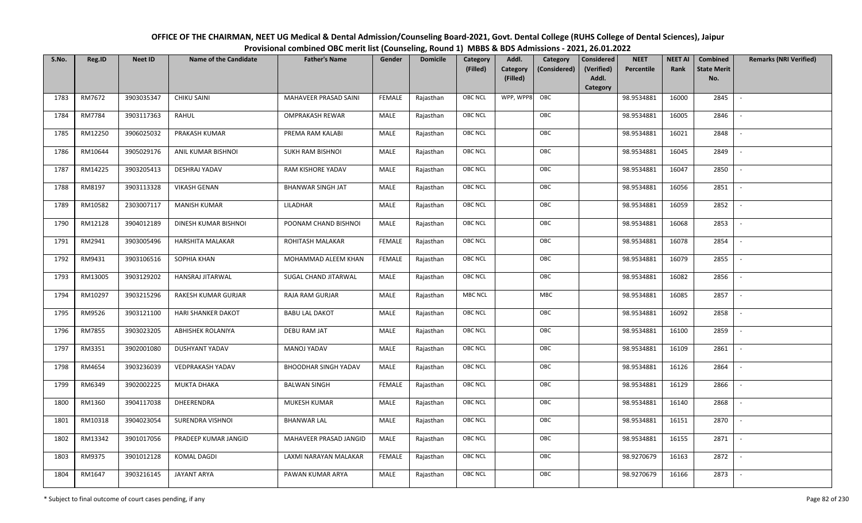| OFFICE OF THE CHAIRMAN, NEET UG Medical & Dental Admission/Counseling Board-2021, Govt. Dental College (RUHS College of Dental Sciences), Jaipur |
|--------------------------------------------------------------------------------------------------------------------------------------------------|
| Provisional combined OBC merit list (Counseling, Round 1) MBBS & BDS Admissions - 2021, 26.01.2022                                               |

| S.No. | Reg.ID  | <b>Neet ID</b> | <b>Name of the Candidate</b> | <b>Father's Name</b>        | Gender        | <b>Domicile</b> | Category<br>(Filled) | Addl.<br>Category<br>(Filled) | Category<br>(Considered) | <b>Considered</b><br>(Verified)<br>Addl. | <b>NEET</b><br>Percentile | <b>NEET AI</b><br>Rank | Combined<br><b>State Merit</b><br>No. | <b>Remarks (NRI Verified)</b> |
|-------|---------|----------------|------------------------------|-----------------------------|---------------|-----------------|----------------------|-------------------------------|--------------------------|------------------------------------------|---------------------------|------------------------|---------------------------------------|-------------------------------|
|       |         |                |                              |                             |               |                 |                      |                               |                          | Category                                 |                           |                        |                                       |                               |
| 1783  | RM7672  | 3903035347     | <b>CHIKU SAINI</b>           | MAHAVEER PRASAD SAINI       | <b>FEMALE</b> | Rajasthan       | OBC NCL              | WPP, WPP8                     | OBC                      |                                          | 98.9534881                | 16000                  | 2845                                  | $\blacksquare$                |
| 1784  | RM7784  | 3903117363     | RAHUL                        | <b>OMPRAKASH REWAR</b>      | MALE          | Rajasthan       | OBC NCL              |                               | OBC                      |                                          | 98.9534881                | 16005                  | 2846                                  |                               |
| 1785  | RM12250 | 3906025032     | PRAKASH KUMAR                | PREMA RAM KALABI            | MALE          | Rajasthan       | <b>OBC NCL</b>       |                               | OBC                      |                                          | 98.9534881                | 16021                  | 2848                                  |                               |
| 1786  | RM10644 | 3905029176     | ANIL KUMAR BISHNOI           | SUKH RAM BISHNOI            | MALE          | Rajasthan       | OBC NCL              |                               | OBC                      |                                          | 98.9534881                | 16045                  | 2849                                  | $\overline{\phantom{a}}$      |
| 1787  | RM14225 | 3903205413     | DESHRAJ YADAV                | RAM KISHORE YADAV           | MALE          | Rajasthan       | OBC NCL              |                               | OBC                      |                                          | 98.9534881                | 16047                  | 2850                                  | $\sim$                        |
| 1788  | RM8197  | 3903113328     | <b>VIKASH GENAN</b>          | <b>BHANWAR SINGH JAT</b>    | MALE          | Rajasthan       | OBC NCL              |                               | OBC                      |                                          | 98.9534881                | 16056                  | 2851                                  | $\overline{\phantom{a}}$      |
| 1789  | RM10582 | 2303007117     | <b>MANISH KUMAR</b>          | LILADHAR                    | MALE          | Rajasthan       | <b>OBC NCL</b>       |                               | OBC                      |                                          | 98.9534881                | 16059                  | 2852                                  | $\blacksquare$                |
| 1790  | RM12128 | 3904012189     | DINESH KUMAR BISHNOI         | POONAM CHAND BISHNOI        | MALE          | Rajasthan       | OBC NCL              |                               | OBC                      |                                          | 98.9534881                | 16068                  | 2853                                  |                               |
| 1791  | RM2941  | 3903005496     | HARSHITA MALAKAR             | ROHITASH MALAKAR            | <b>FEMALE</b> | Rajasthan       | OBC NCL              |                               | OBC                      |                                          | 98.9534881                | 16078                  | 2854                                  |                               |
| 1792  | RM9431  | 3903106516     | SOPHIA KHAN                  | MOHAMMAD ALEEM KHAN         | <b>FEMALE</b> | Rajasthan       | OBC NCL              |                               | OBC                      |                                          | 98.9534881                | 16079                  | 2855                                  |                               |
| 1793  | RM13005 | 3903129202     | <b>HANSRAJ JITARWAL</b>      | SUGAL CHAND JITARWAL        | MALE          | Rajasthan       | <b>OBC NCL</b>       |                               | OBC                      |                                          | 98.9534881                | 16082                  | 2856                                  |                               |
| 1794  | RM10297 | 3903215296     | RAKESH KUMAR GURJAR          | <b>RAJA RAM GURJAR</b>      | MALE          | Rajasthan       | <b>MBC NCL</b>       |                               | MBC                      |                                          | 98.9534881                | 16085                  | 2857                                  | $\sim$                        |
| 1795  | RM9526  | 3903121100     | <b>HARI SHANKER DAKOT</b>    | <b>BABU LAL DAKOT</b>       | MALE          | Rajasthan       | OBC NCL              |                               | OBC                      |                                          | 98.9534881                | 16092                  | 2858                                  |                               |
| 1796  | RM7855  | 3903023205     | ABHISHEK ROLANIYA            | DEBU RAM JAT                | MALE          | Rajasthan       | OBC NCL              |                               | OBC                      |                                          | 98.9534881                | 16100                  | 2859                                  | $\sim$                        |
| 1797  | RM3351  | 3902001080     | <b>DUSHYANT YADAV</b>        | MANOJ YADAV                 | <b>MALE</b>   | Rajasthan       | OBC NCL              |                               | OBC                      |                                          | 98.9534881                | 16109                  | 2861                                  | $\overline{\phantom{a}}$      |
| 1798  | RM4654  | 3903236039     | VEDPRAKASH YADAV             | <b>BHOODHAR SINGH YADAV</b> | MALE          | Rajasthan       | OBC NCL              |                               | OBC                      |                                          | 98.9534881                | 16126                  | 2864                                  | $\sim$                        |
| 1799  | RM6349  | 3902002225     | <b>MUKTA DHAKA</b>           | <b>BALWAN SINGH</b>         | <b>FEMALE</b> | Rajasthan       | OBC NCL              |                               | OBC                      |                                          | 98.9534881                | 16129                  | 2866                                  | $\overline{\phantom{a}}$      |
| 1800  | RM1360  | 3904117038     | DHEERENDRA                   | MUKESH KUMAR                | MALE          | Rajasthan       | OBC NCL              |                               | OBC                      |                                          | 98.9534881                | 16140                  | 2868                                  |                               |
| 1801  | RM10318 | 3904023054     | SURENDRA VISHNOI             | <b>BHANWAR LAL</b>          | MALE          | Rajasthan       | <b>OBC NCL</b>       |                               | OBC                      |                                          | 98.9534881                | 16151                  | 2870                                  |                               |
| 1802  | RM13342 | 3901017056     | PRADEEP KUMAR JANGID         | MAHAVEER PRASAD JANGID      | MALE          | Rajasthan       | OBC NCL              |                               | OBC                      |                                          | 98.9534881                | 16155                  | 2871                                  | $\blacksquare$                |
| 1803  | RM9375  | 3901012128     | <b>KOMAL DAGDI</b>           | LAXMI NARAYAN MALAKAR       | <b>FEMALE</b> | Rajasthan       | OBC NCL              |                               | OBC                      |                                          | 98.9270679                | 16163                  | 2872                                  | $\overline{\phantom{a}}$      |
| 1804  | RM1647  | 3903216145     | <b>JAYANT ARYA</b>           | PAWAN KUMAR ARYA            | MALE          | Rajasthan       | <b>OBC NCL</b>       |                               | OBC                      |                                          | 98.9270679                | 16166                  | 2873                                  |                               |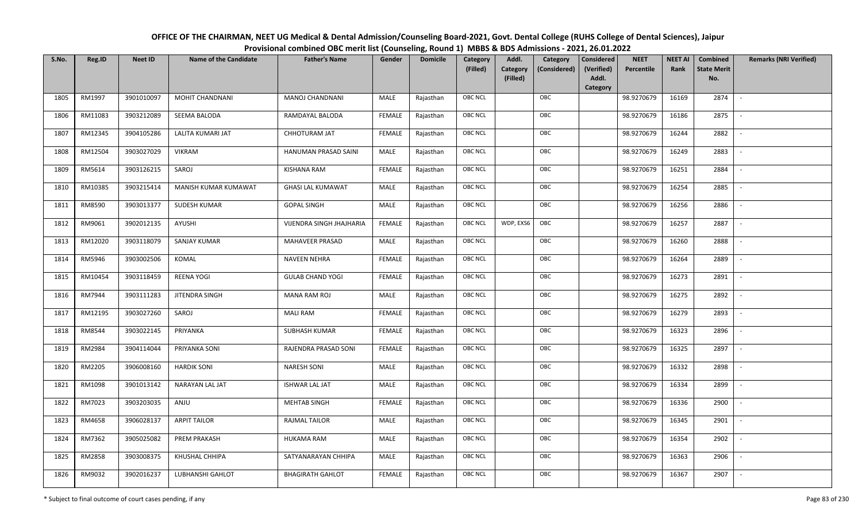| OFFICE OF THE CHAIRMAN, NEET UG Medical & Dental Admission/Counseling Board-2021, Govt. Dental College (RUHS College of Dental Sciences), Jaipur |
|--------------------------------------------------------------------------------------------------------------------------------------------------|
| Provisional combined OBC merit list (Counseling, Round 1) MBBS & BDS Admissions - 2021, 26.01.2022                                               |

| S.No. | Reg.ID  | <b>Neet ID</b> | <b>Name of the Candidate</b> | <b>Father's Name</b>            | Gender        | <b>Domicile</b> | Category<br>(Filled) | Addl.<br>Category<br>(Filled) | Category<br>(Considered) | <b>Considered</b><br>(Verified)<br>Addl. | <b>NEET</b><br>Percentile | <b>NEET AI</b><br>Rank | Combined<br><b>State Merit</b><br>No. | <b>Remarks (NRI Verified)</b> |
|-------|---------|----------------|------------------------------|---------------------------------|---------------|-----------------|----------------------|-------------------------------|--------------------------|------------------------------------------|---------------------------|------------------------|---------------------------------------|-------------------------------|
|       |         |                |                              |                                 |               |                 |                      |                               |                          | Category                                 |                           |                        |                                       |                               |
| 1805  | RM1997  | 3901010097     | MOHIT CHANDNANI              | MANOJ CHANDNANI                 | MALE          | Rajasthan       | OBC NCL              |                               | OBC                      |                                          | 98.9270679                | 16169                  | 2874                                  | $\sim$                        |
| 1806  | RM11083 | 3903212089     | SEEMA BALODA                 | RAMDAYAL BALODA                 | <b>FEMALE</b> | Rajasthan       | OBC NCL              |                               | OBC                      |                                          | 98.9270679                | 16186                  | 2875                                  |                               |
| 1807  | RM12345 | 3904105286     | <b>LALITA KUMARI JAT</b>     | CHHOTURAM JAT                   | <b>FEMALE</b> | Rajasthan       | <b>OBC NCL</b>       |                               | OBC                      |                                          | 98.9270679                | 16244                  | 2882                                  |                               |
| 1808  | RM12504 | 3903027029     | <b>VIKRAM</b>                | HANUMAN PRASAD SAINI            | MALE          | Rajasthan       | OBC NCL              |                               | OBC                      |                                          | 98.9270679                | 16249                  | 2883                                  | $\overline{\phantom{a}}$      |
| 1809  | RM5614  | 3903126215     | SAROJ                        | <b>KISHANA RAM</b>              | <b>FEMALE</b> | Rajasthan       | OBC NCL              |                               | OBC                      |                                          | 98.9270679                | 16251                  | 2884                                  | $\sim$                        |
| 1810  | RM10385 | 3903215414     | MANISH KUMAR KUMAWAT         | <b>GHASI LAL KUMAWAT</b>        | MALE          | Rajasthan       | OBC NCL              |                               | OBC                      |                                          | 98.9270679                | 16254                  | 2885                                  | $\sim$                        |
| 1811  | RM8590  | 3903013377     | SUDESH KUMAR                 | <b>GOPAL SINGH</b>              | <b>MALE</b>   | Rajasthan       | OBC NCL              |                               | OBC                      |                                          | 98.9270679                | 16256                  | 2886                                  | $\sim$                        |
| 1812  | RM9061  | 3902012135     | AYUSHI                       | <b>VIJENDRA SINGH JHAJHARIA</b> | <b>FEMALE</b> | Rajasthan       | <b>OBC NCL</b>       | WDP, EXS6                     | OBC                      |                                          | 98.9270679                | 16257                  | 2887                                  |                               |
| 1813  | RM12020 | 3903118079     | <b>SANJAY KUMAR</b>          | MAHAVEER PRASAD                 | MALE          | Rajasthan       | OBC NCL              |                               | OBC                      |                                          | 98.9270679                | 16260                  | 2888                                  |                               |
| 1814  | RM5946  | 3903002506     | KOMAL                        | <b>NAVEEN NEHRA</b>             | <b>FEMALE</b> | Rajasthan       | OBC NCL              |                               | OBC                      |                                          | 98.9270679                | 16264                  | 2889                                  |                               |
| 1815  | RM10454 | 3903118459     | <b>REENA YOGI</b>            | <b>GULAB CHAND YOGI</b>         | <b>FEMALE</b> | Rajasthan       | OBC NCL              |                               | OBC                      |                                          | 98.9270679                | 16273                  | 2891                                  |                               |
| 1816  | RM7944  | 3903111283     | JITENDRA SINGH               | <b>MANA RAM ROJ</b>             | MALE          | Rajasthan       | OBC NCL              |                               | OBC                      |                                          | 98.9270679                | 16275                  | 2892                                  | $\mathcal{L}$                 |
| 1817  | RM12195 | 3903027260     | SAROJ                        | <b>MALI RAM</b>                 | <b>FEMALE</b> | Rajasthan       | OBC NCL              |                               | OBC                      |                                          | 98.9270679                | 16279                  | 2893                                  |                               |
| 1818  | RM8544  | 3903022145     | PRIYANKA                     | <b>SUBHASH KUMAR</b>            | <b>FEMALE</b> | Rajasthan       | <b>OBC NCL</b>       |                               | OBC                      |                                          | 98.9270679                | 16323                  | 2896                                  |                               |
| 1819  | RM2984  | 3904114044     | PRIYANKA SONI                | RAJENDRA PRASAD SONI            | <b>FEMALE</b> | Rajasthan       | OBC NCL              |                               | OBC                      |                                          | 98.9270679                | 16325                  | 2897                                  | $\overline{\phantom{a}}$      |
| 1820  | RM2205  | 3906008160     | <b>HARDIK SONI</b>           | <b>NARESH SONI</b>              | <b>MALE</b>   | Rajasthan       | OBC NCL              |                               | OBC                      |                                          | 98.9270679                | 16332                  | 2898                                  | $\overline{\phantom{a}}$      |
| 1821  | RM1098  | 3901013142     | NARAYAN LAL JAT              | <b>ISHWAR LAL JAT</b>           | MALE          | Rajasthan       | OBC NCL              |                               | OBC                      |                                          | 98.9270679                | 16334                  | 2899                                  | $\overline{\phantom{a}}$      |
| 1822  | RM7023  | 3903203035     | ANJU                         | MEHTAB SINGH                    | <b>FEMALE</b> | Rajasthan       | OBC NCL              |                               | OBC                      |                                          | 98.9270679                | 16336                  | 2900                                  | $\sim$                        |
| 1823  | RM4658  | 3906028137     | <b>ARPIT TAILOR</b>          | <b>RAJMAL TAILOR</b>            | MALE          | Rajasthan       | OBC NCL              |                               | OBC                      |                                          | 98.9270679                | 16345                  | 2901                                  |                               |
| 1824  | RM7362  | 3905025082     | <b>PREM PRAKASH</b>          | <b>HUKAMA RAM</b>               | MALE          | Rajasthan       | OBC NCL              |                               | OBC                      |                                          | 98.9270679                | 16354                  | 2902                                  |                               |
| 1825  | RM2858  | 3903008375     | KHUSHAL CHHIPA               | SATYANARAYAN CHHIPA             | MALE          | Rajasthan       | OBC NCL              |                               | OBC                      |                                          | 98.9270679                | 16363                  | 2906                                  | $\overline{\phantom{a}}$      |
| 1826  | RM9032  | 3902016237     | LUBHANSHI GAHLOT             | <b>BHAGIRATH GAHLOT</b>         | <b>FEMALE</b> | Rajasthan       | <b>OBC NCL</b>       |                               | OBC                      |                                          | 98.9270679                | 16367                  | 2907                                  |                               |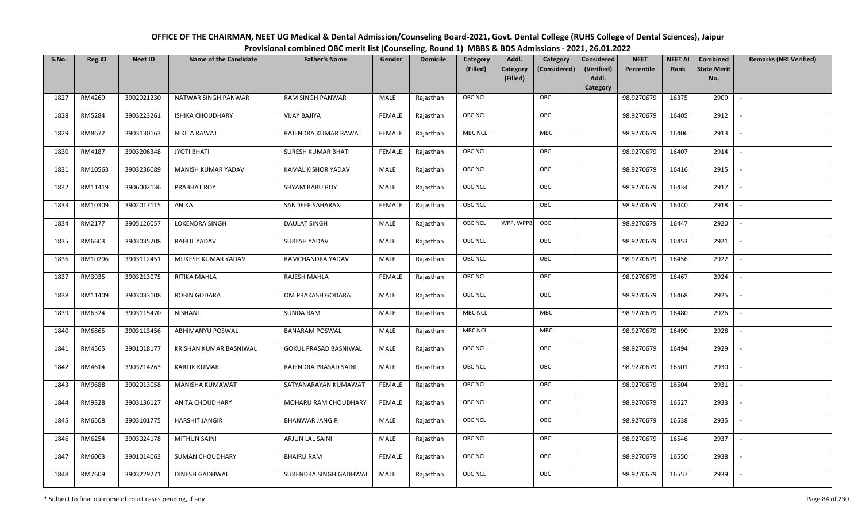OFFICE OF THE CHAIRMAN, NEET UG Medical & Dental Admission/Counseling Board-2021, Govt. Dental College (RUHS College of Dental Sciences), JaipurProvisional combined OBC merit list (Counseling, Round 1) MBBS & BDS Admissions - 2021, 26.01.2022

| S.No. | Reg.ID  | <b>Neet ID</b> | <b>Name of the Candidate</b> | <b>Father's Name</b>         | Gender        | <b>Domicile</b> | Category       | Addl.                | Category     | Considered          | <b>NEET</b> | <b>NEET AI</b> | Combined                  | <b>Remarks (NRI Verified)</b> |
|-------|---------|----------------|------------------------------|------------------------------|---------------|-----------------|----------------|----------------------|--------------|---------------------|-------------|----------------|---------------------------|-------------------------------|
|       |         |                |                              |                              |               |                 | (Filled)       | Category<br>(Filled) | (Considered) | (Verified)<br>Addl. | Percentile  | Rank           | <b>State Merit</b><br>No. |                               |
|       |         |                |                              |                              |               |                 |                |                      |              | Category            |             |                |                           |                               |
| 1827  | RM4269  | 3902021230     | NATWAR SINGH PANWAR          | <b>RAM SINGH PANWAR</b>      | MALE          | Rajasthan       | <b>OBC NCL</b> |                      | OBC          |                     | 98.9270679  | 16375          | 2909                      | $\sim$                        |
| 1828  | RM5284  | 3903223261     | <b>ISHIKA CHOUDHARY</b>      | <b>VIJAY BAJIYA</b>          | <b>FEMALE</b> | Rajasthan       | OBC NCL        |                      | OBC          |                     | 98.9270679  | 16405          | 2912                      |                               |
| 1829  | RM8672  | 3903130163     | <b>NIKITA RAWAT</b>          | RAJENDRA KUMAR RAWAT         | <b>FEMALE</b> | Rajasthan       | MBC NCL        |                      | MBC          |                     | 98.9270679  | 16406          | 2913                      |                               |
| 1830  | RM4187  | 3903206348     | <b>JYOTI BHATI</b>           | SURESH KUMAR BHATI           | <b>FEMALE</b> | Rajasthan       | OBC NCL        |                      | OBC          |                     | 98.9270679  | 16407          | 2914                      |                               |
| 1831  | RM10563 | 3903236089     | MANISH KUMAR YADAV           | KAMAL KISHOR YADAV           | <b>MALE</b>   | Rajasthan       | OBC NCL        |                      | OBC          |                     | 98.9270679  | 16416          | 2915                      | $\sim$                        |
| 1832  | RM11419 | 3906002136     | PRABHAT ROY                  | SHYAM BABU ROY               | MALE          | Rajasthan       | <b>OBC NCL</b> |                      | OBC          |                     | 98.9270679  | 16434          | 2917                      | $\overline{\phantom{a}}$      |
| 1833  | RM10309 | 3902017115     | ANIKA                        | SANDEEP SAHARAN              | <b>FEMALE</b> | Rajasthan       | <b>OBC NCL</b> |                      | OBC          |                     | 98.9270679  | 16440          | 2918                      | $\sim$                        |
| 1834  | RM2177  | 3905126057     | LOKENDRA SINGH               | <b>DAULAT SINGH</b>          | MALE          | Rajasthan       | <b>OBC NCL</b> | WPP, WPP8            | OBC          |                     | 98.9270679  | 16447          | 2920                      |                               |
| 1835  | RM6603  | 3903035208     | RAHUL YADAV                  | SURESH YADAV                 | MALE          | Rajasthan       | OBC NCL        |                      | OBC          |                     | 98.9270679  | 16453          | 2921                      |                               |
| 1836  | RM10296 | 3903112451     | MUKESH KUMAR YADAV           | RAMCHANDRA YADAV             | <b>MALE</b>   | Rajasthan       | OBC NCL        |                      | OBC          |                     | 98.9270679  | 16456          | 2922                      | $\sim$                        |
| 1837  | RM3935  | 3903213075     | RITIKA MAHLA                 | RAJESH MAHLA                 | <b>FEMALE</b> | Rajasthan       | OBC NCL        |                      | OBC          |                     | 98.9270679  | 16467          | 2924                      |                               |
| 1838  | RM11409 | 3903033108     | <b>ROBIN GODARA</b>          | OM PRAKASH GODARA            | MALE          | Rajasthan       | OBC NCL        |                      | OBC          |                     | 98.9270679  | 16468          | 2925                      | $\blacksquare$                |
| 1839  | RM6324  | 3903115470     | <b>NISHANT</b>               | <b>SUNDA RAM</b>             | MALE          | Rajasthan       | MBC NCL        |                      | <b>MBC</b>   |                     | 98.9270679  | 16480          | 2926                      |                               |
| 1840  | RM6865  | 3903113456     | ABHIMANYU POSWAL             | <b>BANARAM POSWAL</b>        | MALE          | Rajasthan       | MBC NCL        |                      | MBC          |                     | 98.9270679  | 16490          | 2928                      | $\sim$                        |
| 1841  | RM4565  | 3901018177     | KRISHAN KUMAR BASNIWAL       | <b>GOKUL PRASAD BASNIWAL</b> | MALE          | Rajasthan       | OBC NCL        |                      | OBC          |                     | 98.9270679  | 16494          | 2929                      | $\sim$                        |
| 1842  | RM4614  | 3903214263     | <b>KARTIK KUMAR</b>          | RAJENDRA PRASAD SAINI        | MALE          | Rajasthan       | OBC NCL        |                      | OBC          |                     | 98.9270679  | 16501          | 2930                      | $\sim$                        |
| 1843  | RM9688  | 3902013058     | <b>MANISHA KUMAWAT</b>       | SATYANARAYAN KUMAWAT         | <b>FEMALE</b> | Rajasthan       | <b>OBC NCL</b> |                      | OBC          |                     | 98.9270679  | 16504          | 2931                      | $\overline{\phantom{a}}$      |
| 1844  | RM9328  | 3903136127     | ANITA CHOUDHARY              | MOHARU RAM CHOUDHARY         | <b>FEMALE</b> | Rajasthan       | <b>OBC NCL</b> |                      | OBC          |                     | 98.9270679  | 16527          | 2933                      |                               |
| 1845  | RM6508  | 3903101775     | <b>HARSHIT JANGIR</b>        | <b>BHANWAR JANGIR</b>        | MALE          | Rajasthan       | OBC NCL        |                      | OBC          |                     | 98.9270679  | 16538          | 2935                      |                               |
| 1846  | RM6254  | 3903024178     | <b>MITHUN SAINI</b>          | ARJUN LAL SAINI              | MALE          | Rajasthan       | OBC NCL        |                      | OBC          |                     | 98.9270679  | 16546          | 2937                      | $\overline{\phantom{a}}$      |
| 1847  | RM6063  | 3901014063     | <b>SUMAN CHOUDHARY</b>       | <b>BHAIRU RAM</b>            | <b>FEMALE</b> | Rajasthan       | OBC NCL        |                      | OBC          |                     | 98.9270679  | 16550          | 2938                      |                               |
| 1848  | RM7609  | 3903229271     | DINESH GADHWAL               | SURENDRA SINGH GADHWAL       | MALE          | Rajasthan       | <b>OBC NCL</b> |                      | OBC          |                     | 98.9270679  | 16557          | 2939                      |                               |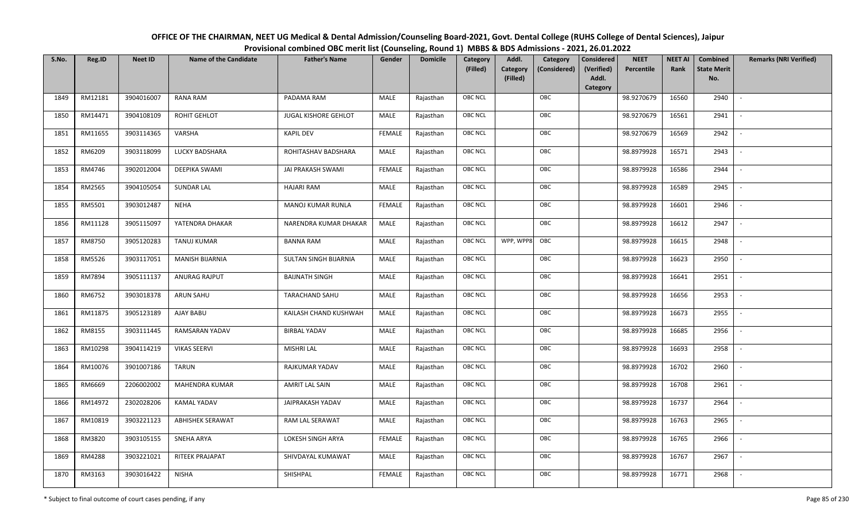| OFFICE OF THE CHAIRMAN, NEET UG Medical & Dental Admission/Counseling Board-2021, Govt. Dental College (RUHS College of Dental Sciences), Jaipur |
|--------------------------------------------------------------------------------------------------------------------------------------------------|
| Provisional combined OBC merit list (Counseling, Round 1) MBBS & BDS Admissions - 2021, 26.01.2022                                               |

| S.No. | Reg.ID  | <b>Neet ID</b> | <b>Name of the Candidate</b> | <b>Father's Name</b>  | Gender        | <b>Domicile</b> | Category<br>(Filled) | Addl.<br><b>Category</b><br>(Filled) | Category<br>(Considered) | Considered<br>(Verified)<br>Addl. | <b>NEET</b><br>Percentile | <b>NEET AI</b><br>Rank | Combined<br><b>State Merit</b><br>No. | <b>Remarks (NRI Verified)</b> |
|-------|---------|----------------|------------------------------|-----------------------|---------------|-----------------|----------------------|--------------------------------------|--------------------------|-----------------------------------|---------------------------|------------------------|---------------------------------------|-------------------------------|
|       |         |                |                              |                       |               |                 |                      |                                      |                          | Category                          |                           |                        |                                       |                               |
| 1849  | RM12181 | 3904016007     | <b>RANA RAM</b>              | PADAMA RAM            | MALE          | Rajasthan       | <b>OBC NCL</b>       |                                      | OBC                      |                                   | 98.9270679                | 16560                  | 2940                                  | $\sim$                        |
| 1850  | RM14471 | 3904108109     | ROHIT GEHLOT                 | JUGAL KISHORE GEHLOT  | MALE          | Rajasthan       | OBC NCL              |                                      | OBC                      |                                   | 98.9270679                | 16561                  | 2941                                  |                               |
| 1851  | RM11655 | 3903114365     | VARSHA                       | <b>KAPIL DEV</b>      | <b>FEMALE</b> | Rajasthan       | <b>OBC NCL</b>       |                                      | OBC                      |                                   | 98.9270679                | 16569                  | 2942                                  |                               |
| 1852  | RM6209  | 3903118099     | LUCKY BADSHARA               | ROHITASHAV BADSHARA   | MALE          | Rajasthan       | OBC NCL              |                                      | OBC                      |                                   | 98.8979928                | 16571                  | 2943                                  | $\overline{\phantom{a}}$      |
| 1853  | RM4746  | 3902012004     | DEEPIKA SWAMI                | JAI PRAKASH SWAMI     | <b>FEMALE</b> | Rajasthan       | <b>OBC NCL</b>       |                                      | OBC                      |                                   | 98.8979928                | 16586                  | 2944                                  | $\sim$                        |
| 1854  | RM2565  | 3904105054     | <b>SUNDAR LAL</b>            | <b>HAJARI RAM</b>     | MALE          | Rajasthan       | <b>OBC NCL</b>       |                                      | OBC                      |                                   | 98.8979928                | 16589                  | 2945                                  | $\overline{\phantom{a}}$      |
| 1855  | RM5501  | 3903012487     | <b>NEHA</b>                  | MANOJ KUMAR RUNLA     | <b>FEMALE</b> | Rajasthan       | OBC NCL              |                                      | OBC                      |                                   | 98.8979928                | 16601                  | 2946                                  | $\blacksquare$                |
| 1856  | RM11128 | 3905115097     | YATENDRA DHAKAR              | NARENDRA KUMAR DHAKAR | MALE          | Rajasthan       | OBC NCL              |                                      | OBC                      |                                   | 98.8979928                | 16612                  | 2947                                  |                               |
| 1857  | RM8750  | 3905120283     | <b>TANUJ KUMAR</b>           | <b>BANNA RAM</b>      | MALE          | Rajasthan       | <b>OBC NCL</b>       | WPP, WPP8                            | OBC                      |                                   | 98.8979928                | 16615                  | 2948                                  |                               |
| 1858  | RM5526  | 3903117051     | <b>MANISH BIJARNIA</b>       | SULTAN SINGH BIJARNIA | MALE          | Rajasthan       | <b>OBC NCL</b>       |                                      | OBC                      |                                   | 98.8979928                | 16623                  | 2950                                  |                               |
| 1859  | RM7894  | 3905111137     | ANURAG RAJPUT                | <b>BAIJNATH SINGH</b> | MALE          | Rajasthan       | <b>OBC NCL</b>       |                                      | OBC                      |                                   | 98.8979928                | 16641                  | 2951                                  |                               |
| 1860  | RM6752  | 3903018378     | ARUN SAHU                    | <b>TARACHAND SAHU</b> | MALE          | Rajasthan       | OBC NCL              |                                      | OBC                      |                                   | 98.8979928                | 16656                  | 2953                                  | $\sim$                        |
| 1861  | RM11875 | 3905123189     | AJAY BABU                    | KAILASH CHAND KUSHWAH | MALE          | Rajasthan       | <b>OBC NCL</b>       |                                      | OBC                      |                                   | 98.8979928                | 16673                  | 2955                                  |                               |
| 1862  | RM8155  | 3903111445     | RAMSARAN YADAV               | <b>BIRBAL YADAV</b>   | MALE          | Rajasthan       | <b>OBC NCL</b>       |                                      | OBC                      |                                   | 98.8979928                | 16685                  | 2956                                  | $\sim$                        |
| 1863  | RM10298 | 3904114219     | <b>VIKAS SEERVI</b>          | <b>MISHRI LAL</b>     | <b>MALE</b>   | Rajasthan       | OBC NCL              |                                      | OBC                      |                                   | 98.8979928                | 16693                  | 2958                                  | $\overline{\phantom{a}}$      |
| 1864  | RM10076 | 3901007186     | TARUN                        | RAJKUMAR YADAV        | MALE          | Rajasthan       | <b>OBC NCL</b>       |                                      | OBC                      |                                   | 98.8979928                | 16702                  | 2960                                  | $\sim$                        |
| 1865  | RM6669  | 2206002002     | <b>MAHENDRA KUMAR</b>        | AMRIT LAL SAIN        | MALE          | Rajasthan       | <b>OBC NCL</b>       |                                      | OBC                      |                                   | 98.8979928                | 16708                  | 2961                                  | $\overline{\phantom{a}}$      |
| 1866  | RM14972 | 2302028206     | <b>KAMAL YADAV</b>           | JAIPRAKASH YADAV      | MALE          | Rajasthan       | OBC NCL              |                                      | OBC                      |                                   | 98.8979928                | 16737                  | 2964                                  |                               |
| 1867  | RM10819 | 3903221123     | <b>ABHISHEK SERAWAT</b>      | RAM LAL SERAWAT       | MALE          | Rajasthan       | <b>OBC NCL</b>       |                                      | OBC                      |                                   | 98.8979928                | 16763                  | 2965                                  |                               |
| 1868  | RM3820  | 3903105155     | SNEHA ARYA                   | LOKESH SINGH ARYA     | <b>FEMALE</b> | Rajasthan       | OBC NCL              |                                      | OBC                      |                                   | 98.8979928                | 16765                  | 2966                                  | $\blacksquare$                |
| 1869  | RM4288  | 3903221021     | RITEEK PRAJAPAT              | SHIVDAYAL KUMAWAT     | <b>MALE</b>   | Rajasthan       | <b>OBC NCL</b>       |                                      | OBC                      |                                   | 98.8979928                | 16767                  | 2967                                  |                               |
| 1870  | RM3163  | 3903016422     | <b>NISHA</b>                 | SHISHPAL              | <b>FEMALE</b> | Rajasthan       | <b>OBC NCL</b>       |                                      | OBC                      |                                   | 98.8979928                | 16771                  | 2968                                  |                               |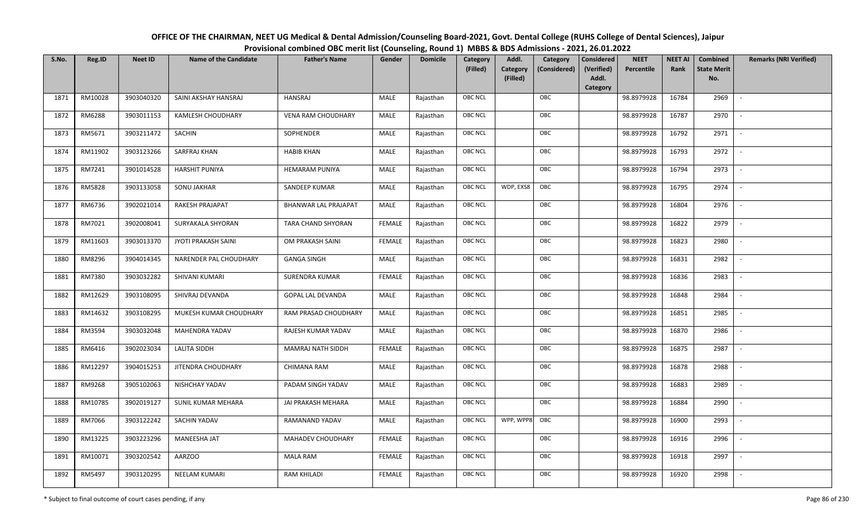| OFFICE OF THE CHAIRMAN, NEET UG Medical & Dental Admission/Counseling Board-2021, Govt. Dental College (RUHS College of Dental Sciences), Jaipur |
|--------------------------------------------------------------------------------------------------------------------------------------------------|
| Provisional combined OBC merit list (Counseling, Round 1) MBBS & BDS Admissions - 2021, 26.01.2022                                               |

| S.No. | Reg.ID  | <b>Neet ID</b> | <b>Name of the Candidate</b> | <b>Father's Name</b>        | Gender        | <b>Domicile</b> | Category<br>(Filled) | Addl.<br><b>Category</b><br>(Filled) | Category<br>(Considered) | <b>Considered</b><br>(Verified)<br>Addl. | <b>NEET</b><br>Percentile | <b>NEET AI</b><br>Rank | Combined<br><b>State Merit</b><br>No. | <b>Remarks (NRI Verified)</b> |
|-------|---------|----------------|------------------------------|-----------------------------|---------------|-----------------|----------------------|--------------------------------------|--------------------------|------------------------------------------|---------------------------|------------------------|---------------------------------------|-------------------------------|
|       |         |                |                              |                             |               |                 |                      |                                      |                          | Category                                 |                           |                        |                                       |                               |
| 1871  | RM10028 | 3903040320     | SAINI AKSHAY HANSRAJ         | <b>HANSRAJ</b>              | MALE          | Rajasthan       | <b>OBC NCL</b>       |                                      | OBC                      |                                          | 98.8979928                | 16784                  | 2969                                  | $\mathbb{L}$                  |
| 1872  | RM6288  | 3903011153     | <b>KAMLESH CHOUDHARY</b>     | <b>VENA RAM CHOUDHARY</b>   | MALE          | Rajasthan       | OBC NCL              |                                      | OBC                      |                                          | 98.8979928                | 16787                  | 2970                                  |                               |
| 1873  | RM5671  | 3903211472     | SACHIN                       | SOPHENDER                   | MALE          | Rajasthan       | <b>OBC NCL</b>       |                                      | OBC                      |                                          | 98.8979928                | 16792                  | 2971                                  | $\overline{\phantom{a}}$      |
| 1874  | RM11902 | 3903123266     | SARFRAJ KHAN                 | <b>HABIB KHAN</b>           | MALE          | Rajasthan       | OBC NCL              |                                      | OBC                      |                                          | 98.8979928                | 16793                  | 2972                                  | $\overline{\phantom{a}}$      |
| 1875  | RM7241  | 3901014528     | <b>HARSHIT PUNIYA</b>        | <b>HEMARAM PUNIYA</b>       | <b>MALE</b>   | Rajasthan       | <b>OBC NCL</b>       |                                      | OBC                      |                                          | 98.8979928                | 16794                  | 2973                                  | $\sim$                        |
| 1876  | RM5828  | 3903133058     | SONU JAKHAR                  | SANDEEP KUMAR               | MALE          | Rajasthan       | <b>OBC NCL</b>       | WDP, EXS8                            | OBC                      |                                          | 98.8979928                | 16795                  | 2974                                  | $\overline{\phantom{a}}$      |
| 1877  | RM6736  | 3902021014     | RAKESH PRAJAPAT              | <b>BHANWAR LAL PRAJAPAT</b> | MALE          | Rajasthan       | <b>OBC NCL</b>       |                                      | OBC                      |                                          | 98.8979928                | 16804                  | 2976                                  | $\overline{\phantom{a}}$      |
| 1878  | RM7021  | 3902008041     | SURYAKALA SHYORAN            | TARA CHAND SHYORAN          | <b>FEMALE</b> | Rajasthan       | <b>OBC NCL</b>       |                                      | OBC                      |                                          | 98.8979928                | 16822                  | 2979                                  |                               |
| 1879  | RM11603 | 3903013370     | JYOTI PRAKASH SAINI          | OM PRAKASH SAINI            | <b>FEMALE</b> | Rajasthan       | OBC NCL              |                                      | OBC                      |                                          | 98.8979928                | 16823                  | 2980                                  |                               |
| 1880  | RM8296  | 3904014345     | NARENDER PAL CHOUDHARY       | <b>GANGA SINGH</b>          | MALE          | Rajasthan       | <b>OBC NCL</b>       |                                      | OBC                      |                                          | 98.8979928                | 16831                  | 2982                                  | $\overline{\phantom{a}}$      |
| 1881  | RM7380  | 3903032282     | SHIVANI KUMARI               | SURENDRA KUMAR              | <b>FEMALE</b> | Rajasthan       | OBC NCL              |                                      | OBC                      |                                          | 98.8979928                | 16836                  | 2983                                  |                               |
| 1882  | RM12629 | 3903108095     | SHIVRAJ DEVANDA              | <b>GOPAL LAL DEVANDA</b>    | MALE          | Rajasthan       | <b>OBC NCL</b>       |                                      | OBC                      |                                          | 98.8979928                | 16848                  | 2984                                  |                               |
| 1883  | RM14632 | 3903108295     | MUKESH KUMAR CHOUDHARY       | RAM PRASAD CHOUDHARY        | MALE          | Rajasthan       | OBC NCL              |                                      | OBC                      |                                          | 98.8979928                | 16851                  | 2985                                  |                               |
| 1884  | RM3594  | 3903032048     | <b>MAHENDRA YADAV</b>        | RAJESH KUMAR YADAV          | MALE          | Rajasthan       | <b>OBC NCL</b>       |                                      | OBC                      |                                          | 98.8979928                | 16870                  | 2986                                  | $\overline{\phantom{a}}$      |
| 1885  | RM6416  | 3902023034     | LALITA SIDDH                 | MAMRAJ NATH SIDDH           | <b>FEMALE</b> | Rajasthan       | OBC NCL              |                                      | OBC                      |                                          | 98.8979928                | 16875                  | 2987                                  | $\overline{\phantom{a}}$      |
| 1886  | RM12297 | 3904015253     | JITENDRA CHOUDHARY           | CHIMANA RAM                 | MALE          | Rajasthan       | <b>OBC NCL</b>       |                                      | OBC                      |                                          | 98.8979928                | 16878                  | 2988                                  | $\sim$                        |
| 1887  | RM9268  | 3905102063     | NISHCHAY YADAV               | PADAM SINGH YADAV           | MALE          | Rajasthan       | <b>OBC NCL</b>       |                                      | OBC                      |                                          | 98.8979928                | 16883                  | 2989                                  | $\overline{\phantom{a}}$      |
| 1888  | RM10785 | 3902019127     | SUNIL KUMAR MEHARA           | JAI PRAKASH MEHARA          | MALE          | Rajasthan       | OBC NCL              |                                      | OBC                      |                                          | 98.8979928                | 16884                  | 2990                                  | $\sim$                        |
| 1889  | RM7066  | 3903122242     | SACHIN YADAV                 | RAMANAND YADAV              | MALE          | Rajasthan       | <b>OBC NCL</b>       | WPP, WPP8                            | OBC                      |                                          | 98.8979928                | 16900                  | 2993                                  |                               |
| 1890  | RM13225 | 3903223296     | MANEESHA JAT                 | MAHADEV CHOUDHARY           | <b>FEMALE</b> | Rajasthan       | OBC NCL              |                                      | OBC                      |                                          | 98.8979928                | 16916                  | 2996                                  |                               |
| 1891  | RM10071 | 3903202542     | <b>AARZOO</b>                | <b>MALA RAM</b>             | <b>FEMALE</b> | Rajasthan       | <b>OBC NCL</b>       |                                      | OBC                      |                                          | 98.8979928                | 16918                  | 2997                                  | $\overline{\phantom{a}}$      |
| 1892  | RM5497  | 3903120295     | <b>NEELAM KUMARI</b>         | <b>RAM KHILADI</b>          | <b>FEMALE</b> | Rajasthan       | <b>OBC NCL</b>       |                                      | OBC                      |                                          | 98.8979928                | 16920                  | 2998                                  |                               |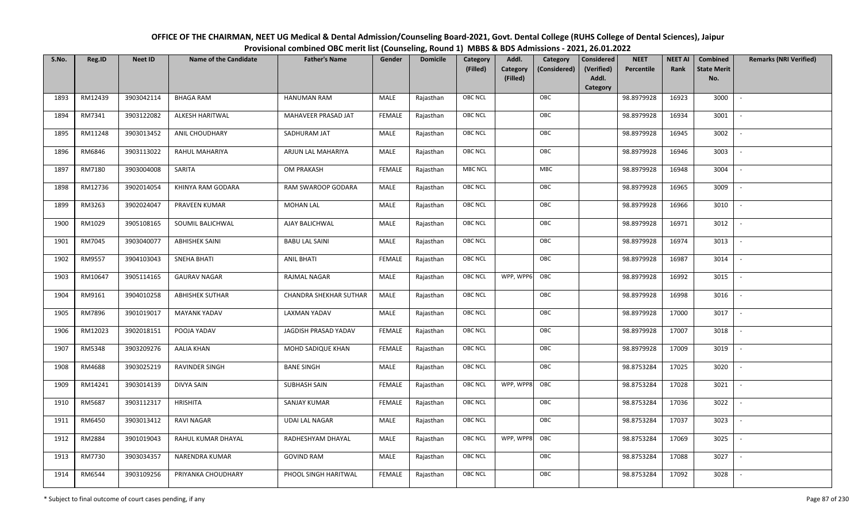| OFFICE OF THE CHAIRMAN, NEET UG Medical & Dental Admission/Counseling Board-2021, Govt. Dental College (RUHS College of Dental Sciences), Jaipur |
|--------------------------------------------------------------------------------------------------------------------------------------------------|
| Provisional combined OBC merit list (Counseling, Round 1) MBBS & BDS Admissions - 2021, 26.01.2022                                               |

| S.No. | Reg.ID  | <b>Neet ID</b> | <b>Name of the Candidate</b> | <b>Father's Name</b>          | Gender        | <b>Domicile</b> | Category<br>(Filled) | Addl.<br>Category<br>(Filled) | Category<br>(Considered) | <b>Considered</b><br>(Verified)<br>Addl. | <b>NEET</b><br>Percentile | <b>NEET AI</b><br>Rank | Combined<br><b>State Merit</b><br>No. | <b>Remarks (NRI Verified)</b> |
|-------|---------|----------------|------------------------------|-------------------------------|---------------|-----------------|----------------------|-------------------------------|--------------------------|------------------------------------------|---------------------------|------------------------|---------------------------------------|-------------------------------|
|       |         |                |                              |                               |               |                 |                      |                               |                          | Category                                 |                           |                        |                                       |                               |
| 1893  | RM12439 | 3903042114     | <b>BHAGA RAM</b>             | <b>HANUMAN RAM</b>            | MALE          | Rajasthan       | OBC NCL              |                               | OBC                      |                                          | 98.8979928                | 16923                  | 3000                                  | $\overline{\phantom{a}}$      |
| 1894  | RM7341  | 3903122082     | ALKESH HARITWAL              | MAHAVEER PRASAD JAT           | <b>FEMALE</b> | Rajasthan       | OBC NCL              |                               | OBC                      |                                          | 98.8979928                | 16934                  | 3001                                  |                               |
| 1895  | RM11248 | 3903013452     | ANIL CHOUDHARY               | SADHURAM JAT                  | MALE          | Rajasthan       | <b>OBC NCL</b>       |                               | OBC                      |                                          | 98.8979928                | 16945                  | 3002                                  | $\sim$                        |
| 1896  | RM6846  | 3903113022     | RAHUL MAHARIYA               | ARJUN LAL MAHARIYA            | MALE          | Rajasthan       | OBC NCL              |                               | OBC                      |                                          | 98.8979928                | 16946                  | 3003                                  | $\overline{\phantom{a}}$      |
| 1897  | RM7180  | 3903004008     | SARITA                       | <b>OM PRAKASH</b>             | <b>FEMALE</b> | Rajasthan       | MBC NCL              |                               | <b>MBC</b>               |                                          | 98.8979928                | 16948                  | 3004                                  | $\sim$                        |
| 1898  | RM12736 | 3902014054     | KHINYA RAM GODARA            | RAM SWAROOP GODARA            | MALE          | Rajasthan       | OBC NCL              |                               | OBC                      |                                          | 98.8979928                | 16965                  | 3009                                  | $\overline{\phantom{a}}$      |
| 1899  | RM3263  | 3902024047     | PRAVEEN KUMAR                | <b>MOHAN LAL</b>              | MALE          | Rajasthan       | OBC NCL              |                               | OBC                      |                                          | 98.8979928                | 16966                  | 3010                                  | $\overline{\phantom{a}}$      |
| 1900  | RM1029  | 3905108165     | SOUMIL BALICHWAL             | AJAY BALICHWAL                | MALE          | Rajasthan       | OBC NCL              |                               | OBC                      |                                          | 98.8979928                | 16971                  | 3012                                  |                               |
| 1901  | RM7045  | 3903040077     | <b>ABHISHEK SAINI</b>        | <b>BABU LAL SAINI</b>         | MALE          | Rajasthan       | OBC NCL              |                               | OBC                      |                                          | 98.8979928                | 16974                  | 3013                                  |                               |
| 1902  | RM9557  | 3904103043     | <b>SNEHA BHATI</b>           | <b>ANIL BHATI</b>             | <b>FEMALE</b> | Rajasthan       | OBC NCL              |                               | OBC                      |                                          | 98.8979928                | 16987                  | 3014                                  |                               |
| 1903  | RM10647 | 3905114165     | <b>GAURAV NAGAR</b>          | <b>RAJMAL NAGAR</b>           | MALE          | Rajasthan       | <b>OBC NCL</b>       | WPP, WPP6                     | OBC                      |                                          | 98.8979928                | 16992                  | 3015                                  |                               |
| 1904  | RM9161  | 3904010258     | <b>ABHISHEK SUTHAR</b>       | <b>CHANDRA SHEKHAR SUTHAR</b> | MALE          | Rajasthan       | OBC NCL              |                               | OBC                      |                                          | 98.8979928                | 16998                  | 3016                                  | $\sim$                        |
| 1905  | RM7896  | 3901019017     | <b>MAYANK YADAV</b>          | <b>LAXMAN YADAV</b>           | MALE          | Rajasthan       | OBC NCL              |                               | OBC                      |                                          | 98.8979928                | 17000                  | 3017                                  |                               |
| 1906  | RM12023 | 3902018151     | POOJA YADAV                  | JAGDISH PRASAD YADAV          | <b>FEMALE</b> | Rajasthan       | OBC NCL              |                               | OBC                      |                                          | 98.8979928                | 17007                  | 3018                                  | $\sim$                        |
| 1907  | RM5348  | 3903209276     | <b>AALIA KHAN</b>            | MOHD SADIQUE KHAN             | <b>FEMALE</b> | Rajasthan       | OBC NCL              |                               | OBC                      |                                          | 98.8979928                | 17009                  | 3019                                  | $\overline{\phantom{a}}$      |
| 1908  | RM4688  | 3903025219     | RAVINDER SINGH               | <b>BANE SINGH</b>             | MALE          | Rajasthan       | OBC NCL              |                               | OBC                      |                                          | 98.8753284                | 17025                  | 3020                                  | $\sim$                        |
| 1909  | RM14241 | 3903014139     | DIVYA SAIN                   | SUBHASH SAIN                  | <b>FEMALE</b> | Rajasthan       | <b>OBC NCL</b>       | WPP, WPP8                     | OBC                      |                                          | 98.8753284                | 17028                  | 3021                                  | $\overline{\phantom{a}}$      |
| 1910  | RM5687  | 3903112317     | <b>HRISHITA</b>              | SANJAY KUMAR                  | <b>FEMALE</b> | Rajasthan       | OBC NCL              |                               | OBC                      |                                          | 98.8753284                | 17036                  | 3022                                  |                               |
| 1911  | RM6450  | 3903013412     | RAVI NAGAR                   | <b>UDAI LAL NAGAR</b>         | MALE          | Rajasthan       | <b>OBC NCL</b>       |                               | OBC                      |                                          | 98.8753284                | 17037                  | 3023                                  |                               |
| 1912  | RM2884  | 3901019043     | RAHUL KUMAR DHAYAL           | RADHESHYAM DHAYAL             | MALE          | Rajasthan       | <b>OBC NCL</b>       | WPP, WPP8                     | OBC                      |                                          | 98.8753284                | 17069                  | 3025                                  |                               |
| 1913  | RM7730  | 3903034357     | NARENDRA KUMAR               | <b>GOVIND RAM</b>             | <b>MALE</b>   | Rajasthan       | OBC NCL              |                               | OBC                      |                                          | 98.8753284                | 17088                  | 3027                                  |                               |
| 1914  | RM6544  | 3903109256     | PRIYANKA CHOUDHARY           | PHOOL SINGH HARITWAL          | <b>FEMALE</b> | Rajasthan       | OBC NCL              |                               | OBC                      |                                          | 98.8753284                | 17092                  | 3028                                  |                               |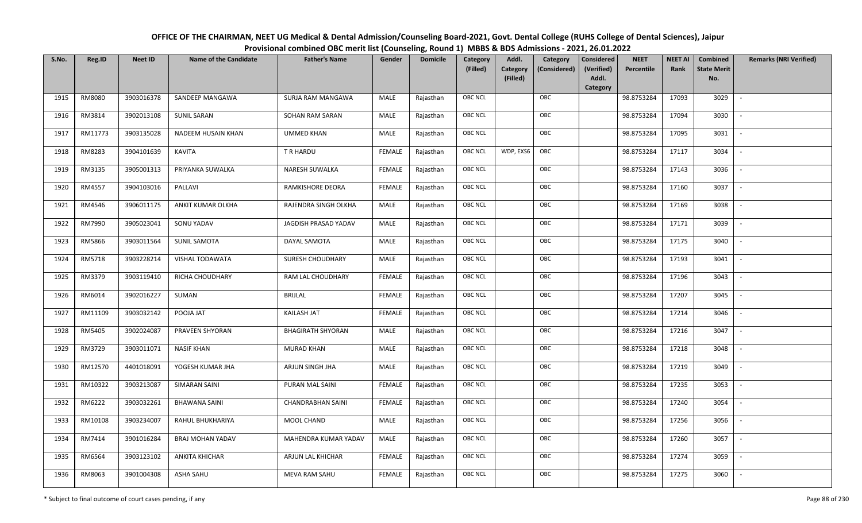| OFFICE OF THE CHAIRMAN, NEET UG Medical & Dental Admission/Counseling Board-2021, Govt. Dental College (RUHS College of Dental Sciences), Jaipur |
|--------------------------------------------------------------------------------------------------------------------------------------------------|
| Provisional combined OBC merit list (Counseling, Round 1) MBBS & BDS Admissions - 2021, 26.01.2022                                               |

| S.No. | Reg.ID  | <b>Neet ID</b> | <b>Name of the Candidate</b> | <b>Father's Name</b>     | Gender        | <b>Domicile</b> | <b>Category</b> | Addl.                | Category     | <b>Considered</b>   | <b>NEET</b> | <b>NEET AI</b> | Combined                  | <b>Remarks (NRI Verified)</b> |
|-------|---------|----------------|------------------------------|--------------------------|---------------|-----------------|-----------------|----------------------|--------------|---------------------|-------------|----------------|---------------------------|-------------------------------|
|       |         |                |                              |                          |               |                 | (Filled)        | Category<br>(Filled) | (Considered) | (Verified)<br>Addl. | Percentile  | Rank           | <b>State Merit</b><br>No. |                               |
|       |         |                |                              |                          |               |                 |                 |                      |              | <b>Category</b>     |             |                |                           |                               |
| 1915  | RM8080  | 3903016378     | SANDEEP MANGAWA              | SURJA RAM MANGAWA        | MALE          | Rajasthan       | OBC NCL         |                      | OBC          |                     | 98.8753284  | 17093          | 3029                      |                               |
| 1916  | RM3814  | 3902013108     | <b>SUNIL SARAN</b>           | SOHAN RAM SARAN          | MALE          | Rajasthan       | OBC NCL         |                      | OBC          |                     | 98.8753284  | 17094          | 3030                      |                               |
| 1917  | RM11773 | 3903135028     | NADEEM HUSAIN KHAN           | UMMED KHAN               | MALE          | Rajasthan       | OBC NCL         |                      | OBC          |                     | 98.8753284  | 17095          | 3031                      | $\overline{\phantom{a}}$      |
| 1918  | RM8283  | 3904101639     | <b>KAVITA</b>                | T R HARDU                | <b>FEMALE</b> | Rajasthan       | OBC NCL         | WDP, EXS6            | OBC          |                     | 98.8753284  | 17117          | 3034                      | $\overline{\phantom{a}}$      |
| 1919  | RM3135  | 3905001313     | PRIYANKA SUWALKA             | NARESH SUWALKA           | <b>FEMALE</b> | Rajasthan       | OBC NCL         |                      | OBC          |                     | 98.8753284  | 17143          | 3036                      | $\sim$                        |
| 1920  | RM4557  | 3904103016     | PALLAVI                      | RAMKISHORE DEORA         | <b>FEMALE</b> | Rajasthan       | <b>OBC NCL</b>  |                      | OBC          |                     | 98.8753284  | 17160          | 3037                      | $\overline{\phantom{a}}$      |
| 1921  | RM4546  | 3906011175     | ANKIT KUMAR OLKHA            | RAJENDRA SINGH OLKHA     | MALE          | Rajasthan       | OBC NCL         |                      | OBC          |                     | 98.8753284  | 17169          | 3038                      |                               |
| 1922  | RM7990  | 3905023041     | SONU YADAV                   | JAGDISH PRASAD YADAV     | MALE          | Rajasthan       | <b>OBC NCL</b>  |                      | OBC          |                     | 98.8753284  | 17171          | 3039                      |                               |
| 1923  | RM5866  | 3903011564     | <b>SUNIL SAMOTA</b>          | DAYAL SAMOTA             | MALE          | Rajasthan       | OBC NCL         |                      | OBC          |                     | 98.8753284  | 17175          | 3040                      |                               |
| 1924  | RM5718  | 3903228214     | VISHAL TODAWATA              | SURESH CHOUDHARY         | MALE          | Rajasthan       | OBC NCL         |                      | OBC          |                     | 98.8753284  | 17193          | 3041                      | $\overline{\phantom{a}}$      |
| 1925  | RM3379  | 3903119410     | RICHA CHOUDHARY              | RAM LAL CHOUDHARY        | <b>FEMALE</b> | Rajasthan       | <b>OBC NCL</b>  |                      | OBC          |                     | 98.8753284  | 17196          | 3043                      |                               |
| 1926  | RM6014  | 3902016227     | SUMAN                        | <b>BRIJLAL</b>           | <b>FEMALE</b> | Rajasthan       | OBC NCL         |                      | OBC          |                     | 98.8753284  | 17207          | 3045                      | $\sim$                        |
| 1927  | RM11109 | 3903032142     | POOJA JAT                    | <b>KAILASH JAT</b>       | <b>FEMALE</b> | Rajasthan       | OBC NCL         |                      | OBC          |                     | 98.8753284  | 17214          | 3046                      |                               |
| 1928  | RM5405  | 3902024087     | PRAVEEN SHYORAN              | <b>BHAGIRATH SHYORAN</b> | MALE          | Rajasthan       | OBC NCL         |                      | OBC          |                     | 98.8753284  | 17216          | 3047                      | $\overline{\phantom{a}}$      |
| 1929  | RM3729  | 3903011071     | <b>NASIF KHAN</b>            | <b>MURAD KHAN</b>        | MALE          | Rajasthan       | OBC NCL         |                      | OBC          |                     | 98.8753284  | 17218          | 3048                      | $\overline{\phantom{a}}$      |
| 1930  | RM12570 | 4401018091     | YOGESH KUMAR JHA             | ARJUN SINGH JHA          | MALE          | Rajasthan       | OBC NCL         |                      | OBC          |                     | 98.8753284  | 17219          | 3049                      | $\overline{\phantom{a}}$      |
| 1931  | RM10322 | 3903213087     | <b>SIMARAN SAINI</b>         | PURAN MAL SAINI          | <b>FEMALE</b> | Rajasthan       | OBC NCL         |                      | OBC          |                     | 98.8753284  | 17235          | 3053                      | $\overline{\phantom{a}}$      |
| 1932  | RM6222  | 3903032261     | <b>BHAWANA SAINI</b>         | <b>CHANDRABHAN SAINI</b> | <b>FEMALE</b> | Rajasthan       | OBC NCL         |                      | OBC          |                     | 98.8753284  | 17240          | 3054                      |                               |
| 1933  | RM10108 | 3903234007     | RAHUL BHUKHARIYA             | MOOL CHAND               | MALE          | Rajasthan       | OBC NCL         |                      | OBC          |                     | 98.8753284  | 17256          | 3056                      |                               |
| 1934  | RM7414  | 3901016284     | <b>BRAJ MOHAN YADAV</b>      | MAHENDRA KUMAR YADAV     | MALE          | Rajasthan       | OBC NCL         |                      | OBC          |                     | 98.8753284  | 17260          | 3057                      |                               |
| 1935  | RM6564  | 3903123102     | ANKITA KHICHAR               | ARJUN LAL KHICHAR        | <b>FEMALE</b> | Rajasthan       | <b>OBC NCL</b>  |                      | OBC          |                     | 98.8753284  | 17274          | 3059                      |                               |
| 1936  | RM8063  | 3901004308     | ASHA SAHU                    | <b>MEVA RAM SAHU</b>     | FEMALE        | Rajasthan       | OBC NCL         |                      | OBC          |                     | 98.8753284  | 17275          | 3060                      |                               |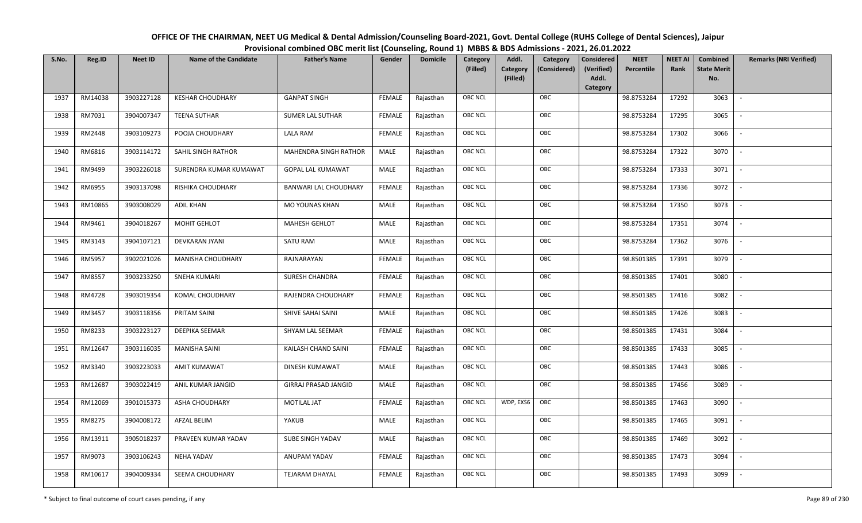| OFFICE OF THE CHAIRMAN, NEET UG Medical & Dental Admission/Counseling Board-2021, Govt. Dental College (RUHS College of Dental Sciences), Jaipur |
|--------------------------------------------------------------------------------------------------------------------------------------------------|
| Provisional combined OBC merit list (Counseling, Round 1) MBBS & BDS Admissions - 2021, 26.01.2022                                               |

| S.No. | Reg.ID  | <b>Neet ID</b> | <b>Name of the Candidate</b> | <b>Father's Name</b>        | Gender        | <b>Domicile</b> | Category<br>(Filled) | Addl.<br><b>Category</b><br>(Filled) | Category<br>(Considered) | <b>Considered</b><br>(Verified)<br>Addl.<br>Category | <b>NEET</b><br>Percentile | <b>NEET AI</b><br>Rank | <b>Combined</b><br><b>State Merit</b><br>No. | <b>Remarks (NRI Verified)</b> |
|-------|---------|----------------|------------------------------|-----------------------------|---------------|-----------------|----------------------|--------------------------------------|--------------------------|------------------------------------------------------|---------------------------|------------------------|----------------------------------------------|-------------------------------|
| 1937  | RM14038 | 3903227128     | <b>KESHAR CHOUDHARY</b>      | <b>GANPAT SINGH</b>         | FEMALE        | Rajasthan       | <b>OBC NCL</b>       |                                      | OBC                      |                                                      | 98.8753284                | 17292                  | 3063                                         | $\mathbb{L}$                  |
| 1938  | RM7031  | 3904007347     | <b>TEENA SUTHAR</b>          | <b>SUMER LAL SUTHAR</b>     | FEMALE        | Rajasthan       | OBC NCL              |                                      | OBC                      |                                                      | 98.8753284                | 17295                  | 3065                                         |                               |
| 1939  | RM2448  | 3903109273     | POOJA CHOUDHARY              | LALA RAM                    | <b>FEMALE</b> | Rajasthan       | <b>OBC NCL</b>       |                                      | OBC                      |                                                      | 98.8753284                | 17302                  | 3066                                         | $\sim$                        |
| 1940  | RM6816  | 3903114172     | SAHIL SINGH RATHOR           | MAHENDRA SINGH RATHOR       | MALE          | Rajasthan       | <b>OBC NCL</b>       |                                      | OBC                      |                                                      | 98.8753284                | 17322                  | 3070                                         | $\overline{\phantom{a}}$      |
| 1941  | RM9499  | 3903226018     | SURENDRA KUMAR KUMAWAT       | <b>GOPAL LAL KUMAWAT</b>    | MALE          | Rajasthan       | OBC NCL              |                                      | OBC                      |                                                      | 98.8753284                | 17333                  | 3071                                         | $\sim$                        |
| 1942  | RM6955  | 3903137098     | RISHIKA CHOUDHARY            | BANWARI LAL CHOUDHARY       | <b>FEMALE</b> | Rajasthan       | OBC NCL              |                                      | OBC                      |                                                      | 98.8753284                | 17336                  | 3072                                         | $\overline{\phantom{a}}$      |
| 1943  | RM10865 | 3903008029     | <b>ADIL KHAN</b>             | MO YOUNAS KHAN              | <b>MALE</b>   | Rajasthan       | OBC NCL              |                                      | OBC                      |                                                      | 98.8753284                | 17350                  | 3073                                         | $\overline{\phantom{a}}$      |
| 1944  | RM9461  | 3904018267     | MOHIT GEHLOT                 | MAHESH GEHLOT               | MALE          | Rajasthan       | OBC NCL              |                                      | OBC                      |                                                      | 98.8753284                | 17351                  | 3074                                         |                               |
| 1945  | RM3143  | 3904107121     | <b>DEVKARAN JYANI</b>        | SATU RAM                    | <b>MALE</b>   | Rajasthan       | OBC NCL              |                                      | OBC                      |                                                      | 98.8753284                | 17362                  | 3076                                         |                               |
| 1946  | RM5957  | 3902021026     | MANISHA CHOUDHARY            | RAJNARAYAN                  | <b>FEMALE</b> | Rajasthan       | OBC NCL              |                                      | OBC                      |                                                      | 98.8501385                | 17391                  | 3079                                         |                               |
| 1947  | RM8557  | 3903233250     | <b>SNEHA KUMARI</b>          | <b>SURESH CHANDRA</b>       | <b>FEMALE</b> | Rajasthan       | OBC NCL              |                                      | OBC                      |                                                      | 98.8501385                | 17401                  | 3080                                         |                               |
| 1948  | RM4728  | 3903019354     | KOMAL CHOUDHARY              | RAJENDRA CHOUDHARY          | <b>FEMALE</b> | Rajasthan       | <b>OBC NCL</b>       |                                      | OBC                      |                                                      | 98.8501385                | 17416                  | 3082                                         | $\sim$                        |
| 1949  | RM3457  | 3903118356     | PRITAM SAINI                 | SHIVE SAHAI SAINI           | MALE          | Rajasthan       | OBC NCL              |                                      | OBC                      |                                                      | 98.8501385                | 17426                  | 3083                                         |                               |
| 1950  | RM8233  | 3903223127     | DEEPIKA SEEMAR               | SHYAM LAL SEEMAR            | <b>FEMALE</b> | Rajasthan       | <b>OBC NCL</b>       |                                      | OBC                      |                                                      | 98.8501385                | 17431                  | 3084                                         | $\overline{\phantom{a}}$      |
| 1951  | RM12647 | 3903116035     | <b>MANISHA SAINI</b>         | KAILASH CHAND SAINI         | <b>FEMALE</b> | Rajasthan       | <b>OBC NCL</b>       |                                      | OBC                      |                                                      | 98.8501385                | 17433                  | 3085                                         | $\sim$                        |
| 1952  | RM3340  | 3903223033     | <b>AMIT KUMAWAT</b>          | DINESH KUMAWAT              | MALE          | Rajasthan       | <b>OBC NCL</b>       |                                      | OBC                      |                                                      | 98.8501385                | 17443                  | 3086                                         | $\overline{\phantom{a}}$      |
| 1953  | RM12687 | 3903022419     | ANIL KUMAR JANGID            | <b>GIRRAJ PRASAD JANGID</b> | MALE          | Rajasthan       | <b>OBC NCL</b>       |                                      | OBC                      |                                                      | 98.8501385                | 17456                  | 3089                                         | $\overline{\phantom{a}}$      |
| 1954  | RM12069 | 3901015373     | ASHA CHOUDHARY               | <b>MOTILAL JAT</b>          | <b>FEMALE</b> | Rajasthan       | <b>OBC NCL</b>       | WDP, EXS6                            | OBC                      |                                                      | 98.8501385                | 17463                  | 3090                                         |                               |
| 1955  | RM8275  | 3904008172     | AFZAL BELIM                  | YAKUB                       | MALE          | Rajasthan       | OBC NCL              |                                      | OBC                      |                                                      | 98.8501385                | 17465                  | 3091                                         |                               |
| 1956  | RM13911 | 3905018237     | PRAVEEN KUMAR YADAV          | SUBE SINGH YADAV            | <b>MALE</b>   | Rajasthan       | OBC NCL              |                                      | OBC                      |                                                      | 98.8501385                | 17469                  | 3092                                         |                               |
| 1957  | RM9073  | 3903106243     | <b>NEHA YADAV</b>            | ANUPAM YADAV                | <b>FEMALE</b> | Rajasthan       | OBC NCL              |                                      | OBC                      |                                                      | 98.8501385                | 17473                  | 3094                                         |                               |
| 1958  | RM10617 | 3904009334     | SEEMA CHOUDHARY              | <b>TEJARAM DHAYAL</b>       | FEMALE        | Rajasthan       | OBC NCL              |                                      | OBC                      |                                                      | 98.8501385                | 17493                  | 3099                                         |                               |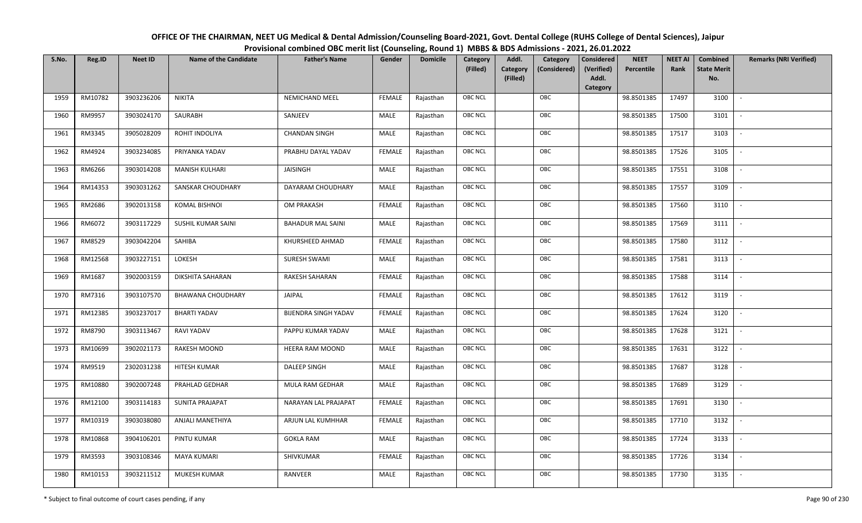| OFFICE OF THE CHAIRMAN, NEET UG Medical & Dental Admission/Counseling Board-2021, Govt. Dental College (RUHS College of Dental Sciences), Jaipur |
|--------------------------------------------------------------------------------------------------------------------------------------------------|
| Provisional combined OBC merit list (Counseling, Round 1) MBBS & BDS Admissions - 2021, 26.01.2022                                               |

| S.No. | Reg.ID  | <b>Neet ID</b> | <b>Name of the Candidate</b> | <b>Father's Name</b>        | Gender        | <b>Domicile</b> | Category<br>(Filled) | Addl.<br>Category<br>(Filled) | Category<br>(Considered) | <b>Considered</b><br>(Verified)<br>Addl. | <b>NEET</b><br>Percentile | <b>NEET AI</b><br>Rank | Combined<br><b>State Merit</b><br>No. | <b>Remarks (NRI Verified)</b> |
|-------|---------|----------------|------------------------------|-----------------------------|---------------|-----------------|----------------------|-------------------------------|--------------------------|------------------------------------------|---------------------------|------------------------|---------------------------------------|-------------------------------|
|       |         |                |                              |                             |               |                 |                      |                               |                          | Category                                 |                           |                        |                                       |                               |
| 1959  | RM10782 | 3903236206     | <b>NIKITA</b>                | <b>NEMICHAND MEEL</b>       | <b>FEMALE</b> | Rajasthan       | OBC NCL              |                               | OBC                      |                                          | 98.8501385                | 17497                  | 3100                                  | $\overline{\phantom{a}}$      |
| 1960  | RM9957  | 3903024170     | SAURABH                      | SANJEEV                     | MALE          | Rajasthan       | OBC NCL              |                               | OBC                      |                                          | 98.8501385                | 17500                  | 3101                                  |                               |
| 1961  | RM3345  | 3905028209     | ROHIT INDOLIYA               | <b>CHANDAN SINGH</b>        | MALE          | Rajasthan       | <b>OBC NCL</b>       |                               | OBC                      |                                          | 98.8501385                | 17517                  | 3103                                  |                               |
| 1962  | RM4924  | 3903234085     | PRIYANKA YADAV               | PRABHU DAYAL YADAV          | <b>FEMALE</b> | Rajasthan       | OBC NCL              |                               | OBC                      |                                          | 98.8501385                | 17526                  | 3105                                  | $\overline{\phantom{a}}$      |
| 1963  | RM6266  | 3903014208     | <b>MANISH KULHARI</b>        | JAISINGH                    | MALE          | Rajasthan       | OBC NCL              |                               | OBC                      |                                          | 98.8501385                | 17551                  | 3108                                  | $\overline{\phantom{a}}$      |
| 1964  | RM14353 | 3903031262     | SANSKAR CHOUDHARY            | DAYARAM CHOUDHARY           | MALE          | Rajasthan       | OBC NCL              |                               | OBC                      |                                          | 98.8501385                | 17557                  | 3109                                  | $\sim$                        |
| 1965  | RM2686  | 3902013158     | <b>KOMAL BISHNOI</b>         | OM PRAKASH                  | <b>FEMALE</b> | Rajasthan       | OBC NCL              |                               | OBC                      |                                          | 98.8501385                | 17560                  | 3110                                  | $\overline{\phantom{a}}$      |
| 1966  | RM6072  | 3903117229     | SUSHIL KUMAR SAINI           | <b>BAHADUR MAL SAINI</b>    | MALE          | Rajasthan       | OBC NCL              |                               | OBC                      |                                          | 98.8501385                | 17569                  | 3111                                  |                               |
| 1967  | RM8529  | 3903042204     | SAHIBA                       | KHURSHEED AHMAD             | <b>FEMALE</b> | Rajasthan       | OBC NCL              |                               | OBC                      |                                          | 98.8501385                | 17580                  | 3112                                  |                               |
| 1968  | RM12568 | 3903227151     | LOKESH                       | <b>SURESH SWAMI</b>         | MALE          | Rajasthan       | OBC NCL              |                               | OBC                      |                                          | 98.8501385                | 17581                  | 3113                                  | $\overline{\phantom{a}}$      |
| 1969  | RM1687  | 3902003159     | DIKSHITA SAHARAN             | <b>RAKESH SAHARAN</b>       | <b>FEMALE</b> | Rajasthan       | OBC NCL              |                               | OBC                      |                                          | 98.8501385                | 17588                  | 3114                                  |                               |
| 1970  | RM7316  | 3903107570     | <b>BHAWANA CHOUDHARY</b>     | JAIPAL                      | <b>FEMALE</b> | Rajasthan       | OBC NCL              |                               | OBC                      |                                          | 98.8501385                | 17612                  | 3119                                  | $\mathcal{L}$                 |
| 1971  | RM12385 | 3903237017     | <b>BHARTI YADAV</b>          | <b>BIJENDRA SINGH YADAV</b> | <b>FEMALE</b> | Rajasthan       | OBC NCL              |                               | OBC                      |                                          | 98.8501385                | 17624                  | 3120                                  |                               |
| 1972  | RM8790  | 3903113467     | RAVI YADAV                   | PAPPU KUMAR YADAV           | MALE          | Rajasthan       | <b>OBC NCL</b>       |                               | OBC                      |                                          | 98.8501385                | 17628                  | 3121                                  | $\sim$                        |
| 1973  | RM10699 | 3902021173     | RAKESH MOOND                 | HEERA RAM MOOND             | MALE          | Rajasthan       | OBC NCL              |                               | OBC                      |                                          | 98.8501385                | 17631                  | 3122                                  | $\overline{\phantom{a}}$      |
| 1974  | RM9519  | 2302031238     | HITESH KUMAR                 | DALEEP SINGH                | <b>MALE</b>   | Rajasthan       | OBC NCL              |                               | OBC                      |                                          | 98.8501385                | 17687                  | 3128                                  | $\overline{\phantom{a}}$      |
| 1975  | RM10880 | 3902007248     | PRAHLAD GEDHAR               | MULA RAM GEDHAR             | MALE          | Rajasthan       | OBC NCL              |                               | OBC                      |                                          | 98.8501385                | 17689                  | 3129                                  | $\overline{\phantom{a}}$      |
| 1976  | RM12100 | 3903114183     | <b>SUNITA PRAJAPAT</b>       | NARAYAN LAL PRAJAPAT        | <b>FEMALE</b> | Rajasthan       | OBC NCL              |                               | OBC                      |                                          | 98.8501385                | 17691                  | 3130                                  | $\overline{\phantom{a}}$      |
| 1977  | RM10319 | 3903038080     | ANJALI MANETHIYA             | ARJUN LAL KUMHHAR           | <b>FEMALE</b> | Rajasthan       | OBC NCL              |                               | OBC                      |                                          | 98.8501385                | 17710                  | 3132                                  |                               |
| 1978  | RM10868 | 3904106201     | PINTU KUMAR                  | <b>GOKLA RAM</b>            | MALE          | Rajasthan       | OBC NCL              |                               | OBC                      |                                          | 98.8501385                | 17724                  | 3133                                  |                               |
| 1979  | RM3593  | 3903108346     | <b>MAYA KUMARI</b>           | SHIVKUMAR                   | <b>FEMALE</b> | Rajasthan       | OBC NCL              |                               | OBC                      |                                          | 98.8501385                | 17726                  | 3134                                  |                               |
| 1980  | RM10153 | 3903211512     | MUKESH KUMAR                 | RANVEER                     | MALE          | Rajasthan       | <b>OBC NCL</b>       |                               | OBC                      |                                          | 98.8501385                | 17730                  | 3135                                  |                               |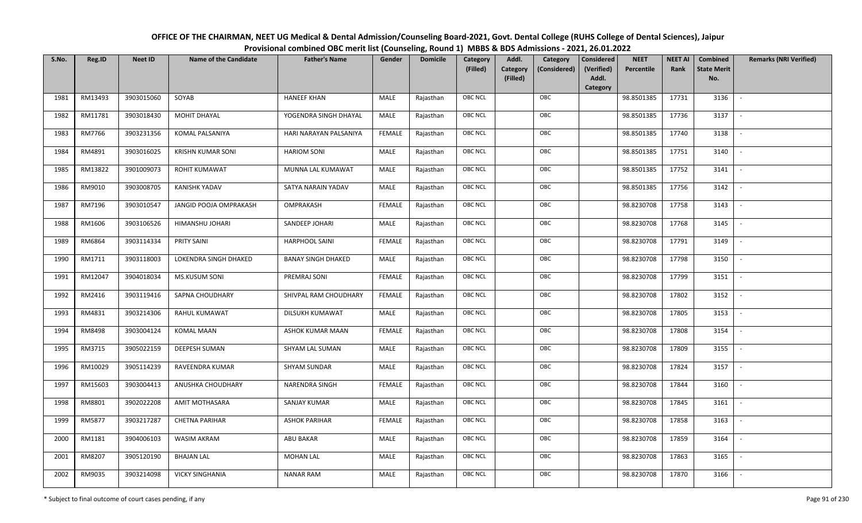| OFFICE OF THE CHAIRMAN, NEET UG Medical & Dental Admission/Counseling Board-2021, Govt. Dental College (RUHS College of Dental Sciences), Jaipur |
|--------------------------------------------------------------------------------------------------------------------------------------------------|
| Provisional combined OBC merit list (Counseling, Round 1) MBBS & BDS Admissions - 2021, 26.01.2022                                               |

| S.No. | Reg.ID  | <b>Neet ID</b> | <b>Name of the Candidate</b> | <b>Father's Name</b>      | Gender        | <b>Domicile</b> | Category       | Addl.                | Category     | <b>Considered</b>   | <b>NEET</b> | <b>NEET AI</b> | Combined                  | <b>Remarks (NRI Verified)</b> |
|-------|---------|----------------|------------------------------|---------------------------|---------------|-----------------|----------------|----------------------|--------------|---------------------|-------------|----------------|---------------------------|-------------------------------|
|       |         |                |                              |                           |               |                 | (Filled)       | Category<br>(Filled) | (Considered) | (Verified)<br>Addl. | Percentile  | Rank           | <b>State Merit</b><br>No. |                               |
|       |         |                |                              |                           |               |                 |                |                      |              | <b>Category</b>     |             |                |                           |                               |
| 1981  | RM13493 | 3903015060     | SOYAB                        | <b>HANEEF KHAN</b>        | MALE          | Rajasthan       | <b>OBC NCL</b> |                      | OBC          |                     | 98.8501385  | 17731          | 3136                      |                               |
| 1982  | RM11781 | 3903018430     | MOHIT DHAYAL                 | YOGENDRA SINGH DHAYAL     | MALE          | Rajasthan       | OBC NCL        |                      | OBC          |                     | 98.8501385  | 17736          | 3137                      |                               |
| 1983  | RM7766  | 3903231356     | KOMAL PALSANIYA              | HARI NARAYAN PALSANIYA    | <b>FEMALE</b> | Rajasthan       | OBC NCL        |                      | OBC          |                     | 98.8501385  | 17740          | 3138                      |                               |
| 1984  | RM4891  | 3903016025     | <b>KRISHN KUMAR SONI</b>     | <b>HARIOM SONI</b>        | MALE          | Rajasthan       | OBC NCL        |                      | OBC          |                     | 98.8501385  | 17751          | 3140                      | $\overline{\phantom{a}}$      |
| 1985  | RM13822 | 3901009073     | <b>ROHIT KUMAWAT</b>         | MUNNA LAL KUMAWAT         | MALE          | Rajasthan       | OBC NCL        |                      | OBC          |                     | 98.8501385  | 17752          | 3141                      | $\sim$                        |
| 1986  | RM9010  | 3903008705     | <b>KANISHK YADAV</b>         | SATYA NARAIN YADAV        | MALE          | Rajasthan       | OBC NCL        |                      | OBC          |                     | 98.8501385  | 17756          | 3142                      | $\overline{\phantom{a}}$      |
| 1987  | RM7196  | 3903010547     | JANGID POOJA OMPRAKASH       | OMPRAKASH                 | <b>FEMALE</b> | Rajasthan       | OBC NCL        |                      | OBC          |                     | 98.8230708  | 17758          | 3143                      | $\sim$                        |
| 1988  | RM1606  | 3903106526     | HIMANSHU JOHARI              | SANDEEP JOHARI            | MALE          | Rajasthan       | OBC NCL        |                      | OBC          |                     | 98.8230708  | 17768          | 3145                      |                               |
| 1989  | RM6864  | 3903114334     | PRITY SAINI                  | <b>HARPHOOL SAINI</b>     | <b>FEMALE</b> | Rajasthan       | OBC NCL        |                      | OBC          |                     | 98.8230708  | 17791          | 3149                      |                               |
| 1990  | RM1711  | 3903118003     | LOKENDRA SINGH DHAKED        | <b>BANAY SINGH DHAKED</b> | MALE          | Rajasthan       | OBC NCL        |                      | OBC          |                     | 98.8230708  | 17798          | 3150                      | $\sim$                        |
| 1991  | RM12047 | 3904018034     | MS.KUSUM SONI                | PREMRAJ SONI              | <b>FEMALE</b> | Rajasthan       | OBC NCL        |                      | OBC          |                     | 98.8230708  | 17799          | 3151                      |                               |
| 1992  | RM2416  | 3903119416     | SAPNA CHOUDHARY              | SHIVPAL RAM CHOUDHARY     | <b>FEMALE</b> | Rajasthan       | OBC NCL        |                      | OBC          |                     | 98.8230708  | 17802          | 3152                      |                               |
| 1993  | RM4831  | 3903214306     | RAHUL KUMAWAT                | DILSUKH KUMAWAT           | MALE          | Rajasthan       | OBC NCL        |                      | OBC          |                     | 98.8230708  | 17805          | 3153                      |                               |
| 1994  | RM8498  | 3903004124     | <b>KOMAL MAAN</b>            | ASHOK KUMAR MAAN          | <b>FEMALE</b> | Rajasthan       | OBC NCL        |                      | OBC          |                     | 98.8230708  | 17808          | 3154                      |                               |
| 1995  | RM3715  | 3905022159     | DEEPESH SUMAN                | SHYAM LAL SUMAN           | MALE          | Rajasthan       | OBC NCL        |                      | OBC          |                     | 98.8230708  | 17809          | 3155                      | $\overline{\phantom{a}}$      |
| 1996  | RM10029 | 3905114239     | RAVEENDRA KUMAR              | <b>SHYAM SUNDAR</b>       | MALE          | Rajasthan       | OBC NCL        |                      | OBC          |                     | 98.8230708  | 17824          | 3157                      | $\sim$                        |
| 1997  | RM15603 | 3903004413     | ANUSHKA CHOUDHARY            | <b>NARENDRA SINGH</b>     | <b>FEMALE</b> | Rajasthan       | <b>OBC NCL</b> |                      | OBC          |                     | 98.8230708  | 17844          | 3160                      | $\sim$                        |
| 1998  | RM8801  | 3902022208     | AMIT MOTHASARA               | <b>SANJAY KUMAR</b>       | MALE          | Rajasthan       | OBC NCL        |                      | OBC          |                     | 98.8230708  | 17845          | 3161                      | $\overline{\phantom{a}}$      |
| 1999  | RM5877  | 3903217287     | <b>CHETNA PARIHAR</b>        | <b>ASHOK PARIHAR</b>      | <b>FEMALE</b> | Rajasthan       | OBC NCL        |                      | OBC          |                     | 98.8230708  | 17858          | 3163                      |                               |
| 2000  | RM1181  | 3904006103     | WASIM AKRAM                  | <b>ABU BAKAR</b>          | MALE          | Rajasthan       | OBC NCL        |                      | OBC          |                     | 98.8230708  | 17859          | 3164                      |                               |
| 2001  | RM8207  | 3905120190     | <b>BHAJAN LAL</b>            | <b>MOHAN LAL</b>          | <b>MALE</b>   | Rajasthan       | OBC NCL        |                      | OBC          |                     | 98.8230708  | 17863          | 3165                      |                               |
| 2002  | RM9035  | 3903214098     | <b>VICKY SINGHANIA</b>       | <b>NANAR RAM</b>          | MALE          | Rajasthan       | <b>OBC NCL</b> |                      | OBC          |                     | 98.8230708  | 17870          | 3166                      |                               |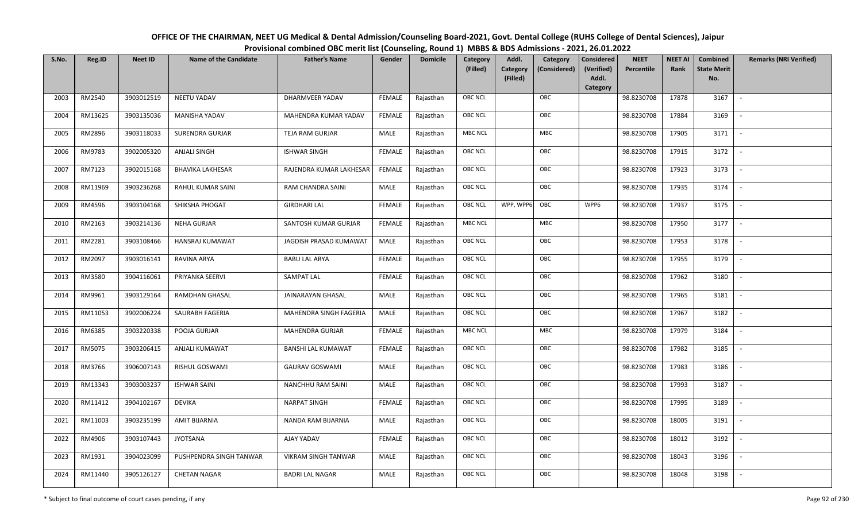| OFFICE OF THE CHAIRMAN, NEET UG Medical & Dental Admission/Counseling Board-2021, Govt. Dental College (RUHS College of Dental Sciences), Jaipur |
|--------------------------------------------------------------------------------------------------------------------------------------------------|
| Provisional combined OBC merit list (Counseling, Round 1) MBBS & BDS Admissions - 2021, 26.01.2022                                               |

| S.No. | Reg.ID  | <b>Neet ID</b> | <b>Name of the Candidate</b> | <b>Father's Name</b>       | Gender        | <b>Domicile</b> | Category<br>(Filled) | Addl.<br>Category<br>(Filled) | Category<br>(Considered) | <b>Considered</b><br>(Verified)<br>Addl. | <b>NEET</b><br>Percentile | <b>NEET AI</b><br>Rank | Combined<br><b>State Merit</b><br>No. | <b>Remarks (NRI Verified)</b> |
|-------|---------|----------------|------------------------------|----------------------------|---------------|-----------------|----------------------|-------------------------------|--------------------------|------------------------------------------|---------------------------|------------------------|---------------------------------------|-------------------------------|
|       |         |                |                              |                            |               |                 |                      |                               |                          | Category                                 |                           |                        |                                       |                               |
| 2003  | RM2540  | 3903012519     | <b>NEETU YADAV</b>           | DHARMVEER YADAV            | <b>FEMALE</b> | Rajasthan       | OBC NCL              |                               | OBC                      |                                          | 98.8230708                | 17878                  | 3167                                  | $\sim$                        |
| 2004  | RM13625 | 3903135036     | MANISHA YADAV                | MAHENDRA KUMAR YADAV       | FEMALE        | Rajasthan       | OBC NCL              |                               | OBC                      |                                          | 98.8230708                | 17884                  | 3169                                  |                               |
| 2005  | RM2896  | 3903118033     | <b>SURENDRA GURJAR</b>       | TEJA RAM GURJAR            | MALE          | Rajasthan       | MBC NCL              |                               | <b>MBC</b>               |                                          | 98.8230708                | 17905                  | 3171                                  | $\overline{\phantom{a}}$      |
| 2006  | RM9783  | 3902005320     | <b>ANJALI SINGH</b>          | <b>ISHWAR SINGH</b>        | <b>FEMALE</b> | Rajasthan       | OBC NCL              |                               | OBC                      |                                          | 98.8230708                | 17915                  | 3172                                  | $\overline{\phantom{a}}$      |
| 2007  | RM7123  | 3902015168     | <b>BHAVIKA LAKHESAR</b>      | RAJENDRA KUMAR LAKHESAR    | <b>FEMALE</b> | Rajasthan       | OBC NCL              |                               | OBC                      |                                          | 98.8230708                | 17923                  | 3173                                  | $\sim$                        |
| 2008  | RM11969 | 3903236268     | RAHUL KUMAR SAINI            | RAM CHANDRA SAINI          | MALE          | Rajasthan       | OBC NCL              |                               | OBC                      |                                          | 98.8230708                | 17935                  | 3174                                  | $\sim$                        |
| 2009  | RM4596  | 3903104168     | SHIKSHA PHOGAT               | <b>GIRDHARI LAL</b>        | <b>FEMALE</b> | Rajasthan       | OBC NCL              | WPP, WPP6                     | OBC                      | WPP6                                     | 98.8230708                | 17937                  | 3175                                  | $\overline{\phantom{a}}$      |
| 2010  | RM2163  | 3903214136     | NEHA GURJAR                  | SANTOSH KUMAR GURJAR       | <b>FEMALE</b> | Rajasthan       | <b>MBC NCL</b>       |                               | <b>MBC</b>               |                                          | 98.8230708                | 17950                  | 3177                                  |                               |
| 2011  | RM2281  | 3903108466     | HANSRAJ KUMAWAT              | JAGDISH PRASAD KUMAWAT     | MALE          | Rajasthan       | OBC NCL              |                               | OBC                      |                                          | 98.8230708                | 17953                  | 3178                                  |                               |
| 2012  | RM2097  | 3903016141     | RAVINA ARYA                  | <b>BABU LAL ARYA</b>       | <b>FEMALE</b> | Rajasthan       | OBC NCL              |                               | OBC                      |                                          | 98.8230708                | 17955                  | 3179                                  |                               |
| 2013  | RM3580  | 3904116061     | PRIYANKA SEERVI              | <b>SAMPAT LAL</b>          | <b>FEMALE</b> | Rajasthan       | OBC NCL              |                               | OBC                      |                                          | 98.8230708                | 17962                  | 3180                                  |                               |
| 2014  | RM9961  | 3903129164     | <b>RAMDHAN GHASAL</b>        | JAINARAYAN GHASAL          | MALE          | Rajasthan       | OBC NCL              |                               | OBC                      |                                          | 98.8230708                | 17965                  | 3181                                  | $\overline{\phantom{a}}$      |
| 2015  | RM11053 | 3902006224     | SAURABH FAGERIA              | MAHENDRA SINGH FAGERIA     | MALE          | Rajasthan       | OBC NCL              |                               | OBC                      |                                          | 98.8230708                | 17967                  | 3182                                  |                               |
| 2016  | RM6385  | 3903220338     | POOJA GURJAR                 | MAHENDRA GURJAR            | <b>FEMALE</b> | Rajasthan       | MBC NCL              |                               | <b>MBC</b>               |                                          | 98.8230708                | 17979                  | 3184                                  |                               |
| 2017  | RM5075  | 3903206415     | ANJALI KUMAWAT               | <b>BANSHI LAL KUMAWAT</b>  | <b>FEMALE</b> | Rajasthan       | OBC NCL              |                               | OBC                      |                                          | 98.8230708                | 17982                  | 3185                                  | $\overline{\phantom{a}}$      |
| 2018  | RM3766  | 3906007143     | RISHUL GOSWAMI               | <b>GAURAV GOSWAMI</b>      | <b>MALE</b>   | Rajasthan       | OBC NCL              |                               | OBC                      |                                          | 98.8230708                | 17983                  | 3186                                  | $\overline{a}$                |
| 2019  | RM13343 | 3903003237     | <b>ISHWAR SAINI</b>          | NANCHHU RAM SAINI          | MALE          | Rajasthan       | OBC NCL              |                               | OBC                      |                                          | 98.8230708                | 17993                  | 3187                                  | $\sim$                        |
| 2020  | RM11412 | 3904102167     | <b>DEVIKA</b>                | <b>NARPAT SINGH</b>        | <b>FEMALE</b> | Rajasthan       | OBC NCL              |                               | OBC                      |                                          | 98.8230708                | 17995                  | 3189                                  | $\overline{\phantom{a}}$      |
| 2021  | RM11003 | 3903235199     | AMIT BIJARNIA                | NANDA RAM BIJARNIA         | MALE          | Rajasthan       | OBC NCL              |                               | OBC                      |                                          | 98.8230708                | 18005                  | 3191                                  |                               |
| 2022  | RM4906  | 3903107443     | <b>JYOTSANA</b>              | AJAY YADAV                 | <b>FEMALE</b> | Rajasthan       | OBC NCL              |                               | OBC                      |                                          | 98.8230708                | 18012                  | 3192                                  |                               |
| 2023  | RM1931  | 3904023099     | PUSHPENDRA SINGH TANWAR      | <b>VIKRAM SINGH TANWAR</b> | <b>MALE</b>   | Rajasthan       | OBC NCL              |                               | OBC                      |                                          | 98.8230708                | 18043                  | 3196                                  |                               |
| 2024  | RM11440 | 3905126127     | <b>CHETAN NAGAR</b>          | <b>BADRI LAL NAGAR</b>     | MALE          | Rajasthan       | <b>OBC NCL</b>       |                               | OBC                      |                                          | 98.8230708                | 18048                  | 3198                                  |                               |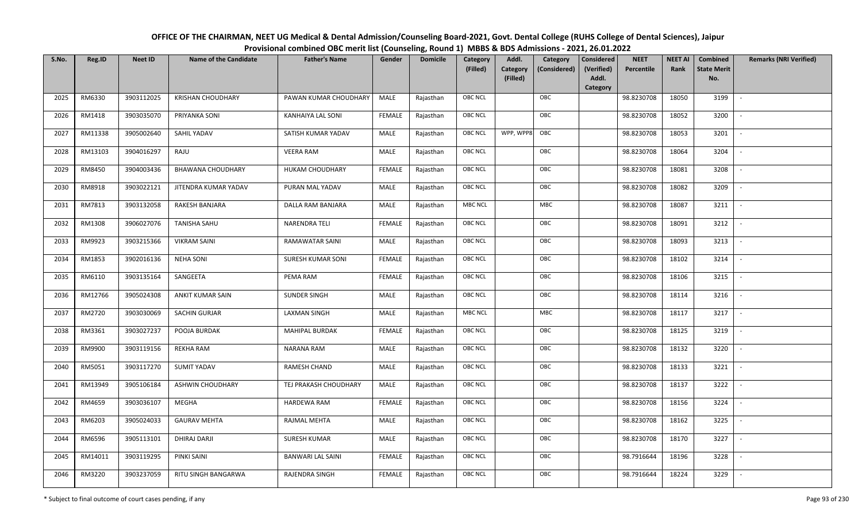| OFFICE OF THE CHAIRMAN, NEET UG Medical & Dental Admission/Counseling Board-2021, Govt. Dental College (RUHS College of Dental Sciences), Jaipur |
|--------------------------------------------------------------------------------------------------------------------------------------------------|
| Provisional combined OBC merit list (Counseling, Round 1) MBBS & BDS Admissions - 2021, 26.01.2022                                               |

| S.No. | Reg.ID  | <b>Neet ID</b> | <b>Name of the Candidate</b> | <b>Father's Name</b>     | Gender        | <b>Domicile</b> | Category<br>(Filled) | Addl.<br>Category<br>(Filled) | Category<br>(Considered) | <b>Considered</b><br>(Verified)<br>Addl.<br>Category | <b>NEET</b><br>Percentile | <b>NEET AI</b><br>Rank | Combined<br><b>State Merit</b><br>No. | <b>Remarks (NRI Verified)</b> |
|-------|---------|----------------|------------------------------|--------------------------|---------------|-----------------|----------------------|-------------------------------|--------------------------|------------------------------------------------------|---------------------------|------------------------|---------------------------------------|-------------------------------|
| 2025  | RM6330  | 3903112025     | <b>KRISHAN CHOUDHARY</b>     | PAWAN KUMAR CHOUDHARY    | MALE          | Rajasthan       | OBC NCL              |                               | OBC                      |                                                      | 98.8230708                | 18050                  | 3199                                  | $\overline{\phantom{a}}$      |
| 2026  | RM1418  | 3903035070     | PRIYANKA SONI                | <b>KANHAIYA LAL SONI</b> | <b>FEMALE</b> | Rajasthan       | OBC NCL              |                               | OBC                      |                                                      | 98.8230708                | 18052                  | 3200                                  |                               |
| 2027  | RM11338 | 3905002640     | SAHIL YADAV                  | SATISH KUMAR YADAV       | MALE          | Rajasthan       | OBC NCL              | WPP, WPP8                     | OBC                      |                                                      | 98.8230708                | 18053                  | 3201                                  | $\overline{\phantom{a}}$      |
| 2028  | RM13103 | 3904016297     | RAJU                         | <b>VEERA RAM</b>         | MALE          | Rajasthan       | OBC NCL              |                               | OBC                      |                                                      | 98.8230708                | 18064                  | 3204                                  | $\overline{\phantom{a}}$      |
| 2029  | RM8450  | 3904003436     | <b>BHAWANA CHOUDHARY</b>     | HUKAM CHOUDHARY          | <b>FEMALE</b> | Rajasthan       | OBC NCL              |                               | OBC                      |                                                      | 98.8230708                | 18081                  | 3208                                  | $\sim$                        |
| 2030  | RM8918  | 3903022121     | JITENDRA KUMAR YADAV         | PURAN MAL YADAV          | MALE          | Rajasthan       | OBC NCL              |                               | OBC                      |                                                      | 98.8230708                | 18082                  | 3209                                  | $\sim$                        |
| 2031  | RM7813  | 3903132058     | RAKESH BANJARA               | DALLA RAM BANJARA        | MALE          | Rajasthan       | <b>MBC NCL</b>       |                               | <b>MBC</b>               |                                                      | 98.8230708                | 18087                  | 3211                                  | $\overline{\phantom{a}}$      |
| 2032  | RM1308  | 3906027076     | <b>TANISHA SAHU</b>          | NARENDRA TELI            | <b>FEMALE</b> | Rajasthan       | OBC NCL              |                               | OBC                      |                                                      | 98.8230708                | 18091                  | 3212                                  |                               |
| 2033  | RM9923  | 3903215366     | <b>VIKRAM SAINI</b>          | RAMAWATAR SAINI          | MALE          | Rajasthan       | OBC NCL              |                               | OBC                      |                                                      | 98.8230708                | 18093                  | 3213                                  |                               |
| 2034  | RM1853  | 3902016136     | <b>NEHA SONI</b>             | <b>SURESH KUMAR SONI</b> | <b>FEMALE</b> | Rajasthan       | OBC NCL              |                               | OBC                      |                                                      | 98.8230708                | 18102                  | 3214                                  | $\overline{\phantom{a}}$      |
| 2035  | RM6110  | 3903135164     | SANGEETA                     | PEMA RAM                 | <b>FEMALE</b> | Rajasthan       | OBC NCL              |                               | OBC                      |                                                      | 98.8230708                | 18106                  | 3215                                  |                               |
| 2036  | RM12766 | 3905024308     | <b>ANKIT KUMAR SAIN</b>      | <b>SUNDER SINGH</b>      | MALE          | Rajasthan       | OBC NCL              |                               | OBC                      |                                                      | 98.8230708                | 18114                  | 3216                                  | $\overline{\phantom{a}}$      |
| 2037  | RM2720  | 3903030069     | SACHIN GURJAR                | <b>LAXMAN SINGH</b>      | MALE          | Rajasthan       | <b>MBC NCL</b>       |                               | MBC                      |                                                      | 98.8230708                | 18117                  | 3217                                  |                               |
| 2038  | RM3361  | 3903027237     | POOJA BURDAK                 | <b>MAHIPAL BURDAK</b>    | <b>FEMALE</b> | Rajasthan       | <b>OBC NCL</b>       |                               | OBC                      |                                                      | 98.8230708                | 18125                  | 3219                                  |                               |
| 2039  | RM9900  | 3903119156     | <b>REKHA RAM</b>             | NARANA RAM               | MALE          | Rajasthan       | OBC NCL              |                               | OBC                      |                                                      | 98.8230708                | 18132                  | 3220                                  | $\overline{\phantom{a}}$      |
| 2040  | RM5051  | 3903117270     | <b>SUMIT YADAV</b>           | RAMESH CHAND             | <b>MALE</b>   | Rajasthan       | OBC NCL              |                               | OBC                      |                                                      | 98.8230708                | 18133                  | 3221                                  | $\sim$                        |
| 2041  | RM13949 | 3905106184     | ASHWIN CHOUDHARY             | TEJ PRAKASH CHOUDHARY    | MALE          | Rajasthan       | OBC NCL              |                               | OBC                      |                                                      | 98.8230708                | 18137                  | 3222                                  | $\overline{\phantom{a}}$      |
| 2042  | RM4659  | 3903036107     | MEGHA                        | HARDEWA RAM              | <b>FEMALE</b> | Rajasthan       | OBC NCL              |                               | OBC                      |                                                      | 98.8230708                | 18156                  | 3224                                  | $\sim$                        |
| 2043  | RM6203  | 3905024033     | <b>GAURAV MEHTA</b>          | RAJMAL MEHTA             | MALE          | Rajasthan       | OBC NCL              |                               | OBC                      |                                                      | 98.8230708                | 18162                  | 3225                                  |                               |
| 2044  | RM6596  | 3905113101     | DHIRAJ DARJI                 | <b>SURESH KUMAR</b>      | MALE          | Rajasthan       | OBC NCL              |                               | OBC                      |                                                      | 98.8230708                | 18170                  | 3227                                  |                               |
| 2045  | RM14011 | 3903119295     | PINKI SAINI                  | <b>BANWARI LAL SAINI</b> | <b>FEMALE</b> | Rajasthan       | OBC NCL              |                               | OBC                      |                                                      | 98.7916644                | 18196                  | 3228                                  |                               |
| 2046  | RM3220  | 3903237059     | RITU SINGH BANGARWA          | RAJENDRA SINGH           | <b>FEMALE</b> | Rajasthan       | <b>OBC NCL</b>       |                               | OBC                      |                                                      | 98.7916644                | 18224                  | 3229                                  |                               |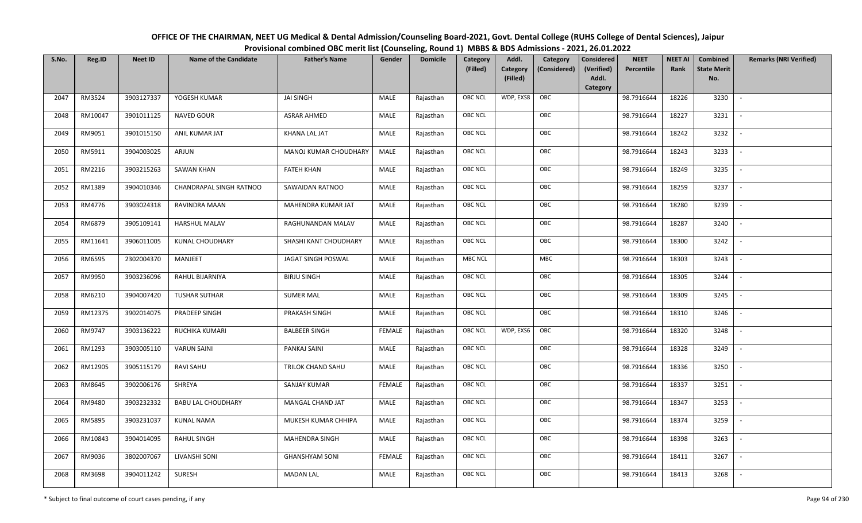| OFFICE OF THE CHAIRMAN, NEET UG Medical & Dental Admission/Counseling Board-2021, Govt. Dental College (RUHS College of Dental Sciences), Jaipur |
|--------------------------------------------------------------------------------------------------------------------------------------------------|
| Provisional combined OBC merit list (Counseling, Round 1) MBBS & BDS Admissions - 2021, 26.01.2022                                               |

| S.No. | Reg.ID  | <b>Neet ID</b> | <b>Name of the Candidate</b> | <b>Father's Name</b>  | Gender        | <b>Domicile</b> | Category<br>(Filled) | Addl.<br>Category | Category<br>(Considered) | <b>Considered</b><br>(Verified) | <b>NEET</b><br>Percentile | <b>NEET AI</b><br>Rank | Combined<br><b>State Merit</b> | <b>Remarks (NRI Verified)</b> |
|-------|---------|----------------|------------------------------|-----------------------|---------------|-----------------|----------------------|-------------------|--------------------------|---------------------------------|---------------------------|------------------------|--------------------------------|-------------------------------|
|       |         |                |                              |                       |               |                 |                      | (Filled)          |                          | Addl.<br>Category               |                           |                        | No.                            |                               |
| 2047  | RM3524  | 3903127337     | YOGESH KUMAR                 | <b>JAI SINGH</b>      | MALE          | Rajasthan       | <b>OBC NCL</b>       | WDP, EXS8         | OBC                      |                                 | 98.7916644                | 18226                  | 3230                           | $\sim$                        |
| 2048  | RM10047 | 3901011125     | <b>NAVED GOUR</b>            | <b>ASRAR AHMED</b>    | <b>MALE</b>   | Rajasthan       | OBC NCL              |                   | OBC                      |                                 | 98.7916644                | 18227                  | 3231                           |                               |
| 2049  | RM9051  | 3901015150     | ANIL KUMAR JAT               | KHANA LAL JAT         | MALE          | Rajasthan       | OBC NCL              |                   | OBC                      |                                 | 98.7916644                | 18242                  | 3232                           | $\sim$                        |
| 2050  | RM5911  | 3904003025     | ARJUN                        | MANOJ KUMAR CHOUDHARY | <b>MALE</b>   | Rajasthan       | <b>OBC NCL</b>       |                   | OBC                      |                                 | 98.7916644                | 18243                  | 3233                           | $\sim$                        |
| 2051  | RM2216  | 3903215263     | <b>SAWAN KHAN</b>            | <b>FATEH KHAN</b>     | MALE          | Rajasthan       | OBC NCL              |                   | OBC                      |                                 | 98.7916644                | 18249                  | 3235                           | $\sim$                        |
| 2052  | RM1389  | 3904010346     | CHANDRAPAL SINGH RATNOO      | SAWAIDAN RATNOO       | <b>MALE</b>   | Rajasthan       | OBC NCL              |                   | OBC                      |                                 | 98.7916644                | 18259                  | 3237                           | $\overline{\phantom{a}}$      |
| 2053  | RM4776  | 3903024318     | RAVINDRA MAAN                | MAHENDRA KUMAR JAT    | MALE          | Rajasthan       | <b>OBC NCL</b>       |                   | OBC                      |                                 | 98.7916644                | 18280                  | 3239                           |                               |
| 2054  | RM6879  | 3905109141     | HARSHUL MALAV                | RAGHUNANDAN MALAV     | MALE          | Rajasthan       | OBC NCL              |                   | OBC                      |                                 | 98.7916644                | 18287                  | 3240                           |                               |
| 2055  | RM11641 | 3906011005     | <b>KUNAL CHOUDHARY</b>       | SHASHI KANT CHOUDHARY | <b>MALE</b>   | Rajasthan       | OBC NCL              |                   | OBC                      |                                 | 98.7916644                | 18300                  | 3242                           |                               |
| 2056  | RM6595  | 2302004370     | MANJEET                      | JAGAT SINGH POSWAL    | MALE          | Rajasthan       | <b>MBC NCL</b>       |                   | MBC                      |                                 | 98.7916644                | 18303                  | 3243                           | $\sim$                        |
| 2057  | RM9950  | 3903236096     | RAHUL BIJARNIYA              | <b>BIRJU SINGH</b>    | MALE          | Rajasthan       | OBC NCL              |                   | OBC                      |                                 | 98.7916644                | 18305                  | 3244                           |                               |
| 2058  | RM6210  | 3904007420     | <b>TUSHAR SUTHAR</b>         | <b>SUMER MAL</b>      | MALE          | Rajasthan       | <b>OBC NCL</b>       |                   | OBC                      |                                 | 98.7916644                | 18309                  | 3245                           | $\overline{\phantom{a}}$      |
| 2059  | RM12375 | 3902014075     | PRADEEP SINGH                | PRAKASH SINGH         | MALE          | Rajasthan       | OBC NCL              |                   | OBC                      |                                 | 98.7916644                | 18310                  | 3246                           |                               |
| 2060  | RM9747  | 3903136222     | RUCHIKA KUMARI               | <b>BALBEER SINGH</b>  | <b>FEMALE</b> | Rajasthan       | OBC NCL              | WDP, EXS6         | OBC                      |                                 | 98.7916644                | 18320                  | 3248                           | $\sim$                        |
| 2061  | RM1293  | 3903005110     | <b>VARUN SAINI</b>           | PANKAJ SAINI          | MALE          | Rajasthan       | <b>OBC NCL</b>       |                   | OBC                      |                                 | 98.7916644                | 18328                  | 3249                           | $\sim$                        |
| 2062  | RM12905 | 3905115179     | <b>RAVI SAHU</b>             | TRILOK CHAND SAHU     | MALE          | Rajasthan       | OBC NCL              |                   | OBC                      |                                 | 98.7916644                | 18336                  | 3250                           | $\sim$                        |
| 2063  | RM8645  | 3902006176     | SHREYA                       | SANJAY KUMAR          | <b>FEMALE</b> | Rajasthan       | OBC NCL              |                   | OBC                      |                                 | 98.7916644                | 18337                  | 3251                           | $\sim$                        |
| 2064  | RM9480  | 3903232332     | <b>BABU LAL CHOUDHARY</b>    | MANGAL CHAND JAT      | MALE          | Rajasthan       | OBC NCL              |                   | OBC                      |                                 | 98.7916644                | 18347                  | 3253                           |                               |
| 2065  | RM5895  | 3903231037     | <b>KUNAL NAMA</b>            | MUKESH KUMAR CHHIPA   | MALE          | Rajasthan       | <b>OBC NCL</b>       |                   | OBC                      |                                 | 98.7916644                | 18374                  | 3259                           |                               |
| 2066  | RM10843 | 3904014095     | <b>RAHUL SINGH</b>           | MAHENDRA SINGH        | <b>MALE</b>   | Rajasthan       | OBC NCL              |                   | OBC                      |                                 | 98.7916644                | 18398                  | 3263                           |                               |
| 2067  | RM9036  | 3802007067     | LIVANSHI SONI                | <b>GHANSHYAM SONI</b> | <b>FEMALE</b> | Rajasthan       | <b>OBC NCL</b>       |                   | OBC                      |                                 | 98.7916644                | 18411                  | 3267                           | $\overline{\phantom{a}}$      |
| 2068  | RM3698  | 3904011242     | <b>SURESH</b>                | <b>MADAN LAL</b>      | MALE          | Rajasthan       | OBC NCL              |                   | OBC                      |                                 | 98.7916644                | 18413                  | 3268                           |                               |
|       |         |                |                              |                       |               |                 |                      |                   |                          |                                 |                           |                        |                                |                               |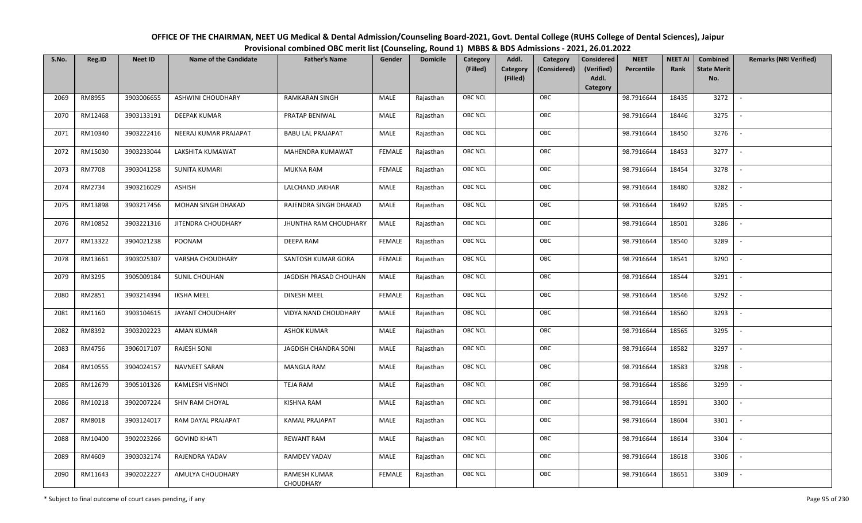| OFFICE OF THE CHAIRMAN, NEET UG Medical & Dental Admission/Counseling Board-2021, Govt. Dental College (RUHS College of Dental Sciences), Jaipur |
|--------------------------------------------------------------------------------------------------------------------------------------------------|
| Provisional combined OBC merit list (Counseling, Round 1) MBBS & BDS Admissions - 2021, 26.01.2022                                               |

| S.No. | Reg.ID        | <b>Neet ID</b> | <b>Name of the Candidate</b> | <b>Father's Name</b>      | Gender        | <b>Domicile</b> | Category<br>(Filled) | Addl.<br><b>Category</b> | Category<br>(Considered) | <b>Considered</b><br>(Verified) | <b>NEET</b><br>Percentile | <b>NEET AI</b><br>Rank | Combined<br><b>State Merit</b> | <b>Remarks (NRI Verified)</b> |
|-------|---------------|----------------|------------------------------|---------------------------|---------------|-----------------|----------------------|--------------------------|--------------------------|---------------------------------|---------------------------|------------------------|--------------------------------|-------------------------------|
|       |               |                |                              |                           |               |                 |                      | (Filled)                 |                          | Addl.<br>Category               |                           |                        | No.                            |                               |
| 2069  | RM8955        | 3903006655     | ASHWINI CHOUDHARY            | RAMKARAN SINGH            | MALE          | Rajasthan       | <b>OBC NCL</b>       |                          | OBC                      |                                 | 98.7916644                | 18435                  | 3272                           | $\sim$                        |
| 2070  | RM12468       | 3903133191     | <b>DEEPAK KUMAR</b>          | PRATAP BENIWAL            | MALE          | Rajasthan       | <b>OBC NCL</b>       |                          | OBC                      |                                 | 98.7916644                | 18446                  | 3275                           |                               |
| 2071  | RM10340       | 3903222416     | NEERAJ KUMAR PRAJAPAT        | <b>BABU LAL PRAJAPAT</b>  | MALE          | Rajasthan       | OBC NCL              |                          | OBC                      |                                 | 98.7916644                | 18450                  | 3276                           | $\sim$                        |
| 2072  | RM15030       | 3903233044     | LAKSHITA KUMAWAT             | MAHENDRA KUMAWAT          | <b>FEMALE</b> | Rajasthan       | <b>OBC NCL</b>       |                          | OBC                      |                                 | 98.7916644                | 18453                  | 3277                           | $\overline{\phantom{a}}$      |
| 2073  | <b>RM7708</b> | 3903041258     | SUNITA KUMARI                | <b>MUKNA RAM</b>          | <b>FEMALE</b> | Rajasthan       | OBC NCL              |                          | OBC                      |                                 | 98.7916644                | 18454                  | 3278                           | $\sim$                        |
| 2074  | RM2734        | 3903216029     | <b>ASHISH</b>                | LALCHAND JAKHAR           | MALE          | Rajasthan       | <b>OBC NCL</b>       |                          | OBC                      |                                 | 98.7916644                | 18480                  | 3282                           | $\overline{\phantom{a}}$      |
| 2075  | RM13898       | 3903217456     | MOHAN SINGH DHAKAD           | RAJENDRA SINGH DHAKAD     | MALE          | Rajasthan       | <b>OBC NCL</b>       |                          | OBC                      |                                 | 98.7916644                | 18492                  | 3285                           | $\overline{a}$                |
| 2076  | RM10852       | 3903221316     | JITENDRA CHOUDHARY           | JHUNTHA RAM CHOUDHARY     | MALE          | Rajasthan       | OBC NCL              |                          | OBC                      |                                 | 98.7916644                | 18501                  | 3286                           | $\overline{\phantom{a}}$      |
| 2077  | RM13322       | 3904021238     | POONAM                       | DEEPA RAM                 | <b>FEMALE</b> | Rajasthan       | OBC NCL              |                          | OBC                      |                                 | 98.7916644                | 18540                  | 3289                           |                               |
| 2078  | RM13661       | 3903025307     | VARSHA CHOUDHARY             | SANTOSH KUMAR GORA        | <b>FEMALE</b> | Rajasthan       | <b>OBC NCL</b>       |                          | OBC                      |                                 | 98.7916644                | 18541                  | 3290                           | $\blacksquare$                |
| 2079  | RM3295        | 3905009184     | SUNIL CHOUHAN                | JAGDISH PRASAD CHOUHAN    | MALE          | Rajasthan       | <b>OBC NCL</b>       |                          | OBC                      |                                 | 98.7916644                | 18544                  | 3291                           | $\overline{\phantom{a}}$      |
| 2080  | RM2851        | 3903214394     | <b>IKSHA MEEL</b>            | <b>DINESH MEEL</b>        | <b>FEMALE</b> | Rajasthan       | OBC NCL              |                          | OBC                      |                                 | 98.7916644                | 18546                  | 3292                           | $\overline{\phantom{a}}$      |
| 2081  | RM1160        | 3903104615     | JAYANT CHOUDHARY             | VIDYA NAND CHOUDHARY      | MALE          | Rajasthan       | <b>OBC NCL</b>       |                          | OBC                      |                                 | 98.7916644                | 18560                  | 3293                           |                               |
| 2082  | RM8392        | 3903202223     | <b>AMAN KUMAR</b>            | <b>ASHOK KUMAR</b>        | MALE          | Rajasthan       | OBC NCL              |                          | OBC                      |                                 | 98.7916644                | 18565                  | 3295                           |                               |
| 2083  | RM4756        | 3906017107     | <b>RAJESH SONI</b>           | JAGDISH CHANDRA SONI      | MALE          | Rajasthan       | OBC NCL              |                          | OBC                      |                                 | 98.7916644                | 18582                  | 3297                           |                               |
| 2084  | RM10555       | 3904024157     | NAVNEET SARAN                | <b>MANGLA RAM</b>         | MALE          | Rajasthan       | OBC NCL              |                          | OBC                      |                                 | 98.7916644                | 18583                  | 3298                           | $\sim$                        |
| 2085  | RM12679       | 3905101326     | <b>KAMLESH VISHNOI</b>       | TEJA RAM                  | MALE          | Rajasthan       | OBC NCL              |                          | OBC                      |                                 | 98.7916644                | 18586                  | 3299                           | $\overline{\phantom{a}}$      |
| 2086  | RM10218       | 3902007224     | SHIV RAM CHOYAL              | KISHNA RAM                | MALE          | Rajasthan       | <b>OBC NCL</b>       |                          | OBC                      |                                 | 98.7916644                | 18591                  | 3300                           | $\overline{\phantom{a}}$      |
| 2087  | RM8018        | 3903124017     | RAM DAYAL PRAJAPAT           | <b>KAMAL PRAJAPAT</b>     | MALE          | Rajasthan       | <b>OBC NCL</b>       |                          | OBC                      |                                 | 98.7916644                | 18604                  | 3301                           | $\sim$                        |
| 2088  | RM10400       | 3902023266     | <b>GOVIND KHATI</b>          | <b>REWANT RAM</b>         | MALE          | Rajasthan       | OBC NCL              |                          | OBC                      |                                 | 98.7916644                | 18614                  | 3304                           |                               |
| 2089  | RM4609        | 3903032174     | RAJENDRA YADAV               | RAMDEV YADAV              | MALE          | Rajasthan       | OBC NCL              |                          | OBC                      |                                 | 98.7916644                | 18618                  | 3306                           |                               |
| 2090  | RM11643       | 3902022227     | AMULYA CHOUDHARY             | RAMESH KUMAR<br>CHOUDHARY | <b>FEMALE</b> | Rajasthan       | OBC NCL              |                          | OBC                      |                                 | 98.7916644                | 18651                  | 3309                           |                               |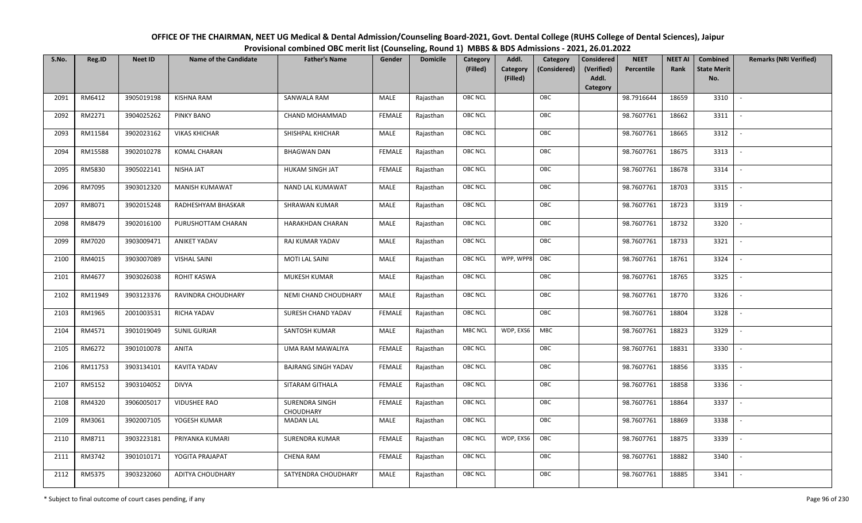| OFFICE OF THE CHAIRMAN, NEET UG Medical & Dental Admission/Counseling Board-2021, Govt. Dental College (RUHS College of Dental Sciences), Jaipur |
|--------------------------------------------------------------------------------------------------------------------------------------------------|
| Provisional combined OBC merit list (Counseling, Round 1) MBBS & BDS Admissions - 2021, 26.01.2022                                               |

| S.No. | Reg.ID  | <b>Neet ID</b> | <b>Name of the Candidate</b> | <b>Father's Name</b>        | Gender        | <b>Domicile</b> | Category<br>(Filled) | Addl.<br><b>Category</b><br>(Filled) | Category<br>(Considered) | Considered<br>(Verified)<br>Addl. | <b>NEET</b><br>Percentile | <b>NEET AI</b><br>Rank | Combined<br><b>State Merit</b><br>No. | <b>Remarks (NRI Verified)</b> |
|-------|---------|----------------|------------------------------|-----------------------------|---------------|-----------------|----------------------|--------------------------------------|--------------------------|-----------------------------------|---------------------------|------------------------|---------------------------------------|-------------------------------|
|       |         |                |                              |                             |               |                 |                      |                                      |                          | Category                          |                           |                        |                                       |                               |
| 2091  | RM6412  | 3905019198     | <b>KISHNA RAM</b>            | SANWALA RAM                 | MALE          | Rajasthan       | <b>OBC NCL</b>       |                                      | OBC                      |                                   | 98.7916644                | 18659                  | 3310                                  | $\sim$                        |
| 2092  | RM2271  | 3904025262     | <b>PINKY BANO</b>            | CHAND MOHAMMAD              | <b>FEMALE</b> | Rajasthan       | <b>OBC NCL</b>       |                                      | OBC                      |                                   | 98.7607761                | 18662                  | 3311                                  |                               |
| 2093  | RM11584 | 3902023162     | <b>VIKAS KHICHAR</b>         | SHISHPAL KHICHAR            | MALE          | Rajasthan       | <b>OBC NCL</b>       |                                      | OBC                      |                                   | 98.7607761                | 18665                  | 3312                                  |                               |
| 2094  | RM15588 | 3902010278     | <b>KOMAL CHARAN</b>          | <b>BHAGWAN DAN</b>          | <b>FEMALE</b> | Rajasthan       | <b>OBC NCL</b>       |                                      | OBC                      |                                   | 98.7607761                | 18675                  | 3313                                  | $\overline{\phantom{a}}$      |
| 2095  | RM5830  | 3905022141     | NISHA JAT                    | HUKAM SINGH JAT             | <b>FEMALE</b> | Rajasthan       | <b>OBC NCL</b>       |                                      | OBC                      |                                   | 98.7607761                | 18678                  | 3314                                  | $\sim$                        |
| 2096  | RM7095  | 3903012320     | <b>MANISH KUMAWAT</b>        | <b>NAND LAL KUMAWAT</b>     | MALE          | Rajasthan       | <b>OBC NCL</b>       |                                      | OBC                      |                                   | 98.7607761                | 18703                  | 3315                                  | $\overline{\phantom{a}}$      |
| 2097  | RM8071  | 3902015248     | RADHESHYAM BHASKAR           | SHRAWAN KUMAR               | MALE          | Rajasthan       | OBC NCL              |                                      | OBC                      |                                   | 98.7607761                | 18723                  | 3319                                  |                               |
| 2098  | RM8479  | 3902016100     | PURUSHOTTAM CHARAN           | HARAKHDAN CHARAN            | MALE          | Rajasthan       | <b>OBC NCL</b>       |                                      | OBC                      |                                   | 98.7607761                | 18732                  | 3320                                  |                               |
| 2099  | RM7020  | 3903009471     | <b>ANIKET YADAV</b>          | RAJ KUMAR YADAV             | MALE          | Rajasthan       | <b>OBC NCL</b>       |                                      | OBC                      |                                   | 98.7607761                | 18733                  | 3321                                  | $\overline{\phantom{a}}$      |
| 2100  | RM4015  | 3903007089     | <b>VISHAL SAINI</b>          | <b>MOTI LAL SAINI</b>       | <b>MALE</b>   | Rajasthan       | <b>OBC NCL</b>       | WPP, WPP8                            | OBC                      |                                   | 98.7607761                | 18761                  | 3324                                  |                               |
| 2101  | RM4677  | 3903026038     | ROHIT KASWA                  | MUKESH KUMAR                | MALE          | Rajasthan       | <b>OBC NCL</b>       |                                      | OBC                      |                                   | 98.7607761                | 18765                  | 3325                                  |                               |
| 2102  | RM11949 | 3903123376     | RAVINDRA CHOUDHARY           | NEMI CHAND CHOUDHARY        | MALE          | Rajasthan       | <b>OBC NCL</b>       |                                      | OBC                      |                                   | 98.7607761                | 18770                  | 3326                                  |                               |
| 2103  | RM1965  | 2001003531     | RICHA YADAV                  | SURESH CHAND YADAV          | <b>FEMALE</b> | Rajasthan       | OBC NCL              |                                      | OBC                      |                                   | 98.7607761                | 18804                  | 3328                                  |                               |
| 2104  | RM4571  | 3901019049     | <b>SUNIL GURJAR</b>          | SANTOSH KUMAR               | MALE          | Rajasthan       | <b>MBC NCL</b>       | WDP, EXS6                            | MBC                      |                                   | 98.7607761                | 18823                  | 3329                                  | $\sim$                        |
| 2105  | RM6272  | 3901010078     | <b>ANITA</b>                 | UMA RAM MAWALIYA            | <b>FEMALE</b> | Rajasthan       | OBC NCL              |                                      | OBC                      |                                   | 98.7607761                | 18831                  | 3330                                  | $\overline{\phantom{a}}$      |
| 2106  | RM11753 | 3903134101     | KAVITA YADAV                 | <b>BAJRANG SINGH YADAV</b>  | <b>FEMALE</b> | Rajasthan       | <b>OBC NCL</b>       |                                      | OBC                      |                                   | 98.7607761                | 18856                  | 3335                                  | $\overline{\phantom{a}}$      |
| 2107  | RM5152  | 3903104052     | <b>DIVYA</b>                 | SITARAM GITHALA             | <b>FEMALE</b> | Rajasthan       | OBC NCL              |                                      | OBC                      |                                   | 98.7607761                | 18858                  | 3336                                  | $\blacksquare$                |
| 2108  | RM4320  | 3906005017     | <b>VIDUSHEE RAO</b>          | SURENDRA SINGH<br>CHOUDHARY | <b>FEMALE</b> | Rajasthan       | <b>OBC NCL</b>       |                                      | OBC                      |                                   | 98.7607761                | 18864                  | 3337                                  |                               |
| 2109  | RM3061  | 3902007105     | YOGESH KUMAR                 | <b>MADAN LAL</b>            | MALE          | Rajasthan       | OBC NCL              |                                      | OBC                      |                                   | 98.7607761                | 18869                  | 3338                                  |                               |
| 2110  | RM8711  | 3903223181     | PRIYANKA KUMARI              | <b>SURENDRA KUMAR</b>       | <b>FEMALE</b> | Rajasthan       | <b>OBC NCL</b>       | WDP, EXS6                            | OBC                      |                                   | 98.7607761                | 18875                  | 3339                                  |                               |
| 2111  | RM3742  | 3901010171     | YOGITA PRAJAPAT              | <b>CHENA RAM</b>            | <b>FEMALE</b> | Rajasthan       | <b>OBC NCL</b>       |                                      | OBC                      |                                   | 98.7607761                | 18882                  | 3340                                  |                               |
| 2112  | RM5375  | 3903232060     | <b>ADITYA CHOUDHARY</b>      | SATYENDRA CHOUDHARY         | MALE          | Rajasthan       | <b>OBC NCL</b>       |                                      | OBC                      |                                   | 98.7607761                | 18885                  | 3341                                  |                               |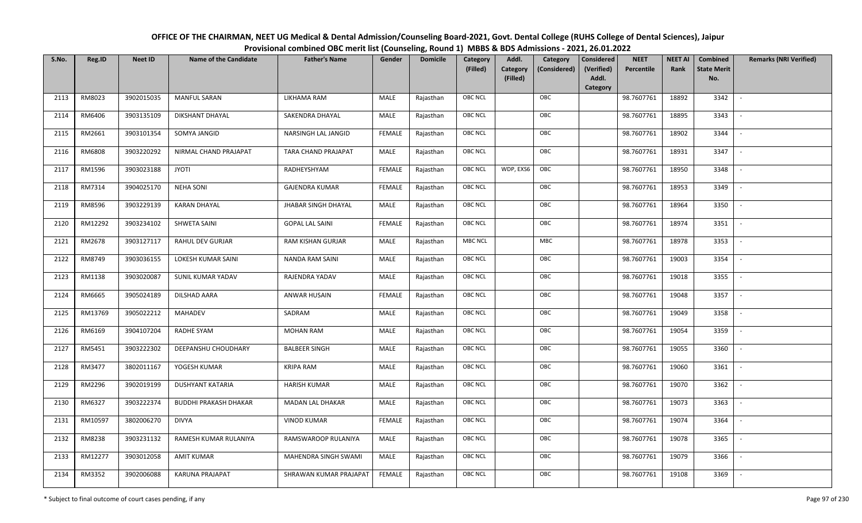| OFFICE OF THE CHAIRMAN, NEET UG Medical & Dental Admission/Counseling Board-2021, Govt. Dental College (RUHS College of Dental Sciences), Jaipur |
|--------------------------------------------------------------------------------------------------------------------------------------------------|
| Provisional combined OBC merit list (Counseling, Round 1) MBBS & BDS Admissions - 2021, 26.01.2022                                               |

| S.No. | Reg.ID  | <b>Neet ID</b> | <b>Name of the Candidate</b> | <b>Father's Name</b>       | Gender        | <b>Domicile</b> | Category<br>(Filled) | Addl.<br><b>Category</b><br>(Filled) | Category<br>(Considered) | <b>Considered</b><br>(Verified)<br>Addl. | <b>NEET</b><br>Percentile | <b>NEET AI</b><br>Rank | Combined<br><b>State Merit</b><br>No. | <b>Remarks (NRI Verified)</b> |
|-------|---------|----------------|------------------------------|----------------------------|---------------|-----------------|----------------------|--------------------------------------|--------------------------|------------------------------------------|---------------------------|------------------------|---------------------------------------|-------------------------------|
|       |         |                |                              |                            |               |                 |                      |                                      |                          | Category                                 |                           |                        |                                       |                               |
| 2113  | RM8023  | 3902015035     | <b>MANFUL SARAN</b>          | LIKHAMA RAM                | MALE          | Rajasthan       | <b>OBC NCL</b>       |                                      | OBC                      |                                          | 98.7607761                | 18892                  | 3342                                  | $\sim$                        |
| 2114  | RM6406  | 3903135109     | <b>DIKSHANT DHAYAL</b>       | SAKENDRA DHAYAL            | MALE          | Rajasthan       | OBC NCL              |                                      | OBC                      |                                          | 98.7607761                | 18895                  | 3343                                  |                               |
| 2115  | RM2661  | 3903101354     | SOMYA JANGID                 | NARSINGH LAL JANGID        | <b>FEMALE</b> | Rajasthan       | <b>OBC NCL</b>       |                                      | OBC                      |                                          | 98.7607761                | 18902                  | 3344                                  |                               |
| 2116  | RM6808  | 3903220292     | NIRMAL CHAND PRAJAPAT        | TARA CHAND PRAJAPAT        | MALE          | Rajasthan       | <b>OBC NCL</b>       |                                      | OBC                      |                                          | 98.7607761                | 18931                  | 3347                                  | $\overline{\phantom{a}}$      |
| 2117  | RM1596  | 3903023188     | <b>JYOTI</b>                 | RADHEYSHYAM                | <b>FEMALE</b> | Rajasthan       | <b>OBC NCL</b>       | WDP, EXS6                            | OBC                      |                                          | 98.7607761                | 18950                  | 3348                                  | $\overline{\phantom{a}}$      |
| 2118  | RM7314  | 3904025170     | <b>NEHA SONI</b>             | <b>GAJENDRA KUMAR</b>      | <b>FEMALE</b> | Rajasthan       | <b>OBC NCL</b>       |                                      | OBC                      |                                          | 98.7607761                | 18953                  | 3349                                  | $\overline{\phantom{a}}$      |
| 2119  | RM8596  | 3903229139     | <b>KARAN DHAYAL</b>          | <b>JHABAR SINGH DHAYAL</b> | MALE          | Rajasthan       | OBC NCL              |                                      | OBC                      |                                          | 98.7607761                | 18964                  | 3350                                  | $\overline{\phantom{a}}$      |
| 2120  | RM12292 | 3903234102     | SHWETA SAINI                 | <b>GOPAL LAL SAINI</b>     | <b>FEMALE</b> | Rajasthan       | OBC NCL              |                                      | OBC                      |                                          | 98.7607761                | 18974                  | 3351                                  |                               |
| 2121  | RM2678  | 3903127117     | RAHUL DEV GURJAR             | RAM KISHAN GURJAR          | MALE          | Rajasthan       | <b>MBC NCL</b>       |                                      | ${\sf MBC}$              |                                          | 98.7607761                | 18978                  | 3353                                  |                               |
| 2122  | RM8749  | 3903036155     | LOKESH KUMAR SAINI           | <b>NANDA RAM SAINI</b>     | <b>MALE</b>   | Rajasthan       | <b>OBC NCL</b>       |                                      | OBC                      |                                          | 98.7607761                | 19003                  | 3354                                  | $\sim$                        |
| 2123  | RM1138  | 3903020087     | SUNIL KUMAR YADAV            | RAJENDRA YADAV             | MALE          | Rajasthan       | OBC NCL              |                                      | OBC                      |                                          | 98.7607761                | 19018                  | 3355                                  |                               |
| 2124  | RM6665  | 3905024189     | <b>DILSHAD AARA</b>          | ANWAR HUSAIN               | <b>FEMALE</b> | Rajasthan       | <b>OBC NCL</b>       |                                      | OBC                      |                                          | 98.7607761                | 19048                  | 3357                                  | $\mathbb{L}$                  |
| 2125  | RM13769 | 3905022212     | <b>MAHADEV</b>               | SADRAM                     | MALE          | Rajasthan       | OBC NCL              |                                      | OBC                      |                                          | 98.7607761                | 19049                  | 3358                                  |                               |
| 2126  | RM6169  | 3904107204     | RADHE SYAM                   | <b>MOHAN RAM</b>           | MALE          | Rajasthan       | <b>OBC NCL</b>       |                                      | OBC                      |                                          | 98.7607761                | 19054                  | 3359                                  | $\overline{\phantom{a}}$      |
| 2127  | RM5451  | 3903222302     | DEEPANSHU CHOUDHARY          | <b>BALBEER SINGH</b>       | MALE          | Rajasthan       | OBC NCL              |                                      | OBC                      |                                          | 98.7607761                | 19055                  | 3360                                  | $\overline{\phantom{a}}$      |
| 2128  | RM3477  | 3802011167     | YOGESH KUMAR                 | <b>KRIPA RAM</b>           | MALE          | Rajasthan       | <b>OBC NCL</b>       |                                      | OBC                      |                                          | 98.7607761                | 19060                  | 3361                                  | $\overline{\phantom{a}}$      |
| 2129  | RM2296  | 3902019199     | <b>DUSHYANT KATARIA</b>      | <b>HARISH KUMAR</b>        | MALE          | Rajasthan       | <b>OBC NCL</b>       |                                      | OBC                      |                                          | 98.7607761                | 19070                  | 3362                                  | $\overline{\phantom{a}}$      |
| 2130  | RM6327  | 3903222374     | <b>BUDDHI PRAKASH DHAKAR</b> | MADAN LAL DHAKAR           | MALE          | Rajasthan       | OBC NCL              |                                      | OBC                      |                                          | 98.7607761                | 19073                  | 3363                                  | $\sim$                        |
| 2131  | RM10597 | 3802006270     | <b>DIVYA</b>                 | <b>VINOD KUMAR</b>         | <b>FEMALE</b> | Rajasthan       | OBC NCL              |                                      | OBC                      |                                          | 98.7607761                | 19074                  | 3364                                  |                               |
| 2132  | RM8238  | 3903231132     | RAMESH KUMAR RULANIYA        | RAMSWAROOP RULANIYA        | MALE          | Rajasthan       | OBC NCL              |                                      | OBC                      |                                          | 98.7607761                | 19078                  | 3365                                  |                               |
| 2133  | RM12277 | 3903012058     | <b>AMIT KUMAR</b>            | MAHENDRA SINGH SWAMI       | MALE          | Rajasthan       | <b>OBC NCL</b>       |                                      | OBC                      |                                          | 98.7607761                | 19079                  | 3366                                  |                               |
| 2134  | RM3352  | 3902006088     | KARUNA PRAJAPAT              | SHRAWAN KUMAR PRAJAPAT     | <b>FEMALE</b> | Rajasthan       | <b>OBC NCL</b>       |                                      | OBC                      |                                          | 98.7607761                | 19108                  | 3369                                  |                               |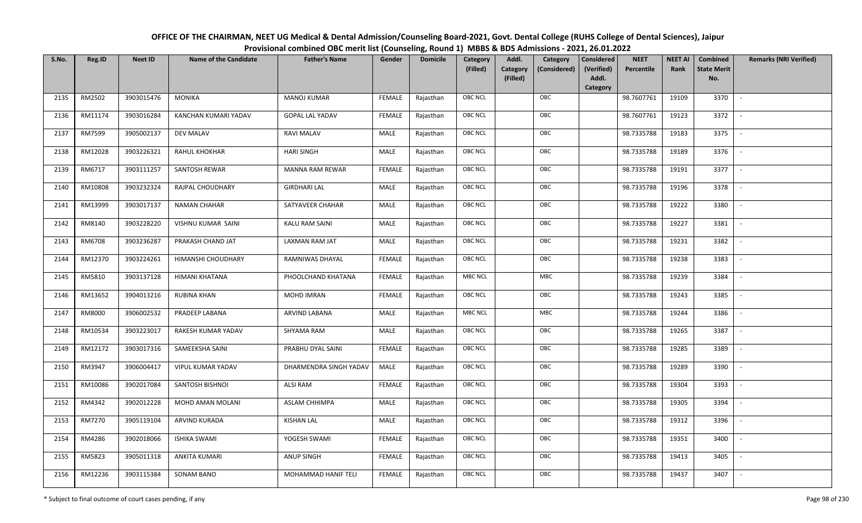| OFFICE OF THE CHAIRMAN, NEET UG Medical & Dental Admission/Counseling Board-2021, Govt. Dental College (RUHS College of Dental Sciences), Jaipur |
|--------------------------------------------------------------------------------------------------------------------------------------------------|
| Provisional combined OBC merit list (Counseling, Round 1) MBBS & BDS Admissions - 2021, 26.01.2022                                               |

| S.No. | Reg.ID  | <b>Neet ID</b> | <b>Name of the Candidate</b> | <b>Father's Name</b>   | Gender        | <b>Domicile</b> | Category<br>(Filled) | Addl.<br><b>Category</b><br>(Filled) | Category<br>(Considered) | Considered<br>(Verified)<br>Addl. | <b>NEET</b><br>Percentile | <b>NEET AI</b><br>Rank | Combined<br><b>State Merit</b><br>No. | <b>Remarks (NRI Verified)</b> |
|-------|---------|----------------|------------------------------|------------------------|---------------|-----------------|----------------------|--------------------------------------|--------------------------|-----------------------------------|---------------------------|------------------------|---------------------------------------|-------------------------------|
| 2135  | RM2502  | 3903015476     | <b>MONIKA</b>                | <b>MANOJ KUMAR</b>     | <b>FEMALE</b> | Rajasthan       | <b>OBC NCL</b>       |                                      | OBC                      | Category                          | 98.7607761                | 19109                  | 3370                                  | $\sim$                        |
| 2136  | RM11174 | 3903016284     | KANCHAN KUMARI YADAV         | <b>GOPAL LAL YADAV</b> | <b>FEMALE</b> | Rajasthan       | OBC NCL              |                                      | OBC                      |                                   | 98.7607761                | 19123                  | 3372                                  |                               |
| 2137  | RM7599  | 3905002137     | <b>DEV MALAV</b>             | <b>RAVI MALAV</b>      | MALE          | Rajasthan       | <b>OBC NCL</b>       |                                      | OBC                      |                                   | 98.7335788                | 19183                  | 3375                                  |                               |
| 2138  | RM12028 | 3903226321     | RAHUL KHOKHAR                | <b>HARI SINGH</b>      | MALE          | Rajasthan       | OBC NCL              |                                      | OBC                      |                                   | 98.7335788                | 19189                  | 3376                                  | $\overline{\phantom{a}}$      |
| 2139  | RM6717  | 3903111257     | SANTOSH REWAR                | <b>MANNA RAM REWAR</b> | <b>FEMALE</b> | Rajasthan       | <b>OBC NCL</b>       |                                      | OBC                      |                                   | 98.7335788                | 19191                  | 3377                                  | $\sim$                        |
| 2140  | RM10808 | 3903232324     | RAJPAL CHOUDHARY             | <b>GIRDHARI LAL</b>    | MALE          | Rajasthan       | <b>OBC NCL</b>       |                                      | OBC                      |                                   | 98.7335788                | 19196                  | 3378                                  | $\overline{\phantom{a}}$      |
| 2141  | RM13999 | 3903017137     | NAMAN CHAHAR                 | SATYAVEER CHAHAR       | MALE          | Rajasthan       | <b>OBC NCL</b>       |                                      | OBC                      |                                   | 98.7335788                | 19222                  | 3380                                  |                               |
| 2142  | RM8140  | 3903228220     | VISHNU KUMAR SAINI           | KALU RAM SAINI         | MALE          | Rajasthan       | <b>OBC NCL</b>       |                                      | OBC                      |                                   | 98.7335788                | 19227                  | 3381                                  |                               |
| 2143  | RM6708  | 3903236287     | PRAKASH CHAND JAT            | LAXMAN RAM JAT         | MALE          | Rajasthan       | OBC NCL              |                                      | OBC                      |                                   | 98.7335788                | 19231                  | 3382                                  |                               |
| 2144  | RM12370 | 3903224261     | HIMANSHI CHOUDHARY           | RAMNIWAS DHAYAL        | <b>FEMALE</b> | Rajasthan       | <b>OBC NCL</b>       |                                      | OBC                      |                                   | 98.7335788                | 19238                  | 3383                                  | $\sim$                        |
| 2145  | RM5810  | 3903137128     | HIMANI KHATANA               | PHOOLCHAND KHATANA     | <b>FEMALE</b> | Rajasthan       | MBC NCL              |                                      | MBC                      |                                   | 98.7335788                | 19239                  | 3384                                  |                               |
| 2146  | RM13652 | 3904013216     | <b>RUBINA KHAN</b>           | <b>MOHD IMRAN</b>      | FEMALE        | Rajasthan       | <b>OBC NCL</b>       |                                      | OBC                      |                                   | 98.7335788                | 19243                  | 3385                                  |                               |
| 2147  | RM8000  | 3906002532     | PRADEEP LABANA               | ARVIND LABANA          | MALE          | Rajasthan       | <b>MBC NCL</b>       |                                      | MBC                      |                                   | 98.7335788                | 19244                  | 3386                                  |                               |
| 2148  | RM10534 | 3903223017     | RAKESH KUMAR YADAV           | SHYAMA RAM             | MALE          | Rajasthan       | OBC NCL              |                                      | OBC                      |                                   | 98.7335788                | 19265                  | 3387                                  | $\overline{\phantom{a}}$      |
| 2149  | RM12172 | 3903017316     | SAMEEKSHA SAINI              | PRABHU DYAL SAINI      | <b>FEMALE</b> | Rajasthan       | OBC NCL              |                                      | OBC                      |                                   | 98.7335788                | 19285                  | 3389                                  | $\overline{\phantom{a}}$      |
| 2150  | RM3947  | 3906004417     | VIPUL KUMAR YADAV            | DHARMENDRA SINGH YADAV | MALE          | Rajasthan       | <b>OBC NCL</b>       |                                      | OBC                      |                                   | 98.7335788                | 19289                  | 3390                                  | $\sim$                        |
| 2151  | RM10086 | 3902017084     | SANTOSH BISHNOI              | ALSI RAM               | <b>FEMALE</b> | Rajasthan       | <b>OBC NCL</b>       |                                      | OBC                      |                                   | 98.7335788                | 19304                  | 3393                                  | $\overline{\phantom{a}}$      |
| 2152  | RM4342  | 3902012228     | MOHD AMAN MOLANI             | ASLAM CHHIMPA          | MALE          | Rajasthan       | OBC NCL              |                                      | OBC                      |                                   | 98.7335788                | 19305                  | 3394                                  | $\sim$                        |
| 2153  | RM7270  | 3905119104     | ARVIND KURADA                | <b>KISHAN LAL</b>      | MALE          | Rajasthan       | OBC NCL              |                                      | OBC                      |                                   | 98.7335788                | 19312                  | 3396                                  |                               |
| 2154  | RM4286  | 3902018066     | <b>ISHIKA SWAMI</b>          | YOGESH SWAMI           | <b>FEMALE</b> | Rajasthan       | OBC NCL              |                                      | OBC                      |                                   | 98.7335788                | 19351                  | 3400                                  |                               |
| 2155  | RM5823  | 3905011318     | ANKITA KUMARI                | <b>ANUP SINGH</b>      | <b>FEMALE</b> | Rajasthan       | <b>OBC NCL</b>       |                                      | OBC                      |                                   | 98.7335788                | 19413                  | 3405                                  |                               |
| 2156  | RM12236 | 3903115384     | <b>SONAM BANO</b>            | MOHAMMAD HANIF TELI    | <b>FEMALE</b> | Rajasthan       | <b>OBC NCL</b>       |                                      | OBC                      |                                   | 98.7335788                | 19437                  | 3407                                  |                               |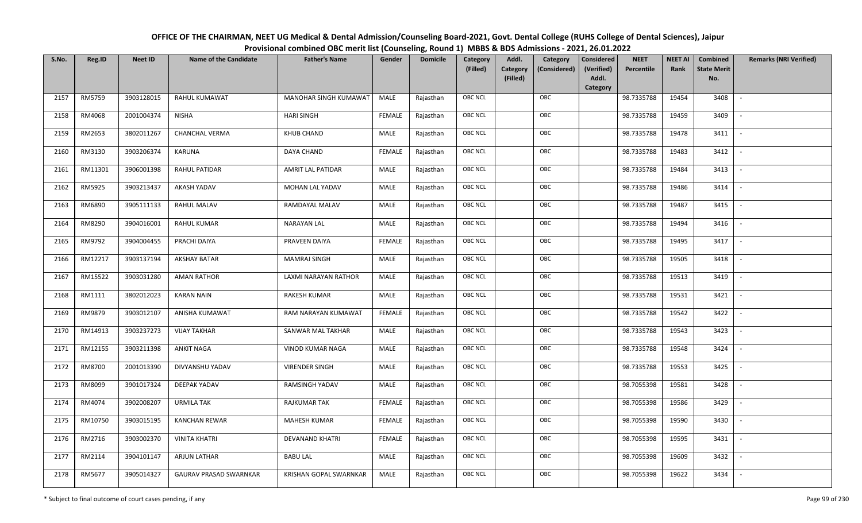| OFFICE OF THE CHAIRMAN, NEET UG Medical & Dental Admission/Counseling Board-2021, Govt. Dental College (RUHS College of Dental Sciences), Jaipur |
|--------------------------------------------------------------------------------------------------------------------------------------------------|
| Provisional combined OBC merit list (Counseling, Round 1) MBBS & BDS Admissions - 2021, 26.01.2022                                               |

| S.No. | Reg.ID  | <b>Neet ID</b> | <b>Name of the Candidate</b> | <b>Father's Name</b>   | Gender        | <b>Domicile</b> | Category<br>(Filled) | Addl.<br>Category<br>(Filled) | Category<br>(Considered) | <b>Considered</b><br>(Verified)<br>Addl. | <b>NEET</b><br>Percentile | <b>NEET AI</b><br>Rank | Combined<br><b>State Merit</b><br>No. | <b>Remarks (NRI Verified)</b> |
|-------|---------|----------------|------------------------------|------------------------|---------------|-----------------|----------------------|-------------------------------|--------------------------|------------------------------------------|---------------------------|------------------------|---------------------------------------|-------------------------------|
| 2157  | RM5759  | 3903128015     | RAHUL KUMAWAT                | MANOHAR SINGH KUMAWAT  | MALE          | Rajasthan       | OBC NCL              |                               | OBC                      | Category                                 | 98.7335788                | 19454                  | 3408                                  | $\blacksquare$                |
| 2158  | RM4068  | 2001004374     | <b>NISHA</b>                 | <b>HARI SINGH</b>      | <b>FEMALE</b> | Rajasthan       | OBC NCL              |                               | OBC                      |                                          | 98.7335788                | 19459                  | 3409                                  |                               |
| 2159  | RM2653  | 3802011267     | <b>CHANCHAL VERMA</b>        | <b>KHUB CHAND</b>      | MALE          | Rajasthan       | <b>OBC NCL</b>       |                               | OBC                      |                                          | 98.7335788                | 19478                  | 3411                                  | $\blacksquare$                |
| 2160  | RM3130  | 3903206374     | KARUNA                       | DAYA CHAND             | <b>FEMALE</b> | Rajasthan       | OBC NCL              |                               | OBC                      |                                          | 98.7335788                | 19483                  | 3412                                  | $\overline{\phantom{a}}$      |
| 2161  | RM11301 | 3906001398     | RAHUL PATIDAR                | AMRIT LAL PATIDAR      | MALE          | Rajasthan       | OBC NCL              |                               | OBC                      |                                          | 98.7335788                | 19484                  | 3413                                  | $\overline{\phantom{a}}$      |
| 2162  | RM5925  | 3903213437     | AKASH YADAV                  | MOHAN LAL YADAV        | MALE          | Rajasthan       | OBC NCL              |                               | OBC                      |                                          | 98.7335788                | 19486                  | 3414                                  | $\overline{\phantom{a}}$      |
| 2163  | RM6890  | 3905111133     | <b>RAHUL MALAV</b>           | RAMDAYAL MALAV         | MALE          | Rajasthan       | OBC NCL              |                               | OBC                      |                                          | 98.7335788                | 19487                  | 3415                                  | $\blacksquare$                |
| 2164  | RM8290  | 3904016001     | RAHUL KUMAR                  | <b>NARAYAN LAL</b>     | MALE          | Rajasthan       | OBC NCL              |                               | OBC                      |                                          | 98.7335788                | 19494                  | 3416                                  |                               |
| 2165  | RM9792  | 3904004455     | PRACHI DAIYA                 | PRAVEEN DAIYA          | <b>FEMALE</b> | Rajasthan       | OBC NCL              |                               | OBC                      |                                          | 98.7335788                | 19495                  | 3417                                  |                               |
| 2166  | RM12217 | 3903137194     | <b>AKSHAY BATAR</b>          | <b>MAMRAJ SINGH</b>    | MALE          | Rajasthan       | OBC NCL              |                               | OBC                      |                                          | 98.7335788                | 19505                  | 3418                                  |                               |
| 2167  | RM15522 | 3903031280     | <b>AMAN RATHOR</b>           | LAXMI NARAYAN RATHOR   | MALE          | Rajasthan       | <b>OBC NCL</b>       |                               | OBC                      |                                          | 98.7335788                | 19513                  | 3419                                  |                               |
| 2168  | RM1111  | 3802012023     | <b>KARAN NAIN</b>            | <b>RAKESH KUMAR</b>    | MALE          | Rajasthan       | OBC NCL              |                               | OBC                      |                                          | 98.7335788                | 19531                  | 3421                                  | $\sim$                        |
| 2169  | RM9879  | 3903012107     | ANISHA KUMAWAT               | RAM NARAYAN KUMAWAT    | <b>FEMALE</b> | Rajasthan       | OBC NCL              |                               | OBC                      |                                          | 98.7335788                | 19542                  | 3422                                  |                               |
| 2170  | RM14913 | 3903237273     | <b>VIJAY TAKHAR</b>          | SANWAR MAL TAKHAR      | MALE          | Rajasthan       | OBC NCL              |                               | OBC                      |                                          | 98.7335788                | 19543                  | 3423                                  | $\overline{\phantom{a}}$      |
| 2171  | RM12155 | 3903211398     | <b>ANKIT NAGA</b>            | VINOD KUMAR NAGA       | MALE          | Rajasthan       | OBC NCL              |                               | OBC                      |                                          | 98.7335788                | 19548                  | 3424                                  | $\overline{\phantom{a}}$      |
| 2172  | RM8700  | 2001013390     | DIVYANSHU YADAV              | <b>VIRENDER SINGH</b>  | MALE          | Rajasthan       | OBC NCL              |                               | OBC                      |                                          | 98.7335788                | 19553                  | 3425                                  | $\sim$                        |
| 2173  | RM8099  | 3901017324     | DEEPAK YADAV                 | <b>RAMSINGH YADAV</b>  | MALE          | Rajasthan       | OBC NCL              |                               | OBC                      |                                          | 98.7055398                | 19581                  | 3428                                  | $\overline{\phantom{a}}$      |
| 2174  | RM4074  | 3902008207     | <b>URMILA TAK</b>            | <b>RAJKUMAR TAK</b>    | <b>FEMALE</b> | Rajasthan       | OBC NCL              |                               | OBC                      |                                          | 98.7055398                | 19586                  | 3429                                  |                               |
| 2175  | RM10750 | 3903015195     | <b>KANCHAN REWAR</b>         | <b>MAHESH KUMAR</b>    | <b>FEMALE</b> | Rajasthan       | <b>OBC NCL</b>       |                               | OBC                      |                                          | 98.7055398                | 19590                  | 3430                                  |                               |
| 2176  | RM2716  | 3903002370     | <b>VINITA KHATRI</b>         | DEVANAND KHATRI        | <b>FEMALE</b> | Rajasthan       | OBC NCL              |                               | OBC                      |                                          | 98.7055398                | 19595                  | 3431                                  | $\blacksquare$                |
| 2177  | RM2114  | 3904101147     | ARJUN LATHAR                 | <b>BABU LAL</b>        | <b>MALE</b>   | Rajasthan       | OBC NCL              |                               | OBC                      |                                          | 98.7055398                | 19609                  | 3432                                  |                               |
| 2178  | RM5677  | 3905014327     | GAURAV PRASAD SWARNKAR       | KRISHAN GOPAL SWARNKAR | MALE          | Rajasthan       | OBC NCL              |                               | OBC                      |                                          | 98.7055398                | 19622                  | 3434                                  |                               |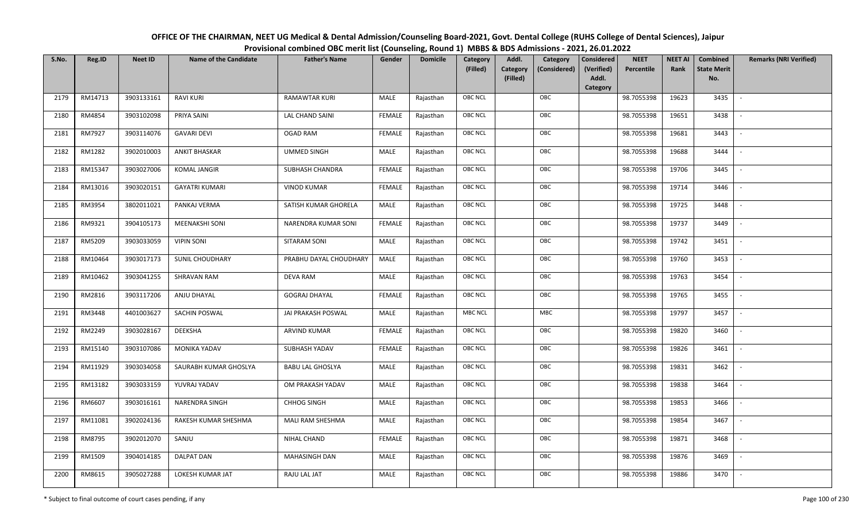| OFFICE OF THE CHAIRMAN, NEET UG Medical & Dental Admission/Counseling Board-2021, Govt. Dental College (RUHS College of Dental Sciences), Jaipur |
|--------------------------------------------------------------------------------------------------------------------------------------------------|
| Provisional combined OBC merit list (Counseling, Round 1) MBBS & BDS Admissions - 2021, 26.01.2022                                               |

| S.No. | Reg.ID  | <b>Neet ID</b> | <b>Name of the Candidate</b> | <b>Father's Name</b>    | Gender        | <b>Domicile</b> | Category<br>(Filled) | Addl.<br><b>Category</b><br>(Filled) | Category<br>(Considered) | <b>Considered</b><br>(Verified)<br>Addl. | <b>NEET</b><br>Percentile | <b>NEET AI</b><br>Rank | <b>Combined</b><br><b>State Merit</b><br>No. | <b>Remarks (NRI Verified)</b> |
|-------|---------|----------------|------------------------------|-------------------------|---------------|-----------------|----------------------|--------------------------------------|--------------------------|------------------------------------------|---------------------------|------------------------|----------------------------------------------|-------------------------------|
|       |         |                |                              |                         |               |                 |                      |                                      |                          | Category                                 |                           |                        |                                              |                               |
| 2179  | RM14713 | 3903133161     | <b>RAVI KURI</b>             | RAMAWTAR KURI           | MALE          | Rajasthan       | <b>OBC NCL</b>       |                                      | OBC                      |                                          | 98.7055398                | 19623                  | 3435                                         | $\mathbb{L}$                  |
| 2180  | RM4854  | 3903102098     | PRIYA SAINI                  | LAL CHAND SAINI         | FEMALE        | Rajasthan       | OBC NCL              |                                      | OBC                      |                                          | 98.7055398                | 19651                  | 3438                                         |                               |
| 2181  | RM7927  | 3903114076     | <b>GAVARI DEVI</b>           | <b>OGAD RAM</b>         | <b>FEMALE</b> | Rajasthan       | <b>OBC NCL</b>       |                                      | OBC                      |                                          | 98.7055398                | 19681                  | 3443                                         | $\overline{\phantom{a}}$      |
| 2182  | RM1282  | 3902010003     | <b>ANKIT BHASKAR</b>         | <b>UMMED SINGH</b>      | MALE          | Rajasthan       | <b>OBC NCL</b>       |                                      | OBC                      |                                          | 98.7055398                | 19688                  | 3444                                         | $\overline{\phantom{a}}$      |
| 2183  | RM15347 | 3903027006     | <b>KOMAL JANGIR</b>          | SUBHASH CHANDRA         | <b>FEMALE</b> | Rajasthan       | OBC NCL              |                                      | OBC                      |                                          | 98.7055398                | 19706                  | 3445                                         | $\sim$                        |
| 2184  | RM13016 | 3903020151     | <b>GAYATRI KUMARI</b>        | <b>VINOD KUMAR</b>      | <b>FEMALE</b> | Rajasthan       | <b>OBC NCL</b>       |                                      | OBC                      |                                          | 98.7055398                | 19714                  | 3446                                         | $\overline{\phantom{a}}$      |
| 2185  | RM3954  | 3802011021     | PANKAJ VERMA                 | SATISH KUMAR GHORELA    | <b>MALE</b>   | Rajasthan       | OBC NCL              |                                      | OBC                      |                                          | 98.7055398                | 19725                  | 3448                                         |                               |
| 2186  | RM9321  | 3904105173     | <b>MEENAKSHI SONI</b>        | NARENDRA KUMAR SONI     | <b>FEMALE</b> | Rajasthan       | OBC NCL              |                                      | OBC                      |                                          | 98.7055398                | 19737                  | 3449                                         |                               |
| 2187  | RM5209  | 3903033059     | <b>VIPIN SONI</b>            | SITARAM SONI            | MALE          | Rajasthan       | OBC NCL              |                                      | OBC                      |                                          | 98.7055398                | 19742                  | 3451                                         |                               |
| 2188  | RM10464 | 3903017173     | SUNIL CHOUDHARY              | PRABHU DAYAL CHOUDHARY  | MALE          | Rajasthan       | OBC NCL              |                                      | OBC                      |                                          | 98.7055398                | 19760                  | 3453                                         | $\sim$                        |
| 2189  | RM10462 | 3903041255     | SHRAVAN RAM                  | <b>DEVA RAM</b>         | MALE          | Rajasthan       | OBC NCL              |                                      | OBC                      |                                          | 98.7055398                | 19763                  | 3454                                         |                               |
| 2190  | RM2816  | 3903117206     | ANJU DHAYAL                  | <b>GOGRAJ DHAYAL</b>    | <b>FEMALE</b> | Rajasthan       | <b>OBC NCL</b>       |                                      | OBC                      |                                          | 98.7055398                | 19765                  | 3455                                         | $\sim$                        |
| 2191  | RM3448  | 4401003627     | SACHIN POSWAL                | JAI PRAKASH POSWAL      | MALE          | Rajasthan       | <b>MBC NCL</b>       |                                      | MBC                      |                                          | 98.7055398                | 19797                  | 3457                                         |                               |
| 2192  | RM2249  | 3903028167     | DEEKSHA                      | ARVIND KUMAR            | <b>FEMALE</b> | Rajasthan       | <b>OBC NCL</b>       |                                      | OBC                      |                                          | 98.7055398                | 19820                  | 3460                                         | $\sim$                        |
| 2193  | RM15140 | 3903107086     | <b>MONIKA YADAV</b>          | SUBHASH YADAV           | <b>FEMALE</b> | Rajasthan       | <b>OBC NCL</b>       |                                      | OBC                      |                                          | 98.7055398                | 19826                  | 3461                                         | $\sim$                        |
| 2194  | RM11929 | 3903034058     | SAURABH KUMAR GHOSLYA        | <b>BABU LAL GHOSLYA</b> | MALE          | Rajasthan       | <b>OBC NCL</b>       |                                      | OBC                      |                                          | 98.7055398                | 19831                  | 3462                                         | $\overline{\phantom{a}}$      |
| 2195  | RM13182 | 3903033159     | YUVRAJ YADAV                 | OM PRAKASH YADAV        | MALE          | Rajasthan       | <b>OBC NCL</b>       |                                      | OBC                      |                                          | 98.7055398                | 19838                  | 3464                                         | $\overline{\phantom{a}}$      |
| 2196  | RM6607  | 3903016161     | NARENDRA SINGH               | <b>CHHOG SINGH</b>      | <b>MALE</b>   | Rajasthan       | <b>OBC NCL</b>       |                                      | OBC                      |                                          | 98.7055398                | 19853                  | 3466                                         |                               |
| 2197  | RM11081 | 3902024136     | RAKESH KUMAR SHESHMA         | MALI RAM SHESHMA        | MALE          | Rajasthan       | OBC NCL              |                                      | OBC                      |                                          | 98.7055398                | 19854                  | 3467                                         |                               |
| 2198  | RM8795  | 3902012070     | SANJU                        | NIHAL CHAND             | <b>FEMALE</b> | Rajasthan       | OBC NCL              |                                      | OBC                      |                                          | 98.7055398                | 19871                  | 3468                                         |                               |
| 2199  | RM1509  | 3904014185     | <b>DALPAT DAN</b>            | MAHASINGH DAN           | MALE          | Rajasthan       | OBC NCL              |                                      | OBC                      |                                          | 98.7055398                | 19876                  | 3469                                         |                               |
| 2200  | RM8615  | 3905027288     | LOKESH KUMAR JAT             | RAJU LAL JAT            | MALE          | Rajasthan       | OBC NCL              |                                      | OBC                      |                                          | 98.7055398                | 19886                  | 3470                                         |                               |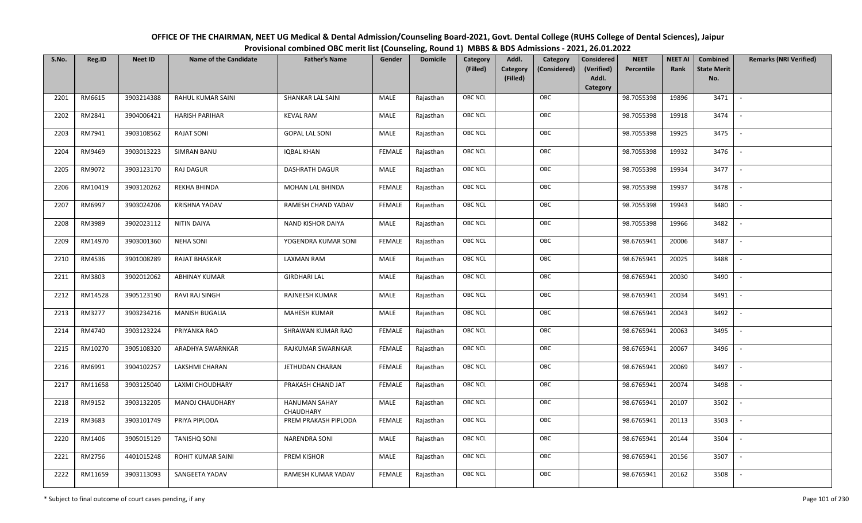| OFFICE OF THE CHAIRMAN, NEET UG Medical & Dental Admission/Counseling Board-2021, Govt. Dental College (RUHS College of Dental Sciences), Jaipur |
|--------------------------------------------------------------------------------------------------------------------------------------------------|
| Provisional combined OBC merit list (Counseling, Round 1) MBBS & BDS Admissions - 2021, 26.01.2022                                               |

| S.No. | Reg.ID  | <b>Neet ID</b> | <b>Name of the Candidate</b> | <b>Father's Name</b>              | Gender        | <b>Domicile</b> | Category       | Addl.<br>Category                    | <b>Considered</b>   | <b>NEET</b> | <b>NEET AI</b> | Combined                  | <b>Remarks (NRI Verified)</b> |
|-------|---------|----------------|------------------------------|-----------------------------------|---------------|-----------------|----------------|--------------------------------------|---------------------|-------------|----------------|---------------------------|-------------------------------|
|       |         |                |                              |                                   |               |                 | (Filled)       | Category<br>(Considered)<br>(Filled) | (Verified)<br>Addl. | Percentile  | Rank           | <b>State Merit</b><br>No. |                               |
|       |         |                |                              |                                   |               |                 |                |                                      | Category            |             |                |                           |                               |
| 2201  | RM6615  | 3903214388     | RAHUL KUMAR SAINI            | SHANKAR LAL SAINI                 | MALE          | Rajasthan       | <b>OBC NCL</b> | OBC                                  |                     | 98.7055398  | 19896          | 3471                      | $\sim$                        |
| 2202  | RM2841  | 3904006421     | <b>HARISH PARIHAR</b>        | <b>KEVAL RAM</b>                  | <b>MALE</b>   | Rajasthan       | OBC NCL        | OBC                                  |                     | 98.7055398  | 19918          | 3474                      |                               |
| 2203  | RM7941  | 3903108562     | <b>RAJAT SONI</b>            | <b>GOPAL LAL SONI</b>             | MALE          | Rajasthan       | <b>OBC NCL</b> | OBC                                  |                     | 98.7055398  | 19925          | 3475                      | $\overline{\phantom{a}}$      |
| 2204  | RM9469  | 3903013223     | <b>SIMRAN BANU</b>           | <b>IQBAL KHAN</b>                 | <b>FEMALE</b> | Rajasthan       | <b>OBC NCL</b> | OBC                                  |                     | 98.7055398  | 19932          | 3476                      | $\overline{\phantom{a}}$      |
| 2205  | RM9072  | 3903123170     | RAJ DAGUR                    | <b>DASHRATH DAGUR</b>             | MALE          | Rajasthan       | <b>OBC NCL</b> | OBC                                  |                     | 98.7055398  | 19934          | 3477                      | $\sim$                        |
| 2206  | RM10419 | 3903120262     | REKHA BHINDA                 | MOHAN LAL BHINDA                  | <b>FEMALE</b> | Rajasthan       | <b>OBC NCL</b> | OBC                                  |                     | 98.7055398  | 19937          | 3478                      | $\overline{\phantom{a}}$      |
| 2207  | RM6997  | 3903024206     | <b>KRISHNA YADAV</b>         | RAMESH CHAND YADAV                | <b>FEMALE</b> | Rajasthan       | OBC NCL        | OBC                                  |                     | 98.7055398  | 19943          | 3480                      |                               |
| 2208  | RM3989  | 3902023112     | NITIN DAIYA                  | <b>NAND KISHOR DAIYA</b>          | MALE          | Rajasthan       | OBC NCL        | OBC                                  |                     | 98.7055398  | 19966          | 3482                      |                               |
| 2209  | RM14970 | 3903001360     | <b>NEHA SONI</b>             | YOGENDRA KUMAR SONI               | <b>FEMALE</b> | Rajasthan       | OBC NCL        | OBC                                  |                     | 98.6765941  | 20006          | 3487                      |                               |
| 2210  | RM4536  | 3901008289     | <b>RAJAT BHASKAR</b>         | <b>LAXMAN RAM</b>                 | <b>MALE</b>   | Rajasthan       | OBC NCL        | OBC                                  |                     | 98.6765941  | 20025          | 3488                      | $\overline{\phantom{a}}$      |
| 2211  | RM3803  | 3902012062     | <b>ABHINAY KUMAR</b>         | <b>GIRDHARI LAL</b>               | MALE          | Rajasthan       | OBC NCL        | OBC                                  |                     | 98.6765941  | 20030          | 3490                      |                               |
| 2212  | RM14528 | 3905123190     | RAVI RAJ SINGH               | RAJNEESH KUMAR                    | MALE          | Rajasthan       | <b>OBC NCL</b> | OBC                                  |                     | 98.6765941  | 20034          | 3491                      | $\overline{\phantom{a}}$      |
| 2213  | RM3277  | 3903234216     | <b>MANISH BUGALIA</b>        | <b>MAHESH KUMAR</b>               | MALE          | Rajasthan       | OBC NCL        | OBC                                  |                     | 98.6765941  | 20043          | 3492                      |                               |
| 2214  | RM4740  | 3903123224     | PRIYANKA RAO                 | SHRAWAN KUMAR RAO                 | <b>FEMALE</b> | Rajasthan       | OBC NCL        | OBC                                  |                     | 98.6765941  | 20063          | 3495                      | $\overline{\phantom{a}}$      |
| 2215  | RM10270 | 3905108320     | ARADHYA SWARNKAR             | RAJKUMAR SWARNKAR                 | <b>FEMALE</b> | Rajasthan       | <b>OBC NCL</b> | OBC                                  |                     | 98.6765941  | 20067          | 3496                      | $\overline{\phantom{a}}$      |
| 2216  | RM6991  | 3904102257     | LAKSHMI CHARAN               | JETHUDAN CHARAN                   | <b>FEMALE</b> | Rajasthan       | <b>OBC NCL</b> | OBC                                  |                     | 98.6765941  | 20069          | 3497                      | $\sim$                        |
| 2217  | RM11658 | 3903125040     | LAXMI CHOUDHARY              | PRAKASH CHAND JAT                 | <b>FEMALE</b> | Rajasthan       | OBC NCL        | OBC                                  |                     | 98.6765941  | 20074          | 3498                      | $\overline{\phantom{a}}$      |
| 2218  | RM9152  | 3903132205     | MANOJ CHAUDHARY              | <b>HANUMAN SAHAY</b><br>CHAUDHARY | <b>MALE</b>   | Rajasthan       | OBC NCL        | OBC                                  |                     | 98.6765941  | 20107          | 3502                      |                               |
| 2219  | RM3683  | 3903101749     | PRIYA PIPLODA                | PREM PRAKASH PIPLODA              | <b>FEMALE</b> | Rajasthan       | <b>OBC NCL</b> | OBC                                  |                     | 98.6765941  | 20113          | 3503                      |                               |
| 2220  | RM1406  | 3905015129     | <b>TANISHQ SONI</b>          | <b>NARENDRA SONI</b>              | <b>MALE</b>   | Rajasthan       | <b>OBC NCL</b> | OBC                                  |                     | 98.6765941  | 20144          | 3504                      |                               |
| 2221  | RM2756  | 4401015248     | ROHIT KUMAR SAINI            | PREM KISHOR                       | MALE          | Rajasthan       | <b>OBC NCL</b> | OBC                                  |                     | 98.6765941  | 20156          | 3507                      |                               |
| 2222  | RM11659 | 3903113093     | SANGEETA YADAV               | RAMESH KUMAR YADAV                | FEMALE        | Rajasthan       | OBC NCL        | OBC                                  |                     | 98.6765941  | 20162          | 3508                      |                               |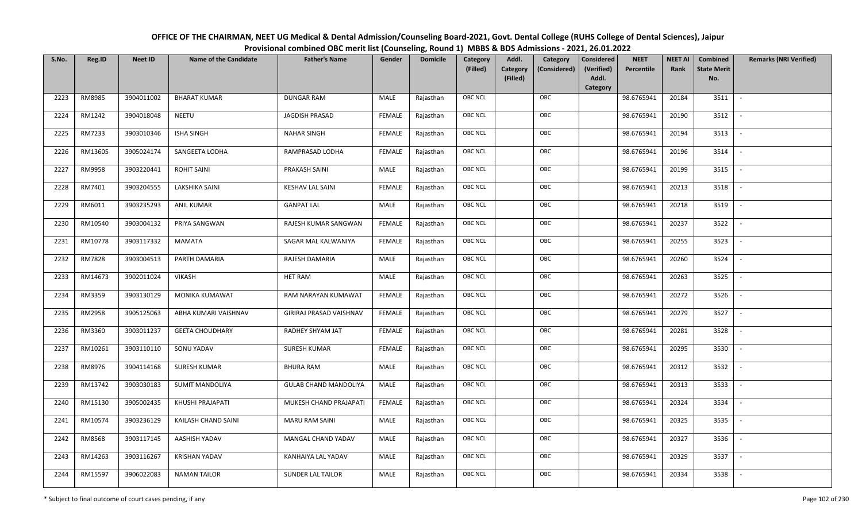| OFFICE OF THE CHAIRMAN, NEET UG Medical & Dental Admission/Counseling Board-2021, Govt. Dental College (RUHS College of Dental Sciences), Jaipur |
|--------------------------------------------------------------------------------------------------------------------------------------------------|
| Provisional combined OBC merit list (Counseling, Round 1) MBBS & BDS Admissions - 2021, 26.01.2022                                               |

| S.No. | Reg.ID  | <b>Neet ID</b> | <b>Name of the Candidate</b> | <b>Father's Name</b>         | Gender        | <b>Domicile</b> | Category<br>(Filled) | Addl.<br><b>Category</b><br>(Filled) | Category<br>(Considered) | <b>Considered</b><br>(Verified)<br>Addl.<br>Category | <b>NEET</b><br>Percentile | <b>NEET AI</b><br>Rank | Combined<br><b>State Merit</b><br>No. | <b>Remarks (NRI Verified)</b> |
|-------|---------|----------------|------------------------------|------------------------------|---------------|-----------------|----------------------|--------------------------------------|--------------------------|------------------------------------------------------|---------------------------|------------------------|---------------------------------------|-------------------------------|
| 2223  | RM8985  | 3904011002     | <b>BHARAT KUMAR</b>          | <b>DUNGAR RAM</b>            | MALE          | Rajasthan       | <b>OBC NCL</b>       |                                      | OBC                      |                                                      | 98.6765941                | 20184                  | 3511                                  | $\sim$                        |
| 2224  | RM1242  | 3904018048     | <b>NEETU</b>                 | JAGDISH PRASAD               | <b>FEMALE</b> | Rajasthan       | <b>OBC NCL</b>       |                                      | OBC                      |                                                      | 98.6765941                | 20190                  | 3512                                  |                               |
| 2225  | RM7233  | 3903010346     | <b>ISHA SINGH</b>            | <b>NAHAR SINGH</b>           | <b>FEMALE</b> | Rajasthan       | OBC NCL              |                                      | OBC                      |                                                      | 98.6765941                | 20194                  | 3513                                  |                               |
| 2226  | RM13605 | 3905024174     | SANGEETA LODHA               | RAMPRASAD LODHA              | <b>FEMALE</b> | Rajasthan       | <b>OBC NCL</b>       |                                      | OBC                      |                                                      | 98.6765941                | 20196                  | 3514                                  | $\overline{\phantom{a}}$      |
| 2227  | RM9958  | 3903220441     | <b>ROHIT SAINI</b>           | PRAKASH SAINI                | MALE          | Rajasthan       | <b>OBC NCL</b>       |                                      | OBC                      |                                                      | 98.6765941                | 20199                  | 3515                                  | $\sim$                        |
| 2228  | RM7401  | 3903204555     | LAKSHIKA SAINI               | <b>KESHAV LAL SAINI</b>      | <b>FEMALE</b> | Rajasthan       | <b>OBC NCL</b>       |                                      | OBC                      |                                                      | 98.6765941                | 20213                  | 3518                                  | $\overline{\phantom{a}}$      |
| 2229  | RM6011  | 3903235293     | <b>ANIL KUMAR</b>            | <b>GANPAT LAL</b>            | MALE          | Rajasthan       | OBC NCL              |                                      | OBC                      |                                                      | 98.6765941                | 20218                  | 3519                                  |                               |
| 2230  | RM10540 | 3903004132     | PRIYA SANGWAN                | RAJESH KUMAR SANGWAN         | <b>FEMALE</b> | Rajasthan       | <b>OBC NCL</b>       |                                      | OBC                      |                                                      | 98.6765941                | 20237                  | 3522                                  |                               |
| 2231  | RM10778 | 3903117332     | MAMATA                       | SAGAR MAL KALWANIYA          | <b>FEMALE</b> | Rajasthan       | OBC NCL              |                                      | OBC                      |                                                      | 98.6765941                | 20255                  | 3523                                  | $\blacksquare$                |
| 2232  | RM7828  | 3903004513     | PARTH DAMARIA                | RAJESH DAMARIA               | <b>MALE</b>   | Rajasthan       | <b>OBC NCL</b>       |                                      | OBC                      |                                                      | 98.6765941                | 20260                  | 3524                                  |                               |
| 2233  | RM14673 | 3902011024     | <b>VIKASH</b>                | <b>HET RAM</b>               | MALE          | Rajasthan       | OBC NCL              |                                      | OBC                      |                                                      | 98.6765941                | 20263                  | 3525                                  |                               |
| 2234  | RM3359  | 3903130129     | <b>MONIKA KUMAWAT</b>        | RAM NARAYAN KUMAWAT          | <b>FEMALE</b> | Rajasthan       | <b>OBC NCL</b>       |                                      | OBC                      |                                                      | 98.6765941                | 20272                  | 3526                                  |                               |
| 2235  | RM2958  | 3905125063     | ABHA KUMARI VAISHNAV         | GIRIRAJ PRASAD VAISHNAV      | <b>FEMALE</b> | Rajasthan       | OBC NCL              |                                      | OBC                      |                                                      | 98.6765941                | 20279                  | 3527                                  |                               |
| 2236  | RM3360  | 3903011237     | <b>GEETA CHOUDHARY</b>       | RADHEY SHYAM JAT             | <b>FEMALE</b> | Rajasthan       | OBC NCL              |                                      | OBC                      |                                                      | 98.6765941                | 20281                  | 3528                                  | $\sim$                        |
| 2237  | RM10261 | 3903110110     | SONU YADAV                   | <b>SURESH KUMAR</b>          | <b>FEMALE</b> | Rajasthan       | OBC NCL              |                                      | OBC                      |                                                      | 98.6765941                | 20295                  | 3530                                  | $\overline{\phantom{a}}$      |
| 2238  | RM8976  | 3904114168     | <b>SURESH KUMAR</b>          | <b>BHURA RAM</b>             | MALE          | Rajasthan       | <b>OBC NCL</b>       |                                      | OBC                      |                                                      | 98.6765941                | 20312                  | 3532                                  | $\overline{\phantom{a}}$      |
| 2239  | RM13742 | 3903030183     | <b>SUMIT MANDOLIYA</b>       | <b>GULAB CHAND MANDOLIYA</b> | MALE          | Rajasthan       | OBC NCL              |                                      | OBC                      |                                                      | 98.6765941                | 20313                  | 3533                                  | $\blacksquare$                |
| 2240  | RM15130 | 3905002435     | KHUSHI PRAJAPATI             | MUKESH CHAND PRAJAPATI       | <b>FEMALE</b> | Rajasthan       | <b>OBC NCL</b>       |                                      | OBC                      |                                                      | 98.6765941                | 20324                  | 3534                                  |                               |
| 2241  | RM10574 | 3903236129     | KAILASH CHAND SAINI          | MARU RAM SAINI               | MALE          | Rajasthan       | OBC NCL              |                                      | OBC                      |                                                      | 98.6765941                | 20325                  | 3535                                  |                               |
| 2242  | RM8568  | 3903117145     | AASHISH YADAV                | MANGAL CHAND YADAV           | MALE          | Rajasthan       | OBC NCL              |                                      | OBC                      |                                                      | 98.6765941                | 20327                  | 3536                                  |                               |
| 2243  | RM14263 | 3903116267     | <b>KRISHAN YADAV</b>         | KANHAIYA LAL YADAV           | MALE          | Rajasthan       | <b>OBC NCL</b>       |                                      | OBC                      |                                                      | 98.6765941                | 20329                  | 3537                                  |                               |
| 2244  | RM15597 | 3906022083     | <b>NAMAN TAILOR</b>          | <b>SUNDER LAL TAILOR</b>     | MALE          | Rajasthan       | <b>OBC NCL</b>       |                                      | OBC                      |                                                      | 98.6765941                | 20334                  | 3538                                  |                               |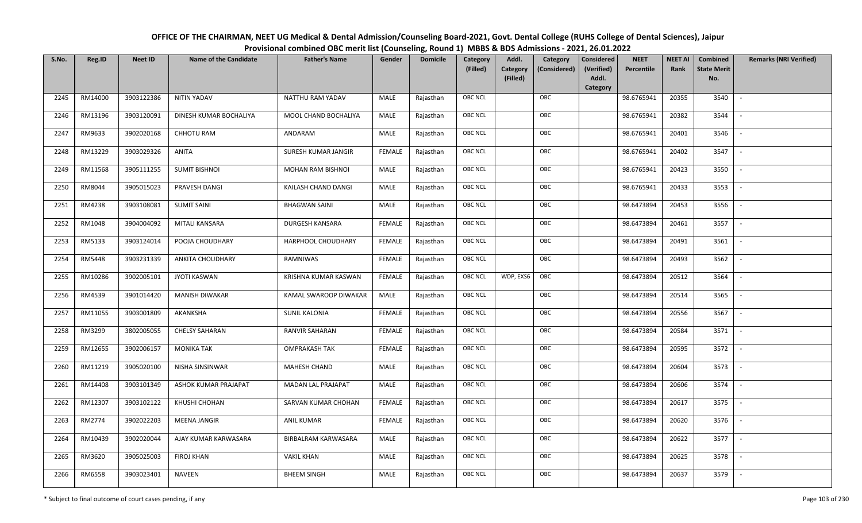OFFICE OF THE CHAIRMAN, NEET UG Medical & Dental Admission/Counseling Board-2021, Govt. Dental College (RUHS College of Dental Sciences), JaipurProvisional combined OBC merit list (Counseling, Round 1) MBBS & BDS Admissions - 2021, 26.01.2022

| S.No. | Reg.ID  | <b>Neet ID</b> | <b>Name of the Candidate</b> | <b>Father's Name</b>       | Gender        | <b>Domicile</b> | Category       | Addl.                | Category     | Considered          | <b>NEET</b> | <b>NEET AI</b> | Combined                  | <b>Remarks (NRI Verified)</b> |
|-------|---------|----------------|------------------------------|----------------------------|---------------|-----------------|----------------|----------------------|--------------|---------------------|-------------|----------------|---------------------------|-------------------------------|
|       |         |                |                              |                            |               |                 | (Filled)       | Category<br>(Filled) | (Considered) | (Verified)<br>Addl. | Percentile  | Rank           | <b>State Merit</b><br>No. |                               |
|       |         |                |                              |                            |               |                 |                |                      |              | Category            |             |                |                           |                               |
| 2245  | RM14000 | 3903122386     | NITIN YADAV                  | NATTHU RAM YADAV           | MALE          | Rajasthan       | <b>OBC NCL</b> |                      | OBC          |                     | 98.6765941  | 20355          | 3540                      | $\sim$                        |
| 2246  | RM13196 | 3903120091     | DINESH KUMAR BOCHALIYA       | MOOL CHAND BOCHALIYA       | MALE          | Rajasthan       | OBC NCL        |                      | OBC          |                     | 98.6765941  | 20382          | 3544                      |                               |
| 2247  | RM9633  | 3902020168     | <b>CHHOTU RAM</b>            | ANDARAM                    | MALE          | Rajasthan       | OBC NCL        |                      | OBC          |                     | 98.6765941  | 20401          | 3546                      |                               |
| 2248  | RM13229 | 3903029326     | ANITA                        | SURESH KUMAR JANGIR        | <b>FEMALE</b> | Rajasthan       | OBC NCL        |                      | OBC          |                     | 98.6765941  | 20402          | 3547                      | $\overline{\phantom{a}}$      |
| 2249  | RM11568 | 3905111255     | <b>SUMIT BISHNOI</b>         | MOHAN RAM BISHNOI          | <b>MALE</b>   | Rajasthan       | OBC NCL        |                      | OBC          |                     | 98.6765941  | 20423          | 3550                      | $\sim$                        |
| 2250  | RM8044  | 3905015023     | PRAVESH DANGI                | KAILASH CHAND DANGI        | MALE          | Rajasthan       | OBC NCL        |                      | OBC          |                     | 98.6765941  | 20433          | 3553                      | $\overline{\phantom{a}}$      |
| 2251  | RM4238  | 3903108081     | <b>SUMIT SAINI</b>           | <b>BHAGWAN SAINI</b>       | MALE          | Rajasthan       | OBC NCL        |                      | OBC          |                     | 98.6473894  | 20453          | 3556                      | $\mathbb{L}$                  |
| 2252  | RM1048  | 3904004092     | MITALI KANSARA               | <b>DURGESH KANSARA</b>     | <b>FEMALE</b> | Rajasthan       | OBC NCL        |                      | OBC          |                     | 98.6473894  | 20461          | 3557                      | $\overline{\phantom{a}}$      |
| 2253  | RM5133  | 3903124014     | POOJA CHOUDHARY              | HARPHOOL CHOUDHARY         | <b>FEMALE</b> | Rajasthan       | OBC NCL        |                      | OBC          |                     | 98.6473894  | 20491          | 3561                      |                               |
| 2254  | RM5448  | 3903231339     | <b>ANKITA CHOUDHARY</b>      | <b>RAMNIWAS</b>            | <b>FEMALE</b> | Rajasthan       | OBC NCL        |                      | OBC          |                     | 98.6473894  | 20493          | 3562                      | $\sim$                        |
| 2255  | RM10286 | 3902005101     | <b>JYOTI KASWAN</b>          | KRISHNA KUMAR KASWAN       | <b>FEMALE</b> | Rajasthan       | OBC NCL        | WDP, EXS6            | OBC          |                     | 98.6473894  | 20512          | 3564                      |                               |
| 2256  | RM4539  | 3901014420     | <b>MANISH DIWAKAR</b>        | KAMAL SWAROOP DIWAKAR      | MALE          | Rajasthan       | OBC NCL        |                      | OBC          |                     | 98.6473894  | 20514          | 3565                      | $\blacksquare$                |
| 2257  | RM11055 | 3903001809     | AKANKSHA                     | <b>SUNIL KALONIA</b>       | <b>FEMALE</b> | Rajasthan       | OBC NCL        |                      | OBC          |                     | 98.6473894  | 20556          | 3567                      |                               |
| 2258  | RM3299  | 3802005055     | <b>CHELSY SAHARAN</b>        | RANVIR SAHARAN             | <b>FEMALE</b> | Rajasthan       | OBC NCL        |                      | OBC          |                     | 98.6473894  | 20584          | 3571                      | $\sim$                        |
| 2259  | RM12655 | 3902006157     | <b>MONIKA TAK</b>            | <b>OMPRAKASH TAK</b>       | <b>FEMALE</b> | Rajasthan       | OBC NCL        |                      | OBC          |                     | 98.6473894  | 20595          | 3572                      | $\sim$                        |
| 2260  | RM11219 | 3905020100     | NISHA SINSINWAR              | MAHESH CHAND               | MALE          | Rajasthan       | OBC NCL        |                      | OBC          |                     | 98.6473894  | 20604          | 3573                      | $\sim$                        |
| 2261  | RM14408 | 3903101349     | ASHOK KUMAR PRAJAPAT         | <b>MADAN LAL PRAJAPAT</b>  | MALE          | Rajasthan       | <b>OBC NCL</b> |                      | OBC          |                     | 98.6473894  | 20606          | 3574                      | $\overline{\phantom{a}}$      |
| 2262  | RM12307 | 3903102122     | KHUSHI CHOHAN                | SARVAN KUMAR CHOHAN        | <b>FEMALE</b> | Rajasthan       | OBC NCL        |                      | OBC          |                     | 98.6473894  | 20617          | 3575                      |                               |
| 2263  | RM2774  | 3902022203     | <b>MEENA JANGIR</b>          | <b>ANIL KUMAR</b>          | <b>FEMALE</b> | Rajasthan       | OBC NCL        |                      | OBC          |                     | 98.6473894  | 20620          | 3576                      |                               |
| 2264  | RM10439 | 3902020044     | AJAY KUMAR KARWASARA         | <b>BIRBALRAM KARWASARA</b> | MALE          | Rajasthan       | OBC NCL        |                      | OBC          |                     | 98.6473894  | 20622          | 3577                      | $\overline{\phantom{a}}$      |
| 2265  | RM3620  | 3905025003     | <b>FIROJ KHAN</b>            | <b>VAKIL KHAN</b>          | MALE          | Rajasthan       | OBC NCL        |                      | OBC          |                     | 98.6473894  | 20625          | 3578                      |                               |
| 2266  | RM6558  | 3903023401     | <b>NAVEEN</b>                | <b>BHEEM SINGH</b>         | MALE          | Rajasthan       | OBC NCL        |                      | OBC          |                     | 98.6473894  | 20637          | 3579                      |                               |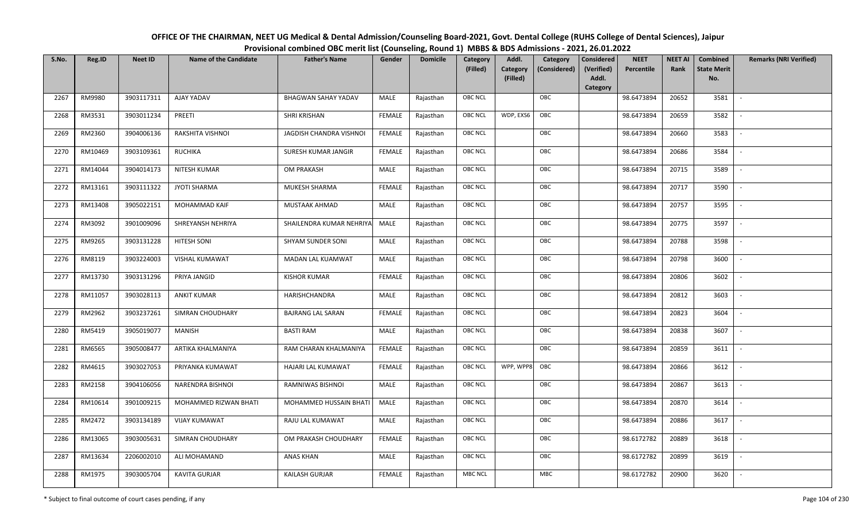| OFFICE OF THE CHAIRMAN, NEET UG Medical & Dental Admission/Counseling Board-2021, Govt. Dental College (RUHS College of Dental Sciences), Jaipur |
|--------------------------------------------------------------------------------------------------------------------------------------------------|
| Provisional combined OBC merit list (Counseling, Round 1) MBBS & BDS Admissions - 2021, 26.01.2022                                               |

| S.No. | Reg.ID  | <b>Neet ID</b> | <b>Name of the Candidate</b> | <b>Father's Name</b>       | Gender        | <b>Domicile</b> | Category<br>(Filled) | Addl.<br>Category<br>(Filled) | Category<br>(Considered) | <b>Considered</b><br>(Verified)<br>Addl. | <b>NEET</b><br>Percentile | <b>NEET AI</b><br>Rank | Combined<br><b>State Merit</b><br>No. | <b>Remarks (NRI Verified)</b> |
|-------|---------|----------------|------------------------------|----------------------------|---------------|-----------------|----------------------|-------------------------------|--------------------------|------------------------------------------|---------------------------|------------------------|---------------------------------------|-------------------------------|
|       |         |                |                              |                            |               |                 |                      |                               |                          | Category                                 |                           |                        |                                       |                               |
| 2267  | RM9980  | 3903117311     | AJAY YADAV                   | <b>BHAGWAN SAHAY YADAV</b> | MALE          | Rajasthan       | OBC NCL              |                               | OBC                      |                                          | 98.6473894                | 20652                  | 3581                                  | $\overline{\phantom{a}}$      |
| 2268  | RM3531  | 3903011234     | PREETI                       | <b>SHRI KRISHAN</b>        | <b>FEMALE</b> | Rajasthan       | OBC NCL              | WDP, EXS6                     | OBC                      |                                          | 98.6473894                | 20659                  | 3582                                  |                               |
| 2269  | RM2360  | 3904006136     | RAKSHITA VISHNOI             | JAGDISH CHANDRA VISHNOI    | <b>FEMALE</b> | Rajasthan       | OBC NCL              |                               | OBC                      |                                          | 98.6473894                | 20660                  | 3583                                  |                               |
| 2270  | RM10469 | 3903109361     | <b>RUCHIKA</b>               | SURESH KUMAR JANGIR        | <b>FEMALE</b> | Rajasthan       | OBC NCL              |                               | OBC                      |                                          | 98.6473894                | 20686                  | 3584                                  | $\overline{\phantom{a}}$      |
| 2271  | RM14044 | 3904014173     | NITESH KUMAR                 | <b>OM PRAKASH</b>          | MALE          | Rajasthan       | OBC NCL              |                               | OBC                      |                                          | 98.6473894                | 20715                  | 3589                                  | $\sim$                        |
| 2272  | RM13161 | 3903111322     | <b>JYOTI SHARMA</b>          | MUKESH SHARMA              | <b>FEMALE</b> | Rajasthan       | <b>OBC NCL</b>       |                               | OBC                      |                                          | 98.6473894                | 20717                  | 3590                                  | $\overline{\phantom{a}}$      |
| 2273  | RM13408 | 3905022151     | MOHAMMAD KAIF                | MUSTAAK AHMAD              | MALE          | Rajasthan       | OBC NCL              |                               | OBC                      |                                          | 98.6473894                | 20757                  | 3595                                  |                               |
| 2274  | RM3092  | 3901009096     | SHREYANSH NEHRIYA            | SHAILENDRA KUMAR NEHRIYA   | MALE          | Rajasthan       | OBC NCL              |                               | OBC                      |                                          | 98.6473894                | 20775                  | 3597                                  |                               |
| 2275  | RM9265  | 3903131228     | HITESH SONI                  | SHYAM SUNDER SONI          | MALE          | Rajasthan       | OBC NCL              |                               | OBC                      |                                          | 98.6473894                | 20788                  | 3598                                  |                               |
| 2276  | RM8119  | 3903224003     | VISHAL KUMAWAT               | MADAN LAL KUAMWAT          | MALE          | Rajasthan       | OBC NCL              |                               | OBC                      |                                          | 98.6473894                | 20798                  | 3600                                  |                               |
| 2277  | RM13730 | 3903131296     | PRIYA JANGID                 | <b>KISHOR KUMAR</b>        | <b>FEMALE</b> | Rajasthan       | OBC NCL              |                               | OBC                      |                                          | 98.6473894                | 20806                  | 3602                                  |                               |
| 2278  | RM11057 | 3903028113     | <b>ANKIT KUMAR</b>           | HARISHCHANDRA              | MALE          | Rajasthan       | OBC NCL              |                               | OBC                      |                                          | 98.6473894                | 20812                  | 3603                                  |                               |
| 2279  | RM2962  | 3903237261     | SIMRAN CHOUDHARY             | <b>BAJRANG LAL SARAN</b>   | <b>FEMALE</b> | Rajasthan       | OBC NCL              |                               | OBC                      |                                          | 98.6473894                | 20823                  | 3604                                  |                               |
| 2280  | RM5419  | 3905019077     | MANISH                       | <b>BASTI RAM</b>           | MALE          | Rajasthan       | OBC NCL              |                               | OBC                      |                                          | 98.6473894                | 20838                  | 3607                                  | $\sim$                        |
| 2281  | RM6565  | 3905008477     | ARTIKA KHALMANIYA            | RAM CHARAN KHALMANIYA      | <b>FEMALE</b> | Rajasthan       | OBC NCL              |                               | OBC                      |                                          | 98.6473894                | 20859                  | 3611                                  | $\sim$                        |
| 2282  | RM4615  | 3903027053     | PRIYANKA KUMAWAT             | HAJARI LAL KUMAWAT         | <b>FEMALE</b> | Rajasthan       | <b>OBC NCL</b>       | WPP, WPP8                     | OBC                      |                                          | 98.6473894                | 20866                  | 3612                                  | $\sim$                        |
| 2283  | RM2158  | 3904106056     | NARENDRA BISHNOI             | RAMNIWAS BISHNOI           | MALE          | Rajasthan       | OBC NCL              |                               | OBC                      |                                          | 98.6473894                | 20867                  | 3613                                  | $\overline{\phantom{a}}$      |
| 2284  | RM10614 | 3901009215     | MOHAMMED RIZWAN BHATI        | MOHAMMED HUSSAIN BHATI     | MALE          | Rajasthan       | OBC NCL              |                               | OBC                      |                                          | 98.6473894                | 20870                  | 3614                                  |                               |
| 2285  | RM2472  | 3903134189     | <b>VIJAY KUMAWAT</b>         | RAJU LAL KUMAWAT           | <b>MALE</b>   | Rajasthan       | OBC NCL              |                               | OBC                      |                                          | 98.6473894                | 20886                  | 3617                                  |                               |
| 2286  | RM13065 | 3903005631     | SIMRAN CHOUDHARY             | OM PRAKASH CHOUDHARY       | <b>FEMALE</b> | Rajasthan       | OBC NCL              |                               | OBC                      |                                          | 98.6172782                | 20889                  | 3618                                  |                               |
| 2287  | RM13634 | 2206002010     | ALI MOHAMAND                 | <b>ANAS KHAN</b>           | <b>MALE</b>   | Rajasthan       | OBC NCL              |                               | OBC                      |                                          | 98.6172782                | 20899                  | 3619                                  |                               |
| 2288  | RM1975  | 3903005704     | <b>KAVITA GURJAR</b>         | <b>KAILASH GURJAR</b>      | <b>FEMALE</b> | Rajasthan       | <b>MBC NCL</b>       |                               | <b>MBC</b>               |                                          | 98.6172782                | 20900                  | 3620                                  |                               |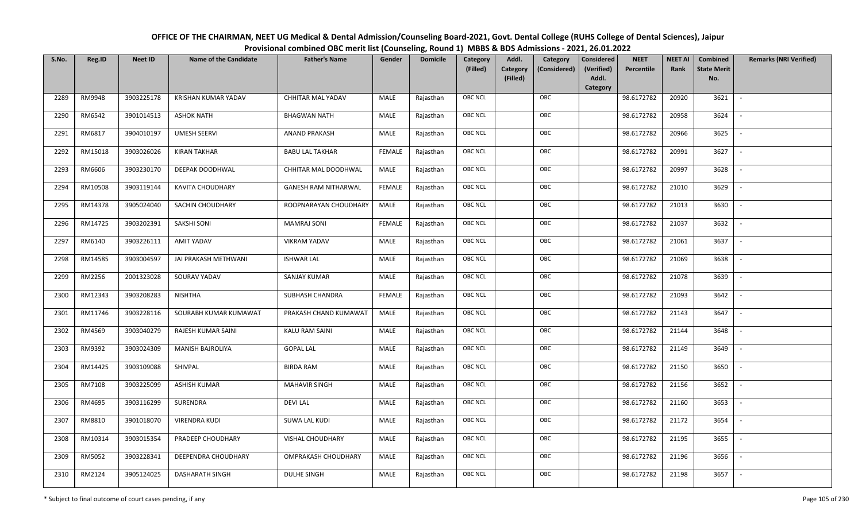| OFFICE OF THE CHAIRMAN, NEET UG Medical & Dental Admission/Counseling Board-2021, Govt. Dental College (RUHS College of Dental Sciences), Jaipur |
|--------------------------------------------------------------------------------------------------------------------------------------------------|
| Provisional combined OBC merit list (Counseling, Round 1) MBBS & BDS Admissions - 2021, 26.01.2022                                               |

| S.No. | Reg.ID  | <b>Neet ID</b> | <b>Name of the Candidate</b> | <b>Father's Name</b>        | Gender        | <b>Domicile</b> | Category<br>(Filled) | Addl.<br><b>Category</b><br>(Filled) | Category<br>(Considered) | <b>Considered</b><br>(Verified)<br>Addl.<br>Category | <b>NEET</b><br>Percentile | <b>NEET AI</b><br>Rank | Combined<br><b>State Merit</b><br>No. | <b>Remarks (NRI Verified)</b> |
|-------|---------|----------------|------------------------------|-----------------------------|---------------|-----------------|----------------------|--------------------------------------|--------------------------|------------------------------------------------------|---------------------------|------------------------|---------------------------------------|-------------------------------|
| 2289  | RM9948  | 3903225178     | KRISHAN KUMAR YADAV          | CHHITAR MAL YADAV           | MALE          | Rajasthan       | <b>OBC NCL</b>       |                                      | OBC                      |                                                      | 98.6172782                | 20920                  | 3621                                  | $\sim$                        |
| 2290  | RM6542  | 3901014513     | <b>ASHOK NATH</b>            | <b>BHAGWAN NATH</b>         | MALE          | Rajasthan       | OBC NCL              |                                      | OBC                      |                                                      | 98.6172782                | 20958                  | 3624                                  |                               |
| 2291  | RM6817  | 3904010197     | <b>UMESH SEERVI</b>          | <b>ANAND PRAKASH</b>        | MALE          | Rajasthan       | <b>OBC NCL</b>       |                                      | OBC                      |                                                      | 98.6172782                | 20966                  | 3625                                  | $\sim$                        |
| 2292  | RM15018 | 3903026026     | <b>KIRAN TAKHAR</b>          | <b>BABU LAL TAKHAR</b>      | <b>FEMALE</b> | Rajasthan       | <b>OBC NCL</b>       |                                      | OBC                      |                                                      | 98.6172782                | 20991                  | 3627                                  | $\overline{\phantom{a}}$      |
| 2293  | RM6606  | 3903230170     | DEEPAK DOODHWAL              | CHHITAR MAL DOODHWAL        | MALE          | Rajasthan       | OBC NCL              |                                      | OBC                      |                                                      | 98.6172782                | 20997                  | 3628                                  | $\sim$                        |
| 2294  | RM10508 | 3903119144     | <b>KAVITA CHOUDHARY</b>      | <b>GANESH RAM NITHARWAL</b> | <b>FEMALE</b> | Rajasthan       | <b>OBC NCL</b>       |                                      | OBC                      |                                                      | 98.6172782                | 21010                  | 3629                                  | $\sim$                        |
| 2295  | RM14378 | 3905024040     | SACHIN CHOUDHARY             | ROOPNARAYAN CHOUDHARY       | MALE          | Rajasthan       | OBC NCL              |                                      | OBC                      |                                                      | 98.6172782                | 21013                  | 3630                                  |                               |
| 2296  | RM14725 | 3903202391     | <b>SAKSHI SONI</b>           | <b>MAMRAJ SONI</b>          | <b>FEMALE</b> | Rajasthan       | OBC NCL              |                                      | OBC                      |                                                      | 98.6172782                | 21037                  | 3632                                  |                               |
| 2297  | RM6140  | 3903226111     | AMIT YADAV                   | <b>VIKRAM YADAV</b>         | MALE          | Rajasthan       | OBC NCL              |                                      | OBC                      |                                                      | 98.6172782                | 21061                  | 3637                                  |                               |
| 2298  | RM14585 | 3903004597     | JAI PRAKASH METHWANI         | <b>ISHWAR LAL</b>           | <b>MALE</b>   | Rajasthan       | <b>OBC NCL</b>       |                                      | OBC                      |                                                      | 98.6172782                | 21069                  | 3638                                  | $\sim$                        |
| 2299  | RM2256  | 2001323028     | SOURAV YADAV                 | SANJAY KUMAR                | MALE          | Rajasthan       | OBC NCL              |                                      | OBC                      |                                                      | 98.6172782                | 21078                  | 3639                                  |                               |
| 2300  | RM12343 | 3903208283     | <b>NISHTHA</b>               | SUBHASH CHANDRA             | <b>FEMALE</b> | Rajasthan       | <b>OBC NCL</b>       |                                      | OBC                      |                                                      | 98.6172782                | 21093                  | 3642                                  | $\overline{\phantom{a}}$      |
| 2301  | RM11746 | 3903228116     | SOURABH KUMAR KUMAWAT        | PRAKASH CHAND KUMAWAT       | MALE          | Rajasthan       | OBC NCL              |                                      | OBC                      |                                                      | 98.6172782                | 21143                  | 3647                                  |                               |
| 2302  | RM4569  | 3903040279     | RAJESH KUMAR SAINI           | KALU RAM SAINI              | MALE          | Rajasthan       | <b>OBC NCL</b>       |                                      | OBC                      |                                                      | 98.6172782                | 21144                  | 3648                                  | $\sim$                        |
| 2303  | RM9392  | 3903024309     | <b>MANISH BAJROLIYA</b>      | <b>GOPAL LAL</b>            | <b>MALE</b>   | Rajasthan       | <b>OBC NCL</b>       |                                      | OBC                      |                                                      | 98.6172782                | 21149                  | 3649                                  | $\sim$                        |
| 2304  | RM14425 | 3903109088     | SHIVPAL                      | <b>BIRDA RAM</b>            | MALE          | Rajasthan       | <b>OBC NCL</b>       |                                      | OBC                      |                                                      | 98.6172782                | 21150                  | 3650                                  | $\overline{\phantom{a}}$      |
| 2305  | RM7108  | 3903225099     | <b>ASHISH KUMAR</b>          | <b>MAHAVIR SINGH</b>        | MALE          | Rajasthan       | <b>OBC NCL</b>       |                                      | OBC                      |                                                      | 98.6172782                | 21156                  | 3652                                  | $\overline{\phantom{a}}$      |
| 2306  | RM4695  | 3903116299     | SURENDRA                     | <b>DEVILAL</b>              | <b>MALE</b>   | Rajasthan       | <b>OBC NCL</b>       |                                      | OBC                      |                                                      | 98.6172782                | 21160                  | 3653                                  |                               |
| 2307  | RM8810  | 3901018070     | <b>VIRENDRA KUDI</b>         | SUWA LAL KUDI               | MALE          | Rajasthan       | OBC NCL              |                                      | OBC                      |                                                      | 98.6172782                | 21172                  | 3654                                  |                               |
| 2308  | RM10314 | 3903015354     | PRADEEP CHOUDHARY            | <b>VISHAL CHOUDHARY</b>     | <b>MALE</b>   | Rajasthan       | <b>OBC NCL</b>       |                                      | OBC                      |                                                      | 98.6172782                | 21195                  | 3655                                  |                               |
| 2309  | RM5052  | 3903228341     | DEEPENDRA CHOUDHARY          | OMPRAKASH CHOUDHARY         | <b>MALE</b>   | Rajasthan       | OBC NCL              |                                      | OBC                      |                                                      | 98.6172782                | 21196                  | 3656                                  |                               |
| 2310  | RM2124  | 3905124025     | <b>DASHARATH SINGH</b>       | <b>DULHE SINGH</b>          | <b>MALE</b>   | Rajasthan       | OBC NCL              |                                      | OBC                      |                                                      | 98.6172782                | 21198                  | 3657                                  |                               |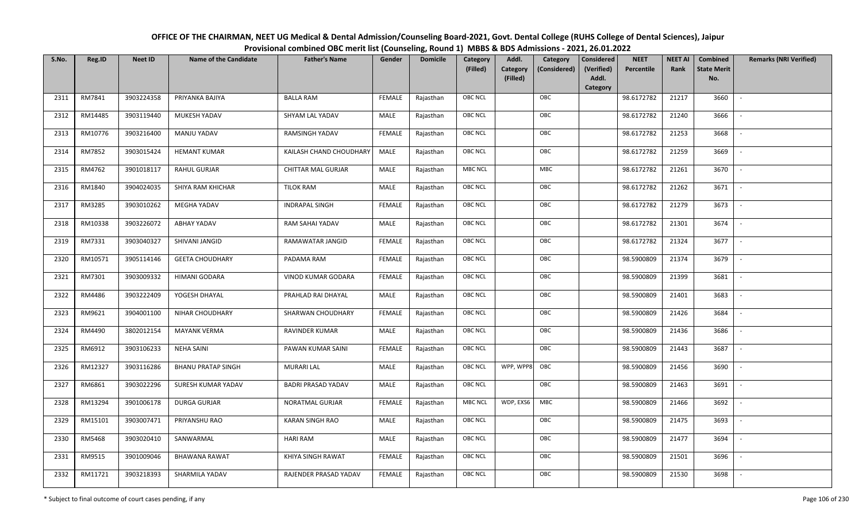| OFFICE OF THE CHAIRMAN, NEET UG Medical & Dental Admission/Counseling Board-2021, Govt. Dental College (RUHS College of Dental Sciences), Jaipur |
|--------------------------------------------------------------------------------------------------------------------------------------------------|
| Provisional combined OBC merit list (Counseling, Round 1) MBBS & BDS Admissions - 2021, 26.01.2022                                               |

| S.No. | Reg.ID  | <b>Neet ID</b> | <b>Name of the Candidate</b> | <b>Father's Name</b>      | Gender        | <b>Domicile</b> | Category<br>(Filled) | Addl.<br>Category<br>Category<br>(Considered) | <b>Considered</b><br>(Verified) | <b>NEET</b><br>Percentile | <b>NEET AI</b><br>Rank | Combined<br><b>State Merit</b> | <b>Remarks (NRI Verified)</b> |
|-------|---------|----------------|------------------------------|---------------------------|---------------|-----------------|----------------------|-----------------------------------------------|---------------------------------|---------------------------|------------------------|--------------------------------|-------------------------------|
|       |         |                |                              |                           |               |                 |                      | (Filled)                                      | Addl.<br>Category               |                           |                        | No.                            |                               |
| 2311  | RM7841  | 3903224358     | PRIYANKA BAJIYA              | <b>BALLA RAM</b>          | FEMALE        | Rajasthan       | <b>OBC NCL</b>       | OBC                                           |                                 | 98.6172782                | 21217                  | 3660                           | $\sim$                        |
| 2312  | RM14485 | 3903119440     | MUKESH YADAV                 | SHYAM LAL YADAV           | MALE          | Rajasthan       | <b>OBC NCL</b>       | OBC                                           |                                 | 98.6172782                | 21240                  | 3666                           |                               |
| 2313  | RM10776 | 3903216400     | MANJU YADAV                  | <b>RAMSINGH YADAV</b>     | <b>FEMALE</b> | Rajasthan       | OBC NCL              | OBC                                           |                                 | 98.6172782                | 21253                  | 3668                           |                               |
| 2314  | RM7852  | 3903015424     | <b>HEMANT KUMAR</b>          | KAILASH CHAND CHOUDHARY   | MALE          | Rajasthan       | <b>OBC NCL</b>       | OBC                                           |                                 | 98.6172782                | 21259                  | 3669                           | $\overline{\phantom{a}}$      |
| 2315  | RM4762  | 3901018117     | RAHUL GURJAR                 | <b>CHITTAR MAL GURJAR</b> | <b>MALE</b>   | Rajasthan       | <b>MBC NCL</b>       | <b>MBC</b>                                    |                                 | 98.6172782                | 21261                  | 3670                           | $\sim$                        |
| 2316  | RM1840  | 3904024035     | SHIYA RAM KHICHAR            | <b>TILOK RAM</b>          | MALE          | Rajasthan       | <b>OBC NCL</b>       | OBC                                           |                                 | 98.6172782                | 21262                  | 3671                           | $\overline{\phantom{a}}$      |
| 2317  | RM3285  | 3903010262     | MEGHA YADAV                  | <b>INDRAPAL SINGH</b>     | <b>FEMALE</b> | Rajasthan       | OBC NCL              | OBC                                           |                                 | 98.6172782                | 21279                  | 3673                           | $\overline{\phantom{a}}$      |
| 2318  | RM10338 | 3903226072     | ABHAY YADAV                  | RAM SAHAI YADAV           | MALE          | Rajasthan       | OBC NCL              | OBC                                           |                                 | 98.6172782                | 21301                  | 3674                           |                               |
| 2319  | RM7331  | 3903040327     | SHIVANI JANGID               | RAMAWATAR JANGID          | <b>FEMALE</b> | Rajasthan       | OBC NCL              | OBC                                           |                                 | 98.6172782                | 21324                  | 3677                           |                               |
| 2320  | RM10571 | 3905114146     | <b>GEETA CHOUDHARY</b>       | PADAMA RAM                | <b>FEMALE</b> | Rajasthan       | <b>OBC NCL</b>       | OBC                                           |                                 | 98.5900809                | 21374                  | 3679                           | $\overline{\phantom{a}}$      |
| 2321  | RM7301  | 3903009332     | HIMANI GODARA                | VINOD KUMAR GODARA        | <b>FEMALE</b> | Rajasthan       | OBC NCL              | OBC                                           |                                 | 98.5900809                | 21399                  | 3681                           |                               |
| 2322  | RM4486  | 3903222409     | YOGESH DHAYAL                | PRAHLAD RAI DHAYAL        | <b>MALE</b>   | Rajasthan       | OBC NCL              | OBC                                           |                                 | 98.5900809                | 21401                  | 3683                           | $\overline{\phantom{a}}$      |
| 2323  | RM9621  | 3904001100     | NIHAR CHOUDHARY              | SHARWAN CHOUDHARY         | <b>FEMALE</b> | Rajasthan       | <b>OBC NCL</b>       | OBC                                           |                                 | 98.5900809                | 21426                  | 3684                           |                               |
| 2324  | RM4490  | 3802012154     | <b>MAYANK VERMA</b>          | <b>RAVINDER KUMAR</b>     | MALE          | Rajasthan       | OBC NCL              | OBC                                           |                                 | 98.5900809                | 21436                  | 3686                           | $\overline{\phantom{a}}$      |
| 2325  | RM6912  | 3903106233     | NEHA SAINI                   | PAWAN KUMAR SAINI         | <b>FEMALE</b> | Rajasthan       | <b>OBC NCL</b>       | OBC                                           |                                 | 98.5900809                | 21443                  | 3687                           | $\overline{\phantom{a}}$      |
| 2326  | RM12327 | 3903116286     | <b>BHANU PRATAP SINGH</b>    | <b>MURARI LAL</b>         | MALE          | Rajasthan       | <b>OBC NCL</b>       | WPP, WPP8<br>OBC                              |                                 | 98.5900809                | 21456                  | 3690                           | $\sim$                        |
| 2327  | RM6861  | 3903022296     | SURESH KUMAR YADAV           | <b>BADRI PRASAD YADAV</b> | MALE          | Rajasthan       | <b>OBC NCL</b>       | OBC                                           |                                 | 98.5900809                | 21463                  | 3691                           | $\overline{\phantom{a}}$      |
| 2328  | RM13294 | 3901006178     | <b>DURGA GURJAR</b>          | NORATMAL GURJAR           | <b>FEMALE</b> | Rajasthan       | <b>MBC NCL</b>       | WDP, EXS6<br>MBC                              |                                 | 98.5900809                | 21466                  | 3692                           | $\sim$                        |
| 2329  | RM15101 | 3903007471     | PRIYANSHU RAO                | <b>KARAN SINGH RAO</b>    | MALE          | Rajasthan       | OBC NCL              | OBC                                           |                                 | 98.5900809                | 21475                  | 3693                           |                               |
| 2330  | RM5468  | 3903020410     | SANWARMAL                    | <b>HARI RAM</b>           | MALE          | Rajasthan       | <b>OBC NCL</b>       | OBC                                           |                                 | 98.5900809                | 21477                  | 3694                           |                               |
| 2331  | RM9515  | 3901009046     | <b>BHAWANA RAWAT</b>         | KHIYA SINGH RAWAT         | <b>FEMALE</b> | Rajasthan       | <b>OBC NCL</b>       | OBC                                           |                                 | 98.5900809                | 21501                  | 3696                           |                               |
| 2332  | RM11721 | 3903218393     | SHARMILA YADAV               | RAJENDER PRASAD YADAV     | FEMALE        | Rajasthan       | OBC NCL              | OBC                                           |                                 | 98.5900809                | 21530                  | 3698                           |                               |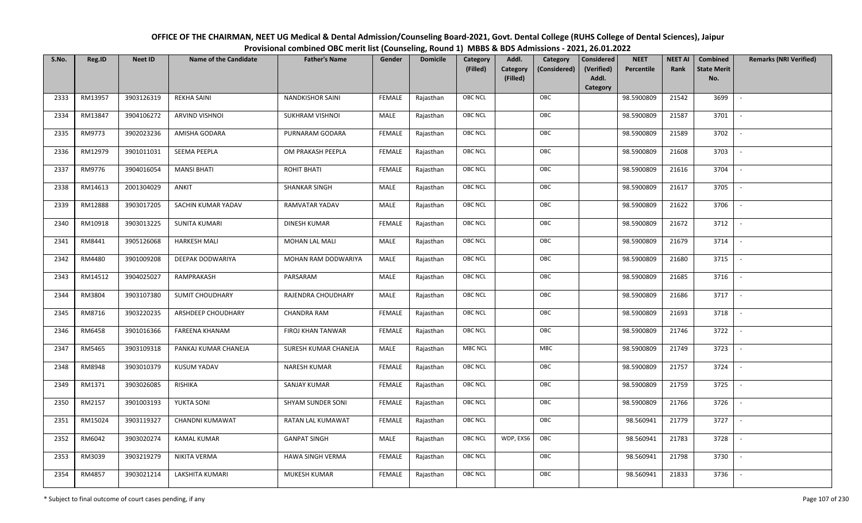| OFFICE OF THE CHAIRMAN, NEET UG Medical & Dental Admission/Counseling Board-2021, Govt. Dental College (RUHS College of Dental Sciences), Jaipur |
|--------------------------------------------------------------------------------------------------------------------------------------------------|
| Provisional combined OBC merit list (Counseling, Round 1) MBBS & BDS Admissions - 2021, 26.01.2022                                               |

| S.No. | Reg.ID  | <b>Neet ID</b> | <b>Name of the Candidate</b> | <b>Father's Name</b>    | Gender        | <b>Domicile</b> | Category<br>(Filled) | Addl.<br>Category<br>(Filled) | Category<br>(Considered) | <b>Considered</b><br>(Verified)<br>Addl. | <b>NEET</b><br>Percentile | <b>NEET AI</b><br>Rank | Combined<br><b>State Merit</b><br>No. | <b>Remarks (NRI Verified)</b> |
|-------|---------|----------------|------------------------------|-------------------------|---------------|-----------------|----------------------|-------------------------------|--------------------------|------------------------------------------|---------------------------|------------------------|---------------------------------------|-------------------------------|
| 2333  | RM13957 | 3903126319     | <b>REKHA SAINI</b>           | <b>NANDKISHOR SAINI</b> | <b>FEMALE</b> | Rajasthan       | OBC NCL              |                               | OBC                      | Category                                 | 98.5900809                | 21542                  | 3699                                  | $\blacksquare$                |
| 2334  | RM13847 | 3904106272     | ARVIND VISHNOI               | SUKHRAM VISHNOI         | MALE          | Rajasthan       | OBC NCL              |                               | OBC                      |                                          | 98.5900809                | 21587                  | 3701                                  |                               |
| 2335  | RM9773  | 3902023236     | AMISHA GODARA                | PURNARAM GODARA         | <b>FEMALE</b> | Rajasthan       | <b>OBC NCL</b>       |                               | OBC                      |                                          | 98.5900809                | 21589                  | 3702                                  | $\sim$                        |
| 2336  | RM12979 | 3901011031     | SEEMA PEEPLA                 | OM PRAKASH PEEPLA       | <b>FEMALE</b> | Rajasthan       | OBC NCL              |                               | OBC                      |                                          | 98.5900809                | 21608                  | 3703                                  | $\overline{\phantom{a}}$      |
| 2337  | RM9776  | 3904016054     | <b>MANSI BHATI</b>           | ROHIT BHATI             | <b>FEMALE</b> | Rajasthan       | OBC NCL              |                               | OBC                      |                                          | 98.5900809                | 21616                  | 3704                                  | $\sim$                        |
| 2338  | RM14613 | 2001304029     | ANKIT                        | <b>SHANKAR SINGH</b>    | MALE          | Rajasthan       | OBC NCL              |                               | OBC                      |                                          | 98.5900809                | 21617                  | 3705                                  | $\sim$                        |
| 2339  | RM12888 | 3903017205     | SACHIN KUMAR YADAV           | <b>RAMVATAR YADAV</b>   | MALE          | Rajasthan       | OBC NCL              |                               | OBC                      |                                          | 98.5900809                | 21622                  | 3706                                  | $\overline{\phantom{a}}$      |
| 2340  | RM10918 | 3903013225     | <b>SUNITA KUMARI</b>         | <b>DINESH KUMAR</b>     | FEMALE        | Rajasthan       | OBC NCL              |                               | OBC                      |                                          | 98.5900809                | 21672                  | 3712                                  |                               |
| 2341  | RM8441  | 3905126068     | <b>HARKESH MALI</b>          | MOHAN LAL MALI          | MALE          | Rajasthan       | OBC NCL              |                               | OBC                      |                                          | 98.5900809                | 21679                  | 3714                                  |                               |
| 2342  | RM4480  | 3901009208     | DEEPAK DODWARIYA             | MOHAN RAM DODWARIYA     | MALE          | Rajasthan       | OBC NCL              |                               | OBC                      |                                          | 98.5900809                | 21680                  | 3715                                  | $\overline{\phantom{a}}$      |
| 2343  | RM14512 | 3904025027     | RAMPRAKASH                   | PARSARAM                | MALE          | Rajasthan       | <b>OBC NCL</b>       |                               | OBC                      |                                          | 98.5900809                | 21685                  | 3716                                  |                               |
| 2344  | RM3804  | 3903107380     | <b>SUMIT CHOUDHARY</b>       | RAJENDRA CHOUDHARY      | MALE          | Rajasthan       | OBC NCL              |                               | OBC                      |                                          | 98.5900809                | 21686                  | 3717                                  | $\overline{\phantom{a}}$      |
| 2345  | RM8716  | 3903220235     | ARSHDEEP CHOUDHARY           | <b>CHANDRA RAM</b>      | FEMALE        | Rajasthan       | OBC NCL              |                               | OBC                      |                                          | 98.5900809                | 21693                  | 3718                                  |                               |
| 2346  | RM6458  | 3901016366     | <b>FAREENA KHANAM</b>        | FIROJ KHAN TANWAR       | <b>FEMALE</b> | Rajasthan       | OBC NCL              |                               | OBC                      |                                          | 98.5900809                | 21746                  | 3722                                  | $\sim$                        |
| 2347  | RM5465  | 3903109318     | PANKAJ KUMAR CHANEJA         | SURESH KUMAR CHANEJA    | MALE          | Rajasthan       | MBC NCL              |                               | <b>MBC</b>               |                                          | 98.5900809                | 21749                  | 3723                                  | $\overline{\phantom{a}}$      |
| 2348  | RM8948  | 3903010379     | KUSUM YADAV                  | <b>NARESH KUMAR</b>     | <b>FEMALE</b> | Rajasthan       | OBC NCL              |                               | OBC                      |                                          | 98.5900809                | 21757                  | 3724                                  | $\sim$                        |
| 2349  | RM1371  | 3903026085     | RISHIKA                      | <b>SANJAY KUMAR</b>     | <b>FEMALE</b> | Rajasthan       | OBC NCL              |                               | OBC                      |                                          | 98.5900809                | 21759                  | 3725                                  | $\overline{\phantom{a}}$      |
| 2350  | RM2157  | 3901003193     | YUKTA SONI                   | SHYAM SUNDER SONI       | <b>FEMALE</b> | Rajasthan       | OBC NCL              |                               | OBC                      |                                          | 98.5900809                | 21766                  | 3726                                  |                               |
| 2351  | RM15024 | 3903119327     | CHANDNI KUMAWAT              | RATAN LAL KUMAWAT       | <b>FEMALE</b> | Rajasthan       | <b>OBC NCL</b>       |                               | OBC                      |                                          | 98.560941                 | 21779                  | 3727                                  |                               |
| 2352  | RM6042  | 3903020274     | <b>KAMAL KUMAR</b>           | <b>GANPAT SINGH</b>     | MALE          | Rajasthan       | OBC NCL              | WDP, EXS6                     | OBC                      |                                          | 98.560941                 | 21783                  | 3728                                  |                               |
| 2353  | RM3039  | 3903219279     | NIKITA VERMA                 | HAWA SINGH VERMA        | <b>FEMALE</b> | Rajasthan       | OBC NCL              |                               | OBC                      |                                          | 98.560941                 | 21798                  | 3730                                  |                               |
| 2354  | RM4857  | 3903021214     | LAKSHITA KUMARI              | MUKESH KUMAR            | <b>FEMALE</b> | Rajasthan       | OBC NCL              |                               | OBC                      |                                          | 98.560941                 | 21833                  | 3736                                  |                               |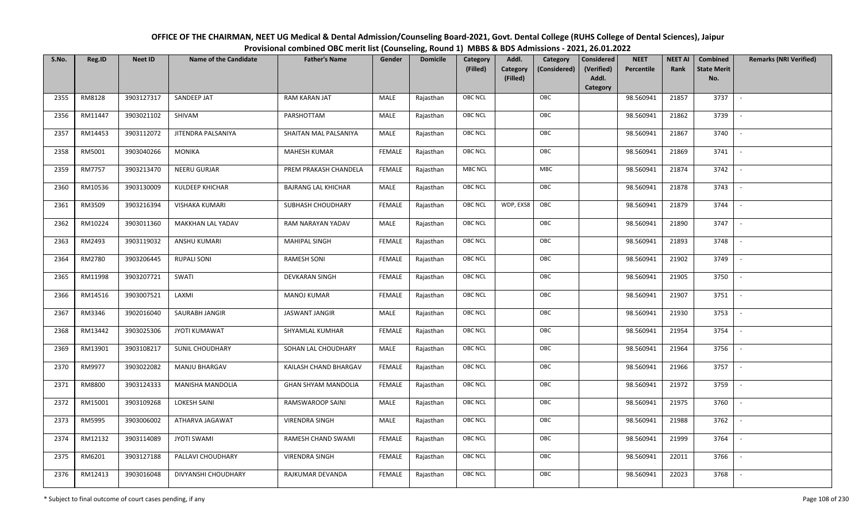| OFFICE OF THE CHAIRMAN, NEET UG Medical & Dental Admission/Counseling Board-2021, Govt. Dental College (RUHS College of Dental Sciences), Jaipur |
|--------------------------------------------------------------------------------------------------------------------------------------------------|
| Provisional combined OBC merit list (Counseling, Round 1) MBBS & BDS Admissions - 2021, 26.01.2022                                               |

| S.No. | Reg.ID  | <b>Neet ID</b> | <b>Name of the Candidate</b> | <b>Father's Name</b>       | Gender        | <b>Domicile</b> | Category<br>(Filled) | Addl.<br><b>Category</b><br>(Filled) | Category<br>(Considered) | <b>Considered</b><br>(Verified)<br>Addl. | <b>NEET</b><br>Percentile | <b>NEET AI</b><br>Rank | Combined<br><b>State Merit</b><br>No. | <b>Remarks (NRI Verified)</b> |
|-------|---------|----------------|------------------------------|----------------------------|---------------|-----------------|----------------------|--------------------------------------|--------------------------|------------------------------------------|---------------------------|------------------------|---------------------------------------|-------------------------------|
| 2355  | RM8128  | 3903127317     | SANDEEP JAT                  | RAM KARAN JAT              | MALE          | Rajasthan       | <b>OBC NCL</b>       |                                      | OBC                      | <b>Category</b>                          | 98.560941                 | 21857                  | 3737                                  | $\sim$                        |
| 2356  | RM11447 | 3903021102     | SHIVAM                       | PARSHOTTAM                 | MALE          | Rajasthan       | OBC NCL              |                                      | OBC                      |                                          | 98.560941                 | 21862                  | 3739                                  |                               |
| 2357  | RM14453 | 3903112072     | JITENDRA PALSANIYA           | SHAITAN MAL PALSANIYA      | MALE          | Rajasthan       | OBC NCL              |                                      | OBC                      |                                          | 98.560941                 | 21867                  | 3740                                  |                               |
| 2358  | RM5001  | 3903040266     | <b>MONIKA</b>                | <b>MAHESH KUMAR</b>        | <b>FEMALE</b> | Rajasthan       | OBC NCL              |                                      | OBC                      |                                          | 98.560941                 | 21869                  | 3741                                  | $\overline{\phantom{a}}$      |
| 2359  | RM7757  | 3903213470     | NEERU GURJAR                 | PREM PRAKASH CHANDELA      | <b>FEMALE</b> | Rajasthan       | <b>MBC NCL</b>       |                                      | MBC                      |                                          | 98.560941                 | 21874                  | 3742                                  | $\sim$                        |
| 2360  | RM10536 | 3903130009     | <b>KULDEEP KHICHAR</b>       | <b>BAJRANG LAL KHICHAR</b> | MALE          | Rajasthan       | <b>OBC NCL</b>       |                                      | OBC                      |                                          | 98.560941                 | 21878                  | 3743                                  | $\sim$                        |
| 2361  | RM3509  | 3903216394     | <b>VISHAKA KUMARI</b>        | SUBHASH CHOUDHARY          | <b>FEMALE</b> | Rajasthan       | <b>OBC NCL</b>       | WDP, EXS8                            | OBC                      |                                          | 98.560941                 | 21879                  | 3744                                  | $\overline{\phantom{a}}$      |
| 2362  | RM10224 | 3903011360     | MAKKHAN LAL YADAV            | RAM NARAYAN YADAV          | MALE          | Rajasthan       | OBC NCL              |                                      | OBC                      |                                          | 98.560941                 | 21890                  | 3747                                  |                               |
| 2363  | RM2493  | 3903119032     | <b>ANSHU KUMARI</b>          | MAHIPAL SINGH              | <b>FEMALE</b> | Rajasthan       | OBC NCL              |                                      | OBC                      |                                          | 98.560941                 | 21893                  | 3748                                  |                               |
| 2364  | RM2780  | 3903206445     | <b>RUPALI SONI</b>           | <b>RAMESH SONI</b>         | <b>FEMALE</b> | Rajasthan       | OBC NCL              |                                      | OBC                      |                                          | 98.560941                 | 21902                  | 3749                                  | $\overline{\phantom{a}}$      |
| 2365  | RM11998 | 3903207721     | SWATI                        | <b>DEVKARAN SINGH</b>      | <b>FEMALE</b> | Rajasthan       | <b>OBC NCL</b>       |                                      | OBC                      |                                          | 98.560941                 | 21905                  | 3750                                  |                               |
| 2366  | RM14516 | 3903007521     | LAXMI                        | MANOJ KUMAR                | <b>FEMALE</b> | Rajasthan       | OBC NCL              |                                      | OBC                      |                                          | 98.560941                 | 21907                  | 3751                                  | $\overline{\phantom{a}}$      |
| 2367  | RM3346  | 3902016040     | SAURABH JANGIR               | <b>JASWANT JANGIR</b>      | MALE          | Rajasthan       | <b>OBC NCL</b>       |                                      | OBC                      |                                          | 98.560941                 | 21930                  | 3753                                  |                               |
| 2368  | RM13442 | 3903025306     | <b>JYOTI KUMAWAT</b>         | SHYAMLAL KUMHAR            | <b>FEMALE</b> | Rajasthan       | OBC NCL              |                                      | OBC                      |                                          | 98.560941                 | 21954                  | 3754                                  | $\overline{\phantom{a}}$      |
| 2369  | RM13901 | 3903108217     | <b>SUNIL CHOUDHARY</b>       | SOHAN LAL CHOUDHARY        | <b>MALE</b>   | Rajasthan       | OBC NCL              |                                      | OBC                      |                                          | 98.560941                 | 21964                  | 3756                                  | $\overline{\phantom{a}}$      |
| 2370  | RM9977  | 3903022082     | MANJU BHARGAV                | KAILASH CHAND BHARGAV      | <b>FEMALE</b> | Rajasthan       | <b>OBC NCL</b>       |                                      | OBC                      |                                          | 98.560941                 | 21966                  | 3757                                  | $\overline{\phantom{a}}$      |
| 2371  | RM8800  | 3903124333     | MANISHA MANDOLIA             | GHAN SHYAM MANDOLIA        | <b>FEMALE</b> | Rajasthan       | <b>OBC NCL</b>       |                                      | OBC                      |                                          | 98.560941                 | 21972                  | 3759                                  | $\overline{\phantom{a}}$      |
| 2372  | RM15001 | 3903109268     | <b>LOKESH SAINI</b>          | RAMSWAROOP SAINI           | MALE          | Rajasthan       | OBC NCL              |                                      | OBC                      |                                          | 98.560941                 | 21975                  | 3760                                  |                               |
| 2373  | RM5995  | 3903006002     | ATHARVA JAGAWAT              | <b>VIRENDRA SINGH</b>      | MALE          | Rajasthan       | <b>OBC NCL</b>       |                                      | OBC                      |                                          | 98.560941                 | 21988                  | 3762                                  |                               |
| 2374  | RM12132 | 3903114089     | <b>JYOTI SWAMI</b>           | RAMESH CHAND SWAMI         | <b>FEMALE</b> | Rajasthan       | OBC NCL              |                                      | OBC                      |                                          | 98.560941                 | 21999                  | 3764                                  | $\blacksquare$                |
| 2375  | RM6201  | 3903127188     | PALLAVI CHOUDHARY            | <b>VIRENDRA SINGH</b>      | <b>FEMALE</b> | Rajasthan       | <b>OBC NCL</b>       |                                      | OBC                      |                                          | 98.560941                 | 22011                  | 3766                                  |                               |
| 2376  | RM12413 | 3903016048     | DIVYANSHI CHOUDHARY          | RAJKUMAR DEVANDA           | <b>FEMALE</b> | Rajasthan       | <b>OBC NCL</b>       |                                      | OBC                      |                                          | 98.560941                 | 22023                  | 3768                                  |                               |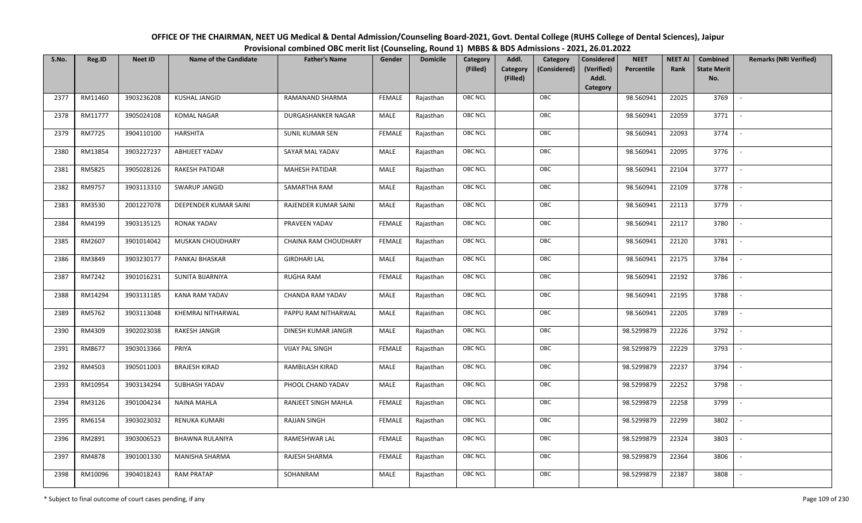| OFFICE OF THE CHAIRMAN, NEET UG Medical & Dental Admission/Counseling Board-2021, Govt. Dental College (RUHS College of Dental Sciences), Jaipur |
|--------------------------------------------------------------------------------------------------------------------------------------------------|
| Provisional combined OBC merit list (Counseling, Round 1) MBBS & BDS Admissions - 2021, 26.01.2022                                               |

| S.No. | Reg.ID  | <b>Neet ID</b> | <b>Name of the Candidate</b> | <b>Father's Name</b>    | Gender        | <b>Domicile</b> | Category<br>(Filled) | Addl.<br><b>Category</b><br>(Filled) | Category<br>(Considered) | <b>NEET</b><br><b>Considered</b><br>(Verified)<br>Percentile<br>Addl. | <b>NEET AI</b><br>Rank | Combined<br><b>State Merit</b><br>No. | <b>Remarks (NRI Verified)</b> |
|-------|---------|----------------|------------------------------|-------------------------|---------------|-----------------|----------------------|--------------------------------------|--------------------------|-----------------------------------------------------------------------|------------------------|---------------------------------------|-------------------------------|
|       |         |                |                              |                         |               |                 |                      |                                      |                          | Category                                                              |                        |                                       |                               |
| 2377  | RM11460 | 3903236208     | <b>KUSHAL JANGID</b>         | RAMANAND SHARMA         | FEMALE        | Rajasthan       | <b>OBC NCL</b>       |                                      | OBC                      | 98.560941                                                             | 22025                  | 3769                                  | $\sim$                        |
| 2378  | RM11777 | 3905024108     | <b>KOMAL NAGAR</b>           | DURGASHANKER NAGAR      | MALE          | Rajasthan       | OBC NCL              |                                      | OBC                      | 98.560941                                                             | 22059                  | 3771                                  |                               |
| 2379  | RM7725  | 3904110100     | HARSHITA                     | SUNIL KUMAR SEN         | <b>FEMALE</b> | Rajasthan       | OBC NCL              |                                      | OBC                      | 98.560941                                                             | 22093                  | 3774                                  | $\overline{\phantom{a}}$      |
| 2380  | RM13854 | 3903227237     | ABHIJEET YADAV               | SAYAR MAL YADAV         | MALE          | Rajasthan       | OBC NCL              |                                      | OBC                      | 98.560941                                                             | 22095                  | 3776                                  | $\overline{\phantom{a}}$      |
| 2381  | RM5825  | 3905028126     | RAKESH PATIDAR               | <b>MAHESH PATIDAR</b>   | MALE          | Rajasthan       | <b>OBC NCL</b>       |                                      | OBC                      | 98.560941                                                             | 22104                  | 3777                                  | $\sim$                        |
| 2382  | RM9757  | 3903113310     | SWARUP JANGID                | SAMARTHA RAM            | MALE          | Rajasthan       | OBC NCL              |                                      | OBC                      | 98.560941                                                             | 22109                  | 3778                                  | $\overline{\phantom{a}}$      |
| 2383  | RM3530  | 2001227078     | DEEPENDER KUMAR SAINI        | RAJENDER KUMAR SAINI    | <b>MALE</b>   | Rajasthan       | <b>OBC NCL</b>       |                                      | OBC                      | 98.560941                                                             | 22113                  | 3779                                  | $\sim$                        |
| 2384  | RM4199  | 3903135125     | <b>RONAK YADAV</b>           | PRAVEEN YADAV           | <b>FEMALE</b> | Rajasthan       | OBC NCL              |                                      | OBC                      | 98.560941                                                             | 22117                  | 3780                                  |                               |
| 2385  | RM2607  | 3901014042     | MUSKAN CHOUDHARY             | CHAINA RAM CHOUDHARY    | <b>FEMALE</b> | Rajasthan       | OBC NCL              |                                      | OBC                      | 98.560941                                                             | 22120                  | 3781                                  |                               |
| 2386  | RM3849  | 3903230177     | PANKAJ BHASKAR               | <b>GIRDHARI LAL</b>     | <b>MALE</b>   | Rajasthan       | <b>OBC NCL</b>       |                                      | OBC                      | 98.560941                                                             | 22175                  | 3784                                  |                               |
| 2387  | RM7242  | 3901016231     | SUNITA BIJARNIYA             | <b>RUGHA RAM</b>        | <b>FEMALE</b> | Rajasthan       | OBC NCL              |                                      | OBC                      | 98.560941                                                             | 22192                  | 3786                                  |                               |
| 2388  | RM14294 | 3903131185     | KANA RAM YADAV               | <b>CHANDA RAM YADAV</b> | <b>MALE</b>   | Rajasthan       | OBC NCL              |                                      | OBC                      | 98.560941                                                             | 22195                  | 3788                                  | $\sim$                        |
| 2389  | RM5762  | 3903113048     | KHEMRAJ NITHARWAL            | PAPPU RAM NITHARWAL     | MALE          | Rajasthan       | OBC NCL              |                                      | OBC                      | 98.560941                                                             | 22205                  | 3789                                  |                               |
| 2390  | RM4309  | 3902023038     | RAKESH JANGIR                | DINESH KUMAR JANGIR     | <b>MALE</b>   | Rajasthan       | OBC NCL              |                                      | OBC                      | 98.5299879                                                            | 22226                  | 3792                                  | $\overline{\phantom{a}}$      |
| 2391  | RM8677  | 3903013366     | PRIYA                        | <b>VIJAY PAL SINGH</b>  | <b>FEMALE</b> | Rajasthan       | OBC NCL              |                                      | OBC                      | 98.5299879                                                            | 22229                  | 3793                                  | $\overline{\phantom{a}}$      |
| 2392  | RM4503  | 3905011003     | <b>BRAJESH KIRAD</b>         | RAMBILASH KIRAD         | <b>MALE</b>   | Rajasthan       | <b>OBC NCL</b>       |                                      | OBC                      | 98.5299879                                                            | 22237                  | 3794                                  | $\sim$                        |
| 2393  | RM10954 | 3903134294     | SUBHASH YADAV                | PHOOL CHAND YADAV       | MALE          | Rajasthan       | OBC NCL              |                                      | OBC                      | 98.5299879                                                            | 22252                  | 3798                                  | $\overline{\phantom{a}}$      |
| 2394  | RM3126  | 3901004234     | NAINA MAHLA                  | RANJEET SINGH MAHLA     | FEMALE        | Rajasthan       | OBC NCL              |                                      | OBC                      | 98.5299879                                                            | 22258                  | 3799                                  | $\overline{\phantom{a}}$      |
| 2395  | RM6154  | 3903023032     | RENUKA KUMARI                | <b>RAJJAN SINGH</b>     | <b>FEMALE</b> | Rajasthan       | OBC NCL              |                                      | OBC                      | 98.5299879                                                            | 22299                  | 3802                                  |                               |
| 2396  | RM2891  | 3903006523     | <b>BHAWNA RULANIYA</b>       | RAMESHWAR LAL           | <b>FEMALE</b> | Rajasthan       | OBC NCL              |                                      | OBC                      | 98.5299879                                                            | 22324                  | 3803                                  |                               |
| 2397  | RM4878  | 3901001330     | <b>MANISHA SHARMA</b>        | RAJESH SHARMA           | <b>FEMALE</b> | Rajasthan       | <b>OBC NCL</b>       |                                      | OBC                      | 98.5299879                                                            | 22364                  | 3806                                  | $\overline{\phantom{a}}$      |
| 2398  | RM10096 | 3904018243     | <b>RAM PRATAP</b>            | SOHANRAM                | MALE          | Rajasthan       | OBC NCL              |                                      | OBC                      | 98.5299879                                                            | 22387                  | 3808                                  |                               |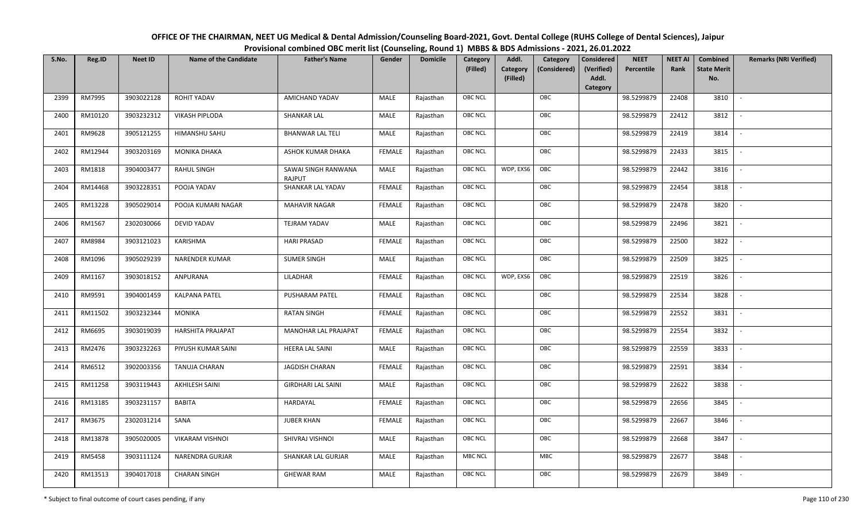| OFFICE OF THE CHAIRMAN, NEET UG Medical & Dental Admission/Counseling Board-2021, Govt. Dental College (RUHS College of Dental Sciences), Jaipur |
|--------------------------------------------------------------------------------------------------------------------------------------------------|
| Provisional combined OBC merit list (Counseling, Round 1) MBBS & BDS Admissions - 2021, 26.01.2022                                               |

| S.No. | Reg.ID  | <b>Neet ID</b> | <b>Name of the Candidate</b> | <b>Father's Name</b>          | Gender        | <b>Domicile</b> | Category       | Addl.                | Category     | Considered          | <b>NEET</b> | <b>NEET AI</b> | Combined                  | <b>Remarks (NRI Verified)</b> |
|-------|---------|----------------|------------------------------|-------------------------------|---------------|-----------------|----------------|----------------------|--------------|---------------------|-------------|----------------|---------------------------|-------------------------------|
|       |         |                |                              |                               |               |                 | (Filled)       | Category<br>(Filled) | (Considered) | (Verified)<br>Addl. | Percentile  | Rank           | <b>State Merit</b><br>No. |                               |
|       |         |                |                              |                               |               |                 |                |                      |              | Category            |             |                |                           |                               |
| 2399  | RM7995  | 3903022128     | <b>ROHIT YADAV</b>           | AMICHAND YADAV                | MALE          | Rajasthan       | <b>OBC NCL</b> |                      | OBC          |                     | 98.5299879  | 22408          | 3810                      | $\sim$                        |
| 2400  | RM10120 | 3903232312     | <b>VIKASH PIPLODA</b>        | <b>SHANKAR LAL</b>            | <b>MALE</b>   | Rajasthan       | OBC NCL        |                      | OBC          |                     | 98.5299879  | 22412          | 3812                      |                               |
| 2401  | RM9628  | 3905121255     | <b>HIMANSHU SAHU</b>         | <b>BHANWAR LAL TELI</b>       | MALE          | Rajasthan       | OBC NCL        |                      | OBC          |                     | 98.5299879  | 22419          | 3814                      | $\overline{\phantom{a}}$      |
| 2402  | RM12944 | 3903203169     | <b>MONIKA DHAKA</b>          | ASHOK KUMAR DHAKA             | <b>FEMALE</b> | Rajasthan       | <b>OBC NCL</b> |                      | OBC          |                     | 98.5299879  | 22433          | 3815                      | $\overline{\phantom{a}}$      |
| 2403  | RM1818  | 3904003477     | <b>RAHUL SINGH</b>           | SAWAI SINGH RANWANA<br>RAJPUT | MALE          | Rajasthan       | <b>OBC NCL</b> | WDP, EXS6            | OBC          |                     | 98.5299879  | 22442          | 3816                      | $\sim$                        |
| 2404  | RM14468 | 3903228351     | POOJA YADAV                  | SHANKAR LAL YADAV             | <b>FEMALE</b> | Rajasthan       | <b>OBC NCL</b> |                      | OBC          |                     | 98.5299879  | 22454          | 3818                      | $\overline{\phantom{a}}$      |
| 2405  | RM13228 | 3905029014     | POOJA KUMARI NAGAR           | <b>MAHAVIR NAGAR</b>          | <b>FEMALE</b> | Rajasthan       | OBC NCL        |                      | OBC          |                     | 98.5299879  | 22478          | 3820                      |                               |
| 2406  | RM1567  | 2302030066     | DEVID YADAV                  | <b>TEJRAM YADAV</b>           | MALE          | Rajasthan       | OBC NCL        |                      | OBC          |                     | 98.5299879  | 22496          | 3821                      |                               |
| 2407  | RM8984  | 3903121023     | KARISHMA                     | <b>HARI PRASAD</b>            | <b>FEMALE</b> | Rajasthan       | OBC NCL        |                      | OBC          |                     | 98.5299879  | 22500          | 3822                      |                               |
| 2408  | RM1096  | 3905029239     | <b>NARENDER KUMAR</b>        | <b>SUMER SINGH</b>            | <b>MALE</b>   | Rajasthan       | OBC NCL        |                      | OBC          |                     | 98.5299879  | 22509          | 3825                      | $\overline{\phantom{a}}$      |
| 2409  | RM1167  | 3903018152     | ANPURANA                     | LILADHAR                      | <b>FEMALE</b> | Rajasthan       | OBC NCL        | WDP, EXS6            | OBC          |                     | 98.5299879  | 22519          | 3826                      |                               |
| 2410  | RM9591  | 3904001459     | <b>KALPANA PATEL</b>         | <b>PUSHARAM PATEL</b>         | <b>FEMALE</b> | Rajasthan       | <b>OBC NCL</b> |                      | OBC          |                     | 98.5299879  | 22534          | 3828                      | $\overline{\phantom{a}}$      |
| 2411  | RM11502 | 3903232344     | <b>MONIKA</b>                | <b>RATAN SINGH</b>            | <b>FEMALE</b> | Rajasthan       | OBC NCL        |                      | OBC          |                     | 98.5299879  | 22552          | 3831                      |                               |
| 2412  | RM6695  | 3903019039     | HARSHITA PRAJAPAT            | MANOHAR LAL PRAJAPAT          | <b>FEMALE</b> | Rajasthan       | OBC NCL        |                      | OBC          |                     | 98.5299879  | 22554          | 3832                      | $\overline{\phantom{a}}$      |
| 2413  | RM2476  | 3903232263     | PIYUSH KUMAR SAINI           | <b>HEERA LAL SAINI</b>        | MALE          | Rajasthan       | <b>OBC NCL</b> |                      | OBC          |                     | 98.5299879  | 22559          | 3833                      | $\overline{\phantom{a}}$      |
| 2414  | RM6512  | 3902003356     | TANUJA CHARAN                | JAGDISH CHARAN                | <b>FEMALE</b> | Rajasthan       | OBC NCL        |                      | OBC          |                     | 98.5299879  | 22591          | 3834                      | $\overline{\phantom{a}}$      |
| 2415  | RM11258 | 3903119443     | AKHILESH SAINI               | <b>GIRDHARI LAL SAINI</b>     | MALE          | Rajasthan       | OBC NCL        |                      | OBC          |                     | 98.5299879  | 22622          | 3838                      | $\overline{\phantom{a}}$      |
| 2416  | RM13185 | 3903231157     | <b>BABITA</b>                | HARDAYAL                      | <b>FEMALE</b> | Rajasthan       | OBC NCL        |                      | OBC          |                     | 98.5299879  | 22656          | 3845                      |                               |
| 2417  | RM3675  | 2302031214     | SANA                         | <b>JUBER KHAN</b>             | <b>FEMALE</b> | Rajasthan       | <b>OBC NCL</b> |                      | OBC          |                     | 98.5299879  | 22667          | 3846                      |                               |
| 2418  | RM13878 | 3905020005     | <b>VIKARAM VISHNOI</b>       | SHIVRAJ VISHNOI               | <b>MALE</b>   | Rajasthan       | <b>OBC NCL</b> |                      | OBC          |                     | 98.5299879  | 22668          | 3847                      |                               |
| 2419  | RM5458  | 3903111124     | NARENDRA GURJAR              | SHANKAR LAL GURJAR            | MALE          | Rajasthan       | <b>MBC NCL</b> |                      | <b>MBC</b>   |                     | 98.5299879  | 22677          | 3848                      |                               |
| 2420  | RM13513 | 3904017018     | <b>CHARAN SINGH</b>          | <b>GHEWAR RAM</b>             | MALE          | Rajasthan       | OBC NCL        |                      | OBC          |                     | 98.5299879  | 22679          | 3849                      |                               |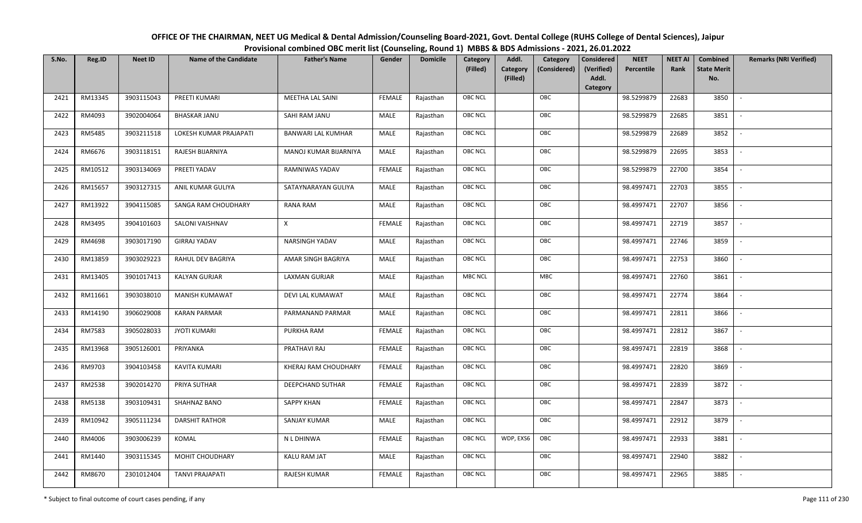| OFFICE OF THE CHAIRMAN, NEET UG Medical & Dental Admission/Counseling Board-2021, Govt. Dental College (RUHS College of Dental Sciences), Jaipur |
|--------------------------------------------------------------------------------------------------------------------------------------------------|
| Provisional combined OBC merit list (Counseling, Round 1) MBBS & BDS Admissions - 2021, 26.01.2022                                               |

| S.No. | Reg.ID  | <b>Neet ID</b> | <b>Name of the Candidate</b> | <b>Father's Name</b>      | Gender        | <b>Domicile</b> | Category<br>(Filled) | Addl.<br>Category<br><b>Category</b><br>(Considered)<br>(Filled) | <b>Considered</b><br>(Verified)<br>Addl. | <b>NEET</b><br>Percentile | <b>NEET AI</b><br>Rank | Combined<br><b>State Merit</b><br>No. | <b>Remarks (NRI Verified)</b> |
|-------|---------|----------------|------------------------------|---------------------------|---------------|-----------------|----------------------|------------------------------------------------------------------|------------------------------------------|---------------------------|------------------------|---------------------------------------|-------------------------------|
|       |         |                |                              |                           |               |                 |                      |                                                                  | Category                                 |                           |                        |                                       |                               |
| 2421  | RM13345 | 3903115043     | PREETI KUMARI                | <b>MEETHA LAL SAINI</b>   | FEMALE        | Rajasthan       | <b>OBC NCL</b>       | OBC                                                              |                                          | 98.5299879                | 22683                  | 3850                                  | $\sim$                        |
| 2422  | RM4093  | 3902004064     | <b>BHASKAR JANU</b>          | SAHI RAM JANU             | MALE          | Rajasthan       | OBC NCL              | OBC                                                              |                                          | 98.5299879                | 22685                  | 3851                                  |                               |
| 2423  | RM5485  | 3903211518     | LOKESH KUMAR PRAJAPATI       | <b>BANWARI LAL KUMHAR</b> | MALE          | Rajasthan       | <b>OBC NCL</b>       | OBC                                                              |                                          | 98.5299879                | 22689                  | 3852                                  | $\blacksquare$                |
| 2424  | RM6676  | 3903118151     | RAJESH BIJARNIYA             | MANOJ KUMAR BIJARNIYA     | MALE          | Rajasthan       | <b>OBC NCL</b>       | OBC                                                              |                                          | 98.5299879                | 22695                  | 3853                                  | $\overline{\phantom{a}}$      |
| 2425  | RM10512 | 3903134069     | PREETI YADAV                 | RAMNIWAS YADAV            | <b>FEMALE</b> | Rajasthan       | OBC NCL              | OBC                                                              |                                          | 98.5299879                | 22700                  | 3854                                  | $\overline{\phantom{a}}$      |
| 2426  | RM15657 | 3903127315     | ANIL KUMAR GULIYA            | SATAYNARAYAN GULIYA       | MALE          | Rajasthan       | <b>OBC NCL</b>       | OBC                                                              |                                          | 98.4997471                | 22703                  | 3855                                  | $\sim$                        |
| 2427  | RM13922 | 3904115085     | SANGA RAM CHOUDHARY          | RANA RAM                  | <b>MALE</b>   | Rajasthan       | OBC NCL              | OBC                                                              |                                          | 98.4997471                | 22707                  | 3856                                  | $\blacksquare$                |
| 2428  | RM3495  | 3904101603     | SALONI VAISHNAV              | X                         | <b>FEMALE</b> | Rajasthan       | OBC NCL              | OBC                                                              |                                          | 98.4997471                | 22719                  | 3857                                  |                               |
| 2429  | RM4698  | 3903017190     | <b>GIRRAJ YADAV</b>          | NARSINGH YADAV            | <b>MALE</b>   | Rajasthan       | OBC NCL              | OBC                                                              |                                          | 98.4997471                | 22746                  | 3859                                  |                               |
| 2430  | RM13859 | 3903029223     | RAHUL DEV BAGRIYA            | AMAR SINGH BAGRIYA        | MALE          | Rajasthan       | <b>OBC NCL</b>       | OBC                                                              |                                          | 98.4997471                | 22753                  | 3860                                  | $\overline{\phantom{a}}$      |
| 2431  | RM13405 | 3901017413     | <b>KALYAN GURJAR</b>         | LAXMAN GURJAR             | MALE          | Rajasthan       | <b>MBC NCL</b>       | <b>MBC</b>                                                       |                                          | 98.4997471                | 22760                  | 3861                                  |                               |
| 2432  | RM11661 | 3903038010     | <b>MANISH KUMAWAT</b>        | DEVI LAL KUMAWAT          | MALE          | Rajasthan       | OBC NCL              | OBC                                                              |                                          | 98.4997471                | 22774                  | 3864                                  | $\sim$                        |
| 2433  | RM14190 | 3906029008     | <b>KARAN PARMAR</b>          | PARMANAND PARMAR          | MALE          | Rajasthan       | OBC NCL              | OBC                                                              |                                          | 98.4997471                | 22811                  | 3866                                  |                               |
| 2434  | RM7583  | 3905028033     | <b>JYOTI KUMARI</b>          | PURKHA RAM                | <b>FEMALE</b> | Rajasthan       | <b>OBC NCL</b>       | OBC                                                              |                                          | 98.4997471                | 22812                  | 3867                                  | $\overline{\phantom{a}}$      |
| 2435  | RM13968 | 3905126001     | PRIYANKA                     | PRATHAVI RAJ              | <b>FEMALE</b> | Rajasthan       | <b>OBC NCL</b>       | OBC                                                              |                                          | 98.4997471                | 22819                  | 3868                                  | $\overline{\phantom{a}}$      |
| 2436  | RM9703  | 3904103458     | <b>KAVITA KUMARI</b>         | KHERAJ RAM CHOUDHARY      | <b>FEMALE</b> | Rajasthan       | <b>OBC NCL</b>       | OBC                                                              |                                          | 98.4997471                | 22820                  | 3869                                  | $\overline{\phantom{a}}$      |
| 2437  | RM2538  | 3902014270     | PRIYA SUTHAR                 | <b>DEEPCHAND SUTHAR</b>   | <b>FEMALE</b> | Rajasthan       | <b>OBC NCL</b>       | OBC                                                              |                                          | 98.4997471                | 22839                  | 3872                                  | $\overline{\phantom{a}}$      |
| 2438  | RM5138  | 3903109431     | SHAHNAZ BANO                 | <b>SAPPY KHAN</b>         | <b>FEMALE</b> | Rajasthan       | <b>OBC NCL</b>       | OBC                                                              |                                          | 98.4997471                | 22847                  | 3873                                  |                               |
| 2439  | RM10942 | 3905111234     | <b>DARSHIT RATHOR</b>        | <b>SANJAY KUMAR</b>       | MALE          | Rajasthan       | OBC NCL              | OBC                                                              |                                          | 98.4997471                | 22912                  | 3879                                  |                               |
| 2440  | RM4006  | 3903006239     | KOMAL                        | N L DHINWA                | <b>FEMALE</b> | Rajasthan       | OBC NCL              | OBC<br>WDP, EXS6                                                 |                                          | 98.4997471                | 22933                  | 3881                                  | $\blacksquare$                |
| 2441  | RM1440  | 3903115345     | MOHIT CHOUDHARY              | KALU RAM JAT              | <b>MALE</b>   | Rajasthan       | OBC NCL              | OBC                                                              |                                          | 98.4997471                | 22940                  | 3882                                  | $\overline{\phantom{a}}$      |
| 2442  | RM8670  | 2301012404     | <b>TANVI PRAJAPATI</b>       | RAJESH KUMAR              | <b>FEMALE</b> | Rajasthan       | OBC NCL              | OBC                                                              |                                          | 98.4997471                | 22965                  | 3885                                  |                               |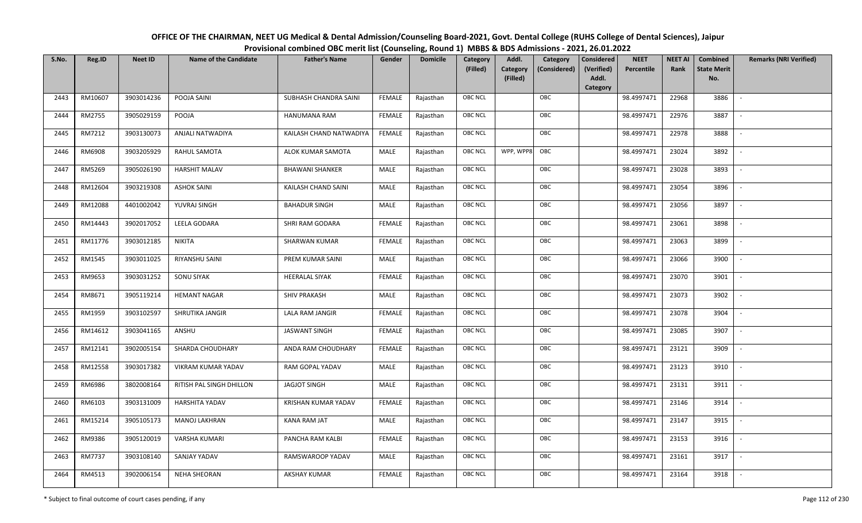| OFFICE OF THE CHAIRMAN, NEET UG Medical & Dental Admission/Counseling Board-2021, Govt. Dental College (RUHS College of Dental Sciences), Jaipur |
|--------------------------------------------------------------------------------------------------------------------------------------------------|
| Provisional combined OBC merit list (Counseling, Round 1) MBBS & BDS Admissions - 2021, 26.01.2022                                               |

| S.No. | Reg.ID        | <b>Neet ID</b> | <b>Name of the Candidate</b> | <b>Father's Name</b>       | Gender        | <b>Domicile</b> | Category<br>(Filled) | Addl.<br><b>Category</b><br>(Filled) | Category<br>(Considered) | <b>Considered</b><br>(Verified)<br>Addl.<br>Category | <b>NEET</b><br>Percentile | <b>NEET AI</b><br>Rank | Combined<br><b>State Merit</b><br>No. | <b>Remarks (NRI Verified)</b> |
|-------|---------------|----------------|------------------------------|----------------------------|---------------|-----------------|----------------------|--------------------------------------|--------------------------|------------------------------------------------------|---------------------------|------------------------|---------------------------------------|-------------------------------|
| 2443  | RM10607       | 3903014236     | POOJA SAINI                  | SUBHASH CHANDRA SAINI      | FEMALE        | Rajasthan       | <b>OBC NCL</b>       |                                      | OBC                      |                                                      | 98.4997471                | 22968                  | 3886                                  | $\overline{\phantom{a}}$      |
| 2444  | RM2755        | 3905029159     | POOJA                        | HANUMANA RAM               | FEMALE        | Rajasthan       | OBC NCL              |                                      | OBC                      |                                                      | 98.4997471                | 22976                  | 3887                                  |                               |
| 2445  | RM7212        | 3903130073     | ANJALI NATWADIYA             | KAILASH CHAND NATWADIYA    | <b>FEMALE</b> | Rajasthan       | <b>OBC NCL</b>       |                                      | OBC                      |                                                      | 98.4997471                | 22978                  | 3888                                  | $\sim$                        |
| 2446  | RM6908        | 3903205929     | RAHUL SAMOTA                 | ALOK KUMAR SAMOTA          | MALE          | Rajasthan       | OBC NCL              | WPP, WPP8                            | OBC                      |                                                      | 98.4997471                | 23024                  | 3892                                  | $\overline{\phantom{a}}$      |
| 2447  | RM5269        | 3905026190     | <b>HARSHIT MALAV</b>         | <b>BHAWANI SHANKER</b>     | MALE          | Rajasthan       | OBC NCL              |                                      | OBC                      |                                                      | 98.4997471                | 23028                  | 3893                                  | $\sim$                        |
| 2448  | RM12604       | 3903219308     | <b>ASHOK SAINI</b>           | KAILASH CHAND SAINI        | MALE          | Rajasthan       | OBC NCL              |                                      | OBC                      |                                                      | 98.4997471                | 23054                  | 3896                                  | $\overline{\phantom{a}}$      |
| 2449  | RM12088       | 4401002042     | YUVRAJ SINGH                 | <b>BAHADUR SINGH</b>       | <b>MALE</b>   | Rajasthan       | OBC NCL              |                                      | OBC                      |                                                      | 98.4997471                | 23056                  | 3897                                  | $\overline{\phantom{a}}$      |
| 2450  | RM14443       | 3902017052     | LEELA GODARA                 | SHRI RAM GODARA            | <b>FEMALE</b> | Rajasthan       | OBC NCL              |                                      | OBC                      |                                                      | 98.4997471                | 23061                  | 3898                                  |                               |
| 2451  | RM11776       | 3903012185     | <b>NIKITA</b>                | SHARWAN KUMAR              | <b>FEMALE</b> | Rajasthan       | OBC NCL              |                                      | OBC                      |                                                      | 98.4997471                | 23063                  | 3899                                  |                               |
| 2452  | RM1545        | 3903011025     | RIYANSHU SAINI               | PREM KUMAR SAINI           | MALE          | Rajasthan       | OBC NCL              |                                      | OBC                      |                                                      | 98.4997471                | 23066                  | 3900                                  |                               |
| 2453  | RM9653        | 3903031252     | <b>SONU SIYAK</b>            | <b>HEERALAL SIYAK</b>      | <b>FEMALE</b> | Rajasthan       | OBC NCL              |                                      | OBC                      |                                                      | 98.4997471                | 23070                  | 3901                                  |                               |
| 2454  | RM8671        | 3905119214     | <b>HEMANT NAGAR</b>          | <b>SHIV PRAKASH</b>        | MALE          | Rajasthan       | OBC NCL              |                                      | OBC                      |                                                      | 98.4997471                | 23073                  | 3902                                  | $\sim$                        |
| 2455  | RM1959        | 3903102597     | SHRUTIKA JANGIR              | LALA RAM JANGIR            | <b>FEMALE</b> | Rajasthan       | OBC NCL              |                                      | OBC                      |                                                      | 98.4997471                | 23078                  | 3904                                  |                               |
| 2456  | RM14612       | 3903041165     | ANSHU                        | <b>JASWANT SINGH</b>       | <b>FEMALE</b> | Rajasthan       | <b>OBC NCL</b>       |                                      | OBC                      |                                                      | 98.4997471                | 23085                  | 3907                                  | $\sim$                        |
| 2457  | RM12141       | 3902005154     | SHARDA CHOUDHARY             | ANDA RAM CHOUDHARY         | <b>FEMALE</b> | Rajasthan       | <b>OBC NCL</b>       |                                      | OBC                      |                                                      | 98.4997471                | 23121                  | 3909                                  | $\sim$                        |
| 2458  | RM12558       | 3903017382     | VIKRAM KUMAR YADAV           | RAM GOPAL YADAV            | MALE          | Rajasthan       | <b>OBC NCL</b>       |                                      | OBC                      |                                                      | 98.4997471                | 23123                  | 3910                                  | $\overline{\phantom{a}}$      |
| 2459  | RM6986        | 3802008164     | RITISH PAL SINGH DHILLON     | <b>JAGJOT SINGH</b>        | MALE          | Rajasthan       | OBC NCL              |                                      | OBC                      |                                                      | 98.4997471                | 23131                  | 3911                                  | $\overline{\phantom{a}}$      |
| 2460  | RM6103        | 3903131009     | HARSHITA YADAV               | <b>KRISHAN KUMAR YADAV</b> | <b>FEMALE</b> | Rajasthan       | <b>OBC NCL</b>       |                                      | OBC                      |                                                      | 98.4997471                | 23146                  | 3914                                  |                               |
| 2461  | RM15214       | 3905105173     | <b>MANOJ LAKHRAN</b>         | KANA RAM JAT               | MALE          | Rajasthan       | OBC NCL              |                                      | OBC                      |                                                      | 98.4997471                | 23147                  | 3915                                  |                               |
| 2462  | RM9386        | 3905120019     | VARSHA KUMARI                | PANCHA RAM KALBI           | <b>FEMALE</b> | Rajasthan       | OBC NCL              |                                      | OBC                      |                                                      | 98.4997471                | 23153                  | 3916                                  |                               |
| 2463  | <b>RM7737</b> | 3903108140     | SANJAY YADAV                 | RAMSWAROOP YADAV           | <b>MALE</b>   | Rajasthan       | OBC NCL              |                                      | OBC                      |                                                      | 98.4997471                | 23161                  | 3917                                  |                               |
| 2464  | RM4513        | 3902006154     | <b>NEHA SHEORAN</b>          | <b>AKSHAY KUMAR</b>        | <b>FEMALE</b> | Rajasthan       | OBC NCL              |                                      | OBC                      |                                                      | 98.4997471                | 23164                  | 3918                                  |                               |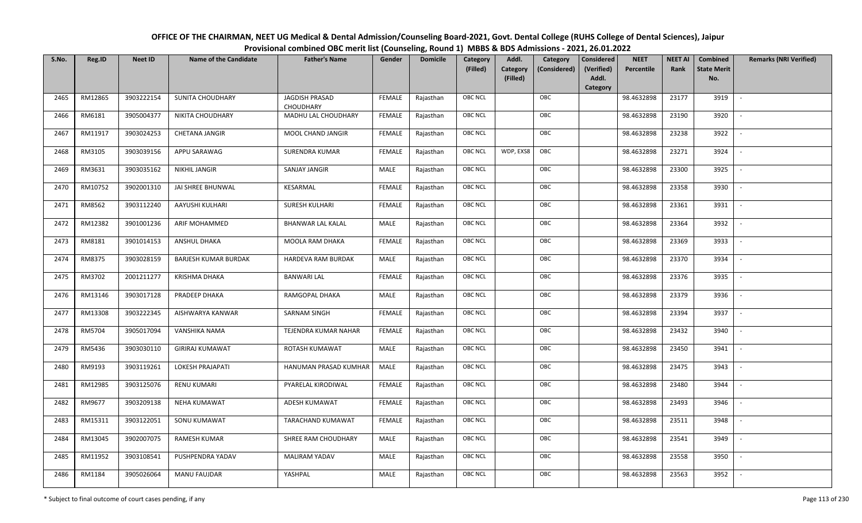| OFFICE OF THE CHAIRMAN, NEET UG Medical & Dental Admission/Counseling Board-2021, Govt. Dental College (RUHS College of Dental Sciences), Jaipur |
|--------------------------------------------------------------------------------------------------------------------------------------------------|
| Provisional combined OBC merit list (Counseling, Round 1) MBBS & BDS Admissions - 2021, 26.01.2022                                               |

| S.No. | Reg.ID  | <b>Neet ID</b> | <b>Name of the Candidate</b> | <b>Father's Name</b>               | Gender        | <b>Domicile</b> | Category<br>(Filled) | Addl.<br>Category<br>(Filled) | Category<br>(Considered) | <b>Considered</b><br>(Verified)<br>Addl. | <b>NEET</b><br>Percentile | <b>NEET AI</b><br>Rank | Combined<br><b>State Merit</b><br>No. | <b>Remarks (NRI Verified)</b> |
|-------|---------|----------------|------------------------------|------------------------------------|---------------|-----------------|----------------------|-------------------------------|--------------------------|------------------------------------------|---------------------------|------------------------|---------------------------------------|-------------------------------|
|       |         |                |                              |                                    |               |                 |                      |                               |                          | Category                                 |                           |                        |                                       |                               |
| 2465  | RM12865 | 3903222154     | <b>SUNITA CHOUDHARY</b>      | JAGDISH PRASAD<br><b>CHOUDHARY</b> | <b>FEMALE</b> | Rajasthan       | <b>OBC NCL</b>       |                               | OBC                      |                                          | 98.4632898                | 23177                  | 3919                                  | $\sim$                        |
| 2466  | RM6181  | 3905004377     | NIKITA CHOUDHARY             | MADHU LAL CHOUDHARY                | <b>FEMALE</b> | Rajasthan       | OBC NCL              |                               | OBC                      |                                          | 98.4632898                | 23190                  | 3920                                  |                               |
| 2467  | RM11917 | 3903024253     | <b>CHETANA JANGIR</b>        | MOOL CHAND JANGIR                  | <b>FEMALE</b> | Rajasthan       | OBC NCL              |                               | OBC                      |                                          | 98.4632898                | 23238                  | 3922                                  |                               |
| 2468  | RM3105  | 3903039156     | APPU SARAWAG                 | SURENDRA KUMAR                     | <b>FEMALE</b> | Rajasthan       | <b>OBC NCL</b>       | WDP, EXS8                     | OBC                      |                                          | 98.4632898                | 23271                  | 3924                                  | $\overline{\phantom{a}}$      |
| 2469  | RM3631  | 3903035162     | <b>NIKHIL JANGIR</b>         | SANJAY JANGIR                      | MALE          | Rajasthan       | OBC NCL              |                               | OBC                      |                                          | 98.4632898                | 23300                  | 3925                                  | $\sim$                        |
| 2470  | RM10752 | 3902001310     | JAI SHREE BHUNWAL            | KESARMAL                           | <b>FEMALE</b> | Rajasthan       | <b>OBC NCL</b>       |                               | OBC                      |                                          | 98.4632898                | 23358                  | 3930                                  | $\overline{\phantom{a}}$      |
| 2471  | RM8562  | 3903112240     | AAYUSHI KULHARI              | <b>SURESH KULHARI</b>              | <b>FEMALE</b> | Rajasthan       | OBC NCL              |                               | OBC                      |                                          | 98.4632898                | 23361                  | 3931                                  |                               |
| 2472  | RM12382 | 3901001236     | ARIF MOHAMMED                | <b>BHANWAR LAL KALAL</b>           | MALE          | Rajasthan       | OBC NCL              |                               | OBC                      |                                          | 98.4632898                | 23364                  | 3932                                  |                               |
| 2473  | RM8181  | 3901014153     | <b>ANSHUL DHAKA</b>          | MOOLA RAM DHAKA                    | <b>FEMALE</b> | Rajasthan       | <b>OBC NCL</b>       |                               | OBC                      |                                          | 98.4632898                | 23369                  | 3933                                  |                               |
| 2474  | RM8375  | 3903028159     | <b>BARJESH KUMAR BURDAK</b>  | HARDEVA RAM BURDAK                 | MALE          | Rajasthan       | OBC NCL              |                               | OBC                      |                                          | 98.4632898                | 23370                  | 3934                                  |                               |
| 2475  | RM3702  | 2001211277     | KRISHMA DHAKA                | <b>BANWARI LAL</b>                 | <b>FEMALE</b> | Rajasthan       | <b>OBC NCL</b>       |                               | OBC                      |                                          | 98.4632898                | 23376                  | 3935                                  |                               |
| 2476  | RM13146 | 3903017128     | PRADEEP DHAKA                | RAMGOPAL DHAKA                     | MALE          | Rajasthan       | OBC NCL              |                               | OBC                      |                                          | 98.4632898                | 23379                  | 3936                                  |                               |
| 2477  | RM13308 | 3903222345     | AISHWARYA KANWAR             | <b>SARNAM SINGH</b>                | <b>FEMALE</b> | Rajasthan       | OBC NCL              |                               | OBC                      |                                          | 98.4632898                | 23394                  | 3937                                  |                               |
| 2478  | RM5704  | 3905017094     | VANSHIKA NAMA                | TEJENDRA KUMAR NAHAR               | <b>FEMALE</b> | Rajasthan       | OBC NCL              |                               | OBC                      |                                          | 98.4632898                | 23432                  | 3940                                  | $\sim$                        |
| 2479  | RM5436  | 3903030110     | <b>GIRIRAJ KUMAWAT</b>       | ROTASH KUMAWAT                     | <b>MALE</b>   | Rajasthan       | OBC NCL              |                               | OBC                      |                                          | 98.4632898                | 23450                  | 3941                                  | $\overline{\phantom{a}}$      |
| 2480  | RM9193  | 3903119261     | <b>LOKESH PRAJAPATI</b>      | HANUMAN PRASAD KUMHAR              | MALE          | Rajasthan       | OBC NCL              |                               | OBC                      |                                          | 98.4632898                | 23475                  | 3943                                  | $\sim$                        |
| 2481  | RM12985 | 3903125076     | RENU KUMARI                  | PYARELAL KIRODIWAL                 | <b>FEMALE</b> | Rajasthan       | OBC NCL              |                               | OBC                      |                                          | 98.4632898                | 23480                  | 3944                                  | $\overline{\phantom{a}}$      |
| 2482  | RM9677  | 3903209138     | <b>NEHA KUMAWAT</b>          | ADESH KUMAWAT                      | <b>FEMALE</b> | Rajasthan       | OBC NCL              |                               | OBC                      |                                          | 98.4632898                | 23493                  | 3946                                  |                               |
| 2483  | RM15311 | 3903122051     | SONU KUMAWAT                 | TARACHAND KUMAWAT                  | <b>FEMALE</b> | Rajasthan       | <b>OBC NCL</b>       |                               | OBC                      |                                          | 98.4632898                | 23511                  | 3948                                  |                               |
| 2484  | RM13045 | 3902007075     | <b>RAMESH KUMAR</b>          | SHREE RAM CHOUDHARY                | MALE          | Rajasthan       | OBC NCL              |                               | OBC                      |                                          | 98.4632898                | 23541                  | 3949                                  |                               |
| 2485  | RM11952 | 3903108541     | PUSHPENDRA YADAV             | <b>MALIRAM YADAV</b>               | <b>MALE</b>   | Rajasthan       | OBC NCL              |                               | OBC                      |                                          | 98.4632898                | 23558                  | 3950                                  |                               |
| 2486  | RM1184  | 3905026064     | <b>MANU FAUJDAR</b>          | YASHPAL                            | MALE          | Rajasthan       | <b>OBC NCL</b>       |                               | OBC                      |                                          | 98.4632898                | 23563                  | 3952                                  |                               |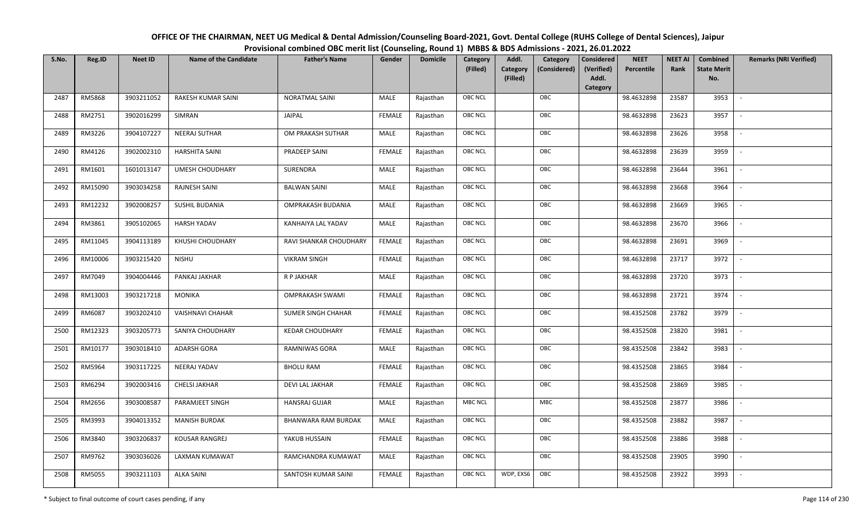| OFFICE OF THE CHAIRMAN, NEET UG Medical & Dental Admission/Counseling Board-2021, Govt. Dental College (RUHS College of Dental Sciences), Jaipur |
|--------------------------------------------------------------------------------------------------------------------------------------------------|
| Provisional combined OBC merit list (Counseling, Round 1) MBBS & BDS Admissions - 2021, 26.01.2022                                               |

| S.No. | Reg.ID  | <b>Neet ID</b> | <b>Name of the Candidate</b> | <b>Father's Name</b>       | Gender        | <b>Domicile</b> | Category<br>(Filled) | Addl.<br><b>Category</b><br>(Filled) | Category<br>(Considered) | <b>Considered</b><br>(Verified)<br>Addl. | <b>NEET</b><br>Percentile | <b>NEET AI</b><br>Rank | Combined<br><b>State Merit</b><br>No. | <b>Remarks (NRI Verified)</b> |
|-------|---------|----------------|------------------------------|----------------------------|---------------|-----------------|----------------------|--------------------------------------|--------------------------|------------------------------------------|---------------------------|------------------------|---------------------------------------|-------------------------------|
|       |         | 3903211052     | RAKESH KUMAR SAINI           | <b>NORATMAL SAINI</b>      |               |                 | <b>OBC NCL</b>       |                                      | OBC                      | Category                                 |                           | 23587                  | 3953                                  | $\sim$                        |
| 2487  | RM5868  |                |                              |                            | MALE          | Rajasthan       |                      |                                      |                          |                                          | 98.4632898                |                        |                                       |                               |
| 2488  | RM2751  | 3902016299     | SIMRAN                       | JAIPAL                     | <b>FEMALE</b> | Rajasthan       | OBC NCL              |                                      | OBC                      |                                          | 98.4632898                | 23623                  | 3957                                  |                               |
| 2489  | RM3226  | 3904107227     | NEERAJ SUTHAR                | OM PRAKASH SUTHAR          | MALE          | Rajasthan       | <b>OBC NCL</b>       |                                      | OBC                      |                                          | 98.4632898                | 23626                  | 3958                                  |                               |
| 2490  | RM4126  | 3902002310     | <b>HARSHITA SAINI</b>        | PRADEEP SAINI              | <b>FEMALE</b> | Rajasthan       | OBC NCL              |                                      | OBC                      |                                          | 98.4632898                | 23639                  | 3959                                  | $\overline{\phantom{a}}$      |
| 2491  | RM1601  | 1601013147     | <b>UMESH CHOUDHARY</b>       | SURENDRA                   | MALE          | Rajasthan       | <b>OBC NCL</b>       |                                      | OBC                      |                                          | 98.4632898                | 23644                  | 3961                                  | $\overline{\phantom{a}}$      |
| 2492  | RM15090 | 3903034258     | RAJNESH SAINI                | <b>BALWAN SAINI</b>        | MALE          | Rajasthan       | <b>OBC NCL</b>       |                                      | OBC                      |                                          | 98.4632898                | 23668                  | 3964                                  | $\overline{\phantom{a}}$      |
| 2493  | RM12232 | 3902008257     | SUSHIL BUDANIA               | OMPRAKASH BUDANIA          | MALE          | Rajasthan       | <b>OBC NCL</b>       |                                      | OBC                      |                                          | 98.4632898                | 23669                  | 3965                                  | $\blacksquare$                |
| 2494  | RM3861  | 3905102065     | <b>HARSH YADAV</b>           | KANHAIYA LAL YADAV         | MALE          | Rajasthan       | OBC NCL              |                                      | OBC                      |                                          | 98.4632898                | 23670                  | 3966                                  |                               |
| 2495  | RM11045 | 3904113189     | KHUSHI CHOUDHARY             | RAVI SHANKAR CHOUDHARY     | <b>FEMALE</b> | Rajasthan       | OBC NCL              |                                      | OBC                      |                                          | 98.4632898                | 23691                  | 3969                                  |                               |
| 2496  | RM10006 | 3903215420     | <b>NISHU</b>                 | <b>VIKRAM SINGH</b>        | <b>FEMALE</b> | Rajasthan       | <b>OBC NCL</b>       |                                      | OBC                      |                                          | 98.4632898                | 23717                  | 3972                                  | $\sim$                        |
| 2497  | RM7049  | 3904004446     | PANKAJ JAKHAR                | R P JAKHAR                 | MALE          | Rajasthan       | OBC NCL              |                                      | OBC                      |                                          | 98.4632898                | 23720                  | 3973                                  |                               |
| 2498  | RM13003 | 3903217218     | <b>MONIKA</b>                | <b>OMPRAKASH SWAMI</b>     | <b>FEMALE</b> | Rajasthan       | <b>OBC NCL</b>       |                                      | OBC                      |                                          | 98.4632898                | 23721                  | 3974                                  | $\mathbb{L}$                  |
| 2499  | RM6087  | 3903202410     | <b>VAISHNAVI CHAHAR</b>      | SUMER SINGH CHAHAR         | <b>FEMALE</b> | Rajasthan       | OBC NCL              |                                      | OBC                      |                                          | 98.4352508                | 23782                  | 3979                                  |                               |
| 2500  | RM12323 | 3903205773     | SANIYA CHOUDHARY             | <b>KEDAR CHOUDHARY</b>     | <b>FEMALE</b> | Rajasthan       | OBC NCL              |                                      | OBC                      |                                          | 98.4352508                | 23820                  | 3981                                  | $\overline{\phantom{a}}$      |
| 2501  | RM10177 | 3903018410     | ADARSH GORA                  | RAMNIWAS GORA              | MALE          | Rajasthan       | OBC NCL              |                                      | OBC                      |                                          | 98.4352508                | 23842                  | 3983                                  | $\overline{\phantom{a}}$      |
| 2502  | RM5964  | 3903117225     | NEERAJ YADAV                 | <b>BHOLU RAM</b>           | <b>FEMALE</b> | Rajasthan       | <b>OBC NCL</b>       |                                      | OBC                      |                                          | 98.4352508                | 23865                  | 3984                                  | $\sim$                        |
| 2503  | RM6294  | 3902003416     | CHELSI JAKHAR                | <b>DEVI LAL JAKHAR</b>     | <b>FEMALE</b> | Rajasthan       | <b>OBC NCL</b>       |                                      | OBC                      |                                          | 98.4352508                | 23869                  | 3985                                  | $\overline{\phantom{a}}$      |
| 2504  | RM2656  | 3903008587     | PARAMJEET SINGH              | <b>HANSRAJ GUJAR</b>       | MALE          | Rajasthan       | <b>MBC NCL</b>       |                                      | MBC                      |                                          | 98.4352508                | 23877                  | 3986                                  | $\sim$                        |
| 2505  | RM3993  | 3904013352     | <b>MANISH BURDAK</b>         | <b>BHANWARA RAM BURDAK</b> | MALE          | Rajasthan       | OBC NCL              |                                      | OBC                      |                                          | 98.4352508                | 23882                  | 3987                                  |                               |
| 2506  | RM3840  | 3903206837     | KOUSAR RANGREJ               | YAKUB HUSSAIN              | <b>FEMALE</b> | Rajasthan       | OBC NCL              |                                      | OBC                      |                                          | 98.4352508                | 23886                  | 3988                                  |                               |
| 2507  | RM9762  | 3903036026     | LAXMAN KUMAWAT               | RAMCHANDRA KUMAWAT         | MALE          | Rajasthan       | <b>OBC NCL</b>       |                                      | OBC                      |                                          | 98.4352508                | 23905                  | 3990                                  |                               |
| 2508  | RM5055  | 3903211103     | <b>ALKA SAINI</b>            | SANTOSH KUMAR SAINI        | <b>FEMALE</b> | Rajasthan       | <b>OBC NCL</b>       | WDP, EXS6                            | OBC                      |                                          | 98.4352508                | 23922                  | 3993                                  |                               |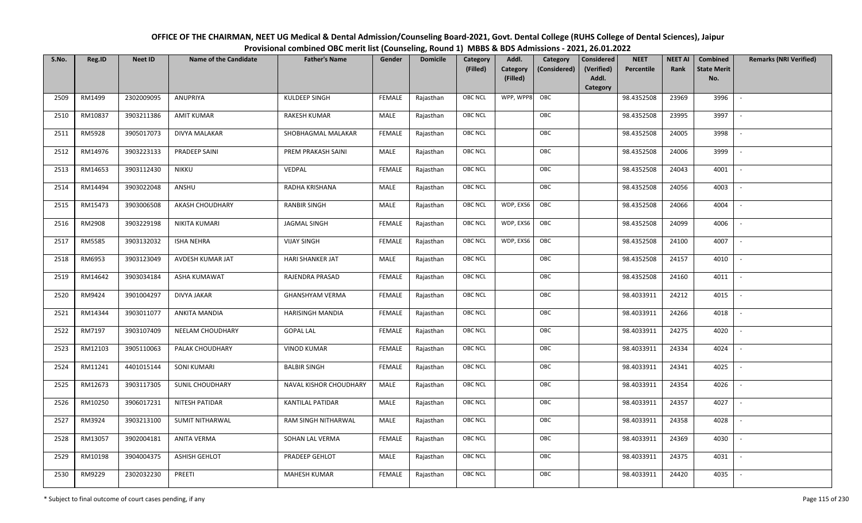| OFFICE OF THE CHAIRMAN, NEET UG Medical & Dental Admission/Counseling Board-2021, Govt. Dental College (RUHS College of Dental Sciences), Jaipur |
|--------------------------------------------------------------------------------------------------------------------------------------------------|
| Provisional combined OBC merit list (Counseling, Round 1) MBBS & BDS Admissions - 2021, 26.01.2022                                               |

| S.No. | Reg.ID  | <b>Neet ID</b> | <b>Name of the Candidate</b> | <b>Father's Name</b>    | Gender        | <b>Domicile</b> | Category<br>(Filled) | Addl.<br><b>Category</b><br>(Filled) | Category<br>(Considered) | <b>Considered</b><br>(Verified)<br>Addl. | <b>NEET</b><br>Percentile | <b>NEET AI</b><br>Rank | Combined<br><b>State Merit</b><br>No. | <b>Remarks (NRI Verified)</b> |
|-------|---------|----------------|------------------------------|-------------------------|---------------|-----------------|----------------------|--------------------------------------|--------------------------|------------------------------------------|---------------------------|------------------------|---------------------------------------|-------------------------------|
|       |         |                |                              |                         |               |                 |                      |                                      |                          | Category                                 |                           |                        |                                       |                               |
| 2509  | RM1499  | 2302009095     | ANUPRIYA                     | KULDEEP SINGH           | <b>FEMALE</b> | Rajasthan       | <b>OBC NCL</b>       | WPP, WPP8                            | OBC                      |                                          | 98.4352508                | 23969                  | 3996                                  | $\overline{\phantom{a}}$      |
| 2510  | RM10837 | 3903211386     | <b>AMIT KUMAR</b>            | RAKESH KUMAR            | MALE          | Rajasthan       | <b>OBC NCL</b>       |                                      | OBC                      |                                          | 98.4352508                | 23995                  | 3997                                  |                               |
| 2511  | RM5928  | 3905017073     | DIVYA MALAKAR                | SHOBHAGMAL MALAKAR      | <b>FEMALE</b> | Rajasthan       | <b>OBC NCL</b>       |                                      | OBC                      |                                          | 98.4352508                | 24005                  | 3998                                  |                               |
| 2512  | RM14976 | 3903223133     | PRADEEP SAINI                | PREM PRAKASH SAINI      | MALE          | Rajasthan       | <b>OBC NCL</b>       |                                      | OBC                      |                                          | 98.4352508                | 24006                  | 3999                                  | $\overline{\phantom{a}}$      |
| 2513  | RM14653 | 3903112430     | <b>NIKKU</b>                 | VEDPAL                  | <b>FEMALE</b> | Rajasthan       | <b>OBC NCL</b>       |                                      | OBC                      |                                          | 98.4352508                | 24043                  | 4001                                  | $\sim$                        |
| 2514  | RM14494 | 3903022048     | ANSHU                        | RADHA KRISHANA          | MALE          | Rajasthan       | <b>OBC NCL</b>       |                                      | OBC                      |                                          | 98.4352508                | 24056                  | 4003                                  | $\overline{\phantom{a}}$      |
| 2515  | RM15473 | 3903006508     | AKASH CHOUDHARY              | <b>RANBIR SINGH</b>     | MALE          | Rajasthan       | <b>OBC NCL</b>       | WDP, EXS6                            | OBC                      |                                          | 98.4352508                | 24066                  | 4004                                  |                               |
| 2516  | RM2908  | 3903229198     | NIKITA KUMARI                | <b>JAGMAL SINGH</b>     | <b>FEMALE</b> | Rajasthan       | <b>OBC NCL</b>       | WDP, EXS6                            | OBC                      |                                          | 98.4352508                | 24099                  | 4006                                  |                               |
| 2517  | RM5585  | 3903132032     | <b>ISHA NEHRA</b>            | <b>VIJAY SINGH</b>      | <b>FEMALE</b> | Rajasthan       | OBC NCL              | WDP, EXS6                            | OBC                      |                                          | 98.4352508                | 24100                  | 4007                                  | $\overline{\phantom{a}}$      |
| 2518  | RM6953  | 3903123049     | AVDESH KUMAR JAT             | <b>HARI SHANKER JAT</b> | <b>MALE</b>   | Rajasthan       | <b>OBC NCL</b>       |                                      | OBC                      |                                          | 98.4352508                | 24157                  | 4010                                  | $\overline{\phantom{a}}$      |
| 2519  | RM14642 | 3903034184     | ASHA KUMAWAT                 | RAJENDRA PRASAD         | <b>FEMALE</b> | Rajasthan       | <b>OBC NCL</b>       |                                      | OBC                      |                                          | 98.4352508                | 24160                  | 4011                                  |                               |
| 2520  | RM9424  | 3901004297     | <b>DIVYA JAKAR</b>           | <b>GHANSHYAM VERMA</b>  | FEMALE        | Rajasthan       | <b>OBC NCL</b>       |                                      | OBC                      |                                          | 98.4033911                | 24212                  | 4015                                  |                               |
| 2521  | RM14344 | 3903011077     | ANKITA MANDIA                | <b>HARISINGH MANDIA</b> | <b>FEMALE</b> | Rajasthan       | <b>OBC NCL</b>       |                                      | OBC                      |                                          | 98.4033911                | 24266                  | 4018                                  |                               |
| 2522  | RM7197  | 3903107409     | NEELAM CHOUDHARY             | <b>GOPAL LAL</b>        | <b>FEMALE</b> | Rajasthan       | OBC NCL              |                                      | OBC                      |                                          | 98.4033911                | 24275                  | 4020                                  | $\sim$                        |
| 2523  | RM12103 | 3905110063     | PALAK CHOUDHARY              | <b>VINOD KUMAR</b>      | <b>FEMALE</b> | Rajasthan       | OBC NCL              |                                      | OBC                      |                                          | 98.4033911                | 24334                  | 4024                                  | $\overline{\phantom{a}}$      |
| 2524  | RM11241 | 4401015144     | <b>SONI KUMARI</b>           | <b>BALBIR SINGH</b>     | <b>FEMALE</b> | Rajasthan       | <b>OBC NCL</b>       |                                      | OBC                      |                                          | 98.4033911                | 24341                  | 4025                                  | $\overline{\phantom{a}}$      |
| 2525  | RM12673 | 3903117305     | <b>SUNIL CHOUDHARY</b>       | NAVAL KISHOR CHOUDHARY  | MALE          | Rajasthan       | OBC NCL              |                                      | OBC                      |                                          | 98.4033911                | 24354                  | 4026                                  | $\overline{\phantom{a}}$      |
| 2526  | RM10250 | 3906017231     | NITESH PATIDAR               | KANTILAL PATIDAR        | MALE          | Rajasthan       | <b>OBC NCL</b>       |                                      | OBC                      |                                          | 98.4033911                | 24357                  | 4027                                  |                               |
| 2527  | RM3924  | 3903213100     | <b>SUMIT NITHARWAL</b>       | RAM SINGH NITHARWAL     | MALE          | Rajasthan       | OBC NCL              |                                      | OBC                      |                                          | 98.4033911                | 24358                  | 4028                                  |                               |
| 2528  | RM13057 | 3902004181     | <b>ANITA VERMA</b>           | SOHAN LAL VERMA         | <b>FEMALE</b> | Rajasthan       | OBC NCL              |                                      | OBC                      |                                          | 98.4033911                | 24369                  | 4030                                  |                               |
| 2529  | RM10198 | 3904004375     | <b>ASHISH GEHLOT</b>         | PRADEEP GEHLOT          | MALE          | Rajasthan       | <b>OBC NCL</b>       |                                      | OBC                      |                                          | 98.4033911                | 24375                  | 4031                                  |                               |
| 2530  | RM9229  | 2302032230     | PREETI                       | <b>MAHESH KUMAR</b>     | <b>FEMALE</b> | Rajasthan       | <b>OBC NCL</b>       |                                      | OBC                      |                                          | 98.4033911                | 24420                  | 4035                                  |                               |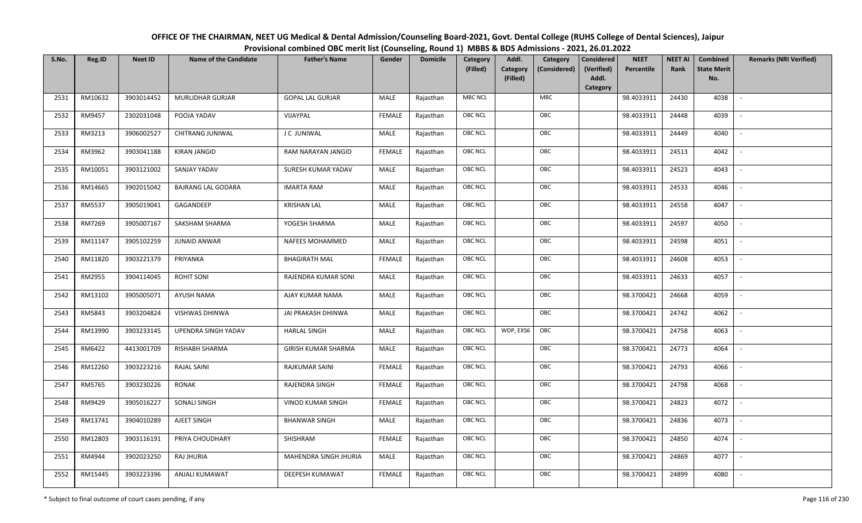| OFFICE OF THE CHAIRMAN, NEET UG Medical & Dental Admission/Counseling Board-2021, Govt. Dental College (RUHS College of Dental Sciences), Jaipur |
|--------------------------------------------------------------------------------------------------------------------------------------------------|
| Provisional combined OBC merit list (Counseling, Round 1) MBBS & BDS Admissions - 2021, 26.01.2022                                               |

| S.No. | Reg.ID  | <b>Neet ID</b> | <b>Name of the Candidate</b> | <b>Father's Name</b>       | Gender        | <b>Domicile</b> | Category<br>(Filled) | Addl.<br>Category<br><b>Category</b><br>(Considered) | <b>Considered</b><br>(Verified) | <b>NEET</b><br>Percentile | <b>NEET AI</b><br>Rank | Combined<br><b>State Merit</b> | <b>Remarks (NRI Verified)</b> |
|-------|---------|----------------|------------------------------|----------------------------|---------------|-----------------|----------------------|------------------------------------------------------|---------------------------------|---------------------------|------------------------|--------------------------------|-------------------------------|
|       |         |                |                              |                            |               |                 |                      | (Filled)                                             | Addl.<br>Category               |                           |                        | No.                            |                               |
| 2531  | RM10632 | 3903014452     | <b>MURLIDHAR GURJAR</b>      | <b>GOPAL LAL GURJAR</b>    | MALE          | Rajasthan       | <b>MBC NCL</b>       | <b>MBC</b>                                           |                                 | 98.4033911                | 24430                  | 4038                           | $\sim$                        |
| 2532  | RM9457  | 2302031048     | POOJA YADAV                  | VIJAYPAL                   | FEMALE        | Rajasthan       | OBC NCL              | OBC                                                  |                                 | 98.4033911                | 24448                  | 4039                           |                               |
| 2533  | RM3213  | 3906002527     | <b>CHITRANG JUNIWAL</b>      | J C JUNIWAL                | MALE          | Rajasthan       | <b>OBC NCL</b>       | OBC                                                  |                                 | 98.4033911                | 24449                  | 4040                           |                               |
| 2534  | RM3962  | 3903041188     | <b>KIRAN JANGID</b>          | RAM NARAYAN JANGID         | <b>FEMALE</b> | Rajasthan       | <b>OBC NCL</b>       | OBC                                                  |                                 | 98.4033911                | 24513                  | 4042                           | $\overline{\phantom{a}}$      |
| 2535  | RM10051 | 3903121002     | SANJAY YADAV                 | SURESH KUMAR YADAV         | MALE          | Rajasthan       | OBC NCL              | OBC                                                  |                                 | 98.4033911                | 24523                  | 4043                           | $\sim$                        |
| 2536  | RM14665 | 3902015042     | <b>BAJRANG LAL GODARA</b>    | <b>IMARTA RAM</b>          | MALE          | Rajasthan       | <b>OBC NCL</b>       | OBC                                                  |                                 | 98.4033911                | 24533                  | 4046                           | $\sim$                        |
| 2537  | RM5537  | 3905019041     | GAGANDEEP                    | <b>KRISHAN LAL</b>         | <b>MALE</b>   | Rajasthan       | OBC NCL              | OBC                                                  |                                 | 98.4033911                | 24558                  | 4047                           | $\overline{\phantom{a}}$      |
| 2538  | RM7269  | 3905007167     | SAKSHAM SHARMA               | YOGESH SHARMA              | MALE          | Rajasthan       | OBC NCL              | OBC                                                  |                                 | 98.4033911                | 24597                  | 4050                           |                               |
| 2539  | RM11147 | 3905102259     | <b>JUNAID ANWAR</b>          | <b>NAFEES MOHAMMED</b>     | <b>MALE</b>   | Rajasthan       | OBC NCL              | OBC                                                  |                                 | 98.4033911                | 24598                  | 4051                           |                               |
| 2540  | RM11820 | 3903221379     | PRIYANKA                     | <b>BHAGIRATH MAL</b>       | <b>FEMALE</b> | Rajasthan       | <b>OBC NCL</b>       | OBC                                                  |                                 | 98.4033911                | 24608                  | 4053                           | $\overline{\phantom{a}}$      |
| 2541  | RM2955  | 3904114045     | <b>ROHIT SONI</b>            | RAJENDRA KUMAR SONI        | MALE          | Rajasthan       | OBC NCL              | OBC                                                  |                                 | 98.4033911                | 24633                  | 4057                           |                               |
| 2542  | RM13102 | 3905005071     | AYUSH NAMA                   | AJAY KUMAR NAMA            | MALE          | Rajasthan       | <b>OBC NCL</b>       | OBC                                                  |                                 | 98.3700421                | 24668                  | 4059                           | $\sim$                        |
| 2543  | RM5843  | 3903204824     | VISHWAS DHINWA               | JAI PRAKASH DHINWA         | MALE          | Rajasthan       | OBC NCL              | OBC                                                  |                                 | 98.3700421                | 24742                  | 4062                           |                               |
| 2544  | RM13990 | 3903233145     | UPENDRA SINGH YADAV          | <b>HARLAL SINGH</b>        | MALE          | Rajasthan       | OBC NCL              | WDP, EXS6<br>OBC                                     |                                 | 98.3700421                | 24758                  | 4063                           | $\overline{\phantom{a}}$      |
| 2545  | RM6422  | 4413001709     | <b>RISHABH SHARMA</b>        | <b>GIRISH KUMAR SHARMA</b> | <b>MALE</b>   | Rajasthan       | <b>OBC NCL</b>       | OBC                                                  |                                 | 98.3700421                | 24773                  | 4064                           | $\overline{\phantom{a}}$      |
| 2546  | RM12260 | 3903223216     | <b>RAJAL SAINI</b>           | RAJKUMAR SAINI             | <b>FEMALE</b> | Rajasthan       | <b>OBC NCL</b>       | OBC                                                  |                                 | 98.3700421                | 24793                  | 4066                           | $\overline{\phantom{a}}$      |
| 2547  | RM5765  | 3903230226     | RONAK                        | RAJENDRA SINGH             | <b>FEMALE</b> | Rajasthan       | <b>OBC NCL</b>       | OBC                                                  |                                 | 98.3700421                | 24798                  | 4068                           | $\overline{\phantom{a}}$      |
| 2548  | RM9429  | 3905016227     | SONALI SINGH                 | <b>VINOD KUMAR SINGH</b>   | <b>FEMALE</b> | Rajasthan       | <b>OBC NCL</b>       | OBC                                                  |                                 | 98.3700421                | 24823                  | 4072                           |                               |
| 2549  | RM13741 | 3904010289     | AJEET SINGH                  | <b>BHANWAR SINGH</b>       | MALE          | Rajasthan       | OBC NCL              | OBC                                                  |                                 | 98.3700421                | 24836                  | 4073                           |                               |
| 2550  | RM12803 | 3903116191     | PRIYA CHOUDHARY              | SHISHRAM                   | <b>FEMALE</b> | Rajasthan       | OBC NCL              | OBC                                                  |                                 | 98.3700421                | 24850                  | 4074                           | $\overline{\phantom{a}}$      |
| 2551  | RM4944  | 3902023250     | RAJ JHURIA                   | MAHENDRA SINGH JHURIA      | <b>MALE</b>   | Rajasthan       | OBC NCL              | OBC                                                  |                                 | 98.3700421                | 24869                  | 4077                           | $\overline{\phantom{a}}$      |
| 2552  | RM15445 | 3903223396     | ANJALI KUMAWAT               | DEEPESH KUMAWAT            | FEMALE        | Rajasthan       | <b>OBC NCL</b>       | OBC                                                  |                                 | 98.3700421                | 24899                  | 4080                           |                               |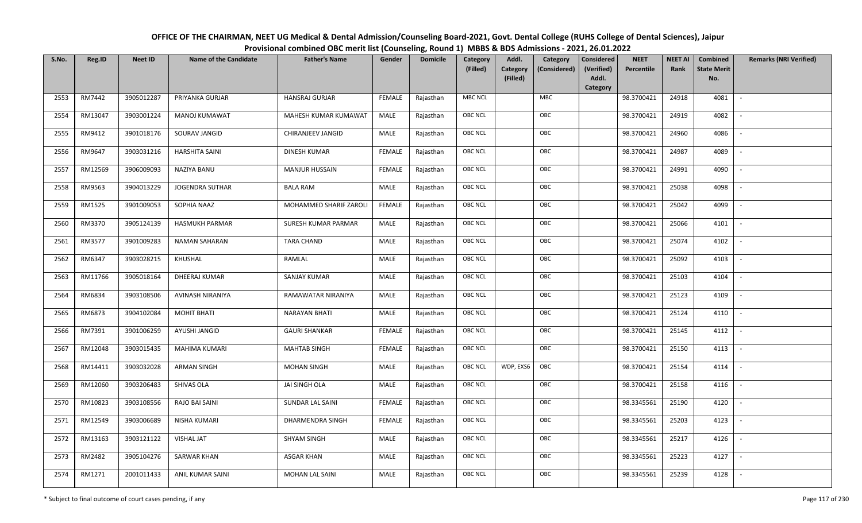| OFFICE OF THE CHAIRMAN, NEET UG Medical & Dental Admission/Counseling Board-2021, Govt. Dental College (RUHS College of Dental Sciences), Jaipur |
|--------------------------------------------------------------------------------------------------------------------------------------------------|
| Provisional combined OBC merit list (Counseling, Round 1) MBBS & BDS Admissions - 2021, 26.01.2022                                               |

| S.No. | Reg.ID  | <b>Neet ID</b> | <b>Name of the Candidate</b> | <b>Father's Name</b>    | Gender        | <b>Domicile</b> | Category<br>(Filled) | Addl.<br>Category<br>(Filled) | Category<br>(Considered) | <b>Considered</b><br>(Verified)<br>Addl. | <b>NEET</b><br>Percentile | <b>NEET AI</b><br>Rank | Combined<br><b>State Merit</b><br>No. | <b>Remarks (NRI Verified)</b> |
|-------|---------|----------------|------------------------------|-------------------------|---------------|-----------------|----------------------|-------------------------------|--------------------------|------------------------------------------|---------------------------|------------------------|---------------------------------------|-------------------------------|
|       |         |                |                              |                         |               |                 |                      |                               |                          | Category                                 |                           |                        |                                       |                               |
| 2553  | RM7442  | 3905012287     | PRIYANKA GURJAR              | <b>HANSRAJ GURJAR</b>   | <b>FEMALE</b> | Rajasthan       | <b>MBC NCL</b>       |                               | <b>MBC</b>               |                                          | 98.3700421                | 24918                  | 4081                                  | $\sim$                        |
| 2554  | RM13047 | 3903001224     | MANOJ KUMAWAT                | MAHESH KUMAR KUMAWAT    | MALE          | Rajasthan       | OBC NCL              |                               | OBC                      |                                          | 98.3700421                | 24919                  | 4082                                  |                               |
| 2555  | RM9412  | 3901018176     | SOURAV JANGID                | CHIRANJEEV JANGID       | MALE          | Rajasthan       | <b>OBC NCL</b>       |                               | OBC                      |                                          | 98.3700421                | 24960                  | 4086                                  |                               |
| 2556  | RM9647  | 3903031216     | <b>HARSHITA SAINI</b>        | DINESH KUMAR            | <b>FEMALE</b> | Rajasthan       | OBC NCL              |                               | OBC                      |                                          | 98.3700421                | 24987                  | 4089                                  | $\overline{\phantom{a}}$      |
| 2557  | RM12569 | 3906009093     | NAZIYA BANU                  | <b>MANJUR HUSSAIN</b>   | <b>FEMALE</b> | Rajasthan       | OBC NCL              |                               | OBC                      |                                          | 98.3700421                | 24991                  | 4090                                  | $\sim$                        |
| 2558  | RM9563  | 3904013229     | <b>JOGENDRA SUTHAR</b>       | <b>BALA RAM</b>         | MALE          | Rajasthan       | OBC NCL              |                               | OBC                      |                                          | 98.3700421                | 25038                  | 4098                                  | $\overline{\phantom{a}}$      |
| 2559  | RM1525  | 3901009053     | SOPHIA NAAZ                  | MOHAMMED SHARIF ZAROLI  | <b>FEMALE</b> | Rajasthan       | OBC NCL              |                               | OBC                      |                                          | 98.3700421                | 25042                  | 4099                                  |                               |
| 2560  | RM3370  | 3905124139     | HASMUKH PARMAR               | SURESH KUMAR PARMAR     | MALE          | Rajasthan       | OBC NCL              |                               | OBC                      |                                          | 98.3700421                | 25066                  | 4101                                  |                               |
| 2561  | RM3577  | 3901009283     | <b>NAMAN SAHARAN</b>         | <b>TARA CHAND</b>       | MALE          | Rajasthan       | OBC NCL              |                               | OBC                      |                                          | 98.3700421                | 25074                  | 4102                                  |                               |
| 2562  | RM6347  | 3903028215     | KHUSHAL                      | RAMLAL                  | MALE          | Rajasthan       | OBC NCL              |                               | OBC                      |                                          | 98.3700421                | 25092                  | 4103                                  |                               |
| 2563  | RM11766 | 3905018164     | DHEERAJ KUMAR                | SANJAY KUMAR            | MALE          | Rajasthan       | <b>OBC NCL</b>       |                               | OBC                      |                                          | 98.3700421                | 25103                  | 4104                                  |                               |
| 2564  | RM6834  | 3903108506     | AVINASH NIRANIYA             | RAMAWATAR NIRANIYA      | MALE          | Rajasthan       | OBC NCL              |                               | OBC                      |                                          | 98.3700421                | 25123                  | 4109                                  |                               |
| 2565  | RM6873  | 3904102084     | <b>MOHIT BHATI</b>           | <b>NARAYAN BHATI</b>    | MALE          | Rajasthan       | OBC NCL              |                               | OBC                      |                                          | 98.3700421                | 25124                  | 4110                                  |                               |
| 2566  | RM7391  | 3901006259     | AYUSHI JANGID                | <b>GAURI SHANKAR</b>    | <b>FEMALE</b> | Rajasthan       | OBC NCL              |                               | OBC                      |                                          | 98.3700421                | 25145                  | 4112                                  | $\sim$                        |
| 2567  | RM12048 | 3903015435     | <b>MAHIMA KUMARI</b>         | <b>MAHTAB SINGH</b>     | <b>FEMALE</b> | Rajasthan       | OBC NCL              |                               | OBC                      |                                          | 98.3700421                | 25150                  | 4113                                  | $\overline{\phantom{a}}$      |
| 2568  | RM14411 | 3903032028     | <b>ARMAN SINGH</b>           | <b>MOHAN SINGH</b>      | MALE          | Rajasthan       | OBC NCL              | WDP, EXS6                     | OBC                      |                                          | 98.3700421                | 25154                  | 4114                                  | $\sim$                        |
| 2569  | RM12060 | 3903206483     | SHIVAS OLA                   | JAI SINGH OLA           | MALE          | Rajasthan       | OBC NCL              |                               | OBC                      |                                          | 98.3700421                | 25158                  | 4116                                  | $\overline{\phantom{a}}$      |
| 2570  | RM10823 | 3903108556     | RAJO BAI SAINI               | SUNDAR LAL SAINI        | <b>FEMALE</b> | Rajasthan       | OBC NCL              |                               | OBC                      |                                          | 98.3345561                | 25190                  | 4120                                  |                               |
| 2571  | RM12549 | 3903006689     | NISHA KUMARI                 | <b>DHARMENDRA SINGH</b> | <b>FEMALE</b> | Rajasthan       | <b>OBC NCL</b>       |                               | OBC                      |                                          | 98.3345561                | 25203                  | 4123                                  |                               |
| 2572  | RM13163 | 3903121122     | <b>VISHAL JAT</b>            | <b>SHYAM SINGH</b>      | MALE          | Rajasthan       | OBC NCL              |                               | OBC                      |                                          | 98.3345561                | 25217                  | 4126                                  |                               |
| 2573  | RM2482  | 3905104276     | <b>SARWAR KHAN</b>           | <b>ASGAR KHAN</b>       | <b>MALE</b>   | Rajasthan       | OBC NCL              |                               | OBC                      |                                          | 98.3345561                | 25223                  | 4127                                  |                               |
| 2574  | RM1271  | 2001011433     | ANIL KUMAR SAINI             | <b>MOHAN LAL SAINI</b>  | MALE          | Rajasthan       | OBC NCL              |                               | OBC                      |                                          | 98.3345561                | 25239                  | 4128                                  |                               |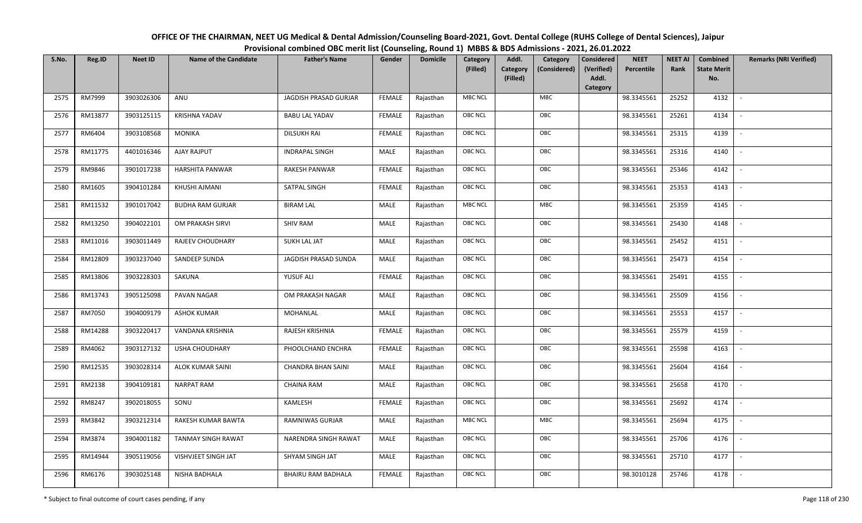| OFFICE OF THE CHAIRMAN, NEET UG Medical & Dental Admission/Counseling Board-2021, Govt. Dental College (RUHS College of Dental Sciences), Jaipur |
|--------------------------------------------------------------------------------------------------------------------------------------------------|
| Provisional combined OBC merit list (Counseling, Round 1) MBBS & BDS Admissions - 2021, 26.01.2022                                               |

| S.No. | Reg.ID  | <b>Neet ID</b> | <b>Name of the Candidate</b> | <b>Father's Name</b>      | Gender        | <b>Domicile</b> | Category<br>(Filled) | Addl.<br><b>Category</b><br>(Filled) | Category<br>(Considered) | <b>Considered</b><br>(Verified)<br>Addl. | <b>NEET</b><br>Percentile | <b>NEET AI</b><br>Rank | Combined<br><b>State Merit</b><br>No. | <b>Remarks (NRI Verified)</b> |
|-------|---------|----------------|------------------------------|---------------------------|---------------|-----------------|----------------------|--------------------------------------|--------------------------|------------------------------------------|---------------------------|------------------------|---------------------------------------|-------------------------------|
| 2575  | RM7999  | 3903026306     | ANU                          | JAGDISH PRASAD GURJAR     | <b>FEMALE</b> | Rajasthan       | <b>MBC NCL</b>       |                                      | <b>MBC</b>               | Category                                 | 98.3345561                | 25252                  | 4132                                  | $\sim$                        |
| 2576  | RM13877 | 3903125115     | <b>KRISHNA YADAV</b>         | <b>BABU LAL YADAV</b>     | <b>FEMALE</b> | Rajasthan       | OBC NCL              |                                      | OBC                      |                                          | 98.3345561                | 25261                  | 4134                                  |                               |
| 2577  | RM6404  | 3903108568     | <b>MONIKA</b>                | <b>DILSUKH RAI</b>        | <b>FEMALE</b> | Rajasthan       | <b>OBC NCL</b>       |                                      | OBC                      |                                          | 98.3345561                | 25315                  | 4139                                  | $\sim$                        |
| 2578  | RM11775 | 4401016346     | AJAY RAJPUT                  | <b>INDRAPAL SINGH</b>     | MALE          | Rajasthan       | OBC NCL              |                                      | OBC                      |                                          | 98.3345561                | 25316                  | 4140                                  | $\overline{\phantom{a}}$      |
| 2579  | RM9846  | 3901017238     | <b>HARSHITA PANWAR</b>       | RAKESH PANWAR             | <b>FEMALE</b> | Rajasthan       | <b>OBC NCL</b>       |                                      | OBC                      |                                          | 98.3345561                | 25346                  | 4142                                  | $\sim$                        |
| 2580  | RM1605  | 3904101284     | KHUSHI AJMANI                | SATPAL SINGH              | <b>FEMALE</b> | Rajasthan       | <b>OBC NCL</b>       |                                      | OBC                      |                                          | 98.3345561                | 25353                  | 4143                                  | $\sim$                        |
| 2581  | RM11532 | 3901017042     | <b>BUDHA RAM GURJAR</b>      | <b>BIRAM LAL</b>          | MALE          | Rajasthan       | <b>MBC NCL</b>       |                                      | MBC                      |                                          | 98.3345561                | 25359                  | 4145                                  | $\blacksquare$                |
| 2582  | RM13250 | 3904022101     | OM PRAKASH SIRVI             | <b>SHIV RAM</b>           | MALE          | Rajasthan       | OBC NCL              |                                      | OBC                      |                                          | 98.3345561                | 25430                  | 4148                                  |                               |
| 2583  | RM11016 | 3903011449     | RAJEEV CHOUDHARY             | <b>SUKH LAL JAT</b>       | MALE          | Rajasthan       | OBC NCL              |                                      | OBC                      |                                          | 98.3345561                | 25452                  | 4151                                  |                               |
| 2584  | RM12809 | 3903237040     | SANDEEP SUNDA                | JAGDISH PRASAD SUNDA      | MALE          | Rajasthan       | OBC NCL              |                                      | OBC                      |                                          | 98.3345561                | 25473                  | 4154                                  | $\overline{\phantom{a}}$      |
| 2585  | RM13806 | 3903228303     | SAKUNA                       | YUSUF ALI                 | <b>FEMALE</b> | Rajasthan       | <b>OBC NCL</b>       |                                      | OBC                      |                                          | 98.3345561                | 25491                  | 4155                                  |                               |
| 2586  | RM13743 | 3905125098     | PAVAN NAGAR                  | OM PRAKASH NAGAR          | MALE          | Rajasthan       | OBC NCL              |                                      | OBC                      |                                          | 98.3345561                | 25509                  | 4156                                  | $\sim$                        |
| 2587  | RM7050  | 3904009179     | <b>ASHOK KUMAR</b>           | MOHANLAL                  | MALE          | Rajasthan       | <b>OBC NCL</b>       |                                      | OBC                      |                                          | 98.3345561                | 25553                  | 4157                                  |                               |
| 2588  | RM14288 | 3903220417     | VANDANA KRISHNIA             | RAJESH KRISHNIA           | <b>FEMALE</b> | Rajasthan       | <b>OBC NCL</b>       |                                      | OBC                      |                                          | 98.3345561                | 25579                  | 4159                                  | $\overline{\phantom{a}}$      |
| 2589  | RM4062  | 3903127132     | <b>USHA CHOUDHARY</b>        | PHOOLCHAND ENCHRA         | <b>FEMALE</b> | Rajasthan       | OBC NCL              |                                      | OBC                      |                                          | 98.3345561                | 25598                  | 4163                                  | $\overline{\phantom{a}}$      |
| 2590  | RM12535 | 3903028314     | <b>ALOK KUMAR SAINI</b>      | <b>CHANDRA BHAN SAINI</b> | MALE          | Rajasthan       | <b>OBC NCL</b>       |                                      | OBC                      |                                          | 98.3345561                | 25604                  | 4164                                  | $\sim$                        |
| 2591  | RM2138  | 3904109181     | <b>NARPAT RAM</b>            | <b>CHAINA RAM</b>         | MALE          | Rajasthan       | <b>OBC NCL</b>       |                                      | OBC                      |                                          | 98.3345561                | 25658                  | 4170                                  | $\overline{\phantom{a}}$      |
| 2592  | RM8247  | 3902018055     | SONU                         | KAMLESH                   | <b>FEMALE</b> | Rajasthan       | OBC NCL              |                                      | OBC                      |                                          | 98.3345561                | 25692                  | 4174                                  |                               |
| 2593  | RM3842  | 3903212314     | RAKESH KUMAR BAWTA           | <b>RAMNIWAS GURJAR</b>    | MALE          | Rajasthan       | <b>MBC NCL</b>       |                                      | <b>MBC</b>               |                                          | 98.3345561                | 25694                  | 4175                                  |                               |
| 2594  | RM3874  | 3904001182     | <b>TANMAY SINGH RAWAT</b>    | NARENDRA SINGH RAWAT      | MALE          | Rajasthan       | OBC NCL              |                                      | OBC                      |                                          | 98.3345561                | 25706                  | 4176                                  | $\blacksquare$                |
| 2595  | RM14944 | 3905119056     | VISHVJEET SINGH JAT          | SHYAM SINGH JAT           | <b>MALE</b>   | Rajasthan       | <b>OBC NCL</b>       |                                      | OBC                      |                                          | 98.3345561                | 25710                  | 4177                                  | $\overline{\phantom{a}}$      |
| 2596  | RM6176  | 3903025148     | NISHA BADHALA                | BHAIRU RAM BADHALA        | <b>FEMALE</b> | Rajasthan       | <b>OBC NCL</b>       |                                      | OBC                      |                                          | 98.3010128                | 25746                  | 4178                                  |                               |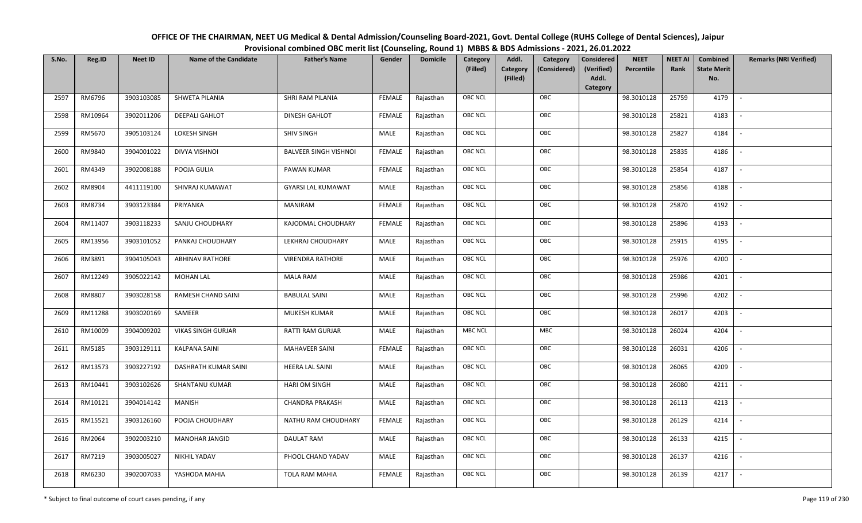| OFFICE OF THE CHAIRMAN, NEET UG Medical & Dental Admission/Counseling Board-2021, Govt. Dental College (RUHS College of Dental Sciences), Jaipur |
|--------------------------------------------------------------------------------------------------------------------------------------------------|
| Provisional combined OBC merit list (Counseling, Round 1) MBBS & BDS Admissions - 2021, 26.01.2022                                               |

| S.No. | Reg.ID  | <b>Neet ID</b> | <b>Name of the Candidate</b> | <b>Father's Name</b>         | Gender        | <b>Domicile</b> | Category<br>(Filled) | Addl.<br><b>Category</b><br>(Filled) | Category<br>(Considered) | <b>Considered</b><br>(Verified)<br>Addl. | <b>NEET</b><br>Percentile | <b>NEET AI</b><br>Rank | Combined<br><b>State Merit</b><br>No. | <b>Remarks (NRI Verified)</b> |
|-------|---------|----------------|------------------------------|------------------------------|---------------|-----------------|----------------------|--------------------------------------|--------------------------|------------------------------------------|---------------------------|------------------------|---------------------------------------|-------------------------------|
|       |         |                |                              |                              |               |                 |                      |                                      |                          | Category                                 |                           |                        |                                       |                               |
| 2597  | RM6796  | 3903103085     | SHWETA PILANIA               | SHRI RAM PILANIA             | <b>FEMALE</b> | Rajasthan       | <b>OBC NCL</b>       |                                      | OBC                      |                                          | 98.3010128                | 25759                  | 4179                                  | $\sim$                        |
| 2598  | RM10964 | 3902011206     | <b>DEEPALI GAHLOT</b>        | <b>DINESH GAHLOT</b>         | <b>FEMALE</b> | Rajasthan       | OBC NCL              |                                      | OBC                      |                                          | 98.3010128                | 25821                  | 4183                                  |                               |
| 2599  | RM5670  | 3905103124     | LOKESH SINGH                 | <b>SHIV SINGH</b>            | MALE          | Rajasthan       | <b>OBC NCL</b>       |                                      | OBC                      |                                          | 98.3010128                | 25827                  | 4184                                  |                               |
| 2600  | RM9840  | 3904001022     | DIVYA VISHNOI                | <b>BALVEER SINGH VISHNOI</b> | <b>FEMALE</b> | Rajasthan       | OBC NCL              |                                      | OBC                      |                                          | 98.3010128                | 25835                  | 4186                                  | $\overline{\phantom{a}}$      |
| 2601  | RM4349  | 3902008188     | POOJA GULIA                  | PAWAN KUMAR                  | <b>FEMALE</b> | Rajasthan       | <b>OBC NCL</b>       |                                      | OBC                      |                                          | 98.3010128                | 25854                  | 4187                                  | $\sim$                        |
| 2602  | RM8904  | 4411119100     | SHIVRAJ KUMAWAT              | <b>GYARSI LAL KUMAWAT</b>    | MALE          | Rajasthan       | <b>OBC NCL</b>       |                                      | OBC                      |                                          | 98.3010128                | 25856                  | 4188                                  | $\overline{\phantom{a}}$      |
| 2603  | RM8734  | 3903123384     | PRIYANKA                     | <b>MANIRAM</b>               | <b>FEMALE</b> | Rajasthan       | OBC NCL              |                                      | OBC                      |                                          | 98.3010128                | 25870                  | 4192                                  |                               |
| 2604  | RM11407 | 3903118233     | SANJU CHOUDHARY              | KAJODMAL CHOUDHARY           | <b>FEMALE</b> | Rajasthan       | OBC NCL              |                                      | OBC                      |                                          | 98.3010128                | 25896                  | 4193                                  |                               |
| 2605  | RM13956 | 3903101052     | PANKAJ CHOUDHARY             | LEKHRAJ CHOUDHARY            | MALE          | Rajasthan       | OBC NCL              |                                      | OBC                      |                                          | 98.3010128                | 25915                  | 4195                                  |                               |
| 2606  | RM3891  | 3904105043     | <b>ABHINAV RATHORE</b>       | <b>VIRENDRA RATHORE</b>      | MALE          | Rajasthan       | OBC NCL              |                                      | OBC                      |                                          | 98.3010128                | 25976                  | 4200                                  | $\overline{\phantom{a}}$      |
| 2607  | RM12249 | 3905022142     | <b>MOHAN LAL</b>             | <b>MALA RAM</b>              | MALE          | Rajasthan       | <b>OBC NCL</b>       |                                      | OBC                      |                                          | 98.3010128                | 25986                  | 4201                                  |                               |
| 2608  | RM8807  | 3903028158     | RAMESH CHAND SAINI           | <b>BABULAL SAINI</b>         | MALE          | Rajasthan       | OBC NCL              |                                      | OBC                      |                                          | 98.3010128                | 25996                  | 4202                                  | $\sim$                        |
| 2609  | RM11288 | 3903020169     | SAMEER                       | MUKESH KUMAR                 | MALE          | Rajasthan       | <b>OBC NCL</b>       |                                      | OBC                      |                                          | 98.3010128                | 26017                  | 4203                                  |                               |
| 2610  | RM10009 | 3904009202     | <b>VIKAS SINGH GURJAR</b>    | RATTI RAM GURJAR             | MALE          | Rajasthan       | <b>MBC NCL</b>       |                                      | MBC                      |                                          | 98.3010128                | 26024                  | 4204                                  | $\overline{\phantom{a}}$      |
| 2611  | RM5185  | 3903129111     | <b>KALPANA SAINI</b>         | <b>MAHAVEER SAINI</b>        | <b>FEMALE</b> | Rajasthan       | OBC NCL              |                                      | OBC                      |                                          | 98.3010128                | 26031                  | 4206                                  | $\overline{\phantom{a}}$      |
| 2612  | RM13573 | 3903227192     | DASHRATH KUMAR SAINI         | HEERA LAL SAINI              | MALE          | Rajasthan       | <b>OBC NCL</b>       |                                      | OBC                      |                                          | 98.3010128                | 26065                  | 4209                                  | $\sim$                        |
| 2613  | RM10441 | 3903102626     | <b>SHANTANU KUMAR</b>        | <b>HARI OM SINGH</b>         | MALE          | Rajasthan       | <b>OBC NCL</b>       |                                      | OBC                      |                                          | 98.3010128                | 26080                  | 4211                                  | $\overline{\phantom{a}}$      |
| 2614  | RM10121 | 3904014142     | <b>MANISH</b>                | <b>CHANDRA PRAKASH</b>       | MALE          | Rajasthan       | OBC NCL              |                                      | OBC                      |                                          | 98.3010128                | 26113                  | 4213                                  |                               |
| 2615  | RM15521 | 3903126160     | POOJA CHOUDHARY              | NATHU RAM CHOUDHARY          | <b>FEMALE</b> | Rajasthan       | <b>OBC NCL</b>       |                                      | OBC                      |                                          | 98.3010128                | 26129                  | 4214                                  |                               |
| 2616  | RM2064  | 3902003210     | MANOHAR JANGID               | <b>DAULAT RAM</b>            | MALE          | Rajasthan       | OBC NCL              |                                      | OBC                      |                                          | 98.3010128                | 26133                  | 4215                                  | $\blacksquare$                |
| 2617  | RM7219  | 3903005027     | <b>NIKHIL YADAV</b>          | PHOOL CHAND YADAV            | <b>MALE</b>   | Rajasthan       | <b>OBC NCL</b>       |                                      | OBC                      |                                          | 98.3010128                | 26137                  | 4216                                  |                               |
| 2618  | RM6230  | 3902007033     | YASHODA MAHIA                | <b>TOLA RAM MAHIA</b>        | <b>FEMALE</b> | Rajasthan       | <b>OBC NCL</b>       |                                      | OBC                      |                                          | 98.3010128                | 26139                  | 4217                                  |                               |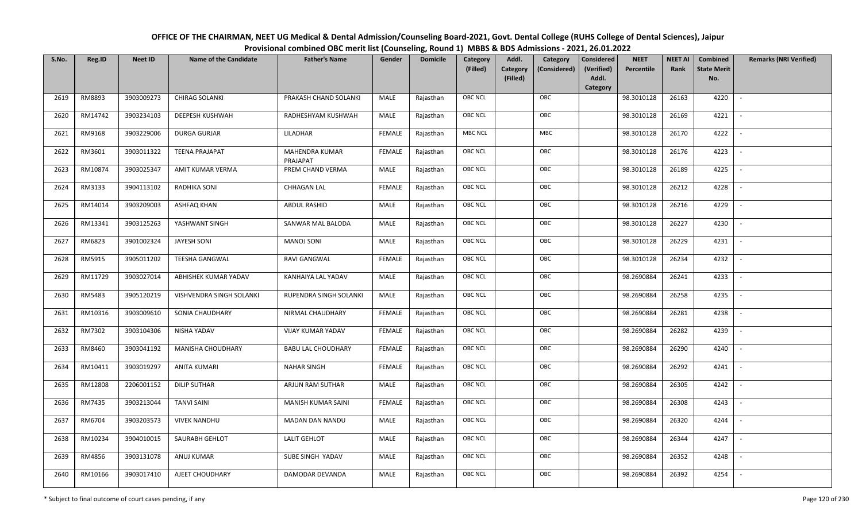OFFICE OF THE CHAIRMAN, NEET UG Medical & Dental Admission/Counseling Board-2021, Govt. Dental College (RUHS College of Dental Sciences), JaipurProvisional combined OBC merit list (Counseling, Round 1) MBBS & BDS Admissions - 2021, 26.01.2022

| S.No. | Reg.ID  | <b>Neet ID</b> | <b>Name of the Candidate</b> | <b>Father's Name</b>       | Gender        | <b>Domicile</b> | Category       | Addl.                       | Category     | Considered          | <b>NEET</b> | <b>NEET AI</b> | Combined                  | <b>Remarks (NRI Verified)</b> |
|-------|---------|----------------|------------------------------|----------------------------|---------------|-----------------|----------------|-----------------------------|--------------|---------------------|-------------|----------------|---------------------------|-------------------------------|
|       |         |                |                              |                            |               |                 | (Filled)       | <b>Category</b><br>(Filled) | (Considered) | (Verified)<br>Addl. | Percentile  | Rank           | <b>State Merit</b><br>No. |                               |
|       |         |                |                              |                            |               |                 |                |                             |              | Category            |             |                |                           |                               |
| 2619  | RM8893  | 3903009273     | <b>CHIRAG SOLANKI</b>        | PRAKASH CHAND SOLANKI      | MALE          | Rajasthan       | OBC NCL        |                             | OBC          |                     | 98.3010128  | 26163          | 4220                      | $\overline{\phantom{a}}$      |
| 2620  | RM14742 | 3903234103     | <b>DEEPESH KUSHWAH</b>       | RADHESHYAM KUSHWAH         | MALE          | Rajasthan       | <b>OBC NCL</b> |                             | OBC          |                     | 98.3010128  | 26169          | 4221                      |                               |
| 2621  | RM9168  | 3903229006     | <b>DURGA GURJAR</b>          | LILADHAR                   | <b>FEMALE</b> | Rajasthan       | MBC NCL        |                             | <b>MBC</b>   |                     | 98.3010128  | 26170          | 4222                      |                               |
| 2622  | RM3601  | 3903011322     | <b>TEENA PRAJAPAT</b>        | MAHENDRA KUMAR<br>PRAJAPAT | <b>FEMALE</b> | Rajasthan       | OBC NCL        |                             | OBC          |                     | 98.3010128  | 26176          | 4223                      |                               |
| 2623  | RM10874 | 3903025347     | AMIT KUMAR VERMA             | PREM CHAND VERMA           | <b>MALE</b>   | Rajasthan       | OBC NCL        |                             | OBC          |                     | 98.3010128  | 26189          | 4225                      | $\sim$                        |
| 2624  | RM3133  | 3904113102     | RADHIKA SONI                 | <b>CHHAGAN LAL</b>         | <b>FEMALE</b> | Rajasthan       | OBC NCL        |                             | OBC          |                     | 98.3010128  | 26212          | 4228                      | $\overline{\phantom{a}}$      |
| 2625  | RM14014 | 3903209003     | ASHFAQ KHAN                  | ABDUL RASHID               | MALE          | Rajasthan       | <b>OBC NCL</b> |                             | OBC          |                     | 98.3010128  | 26216          | 4229                      | $\overline{\phantom{a}}$      |
| 2626  | RM13341 | 3903125263     | YASHWANT SINGH               | SANWAR MAL BALODA          | MALE          | Rajasthan       | OBC NCL        |                             | OBC          |                     | 98.3010128  | 26227          | 4230                      |                               |
| 2627  | RM6823  | 3901002324     | <b>JAYESH SONI</b>           | <b>MANOJ SONI</b>          | MALE          | Rajasthan       | <b>OBC NCL</b> |                             | OBC          |                     | 98.3010128  | 26229          | 4231                      |                               |
| 2628  | RM5915  | 3905011202     | <b>TEESHA GANGWAL</b>        | RAVI GANGWAL               | <b>FEMALE</b> | Rajasthan       | OBC NCL        |                             | OBC          |                     | 98.3010128  | 26234          | 4232                      | $\overline{\phantom{a}}$      |
| 2629  | RM11729 | 3903027014     | ABHISHEK KUMAR YADAV         | KANHAIYA LAL YADAV         | MALE          | Rajasthan       | <b>OBC NCL</b> |                             | OBC          |                     | 98.2690884  | 26241          | 4233                      |                               |
| 2630  | RM5483  | 3905120219     | VISHVENDRA SINGH SOLANKI     | RUPENDRA SINGH SOLANKI     | MALE          | Rajasthan       | <b>OBC NCL</b> |                             | OBC          |                     | 98.2690884  | 26258          | 4235                      | $\overline{\phantom{a}}$      |
| 2631  | RM10316 | 3903009610     | SONIA CHAUDHARY              | NIRMAL CHAUDHARY           | <b>FEMALE</b> | Rajasthan       | OBC NCL        |                             | OBC          |                     | 98.2690884  | 26281          | 4238                      |                               |
| 2632  | RM7302  | 3903104306     | NISHA YADAV                  | VIJAY KUMAR YADAV          | <b>FEMALE</b> | Rajasthan       | <b>OBC NCL</b> |                             | OBC          |                     | 98.2690884  | 26282          | 4239                      | $\sim$                        |
| 2633  | RM8460  | 3903041192     | MANISHA CHOUDHARY            | <b>BABU LAL CHOUDHARY</b>  | <b>FEMALE</b> | Rajasthan       | OBC NCL        |                             | OBC          |                     | 98.2690884  | 26290          | 4240                      | $\overline{\phantom{a}}$      |
| 2634  | RM10411 | 3903019297     | <b>ANITA KUMARI</b>          | <b>NAHAR SINGH</b>         | <b>FEMALE</b> | Rajasthan       | OBC NCL        |                             | OBC          |                     | 98.2690884  | 26292          | 4241                      | $\sim$                        |
| 2635  | RM12808 | 2206001152     | <b>DILIP SUTHAR</b>          | ARJUN RAM SUTHAR           | MALE          | Rajasthan       | OBC NCL        |                             | OBC          |                     | 98.2690884  | 26305          | 4242                      | $\overline{\phantom{a}}$      |
| 2636  | RM7435  | 3903213044     | <b>TANVI SAINI</b>           | MANISH KUMAR SAINI         | <b>FEMALE</b> | Rajasthan       | <b>OBC NCL</b> |                             | OBC          |                     | 98.2690884  | 26308          | 4243                      | $\overline{\phantom{a}}$      |
| 2637  | RM6704  | 3903203573     | <b>VIVEK NANDHU</b>          | MADAN DAN NANDU            | MALE          | Rajasthan       | <b>OBC NCL</b> |                             | OBC          |                     | 98.2690884  | 26320          | 4244                      |                               |
| 2638  | RM10234 | 3904010015     | SAURABH GEHLOT               | <b>LALIT GEHLOT</b>        | <b>MALE</b>   | Rajasthan       | <b>OBC NCL</b> |                             | OBC          |                     | 98.2690884  | 26344          | 4247                      | $\overline{\phantom{a}}$      |
| 2639  | RM4856  | 3903131078     | ANUJ KUMAR                   | SUBE SINGH YADAV           | <b>MALE</b>   | Rajasthan       | OBC NCL        |                             | OBC          |                     | 98.2690884  | 26352          | 4248                      | $\sim$                        |
| 2640  | RM10166 | 3903017410     | AJEET CHOUDHARY              | DAMODAR DEVANDA            | MALE          | Rajasthan       | <b>OBC NCL</b> |                             | OBC          |                     | 98.2690884  | 26392          | 4254                      |                               |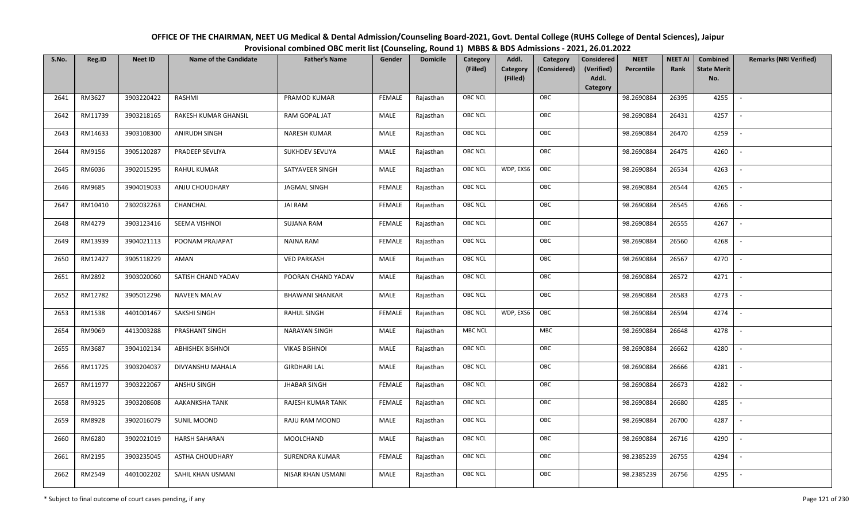| OFFICE OF THE CHAIRMAN, NEET UG Medical & Dental Admission/Counseling Board-2021, Govt. Dental College (RUHS College of Dental Sciences), Jaipur |
|--------------------------------------------------------------------------------------------------------------------------------------------------|
| Provisional combined OBC merit list (Counseling, Round 1) MBBS & BDS Admissions - 2021, 26.01.2022                                               |

| S.No. | Reg.ID  | <b>Neet ID</b> | <b>Name of the Candidate</b> | <b>Father's Name</b>   | Gender        | <b>Domicile</b> | Category<br>(Filled) | Addl.<br><b>Category</b><br>(Filled) | Category<br>(Considered) | <b>Considered</b><br>(Verified)<br>Addl. | <b>NEET</b><br>Percentile | <b>NEET AI</b><br>Rank | Combined<br><b>State Merit</b><br>No. | <b>Remarks (NRI Verified)</b> |
|-------|---------|----------------|------------------------------|------------------------|---------------|-----------------|----------------------|--------------------------------------|--------------------------|------------------------------------------|---------------------------|------------------------|---------------------------------------|-------------------------------|
| 2641  | RM3627  | 3903220422     | RASHMI                       | PRAMOD KUMAR           | <b>FEMALE</b> | Rajasthan       | <b>OBC NCL</b>       |                                      | OBC                      | Category                                 | 98.2690884                | 26395                  | 4255                                  | $\sim$                        |
| 2642  | RM11739 | 3903218165     | RAKESH KUMAR GHANSIL         | RAM GOPAL JAT          | MALE          | Rajasthan       | OBC NCL              |                                      | OBC                      |                                          | 98.2690884                | 26431                  | 4257                                  |                               |
| 2643  | RM14633 | 3903108300     | ANIRUDH SINGH                | <b>NARESH KUMAR</b>    | MALE          | Rajasthan       | OBC NCL              |                                      | OBC                      |                                          | 98.2690884                | 26470                  | 4259                                  |                               |
| 2644  | RM9156  | 3905120287     | PRADEEP SEVLIYA              | SUKHDEV SEVLIYA        | MALE          | Rajasthan       | OBC NCL              |                                      | OBC                      |                                          | 98.2690884                | 26475                  | 4260                                  | $\overline{\phantom{a}}$      |
| 2645  | RM6036  | 3902015295     | RAHUL KUMAR                  | SATYAVEER SINGH        | MALE          | Rajasthan       | <b>OBC NCL</b>       | WDP, EXS6                            | OBC                      |                                          | 98.2690884                | 26534                  | 4263                                  | $\sim$                        |
| 2646  | RM9685  | 3904019033     | ANJU CHOUDHARY               | <b>JAGMAL SINGH</b>    | <b>FEMALE</b> | Rajasthan       | <b>OBC NCL</b>       |                                      | OBC                      |                                          | 98.2690884                | 26544                  | 4265                                  | $\sim$                        |
| 2647  | RM10410 | 2302032263     | CHANCHAL                     | <b>JAI RAM</b>         | <b>FEMALE</b> | Rajasthan       | OBC NCL              |                                      | OBC                      |                                          | 98.2690884                | 26545                  | 4266                                  | $\blacksquare$                |
| 2648  | RM4279  | 3903123416     | SEEMA VISHNOI                | <b>SUJANA RAM</b>      | <b>FEMALE</b> | Rajasthan       | OBC NCL              |                                      | OBC                      |                                          | 98.2690884                | 26555                  | 4267                                  |                               |
| 2649  | RM13939 | 3904021113     | POONAM PRAJAPAT              | <b>NAINA RAM</b>       | <b>FEMALE</b> | Rajasthan       | OBC NCL              |                                      | OBC                      |                                          | 98.2690884                | 26560                  | 4268                                  |                               |
| 2650  | RM12427 | 3905118229     | AMAN                         | <b>VED PARKASH</b>     | MALE          | Rajasthan       | OBC NCL              |                                      | OBC                      |                                          | 98.2690884                | 26567                  | 4270                                  | $\overline{\phantom{a}}$      |
| 2651  | RM2892  | 3903020060     | SATISH CHAND YADAV           | POORAN CHAND YADAV     | MALE          | Rajasthan       | <b>OBC NCL</b>       |                                      | OBC                      |                                          | 98.2690884                | 26572                  | 4271                                  |                               |
| 2652  | RM12782 | 3905012296     | <b>NAVEEN MALAV</b>          | <b>BHAWANI SHANKAR</b> | MALE          | Rajasthan       | OBC NCL              |                                      | OBC                      |                                          | 98.2690884                | 26583                  | 4273                                  | $\sim$                        |
| 2653  | RM1538  | 4401001467     | SAKSHI SINGH                 | RAHUL SINGH            | <b>FEMALE</b> | Rajasthan       | <b>OBC NCL</b>       | WDP, EXS6                            | OBC                      |                                          | 98.2690884                | 26594                  | 4274                                  |                               |
| 2654  | RM9069  | 4413003288     | PRASHANT SINGH               | <b>NARAYAN SINGH</b>   | MALE          | Rajasthan       | <b>MBC NCL</b>       |                                      | MBC                      |                                          | 98.2690884                | 26648                  | 4278                                  | $\sim$                        |
| 2655  | RM3687  | 3904102134     | <b>ABHISHEK BISHNOI</b>      | <b>VIKAS BISHNOI</b>   | <b>MALE</b>   | Rajasthan       | OBC NCL              |                                      | OBC                      |                                          | 98.2690884                | 26662                  | 4280                                  | $\overline{\phantom{a}}$      |
| 2656  | RM11725 | 3903204037     | DIVYANSHU MAHALA             | <b>GIRDHARI LAL</b>    | MALE          | Rajasthan       | <b>OBC NCL</b>       |                                      | OBC                      |                                          | 98.2690884                | 26666                  | 4281                                  | $\sim$                        |
| 2657  | RM11977 | 3903222067     | ANSHU SINGH                  | <b>JHABAR SINGH</b>    | <b>FEMALE</b> | Rajasthan       | <b>OBC NCL</b>       |                                      | OBC                      |                                          | 98.2690884                | 26673                  | 4282                                  | $\overline{\phantom{a}}$      |
| 2658  | RM9325  | 3903208608     | AAKANKSHA TANK               | RAJESH KUMAR TANK      | <b>FEMALE</b> | Rajasthan       | OBC NCL              |                                      | OBC                      |                                          | 98.2690884                | 26680                  | 4285                                  |                               |
| 2659  | RM8928  | 3902016079     | <b>SUNIL MOOND</b>           | RAJU RAM MOOND         | MALE          | Rajasthan       | <b>OBC NCL</b>       |                                      | OBC                      |                                          | 98.2690884                | 26700                  | 4287                                  |                               |
| 2660  | RM6280  | 3902021019     | <b>HARSH SAHARAN</b>         | MOOLCHAND              | MALE          | Rajasthan       | OBC NCL              |                                      | OBC                      |                                          | 98.2690884                | 26716                  | 4290                                  |                               |
| 2661  | RM2195  | 3903235045     | <b>ASTHA CHOUDHARY</b>       | <b>SURENDRA KUMAR</b>  | <b>FEMALE</b> | Rajasthan       | <b>OBC NCL</b>       |                                      | OBC                      |                                          | 98.2385239                | 26755                  | 4294                                  |                               |
| 2662  | RM2549  | 4401002202     | SAHIL KHAN USMANI            | NISAR KHAN USMANI      | MALE          | Rajasthan       | <b>OBC NCL</b>       |                                      | OBC                      |                                          | 98.2385239                | 26756                  | 4295                                  |                               |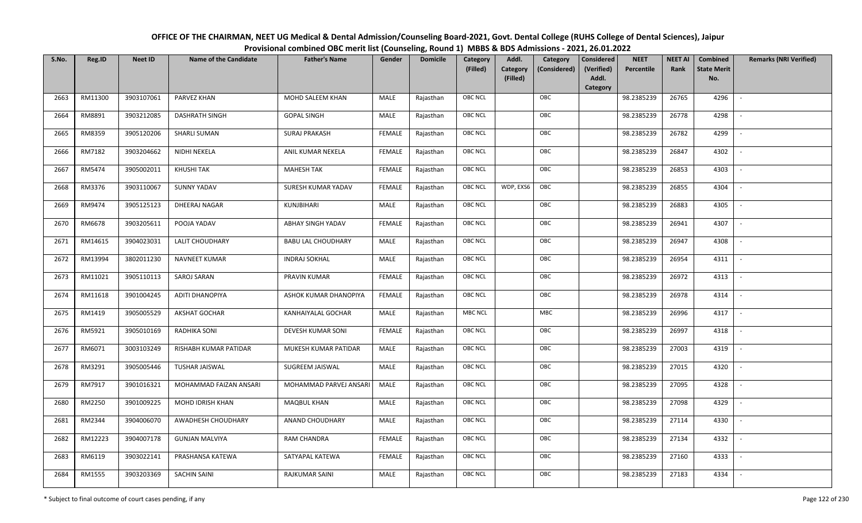| OFFICE OF THE CHAIRMAN, NEET UG Medical & Dental Admission/Counseling Board-2021, Govt. Dental College (RUHS College of Dental Sciences), Jaipur |
|--------------------------------------------------------------------------------------------------------------------------------------------------|
| Provisional combined OBC merit list (Counseling, Round 1) MBBS & BDS Admissions - 2021, 26.01.2022                                               |

| S.No. | Reg.ID  | <b>Neet ID</b> | <b>Name of the Candidate</b> | <b>Father's Name</b>      | Gender        | <b>Domicile</b> | <b>Category</b> | Addl.                | Category     | <b>Considered</b>   | <b>NEET</b> | <b>NEET AI</b> | Combined                  | <b>Remarks (NRI Verified)</b> |
|-------|---------|----------------|------------------------------|---------------------------|---------------|-----------------|-----------------|----------------------|--------------|---------------------|-------------|----------------|---------------------------|-------------------------------|
|       |         |                |                              |                           |               |                 | (Filled)        | Category<br>(Filled) | (Considered) | (Verified)<br>Addl. | Percentile  | Rank           | <b>State Merit</b><br>No. |                               |
|       |         |                |                              |                           |               |                 |                 |                      |              | <b>Category</b>     |             |                |                           |                               |
| 2663  | RM11300 | 3903107061     | PARVEZ KHAN                  | MOHD SALEEM KHAN          | MALE          | Rajasthan       | OBC NCL         |                      | OBC          |                     | 98.2385239  | 26765          | 4296                      |                               |
| 2664  | RM8891  | 3903212085     | <b>DASHRATH SINGH</b>        | <b>GOPAL SINGH</b>        | MALE          | Rajasthan       | OBC NCL         |                      | OBC          |                     | 98.2385239  | 26778          | 4298                      |                               |
| 2665  | RM8359  | 3905120206     | <b>SHARLI SUMAN</b>          | <b>SURAJ PRAKASH</b>      | <b>FEMALE</b> | Rajasthan       | OBC NCL         |                      | OBC          |                     | 98.2385239  | 26782          | 4299                      |                               |
| 2666  | RM7182  | 3903204662     | NIDHI NEKELA                 | ANIL KUMAR NEKELA         | <b>FEMALE</b> | Rajasthan       | OBC NCL         |                      | OBC          |                     | 98.2385239  | 26847          | 4302                      | $\overline{\phantom{a}}$      |
| 2667  | RM5474  | 3905002011     | KHUSHI TAK                   | <b>MAHESH TAK</b>         | <b>FEMALE</b> | Rajasthan       | OBC NCL         |                      | OBC          |                     | 98.2385239  | 26853          | 4303                      | $\sim$                        |
| 2668  | RM3376  | 3903110067     | <b>SUNNY YADAV</b>           | SURESH KUMAR YADAV        | <b>FEMALE</b> | Rajasthan       | <b>OBC NCL</b>  | WDP, EXS6            | OBC          |                     | 98.2385239  | 26855          | 4304                      | $\overline{\phantom{a}}$      |
| 2669  | RM9474  | 3905125123     | DHEERAJ NAGAR                | KUNJBIHARI                | MALE          | Rajasthan       | OBC NCL         |                      | OBC          |                     | 98.2385239  | 26883          | 4305                      | $\blacksquare$                |
| 2670  | RM6678  | 3903205611     | POOJA YADAV                  | ABHAY SINGH YADAV         | <b>FEMALE</b> | Rajasthan       | <b>OBC NCL</b>  |                      | OBC          |                     | 98.2385239  | 26941          | 4307                      |                               |
| 2671  | RM14615 | 3904023031     | <b>LALIT CHOUDHARY</b>       | <b>BABU LAL CHOUDHARY</b> | MALE          | Rajasthan       | OBC NCL         |                      | OBC          |                     | 98.2385239  | 26947          | 4308                      |                               |
| 2672  | RM13994 | 3802011230     | <b>NAVNEET KUMAR</b>         | <b>INDRAJ SOKHAL</b>      | MALE          | Rajasthan       | OBC NCL         |                      | OBC          |                     | 98.2385239  | 26954          | 4311                      | $\overline{\phantom{a}}$      |
| 2673  | RM11021 | 3905110113     | SAROJ SARAN                  | PRAVIN KUMAR              | <b>FEMALE</b> | Rajasthan       | <b>OBC NCL</b>  |                      | OBC          |                     | 98.2385239  | 26972          | 4313                      |                               |
| 2674  | RM11618 | 3901004245     | ADITI DHANOPIYA              | ASHOK KUMAR DHANOPIYA     | <b>FEMALE</b> | Rajasthan       | OBC NCL         |                      | OBC          |                     | 98.2385239  | 26978          | 4314                      | $\sim$                        |
| 2675  | RM1419  | 3905005529     | <b>AKSHAT GOCHAR</b>         | KANHAIYALAL GOCHAR        | MALE          | Rajasthan       | <b>MBC NCL</b>  |                      | <b>MBC</b>   |                     | 98.2385239  | 26996          | 4317                      |                               |
| 2676  | RM5921  | 3905010169     | RADHIKA SONI                 | DEVESH KUMAR SONI         | <b>FEMALE</b> | Rajasthan       | OBC NCL         |                      | OBC          |                     | 98.2385239  | 26997          | 4318                      | $\overline{\phantom{a}}$      |
| 2677  | RM6071  | 3003103249     | RISHABH KUMAR PATIDAR        | MUKESH KUMAR PATIDAR      | MALE          | Rajasthan       | OBC NCL         |                      | OBC          |                     | 98.2385239  | 27003          | 4319                      | $\overline{\phantom{a}}$      |
| 2678  | RM3291  | 3905005446     | TUSHAR JAISWAL               | SUGREEM JAISWAL           | MALE          | Rajasthan       | OBC NCL         |                      | OBC          |                     | 98.2385239  | 27015          | 4320                      | $\sim$                        |
| 2679  | RM7917  | 3901016321     | MOHAMMAD FAIZAN ANSARI       | MOHAMMAD PARVEJ ANSARI    | MALE          | Rajasthan       | <b>OBC NCL</b>  |                      | OBC          |                     | 98.2385239  | 27095          | 4328                      | $\overline{\phantom{a}}$      |
| 2680  | RM2250  | 3901009225     | MOHD IDRISH KHAN             | <b>MAQBUL KHAN</b>        | MALE          | Rajasthan       | <b>OBC NCL</b>  |                      | OBC          |                     | 98.2385239  | 27098          | 4329                      |                               |
| 2681  | RM2344  | 3904006070     | AWADHESH CHOUDHARY           | ANAND CHOUDHARY           | MALE          | Rajasthan       | OBC NCL         |                      | OBC          |                     | 98.2385239  | 27114          | 4330                      |                               |
| 2682  | RM12223 | 3904007178     | <b>GUNJAN MALVIYA</b>        | RAM CHANDRA               | <b>FEMALE</b> | Rajasthan       | OBC NCL         |                      | OBC          |                     | 98.2385239  | 27134          | 4332                      |                               |
| 2683  | RM6119  | 3903022141     | PRASHANSA KATEWA             | SATYAPAL KATEWA           | <b>FEMALE</b> | Rajasthan       | <b>OBC NCL</b>  |                      | OBC          |                     | 98.2385239  | 27160          | 4333                      |                               |
| 2684  | RM1555  | 3903203369     | <b>SACHIN SAINI</b>          | <b>RAJKUMAR SAINI</b>     | MALE          | Rajasthan       | OBC NCL         |                      | OBC          |                     | 98.2385239  | 27183          | 4334                      |                               |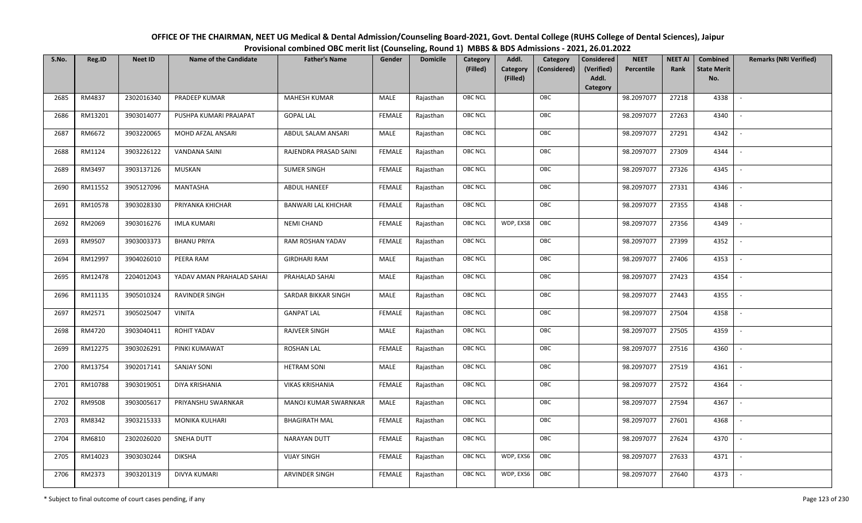| OFFICE OF THE CHAIRMAN, NEET UG Medical & Dental Admission/Counseling Board-2021, Govt. Dental College (RUHS College of Dental Sciences), Jaipur |
|--------------------------------------------------------------------------------------------------------------------------------------------------|
| Provisional combined OBC merit list (Counseling, Round 1) MBBS & BDS Admissions - 2021, 26.01.2022                                               |

| S.No. | Reg.ID  | <b>Neet ID</b> | <b>Name of the Candidate</b> | <b>Father's Name</b>       | Gender        | <b>Domicile</b> | Category<br>(Filled) | Addl.<br>Category | Category<br>(Considered) | <b>Considered</b><br>(Verified) | <b>NEET</b><br>Percentile | <b>NEET AI</b><br>Rank | Combined<br><b>State Merit</b> | <b>Remarks (NRI Verified)</b> |
|-------|---------|----------------|------------------------------|----------------------------|---------------|-----------------|----------------------|-------------------|--------------------------|---------------------------------|---------------------------|------------------------|--------------------------------|-------------------------------|
|       |         |                |                              |                            |               |                 |                      | (Filled)          |                          | Addl.<br>Category               |                           |                        | No.                            |                               |
| 2685  | RM4837  | 2302016340     | PRADEEP KUMAR                | <b>MAHESH KUMAR</b>        | MALE          | Rajasthan       | OBC NCL              |                   | OBC                      |                                 | 98.2097077                | 27218                  | 4338                           | $\overline{\phantom{a}}$      |
| 2686  | RM13201 | 3903014077     | PUSHPA KUMARI PRAJAPAT       | <b>GOPAL LAL</b>           | <b>FEMALE</b> | Rajasthan       | OBC NCL              |                   | OBC                      |                                 | 98.2097077                | 27263                  | 4340                           |                               |
| 2687  | RM6672  | 3903220065     | MOHD AFZAL ANSARI            | ABDUL SALAM ANSARI         | MALE          | Rajasthan       | <b>OBC NCL</b>       |                   | OBC                      |                                 | 98.2097077                | 27291                  | 4342                           |                               |
| 2688  | RM1124  | 3903226122     | VANDANA SAINI                | RAJENDRA PRASAD SAINI      | <b>FEMALE</b> | Rajasthan       | OBC NCL              |                   | OBC                      |                                 | 98.2097077                | 27309                  | 4344                           | $\overline{\phantom{a}}$      |
| 2689  | RM3497  | 3903137126     | <b>MUSKAN</b>                | <b>SUMER SINGH</b>         | <b>FEMALE</b> | Rajasthan       | OBC NCL              |                   | OBC                      |                                 | 98.2097077                | 27326                  | 4345                           | $\overline{\phantom{a}}$      |
| 2690  | RM11552 | 3905127096     | MANTASHA                     | ABDUL HANEEF               | <b>FEMALE</b> | Rajasthan       | OBC NCL              |                   | OBC                      |                                 | 98.2097077                | 27331                  | 4346                           | $\overline{\phantom{a}}$      |
| 2691  | RM10578 | 3903028330     | PRIYANKA KHICHAR             | <b>BANWARI LAL KHICHAR</b> | <b>FEMALE</b> | Rajasthan       | OBC NCL              |                   | OBC                      |                                 | 98.2097077                | 27355                  | 4348                           | $\sim$                        |
| 2692  | RM2069  | 3903016276     | <b>IMLA KUMARI</b>           | NEMI CHAND                 | <b>FEMALE</b> | Rajasthan       | <b>OBC NCL</b>       | WDP, EXS8         | OBC                      |                                 | 98.2097077                | 27356                  | 4349                           |                               |
| 2693  | RM9507  | 3903003373     | <b>BHANU PRIYA</b>           | RAM ROSHAN YADAV           | <b>FEMALE</b> | Rajasthan       | OBC NCL              |                   | OBC                      |                                 | 98.2097077                | 27399                  | 4352                           |                               |
| 2694  | RM12997 | 3904026010     | PEERA RAM                    | <b>GIRDHARI RAM</b>        | MALE          | Rajasthan       | OBC NCL              |                   | OBC                      |                                 | 98.2097077                | 27406                  | 4353                           |                               |
| 2695  | RM12478 | 2204012043     | YADAV AMAN PRAHALAD SAHAI    | PRAHALAD SAHAI             | MALE          | Rajasthan       | OBC NCL              |                   | OBC                      |                                 | 98.2097077                | 27423                  | 4354                           |                               |
| 2696  | RM11135 | 3905010324     | RAVINDER SINGH               | SARDAR BIKKAR SINGH        | MALE          | Rajasthan       | OBC NCL              |                   | OBC                      |                                 | 98.2097077                | 27443                  | 4355                           | $\mathbf{r}$                  |
| 2697  | RM2571  | 3905025047     | <b>VINITA</b>                | <b>GANPAT LAL</b>          | <b>FEMALE</b> | Rajasthan       | OBC NCL              |                   | OBC                      |                                 | 98.2097077                | 27504                  | 4358                           |                               |
| 2698  | RM4720  | 3903040411     | ROHIT YADAV                  | RAJVEER SINGH              | MALE          | Rajasthan       | <b>OBC NCL</b>       |                   | OBC                      |                                 | 98.2097077                | 27505                  | 4359                           |                               |
| 2699  | RM12275 | 3903026291     | PINKI KUMAWAT                | <b>ROSHAN LAL</b>          | <b>FEMALE</b> | Rajasthan       | OBC NCL              |                   | OBC                      |                                 | 98.2097077                | 27516                  | 4360                           | $\overline{\phantom{a}}$      |
| 2700  | RM13754 | 3902017141     | <b>SANJAY SONI</b>           | <b>HETRAM SONI</b>         | <b>MALE</b>   | Rajasthan       | OBC NCL              |                   | OBC                      |                                 | 98.2097077                | 27519                  | 4361                           | $\overline{\phantom{a}}$      |
| 2701  | RM10788 | 3903019051     | DIYA KRISHANIA               | <b>VIKAS KRISHANIA</b>     | <b>FEMALE</b> | Rajasthan       | OBC NCL              |                   | OBC                      |                                 | 98.2097077                | 27572                  | 4364                           | $\overline{\phantom{a}}$      |
| 2702  | RM9508  | 3903005617     | PRIYANSHU SWARNKAR           | MANOJ KUMAR SWARNKAR       | MALE          | Rajasthan       | OBC NCL              |                   | OBC                      |                                 | 98.2097077                | 27594                  | 4367                           | $\overline{\phantom{a}}$      |
| 2703  | RM8342  | 3903215333     | MONIKA KULHARI               | <b>BHAGIRATH MAL</b>       | <b>FEMALE</b> | Rajasthan       | OBC NCL              |                   | OBC                      |                                 | 98.2097077                | 27601                  | 4368                           |                               |
| 2704  | RM6810  | 2302026020     | SNEHA DUTT                   | NARAYAN DUTT               | <b>FEMALE</b> | Rajasthan       | OBC NCL              |                   | OBC                      |                                 | 98.2097077                | 27624                  | 4370                           |                               |
| 2705  | RM14023 | 3903030244     | <b>DIKSHA</b>                | <b>VIJAY SINGH</b>         | <b>FEMALE</b> | Rajasthan       | <b>OBC NCL</b>       | WDP, EXS6         | OBC                      |                                 | 98.2097077                | 27633                  | 4371                           | $\overline{\phantom{a}}$      |
| 2706  | RM2373  | 3903201319     | <b>DIVYA KUMARI</b>          | <b>ARVINDER SINGH</b>      | <b>FEMALE</b> | Rajasthan       | OBC NCL              | WDP, EXS6         | OBC                      |                                 | 98.2097077                | 27640                  | 4373                           |                               |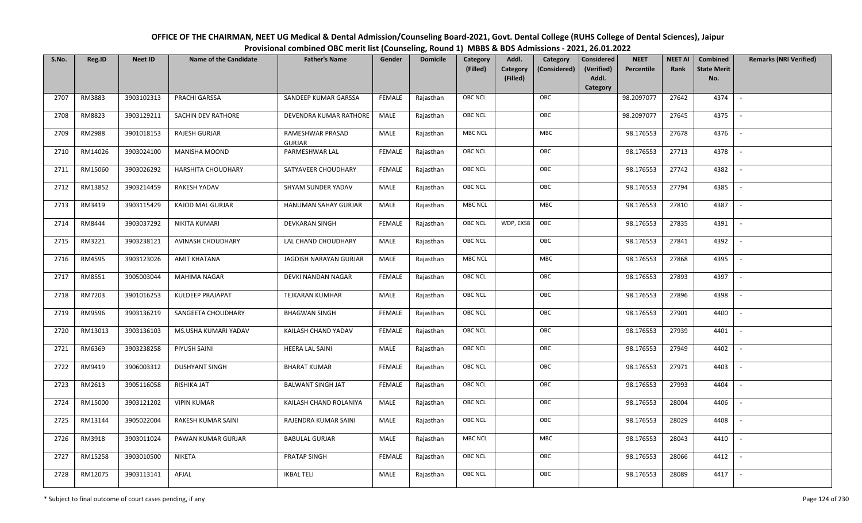OFFICE OF THE CHAIRMAN, NEET UG Medical & Dental Admission/Counseling Board-2021, Govt. Dental College (RUHS College of Dental Sciences), JaipurProvisional combined OBC merit list (Counseling, Round 1) MBBS & BDS Admissions - 2021, 26.01.2022

| S.No. | Reg.ID  | <b>Neet ID</b> | <b>Name of the Candidate</b> | <b>Father's Name</b>              | Gender        | <b>Domicile</b> | Category       | Addl.                | Category     | Considered          | <b>NEET</b> | <b>NEET AI</b> | Combined                  | <b>Remarks (NRI Verified)</b> |
|-------|---------|----------------|------------------------------|-----------------------------------|---------------|-----------------|----------------|----------------------|--------------|---------------------|-------------|----------------|---------------------------|-------------------------------|
|       |         |                |                              |                                   |               |                 | (Filled)       | Category<br>(Filled) | (Considered) | (Verified)<br>Addl. | Percentile  | Rank           | <b>State Merit</b><br>No. |                               |
|       |         |                |                              |                                   |               |                 |                |                      |              | Category            |             |                |                           |                               |
| 2707  | RM3883  | 3903102313     | PRACHI GARSSA                | SANDEEP KUMAR GARSSA              | <b>FEMALE</b> | Rajasthan       | <b>OBC NCL</b> |                      | OBC          |                     | 98.2097077  | 27642          | 4374                      | $\overline{\phantom{a}}$      |
| 2708  | RM8823  | 3903129211     | SACHIN DEV RATHORE           | DEVENDRA KUMAR RATHORE            | MALE          | Rajasthan       | OBC NCL        |                      | OBC          |                     | 98.2097077  | 27645          | 4375                      |                               |
| 2709  | RM2988  | 3901018153     | <b>RAJESH GURJAR</b>         | RAMESHWAR PRASAD<br><b>GURJAR</b> | <b>MALE</b>   | Rajasthan       | MBC NCL        |                      | MBC          |                     | 98.176553   | 27678          | 4376                      |                               |
| 2710  | RM14026 | 3903024100     | <b>MANISHA MOOND</b>         | PARMESHWAR LAL                    | <b>FEMALE</b> | Rajasthan       | OBC NCL        |                      | OBC          |                     | 98.176553   | 27713          | 4378                      |                               |
| 2711  | RM15060 | 3903026292     | <b>HARSHITA CHOUDHARY</b>    | SATYAVEER CHOUDHARY               | <b>FEMALE</b> | Rajasthan       | OBC NCL        |                      | OBC          |                     | 98.176553   | 27742          | 4382                      | $\sim$                        |
| 2712  | RM13852 | 3903214459     | RAKESH YADAV                 | SHYAM SUNDER YADAV                | MALE          | Rajasthan       | <b>OBC NCL</b> |                      | OBC          |                     | 98.176553   | 27794          | 4385                      | $\overline{\phantom{a}}$      |
| 2713  | RM3419  | 3903115429     | KAJOD MAL GURJAR             | HANUMAN SAHAY GURJAR              | MALE          | Rajasthan       | MBC NCL        |                      | MBC          |                     | 98.176553   | 27810          | 4387                      | $\mathbb{L}$                  |
| 2714  | RM8444  | 3903037292     | NIKITA KUMARI                | <b>DEVKARAN SINGH</b>             | <b>FEMALE</b> | Rajasthan       | <b>OBC NCL</b> | WDP, EXS8            | OBC          |                     | 98.176553   | 27835          | 4391                      | $\overline{\phantom{a}}$      |
| 2715  | RM3221  | 3903238121     | AVINASH CHOUDHARY            | LAL CHAND CHOUDHARY               | MALE          | Rajasthan       | <b>OBC NCL</b> |                      | OBC          |                     | 98.176553   | 27841          | 4392                      |                               |
| 2716  | RM4595  | 3903123026     | <b>AMIT KHATANA</b>          | JAGDISH NARAYAN GURJAR            | <b>MALE</b>   | Rajasthan       | <b>MBC NCL</b> |                      | <b>MBC</b>   |                     | 98.176553   | 27868          | 4395                      | $\sim$                        |
| 2717  | RM8551  | 3905003044     | <b>MAHIMA NAGAR</b>          | DEVKI NANDAN NAGAR                | <b>FEMALE</b> | Rajasthan       | OBC NCL        |                      | OBC          |                     | 98.176553   | 27893          | 4397                      |                               |
| 2718  | RM7203  | 3901016253     | <b>KULDEEP PRAJAPAT</b>      | <b>TEJKARAN KUMHAR</b>            | MALE          | Rajasthan       | OBC NCL        |                      | OBC          |                     | 98.176553   | 27896          | 4398                      | $\blacksquare$                |
| 2719  | RM9596  | 3903136219     | SANGEETA CHOUDHARY           | <b>BHAGWAN SINGH</b>              | <b>FEMALE</b> | Rajasthan       | OBC NCL        |                      | OBC          |                     | 98.176553   | 27901          | 4400                      |                               |
| 2720  | RM13013 | 3903136103     | MS.USHA KUMARI YADAV         | KAILASH CHAND YADAV               | <b>FEMALE</b> | Rajasthan       | OBC NCL        |                      | OBC          |                     | 98.176553   | 27939          | 4401                      | $\sim$                        |
| 2721  | RM6369  | 3903238258     | PIYUSH SAINI                 | HEERA LAL SAINI                   | <b>MALE</b>   | Rajasthan       | OBC NCL        |                      | OBC          |                     | 98.176553   | 27949          | 4402                      | $\sim$                        |
| 2722  | RM9419  | 3906003312     | <b>DUSHYANT SINGH</b>        | <b>BHARAT KUMAR</b>               | <b>FEMALE</b> | Rajasthan       | OBC NCL        |                      | OBC          |                     | 98.176553   | 27971          | 4403                      | $\sim$                        |
| 2723  | RM2613  | 3905116058     | RISHIKA JAT                  | <b>BALWANT SINGH JAT</b>          | <b>FEMALE</b> | Rajasthan       | <b>OBC NCL</b> |                      | OBC          |                     | 98.176553   | 27993          | 4404                      | $\overline{\phantom{a}}$      |
| 2724  | RM15000 | 3903121202     | <b>VIPIN KUMAR</b>           | KAILASH CHAND ROLANIYA            | <b>MALE</b>   | Rajasthan       | OBC NCL        |                      | OBC          |                     | 98.176553   | 28004          | 4406                      |                               |
| 2725  | RM13144 | 3905022004     | RAKESH KUMAR SAINI           | RAJENDRA KUMAR SAINI              | MALE          | Rajasthan       | OBC NCL        |                      | OBC          |                     | 98.176553   | 28029          | 4408                      |                               |
| 2726  | RM3918  | 3903011024     | PAWAN KUMAR GURJAR           | <b>BABULAL GURJAR</b>             | MALE          | Rajasthan       | <b>MBC NCL</b> |                      | <b>MBC</b>   |                     | 98.176553   | 28043          | 4410                      | $\overline{\phantom{a}}$      |
| 2727  | RM15258 | 3903010500     | <b>NIKETA</b>                | PRATAP SINGH                      | <b>FEMALE</b> | Rajasthan       | OBC NCL        |                      | OBC          |                     | 98.176553   | 28066          | 4412                      |                               |
| 2728  | RM12075 | 3903113141     | AFJAL                        | <b>IKBAL TELI</b>                 | MALE          | Rajasthan       | <b>OBC NCL</b> |                      | OBC          |                     | 98.176553   | 28089          | 4417                      |                               |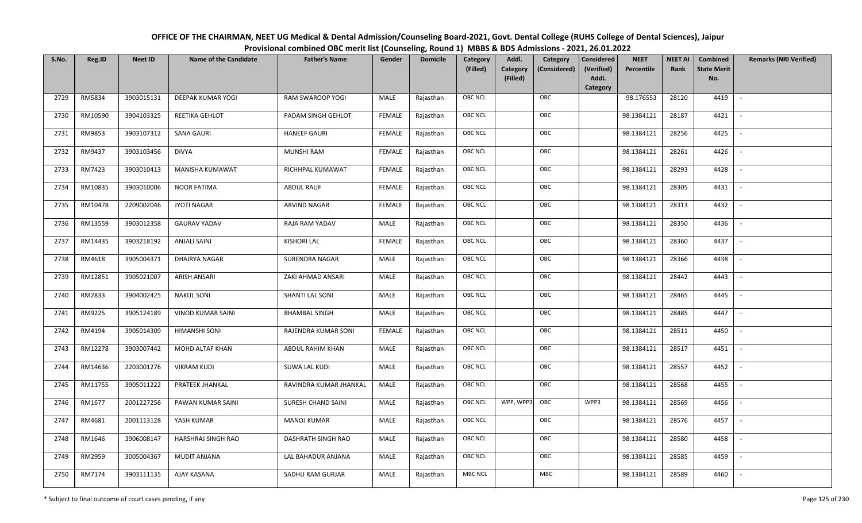| OFFICE OF THE CHAIRMAN, NEET UG Medical & Dental Admission/Counseling Board-2021, Govt. Dental College (RUHS College of Dental Sciences), Jaipur |
|--------------------------------------------------------------------------------------------------------------------------------------------------|
| Provisional combined OBC merit list (Counseling, Round 1) MBBS & BDS Admissions - 2021, 26.01.2022                                               |

| S.No. | Reg.ID  | <b>Neet ID</b> | <b>Name of the Candidate</b> | <b>Father's Name</b>    | Gender        | <b>Domicile</b> | Category<br>(Filled) | Addl.<br>Category<br>(Filled) | Category<br>(Considered) | <b>Considered</b><br>(Verified)<br>Addl.<br>Category | <b>NEET</b><br>Percentile | <b>NEET AI</b><br>Rank | Combined<br><b>State Merit</b><br>No. | <b>Remarks (NRI Verified)</b> |
|-------|---------|----------------|------------------------------|-------------------------|---------------|-----------------|----------------------|-------------------------------|--------------------------|------------------------------------------------------|---------------------------|------------------------|---------------------------------------|-------------------------------|
| 2729  | RM5834  | 3903015131     | <b>DEEPAK KUMAR YOGI</b>     | RAM SWAROOP YOGI        | MALE          | Rajasthan       | OBC NCL              |                               | OBC                      |                                                      | 98.176553                 | 28120                  | 4419                                  | $\blacksquare$                |
| 2730  | RM10590 | 3904103325     | REETIKA GEHLOT               | PADAM SINGH GEHLOT      | <b>FEMALE</b> | Rajasthan       | OBC NCL              |                               | OBC                      |                                                      | 98.1384121                | 28187                  | 4421                                  |                               |
| 2731  | RM9853  | 3903107312     | <b>SANA GAURI</b>            | <b>HANEEF GAURI</b>     | <b>FEMALE</b> | Rajasthan       | <b>OBC NCL</b>       |                               | OBC                      |                                                      | 98.1384121                | 28256                  | 4425                                  |                               |
| 2732  | RM9437  | 3903103456     | <b>DIVYA</b>                 | <b>MUNSHI RAM</b>       | <b>FEMALE</b> | Rajasthan       | OBC NCL              |                               | OBC                      |                                                      | 98.1384121                | 28261                  | 4426                                  | $\overline{\phantom{a}}$      |
| 2733  | RM7423  | 3903010413     | MANISHA KUMAWAT              | RICHHPAL KUMAWAT        | <b>FEMALE</b> | Rajasthan       | OBC NCL              |                               | OBC                      |                                                      | 98.1384121                | 28293                  | 4428                                  | $\sim$                        |
| 2734  | RM10835 | 3903010006     | <b>NOOR FATIMA</b>           | <b>ABDUL RAUF</b>       | <b>FEMALE</b> | Rajasthan       | OBC NCL              |                               | OBC                      |                                                      | 98.1384121                | 28305                  | 4431                                  | $\overline{\phantom{a}}$      |
| 2735  | RM10478 | 2209002046     | <b>JYOTI NAGAR</b>           | ARVIND NAGAR            | <b>FEMALE</b> | Rajasthan       | OBC NCL              |                               | OBC                      |                                                      | 98.1384121                | 28313                  | 4432                                  |                               |
| 2736  | RM13559 | 3903012358     | <b>GAURAV YADAV</b>          | RAJA RAM YADAV          | MALE          | Rajasthan       | OBC NCL              |                               | OBC                      |                                                      | 98.1384121                | 28350                  | 4436                                  |                               |
| 2737  | RM14435 | 3903218192     | <b>ANJALI SAINI</b>          | <b>KISHORI LAL</b>      | <b>FEMALE</b> | Rajasthan       | OBC NCL              |                               | OBC                      |                                                      | 98.1384121                | 28360                  | 4437                                  |                               |
| 2738  | RM4618  | 3905004371     | DHAIRYA NAGAR                | <b>SURENDRA NAGAR</b>   | MALE          | Rajasthan       | OBC NCL              |                               | OBC                      |                                                      | 98.1384121                | 28366                  | 4438                                  |                               |
| 2739  | RM12851 | 3905021007     | <b>ARISH ANSARI</b>          | ZAKI AHMAD ANSARI       | MALE          | Rajasthan       | <b>OBC NCL</b>       |                               | OBC                      |                                                      | 98.1384121                | 28442                  | 4443                                  |                               |
| 2740  | RM2833  | 3904002425     | <b>NAKUL SONI</b>            | SHANTI LAL SONI         | MALE          | Rajasthan       | OBC NCL              |                               | OBC                      |                                                      | 98.1384121                | 28465                  | 4445                                  | $\sim$                        |
| 2741  | RM9225  | 3905124189     | <b>VINOD KUMAR SAINI</b>     | <b>BHAMBAL SINGH</b>    | MALE          | Rajasthan       | OBC NCL              |                               | OBC                      |                                                      | 98.1384121                | 28485                  | 4447                                  |                               |
| 2742  | RM4194  | 3905014309     | HIMANSHI SONI                | RAJENDRA KUMAR SONI     | <b>FEMALE</b> | Rajasthan       | OBC NCL              |                               | OBC                      |                                                      | 98.1384121                | 28511                  | 4450                                  | $\sim$                        |
| 2743  | RM12278 | 3903007442     | MOHD ALTAF KHAN              | <b>ABDUL RAHIM KHAN</b> | <b>MALE</b>   | Rajasthan       | OBC NCL              |                               | OBC                      |                                                      | 98.1384121                | 28517                  | 4451                                  | $\overline{\phantom{a}}$      |
| 2744  | RM14636 | 2203001276     | <b>VIKRAM KUDI</b>           | SUWA LAL KUDI           | MALE          | Rajasthan       | OBC NCL              |                               | OBC                      |                                                      | 98.1384121                | 28557                  | 4452                                  | $\sim$                        |
| 2745  | RM11755 | 3905011222     | PRATEEK JHANKAL              | RAVINDRA KUMAR JHANKAL  | MALE          | Rajasthan       | OBC NCL              |                               | OBC                      |                                                      | 98.1384121                | 28568                  | 4455                                  | $\overline{\phantom{a}}$      |
| 2746  | RM1677  | 2001227256     | PAWAN KUMAR SAINI            | SURESH CHAND SAINI      | MALE          | Rajasthan       | OBC NCL              | WPP, WPP3                     | OBC                      | WPP3                                                 | 98.1384121                | 28569                  | 4456                                  |                               |
| 2747  | RM4681  | 2001113128     | YASH KUMAR                   | <b>MANOJ KUMAR</b>      | MALE          | Rajasthan       | <b>OBC NCL</b>       |                               | OBC                      |                                                      | 98.1384121                | 28576                  | 4457                                  |                               |
| 2748  | RM1646  | 3906008147     | HARSHRAJ SINGH RAO           | DASHRATH SINGH RAO      | MALE          | Rajasthan       | OBC NCL              |                               | OBC                      |                                                      | 98.1384121                | 28580                  | 4458                                  | $\overline{\phantom{a}}$      |
| 2749  | RM2959  | 3005004367     | <b>MUDIT ANJANA</b>          | LAL BAHADUR ANJANA      | <b>MALE</b>   | Rajasthan       | OBC NCL              |                               | OBC                      |                                                      | 98.1384121                | 28585                  | 4459                                  |                               |
| 2750  | RM7174  | 3903111135     | AJAY KASANA                  | SADHU RAM GURJAR        | MALE          | Rajasthan       | <b>MBC NCL</b>       |                               | <b>MBC</b>               |                                                      | 98.1384121                | 28589                  | 4460                                  |                               |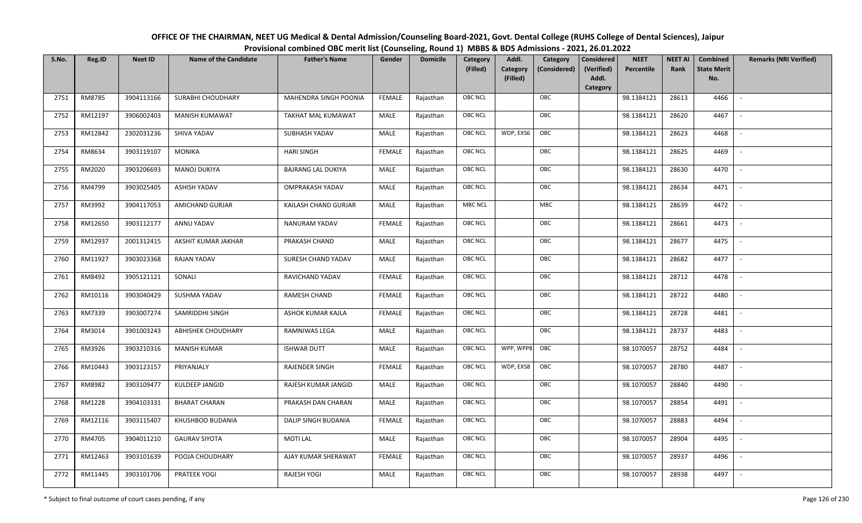OFFICE OF THE CHAIRMAN, NEET UG Medical & Dental Admission/Counseling Board-2021, Govt. Dental College (RUHS College of Dental Sciences), JaipurProvisional combined OBC merit list (Counseling, Round 1) MBBS & BDS Admissions - 2021, 26.01.2022

| S.No. | Reg.ID  | <b>Neet ID</b> | <b>Name of the Candidate</b> | <b>Father's Name</b>      | Gender        | <b>Domicile</b> | Category       | Addl.                | Category     | Considered          | <b>NEET</b> | <b>NEET AI</b> | Combined                  | <b>Remarks (NRI Verified)</b> |
|-------|---------|----------------|------------------------------|---------------------------|---------------|-----------------|----------------|----------------------|--------------|---------------------|-------------|----------------|---------------------------|-------------------------------|
|       |         |                |                              |                           |               |                 | (Filled)       | Category<br>(Filled) | (Considered) | (Verified)<br>Addl. | Percentile  | Rank           | <b>State Merit</b><br>No. |                               |
|       |         |                |                              |                           |               |                 |                |                      |              | Category            |             |                |                           |                               |
| 2751  | RM8785  | 3904113166     | SURABHI CHOUDHARY            | MAHENDRA SINGH POONIA     | <b>FEMALE</b> | Rajasthan       | <b>OBC NCL</b> |                      | OBC          |                     | 98.1384121  | 28613          | 4466                      | $\overline{\phantom{a}}$      |
| 2752  | RM12197 | 3906002403     | MANISH KUMAWAT               | TAKHAT MAL KUMAWAT        | MALE          | Rajasthan       | <b>OBC NCL</b> |                      | OBC          |                     | 98.1384121  | 28620          | 4467                      |                               |
| 2753  | RM12842 | 2302031236     | SHIVA YADAV                  | SUBHASH YADAV             | MALE          | Rajasthan       | OBC NCL        | WDP, EXS6            | OBC          |                     | 98.1384121  | 28623          | 4468                      |                               |
| 2754  | RM8634  | 3903119107     | <b>MONIKA</b>                | <b>HARI SINGH</b>         | <b>FEMALE</b> | Rajasthan       | OBC NCL        |                      | OBC          |                     | 98.1384121  | 28625          | 4469                      | $\overline{\phantom{a}}$      |
| 2755  | RM2020  | 3903206693     | <b>MANOJ DUKIYA</b>          | <b>BAJRANG LAL DUKIYA</b> | <b>MALE</b>   | Rajasthan       | OBC NCL        |                      | OBC          |                     | 98.1384121  | 28630          | 4470                      | $\sim$                        |
| 2756  | RM4799  | 3903025405     | ASHISH YADAV                 | <b>OMPRAKASH YADAV</b>    | MALE          | Rajasthan       | OBC NCL        |                      | OBC          |                     | 98.1384121  | 28634          | 4471                      | $\overline{\phantom{a}}$      |
| 2757  | RM3992  | 3904117053     | <b>AMICHAND GURJAR</b>       | KAILASH CHAND GURJAR      | MALE          | Rajasthan       | MBC NCL        |                      | MBC          |                     | 98.1384121  | 28639          | 4472                      | $\mathbb{L}$                  |
| 2758  | RM12650 | 3903112177     | ANNU YADAV                   | <b>NANURAM YADAV</b>      | <b>FEMALE</b> | Rajasthan       | OBC NCL        |                      | OBC          |                     | 98.1384121  | 28661          | 4473                      | $\overline{\phantom{a}}$      |
| 2759  | RM12937 | 2001312415     | AKSHIT KUMAR JAKHAR          | PRAKASH CHAND             | MALE          | Rajasthan       | OBC NCL        |                      | OBC          |                     | 98.1384121  | 28677          | 4475                      |                               |
| 2760  | RM11927 | 3903023368     | <b>RAJAN YADAV</b>           | SURESH CHAND YADAV        | <b>MALE</b>   | Rajasthan       | OBC NCL        |                      | OBC          |                     | 98.1384121  | 28682          | 4477                      | $\sim$                        |
| 2761  | RM8492  | 3905121121     | SONALI                       | RAVICHAND YADAV           | <b>FEMALE</b> | Rajasthan       | OBC NCL        |                      | OBC          |                     | 98.1384121  | 28712          | 4478                      |                               |
| 2762  | RM10116 | 3903040429     | SUSHMA YADAV                 | RAMESH CHAND              | <b>FEMALE</b> | Rajasthan       | OBC NCL        |                      | OBC          |                     | 98.1384121  | 28722          | 4480                      | $\blacksquare$                |
| 2763  | RM7339  | 3903007274     | SAMRIDDHI SINGH              | ASHOK KUMAR KAJLA         | <b>FEMALE</b> | Rajasthan       | OBC NCL        |                      | OBC          |                     | 98.1384121  | 28728          | 4481                      |                               |
| 2764  | RM3014  | 3901003243     | <b>ABHISHEK CHOUDHARY</b>    | RAMNIWAS LEGA             | MALE          | Rajasthan       | OBC NCL        |                      | OBC          |                     | 98.1384121  | 28737          | 4483                      | $\sim$                        |
| 2765  | RM3926  | 3903210316     | <b>MANISH KUMAR</b>          | <b>ISHWAR DUTT</b>        | MALE          | Rajasthan       | <b>OBC NCL</b> | WPP, WPP8            | OBC          |                     | 98.1070057  | 28752          | 4484                      | $\sim$                        |
| 2766  | RM10443 | 3903123157     | PRIYANJALY                   | <b>RAJENDER SINGH</b>     | <b>FEMALE</b> | Rajasthan       | <b>OBC NCL</b> | WDP, EXS8            | OBC          |                     | 98.1070057  | 28780          | 4487                      | $\overline{\phantom{a}}$      |
| 2767  | RM8982  | 3903109477     | KULDEEP JANGID               | RAJESH KUMAR JANGID       | MALE          | Rajasthan       | OBC NCL        |                      | OBC          |                     | 98.1070057  | 28840          | 4490                      | $\overline{\phantom{a}}$      |
| 2768  | RM1228  | 3904103331     | <b>BHARAT CHARAN</b>         | PRAKASH DAN CHARAN        | <b>MALE</b>   | Rajasthan       | <b>OBC NCL</b> |                      | OBC          |                     | 98.1070057  | 28854          | 4491                      |                               |
| 2769  | RM12116 | 3903115407     | KHUSHBOO BUDANIA             | DALIP SINGH BUDANIA       | <b>FEMALE</b> | Rajasthan       | OBC NCL        |                      | OBC          |                     | 98.1070057  | 28883          | 4494                      |                               |
| 2770  | RM4705  | 3904011210     | <b>GAURAV SIYOTA</b>         | <b>MOTI LAL</b>           | MALE          | Rajasthan       | OBC NCL        |                      | OBC          |                     | 98.1070057  | 28904          | 4495                      | $\overline{\phantom{a}}$      |
| 2771  | RM12463 | 3903101639     | POOJA CHOUDHARY              | AJAY KUMAR SHERAWAT       | <b>FEMALE</b> | Rajasthan       | OBC NCL        |                      | OBC          |                     | 98.1070057  | 28937          | 4496                      |                               |
| 2772  | RM11445 | 3903101706     | PRATEEK YOGI                 | <b>RAJESH YOGI</b>        | MALE          | Rajasthan       | <b>OBC NCL</b> |                      | OBC          |                     | 98.1070057  | 28938          | 4497                      |                               |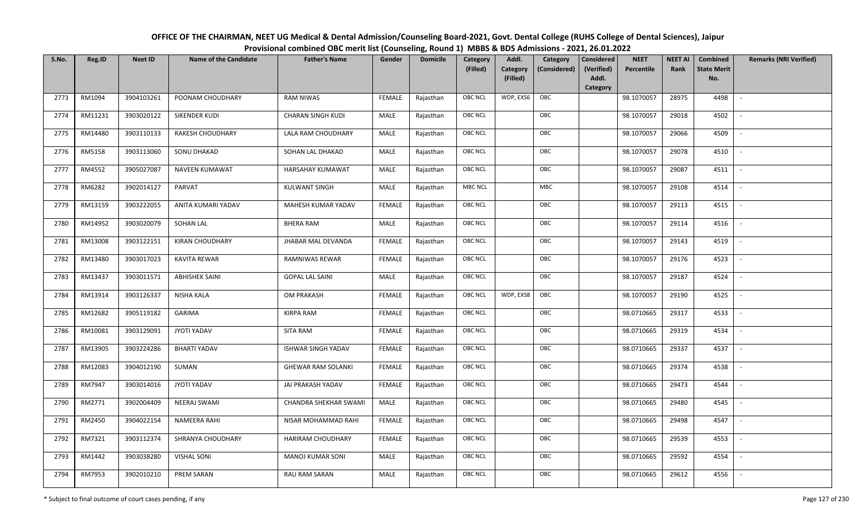| OFFICE OF THE CHAIRMAN, NEET UG Medical & Dental Admission/Counseling Board-2021, Govt. Dental College (RUHS College of Dental Sciences), Jaipur |
|--------------------------------------------------------------------------------------------------------------------------------------------------|
| Provisional combined OBC merit list (Counseling, Round 1) MBBS & BDS Admissions - 2021, 26.01.2022                                               |

| S.No. | Reg.ID  | <b>Neet ID</b> | <b>Name of the Candidate</b> | <b>Father's Name</b>      | Gender        | <b>Domicile</b> | Category<br>(Filled) | Addl.<br><b>Category</b><br>(Filled) | Category<br>(Considered) | <b>Considered</b><br>(Verified)<br>Addl. | <b>NEET</b><br>Percentile | <b>NEET AI</b><br>Rank | Combined<br><b>State Merit</b><br>No. | <b>Remarks (NRI Verified)</b> |
|-------|---------|----------------|------------------------------|---------------------------|---------------|-----------------|----------------------|--------------------------------------|--------------------------|------------------------------------------|---------------------------|------------------------|---------------------------------------|-------------------------------|
| 2773  | RM1094  | 3904103261     | POONAM CHOUDHARY             | <b>RAM NIWAS</b>          | <b>FEMALE</b> | Rajasthan       | <b>OBC NCL</b>       | WDP, EXS6                            | OBC                      | Category                                 | 98.1070057                | 28975                  | 4498                                  | $\mathbb{L}$                  |
|       |         |                |                              |                           |               |                 |                      |                                      |                          |                                          |                           |                        |                                       |                               |
| 2774  | RM11231 | 3903020122     | SIKENDER KUDI                | <b>CHARAN SINGH KUDI</b>  | MALE          | Rajasthan       | OBC NCL              |                                      | OBC                      |                                          | 98.1070057                | 29018                  | 4502                                  |                               |
| 2775  | RM14480 | 3903110133     | RAKESH CHOUDHARY             | LALA RAM CHOUDHARY        | MALE          | Rajasthan       | <b>OBC NCL</b>       |                                      | OBC                      |                                          | 98.1070057                | 29066                  | 4509                                  |                               |
| 2776  | RM5158  | 3903113060     | SONU DHAKAD                  | SOHAN LAL DHAKAD          | MALE          | Rajasthan       | OBC NCL              |                                      | OBC                      |                                          | 98.1070057                | 29078                  | 4510                                  | $\overline{\phantom{a}}$      |
| 2777  | RM4552  | 3905027087     | <b>NAVEEN KUMAWAT</b>        | HARSAHAY KUMAWAT          | MALE          | Rajasthan       | <b>OBC NCL</b>       |                                      | OBC                      |                                          | 98.1070057                | 29087                  | 4511                                  | $\sim$                        |
| 2778  | RM6282  | 3902014127     | PARVAT                       | <b>KULWANT SINGH</b>      | MALE          | Rajasthan       | <b>MBC NCL</b>       |                                      | MBC                      |                                          | 98.1070057                | 29108                  | 4514                                  | $\sim$                        |
| 2779  | RM13159 | 3903222055     | ANITA KUMARI YADAV           | MAHESH KUMAR YADAV        | <b>FEMALE</b> | Rajasthan       | OBC NCL              |                                      | OBC                      |                                          | 98.1070057                | 29113                  | 4515                                  | $\blacksquare$                |
| 2780  | RM14952 | 3903020079     | SOHAN LAL                    | <b>BHERA RAM</b>          | MALE          | Rajasthan       | OBC NCL              |                                      | OBC                      |                                          | 98.1070057                | 29114                  | 4516                                  |                               |
| 2781  | RM13008 | 3903122151     | <b>KIRAN CHOUDHARY</b>       | <b>JHABAR MAL DEVANDA</b> | <b>FEMALE</b> | Rajasthan       | <b>OBC NCL</b>       |                                      | OBC                      |                                          | 98.1070057                | 29143                  | 4519                                  |                               |
| 2782  | RM13480 | 3903017023     | KAVITA REWAR                 | RAMNIWAS REWAR            | <b>FEMALE</b> | Rajasthan       | OBC NCL              |                                      | OBC                      |                                          | 98.1070057                | 29176                  | 4523                                  | $\overline{\phantom{a}}$      |
| 2783  | RM13437 | 3903011571     | <b>ABHISHEK SAINI</b>        | <b>GOPAL LAL SAINI</b>    | MALE          | Rajasthan       | <b>OBC NCL</b>       |                                      | OBC                      |                                          | 98.1070057                | 29187                  | 4524                                  |                               |
| 2784  | RM13914 | 3903126337     | <b>NISHA KALA</b>            | OM PRAKASH                | <b>FEMALE</b> | Rajasthan       | <b>OBC NCL</b>       | WDP, EXS8                            | OBC                      |                                          | 98.1070057                | 29190                  | 4525                                  | $\sim$                        |
| 2785  | RM12682 | 3905119182     | <b>GARIMA</b>                | <b>KIRPA RAM</b>          | <b>FEMALE</b> | Rajasthan       | <b>OBC NCL</b>       |                                      | OBC                      |                                          | 98.0710665                | 29317                  | 4533                                  |                               |
| 2786  | RM10081 | 3903129091     | JYOTI YADAV                  | SITA RAM                  | <b>FEMALE</b> | Rajasthan       | OBC NCL              |                                      | OBC                      |                                          | 98.0710665                | 29319                  | 4534                                  | $\overline{\phantom{a}}$      |
| 2787  | RM13905 | 3903224286     | <b>BHARTI YADAV</b>          | <b>ISHWAR SINGH YADAV</b> | <b>FEMALE</b> | Rajasthan       | OBC NCL              |                                      | OBC                      |                                          | 98.0710665                | 29337                  | 4537                                  | $\overline{\phantom{a}}$      |
| 2788  | RM12083 | 3904012190     | SUMAN                        | <b>GHEWAR RAM SOLANKI</b> | <b>FEMALE</b> | Rajasthan       | <b>OBC NCL</b>       |                                      | OBC                      |                                          | 98.0710665                | 29374                  | 4538                                  | $\sim$                        |
| 2789  | RM7947  | 3903014016     | JYOTI YADAV                  | JAI PRAKASH YADAV         | <b>FEMALE</b> | Rajasthan       | <b>OBC NCL</b>       |                                      | OBC                      |                                          | 98.0710665                | 29473                  | 4544                                  | $\overline{\phantom{a}}$      |
| 2790  | RM2771  | 3902004409     | <b>NEERAJ SWAMI</b>          | CHANDRA SHEKHAR SWAMI     | MALE          | Rajasthan       | OBC NCL              |                                      | OBC                      |                                          | 98.0710665                | 29480                  | 4545                                  |                               |
| 2791  | RM2450  | 3904022154     | <b>NAMEERA RAHI</b>          | NISAR MOHAMMAD RAHI       | <b>FEMALE</b> | Rajasthan       | <b>OBC NCL</b>       |                                      | OBC                      |                                          | 98.0710665                | 29498                  | 4547                                  |                               |
| 2792  | RM7321  | 3903112374     | SHRANYA CHOUDHARY            | HARIRAM CHOUDHARY         | <b>FEMALE</b> | Rajasthan       | OBC NCL              |                                      | OBC                      |                                          | 98.0710665                | 29539                  | 4553                                  | $\blacksquare$                |
| 2793  | RM1442  | 3903038280     | <b>VISHAL SONI</b>           | <b>MANOJ KUMAR SONI</b>   | <b>MALE</b>   | Rajasthan       | <b>OBC NCL</b>       |                                      | OBC                      |                                          | 98.0710665                | 29592                  | 4554                                  |                               |
| 2794  | RM7953  | 3902010210     | PREM SARAN                   | <b>RAU RAM SARAN</b>      | MALE          | Rajasthan       | <b>OBC NCL</b>       |                                      | OBC                      |                                          | 98.0710665                | 29612                  | 4556                                  |                               |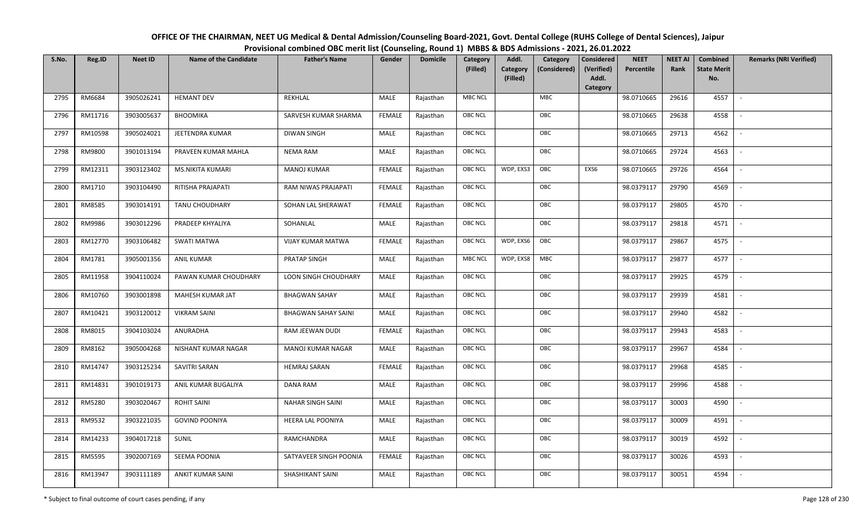| OFFICE OF THE CHAIRMAN, NEET UG Medical & Dental Admission/Counseling Board-2021, Govt. Dental College (RUHS College of Dental Sciences), Jaipur |
|--------------------------------------------------------------------------------------------------------------------------------------------------|
| Provisional combined OBC merit list (Counseling, Round 1) MBBS & BDS Admissions - 2021, 26.01.2022                                               |

| S.No. | Reg.ID        | <b>Neet ID</b> | <b>Name of the Candidate</b> | <b>Father's Name</b>       | Gender        | <b>Domicile</b> | Category<br>(Filled) | Addl.<br><b>Category</b><br>(Filled) | Category<br>(Considered) | <b>Considered</b><br>(Verified)<br>Addl. | <b>NEET</b><br>Percentile | <b>NEET AI</b><br>Rank | Combined<br><b>State Merit</b><br>No. | <b>Remarks (NRI Verified)</b> |
|-------|---------------|----------------|------------------------------|----------------------------|---------------|-----------------|----------------------|--------------------------------------|--------------------------|------------------------------------------|---------------------------|------------------------|---------------------------------------|-------------------------------|
|       |               |                |                              |                            |               |                 |                      |                                      |                          | Category                                 |                           |                        |                                       |                               |
| 2795  | RM6684        | 3905026241     | <b>HEMANT DEV</b>            | REKHLAL                    | MALE          | Rajasthan       | <b>MBC NCL</b>       |                                      | <b>MBC</b>               |                                          | 98.0710665                | 29616                  | 4557                                  | $\sim$                        |
| 2796  | RM11716       | 3903005637     | <b>BHOOMIKA</b>              | SARVESH KUMAR SHARMA       | <b>FEMALE</b> | Rajasthan       | OBC NCL              |                                      | OBC                      |                                          | 98.0710665                | 29638                  | 4558                                  |                               |
| 2797  | RM10598       | 3905024021     | JEETENDRA KUMAR              | <b>DIWAN SINGH</b>         | MALE          | Rajasthan       | <b>OBC NCL</b>       |                                      | OBC                      |                                          | 98.0710665                | 29713                  | 4562                                  | $\overline{\phantom{a}}$      |
| 2798  | RM9800        | 3901013194     | PRAVEEN KUMAR MAHLA          | <b>NEMA RAM</b>            | MALE          | Rajasthan       | <b>OBC NCL</b>       |                                      | OBC                      |                                          | 98.0710665                | 29724                  | 4563                                  | $\overline{\phantom{a}}$      |
| 2799  | RM12311       | 3903123402     | <b>MS.NIKITA KUMARI</b>      | <b>MANOJ KUMAR</b>         | <b>FEMALE</b> | Rajasthan       | <b>OBC NCL</b>       | WDP, EXS3                            | OBC                      | EXS6                                     | 98.0710665                | 29726                  | 4564                                  | $\overline{\phantom{a}}$      |
| 2800  | RM1710        | 3903104490     | RITISHA PRAJAPATI            | RAM NIWAS PRAJAPATI        | <b>FEMALE</b> | Rajasthan       | <b>OBC NCL</b>       |                                      | OBC                      |                                          | 98.0379117                | 29790                  | 4569                                  | $\overline{\phantom{a}}$      |
| 2801  | RM8585        | 3903014191     | TANU CHOUDHARY               | SOHAN LAL SHERAWAT         | <b>FEMALE</b> | Rajasthan       | OBC NCL              |                                      | OBC                      |                                          | 98.0379117                | 29805                  | 4570                                  | $\overline{\phantom{a}}$      |
| 2802  | RM9986        | 3903012296     | PRADEEP KHYALIYA             | SOHANLAL                   | MALE          | Rajasthan       | <b>OBC NCL</b>       |                                      | OBC                      |                                          | 98.0379117                | 29818                  | 4571                                  |                               |
| 2803  | RM12770       | 3903106482     | <b>SWATI MATWA</b>           | <b>VIJAY KUMAR MATWA</b>   | <b>FEMALE</b> | Rajasthan       | OBC NCL              | WDP, EXS6                            | OBC                      |                                          | 98.0379117                | 29867                  | 4575                                  |                               |
| 2804  | RM1781        | 3905001356     | <b>ANIL KUMAR</b>            | PRATAP SINGH               | <b>MALE</b>   | Rajasthan       | <b>MBC NCL</b>       | WDP, EXS8                            | MBC                      |                                          | 98.0379117                | 29877                  | 4577                                  | $\sim$                        |
| 2805  | RM11958       | 3904110024     | PAWAN KUMAR CHOUDHARY        | LOON SINGH CHOUDHARY       | MALE          | Rajasthan       | OBC NCL              |                                      | OBC                      |                                          | 98.0379117                | 29925                  | 4579                                  |                               |
| 2806  | RM10760       | 3903001898     | MAHESH KUMAR JAT             | <b>BHAGWAN SAHAY</b>       | MALE          | Rajasthan       | <b>OBC NCL</b>       |                                      | OBC                      |                                          | 98.0379117                | 29939                  | 4581                                  | $\mathbb{L}$                  |
| 2807  | RM10421       | 3903120012     | <b>VIKRAM SAINI</b>          | <b>BHAGWAN SAHAY SAINI</b> | MALE          | Rajasthan       | OBC NCL              |                                      | OBC                      |                                          | 98.0379117                | 29940                  | 4582                                  |                               |
| 2808  | RM8015        | 3904103024     | ANURADHA                     | RAM JEEWAN DUDI            | <b>FEMALE</b> | Rajasthan       | <b>OBC NCL</b>       |                                      | OBC                      |                                          | 98.0379117                | 29943                  | 4583                                  | $\overline{\phantom{a}}$      |
| 2809  | RM8162        | 3905004268     | NISHANT KUMAR NAGAR          | MANOJ KUMAR NAGAR          | MALE          | Rajasthan       | OBC NCL              |                                      | OBC                      |                                          | 98.0379117                | 29967                  | 4584                                  | $\overline{\phantom{a}}$      |
| 2810  | RM14747       | 3903125234     | SAVITRI SARAN                | <b>HEMRAJ SARAN</b>        | <b>FEMALE</b> | Rajasthan       | <b>OBC NCL</b>       |                                      | OBC                      |                                          | 98.0379117                | 29968                  | 4585                                  | $\sim$                        |
| 2811  | RM14831       | 3901019173     | ANIL KUMAR BUGALIYA          | DANA RAM                   | MALE          | Rajasthan       | <b>OBC NCL</b>       |                                      | OBC                      |                                          | 98.0379117                | 29996                  | 4588                                  | $\overline{\phantom{a}}$      |
| 2812  | RM5280        | 3903020467     | <b>ROHIT SAINI</b>           | <b>NAHAR SINGH SAINI</b>   | MALE          | Rajasthan       | OBC NCL              |                                      | OBC                      |                                          | 98.0379117                | 30003                  | 4590                                  | $\sim$                        |
| 2813  | RM9532        | 3903221035     | <b>GOVIND POONIYA</b>        | HEERA LAL POONIYA          | MALE          | Rajasthan       | OBC NCL              |                                      | OBC                      |                                          | 98.0379117                | 30009                  | 4591                                  |                               |
| 2814  | RM14233       | 3904017218     | SUNIL                        | RAMCHANDRA                 | MALE          | Rajasthan       | OBC NCL              |                                      | OBC                      |                                          | 98.0379117                | 30019                  | 4592                                  |                               |
| 2815  | <b>RM5595</b> | 3902007169     | SEEMA POONIA                 | SATYAVEER SINGH POONIA     | <b>FEMALE</b> | Rajasthan       | <b>OBC NCL</b>       |                                      | OBC                      |                                          | 98.0379117                | 30026                  | 4593                                  |                               |
| 2816  | RM13947       | 3903111189     | ANKIT KUMAR SAINI            | SHASHIKANT SAINI           | MALE          | Rajasthan       | <b>OBC NCL</b>       |                                      | OBC                      |                                          | 98.0379117                | 30051                  | 4594                                  |                               |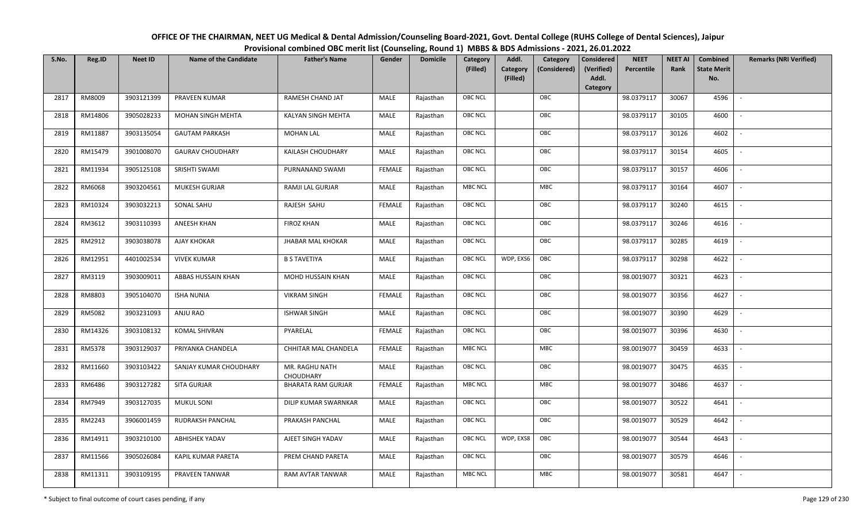| OFFICE OF THE CHAIRMAN, NEET UG Medical & Dental Admission/Counseling Board-2021, Govt. Dental College (RUHS College of Dental Sciences), Jaipur |
|--------------------------------------------------------------------------------------------------------------------------------------------------|
| Provisional combined OBC merit list (Counseling, Round 1) MBBS & BDS Admissions - 2021, 26.01.2022                                               |

| S.No. | Reg.ID  | <b>Neet ID</b> | <b>Name of the Candidate</b> | <b>Father's Name</b>               | Gender        | <b>Domicile</b> | Category<br>(Filled) | Addl.<br>Category<br>(Filled) | Category<br>(Considered) | <b>Considered</b><br>(Verified)<br>Addl. | <b>NEET</b><br>Percentile | <b>NEET AI</b><br>Rank | Combined<br><b>State Merit</b><br>No. | <b>Remarks (NRI Verified)</b> |
|-------|---------|----------------|------------------------------|------------------------------------|---------------|-----------------|----------------------|-------------------------------|--------------------------|------------------------------------------|---------------------------|------------------------|---------------------------------------|-------------------------------|
|       |         |                |                              |                                    |               |                 |                      |                               |                          | Category                                 |                           |                        |                                       |                               |
| 2817  | RM8009  | 3903121399     | PRAVEEN KUMAR                | RAMESH CHAND JAT                   | MALE          | Rajasthan       | <b>OBC NCL</b>       |                               | OBC                      |                                          | 98.0379117                | 30067                  | 4596                                  | $\blacksquare$                |
| 2818  | RM14806 | 3905028233     | <b>MOHAN SINGH MEHTA</b>     | KALYAN SINGH MEHTA                 | MALE          | Rajasthan       | OBC NCL              |                               | OBC                      |                                          | 98.0379117                | 30105                  | 4600                                  |                               |
| 2819  | RM11887 | 3903135054     | <b>GAUTAM PARKASH</b>        | <b>MOHAN LAL</b>                   | MALE          | Rajasthan       | <b>OBC NCL</b>       |                               | OBC                      |                                          | 98.0379117                | 30126                  | 4602                                  | $\overline{\phantom{a}}$      |
| 2820  | RM15479 | 3901008070     | <b>GAURAV CHOUDHARY</b>      | KAILASH CHOUDHARY                  | MALE          | Rajasthan       | OBC NCL              |                               | OBC                      |                                          | 98.0379117                | 30154                  | 4605                                  | $\overline{\phantom{a}}$      |
| 2821  | RM11934 | 3905125108     | SRISHTI SWAMI                | PURNANAND SWAMI                    | <b>FEMALE</b> | Rajasthan       | <b>OBC NCL</b>       |                               | OBC                      |                                          | 98.0379117                | 30157                  | 4606                                  | $\sim$                        |
| 2822  | RM6068  | 3903204561     | <b>MUKESH GURJAR</b>         | RAMJI LAL GURJAR                   | MALE          | Rajasthan       | <b>MBC NCL</b>       |                               | MBC                      |                                          | 98.0379117                | 30164                  | 4607                                  | $\sim$                        |
| 2823  | RM10324 | 3903032213     | SONAL SAHU                   | RAJESH SAHU                        | <b>FEMALE</b> | Rajasthan       | <b>OBC NCL</b>       |                               | OBC                      |                                          | 98.0379117                | 30240                  | 4615                                  | $\blacksquare$                |
| 2824  | RM3612  | 3903110393     | ANEESH KHAN                  | <b>FIROZ KHAN</b>                  | MALE          | Rajasthan       | OBC NCL              |                               | OBC                      |                                          | 98.0379117                | 30246                  | 4616                                  |                               |
| 2825  | RM2912  | 3903038078     | <b>AJAY KHOKAR</b>           | <b>JHABAR MAL KHOKAR</b>           | MALE          | Rajasthan       | <b>OBC NCL</b>       |                               | OBC                      |                                          | 98.0379117                | 30285                  | 4619                                  |                               |
| 2826  | RM12951 | 4401002534     | <b>VIVEK KUMAR</b>           | <b>B S TAVETIYA</b>                | MALE          | Rajasthan       | <b>OBC NCL</b>       | WDP, EXS6                     | OBC                      |                                          | 98.0379117                | 30298                  | 4622                                  |                               |
| 2827  | RM3119  | 3903009011     | ABBAS HUSSAIN KHAN           | <b>MOHD HUSSAIN KHAN</b>           | MALE          | Rajasthan       | <b>OBC NCL</b>       |                               | OBC                      |                                          | 98.0019077                | 30321                  | 4623                                  |                               |
| 2828  | RM8803  | 3905104070     | <b>ISHA NUNIA</b>            | <b>VIKRAM SINGH</b>                | <b>FEMALE</b> | Rajasthan       | <b>OBC NCL</b>       |                               | OBC                      |                                          | 98.0019077                | 30356                  | 4627                                  | $\sim$                        |
| 2829  | RM5082  | 3903231093     | ANJU RAO                     | <b>ISHWAR SINGH</b>                | MALE          | Rajasthan       | <b>OBC NCL</b>       |                               | OBC                      |                                          | 98.0019077                | 30390                  | 4629                                  |                               |
| 2830  | RM14326 | 3903108132     | <b>KOMAL SHIVRAN</b>         | PYARELAL                           | <b>FEMALE</b> | Rajasthan       | <b>OBC NCL</b>       |                               | OBC                      |                                          | 98.0019077                | 30396                  | 4630                                  | $\overline{\phantom{a}}$      |
| 2831  | RM5378  | 3903129037     | PRIYANKA CHANDELA            | CHHITAR MAL CHANDELA               | <b>FEMALE</b> | Rajasthan       | <b>MBC NCL</b>       |                               | MBC                      |                                          | 98.0019077                | 30459                  | 4633                                  | $\overline{\phantom{a}}$      |
| 2832  | RM11660 | 3903103422     | SANJAY KUMAR CHOUDHARY       | MR. RAGHU NATH<br><b>CHOUDHARY</b> | MALE          | Rajasthan       | <b>OBC NCL</b>       |                               | OBC                      |                                          | 98.0019077                | 30475                  | 4635                                  | $\sim$                        |
| 2833  | RM6486  | 3903127282     | SITA GURJAR                  | <b>BHARATA RAM GURJAR</b>          | <b>FEMALE</b> | Rajasthan       | <b>MBC NCL</b>       |                               | MBC                      |                                          | 98.0019077                | 30486                  | 4637                                  | $\overline{\phantom{a}}$      |
| 2834  | RM7949  | 3903127035     | <b>MUKUL SONI</b>            | DILIP KUMAR SWARNKAR               | MALE          | Rajasthan       | OBC NCL              |                               | OBC                      |                                          | 98.0019077                | 30522                  | 4641                                  |                               |
| 2835  | RM2243  | 3906001459     | RUDRAKSH PANCHAL             | PRAKASH PANCHAL                    | <b>MALE</b>   | Rajasthan       | <b>OBC NCL</b>       |                               | OBC                      |                                          | 98.0019077                | 30529                  | 4642                                  |                               |
| 2836  | RM14911 | 3903210100     | <b>ABHISHEK YADAV</b>        | AJEET SINGH YADAV                  | MALE          | Rajasthan       | <b>OBC NCL</b>       | WDP, EXS8                     | OBC                      |                                          | 98.0019077                | 30544                  | 4643                                  | $\overline{\phantom{a}}$      |
| 2837  | RM11566 | 3905026084     | KAPIL KUMAR PARETA           | PREM CHAND PARETA                  | <b>MALE</b>   | Rajasthan       | <b>OBC NCL</b>       |                               | OBC                      |                                          | 98.0019077                | 30579                  | 4646                                  |                               |
| 2838  | RM11311 | 3903109195     | PRAVEEN TANWAR               | RAM AVTAR TANWAR                   | MALE          | Rajasthan       | <b>MBC NCL</b>       |                               | MBC                      |                                          | 98.0019077                | 30581                  | 4647                                  |                               |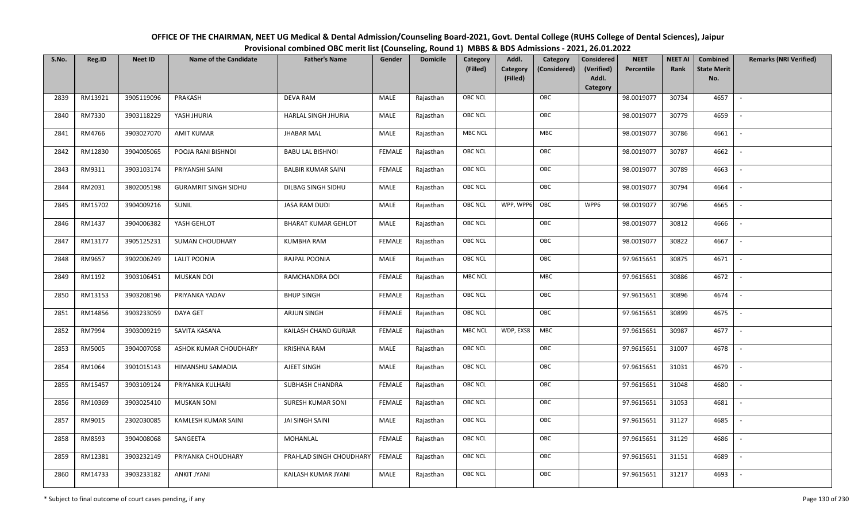| OFFICE OF THE CHAIRMAN, NEET UG Medical & Dental Admission/Counseling Board-2021, Govt. Dental College (RUHS College of Dental Sciences), Jaipur |
|--------------------------------------------------------------------------------------------------------------------------------------------------|
| Provisional combined OBC merit list (Counseling, Round 1) MBBS & BDS Admissions - 2021, 26.01.2022                                               |

| S.No. | Reg.ID  | <b>Neet ID</b> | <b>Name of the Candidate</b> | <b>Father's Name</b>       | Gender        | <b>Domicile</b> | Category<br>(Filled) | Addl.<br><b>Category</b><br>(Filled) | Category<br>(Considered) | <b>Considered</b><br>(Verified)<br>Addl. | <b>NEET</b><br>Percentile | <b>NEET AI</b><br>Rank | Combined<br><b>State Merit</b><br>No. | <b>Remarks (NRI Verified)</b> |
|-------|---------|----------------|------------------------------|----------------------------|---------------|-----------------|----------------------|--------------------------------------|--------------------------|------------------------------------------|---------------------------|------------------------|---------------------------------------|-------------------------------|
| 2839  | RM13921 | 3905119096     | PRAKASH                      | <b>DEVA RAM</b>            | MALE          | Rajasthan       | <b>OBC NCL</b>       |                                      | OBC                      | Category                                 | 98.0019077                | 30734                  | 4657                                  | $\sim$                        |
|       |         |                |                              |                            |               |                 |                      |                                      |                          |                                          |                           |                        |                                       |                               |
| 2840  | RM7330  | 3903118229     | YASH JHURIA                  | HARLAL SINGH JHURIA        | MALE          | Rajasthan       | OBC NCL              |                                      | OBC                      |                                          | 98.0019077                | 30779                  | 4659                                  |                               |
| 2841  | RM4766  | 3903027070     | <b>AMIT KUMAR</b>            | <b>JHABAR MAL</b>          | MALE          | Rajasthan       | MBC NCL              |                                      | MBC                      |                                          | 98.0019077                | 30786                  | 4661                                  | $\sim$                        |
| 2842  | RM12830 | 3904005065     | POOJA RANI BISHNOI           | <b>BABU LAL BISHNOI</b>    | <b>FEMALE</b> | Rajasthan       | OBC NCL              |                                      | OBC                      |                                          | 98.0019077                | 30787                  | 4662                                  | $\overline{\phantom{a}}$      |
| 2843  | RM9311  | 3903103174     | PRIYANSHI SAINI              | <b>BALBIR KUMAR SAINI</b>  | <b>FEMALE</b> | Rajasthan       | <b>OBC NCL</b>       |                                      | OBC                      |                                          | 98.0019077                | 30789                  | 4663                                  | $\sim$                        |
| 2844  | RM2031  | 3802005198     | <b>GURAMRIT SINGH SIDHU</b>  | DILBAG SINGH SIDHU         | MALE          | Rajasthan       | <b>OBC NCL</b>       |                                      | OBC                      |                                          | 98.0019077                | 30794                  | 4664                                  | $\overline{\phantom{a}}$      |
| 2845  | RM15702 | 3904009216     | SUNIL                        | <b>JASA RAM DUDI</b>       | MALE          | Rajasthan       | <b>OBC NCL</b>       | WPP, WPP6                            | OBC                      | WPP6                                     | 98.0019077                | 30796                  | 4665                                  | $\blacksquare$                |
| 2846  | RM1437  | 3904006382     | YASH GEHLOT                  | <b>BHARAT KUMAR GEHLOT</b> | MALE          | Rajasthan       | OBC NCL              |                                      | OBC                      |                                          | 98.0019077                | 30812                  | 4666                                  |                               |
| 2847  | RM13177 | 3905125231     | <b>SUMAN CHOUDHARY</b>       | <b>KUMBHA RAM</b>          | <b>FEMALE</b> | Rajasthan       | OBC NCL              |                                      | OBC                      |                                          | 98.0019077                | 30822                  | 4667                                  |                               |
| 2848  | RM9657  | 3902006249     | <b>LALIT POONIA</b>          | RAJPAL POONIA              | MALE          | Rajasthan       | OBC NCL              |                                      | OBC                      |                                          | 97.9615651                | 30875                  | 4671                                  | $\overline{\phantom{a}}$      |
| 2849  | RM1192  | 3903106451     | <b>MUSKAN DOI</b>            | RAMCHANDRA DOI             | <b>FEMALE</b> | Rajasthan       | <b>MBC NCL</b>       |                                      | <b>MBC</b>               |                                          | 97.9615651                | 30886                  | 4672                                  |                               |
| 2850  | RM13153 | 3903208196     | PRIYANKA YADAV               | <b>BHUP SINGH</b>          | <b>FEMALE</b> | Rajasthan       | OBC NCL              |                                      | OBC                      |                                          | 97.9615651                | 30896                  | 4674                                  | $\overline{\phantom{a}}$      |
| 2851  | RM14856 | 3903233059     | DAYA GET                     | <b>ARJUN SINGH</b>         | <b>FEMALE</b> | Rajasthan       | <b>OBC NCL</b>       |                                      | OBC                      |                                          | 97.9615651                | 30899                  | 4675                                  |                               |
| 2852  | RM7994  | 3903009219     | SAVITA KASANA                | KAILASH CHAND GURJAR       | <b>FEMALE</b> | Rajasthan       | <b>MBC NCL</b>       | WDP, EXS8                            | <b>MBC</b>               |                                          | 97.9615651                | 30987                  | 4677                                  | $\sim$                        |
| 2853  | RM5005  | 3904007058     | ASHOK KUMAR CHOUDHARY        | <b>KRISHNA RAM</b>         | <b>MALE</b>   | Rajasthan       | <b>OBC NCL</b>       |                                      | OBC                      |                                          | 97.9615651                | 31007                  | 4678                                  | $\overline{\phantom{a}}$      |
| 2854  | RM1064  | 3901015143     | HIMANSHU SAMADIA             | AJEET SINGH                | MALE          | Rajasthan       | <b>OBC NCL</b>       |                                      | OBC                      |                                          | 97.9615651                | 31031                  | 4679                                  | $\sim$                        |
| 2855  | RM15457 | 3903109124     | PRIYANKA KULHARI             | SUBHASH CHANDRA            | <b>FEMALE</b> | Rajasthan       | <b>OBC NCL</b>       |                                      | OBC                      |                                          | 97.9615651                | 31048                  | 4680                                  | $\overline{\phantom{a}}$      |
| 2856  | RM10369 | 3903025410     | <b>MUSKAN SONI</b>           | SURESH KUMAR SONI          | <b>FEMALE</b> | Rajasthan       | OBC NCL              |                                      | OBC                      |                                          | 97.9615651                | 31053                  | 4681                                  |                               |
| 2857  | RM9015  | 2302030085     | KAMLESH KUMAR SAINI          | JAI SINGH SAINI            | MALE          | Rajasthan       | <b>OBC NCL</b>       |                                      | OBC                      |                                          | 97.9615651                | 31127                  | 4685                                  |                               |
| 2858  | RM8593  | 3904008068     | SANGEETA                     | MOHANLAL                   | <b>FEMALE</b> | Rajasthan       | OBC NCL              |                                      | OBC                      |                                          | 97.9615651                | 31129                  | 4686                                  | $\blacksquare$                |
| 2859  | RM12381 | 3903232149     | PRIYANKA CHOUDHARY           | PRAHLAD SINGH CHOUDHARY    | <b>FEMALE</b> | Rajasthan       | <b>OBC NCL</b>       |                                      | OBC                      |                                          | 97.9615651                | 31151                  | 4689                                  |                               |
| 2860  | RM14733 | 3903233182     | <b>ANKIT JYANI</b>           | KAILASH KUMAR JYANI        | MALE          | Rajasthan       | <b>OBC NCL</b>       |                                      | OBC                      |                                          | 97.9615651                | 31217                  | 4693                                  |                               |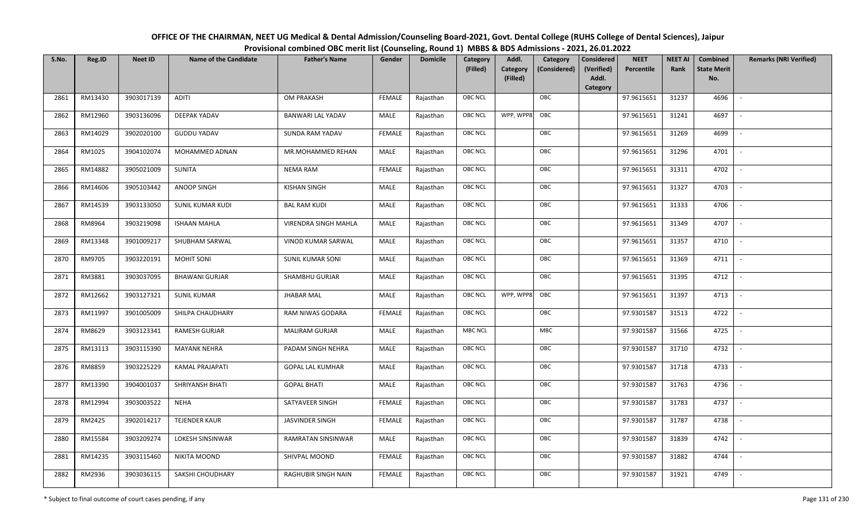| OFFICE OF THE CHAIRMAN, NEET UG Medical & Dental Admission/Counseling Board-2021, Govt. Dental College (RUHS College of Dental Sciences), Jaipur |
|--------------------------------------------------------------------------------------------------------------------------------------------------|
| Provisional combined OBC merit list (Counseling, Round 1) MBBS & BDS Admissions - 2021, 26.01.2022                                               |

| S.No. | Reg.ID  | <b>Neet ID</b> | <b>Name of the Candidate</b> | <b>Father's Name</b>        | Gender        | <b>Domicile</b> | Category<br>(Filled) | Addl.<br><b>Category</b><br>(Filled) | Category<br>(Considered) | <b>Considered</b><br>(Verified)<br>Addl. | <b>NEET</b><br>Percentile | <b>NEET AI</b><br>Rank | Combined<br><b>State Merit</b><br>No. | <b>Remarks (NRI Verified)</b> |
|-------|---------|----------------|------------------------------|-----------------------------|---------------|-----------------|----------------------|--------------------------------------|--------------------------|------------------------------------------|---------------------------|------------------------|---------------------------------------|-------------------------------|
| 2861  | RM13430 | 3903017139     | ADITI                        | OM PRAKASH                  | <b>FEMALE</b> | Rajasthan       | <b>OBC NCL</b>       |                                      | OBC                      | Category                                 | 97.9615651                | 31237                  | 4696                                  | $\sim$                        |
| 2862  | RM12960 | 3903136096     | DEEPAK YADAV                 | <b>BANWARI LAL YADAV</b>    | MALE          | Rajasthan       | OBC NCL              | WPP, WPP8                            | OBC                      |                                          | 97.9615651                | 31241                  | 4697                                  |                               |
| 2863  | RM14029 | 3902020100     | <b>GUDDU YADAV</b>           | SUNDA RAM YADAV             | <b>FEMALE</b> | Rajasthan       | <b>OBC NCL</b>       |                                      | OBC                      |                                          | 97.9615651                | 31269                  | 4699                                  |                               |
| 2864  | RM1025  | 3904102074     | MOHAMMED ADNAN               | MR.MOHAMMED REHAN           | MALE          | Rajasthan       | OBC NCL              |                                      | OBC                      |                                          | 97.9615651                | 31296                  | 4701                                  | $\overline{\phantom{a}}$      |
| 2865  | RM14882 | 3905021009     | SUNITA                       | <b>NEMA RAM</b>             | <b>FEMALE</b> | Rajasthan       | <b>OBC NCL</b>       |                                      | OBC                      |                                          | 97.9615651                | 31311                  | 4702                                  | $\sim$                        |
| 2866  | RM14606 | 3905103442     | ANOOP SINGH                  | <b>KISHAN SINGH</b>         | MALE          | Rajasthan       | <b>OBC NCL</b>       |                                      | OBC                      |                                          | 97.9615651                | 31327                  | 4703                                  | $\overline{\phantom{a}}$      |
| 2867  | RM14539 | 3903133050     | SUNIL KUMAR KUDI             | <b>BAL RAM KUDI</b>         | MALE          | Rajasthan       | <b>OBC NCL</b>       |                                      | OBC                      |                                          | 97.9615651                | 31333                  | 4706                                  | $\overline{\phantom{a}}$      |
| 2868  | RM8964  | 3903219098     | <b>ISHAAN MAHLA</b>          | <b>VIRENDRA SINGH MAHLA</b> | MALE          | Rajasthan       | OBC NCL              |                                      | OBC                      |                                          | 97.9615651                | 31349                  | 4707                                  |                               |
| 2869  | RM13348 | 3901009217     | SHUBHAM SARWAL               | VINOD KUMAR SARWAL          | MALE          | Rajasthan       | OBC NCL              |                                      | OBC                      |                                          | 97.9615651                | 31357                  | 4710                                  |                               |
| 2870  | RM9705  | 3903220191     | <b>MOHIT SONI</b>            | <b>SUNIL KUMAR SONI</b>     | <b>MALE</b>   | Rajasthan       | <b>OBC NCL</b>       |                                      | OBC                      |                                          | 97.9615651                | 31369                  | 4711                                  | $\sim$                        |
| 2871  | RM3881  | 3903037095     | <b>BHAWANI GURJAR</b>        | SHAMBHU GURJAR              | MALE          | Rajasthan       | OBC NCL              |                                      | OBC                      |                                          | 97.9615651                | 31395                  | 4712                                  |                               |
| 2872  | RM12662 | 3903127321     | <b>SUNIL KUMAR</b>           | <b>JHABAR MAL</b>           | MALE          | Rajasthan       | <b>OBC NCL</b>       | WPP, WPP8                            | OBC                      |                                          | 97.9615651                | 31397                  | 4713                                  | $\mathbb{L}$                  |
| 2873  | RM11997 | 3901005009     | SHILPA CHAUDHARY             | RAM NIWAS GODARA            | <b>FEMALE</b> | Rajasthan       | OBC NCL              |                                      | OBC                      |                                          | 97.9301587                | 31513                  | 4722                                  |                               |
| 2874  | RM8629  | 3903123341     | RAMESH GURJAR                | <b>MALIRAM GURJAR</b>       | MALE          | Rajasthan       | <b>MBC NCL</b>       |                                      | <b>MBC</b>               |                                          | 97.9301587                | 31566                  | 4725                                  | $\overline{\phantom{a}}$      |
| 2875  | RM13113 | 3903115390     | <b>MAYANK NEHRA</b>          | PADAM SINGH NEHRA           | MALE          | Rajasthan       | OBC NCL              |                                      | OBC                      |                                          | 97.9301587                | 31710                  | 4732                                  | $\overline{\phantom{a}}$      |
| 2876  | RM8859  | 3903225229     | KAMAL PRAJAPATI              | <b>GOPAL LAL KUMHAR</b>     | MALE          | Rajasthan       | <b>OBC NCL</b>       |                                      | OBC                      |                                          | 97.9301587                | 31718                  | 4733                                  | $\sim$                        |
| 2877  | RM13390 | 3904001037     | SHRIYANSH BHATI              | <b>GOPAL BHATI</b>          | MALE          | Rajasthan       | <b>OBC NCL</b>       |                                      | OBC                      |                                          | 97.9301587                | 31763                  | 4736                                  | $\overline{\phantom{a}}$      |
| 2878  | RM12994 | 3903003522     | <b>NEHA</b>                  | SATYAVEER SINGH             | <b>FEMALE</b> | Rajasthan       | OBC NCL              |                                      | OBC                      |                                          | 97.9301587                | 31783                  | 4737                                  | $\overline{\phantom{a}}$      |
| 2879  | RM2425  | 3902014217     | <b>TEJENDER KAUR</b>         | <b>JASVINDER SINGH</b>      | <b>FEMALE</b> | Rajasthan       | OBC NCL              |                                      | OBC                      |                                          | 97.9301587                | 31787                  | 4738                                  |                               |
| 2880  | RM15584 | 3903209274     | LOKESH SINSINWAR             | RAMRATAN SINSINWAR          | MALE          | Rajasthan       | OBC NCL              |                                      | OBC                      |                                          | 97.9301587                | 31839                  | 4742                                  |                               |
| 2881  | RM14235 | 3903115460     | NIKITA MOOND                 | SHIVPAL MOOND               | <b>FEMALE</b> | Rajasthan       | <b>OBC NCL</b>       |                                      | OBC                      |                                          | 97.9301587                | 31882                  | 4744                                  |                               |
| 2882  | RM2936  | 3903036115     | SAKSHI CHOUDHARY             | RAGHUBIR SINGH NAIN         | <b>FEMALE</b> | Rajasthan       | <b>OBC NCL</b>       |                                      | OBC                      |                                          | 97.9301587                | 31921                  | 4749                                  |                               |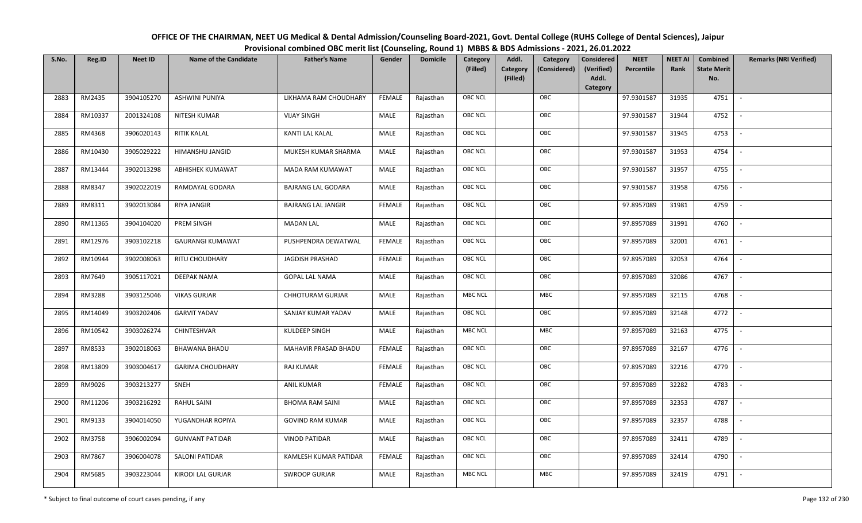| OFFICE OF THE CHAIRMAN, NEET UG Medical & Dental Admission/Counseling Board-2021, Govt. Dental College (RUHS College of Dental Sciences), Jaipur |
|--------------------------------------------------------------------------------------------------------------------------------------------------|
| Provisional combined OBC merit list (Counseling, Round 1) MBBS & BDS Admissions - 2021, 26.01.2022                                               |

| S.No. | Reg.ID  | <b>Neet ID</b> | <b>Name of the Candidate</b> | <b>Father's Name</b>      | Gender        | <b>Domicile</b> | Category<br>(Filled) | Addl.<br><b>Category</b><br>(Filled) | Category<br>(Considered) | Considered<br>(Verified)<br>Addl.<br>Category | <b>NEET</b><br>Percentile | <b>NEET AI</b><br>Rank | Combined<br><b>State Merit</b><br>No. | <b>Remarks (NRI Verified)</b> |
|-------|---------|----------------|------------------------------|---------------------------|---------------|-----------------|----------------------|--------------------------------------|--------------------------|-----------------------------------------------|---------------------------|------------------------|---------------------------------------|-------------------------------|
| 2883  | RM2435  | 3904105270     | <b>ASHWINI PUNIYA</b>        | LIKHAMA RAM CHOUDHARY     | <b>FEMALE</b> | Rajasthan       | <b>OBC NCL</b>       |                                      | OBC                      |                                               | 97.9301587                | 31935                  | 4751                                  | $\overline{\phantom{a}}$      |
| 2884  | RM10337 | 2001324108     | NITESH KUMAR                 | <b>VIJAY SINGH</b>        | MALE          | Rajasthan       | OBC NCL              |                                      | OBC                      |                                               | 97.9301587                | 31944                  | 4752                                  |                               |
| 2885  | RM4368  | 3906020143     | <b>RITIK KALAL</b>           | KANTI LAL KALAL           | MALE          | Rajasthan       | OBC NCL              |                                      | OBC                      |                                               | 97.9301587                | 31945                  | 4753                                  | $\sim$                        |
| 2886  | RM10430 | 3905029222     | HIMANSHU JANGID              | MUKESH KUMAR SHARMA       | MALE          | Rajasthan       | OBC NCL              |                                      | OBC                      |                                               | 97.9301587                | 31953                  | 4754                                  | $\overline{\phantom{a}}$      |
| 2887  | RM13444 | 3902013298     | ABHISHEK KUMAWAT             | MADA RAM KUMAWAT          | MALE          | Rajasthan       | <b>OBC NCL</b>       |                                      | OBC                      |                                               | 97.9301587                | 31957                  | 4755                                  | $\sim$                        |
| 2888  | RM8347  | 3902022019     | RAMDAYAL GODARA              | <b>BAJRANG LAL GODARA</b> | MALE          | Rajasthan       | OBC NCL              |                                      | OBC                      |                                               | 97.9301587                | 31958                  | 4756                                  | $\overline{\phantom{a}}$      |
| 2889  | RM8311  | 3902013084     | RIYA JANGIR                  | <b>BAJRANG LAL JANGIR</b> | <b>FEMALE</b> | Rajasthan       | OBC NCL              |                                      | OBC                      |                                               | 97.8957089                | 31981                  | 4759                                  |                               |
| 2890  | RM11365 | 3904104020     | PREM SINGH                   | <b>MADAN LAL</b>          | MALE          | Rajasthan       | OBC NCL              |                                      | OBC                      |                                               | 97.8957089                | 31991                  | 4760                                  |                               |
| 2891  | RM12976 | 3903102218     | <b>GAURANGI KUMAWAT</b>      | PUSHPENDRA DEWATWAL       | <b>FEMALE</b> | Rajasthan       | OBC NCL              |                                      | OBC                      |                                               | 97.8957089                | 32001                  | 4761                                  | $\overline{\phantom{a}}$      |
| 2892  | RM10944 | 3902008063     | RITU CHOUDHARY               | <b>JAGDISH PRASHAD</b>    | <b>FEMALE</b> | Rajasthan       | <b>OBC NCL</b>       |                                      | OBC                      |                                               | 97.8957089                | 32053                  | 4764                                  |                               |
| 2893  | RM7649  | 3905117021     | DEEPAK NAMA                  | <b>GOPAL LAL NAMA</b>     | MALE          | Rajasthan       | <b>OBC NCL</b>       |                                      | OBC                      |                                               | 97.8957089                | 32086                  | 4767                                  |                               |
| 2894  | RM3288  | 3903125046     | <b>VIKAS GURJAR</b>          | <b>CHHOTURAM GURJAR</b>   | <b>MALE</b>   | Rajasthan       | <b>MBC NCL</b>       |                                      | MBC                      |                                               | 97.8957089                | 32115                  | 4768                                  | $\overline{\phantom{a}}$      |
| 2895  | RM14049 | 3903202406     | <b>GARVIT YADAV</b>          | SANJAY KUMAR YADAV        | MALE          | Rajasthan       | OBC NCL              |                                      | OBC                      |                                               | 97.8957089                | 32148                  | 4772                                  |                               |
| 2896  | RM10542 | 3903026274     | CHINTESHVAR                  | KULDEEP SINGH             | MALE          | Rajasthan       | <b>MBC NCL</b>       |                                      | MBC                      |                                               | 97.8957089                | 32163                  | 4775                                  | $\sim$                        |
| 2897  | RM8533  | 3902018063     | <b>BHAWANA BHADU</b>         | MAHAVIR PRASAD BHADU      | <b>FEMALE</b> | Rajasthan       | OBC NCL              |                                      | OBC                      |                                               | 97.8957089                | 32167                  | 4776                                  | $\overline{\phantom{a}}$      |
| 2898  | RM13809 | 3903004617     | <b>GARIMA CHOUDHARY</b>      | RAJ KUMAR                 | <b>FEMALE</b> | Rajasthan       | OBC NCL              |                                      | OBC                      |                                               | 97.8957089                | 32216                  | 4779                                  | $\sim$                        |
| 2899  | RM9026  | 3903213277     | SNEH                         | <b>ANIL KUMAR</b>         | <b>FEMALE</b> | Rajasthan       | OBC NCL              |                                      | OBC                      |                                               | 97.8957089                | 32282                  | 4783                                  | $\overline{\phantom{a}}$      |
| 2900  | RM11206 | 3903216292     | <b>RAHUL SAINI</b>           | <b>BHOMA RAM SAINI</b>    | MALE          | Rajasthan       | OBC NCL              |                                      | OBC                      |                                               | 97.8957089                | 32353                  | 4787                                  |                               |
| 2901  | RM9133  | 3904014050     | YUGANDHAR ROPIYA             | <b>GOVIND RAM KUMAR</b>   | MALE          | Rajasthan       | <b>OBC NCL</b>       |                                      | OBC                      |                                               | 97.8957089                | 32357                  | 4788                                  |                               |
| 2902  | RM3758  | 3906002094     | <b>GUNVANT PATIDAR</b>       | <b>VINOD PATIDAR</b>      | MALE          | Rajasthan       | OBC NCL              |                                      | OBC                      |                                               | 97.8957089                | 32411                  | 4789                                  | $\overline{\phantom{a}}$      |
| 2903  | RM7867  | 3906004078     | <b>SALONI PATIDAR</b>        | KAMLESH KUMAR PATIDAR     | <b>FEMALE</b> | Rajasthan       | <b>OBC NCL</b>       |                                      | OBC                      |                                               | 97.8957089                | 32414                  | 4790                                  |                               |
| 2904  | RM5685  | 3903223044     | KIRODI LAL GURJAR            | <b>SWROOP GURJAR</b>      | MALE          | Rajasthan       | <b>MBC NCL</b>       |                                      | MBC                      |                                               | 97.8957089                | 32419                  | 4791                                  |                               |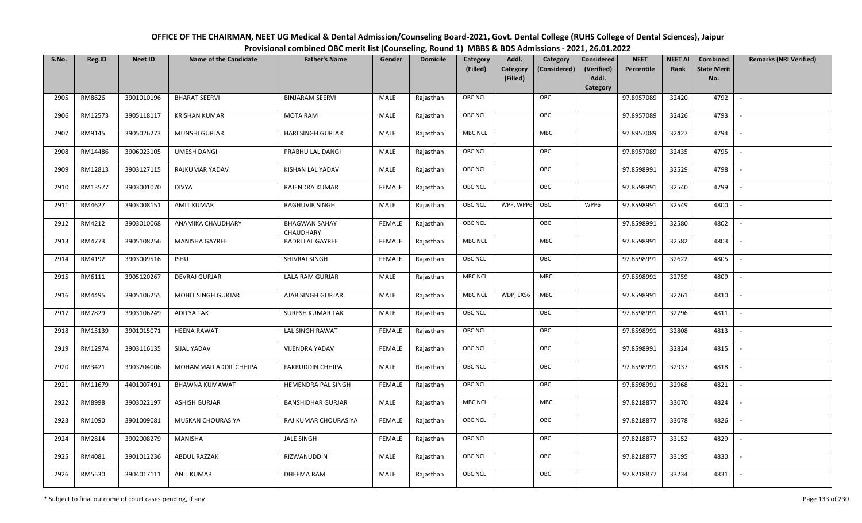| OFFICE OF THE CHAIRMAN, NEET UG Medical & Dental Admission/Counseling Board-2021, Govt. Dental College (RUHS College of Dental Sciences), Jaipur |
|--------------------------------------------------------------------------------------------------------------------------------------------------|
| Provisional combined OBC merit list (Counseling, Round 1) MBBS & BDS Admissions - 2021, 26.01.2022                                               |

| S.No. | Reg.ID  | <b>Neet ID</b> | <b>Name of the Candidate</b> | <b>Father's Name</b>              | Gender        | <b>Domicile</b> | Category<br>(Filled) | Addl.<br>Category | Category<br>(Considered) | <b>Considered</b><br>(Verified)<br>Addl. | <b>NEET</b><br>Percentile | <b>NEET AI</b><br>Rank | Combined<br><b>State Merit</b><br>No. | <b>Remarks (NRI Verified)</b> |
|-------|---------|----------------|------------------------------|-----------------------------------|---------------|-----------------|----------------------|-------------------|--------------------------|------------------------------------------|---------------------------|------------------------|---------------------------------------|-------------------------------|
|       |         |                |                              |                                   |               |                 |                      | (Filled)          |                          | Category                                 |                           |                        |                                       |                               |
| 2905  | RM8626  | 3901010196     | <b>BHARAT SEERVI</b>         | <b>BINJARAM SEERVI</b>            | MALE          | Rajasthan       | OBC NCL              |                   | OBC                      |                                          | 97.8957089                | 32420                  | 4792                                  | $\overline{\phantom{a}}$      |
| 2906  | RM12573 | 3905118117     | <b>KRISHAN KUMAR</b>         | <b>MOTA RAM</b>                   | MALE          | Rajasthan       | OBC NCL              |                   | OBC                      |                                          | 97.8957089                | 32426                  | 4793                                  |                               |
| 2907  | RM9145  | 3905026273     | <b>MUNSHI GURJAR</b>         | <b>HARI SINGH GURJAR</b>          | MALE          | Rajasthan       | MBC NCL              |                   | <b>MBC</b>               |                                          | 97.8957089                | 32427                  | 4794                                  |                               |
| 2908  | RM14486 | 3906023105     | <b>UMESH DANGI</b>           | PRABHU LAL DANGI                  | MALE          | Rajasthan       | OBC NCL              |                   | OBC                      |                                          | 97.8957089                | 32435                  | 4795                                  | $\overline{\phantom{a}}$      |
| 2909  | RM12813 | 3903127115     | RAJKUMAR YADAV               | <b>KISHAN LAL YADAV</b>           | MALE          | Rajasthan       | OBC NCL              |                   | OBC                      |                                          | 97.8598991                | 32529                  | 4798                                  | $\overline{\phantom{a}}$      |
| 2910  | RM13577 | 3903001070     | <b>DIVYA</b>                 | RAJENDRA KUMAR                    | <b>FEMALE</b> | Rajasthan       | OBC NCL              |                   | OBC                      |                                          | 97.8598991                | 32540                  | 4799                                  | $\overline{\phantom{a}}$      |
| 2911  | RM4627  | 3903008151     | <b>AMIT KUMAR</b>            | RAGHUVIR SINGH                    | <b>MALE</b>   | Rajasthan       | OBC NCL              | WPP, WPP6         | OBC                      | WPP6                                     | 97.8598991                | 32549                  | 4800                                  | $\overline{\phantom{a}}$      |
| 2912  | RM4212  | 3903010068     | ANAMIKA CHAUDHARY            | <b>BHAGWAN SAHAY</b><br>CHAUDHARY | <b>FEMALE</b> | Rajasthan       | <b>OBC NCL</b>       |                   | OBC                      |                                          | 97.8598991                | 32580                  | 4802                                  |                               |
| 2913  | RM4773  | 3905108256     | MANISHA GAYREE               | <b>BADRI LAL GAYREE</b>           | <b>FEMALE</b> | Rajasthan       | MBC NCL              |                   | MBC                      |                                          | 97.8598991                | 32582                  | 4803                                  |                               |
| 2914  | RM4192  | 3903009516     | <b>ISHU</b>                  | SHIVRAJ SINGH                     | <b>FEMALE</b> | Rajasthan       | OBC NCL              |                   | OBC                      |                                          | 97.8598991                | 32622                  | 4805                                  |                               |
| 2915  | RM6111  | 3905120267     | DEVRAJ GURJAR                | LALA RAM GURJAR                   | MALE          | Rajasthan       | MBC NCL              |                   | <b>MBC</b>               |                                          | 97.8598991                | 32759                  | 4809                                  |                               |
| 2916  | RM4495  | 3905106255     | <b>MOHIT SINGH GURJAR</b>    | AJAB SINGH GURJAR                 | MALE          | Rajasthan       | MBC NCL              | WDP, EXS6         | MBC                      |                                          | 97.8598991                | 32761                  | 4810                                  | $\mathcal{L}$                 |
| 2917  | RM7829  | 3903106249     | <b>ADITYA TAK</b>            | <b>SURESH KUMAR TAK</b>           | MALE          | Rajasthan       | OBC NCL              |                   | OBC                      |                                          | 97.8598991                | 32796                  | 4811                                  |                               |
| 2918  | RM15139 | 3901015071     | <b>HEENA RAWAT</b>           | <b>LAL SINGH RAWAT</b>            | <b>FEMALE</b> | Rajasthan       | <b>OBC NCL</b>       |                   | OBC                      |                                          | 97.8598991                | 32808                  | 4813                                  |                               |
| 2919  | RM12974 | 3903116135     | SIJAL YADAV                  | <b>VIJENDRA YADAV</b>             | <b>FEMALE</b> | Rajasthan       | OBC NCL              |                   | OBC                      |                                          | 97.8598991                | 32824                  | 4815                                  | $\overline{\phantom{a}}$      |
| 2920  | RM3421  | 3903204006     | MOHAMMAD ADDIL CHHIPA        | FAKRUDDIN CHHIPA                  | MALE          | Rajasthan       | OBC NCL              |                   | OBC                      |                                          | 97.8598991                | 32937                  | 4818                                  | $\overline{\phantom{a}}$      |
| 2921  | RM11679 | 4401007491     | <b>BHAWNA KUMAWAT</b>        | HEMENDRA PAL SINGH                | <b>FEMALE</b> | Rajasthan       | OBC NCL              |                   | OBC                      |                                          | 97.8598991                | 32968                  | 4821                                  | $\overline{\phantom{a}}$      |
| 2922  | RM8998  | 3903022197     | <b>ASHISH GURJAR</b>         | <b>BANSHIDHAR GURJAR</b>          | MALE          | Rajasthan       | <b>MBC NCL</b>       |                   | MBC                      |                                          | 97.8218877                | 33070                  | 4824                                  | $\sim$                        |
| 2923  | RM1090  | 3901009081     | MUSKAN CHOURASIYA            | RAJ KUMAR CHOURASIYA              | <b>FEMALE</b> | Rajasthan       | OBC NCL              |                   | OBC                      |                                          | 97.8218877                | 33078                  | 4826                                  |                               |
| 2924  | RM2814  | 3902008279     | MANISHA                      | <b>JALE SINGH</b>                 | <b>FEMALE</b> | Rajasthan       | OBC NCL              |                   | OBC                      |                                          | 97.8218877                | 33152                  | 4829                                  |                               |
| 2925  | RM4081  | 3901012236     | <b>ABDUL RAZZAK</b>          | RIZWANUDDIN                       | <b>MALE</b>   | Rajasthan       | OBC NCL              |                   | OBC                      |                                          | 97.8218877                | 33195                  | 4830                                  |                               |
| 2926  | RM5530  | 3904017111     | <b>ANIL KUMAR</b>            | <b>DHEEMA RAM</b>                 | MALE          | Rajasthan       | <b>OBC NCL</b>       |                   | OBC                      |                                          | 97.8218877                | 33234                  | 4831                                  |                               |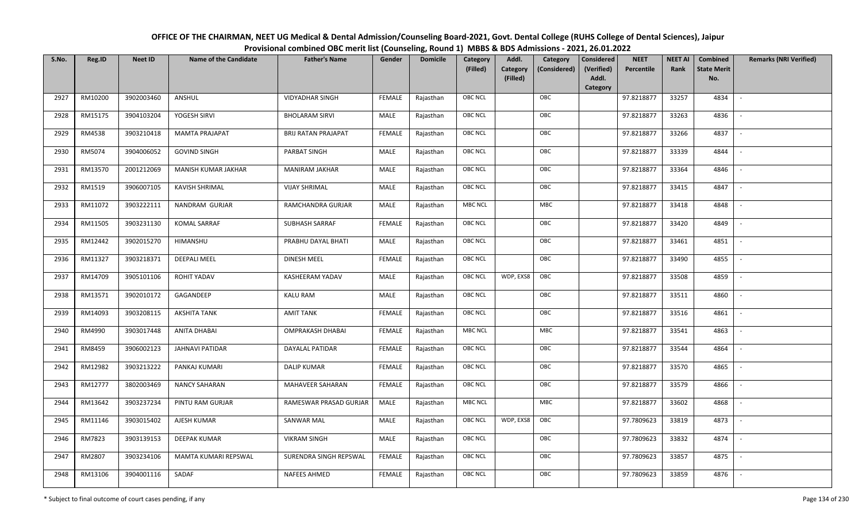| OFFICE OF THE CHAIRMAN, NEET UG Medical & Dental Admission/Counseling Board-2021, Govt. Dental College (RUHS College of Dental Sciences), Jaipur |
|--------------------------------------------------------------------------------------------------------------------------------------------------|
| Provisional combined OBC merit list (Counseling, Round 1) MBBS & BDS Admissions - 2021, 26.01.2022                                               |

| S.No. | Reg.ID  | <b>Neet ID</b> | <b>Name of the Candidate</b> | <b>Father's Name</b>       | Gender        | <b>Domicile</b> | Category<br>(Filled) | Addl.<br><b>Category</b><br>(Filled) | Category<br>(Considered) | <b>Considered</b><br>(Verified)<br>Addl. | <b>NEET</b><br>Percentile | <b>NEET AI</b><br>Rank | Combined<br><b>State Merit</b><br>No. | <b>Remarks (NRI Verified)</b> |
|-------|---------|----------------|------------------------------|----------------------------|---------------|-----------------|----------------------|--------------------------------------|--------------------------|------------------------------------------|---------------------------|------------------------|---------------------------------------|-------------------------------|
| 2927  | RM10200 | 3902003460     | ANSHUL                       | <b>VIDYADHAR SINGH</b>     | FEMALE        | Rajasthan       | <b>OBC NCL</b>       |                                      | OBC                      | Category                                 | 97.8218877                | 33257                  | 4834                                  | $\mathbb{L}$                  |
| 2928  | RM15175 | 3904103204     | YOGESH SIRVI                 | <b>BHOLARAM SIRVI</b>      | MALE          | Rajasthan       | OBC NCL              |                                      | OBC                      |                                          | 97.8218877                | 33263                  | 4836                                  |                               |
| 2929  | RM4538  | 3903210418     | <b>MAMTA PRAJAPAT</b>        | <b>BRIJ RATAN PRAJAPAT</b> | <b>FEMALE</b> | Rajasthan       | <b>OBC NCL</b>       |                                      | OBC                      |                                          | 97.8218877                | 33266                  | 4837                                  | $\overline{\phantom{a}}$      |
| 2930  | RM5074  | 3904006052     | <b>GOVIND SINGH</b>          | PARBAT SINGH               | MALE          | Rajasthan       | <b>OBC NCL</b>       |                                      | OBC                      |                                          | 97.8218877                | 33339                  | 4844                                  | $\overline{\phantom{a}}$      |
| 2931  | RM13570 | 2001212069     | MANISH KUMAR JAKHAR          | MANIRAM JAKHAR             | MALE          | Rajasthan       | OBC NCL              |                                      | OBC                      |                                          | 97.8218877                | 33364                  | 4846                                  | $\sim$                        |
| 2932  | RM1519  | 3906007105     | <b>KAVISH SHRIMAL</b>        | <b>VIJAY SHRIMAL</b>       | MALE          | Rajasthan       | OBC NCL              |                                      | OBC                      |                                          | 97.8218877                | 33415                  | 4847                                  | $\overline{\phantom{a}}$      |
| 2933  | RM11072 | 3903222111     | NANDRAM GURJAR               | RAMCHANDRA GURJAR          | MALE          | Rajasthan       | MBC NCL              |                                      | MBC                      |                                          | 97.8218877                | 33418                  | 4848                                  |                               |
| 2934  | RM11505 | 3903231130     | <b>KOMAL SARRAF</b>          | SUBHASH SARRAF             | <b>FEMALE</b> | Rajasthan       | OBC NCL              |                                      | OBC                      |                                          | 97.8218877                | 33420                  | 4849                                  |                               |
| 2935  | RM12442 | 3902015270     | HIMANSHU                     | PRABHU DAYAL BHATI         | MALE          | Rajasthan       | OBC NCL              |                                      | OBC                      |                                          | 97.8218877                | 33461                  | 4851                                  |                               |
| 2936  | RM11327 | 3903218371     | <b>DEEPALI MEEL</b>          | DINESH MEEL                | <b>FEMALE</b> | Rajasthan       | OBC NCL              |                                      | OBC                      |                                          | 97.8218877                | 33490                  | 4855                                  |                               |
| 2937  | RM14709 | 3905101106     | <b>ROHIT YADAV</b>           | KASHEERAM YADAV            | MALE          | Rajasthan       | <b>OBC NCL</b>       | WDP, EXS8                            | OBC                      |                                          | 97.8218877                | 33508                  | 4859                                  |                               |
| 2938  | RM13571 | 3902010172     | GAGANDEEP                    | <b>KALU RAM</b>            | <b>MALE</b>   | Rajasthan       | <b>OBC NCL</b>       |                                      | OBC                      |                                          | 97.8218877                | 33511                  | 4860                                  | $\overline{\phantom{a}}$      |
| 2939  | RM14093 | 3903208115     | <b>AKSHITA TANK</b>          | <b>AMIT TANK</b>           | <b>FEMALE</b> | Rajasthan       | <b>OBC NCL</b>       |                                      | OBC                      |                                          | 97.8218877                | 33516                  | 4861                                  |                               |
| 2940  | RM4990  | 3903017448     | <b>ANITA DHABAI</b>          | <b>OMPRAKASH DHABAI</b>    | <b>FEMALE</b> | Rajasthan       | <b>MBC NCL</b>       |                                      | MBC                      |                                          | 97.8218877                | 33541                  | 4863                                  | $\sim$                        |
| 2941  | RM8459  | 3906002123     | JAHNAVI PATIDAR              | DAYALAL PATIDAR            | <b>FEMALE</b> | Rajasthan       | <b>OBC NCL</b>       |                                      | OBC                      |                                          | 97.8218877                | 33544                  | 4864                                  | $\overline{\phantom{a}}$      |
| 2942  | RM12982 | 3903213222     | PANKAJ KUMARI                | <b>DALIP KUMAR</b>         | <b>FEMALE</b> | Rajasthan       | OBC NCL              |                                      | OBC                      |                                          | 97.8218877                | 33570                  | 4865                                  | $\sim$                        |
| 2943  | RM12777 | 3802003469     | <b>NANCY SAHARAN</b>         | MAHAVEER SAHARAN           | <b>FEMALE</b> | Rajasthan       | <b>OBC NCL</b>       |                                      | OBC                      |                                          | 97.8218877                | 33579                  | 4866                                  | $\overline{\phantom{a}}$      |
| 2944  | RM13642 | 3903237234     | PINTU RAM GURJAR             | RAMESWAR PRASAD GURJAR     | MALE          | Rajasthan       | <b>MBC NCL</b>       |                                      | MBC                      |                                          | 97.8218877                | 33602                  | 4868                                  |                               |
| 2945  | RM11146 | 3903015402     | AJESH KUMAR                  | SANWAR MAL                 | MALE          | Rajasthan       | <b>OBC NCL</b>       | WDP, EXS8                            | OBC                      |                                          | 97.7809623                | 33819                  | 4873                                  |                               |
| 2946  | RM7823  | 3903139153     | <b>DEEPAK KUMAR</b>          | <b>VIKRAM SINGH</b>        | <b>MALE</b>   | Rajasthan       | <b>OBC NCL</b>       |                                      | OBC                      |                                          | 97.7809623                | 33832                  | 4874                                  |                               |
| 2947  | RM2807  | 3903234106     | MAMTA KUMARI REPSWAL         | SURENDRA SINGH REPSWAL     | <b>FEMALE</b> | Rajasthan       | OBC NCL              |                                      | OBC                      |                                          | 97.7809623                | 33857                  | 4875                                  | $\overline{\phantom{a}}$      |
| 2948  | RM13106 | 3904001116     | SADAF                        | <b>NAFEES AHMED</b>        | FEMALE        | Rajasthan       | OBC NCL              |                                      | OBC                      |                                          | 97.7809623                | 33859                  | 4876                                  |                               |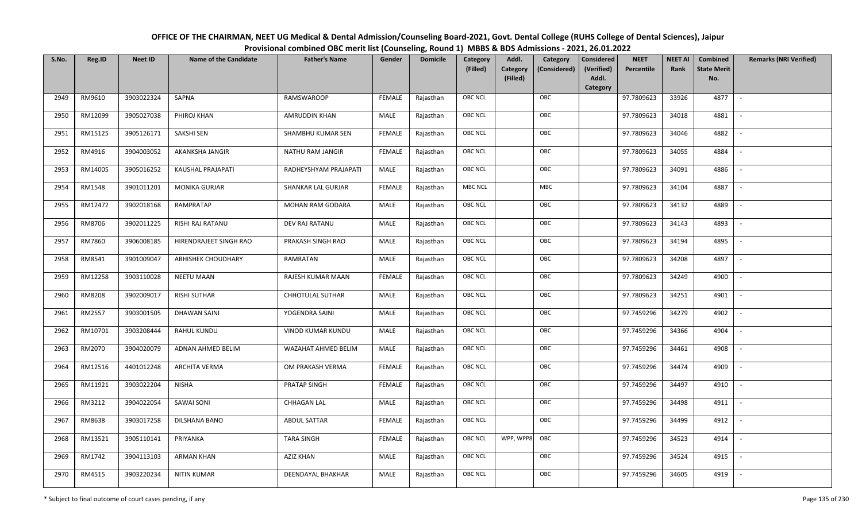| OFFICE OF THE CHAIRMAN, NEET UG Medical & Dental Admission/Counseling Board-2021, Govt. Dental College (RUHS College of Dental Sciences), Jaipur |
|--------------------------------------------------------------------------------------------------------------------------------------------------|
| Provisional combined OBC merit list (Counseling, Round 1) MBBS & BDS Admissions - 2021, 26.01.2022                                               |

| S.No. | Reg.ID  | <b>Neet ID</b> | <b>Name of the Candidate</b> | <b>Father's Name</b>  | Gender        | <b>Domicile</b> | Category<br>(Filled) | Addl.<br><b>Category</b><br>(Filled) | Category<br>(Considered) | <b>Considered</b><br>(Verified)<br>Addl. | <b>NEET</b><br>Percentile | <b>NEET AI</b><br>Rank | Combined<br><b>State Merit</b><br>No. | <b>Remarks (NRI Verified)</b> |
|-------|---------|----------------|------------------------------|-----------------------|---------------|-----------------|----------------------|--------------------------------------|--------------------------|------------------------------------------|---------------------------|------------------------|---------------------------------------|-------------------------------|
|       |         |                |                              |                       |               |                 |                      |                                      |                          | Category                                 |                           |                        |                                       |                               |
| 2949  | RM9610  | 3903022324     | SAPNA                        | RAMSWAROOP            | <b>FEMALE</b> | Rajasthan       | <b>OBC NCL</b>       |                                      | OBC                      |                                          | 97.7809623                | 33926                  | 4877                                  | $\sim$                        |
| 2950  | RM12099 | 3905027038     | PHIROJ KHAN                  | AMRUDDIN KHAN         | MALE          | Rajasthan       | OBC NCL              |                                      | OBC                      |                                          | 97.7809623                | 34018                  | 4881                                  |                               |
| 2951  | RM15125 | 3905126171     | SAKSHI SEN                   | SHAMBHU KUMAR SEN     | <b>FEMALE</b> | Rajasthan       | <b>OBC NCL</b>       |                                      | OBC                      |                                          | 97.7809623                | 34046                  | 4882                                  | $\sim$                        |
| 2952  | RM4916  | 3904003052     | AKANKSHA JANGIR              | NATHU RAM JANGIR      | <b>FEMALE</b> | Rajasthan       | OBC NCL              |                                      | OBC                      |                                          | 97.7809623                | 34055                  | 4884                                  | $\overline{\phantom{a}}$      |
| 2953  | RM14005 | 3905016252     | KAUSHAL PRAJAPATI            | RADHEYSHYAM PRAJAPATI | MALE          | Rajasthan       | <b>OBC NCL</b>       |                                      | OBC                      |                                          | 97.7809623                | 34091                  | 4886                                  | $\sim$                        |
| 2954  | RM1548  | 3901011201     | <b>MONIKA GURJAR</b>         | SHANKAR LAL GURJAR    | <b>FEMALE</b> | Rajasthan       | <b>MBC NCL</b>       |                                      | MBC                      |                                          | 97.7809623                | 34104                  | 4887                                  | $\sim$                        |
| 2955  | RM12472 | 3902018168     | RAMPRATAP                    | MOHAN RAM GODARA      | MALE          | Rajasthan       | OBC NCL              |                                      | OBC                      |                                          | 97.7809623                | 34132                  | 4889                                  |                               |
| 2956  | RM8706  | 3902011225     | RISHI RAJ RATANU             | DEV RAJ RATANU        | MALE          | Rajasthan       | OBC NCL              |                                      | OBC                      |                                          | 97.7809623                | 34143                  | 4893                                  |                               |
| 2957  | RM7860  | 3906008185     | HIRENDRAJEET SINGH RAO       | PRAKASH SINGH RAO     | MALE          | Rajasthan       | OBC NCL              |                                      | OBC                      |                                          | 97.7809623                | 34194                  | 4895                                  |                               |
| 2958  | RM8541  | 3901009047     | <b>ABHISHEK CHOUDHARY</b>    | RAMRATAN              | MALE          | Rajasthan       | OBC NCL              |                                      | OBC                      |                                          | 97.7809623                | 34208                  | 4897                                  | $\sim$                        |
| 2959  | RM12258 | 3903110028     | <b>NEETU MAAN</b>            | RAJESH KUMAR MAAN     | <b>FEMALE</b> | Rajasthan       | <b>OBC NCL</b>       |                                      | OBC                      |                                          | 97.7809623                | 34249                  | 4900                                  |                               |
| 2960  | RM8208  | 3902009017     | <b>RISHI SUTHAR</b>          | CHHOTULAL SUTHAR      | MALE          | Rajasthan       | OBC NCL              |                                      | OBC                      |                                          | 97.7809623                | 34251                  | 4901                                  | $\sim$                        |
| 2961  | RM2557  | 3903001505     | <b>DHAWAN SAINI</b>          | YOGENDRA SAINI        | MALE          | Rajasthan       | <b>OBC NCL</b>       |                                      | OBC                      |                                          | 97.7459296                | 34279                  | 4902                                  |                               |
| 2962  | RM10701 | 3903208444     | RAHUL KUNDU                  | VINOD KUMAR KUNDU     | MALE          | Rajasthan       | <b>OBC NCL</b>       |                                      | OBC                      |                                          | 97.7459296                | 34366                  | 4904                                  | $\overline{\phantom{a}}$      |
| 2963  | RM2070  | 3904020079     | ADNAN AHMED BELIM            | WAZAHAT AHMED BELIM   | <b>MALE</b>   | Rajasthan       | OBC NCL              |                                      | OBC                      |                                          | 97.7459296                | 34461                  | 4908                                  | $\overline{\phantom{a}}$      |
| 2964  | RM12516 | 4401012248     | <b>ARCHITA VERMA</b>         | OM PRAKASH VERMA      | <b>FEMALE</b> | Rajasthan       | <b>OBC NCL</b>       |                                      | OBC                      |                                          | 97.7459296                | 34474                  | 4909                                  | $\sim$                        |
| 2965  | RM11921 | 3903022204     | <b>NISHA</b>                 | PRATAP SINGH          | <b>FEMALE</b> | Rajasthan       | <b>OBC NCL</b>       |                                      | OBC                      |                                          | 97.7459296                | 34497                  | 4910                                  | $\overline{\phantom{a}}$      |
| 2966  | RM3212  | 3904022054     | <b>SAWAI SONI</b>            | <b>CHHAGAN LAL</b>    | MALE          | Rajasthan       | OBC NCL              |                                      | OBC                      |                                          | 97.7459296                | 34498                  | 4911                                  |                               |
| 2967  | RM8638  | 3903017258     | DILSHANA BANO                | ABDUL SATTAR          | <b>FEMALE</b> | Rajasthan       | <b>OBC NCL</b>       |                                      | OBC                      |                                          | 97.7459296                | 34499                  | 4912                                  |                               |
| 2968  | RM13521 | 3905110141     | PRIYANKA                     | <b>TARA SINGH</b>     | <b>FEMALE</b> | Rajasthan       | <b>OBC NCL</b>       | WPP, WPP8                            | OBC                      |                                          | 97.7459296                | 34523                  | 4914                                  | $\blacksquare$                |
| 2969  | RM1742  | 3904113103     | <b>ARMAN KHAN</b>            | <b>AZIZ KHAN</b>      | <b>MALE</b>   | Rajasthan       | <b>OBC NCL</b>       |                                      | OBC                      |                                          | 97.7459296                | 34524                  | 4915                                  |                               |
| 2970  | RM4515  | 3903220234     | <b>NITIN KUMAR</b>           | DEENDAYAL BHAKHAR     | MALE          | Rajasthan       | <b>OBC NCL</b>       |                                      | OBC                      |                                          | 97.7459296                | 34605                  | 4919                                  |                               |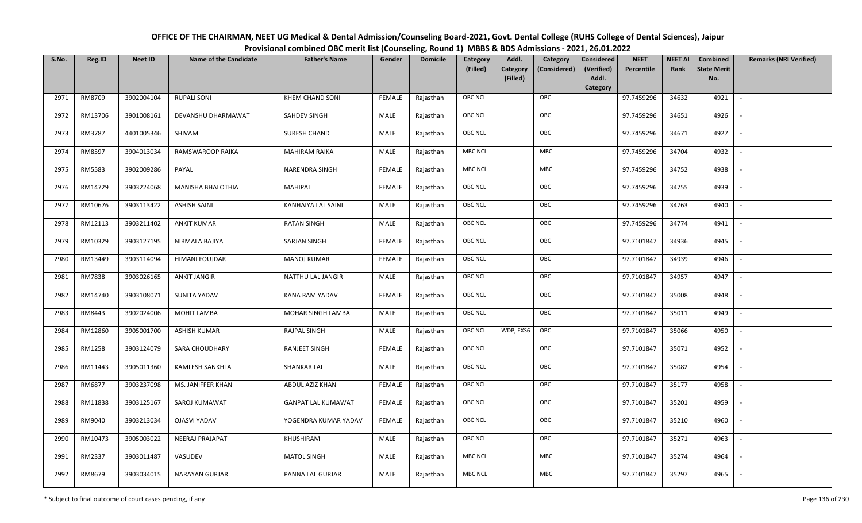| OFFICE OF THE CHAIRMAN, NEET UG Medical & Dental Admission/Counseling Board-2021, Govt. Dental College (RUHS College of Dental Sciences), Jaipur |
|--------------------------------------------------------------------------------------------------------------------------------------------------|
| Provisional combined OBC merit list (Counseling, Round 1) MBBS & BDS Admissions - 2021, 26.01.2022                                               |

| S.No. | Reg.ID  | <b>Neet ID</b> | <b>Name of the Candidate</b> | <b>Father's Name</b>      | Gender        | <b>Domicile</b> | Category<br>(Filled) | Addl.<br><b>Category</b><br>(Filled) | Category<br>(Considered) | Considered<br>(Verified)<br>Addl. | <b>NEET</b><br>Percentile | <b>NEET AI</b><br>Rank | Combined<br><b>State Merit</b><br>No. | <b>Remarks (NRI Verified)</b> |
|-------|---------|----------------|------------------------------|---------------------------|---------------|-----------------|----------------------|--------------------------------------|--------------------------|-----------------------------------|---------------------------|------------------------|---------------------------------------|-------------------------------|
|       |         |                |                              |                           |               |                 |                      |                                      |                          | Category                          |                           |                        |                                       |                               |
| 2971  | RM8709  | 3902004104     | <b>RUPALI SONI</b>           | <b>KHEM CHAND SONI</b>    | <b>FEMALE</b> | Rajasthan       | <b>OBC NCL</b>       |                                      | OBC                      |                                   | 97.7459296                | 34632                  | 4921                                  | $\sim$                        |
| 2972  | RM13706 | 3901008161     | DEVANSHU DHARMAWAT           | SAHDEV SINGH              | MALE          | Rajasthan       | OBC NCL              |                                      | OBC                      |                                   | 97.7459296                | 34651                  | 4926                                  |                               |
| 2973  | RM3787  | 4401005346     | SHIVAM                       | SURESH CHAND              | MALE          | Rajasthan       | <b>OBC NCL</b>       |                                      | OBC                      |                                   | 97.7459296                | 34671                  | 4927                                  | $\overline{\phantom{a}}$      |
| 2974  | RM8597  | 3904013034     | RAMSWAROOP RAIKA             | <b>MAHIRAM RAIKA</b>      | MALE          | Rajasthan       | <b>MBC NCL</b>       |                                      | MBC                      |                                   | 97.7459296                | 34704                  | 4932                                  | $\overline{\phantom{a}}$      |
| 2975  | RM5583  | 3902009286     | PAYAL                        | NARENDRA SINGH            | <b>FEMALE</b> | Rajasthan       | <b>MBC NCL</b>       |                                      | <b>MBC</b>               |                                   | 97.7459296                | 34752                  | 4938                                  | $\overline{\phantom{a}}$      |
| 2976  | RM14729 | 3903224068     | MANISHA BHALOTHIA            | MAHIPAL                   | <b>FEMALE</b> | Rajasthan       | <b>OBC NCL</b>       |                                      | OBC                      |                                   | 97.7459296                | 34755                  | 4939                                  | $\overline{\phantom{a}}$      |
| 2977  | RM10676 | 3903113422     | <b>ASHISH SAINI</b>          | KANHAIYA LAL SAINI        | MALE          | Rajasthan       | <b>OBC NCL</b>       |                                      | OBC                      |                                   | 97.7459296                | 34763                  | 4940                                  |                               |
| 2978  | RM12113 | 3903211402     | <b>ANKIT KUMAR</b>           | <b>RATAN SINGH</b>        | MALE          | Rajasthan       | OBC NCL              |                                      | OBC                      |                                   | 97.7459296                | 34774                  | 4941                                  |                               |
| 2979  | RM10329 | 3903127195     | NIRMALA BAJIYA               | <b>SARJAN SINGH</b>       | <b>FEMALE</b> | Rajasthan       | OBC NCL              |                                      | OBC                      |                                   | 97.7101847                | 34936                  | 4945                                  |                               |
| 2980  | RM13449 | 3903114094     | <b>HIMANI FOUJDAR</b>        | <b>MANOJ KUMAR</b>        | <b>FEMALE</b> | Rajasthan       | <b>OBC NCL</b>       |                                      | OBC                      |                                   | 97.7101847                | 34939                  | 4946                                  | $\overline{\phantom{a}}$      |
| 2981  | RM7838  | 3903026165     | <b>ANKIT JANGIR</b>          | NATTHU LAL JANGIR         | MALE          | Rajasthan       | OBC NCL              |                                      | OBC                      |                                   | 97.7101847                | 34957                  | 4947                                  |                               |
| 2982  | RM14740 | 3903108071     | SUNITA YADAV                 | KANA RAM YADAV            | <b>FEMALE</b> | Rajasthan       | <b>OBC NCL</b>       |                                      | OBC                      |                                   | 97.7101847                | 35008                  | 4948                                  |                               |
| 2983  | RM8443  | 3902024006     | <b>MOHIT LAMBA</b>           | MOHAR SINGH LAMBA         | MALE          | Rajasthan       | <b>OBC NCL</b>       |                                      | OBC                      |                                   | 97.7101847                | 35011                  | 4949                                  |                               |
| 2984  | RM12860 | 3905001700     | <b>ASHISH KUMAR</b>          | <b>RAJPAL SINGH</b>       | MALE          | Rajasthan       | OBC NCL              | WDP, EXS6                            | OBC                      |                                   | 97.7101847                | 35066                  | 4950                                  | $\overline{\phantom{a}}$      |
| 2985  | RM1258  | 3903124079     | <b>SARA CHOUDHARY</b>        | <b>RANJEET SINGH</b>      | <b>FEMALE</b> | Rajasthan       | OBC NCL              |                                      | OBC                      |                                   | 97.7101847                | 35071                  | 4952                                  | $\overline{\phantom{a}}$      |
| 2986  | RM11443 | 3905011360     | KAMLESH SANKHLA              | SHANKAR LAL               | MALE          | Rajasthan       | <b>OBC NCL</b>       |                                      | OBC                      |                                   | 97.7101847                | 35082                  | 4954                                  | $\sim$                        |
| 2987  | RM6877  | 3903237098     | MS. JANIFFER KHAN            | ABDUL AZIZ KHAN           | <b>FEMALE</b> | Rajasthan       | <b>OBC NCL</b>       |                                      | OBC                      |                                   | 97.7101847                | 35177                  | 4958                                  | $\overline{\phantom{a}}$      |
| 2988  | RM11838 | 3903125167     | SAROJ KUMAWAT                | <b>GANPAT LAL KUMAWAT</b> | <b>FEMALE</b> | Rajasthan       | OBC NCL              |                                      | OBC                      |                                   | 97.7101847                | 35201                  | 4959                                  | $\sim$                        |
| 2989  | RM9040  | 3903213034     | <b>OJASVI YADAV</b>          | YOGENDRA KUMAR YADAV      | <b>FEMALE</b> | Rajasthan       | OBC NCL              |                                      | OBC                      |                                   | 97.7101847                | 35210                  | 4960                                  |                               |
| 2990  | RM10473 | 3905003022     | NEERAJ PRAJAPAT              | KHUSHIRAM                 | MALE          | Rajasthan       | OBC NCL              |                                      | OBC                      |                                   | 97.7101847                | 35271                  | 4963                                  |                               |
| 2991  | RM2337  | 3903011487     | VASUDEV                      | <b>MATOL SINGH</b>        | MALE          | Rajasthan       | <b>MBC NCL</b>       |                                      | MBC                      |                                   | 97.7101847                | 35274                  | 4964                                  |                               |
| 2992  | RM8679  | 3903034015     | <b>NARAYAN GURJAR</b>        | PANNA LAL GURJAR          | MALE          | Rajasthan       | <b>MBC NCL</b>       |                                      | MBC                      |                                   | 97.7101847                | 35297                  | 4965                                  |                               |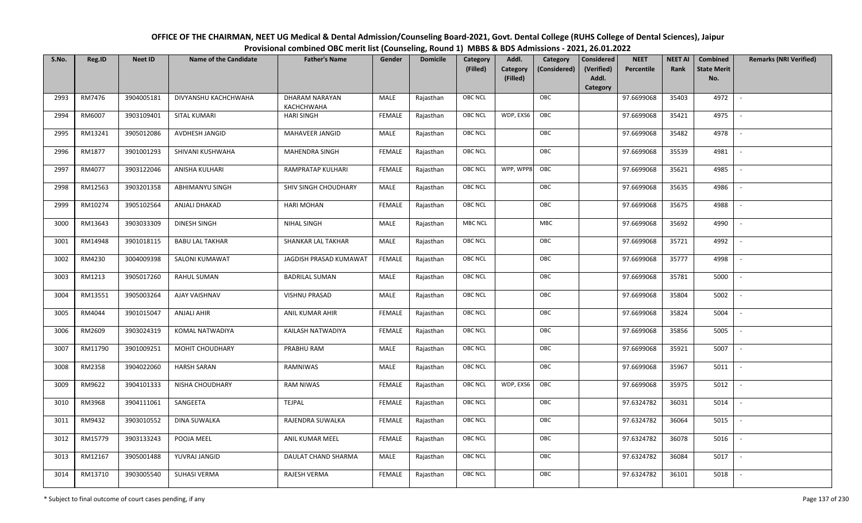| OFFICE OF THE CHAIRMAN, NEET UG Medical & Dental Admission/Counseling Board-2021, Govt. Dental College (RUHS College of Dental Sciences), Jaipur |
|--------------------------------------------------------------------------------------------------------------------------------------------------|
| Provisional combined OBC merit list (Counseling, Round 1) MBBS & BDS Admissions - 2021, 26.01.2022                                               |

| S.No. | Reg.ID  | <b>Neet ID</b> | <b>Name of the Candidate</b> | <b>Father's Name</b>         | Gender        | <b>Domicile</b> | Category<br>(Filled) | Addl.<br>Category<br>(Filled) | Category<br>(Considered) | <b>Considered</b><br>(Verified)<br>Addl.<br>Category | <b>NEET</b><br>Percentile | <b>NEET AI</b><br>Rank | Combined<br><b>State Merit</b><br>No. | <b>Remarks (NRI Verified)</b> |
|-------|---------|----------------|------------------------------|------------------------------|---------------|-----------------|----------------------|-------------------------------|--------------------------|------------------------------------------------------|---------------------------|------------------------|---------------------------------------|-------------------------------|
| 2993  | RM7476  | 3904005181     | DIVYANSHU KACHCHWAHA         | DHARAM NARAYAN<br>KACHCHWAHA | MALE          | Rajasthan       | <b>OBC NCL</b>       |                               | OBC                      |                                                      | 97.6699068                | 35403                  | 4972                                  | $\sim$                        |
| 2994  | RM6007  | 3903109401     | <b>SITAL KUMARI</b>          | <b>HARI SINGH</b>            | <b>FEMALE</b> | Rajasthan       | OBC NCL              | WDP, EXS6                     | OBC                      |                                                      | 97.6699068                | 35421                  | 4975                                  |                               |
| 2995  | RM13241 | 3905012086     | AVDHESH JANGID               | MAHAVEER JANGID              | MALE          | Rajasthan       | <b>OBC NCL</b>       |                               | OBC                      |                                                      | 97.6699068                | 35482                  | 4978                                  |                               |
| 2996  | RM1877  | 3901001293     | SHIVANI KUSHWAHA             | MAHENDRA SINGH               | <b>FEMALE</b> | Rajasthan       | <b>OBC NCL</b>       |                               | OBC                      |                                                      | 97.6699068                | 35539                  | 4981                                  | $\overline{\phantom{a}}$      |
| 2997  | RM4077  | 3903122046     | ANISHA KULHARI               | RAMPRATAP KULHARI            | <b>FEMALE</b> | Rajasthan       | <b>OBC NCL</b>       | WPP, WPP8                     | OBC                      |                                                      | 97.6699068                | 35621                  | 4985                                  | $\overline{\phantom{a}}$      |
| 2998  | RM12563 | 3903201358     | ABHIMANYU SINGH              | SHIV SINGH CHOUDHARY         | MALE          | Rajasthan       | <b>OBC NCL</b>       |                               | OBC                      |                                                      | 97.6699068                | 35635                  | 4986                                  | $\overline{\phantom{a}}$      |
| 2999  | RM10274 | 3905102564     | ANJALI DHAKAD                | <b>HARI MOHAN</b>            | <b>FEMALE</b> | Rajasthan       | <b>OBC NCL</b>       |                               | OBC                      |                                                      | 97.6699068                | 35675                  | 4988                                  |                               |
| 3000  | RM13643 | 3903033309     | DINESH SINGH                 | NIHAL SINGH                  | MALE          | Rajasthan       | <b>MBC NCL</b>       |                               | MBC                      |                                                      | 97.6699068                | 35692                  | 4990                                  |                               |
| 3001  | RM14948 | 3901018115     | <b>BABU LAL TAKHAR</b>       | SHANKAR LAL TAKHAR           | MALE          | Rajasthan       | OBC NCL              |                               | OBC                      |                                                      | 97.6699068                | 35721                  | 4992                                  |                               |
| 3002  | RM4230  | 3004009398     | <b>SALONI KUMAWAT</b>        | JAGDISH PRASAD KUMAWAT       | <b>FEMALE</b> | Rajasthan       | <b>OBC NCL</b>       |                               | OBC                      |                                                      | 97.6699068                | 35777                  | 4998                                  | $\overline{\phantom{a}}$      |
| 3003  | RM1213  | 3905017260     | RAHUL SUMAN                  | <b>BADRILAL SUMAN</b>        | MALE          | Rajasthan       | <b>OBC NCL</b>       |                               | OBC                      |                                                      | 97.6699068                | 35781                  | 5000                                  |                               |
| 3004  | RM13551 | 3905003264     | AJAY VAISHNAV                | <b>VISHNU PRASAD</b>         | MALE          | Rajasthan       | <b>OBC NCL</b>       |                               | OBC                      |                                                      | 97.6699068                | 35804                  | 5002                                  |                               |
| 3005  | RM4044  | 3901015047     | <b>ANJALI AHIR</b>           | ANIL KUMAR AHIR              | <b>FEMALE</b> | Rajasthan       | <b>OBC NCL</b>       |                               | OBC                      |                                                      | 97.6699068                | 35824                  | 5004                                  |                               |
| 3006  | RM2609  | 3903024319     | KOMAL NATWADIYA              | KAILASH NATWADIYA            | <b>FEMALE</b> | Rajasthan       | <b>OBC NCL</b>       |                               | OBC                      |                                                      | 97.6699068                | 35856                  | 5005                                  |                               |
| 3007  | RM11790 | 3901009251     | MOHIT CHOUDHARY              | PRABHU RAM                   | MALE          | Rajasthan       | <b>OBC NCL</b>       |                               | OBC                      |                                                      | 97.6699068                | 35921                  | 5007                                  | $\overline{\phantom{a}}$      |
| 3008  | RM2358  | 3904022060     | <b>HARSH SARAN</b>           | RAMNIWAS                     | MALE          | Rajasthan       | <b>OBC NCL</b>       |                               | OBC                      |                                                      | 97.6699068                | 35967                  | 5011                                  | $\overline{\phantom{a}}$      |
| 3009  | RM9622  | 3904101333     | NISHA CHOUDHARY              | <b>RAM NIWAS</b>             | <b>FEMALE</b> | Rajasthan       | <b>OBC NCL</b>       | WDP, EXS6                     | OBC                      |                                                      | 97.6699068                | 35975                  | 5012                                  | $\overline{\phantom{a}}$      |
| 3010  | RM3968  | 3904111061     | SANGEETA                     | <b>TEJPAL</b>                | <b>FEMALE</b> | Rajasthan       | OBC NCL              |                               | OBC                      |                                                      | 97.6324782                | 36031                  | 5014                                  | $\sim$                        |
| 3011  | RM9432  | 3903010552     | <b>DINA SUWALKA</b>          | RAJENDRA SUWALKA             | <b>FEMALE</b> | Rajasthan       | <b>OBC NCL</b>       |                               | OBC                      |                                                      | 97.6324782                | 36064                  | 5015                                  |                               |
| 3012  | RM15779 | 3903133243     | POOJA MEEL                   | ANIL KUMAR MEEL              | <b>FEMALE</b> | Rajasthan       | OBC NCL              |                               | OBC                      |                                                      | 97.6324782                | 36078                  | 5016                                  |                               |
| 3013  | RM12167 | 3905001488     | YUVRAJ JANGID                | <b>DAULAT CHAND SHARMA</b>   | <b>MALE</b>   | Rajasthan       | <b>OBC NCL</b>       |                               | OBC                      |                                                      | 97.6324782                | 36084                  | 5017                                  |                               |
| 3014  | RM13710 | 3903005540     | <b>SUHASI VERMA</b>          | <b>RAJESH VERMA</b>          | <b>FEMALE</b> | Rajasthan       | <b>OBC NCL</b>       |                               | OBC                      |                                                      | 97.6324782                | 36101                  | 5018                                  |                               |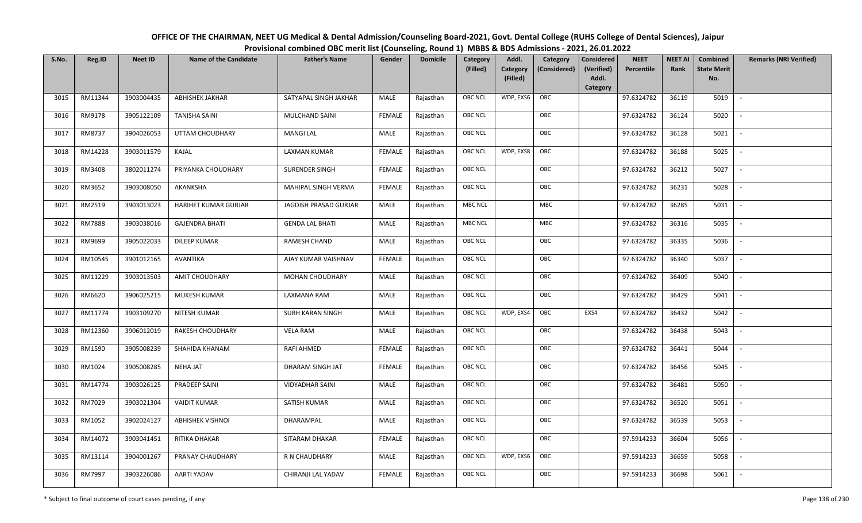| OFFICE OF THE CHAIRMAN, NEET UG Medical & Dental Admission/Counseling Board-2021, Govt. Dental College (RUHS College of Dental Sciences), Jaipur |
|--------------------------------------------------------------------------------------------------------------------------------------------------|
| Provisional combined OBC merit list (Counseling, Round 1) MBBS & BDS Admissions - 2021, 26.01.2022                                               |

| S.No. | Reg.ID        | <b>Neet ID</b> | <b>Name of the Candidate</b> | <b>Father's Name</b>    | Gender        | <b>Domicile</b> | Category<br>(Filled) | Addl.<br>Category | Category<br>(Considered) | <b>Considered</b><br>(Verified) | <b>NEET</b><br>Percentile | <b>NEET AI</b><br>Rank | Combined<br><b>State Merit</b> | <b>Remarks (NRI Verified)</b> |
|-------|---------------|----------------|------------------------------|-------------------------|---------------|-----------------|----------------------|-------------------|--------------------------|---------------------------------|---------------------------|------------------------|--------------------------------|-------------------------------|
|       |               |                |                              |                         |               |                 |                      | (Filled)          |                          | Addl.<br>Category               |                           |                        | No.                            |                               |
| 3015  | RM11344       | 3903004435     | <b>ABHISHEK JAKHAR</b>       | SATYAPAL SINGH JAKHAR   | MALE          | Rajasthan       | OBC NCL              | WDP, EXS6         | OBC                      |                                 | 97.6324782                | 36119                  | 5019                           | $\blacksquare$                |
| 3016  | RM9178        | 3905122109     | <b>TANISHA SAINI</b>         | MULCHAND SAINI          | <b>FEMALE</b> | Rajasthan       | OBC NCL              |                   | OBC                      |                                 | 97.6324782                | 36124                  | 5020                           |                               |
| 3017  | RM8737        | 3904026053     | UTTAM CHOUDHARY              | <b>MANGI LAL</b>        | MALE          | Rajasthan       | OBC NCL              |                   | OBC                      |                                 | 97.6324782                | 36128                  | 5021                           |                               |
| 3018  | RM14228       | 3903011579     | KAJAL                        | LAXMAN KUMAR            | <b>FEMALE</b> | Rajasthan       | OBC NCL              | WDP, EXS8         | OBC                      |                                 | 97.6324782                | 36188                  | 5025                           | $\overline{\phantom{a}}$      |
| 3019  | RM3408        | 3802011274     | PRIYANKA CHOUDHARY           | SURENDER SINGH          | <b>FEMALE</b> | Rajasthan       | OBC NCL              |                   | OBC                      |                                 | 97.6324782                | 36212                  | 5027                           | $\sim$                        |
| 3020  | RM3652        | 3903008050     | AKANKSHA                     | MAHIPAL SINGH VERMA     | <b>FEMALE</b> | Rajasthan       | OBC NCL              |                   | OBC                      |                                 | 97.6324782                | 36231                  | 5028                           | $\overline{\phantom{a}}$      |
| 3021  | RM2519        | 3903013023     | HARIHET KUMAR GURJAR         | JAGDISH PRASAD GURJAR   | MALE          | Rajasthan       | <b>MBC NCL</b>       |                   | <b>MBC</b>               |                                 | 97.6324782                | 36285                  | 5031                           | $\blacksquare$                |
| 3022  | <b>RM7888</b> | 3903038016     | <b>GAJENDRA BHATI</b>        | <b>GENDA LAL BHATI</b>  | MALE          | Rajasthan       | MBC NCL              |                   | ${\sf MBC}$              |                                 | 97.6324782                | 36316                  | 5035                           |                               |
| 3023  | RM9699        | 3905022033     | <b>DILEEP KUMAR</b>          | RAMESH CHAND            | MALE          | Rajasthan       | OBC NCL              |                   | OBC                      |                                 | 97.6324782                | 36335                  | 5036                           |                               |
| 3024  | RM10545       | 3901012165     | <b>AVANTIKA</b>              | AJAY KUMAR VAISHNAV     | <b>FEMALE</b> | Rajasthan       | OBC NCL              |                   | OBC                      |                                 | 97.6324782                | 36340                  | 5037                           | $\overline{\phantom{a}}$      |
| 3025  | RM11229       | 3903013503     | AMIT CHOUDHARY               | <b>MOHAN CHOUDHARY</b>  | MALE          | Rajasthan       | <b>OBC NCL</b>       |                   | OBC                      |                                 | 97.6324782                | 36409                  | 5040                           |                               |
| 3026  | RM6620        | 3906025215     | MUKESH KUMAR                 | LAXMANA RAM             | MALE          | Rajasthan       | OBC NCL              |                   | OBC                      |                                 | 97.6324782                | 36429                  | 5041                           | $\sim$                        |
| 3027  | RM11774       | 3903109270     | NITESH KUMAR                 | <b>SUBH KARAN SINGH</b> | MALE          | Rajasthan       | OBC NCL              | WDP, EXS4         | OBC                      | EXS4                            | 97.6324782                | 36432                  | 5042                           |                               |
| 3028  | RM12360       | 3906012019     | RAKESH CHOUDHARY             | <b>VELA RAM</b>         | MALE          | Rajasthan       | OBC NCL              |                   | OBC                      |                                 | 97.6324782                | 36438                  | 5043                           | $\sim$                        |
| 3029  | RM1590        | 3905008239     | SHAHIDA KHANAM               | RAFI AHMED              | <b>FEMALE</b> | Rajasthan       | OBC NCL              |                   | OBC                      |                                 | 97.6324782                | 36441                  | 5044                           | $\overline{\phantom{a}}$      |
| 3030  | RM1024        | 3905008285     | <b>NEHA JAT</b>              | DHARAM SINGH JAT        | <b>FEMALE</b> | Rajasthan       | OBC NCL              |                   | OBC                      |                                 | 97.6324782                | 36456                  | 5045                           | $\overline{\phantom{a}}$      |
| 3031  | RM14774       | 3903026125     | PRADEEP SAINI                | <b>VIDYADHAR SAINI</b>  | MALE          | Rajasthan       | OBC NCL              |                   | OBC                      |                                 | 97.6324782                | 36481                  | 5050                           | $\overline{\phantom{a}}$      |
| 3032  | RM7029        | 3903021304     | <b>VAIDIT KUMAR</b>          | SATISH KUMAR            | MALE          | Rajasthan       | OBC NCL              |                   | OBC                      |                                 | 97.6324782                | 36520                  | 5051                           |                               |
| 3033  | RM1052        | 3902024127     | <b>ABHISHEK VISHNOI</b>      | DHARAMPAL               | MALE          | Rajasthan       | <b>OBC NCL</b>       |                   | OBC                      |                                 | 97.6324782                | 36539                  | 5053                           |                               |
| 3034  | RM14072       | 3903041451     | RITIKA DHAKAR                | SITARAM DHAKAR          | <b>FEMALE</b> | Rajasthan       | OBC NCL              |                   | OBC                      |                                 | 97.5914233                | 36604                  | 5056                           |                               |
| 3035  | RM13114       | 3904001267     | PRANAY CHAUDHARY             | R N CHAUDHARY           | <b>MALE</b>   | Rajasthan       | OBC NCL              | WDP, EXS6         | OBC                      |                                 | 97.5914233                | 36659                  | 5058                           |                               |
| 3036  | RM7997        | 3903226086     | AARTI YADAV                  | CHIRANJI LAL YADAV      | <b>FEMALE</b> | Rajasthan       | OBC NCL              |                   | OBC                      |                                 | 97.5914233                | 36698                  | 5061                           |                               |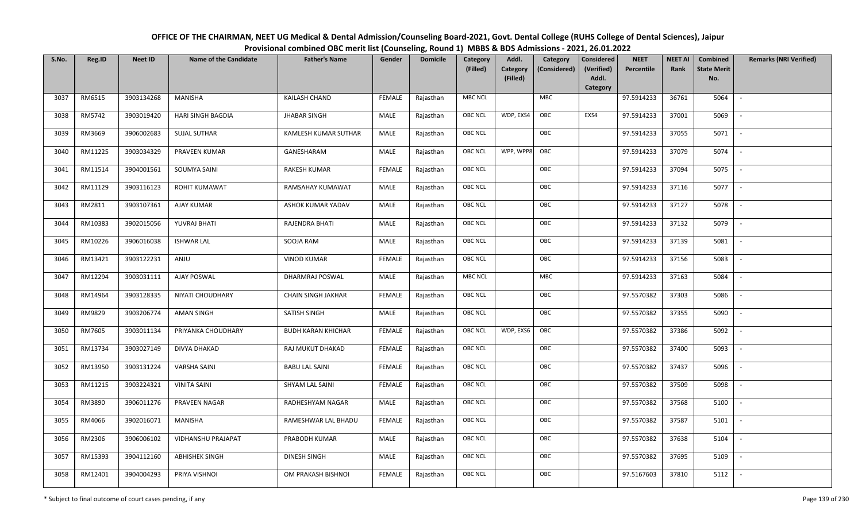| OFFICE OF THE CHAIRMAN, NEET UG Medical & Dental Admission/Counseling Board-2021, Govt. Dental College (RUHS College of Dental Sciences), Jaipur |
|--------------------------------------------------------------------------------------------------------------------------------------------------|
| Provisional combined OBC merit list (Counseling, Round 1) MBBS & BDS Admissions - 2021, 26.01.2022                                               |

| S.No. | Reg.ID  | <b>Neet ID</b> | <b>Name of the Candidate</b> | <b>Father's Name</b>      | Gender        | <b>Domicile</b> | Category<br>(Filled) | Addl.<br><b>Category</b><br>(Filled) | Category<br>(Considered) | <b>Considered</b><br>(Verified)<br>Addl. | <b>NEET</b><br>Percentile | <b>NEET AI</b><br>Rank | Combined<br><b>State Merit</b><br>No. | <b>Remarks (NRI Verified)</b> |
|-------|---------|----------------|------------------------------|---------------------------|---------------|-----------------|----------------------|--------------------------------------|--------------------------|------------------------------------------|---------------------------|------------------------|---------------------------------------|-------------------------------|
|       |         |                |                              |                           |               |                 |                      |                                      |                          | Category                                 |                           |                        |                                       |                               |
| 3037  | RM6515  | 3903134268     | MANISHA                      | <b>KAILASH CHAND</b>      | <b>FEMALE</b> | Rajasthan       | <b>MBC NCL</b>       |                                      | <b>MBC</b>               |                                          | 97.5914233                | 36761                  | 5064                                  | $\overline{\phantom{a}}$      |
| 3038  | RM5742  | 3903019420     | HARI SINGH BAGDIA            | <b>JHABAR SINGH</b>       | MALE          | Rajasthan       | OBC NCL              | WDP, EXS4                            | OBC                      | EXS4                                     | 97.5914233                | 37001                  | 5069                                  |                               |
| 3039  | RM3669  | 3906002683     | <b>SUJAL SUTHAR</b>          | KAMLESH KUMAR SUTHAR      | MALE          | Rajasthan       | OBC NCL              |                                      | OBC                      |                                          | 97.5914233                | 37055                  | 5071                                  | $\sim$                        |
| 3040  | RM11225 | 3903034329     | PRAVEEN KUMAR                | GANESHARAM                | MALE          | Rajasthan       | <b>OBC NCL</b>       | WPP, WPP8                            | OBC                      |                                          | 97.5914233                | 37079                  | 5074                                  | $\overline{\phantom{a}}$      |
| 3041  | RM11514 | 3904001561     | SOUMYA SAINI                 | <b>RAKESH KUMAR</b>       | <b>FEMALE</b> | Rajasthan       | <b>OBC NCL</b>       |                                      | OBC                      |                                          | 97.5914233                | 37094                  | 5075                                  | $\sim$                        |
| 3042  | RM11129 | 3903116123     | <b>ROHIT KUMAWAT</b>         | RAMSAHAY KUMAWAT          | MALE          | Rajasthan       | <b>OBC NCL</b>       |                                      | OBC                      |                                          | 97.5914233                | 37116                  | 5077                                  | $\sim$                        |
| 3043  | RM2811  | 3903107361     | <b>AJAY KUMAR</b>            | ASHOK KUMAR YADAV         | MALE          | Rajasthan       | OBC NCL              |                                      | OBC                      |                                          | 97.5914233                | 37127                  | 5078                                  | $\overline{\phantom{a}}$      |
| 3044  | RM10383 | 3902015056     | YUVRAJ BHATI                 | RAJENDRA BHATI            | MALE          | Rajasthan       | OBC NCL              |                                      | OBC                      |                                          | 97.5914233                | 37132                  | 5079                                  |                               |
| 3045  | RM10226 | 3906016038     | <b>ISHWAR LAL</b>            | SOOJA RAM                 | MALE          | Rajasthan       | OBC NCL              |                                      | OBC                      |                                          | 97.5914233                | 37139                  | 5081                                  |                               |
| 3046  | RM13421 | 3903122231     | ANJU                         | <b>VINOD KUMAR</b>        | <b>FEMALE</b> | Rajasthan       | OBC NCL              |                                      | OBC                      |                                          | 97.5914233                | 37156                  | 5083                                  | $\overline{\phantom{a}}$      |
| 3047  | RM12294 | 3903031111     | <b>AJAY POSWAL</b>           | DHARMRAJ POSWAL           | MALE          | Rajasthan       | <b>MBC NCL</b>       |                                      | <b>MBC</b>               |                                          | 97.5914233                | 37163                  | 5084                                  |                               |
| 3048  | RM14964 | 3903128335     | NIYATI CHOUDHARY             | <b>CHAIN SINGH JAKHAR</b> | <b>FEMALE</b> | Rajasthan       | OBC NCL              |                                      | OBC                      |                                          | 97.5570382                | 37303                  | 5086                                  |                               |
| 3049  | RM9829  | 3903206774     | AMAN SINGH                   | SATISH SINGH              | MALE          | Rajasthan       | <b>OBC NCL</b>       |                                      | OBC                      |                                          | 97.5570382                | 37355                  | 5090                                  |                               |
| 3050  | RM7605  | 3903011134     | PRIYANKA CHOUDHARY           | <b>BUDH KARAN KHICHAR</b> | <b>FEMALE</b> | Rajasthan       | OBC NCL              | WDP, EXS6                            | OBC                      |                                          | 97.5570382                | 37386                  | 5092                                  | $\sim$                        |
| 3051  | RM13734 | 3903027149     | DIVYA DHAKAD                 | RAJ MUKUT DHAKAD          | <b>FEMALE</b> | Rajasthan       | <b>OBC NCL</b>       |                                      | OBC                      |                                          | 97.5570382                | 37400                  | 5093                                  | $\overline{\phantom{a}}$      |
| 3052  | RM13950 | 3903131224     | <b>VARSHA SAINI</b>          | <b>BABU LAL SAINI</b>     | <b>FEMALE</b> | Rajasthan       | <b>OBC NCL</b>       |                                      | OBC                      |                                          | 97.5570382                | 37437                  | 5096                                  | $\sim$                        |
| 3053  | RM11215 | 3903224321     | <b>VINITA SAINI</b>          | SHYAM LAL SAINI           | <b>FEMALE</b> | Rajasthan       | <b>OBC NCL</b>       |                                      | OBC                      |                                          | 97.5570382                | 37509                  | 5098                                  | $\overline{\phantom{a}}$      |
| 3054  | RM3890  | 3906011276     | PRAVEEN NAGAR                | RADHESHYAM NAGAR          | MALE          | Rajasthan       | OBC NCL              |                                      | OBC                      |                                          | 97.5570382                | 37568                  | 5100                                  |                               |
| 3055  | RM4066  | 3902016071     | MANISHA                      | RAMESHWAR LAL BHADU       | <b>FEMALE</b> | Rajasthan       | <b>OBC NCL</b>       |                                      | OBC                      |                                          | 97.5570382                | 37587                  | 5101                                  |                               |
| 3056  | RM2306  | 3906006102     | VIDHANSHU PRAJAPAT           | PRABODH KUMAR             | MALE          | Rajasthan       | OBC NCL              |                                      | OBC                      |                                          | 97.5570382                | 37638                  | 5104                                  |                               |
| 3057  | RM15393 | 3904112160     | <b>ABHISHEK SINGH</b>        | <b>DINESH SINGH</b>       | <b>MALE</b>   | Rajasthan       | <b>OBC NCL</b>       |                                      | OBC                      |                                          | 97.5570382                | 37695                  | 5109                                  |                               |
| 3058  | RM12401 | 3904004293     | PRIYA VISHNOI                | OM PRAKASH BISHNOI        | <b>FEMALE</b> | Rajasthan       | <b>OBC NCL</b>       |                                      | OBC                      |                                          | 97.5167603                | 37810                  | 5112                                  |                               |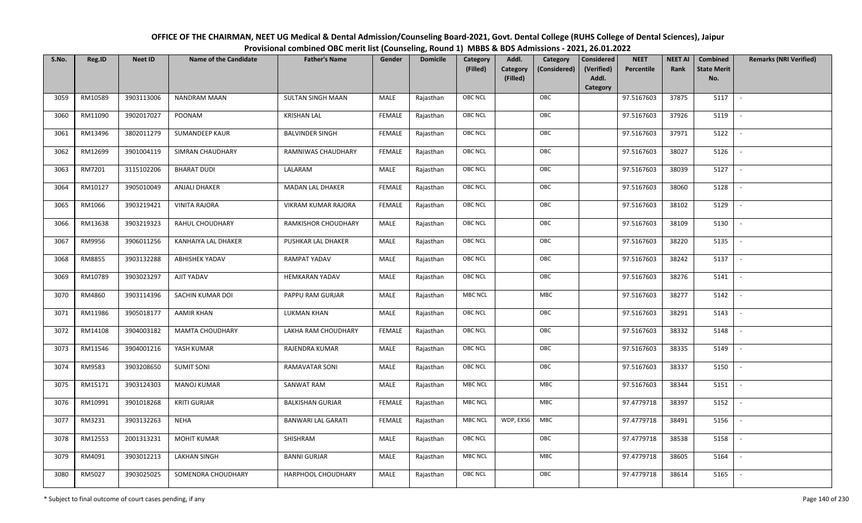| OFFICE OF THE CHAIRMAN, NEET UG Medical & Dental Admission/Counseling Board-2021, Govt. Dental College (RUHS College of Dental Sciences), Jaipur |  |
|--------------------------------------------------------------------------------------------------------------------------------------------------|--|
| Provisional combined OBC merit list (Counseling, Round 1) MBBS & BDS Admissions - 2021, 26.01.2022                                               |  |

| S.No. | Reg.ID  | <b>Neet ID</b> | <b>Name of the Candidate</b> | <b>Father's Name</b>      | Gender        | <b>Domicile</b> | <b>Category</b> | Addl.                | Category     | <b>Considered</b>   | <b>NEET</b> | <b>NEET AI</b> | Combined                  | <b>Remarks (NRI Verified)</b> |
|-------|---------|----------------|------------------------------|---------------------------|---------------|-----------------|-----------------|----------------------|--------------|---------------------|-------------|----------------|---------------------------|-------------------------------|
|       |         |                |                              |                           |               |                 | (Filled)        | Category<br>(Filled) | (Considered) | (Verified)<br>Addl. | Percentile  | Rank           | <b>State Merit</b><br>No. |                               |
|       |         |                |                              |                           |               |                 |                 |                      |              | <b>Category</b>     |             |                |                           |                               |
| 3059  | RM10589 | 3903113006     | NANDRAM MAAN                 | SULTAN SINGH MAAN         | MALE          | Rajasthan       | <b>OBC NCL</b>  |                      | OBC          |                     | 97.5167603  | 37875          | 5117                      | $\sim$                        |
| 3060  | RM11090 | 3902017027     | POONAM                       | <b>KRISHAN LAL</b>        | <b>FEMALE</b> | Rajasthan       | OBC NCL         |                      | OBC          |                     | 97.5167603  | 37926          | 5119                      |                               |
| 3061  | RM13496 | 3802011279     | <b>SUMANDEEP KAUR</b>        | <b>BALVINDER SINGH</b>    | <b>FEMALE</b> | Rajasthan       | <b>OBC NCL</b>  |                      | OBC          |                     | 97.5167603  | 37971          | 5122                      | $\sim$                        |
| 3062  | RM12699 | 3901004119     | SIMRAN CHAUDHARY             | RAMNIWAS CHAUDHARY        | <b>FEMALE</b> | Rajasthan       | <b>OBC NCL</b>  |                      | OBC          |                     | 97.5167603  | 38027          | 5126                      | $\overline{\phantom{a}}$      |
| 3063  | RM7201  | 3115102206     | <b>BHARAT DUDI</b>           | LALARAM                   | MALE          | Rajasthan       | OBC NCL         |                      | OBC          |                     | 97.5167603  | 38039          | 5127                      | $\sim$                        |
| 3064  | RM10127 | 3905010049     | <b>ANJALI DHAKER</b>         | <b>MADAN LAL DHAKER</b>   | <b>FEMALE</b> | Rajasthan       | <b>OBC NCL</b>  |                      | OBC          |                     | 97.5167603  | 38060          | 5128                      | $\overline{\phantom{a}}$      |
| 3065  | RM1066  | 3903219421     | <b>VINITA RAJORA</b>         | VIKRAM KUMAR RAJORA       | <b>FEMALE</b> | Rajasthan       | OBC NCL         |                      | OBC          |                     | 97.5167603  | 38102          | 5129                      |                               |
| 3066  | RM13638 | 3903219323     | RAHUL CHOUDHARY              | RAMKISHOR CHOUDHARY       | MALE          | Rajasthan       | OBC NCL         |                      | OBC          |                     | 97.5167603  | 38109          | 5130                      |                               |
| 3067  | RM9956  | 3906011256     | KANHAIYA LAL DHAKER          | PUSHKAR LAL DHAKER        | MALE          | Rajasthan       | <b>OBC NCL</b>  |                      | OBC          |                     | 97.5167603  | 38220          | 5135                      |                               |
| 3068  | RM8855  | 3903132288     | <b>ABHISHEK YADAV</b>        | <b>RAMPAT YADAV</b>       | MALE          | Rajasthan       | OBC NCL         |                      | OBC          |                     | 97.5167603  | 38242          | 5137                      | $\sim$                        |
| 3069  | RM10789 | 3903023297     | AJIT YADAV                   | <b>HEMKARAN YADAV</b>     | MALE          | Rajasthan       | <b>OBC NCL</b>  |                      | OBC          |                     | 97.5167603  | 38276          | 5141                      |                               |
| 3070  | RM4860  | 3903114396     | SACHIN KUMAR DOI             | PAPPU RAM GURJAR          | MALE          | Rajasthan       | <b>MBC NCL</b>  |                      | <b>MBC</b>   |                     | 97.5167603  | 38277          | 5142                      | $\sim$                        |
| 3071  | RM11986 | 3905018177     | <b>AAMIR KHAN</b>            | <b>LUKMAN KHAN</b>        | MALE          | Rajasthan       | <b>OBC NCL</b>  |                      | OBC          |                     | 97.5167603  | 38291          | 5143                      |                               |
| 3072  | RM14108 | 3904003182     | <b>MAMTA CHOUDHARY</b>       | LAKHA RAM CHOUDHARY       | <b>FEMALE</b> | Rajasthan       | OBC NCL         |                      | OBC          |                     | 97.5167603  | 38332          | 5148                      | $\overline{\phantom{a}}$      |
| 3073  | RM11546 | 3904001216     | YASH KUMAR                   | RAJENDRA KUMAR            | MALE          | Rajasthan       | OBC NCL         |                      | OBC          |                     | 97.5167603  | 38335          | 5149                      | $\overline{\phantom{a}}$      |
| 3074  | RM9583  | 3903208650     | <b>SUMIT SONI</b>            | RAMAVATAR SONI            | MALE          | Rajasthan       | <b>OBC NCL</b>  |                      | OBC          |                     | 97.5167603  | 38337          | 5150                      | $\sim$                        |
| 3075  | RM15171 | 3903124303     | <b>MANOJ KUMAR</b>           | SANWAT RAM                | MALE          | Rajasthan       | <b>MBC NCL</b>  |                      | MBC          |                     | 97.5167603  | 38344          | 5151                      | $\overline{\phantom{a}}$      |
| 3076  | RM10991 | 3901018268     | <b>KRITI GURJAR</b>          | <b>BALKISHAN GURJAR</b>   | <b>FEMALE</b> | Rajasthan       | <b>MBC NCL</b>  |                      | MBC          |                     | 97.4779718  | 38397          | 5152                      |                               |
| 3077  | RM3231  | 3903132263     | <b>NEHA</b>                  | <b>BANWARI LAL GARATI</b> | <b>FEMALE</b> | Rajasthan       | <b>MBC NCL</b>  | WDP, EXS6            | MBC          |                     | 97.4779718  | 38491          | 5156                      |                               |
| 3078  | RM12553 | 2001313231     | <b>MOHIT KUMAR</b>           | SHISHRAM                  | MALE          | Rajasthan       | <b>OBC NCL</b>  |                      | OBC          |                     | 97.4779718  | 38538          | 5158                      |                               |
| 3079  | RM4091  | 3903012213     | LAKHAN SINGH                 | <b>BANNI GURJAR</b>       | MALE          | Rajasthan       | <b>MBC NCL</b>  |                      | <b>MBC</b>   |                     | 97.4779718  | 38605          | 5164                      |                               |
| 3080  | RM5027  | 3903025025     | SOMENDRA CHOUDHARY           | HARPHOOL CHOUDHARY        | MALE          | Rajasthan       | <b>OBC NCL</b>  |                      | OBC          |                     | 97.4779718  | 38614          | 5165                      |                               |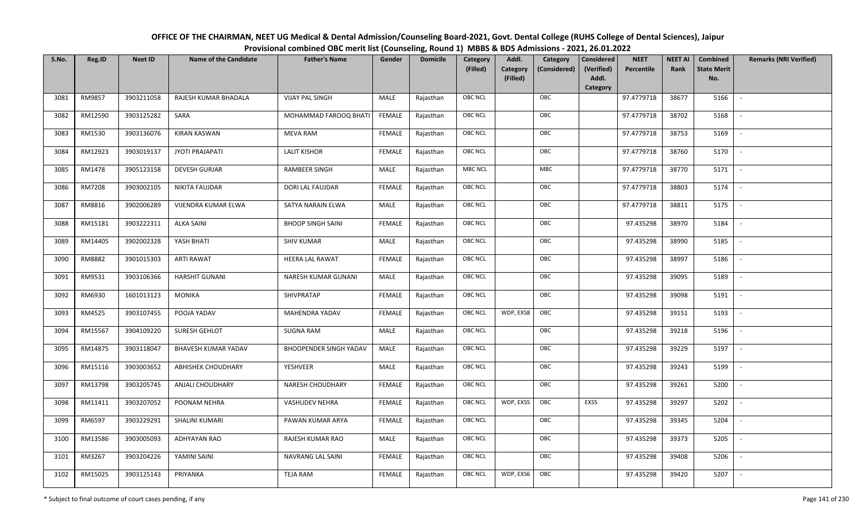| OFFICE OF THE CHAIRMAN, NEET UG Medical & Dental Admission/Counseling Board-2021, Govt. Dental College (RUHS College of Dental Sciences), Jaipur |  |
|--------------------------------------------------------------------------------------------------------------------------------------------------|--|
| Provisional combined OBC merit list (Counseling, Round 1) MBBS & BDS Admissions - 2021, 26.01.2022                                               |  |

| S.No. | Reg.ID  | <b>Neet ID</b> | <b>Name of the Candidate</b> | <b>Father's Name</b>          | Gender        | <b>Domicile</b> | Category<br>(Filled) | Addl.<br><b>Category</b> | Category<br>(Considered) | <b>Considered</b><br>(Verified) | <b>NEET</b><br>Percentile | <b>NEET AI</b><br>Rank | Combined<br><b>State Merit</b> | <b>Remarks (NRI Verified)</b> |
|-------|---------|----------------|------------------------------|-------------------------------|---------------|-----------------|----------------------|--------------------------|--------------------------|---------------------------------|---------------------------|------------------------|--------------------------------|-------------------------------|
|       |         |                |                              |                               |               |                 |                      | (Filled)                 |                          | Addl.<br>Category               |                           |                        | No.                            |                               |
| 3081  | RM9857  | 3903211058     | RAJESH KUMAR BHADALA         | <b>VIJAY PAL SINGH</b>        | MALE          | Rajasthan       | <b>OBC NCL</b>       |                          | OBC                      |                                 | 97.4779718                | 38677                  | 5166                           | $\overline{\phantom{a}}$      |
| 3082  | RM12590 | 3903125282     | SARA                         | MOHAMMAD FAROOQ BHATI         | <b>FEMALE</b> | Rajasthan       | OBC NCL              |                          | OBC                      |                                 | 97.4779718                | 38702                  | 5168                           |                               |
| 3083  | RM1530  | 3903136076     | <b>KIRAN KASWAN</b>          | <b>MEVA RAM</b>               | FEMALE        | Rajasthan       | OBC NCL              |                          | OBC                      |                                 | 97.4779718                | 38753                  | 5169                           | $\overline{\phantom{a}}$      |
| 3084  | RM12923 | 3903019137     | JYOTI PRAJAPATI              | <b>LALIT KISHOR</b>           | <b>FEMALE</b> | Rajasthan       | <b>OBC NCL</b>       |                          | OBC                      |                                 | 97.4779718                | 38760                  | 5170                           | $\overline{\phantom{a}}$      |
| 3085  | RM1478  | 3905123158     | <b>DEVESH GURJAR</b>         | <b>RAMBEER SINGH</b>          | MALE          | Rajasthan       | <b>MBC NCL</b>       |                          | MBC                      |                                 | 97.4779718                | 38770                  | 5171                           | $\sim$                        |
| 3086  | RM7208  | 3903002105     | NIKITA FAUJDAR               | DORI LAL FAUJDAR              | <b>FEMALE</b> | Rajasthan       | OBC NCL              |                          | OBC                      |                                 | 97.4779718                | 38803                  | 5174                           | $\sim$                        |
| 3087  | RM8816  | 3902006289     | VIJENDRA KUMAR ELWA          | SATYA NARAIN ELWA             | MALE          | Rajasthan       | OBC NCL              |                          | OBC                      |                                 | 97.4779718                | 38811                  | 5175                           | $\mathbb{L}$                  |
| 3088  | RM15181 | 3903222311     | <b>ALKA SAINI</b>            | <b>BHOOP SINGH SAINI</b>      | <b>FEMALE</b> | Rajasthan       | OBC NCL              |                          | OBC                      |                                 | 97.435298                 | 38970                  | 5184                           |                               |
| 3089  | RM14405 | 3902002328     | YASH BHATI                   | <b>SHIV KUMAR</b>             | MALE          | Rajasthan       | OBC NCL              |                          | OBC                      |                                 | 97.435298                 | 38990                  | 5185                           |                               |
| 3090  | RM8882  | 3901015303     | <b>ARTI RAWAT</b>            | HEERA LAL RAWAT               | <b>FEMALE</b> | Rajasthan       | OBC NCL              |                          | OBC                      |                                 | 97.435298                 | 38997                  | 5186                           | $\overline{\phantom{a}}$      |
| 3091  | RM9531  | 3903106366     | <b>HARSHIT GUNANI</b>        | NARESH KUMAR GUNANI           | MALE          | Rajasthan       | <b>OBC NCL</b>       |                          | OBC                      |                                 | 97.435298                 | 39095                  | 5189                           |                               |
| 3092  | RM6930  | 1601013123     | MONIKA                       | SHIVPRATAP                    | <b>FEMALE</b> | Rajasthan       | <b>OBC NCL</b>       |                          | OBC                      |                                 | 97.435298                 | 39098                  | 5191                           | $\overline{\phantom{a}}$      |
| 3093  | RM4525  | 3903107455     | POOJA YADAV                  | MAHENDRA YADAV                | FEMALE        | Rajasthan       | <b>OBC NCL</b>       | WDP, EXS8                | OBC                      |                                 | 97.435298                 | 39151                  | 5193                           |                               |
| 3094  | RM15567 | 3904109220     | SURESH GEHLOT                | <b>SUGNA RAM</b>              | MALE          | Rajasthan       | OBC NCL              |                          | OBC                      |                                 | 97.435298                 | 39218                  | 5196                           | $\overline{\phantom{a}}$      |
| 3095  | RM14875 | 3903118047     | <b>BHAVESH KUMAR YADAV</b>   | <b>BHOOPENDER SINGH YADAV</b> | MALE          | Rajasthan       | <b>OBC NCL</b>       |                          | OBC                      |                                 | 97.435298                 | 39229                  | 5197                           | $\overline{\phantom{a}}$      |
| 3096  | RM15116 | 3903003652     | <b>ABHISHEK CHOUDHARY</b>    | YESHVEER                      | MALE          | Rajasthan       | <b>OBC NCL</b>       |                          | OBC                      |                                 | 97.435298                 | 39243                  | 5199                           | $\overline{\phantom{a}}$      |
| 3097  | RM13798 | 3903205745     | <b>ANJALI CHOUDHARY</b>      | <b>NARESH CHOUDHARY</b>       | <b>FEMALE</b> | Rajasthan       | <b>OBC NCL</b>       |                          | OBC                      |                                 | 97.435298                 | 39261                  | 5200                           | $\sim$                        |
| 3098  | RM11411 | 3903207052     | POONAM NEHRA                 | <b>VASHUDEV NEHRA</b>         | <b>FEMALE</b> | Rajasthan       | OBC NCL              | WDP, EXS5                | OBC                      | EXS5                            | 97.435298                 | 39297                  | 5202                           | $\sim$                        |
| 3099  | RM6597  | 3903229291     | SHALINI KUMARI               | PAWAN KUMAR ARYA              | <b>FEMALE</b> | Rajasthan       | <b>OBC NCL</b>       |                          | OBC                      |                                 | 97.435298                 | 39345                  | 5204                           |                               |
| 3100  | RM13586 | 3903005093     | ADHYAYAN RAO                 | RAJESH KUMAR RAO              | MALE          | Rajasthan       | OBC NCL              |                          | OBC                      |                                 | 97.435298                 | 39373                  | 5205                           |                               |
| 3101  | RM3267  | 3903204226     | YAMINI SAINI                 | <b>NAVRANG LAL SAINI</b>      | <b>FEMALE</b> | Rajasthan       | <b>OBC NCL</b>       |                          | OBC                      |                                 | 97.435298                 | 39408                  | 5206                           |                               |
| 3102  | RM15025 | 3903125143     | PRIYANKA                     | <b>TEJA RAM</b>               | FEMALE        | Rajasthan       | OBC NCL              | WDP, EXS6                | OBC                      |                                 | 97.435298                 | 39420                  | 5207                           |                               |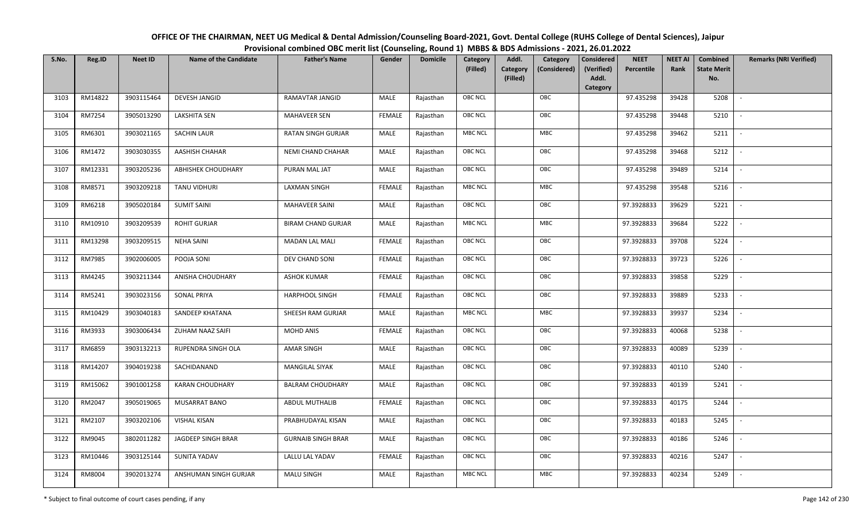| OFFICE OF THE CHAIRMAN, NEET UG Medical & Dental Admission/Counseling Board-2021, Govt. Dental College (RUHS College of Dental Sciences), Jaipur |
|--------------------------------------------------------------------------------------------------------------------------------------------------|
| Provisional combined OBC merit list (Counseling, Round 1) MBBS & BDS Admissions - 2021, 26.01.2022                                               |

| S.No. | Reg.ID  | <b>Neet ID</b> | <b>Name of the Candidate</b> | <b>Father's Name</b>      | Gender        | <b>Domicile</b> | Category<br>(Filled) | Addl.<br>Category<br><b>Category</b><br>(Considered)<br>(Filled) | <b>Considered</b><br>(Verified)<br>Addl. | <b>NEET</b><br>Percentile | <b>NEET AI</b><br>Rank | Combined<br><b>State Merit</b><br>No. | <b>Remarks (NRI Verified)</b> |
|-------|---------|----------------|------------------------------|---------------------------|---------------|-----------------|----------------------|------------------------------------------------------------------|------------------------------------------|---------------------------|------------------------|---------------------------------------|-------------------------------|
|       |         |                |                              |                           |               |                 |                      |                                                                  | Category                                 |                           |                        |                                       |                               |
| 3103  | RM14822 | 3903115464     | <b>DEVESH JANGID</b>         | RAMAVTAR JANGID           | MALE          | Rajasthan       | <b>OBC NCL</b>       | OBC                                                              |                                          | 97.435298                 | 39428                  | 5208                                  | $\sim$                        |
| 3104  | RM7254  | 3905013290     | <b>LAKSHITA SEN</b>          | <b>MAHAVEER SEN</b>       | <b>FEMALE</b> | Rajasthan       | OBC NCL              | OBC                                                              |                                          | 97.435298                 | 39448                  | 5210                                  |                               |
| 3105  | RM6301  | 3903021165     | <b>SACHIN LAUR</b>           | RATAN SINGH GURJAR        | MALE          | Rajasthan       | <b>MBC NCL</b>       | MBC                                                              |                                          | 97.435298                 | 39462                  | 5211                                  | $\overline{\phantom{a}}$      |
| 3106  | RM1472  | 3903030355     | AASHISH CHAHAR               | NEMI CHAND CHAHAR         | MALE          | Rajasthan       | <b>OBC NCL</b>       | OBC                                                              |                                          | 97.435298                 | 39468                  | 5212                                  | $\overline{\phantom{a}}$      |
| 3107  | RM12331 | 3903205236     | <b>ABHISHEK CHOUDHARY</b>    | PURAN MAL JAT             | MALE          | Rajasthan       | OBC NCL              | OBC                                                              |                                          | 97.435298                 | 39489                  | 5214                                  | $\sim$                        |
| 3108  | RM8571  | 3903209218     | TANU VIDHURI                 | <b>LAXMAN SINGH</b>       | <b>FEMALE</b> | Rajasthan       | <b>MBC NCL</b>       | MBC                                                              |                                          | 97.435298                 | 39548                  | 5216                                  | $\sim$                        |
| 3109  | RM6218  | 3905020184     | <b>SUMIT SAINI</b>           | <b>MAHAVEER SAINI</b>     | <b>MALE</b>   | Rajasthan       | OBC NCL              | OBC                                                              |                                          | 97.3928833                | 39629                  | 5221                                  | $\overline{\phantom{a}}$      |
| 3110  | RM10910 | 3903209539     | <b>ROHIT GURJAR</b>          | <b>BIRAM CHAND GURJAR</b> | MALE          | Rajasthan       | MBC NCL              | ${\sf MBC}$                                                      |                                          | 97.3928833                | 39684                  | 5222                                  |                               |
| 3111  | RM13298 | 3903209515     | <b>NEHA SAINI</b>            | <b>MADAN LAL MALI</b>     | <b>FEMALE</b> | Rajasthan       | OBC NCL              | OBC                                                              |                                          | 97.3928833                | 39708                  | 5224                                  |                               |
| 3112  | RM7985  | 3902006005     | POOJA SONI                   | DEV CHAND SONI            | <b>FEMALE</b> | Rajasthan       | OBC NCL              | OBC                                                              |                                          | 97.3928833                | 39723                  | 5226                                  | $\overline{\phantom{a}}$      |
| 3113  | RM4245  | 3903211344     | ANISHA CHOUDHARY             | <b>ASHOK KUMAR</b>        | <b>FEMALE</b> | Rajasthan       | OBC NCL              | OBC                                                              |                                          | 97.3928833                | 39858                  | 5229                                  |                               |
| 3114  | RM5241  | 3903023156     | <b>SONAL PRIYA</b>           | HARPHOOL SINGH            | <b>FEMALE</b> | Rajasthan       | OBC NCL              | OBC                                                              |                                          | 97.3928833                | 39889                  | 5233                                  | $\overline{\phantom{a}}$      |
| 3115  | RM10429 | 3903040183     | SANDEEP KHATANA              | SHEESH RAM GURJAR         | MALE          | Rajasthan       | <b>MBC NCL</b>       | MBC                                                              |                                          | 97.3928833                | 39937                  | 5234                                  |                               |
| 3116  | RM3933  | 3903006434     | ZUHAM NAAZ SAIFI             | MOHD ANIS                 | <b>FEMALE</b> | Rajasthan       | <b>OBC NCL</b>       | OBC                                                              |                                          | 97.3928833                | 40068                  | 5238                                  | $\overline{\phantom{a}}$      |
| 3117  | RM6859  | 3903132213     | RUPENDRA SINGH OLA           | <b>AMAR SINGH</b>         | <b>MALE</b>   | Rajasthan       | <b>OBC NCL</b>       | OBC                                                              |                                          | 97.3928833                | 40089                  | 5239                                  | $\overline{\phantom{a}}$      |
| 3118  | RM14207 | 3904019238     | SACHIDANAND                  | <b>MANGILAL SIYAK</b>     | MALE          | Rajasthan       | <b>OBC NCL</b>       | OBC                                                              |                                          | 97.3928833                | 40110                  | 5240                                  | $\overline{\phantom{a}}$      |
| 3119  | RM15062 | 3901001258     | <b>KARAN CHOUDHARY</b>       | <b>BALRAM CHOUDHARY</b>   | MALE          | Rajasthan       | <b>OBC NCL</b>       | OBC                                                              |                                          | 97.3928833                | 40139                  | 5241                                  | $\overline{\phantom{a}}$      |
| 3120  | RM2047  | 3905019065     | MUSARRAT BANO                | ABDUL MUTHALIB            | <b>FEMALE</b> | Rajasthan       | <b>OBC NCL</b>       | OBC                                                              |                                          | 97.3928833                | 40175                  | 5244                                  |                               |
| 3121  | RM2107  | 3903202106     | <b>VISHAL KISAN</b>          | PRABHUDAYAL KISAN         | MALE          | Rajasthan       | OBC NCL              | OBC                                                              |                                          | 97.3928833                | 40183                  | 5245                                  |                               |
| 3122  | RM9045  | 3802011282     | JAGDEEP SINGH BRAR           | <b>GURNAIB SINGH BRAR</b> | <b>MALE</b>   | Rajasthan       | <b>OBC NCL</b>       | OBC                                                              |                                          | 97.3928833                | 40186                  | 5246                                  | $\overline{\phantom{a}}$      |
| 3123  | RM10446 | 3903125144     | SUNITA YADAV                 | LALLU LAL YADAV           | <b>FEMALE</b> | Rajasthan       | OBC NCL              | OBC                                                              |                                          | 97.3928833                | 40216                  | 5247                                  | $\overline{\phantom{a}}$      |
| 3124  | RM8004  | 3902013274     | ANSHUMAN SINGH GURJAR        | <b>MALU SINGH</b>         | MALE          | Rajasthan       | <b>MBC NCL</b>       | MBC                                                              |                                          | 97.3928833                | 40234                  | 5249                                  |                               |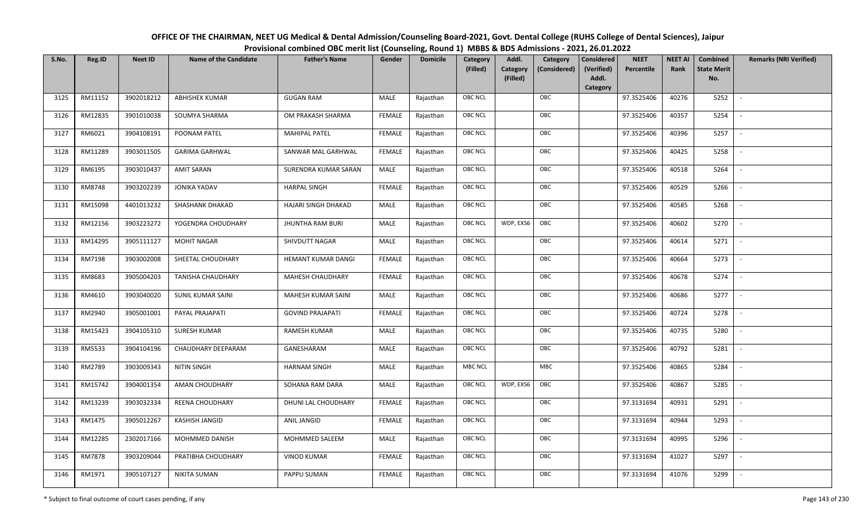| OFFICE OF THE CHAIRMAN, NEET UG Medical & Dental Admission/Counseling Board-2021, Govt. Dental College (RUHS College of Dental Sciences), Jaipur |
|--------------------------------------------------------------------------------------------------------------------------------------------------|
| Provisional combined OBC merit list (Counseling, Round 1) MBBS & BDS Admissions - 2021, 26.01.2022                                               |

| S.No. | Reg.ID  | <b>Neet ID</b> | <b>Name of the Candidate</b> | <b>Father's Name</b>    | Gender        | <b>Domicile</b> | Category<br>(Filled) | Addl.<br><b>Category</b><br>(Filled) | Category<br>(Considered) | <b>Considered</b><br>(Verified)<br>Addl. | <b>NEET</b><br>Percentile | <b>NEET AI</b><br>Rank | <b>Combined</b><br><b>State Merit</b><br>No. | <b>Remarks (NRI Verified)</b> |
|-------|---------|----------------|------------------------------|-------------------------|---------------|-----------------|----------------------|--------------------------------------|--------------------------|------------------------------------------|---------------------------|------------------------|----------------------------------------------|-------------------------------|
| 3125  | RM11152 | 3902018212     | <b>ABHISHEK KUMAR</b>        | <b>GUGAN RAM</b>        | MALE          | Rajasthan       | <b>OBC NCL</b>       |                                      | OBC                      | Category                                 | 97.3525406                | 40276                  | 5252                                         | $\mathbb{L}$                  |
| 3126  | RM12835 | 3901010038     | SOUMYA SHARMA                | OM PRAKASH SHARMA       | FEMALE        | Rajasthan       | OBC NCL              |                                      | OBC                      |                                          | 97.3525406                | 40357                  | 5254                                         |                               |
| 3127  | RM6021  | 3904108191     | POONAM PATEL                 | <b>MAHIPAL PATEL</b>    | <b>FEMALE</b> | Rajasthan       | <b>OBC NCL</b>       |                                      | OBC                      |                                          | 97.3525406                | 40396                  | 5257                                         | $\overline{\phantom{a}}$      |
| 3128  | RM11289 | 3903011505     | <b>GARIMA GARHWAL</b>        | SANWAR MAL GARHWAL      | <b>FEMALE</b> | Rajasthan       | OBC NCL              |                                      | OBC                      |                                          | 97.3525406                | 40425                  | 5258                                         | $\overline{\phantom{a}}$      |
| 3129  | RM6195  | 3903010437     | <b>AMIT SARAN</b>            | SURENDRA KUMAR SARAN    | MALE          | Rajasthan       | OBC NCL              |                                      | OBC                      |                                          | 97.3525406                | 40518                  | 5264                                         | $\overline{\phantom{a}}$      |
| 3130  | RM8748  | 3903202239     | <b>JONIKA YADAV</b>          | <b>HARPAL SINGH</b>     | <b>FEMALE</b> | Rajasthan       | <b>OBC NCL</b>       |                                      | OBC                      |                                          | 97.3525406                | 40529                  | 5266                                         | $\overline{\phantom{a}}$      |
| 3131  | RM15098 | 4401013232     | SHASHANK DHAKAD              | HAJARI SINGH DHAKAD     | MALE          | Rajasthan       | OBC NCL              |                                      | OBC                      |                                          | 97.3525406                | 40585                  | 5268                                         | $\sim$                        |
| 3132  | RM12156 | 3903223272     | YOGENDRA CHOUDHARY           | <b>JHUNTHA RAM BURI</b> | MALE          | Rajasthan       | OBC NCL              | WDP, EXS6                            | OBC                      |                                          | 97.3525406                | 40602                  | 5270                                         |                               |
| 3133  | RM14295 | 3905111127     | <b>MOHIT NAGAR</b>           | SHIVDUTT NAGAR          | MALE          | Rajasthan       | OBC NCL              |                                      | OBC                      |                                          | 97.3525406                | 40614                  | 5271                                         |                               |
| 3134  | RM7198  | 3903002008     | SHEETAL CHOUDHARY            | HEMANT KUMAR DANGI      | <b>FEMALE</b> | Rajasthan       | <b>OBC NCL</b>       |                                      | OBC                      |                                          | 97.3525406                | 40664                  | 5273                                         | $\overline{\phantom{a}}$      |
| 3135  | RM8683  | 3905004203     | <b>TANISHA CHAUDHARY</b>     | MAHESH CHAUDHARY        | <b>FEMALE</b> | Rajasthan       | OBC NCL              |                                      | OBC                      |                                          | 97.3525406                | 40678                  | 5274                                         |                               |
| 3136  | RM4610  | 3903040020     | SUNIL KUMAR SAINI            | MAHESH KUMAR SAINI      | MALE          | Rajasthan       | OBC NCL              |                                      | OBC                      |                                          | 97.3525406                | 40686                  | 5277                                         | $\sim$                        |
| 3137  | RM2940  | 3905001001     | PAYAL PRAJAPATI              | <b>GOVIND PRAJAPATI</b> | <b>FEMALE</b> | Rajasthan       | <b>OBC NCL</b>       |                                      | OBC                      |                                          | 97.3525406                | 40724                  | 5278                                         |                               |
| 3138  | RM15423 | 3904105310     | SURESH KUMAR                 | <b>RAMESH KUMAR</b>     | MALE          | Rajasthan       | OBC NCL              |                                      | OBC                      |                                          | 97.3525406                | 40735                  | 5280                                         | $\overline{\phantom{a}}$      |
| 3139  | RM5533  | 3904104196     | CHAUDHARY DEEPARAM           | GANESHARAM              | MALE          | Rajasthan       | <b>OBC NCL</b>       |                                      | OBC                      |                                          | 97.3525406                | 40792                  | 5281                                         | $\overline{\phantom{a}}$      |
| 3140  | RM2789  | 3903009343     | NITIN SINGH                  | <b>HARNAM SINGH</b>     | MALE          | Rajasthan       | <b>MBC NCL</b>       |                                      | <b>MBC</b>               |                                          | 97.3525406                | 40865                  | 5284                                         | $\sim$                        |
| 3141  | RM15742 | 3904001354     | AMAN CHOUDHARY               | SOHANA RAM DARA         | MALE          | Rajasthan       | <b>OBC NCL</b>       | WDP, EXS6                            | OBC                      |                                          | 97.3525406                | 40867                  | 5285                                         | $\overline{\phantom{a}}$      |
| 3142  | RM13239 | 3903032334     | REENA CHOUDHARY              | DHUNI LAL CHOUDHARY     | FEMALE        | Rajasthan       | OBC NCL              |                                      | OBC                      |                                          | 97.3131694                | 40931                  | 5291                                         | $\sim$                        |
| 3143  | RM1475  | 3905012267     | KASHISH JANGID               | ANIL JANGID             | <b>FEMALE</b> | Rajasthan       | OBC NCL              |                                      | OBC                      |                                          | 97.3131694                | 40944                  | 5293                                         |                               |
| 3144  | RM12285 | 2302017166     | MOHMMED DANISH               | MOHMMED SALEEM          | MALE          | Rajasthan       | <b>OBC NCL</b>       |                                      | OBC                      |                                          | 97.3131694                | 40995                  | 5296                                         |                               |
| 3145  | RM7878  | 3903209044     | PRATIBHA CHOUDHARY           | <b>VINOD KUMAR</b>      | <b>FEMALE</b> | Rajasthan       | <b>OBC NCL</b>       |                                      | OBC                      |                                          | 97.3131694                | 41027                  | 5297                                         | $\overline{\phantom{a}}$      |
| 3146  | RM1971  | 3905107127     | <b>NIKITA SUMAN</b>          | PAPPU SUMAN             | FEMALE        | Rajasthan       | OBC NCL              |                                      | OBC                      |                                          | 97.3131694                | 41076                  | 5299                                         |                               |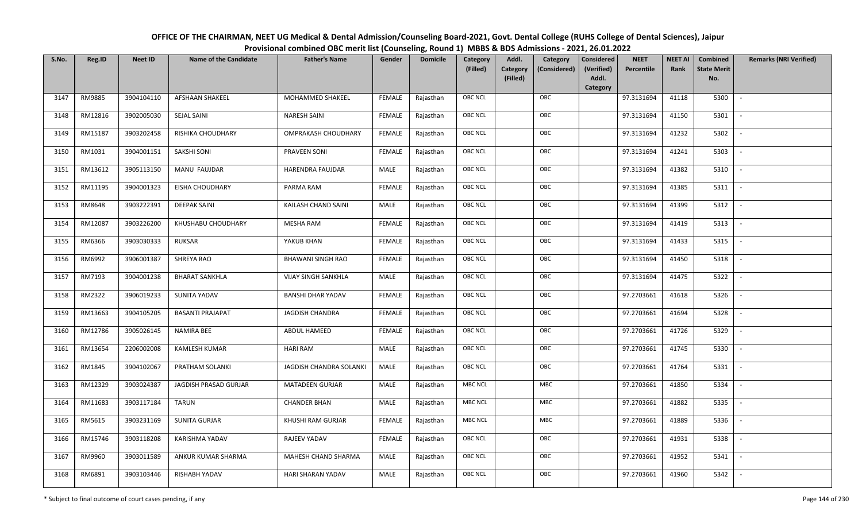| OFFICE OF THE CHAIRMAN, NEET UG Medical & Dental Admission/Counseling Board-2021, Govt. Dental College (RUHS College of Dental Sciences), Jaipur |
|--------------------------------------------------------------------------------------------------------------------------------------------------|
| Provisional combined OBC merit list (Counseling, Round 1) MBBS & BDS Admissions - 2021, 26.01.2022                                               |

| S.No. | Reg.ID  | <b>Neet ID</b> | <b>Name of the Candidate</b> | <b>Father's Name</b>       | Gender        | <b>Domicile</b> | Category<br>(Filled) | Addl.<br>Category<br><b>Category</b><br>(Considered)<br>(Filled) | <b>Considered</b><br>(Verified)<br>Addl. | <b>NEET</b><br>Percentile | <b>NEET AI</b><br>Rank | Combined<br><b>State Merit</b><br>No. | <b>Remarks (NRI Verified)</b> |
|-------|---------|----------------|------------------------------|----------------------------|---------------|-----------------|----------------------|------------------------------------------------------------------|------------------------------------------|---------------------------|------------------------|---------------------------------------|-------------------------------|
|       |         |                |                              |                            |               |                 |                      |                                                                  | Category                                 |                           |                        |                                       |                               |
| 3147  | RM9885  | 3904104110     | <b>AFSHAAN SHAKEEL</b>       | MOHAMMED SHAKEEL           | FEMALE        | Rajasthan       | <b>OBC NCL</b>       | OBC                                                              |                                          | 97.3131694                | 41118                  | 5300                                  | $\sim$                        |
| 3148  | RM12816 | 3902005030     | SEJAL SAINI                  | <b>NARESH SAINI</b>        | FEMALE        | Rajasthan       | OBC NCL              | OBC                                                              |                                          | 97.3131694                | 41150                  | 5301                                  |                               |
| 3149  | RM15187 | 3903202458     | RISHIKA CHOUDHARY            | OMPRAKASH CHOUDHARY        | <b>FEMALE</b> | Rajasthan       | <b>OBC NCL</b>       | OBC                                                              |                                          | 97.3131694                | 41232                  | 5302                                  | $\sim$                        |
| 3150  | RM1031  | 3904001151     | SAKSHI SONI                  | PRAVEEN SONI               | <b>FEMALE</b> | Rajasthan       | <b>OBC NCL</b>       | OBC                                                              |                                          | 97.3131694                | 41241                  | 5303                                  | $\overline{\phantom{a}}$      |
| 3151  | RM13612 | 3905113150     | MANU FAUJDAR                 | <b>HARENDRA FAUJDAR</b>    | MALE          | Rajasthan       | <b>OBC NCL</b>       | OBC                                                              |                                          | 97.3131694                | 41382                  | 5310                                  | $\sim$                        |
| 3152  | RM11195 | 3904001323     | <b>EISHA CHOUDHARY</b>       | PARMA RAM                  | <b>FEMALE</b> | Rajasthan       | <b>OBC NCL</b>       | OBC                                                              |                                          | 97.3131694                | 41385                  | 5311                                  | $\sim$                        |
| 3153  | RM8648  | 3903222391     | <b>DEEPAK SAINI</b>          | KAILASH CHAND SAINI        | <b>MALE</b>   | Rajasthan       | OBC NCL              | OBC                                                              |                                          | 97.3131694                | 41399                  | 5312                                  | $\overline{\phantom{a}}$      |
| 3154  | RM12087 | 3903226200     | KHUSHABU CHOUDHARY           | <b>MESHA RAM</b>           | <b>FEMALE</b> | Rajasthan       | OBC NCL              | OBC                                                              |                                          | 97.3131694                | 41419                  | 5313                                  |                               |
| 3155  | RM6366  | 3903030333     | <b>RUKSAR</b>                | YAKUB KHAN                 | <b>FEMALE</b> | Rajasthan       | OBC NCL              | OBC                                                              |                                          | 97.3131694                | 41433                  | 5315                                  |                               |
| 3156  | RM6992  | 3906001387     | SHREYA RAO                   | <b>BHAWANI SINGH RAO</b>   | <b>FEMALE</b> | Rajasthan       | <b>OBC NCL</b>       | OBC                                                              |                                          | 97.3131694                | 41450                  | 5318                                  | $\overline{\phantom{a}}$      |
| 3157  | RM7193  | 3904001238     | <b>BHARAT SANKHLA</b>        | <b>VIJAY SINGH SANKHLA</b> | MALE          | Rajasthan       | OBC NCL              | OBC                                                              |                                          | 97.3131694                | 41475                  | 5322                                  |                               |
| 3158  | RM2322  | 3906019233     | SUNITA YADAV                 | <b>BANSHI DHAR YADAV</b>   | <b>FEMALE</b> | Rajasthan       | <b>OBC NCL</b>       | OBC                                                              |                                          | 97.2703661                | 41618                  | 5326                                  | $\overline{\phantom{a}}$      |
| 3159  | RM13663 | 3904105205     | <b>BASANTI PRAJAPAT</b>      | <b>JAGDISH CHANDRA</b>     | FEMALE        | Rajasthan       | OBC NCL              | OBC                                                              |                                          | 97.2703661                | 41694                  | 5328                                  |                               |
| 3160  | RM12786 | 3905026145     | NAMIRA BEE                   | ABDUL HAMEED               | <b>FEMALE</b> | Rajasthan       | <b>OBC NCL</b>       | OBC                                                              |                                          | 97.2703661                | 41726                  | 5329                                  | $\overline{\phantom{a}}$      |
| 3161  | RM13654 | 2206002008     | <b>KAMLESH KUMAR</b>         | <b>HARI RAM</b>            | <b>MALE</b>   | Rajasthan       | <b>OBC NCL</b>       | OBC                                                              |                                          | 97.2703661                | 41745                  | 5330                                  | $\overline{\phantom{a}}$      |
| 3162  | RM1845  | 3904102067     | PRATHAM SOLANKI              | JAGDISH CHANDRA SOLANKI    | MALE          | Rajasthan       | <b>OBC NCL</b>       | OBC                                                              |                                          | 97.2703661                | 41764                  | 5331                                  | $\overline{\phantom{a}}$      |
| 3163  | RM12329 | 3903024387     | JAGDISH PRASAD GURJAR        | <b>MATADEEN GURJAR</b>     | MALE          | Rajasthan       | <b>MBC NCL</b>       | MBC                                                              |                                          | 97.2703661                | 41850                  | 5334                                  | $\overline{\phantom{a}}$      |
| 3164  | RM11683 | 3903117184     | <b>TARUN</b>                 | <b>CHANDER BHAN</b>        | <b>MALE</b>   | Rajasthan       | <b>MBC NCL</b>       | MBC                                                              |                                          | 97.2703661                | 41882                  | 5335                                  |                               |
| 3165  | RM5615  | 3903231169     | <b>SUNITA GURJAR</b>         | KHUSHI RAM GURJAR          | <b>FEMALE</b> | Rajasthan       | <b>MBC NCL</b>       | <b>MBC</b>                                                       |                                          | 97.2703661                | 41889                  | 5336                                  |                               |
| 3166  | RM15746 | 3903118208     | KARISHMA YADAV               | RAJEEV YADAV               | <b>FEMALE</b> | Rajasthan       | <b>OBC NCL</b>       | OBC                                                              |                                          | 97.2703661                | 41931                  | 5338                                  | $\blacksquare$                |
| 3167  | RM9960  | 3903011589     | ANKUR KUMAR SHARMA           | MAHESH CHAND SHARMA        | <b>MALE</b>   | Rajasthan       | OBC NCL              | OBC                                                              |                                          | 97.2703661                | 41952                  | 5341                                  |                               |
| 3168  | RM6891  | 3903103446     | RISHABH YADAV                | HARI SHARAN YADAV          | <b>MALE</b>   | Rajasthan       | OBC NCL              | OBC                                                              |                                          | 97.2703661                | 41960                  | 5342                                  |                               |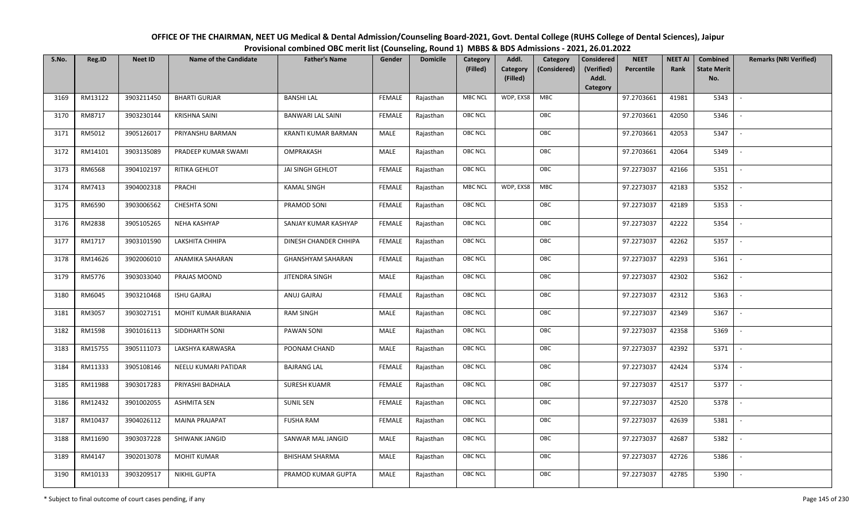| OFFICE OF THE CHAIRMAN, NEET UG Medical & Dental Admission/Counseling Board-2021, Govt. Dental College (RUHS College of Dental Sciences), Jaipur |
|--------------------------------------------------------------------------------------------------------------------------------------------------|
| Provisional combined OBC merit list (Counseling, Round 1) MBBS & BDS Admissions - 2021, 26.01.2022                                               |

| S.No. | Reg.ID  | <b>Neet ID</b> | <b>Name of the Candidate</b> | <b>Father's Name</b>     | Gender        | <b>Domicile</b> | Category       | Addl.                | Category     | <b>Considered</b>   | <b>NEET</b> | <b>NEET AI</b> | Combined                  | <b>Remarks (NRI Verified)</b> |
|-------|---------|----------------|------------------------------|--------------------------|---------------|-----------------|----------------|----------------------|--------------|---------------------|-------------|----------------|---------------------------|-------------------------------|
|       |         |                |                              |                          |               |                 | (Filled)       | Category<br>(Filled) | (Considered) | (Verified)<br>Addl. | Percentile  | Rank           | <b>State Merit</b><br>No. |                               |
|       |         |                |                              |                          |               |                 |                |                      |              | Category            |             |                |                           |                               |
| 3169  | RM13122 | 3903211450     | <b>BHARTI GURJAR</b>         | <b>BANSHI LAL</b>        | <b>FEMALE</b> | Rajasthan       | <b>MBC NCL</b> | WDP, EXS8            | MBC          |                     | 97.2703661  | 41981          | 5343                      | $\overline{\phantom{a}}$      |
| 3170  | RM8717  | 3903230144     | <b>KRISHNA SAINI</b>         | <b>BANWARI LAL SAINI</b> | <b>FEMALE</b> | Rajasthan       | <b>OBC NCL</b> |                      | OBC          |                     | 97.2703661  | 42050          | 5346                      |                               |
| 3171  | RM5012  | 3905126017     | PRIYANSHU BARMAN             | KRANTI KUMAR BARMAN      | MALE          | Rajasthan       | <b>OBC NCL</b> |                      | OBC          |                     | 97.2703661  | 42053          | 5347                      | $\overline{\phantom{a}}$      |
| 3172  | RM14101 | 3903135089     | PRADEEP KUMAR SWAMI          | OMPRAKASH                | MALE          | Rajasthan       | <b>OBC NCL</b> |                      | OBC          |                     | 97.2703661  | 42064          | 5349                      | $\overline{\phantom{a}}$      |
| 3173  | RM6568  | 3904102197     | RITIKA GEHLOT                | JAI SINGH GEHLOT         | <b>FEMALE</b> | Rajasthan       | OBC NCL        |                      | OBC          |                     | 97.2273037  | 42166          | 5351                      | $\sim$                        |
| 3174  | RM7413  | 3904002318     | PRACHI                       | <b>KAMAL SINGH</b>       | <b>FEMALE</b> | Rajasthan       | <b>MBC NCL</b> | WDP, EXS8            | MBC          |                     | 97.2273037  | 42183          | 5352                      | $\overline{\phantom{a}}$      |
| 3175  | RM6590  | 3903006562     | <b>CHESHTA SONI</b>          | PRAMOD SONI              | <b>FEMALE</b> | Rajasthan       | OBC NCL        |                      | OBC          |                     | 97.2273037  | 42189          | 5353                      |                               |
| 3176  | RM2838  | 3905105265     | NEHA KASHYAP                 | SANJAY KUMAR KASHYAP     | <b>FEMALE</b> | Rajasthan       | OBC NCL        |                      | OBC          |                     | 97.2273037  | 42222          | 5354                      |                               |
| 3177  | RM1717  | 3903101590     | LAKSHITA CHHIPA              | DINESH CHANDER CHHIPA    | <b>FEMALE</b> | Rajasthan       | OBC NCL        |                      | OBC          |                     | 97.2273037  | 42262          | 5357                      | $\blacksquare$                |
| 3178  | RM14626 | 3902006010     | ANAMIKA SAHARAN              | <b>GHANSHYAM SAHARAN</b> | <b>FEMALE</b> | Rajasthan       | <b>OBC NCL</b> |                      | OBC          |                     | 97.2273037  | 42293          | 5361                      | $\overline{\phantom{a}}$      |
| 3179  | RM5776  | 3903033040     | PRAJAS MOOND                 | <b>JITENDRA SINGH</b>    | MALE          | Rajasthan       | OBC NCL        |                      | OBC          |                     | 97.2273037  | 42302          | 5362                      |                               |
| 3180  | RM6045  | 3903210468     | <b>ISHU GAJRAJ</b>           | ANUJ GAJRAJ              | <b>FEMALE</b> | Rajasthan       | <b>OBC NCL</b> |                      | OBC          |                     | 97.2273037  | 42312          | 5363                      | $\overline{\phantom{a}}$      |
| 3181  | RM3057  | 3903027151     | MOHIT KUMAR BIJARANIA        | <b>RAM SINGH</b>         | MALE          | Rajasthan       | OBC NCL        |                      | OBC          |                     | 97.2273037  | 42349          | 5367                      |                               |
| 3182  | RM1598  | 3901016113     | SIDDHARTH SONI               | PAWAN SONI               | MALE          | Rajasthan       | OBC NCL        |                      | OBC          |                     | 97.2273037  | 42358          | 5369                      | $\overline{\phantom{a}}$      |
| 3183  | RM15755 | 3905111073     | LAKSHYA KARWASRA             | POONAM CHAND             | MALE          | Rajasthan       | <b>OBC NCL</b> |                      | OBC          |                     | 97.2273037  | 42392          | 5371                      | $\sim$                        |
| 3184  | RM11333 | 3905108146     | NEELU KUMARI PATIDAR         | <b>BAJRANG LAL</b>       | <b>FEMALE</b> | Rajasthan       | <b>OBC NCL</b> |                      | OBC          |                     | 97.2273037  | 42424          | 5374                      | $\sim$                        |
| 3185  | RM11988 | 3903017283     | PRIYASHI BADHALA             | SURESH KUAMR             | <b>FEMALE</b> | Rajasthan       | OBC NCL        |                      | OBC          |                     | 97.2273037  | 42517          | 5377                      | $\overline{\phantom{a}}$      |
| 3186  | RM12432 | 3901002055     | <b>ASHMITA SEN</b>           | <b>SUNIL SEN</b>         | <b>FEMALE</b> | Rajasthan       | OBC NCL        |                      | OBC          |                     | 97.2273037  | 42520          | 5378                      |                               |
| 3187  | RM10437 | 3904026112     | <b>MAINA PRAJAPAT</b>        | <b>FUSHA RAM</b>         | <b>FEMALE</b> | Rajasthan       | OBC NCL        |                      | OBC          |                     | 97.2273037  | 42639          | 5381                      |                               |
| 3188  | RM11690 | 3903037228     | SHIWANK JANGID               | SANWAR MAL JANGID        | <b>MALE</b>   | Rajasthan       | OBC NCL        |                      | OBC          |                     | 97.2273037  | 42687          | 5382                      |                               |
| 3189  | RM4147  | 3902013078     | <b>MOHIT KUMAR</b>           | <b>BHISHAM SHARMA</b>    | MALE          | Rajasthan       | <b>OBC NCL</b> |                      | OBC          |                     | 97.2273037  | 42726          | 5386                      |                               |
| 3190  | RM10133 | 3903209517     | <b>NIKHIL GUPTA</b>          | PRAMOD KUMAR GUPTA       | MALE          | Rajasthan       | OBC NCL        |                      | OBC          |                     | 97.2273037  | 42785          | 5390                      |                               |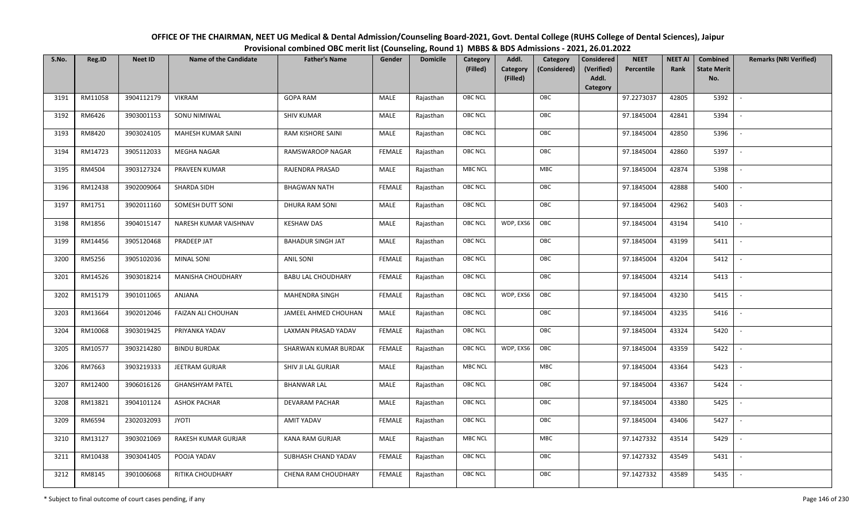| OFFICE OF THE CHAIRMAN, NEET UG Medical & Dental Admission/Counseling Board-2021, Govt. Dental College (RUHS College of Dental Sciences), Jaipur |
|--------------------------------------------------------------------------------------------------------------------------------------------------|
| Provisional combined OBC merit list (Counseling, Round 1) MBBS & BDS Admissions - 2021, 26.01.2022                                               |

| S.No. | Reg.ID  | <b>Neet ID</b> | <b>Name of the Candidate</b> | <b>Father's Name</b>      | Gender        | <b>Domicile</b> | Category<br>(Filled) | Addl.<br>Category<br>(Filled) | Category<br>(Considered) | <b>Considered</b><br>(Verified)<br>Addl. | <b>NEET</b><br>Percentile | <b>NEET AI</b><br>Rank | Combined<br><b>State Merit</b><br>No. | <b>Remarks (NRI Verified)</b> |
|-------|---------|----------------|------------------------------|---------------------------|---------------|-----------------|----------------------|-------------------------------|--------------------------|------------------------------------------|---------------------------|------------------------|---------------------------------------|-------------------------------|
|       |         |                |                              |                           |               |                 |                      |                               |                          | <b>Category</b>                          |                           |                        |                                       |                               |
| 3191  | RM11058 | 3904112179     | VIKRAM                       | <b>GOPA RAM</b>           | MALE          | Rajasthan       | OBC NCL              |                               | OBC                      |                                          | 97.2273037                | 42805                  | 5392                                  | $\overline{\phantom{a}}$      |
| 3192  | RM6426  | 3903001153     | SONU NIMIWAL                 | <b>SHIV KUMAR</b>         | MALE          | Rajasthan       | OBC NCL              |                               | OBC                      |                                          | 97.1845004                | 42841                  | 5394                                  |                               |
| 3193  | RM8420  | 3903024105     | <b>MAHESH KUMAR SAINI</b>    | RAM KISHORE SAINI         | MALE          | Rajasthan       | <b>OBC NCL</b>       |                               | OBC                      |                                          | 97.1845004                | 42850                  | 5396                                  |                               |
| 3194  | RM14723 | 3905112033     | <b>MEGHA NAGAR</b>           | RAMSWAROOP NAGAR          | <b>FEMALE</b> | Rajasthan       | OBC NCL              |                               | OBC                      |                                          | 97.1845004                | 42860                  | 5397                                  | $\overline{\phantom{a}}$      |
| 3195  | RM4504  | 3903127324     | PRAVEEN KUMAR                | RAJENDRA PRASAD           | MALE          | Rajasthan       | MBC NCL              |                               | <b>MBC</b>               |                                          | 97.1845004                | 42874                  | 5398                                  | $\sim$                        |
| 3196  | RM12438 | 3902009064     | SHARDA SIDH                  | <b>BHAGWAN NATH</b>       | <b>FEMALE</b> | Rajasthan       | OBC NCL              |                               | OBC                      |                                          | 97.1845004                | 42888                  | 5400                                  | $\sim$                        |
| 3197  | RM1751  | 3902011160     | SOMESH DUTT SONI             | DHURA RAM SONI            | MALE          | Rajasthan       | OBC NCL              |                               | OBC                      |                                          | 97.1845004                | 42962                  | 5403                                  | $\sim$                        |
| 3198  | RM1856  | 3904015147     | NARESH KUMAR VAISHNAV        | <b>KESHAW DAS</b>         | MALE          | Rajasthan       | OBC NCL              | WDP, EXS6                     | OBC                      |                                          | 97.1845004                | 43194                  | 5410                                  |                               |
| 3199  | RM14456 | 3905120468     | PRADEEP JAT                  | <b>BAHADUR SINGH JAT</b>  | MALE          | Rajasthan       | OBC NCL              |                               | OBC                      |                                          | 97.1845004                | 43199                  | 5411                                  |                               |
| 3200  | RM5256  | 3905102036     | <b>MINAL SONI</b>            | <b>ANIL SONI</b>          | <b>FEMALE</b> | Rajasthan       | OBC NCL              |                               | OBC                      |                                          | 97.1845004                | 43204                  | 5412                                  | $\overline{\phantom{a}}$      |
| 3201  | RM14526 | 3903018214     | MANISHA CHOUDHARY            | <b>BABU LAL CHOUDHARY</b> | <b>FEMALE</b> | Rajasthan       | OBC NCL              |                               | OBC                      |                                          | 97.1845004                | 43214                  | 5413                                  |                               |
| 3202  | RM15179 | 3901011065     | ANJANA                       | <b>MAHENDRA SINGH</b>     | <b>FEMALE</b> | Rajasthan       | OBC NCL              | WDP, EXS6                     | OBC                      |                                          | 97.1845004                | 43230                  | 5415                                  | $\overline{\phantom{a}}$      |
| 3203  | RM13664 | 3902012046     | FAIZAN ALI CHOUHAN           | JAMEEL AHMED CHOUHAN      | MALE          | Rajasthan       | OBC NCL              |                               | OBC                      |                                          | 97.1845004                | 43235                  | 5416                                  |                               |
| 3204  | RM10068 | 3903019425     | PRIYANKA YADAV               | LAXMAN PRASAD YADAV       | <b>FEMALE</b> | Rajasthan       | <b>OBC NCL</b>       |                               | OBC                      |                                          | 97.1845004                | 43324                  | 5420                                  |                               |
| 3205  | RM10577 | 3903214280     | <b>BINDU BURDAK</b>          | SHARWAN KUMAR BURDAK      | <b>FEMALE</b> | Rajasthan       | OBC NCL              | WDP, EXS6                     | OBC                      |                                          | 97.1845004                | 43359                  | 5422                                  | $\overline{\phantom{a}}$      |
| 3206  | RM7663  | 3903219333     | JEETRAM GURJAR               | SHIV JI LAL GURJAR        | MALE          | Rajasthan       | MBC NCL              |                               | <b>MBC</b>               |                                          | 97.1845004                | 43364                  | 5423                                  | $\sim$                        |
| 3207  | RM12400 | 3906016126     | <b>GHANSHYAM PATEL</b>       | <b>BHANWAR LAL</b>        | MALE          | Rajasthan       | OBC NCL              |                               | OBC                      |                                          | 97.1845004                | 43367                  | 5424                                  | $\sim$                        |
| 3208  | RM13821 | 3904101124     | <b>ASHOK PACHAR</b>          | DEVARAM PACHAR            | MALE          | Rajasthan       | OBC NCL              |                               | OBC                      |                                          | 97.1845004                | 43380                  | 5425                                  | $\sim$                        |
| 3209  | RM6594  | 2302032093     | <b>ITOYL</b>                 | AMIT YADAV                | <b>FEMALE</b> | Rajasthan       | OBC NCL              |                               | OBC                      |                                          | 97.1845004                | 43406                  | 5427                                  |                               |
| 3210  | RM13127 | 3903021069     | RAKESH KUMAR GURJAR          | <b>KANA RAM GURJAR</b>    | MALE          | Rajasthan       | MBC NCL              |                               | MBC                      |                                          | 97.1427332                | 43514                  | 5429                                  |                               |
| 3211  | RM10438 | 3903041405     | POOJA YADAV                  | SUBHASH CHAND YADAV       | <b>FEMALE</b> | Rajasthan       | OBC NCL              |                               | OBC                      |                                          | 97.1427332                | 43549                  | 5431                                  | $\overline{\phantom{a}}$      |
| 3212  | RM8145  | 3901006068     | RITIKA CHOUDHARY             | CHENA RAM CHOUDHARY       | FEMALE        | Rajasthan       | <b>OBC NCL</b>       |                               | OBC                      |                                          | 97.1427332                | 43589                  | 5435                                  |                               |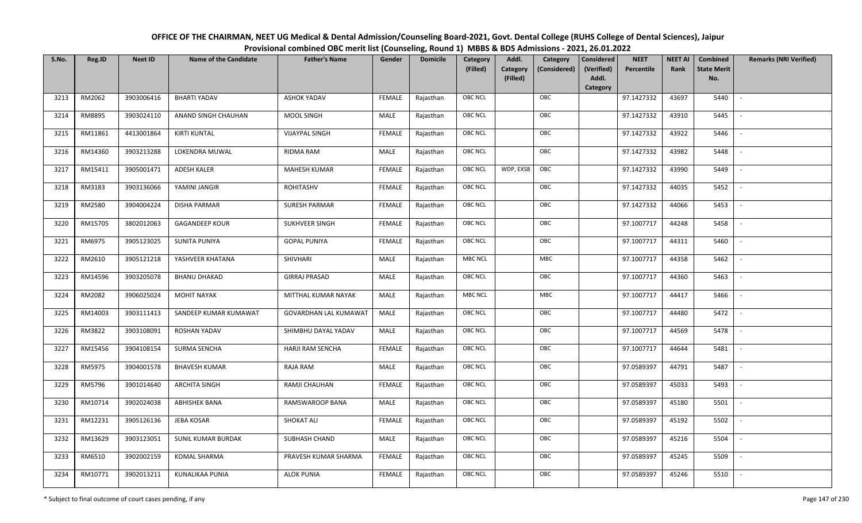| OFFICE OF THE CHAIRMAN, NEET UG Medical & Dental Admission/Counseling Board-2021, Govt. Dental College (RUHS College of Dental Sciences), Jaipur |
|--------------------------------------------------------------------------------------------------------------------------------------------------|
| Provisional combined OBC merit list (Counseling, Round 1) MBBS & BDS Admissions - 2021, 26.01.2022                                               |

| S.No. | Reg.ID  | <b>Neet ID</b> | <b>Name of the Candidate</b> | <b>Father's Name</b>         | Gender        | <b>Domicile</b> | Category<br>(Filled) | Addl.<br>Category | Category<br>(Considered) | <b>Considered</b><br>(Verified) | <b>NEET</b><br>Percentile | <b>NEET AI</b><br>Rank | Combined<br><b>State Merit</b> | <b>Remarks (NRI Verified)</b> |
|-------|---------|----------------|------------------------------|------------------------------|---------------|-----------------|----------------------|-------------------|--------------------------|---------------------------------|---------------------------|------------------------|--------------------------------|-------------------------------|
|       |         |                |                              |                              |               |                 |                      | (Filled)          |                          | Addl.<br>Category               |                           |                        | No.                            |                               |
| 3213  | RM2062  | 3903006416     | <b>BHARTI YADAV</b>          | <b>ASHOK YADAV</b>           | <b>FEMALE</b> | Rajasthan       | OBC NCL              |                   | OBC                      |                                 | 97.1427332                | 43697                  | 5440                           | $\overline{\phantom{a}}$      |
| 3214  | RM8895  | 3903024110     | ANAND SINGH CHAUHAN          | MOOL SINGH                   | MALE          | Rajasthan       | OBC NCL              |                   | OBC                      |                                 | 97.1427332                | 43910                  | 5445                           |                               |
| 3215  | RM11861 | 4413001864     | KIRTI KUNTAL                 | <b>VIJAYPAL SINGH</b>        | <b>FEMALE</b> | Rajasthan       | <b>OBC NCL</b>       |                   | OBC                      |                                 | 97.1427332                | 43922                  | 5446                           |                               |
| 3216  | RM14360 | 3903213288     | LOKENDRA MUWAL               | RIDMA RAM                    | MALE          | Rajasthan       | OBC NCL              |                   | OBC                      |                                 | 97.1427332                | 43982                  | 5448                           | $\overline{\phantom{a}}$      |
| 3217  | RM15411 | 3905001471     | <b>ADESH KALER</b>           | <b>MAHESH KUMAR</b>          | <b>FEMALE</b> | Rajasthan       | OBC NCL              | WDP, EXS8         | OBC                      |                                 | 97.1427332                | 43990                  | 5449                           | $\overline{\phantom{a}}$      |
| 3218  | RM3183  | 3903136066     | YAMINI JANGIR                | ROHITASHV                    | <b>FEMALE</b> | Rajasthan       | <b>OBC NCL</b>       |                   | OBC                      |                                 | 97.1427332                | 44035                  | 5452                           | $\overline{\phantom{a}}$      |
| 3219  | RM2580  | 3904004224     | <b>DISHA PARMAR</b>          | SURESH PARMAR                | <b>FEMALE</b> | Rajasthan       | OBC NCL              |                   | OBC                      |                                 | 97.1427332                | 44066                  | 5453                           | $\sim$                        |
| 3220  | RM15705 | 3802012063     | <b>GAGANDEEP KOUR</b>        | SUKHVEER SINGH               | <b>FEMALE</b> | Rajasthan       | OBC NCL              |                   | OBC                      |                                 | 97.1007717                | 44248                  | 5458                           |                               |
| 3221  | RM6975  | 3905123025     | <b>SUNITA PUNIYA</b>         | <b>GOPAL PUNIYA</b>          | <b>FEMALE</b> | Rajasthan       | OBC NCL              |                   | OBC                      |                                 | 97.1007717                | 44311                  | 5460                           |                               |
| 3222  | RM2610  | 3905121218     | YASHVEER KHATANA             | SHIVHARI                     | MALE          | Rajasthan       | <b>MBC NCL</b>       |                   | MBC                      |                                 | 97.1007717                | 44358                  | 5462                           |                               |
| 3223  | RM14596 | 3903205078     | <b>BHANU DHAKAD</b>          | <b>GIRRAJ PRASAD</b>         | MALE          | Rajasthan       | OBC NCL              |                   | OBC                      |                                 | 97.1007717                | 44360                  | 5463                           |                               |
| 3224  | RM2082  | 3906025024     | <b>MOHIT NAYAK</b>           | MITTHAL KUMAR NAYAK          | MALE          | Rajasthan       | <b>MBC NCL</b>       |                   | MBC                      |                                 | 97.1007717                | 44417                  | 5466                           | $\mathcal{L}$                 |
| 3225  | RM14003 | 3903111413     | SANDEEP KUMAR KUMAWAT        | <b>GOVARDHAN LAL KUMAWAT</b> | MALE          | Rajasthan       | OBC NCL              |                   | OBC                      |                                 | 97.1007717                | 44480                  | 5472                           |                               |
| 3226  | RM3822  | 3903108091     | ROSHAN YADAV                 | SHIMBHU DAYAL YADAV          | MALE          | Rajasthan       | <b>OBC NCL</b>       |                   | OBC                      |                                 | 97.1007717                | 44569                  | 5478                           | $\overline{\phantom{a}}$      |
| 3227  | RM15456 | 3904108154     | <b>SURMA SENCHA</b>          | HARJI RAM SENCHA             | <b>FEMALE</b> | Rajasthan       | OBC NCL              |                   | OBC                      |                                 | 97.1007717                | 44644                  | 5481                           | $\overline{\phantom{a}}$      |
| 3228  | RM5975  | 3904001578     | <b>BHAVESH KUMAR</b>         | RAJA RAM                     | MALE          | Rajasthan       | OBC NCL              |                   | OBC                      |                                 | 97.0589397                | 44791                  | 5487                           | $\overline{a}$                |
| 3229  | RM5796  | 3901014640     | <b>ARCHITA SINGH</b>         | RAMJI CHAUHAN                | <b>FEMALE</b> | Rajasthan       | OBC NCL              |                   | OBC                      |                                 | 97.0589397                | 45033                  | 5493                           | $\overline{\phantom{a}}$      |
| 3230  | RM10714 | 3902024038     | ABHISHEK BANA                | RAMSWAROOP BANA              | MALE          | Rajasthan       | OBC NCL              |                   | OBC                      |                                 | 97.0589397                | 45180                  | 5501                           | $\overline{\phantom{a}}$      |
| 3231  | RM12231 | 3905126136     | JEBA KOSAR                   | <b>SHOKAT ALI</b>            | <b>FEMALE</b> | Rajasthan       | OBC NCL              |                   | OBC                      |                                 | 97.0589397                | 45192                  | 5502                           |                               |
| 3232  | RM13629 | 3903123051     | SUNIL KUMAR BURDAK           | SUBHASH CHAND                | MALE          | Rajasthan       | OBC NCL              |                   | OBC                      |                                 | 97.0589397                | 45216                  | 5504                           |                               |
| 3233  | RM6510  | 3902002159     | KOMAL SHARMA                 | PRAVESH KUMAR SHARMA         | <b>FEMALE</b> | Rajasthan       | OBC NCL              |                   | OBC                      |                                 | 97.0589397                | 45245                  | 5509                           |                               |
| 3234  | RM10771 | 3902013211     | KUNALIKAA PUNIA              | <b>ALOK PUNIA</b>            | <b>FEMALE</b> | Rajasthan       | <b>OBC NCL</b>       |                   | OBC                      |                                 | 97.0589397                | 45246                  | 5510                           |                               |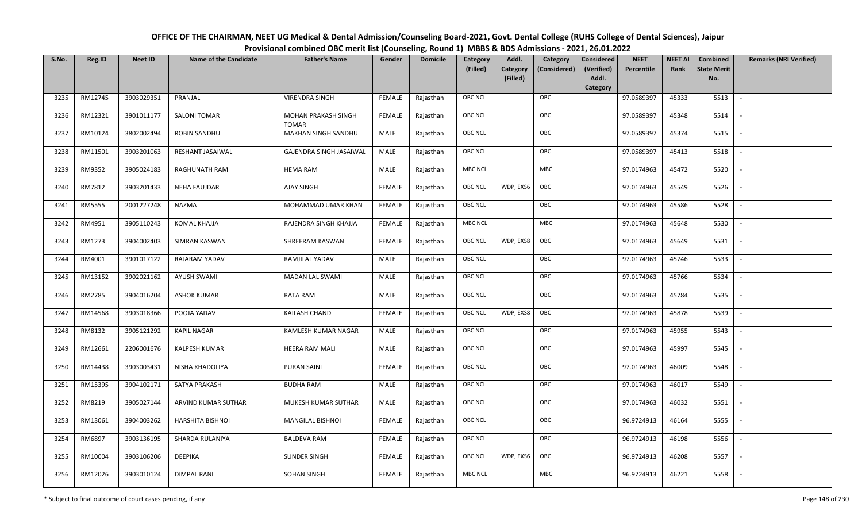| OFFICE OF THE CHAIRMAN, NEET UG Medical & Dental Admission/Counseling Board-2021, Govt. Dental College (RUHS College of Dental Sciences), Jaipur |
|--------------------------------------------------------------------------------------------------------------------------------------------------|
| Provisional combined OBC merit list (Counseling, Round 1) MBBS & BDS Admissions - 2021, 26.01.2022                                               |

| S.No. | Reg.ID        | <b>Neet ID</b> | <b>Name of the Candidate</b> | <b>Father's Name</b>                | Gender        | <b>Domicile</b> | Category<br>(Filled) | Addl.<br>Category | Category<br>(Considered) | <b>Considered</b><br>(Verified) | <b>NEET</b><br>Percentile | <b>NEET AI</b><br>Rank | Combined<br><b>State Merit</b> | <b>Remarks (NRI Verified)</b> |
|-------|---------------|----------------|------------------------------|-------------------------------------|---------------|-----------------|----------------------|-------------------|--------------------------|---------------------------------|---------------------------|------------------------|--------------------------------|-------------------------------|
|       |               |                |                              |                                     |               |                 |                      | (Filled)          |                          | Addl.<br>Category               |                           |                        | No.                            |                               |
| 3235  | RM12745       | 3903029351     | PRANJAL                      | <b>VIRENDRA SINGH</b>               | <b>FEMALE</b> | Rajasthan       | OBC NCL              |                   | OBC                      |                                 | 97.0589397                | 45333                  | 5513                           | $\sim$                        |
| 3236  | RM12321       | 3901011177     | SALONI TOMAR                 | MOHAN PRAKASH SINGH<br><b>TOMAR</b> | <b>FEMALE</b> | Rajasthan       | OBC NCL              |                   | OBC                      |                                 | 97.0589397                | 45348                  | 5514                           |                               |
| 3237  | RM10124       | 3802002494     | ROBIN SANDHU                 | MAKHAN SINGH SANDHU                 | MALE          | Rajasthan       | <b>OBC NCL</b>       |                   | OBC                      |                                 | 97.0589397                | 45374                  | 5515                           |                               |
| 3238  | RM11501       | 3903201063     | RESHANT JASAIWAL             | GAJENDRA SINGH JASAIWAL             | MALE          | Rajasthan       | OBC NCL              |                   | OBC                      |                                 | 97.0589397                | 45413                  | 5518                           | $\overline{\phantom{a}}$      |
| 3239  | RM9352        | 3905024183     | RAGHUNATH RAM                | <b>HEMA RAM</b>                     | MALE          | Rajasthan       | MBC NCL              |                   | MBC                      |                                 | 97.0174963                | 45472                  | 5520                           | $\overline{a}$                |
| 3240  | RM7812        | 3903201433     | <b>NEHA FAUJDAR</b>          | <b>AJAY SINGH</b>                   | <b>FEMALE</b> | Rajasthan       | <b>OBC NCL</b>       | WDP, EXS6         | OBC                      |                                 | 97.0174963                | 45549                  | 5526                           | $\sim$                        |
| 3241  | <b>RM5555</b> | 2001227248     | NAZMA                        | MOHAMMAD UMAR KHAN                  | <b>FEMALE</b> | Rajasthan       | OBC NCL              |                   | OBC                      |                                 | 97.0174963                | 45586                  | 5528                           | $\overline{\phantom{a}}$      |
| 3242  | RM4951        | 3905110243     | KOMAL KHAJJA                 | RAJENDRA SINGH KHAJJA               | <b>FEMALE</b> | Rajasthan       | <b>MBC NCL</b>       |                   | <b>MBC</b>               |                                 | 97.0174963                | 45648                  | 5530                           |                               |
| 3243  | RM1273        | 3904002403     | SIMRAN KASWAN                | SHREERAM KASWAN                     | <b>FEMALE</b> | Rajasthan       | <b>OBC NCL</b>       | WDP, EXS8         | OBC                      |                                 | 97.0174963                | 45649                  | 5531                           |                               |
| 3244  | RM4001        | 3901017122     | RAJARAM YADAV                | RAMJILAL YADAV                      | MALE          | Rajasthan       | OBC NCL              |                   | OBC                      |                                 | 97.0174963                | 45746                  | 5533                           | $\overline{\phantom{a}}$      |
| 3245  | RM13152       | 3902021162     | <b>AYUSH SWAMI</b>           | <b>MADAN LAL SWAMI</b>              | MALE          | Rajasthan       | OBC NCL              |                   | OBC                      |                                 | 97.0174963                | 45766                  | 5534                           |                               |
| 3246  | RM2785        | 3904016204     | <b>ASHOK KUMAR</b>           | RATA RAM                            | MALE          | Rajasthan       | OBC NCL              |                   | OBC                      |                                 | 97.0174963                | 45784                  | 5535                           |                               |
| 3247  | RM14568       | 3903018366     | POOJA YADAV                  | KAILASH CHAND                       | <b>FEMALE</b> | Rajasthan       | OBC NCL              | WDP, EXS8         | OBC                      |                                 | 97.0174963                | 45878                  | 5539                           |                               |
| 3248  | RM8132        | 3905121292     | <b>KAPIL NAGAR</b>           | KAMLESH KUMAR NAGAR                 | MALE          | Rajasthan       | OBC NCL              |                   | OBC                      |                                 | 97.0174963                | 45955                  | 5543                           |                               |
| 3249  | RM12661       | 2206001676     | KALPESH KUMAR                | <b>HEERA RAM MALI</b>               | MALE          | Rajasthan       | OBC NCL              |                   | OBC                      |                                 | 97.0174963                | 45997                  | 5545                           | $\overline{\phantom{a}}$      |
| 3250  | RM14438       | 3903003431     | NISHA KHADOLIYA              | <b>PURAN SAINI</b>                  | <b>FEMALE</b> | Rajasthan       | OBC NCL              |                   | OBC                      |                                 | 97.0174963                | 46009                  | 5548                           | $\sim$                        |
| 3251  | RM15395       | 3904102171     | SATYA PRAKASH                | <b>BUDHA RAM</b>                    | MALE          | Rajasthan       | OBC NCL              |                   | OBC                      |                                 | 97.0174963                | 46017                  | 5549                           | $\overline{\phantom{a}}$      |
| 3252  | RM8219        | 3905027144     | ARVIND KUMAR SUTHAR          | MUKESH KUMAR SUTHAR                 | MALE          | Rajasthan       | OBC NCL              |                   | OBC                      |                                 | 97.0174963                | 46032                  | 5551                           | $\overline{\phantom{a}}$      |
| 3253  | RM13061       | 3904003262     | HARSHITA BISHNOI             | <b>MANGILAL BISHNOI</b>             | <b>FEMALE</b> | Rajasthan       | OBC NCL              |                   | OBC                      |                                 | 96.9724913                | 46164                  | 5555                           |                               |
| 3254  | RM6897        | 3903136195     | SHARDA RULANIYA              | <b>BALDEVA RAM</b>                  | <b>FEMALE</b> | Rajasthan       | OBC NCL              |                   | OBC                      |                                 | 96.9724913                | 46198                  | 5556                           |                               |
| 3255  | RM10004       | 3903106206     | DEEPIKA                      | <b>SUNDER SINGH</b>                 | <b>FEMALE</b> | Rajasthan       | OBC NCL              | WDP, EXS6         | OBC                      |                                 | 96.9724913                | 46208                  | 5557                           | $\overline{\phantom{a}}$      |
| 3256  | RM12026       | 3903010124     | <b>DIMPAL RANI</b>           | SOHAN SINGH                         | <b>FEMALE</b> | Rajasthan       | MBC NCL              |                   | MBC                      |                                 | 96.9724913                | 46221                  | 5558                           |                               |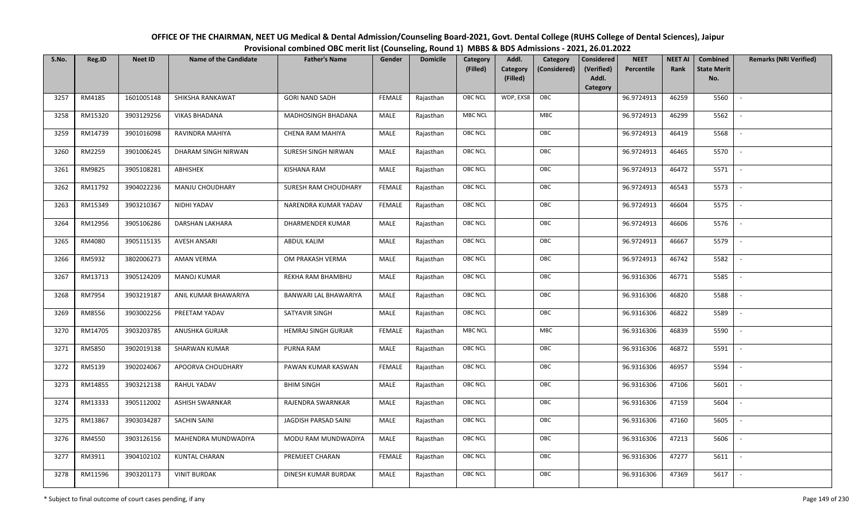| OFFICE OF THE CHAIRMAN, NEET UG Medical & Dental Admission/Counseling Board-2021, Govt. Dental College (RUHS College of Dental Sciences), Jaipur |
|--------------------------------------------------------------------------------------------------------------------------------------------------|
| Provisional combined OBC merit list (Counseling, Round 1) MBBS & BDS Admissions - 2021, 26.01.2022                                               |

| S.No. | Reg.ID  | <b>Neet ID</b> | <b>Name of the Candidate</b> | <b>Father's Name</b>  | Gender        | <b>Domicile</b> | Category<br>(Filled) | Addl.<br>Category<br>(Filled) | Category<br>(Considered) | <b>Considered</b><br>(Verified)<br>Addl.<br>Category | <b>NEET</b><br>Percentile | <b>NEET AI</b><br>Rank | Combined<br><b>State Merit</b><br>No. | <b>Remarks (NRI Verified)</b> |
|-------|---------|----------------|------------------------------|-----------------------|---------------|-----------------|----------------------|-------------------------------|--------------------------|------------------------------------------------------|---------------------------|------------------------|---------------------------------------|-------------------------------|
| 3257  | RM4185  | 1601005148     | SHIKSHA RANKAWAT             | <b>GORI NAND SADH</b> | <b>FEMALE</b> | Rajasthan       | <b>OBC NCL</b>       | WDP, EXS8                     | OBC                      |                                                      | 96.9724913                | 46259                  | 5560                                  | $\overline{\phantom{a}}$      |
| 3258  | RM15320 | 3903129256     | <b>VIKAS BHADANA</b>         | MADHOSINGH BHADANA    | MALE          | Rajasthan       | <b>MBC NCL</b>       |                               | ${\sf MBC}$              |                                                      | 96.9724913                | 46299                  | 5562                                  |                               |
| 3259  | RM14739 | 3901016098     | RAVINDRA MAHIYA              | CHENA RAM MAHIYA      | MALE          | Rajasthan       | <b>OBC NCL</b>       |                               | OBC                      |                                                      | 96.9724913                | 46419                  | 5568                                  |                               |
| 3260  | RM2259  | 3901006245     | DHARAM SINGH NIRWAN          | SURESH SINGH NIRWAN   | MALE          | Rajasthan       | OBC NCL              |                               | OBC                      |                                                      | 96.9724913                | 46465                  | 5570                                  | $\overline{\phantom{a}}$      |
| 3261  | RM9825  | 3905108281     | ABHISHEK                     | <b>KISHANA RAM</b>    | MALE          | Rajasthan       | <b>OBC NCL</b>       |                               | OBC                      |                                                      | 96.9724913                | 46472                  | 5571                                  | $\sim$                        |
| 3262  | RM11792 | 3904022236     | MANJU CHOUDHARY              | SURESH RAM CHOUDHARY  | <b>FEMALE</b> | Rajasthan       | <b>OBC NCL</b>       |                               | OBC                      |                                                      | 96.9724913                | 46543                  | 5573                                  | $\sim$                        |
| 3263  | RM15349 | 3903210367     | NIDHI YADAV                  | NARENDRA KUMAR YADAV  | <b>FEMALE</b> | Rajasthan       | OBC NCL              |                               | OBC                      |                                                      | 96.9724913                | 46604                  | 5575                                  | $\overline{\phantom{a}}$      |
| 3264  | RM12956 | 3905106286     | DARSHAN LAKHARA              | DHARMENDER KUMAR      | MALE          | Rajasthan       | OBC NCL              |                               | OBC                      |                                                      | 96.9724913                | 46606                  | 5576                                  |                               |
| 3265  | RM4080  | 3905115135     | <b>AVESH ANSARI</b>          | ABDUL KALIM           | MALE          | Rajasthan       | <b>OBC NCL</b>       |                               | OBC                      |                                                      | 96.9724913                | 46667                  | 5579                                  |                               |
| 3266  | RM5932  | 3802006273     | <b>AMAN VERMA</b>            | OM PRAKASH VERMA      | MALE          | Rajasthan       | OBC NCL              |                               | OBC                      |                                                      | 96.9724913                | 46742                  | 5582                                  | $\overline{\phantom{a}}$      |
| 3267  | RM13713 | 3905124209     | <b>MANOJ KUMAR</b>           | REKHA RAM BHAMBHU     | MALE          | Rajasthan       | <b>OBC NCL</b>       |                               | OBC                      |                                                      | 96.9316306                | 46771                  | 5585                                  |                               |
| 3268  | RM7954  | 3903219187     | ANIL KUMAR BHAWARIYA         | BANWARI LAL BHAWARIYA | MALE          | Rajasthan       | OBC NCL              |                               | OBC                      |                                                      | 96.9316306                | 46820                  | 5588                                  |                               |
| 3269  | RM8556  | 3903002256     | PREETAM YADAV                | SATYAVIR SINGH        | MALE          | Rajasthan       | <b>OBC NCL</b>       |                               | OBC                      |                                                      | 96.9316306                | 46822                  | 5589                                  |                               |
| 3270  | RM14705 | 3903203785     | ANUSHKA GURJAR               | HEMRAJ SINGH GURJAR   | <b>FEMALE</b> | Rajasthan       | <b>MBC NCL</b>       |                               | MBC                      |                                                      | 96.9316306                | 46839                  | 5590                                  | $\overline{\phantom{a}}$      |
| 3271  | RM5850  | 3902019138     | <b>SHARWAN KUMAR</b>         | PURNA RAM             | <b>MALE</b>   | Rajasthan       | OBC NCL              |                               | OBC                      |                                                      | 96.9316306                | 46872                  | 5591                                  | $\overline{\phantom{a}}$      |
| 3272  | RM5139  | 3902024067     | APOORVA CHOUDHARY            | PAWAN KUMAR KASWAN    | <b>FEMALE</b> | Rajasthan       | <b>OBC NCL</b>       |                               | OBC                      |                                                      | 96.9316306                | 46957                  | 5594                                  | $\sim$                        |
| 3273  | RM14855 | 3903212138     | RAHUL YADAV                  | <b>BHIM SINGH</b>     | MALE          | Rajasthan       | <b>OBC NCL</b>       |                               | OBC                      |                                                      | 96.9316306                | 47106                  | 5601                                  | $\overline{\phantom{a}}$      |
| 3274  | RM13333 | 3905112002     | <b>ASHISH SWARNKAR</b>       | RAJENDRA SWARNKAR     | MALE          | Rajasthan       | OBC NCL              |                               | OBC                      |                                                      | 96.9316306                | 47159                  | 5604                                  |                               |
| 3275  | RM13867 | 3903034287     | SACHIN SAINI                 | JAGDISH PARSAD SAINI  | <b>MALE</b>   | Rajasthan       | <b>OBC NCL</b>       |                               | OBC                      |                                                      | 96.9316306                | 47160                  | 5605                                  |                               |
| 3276  | RM4550  | 3903126156     | MAHENDRA MUNDWADIYA          | MODU RAM MUNDWADIYA   | MALE          | Rajasthan       | OBC NCL              |                               | OBC                      |                                                      | 96.9316306                | 47213                  | 5606                                  | $\blacksquare$                |
| 3277  | RM3911  | 3904102102     | <b>KUNTAL CHARAN</b>         | PREMJEET CHARAN       | <b>FEMALE</b> | Rajasthan       | <b>OBC NCL</b>       |                               | OBC                      |                                                      | 96.9316306                | 47277                  | 5611                                  | $\overline{\phantom{a}}$      |
| 3278  | RM11596 | 3903201173     | <b>VINIT BURDAK</b>          | DINESH KUMAR BURDAK   | MALE          | Rajasthan       | <b>OBC NCL</b>       |                               | OBC                      |                                                      | 96.9316306                | 47369                  | 5617                                  |                               |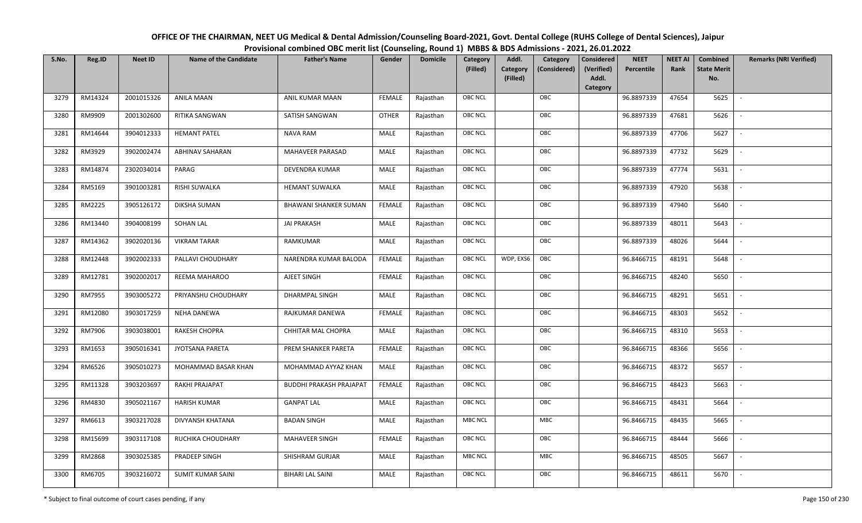| OFFICE OF THE CHAIRMAN, NEET UG Medical & Dental Admission/Counseling Board-2021, Govt. Dental College (RUHS College of Dental Sciences), Jaipur |
|--------------------------------------------------------------------------------------------------------------------------------------------------|
| Provisional combined OBC merit list (Counseling, Round 1) MBBS & BDS Admissions - 2021, 26.01.2022                                               |

| S.No. | Reg.ID  | <b>Neet ID</b> | <b>Name of the Candidate</b> | <b>Father's Name</b>           | Gender        | <b>Domicile</b> | Category<br>(Filled) | Addl.<br>Category<br>(Filled) | Category<br>(Considered) | <b>Considered</b><br>(Verified)<br>Addl. | <b>NEET</b><br>Percentile | <b>NEET AI</b><br>Rank | Combined<br><b>State Merit</b><br>No. | <b>Remarks (NRI Verified)</b> |
|-------|---------|----------------|------------------------------|--------------------------------|---------------|-----------------|----------------------|-------------------------------|--------------------------|------------------------------------------|---------------------------|------------------------|---------------------------------------|-------------------------------|
|       |         |                |                              |                                |               |                 |                      |                               |                          | Category                                 |                           |                        |                                       |                               |
| 3279  | RM14324 | 2001015326     | <b>ANILA MAAN</b>            | ANIL KUMAR MAAN                | <b>FEMALE</b> | Rajasthan       | OBC NCL              |                               | OBC                      |                                          | 96.8897339                | 47654                  | 5625                                  | $\blacksquare$                |
| 3280  | RM9909  | 2001302600     | RITIKA SANGWAN               | SATISH SANGWAN                 | <b>OTHER</b>  | Rajasthan       | OBC NCL              |                               | OBC                      |                                          | 96.8897339                | 47681                  | 5626                                  |                               |
| 3281  | RM14644 | 3904012333     | <b>HEMANT PATEL</b>          | <b>NAVA RAM</b>                | MALE          | Rajasthan       | OBC NCL              |                               | OBC                      |                                          | 96.8897339                | 47706                  | 5627                                  | $\sim$                        |
| 3282  | RM3929  | 3902002474     | <b>ABHINAV SAHARAN</b>       | MAHAVEER PARASAD               | MALE          | Rajasthan       | OBC NCL              |                               | OBC                      |                                          | 96.8897339                | 47732                  | 5629                                  | $\overline{\phantom{a}}$      |
| 3283  | RM14874 | 2302034014     | PARAG                        | DEVENDRA KUMAR                 | MALE          | Rajasthan       | OBC NCL              |                               | OBC                      |                                          | 96.8897339                | 47774                  | 5631                                  | $\sim$                        |
| 3284  | RM5169  | 3901003281     | RISHI SUWALKA                | <b>HEMANT SUWALKA</b>          | MALE          | Rajasthan       | <b>OBC NCL</b>       |                               | OBC                      |                                          | 96.8897339                | 47920                  | 5638                                  | $\overline{\phantom{a}}$      |
| 3285  | RM2225  | 3905126172     | <b>DIKSHA SUMAN</b>          | <b>BHAWANI SHANKER SUMAN</b>   | <b>FEMALE</b> | Rajasthan       | <b>OBC NCL</b>       |                               | OBC                      |                                          | 96.8897339                | 47940                  | 5640                                  |                               |
| 3286  | RM13440 | 3904008199     | SOHAN LAL                    | <b>JAI PRAKASH</b>             | MALE          | Rajasthan       | OBC NCL              |                               | OBC                      |                                          | 96.8897339                | 48011                  | 5643                                  |                               |
| 3287  | RM14362 | 3902020136     | <b>VIKRAM TARAR</b>          | RAMKUMAR                       | MALE          | Rajasthan       | OBC NCL              |                               | OBC                      |                                          | 96.8897339                | 48026                  | 5644                                  |                               |
| 3288  | RM12448 | 3902002333     | PALLAVI CHOUDHARY            | NARENDRA KUMAR BALODA          | <b>FEMALE</b> | Rajasthan       | <b>OBC NCL</b>       | WDP, EXS6                     | OBC                      |                                          | 96.8466715                | 48191                  | 5648                                  |                               |
| 3289  | RM12781 | 3902002017     | REEMA MAHAROO                | AJEET SINGH                    | <b>FEMALE</b> | Rajasthan       | OBC NCL              |                               | OBC                      |                                          | 96.8466715                | 48240                  | 5650                                  |                               |
| 3290  | RM7955  | 3903005272     | PRIYANSHU CHOUDHARY          | <b>DHARMPAL SINGH</b>          | <b>MALE</b>   | Rajasthan       | OBC NCL              |                               | OBC                      |                                          | 96.8466715                | 48291                  | 5651                                  | $\overline{\phantom{a}}$      |
| 3291  | RM12080 | 3903017259     | NEHA DANEWA                  | RAJKUMAR DANEWA                | <b>FEMALE</b> | Rajasthan       | OBC NCL              |                               | OBC                      |                                          | 96.8466715                | 48303                  | 5652                                  |                               |
| 3292  | RM7906  | 3903038001     | RAKESH CHOPRA                | CHHITAR MAL CHOPRA             | MALE          | Rajasthan       | OBC NCL              |                               | OBC                      |                                          | 96.8466715                | 48310                  | 5653                                  | $\overline{\phantom{a}}$      |
| 3293  | RM1653  | 3905016341     | JYOTSANA PARETA              | PREM SHANKER PARETA            | <b>FEMALE</b> | Rajasthan       | OBC NCL              |                               | OBC                      |                                          | 96.8466715                | 48366                  | 5656                                  | $\overline{\phantom{a}}$      |
| 3294  | RM6526  | 3905010273     | MOHAMMAD BASAR KHAN          | MOHAMMAD AYYAZ KHAN            | MALE          | Rajasthan       | OBC NCL              |                               | OBC                      |                                          | 96.8466715                | 48372                  | 5657                                  | $\overline{a}$                |
| 3295  | RM11328 | 3903203697     | RAKHI PRAJAPAT               | <b>BUDDHI PRAKASH PRAJAPAT</b> | <b>FEMALE</b> | Rajasthan       | OBC NCL              |                               | OBC                      |                                          | 96.8466715                | 48423                  | 5663                                  | $\overline{\phantom{a}}$      |
| 3296  | RM4830  | 3905021167     | <b>HARISH KUMAR</b>          | <b>GANPAT LAL</b>              | MALE          | Rajasthan       | OBC NCL              |                               | OBC                      |                                          | 96.8466715                | 48431                  | 5664                                  |                               |
| 3297  | RM6613  | 3903217028     | DIVYANSH KHATANA             | <b>BADAN SINGH</b>             | MALE          | Rajasthan       | <b>MBC NCL</b>       |                               | ${\sf MBC}$              |                                          | 96.8466715                | 48435                  | 5665                                  |                               |
| 3298  | RM15699 | 3903117108     | RUCHIKA CHOUDHARY            | MAHAVEER SINGH                 | <b>FEMALE</b> | Rajasthan       | OBC NCL              |                               | OBC                      |                                          | 96.8466715                | 48444                  | 5666                                  |                               |
| 3299  | RM2868  | 3903025385     | PRADEEP SINGH                | SHISHRAM GURJAR                | MALE          | Rajasthan       | MBC NCL              |                               | <b>MBC</b>               |                                          | 96.8466715                | 48505                  | 5667                                  |                               |
| 3300  | RM6705  | 3903216072     | SUMIT KUMAR SAINI            | <b>BIHARI LAL SAINI</b>        | MALE          | Rajasthan       | OBC NCL              |                               | OBC                      |                                          | 96.8466715                | 48611                  | 5670                                  |                               |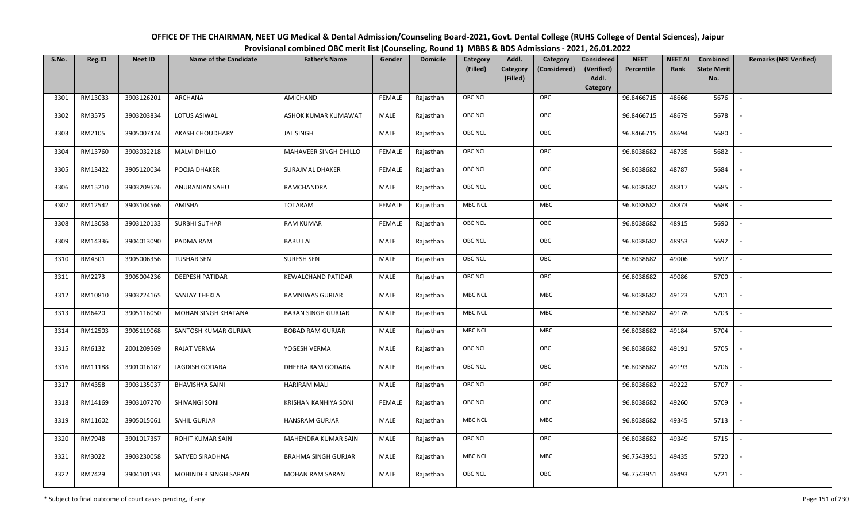| OFFICE OF THE CHAIRMAN, NEET UG Medical & Dental Admission/Counseling Board-2021, Govt. Dental College (RUHS College of Dental Sciences), Jaipur |
|--------------------------------------------------------------------------------------------------------------------------------------------------|
| Provisional combined OBC merit list (Counseling, Round 1) MBBS & BDS Admissions - 2021, 26.01.2022                                               |

| S.No. | Reg.ID  | <b>Neet ID</b> | <b>Name of the Candidate</b> | <b>Father's Name</b>       | Gender        | <b>Domicile</b> | Category       | Addl.<br>Category                    | <b>Considered</b>   | <b>NEET</b> | <b>NEET AI</b> | Combined                  | <b>Remarks (NRI Verified)</b> |
|-------|---------|----------------|------------------------------|----------------------------|---------------|-----------------|----------------|--------------------------------------|---------------------|-------------|----------------|---------------------------|-------------------------------|
|       |         |                |                              |                            |               |                 | (Filled)       | Category<br>(Considered)<br>(Filled) | (Verified)<br>Addl. | Percentile  | Rank           | <b>State Merit</b><br>No. |                               |
|       |         |                |                              |                            |               |                 |                |                                      | Category            |             |                |                           |                               |
| 3301  | RM13033 | 3903126201     | ARCHANA                      | AMICHAND                   | <b>FEMALE</b> | Rajasthan       | <b>OBC NCL</b> | OBC                                  |                     | 96.8466715  | 48666          | 5676                      | $\sim$                        |
| 3302  | RM3575  | 3903203834     | LOTUS ASIWAL                 | ASHOK KUMAR KUMAWAT        | <b>MALE</b>   | Rajasthan       | <b>OBC NCL</b> | OBC                                  |                     | 96.8466715  | 48679          | 5678                      |                               |
| 3303  | RM2105  | 3905007474     | AKASH CHOUDHARY              | <b>JAL SINGH</b>           | MALE          | Rajasthan       | <b>OBC NCL</b> | OBC                                  |                     | 96.8466715  | 48694          | 5680                      | $\overline{\phantom{a}}$      |
| 3304  | RM13760 | 3903032218     | <b>MALVI DHILLO</b>          | MAHAVEER SINGH DHILLO      | <b>FEMALE</b> | Rajasthan       | <b>OBC NCL</b> | OBC                                  |                     | 96.8038682  | 48735          | 5682                      | $\overline{\phantom{a}}$      |
| 3305  | RM13422 | 3905120034     | POOJA DHAKER                 | SURAJMAL DHAKER            | <b>FEMALE</b> | Rajasthan       | OBC NCL        | OBC                                  |                     | 96.8038682  | 48787          | 5684                      | $\sim$                        |
| 3306  | RM15210 | 3903209526     | ANURANJAN SAHU               | RAMCHANDRA                 | MALE          | Rajasthan       | <b>OBC NCL</b> | OBC                                  |                     | 96.8038682  | 48817          | 5685                      | $\overline{\phantom{a}}$      |
| 3307  | RM12542 | 3903104566     | AMISHA                       | TOTARAM                    | <b>FEMALE</b> | Rajasthan       | <b>MBC NCL</b> | MBC                                  |                     | 96.8038682  | 48873          | 5688                      |                               |
| 3308  | RM13058 | 3903120133     | <b>SURBHI SUTHAR</b>         | <b>RAM KUMAR</b>           | <b>FEMALE</b> | Rajasthan       | OBC NCL        | OBC                                  |                     | 96.8038682  | 48915          | 5690                      |                               |
| 3309  | RM14336 | 3904013090     | PADMA RAM                    | <b>BABU LAL</b>            | <b>MALE</b>   | Rajasthan       | OBC NCL        | OBC                                  |                     | 96.8038682  | 48953          | 5692                      |                               |
| 3310  | RM4501  | 3905006356     | <b>TUSHAR SEN</b>            | SURESH SEN                 | <b>MALE</b>   | Rajasthan       | OBC NCL        | OBC                                  |                     | 96.8038682  | 49006          | 5697                      | $\sim$                        |
| 3311  | RM2273  | 3905004236     | <b>DEEPESH PATIDAR</b>       | <b>KEWALCHAND PATIDAR</b>  | MALE          | Rajasthan       | <b>OBC NCL</b> | OBC                                  |                     | 96.8038682  | 49086          | 5700                      |                               |
| 3312  | RM10810 | 3903224165     | <b>SANJAY THEKLA</b>         | RAMNIWAS GURJAR            | MALE          | Rajasthan       | <b>MBC NCL</b> | MBC                                  |                     | 96.8038682  | 49123          | 5701                      | $\overline{\phantom{a}}$      |
| 3313  | RM6420  | 3905116050     | MOHAN SINGH KHATANA          | <b>BARAN SINGH GURJAR</b>  | MALE          | Rajasthan       | <b>MBC NCL</b> | MBC                                  |                     | 96.8038682  | 49178          | 5703                      |                               |
| 3314  | RM12503 | 3905119068     | SANTOSH KUMAR GURJAR         | <b>BOBAD RAM GURJAR</b>    | MALE          | Rajasthan       | <b>MBC NCL</b> | MBC                                  |                     | 96.8038682  | 49184          | 5704                      | $\sim$                        |
| 3315  | RM6132  | 2001209569     | <b>RAJAT VERMA</b>           | YOGESH VERMA               | MALE          | Rajasthan       | <b>OBC NCL</b> | OBC                                  |                     | 96.8038682  | 49191          | 5705                      | $\overline{\phantom{a}}$      |
| 3316  | RM11188 | 3901016187     | JAGDISH GODARA               | DHEERA RAM GODARA          | MALE          | Rajasthan       | OBC NCL        | OBC                                  |                     | 96.8038682  | 49193          | 5706                      | $\sim$                        |
| 3317  | RM4358  | 3903135037     | <b>BHAVISHYA SAINI</b>       | <b>HARIRAM MALI</b>        | MALE          | Rajasthan       | OBC NCL        | OBC                                  |                     | 96.8038682  | 49222          | 5707                      | $\overline{\phantom{a}}$      |
| 3318  | RM14169 | 3903107270     | SHIVANGI SONI                | KRISHAN KANHIYA SONI       | <b>FEMALE</b> | Rajasthan       | OBC NCL        | OBC                                  |                     | 96.8038682  | 49260          | 5709                      |                               |
| 3319  | RM11602 | 3905015061     | SAHIL GURJAR                 | <b>HANSRAM GURJAR</b>      | MALE          | Rajasthan       | <b>MBC NCL</b> | MBC                                  |                     | 96.8038682  | 49345          | 5713                      |                               |
| 3320  | RM7948  | 3901017357     | ROHIT KUMAR SAIN             | MAHENDRA KUMAR SAIN        | <b>MALE</b>   | Rajasthan       | <b>OBC NCL</b> | OBC                                  |                     | 96.8038682  | 49349          | 5715                      | $\overline{\phantom{a}}$      |
| 3321  | RM3022  | 3903230058     | SATVED SIRADHNA              | <b>BRAHMA SINGH GURJAR</b> | MALE          | Rajasthan       | <b>MBC NCL</b> | <b>MBC</b>                           |                     | 96.7543951  | 49435          | 5720                      |                               |
| 3322  | RM7429  | 3904101593     | MOHINDER SINGH SARAN         | <b>MOHAN RAM SARAN</b>     | MALE          | Rajasthan       | OBC NCL        | OBC                                  |                     | 96.7543951  | 49493          | 5721                      | $\overline{\phantom{a}}$      |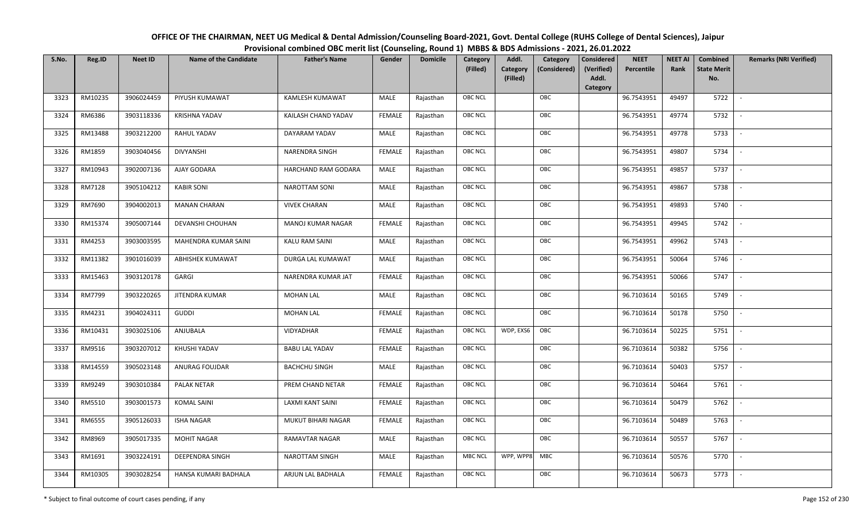| OFFICE OF THE CHAIRMAN, NEET UG Medical & Dental Admission/Counseling Board-2021, Govt. Dental College (RUHS College of Dental Sciences), Jaipur |
|--------------------------------------------------------------------------------------------------------------------------------------------------|
| Provisional combined OBC merit list (Counseling, Round 1) MBBS & BDS Admissions - 2021, 26.01.2022                                               |

| S.No. | Reg.ID  | <b>Neet ID</b> | <b>Name of the Candidate</b> | <b>Father's Name</b>    | Gender        | <b>Domicile</b> | Category<br>(Filled) | Addl.<br><b>Category</b><br>(Filled) | Category<br>(Considered) | Considered<br>(Verified)<br>Addl.<br>Category | <b>NEET</b><br>Percentile | <b>NEET AI</b><br>Rank | Combined<br><b>State Merit</b><br>No. | <b>Remarks (NRI Verified)</b> |
|-------|---------|----------------|------------------------------|-------------------------|---------------|-----------------|----------------------|--------------------------------------|--------------------------|-----------------------------------------------|---------------------------|------------------------|---------------------------------------|-------------------------------|
| 3323  | RM10235 | 3906024459     | PIYUSH KUMAWAT               | KAMLESH KUMAWAT         | MALE          | Rajasthan       | <b>OBC NCL</b>       |                                      | OBC                      |                                               | 96.7543951                | 49497                  | 5722                                  | $\sim$                        |
| 3324  | RM6386  | 3903118336     | <b>KRISHNA YADAV</b>         | KAILASH CHAND YADAV     | <b>FEMALE</b> | Rajasthan       | OBC NCL              |                                      | OBC                      |                                               | 96.7543951                | 49774                  | 5732                                  |                               |
| 3325  | RM13488 | 3903212200     | RAHUL YADAV                  | DAYARAM YADAV           | MALE          | Rajasthan       | OBC NCL              |                                      | OBC                      |                                               | 96.7543951                | 49778                  | 5733                                  | $\blacksquare$                |
| 3326  | RM1859  | 3903040456     | <b>DIVYANSHI</b>             | NARENDRA SINGH          | <b>FEMALE</b> | Rajasthan       | OBC NCL              |                                      | OBC                      |                                               | 96.7543951                | 49807                  | 5734                                  | $\overline{\phantom{a}}$      |
| 3327  | RM10943 | 3902007136     | AJAY GODARA                  | HARCHAND RAM GODARA     | MALE          | Rajasthan       | <b>OBC NCL</b>       |                                      | OBC                      |                                               | 96.7543951                | 49857                  | 5737                                  | $\sim$                        |
| 3328  | RM7128  | 3905104212     | <b>KABIR SONI</b>            | <b>NAROTTAM SONI</b>    | MALE          | Rajasthan       | <b>OBC NCL</b>       |                                      | OBC                      |                                               | 96.7543951                | 49867                  | 5738                                  | $\sim$                        |
| 3329  | RM7690  | 3904002013     | <b>MANAN CHARAN</b>          | <b>VIVEK CHARAN</b>     | MALE          | Rajasthan       | OBC NCL              |                                      | OBC                      |                                               | 96.7543951                | 49893                  | 5740                                  | $\overline{\phantom{a}}$      |
| 3330  | RM15374 | 3905007144     | DEVANSHI CHOUHAN             | MANOJ KUMAR NAGAR       | <b>FEMALE</b> | Rajasthan       | OBC NCL              |                                      | OBC                      |                                               | 96.7543951                | 49945                  | 5742                                  |                               |
| 3331  | RM4253  | 3903003595     | MAHENDRA KUMAR SAINI         | <b>KALU RAM SAINI</b>   | MALE          | Rajasthan       | OBC NCL              |                                      | OBC                      |                                               | 96.7543951                | 49962                  | 5743                                  |                               |
| 3332  | RM11382 | 3901016039     | ABHISHEK KUMAWAT             | DURGA LAL KUMAWAT       | MALE          | Rajasthan       | OBC NCL              |                                      | OBC                      |                                               | 96.7543951                | 50064                  | 5746                                  | $\overline{\phantom{a}}$      |
| 3333  | RM15463 | 3903120178     | GARGI                        | NARENDRA KUMAR JAT      | <b>FEMALE</b> | Rajasthan       | <b>OBC NCL</b>       |                                      | OBC                      |                                               | 96.7543951                | 50066                  | 5747                                  |                               |
| 3334  | RM7799  | 3903220265     | JITENDRA KUMAR               | <b>MOHAN LAL</b>        | MALE          | Rajasthan       | OBC NCL              |                                      | OBC                      |                                               | 96.7103614                | 50165                  | 5749                                  | $\sim$                        |
| 3335  | RM4231  | 3904024311     | <b>GUDDI</b>                 | <b>MOHAN LAL</b>        | <b>FEMALE</b> | Rajasthan       | <b>OBC NCL</b>       |                                      | OBC                      |                                               | 96.7103614                | 50178                  | 5750                                  |                               |
| 3336  | RM10431 | 3903025106     | ANJUBALA                     | VIDYADHAR               | <b>FEMALE</b> | Rajasthan       | OBC NCL              | WDP, EXS6                            | OBC                      |                                               | 96.7103614                | 50225                  | 5751                                  | $\sim$                        |
| 3337  | RM9516  | 3903207012     | KHUSHI YADAV                 | <b>BABU LAL YADAV</b>   | <b>FEMALE</b> | Rajasthan       | <b>OBC NCL</b>       |                                      | OBC                      |                                               | 96.7103614                | 50382                  | 5756                                  | $\overline{\phantom{a}}$      |
| 3338  | RM14559 | 3905023148     | ANURAG FOUJDAR               | <b>BACHCHU SINGH</b>    | MALE          | Rajasthan       | <b>OBC NCL</b>       |                                      | OBC                      |                                               | 96.7103614                | 50403                  | 5757                                  | $\overline{\phantom{a}}$      |
| 3339  | RM9249  | 3903010384     | PALAK NETAR                  | PREM CHAND NETAR        | <b>FEMALE</b> | Rajasthan       | <b>OBC NCL</b>       |                                      | OBC                      |                                               | 96.7103614                | 50464                  | 5761                                  | $\overline{\phantom{a}}$      |
| 3340  | RM5510  | 3903001573     | <b>KOMAL SAINI</b>           | <b>LAXMI KANT SAINI</b> | <b>FEMALE</b> | Rajasthan       | OBC NCL              |                                      | OBC                      |                                               | 96.7103614                | 50479                  | 5762                                  |                               |
| 3341  | RM6555  | 3905126033     | <b>ISHA NAGAR</b>            | MUKUT BIHARI NAGAR      | <b>FEMALE</b> | Rajasthan       | <b>OBC NCL</b>       |                                      | OBC                      |                                               | 96.7103614                | 50489                  | 5763                                  |                               |
| 3342  | RM8969  | 3905017335     | <b>MOHIT NAGAR</b>           | RAMAVTAR NAGAR          | MALE          | Rajasthan       | OBC NCL              |                                      | OBC                      |                                               | 96.7103614                | 50557                  | 5767                                  | $\blacksquare$                |
| 3343  | RM1691  | 3903224191     | DEEPENDRA SINGH              | <b>NAROTTAM SINGH</b>   | MALE          | Rajasthan       | <b>MBC NCL</b>       | WPP, WPP8                            | MBC                      |                                               | 96.7103614                | 50576                  | 5770                                  |                               |
| 3344  | RM10305 | 3903028254     | HANSA KUMARI BADHALA         | ARJUN LAL BADHALA       | <b>FEMALE</b> | Rajasthan       | <b>OBC NCL</b>       |                                      | OBC                      |                                               | 96.7103614                | 50673                  | 5773                                  |                               |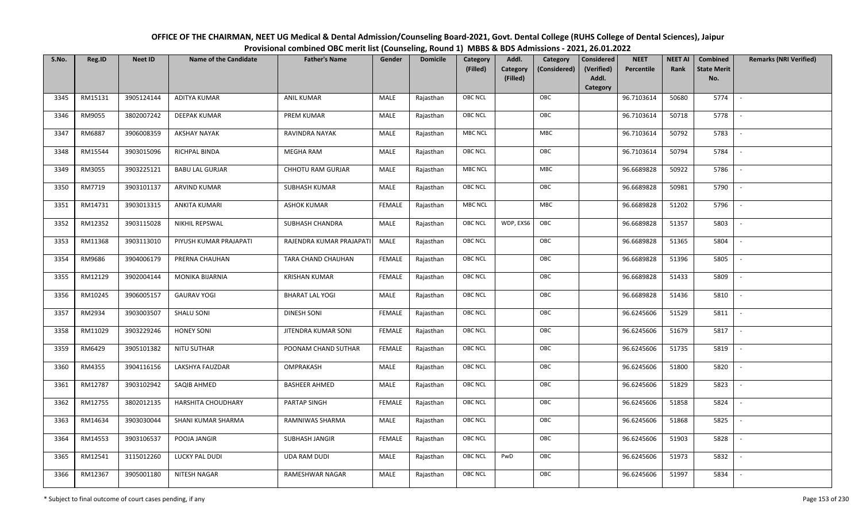| OFFICE OF THE CHAIRMAN, NEET UG Medical & Dental Admission/Counseling Board-2021, Govt. Dental College (RUHS College of Dental Sciences), Jaipur |
|--------------------------------------------------------------------------------------------------------------------------------------------------|
| Provisional combined OBC merit list (Counseling, Round 1) MBBS & BDS Admissions - 2021, 26.01.2022                                               |

| S.No. | Reg.ID  | <b>Neet ID</b> | <b>Name of the Candidate</b> | <b>Father's Name</b>     | Gender        | <b>Domicile</b> | Category<br>(Filled) | Addl.<br>Category<br>(Filled) | Category<br>(Considered) | <b>Considered</b><br>(Verified)<br>Addl. | <b>NEET</b><br>Percentile | <b>NEET AI</b><br>Rank | Combined<br><b>State Merit</b><br>No. | <b>Remarks (NRI Verified)</b> |
|-------|---------|----------------|------------------------------|--------------------------|---------------|-----------------|----------------------|-------------------------------|--------------------------|------------------------------------------|---------------------------|------------------------|---------------------------------------|-------------------------------|
|       |         |                |                              |                          |               |                 |                      |                               |                          | Category                                 |                           |                        |                                       |                               |
| 3345  | RM15131 | 3905124144     | <b>ADITYA KUMAR</b>          | <b>ANIL KUMAR</b>        | MALE          | Rajasthan       | OBC NCL              |                               | OBC                      |                                          | 96.7103614                | 50680                  | 5774                                  | $\sim$                        |
| 3346  | RM9055  | 3802007242     | DEEPAK KUMAR                 | PREM KUMAR               | MALE          | Rajasthan       | OBC NCL              |                               | OBC                      |                                          | 96.7103614                | 50718                  | 5778                                  |                               |
| 3347  | RM6887  | 3906008359     | <b>AKSHAY NAYAK</b>          | RAVINDRA NAYAK           | MALE          | Rajasthan       | MBC NCL              |                               | <b>MBC</b>               |                                          | 96.7103614                | 50792                  | 5783                                  |                               |
| 3348  | RM15544 | 3903015096     | RICHPAL BINDA                | MEGHA RAM                | MALE          | Rajasthan       | OBC NCL              |                               | OBC                      |                                          | 96.7103614                | 50794                  | 5784                                  | $\overline{\phantom{a}}$      |
| 3349  | RM3055  | 3903225121     | <b>BABU LAL GURJAR</b>       | CHHOTU RAM GURJAR        | MALE          | Rajasthan       | MBC NCL              |                               | <b>MBC</b>               |                                          | 96.6689828                | 50922                  | 5786                                  | $\overline{\phantom{a}}$      |
| 3350  | RM7719  | 3903101137     | ARVIND KUMAR                 | <b>SUBHASH KUMAR</b>     | MALE          | Rajasthan       | OBC NCL              |                               | OBC                      |                                          | 96.6689828                | 50981                  | 5790                                  | $\overline{\phantom{a}}$      |
| 3351  | RM14731 | 3903013315     | <b>ANKITA KUMARI</b>         | <b>ASHOK KUMAR</b>       | <b>FEMALE</b> | Rajasthan       | <b>MBC NCL</b>       |                               | <b>MBC</b>               |                                          | 96.6689828                | 51202                  | 5796                                  | $\overline{\phantom{a}}$      |
| 3352  | RM12352 | 3903115028     | NIKHIL REPSWAL               | SUBHASH CHANDRA          | MALE          | Rajasthan       | OBC NCL              | WDP, EXS6                     | OBC                      |                                          | 96.6689828                | 51357                  | 5803                                  |                               |
| 3353  | RM11368 | 3903113010     | PIYUSH KUMAR PRAJAPATI       | RAJENDRA KUMAR PRAJAPATI | MALE          | Rajasthan       | OBC NCL              |                               | OBC                      |                                          | 96.6689828                | 51365                  | 5804                                  |                               |
| 3354  | RM9686  | 3904006179     | PRERNA CHAUHAN               | TARA CHAND CHAUHAN       | <b>FEMALE</b> | Rajasthan       | OBC NCL              |                               | OBC                      |                                          | 96.6689828                | 51396                  | 5805                                  |                               |
| 3355  | RM12129 | 3902004144     | MONIKA BIJARNIA              | <b>KRISHAN KUMAR</b>     | <b>FEMALE</b> | Rajasthan       | OBC NCL              |                               | OBC                      |                                          | 96.6689828                | 51433                  | 5809                                  |                               |
| 3356  | RM10245 | 3906005157     | <b>GAURAV YOGI</b>           | <b>BHARAT LAL YOGI</b>   | MALE          | Rajasthan       | OBC NCL              |                               | OBC                      |                                          | 96.6689828                | 51436                  | 5810                                  | $\sim$                        |
| 3357  | RM2934  | 3903003507     | <b>SHALU SONI</b>            | <b>DINESH SONI</b>       | FEMALE        | Rajasthan       | OBC NCL              |                               | OBC                      |                                          | 96.6245606                | 51529                  | 5811                                  |                               |
| 3358  | RM11029 | 3903229246     | <b>HONEY SONI</b>            | JITENDRA KUMAR SONI      | <b>FEMALE</b> | Rajasthan       | OBC NCL              |                               | OBC                      |                                          | 96.6245606                | 51679                  | 5817                                  | $\sim$                        |
| 3359  | RM6429  | 3905101382     | <b>NITU SUTHAR</b>           | POONAM CHAND SUTHAR      | <b>FEMALE</b> | Rajasthan       | OBC NCL              |                               | OBC                      |                                          | 96.6245606                | 51735                  | 5819                                  | $\overline{\phantom{a}}$      |
| 3360  | RM4355  | 3904116156     | LAKSHYA FAUZDAR              | OMPRAKASH                | MALE          | Rajasthan       | <b>OBC NCL</b>       |                               | OBC                      |                                          | 96.6245606                | 51800                  | 5820                                  | $\sim$                        |
| 3361  | RM12787 | 3903102942     | SAQIB AHMED                  | <b>BASHEER AHMED</b>     | MALE          | Rajasthan       | OBC NCL              |                               | OBC                      |                                          | 96.6245606                | 51829                  | 5823                                  | $\overline{\phantom{a}}$      |
| 3362  | RM12755 | 3802012135     | HARSHITA CHOUDHARY           | PARTAP SINGH             | <b>FEMALE</b> | Rajasthan       | OBC NCL              |                               | OBC                      |                                          | 96.6245606                | 51858                  | 5824                                  |                               |
| 3363  | RM14634 | 3903030044     | SHANI KUMAR SHARMA           | RAMNIWAS SHARMA          | MALE          | Rajasthan       | OBC NCL              |                               | OBC                      |                                          | 96.6245606                | 51868                  | 5825                                  |                               |
| 3364  | RM14553 | 3903106537     | POOJA JANGIR                 | SUBHASH JANGIR           | <b>FEMALE</b> | Rajasthan       | OBC NCL              |                               | OBC                      |                                          | 96.6245606                | 51903                  | 5828                                  |                               |
| 3365  | RM12541 | 3115012260     | LUCKY PAL DUDI               | <b>UDA RAM DUDI</b>      | <b>MALE</b>   | Rajasthan       | OBC NCL              | PwD                           | OBC                      |                                          | 96.6245606                | 51973                  | 5832                                  |                               |
| 3366  | RM12367 | 3905001180     | NITESH NAGAR                 | RAMESHWAR NAGAR          | MALE          | Rajasthan       | OBC NCL              |                               | OBC                      |                                          | 96.6245606                | 51997                  | 5834                                  |                               |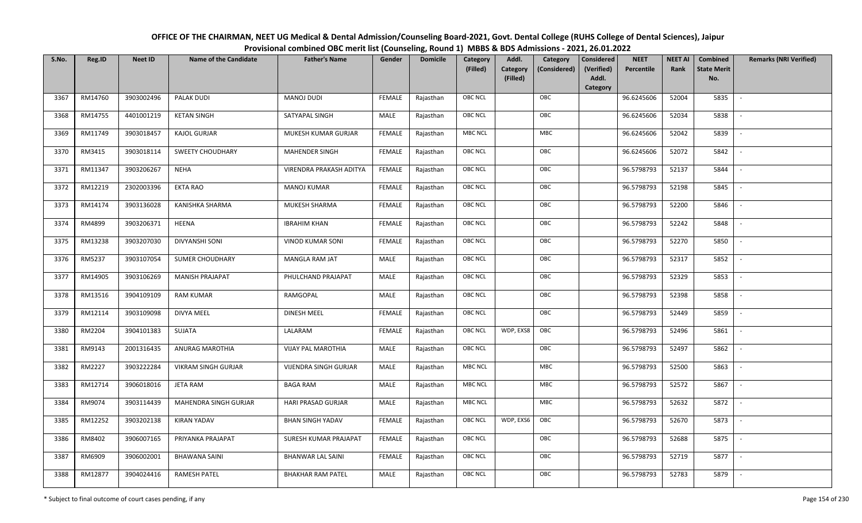| OFFICE OF THE CHAIRMAN, NEET UG Medical & Dental Admission/Counseling Board-2021, Govt. Dental College (RUHS College of Dental Sciences), Jaipur |
|--------------------------------------------------------------------------------------------------------------------------------------------------|
| Provisional combined OBC merit list (Counseling, Round 1) MBBS & BDS Admissions - 2021, 26.01.2022                                               |

| S.No. | Reg.ID  | <b>Neet ID</b> | <b>Name of the Candidate</b> | <b>Father's Name</b>         | Gender        | <b>Domicile</b> | Category<br>(Filled) | Addl.<br><b>Category</b><br>(Filled) | Category<br>(Considered) | <b>Considered</b><br>(Verified)<br>Addl. | <b>NEET</b><br>Percentile | <b>NEET AI</b><br>Rank | Combined<br><b>State Merit</b><br>No. | <b>Remarks (NRI Verified)</b> |
|-------|---------|----------------|------------------------------|------------------------------|---------------|-----------------|----------------------|--------------------------------------|--------------------------|------------------------------------------|---------------------------|------------------------|---------------------------------------|-------------------------------|
|       |         |                |                              |                              |               |                 |                      |                                      |                          | Category                                 |                           |                        |                                       |                               |
| 3367  | RM14760 | 3903002496     | <b>PALAK DUDI</b>            | <b>MANOJ DUDI</b>            | <b>FEMALE</b> | Rajasthan       | <b>OBC NCL</b>       |                                      | OBC                      |                                          | 96.6245606                | 52004                  | 5835                                  | $\sim$                        |
| 3368  | RM14755 | 4401001219     | <b>KETAN SINGH</b>           | SATYAPAL SINGH               | MALE          | Rajasthan       | OBC NCL              |                                      | OBC                      |                                          | 96.6245606                | 52034                  | 5838                                  |                               |
| 3369  | RM11749 | 3903018457     | <b>KAJOL GURJAR</b>          | MUKESH KUMAR GURJAR          | <b>FEMALE</b> | Rajasthan       | <b>MBC NCL</b>       |                                      | MBC                      |                                          | 96.6245606                | 52042                  | 5839                                  |                               |
| 3370  | RM3415  | 3903018114     | <b>SWEETY CHOUDHARY</b>      | <b>MAHENDER SINGH</b>        | <b>FEMALE</b> | Rajasthan       | OBC NCL              |                                      | OBC                      |                                          | 96.6245606                | 52072                  | 5842                                  | $\overline{\phantom{a}}$      |
| 3371  | RM11347 | 3903206267     | <b>NEHA</b>                  | VIRENDRA PRAKASH ADITYA      | <b>FEMALE</b> | Rajasthan       | <b>OBC NCL</b>       |                                      | OBC                      |                                          | 96.5798793                | 52137                  | 5844                                  | $\sim$                        |
| 3372  | RM12219 | 2302003396     | <b>EKTA RAO</b>              | MANOJ KUMAR                  | <b>FEMALE</b> | Rajasthan       | <b>OBC NCL</b>       |                                      | OBC                      |                                          | 96.5798793                | 52198                  | 5845                                  | $\overline{\phantom{a}}$      |
| 3373  | RM14174 | 3903136028     | KANISHKA SHARMA              | MUKESH SHARMA                | <b>FEMALE</b> | Rajasthan       | OBC NCL              |                                      | OBC                      |                                          | 96.5798793                | 52200                  | 5846                                  |                               |
| 3374  | RM4899  | 3903206371     | <b>HEENA</b>                 | <b>IBRAHIM KHAN</b>          | <b>FEMALE</b> | Rajasthan       | OBC NCL              |                                      | OBC                      |                                          | 96.5798793                | 52242                  | 5848                                  |                               |
| 3375  | RM13238 | 3903207030     | <b>DIVYANSHI SONI</b>        | <b>VINOD KUMAR SONI</b>      | <b>FEMALE</b> | Rajasthan       | <b>OBC NCL</b>       |                                      | OBC                      |                                          | 96.5798793                | 52270                  | 5850                                  |                               |
| 3376  | RM5237  | 3903107054     | <b>SUMER CHOUDHARY</b>       | MANGLA RAM JAT               | MALE          | Rajasthan       | OBC NCL              |                                      | OBC                      |                                          | 96.5798793                | 52317                  | 5852                                  | $\overline{\phantom{a}}$      |
| 3377  | RM14905 | 3903106269     | <b>MANISH PRAJAPAT</b>       | PHULCHAND PRAJAPAT           | MALE          | Rajasthan       | <b>OBC NCL</b>       |                                      | OBC                      |                                          | 96.5798793                | 52329                  | 5853                                  |                               |
| 3378  | RM13516 | 3904109109     | <b>RAM KUMAR</b>             | RAMGOPAL                     | MALE          | Rajasthan       | OBC NCL              |                                      | OBC                      |                                          | 96.5798793                | 52398                  | 5858                                  | $\sim$                        |
| 3379  | RM12114 | 3903109098     | <b>DIVYA MEEL</b>            | DINESH MEEL                  | <b>FEMALE</b> | Rajasthan       | <b>OBC NCL</b>       |                                      | OBC                      |                                          | 96.5798793                | 52449                  | 5859                                  |                               |
| 3380  | RM2204  | 3904101383     | SUJATA                       | LALARAM                      | <b>FEMALE</b> | Rajasthan       | OBC NCL              | WDP, EXS8                            | OBC                      |                                          | 96.5798793                | 52496                  | 5861                                  | $\sim$                        |
| 3381  | RM9143  | 2001316435     | ANURAG MAROTHIA              | <b>VIJAY PAL MAROTHIA</b>    | <b>MALE</b>   | Rajasthan       | OBC NCL              |                                      | OBC                      |                                          | 96.5798793                | 52497                  | 5862                                  | $\overline{\phantom{a}}$      |
| 3382  | RM2227  | 3903222284     | <b>VIKRAM SINGH GURJAR</b>   | <b>VIJENDRA SINGH GURJAR</b> | MALE          | Rajasthan       | <b>MBC NCL</b>       |                                      | MBC                      |                                          | 96.5798793                | 52500                  | 5863                                  | $\sim$                        |
| 3383  | RM12714 | 3906018016     | <b>JETA RAM</b>              | <b>BAGA RAM</b>              | MALE          | Rajasthan       | <b>MBC NCL</b>       |                                      | MBC                      |                                          | 96.5798793                | 52572                  | 5867                                  | $\overline{\phantom{a}}$      |
| 3384  | RM9074  | 3903114439     | MAHENDRA SINGH GURJAR        | HARI PRASAD GURJAR           | MALE          | Rajasthan       | <b>MBC NCL</b>       |                                      | MBC                      |                                          | 96.5798793                | 52632                  | 5872                                  |                               |
| 3385  | RM12252 | 3903202138     | <b>KIRAN YADAV</b>           | <b>BHAN SINGH YADAV</b>      | <b>FEMALE</b> | Rajasthan       | <b>OBC NCL</b>       | WDP, EXS6                            | OBC                      |                                          | 96.5798793                | 52670                  | 5873                                  |                               |
| 3386  | RM8402  | 3906007165     | PRIYANKA PRAJAPAT            | SURESH KUMAR PRAJAPAT        | <b>FEMALE</b> | Rajasthan       | <b>OBC NCL</b>       |                                      | OBC                      |                                          | 96.5798793                | 52688                  | 5875                                  | $\blacksquare$                |
| 3387  | RM6909  | 3906002001     | <b>BHAWANA SAINI</b>         | <b>BHANWAR LAL SAINI</b>     | <b>FEMALE</b> | Rajasthan       | <b>OBC NCL</b>       |                                      | OBC                      |                                          | 96.5798793                | 52719                  | 5877                                  | $\overline{\phantom{a}}$      |
| 3388  | RM12877 | 3904024416     | <b>RAMESH PATEL</b>          | <b>BHAKHAR RAM PATEL</b>     | MALE          | Rajasthan       | <b>OBC NCL</b>       |                                      | OBC                      |                                          | 96.5798793                | 52783                  | 5879                                  |                               |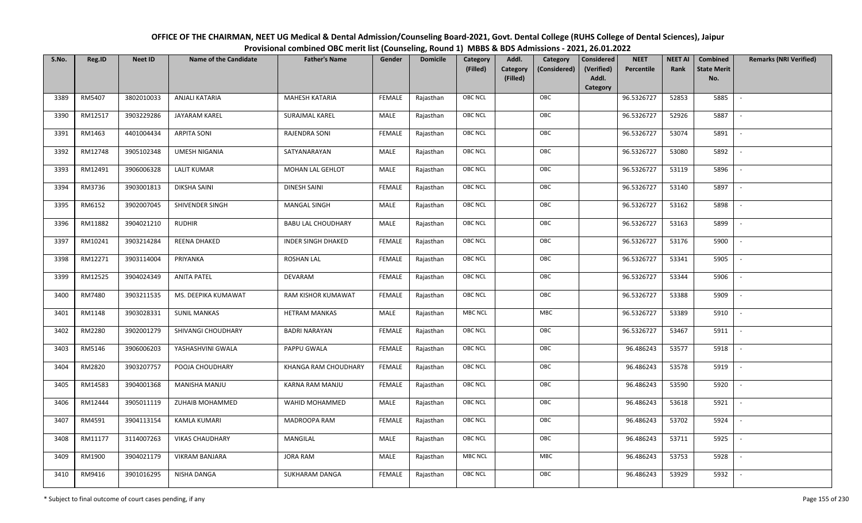| OFFICE OF THE CHAIRMAN, NEET UG Medical & Dental Admission/Counseling Board-2021, Govt. Dental College (RUHS College of Dental Sciences), Jaipur |
|--------------------------------------------------------------------------------------------------------------------------------------------------|
| Provisional combined OBC merit list (Counseling, Round 1) MBBS & BDS Admissions - 2021, 26.01.2022                                               |

| S.No. | Reg.ID  | <b>Neet ID</b> | <b>Name of the Candidate</b> | <b>Father's Name</b>      | Gender        | <b>Domicile</b> | Category<br>(Filled) | Addl.<br>Category | Category<br>(Considered) | <b>Considered</b><br>(Verified) | <b>NEET</b><br>Percentile | <b>NEET AI</b><br>Rank | <b>Combined</b><br><b>State Merit</b> | <b>Remarks (NRI Verified)</b> |
|-------|---------|----------------|------------------------------|---------------------------|---------------|-----------------|----------------------|-------------------|--------------------------|---------------------------------|---------------------------|------------------------|---------------------------------------|-------------------------------|
|       |         |                |                              |                           |               |                 |                      | (Filled)          |                          | Addl.                           |                           |                        | No.                                   |                               |
|       | RM5407  | 3802010033     | ANJALI KATARIA               | <b>MAHESH KATARIA</b>     | <b>FEMALE</b> | Rajasthan       | <b>OBC NCL</b>       |                   | OBC                      | Category                        | 96.5326727                | 52853                  | 5885                                  | $\sim$                        |
| 3389  |         |                |                              |                           |               |                 |                      |                   |                          |                                 |                           |                        |                                       |                               |
| 3390  | RM12517 | 3903229286     | JAYARAM KAREL                | <b>SURAJMAL KAREL</b>     | MALE          | Rajasthan       | <b>OBC NCL</b>       |                   | OBC                      |                                 | 96.5326727                | 52926                  | 5887                                  |                               |
| 3391  | RM1463  | 4401004434     | <b>ARPITA SONI</b>           | RAJENDRA SONI             | <b>FEMALE</b> | Rajasthan       | <b>OBC NCL</b>       |                   | OBC                      |                                 | 96.5326727                | 53074                  | 5891                                  | $\sim$                        |
| 3392  | RM12748 | 3905102348     | <b>UMESH NIGANIA</b>         | SATYANARAYAN              | MALE          | Rajasthan       | <b>OBC NCL</b>       |                   | OBC                      |                                 | 96.5326727                | 53080                  | 5892                                  | $\overline{\phantom{a}}$      |
| 3393  | RM12491 | 3906006328     | <b>LALIT KUMAR</b>           | MOHAN LAL GEHLOT          | MALE          | Rajasthan       | OBC NCL              |                   | OBC                      |                                 | 96.5326727                | 53119                  | 5896                                  | $\sim$                        |
| 3394  | RM3736  | 3903001813     | DIKSHA SAINI                 | <b>DINESH SAINI</b>       | <b>FEMALE</b> | Rajasthan       | <b>OBC NCL</b>       |                   | OBC                      |                                 | 96.5326727                | 53140                  | 5897                                  | $\overline{\phantom{a}}$      |
| 3395  | RM6152  | 3902007045     | SHIVENDER SINGH              | MANGAL SINGH              | MALE          | Rajasthan       | <b>OBC NCL</b>       |                   | OBC                      |                                 | 96.5326727                | 53162                  | 5898                                  |                               |
| 3396  | RM11882 | 3904021210     | <b>RUDHIR</b>                | <b>BABU LAL CHOUDHARY</b> | MALE          | Rajasthan       | OBC NCL              |                   | OBC                      |                                 | 96.5326727                | 53163                  | 5899                                  |                               |
| 3397  | RM10241 | 3903214284     | REENA DHAKED                 | <b>INDER SINGH DHAKED</b> | <b>FEMALE</b> | Rajasthan       | OBC NCL              |                   | OBC                      |                                 | 96.5326727                | 53176                  | 5900                                  |                               |
| 3398  | RM12271 | 3903114004     | PRIYANKA                     | <b>ROSHAN LAL</b>         | <b>FEMALE</b> | Rajasthan       | <b>OBC NCL</b>       |                   | OBC                      |                                 | 96.5326727                | 53341                  | 5905                                  | $\sim$                        |
| 3399  | RM12525 | 3904024349     | <b>ANITA PATEL</b>           | DEVARAM                   | <b>FEMALE</b> | Rajasthan       | OBC NCL              |                   | OBC                      |                                 | 96.5326727                | 53344                  | 5906                                  |                               |
| 3400  | RM7480  | 3903211535     | MS. DEEPIKA KUMAWAT          | RAM KISHOR KUMAWAT        | <b>FEMALE</b> | Rajasthan       | <b>OBC NCL</b>       |                   | OBC                      |                                 | 96.5326727                | 53388                  | 5909                                  | $\overline{\phantom{a}}$      |
| 3401  | RM1148  | 3903028331     | <b>SUNIL MANKAS</b>          | <b>HETRAM MANKAS</b>      | MALE          | Rajasthan       | <b>MBC NCL</b>       |                   | MBC                      |                                 | 96.5326727                | 53389                  | 5910                                  |                               |
| 3402  | RM2280  | 3902001279     | SHIVANGI CHOUDHARY           | <b>BADRI NARAYAN</b>      | <b>FEMALE</b> | Rajasthan       | OBC NCL              |                   | OBC                      |                                 | 96.5326727                | 53467                  | 5911                                  | $\sim$                        |
| 3403  | RM5146  | 3906006203     | YASHASHVINI GWALA            | PAPPU GWALA               | <b>FEMALE</b> | Rajasthan       | <b>OBC NCL</b>       |                   | OBC                      |                                 | 96.486243                 | 53577                  | 5918                                  | $\sim$                        |
| 3404  | RM2820  | 3903207757     | POOJA CHOUDHARY              | KHANGA RAM CHOUDHARY      | <b>FEMALE</b> | Rajasthan       | <b>OBC NCL</b>       |                   | OBC                      |                                 | 96.486243                 | 53578                  | 5919                                  | $\sim$                        |
| 3405  | RM14583 | 3904001368     | MANISHA MANJU                | <b>KARNA RAM MANJU</b>    | <b>FEMALE</b> | Rajasthan       | OBC NCL              |                   | OBC                      |                                 | 96.486243                 | 53590                  | 5920                                  | $\blacksquare$                |
| 3406  | RM12444 | 3905011119     | ZUHAIB MOHAMMED              | WAHID MOHAMMED            | MALE          | Rajasthan       | OBC NCL              |                   | OBC                      |                                 | 96.486243                 | 53618                  | 5921                                  |                               |
| 3407  | RM4591  | 3904113154     | <b>KAMLA KUMARI</b>          | MADROOPA RAM              | <b>FEMALE</b> | Rajasthan       | OBC NCL              |                   | OBC                      |                                 | 96.486243                 | 53702                  | 5924                                  |                               |
| 3408  | RM11177 | 3114007263     | <b>VIKAS CHAUDHARY</b>       | MANGILAL                  | <b>MALE</b>   | Rajasthan       | <b>OBC NCL</b>       |                   | OBC                      |                                 | 96.486243                 | 53711                  | 5925                                  |                               |
| 3409  | RM1900  | 3904021179     | <b>VIKRAM BANJARA</b>        | <b>JORA RAM</b>           | MALE          | Rajasthan       | <b>MBC NCL</b>       |                   | <b>MBC</b>               |                                 | 96.486243                 | 53753                  | 5928                                  |                               |
| 3410  | RM9416  | 3901016295     | NISHA DANGA                  | SUKHARAM DANGA            | FEMALE        | Rajasthan       | OBC NCL              |                   | OBC                      |                                 | 96.486243                 | 53929                  | 5932                                  |                               |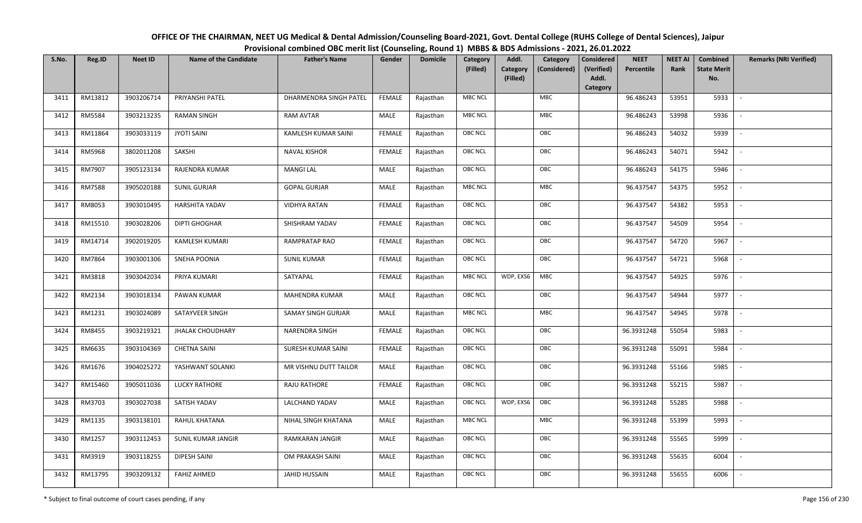| OFFICE OF THE CHAIRMAN, NEET UG Medical & Dental Admission/Counseling Board-2021, Govt. Dental College (RUHS College of Dental Sciences), Jaipur |
|--------------------------------------------------------------------------------------------------------------------------------------------------|
| Provisional combined OBC merit list (Counseling, Round 1) MBBS & BDS Admissions - 2021, 26.01.2022                                               |

| S.No. | Reg.ID        | <b>Neet ID</b> | <b>Name of the Candidate</b> | <b>Father's Name</b>   | Gender        | <b>Domicile</b> | Category<br>(Filled) | Addl.<br><b>Category</b><br>(Filled) | Category<br>(Considered) | <b>Considered</b><br>(Verified)<br>Addl. | <b>NEET</b><br>Percentile | <b>NEET AI</b><br>Rank | Combined<br><b>State Merit</b><br>No. | <b>Remarks (NRI Verified)</b> |
|-------|---------------|----------------|------------------------------|------------------------|---------------|-----------------|----------------------|--------------------------------------|--------------------------|------------------------------------------|---------------------------|------------------------|---------------------------------------|-------------------------------|
|       |               |                |                              |                        |               |                 |                      |                                      |                          | Category                                 |                           |                        |                                       |                               |
| 3411  | RM13812       | 3903206714     | PRIYANSHI PATEL              | DHARMENDRA SINGH PATEL | <b>FEMALE</b> | Rajasthan       | <b>MBC NCL</b>       |                                      | MBC                      |                                          | 96.486243                 | 53951                  | 5933                                  | $\sim$                        |
| 3412  | RM5584        | 3903213235     | <b>RAMAN SINGH</b>           | RAM AVTAR              | MALE          | Rajasthan       | <b>MBC NCL</b>       |                                      | MBC                      |                                          | 96.486243                 | 53998                  | 5936                                  |                               |
| 3413  | RM11864       | 3903033119     | <b>JYOTI SAINI</b>           | KAMLESH KUMAR SAINI    | <b>FEMALE</b> | Rajasthan       | OBC NCL              |                                      | OBC                      |                                          | 96.486243                 | 54032                  | 5939                                  |                               |
| 3414  | RM5968        | 3802011208     | SAKSHI                       | <b>NAVAL KISHOR</b>    | <b>FEMALE</b> | Rajasthan       | OBC NCL              |                                      | OBC                      |                                          | 96.486243                 | 54071                  | 5942                                  | $\overline{\phantom{a}}$      |
| 3415  | RM7907        | 3905123134     | RAJENDRA KUMAR               | <b>MANGI LAL</b>       | MALE          | Rajasthan       | <b>OBC NCL</b>       |                                      | OBC                      |                                          | 96.486243                 | 54175                  | 5946                                  | $\overline{\phantom{a}}$      |
| 3416  | <b>RM7588</b> | 3905020188     | <b>SUNIL GURJAR</b>          | <b>GOPAL GURJAR</b>    | MALE          | Rajasthan       | <b>MBC NCL</b>       |                                      | MBC                      |                                          | 96.437547                 | 54375                  | 5952                                  | $\overline{\phantom{a}}$      |
| 3417  | RM8053        | 3903010495     | <b>HARSHITA YADAV</b>        | <b>VIDHYA RATAN</b>    | <b>FEMALE</b> | Rajasthan       | OBC NCL              |                                      | OBC                      |                                          | 96.437547                 | 54382                  | 5953                                  |                               |
| 3418  | RM15510       | 3903028206     | <b>DIPTI GHOGHAR</b>         | SHISHRAM YADAV         | <b>FEMALE</b> | Rajasthan       | <b>OBC NCL</b>       |                                      | OBC                      |                                          | 96.437547                 | 54509                  | 5954                                  |                               |
| 3419  | RM14714       | 3902019205     | <b>KAMLESH KUMARI</b>        | RAMPRATAP RAO          | <b>FEMALE</b> | Rajasthan       | OBC NCL              |                                      | OBC                      |                                          | 96.437547                 | 54720                  | 5967                                  | $\overline{\phantom{a}}$      |
| 3420  | RM7864        | 3903001306     | SNEHA POONIA                 | <b>SUNIL KUMAR</b>     | <b>FEMALE</b> | Rajasthan       | <b>OBC NCL</b>       |                                      | OBC                      |                                          | 96.437547                 | 54721                  | 5968                                  |                               |
| 3421  | RM3818        | 3903042034     | PRIYA KUMARI                 | SATYAPAL               | <b>FEMALE</b> | Rajasthan       | <b>MBC NCL</b>       | WDP, EXS6                            | MBC                      |                                          | 96.437547                 | 54925                  | 5976                                  |                               |
| 3422  | RM2134        | 3903018334     | PAWAN KUMAR                  | <b>MAHENDRA KUMAR</b>  | MALE          | Rajasthan       | <b>OBC NCL</b>       |                                      | OBC                      |                                          | 96.437547                 | 54944                  | 5977                                  | $\overline{\phantom{a}}$      |
| 3423  | RM1231        | 3903024089     | SATAYVEER SINGH              | SAMAY SINGH GURJAR     | MALE          | Rajasthan       | <b>MBC NCL</b>       |                                      | MBC                      |                                          | 96.437547                 | 54945                  | 5978                                  |                               |
| 3424  | RM8455        | 3903219321     | <b>JHALAK CHOUDHARY</b>      | NARENDRA SINGH         | <b>FEMALE</b> | Rajasthan       | OBC NCL              |                                      | OBC                      |                                          | 96.3931248                | 55054                  | 5983                                  | $\sim$                        |
| 3425  | RM6635        | 3903104369     | <b>CHETNA SAINI</b>          | SURESH KUMAR SAINI     | <b>FEMALE</b> | Rajasthan       | OBC NCL              |                                      | OBC                      |                                          | 96.3931248                | 55091                  | 5984                                  | $\overline{\phantom{a}}$      |
| 3426  | RM1676        | 3904025272     | YASHWANT SOLANKI             | MR VISHNU DUTT TAILOR  | MALE          | Rajasthan       | <b>OBC NCL</b>       |                                      | OBC                      |                                          | 96.3931248                | 55166                  | 5985                                  | $\sim$                        |
| 3427  | RM15460       | 3905011036     | <b>LUCKY RATHORE</b>         | RAJU RATHORE           | <b>FEMALE</b> | Rajasthan       | OBC NCL              |                                      | OBC                      |                                          | 96.3931248                | 55215                  | 5987                                  | $\blacksquare$                |
| 3428  | RM3703        | 3903027038     | SATISH YADAV                 | LALCHAND YADAV         | MALE          | Rajasthan       | <b>OBC NCL</b>       | WDP, EXS6                            | OBC                      |                                          | 96.3931248                | 55285                  | 5988                                  |                               |
| 3429  | RM1135        | 3903138101     | RAHUL KHATANA                | NIHAL SINGH KHATANA    | MALE          | Rajasthan       | <b>MBC NCL</b>       |                                      | ${\sf MBC}$              |                                          | 96.3931248                | 55399                  | 5993                                  |                               |
| 3430  | RM1257        | 3903112453     | SUNIL KUMAR JANGIR           | RAMKARAN JANGIR        | MALE          | Rajasthan       | OBC NCL              |                                      | OBC                      |                                          | 96.3931248                | 55565                  | 5999                                  |                               |
| 3431  | RM3919        | 3903118255     | <b>DIPESH SAINI</b>          | OM PRAKASH SAINI       | MALE          | Rajasthan       | <b>OBC NCL</b>       |                                      | OBC                      |                                          | 96.3931248                | 55635                  | 6004                                  |                               |
| 3432  | RM13795       | 3903209132     | <b>FAHIZ AHMED</b>           | <b>JAHID HUSSAIN</b>   | MALE          | Rajasthan       | <b>OBC NCL</b>       |                                      | OBC                      |                                          | 96.3931248                | 55655                  | 6006                                  |                               |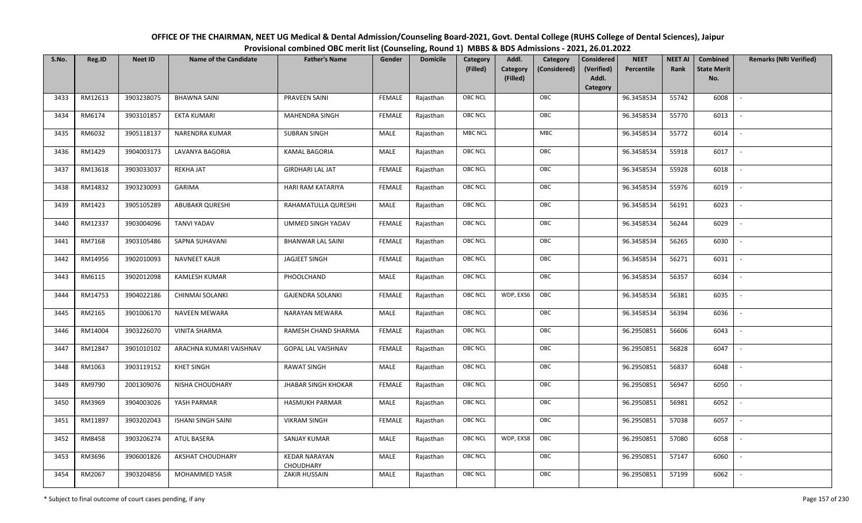| OFFICE OF THE CHAIRMAN, NEET UG Medical & Dental Admission/Counseling Board-2021, Govt. Dental College (RUHS College of Dental Sciences), Jaipur |
|--------------------------------------------------------------------------------------------------------------------------------------------------|
| Provisional combined OBC merit list (Counseling, Round 1) MBBS & BDS Admissions - 2021, 26.01.2022                                               |

| S.No. | Reg.ID  | <b>Neet ID</b> | <b>Name of the Candidate</b> | <b>Father's Name</b>              | Gender        | <b>Domicile</b> | Category       | Addl.                | Category     | <b>Considered</b>   | <b>NEET</b> | <b>NEET AI</b> | <b>Combined</b>           | <b>Remarks (NRI Verified)</b> |
|-------|---------|----------------|------------------------------|-----------------------------------|---------------|-----------------|----------------|----------------------|--------------|---------------------|-------------|----------------|---------------------------|-------------------------------|
|       |         |                |                              |                                   |               |                 | (Filled)       | Category<br>(Filled) | (Considered) | (Verified)<br>Addl. | Percentile  | Rank           | <b>State Merit</b><br>No. |                               |
|       |         |                |                              |                                   |               |                 |                |                      |              | Category            |             |                |                           |                               |
| 3433  | RM12613 | 3903238075     | <b>BHAWNA SAINI</b>          | PRAVEEN SAINI                     | <b>FEMALE</b> | Rajasthan       | <b>OBC NCL</b> |                      | OBC          |                     | 96.3458534  | 55742          | 6008                      |                               |
| 3434  | RM6174  | 3903101857     | <b>EKTA KUMARI</b>           | <b>MAHENDRA SINGH</b>             | <b>FEMALE</b> | Rajasthan       | <b>OBC NCL</b> |                      | OBC          |                     | 96.3458534  | 55770          | 6013                      |                               |
| 3435  | RM6032  | 3905118137     | <b>NARENDRA KUMAR</b>        | <b>SUBRAN SINGH</b>               | MALE          | Rajasthan       | <b>MBC NCL</b> |                      | <b>MBC</b>   |                     | 96.3458534  | 55772          | 6014                      |                               |
| 3436  | RM1429  | 3904003173     | LAVANYA BAGORIA              | <b>KAMAL BAGORIA</b>              | MALE          | Rajasthan       | <b>OBC NCL</b> |                      | OBC          |                     | 96.3458534  | 55918          | 6017                      | $\overline{\phantom{a}}$      |
| 3437  | RM13618 | 3903033037     | <b>REKHA JAT</b>             | <b>GIRDHARI LAL JAT</b>           | <b>FEMALE</b> | Rajasthan       | <b>OBC NCL</b> |                      | OBC          |                     | 96.3458534  | 55928          | 6018                      | $\overline{\phantom{a}}$      |
| 3438  | RM14832 | 3903230093     | <b>GARIMA</b>                | HARI RAM KATARIYA                 | <b>FEMALE</b> | Rajasthan       | <b>OBC NCL</b> |                      | OBC          |                     | 96.3458534  | 55976          | 6019                      |                               |
| 3439  | RM1423  | 3905105289     | <b>ABUBAKR QURESHI</b>       | RAHAMATULLA QURESHI               | MALE          | Rajasthan       | <b>OBC NCL</b> |                      | OBC          |                     | 96.3458534  | 56191          | 6023                      |                               |
| 3440  | RM12337 | 3903004096     | <b>TANVI YADAV</b>           | UMMED SINGH YADAV                 | <b>FEMALE</b> | Rajasthan       | <b>OBC NCL</b> |                      | OBC          |                     | 96.3458534  | 56244          | 6029                      |                               |
| 3441  | RM7168  | 3903105486     | SAPNA SUHAVANI               | <b>BHANWAR LAL SAINI</b>          | <b>FEMALE</b> | Rajasthan       | <b>OBC NCL</b> |                      | OBC          |                     | 96.3458534  | 56265          | 6030                      |                               |
| 3442  | RM14956 | 3902010093     | <b>NAVNEET KAUR</b>          | <b>JAGJEET SINGH</b>              | <b>FEMALE</b> | Rajasthan       | <b>OBC NCL</b> |                      | OBC          |                     | 96.3458534  | 56271          | 6031                      | $\overline{\phantom{a}}$      |
| 3443  | RM6115  | 3902012098     | <b>KAMLESH KUMAR</b>         | PHOOLCHAND                        | MALE          | Rajasthan       | <b>OBC NCL</b> |                      | OBC          |                     | 96.3458534  | 56357          | 6034                      |                               |
| 3444  | RM14753 | 3904022186     | <b>CHINMAI SOLANKI</b>       | <b>GAJENDRA SOLANKI</b>           | <b>FEMALE</b> | Rajasthan       | <b>OBC NCL</b> | WDP, EXS6            | OBC          |                     | 96.3458534  | 56381          | 6035                      | $\blacksquare$                |
| 3445  | RM2165  | 3901006170     | <b>NAVEEN MEWARA</b>         | <b>NARAYAN MEWARA</b>             | MALE          | Rajasthan       | <b>OBC NCL</b> |                      | OBC          |                     | 96.3458534  | 56394          | 6036                      |                               |
| 3446  | RM14004 | 3903226070     | <b>VINITA SHARMA</b>         | RAMESH CHAND SHARMA               | <b>FEMALE</b> | Rajasthan       | OBC NCL        |                      | OBC          |                     | 96.2950851  | 56606          | 6043                      | $\overline{\phantom{a}}$      |
| 3447  | RM12847 | 3901010102     | ARACHNA KUMARI VAISHNAV      | <b>GOPAL LAL VAISHNAV</b>         | <b>FEMALE</b> | Rajasthan       | <b>OBC NCL</b> |                      | OBC          |                     | 96.2950851  | 56828          | 6047                      | $\overline{\phantom{a}}$      |
| 3448  | RM1063  | 3903119152     | <b>KHET SINGH</b>            | <b>RAWAT SINGH</b>                | MALE          | Rajasthan       | <b>OBC NCL</b> |                      | OBC          |                     | 96.2950851  | 56837          | 6048                      |                               |
| 3449  | RM9790  | 2001309076     | NISHA CHOUDHARY              | <b>JHABAR SINGH KHOKAR</b>        | <b>FEMALE</b> | Rajasthan       | <b>OBC NCL</b> |                      | OBC          |                     | 96.2950851  | 56947          | 6050                      | $\overline{\phantom{a}}$      |
| 3450  | RM3969  | 3904003026     | YASH PARMAR                  | <b>HASMUKH PARMAR</b>             | MALE          | Rajasthan       | <b>OBC NCL</b> |                      | OBC          |                     | 96.2950851  | 56981          | 6052                      |                               |
| 3451  | RM11897 | 3903202043     | <b>ISHANI SINGH SAINI</b>    | <b>VIKRAM SINGH</b>               | <b>FEMALE</b> | Rajasthan       | OBC NCL        |                      | OBC          |                     | 96.2950851  | 57038          | 6057                      |                               |
| 3452  | RM8458  | 3903206274     | <b>ATUL BASERA</b>           | SANJAY KUMAR                      | MALE          | Rajasthan       | <b>OBC NCL</b> | WDP, EXS8            | OBC          |                     | 96.2950851  | 57080          | 6058                      |                               |
| 3453  | RM3696  | 3906001826     | AKSHAT CHOUDHARY             | <b>KEDAR NARAYAN</b><br>CHOUDHARY | MALE          | Rajasthan       | <b>OBC NCL</b> |                      | OBC          |                     | 96.2950851  | 57147          | 6060                      |                               |
| 3454  | RM2067  | 3903204856     | MOHAMMED YASIR               | <b>ZAKIR HUSSAIN</b>              | MALE          | Rajasthan       | <b>OBC NCL</b> |                      | OBC          |                     | 96.2950851  | 57199          | 6062                      |                               |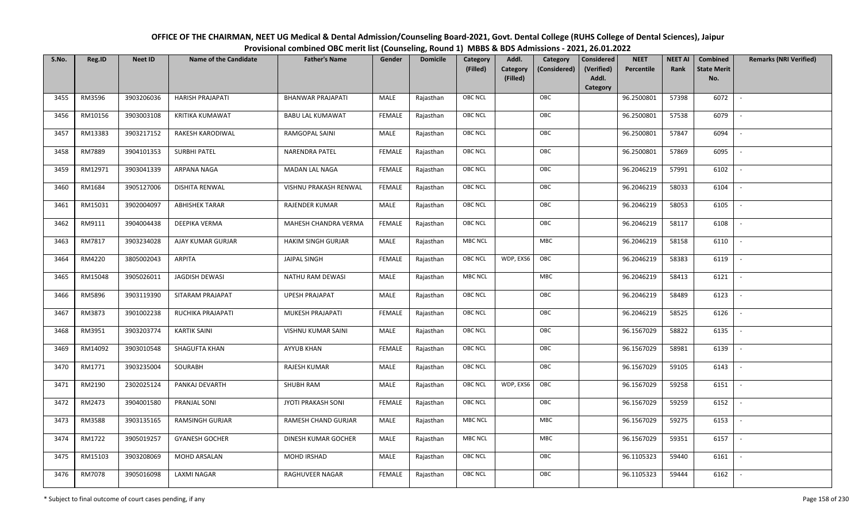| OFFICE OF THE CHAIRMAN, NEET UG Medical & Dental Admission/Counseling Board-2021, Govt. Dental College (RUHS College of Dental Sciences), Jaipur |
|--------------------------------------------------------------------------------------------------------------------------------------------------|
| Provisional combined OBC merit list (Counseling, Round 1) MBBS & BDS Admissions - 2021, 26.01.2022                                               |

| S.No. | Reg.ID  | <b>Neet ID</b> | <b>Name of the Candidate</b> | <b>Father's Name</b>      | Gender        | <b>Domicile</b> | Category<br>(Filled) | Addl.<br><b>Category</b><br>(Filled) | Category<br>(Considered) | <b>Considered</b><br>(Verified)<br>Addl. | <b>NEET</b><br>Percentile | <b>NEET AI</b><br>Rank | Combined<br><b>State Merit</b><br>No. | <b>Remarks (NRI Verified)</b> |
|-------|---------|----------------|------------------------------|---------------------------|---------------|-----------------|----------------------|--------------------------------------|--------------------------|------------------------------------------|---------------------------|------------------------|---------------------------------------|-------------------------------|
| 3455  | RM3596  | 3903206036     | <b>HARISH PRAJAPATI</b>      | <b>BHANWAR PRAJAPATI</b>  | MALE          | Rajasthan       | <b>OBC NCL</b>       |                                      | OBC                      | Category                                 | 96.2500801                | 57398                  | 6072                                  | $\sim$                        |
| 3456  | RM10156 | 3903003108     | <b>KRITIKA KUMAWAT</b>       | <b>BABU LAL KUMAWAT</b>   | <b>FEMALE</b> | Rajasthan       | OBC NCL              |                                      | OBC                      |                                          | 96.2500801                | 57538                  | 6079                                  |                               |
| 3457  | RM13383 | 3903217152     | RAKESH KARODIWAL             | RAMGOPAL SAINI            | MALE          | Rajasthan       | <b>OBC NCL</b>       |                                      | OBC                      |                                          | 96.2500801                | 57847                  | 6094                                  |                               |
| 3458  | RM7889  | 3904101353     | <b>SURBHI PATEL</b>          | NARENDRA PATEL            | <b>FEMALE</b> | Rajasthan       | OBC NCL              |                                      | OBC                      |                                          | 96.2500801                | 57869                  | 6095                                  | $\overline{\phantom{a}}$      |
| 3459  | RM12971 | 3903041339     | ARPANA NAGA                  | <b>MADAN LAL NAGA</b>     | <b>FEMALE</b> | Rajasthan       | <b>OBC NCL</b>       |                                      | OBC                      |                                          | 96.2046219                | 57991                  | 6102                                  | $\sim$                        |
| 3460  | RM1684  | 3905127006     | <b>DISHITA RENWAL</b>        | VISHNU PRAKASH RENWAL     | <b>FEMALE</b> | Rajasthan       | <b>OBC NCL</b>       |                                      | OBC                      |                                          | 96.2046219                | 58033                  | 6104                                  | $\overline{\phantom{a}}$      |
| 3461  | RM15031 | 3902004097     | <b>ABHISHEK TARAR</b>        | RAJENDER KUMAR            | MALE          | Rajasthan       | OBC NCL              |                                      | OBC                      |                                          | 96.2046219                | 58053                  | 6105                                  | $\blacksquare$                |
| 3462  | RM9111  | 3904004438     | DEEPIKA VERMA                | MAHESH CHANDRA VERMA      | <b>FEMALE</b> | Rajasthan       | OBC NCL              |                                      | OBC                      |                                          | 96.2046219                | 58117                  | 6108                                  |                               |
| 3463  | RM7817  | 3903234028     | AJAY KUMAR GURJAR            | <b>HAKIM SINGH GURJAR</b> | MALE          | Rajasthan       | <b>MBC NCL</b>       |                                      | MBC                      |                                          | 96.2046219                | 58158                  | 6110                                  |                               |
| 3464  | RM4220  | 3805002043     | ARPITA                       | <b>JAIPAL SINGH</b>       | <b>FEMALE</b> | Rajasthan       | <b>OBC NCL</b>       | WDP, EXS6                            | OBC                      |                                          | 96.2046219                | 58383                  | 6119                                  |                               |
| 3465  | RM15048 | 3905026011     | JAGDISH DEWASI               | NATHU RAM DEWASI          | MALE          | Rajasthan       | <b>MBC NCL</b>       |                                      | <b>MBC</b>               |                                          | 96.2046219                | 58413                  | 6121                                  |                               |
| 3466  | RM5896  | 3903119390     | SITARAM PRAJAPAT             | <b>UPESH PRAJAPAT</b>     | MALE          | Rajasthan       | OBC NCL              |                                      | OBC                      |                                          | 96.2046219                | 58489                  | 6123                                  | $\sim$                        |
| 3467  | RM3873  | 3901002238     | RUCHIKA PRAJAPATI            | MUKESH PRAJAPATI          | <b>FEMALE</b> | Rajasthan       | <b>OBC NCL</b>       |                                      | OBC                      |                                          | 96.2046219                | 58525                  | 6126                                  |                               |
| 3468  | RM3951  | 3903203774     | <b>KARTIK SAINI</b>          | VISHNU KUMAR SAINI        | MALE          | Rajasthan       | OBC NCL              |                                      | OBC                      |                                          | 96.1567029                | 58822                  | 6135                                  | $\overline{\phantom{a}}$      |
| 3469  | RM14092 | 3903010548     | <b>SHAGUFTA KHAN</b>         | <b>AYYUB KHAN</b>         | <b>FEMALE</b> | Rajasthan       | OBC NCL              |                                      | OBC                      |                                          | 96.1567029                | 58981                  | 6139                                  | $\overline{\phantom{a}}$      |
| 3470  | RM1771  | 3903235004     | SOURABH                      | RAJESH KUMAR              | MALE          | Rajasthan       | <b>OBC NCL</b>       |                                      | OBC                      |                                          | 96.1567029                | 59105                  | 6143                                  | $\sim$                        |
| 3471  | RM2190  | 2302025124     | PANKAJ DEVARTH               | SHUBH RAM                 | MALE          | Rajasthan       | <b>OBC NCL</b>       | WDP, EXS6                            | OBC                      |                                          | 96.1567029                | 59258                  | 6151                                  | $\overline{\phantom{a}}$      |
| 3472  | RM2473  | 3904001580     | PRANJAL SONI                 | JYOTI PRAKASH SONI        | <b>FEMALE</b> | Rajasthan       | OBC NCL              |                                      | OBC                      |                                          | 96.1567029                | 59259                  | 6152                                  |                               |
| 3473  | RM3588  | 3903135165     | <b>RAMSINGH GURJAR</b>       | RAMESH CHAND GURJAR       | MALE          | Rajasthan       | <b>MBC NCL</b>       |                                      | <b>MBC</b>               |                                          | 96.1567029                | 59275                  | 6153                                  |                               |
| 3474  | RM1722  | 3905019257     | <b>GYANESH GOCHER</b>        | DINESH KUMAR GOCHER       | MALE          | Rajasthan       | <b>MBC NCL</b>       |                                      | MBC                      |                                          | 96.1567029                | 59351                  | 6157                                  | $\blacksquare$                |
| 3475  | RM15103 | 3903208069     | MOHD ARSALAN                 | MOHD IRSHAD               | <b>MALE</b>   | Rajasthan       | <b>OBC NCL</b>       |                                      | OBC                      |                                          | 96.1105323                | 59440                  | 6161                                  |                               |
| 3476  | RM7078  | 3905016098     | LAXMI NAGAR                  | RAGHUVEER NAGAR           | <b>FEMALE</b> | Rajasthan       | <b>OBC NCL</b>       |                                      | OBC                      |                                          | 96.1105323                | 59444                  | 6162                                  |                               |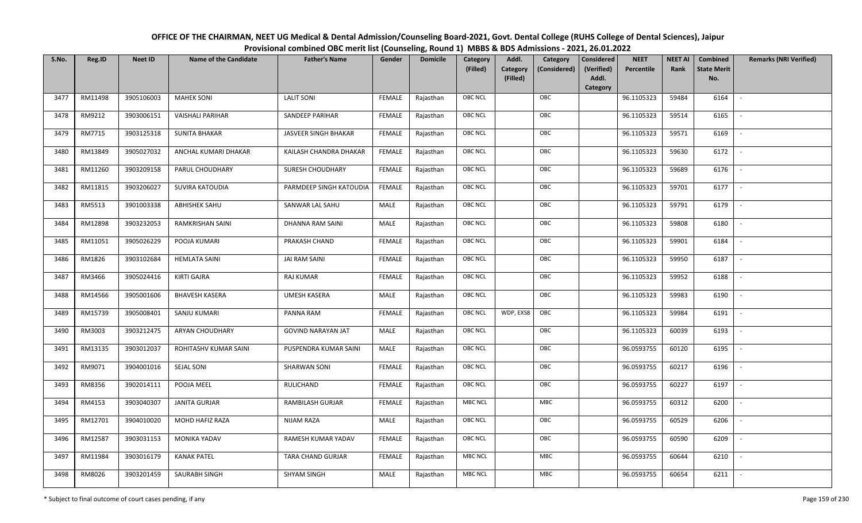| OFFICE OF THE CHAIRMAN, NEET UG Medical & Dental Admission/Counseling Board-2021, Govt. Dental College (RUHS College of Dental Sciences), Jaipur |
|--------------------------------------------------------------------------------------------------------------------------------------------------|
| Provisional combined OBC merit list (Counseling, Round 1) MBBS & BDS Admissions - 2021, 26.01.2022                                               |

| S.No. | Reg.ID  | <b>Neet ID</b> | <b>Name of the Candidate</b> | <b>Father's Name</b>      | Gender        | <b>Domicile</b> | Category<br>(Filled) | Addl.<br><b>Category</b><br>(Filled) | Category<br>(Considered) | <b>Considered</b><br>(Verified)<br>Addl. | <b>NEET</b><br>Percentile | <b>NEET AI</b><br>Rank | Combined<br><b>State Merit</b><br>No. | <b>Remarks (NRI Verified)</b> |
|-------|---------|----------------|------------------------------|---------------------------|---------------|-----------------|----------------------|--------------------------------------|--------------------------|------------------------------------------|---------------------------|------------------------|---------------------------------------|-------------------------------|
|       |         |                |                              |                           |               |                 |                      |                                      |                          | Category                                 |                           |                        |                                       |                               |
| 3477  | RM11498 | 3905106003     | <b>MAHEK SONI</b>            | <b>LALIT SONI</b>         | <b>FEMALE</b> | Rajasthan       | <b>OBC NCL</b>       |                                      | OBC                      |                                          | 96.1105323                | 59484                  | 6164                                  | $\overline{\phantom{a}}$      |
| 3478  | RM9212  | 3903006151     | <b>VAISHALI PARIHAR</b>      | SANDEEP PARIHAR           | <b>FEMALE</b> | Rajasthan       | OBC NCL              |                                      | OBC                      |                                          | 96.1105323                | 59514                  | 6165                                  |                               |
| 3479  | RM7715  | 3903125318     | <b>SUNITA BHAKAR</b>         | JASVEER SINGH BHAKAR      | <b>FEMALE</b> | Rajasthan       | <b>OBC NCL</b>       |                                      | OBC                      |                                          | 96.1105323                | 59571                  | 6169                                  |                               |
| 3480  | RM13849 | 3905027032     | ANCHAL KUMARI DHAKAR         | KAILASH CHANDRA DHAKAR    | <b>FEMALE</b> | Rajasthan       | OBC NCL              |                                      | OBC                      |                                          | 96.1105323                | 59630                  | 6172                                  | $\overline{\phantom{a}}$      |
| 3481  | RM11260 | 3903209158     | PARUL CHOUDHARY              | <b>SURESH CHOUDHARY</b>   | <b>FEMALE</b> | Rajasthan       | <b>OBC NCL</b>       |                                      | OBC                      |                                          | 96.1105323                | 59689                  | 6176                                  | $\sim$                        |
| 3482  | RM11815 | 3903206027     | SUVIRA KATOUDIA              | PARMDEEP SINGH KATOUDIA   | <b>FEMALE</b> | Rajasthan       | <b>OBC NCL</b>       |                                      | OBC                      |                                          | 96.1105323                | 59701                  | 6177                                  | $\sim$                        |
| 3483  | RM5513  | 3901003338     | ABHISHEK SAHU                | SANWAR LAL SAHU           | MALE          | Rajasthan       | <b>OBC NCL</b>       |                                      | OBC                      |                                          | 96.1105323                | 59791                  | 6179                                  | $\overline{\phantom{a}}$      |
| 3484  | RM12898 | 3903232053     | RAMKRISHAN SAINI             | DHANNA RAM SAINI          | MALE          | Rajasthan       | <b>OBC NCL</b>       |                                      | OBC                      |                                          | 96.1105323                | 59808                  | 6180                                  |                               |
| 3485  | RM11051 | 3905026229     | POOJA KUMARI                 | PRAKASH CHAND             | <b>FEMALE</b> | Rajasthan       | OBC NCL              |                                      | OBC                      |                                          | 96.1105323                | 59901                  | 6184                                  |                               |
| 3486  | RM1826  | 3903102684     | <b>HEMLATA SAINI</b>         | <b>JAI RAM SAINI</b>      | <b>FEMALE</b> | Rajasthan       | <b>OBC NCL</b>       |                                      | OBC                      |                                          | 96.1105323                | 59950                  | 6187                                  | $\sim$                        |
| 3487  | RM3466  | 3905024416     | <b>KIRTI GAJRA</b>           | RAJ KUMAR                 | <b>FEMALE</b> | Rajasthan       | OBC NCL              |                                      | OBC                      |                                          | 96.1105323                | 59952                  | 6188                                  |                               |
| 3488  | RM14566 | 3905001606     | <b>BHAVESH KASERA</b>        | UMESH KASERA              | MALE          | Rajasthan       | <b>OBC NCL</b>       |                                      | OBC                      |                                          | 96.1105323                | 59983                  | 6190                                  |                               |
| 3489  | RM15739 | 3905008401     | SANJU KUMARI                 | PANNA RAM                 | <b>FEMALE</b> | Rajasthan       | <b>OBC NCL</b>       | WDP, EXS8                            | OBC                      |                                          | 96.1105323                | 59984                  | 6191                                  |                               |
| 3490  | RM3003  | 3903212475     | <b>ARYAN CHOUDHARY</b>       | <b>GOVIND NARAYAN JAT</b> | MALE          | Rajasthan       | OBC NCL              |                                      | OBC                      |                                          | 96.1105323                | 60039                  | 6193                                  | $\overline{\phantom{a}}$      |
| 3491  | RM13135 | 3903012037     | ROHITASHV KUMAR SAINI        | PUSPENDRA KUMAR SAINI     | MALE          | Rajasthan       | OBC NCL              |                                      | OBC                      |                                          | 96.0593755                | 60120                  | 6195                                  | $\overline{\phantom{a}}$      |
| 3492  | RM9071  | 3904001016     | SEJAL SONI                   | <b>SHARWAN SONI</b>       | <b>FEMALE</b> | Rajasthan       | <b>OBC NCL</b>       |                                      | OBC                      |                                          | 96.0593755                | 60217                  | 6196                                  | $\sim$                        |
| 3493  | RM8356  | 3902014111     | POOJA MEEL                   | RULICHAND                 | <b>FEMALE</b> | Rajasthan       | <b>OBC NCL</b>       |                                      | OBC                      |                                          | 96.0593755                | 60227                  | 6197                                  | $\sim$                        |
| 3494  | RM4153  | 3903040307     | <b>JANITA GURJAR</b>         | RAMBILASH GURJAR          | <b>FEMALE</b> | Rajasthan       | <b>MBC NCL</b>       |                                      | MBC                      |                                          | 96.0593755                | 60312                  | 6200                                  | $\sim$                        |
| 3495  | RM12701 | 3904010020     | MOHD HAFIZ RAZA              | <b>NIJAM RAZA</b>         | MALE          | Rajasthan       | OBC NCL              |                                      | OBC                      |                                          | 96.0593755                | 60529                  | 6206                                  |                               |
| 3496  | RM12587 | 3903031153     | MONIKA YADAV                 | RAMESH KUMAR YADAV        | <b>FEMALE</b> | Rajasthan       | OBC NCL              |                                      | OBC                      |                                          | 96.0593755                | 60590                  | 6209                                  |                               |
| 3497  | RM11984 | 3903016179     | <b>KANAK PATEL</b>           | TARA CHAND GURJAR         | <b>FEMALE</b> | Rajasthan       | <b>MBC NCL</b>       |                                      | MBC                      |                                          | 96.0593755                | 60644                  | 6210                                  |                               |
| 3498  | RM8026  | 3903201459     | SAURABH SINGH                | <b>SHYAM SINGH</b>        | MALE          | Rajasthan       | <b>MBC NCL</b>       |                                      | MBC                      |                                          | 96.0593755                | 60654                  | 6211                                  |                               |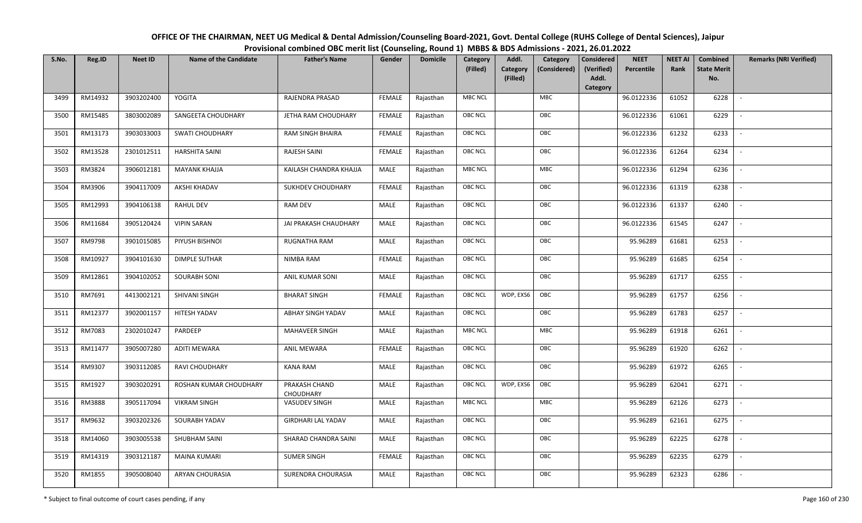| OFFICE OF THE CHAIRMAN, NEET UG Medical & Dental Admission/Counseling Board-2021, Govt. Dental College (RUHS College of Dental Sciences), Jaipur |
|--------------------------------------------------------------------------------------------------------------------------------------------------|
| Provisional combined OBC merit list (Counseling, Round 1) MBBS & BDS Admissions - 2021, 26.01.2022                                               |

| S.No. | Reg.ID  | <b>Neet ID</b> | <b>Name of the Candidate</b> | <b>Father's Name</b>       | Gender        | <b>Domicile</b> | Category<br>(Filled) | Addl.<br>Category | Category<br>(Considered) | <b>Considered</b><br>(Verified) | <b>NEET</b><br>Percentile | <b>NEET AI</b><br>Rank | Combined<br><b>State Merit</b> | <b>Remarks (NRI Verified)</b> |
|-------|---------|----------------|------------------------------|----------------------------|---------------|-----------------|----------------------|-------------------|--------------------------|---------------------------------|---------------------------|------------------------|--------------------------------|-------------------------------|
|       |         |                |                              |                            |               |                 |                      | (Filled)          |                          | Addl.<br>Category               |                           |                        | No.                            |                               |
| 3499  | RM14932 | 3903202400     | YOGITA                       | RAJENDRA PRASAD            | <b>FEMALE</b> | Rajasthan       | <b>MBC NCL</b>       |                   | <b>MBC</b>               |                                 | 96.0122336                | 61052                  | 6228                           | $\overline{\phantom{a}}$      |
| 3500  | RM15485 | 3803002089     | SANGEETA CHOUDHARY           | JETHA RAM CHOUDHARY        | <b>FEMALE</b> | Rajasthan       | OBC NCL              |                   | OBC                      |                                 | 96.0122336                | 61061                  | 6229                           |                               |
| 3501  | RM13173 | 3903033003     | <b>SWATI CHOUDHARY</b>       | <b>RAM SINGH BHAIRA</b>    | <b>FEMALE</b> | Rajasthan       | <b>OBC NCL</b>       |                   | OBC                      |                                 | 96.0122336                | 61232                  | 6233                           |                               |
| 3502  | RM13528 | 2301012511     | <b>HARSHITA SAINI</b>        | RAJESH SAINI               | <b>FEMALE</b> | Rajasthan       | OBC NCL              |                   | OBC                      |                                 | 96.0122336                | 61264                  | 6234                           | $\overline{\phantom{a}}$      |
| 3503  | RM3824  | 3906012181     | <b>MAYANK KHAJJA</b>         | KAILASH CHANDRA KHAJJA     | MALE          | Rajasthan       | MBC NCL              |                   | <b>MBC</b>               |                                 | 96.0122336                | 61294                  | 6236                           | $\sim$                        |
| 3504  | RM3906  | 3904117009     | AKSHI KHADAV                 | SUKHDEV CHOUDHARY          | <b>FEMALE</b> | Rajasthan       | OBC NCL              |                   | OBC                      |                                 | 96.0122336                | 61319                  | 6238                           | $\overline{\phantom{a}}$      |
| 3505  | RM12993 | 3904106138     | RAHUL DEV                    | <b>RAM DEV</b>             | <b>MALE</b>   | Rajasthan       | OBC NCL              |                   | OBC                      |                                 | 96.0122336                | 61337                  | 6240                           | $\sim$                        |
| 3506  | RM11684 | 3905120424     | <b>VIPIN SARAN</b>           | JAI PRAKASH CHAUDHARY      | MALE          | Rajasthan       | OBC NCL              |                   | OBC                      |                                 | 96.0122336                | 61545                  | 6247                           |                               |
| 3507  | RM9798  | 3901015085     | PIYUSH BISHNOI               | RUGNATHA RAM               | MALE          | Rajasthan       | OBC NCL              |                   | OBC                      |                                 | 95.96289                  | 61681                  | 6253                           |                               |
| 3508  | RM10927 | 3904101630     | <b>DIMPLE SUTHAR</b>         | <b>NIMBA RAM</b>           | <b>FEMALE</b> | Rajasthan       | OBC NCL              |                   | OBC                      |                                 | 95.96289                  | 61685                  | 6254                           | $\overline{\phantom{a}}$      |
| 3509  | RM12861 | 3904102052     | <b>SOURABH SONI</b>          | ANIL KUMAR SONI            | MALE          | Rajasthan       | OBC NCL              |                   | OBC                      |                                 | 95.96289                  | 61717                  | 6255                           |                               |
| 3510  | RM7691  | 4413002121     | SHIVANI SINGH                | <b>BHARAT SINGH</b>        | <b>FEMALE</b> | Rajasthan       | OBC NCL              | WDP, EXS6         | OBC                      |                                 | 95.96289                  | 61757                  | 6256                           | $\mathcal{L}$                 |
| 3511  | RM12377 | 3902001157     | HITESH YADAV                 | ABHAY SINGH YADAV          | MALE          | Rajasthan       | OBC NCL              |                   | OBC                      |                                 | 95.96289                  | 61783                  | 6257                           |                               |
| 3512  | RM7083  | 2302010247     | PARDEEP                      | <b>MAHAVEER SINGH</b>      | MALE          | Rajasthan       | MBC NCL              |                   | <b>MBC</b>               |                                 | 95.96289                  | 61918                  | 6261                           | $\overline{\phantom{a}}$      |
| 3513  | RM11477 | 3905007280     | <b>ADITI MEWARA</b>          | ANIL MEWARA                | <b>FEMALE</b> | Rajasthan       | OBC NCL              |                   | OBC                      |                                 | 95.96289                  | 61920                  | 6262                           | $\overline{\phantom{a}}$      |
| 3514  | RM9307  | 3903112085     | RAVI CHOUDHARY               | <b>KANA RAM</b>            | <b>MALE</b>   | Rajasthan       | <b>OBC NCL</b>       |                   | OBC                      |                                 | 95.96289                  | 61972                  | 6265                           | $\overline{\phantom{a}}$      |
| 3515  | RM1927  | 3903020291     | ROSHAN KUMAR CHOUDHARY       | PRAKASH CHAND<br>CHOUDHARY | MALE          | Rajasthan       | <b>OBC NCL</b>       | WDP, EXS6         | OBC                      |                                 | 95.96289                  | 62041                  | 6271                           | $\overline{\phantom{a}}$      |
| 3516  | RM3888  | 3905117094     | <b>VIKRAM SINGH</b>          | VASUDEV SINGH              | MALE          | Rajasthan       | <b>MBC NCL</b>       |                   | MBC                      |                                 | 95.96289                  | 62126                  | 6273                           | $\overline{\phantom{a}}$      |
| 3517  | RM9632  | 3903202326     | SOURABH YADAV                | <b>GIRDHARI LAL YADAV</b>  | MALE          | Rajasthan       | OBC NCL              |                   | OBC                      |                                 | 95.96289                  | 62161                  | 6275                           |                               |
| 3518  | RM14060 | 3903005538     | SHUBHAM SAINI                | SHARAD CHANDRA SAINI       | MALE          | Rajasthan       | OBC NCL              |                   | OBC                      |                                 | 95.96289                  | 62225                  | 6278                           |                               |
| 3519  | RM14319 | 3903121187     | <b>MAINA KUMARI</b>          | <b>SUMER SINGH</b>         | <b>FEMALE</b> | Rajasthan       | OBC NCL              |                   | OBC                      |                                 | 95.96289                  | 62235                  | 6279                           |                               |
| 3520  | RM1855  | 3905008040     | ARYAN CHOURASIA              | SURENDRA CHOURASIA         | MALE          | Rajasthan       | OBC NCL              |                   | OBC                      |                                 | 95.96289                  | 62323                  | 6286                           |                               |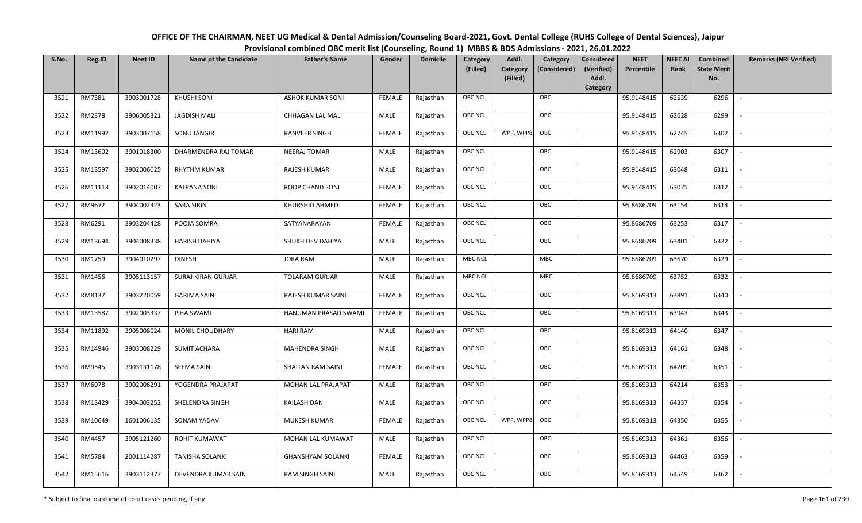| OFFICE OF THE CHAIRMAN, NEET UG Medical & Dental Admission/Counseling Board-2021, Govt. Dental College (RUHS College of Dental Sciences), Jaipur |
|--------------------------------------------------------------------------------------------------------------------------------------------------|
| Provisional combined OBC merit list (Counseling, Round 1) MBBS & BDS Admissions - 2021, 26.01.2022                                               |

| S.No. | Reg.ID  | <b>Neet ID</b> | <b>Name of the Candidate</b> | <b>Father's Name</b>     | Gender        | <b>Domicile</b> | Category<br>(Filled) | Addl.<br><b>Category</b><br>(Filled) | Category<br>(Considered) | <b>Considered</b><br>(Verified)<br>Addl.<br>Category | <b>NEET</b><br>Percentile | <b>NEET AI</b><br>Rank | Combined<br><b>State Merit</b><br>No. | <b>Remarks (NRI Verified)</b> |
|-------|---------|----------------|------------------------------|--------------------------|---------------|-----------------|----------------------|--------------------------------------|--------------------------|------------------------------------------------------|---------------------------|------------------------|---------------------------------------|-------------------------------|
| 3521  | RM7381  | 3903001728     | <b>KHUSHI SONI</b>           | <b>ASHOK KUMAR SONI</b>  | <b>FEMALE</b> | Rajasthan       | <b>OBC NCL</b>       |                                      | OBC                      |                                                      | 95.9148415                | 62539                  | 6296                                  | $\overline{\phantom{a}}$      |
| 3522  | RM2378  | 3906005321     | JAGDISH MALI                 | CHHAGAN LAL MALI         | MALE          | Rajasthan       | <b>OBC NCL</b>       |                                      | OBC                      |                                                      | 95.9148415                | 62628                  | 6299                                  |                               |
| 3523  | RM11992 | 3903007158     | SONU JANGIR                  | <b>RANVEER SINGH</b>     | <b>FEMALE</b> | Rajasthan       | <b>OBC NCL</b>       | WPP, WPP8                            | OBC                      |                                                      | 95.9148415                | 62745                  | 6302                                  | $\overline{\phantom{a}}$      |
| 3524  | RM13602 | 3901018300     | DHARMENDRA RAJ TOMAR         | NEERAJ TOMAR             | MALE          | Rajasthan       | <b>OBC NCL</b>       |                                      | OBC                      |                                                      | 95.9148415                | 62903                  | 6307                                  | $\overline{\phantom{a}}$      |
| 3525  | RM13597 | 3902006025     | <b>RHYTHM KUMAR</b>          | RAJESH KUMAR             | MALE          | Rajasthan       | <b>OBC NCL</b>       |                                      | OBC                      |                                                      | 95.9148415                | 63048                  | 6311                                  | $\sim$                        |
| 3526  | RM11113 | 3902014007     | <b>KALPANA SONI</b>          | ROOP CHAND SONI          | <b>FEMALE</b> | Rajasthan       | <b>OBC NCL</b>       |                                      | OBC                      |                                                      | 95.9148415                | 63075                  | 6312                                  | $\overline{\phantom{a}}$      |
| 3527  | RM9672  | 3904002323     | <b>SARA SIRIN</b>            | KHURSHID AHMED           | <b>FEMALE</b> | Rajasthan       | OBC NCL              |                                      | OBC                      |                                                      | 95.8686709                | 63154                  | 6314                                  | $\overline{\phantom{a}}$      |
| 3528  | RM6291  | 3903204428     | POOJA SOMRA                  | SATYANARAYAN             | <b>FEMALE</b> | Rajasthan       | <b>OBC NCL</b>       |                                      | OBC                      |                                                      | 95.8686709                | 63253                  | 6317                                  |                               |
| 3529  | RM13694 | 3904008338     | HARISH DAHIYA                | SHUKH DEV DAHIYA         | MALE          | Rajasthan       | OBC NCL              |                                      | OBC                      |                                                      | 95.8686709                | 63401                  | 6322                                  | $\overline{\phantom{a}}$      |
| 3530  | RM1759  | 3904010297     | <b>DINESH</b>                | <b>JORA RAM</b>          | <b>MALE</b>   | Rajasthan       | <b>MBC NCL</b>       |                                      | MBC                      |                                                      | 95.8686709                | 63670                  | 6329                                  |                               |
| 3531  | RM1456  | 3905113157     | SURAJ KIRAN GURJAR           | <b>TOLARAM GURJAR</b>    | MALE          | Rajasthan       | <b>MBC NCL</b>       |                                      | MBC                      |                                                      | 95.8686709                | 63752                  | 6332                                  |                               |
| 3532  | RM8137  | 3903220059     | <b>GARIMA SAINI</b>          | RAJESH KUMAR SAINI       | <b>FEMALE</b> | Rajasthan       | <b>OBC NCL</b>       |                                      | OBC                      |                                                      | 95.8169313                | 63891                  | 6340                                  |                               |
| 3533  | RM13587 | 3902003337     | <b>ISHA SWAMI</b>            | HANUMAN PRASAD SWAMI     | <b>FEMALE</b> | Rajasthan       | OBC NCL              |                                      | OBC                      |                                                      | 95.8169313                | 63943                  | 6343                                  |                               |
| 3534  | RM11892 | 3905008024     | MONIL CHOUDHARY              | <b>HARI RAM</b>          | MALE          | Rajasthan       | OBC NCL              |                                      | OBC                      |                                                      | 95.8169313                | 64140                  | 6347                                  | $\sim$                        |
| 3535  | RM14946 | 3903008229     | <b>SUMIT ACHARA</b>          | MAHENDRA SINGH           | MALE          | Rajasthan       | OBC NCL              |                                      | OBC                      |                                                      | 95.8169313                | 64161                  | 6348                                  | $\overline{\phantom{a}}$      |
| 3536  | RM9545  | 3903131178     | SEEMA SAINI                  | SHAITAN RAM SAINI        | <b>FEMALE</b> | Rajasthan       | <b>OBC NCL</b>       |                                      | OBC                      |                                                      | 95.8169313                | 64209                  | 6351                                  | $\overline{\phantom{a}}$      |
| 3537  | RM6078  | 3902006291     | YOGENDRA PRAJAPAT            | MOHAN LAL PRAJAPAT       | MALE          | Rajasthan       | OBC NCL              |                                      | OBC                      |                                                      | 95.8169313                | 64214                  | 6353                                  | $\blacksquare$                |
| 3538  | RM13429 | 3904003252     | SHELENDRA SINGH              | KAILASH DAN              | MALE          | Rajasthan       | <b>OBC NCL</b>       |                                      | OBC                      |                                                      | 95.8169313                | 64337                  | 6354                                  |                               |
| 3539  | RM10649 | 1601006135     | SONAM YADAV                  | MUKESH KUMAR             | <b>FEMALE</b> | Rajasthan       | <b>OBC NCL</b>       | WPP, WPP8                            | OBC                      |                                                      | 95.8169313                | 64350                  | 6355                                  |                               |
| 3540  | RM4457  | 3905121260     | <b>ROHIT KUMAWAT</b>         | MOHAN LAL KUMAWAT        | MALE          | Rajasthan       | <b>OBC NCL</b>       |                                      | OBC                      |                                                      | 95.8169313                | 64361                  | 6356                                  |                               |
| 3541  | RM5784  | 2001114287     | <b>TANISHA SOLANKI</b>       | <b>GHANSHYAM SOLANKI</b> | <b>FEMALE</b> | Rajasthan       | OBC NCL              |                                      | OBC                      |                                                      | 95.8169313                | 64463                  | 6359                                  |                               |
| 3542  | RM15616 | 3903112377     | DEVENDRA KUMAR SAINI         | <b>RAM SINGH SAINI</b>   | MALE          | Rajasthan       | <b>OBC NCL</b>       |                                      | OBC                      |                                                      | 95.8169313                | 64549                  | 6362                                  |                               |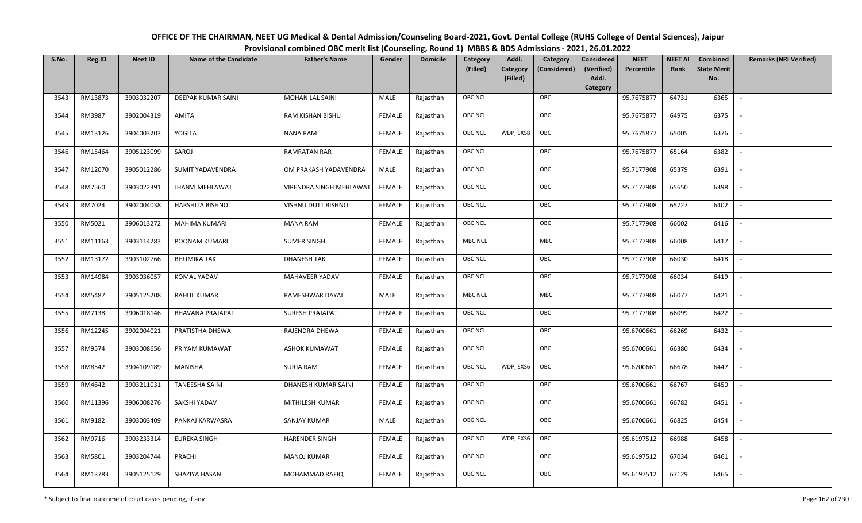| OFFICE OF THE CHAIRMAN, NEET UG Medical & Dental Admission/Counseling Board-2021, Govt. Dental College (RUHS College of Dental Sciences), Jaipur |
|--------------------------------------------------------------------------------------------------------------------------------------------------|
| Provisional combined OBC merit list (Counseling, Round 1) MBBS & BDS Admissions - 2021, 26.01.2022                                               |

| S.No. | Reg.ID  | <b>Neet ID</b> | <b>Name of the Candidate</b> | <b>Father's Name</b>    | Gender        | <b>Domicile</b> | Category<br>(Filled) | Addl.<br><b>Category</b><br>(Filled) | Category<br>(Considered) | <b>Considered</b><br>(Verified)<br>Addl. | <b>NEET</b><br>Percentile | <b>NEET AI</b><br>Rank | Combined<br><b>State Merit</b><br>No. | <b>Remarks (NRI Verified)</b> |
|-------|---------|----------------|------------------------------|-------------------------|---------------|-----------------|----------------------|--------------------------------------|--------------------------|------------------------------------------|---------------------------|------------------------|---------------------------------------|-------------------------------|
| 3543  | RM13873 | 3903032207     | <b>DEEPAK KUMAR SAINI</b>    | <b>MOHAN LAL SAINI</b>  | MALE          | Rajasthan       | <b>OBC NCL</b>       |                                      | OBC                      | Category                                 | 95.7675877                | 64731                  | 6365                                  | $\mathbb{L}$                  |
|       |         |                |                              |                         |               |                 |                      |                                      |                          |                                          |                           |                        |                                       |                               |
| 3544  | RM3987  | 3902004319     | AMITA                        | RAM KISHAN BISHU        | FEMALE        | Rajasthan       | OBC NCL              |                                      | OBC                      |                                          | 95.7675877                | 64975                  | 6375                                  |                               |
| 3545  | RM13126 | 3904003203     | YOGITA                       | <b>NANA RAM</b>         | <b>FEMALE</b> | Rajasthan       | OBC NCL              | WDP, EXS8                            | OBC                      |                                          | 95.7675877                | 65005                  | 6376                                  | $\overline{\phantom{a}}$      |
| 3546  | RM15464 | 3905123099     | SAROJ                        | <b>RAMRATAN RAR</b>     | <b>FEMALE</b> | Rajasthan       | <b>OBC NCL</b>       |                                      | OBC                      |                                          | 95.7675877                | 65164                  | 6382                                  | $\overline{\phantom{a}}$      |
| 3547  | RM12070 | 3905012286     | <b>SUMIT YADAVENDRA</b>      | OM PRAKASH YADAVENDRA   | MALE          | Rajasthan       | OBC NCL              |                                      | OBC                      |                                          | 95.7177908                | 65379                  | 6391                                  | $\sim$                        |
| 3548  | RM7560  | 3903022391     | <b>JHANVI MEHLAWAT</b>       | VIRENDRA SINGH MEHLAWAT | <b>FEMALE</b> | Rajasthan       | <b>OBC NCL</b>       |                                      | OBC                      |                                          | 95.7177908                | 65650                  | 6398                                  | $\overline{\phantom{a}}$      |
| 3549  | RM7024  | 3902004038     | <b>HARSHITA BISHNOI</b>      | VISHNU DUTT BISHNOI     | <b>FEMALE</b> | Rajasthan       | OBC NCL              |                                      | OBC                      |                                          | 95.7177908                | 65727                  | 6402                                  |                               |
| 3550  | RM5021  | 3906013272     | MAHIMA KUMARI                | <b>MANA RAM</b>         | <b>FEMALE</b> | Rajasthan       | OBC NCL              |                                      | OBC                      |                                          | 95.7177908                | 66002                  | 6416                                  |                               |
| 3551  | RM11163 | 3903114283     | POONAM KUMARI                | <b>SUMER SINGH</b>      | <b>FEMALE</b> | Rajasthan       | <b>MBC NCL</b>       |                                      | MBC                      |                                          | 95.7177908                | 66008                  | 6417                                  |                               |
| 3552  | RM13172 | 3903102766     | <b>BHUMIKA TAK</b>           | <b>DHANESH TAK</b>      | <b>FEMALE</b> | Rajasthan       | <b>OBC NCL</b>       |                                      | OBC                      |                                          | 95.7177908                | 66030                  | 6418                                  | $\sim$                        |
| 3553  | RM14984 | 3903036057     | <b>KOMAL YADAV</b>           | <b>MAHAVEER YADAV</b>   | <b>FEMALE</b> | Rajasthan       | OBC NCL              |                                      | OBC                      |                                          | 95.7177908                | 66034                  | 6419                                  |                               |
| 3554  | RM5487  | 3905125208     | <b>RAHUL KUMAR</b>           | RAMESHWAR DAYAL         | MALE          | Rajasthan       | <b>MBC NCL</b>       |                                      | MBC                      |                                          | 95.7177908                | 66077                  | 6421                                  | $\overline{\phantom{a}}$      |
| 3555  | RM7138  | 3906018146     | <b>BHAVANA PRAJAPAT</b>      | <b>SURESH PRAJAPAT</b>  | <b>FEMALE</b> | Rajasthan       | OBC NCL              |                                      | OBC                      |                                          | 95.7177908                | 66099                  | 6422                                  |                               |
| 3556  | RM12245 | 3902004021     | PRATISTHA DHEWA              | RAJENDRA DHEWA          | <b>FEMALE</b> | Rajasthan       | <b>OBC NCL</b>       |                                      | OBC                      |                                          | 95.6700661                | 66269                  | 6432                                  | $\sim$                        |
| 3557  | RM9574  | 3903008656     | PRIYAM KUMAWAT               | <b>ASHOK KUMAWAT</b>    | <b>FEMALE</b> | Rajasthan       | <b>OBC NCL</b>       |                                      | OBC                      |                                          | 95.6700661                | 66380                  | 6434                                  | $\sim$                        |
| 3558  | RM8542  | 3904109189     | MANISHA                      | <b>SURJA RAM</b>        | <b>FEMALE</b> | Rajasthan       | <b>OBC NCL</b>       | WDP, EXS6                            | OBC                      |                                          | 95.6700661                | 66678                  | 6447                                  | $\overline{\phantom{a}}$      |
| 3559  | RM4642  | 3903211031     | <b>TANEESHA SAINI</b>        | DHANESH KUMAR SAINI     | <b>FEMALE</b> | Rajasthan       | <b>OBC NCL</b>       |                                      | OBC                      |                                          | 95.6700661                | 66767                  | 6450                                  | $\overline{\phantom{a}}$      |
| 3560  | RM11396 | 3906008276     | SAKSHI YADAV                 | MITHILESH KUMAR         | <b>FEMALE</b> | Rajasthan       | <b>OBC NCL</b>       |                                      | OBC                      |                                          | 95.6700661                | 66782                  | 6451                                  |                               |
| 3561  | RM9182  | 3903003409     | PANKAJ KARWASRA              | SANJAY KUMAR            | MALE          | Rajasthan       | OBC NCL              |                                      | OBC                      |                                          | 95.6700661                | 66825                  | 6454                                  |                               |
| 3562  | RM9716  | 3903233314     | <b>EUREKA SINGH</b>          | HARENDER SINGH          | <b>FEMALE</b> | Rajasthan       | <b>OBC NCL</b>       | WDP, EXS6                            | OBC                      |                                          | 95.6197512                | 66988                  | 6458                                  |                               |
| 3563  | RM5801  | 3903204744     | PRACHI                       | MANOJ KUMAR             | <b>FEMALE</b> | Rajasthan       | <b>OBC NCL</b>       |                                      | OBC                      |                                          | 95.6197512                | 67034                  | 6461                                  |                               |
| 3564  | RM13783 | 3905125129     | SHAZIYA HASAN                | MOHAMMAD RAFIQ          | FEMALE        | Rajasthan       | <b>OBC NCL</b>       |                                      | OBC                      |                                          | 95.6197512                | 67129                  | 6465                                  |                               |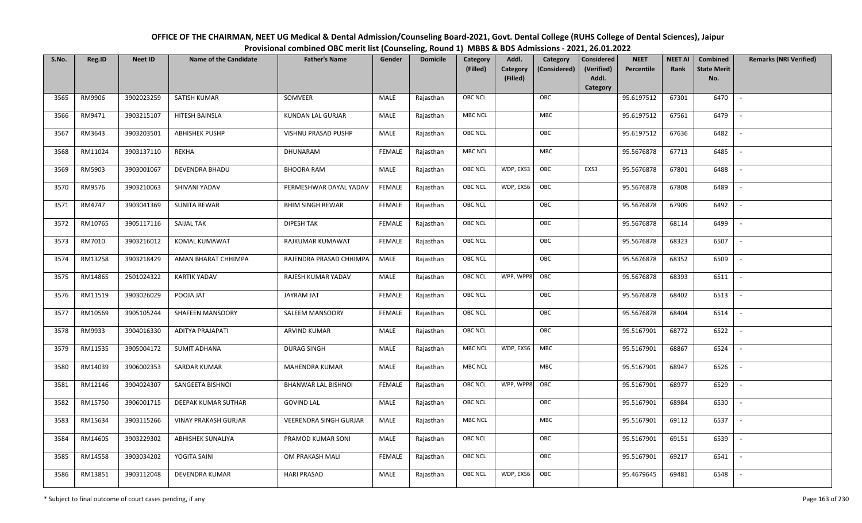| OFFICE OF THE CHAIRMAN, NEET UG Medical & Dental Admission/Counseling Board-2021, Govt. Dental College (RUHS College of Dental Sciences), Jaipur |
|--------------------------------------------------------------------------------------------------------------------------------------------------|
| Provisional combined OBC merit list (Counseling, Round 1) MBBS & BDS Admissions - 2021, 26.01.2022                                               |

| S.No. | Reg.ID  | <b>Neet ID</b> | <b>Name of the Candidate</b> | <b>Father's Name</b>          | Gender        | <b>Domicile</b> | Category<br>(Filled) | Addl.<br><b>Category</b><br>(Filled) | Category<br>(Considered) | <b>Considered</b><br>(Verified)<br>Addl. | <b>NEET</b><br>Percentile | <b>NEET AI</b><br>Rank | Combined<br><b>State Merit</b><br>No. | <b>Remarks (NRI Verified)</b> |
|-------|---------|----------------|------------------------------|-------------------------------|---------------|-----------------|----------------------|--------------------------------------|--------------------------|------------------------------------------|---------------------------|------------------------|---------------------------------------|-------------------------------|
| 3565  | RM9906  | 3902023259     | SATISH KUMAR                 | SOMVEER                       | MALE          | Rajasthan       | <b>OBC NCL</b>       |                                      | OBC                      | Category                                 | 95.6197512                | 67301                  | 6470                                  | $\sim$                        |
| 3566  | RM9471  | 3903215107     | HITESH BAINSLA               | KUNDAN LAL GURJAR             | MALE          | Rajasthan       | <b>MBC NCL</b>       |                                      | MBC                      |                                          | 95.6197512                | 67561                  | 6479                                  |                               |
| 3567  | RM3643  | 3903203501     | <b>ABHISHEK PUSHP</b>        | VISHNU PRASAD PUSHP           | MALE          | Rajasthan       | <b>OBC NCL</b>       |                                      | OBC                      |                                          | 95.6197512                | 67636                  | 6482                                  |                               |
| 3568  | RM11024 | 3903137110     | REKHA                        | DHUNARAM                      | <b>FEMALE</b> | Rajasthan       | <b>MBC NCL</b>       |                                      | MBC                      |                                          | 95.5676878                | 67713                  | 6485                                  | $\overline{\phantom{a}}$      |
| 3569  | RM5903  | 3903001067     | <b>DEVENDRA BHADU</b>        | <b>BHOORA RAM</b>             | <b>MALE</b>   | Rajasthan       | <b>OBC NCL</b>       | WDP, EXS3                            | OBC                      | EXS3                                     | 95.5676878                | 67801                  | 6488                                  | $\sim$                        |
| 3570  | RM9576  | 3903210063     | SHIVANI YADAV                | PERMESHWAR DAYAL YADAV        | <b>FEMALE</b> | Rajasthan       | <b>OBC NCL</b>       | WDP, EXS6                            | OBC                      |                                          | 95.5676878                | 67808                  | 6489                                  | $\overline{\phantom{a}}$      |
| 3571  | RM4747  | 3903041369     | <b>SUNITA REWAR</b>          | <b>BHIM SINGH REWAR</b>       | <b>FEMALE</b> | Rajasthan       | <b>OBC NCL</b>       |                                      | OBC                      |                                          | 95.5676878                | 67909                  | 6492                                  |                               |
| 3572  | RM10765 | 3905117116     | SAIJAL TAK                   | <b>DIPESH TAK</b>             | <b>FEMALE</b> | Rajasthan       | <b>OBC NCL</b>       |                                      | OBC                      |                                          | 95.5676878                | 68114                  | 6499                                  |                               |
| 3573  | RM7010  | 3903216012     | KOMAL KUMAWAT                | RAJKUMAR KUMAWAT              | <b>FEMALE</b> | Rajasthan       | OBC NCL              |                                      | OBC                      |                                          | 95.5676878                | 68323                  | 6507                                  |                               |
| 3574  | RM13258 | 3903218429     | AMAN BHARAT CHHIMPA          | RAJENDRA PRASAD CHHIMPA       | MALE          | Rajasthan       | <b>OBC NCL</b>       |                                      | OBC                      |                                          | 95.5676878                | 68352                  | 6509                                  | $\overline{\phantom{a}}$      |
| 3575  | RM14865 | 2501024322     | <b>KARTIK YADAV</b>          | RAJESH KUMAR YADAV            | MALE          | Rajasthan       | OBC NCL              | WPP, WPP8                            | OBC                      |                                          | 95.5676878                | 68393                  | 6511                                  |                               |
| 3576  | RM11519 | 3903026029     | POOJA JAT                    | JAYRAM JAT                    | <b>FEMALE</b> | Rajasthan       | <b>OBC NCL</b>       |                                      | OBC                      |                                          | 95.5676878                | 68402                  | 6513                                  | $\overline{\phantom{a}}$      |
| 3577  | RM10569 | 3905105244     | SHAFEEN MANSOORY             | SALEEM MANSOORY               | <b>FEMALE</b> | Rajasthan       | OBC NCL              |                                      | OBC                      |                                          | 95.5676878                | 68404                  | 6514                                  |                               |
| 3578  | RM9933  | 3904016330     | <b>ADITYA PRAJAPATI</b>      | <b>ARVIND KUMAR</b>           | MALE          | Rajasthan       | OBC NCL              |                                      | OBC                      |                                          | 95.5167901                | 68772                  | 6522                                  | $\overline{\phantom{a}}$      |
| 3579  | RM11535 | 3905004172     | <b>SUMIT ADHANA</b>          | <b>DURAG SINGH</b>            | MALE          | Rajasthan       | <b>MBC NCL</b>       | WDP, EXS6                            | MBC                      |                                          | 95.5167901                | 68867                  | 6524                                  | $\overline{\phantom{a}}$      |
| 3580  | RM14039 | 3906002353     | SARDAR KUMAR                 | MAHENDRA KUMAR                | MALE          | Rajasthan       | <b>MBC NCL</b>       |                                      | MBC                      |                                          | 95.5167901                | 68947                  | 6526                                  | $\sim$                        |
| 3581  | RM12146 | 3904024307     | SANGEETA BISHNOI             | <b>BHANWAR LAL BISHNOI</b>    | <b>FEMALE</b> | Rajasthan       | <b>OBC NCL</b>       | WPP, WPP8                            | OBC                      |                                          | 95.5167901                | 68977                  | 6529                                  | $\overline{\phantom{a}}$      |
| 3582  | RM15750 | 3906001715     | DEEPAK KUMAR SUTHAR          | <b>GOVIND LAL</b>             | MALE          | Rajasthan       | OBC NCL              |                                      | OBC                      |                                          | 95.5167901                | 68984                  | 6530                                  | $\sim$                        |
| 3583  | RM15634 | 3903115266     | <b>VINAY PRAKASH GURJAR</b>  | <b>VEERENDRA SINGH GURJAR</b> | MALE          | Rajasthan       | <b>MBC NCL</b>       |                                      | MBC                      |                                          | 95.5167901                | 69112                  | 6537                                  |                               |
| 3584  | RM14605 | 3903229302     | ABHISHEK SUNALIYA            | PRAMOD KUMAR SONI             | MALE          | Rajasthan       | OBC NCL              |                                      | OBC                      |                                          | 95.5167901                | 69151                  | 6539                                  |                               |
| 3585  | RM14558 | 3903034202     | YOGITA SAINI                 | OM PRAKASH MALI               | <b>FEMALE</b> | Rajasthan       | <b>OBC NCL</b>       |                                      | OBC                      |                                          | 95.5167901                | 69217                  | 6541                                  | $\overline{\phantom{a}}$      |
| 3586  | RM13851 | 3903112048     | DEVENDRA KUMAR               | <b>HARI PRASAD</b>            | MALE          | Rajasthan       | <b>OBC NCL</b>       | WDP, EXS6                            | OBC                      |                                          | 95.4679645                | 69481                  | 6548                                  |                               |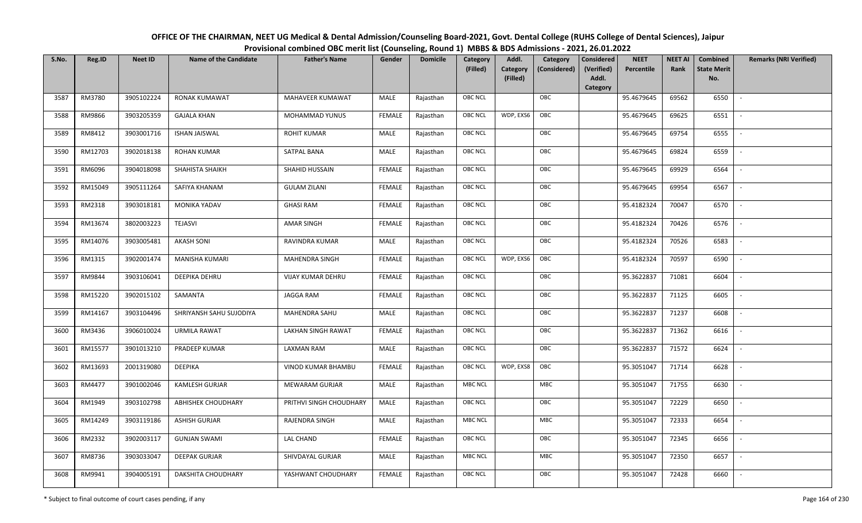| OFFICE OF THE CHAIRMAN, NEET UG Medical & Dental Admission/Counseling Board-2021, Govt. Dental College (RUHS College of Dental Sciences), Jaipur |
|--------------------------------------------------------------------------------------------------------------------------------------------------|
| Provisional combined OBC merit list (Counseling, Round 1) MBBS & BDS Admissions - 2021, 26.01.2022                                               |

| S.No. | Reg.ID  | <b>Neet ID</b> | <b>Name of the Candidate</b> | <b>Father's Name</b>    | Gender        | <b>Domicile</b> | Category<br>(Filled) | Addl.<br>Category | Category<br>(Considered) | <b>Considered</b><br>(Verified) | <b>NEET</b><br>Percentile | <b>NEET AI</b><br>Rank | <b>Combined</b><br><b>State Merit</b> | <b>Remarks (NRI Verified)</b> |
|-------|---------|----------------|------------------------------|-------------------------|---------------|-----------------|----------------------|-------------------|--------------------------|---------------------------------|---------------------------|------------------------|---------------------------------------|-------------------------------|
|       |         |                |                              |                         |               |                 |                      | (Filled)          |                          | Addl.<br>Category               |                           |                        | No.                                   |                               |
| 3587  | RM3780  | 3905102224     | <b>RONAK KUMAWAT</b>         | MAHAVEER KUMAWAT        | MALE          | Rajasthan       | <b>OBC NCL</b>       |                   | OBC                      |                                 | 95.4679645                | 69562                  | 6550                                  | $\sim$                        |
| 3588  | RM9866  | 3903205359     | <b>GAJALA KHAN</b>           | MOHAMMAD YUNUS          | <b>FEMALE</b> | Rajasthan       | OBC NCL              | WDP, EXS6         | OBC                      |                                 | 95.4679645                | 69625                  | 6551                                  |                               |
| 3589  | RM8412  | 3903001716     | <b>ISHAN JAISWAL</b>         | <b>ROHIT KUMAR</b>      | MALE          | Rajasthan       | <b>OBC NCL</b>       |                   | OBC                      |                                 | 95.4679645                | 69754                  | 6555                                  | $\overline{\phantom{a}}$      |
| 3590  | RM12703 | 3902018138     | <b>ROHAN KUMAR</b>           | SATPAL BANA             | MALE          | Rajasthan       | <b>OBC NCL</b>       |                   | OBC                      |                                 | 95.4679645                | 69824                  | 6559                                  | $\overline{\phantom{a}}$      |
| 3591  | RM6096  | 3904018098     | SHAHISTA SHAIKH              | SHAHID HUSSAIN          | <b>FEMALE</b> | Rajasthan       | OBC NCL              |                   | OBC                      |                                 | 95.4679645                | 69929                  | 6564                                  | $\sim$                        |
| 3592  | RM15049 | 3905111264     | SAFIYA KHANAM                | <b>GULAM ZILANI</b>     | <b>FEMALE</b> | Rajasthan       | <b>OBC NCL</b>       |                   | OBC                      |                                 | 95.4679645                | 69954                  | 6567                                  | $\overline{\phantom{a}}$      |
| 3593  | RM2318  | 3903018181     | MONIKA YADAV                 | <b>GHASI RAM</b>        | <b>FEMALE</b> | Rajasthan       | <b>OBC NCL</b>       |                   | OBC                      |                                 | 95.4182324                | 70047                  | 6570                                  |                               |
| 3594  | RM13674 | 3802003223     | <b>TEJASVI</b>               | AMAR SINGH              | <b>FEMALE</b> | Rajasthan       | OBC NCL              |                   | OBC                      |                                 | 95.4182324                | 70426                  | 6576                                  |                               |
| 3595  | RM14076 | 3903005481     | <b>AKASH SONI</b>            | RAVINDRA KUMAR          | MALE          | Rajasthan       | OBC NCL              |                   | OBC                      |                                 | 95.4182324                | 70526                  | 6583                                  |                               |
| 3596  | RM1315  | 3902001474     | MANISHA KUMARI               | MAHENDRA SINGH          | <b>FEMALE</b> | Rajasthan       | <b>OBC NCL</b>       | WDP, EXS6         | OBC                      |                                 | 95.4182324                | 70597                  | 6590                                  | $\sim$                        |
| 3597  | RM9844  | 3903106041     | DEEPIKA DEHRU                | VIJAY KUMAR DEHRU       | <b>FEMALE</b> | Rajasthan       | <b>OBC NCL</b>       |                   | OBC                      |                                 | 95.3622837                | 71081                  | 6604                                  |                               |
| 3598  | RM15220 | 3902015102     | SAMANTA                      | JAGGA RAM               | <b>FEMALE</b> | Rajasthan       | <b>OBC NCL</b>       |                   | OBC                      |                                 | 95.3622837                | 71125                  | 6605                                  | $\overline{\phantom{a}}$      |
| 3599  | RM14167 | 3903104496     | SHRIYANSH SAHU SUJODIYA      | MAHENDRA SAHU           | MALE          | Rajasthan       | OBC NCL              |                   | OBC                      |                                 | 95.3622837                | 71237                  | 6608                                  |                               |
| 3600  | RM3436  | 3906010024     | <b>URMILA RAWAT</b>          | LAKHAN SINGH RAWAT      | <b>FEMALE</b> | Rajasthan       | OBC NCL              |                   | OBC                      |                                 | 95.3622837                | 71362                  | 6616                                  | $\sim$                        |
| 3601  | RM15577 | 3901013210     | PRADEEP KUMAR                | <b>LAXMAN RAM</b>       | MALE          | Rajasthan       | <b>OBC NCL</b>       |                   | OBC                      |                                 | 95.3622837                | 71572                  | 6624                                  | $\sim$                        |
| 3602  | RM13693 | 2001319080     | DEEPIKA                      | VINOD KUMAR BHAMBU      | <b>FEMALE</b> | Rajasthan       | OBC NCL              | WDP, EXS8         | OBC                      |                                 | 95.3051047                | 71714                  | 6628                                  | $\sim$                        |
| 3603  | RM4477  | 3901002046     | <b>KAMLESH GURJAR</b>        | MEWARAM GURJAR          | MALE          | Rajasthan       | <b>MBC NCL</b>       |                   | MBC                      |                                 | 95.3051047                | 71755                  | 6630                                  | $\blacksquare$                |
| 3604  | RM1949  | 3903102798     | ABHISHEK CHOUDHARY           | PRITHVI SINGH CHOUDHARY | <b>MALE</b>   | Rajasthan       | OBC NCL              |                   | OBC                      |                                 | 95.3051047                | 72229                  | 6650                                  |                               |
| 3605  | RM14249 | 3903119186     | <b>ASHISH GURJAR</b>         | RAJENDRA SINGH          | MALE          | Rajasthan       | <b>MBC NCL</b>       |                   | MBC                      |                                 | 95.3051047                | 72333                  | 6654                                  |                               |
| 3606  | RM2332  | 3902003117     | <b>GUNJAN SWAMI</b>          | LAL CHAND               | <b>FEMALE</b> | Rajasthan       | OBC NCL              |                   | OBC                      |                                 | 95.3051047                | 72345                  | 6656                                  |                               |
| 3607  | RM8736  | 3903033047     | <b>DEEPAK GURJAR</b>         | SHIVDAYAL GURJAR        | MALE          | Rajasthan       | MBC NCL              |                   | <b>MBC</b>               |                                 | 95.3051047                | 72350                  | 6657                                  | $\overline{\phantom{a}}$      |
| 3608  | RM9941  | 3904005191     | DAKSHITA CHOUDHARY           | YASHWANT CHOUDHARY      | FEMALE        | Rajasthan       | OBC NCL              |                   | OBC                      |                                 | 95.3051047                | 72428                  | 6660                                  |                               |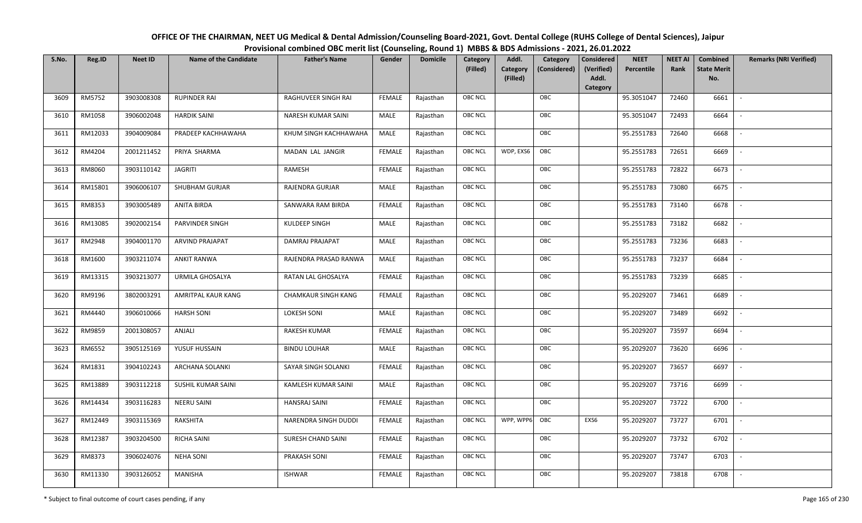| OFFICE OF THE CHAIRMAN, NEET UG Medical & Dental Admission/Counseling Board-2021, Govt. Dental College (RUHS College of Dental Sciences), Jaipur |
|--------------------------------------------------------------------------------------------------------------------------------------------------|
| Provisional combined OBC merit list (Counseling, Round 1) MBBS & BDS Admissions - 2021, 26.01.2022                                               |

| S.No. | Reg.ID  | <b>Neet ID</b> | <b>Name of the Candidate</b> | <b>Father's Name</b>       | Gender        | <b>Domicile</b> | Category<br>(Filled) | Addl.<br>Category<br>(Filled) | Category<br>(Considered) | <b>Considered</b><br>(Verified)<br>Addl. | <b>NEET</b><br>Percentile | <b>NEET AI</b><br>Rank | Combined<br><b>State Merit</b><br>No. | <b>Remarks (NRI Verified)</b> |
|-------|---------|----------------|------------------------------|----------------------------|---------------|-----------------|----------------------|-------------------------------|--------------------------|------------------------------------------|---------------------------|------------------------|---------------------------------------|-------------------------------|
| 3609  | RM5752  | 3903008308     | <b>RUPINDER RAI</b>          | RAGHUVEER SINGH RAI        | <b>FEMALE</b> | Rajasthan       | <b>OBC NCL</b>       |                               | OBC                      | Category                                 | 95.3051047                | 72460                  | 6661                                  | $\overline{\phantom{a}}$      |
| 3610  | RM1058  | 3906002048     | <b>HARDIK SAINI</b>          | NARESH KUMAR SAINI         | MALE          | Rajasthan       | OBC NCL              |                               | OBC                      |                                          | 95.3051047                | 72493                  | 6664                                  |                               |
| 3611  | RM12033 | 3904009084     | PRADEEP KACHHAWAHA           | KHUM SINGH KACHHAWAHA      | MALE          | Rajasthan       | <b>OBC NCL</b>       |                               | OBC                      |                                          | 95.2551783                | 72640                  | 6668                                  |                               |
| 3612  | RM4204  | 2001211452     | PRIYA SHARMA                 | MADAN LAL JANGIR           | <b>FEMALE</b> | Rajasthan       | <b>OBC NCL</b>       | WDP, EXS6                     | OBC                      |                                          | 95.2551783                | 72651                  | 6669                                  | $\overline{\phantom{a}}$      |
| 3613  | RM8060  | 3903110142     | <b>JAGRITI</b>               | RAMESH                     | FEMALE        | Rajasthan       | <b>OBC NCL</b>       |                               | OBC                      |                                          | 95.2551783                | 72822                  | 6673                                  | $\sim$                        |
| 3614  | RM15801 | 3906006107     | <b>SHUBHAM GURJAR</b>        | RAJENDRA GURJAR            | MALE          | Rajasthan       | <b>OBC NCL</b>       |                               | OBC                      |                                          | 95.2551783                | 73080                  | 6675                                  | $\overline{\phantom{a}}$      |
| 3615  | RM8353  | 3903005489     | <b>ANITA BIRDA</b>           | SANWARA RAM BIRDA          | <b>FEMALE</b> | Rajasthan       | OBC NCL              |                               | OBC                      |                                          | 95.2551783                | 73140                  | 6678                                  | $\blacksquare$                |
| 3616  | RM13085 | 3902002154     | PARVINDER SINGH              | KULDEEP SINGH              | MALE          | Rajasthan       | OBC NCL              |                               | OBC                      |                                          | 95.2551783                | 73182                  | 6682                                  |                               |
| 3617  | RM2948  | 3904001170     | <b>ARVIND PRAJAPAT</b>       | DAMRAJ PRAJAPAT            | MALE          | Rajasthan       | OBC NCL              |                               | OBC                      |                                          | 95.2551783                | 73236                  | 6683                                  |                               |
| 3618  | RM1600  | 3903211074     | <b>ANKIT RANWA</b>           | RAJENDRA PRASAD RANWA      | MALE          | Rajasthan       | OBC NCL              |                               | OBC                      |                                          | 95.2551783                | 73237                  | 6684                                  | $\overline{\phantom{a}}$      |
| 3619  | RM13315 | 3903213077     | URMILA GHOSALYA              | RATAN LAL GHOSALYA         | <b>FEMALE</b> | Rajasthan       | <b>OBC NCL</b>       |                               | OBC                      |                                          | 95.2551783                | 73239                  | 6685                                  |                               |
| 3620  | RM9196  | 3802003291     | AMRITPAL KAUR KANG           | <b>CHAMKAUR SINGH KANG</b> | <b>FEMALE</b> | Rajasthan       | OBC NCL              |                               | OBC                      |                                          | 95.2029207                | 73461                  | 6689                                  |                               |
| 3621  | RM4440  | 3906010066     | <b>HARSH SONI</b>            | <b>LOKESH SONI</b>         | MALE          | Rajasthan       | <b>OBC NCL</b>       |                               | OBC                      |                                          | 95.2029207                | 73489                  | 6692                                  |                               |
| 3622  | RM9859  | 2001308057     | ANJALI                       | RAKESH KUMAR               | <b>FEMALE</b> | Rajasthan       | <b>OBC NCL</b>       |                               | OBC                      |                                          | 95.2029207                | 73597                  | 6694                                  | $\overline{a}$                |
| 3623  | RM6552  | 3905125169     | YUSUF HUSSAIN                | <b>BINDU LOUHAR</b>        | <b>MALE</b>   | Rajasthan       | OBC NCL              |                               | OBC                      |                                          | 95.2029207                | 73620                  | 6696                                  | $\overline{\phantom{a}}$      |
| 3624  | RM1831  | 3904102243     | <b>ARCHANA SOLANKI</b>       | SAYAR SINGH SOLANKI        | <b>FEMALE</b> | Rajasthan       | <b>OBC NCL</b>       |                               | OBC                      |                                          | 95.2029207                | 73657                  | 6697                                  | $\sim$                        |
| 3625  | RM13889 | 3903112218     | SUSHIL KUMAR SAINI           | KAMLESH KUMAR SAINI        | MALE          | Rajasthan       | <b>OBC NCL</b>       |                               | OBC                      |                                          | 95.2029207                | 73716                  | 6699                                  | $\blacksquare$                |
| 3626  | RM14434 | 3903116283     | <b>NEERU SAINI</b>           | <b>HANSRAJ SAINI</b>       | <b>FEMALE</b> | Rajasthan       | OBC NCL              |                               | OBC                      |                                          | 95.2029207                | 73722                  | 6700                                  |                               |
| 3627  | RM12449 | 3903115369     | RAKSHITA                     | NARENDRA SINGH DUDDI       | <b>FEMALE</b> | Rajasthan       | <b>OBC NCL</b>       | WPP, WPP6                     | OBC                      | EXS6                                     | 95.2029207                | 73727                  | 6701                                  |                               |
| 3628  | RM12387 | 3903204500     | <b>RICHA SAINI</b>           | SURESH CHAND SAINI         | <b>FEMALE</b> | Rajasthan       | <b>OBC NCL</b>       |                               | OBC                      |                                          | 95.2029207                | 73732                  | 6702                                  | $\blacksquare$                |
| 3629  | RM8373  | 3906024076     | <b>NEHA SONI</b>             | PRAKASH SONI               | <b>FEMALE</b> | Rajasthan       | <b>OBC NCL</b>       |                               | OBC                      |                                          | 95.2029207                | 73747                  | 6703                                  |                               |
| 3630  | RM11330 | 3903126052     | MANISHA                      | <b>ISHWAR</b>              | <b>FEMALE</b> | Rajasthan       | <b>OBC NCL</b>       |                               | OBC                      |                                          | 95.2029207                | 73818                  | 6708                                  |                               |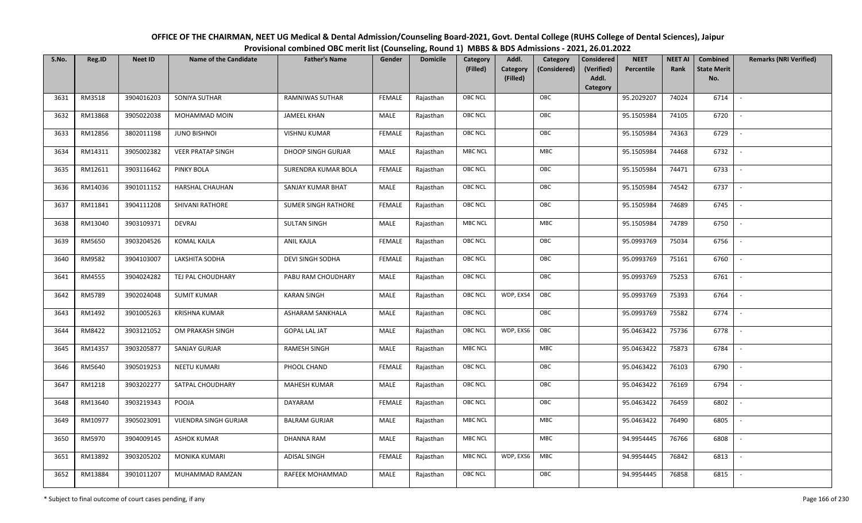| OFFICE OF THE CHAIRMAN, NEET UG Medical & Dental Admission/Counseling Board-2021, Govt. Dental College (RUHS College of Dental Sciences), Jaipur |
|--------------------------------------------------------------------------------------------------------------------------------------------------|
| Provisional combined OBC merit list (Counseling, Round 1) MBBS & BDS Admissions - 2021, 26.01.2022                                               |

| S.No. | Reg.ID  | <b>Neet ID</b> | <b>Name of the Candidate</b> | <b>Father's Name</b>       | Gender        | <b>Domicile</b> | Category<br>(Filled) | Addl.<br>Category<br>(Filled) | Category<br>(Considered) | <b>Considered</b><br>(Verified)<br>Addl. | <b>NEET</b><br>Percentile | <b>NEET AI</b><br>Rank | Combined<br><b>State Merit</b><br>No. | <b>Remarks (NRI Verified)</b> |
|-------|---------|----------------|------------------------------|----------------------------|---------------|-----------------|----------------------|-------------------------------|--------------------------|------------------------------------------|---------------------------|------------------------|---------------------------------------|-------------------------------|
|       |         |                |                              |                            |               |                 |                      |                               |                          | Category                                 |                           |                        |                                       |                               |
| 3631  | RM3518  | 3904016203     | SONIYA SUTHAR                | <b>RAMNIWAS SUTHAR</b>     | <b>FEMALE</b> | Rajasthan       | OBC NCL              |                               | OBC                      |                                          | 95.2029207                | 74024                  | 6714                                  | $\overline{\phantom{a}}$      |
| 3632  | RM13868 | 3905022038     | MOHAMMAD MOIN                | <b>JAMEEL KHAN</b>         | MALE          | Rajasthan       | OBC NCL              |                               | OBC                      |                                          | 95.1505984                | 74105                  | 6720                                  |                               |
| 3633  | RM12856 | 3802011198     | <b>JUNO BISHNOI</b>          | <b>VISHNU KUMAR</b>        | <b>FEMALE</b> | Rajasthan       | <b>OBC NCL</b>       |                               | OBC                      |                                          | 95.1505984                | 74363                  | 6729                                  |                               |
| 3634  | RM14311 | 3905002382     | <b>VEER PRATAP SINGH</b>     | DHOOP SINGH GURJAR         | MALE          | Rajasthan       | <b>MBC NCL</b>       |                               | MBC                      |                                          | 95.1505984                | 74468                  | 6732                                  | $\overline{\phantom{a}}$      |
| 3635  | RM12611 | 3903116462     | PINKY BOLA                   | SURENDRA KUMAR BOLA        | <b>FEMALE</b> | Rajasthan       | OBC NCL              |                               | OBC                      |                                          | 95.1505984                | 74471                  | 6733                                  | $\sim$                        |
| 3636  | RM14036 | 3901011152     | HARSHAL CHAUHAN              | SANJAY KUMAR BHAT          | MALE          | Rajasthan       | OBC NCL              |                               | OBC                      |                                          | 95.1505984                | 74542                  | 6737                                  | $\sim$                        |
| 3637  | RM11841 | 3904111208     | SHIVANI RATHORE              | <b>SUMER SINGH RATHORE</b> | <b>FEMALE</b> | Rajasthan       | OBC NCL              |                               | OBC                      |                                          | 95.1505984                | 74689                  | 6745                                  | $\overline{\phantom{a}}$      |
| 3638  | RM13040 | 3903109371     | DEVRAJ                       | <b>SULTAN SINGH</b>        | MALE          | Rajasthan       | MBC NCL              |                               | ${\sf MBC}$              |                                          | 95.1505984                | 74789                  | 6750                                  |                               |
| 3639  | RM5650  | 3903204526     | <b>KOMAL KAJLA</b>           | ANIL KAJLA                 | <b>FEMALE</b> | Rajasthan       | OBC NCL              |                               | OBC                      |                                          | 95.0993769                | 75034                  | 6756                                  |                               |
| 3640  | RM9582  | 3904103007     | LAKSHITA SODHA               | DEVI SINGH SODHA           | <b>FEMALE</b> | Rajasthan       | OBC NCL              |                               | OBC                      |                                          | 95.0993769                | 75161                  | 6760                                  | $\overline{\phantom{a}}$      |
| 3641  | RM4555  | 3904024282     | TEJ PAL CHOUDHARY            | PABU RAM CHOUDHARY         | MALE          | Rajasthan       | <b>OBC NCL</b>       |                               | OBC                      |                                          | 95.0993769                | 75253                  | 6761                                  |                               |
| 3642  | RM5789  | 3902024048     | <b>SUMIT KUMAR</b>           | <b>KARAN SINGH</b>         | MALE          | Rajasthan       | OBC NCL              | WDP, EXS4                     | OBC                      |                                          | 95.0993769                | 75393                  | 6764                                  | $\sim$                        |
| 3643  | RM1492  | 3901005263     | <b>KRISHNA KUMAR</b>         | <b>ASHARAM SANKHALA</b>    | MALE          | Rajasthan       | OBC NCL              |                               | OBC                      |                                          | 95.0993769                | 75582                  | 6774                                  |                               |
| 3644  | RM8422  | 3903121052     | OM PRAKASH SINGH             | <b>GOPAL LAL JAT</b>       | MALE          | Rajasthan       | OBC NCL              | WDP, EXS6                     | OBC                      |                                          | 95.0463422                | 75736                  | 6778                                  | $\sim$                        |
| 3645  | RM14357 | 3903205877     | <b>SANJAY GURJAR</b>         | RAMESH SINGH               | <b>MALE</b>   | Rajasthan       | MBC NCL              |                               | <b>MBC</b>               |                                          | 95.0463422                | 75873                  | 6784                                  | $\sim$                        |
| 3646  | RM5640  | 3905019253     | <b>NEETU KUMARI</b>          | PHOOL CHAND                | <b>FEMALE</b> | Rajasthan       | OBC NCL              |                               | OBC                      |                                          | 95.0463422                | 76103                  | 6790                                  | $\sim$                        |
| 3647  | RM1218  | 3903202277     | SATPAL CHOUDHARY             | MAHESH KUMAR               | MALE          | Rajasthan       | OBC NCL              |                               | OBC                      |                                          | 95.0463422                | 76169                  | 6794                                  | $\overline{\phantom{a}}$      |
| 3648  | RM13640 | 3903219343     | POOJA                        | DAYARAM                    | <b>FEMALE</b> | Rajasthan       | OBC NCL              |                               | OBC                      |                                          | 95.0463422                | 76459                  | 6802                                  |                               |
| 3649  | RM10977 | 3905023091     | <b>VIJENDRA SINGH GURJAR</b> | <b>BALRAM GURJAR</b>       | MALE          | Rajasthan       | MBC NCL              |                               | <b>MBC</b>               |                                          | 95.0463422                | 76490                  | 6805                                  |                               |
| 3650  | RM5970  | 3904009145     | <b>ASHOK KUMAR</b>           | DHANNA RAM                 | MALE          | Rajasthan       | <b>MBC NCL</b>       |                               | <b>MBC</b>               |                                          | 94.9954445                | 76766                  | 6808                                  | $\overline{\phantom{a}}$      |
| 3651  | RM13892 | 3903205202     | MONIKA KUMARI                | <b>ADISAL SINGH</b>        | <b>FEMALE</b> | Rajasthan       | <b>MBC NCL</b>       | WDP, EXS6                     | <b>MBC</b>               |                                          | 94.9954445                | 76842                  | 6813                                  |                               |
| 3652  | RM13884 | 3901011207     | MUHAMMAD RAMZAN              | RAFEEK MOHAMMAD            | MALE          | Rajasthan       | OBC NCL              |                               | OBC                      |                                          | 94.9954445                | 76858                  | 6815                                  |                               |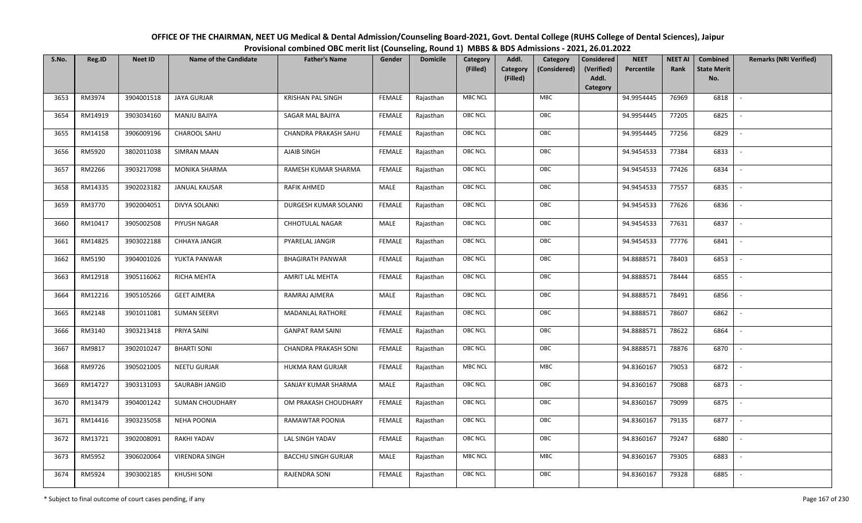| OFFICE OF THE CHAIRMAN, NEET UG Medical & Dental Admission/Counseling Board-2021, Govt. Dental College (RUHS College of Dental Sciences), Jaipur |
|--------------------------------------------------------------------------------------------------------------------------------------------------|
| Provisional combined OBC merit list (Counseling, Round 1) MBBS & BDS Admissions - 2021, 26.01.2022                                               |

| S.No. | Reg.ID  | <b>Neet ID</b> | <b>Name of the Candidate</b> | <b>Father's Name</b>        | Gender        | <b>Domicile</b> | Category       | Addl.<br>Category                    | <b>Considered</b>   | <b>NEET</b> | <b>NEET AI</b> | Combined                  | <b>Remarks (NRI Verified)</b> |
|-------|---------|----------------|------------------------------|-----------------------------|---------------|-----------------|----------------|--------------------------------------|---------------------|-------------|----------------|---------------------------|-------------------------------|
|       |         |                |                              |                             |               |                 | (Filled)       | Category<br>(Considered)<br>(Filled) | (Verified)<br>Addl. | Percentile  | Rank           | <b>State Merit</b><br>No. |                               |
|       |         |                |                              |                             |               |                 |                |                                      | Category            |             |                |                           |                               |
| 3653  | RM3974  | 3904001518     | <b>JAYA GURJAR</b>           | <b>KRISHAN PAL SINGH</b>    | <b>FEMALE</b> | Rajasthan       | <b>MBC NCL</b> | MBC                                  |                     | 94.9954445  | 76969          | 6818                      | $\overline{\phantom{a}}$      |
| 3654  | RM14919 | 3903034160     | <b>MANJU BAJIYA</b>          | SAGAR MAL BAJIYA            | <b>FEMALE</b> | Rajasthan       | OBC NCL        | OBC                                  |                     | 94.9954445  | 77205          | 6825                      |                               |
| 3655  | RM14158 | 3906009196     | CHAROOL SAHU                 | CHANDRA PRAKASH SAHU        | <b>FEMALE</b> | Rajasthan       | OBC NCL        | OBC                                  |                     | 94.9954445  | 77256          | 6829                      | $\overline{\phantom{a}}$      |
| 3656  | RM5920  | 3802011038     | <b>SIMRAN MAAN</b>           | AJAIB SINGH                 | <b>FEMALE</b> | Rajasthan       | OBC NCL        | OBC                                  |                     | 94.9454533  | 77384          | 6833                      | $\overline{\phantom{a}}$      |
| 3657  | RM2266  | 3903217098     | MONIKA SHARMA                | RAMESH KUMAR SHARMA         | <b>FEMALE</b> | Rajasthan       | OBC NCL        | OBC                                  |                     | 94.9454533  | 77426          | 6834                      | $\sim$                        |
| 3658  | RM14335 | 3902023182     | <b>JANUAL KAUSAR</b>         | RAFIK AHMED                 | MALE          | Rajasthan       | <b>OBC NCL</b> | OBC                                  |                     | 94.9454533  | 77557          | 6835                      | $\overline{\phantom{a}}$      |
| 3659  | RM3770  | 3902004051     | <b>DIVYA SOLANKI</b>         | DURGESH KUMAR SOLANKI       | <b>FEMALE</b> | Rajasthan       | OBC NCL        | OBC                                  |                     | 94.9454533  | 77626          | 6836                      |                               |
| 3660  | RM10417 | 3905002508     | PIYUSH NAGAR                 | <b>CHHOTULAL NAGAR</b>      | MALE          | Rajasthan       | OBC NCL        | OBC                                  |                     | 94.9454533  | 77631          | 6837                      |                               |
| 3661  | RM14825 | 3903022188     | CHHAYA JANGIR                | PYARELAL JANGIR             | <b>FEMALE</b> | Rajasthan       | OBC NCL        | OBC                                  |                     | 94.9454533  | 77776          | 6841                      |                               |
| 3662  | RM5190  | 3904001026     | YUKTA PANWAR                 | <b>BHAGIRATH PANWAR</b>     | <b>FEMALE</b> | Rajasthan       | OBC NCL        | OBC                                  |                     | 94.8888571  | 78403          | 6853                      | $\overline{\phantom{a}}$      |
| 3663  | RM12918 | 3905116062     | RICHA MEHTA                  | AMRIT LAL MEHTA             | <b>FEMALE</b> | Rajasthan       | OBC NCL        | OBC                                  |                     | 94.8888571  | 78444          | 6855                      |                               |
| 3664  | RM12216 | 3905105266     | <b>GEET AJMERA</b>           | RAMRAJ AJMERA               | MALE          | Rajasthan       | <b>OBC NCL</b> | OBC                                  |                     | 94.8888571  | 78491          | 6856                      | $\sim$                        |
| 3665  | RM2148  | 3901011081     | <b>SUMAN SEERVI</b>          | <b>MADANLAL RATHORE</b>     | <b>FEMALE</b> | Rajasthan       | OBC NCL        | OBC                                  |                     | 94.8888571  | 78607          | 6862                      |                               |
| 3666  | RM3140  | 3903213418     | PRIYA SAINI                  | <b>GANPAT RAM SAINI</b>     | <b>FEMALE</b> | Rajasthan       | OBC NCL        | OBC                                  |                     | 94.8888571  | 78622          | 6864                      | $\sim$                        |
| 3667  | RM9817  | 3902010247     | <b>BHARTI SONI</b>           | <b>CHANDRA PRAKASH SONI</b> | <b>FEMALE</b> | Rajasthan       | <b>OBC NCL</b> | OBC                                  |                     | 94.8888571  | 78876          | 6870                      | $\overline{\phantom{a}}$      |
| 3668  | RM9726  | 3905021005     | NEETU GURJAR                 | HUKMA RAM GURJAR            | <b>FEMALE</b> | Rajasthan       | <b>MBC NCL</b> | <b>MBC</b>                           |                     | 94.8360167  | 79053          | 6872                      | $\sim$                        |
| 3669  | RM14727 | 3903131093     | SAURABH JANGID               | SANJAY KUMAR SHARMA         | MALE          | Rajasthan       | OBC NCL        | OBC                                  |                     | 94.8360167  | 79088          | 6873                      | $\overline{\phantom{a}}$      |
| 3670  | RM13479 | 3904001242     | SUMAN CHOUDHARY              | OM PRAKASH CHOUDHARY        | <b>FEMALE</b> | Rajasthan       | OBC NCL        | OBC                                  |                     | 94.8360167  | 79099          | 6875                      |                               |
| 3671  | RM14416 | 3903235058     | <b>NEHA POONIA</b>           | RAMAWTAR POONIA             | <b>FEMALE</b> | Rajasthan       | OBC NCL        | OBC                                  |                     | 94.8360167  | 79135          | 6877                      | $\overline{\phantom{a}}$      |
| 3672  | RM13721 | 3902008091     | RAKHI YADAV                  | LAL SINGH YADAV             | <b>FEMALE</b> | Rajasthan       | <b>OBC NCL</b> | OBC                                  |                     | 94.8360167  | 79247          | 6880                      |                               |
| 3673  | RM5952  | 3906020064     | <b>VIRENDRA SINGH</b>        | <b>BACCHU SINGH GURJAR</b>  | MALE          | Rajasthan       | <b>MBC NCL</b> | <b>MBC</b>                           |                     | 94.8360167  | 79305          | 6883                      |                               |
| 3674  | RM5924  | 3903002185     | <b>KHUSHI SONI</b>           | RAJENDRA SONI               | FEMALE        | Rajasthan       | OBC NCL        | OBC                                  |                     | 94.8360167  | 79328          | 6885                      |                               |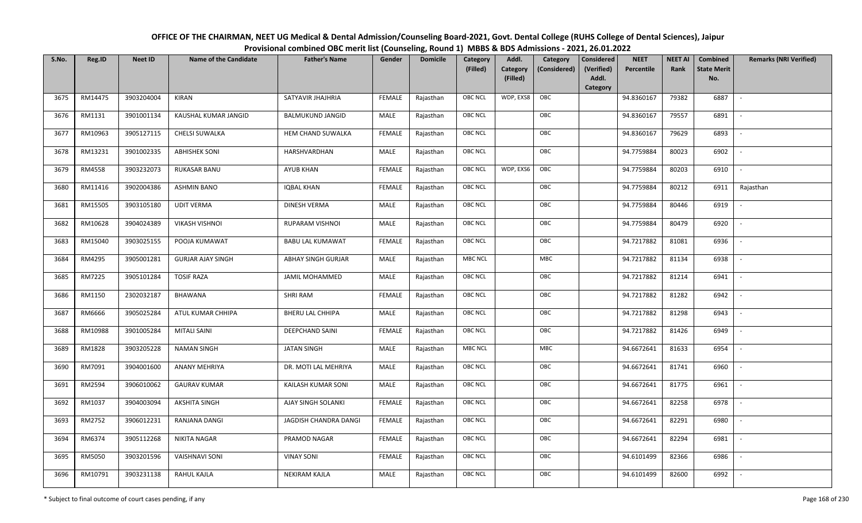| OFFICE OF THE CHAIRMAN, NEET UG Medical & Dental Admission/Counseling Board-2021, Govt. Dental College (RUHS College of Dental Sciences), Jaipur |
|--------------------------------------------------------------------------------------------------------------------------------------------------|
| Provisional combined OBC merit list (Counseling, Round 1) MBBS & BDS Admissions - 2021, 26.01.2022                                               |

| S.No. | Reg.ID  | <b>Neet ID</b> | <b>Name of the Candidate</b> | <b>Father's Name</b>      | Gender        | <b>Domicile</b> | Category<br>(Filled) | Addl.<br>Category<br>(Filled) | Category<br>(Considered) | <b>Considered</b><br>(Verified)<br>Addl. | <b>NEET</b><br>Percentile | <b>NEET AI</b><br>Rank | Combined<br><b>State Merit</b><br>No. | <b>Remarks (NRI Verified)</b> |
|-------|---------|----------------|------------------------------|---------------------------|---------------|-----------------|----------------------|-------------------------------|--------------------------|------------------------------------------|---------------------------|------------------------|---------------------------------------|-------------------------------|
|       |         |                |                              |                           |               |                 |                      |                               |                          | Category                                 |                           |                        |                                       |                               |
| 3675  | RM14475 | 3903204004     | <b>KIRAN</b>                 | SATYAVIR JHAJHRIA         | <b>FEMALE</b> | Rajasthan       | OBC NCL              | WDP, EXS8                     | OBC                      |                                          | 94.8360167                | 79382                  | 6887                                  | $\mathbb{L}$                  |
| 3676  | RM1131  | 3901001134     | KAUSHAL KUMAR JANGID         | <b>BALMUKUND JANGID</b>   | MALE          | Rajasthan       | OBC NCL              |                               | OBC                      |                                          | 94.8360167                | 79557                  | 6891                                  |                               |
| 3677  | RM10963 | 3905127115     | CHELSI SUWALKA               | HEM CHAND SUWALKA         | <b>FEMALE</b> | Rajasthan       | <b>OBC NCL</b>       |                               | OBC                      |                                          | 94.8360167                | 79629                  | 6893                                  |                               |
| 3678  | RM13231 | 3901002335     | <b>ABHISHEK SONI</b>         | HARSHVARDHAN              | MALE          | Rajasthan       | OBC NCL              |                               | OBC                      |                                          | 94.7759884                | 80023                  | 6902                                  | $\overline{\phantom{a}}$      |
| 3679  | RM4558  | 3903232073     | RUKASAR BANU                 | <b>AYUB KHAN</b>          | <b>FEMALE</b> | Rajasthan       | OBC NCL              | WDP, EXS6                     | OBC                      |                                          | 94.7759884                | 80203                  | 6910                                  | $\sim$                        |
| 3680  | RM11416 | 3902004386     | <b>ASHMIN BANO</b>           | <b>IQBAL KHAN</b>         | <b>FEMALE</b> | Rajasthan       | OBC NCL              |                               | OBC                      |                                          | 94.7759884                | 80212                  | 6911                                  | Rajasthan                     |
| 3681  | RM15505 | 3903105180     | <b>UDIT VERMA</b>            | DINESH VERMA              | MALE          | Rajasthan       | OBC NCL              |                               | OBC                      |                                          | 94.7759884                | 80446                  | 6919                                  | $\mathcal{L}$                 |
| 3682  | RM10628 | 3904024389     | <b>VIKASH VISHNOI</b>        | RUPARAM VISHNOI           | MALE          | Rajasthan       | OBC NCL              |                               | OBC                      |                                          | 94.7759884                | 80479                  | 6920                                  |                               |
| 3683  | RM15040 | 3903025155     | POOJA KUMAWAT                | <b>BABU LAL KUMAWAT</b>   | <b>FEMALE</b> | Rajasthan       | OBC NCL              |                               | OBC                      |                                          | 94.7217882                | 81081                  | 6936                                  |                               |
| 3684  | RM4295  | 3905001281     | <b>GURJAR AJAY SINGH</b>     | <b>ABHAY SINGH GURJAR</b> | MALE          | Rajasthan       | <b>MBC NCL</b>       |                               | MBC                      |                                          | 94.7217882                | 81134                  | 6938                                  |                               |
| 3685  | RM7225  | 3905101284     | <b>TOSIF RAZA</b>            | <b>JAMIL MOHAMMED</b>     | MALE          | Rajasthan       | OBC NCL              |                               | OBC                      |                                          | 94.7217882                | 81214                  | 6941                                  |                               |
| 3686  | RM1150  | 2302032187     | BHAWANA                      | SHRI RAM                  | <b>FEMALE</b> | Rajasthan       | <b>OBC NCL</b>       |                               | OBC                      |                                          | 94.7217882                | 81282                  | 6942                                  | $\mathcal{L}$                 |
| 3687  | RM6666  | 3905025284     | ATUL KUMAR CHHIPA            | <b>BHERU LAL CHHIPA</b>   | MALE          | Rajasthan       | OBC NCL              |                               | OBC                      |                                          | 94.7217882                | 81298                  | 6943                                  |                               |
| 3688  | RM10988 | 3901005284     | <b>MITALI SAINI</b>          | <b>DEEPCHAND SAINI</b>    | <b>FEMALE</b> | Rajasthan       | <b>OBC NCL</b>       |                               | OBC                      |                                          | 94.7217882                | 81426                  | 6949                                  |                               |
| 3689  | RM1828  | 3903205228     | <b>NAMAN SINGH</b>           | <b>JATAN SINGH</b>        | MALE          | Rajasthan       | <b>MBC NCL</b>       |                               | MBC                      |                                          | 94.6672641                | 81633                  | 6954                                  | $\overline{\phantom{a}}$      |
| 3690  | RM7091  | 3904001600     | ANANY MEHRIYA                | DR. MOTI LAL MEHRIYA      | MALE          | Rajasthan       | OBC NCL              |                               | OBC                      |                                          | 94.6672641                | 81741                  | 6960                                  | $\overline{a}$                |
| 3691  | RM2594  | 3906010062     | <b>GAURAV KUMAR</b>          | KAILASH KUMAR SONI        | MALE          | Rajasthan       | OBC NCL              |                               | OBC                      |                                          | 94.6672641                | 81775                  | 6961                                  | $\overline{\phantom{a}}$      |
| 3692  | RM1037  | 3904003094     | <b>AKSHITA SINGH</b>         | AJAY SINGH SOLANKI        | <b>FEMALE</b> | Rajasthan       | OBC NCL              |                               | OBC                      |                                          | 94.6672641                | 82258                  | 6978                                  | $\overline{\phantom{a}}$      |
| 3693  | RM2752  | 3906012231     | RANJANA DANGI                | JAGDISH CHANDRA DANGI     | <b>FEMALE</b> | Rajasthan       | OBC NCL              |                               | OBC                      |                                          | 94.6672641                | 82291                  | 6980                                  |                               |
| 3694  | RM6374  | 3905112268     | <b>NIKITA NAGAR</b>          | PRAMOD NAGAR              | <b>FEMALE</b> | Rajasthan       | OBC NCL              |                               | OBC                      |                                          | 94.6672641                | 82294                  | 6981                                  |                               |
| 3695  | RM5050  | 3903201596     | <b>VAISHNAVI SONI</b>        | <b>VINAY SONI</b>         | <b>FEMALE</b> | Rajasthan       | OBC NCL              |                               | OBC                      |                                          | 94.6101499                | 82366                  | 6986                                  | $\sim$                        |
| 3696  | RM10791 | 3903231138     | <b>RAHUL KAJLA</b>           | <b>NEKIRAM KAJLA</b>      | MALE          | Rajasthan       | <b>OBC NCL</b>       |                               | OBC                      |                                          | 94.6101499                | 82600                  | 6992                                  |                               |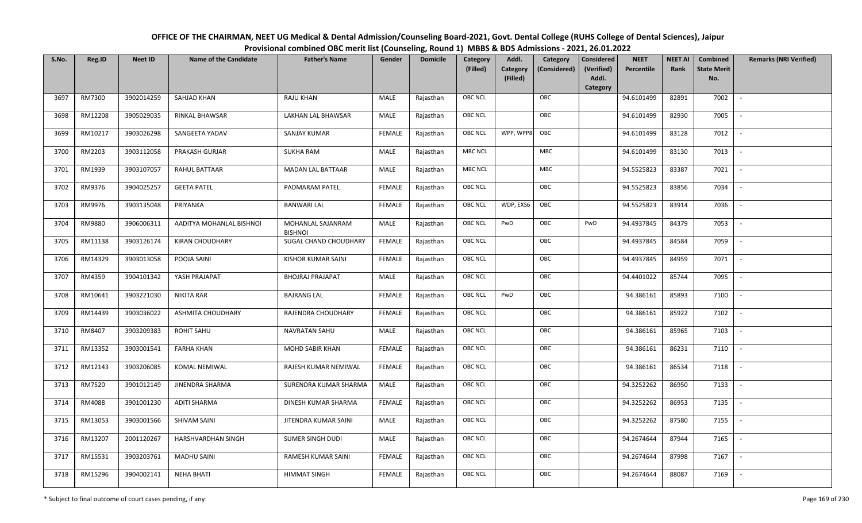| OFFICE OF THE CHAIRMAN, NEET UG Medical & Dental Admission/Counseling Board-2021, Govt. Dental College (RUHS College of Dental Sciences), Jaipur |
|--------------------------------------------------------------------------------------------------------------------------------------------------|
| Provisional combined OBC merit list (Counseling, Round 1) MBBS & BDS Admissions - 2021, 26.01.2022                                               |

| S.No. | Reg.ID  | <b>Neet ID</b> | <b>Name of the Candidate</b> | <b>Father's Name</b>                | Gender        | <b>Domicile</b> | Category<br>(Filled) | Addl.<br><b>Category</b><br>(Filled) | Category<br>(Considered) | <b>Considered</b><br>(Verified)<br>Addl. | <b>NEET</b><br>Percentile | <b>NEET AI</b><br>Rank | Combined<br><b>State Merit</b><br>No. | <b>Remarks (NRI Verified)</b> |
|-------|---------|----------------|------------------------------|-------------------------------------|---------------|-----------------|----------------------|--------------------------------------|--------------------------|------------------------------------------|---------------------------|------------------------|---------------------------------------|-------------------------------|
|       |         |                |                              |                                     |               |                 |                      |                                      |                          | Category                                 |                           |                        |                                       |                               |
| 3697  | RM7300  | 3902014259     | <b>SAHJAD KHAN</b>           | <b>RAJU KHAN</b>                    | MALE          | Rajasthan       | <b>OBC NCL</b>       |                                      | OBC                      |                                          | 94.6101499                | 82891                  | 7002                                  | $\sim$                        |
| 3698  | RM12208 | 3905029035     | RINKAL BHAWSAR               | LAKHAN LAL BHAWSAR                  | MALE          | Rajasthan       | OBC NCL              |                                      | OBC                      |                                          | 94.6101499                | 82930                  | 7005                                  |                               |
| 3699  | RM10217 | 3903026298     | SANGEETA YADAV               | SANJAY KUMAR                        | <b>FEMALE</b> | Rajasthan       | <b>OBC NCL</b>       | WPP, WPP8                            | OBC                      |                                          | 94.6101499                | 83128                  | 7012                                  | $\sim$                        |
| 3700  | RM2203  | 3903112058     | PRAKASH GURJAR               | <b>SUKHA RAM</b>                    | MALE          | Rajasthan       | <b>MBC NCL</b>       |                                      | ${\sf MBC}$              |                                          | 94.6101499                | 83130                  | 7013                                  | $\overline{\phantom{a}}$      |
| 3701  | RM1939  | 3903107057     | RAHUL BATTAAR                | <b>MADAN LAL BATTAAR</b>            | MALE          | Rajasthan       | <b>MBC NCL</b>       |                                      | <b>MBC</b>               |                                          | 94.5525823                | 83387                  | 7021                                  | $\sim$                        |
| 3702  | RM9376  | 3904025257     | <b>GEETA PATEL</b>           | PADMARAM PATEL                      | <b>FEMALE</b> | Rajasthan       | <b>OBC NCL</b>       |                                      | OBC                      |                                          | 94.5525823                | 83856                  | 7034                                  | $\overline{\phantom{a}}$      |
| 3703  | RM9976  | 3903135048     | PRIYANKA                     | <b>BANWARI LAL</b>                  | <b>FEMALE</b> | Rajasthan       | <b>OBC NCL</b>       | WDP, EXS6                            | OBC                      |                                          | 94.5525823                | 83914                  | 7036                                  | $\blacksquare$                |
| 3704  | RM9880  | 3906006311     | AADITYA MOHANLAL BISHNOI     | MOHANLAL SAJANRAM<br><b>BISHNOI</b> | MALE          | Rajasthan       | <b>OBC NCL</b>       | PwD                                  | OBC                      | PwD                                      | 94.4937845                | 84379                  | 7053                                  |                               |
| 3705  | RM11138 | 3903126174     | <b>KIRAN CHOUDHARY</b>       | SUGAL CHAND CHOUDHARY               | <b>FEMALE</b> | Rajasthan       | <b>OBC NCL</b>       |                                      | OBC                      |                                          | 94.4937845                | 84584                  | 7059                                  |                               |
| 3706  | RM14329 | 3903013058     | POOJA SAINI                  | <b>KISHOR KUMAR SAINI</b>           | <b>FEMALE</b> | Rajasthan       | OBC NCL              |                                      | OBC                      |                                          | 94.4937845                | 84959                  | 7071                                  | $\overline{\phantom{a}}$      |
| 3707  | RM4359  | 3904101342     | YASH PRAJAPAT                | <b>BHOJRAJ PRAJAPAT</b>             | MALE          | Rajasthan       | <b>OBC NCL</b>       |                                      | OBC                      |                                          | 94.4401022                | 85744                  | 7095                                  |                               |
| 3708  | RM10641 | 3903221030     | NIKITA RAR                   | <b>BAJRANG LAL</b>                  | <b>FEMALE</b> | Rajasthan       | OBC NCL              | PwD                                  | OBC                      |                                          | 94.386161                 | 85893                  | 7100                                  | $\sim$                        |
| 3709  | RM14439 | 3903036022     | <b>ASHMITA CHOUDHARY</b>     | RAJENDRA CHOUDHARY                  | <b>FEMALE</b> | Rajasthan       | <b>OBC NCL</b>       |                                      | OBC                      |                                          | 94.386161                 | 85922                  | 7102                                  |                               |
| 3710  | RM8407  | 3903209383     | <b>ROHIT SAHU</b>            | <b>NAVRATAN SAHU</b>                | MALE          | Rajasthan       | OBC NCL              |                                      | OBC                      |                                          | 94.386161                 | 85965                  | 7103                                  | $\overline{\phantom{a}}$      |
| 3711  | RM13352 | 3903001541     | <b>FARHA KHAN</b>            | <b>MOHD SABIR KHAN</b>              | <b>FEMALE</b> | Rajasthan       | OBC NCL              |                                      | OBC                      |                                          | 94.386161                 | 86231                  | 7110                                  | $\overline{\phantom{a}}$      |
| 3712  | RM12143 | 3903206085     | KOMAL NEMIWAL                | RAJESH KUMAR NEMIWAL                | <b>FEMALE</b> | Rajasthan       | <b>OBC NCL</b>       |                                      | OBC                      |                                          | 94.386161                 | 86534                  | 7118                                  | $\sim$                        |
| 3713  | RM7520  | 3901012149     | <b>JINENDRA SHARMA</b>       | SURENDRA KUMAR SHARMA               | MALE          | Rajasthan       | <b>OBC NCL</b>       |                                      | OBC                      |                                          | 94.3252262                | 86950                  | 7133                                  | $\overline{\phantom{a}}$      |
| 3714  | RM4088  | 3901001230     | <b>ADITI SHARMA</b>          | DINESH KUMAR SHARMA                 | <b>FEMALE</b> | Rajasthan       | OBC NCL              |                                      | OBC                      |                                          | 94.3252262                | 86953                  | 7135                                  |                               |
| 3715  | RM13053 | 3903001566     | SHIVAM SAINI                 | JITENDRA KUMAR SAINI                | MALE          | Rajasthan       | <b>OBC NCL</b>       |                                      | OBC                      |                                          | 94.3252262                | 87580                  | 7155                                  |                               |
| 3716  | RM13207 | 2001120267     | HARSHVARDHAN SINGH           | SUMER SINGH DUDI                    | MALE          | Rajasthan       | OBC NCL              |                                      | OBC                      |                                          | 94.2674644                | 87944                  | 7165                                  | $\blacksquare$                |
| 3717  | RM15531 | 3903203761     | <b>MADHU SAINI</b>           | <b>RAMESH KUMAR SAINI</b>           | <b>FEMALE</b> | Rajasthan       | <b>OBC NCL</b>       |                                      | OBC                      |                                          | 94.2674644                | 87998                  | 7167                                  | $\overline{\phantom{a}}$      |
| 3718  | RM15296 | 3904002141     | <b>NEHA BHATI</b>            | <b>HIMMAT SINGH</b>                 | <b>FEMALE</b> | Rajasthan       | <b>OBC NCL</b>       |                                      | OBC                      |                                          | 94.2674644                | 88087                  | 7169                                  |                               |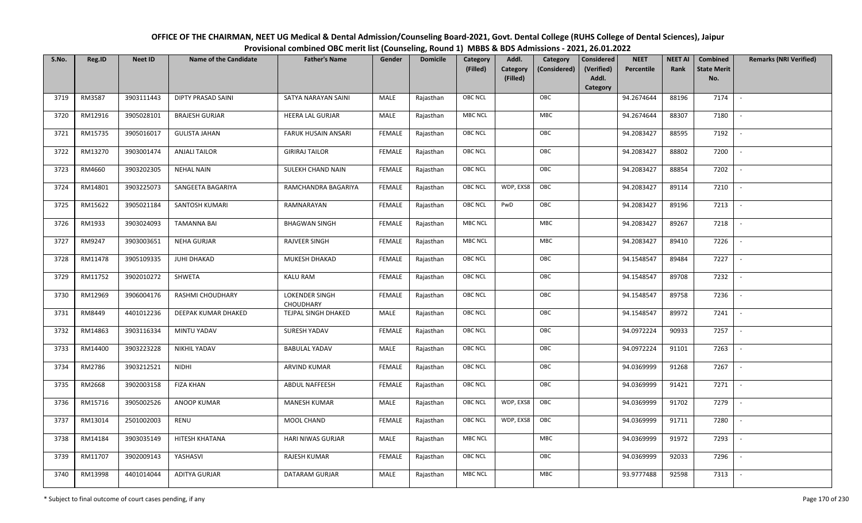| OFFICE OF THE CHAIRMAN, NEET UG Medical & Dental Admission/Counseling Board-2021, Govt. Dental College (RUHS College of Dental Sciences), Jaipur |
|--------------------------------------------------------------------------------------------------------------------------------------------------|
| Provisional combined OBC merit list (Counseling, Round 1) MBBS & BDS Admissions - 2021, 26.01.2022                                               |

| S.No. | Reg.ID  | <b>Neet ID</b> | <b>Name of the Candidate</b> | <b>Father's Name</b>               | Gender        | <b>Domicile</b> | Category<br>(Filled) | Addl.<br><b>Category</b><br>(Filled) | Category<br>(Considered) | Considered<br>(Verified)<br>Addl.<br>Category | <b>NEET</b><br>Percentile | <b>NEET AI</b><br>Rank | Combined<br><b>State Merit</b><br>No. | <b>Remarks (NRI Verified)</b> |
|-------|---------|----------------|------------------------------|------------------------------------|---------------|-----------------|----------------------|--------------------------------------|--------------------------|-----------------------------------------------|---------------------------|------------------------|---------------------------------------|-------------------------------|
| 3719  | RM3587  | 3903111443     | <b>DIPTY PRASAD SAINI</b>    | SATYA NARAYAN SAINI                | MALE          | Rajasthan       | <b>OBC NCL</b>       |                                      | OBC                      |                                               | 94.2674644                | 88196                  | 7174                                  | $\sim$                        |
| 3720  | RM12916 | 3905028101     | <b>BRAJESH GURJAR</b>        | <b>HEERA LAL GURJAR</b>            | MALE          | Rajasthan       | <b>MBC NCL</b>       |                                      | <b>MBC</b>               |                                               | 94.2674644                | 88307                  | 7180                                  |                               |
| 3721  | RM15735 | 3905016017     | <b>GULISTA JAHAN</b>         | FARUK HUSAIN ANSARI                | <b>FEMALE</b> | Rajasthan       | <b>OBC NCL</b>       |                                      | OBC                      |                                               | 94.2083427                | 88595                  | 7192                                  |                               |
| 3722  | RM13270 | 3903001474     | <b>ANJALI TAILOR</b>         | <b>GIRIRAJ TAILOR</b>              | <b>FEMALE</b> | Rajasthan       | OBC NCL              |                                      | OBC                      |                                               | 94.2083427                | 88802                  | 7200                                  | $\overline{\phantom{a}}$      |
| 3723  | RM4660  | 3903202305     | <b>NEHAL NAIN</b>            | SULEKH CHAND NAIN                  | <b>FEMALE</b> | Rajasthan       | <b>OBC NCL</b>       |                                      | OBC                      |                                               | 94.2083427                | 88854                  | 7202                                  | $\sim$                        |
| 3724  | RM14801 | 3903225073     | SANGEETA BAGARIYA            | RAMCHANDRA BAGARIYA                | <b>FEMALE</b> | Rajasthan       | <b>OBC NCL</b>       | WDP, EXS8                            | OBC                      |                                               | 94.2083427                | 89114                  | 7210                                  | $\overline{\phantom{a}}$      |
| 3725  | RM15622 | 3905021184     | SANTOSH KUMARI               | RAMNARAYAN                         | <b>FEMALE</b> | Rajasthan       | <b>OBC NCL</b>       | PwD                                  | OBC                      |                                               | 94.2083427                | 89196                  | 7213                                  | $\overline{\phantom{a}}$      |
| 3726  | RM1933  | 3903024093     | <b>TAMANNA BAI</b>           | <b>BHAGWAN SINGH</b>               | <b>FEMALE</b> | Rajasthan       | MBC NCL              |                                      | MBC                      |                                               | 94.2083427                | 89267                  | 7218                                  |                               |
| 3727  | RM9247  | 3903003651     | <b>NEHA GURJAR</b>           | <b>RAJVEER SINGH</b>               | <b>FEMALE</b> | Rajasthan       | <b>MBC NCL</b>       |                                      | MBC                      |                                               | 94.2083427                | 89410                  | 7226                                  |                               |
| 3728  | RM11478 | 3905109335     | <b>JUHI DHAKAD</b>           | MUKESH DHAKAD                      | <b>FEMALE</b> | Rajasthan       | OBC NCL              |                                      | OBC                      |                                               | 94.1548547                | 89484                  | 7227                                  | $\overline{\phantom{a}}$      |
| 3729  | RM11752 | 3902010272     | SHWETA                       | <b>KALU RAM</b>                    | <b>FEMALE</b> | Rajasthan       | <b>OBC NCL</b>       |                                      | OBC                      |                                               | 94.1548547                | 89708                  | 7232                                  |                               |
| 3730  | RM12969 | 3906004176     | <b>RASHMI CHOUDHARY</b>      | <b>LOKENDER SINGH</b><br>CHOUDHARY | <b>FEMALE</b> | Rajasthan       | <b>OBC NCL</b>       |                                      | OBC                      |                                               | 94.1548547                | 89758                  | 7236                                  |                               |
| 3731  | RM8449  | 4401012236     | DEEPAK KUMAR DHAKED          | TEJPAL SINGH DHAKED                | MALE          | Rajasthan       | <b>OBC NCL</b>       |                                      | OBC                      |                                               | 94.1548547                | 89972                  | 7241                                  |                               |
| 3732  | RM14863 | 3903116334     | MINTU YADAV                  | SURESH YADAV                       | <b>FEMALE</b> | Rajasthan       | OBC NCL              |                                      | OBC                      |                                               | 94.0972224                | 90933                  | 7257                                  | $\sim$                        |
| 3733  | RM14400 | 3903223228     | <b>NIKHIL YADAV</b>          | <b>BABULAL YADAV</b>               | <b>MALE</b>   | Rajasthan       | OBC NCL              |                                      | OBC                      |                                               | 94.0972224                | 91101                  | 7263                                  | $\overline{\phantom{a}}$      |
| 3734  | RM2786  | 3903212521     | <b>NIDHI</b>                 | ARVIND KUMAR                       | <b>FEMALE</b> | Rajasthan       | <b>OBC NCL</b>       |                                      | OBC                      |                                               | 94.0369999                | 91268                  | 7267                                  | $\sim$                        |
| 3735  | RM2668  | 3902003158     | <b>FIZA KHAN</b>             | ABDUL NAFFEESH                     | <b>FEMALE</b> | Rajasthan       | <b>OBC NCL</b>       |                                      | OBC                      |                                               | 94.0369999                | 91421                  | 7271                                  | $\overline{\phantom{a}}$      |
| 3736  | RM15716 | 3905002526     | ANOOP KUMAR                  | <b>MANESH KUMAR</b>                | MALE          | Rajasthan       | <b>OBC NCL</b>       | WDP, EXS8                            | OBC                      |                                               | 94.0369999                | 91702                  | 7279                                  |                               |
| 3737  | RM13014 | 2501002003     | RENU                         | MOOL CHAND                         | <b>FEMALE</b> | Rajasthan       | <b>OBC NCL</b>       | WDP, EXS8                            | OBC                      |                                               | 94.0369999                | 91711                  | 7280                                  |                               |
| 3738  | RM14184 | 3903035149     | HITESH KHATANA               | HARI NIWAS GURJAR                  | MALE          | Rajasthan       | <b>MBC NCL</b>       |                                      | MBC                      |                                               | 94.0369999                | 91972                  | 7293                                  | $\blacksquare$                |
| 3739  | RM11707 | 3902009143     | YASHASVI                     | RAJESH KUMAR                       | <b>FEMALE</b> | Rajasthan       | <b>OBC NCL</b>       |                                      | OBC                      |                                               | 94.0369999                | 92033                  | 7296                                  |                               |
| 3740  | RM13998 | 4401014044     | <b>ADITYA GURJAR</b>         | DATARAM GURJAR                     | MALE          | Rajasthan       | <b>MBC NCL</b>       |                                      | MBC                      |                                               | 93.9777488                | 92598                  | 7313                                  |                               |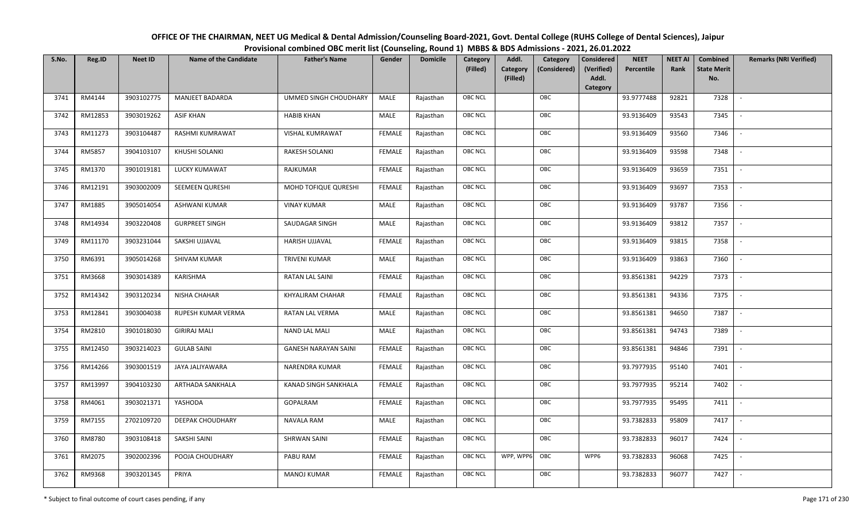| OFFICE OF THE CHAIRMAN, NEET UG Medical & Dental Admission/Counseling Board-2021, Govt. Dental College (RUHS College of Dental Sciences), Jaipur |
|--------------------------------------------------------------------------------------------------------------------------------------------------|
| Provisional combined OBC merit list (Counseling, Round 1) MBBS & BDS Admissions - 2021, 26.01.2022                                               |

| S.No. | Reg.ID  | <b>Neet ID</b> | <b>Name of the Candidate</b> | <b>Father's Name</b>        | Gender        | <b>Domicile</b> | Category<br>(Filled) | Addl.<br><b>Category</b><br>(Filled) | Category<br>(Considered) | Considered<br>(Verified)<br>Addl. | <b>NEET</b><br>Percentile | <b>NEET AI</b><br>Rank | Combined<br><b>State Merit</b><br>No. | <b>Remarks (NRI Verified)</b> |
|-------|---------|----------------|------------------------------|-----------------------------|---------------|-----------------|----------------------|--------------------------------------|--------------------------|-----------------------------------|---------------------------|------------------------|---------------------------------------|-------------------------------|
| 3741  | RM4144  | 3903102775     | <b>MANJEET BADARDA</b>       | UMMED SINGH CHOUDHARY       | MALE          | Rajasthan       | <b>OBC NCL</b>       |                                      | OBC                      | Category                          | 93.9777488                | 92821                  | 7328                                  | $\sim$                        |
| 3742  | RM12853 | 3903019262     | <b>ASIF KHAN</b>             | <b>HABIB KHAN</b>           | MALE          | Rajasthan       | <b>OBC NCL</b>       |                                      | OBC                      |                                   | 93.9136409                | 93543                  | 7345                                  |                               |
| 3743  | RM11273 | 3903104487     | RASHMI KUMRAWAT              | <b>VISHAL KUMRAWAT</b>      | <b>FEMALE</b> | Rajasthan       | <b>OBC NCL</b>       |                                      | OBC                      |                                   | 93.9136409                | 93560                  | 7346                                  |                               |
| 3744  | RM5857  | 3904103107     | KHUSHI SOLANKI               | RAKESH SOLANKI              | <b>FEMALE</b> | Rajasthan       | OBC NCL              |                                      | OBC                      |                                   | 93.9136409                | 93598                  | 7348                                  | $\overline{\phantom{a}}$      |
| 3745  | RM1370  | 3901019181     | LUCKY KUMAWAT                | RAJKUMAR                    | <b>FEMALE</b> | Rajasthan       | <b>OBC NCL</b>       |                                      | OBC                      |                                   | 93.9136409                | 93659                  | 7351                                  | $\sim$                        |
| 3746  | RM12191 | 3903002009     | SEEMEEN QURESHI              | MOHD TOFIQUE QURESHI        | <b>FEMALE</b> | Rajasthan       | <b>OBC NCL</b>       |                                      | OBC                      |                                   | 93.9136409                | 93697                  | 7353                                  | $\overline{\phantom{a}}$      |
| 3747  | RM1885  | 3905014054     | ASHWANI KUMAR                | <b>VINAY KUMAR</b>          | MALE          | Rajasthan       | OBC NCL              |                                      | OBC                      |                                   | 93.9136409                | 93787                  | 7356                                  | $\overline{\phantom{a}}$      |
| 3748  | RM14934 | 3903220408     | <b>GURPREET SINGH</b>        | SAUDAGAR SINGH              | MALE          | Rajasthan       | <b>OBC NCL</b>       |                                      | OBC                      |                                   | 93.9136409                | 93812                  | 7357                                  |                               |
| 3749  | RM11170 | 3903231044     | SAKSHI UJJAVAL               | HARISH UJJAVAL              | <b>FEMALE</b> | Rajasthan       | OBC NCL              |                                      | OBC                      |                                   | 93.9136409                | 93815                  | 7358                                  | $\blacksquare$                |
| 3750  | RM6391  | 3905014268     | SHIVAM KUMAR                 | <b>TRIVENI KUMAR</b>        | <b>MALE</b>   | Rajasthan       | <b>OBC NCL</b>       |                                      | OBC                      |                                   | 93.9136409                | 93863                  | 7360                                  | $\overline{\phantom{a}}$      |
| 3751  | RM3668  | 3903014389     | KARISHMA                     | RATAN LAL SAINI             | <b>FEMALE</b> | Rajasthan       | OBC NCL              |                                      | OBC                      |                                   | 93.8561381                | 94229                  | 7373                                  |                               |
| 3752  | RM14342 | 3903120234     | NISHA CHAHAR                 | <b>KHYALIRAM CHAHAR</b>     | <b>FEMALE</b> | Rajasthan       | <b>OBC NCL</b>       |                                      | OBC                      |                                   | 93.8561381                | 94336                  | 7375                                  |                               |
| 3753  | RM12841 | 3903004038     | RUPESH KUMAR VERMA           | RATAN LAL VERMA             | MALE          | Rajasthan       | OBC NCL              |                                      | OBC                      |                                   | 93.8561381                | 94650                  | 7387                                  |                               |
| 3754  | RM2810  | 3901018030     | <b>GIRIRAJ MALI</b>          | <b>NAND LAL MALI</b>        | MALE          | Rajasthan       | OBC NCL              |                                      | OBC                      |                                   | 93.8561381                | 94743                  | 7389                                  | $\sim$                        |
| 3755  | RM12450 | 3903214023     | <b>GULAB SAINI</b>           | <b>GANESH NARAYAN SAINI</b> | <b>FEMALE</b> | Rajasthan       | OBC NCL              |                                      | OBC                      |                                   | 93.8561381                | 94846                  | 7391                                  | $\overline{\phantom{a}}$      |
| 3756  | RM14266 | 3903001519     | JAYA JALIYAWARA              | NARENDRA KUMAR              | <b>FEMALE</b> | Rajasthan       | <b>OBC NCL</b>       |                                      | OBC                      |                                   | 93.7977935                | 95140                  | 7401                                  | $\overline{\phantom{a}}$      |
| 3757  | RM13997 | 3904103230     | ARTHADA SANKHALA             | KANAD SINGH SANKHALA        | <b>FEMALE</b> | Rajasthan       | OBC NCL              |                                      | OBC                      |                                   | 93.7977935                | 95214                  | 7402                                  | $\overline{\phantom{a}}$      |
| 3758  | RM4061  | 3903021371     | YASHODA                      | GOPALRAM                    | <b>FEMALE</b> | Rajasthan       | <b>OBC NCL</b>       |                                      | OBC                      |                                   | 93.7977935                | 95495                  | 7411                                  |                               |
| 3759  | RM7155  | 2702109720     | DEEPAK CHOUDHARY             | <b>NAVALA RAM</b>           | MALE          | Rajasthan       | OBC NCL              |                                      | OBC                      |                                   | 93.7382833                | 95809                  | 7417                                  | $\overline{\phantom{a}}$      |
| 3760  | RM8780  | 3903108418     | SAKSHI SAINI                 | <b>SHRWAN SAINI</b>         | <b>FEMALE</b> | Rajasthan       | <b>OBC NCL</b>       |                                      | OBC                      |                                   | 93.7382833                | 96017                  | 7424                                  |                               |
| 3761  | RM2075  | 3902002396     | POOJA CHOUDHARY              | PABU RAM                    | <b>FEMALE</b> | Rajasthan       | <b>OBC NCL</b>       | WPP, WPP6 OBC                        |                          | WPP6                              | 93.7382833                | 96068                  | 7425                                  |                               |
| 3762  | RM9368  | 3903201345     | PRIYA                        | <b>MANOJ KUMAR</b>          | <b>FEMALE</b> | Rajasthan       | <b>OBC NCL</b>       |                                      | OBC                      |                                   | 93.7382833                | 96077                  | 7427                                  |                               |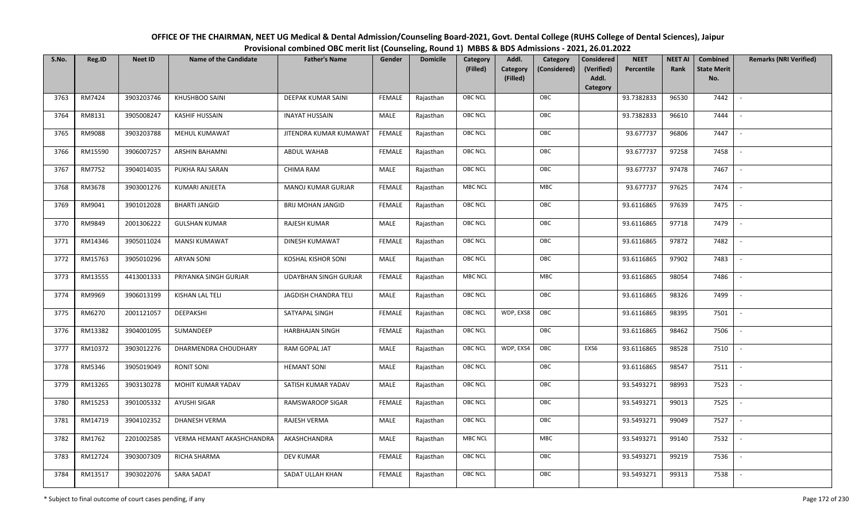| OFFICE OF THE CHAIRMAN, NEET UG Medical & Dental Admission/Counseling Board-2021, Govt. Dental College (RUHS College of Dental Sciences), Jaipur |
|--------------------------------------------------------------------------------------------------------------------------------------------------|
| Provisional combined OBC merit list (Counseling, Round 1) MBBS & BDS Admissions - 2021, 26.01.2022                                               |

| S.No. | Reg.ID  | <b>Neet ID</b> | <b>Name of the Candidate</b> | <b>Father's Name</b>         | Gender        | <b>Domicile</b> | Category<br>(Filled) | Addl.<br>Category<br>(Filled) | Category<br>(Considered) | <b>Considered</b><br>(Verified)<br>Addl. | <b>NEET</b><br>Percentile | <b>NEET AI</b><br>Rank | Combined<br><b>State Merit</b><br>No. | <b>Remarks (NRI Verified)</b> |
|-------|---------|----------------|------------------------------|------------------------------|---------------|-----------------|----------------------|-------------------------------|--------------------------|------------------------------------------|---------------------------|------------------------|---------------------------------------|-------------------------------|
|       |         |                |                              |                              |               |                 |                      |                               |                          | Category                                 |                           |                        |                                       |                               |
| 3763  | RM7424  | 3903203746     | KHUSHBOO SAINI               | DEEPAK KUMAR SAINI           | <b>FEMALE</b> | Rajasthan       | OBC NCL              |                               | OBC                      |                                          | 93.7382833                | 96530                  | 7442                                  | $\overline{\phantom{a}}$      |
| 3764  | RM8131  | 3905008247     | <b>KASHIF HUSSAIN</b>        | <b>INAYAT HUSSAIN</b>        | MALE          | Rajasthan       | OBC NCL              |                               | OBC                      |                                          | 93.7382833                | 96610                  | 7444                                  |                               |
| 3765  | RM9088  | 3903203788     | MEHUL KUMAWAT                | JITENDRA KUMAR KUMAWAT       | <b>FEMALE</b> | Rajasthan       | <b>OBC NCL</b>       |                               | OBC                      |                                          | 93.677737                 | 96806                  | 7447                                  |                               |
| 3766  | RM15590 | 3906007257     | ARSHIN BAHAMNI               | ABDUL WAHAB                  | <b>FEMALE</b> | Rajasthan       | OBC NCL              |                               | OBC                      |                                          | 93.677737                 | 97258                  | 7458                                  | $\overline{\phantom{a}}$      |
| 3767  | RM7752  | 3904014035     | PUKHA RAJ SARAN              | CHIMA RAM                    | MALE          | Rajasthan       | OBC NCL              |                               | OBC                      |                                          | 93.677737                 | 97478                  | 7467                                  | $\sim$                        |
| 3768  | RM3678  | 3903001276     | KUMARI ANJEETA               | MANOJ KUMAR GURJAR           | <b>FEMALE</b> | Rajasthan       | <b>MBC NCL</b>       |                               | MBC                      |                                          | 93.677737                 | 97625                  | 7474                                  | $\sim$                        |
| 3769  | RM9041  | 3901012028     | <b>BHARTI JANGID</b>         | <b>BRIJ MOHAN JANGID</b>     | <b>FEMALE</b> | Rajasthan       | OBC NCL              |                               | OBC                      |                                          | 93.6116865                | 97639                  | 7475                                  | $\overline{\phantom{a}}$      |
| 3770  | RM9849  | 2001306222     | <b>GULSHAN KUMAR</b>         | RAJESH KUMAR                 | MALE          | Rajasthan       | OBC NCL              |                               | OBC                      |                                          | 93.6116865                | 97718                  | 7479                                  |                               |
| 3771  | RM14346 | 3905011024     | MANSI KUMAWAT                | DINESH KUMAWAT               | <b>FEMALE</b> | Rajasthan       | OBC NCL              |                               | OBC                      |                                          | 93.6116865                | 97872                  | 7482                                  |                               |
| 3772  | RM15763 | 3905010296     | <b>ARYAN SONI</b>            | <b>KOSHAL KISHOR SONI</b>    | MALE          | Rajasthan       | OBC NCL              |                               | OBC                      |                                          | 93.6116865                | 97902                  | 7483                                  | $\overline{\phantom{a}}$      |
| 3773  | RM13555 | 4413001333     | PRIYANKA SINGH GURJAR        | <b>UDAYBHAN SINGH GURJAR</b> | <b>FEMALE</b> | Rajasthan       | MBC NCL              |                               | <b>MBC</b>               |                                          | 93.6116865                | 98054                  | 7486                                  |                               |
| 3774  | RM9969  | 3906013199     | KISHAN LAL TELI              | JAGDISH CHANDRA TELI         | MALE          | Rajasthan       | OBC NCL              |                               | OBC                      |                                          | 93.6116865                | 98326                  | 7499                                  | $\mathcal{L}$                 |
| 3775  | RM6270  | 2001121057     | DEEPAKSHI                    | SATYAPAL SINGH               | <b>FEMALE</b> | Rajasthan       | OBC NCL              | WDP, EXS8                     | OBC                      |                                          | 93.6116865                | 98395                  | 7501                                  |                               |
| 3776  | RM13382 | 3904001095     | SUMANDEEP                    | <b>HARBHAJAN SINGH</b>       | <b>FEMALE</b> | Rajasthan       | <b>OBC NCL</b>       |                               | OBC                      |                                          | 93.6116865                | 98462                  | 7506                                  |                               |
| 3777  | RM10372 | 3903012276     | DHARMENDRA CHOUDHARY         | RAM GOPAL JAT                | MALE          | Rajasthan       | OBC NCL              | WDP, EXS4                     | OBC                      | EXS6                                     | 93.6116865                | 98528                  | 7510                                  | $\overline{\phantom{a}}$      |
| 3778  | RM5346  | 3905019049     | RONIT SONI                   | <b>HEMANT SONI</b>           | <b>MALE</b>   | Rajasthan       | OBC NCL              |                               | OBC                      |                                          | 93.6116865                | 98547                  | 7511                                  | $\sim$                        |
| 3779  | RM13265 | 3903130278     | MOHIT KUMAR YADAV            | SATISH KUMAR YADAV           | MALE          | Rajasthan       | OBC NCL              |                               | OBC                      |                                          | 93.5493271                | 98993                  | 7523                                  | $\overline{\phantom{a}}$      |
| 3780  | RM15253 | 3901005332     | AYUSHI SIGAR                 | RAMSWAROOP SIGAR             | <b>FEMALE</b> | Rajasthan       | OBC NCL              |                               | OBC                      |                                          | 93.5493271                | 99013                  | 7525                                  | $\overline{\phantom{a}}$      |
| 3781  | RM14719 | 3904102352     | <b>DHANESH VERMA</b>         | RAJESH VERMA                 | MALE          | Rajasthan       | OBC NCL              |                               | OBC                      |                                          | 93.5493271                | 99049                  | 7527                                  |                               |
| 3782  | RM1762  | 2201002585     | VERMA HEMANT AKASHCHANDRA    | AKASHCHANDRA                 | MALE          | Rajasthan       | <b>MBC NCL</b>       |                               | MBC                      |                                          | 93.5493271                | 99140                  | 7532                                  |                               |
| 3783  | RM12724 | 3903007309     | RICHA SHARMA                 | <b>DEV KUMAR</b>             | <b>FEMALE</b> | Rajasthan       | OBC NCL              |                               | OBC                      |                                          | 93.5493271                | 99219                  | 7536                                  |                               |
| 3784  | RM13517 | 3903022076     | SARA SADAT                   | SADAT ULLAH KHAN             | <b>FEMALE</b> | Rajasthan       | <b>OBC NCL</b>       |                               | OBC                      |                                          | 93.5493271                | 99313                  | 7538                                  |                               |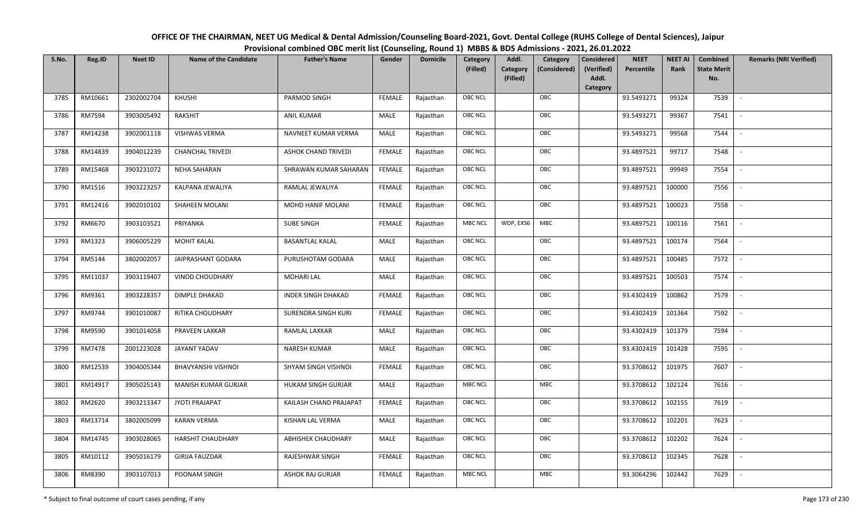| OFFICE OF THE CHAIRMAN, NEET UG Medical & Dental Admission/Counseling Board-2021, Govt. Dental College (RUHS College of Dental Sciences), Jaipur |
|--------------------------------------------------------------------------------------------------------------------------------------------------|
| Provisional combined OBC merit list (Counseling, Round 1) MBBS & BDS Admissions - 2021, 26.01.2022                                               |

| S.No. | Reg.ID  | <b>Neet ID</b> | <b>Name of the Candidate</b> | <b>Father's Name</b>      | Gender        | <b>Domicile</b> | Category<br>(Filled) | Addl.<br><b>Category</b><br>(Filled) | Category<br>(Considered) | <b>Considered</b><br>(Verified)<br>Addl. | <b>NEET</b><br>Percentile | <b>NEET AI</b><br>Rank | Combined<br><b>State Merit</b><br>No. | <b>Remarks (NRI Verified)</b> |
|-------|---------|----------------|------------------------------|---------------------------|---------------|-----------------|----------------------|--------------------------------------|--------------------------|------------------------------------------|---------------------------|------------------------|---------------------------------------|-------------------------------|
|       |         |                |                              |                           |               |                 |                      |                                      |                          | Category                                 |                           |                        |                                       |                               |
| 3785  | RM10661 | 2302002704     | KHUSHI                       | PARMOD SINGH              | <b>FEMALE</b> | Rajasthan       | <b>OBC NCL</b>       |                                      | OBC                      |                                          | 93.5493271                | 99324                  | 7539                                  | $\sim$                        |
| 3786  | RM7594  | 3903005492     | <b>RAKSHIT</b>               | <b>ANIL KUMAR</b>         | MALE          | Rajasthan       | OBC NCL              |                                      | OBC                      |                                          | 93.5493271                | 99367                  | 7541                                  |                               |
| 3787  | RM14238 | 3902001118     | VISHWAS VERMA                | NAVNEET KUMAR VERMA       | MALE          | Rajasthan       | OBC NCL              |                                      | OBC                      |                                          | 93.5493271                | 99568                  | 7544                                  |                               |
| 3788  | RM14839 | 3904012239     | <b>CHANCHAL TRIVEDI</b>      | ASHOK CHAND TRIVEDI       | <b>FEMALE</b> | Rajasthan       | OBC NCL              |                                      | OBC                      |                                          | 93.4897521                | 99717                  | 7548                                  | $\overline{\phantom{a}}$      |
| 3789  | RM15468 | 3903231072     | <b>NEHA SAHARAN</b>          | SHRAWAN KUMAR SAHARAN     | <b>FEMALE</b> | Rajasthan       | <b>OBC NCL</b>       |                                      | OBC                      |                                          | 93.4897521                | 99949                  | 7554                                  | $\overline{\phantom{a}}$      |
| 3790  | RM1516  | 3903223257     | KALPANA JEWALIYA             | RAMLAL JEWALIYA           | <b>FEMALE</b> | Rajasthan       | <b>OBC NCL</b>       |                                      | OBC                      |                                          | 93.4897521                | 100000                 | 7556                                  | $\sim$                        |
| 3791  | RM12416 | 3902010102     | SHAHEEN MOLANI               | MOHD HANIF MOLANI         | <b>FEMALE</b> | Rajasthan       | <b>OBC NCL</b>       |                                      | OBC                      |                                          | 93.4897521                | 100023                 | 7558                                  | $\blacksquare$                |
| 3792  | RM6670  | 3903103521     | PRIYANKA                     | SUBE SINGH                | <b>FEMALE</b> | Rajasthan       | <b>MBC NCL</b>       | WDP, EXS6                            | MBC                      |                                          | 93.4897521                | 100116                 | 7561                                  |                               |
| 3793  | RM1323  | 3906005229     | <b>MOHIT KALAL</b>           | <b>BASANTLAL KALAL</b>    | MALE          | Rajasthan       | <b>OBC NCL</b>       |                                      | OBC                      |                                          | 93.4897521                | 100174                 | 7564                                  |                               |
| 3794  | RM5144  | 3802002057     | JAIPRASHANT GODARA           | PURUSHOTAM GODARA         | MALE          | Rajasthan       | OBC NCL              |                                      | OBC                      |                                          | 93.4897521                | 100485                 | 7572                                  | $\overline{\phantom{a}}$      |
| 3795  | RM11037 | 3903119407     | <b>VINOD CHOUDHARY</b>       | <b>MOHARI LAL</b>         | MALE          | Rajasthan       | <b>OBC NCL</b>       |                                      | OBC                      |                                          | 93.4897521                | 100503                 | 7574                                  |                               |
| 3796  | RM9361  | 3903228357     | DIMPLE DHAKAD                | <b>INDER SINGH DHAKAD</b> | <b>FEMALE</b> | Rajasthan       | OBC NCL              |                                      | OBC                      |                                          | 93.4302419                | 100862                 | 7579                                  | $\sim$                        |
| 3797  | RM9744  | 3901010087     | RITIKA CHOUDHARY             | SURENDRA SINGH KURI       | FEMALE        | Rajasthan       | <b>OBC NCL</b>       |                                      | OBC                      |                                          | 93.4302419                | 101364                 | 7592                                  |                               |
| 3798  | RM9590  | 3901014058     | PRAVEEN LAXKAR               | RAMLAL LAXKAR             | MALE          | Rajasthan       | OBC NCL              |                                      | OBC                      |                                          | 93.4302419                | 101379                 | 7594                                  | $\overline{\phantom{a}}$      |
| 3799  | RM7478  | 2001223028     | JAYANT YADAV                 | <b>NARESH KUMAR</b>       | <b>MALE</b>   | Rajasthan       | OBC NCL              |                                      | OBC                      |                                          | 93.4302419                | 101428                 | 7595                                  | $\overline{\phantom{a}}$      |
| 3800  | RM12539 | 3904005344     | <b>BHAVYANSHI VISHNOI</b>    | SHYAM SINGH VISHNOI       | <b>FEMALE</b> | Rajasthan       | <b>OBC NCL</b>       |                                      | OBC                      |                                          | 93.3708612                | 101975                 | 7607                                  | $\sim$                        |
| 3801  | RM14917 | 3905025143     | <b>MANISH KUMAR GURJAR</b>   | HUKAM SINGH GURJAR        | MALE          | Rajasthan       | <b>MBC NCL</b>       |                                      | MBC                      |                                          | 93.3708612                | 102124                 | 7616                                  | $\overline{\phantom{a}}$      |
| 3802  | RM2620  | 3903213347     | JYOTI PRAJAPAT               | KAILASH CHAND PRAJAPAT    | <b>FEMALE</b> | Rajasthan       | OBC NCL              |                                      | OBC                      |                                          | 93.3708612                | 102155                 | 7619                                  |                               |
| 3803  | RM13714 | 3802005099     | <b>KARAN VERMA</b>           | KISHAN LAL VERMA          | MALE          | Rajasthan       | <b>OBC NCL</b>       |                                      | OBC                      |                                          | 93.3708612                | 102201                 | 7623                                  |                               |
| 3804  | RM14745 | 3903028065     | <b>HARSHIT CHAUDHARY</b>     | ABHISHEK CHAUDHARY        | MALE          | Rajasthan       | OBC NCL              |                                      | OBC                      |                                          | 93.3708612                | 102202                 | 7624                                  | $\blacksquare$                |
| 3805  | RM10112 | 3905016179     | <b>GIRIJA FAUZDAR</b>        | RAJESHWAR SINGH           | <b>FEMALE</b> | Rajasthan       | <b>OBC NCL</b>       |                                      | OBC                      |                                          | 93.3708612                | 102345                 | 7628                                  |                               |
| 3806  | RM8390  | 3903107013     | POONAM SINGH                 | ASHOK RAJ GURJAR          | <b>FEMALE</b> | Rajasthan       | <b>MBC NCL</b>       |                                      | MBC                      |                                          | 93.3064296                | 102442                 | 7629                                  |                               |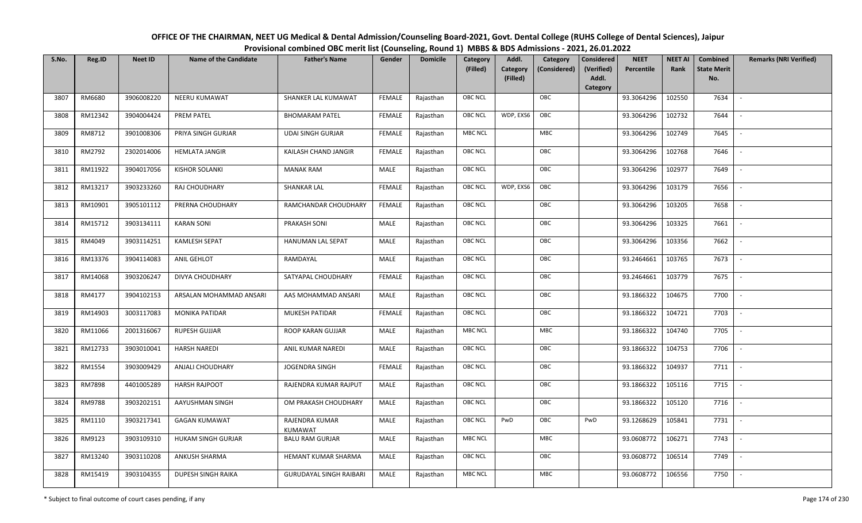| OFFICE OF THE CHAIRMAN, NEET UG Medical & Dental Admission/Counseling Board-2021, Govt. Dental College (RUHS College of Dental Sciences), Jaipur |
|--------------------------------------------------------------------------------------------------------------------------------------------------|
| Provisional combined OBC merit list (Counseling, Round 1) MBBS & BDS Admissions - 2021, 26.01.2022                                               |

| S.No. | Reg.ID  | <b>Neet ID</b> | <b>Name of the Candidate</b> | <b>Father's Name</b>           | Gender        | <b>Domicile</b> | Category<br>(Filled) | Addl.<br>Category<br>(Filled) | Category<br>(Considered) | <b>Considered</b><br>(Verified)<br>Addl. | <b>NEET</b><br>Percentile | <b>NEET AI</b><br>Rank | Combined<br><b>State Merit</b><br>No. | <b>Remarks (NRI Verified)</b> |
|-------|---------|----------------|------------------------------|--------------------------------|---------------|-----------------|----------------------|-------------------------------|--------------------------|------------------------------------------|---------------------------|------------------------|---------------------------------------|-------------------------------|
|       |         |                |                              |                                |               |                 |                      |                               |                          | Category                                 |                           |                        |                                       |                               |
| 3807  | RM6680  | 3906008220     | <b>NEERU KUMAWAT</b>         | SHANKER LAL KUMAWAT            | <b>FEMALE</b> | Rajasthan       | <b>OBC NCL</b>       |                               | OBC                      |                                          | 93.3064296                | 102550                 | 7634                                  | $\sim$                        |
| 3808  | RM12342 | 3904004424     | PREM PATEL                   | <b>BHOMARAM PATEL</b>          | <b>FEMALE</b> | Rajasthan       | <b>OBC NCL</b>       | WDP, EXS6                     | OBC                      |                                          | 93.3064296                | 102732                 | 7644                                  |                               |
| 3809  | RM8712  | 3901008306     | PRIYA SINGH GURJAR           | <b>UDAI SINGH GURJAR</b>       | <b>FEMALE</b> | Rajasthan       | <b>MBC NCL</b>       |                               | MBC                      |                                          | 93.3064296                | 102749                 | 7645                                  |                               |
| 3810  | RM2792  | 2302014006     | <b>HEMLATA JANGIR</b>        | KAILASH CHAND JANGIR           | <b>FEMALE</b> | Rajasthan       | <b>OBC NCL</b>       |                               | OBC                      |                                          | 93.3064296                | 102768                 | 7646                                  | $\overline{\phantom{a}}$      |
| 3811  | RM11922 | 3904017056     | <b>KISHOR SOLANKI</b>        | <b>MANAK RAM</b>               | MALE          | Rajasthan       | <b>OBC NCL</b>       |                               | OBC                      |                                          | 93.3064296                | 102977                 | 7649                                  | $\overline{\phantom{a}}$      |
| 3812  | RM13217 | 3903233260     | RAJ CHOUDHARY                | SHANKAR LAL                    | <b>FEMALE</b> | Rajasthan       | <b>OBC NCL</b>       | WDP, EXS6                     | OBC                      |                                          | 93.3064296                | 103179                 | 7656                                  | $\overline{\phantom{a}}$      |
| 3813  | RM10901 | 3905101112     | PRERNA CHOUDHARY             | RAMCHANDAR CHOUDHARY           | <b>FEMALE</b> | Rajasthan       | OBC NCL              |                               | OBC                      |                                          | 93.3064296                | 103205                 | 7658                                  |                               |
| 3814  | RM15712 | 3903134111     | <b>KARAN SONI</b>            | PRAKASH SONI                   | MALE          | Rajasthan       | <b>OBC NCL</b>       |                               | OBC                      |                                          | 93.3064296                | 103325                 | 7661                                  |                               |
| 3815  | RM4049  | 3903114251     | <b>KAMLESH SEPAT</b>         | HANUMAN LAL SEPAT              | MALE          | Rajasthan       | OBC NCL              |                               | OBC                      |                                          | 93.3064296                | 103356                 | 7662                                  | $\blacksquare$                |
| 3816  | RM13376 | 3904114083     | ANIL GEHLOT                  | RAMDAYAL                       | <b>MALE</b>   | Rajasthan       | <b>OBC NCL</b>       |                               | OBC                      |                                          | 93.2464661                | 103765                 | 7673                                  | $\overline{\phantom{a}}$      |
| 3817  | RM14068 | 3903206247     | DIVYA CHOUDHARY              | SATYAPAL CHOUDHARY             | <b>FEMALE</b> | Rajasthan       | OBC NCL              |                               | OBC                      |                                          | 93.2464661                | 103779                 | 7675                                  |                               |
| 3818  | RM4177  | 3904102153     | ARSALAN MOHAMMAD ANSARI      | AAS MOHAMMAD ANSARI            | MALE          | Rajasthan       | <b>OBC NCL</b>       |                               | OBC                      |                                          | 93.1866322                | 104675                 | 7700                                  |                               |
| 3819  | RM14903 | 3003117083     | MONIKA PATIDAR               | <b>MUKESH PATIDAR</b>          | <b>FEMALE</b> | Rajasthan       | OBC NCL              |                               | OBC                      |                                          | 93.1866322                | 104721                 | 7703                                  |                               |
| 3820  | RM11066 | 2001316067     | <b>RUPESH GUJJAR</b>         | ROOP KARAN GUJJAR              | MALE          | Rajasthan       | <b>MBC NCL</b>       |                               | MBC                      |                                          | 93.1866322                | 104740                 | 7705                                  | $\sim$                        |
| 3821  | RM12733 | 3903010041     | <b>HARSH NAREDI</b>          | ANIL KUMAR NAREDI              | MALE          | Rajasthan       | OBC NCL              |                               | OBC                      |                                          | 93.1866322                | 104753                 | 7706                                  | $\sim$                        |
| 3822  | RM1554  | 3903009429     | <b>ANJALI CHOUDHARY</b>      | <b>JOGENDRA SINGH</b>          | <b>FEMALE</b> | Rajasthan       | <b>OBC NCL</b>       |                               | OBC                      |                                          | 93.1866322                | 104937                 | 7711                                  | $\sim$                        |
| 3823  | RM7898  | 4401005289     | <b>HARSH RAJPOOT</b>         | RAJENDRA KUMAR RAJPUT          | MALE          | Rajasthan       | OBC NCL              |                               | OBC                      |                                          | 93.1866322                | 105116                 | 7715                                  | $\overline{\phantom{a}}$      |
| 3824  | RM9788  | 3903202151     | AAYUSHMAN SINGH              | OM PRAKASH CHOUDHARY           | MALE          | Rajasthan       | <b>OBC NCL</b>       |                               | OBC                      |                                          | 93.1866322                | 105120                 | 7716                                  |                               |
| 3825  | RM1110  | 3903217341     | <b>GAGAN KUMAWAT</b>         | RAJENDRA KUMAR<br>KUMAWAT      | MALE          | Rajasthan       | OBC NCL              | PwD                           | OBC                      | PwD                                      | 93.1268629                | 105841                 | 7731                                  |                               |
| 3826  | RM9123  | 3903109310     | HUKAM SINGH GURJAR           | <b>BALU RAM GURJAR</b>         | MALE          | Rajasthan       | <b>MBC NCL</b>       |                               | MBC                      |                                          | 93.0608772                | 106271                 | 7743                                  |                               |
| 3827  | RM13240 | 3903110208     | ANKUSH SHARMA                | HEMANT KUMAR SHARMA            | MALE          | Rajasthan       | <b>OBC NCL</b>       |                               | OBC                      |                                          | 93.0608772                | 106514                 | 7749                                  |                               |
| 3828  | RM15419 | 3903104355     | DUPESH SINGH RAIKA           | <b>GURUDAYAL SINGH RAIBARI</b> | MALE          | Rajasthan       | <b>MBC NCL</b>       |                               | MBC                      |                                          | 93.0608772                | 106556                 | 7750                                  |                               |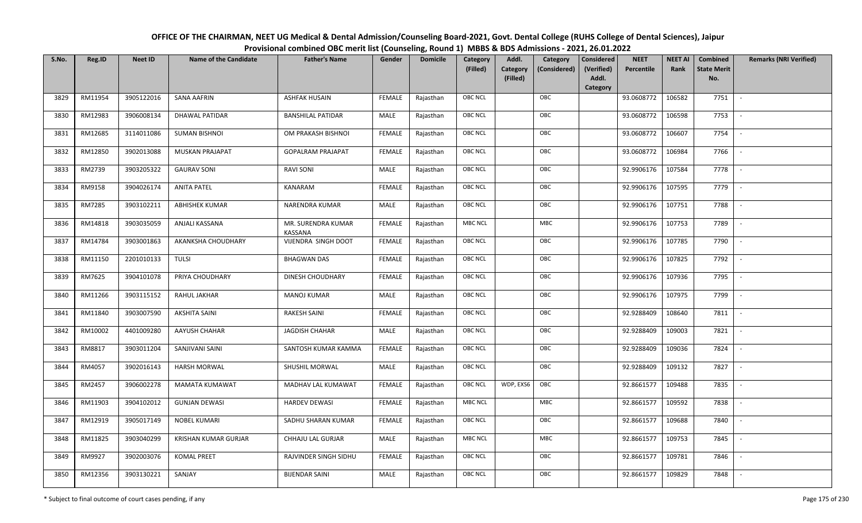| OFFICE OF THE CHAIRMAN, NEET UG Medical & Dental Admission/Counseling Board-2021, Govt. Dental College (RUHS College of Dental Sciences), Jaipur |
|--------------------------------------------------------------------------------------------------------------------------------------------------|
| Provisional combined OBC merit list (Counseling, Round 1) MBBS & BDS Admissions - 2021, 26.01.2022                                               |

| S.No. | Reg.ID  | <b>Neet ID</b> | <b>Name of the Candidate</b> | <b>Father's Name</b>          | Gender        | <b>Domicile</b> | Category<br>(Filled) | Addl.<br><b>Category</b><br>(Filled) | Category<br>(Considered) | <b>Considered</b><br>(Verified)<br>Addl. | <b>NEET</b><br>Percentile | <b>NEET AI</b><br>Rank | Combined<br><b>State Merit</b><br>No. | <b>Remarks (NRI Verified)</b> |
|-------|---------|----------------|------------------------------|-------------------------------|---------------|-----------------|----------------------|--------------------------------------|--------------------------|------------------------------------------|---------------------------|------------------------|---------------------------------------|-------------------------------|
| 3829  | RM11954 | 3905122016     | <b>SANA AAFRIN</b>           | <b>ASHFAK HUSAIN</b>          | <b>FEMALE</b> | Rajasthan       | <b>OBC NCL</b>       |                                      | OBC                      | Category                                 | 93.0608772                | 106582                 | 7751                                  | $\sim$                        |
|       |         |                |                              |                               |               |                 |                      |                                      |                          |                                          |                           |                        |                                       |                               |
| 3830  | RM12983 | 3906008134     | DHAWAL PATIDAR               | <b>BANSHILAL PATIDAR</b>      | MALE          | Rajasthan       | <b>OBC NCL</b>       |                                      | OBC                      |                                          | 93.0608772                | 106598                 | 7753                                  |                               |
| 3831  | RM12685 | 3114011086     | <b>SUMAN BISHNOI</b>         | OM PRAKASH BISHNOI            | <b>FEMALE</b> | Rajasthan       | <b>OBC NCL</b>       |                                      | OBC                      |                                          | 93.0608772                | 106607                 | 7754                                  |                               |
| 3832  | RM12850 | 3902013088     | MUSKAN PRAJAPAT              | <b>GOPALRAM PRAJAPAT</b>      | <b>FEMALE</b> | Rajasthan       | <b>OBC NCL</b>       |                                      | OBC                      |                                          | 93.0608772                | 106984                 | 7766                                  | $\overline{\phantom{a}}$      |
| 3833  | RM2739  | 3903205322     | <b>GAURAV SONI</b>           | <b>RAVI SONI</b>              | MALE          | Rajasthan       | <b>OBC NCL</b>       |                                      | OBC                      |                                          | 92.9906176                | 107584                 | 7778                                  | $\sim$                        |
| 3834  | RM9158  | 3904026174     | <b>ANITA PATEL</b>           | KANARAM                       | <b>FEMALE</b> | Rajasthan       | <b>OBC NCL</b>       |                                      | OBC                      |                                          | 92.9906176                | 107595                 | 7779                                  | $\sim$                        |
| 3835  | RM7285  | 3903102211     | <b>ABHISHEK KUMAR</b>        | NARENDRA KUMAR                | MALE          | Rajasthan       | OBC NCL              |                                      | OBC                      |                                          | 92.9906176                | 107751                 | 7788                                  |                               |
| 3836  | RM14818 | 3903035059     | ANJALI KASSANA               | MR. SURENDRA KUMAR<br>KASSANA | <b>FEMALE</b> | Rajasthan       | <b>MBC NCL</b>       |                                      | MBC                      |                                          | 92.9906176                | 107753                 | 7789                                  |                               |
| 3837  | RM14784 | 3903001863     | AKANKSHA CHOUDHARY           | VIJENDRA SINGH DOOT           | <b>FEMALE</b> | Rajasthan       | OBC NCL              |                                      | OBC                      |                                          | 92.9906176                | 107785                 | 7790                                  | $\blacksquare$                |
| 3838  | RM11150 | 2201010133     | <b>TULSI</b>                 | <b>BHAGWAN DAS</b>            | <b>FEMALE</b> | Rajasthan       | <b>OBC NCL</b>       |                                      | OBC                      |                                          | 92.9906176                | 107825                 | 7792                                  |                               |
| 3839  | RM7625  | 3904101078     | PRIYA CHOUDHARY              | DINESH CHOUDHARY              | <b>FEMALE</b> | Rajasthan       | OBC NCL              |                                      | OBC                      |                                          | 92.9906176                | 107936                 | 7795                                  |                               |
| 3840  | RM11266 | 3903115152     | RAHUL JAKHAR                 | <b>MANOJ KUMAR</b>            | MALE          | Rajasthan       | <b>OBC NCL</b>       |                                      | OBC                      |                                          | 92.9906176                | 107975                 | 7799                                  |                               |
| 3841  | RM11840 | 3903007590     | AKSHITA SAINI                | <b>RAKESH SAINI</b>           | <b>FEMALE</b> | Rajasthan       | OBC NCL              |                                      | OBC                      |                                          | 92.9288409                | 108640                 | 7811                                  |                               |
| 3842  | RM10002 | 4401009280     | AAYUSH CHAHAR                | <b>JAGDISH CHAHAR</b>         | MALE          | Rajasthan       | OBC NCL              |                                      | OBC                      |                                          | 92.9288409                | 109003                 | 7821                                  | $\sim$                        |
| 3843  | RM8817  | 3903011204     | SANJIVANI SAINI              | SANTOSH KUMAR KAMMA           | <b>FEMALE</b> | Rajasthan       | OBC NCL              |                                      | OBC                      |                                          | 92.9288409                | 109036                 | 7824                                  | $\overline{\phantom{a}}$      |
| 3844  | RM4057  | 3902016143     | <b>HARSH MORWAL</b>          | SHUSHIL MORWAL                | MALE          | Rajasthan       | <b>OBC NCL</b>       |                                      | OBC                      |                                          | 92.9288409                | 109132                 | 7827                                  | $\overline{\phantom{a}}$      |
| 3845  | RM2457  | 3906002278     | <b>MAMATA KUMAWAT</b>        | MADHAV LAL KUMAWAT            | <b>FEMALE</b> | Rajasthan       | <b>OBC NCL</b>       | WDP, EXS6                            | OBC                      |                                          | 92.8661577                | 109488                 | 7835                                  | $\blacksquare$                |
| 3846  | RM11903 | 3904102012     | <b>GUNJAN DEWASI</b>         | <b>HARDEV DEWASI</b>          | <b>FEMALE</b> | Rajasthan       | <b>MBC NCL</b>       |                                      | MBC                      |                                          | 92.8661577                | 109592                 | 7838                                  |                               |
| 3847  | RM12919 | 3905017149     | <b>NOBEL KUMARI</b>          | SADHU SHARAN KUMAR            | <b>FEMALE</b> | Rajasthan       | OBC NCL              |                                      | OBC                      |                                          | 92.8661577                | 109688                 | 7840                                  |                               |
| 3848  | RM11825 | 3903040299     | KRISHAN KUMAR GURJAR         | CHHAJU LAL GURJAR             | MALE          | Rajasthan       | <b>MBC NCL</b>       |                                      | MBC                      |                                          | 92.8661577                | 109753                 | 7845                                  |                               |
| 3849  | RM9927  | 3902003076     | <b>KOMAL PREET</b>           | RAJVINDER SINGH SIDHU         | <b>FEMALE</b> | Rajasthan       | <b>OBC NCL</b>       |                                      | OBC                      |                                          | 92.8661577                | 109781                 | 7846                                  |                               |
| 3850  | RM12356 | 3903130221     | SANJAY                       | <b>BIJENDAR SAINI</b>         | MALE          | Rajasthan       | <b>OBC NCL</b>       |                                      | OBC                      |                                          | 92.8661577                | 109829                 | 7848                                  |                               |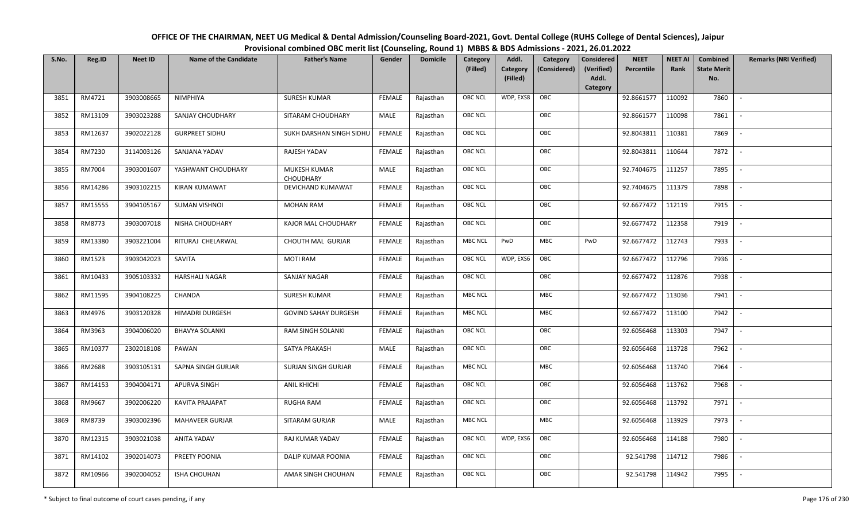| OFFICE OF THE CHAIRMAN, NEET UG Medical & Dental Admission/Counseling Board-2021, Govt. Dental College (RUHS College of Dental Sciences), Jaipur |
|--------------------------------------------------------------------------------------------------------------------------------------------------|
| Provisional combined OBC merit list (Counseling, Round 1) MBBS & BDS Admissions - 2021, 26.01.2022                                               |

| S.No. | Reg.ID  | <b>Neet ID</b> | <b>Name of the Candidate</b> | <b>Father's Name</b>             | Gender        | <b>Domicile</b> | Category<br>(Filled) | Addl.<br>Category<br>(Filled) | Category<br>(Considered) | Considered<br>(Verified)<br>Addl. | <b>NEET</b><br>Percentile | <b>NEET AI</b><br>Rank | Combined<br><b>State Merit</b><br>No. | <b>Remarks (NRI Verified)</b> |
|-------|---------|----------------|------------------------------|----------------------------------|---------------|-----------------|----------------------|-------------------------------|--------------------------|-----------------------------------|---------------------------|------------------------|---------------------------------------|-------------------------------|
|       |         |                |                              |                                  |               |                 |                      |                               |                          | Category                          |                           |                        |                                       |                               |
| 3851  | RM4721  | 3903008665     | NIMPHIYA                     | <b>SURESH KUMAR</b>              | <b>FEMALE</b> | Rajasthan       | <b>OBC NCL</b>       | WDP, EXS8                     | OBC                      |                                   | 92.8661577                | 110092                 | 7860                                  | $\mathcal{L}$                 |
| 3852  | RM13109 | 3903023288     | SANJAY CHOUDHARY             | SITARAM CHOUDHARY                | MALE          | Rajasthan       | OBC NCL              |                               | OBC                      |                                   | 92.8661577                | 110098                 | 7861                                  |                               |
| 3853  | RM12637 | 3902022128     | <b>GURPREET SIDHU</b>        | SUKH DARSHAN SINGH SIDHU         | <b>FEMALE</b> | Rajasthan       | <b>OBC NCL</b>       |                               | OBC                      |                                   | 92.8043811                | 110381                 | 7869                                  |                               |
| 3854  | RM7230  | 3114003126     | SANJANA YADAV                | RAJESH YADAV                     | <b>FEMALE</b> | Rajasthan       | <b>OBC NCL</b>       |                               | OBC                      |                                   | 92.8043811                | 110644                 | 7872                                  | $\overline{\phantom{a}}$      |
| 3855  | RM7004  | 3903001607     | YASHWANT CHOUDHARY           | MUKESH KUMAR<br><b>CHOUDHARY</b> | <b>MALE</b>   | Rajasthan       | <b>OBC NCL</b>       |                               | OBC                      |                                   | 92.7404675                | 111257                 | 7895                                  | $\overline{\phantom{a}}$      |
| 3856  | RM14286 | 3903102215     | <b>KIRAN KUMAWAT</b>         | DEVICHAND KUMAWAT                | <b>FEMALE</b> | Rajasthan       | <b>OBC NCL</b>       |                               | OBC                      |                                   | 92.7404675                | 111379                 | 7898                                  | $\overline{\phantom{a}}$      |
| 3857  | RM15555 | 3904105167     | <b>SUMAN VISHNOI</b>         | <b>MOHAN RAM</b>                 | <b>FEMALE</b> | Rajasthan       | <b>OBC NCL</b>       |                               | OBC                      |                                   | 92.6677472                | 112119                 | 7915                                  |                               |
| 3858  | RM8773  | 3903007018     | NISHA CHOUDHARY              | KAJOR MAL CHOUDHARY              | <b>FEMALE</b> | Rajasthan       | <b>OBC NCL</b>       |                               | OBC                      |                                   | 92.6677472                | 112358                 | 7919                                  |                               |
| 3859  | RM13380 | 3903221004     | RITURAJ CHELARWAL            | CHOUTH MAL GURJAR                | <b>FEMALE</b> | Rajasthan       | <b>MBC NCL</b>       | PwD                           | <b>MBC</b>               | PwD                               | 92.6677472                | 112743                 | 7933                                  |                               |
| 3860  | RM1523  | 3903042023     | SAVITA                       | <b>MOTI RAM</b>                  | <b>FEMALE</b> | Rajasthan       | <b>OBC NCL</b>       | WDP, EXS6                     | OBC                      |                                   | 92.6677472                | 112796                 | 7936                                  | $\overline{\phantom{a}}$      |
| 3861  | RM10433 | 3905103332     | <b>HARSHALI NAGAR</b>        | SANJAY NAGAR                     | <b>FEMALE</b> | Rajasthan       | <b>OBC NCL</b>       |                               | OBC                      |                                   | 92.6677472                | 112876                 | 7938                                  |                               |
| 3862  | RM11595 | 3904108225     | CHANDA                       | <b>SURESH KUMAR</b>              | <b>FEMALE</b> | Rajasthan       | <b>MBC NCL</b>       |                               | MBC                      |                                   | 92.6677472                | 113036                 | 7941                                  |                               |
| 3863  | RM4976  | 3903120328     | <b>HIMADRI DURGESH</b>       | <b>GOVIND SAHAY DURGESH</b>      | <b>FEMALE</b> | Rajasthan       | <b>MBC NCL</b>       |                               | MBC                      |                                   | 92.6677472                | 113100                 | 7942                                  |                               |
| 3864  | RM3963  | 3904006020     | <b>BHAVYA SOLANKI</b>        | <b>RAM SINGH SOLANKI</b>         | <b>FEMALE</b> | Rajasthan       | <b>OBC NCL</b>       |                               | OBC                      |                                   | 92.6056468                | 113303                 | 7947                                  | $\overline{\phantom{a}}$      |
| 3865  | RM10377 | 2302018108     | PAWAN                        | SATYA PRAKASH                    | MALE          | Rajasthan       | <b>OBC NCL</b>       |                               | OBC                      |                                   | 92.6056468                | 113728                 | 7962                                  | $\overline{\phantom{a}}$      |
| 3866  | RM2688  | 3903105131     | SAPNA SINGH GURJAR           | SURJAN SINGH GURJAR              | <b>FEMALE</b> | Rajasthan       | <b>MBC NCL</b>       |                               | <b>MBC</b>               |                                   | 92.6056468                | 113740                 | 7964                                  | $\sim$                        |
| 3867  | RM14153 | 3904004171     | APURVA SINGH                 | <b>ANIL KHICHI</b>               | <b>FEMALE</b> | Rajasthan       | <b>OBC NCL</b>       |                               | OBC                      |                                   | 92.6056468                | 113762                 | 7968                                  | $\overline{\phantom{a}}$      |
| 3868  | RM9667  | 3902006220     | <b>KAVITA PRAJAPAT</b>       | <b>RUGHA RAM</b>                 | <b>FEMALE</b> | Rajasthan       | <b>OBC NCL</b>       |                               | OBC                      |                                   | 92.6056468                | 113792                 | 7971                                  | $\sim$                        |
| 3869  | RM8739  | 3903002396     | <b>MAHAVEER GURJAR</b>       | SITARAM GURJAR                   | MALE          | Rajasthan       | <b>MBC NCL</b>       |                               | MBC                      |                                   | 92.6056468                | 113929                 | 7973                                  |                               |
| 3870  | RM12315 | 3903021038     | ANITA YADAV                  | RAJ KUMAR YADAV                  | <b>FEMALE</b> | Rajasthan       | <b>OBC NCL</b>       | WDP, EXS6                     | OBC                      |                                   | 92.6056468                | 114188                 | 7980                                  |                               |
| 3871  | RM14102 | 3902014073     | PREETY POONIA                | <b>DALIP KUMAR POONIA</b>        | <b>FEMALE</b> | Rajasthan       | <b>OBC NCL</b>       |                               | OBC                      |                                   | 92.541798                 | 114712                 | 7986                                  |                               |
| 3872  | RM10966 | 3902004052     | <b>ISHA CHOUHAN</b>          | AMAR SINGH CHOUHAN               | <b>FEMALE</b> | Rajasthan       | <b>OBC NCL</b>       |                               | OBC                      |                                   | 92.541798                 | 114942                 | 7995                                  |                               |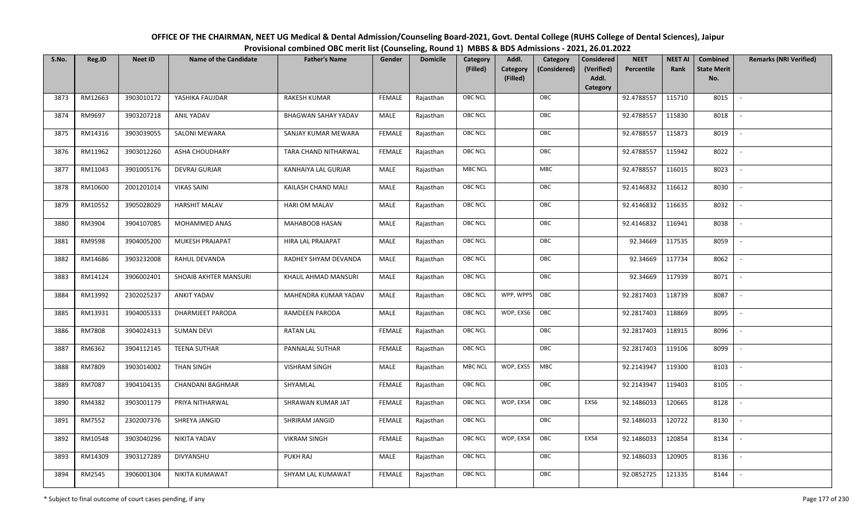| OFFICE OF THE CHAIRMAN, NEET UG Medical & Dental Admission/Counseling Board-2021, Govt. Dental College (RUHS College of Dental Sciences), Jaipur |
|--------------------------------------------------------------------------------------------------------------------------------------------------|
| Provisional combined OBC merit list (Counseling, Round 1) MBBS & BDS Admissions - 2021, 26.01.2022                                               |

| S.No. | Reg.ID  | <b>Neet ID</b> | <b>Name of the Candidate</b> | <b>Father's Name</b>       | Gender        | <b>Domicile</b> | Category<br>(Filled) | Addl.<br>Category | Category<br>(Considered) | <b>Considered</b><br>(Verified)<br>Addl. | <b>NEET</b><br>Percentile | <b>NEET AI</b><br>Rank | Combined<br><b>State Merit</b><br>No. | <b>Remarks (NRI Verified)</b> |
|-------|---------|----------------|------------------------------|----------------------------|---------------|-----------------|----------------------|-------------------|--------------------------|------------------------------------------|---------------------------|------------------------|---------------------------------------|-------------------------------|
|       |         |                |                              |                            |               |                 |                      | (Filled)          |                          | Category                                 |                           |                        |                                       |                               |
| 3873  | RM12663 | 3903010172     | YASHIKA FAUJDAR              | <b>RAKESH KUMAR</b>        | <b>FEMALE</b> | Rajasthan       | <b>OBC NCL</b>       |                   | OBC                      |                                          | 92.4788557                | 115710                 | 8015                                  | $\blacksquare$                |
| 3874  | RM9697  | 3903207218     | <b>ANIL YADAV</b>            | <b>BHAGWAN SAHAY YADAV</b> | MALE          | Rajasthan       | OBC NCL              |                   | OBC                      |                                          | 92.4788557                | 115830                 | 8018                                  |                               |
| 3875  | RM14316 | 3903039055     | <b>SALONI MEWARA</b>         | SANJAY KUMAR MEWARA        | <b>FEMALE</b> | Rajasthan       | <b>OBC NCL</b>       |                   | OBC                      |                                          | 92.4788557                | 115873                 | 8019                                  |                               |
| 3876  | RM11962 | 3903012260     | ASHA CHOUDHARY               | TARA CHAND NITHARWAL       | <b>FEMALE</b> | Rajasthan       | OBC NCL              |                   | OBC                      |                                          | 92.4788557                | 115942                 | 8022                                  | $\overline{\phantom{a}}$      |
| 3877  | RM11043 | 3901005176     | <b>DEVRAJ GURJAR</b>         | KANHAIYA LAL GURJAR        | MALE          | Rajasthan       | MBC NCL              |                   | <b>MBC</b>               |                                          | 92.4788557                | 116015                 | 8023                                  | $\sim$                        |
| 3878  | RM10600 | 2001201014     | <b>VIKAS SAINI</b>           | KAILASH CHAND MALI         | MALE          | Rajasthan       | OBC NCL              |                   | OBC                      |                                          | 92.4146832                | 116612                 | 8030                                  | $\overline{\phantom{a}}$      |
| 3879  | RM10552 | 3905028029     | <b>HARSHIT MALAV</b>         | <b>HARI OM MALAV</b>       | MALE          | Rajasthan       | <b>OBC NCL</b>       |                   | OBC                      |                                          | 92.4146832                | 116635                 | 8032                                  |                               |
| 3880  | RM3904  | 3904107085     | MOHAMMED ANAS                | MAHABOOB HASAN             | MALE          | Rajasthan       | OBC NCL              |                   | OBC                      |                                          | 92.4146832                | 116941                 | 8038                                  |                               |
| 3881  | RM9598  | 3904005200     | MUKESH PRAJAPAT              | HIRA LAL PRAJAPAT          | MALE          | Rajasthan       | <b>OBC NCL</b>       |                   | OBC                      |                                          | 92.34669                  | 117535                 | 8059                                  |                               |
| 3882  | RM14686 | 3903232008     | RAHUL DEVANDA                | RADHEY SHYAM DEVANDA       | MALE          | Rajasthan       | OBC NCL              |                   | OBC                      |                                          | 92.34669                  | 117734                 | 8062                                  |                               |
| 3883  | RM14124 | 3906002401     | SHOAIB AKHTER MANSURI        | KHALIL AHMAD MANSURI       | MALE          | Rajasthan       | <b>OBC NCL</b>       |                   | OBC                      |                                          | 92.34669                  | 117939                 | 8071                                  |                               |
| 3884  | RM13992 | 2302025237     | <b>ANKIT YADAV</b>           | MAHENDRA KUMAR YADAV       | MALE          | Rajasthan       | OBC NCL              | WPP, WPP5         | OBC                      |                                          | 92.2817403                | 118739                 | 8087                                  | $\sim$                        |
| 3885  | RM13931 | 3904005333     | DHARMJEET PARODA             | RAMDEEN PARODA             | MALE          | Rajasthan       | OBC NCL              | WDP, EXS6         | OBC                      |                                          | 92.2817403                | 118869                 | 8095                                  |                               |
| 3886  | RM7808  | 3904024313     | <b>SUMAN DEVI</b>            | <b>RATAN LAL</b>           | <b>FEMALE</b> | Rajasthan       | OBC NCL              |                   | OBC                      |                                          | 92.2817403                | 118915                 | 8096                                  | $\sim$                        |
| 3887  | RM6362  | 3904112145     | <b>TEENA SUTHAR</b>          | PANNALAL SUTHAR            | <b>FEMALE</b> | Rajasthan       | OBC NCL              |                   | OBC                      |                                          | 92.2817403                | 119106                 | 8099                                  | $\overline{\phantom{a}}$      |
| 3888  | RM7809  | 3903014002     | THAN SINGH                   | <b>VISHRAM SINGH</b>       | MALE          | Rajasthan       | <b>MBC NCL</b>       | WDP, EXS5         | MBC                      |                                          | 92.2143947                | 119300                 | 8103                                  | $\overline{\phantom{a}}$      |
| 3889  | RM7087  | 3904104135     | <b>CHANDANI BAGHMAR</b>      | SHYAMLAL                   | <b>FEMALE</b> | Rajasthan       | <b>OBC NCL</b>       |                   | OBC                      |                                          | 92.2143947                | 119403                 | 8105                                  | $\overline{\phantom{a}}$      |
| 3890  | RM4382  | 3903001179     | PRIYA NITHARWAL              | SHRAWAN KUMAR JAT          | <b>FEMALE</b> | Rajasthan       | OBC NCL              | WDP, EXS4         | OBC                      | EXS6                                     | 92.1486033                | 120665                 | 8128                                  |                               |
| 3891  | RM7552  | 2302007376     | SHREYA JANGID                | SHRIRAM JANGID             | <b>FEMALE</b> | Rajasthan       | <b>OBC NCL</b>       |                   | OBC                      |                                          | 92.1486033                | 120722                 | 8130                                  |                               |
| 3892  | RM10548 | 3903040296     | NIKITA YADAV                 | <b>VIKRAM SINGH</b>        | <b>FEMALE</b> | Rajasthan       | <b>OBC NCL</b>       | WDP, EXS4         | OBC                      | EXS4                                     | 92.1486033                | 120854                 | 8134                                  |                               |
| 3893  | RM14309 | 3903127289     | <b>DIVYANSHU</b>             | PUKH RAJ                   | <b>MALE</b>   | Rajasthan       | OBC NCL              |                   | OBC                      |                                          | 92.1486033                | 120905                 | 8136                                  |                               |
| 3894  | RM2545  | 3906001304     | NIKITA KUMAWAT               | SHYAM LAL KUMAWAT          | <b>FEMALE</b> | Rajasthan       | <b>OBC NCL</b>       |                   | OBC                      |                                          | 92.0852725                | 121335                 | 8144                                  |                               |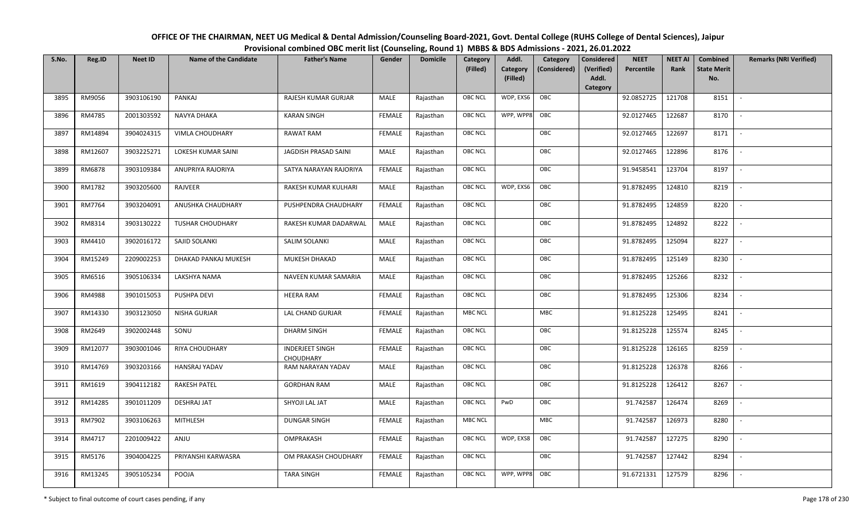| OFFICE OF THE CHAIRMAN, NEET UG Medical & Dental Admission/Counseling Board-2021, Govt. Dental College (RUHS College of Dental Sciences), Jaipur |
|--------------------------------------------------------------------------------------------------------------------------------------------------|
| Provisional combined OBC merit list (Counseling, Round 1) MBBS & BDS Admissions - 2021, 26.01.2022                                               |

| S.No. | Reg.ID  | <b>Neet ID</b> | <b>Name of the Candidate</b> | <b>Father's Name</b>                | Gender        | <b>Domicile</b> | Category<br>(Filled) | Addl.<br>Category | Category<br>(Considered) | <b>Considered</b><br>(Verified)<br>Addl. | <b>NEET</b><br>Percentile | <b>NEET AI</b><br>Rank | Combined<br><b>State Merit</b><br>No. | <b>Remarks (NRI Verified)</b> |
|-------|---------|----------------|------------------------------|-------------------------------------|---------------|-----------------|----------------------|-------------------|--------------------------|------------------------------------------|---------------------------|------------------------|---------------------------------------|-------------------------------|
|       |         |                |                              |                                     |               |                 |                      | (Filled)          |                          | Category                                 |                           |                        |                                       |                               |
| 3895  | RM9056  | 3903106190     | PANKAJ                       | RAJESH KUMAR GURJAR                 | MALE          | Rajasthan       | <b>OBC NCL</b>       | WDP, EXS6         | OBC                      |                                          | 92.0852725                | 121708                 | 8151                                  | $\overline{\phantom{a}}$      |
| 3896  | RM4785  | 2001303592     | NAVYA DHAKA                  | <b>KARAN SINGH</b>                  | <b>FEMALE</b> | Rajasthan       | <b>OBC NCL</b>       | WPP, WPP8         | OBC                      |                                          | 92.0127465                | 122687                 | 8170                                  |                               |
| 3897  | RM14894 | 3904024315     | <b>VIMLA CHOUDHARY</b>       | <b>RAWAT RAM</b>                    | <b>FEMALE</b> | Rajasthan       | OBC NCL              |                   | OBC                      |                                          | 92.0127465                | 122697                 | 8171                                  | $\sim$                        |
| 3898  | RM12607 | 3903225271     | LOKESH KUMAR SAINI           | JAGDISH PRASAD SAINI                | MALE          | Rajasthan       | OBC NCL              |                   | OBC                      |                                          | 92.0127465                | 122896                 | 8176                                  | $\overline{\phantom{a}}$      |
| 3899  | RM6878  | 3903109384     | ANUPRIYA RAJORIYA            | SATYA NARAYAN RAJORIYA              | <b>FEMALE</b> | Rajasthan       | OBC NCL              |                   | OBC                      |                                          | 91.9458541                | 123704                 | 8197                                  | $\overline{\phantom{a}}$      |
| 3900  | RM1782  | 3903205600     | RAJVEER                      | RAKESH KUMAR KULHARI                | MALE          | Rajasthan       | <b>OBC NCL</b>       | WDP, EXS6         | OBC                      |                                          | 91.8782495                | 124810                 | 8219                                  | $\overline{\phantom{a}}$      |
| 3901  | RM7764  | 3903204091     | ANUSHKA CHAUDHARY            | PUSHPENDRA CHAUDHARY                | <b>FEMALE</b> | Rajasthan       | OBC NCL              |                   | OBC                      |                                          | 91.8782495                | 124859                 | 8220                                  |                               |
| 3902  | RM8314  | 3903130222     | <b>TUSHAR CHOUDHARY</b>      | RAKESH KUMAR DADARWAL               | MALE          | Rajasthan       | OBC NCL              |                   | OBC                      |                                          | 91.8782495                | 124892                 | 8222                                  |                               |
| 3903  | RM4410  | 3902016172     | SAJID SOLANKI                | SALIM SOLANKI                       | MALE          | Rajasthan       | OBC NCL              |                   | OBC                      |                                          | 91.8782495                | 125094                 | 8227                                  |                               |
| 3904  | RM15249 | 2209002253     | DHAKAD PANKAJ MUKESH         | MUKESH DHAKAD                       | MALE          | Rajasthan       | OBC NCL              |                   | OBC                      |                                          | 91.8782495                | 125149                 | 8230                                  |                               |
| 3905  | RM6516  | 3905106334     | LAKSHYA NAMA                 | NAVEEN KUMAR SAMARIA                | MALE          | Rajasthan       | <b>OBC NCL</b>       |                   | OBC                      |                                          | 91.8782495                | 125266                 | 8232                                  |                               |
| 3906  | RM4988  | 3901015053     | PUSHPA DEVI                  | <b>HEERA RAM</b>                    | <b>FEMALE</b> | Rajasthan       | OBC NCL              |                   | OBC                      |                                          | 91.8782495                | 125306                 | 8234                                  |                               |
| 3907  | RM14330 | 3903123050     | NISHA GURJAR                 | LAL CHAND GURJAR                    | <b>FEMALE</b> | Rajasthan       | MBC NCL              |                   | <b>MBC</b>               |                                          | 91.8125228                | 125495                 | 8241                                  |                               |
| 3908  | RM2649  | 3902002448     | SONU                         | DHARM SINGH                         | <b>FEMALE</b> | Rajasthan       | OBC NCL              |                   | OBC                      |                                          | 91.8125228                | 125574                 | 8245                                  | $\sim$                        |
| 3909  | RM12077 | 3903001046     | RIYA CHOUDHARY               | <b>INDERJEET SINGH</b><br>CHOUDHARY | <b>FEMALE</b> | Rajasthan       | OBC NCL              |                   | OBC                      |                                          | 91.8125228                | 126165                 | 8259                                  | $\overline{\phantom{a}}$      |
| 3910  | RM14769 | 3903203166     | HANSRAJ YADAV                | RAM NARAYAN YADAV                   | MALE          | Rajasthan       | OBC NCL              |                   | OBC                      |                                          | 91.8125228                | 126378                 | 8266                                  | $\overline{\phantom{a}}$      |
| 3911  | RM1619  | 3904112182     | RAKESH PATEL                 | <b>GORDHAN RAM</b>                  | MALE          | Rajasthan       | <b>OBC NCL</b>       |                   | OBC                      |                                          | 91.8125228                | 126412                 | 8267                                  | $\overline{\phantom{a}}$      |
| 3912  | RM14285 | 3901011209     | DESHRAJ JAT                  | SHYOJI LAL JAT                      | MALE          | Rajasthan       | OBC NCL              | PwD               | OBC                      |                                          | 91.742587                 | 126474                 | 8269                                  |                               |
| 3913  | RM7902  | 3903106263     | <b>MITHLESH</b>              | <b>DUNGAR SINGH</b>                 | <b>FEMALE</b> | Rajasthan       | <b>MBC NCL</b>       |                   | <b>MBC</b>               |                                          | 91.742587                 | 126973                 | 8280                                  |                               |
| 3914  | RM4717  | 2201009422     | ANJU                         | OMPRAKASH                           | <b>FEMALE</b> | Rajasthan       | <b>OBC NCL</b>       | WDP, EXS8         | OBC                      |                                          | 91.742587                 | 127275                 | 8290                                  |                               |
| 3915  | RM5176  | 3904004225     | PRIYANSHI KARWASRA           | OM PRAKASH CHOUDHARY                | <b>FEMALE</b> | Rajasthan       | OBC NCL              |                   | OBC                      |                                          | 91.742587                 | 127442                 | 8294                                  |                               |
| 3916  | RM13245 | 3905105234     | POOJA                        | <b>TARA SINGH</b>                   | <b>FEMALE</b> | Rajasthan       | OBC NCL              | WPP, WPP8         | OBC                      |                                          | 91.6721331                | 127579                 | 8296                                  |                               |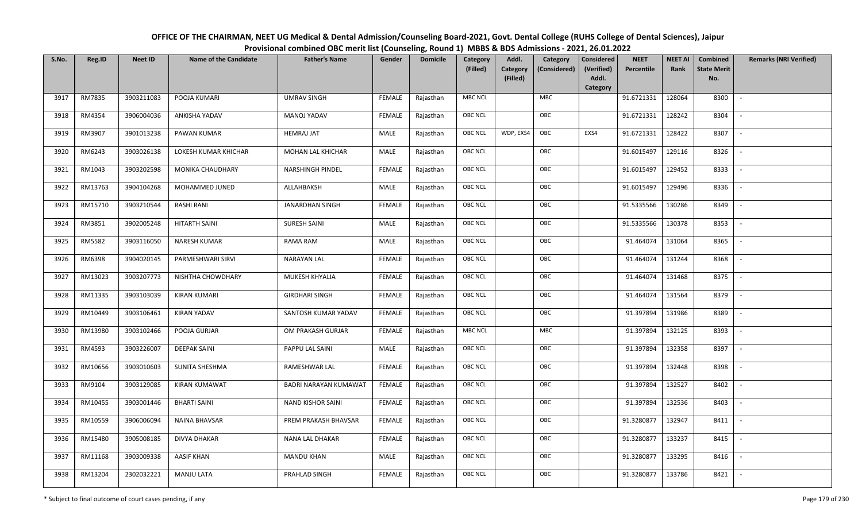| OFFICE OF THE CHAIRMAN, NEET UG Medical & Dental Admission/Counseling Board-2021, Govt. Dental College (RUHS College of Dental Sciences), Jaipur |
|--------------------------------------------------------------------------------------------------------------------------------------------------|
| Provisional combined OBC merit list (Counseling, Round 1) MBBS & BDS Admissions - 2021, 26.01.2022                                               |

| S.No. | Reg.ID  | <b>Neet ID</b> | <b>Name of the Candidate</b> | <b>Father's Name</b>     | Gender        | <b>Domicile</b> | Category<br>(Filled) | Addl.<br>Category<br>Category<br>(Considered) | <b>Considered</b><br>(Verified) | <b>NEET</b><br>Percentile | <b>NEET AI</b><br>Rank | Combined<br><b>State Merit</b> | <b>Remarks (NRI Verified)</b> |
|-------|---------|----------------|------------------------------|--------------------------|---------------|-----------------|----------------------|-----------------------------------------------|---------------------------------|---------------------------|------------------------|--------------------------------|-------------------------------|
|       |         |                |                              |                          |               |                 |                      | (Filled)                                      | Addl.<br>Category               |                           |                        | No.                            |                               |
| 3917  | RM7835  | 3903211083     | POOJA KUMARI                 | <b>UMRAV SINGH</b>       | FEMALE        | Rajasthan       | <b>MBC NCL</b>       | <b>MBC</b>                                    |                                 | 91.6721331                | 128064                 | 8300                           | $\sim$                        |
| 3918  | RM4354  | 3906004036     | ANKISHA YADAV                | MANOJ YADAV              | FEMALE        | Rajasthan       | OBC NCL              | OBC                                           |                                 | 91.6721331                | 128242                 | 8304                           |                               |
| 3919  | RM3907  | 3901013238     | PAWAN KUMAR                  | <b>HEMRAJ JAT</b>        | MALE          | Rajasthan       | OBC NCL              | OBC<br>WDP, EXS4                              | EXS4                            | 91.6721331                | 128422                 | 8307                           | $\sim$                        |
| 3920  | RM6243  | 3903026138     | LOKESH KUMAR KHICHAR         | MOHAN LAL KHICHAR        | MALE          | Rajasthan       | <b>OBC NCL</b>       | OBC                                           |                                 | 91.6015497                | 129116                 | 8326                           | $\overline{\phantom{a}}$      |
| 3921  | RM1043  | 3903202598     | MONIKA CHAUDHARY             | <b>NARSHINGH PINDEL</b>  | <b>FEMALE</b> | Rajasthan       | OBC NCL              | OBC                                           |                                 | 91.6015497                | 129452                 | 8333                           | $\sim$                        |
| 3922  | RM13763 | 3904104268     | MOHAMMED JUNED               | ALLAHBAKSH               | MALE          | Rajasthan       | <b>OBC NCL</b>       | OBC                                           |                                 | 91.6015497                | 129496                 | 8336                           | $\sim$                        |
| 3923  | RM15710 | 3903210544     | <b>RASHI RANI</b>            | JANARDHAN SINGH          | <b>FEMALE</b> | Rajasthan       | OBC NCL              | OBC                                           |                                 | 91.5335566                | 130286                 | 8349                           | $\blacksquare$                |
| 3924  | RM3851  | 3902005248     | <b>HITARTH SAINI</b>         | <b>SURESH SAINI</b>      | MALE          | Rajasthan       | OBC NCL              | OBC                                           |                                 | 91.5335566                | 130378                 | 8353                           |                               |
| 3925  | RM5582  | 3903116050     | <b>NARESH KUMAR</b>          | RAMA RAM                 | <b>MALE</b>   | Rajasthan       | OBC NCL              | OBC                                           |                                 | 91.464074                 | 131064                 | 8365                           |                               |
| 3926  | RM6398  | 3904020145     | PARMESHWARI SIRVI            | <b>NARAYAN LAL</b>       | <b>FEMALE</b> | Rajasthan       | <b>OBC NCL</b>       | OBC                                           |                                 | 91.464074                 | 131244                 | 8368                           |                               |
| 3927  | RM13023 | 3903207773     | NISHTHA CHOWDHARY            | MUKESH KHYALIA           | <b>FEMALE</b> | Rajasthan       | OBC NCL              | OBC                                           |                                 | 91.464074                 | 131468                 | 8375                           |                               |
| 3928  | RM11335 | 3903103039     | <b>KIRAN KUMARI</b>          | <b>GIRDHARI SINGH</b>    | <b>FEMALE</b> | Rajasthan       | <b>OBC NCL</b>       | OBC                                           |                                 | 91.464074                 | 131564                 | 8379                           | $\overline{\phantom{a}}$      |
| 3929  | RM10449 | 3903106461     | <b>KIRAN YADAV</b>           | SANTOSH KUMAR YADAV      | <b>FEMALE</b> | Rajasthan       | OBC NCL              | OBC                                           |                                 | 91.397894                 | 131986                 | 8389                           |                               |
| 3930  | RM13980 | 3903102466     | POOJA GURJAR                 | OM PRAKASH GURJAR        | <b>FEMALE</b> | Rajasthan       | <b>MBC NCL</b>       | MBC                                           |                                 | 91.397894                 | 132125                 | 8393                           | $\overline{\phantom{a}}$      |
| 3931  | RM4593  | 3903226007     | <b>DEEPAK SAINI</b>          | PAPPU LAL SAINI          | <b>MALE</b>   | Rajasthan       | <b>OBC NCL</b>       | OBC                                           |                                 | 91.397894                 | 132358                 | 8397                           | $\overline{\phantom{a}}$      |
| 3932  | RM10656 | 3903010603     | SUNITA SHESHMA               | RAMESHWAR LAL            | <b>FEMALE</b> | Rajasthan       | <b>OBC NCL</b>       | OBC                                           |                                 | 91.397894                 | 132448                 | 8398                           | $\overline{\phantom{a}}$      |
| 3933  | RM9104  | 3903129085     | KIRAN KUMAWAT                | BADRI NARAYAN KUMAWAT    | <b>FEMALE</b> | Rajasthan       | <b>OBC NCL</b>       | OBC                                           |                                 | 91.397894                 | 132527                 | 8402                           | $\overline{\phantom{a}}$      |
| 3934  | RM10455 | 3903001446     | <b>BHARTI SAINI</b>          | <b>NAND KISHOR SAINI</b> | <b>FEMALE</b> | Rajasthan       | <b>OBC NCL</b>       | OBC                                           |                                 | 91.397894                 | 132536                 | 8403                           |                               |
| 3935  | RM10559 | 3906006094     | <b>NAINA BHAVSAR</b>         | PREM PRAKASH BHAVSAR     | <b>FEMALE</b> | Rajasthan       | OBC NCL              | OBC                                           |                                 | 91.3280877                | 132947                 | 8411                           |                               |
| 3936  | RM15480 | 3905008185     | <b>DIVYA DHAKAR</b>          | NANA LAL DHAKAR          | <b>FEMALE</b> | Rajasthan       | OBC NCL              | OBC                                           |                                 | 91.3280877                | 133237                 | 8415                           | $\blacksquare$                |
| 3937  | RM11168 | 3903009338     | <b>AASIF KHAN</b>            | <b>MANDU KHAN</b>        | <b>MALE</b>   | Rajasthan       | OBC NCL              | OBC                                           |                                 | 91.3280877                | 133295                 | 8416                           | $\overline{\phantom{a}}$      |
| 3938  | RM13204 | 2302032221     | <b>MANJU LATA</b>            | PRAHLAD SINGH            | <b>FEMALE</b> | Rajasthan       | OBC NCL              | OBC                                           |                                 | 91.3280877                | 133786                 | 8421                           |                               |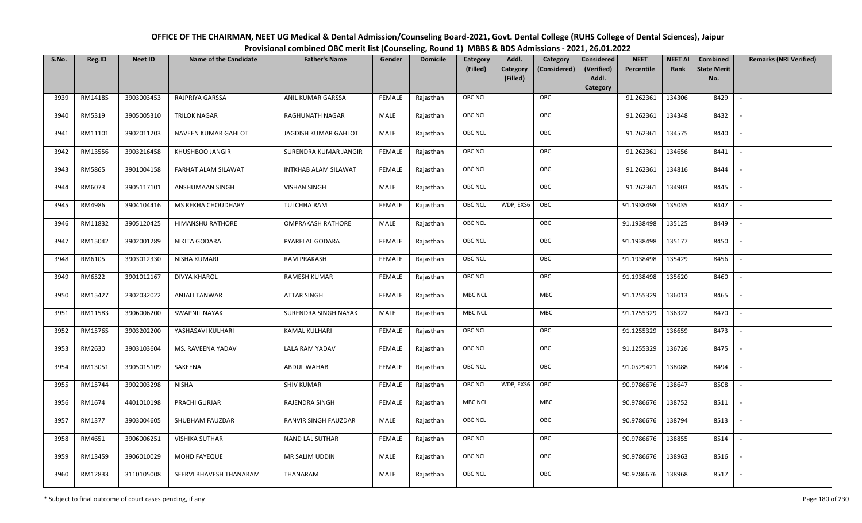| OFFICE OF THE CHAIRMAN, NEET UG Medical & Dental Admission/Counseling Board-2021, Govt. Dental College (RUHS College of Dental Sciences), Jaipur |
|--------------------------------------------------------------------------------------------------------------------------------------------------|
| Provisional combined OBC merit list (Counseling, Round 1) MBBS & BDS Admissions - 2021, 26.01.2022                                               |

| S.No. | Reg.ID  | <b>Neet ID</b> | <b>Name of the Candidate</b> | <b>Father's Name</b>     | Gender        | <b>Domicile</b> | Category       | Addl.<br>Category                    | <b>Considered</b>   | <b>NEET</b> | <b>NEET AI</b> | Combined                  | <b>Remarks (NRI Verified)</b> |
|-------|---------|----------------|------------------------------|--------------------------|---------------|-----------------|----------------|--------------------------------------|---------------------|-------------|----------------|---------------------------|-------------------------------|
|       |         |                |                              |                          |               |                 | (Filled)       | Category<br>(Considered)<br>(Filled) | (Verified)<br>Addl. | Percentile  | Rank           | <b>State Merit</b><br>No. |                               |
|       |         |                |                              |                          |               |                 |                |                                      | Category            |             |                |                           |                               |
| 3939  | RM14185 | 3903003453     | RAJPRIYA GARSSA              | ANIL KUMAR GARSSA        | <b>FEMALE</b> | Rajasthan       | <b>OBC NCL</b> | OBC                                  |                     | 91.262361   | 134306         | 8429                      | $\overline{\phantom{a}}$      |
| 3940  | RM5319  | 3905005310     | <b>TRILOK NAGAR</b>          | RAGHUNATH NAGAR          | MALE          | Rajasthan       | OBC NCL        | OBC                                  |                     | 91.262361   | 134348         | 8432                      |                               |
| 3941  | RM11101 | 3902011203     | NAVEEN KUMAR GAHLOT          | JAGDISH KUMAR GAHLOT     | MALE          | Rajasthan       | OBC NCL        | OBC                                  |                     | 91.262361   | 134575         | 8440                      |                               |
| 3942  | RM13556 | 3903216458     | KHUSHBOO JANGIR              | SURENDRA KUMAR JANGIR    | <b>FEMALE</b> | Rajasthan       | <b>OBC NCL</b> | OBC                                  |                     | 91.262361   | 134656         | 8441                      | $\overline{\phantom{a}}$      |
| 3943  | RM5865  | 3901004158     | FARHAT ALAM SILAWAT          | INTKHAB ALAM SILAWAT     | <b>FEMALE</b> | Rajasthan       | OBC NCL        | OBC                                  |                     | 91.262361   | 134816         | 8444                      | $\sim$                        |
| 3944  | RM6073  | 3905117101     | ANSHUMAAN SINGH              | <b>VISHAN SINGH</b>      | MALE          | Rajasthan       | <b>OBC NCL</b> | OBC                                  |                     | 91.262361   | 134903         | 8445                      | $\overline{\phantom{a}}$      |
| 3945  | RM4986  | 3904104416     | MS REKHA CHOUDHARY           | TULCHHA RAM              | <b>FEMALE</b> | Rajasthan       | OBC NCL        | WDP, EXS6<br>OBC                     |                     | 91.1938498  | 135035         | 8447                      | $\overline{\phantom{a}}$      |
| 3946  | RM11832 | 3905120425     | HIMANSHU RATHORE             | <b>OMPRAKASH RATHORE</b> | MALE          | Rajasthan       | OBC NCL        | OBC                                  |                     | 91.1938498  | 135125         | 8449                      |                               |
| 3947  | RM15042 | 3902001289     | NIKITA GODARA                | PYARELAL GODARA          | <b>FEMALE</b> | Rajasthan       | OBC NCL        | OBC                                  |                     | 91.1938498  | 135177         | 8450                      |                               |
| 3948  | RM6105  | 3903012330     | NISHA KUMARI                 | <b>RAM PRAKASH</b>       | <b>FEMALE</b> | Rajasthan       | OBC NCL        | OBC                                  |                     | 91.1938498  | 135429         | 8456                      | $\overline{\phantom{a}}$      |
| 3949  | RM6522  | 3901012167     | <b>DIVYA KHAROL</b>          | RAMESH KUMAR             | <b>FEMALE</b> | Rajasthan       | OBC NCL        | OBC                                  |                     | 91.1938498  | 135620         | 8460                      |                               |
| 3950  | RM15427 | 2302032022     | <b>ANJALI TANWAR</b>         | <b>ATTAR SINGH</b>       | <b>FEMALE</b> | Rajasthan       | <b>MBC NCL</b> | MBC                                  |                     | 91.1255329  | 136013         | 8465                      | $\sim$                        |
| 3951  | RM11583 | 3906006200     | <b>SWAPNIL NAYAK</b>         | SURENDRA SINGH NAYAK     | MALE          | Rajasthan       | <b>MBC NCL</b> | MBC                                  |                     | 91.1255329  | 136322         | 8470                      |                               |
| 3952  | RM15765 | 3903202200     | YASHASAVI KULHARI            | <b>KAMAL KULHARI</b>     | <b>FEMALE</b> | Rajasthan       | OBC NCL        | OBC                                  |                     | 91.1255329  | 136659         | 8473                      | $\overline{\phantom{a}}$      |
| 3953  | RM2630  | 3903103604     | MS. RAVEENA YADAV            | LALA RAM YADAV           | <b>FEMALE</b> | Rajasthan       | <b>OBC NCL</b> | OBC                                  |                     | 91.1255329  | 136726         | 8475                      | $\overline{\phantom{a}}$      |
| 3954  | RM13051 | 3905015109     | SAKEENA                      | ABDUL WAHAB              | <b>FEMALE</b> | Rajasthan       | <b>OBC NCL</b> | OBC                                  |                     | 91.0529421  | 138088         | 8494                      | $\overline{\phantom{a}}$      |
| 3955  | RM15744 | 3902003298     | <b>NISHA</b>                 | <b>SHIV KUMAR</b>        | <b>FEMALE</b> | Rajasthan       | OBC NCL        | OBC<br>WDP, EXS6                     |                     | 90.9786676  | 138647         | 8508                      | $\overline{\phantom{a}}$      |
| 3956  | RM1674  | 4401010198     | PRACHI GURJAR                | RAJENDRA SINGH           | <b>FEMALE</b> | Rajasthan       | <b>MBC NCL</b> | MBC                                  |                     | 90.9786676  | 138752         | 8511                      |                               |
| 3957  | RM1377  | 3903004605     | SHUBHAM FAUZDAR              | RANVIR SINGH FAUZDAR     | MALE          | Rajasthan       | OBC NCL        | OBC                                  |                     | 90.9786676  | 138794         | 8513                      |                               |
| 3958  | RM4651  | 3906006251     | <b>VISHIKA SUTHAR</b>        | NAND LAL SUTHAR          | <b>FEMALE</b> | Rajasthan       | <b>OBC NCL</b> | OBC                                  |                     | 90.9786676  | 138855         | 8514                      |                               |
| 3959  | RM13459 | 3906010029     | MOHD FAYEQUE                 | MR SALIM UDDIN           | MALE          | Rajasthan       | <b>OBC NCL</b> | OBC                                  |                     | 90.9786676  | 138963         | 8516                      |                               |
| 3960  | RM12833 | 3110105008     | SEERVI BHAVESH THANARAM      | THANARAM                 | MALE          | Rajasthan       | OBC NCL        | OBC                                  |                     | 90.9786676  | 138968         | 8517                      | $\overline{\phantom{a}}$      |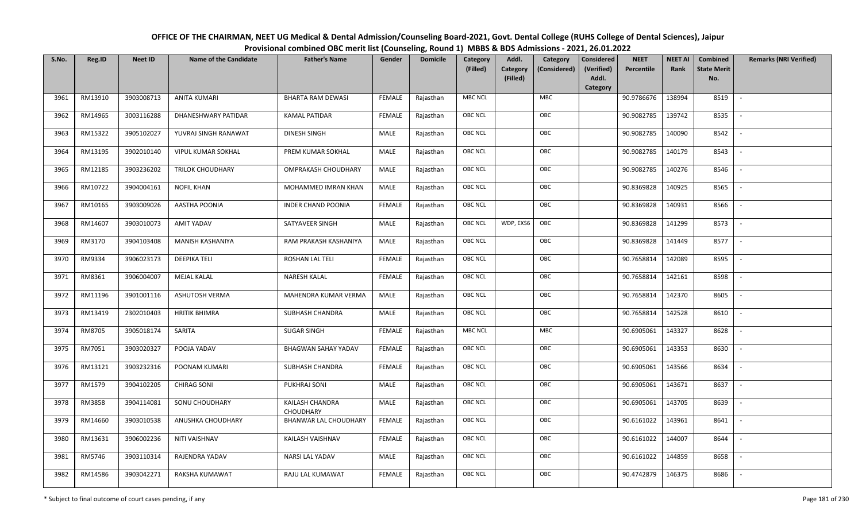| OFFICE OF THE CHAIRMAN, NEET UG Medical & Dental Admission/Counseling Board-2021, Govt. Dental College (RUHS College of Dental Sciences), Jaipur |
|--------------------------------------------------------------------------------------------------------------------------------------------------|
| Provisional combined OBC merit list (Counseling, Round 1) MBBS & BDS Admissions - 2021, 26.01.2022                                               |

| S.No. | Reg.ID  | <b>Neet ID</b> | <b>Name of the Candidate</b> | <b>Father's Name</b>         | Gender        | <b>Domicile</b> | <b>Category</b><br>(Filled) | Addl.<br>Category<br>(Filled) | Category<br>(Considered) | <b>Considered</b><br>(Verified)<br>Addl. | <b>NEET</b><br>Percentile | <b>NEET AI</b><br>Rank | Combined<br><b>State Merit</b><br>No. | <b>Remarks (NRI Verified)</b> |
|-------|---------|----------------|------------------------------|------------------------------|---------------|-----------------|-----------------------------|-------------------------------|--------------------------|------------------------------------------|---------------------------|------------------------|---------------------------------------|-------------------------------|
|       |         |                |                              |                              |               |                 |                             |                               |                          | Category                                 |                           |                        |                                       |                               |
| 3961  | RM13910 | 3903008713     | <b>ANITA KUMARI</b>          | <b>BHARTA RAM DEWASI</b>     | <b>FEMALE</b> | Rajasthan       | <b>MBC NCL</b>              |                               | <b>MBC</b>               |                                          | 90.9786676                | 138994                 | 8519                                  | $\blacksquare$                |
| 3962  | RM14965 | 3003116288     | DHANESHWARY PATIDAR          | <b>KAMAL PATIDAR</b>         | <b>FEMALE</b> | Rajasthan       | <b>OBC NCL</b>              |                               | OBC                      |                                          | 90.9082785                | 139742                 | 8535                                  |                               |
| 3963  | RM15322 | 3905102027     | YUVRAJ SINGH RANAWAT         | <b>DINESH SINGH</b>          | MALE          | Rajasthan       | <b>OBC NCL</b>              |                               | OBC                      |                                          | 90.9082785                | 140090                 | 8542                                  |                               |
| 3964  | RM13195 | 3902010140     | <b>VIPUL KUMAR SOKHAL</b>    | PREM KUMAR SOKHAL            | <b>MALE</b>   | Rajasthan       | <b>OBC NCL</b>              |                               | OBC                      |                                          | 90.9082785                | 140179                 | 8543                                  | $\overline{\phantom{a}}$      |
| 3965  | RM12185 | 3903236202     | TRILOK CHOUDHARY             | OMPRAKASH CHOUDHARY          | MALE          | Rajasthan       | <b>OBC NCL</b>              |                               | OBC                      |                                          | 90.9082785                | 140276                 | 8546                                  | $\overline{\phantom{a}}$      |
| 3966  | RM10722 | 3904004161     | <b>NOFIL KHAN</b>            | MOHAMMED IMRAN KHAN          | MALE          | Rajasthan       | <b>OBC NCL</b>              |                               | OBC                      |                                          | 90.8369828                | 140925                 | 8565                                  | $\overline{\phantom{a}}$      |
| 3967  | RM10165 | 3903009026     | <b>AASTHA POONIA</b>         | <b>INDER CHAND POONIA</b>    | <b>FEMALE</b> | Rajasthan       | OBC NCL                     |                               | OBC                      |                                          | 90.8369828                | 140931                 | 8566                                  |                               |
| 3968  | RM14607 | 3903010073     | AMIT YADAV                   | SATYAVEER SINGH              | MALE          | Rajasthan       | <b>OBC NCL</b>              | WDP, EXS6                     | OBC                      |                                          | 90.8369828                | 141299                 | 8573                                  |                               |
| 3969  | RM3170  | 3904103408     | <b>MANISH KASHANIYA</b>      | RAM PRAKASH KASHANIYA        | MALE          | Rajasthan       | <b>OBC NCL</b>              |                               | OBC                      |                                          | 90.8369828                | 141449                 | 8577                                  | $\overline{\phantom{a}}$      |
| 3970  | RM9334  | 3906023173     | <b>DEEPIKA TELI</b>          | <b>ROSHAN LAL TELI</b>       | <b>FEMALE</b> | Rajasthan       | <b>OBC NCL</b>              |                               | OBC                      |                                          | 90.7658814                | 142089                 | 8595                                  |                               |
| 3971  | RM8361  | 3906004007     | <b>MEJAL KALAL</b>           | <b>NARESH KALAL</b>          | <b>FEMALE</b> | Rajasthan       | <b>OBC NCL</b>              |                               | OBC                      |                                          | 90.7658814                | 142161                 | 8598                                  |                               |
| 3972  | RM11196 | 3901001116     | <b>ASHUTOSH VERMA</b>        | MAHENDRA KUMAR VERMA         | MALE          | Rajasthan       | <b>OBC NCL</b>              |                               | OBC                      |                                          | 90.7658814                | 142370                 | 8605                                  |                               |
| 3973  | RM13419 | 2302010403     | <b>HRITIK BHIMRA</b>         | SUBHASH CHANDRA              | MALE          | Rajasthan       | <b>OBC NCL</b>              |                               | OBC                      |                                          | 90.7658814                | 142528                 | 8610                                  |                               |
| 3974  | RM8705  | 3905018174     | SARITA                       | <b>SUGAR SINGH</b>           | <b>FEMALE</b> | Rajasthan       | <b>MBC NCL</b>              |                               | MBC                      |                                          | 90.6905061                | 143327                 | 8628                                  | $\sim$                        |
| 3975  | RM7051  | 3903020327     | POOJA YADAV                  | <b>BHAGWAN SAHAY YADAV</b>   | <b>FEMALE</b> | Rajasthan       | OBC NCL                     |                               | OBC                      |                                          | 90.6905061                | 143353                 | 8630                                  | $\overline{\phantom{a}}$      |
| 3976  | RM13121 | 3903232316     | POONAM KUMARI                | SUBHASH CHANDRA              | <b>FEMALE</b> | Rajasthan       | <b>OBC NCL</b>              |                               | OBC                      |                                          | 90.6905061                | 143566                 | 8634                                  |                               |
| 3977  | RM1579  | 3904102205     | <b>CHIRAG SONI</b>           | PUKHRAJ SONI                 | MALE          | Rajasthan       | OBC NCL                     |                               | OBC                      |                                          | 90.6905061                | 143671                 | 8637                                  | $\overline{\phantom{a}}$      |
| 3978  | RM3858  | 3904114081     | SONU CHOUDHARY               | KAILASH CHANDRA<br>CHOUDHARY | MALE          | Rajasthan       | <b>OBC NCL</b>              |                               | OBC                      |                                          | 90.6905061                | 143705                 | 8639                                  |                               |
| 3979  | RM14660 | 3903010538     | ANUSHKA CHOUDHARY            | BHANWAR LAL CHOUDHARY        | <b>FEMALE</b> | Rajasthan       | OBC NCL                     |                               | OBC                      |                                          | 90.6161022                | 143961                 | 8641                                  |                               |
| 3980  | RM13631 | 3906002236     | NITI VAISHNAV                | KAILASH VAISHNAV             | <b>FEMALE</b> | Rajasthan       | <b>OBC NCL</b>              |                               | OBC                      |                                          | 90.6161022                | 144007                 | 8644                                  |                               |
| 3981  | RM5746  | 3903110314     | RAJENDRA YADAV               | NARSI LAL YADAV              | MALE          | Rajasthan       | <b>OBC NCL</b>              |                               | OBC                      |                                          | 90.6161022                | 144859                 | 8658                                  |                               |
| 3982  | RM14586 | 3903042271     | <b>RAKSHA KUMAWAT</b>        | RAJU LAL KUMAWAT             | <b>FEMALE</b> | Rajasthan       | <b>OBC NCL</b>              |                               | OBC                      |                                          | 90.4742879                | 146375                 | 8686                                  |                               |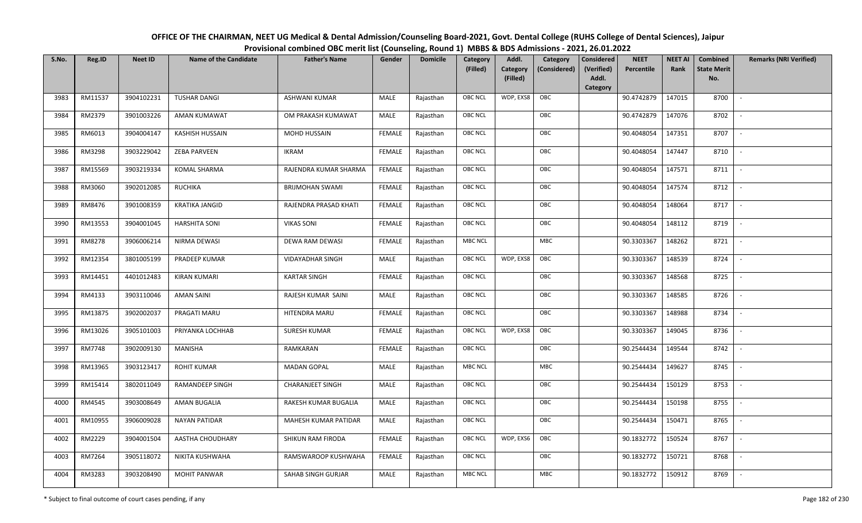| OFFICE OF THE CHAIRMAN, NEET UG Medical & Dental Admission/Counseling Board-2021, Govt. Dental College (RUHS College of Dental Sciences), Jaipur |
|--------------------------------------------------------------------------------------------------------------------------------------------------|
| Provisional combined OBC merit list (Counseling, Round 1) MBBS & BDS Admissions - 2021, 26.01.2022                                               |

| S.No. | Reg.ID        | <b>Neet ID</b> | <b>Name of the Candidate</b> | <b>Father's Name</b>    | Gender        | <b>Domicile</b> | <b>Category</b> | Addl.                | Category     | <b>Considered</b>   | <b>NEET</b> | <b>NEET AI</b> | Combined                  | <b>Remarks (NRI Verified)</b> |
|-------|---------------|----------------|------------------------------|-------------------------|---------------|-----------------|-----------------|----------------------|--------------|---------------------|-------------|----------------|---------------------------|-------------------------------|
|       |               |                |                              |                         |               |                 | (Filled)        | Category<br>(Filled) | (Considered) | (Verified)<br>Addl. | Percentile  | Rank           | <b>State Merit</b><br>No. |                               |
|       |               |                |                              |                         |               |                 |                 |                      |              | <b>Category</b>     |             |                |                           |                               |
| 3983  | RM11537       | 3904102231     | <b>TUSHAR DANGI</b>          | <b>ASHWANI KUMAR</b>    | MALE          | Rajasthan       | <b>OBC NCL</b>  | WDP, EXS8            | OBC          |                     | 90.4742879  | 147015         | 8700                      | $\sim$                        |
| 3984  | RM2379        | 3901003226     | AMAN KUMAWAT                 | OM PRAKASH KUMAWAT      | MALE          | Rajasthan       | <b>OBC NCL</b>  |                      | OBC          |                     | 90.4742879  | 147076         | 8702                      |                               |
| 3985  | RM6013        | 3904004147     | <b>KASHISH HUSSAIN</b>       | MOHD HUSSAIN            | <b>FEMALE</b> | Rajasthan       | <b>OBC NCL</b>  |                      | OBC          |                     | 90.4048054  | 147351         | 8707                      | $\sim$                        |
| 3986  | RM3298        | 3903229042     | <b>ZEBA PARVEEN</b>          | <b>IKRAM</b>            | <b>FEMALE</b> | Rajasthan       | <b>OBC NCL</b>  |                      | OBC          |                     | 90.4048054  | 147447         | 8710                      | $\overline{\phantom{a}}$      |
| 3987  | RM15569       | 3903219334     | <b>KOMAL SHARMA</b>          | RAJENDRA KUMAR SHARMA   | <b>FEMALE</b> | Rajasthan       | OBC NCL         |                      | OBC          |                     | 90.4048054  | 147571         | 8711                      | $\sim$                        |
| 3988  | RM3060        | 3902012085     | <b>RUCHIKA</b>               | <b>BRIJMOHAN SWAMI</b>  | <b>FEMALE</b> | Rajasthan       | <b>OBC NCL</b>  |                      | OBC          |                     | 90.4048054  | 147574         | 8712                      | $\overline{\phantom{a}}$      |
| 3989  | RM8476        | 3901008359     | <b>KRATIKA JANGID</b>        | RAJENDRA PRASAD KHATI   | <b>FEMALE</b> | Rajasthan       | <b>OBC NCL</b>  |                      | OBC          |                     | 90.4048054  | 148064         | 8717                      | $\overline{\phantom{a}}$      |
| 3990  | RM13553       | 3904001045     | <b>HARSHITA SONI</b>         | <b>VIKAS SONI</b>       | <b>FEMALE</b> | Rajasthan       | <b>OBC NCL</b>  |                      | OBC          |                     | 90.4048054  | 148112         | 8719                      |                               |
| 3991  | RM8278        | 3906006214     | NIRMA DEWASI                 | <b>DEWA RAM DEWASI</b>  | <b>FEMALE</b> | Rajasthan       | <b>MBC NCL</b>  |                      | MBC          |                     | 90.3303367  | 148262         | 8721                      |                               |
| 3992  | RM12354       | 3801005199     | PRADEEP KUMAR                | VIDAYADHAR SINGH        | MALE          | Rajasthan       | <b>OBC NCL</b>  | WDP, EXS8            | OBC          |                     | 90.3303367  | 148539         | 8724                      | $\overline{\phantom{a}}$      |
| 3993  | RM14451       | 4401012483     | <b>KIRAN KUMARI</b>          | <b>KARTAR SINGH</b>     | <b>FEMALE</b> | Rajasthan       | <b>OBC NCL</b>  |                      | OBC          |                     | 90.3303367  | 148568         | 8725                      |                               |
| 3994  | RM4133        | 3903110046     | <b>AMAN SAINI</b>            | RAJESH KUMAR SAINI      | MALE          | Rajasthan       | OBC NCL         |                      | OBC          |                     | 90.3303367  | 148585         | 8726                      | $\sim$                        |
| 3995  | RM13875       | 3902002037     | PRAGATI MARU                 | HITENDRA MARU           | FEMALE        | Rajasthan       | <b>OBC NCL</b>  |                      | OBC          |                     | 90.3303367  | 148988         | 8734                      |                               |
| 3996  | RM13026       | 3905101003     | PRIYANKA LOCHHAB             | <b>SURESH KUMAR</b>     | <b>FEMALE</b> | Rajasthan       | OBC NCL         | WDP, EXS8            | OBC          |                     | 90.3303367  | 149045         | 8736                      | $\overline{\phantom{a}}$      |
| 3997  | <b>RM7748</b> | 3902009130     | MANISHA                      | RAMKARAN                | <b>FEMALE</b> | Rajasthan       | OBC NCL         |                      | OBC          |                     | 90.2544434  | 149544         | 8742                      | $\overline{\phantom{a}}$      |
| 3998  | RM13965       | 3903123417     | <b>ROHIT KUMAR</b>           | <b>MADAN GOPAL</b>      | MALE          | Rajasthan       | <b>MBC NCL</b>  |                      | <b>MBC</b>   |                     | 90.2544434  | 149627         | 8745                      | $\sim$                        |
| 3999  | RM15414       | 3802011049     | RAMANDEEP SINGH              | <b>CHARANJEET SINGH</b> | MALE          | Rajasthan       | <b>OBC NCL</b>  |                      | OBC          |                     | 90.2544434  | 150129         | 8753                      | $\overline{\phantom{a}}$      |
| 4000  | RM4545        | 3903008649     | AMAN BUGALIA                 | RAKESH KUMAR BUGALIA    | MALE          | Rajasthan       | <b>OBC NCL</b>  |                      | OBC          |                     | 90.2544434  | 150198         | 8755                      |                               |
| 4001  | RM10955       | 3906009028     | <b>NAYAN PATIDAR</b>         | MAHESH KUMAR PATIDAR    | MALE          | Rajasthan       | OBC NCL         |                      | OBC          |                     | 90.2544434  | 150471         | 8765                      |                               |
| 4002  | RM2229        | 3904001504     | AASTHA CHOUDHARY             | SHIKUN RAM FIRODA       | <b>FEMALE</b> | Rajasthan       | <b>OBC NCL</b>  | WDP, EXS6            | OBC          |                     | 90.1832772  | 150524         | 8767                      |                               |
| 4003  | RM7264        | 3905118072     | NIKITA KUSHWAHA              | RAMSWAROOP KUSHWAHA     | <b>FEMALE</b> | Rajasthan       | <b>OBC NCL</b>  |                      | OBC          |                     | 90.1832772  | 150721         | 8768                      |                               |
| 4004  | RM3283        | 3903208490     | <b>MOHIT PANWAR</b>          | SAHAB SINGH GURJAR      | MALE          | Rajasthan       | <b>MBC NCL</b>  |                      | MBC          |                     | 90.1832772  | 150912         | 8769                      |                               |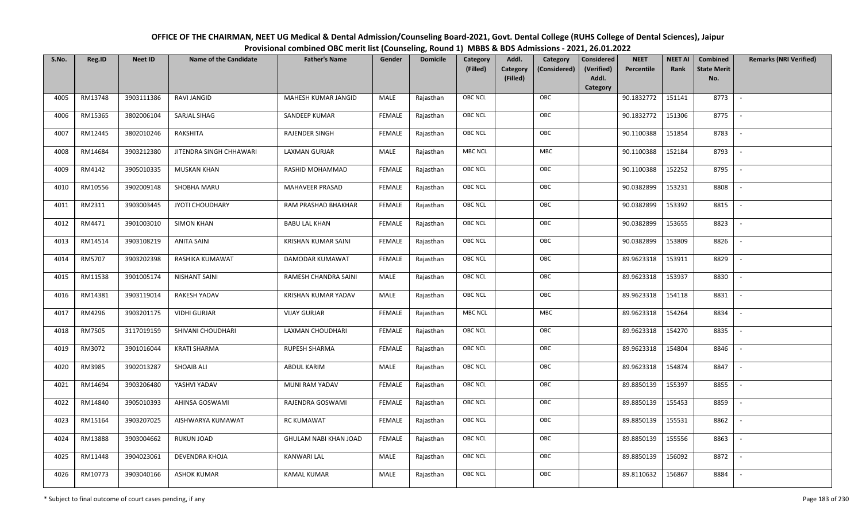| OFFICE OF THE CHAIRMAN, NEET UG Medical & Dental Admission/Counseling Board-2021, Govt. Dental College (RUHS College of Dental Sciences), Jaipur |
|--------------------------------------------------------------------------------------------------------------------------------------------------|
| Provisional combined OBC merit list (Counseling, Round 1) MBBS & BDS Admissions - 2021, 26.01.2022                                               |

| S.No. | Reg.ID  | <b>Neet ID</b> | <b>Name of the Candidate</b> | <b>Father's Name</b>  | Gender        | <b>Domicile</b> | Category<br>(Filled) | Addl.<br>Category | Category<br>(Considered) | <b>Considered</b><br>(Verified) | <b>NEET</b><br>Percentile | <b>NEET AI</b><br>Rank | Combined<br><b>State Merit</b> | <b>Remarks (NRI Verified)</b> |
|-------|---------|----------------|------------------------------|-----------------------|---------------|-----------------|----------------------|-------------------|--------------------------|---------------------------------|---------------------------|------------------------|--------------------------------|-------------------------------|
|       |         |                |                              |                       |               |                 |                      | (Filled)          |                          | Addl.<br>Category               |                           |                        | No.                            |                               |
| 4005  | RM13748 | 3903111386     | RAVI JANGID                  | MAHESH KUMAR JANGID   | MALE          | Rajasthan       | <b>OBC NCL</b>       |                   | OBC                      |                                 | 90.1832772                | 151141                 | 8773                           | $\sim$                        |
| 4006  | RM15365 | 3802006104     | SARJAL SIHAG                 | SANDEEP KUMAR         | <b>FEMALE</b> | Rajasthan       | OBC NCL              |                   | OBC                      |                                 | 90.1832772                | 151306                 | 8775                           |                               |
| 4007  | RM12445 | 3802010246     | RAKSHITA                     | <b>RAJENDER SINGH</b> | <b>FEMALE</b> | Rajasthan       | <b>OBC NCL</b>       |                   | OBC                      |                                 | 90.1100388                | 151854                 | 8783                           |                               |
| 4008  | RM14684 | 3903212380     | JITENDRA SINGH CHHAWARI      | LAXMAN GURJAR         | MALE          | Rajasthan       | <b>MBC NCL</b>       |                   | MBC                      |                                 | 90.1100388                | 152184                 | 8793                           | $\overline{\phantom{a}}$      |
| 4009  | RM4142  | 3905010335     | <b>MUSKAN KHAN</b>           | RASHID MOHAMMAD       | <b>FEMALE</b> | Rajasthan       | OBC NCL              |                   | OBC                      |                                 | 90.1100388                | 152252                 | 8795                           | $\sim$                        |
| 4010  | RM10556 | 3902009148     | SHOBHA MARU                  | MAHAVEER PRASAD       | <b>FEMALE</b> | Rajasthan       | OBC NCL              |                   | OBC                      |                                 | 90.0382899                | 153231                 | 8808                           | $\overline{\phantom{a}}$      |
| 4011  | RM2311  | 3903003445     | JYOTI CHOUDHARY              | RAM PRASHAD BHAKHAR   | <b>FEMALE</b> | Rajasthan       | OBC NCL              |                   | OBC                      |                                 | 90.0382899                | 153392                 | 8815                           | $\overline{\phantom{a}}$      |
| 4012  | RM4471  | 3901003010     | <b>SIMON KHAN</b>            | <b>BABU LAL KHAN</b>  | <b>FEMALE</b> | Rajasthan       | OBC NCL              |                   | OBC                      |                                 | 90.0382899                | 153655                 | 8823                           |                               |
| 4013  | RM14514 | 3903108219     | <b>ANITA SAINI</b>           | KRISHAN KUMAR SAINI   | <b>FEMALE</b> | Rajasthan       | OBC NCL              |                   | OBC                      |                                 | 90.0382899                | 153809                 | 8826                           |                               |
| 4014  | RM5707  | 3903202398     | RASHIKA KUMAWAT              | DAMODAR KUMAWAT       | <b>FEMALE</b> | Rajasthan       | OBC NCL              |                   | OBC                      |                                 | 89.9623318                | 153911                 | 8829                           |                               |
| 4015  | RM11538 | 3901005174     | <b>NISHANT SAINI</b>         | RAMESH CHANDRA SAINI  | MALE          | Rajasthan       | <b>OBC NCL</b>       |                   | OBC                      |                                 | 89.9623318                | 153937                 | 8830                           |                               |
| 4016  | RM14381 | 3903119014     | RAKESH YADAV                 | KRISHAN KUMAR YADAV   | MALE          | Rajasthan       | OBC NCL              |                   | OBC                      |                                 | 89.9623318                | 154118                 | 8831                           | $\sim$                        |
| 4017  | RM4296  | 3903201175     | <b>VIDHI GURJAR</b>          | <b>VIJAY GURJAR</b>   | FEMALE        | Rajasthan       | MBC NCL              |                   | <b>MBC</b>               |                                 | 89.9623318                | 154264                 | 8834                           |                               |
| 4018  | RM7505  | 3117019159     | SHIVANI CHOUDHARI            | LAXMAN CHOUDHARI      | <b>FEMALE</b> | Rajasthan       | OBC NCL              |                   | OBC                      |                                 | 89.9623318                | 154270                 | 8835                           | $\overline{\phantom{a}}$      |
| 4019  | RM3072  | 3901016044     | <b>KRATI SHARMA</b>          | RUPESH SHARMA         | <b>FEMALE</b> | Rajasthan       | OBC NCL              |                   | OBC                      |                                 | 89.9623318                | 154804                 | 8846                           | $\overline{\phantom{a}}$      |
| 4020  | RM3985  | 3902013287     | <b>SHOAIB ALI</b>            | ABDUL KARIM           | MALE          | Rajasthan       | <b>OBC NCL</b>       |                   | OBC                      |                                 | 89.9623318                | 154874                 | 8847                           | $\overline{\phantom{a}}$      |
| 4021  | RM14694 | 3903206480     | YASHVI YADAV                 | MUNI RAM YADAV        | <b>FEMALE</b> | Rajasthan       | <b>OBC NCL</b>       |                   | OBC                      |                                 | 89.8850139                | 155397                 | 8855                           | $\overline{\phantom{a}}$      |
| 4022  | RM14840 | 3905010393     | AHINSA GOSWAMI               | RAJENDRA GOSWAMI      | <b>FEMALE</b> | Rajasthan       | OBC NCL              |                   | OBC                      |                                 | 89.8850139                | 155453                 | 8859                           |                               |
| 4023  | RM15164 | 3903207025     | AISHWARYA KUMAWAT            | <b>RC KUMAWAT</b>     | <b>FEMALE</b> | Rajasthan       | <b>OBC NCL</b>       |                   | OBC                      |                                 | 89.8850139                | 155531                 | 8862                           |                               |
| 4024  | RM13888 | 3903004662     | RUKUN JOAD                   | GHULAM NABI KHAN JOAD | <b>FEMALE</b> | Rajasthan       | OBC NCL              |                   | OBC                      |                                 | 89.8850139                | 155556                 | 8863                           | $\overline{\phantom{a}}$      |
| 4025  | RM11448 | 3904023061     | DEVENDRA KHOJA               | <b>KANWARI LAL</b>    | <b>MALE</b>   | Rajasthan       | OBC NCL              |                   | OBC                      |                                 | 89.8850139                | 156092                 | 8872                           |                               |
| 4026  | RM10773 | 3903040166     | <b>ASHOK KUMAR</b>           | <b>KAMAL KUMAR</b>    | MALE          | Rajasthan       | <b>OBC NCL</b>       |                   | OBC                      |                                 | 89.8110632                | 156867                 | 8884                           |                               |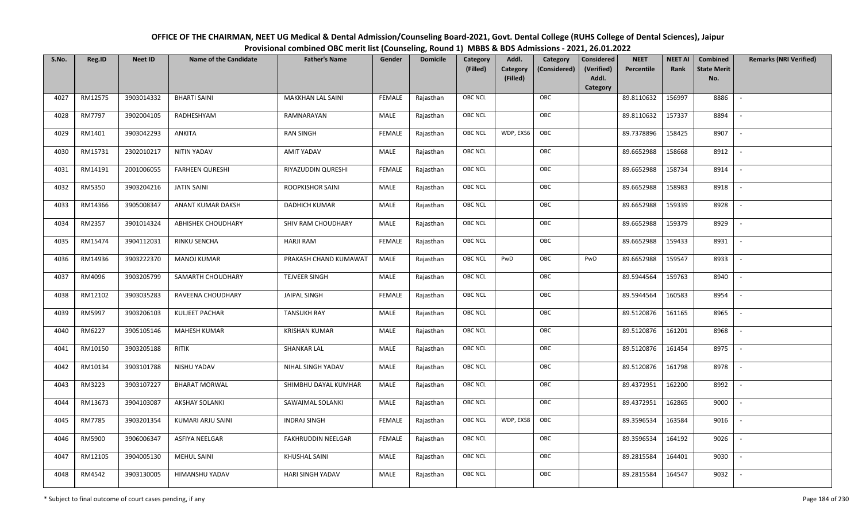| OFFICE OF THE CHAIRMAN, NEET UG Medical & Dental Admission/Counseling Board-2021, Govt. Dental College (RUHS College of Dental Sciences), Jaipur |
|--------------------------------------------------------------------------------------------------------------------------------------------------|
| Provisional combined OBC merit list (Counseling, Round 1) MBBS & BDS Admissions - 2021, 26.01.2022                                               |

| S.No. | Reg.ID        | <b>Neet ID</b> | <b>Name of the Candidate</b> | <b>Father's Name</b>    | Gender        | <b>Domicile</b> | <b>Category</b> | Addl.                | Category     | <b>Considered</b>   | <b>NEET</b> | <b>NEET AI</b> | Combined                  | <b>Remarks (NRI Verified)</b> |
|-------|---------------|----------------|------------------------------|-------------------------|---------------|-----------------|-----------------|----------------------|--------------|---------------------|-------------|----------------|---------------------------|-------------------------------|
|       |               |                |                              |                         |               |                 | (Filled)        | Category<br>(Filled) | (Considered) | (Verified)<br>Addl. | Percentile  | Rank           | <b>State Merit</b><br>No. |                               |
|       |               |                |                              |                         |               |                 |                 |                      |              | <b>Category</b>     |             |                |                           |                               |
| 4027  | RM12575       | 3903014332     | <b>BHARTI SAINI</b>          | MAKKHAN LAL SAINI       | <b>FEMALE</b> | Rajasthan       | <b>OBC NCL</b>  |                      | OBC          |                     | 89.8110632  | 156997         | 8886                      |                               |
| 4028  | <b>RM7797</b> | 3902004105     | RADHESHYAM                   | RAMNARAYAN              | MALE          | Rajasthan       | <b>OBC NCL</b>  |                      | OBC          |                     | 89.8110632  | 157337         | 8894                      |                               |
| 4029  | RM1401        | 3903042293     | ANKITA                       | <b>RAN SINGH</b>        | <b>FEMALE</b> | Rajasthan       | OBC NCL         | WDP, EXS6            | OBC          |                     | 89.7378896  | 158425         | 8907                      | $\sim$                        |
| 4030  | RM15731       | 2302010217     | <b>NITIN YADAV</b>           | <b>AMIT YADAV</b>       | MALE          | Rajasthan       | <b>OBC NCL</b>  |                      | OBC          |                     | 89.6652988  | 158668         | 8912                      | $\overline{\phantom{a}}$      |
| 4031  | RM14191       | 2001006055     | <b>FARHEEN QURESHI</b>       | RIYAZUDDIN QURESHI      | <b>FEMALE</b> | Rajasthan       | OBC NCL         |                      | OBC          |                     | 89.6652988  | 158734         | 8914                      | $\sim$                        |
| 4032  | RM5350        | 3903204216     | <b>JATIN SAINI</b>           | ROOPKISHOR SAINI        | MALE          | Rajasthan       | <b>OBC NCL</b>  |                      | OBC          |                     | 89.6652988  | 158983         | 8918                      |                               |
| 4033  | RM14366       | 3905008347     | ANANT KUMAR DAKSH            | DADHICH KUMAR           | MALE          | Rajasthan       | <b>OBC NCL</b>  |                      | OBC          |                     | 89.6652988  | 159339         | 8928                      |                               |
| 4034  | RM2357        | 3901014324     | ABHISHEK CHOUDHARY           | SHIV RAM CHOUDHARY      | MALE          | Rajasthan       | <b>OBC NCL</b>  |                      | OBC          |                     | 89.6652988  | 159379         | 8929                      |                               |
| 4035  | RM15474       | 3904112031     | <b>RINKU SENCHA</b>          | <b>HARJI RAM</b>        | <b>FEMALE</b> | Rajasthan       | <b>OBC NCL</b>  |                      | OBC          |                     | 89.6652988  | 159433         | 8931                      |                               |
| 4036  | RM14936       | 3903222370     | <b>MANOJ KUMAR</b>           | PRAKASH CHAND KUMAWAT   | MALE          | Rajasthan       | <b>OBC NCL</b>  | PwD                  | OBC          | PwD                 | 89.6652988  | 159547         | 8933                      | $\overline{\phantom{a}}$      |
| 4037  | RM4096        | 3903205799     | SAMARTH CHOUDHARY            | <b>TEJVEER SINGH</b>    | MALE          | Rajasthan       | <b>OBC NCL</b>  |                      | OBC          |                     | 89.5944564  | 159763         | 8940                      |                               |
| 4038  | RM12102       | 3903035283     | RAVEENA CHOUDHARY            | <b>JAIPAL SINGH</b>     | <b>FEMALE</b> | Rajasthan       | OBC NCL         |                      | OBC          |                     | 89.5944564  | 160583         | 8954                      | $\overline{\phantom{a}}$      |
| 4039  | RM5997        | 3903206103     | KULJEET PACHAR               | <b>TANSUKH RAY</b>      | MALE          | Rajasthan       | <b>OBC NCL</b>  |                      | OBC          |                     | 89.5120876  | 161165         | 8965                      |                               |
| 4040  | RM6227        | 3905105146     | <b>MAHESH KUMAR</b>          | <b>KRISHAN KUMAR</b>    | MALE          | Rajasthan       | OBC NCL         |                      | OBC          |                     | 89.5120876  | 161201         | 8968                      | $\overline{\phantom{a}}$      |
| 4041  | RM10150       | 3903205188     | <b>RITIK</b>                 | SHANKAR LAL             | MALE          | Rajasthan       | OBC NCL         |                      | OBC          |                     | 89.5120876  | 161454         | 8975                      | $\overline{\phantom{a}}$      |
| 4042  | RM10134       | 3903101788     | NISHU YADAV                  | NIHAL SINGH YADAV       | MALE          | Rajasthan       | <b>OBC NCL</b>  |                      | OBC          |                     | 89.5120876  | 161798         | 8978                      | $\sim$                        |
| 4043  | RM3223        | 3903107227     | <b>BHARAT MORWAL</b>         | SHIMBHU DAYAL KUMHAR    | MALE          | Rajasthan       | OBC NCL         |                      | OBC          |                     | 89.4372951  | 162200         | 8992                      | $\overline{\phantom{a}}$      |
| 4044  | RM13673       | 3904103087     | <b>AKSHAY SOLANKI</b>        | SAWAIMAL SOLANKI        | MALE          | Rajasthan       | <b>OBC NCL</b>  |                      | OBC          |                     | 89.4372951  | 162865         | 9000                      |                               |
| 4045  | RM7785        | 3903201354     | KUMARI ARJU SAINI            | <b>INDRAJ SINGH</b>     | <b>FEMALE</b> | Rajasthan       | OBC NCL         | WDP, EXS8            | OBC          |                     | 89.3596534  | 163584         | 9016                      |                               |
| 4046  | RM5900        | 3906006347     | ASFIYA NEELGAR               | FAKHRUDDIN NEELGAR      | <b>FEMALE</b> | Rajasthan       | <b>OBC NCL</b>  |                      | OBC          |                     | 89.3596534  | 164192         | 9026                      |                               |
| 4047  | RM12105       | 3904005130     | <b>MEHUL SAINI</b>           | KHUSHAL SAINI           | MALE          | Rajasthan       | <b>OBC NCL</b>  |                      | OBC          |                     | 89.2815584  | 164401         | 9030                      |                               |
| 4048  | RM4542        | 3903130005     | HIMANSHU YADAV               | <b>HARI SINGH YADAV</b> | MALE          | Rajasthan       | <b>OBC NCL</b>  |                      | OBC          |                     | 89.2815584  | 164547         | 9032                      |                               |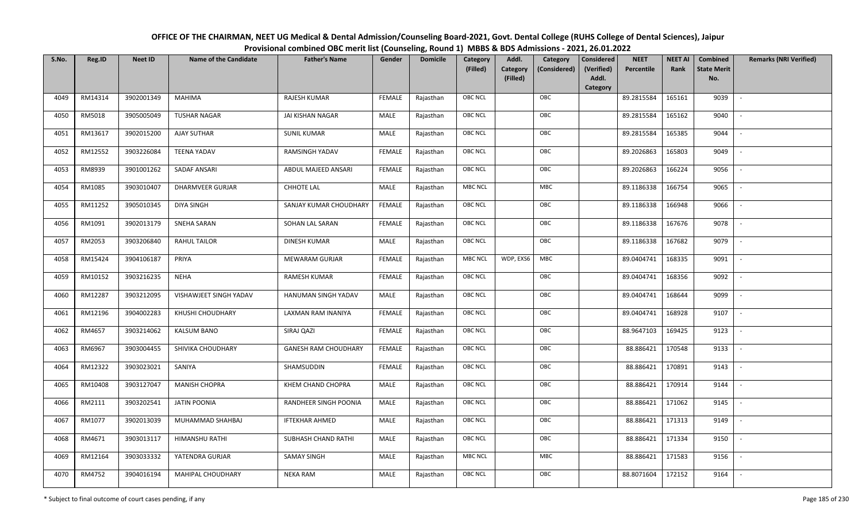| OFFICE OF THE CHAIRMAN, NEET UG Medical & Dental Admission/Counseling Board-2021, Govt. Dental College (RUHS College of Dental Sciences), Jaipur |
|--------------------------------------------------------------------------------------------------------------------------------------------------|
| Provisional combined OBC merit list (Counseling, Round 1) MBBS & BDS Admissions - 2021, 26.01.2022                                               |

| S.No. | Reg.ID  | <b>Neet ID</b> | <b>Name of the Candidate</b> | <b>Father's Name</b>        | Gender        | <b>Domicile</b> | Category<br>(Filled) | Addl.<br><b>Category</b><br>(Filled) | Category<br>(Considered) | <b>Considered</b><br>(Verified)<br>Addl. | <b>NEET</b><br>Percentile | <b>NEET AI</b><br>Rank | Combined<br><b>State Merit</b><br>No. | <b>Remarks (NRI Verified)</b> |
|-------|---------|----------------|------------------------------|-----------------------------|---------------|-----------------|----------------------|--------------------------------------|--------------------------|------------------------------------------|---------------------------|------------------------|---------------------------------------|-------------------------------|
|       |         |                |                              |                             |               |                 |                      |                                      |                          | Category                                 |                           |                        |                                       |                               |
| 4049  | RM14314 | 3902001349     | <b>MAHIMA</b>                | RAJESH KUMAR                | <b>FEMALE</b> | Rajasthan       | <b>OBC NCL</b>       |                                      | OBC                      |                                          | 89.2815584                | 165161                 | 9039                                  | $\blacksquare$                |
| 4050  | RM5018  | 3905005049     | <b>TUSHAR NAGAR</b>          | JAI KISHAN NAGAR            | MALE          | Rajasthan       | OBC NCL              |                                      | OBC                      |                                          | 89.2815584                | 165162                 | 9040                                  |                               |
| 4051  | RM13617 | 3902015200     | <b>AJAY SUTHAR</b>           | <b>SUNIL KUMAR</b>          | MALE          | Rajasthan       | <b>OBC NCL</b>       |                                      | OBC                      |                                          | 89.2815584                | 165385                 | 9044                                  |                               |
| 4052  | RM12552 | 3903226084     | <b>TEENA YADAV</b>           | RAMSINGH YADAV              | <b>FEMALE</b> | Rajasthan       | OBC NCL              |                                      | OBC                      |                                          | 89.2026863                | 165803                 | 9049                                  | $\overline{\phantom{a}}$      |
| 4053  | RM8939  | 3901001262     | <b>SADAF ANSARI</b>          | ABDUL MAJEED ANSARI         | <b>FEMALE</b> | Rajasthan       | <b>OBC NCL</b>       |                                      | OBC                      |                                          | 89.2026863                | 166224                 | 9056                                  | $\sim$                        |
| 4054  | RM1085  | 3903010407     | DHARMVEER GURJAR             | <b>CHHOTE LAL</b>           | MALE          | Rajasthan       | <b>MBC NCL</b>       |                                      | MBC                      |                                          | 89.1186338                | 166754                 | 9065                                  | $\overline{\phantom{a}}$      |
| 4055  | RM11252 | 3905010345     | <b>DIYA SINGH</b>            | SANJAY KUMAR CHOUDHARY      | <b>FEMALE</b> | Rajasthan       | <b>OBC NCL</b>       |                                      | OBC                      |                                          | 89.1186338                | 166948                 | 9066                                  |                               |
| 4056  | RM1091  | 3902013179     | SNEHA SARAN                  | SOHAN LAL SARAN             | <b>FEMALE</b> | Rajasthan       | OBC NCL              |                                      | OBC                      |                                          | 89.1186338                | 167676                 | 9078                                  |                               |
| 4057  | RM2053  | 3903206840     | <b>RAHUL TAILOR</b>          | DINESH KUMAR                | MALE          | Rajasthan       | <b>OBC NCL</b>       |                                      | OBC                      |                                          | 89.1186338                | 167682                 | 9079                                  |                               |
| 4058  | RM15424 | 3904106187     | PRIYA                        | MEWARAM GURJAR              | <b>FEMALE</b> | Rajasthan       | <b>MBC NCL</b>       | WDP, EXS6                            | MBC                      |                                          | 89.0404741                | 168335                 | 9091                                  |                               |
| 4059  | RM10152 | 3903216235     | <b>NEHA</b>                  | <b>RAMESH KUMAR</b>         | <b>FEMALE</b> | Rajasthan       | <b>OBC NCL</b>       |                                      | OBC                      |                                          | 89.0404741                | 168356                 | 9092                                  |                               |
| 4060  | RM12287 | 3903212095     | VISHAWJEET SINGH YADAV       | HANUMAN SINGH YADAV         | MALE          | Rajasthan       | OBC NCL              |                                      | OBC                      |                                          | 89.0404741                | 168644                 | 9099                                  |                               |
| 4061  | RM12196 | 3904002283     | KHUSHI CHOUDHARY             | LAXMAN RAM INANIYA          | <b>FEMALE</b> | Rajasthan       | <b>OBC NCL</b>       |                                      | OBC                      |                                          | 89.0404741                | 168928                 | 9107                                  |                               |
| 4062  | RM4657  | 3903214062     | <b>KALSUM BANO</b>           | SIRAJ QAZI                  | <b>FEMALE</b> | Rajasthan       | OBC NCL              |                                      | OBC                      |                                          | 88.9647103                | 169425                 | 9123                                  | $\sim$                        |
| 4063  | RM6967  | 3903004455     | SHIVIKA CHOUDHARY            | <b>GANESH RAM CHOUDHARY</b> | <b>FEMALE</b> | Rajasthan       | OBC NCL              |                                      | OBC                      |                                          | 88.886421                 | 170548                 | 9133                                  | $\overline{\phantom{a}}$      |
| 4064  | RM12322 | 3903023021     | SANIYA                       | SHAMSUDDIN                  | <b>FEMALE</b> | Rajasthan       | <b>OBC NCL</b>       |                                      | OBC                      |                                          | 88.886421                 | 170891                 | 9143                                  | $\sim$                        |
| 4065  | RM10408 | 3903127047     | <b>MANISH CHOPRA</b>         | KHEM CHAND CHOPRA           | MALE          | Rajasthan       | <b>OBC NCL</b>       |                                      | OBC                      |                                          | 88.886421                 | 170914                 | 9144                                  | $\overline{\phantom{a}}$      |
| 4066  | RM2111  | 3903202541     | <b>JATIN POONIA</b>          | RANDHEER SINGH POONIA       | MALE          | Rajasthan       | OBC NCL              |                                      | OBC                      |                                          | 88.886421                 | 171062                 | 9145                                  |                               |
| 4067  | RM1077  | 3902013039     | MUHAMMAD SHAHBAJ             | <b>IFTEKHAR AHMED</b>       | <b>MALE</b>   | Rajasthan       | <b>OBC NCL</b>       |                                      | OBC                      |                                          | 88.886421                 | 171313                 | 9149                                  |                               |
| 4068  | RM4671  | 3903013117     | HIMANSHU RATHI               | SUBHASH CHAND RATHI         | MALE          | Rajasthan       | OBC NCL              |                                      | OBC                      |                                          | 88.886421                 | 171334                 | 9150                                  |                               |
| 4069  | RM12164 | 3903033332     | YATENDRA GURJAR              | SAMAY SINGH                 | <b>MALE</b>   | Rajasthan       | <b>MBC NCL</b>       |                                      | MBC                      |                                          | 88.886421                 | 171583                 | 9156                                  |                               |
| 4070  | RM4752  | 3904016194     | <b>MAHIPAL CHOUDHARY</b>     | <b>NEKA RAM</b>             | MALE          | Rajasthan       | <b>OBC NCL</b>       |                                      | OBC                      |                                          | 88.8071604                | 172152                 | 9164                                  |                               |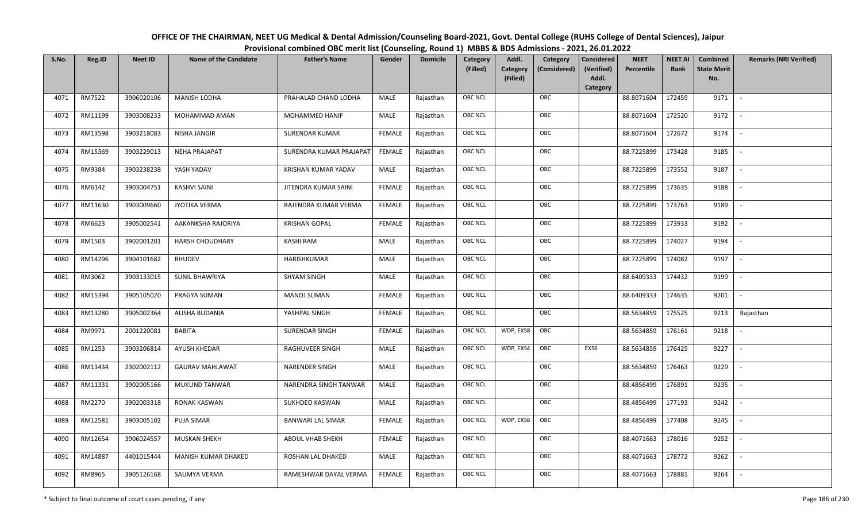| OFFICE OF THE CHAIRMAN, NEET UG Medical & Dental Admission/Counseling Board-2021, Govt. Dental College (RUHS College of Dental Sciences), Jaipur |
|--------------------------------------------------------------------------------------------------------------------------------------------------|
| Provisional combined OBC merit list (Counseling, Round 1) MBBS & BDS Admissions - 2021, 26.01.2022                                               |

| S.No. | Reg.ID  | <b>Neet ID</b> | <b>Name of the Candidate</b> | <b>Father's Name</b>     | Gender        | <b>Domicile</b> | Category<br>(Filled) | Addl.<br><b>Category</b><br>(Filled) | Category<br>(Considered) | <b>Considered</b><br>(Verified)<br>Addl. | <b>NEET</b><br>Percentile | <b>NEET AI</b><br>Rank | Combined<br><b>State Merit</b><br>No. | <b>Remarks (NRI Verified)</b> |
|-------|---------|----------------|------------------------------|--------------------------|---------------|-----------------|----------------------|--------------------------------------|--------------------------|------------------------------------------|---------------------------|------------------------|---------------------------------------|-------------------------------|
|       |         |                |                              |                          |               |                 |                      |                                      |                          | Category                                 |                           |                        |                                       |                               |
| 4071  | RM7522  | 3906020106     | <b>MANISH LODHA</b>          | PRAHALAD CHAND LODHA     | MALE          | Rajasthan       | <b>OBC NCL</b>       |                                      | OBC                      |                                          | 88.8071604                | 172459                 | 9171                                  | $\sim$                        |
| 4072  | RM11199 | 3903008233     | MOHAMMAD AMAN                | MOHAMMED HANIF           | MALE          | Rajasthan       | <b>OBC NCL</b>       |                                      | OBC                      |                                          | 88.8071604                | 172520                 | 9172                                  |                               |
| 4073  | RM13598 | 3903218083     | NISHA JANGIR                 | SURENDAR KUMAR           | <b>FEMALE</b> | Rajasthan       | OBC NCL              |                                      | OBC                      |                                          | 88.8071604                | 172672                 | 9174                                  |                               |
| 4074  | RM15369 | 3903229013     | <b>NEHA PRAJAPAT</b>         | SURENDRA KUMAR PRAJAPAT  | FEMALE        | Rajasthan       | <b>OBC NCL</b>       |                                      | OBC                      |                                          | 88.7225899                | 173428                 | 9185                                  | $\overline{\phantom{a}}$      |
| 4075  | RM9384  | 3903238238     | YASH YADAV                   | KRISHAN KUMAR YADAV      | MALE          | Rajasthan       | <b>OBC NCL</b>       |                                      | OBC                      |                                          | 88.7225899                | 173552                 | 9187                                  | $\sim$                        |
| 4076  | RM6142  | 3903004751     | <b>KASHVI SAINI</b>          | JITENDRA KUMAR SAINI     | <b>FEMALE</b> | Rajasthan       | <b>OBC NCL</b>       |                                      | OBC                      |                                          | 88.7225899                | 173635                 | 9188                                  | $\overline{\phantom{a}}$      |
| 4077  | RM11630 | 3903009660     | JYOTIKA VERMA                | RAJENDRA KUMAR VERMA     | <b>FEMALE</b> | Rajasthan       | OBC NCL              |                                      | OBC                      |                                          | 88.7225899                | 173763                 | 9189                                  |                               |
| 4078  | RM6623  | 3905002541     | AAKANKSHA RAJORIYA           | <b>KRISHAN GOPAL</b>     | <b>FEMALE</b> | Rajasthan       | <b>OBC NCL</b>       |                                      | OBC                      |                                          | 88.7225899                | 173933                 | 9192                                  |                               |
| 4079  | RM1503  | 3902001201     | <b>HARSH CHOUDHARY</b>       | <b>KASHI RAM</b>         | MALE          | Rajasthan       | OBC NCL              |                                      | OBC                      |                                          | 88.7225899                | 174027                 | 9194                                  | $\overline{\phantom{a}}$      |
| 4080  | RM14296 | 3904101682     | <b>BHUDEV</b>                | HARISHKUMAR              | <b>MALE</b>   | Rajasthan       | <b>OBC NCL</b>       |                                      | OBC                      |                                          | 88.7225899                | 174082                 | 9197                                  | $\overline{\phantom{a}}$      |
| 4081  | RM3062  | 3903133015     | <b>SUNIL BHAWRIYA</b>        | <b>SHYAM SINGH</b>       | MALE          | Rajasthan       | OBC NCL              |                                      | OBC                      |                                          | 88.6409333                | 174432                 | 9199                                  |                               |
| 4082  | RM15394 | 3905105020     | PRAGYA SUMAN                 | <b>MANOJ SUMAN</b>       | <b>FEMALE</b> | Rajasthan       | <b>OBC NCL</b>       |                                      | OBC                      |                                          | 88.6409333                | 174635                 | 9201                                  | $\overline{\phantom{a}}$      |
| 4083  | RM13280 | 3905002364     | ALISHA BUDANIA               | YASHPAL SINGH            | <b>FEMALE</b> | Rajasthan       | <b>OBC NCL</b>       |                                      | OBC                      |                                          | 88.5634859                | 175525                 | 9213                                  | Rajasthan                     |
| 4084  | RM9971  | 2001220081     | <b>BABITA</b>                | <b>SURENDAR SINGH</b>    | <b>FEMALE</b> | Rajasthan       | <b>OBC NCL</b>       | WDP, EXS8                            | OBC                      |                                          | 88.5634859                | 176161                 | 9218                                  | $\sim$                        |
| 4085  | RM1253  | 3903206814     | AYUSH KHEDAR                 | RAGHUVEER SINGH          | MALE          | Rajasthan       | <b>OBC NCL</b>       | WDP, EXS4                            | OBC                      | EXS6                                     | 88.5634859                | 176425                 | 9227                                  | $\overline{\phantom{a}}$      |
| 4086  | RM13434 | 2302002112     | <b>GAURAV MAHLAWAT</b>       | NARENDER SINGH           | MALE          | Rajasthan       | <b>OBC NCL</b>       |                                      | OBC                      |                                          | 88.5634859                | 176463                 | 9229                                  | $\overline{\phantom{a}}$      |
| 4087  | RM11331 | 3902005166     | MUKUND TANWAR                | NARENDRA SINGH TANWAR    | MALE          | Rajasthan       | OBC NCL              |                                      | OBC                      |                                          | 88.4856499                | 176891                 | 9235                                  | $\blacksquare$                |
| 4088  | RM2270  | 3902003318     | RONAK KASWAN                 | SUKHDEO KASWAN           | MALE          | Rajasthan       | <b>OBC NCL</b>       |                                      | OBC                      |                                          | 88.4856499                | 177193                 | 9242                                  |                               |
| 4089  | RM12581 | 3903005102     | PUJA SIMAR                   | <b>BANWARI LAL SIMAR</b> | <b>FEMALE</b> | Rajasthan       | OBC NCL              | WDP, EXS6                            | OBC                      |                                          | 88.4856499                | 177408                 | 9245                                  |                               |
| 4090  | RM12654 | 3906024557     | <b>MUSKAN SHEKH</b>          | ABDUL VHAB SHEKH         | <b>FEMALE</b> | Rajasthan       | <b>OBC NCL</b>       |                                      | OBC                      |                                          | 88.4071663                | 178016                 | 9252                                  |                               |
| 4091  | RM14887 | 4401015444     | MANISH KUMAR DHAKED          | ROSHAN LAL DHAKED        | MALE          | Rajasthan       | OBC NCL              |                                      | OBC                      |                                          | 88.4071663                | 178772                 | 9262                                  |                               |
| 4092  | RM8965  | 3905126168     | SAUMYA VERMA                 | RAMESHWAR DAYAL VERMA    | <b>FEMALE</b> | Rajasthan       | <b>OBC NCL</b>       |                                      | OBC                      |                                          | 88.4071663                | 178881                 | 9264                                  |                               |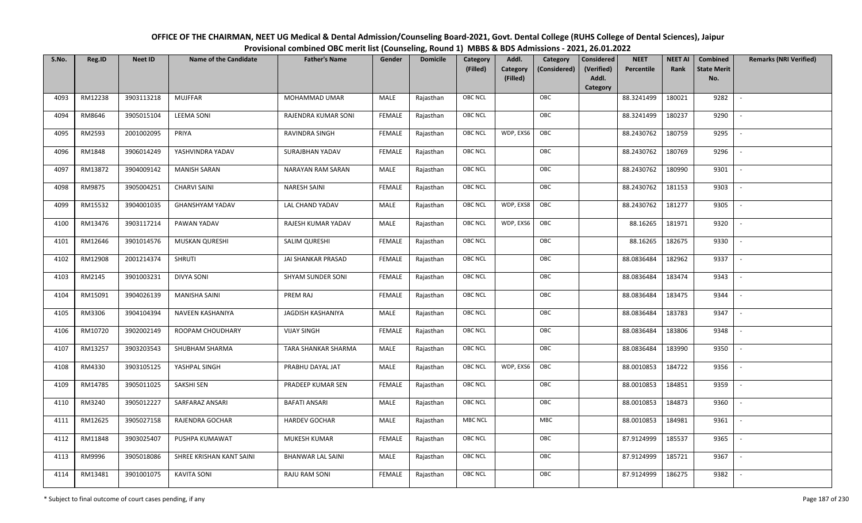| OFFICE OF THE CHAIRMAN, NEET UG Medical & Dental Admission/Counseling Board-2021, Govt. Dental College (RUHS College of Dental Sciences), Jaipur |
|--------------------------------------------------------------------------------------------------------------------------------------------------|
| Provisional combined OBC merit list (Counseling, Round 1) MBBS & BDS Admissions - 2021, 26.01.2022                                               |

| S.No. | Reg.ID  | <b>Neet ID</b> | <b>Name of the Candidate</b> | <b>Father's Name</b>     | Gender        | <b>Domicile</b> | Category<br>(Filled) | Addl.<br>Category<br>(Filled) | Category<br>(Considered) | <b>Considered</b><br>(Verified)<br>Addl. | <b>NEET</b><br>Percentile | <b>NEET AI</b><br>Rank | Combined<br><b>State Merit</b><br>No. | <b>Remarks (NRI Verified)</b> |
|-------|---------|----------------|------------------------------|--------------------------|---------------|-----------------|----------------------|-------------------------------|--------------------------|------------------------------------------|---------------------------|------------------------|---------------------------------------|-------------------------------|
|       |         |                |                              |                          |               |                 |                      |                               |                          | Category                                 |                           |                        |                                       |                               |
| 4093  | RM12238 | 3903113218     | <b>MUJFFAR</b>               | MOHAMMAD UMAR            | MALE          | Rajasthan       | OBC NCL              |                               | OBC                      |                                          | 88.3241499                | 180021                 | 9282                                  | $\overline{\phantom{a}}$      |
| 4094  | RM8646  | 3905015104     | <b>LEEMA SONI</b>            | RAJENDRA KUMAR SONI      | <b>FEMALE</b> | Rajasthan       | OBC NCL              |                               | OBC                      |                                          | 88.3241499                | 180237                 | 9290                                  |                               |
| 4095  | RM2593  | 2001002095     | PRIYA                        | RAVINDRA SINGH           | <b>FEMALE</b> | Rajasthan       | OBC NCL              | WDP, EXS6                     | OBC                      |                                          | 88.2430762                | 180759                 | 9295                                  |                               |
| 4096  | RM1848  | 3906014249     | YASHVINDRA YADAV             | SURAJBHAN YADAV          | <b>FEMALE</b> | Rajasthan       | OBC NCL              |                               | OBC                      |                                          | 88.2430762                | 180769                 | 9296                                  | $\overline{\phantom{a}}$      |
| 4097  | RM13872 | 3904009142     | <b>MANISH SARAN</b>          | <b>NARAYAN RAM SARAN</b> | MALE          | Rajasthan       | OBC NCL              |                               | OBC                      |                                          | 88.2430762                | 180990                 | 9301                                  | $\sim$                        |
| 4098  | RM9875  | 3905004251     | <b>CHARVI SAINI</b>          | <b>NARESH SAINI</b>      | <b>FEMALE</b> | Rajasthan       | OBC NCL              |                               | OBC                      |                                          | 88.2430762                | 181153                 | 9303                                  | $\overline{\phantom{a}}$      |
| 4099  | RM15532 | 3904001035     | <b>GHANSHYAM YADAV</b>       | LAL CHAND YADAV          | MALE          | Rajasthan       | OBC NCL              | WDP, EXS8                     | OBC                      |                                          | 88.2430762                | 181277                 | 9305                                  |                               |
| 4100  | RM13476 | 3903117214     | PAWAN YADAV                  | RAJESH KUMAR YADAV       | MALE          | Rajasthan       | <b>OBC NCL</b>       | WDP, EXS6                     | OBC                      |                                          | 88.16265                  | 181971                 | 9320                                  |                               |
| 4101  | RM12646 | 3901014576     | <b>MUSKAN QURESHI</b>        | SALIM QURESHI            | <b>FEMALE</b> | Rajasthan       | OBC NCL              |                               | OBC                      |                                          | 88.16265                  | 182675                 | 9330                                  |                               |
| 4102  | RM12908 | 2001214374     | <b>SHRUTI</b>                | JAI SHANKAR PRASAD       | <b>FEMALE</b> | Rajasthan       | OBC NCL              |                               | OBC                      |                                          | 88.0836484                | 182962                 | 9337                                  | $\overline{\phantom{a}}$      |
| 4103  | RM2145  | 3901003231     | <b>DIVYA SONI</b>            | SHYAM SUNDER SONI        | <b>FEMALE</b> | Rajasthan       | <b>OBC NCL</b>       |                               | OBC                      |                                          | 88.0836484                | 183474                 | 9343                                  |                               |
| 4104  | RM15091 | 3904026139     | <b>MANISHA SAINI</b>         | PREM RAJ                 | <b>FEMALE</b> | Rajasthan       | OBC NCL              |                               | OBC                      |                                          | 88.0836484                | 183475                 | 9344                                  | $\sim$                        |
| 4105  | RM3306  | 3904104394     | NAVEEN KASHANIYA             | <b>JAGDISH KASHANIYA</b> | MALE          | Rajasthan       | OBC NCL              |                               | OBC                      |                                          | 88.0836484                | 183783                 | 9347                                  |                               |
| 4106  | RM10720 | 3902002149     | ROOPAM CHOUDHARY             | <b>VIJAY SINGH</b>       | <b>FEMALE</b> | Rajasthan       | OBC NCL              |                               | OBC                      |                                          | 88.0836484                | 183806                 | 9348                                  | $\sim$                        |
| 4107  | RM13257 | 3903203543     | SHUBHAM SHARMA               | TARA SHANKAR SHARMA      | MALE          | Rajasthan       | OBC NCL              |                               | OBC                      |                                          | 88.0836484                | 183990                 | 9350                                  | $\overline{\phantom{a}}$      |
| 4108  | RM4330  | 3903105125     | YASHPAL SINGH                | PRABHU DAYAL JAT         | MALE          | Rajasthan       | OBC NCL              | WDP, EXS6                     | OBC                      |                                          | 88.0010853                | 184722                 | 9356                                  | $\sim$                        |
| 4109  | RM14785 | 3905011025     | SAKSHI SEN                   | PRADEEP KUMAR SEN        | <b>FEMALE</b> | Rajasthan       | OBC NCL              |                               | OBC                      |                                          | 88.0010853                | 184851                 | 9359                                  | $\overline{\phantom{a}}$      |
| 4110  | RM3240  | 3905012227     | SARFARAZ ANSARI              | <b>BAFATI ANSARI</b>     | MALE          | Rajasthan       | OBC NCL              |                               | OBC                      |                                          | 88.0010853                | 184873                 | 9360                                  |                               |
| 4111  | RM12625 | 3905027158     | RAJENDRA GOCHAR              | <b>HARDEV GOCHAR</b>     | MALE          | Rajasthan       | MBC NCL              |                               | <b>MBC</b>               |                                          | 88.0010853                | 184981                 | 9361                                  |                               |
| 4112  | RM11848 | 3903025407     | PUSHPA KUMAWAT               | MUKESH KUMAR             | <b>FEMALE</b> | Rajasthan       | OBC NCL              |                               | OBC                      |                                          | 87.9124999                | 185537                 | 9365                                  | $\overline{\phantom{a}}$      |
| 4113  | RM9996  | 3905018086     | SHREE KRISHAN KANT SAINI     | <b>BHANWAR LAL SAINI</b> | <b>MALE</b>   | Rajasthan       | OBC NCL              |                               | OBC                      |                                          | 87.9124999                | 185721                 | 9367                                  |                               |
| 4114  | RM13481 | 3901001075     | <b>KAVITA SONI</b>           | <b>RAJU RAM SONI</b>     | <b>FEMALE</b> | Rajasthan       | OBC NCL              |                               | OBC                      |                                          | 87.9124999                | 186275                 | 9382                                  |                               |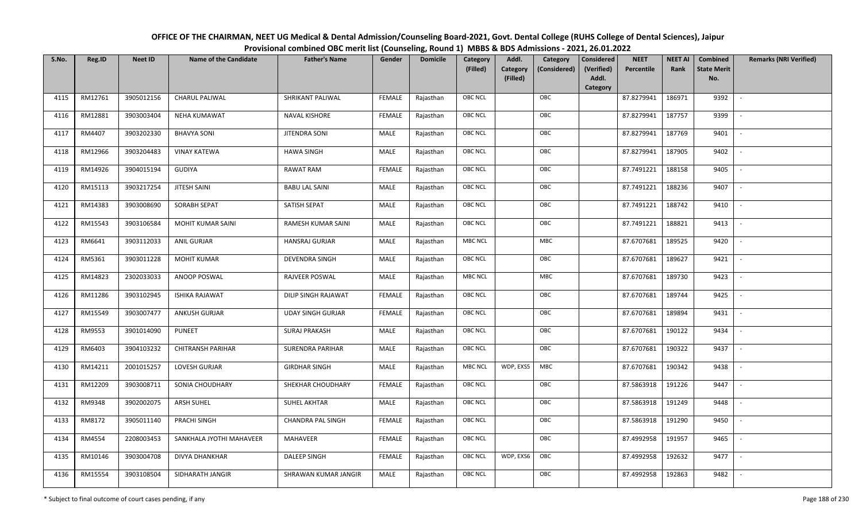| OFFICE OF THE CHAIRMAN, NEET UG Medical & Dental Admission/Counseling Board-2021, Govt. Dental College (RUHS College of Dental Sciences), Jaipur |
|--------------------------------------------------------------------------------------------------------------------------------------------------|
| Provisional combined OBC merit list (Counseling, Round 1) MBBS & BDS Admissions - 2021, 26.01.2022                                               |

| S.No. | Reg.ID  | <b>Neet ID</b> | <b>Name of the Candidate</b> | <b>Father's Name</b>       | Gender        | <b>Domicile</b> | Category       | Addl.<br>Category                    | <b>Considered</b>   | <b>NEET</b> | <b>NEET AI</b> | Combined                  | <b>Remarks (NRI Verified)</b> |
|-------|---------|----------------|------------------------------|----------------------------|---------------|-----------------|----------------|--------------------------------------|---------------------|-------------|----------------|---------------------------|-------------------------------|
|       |         |                |                              |                            |               |                 | (Filled)       | Category<br>(Considered)<br>(Filled) | (Verified)<br>Addl. | Percentile  | Rank           | <b>State Merit</b><br>No. |                               |
|       |         |                |                              |                            |               |                 |                |                                      | Category            |             |                |                           |                               |
| 4115  | RM12761 | 3905012156     | <b>CHARUL PALIWAL</b>        | SHRIKANT PALIWAL           | <b>FEMALE</b> | Rajasthan       | <b>OBC NCL</b> | OBC                                  |                     | 87.8279941  | 186971         | 9392                      | $\overline{\phantom{a}}$      |
| 4116  | RM12881 | 3903003404     | <b>NEHA KUMAWAT</b>          | <b>NAVAL KISHORE</b>       | <b>FEMALE</b> | Rajasthan       | <b>OBC NCL</b> | OBC                                  |                     | 87.8279941  | 187757         | 9399                      |                               |
| 4117  | RM4407  | 3903202330     | <b>BHAVYA SONI</b>           | <b>JITENDRA SONI</b>       | MALE          | Rajasthan       | <b>OBC NCL</b> | OBC                                  |                     | 87.8279941  | 187769         | 9401                      | $\overline{\phantom{a}}$      |
| 4118  | RM12966 | 3903204483     | <b>VINAY KATEWA</b>          | <b>HAWA SINGH</b>          | <b>MALE</b>   | Rajasthan       | <b>OBC NCL</b> | OBC                                  |                     | 87.8279941  | 187905         | 9402                      | $\overline{\phantom{a}}$      |
| 4119  | RM14926 | 3904015194     | GUDIYA                       | RAWAT RAM                  | <b>FEMALE</b> | Rajasthan       | OBC NCL        | OBC                                  |                     | 87.7491221  | 188158         | 9405                      | $\sim$                        |
| 4120  | RM15113 | 3903217254     | JITESH SAINI                 | <b>BABU LAL SAINI</b>      | MALE          | Rajasthan       | <b>OBC NCL</b> | OBC                                  |                     | 87.7491221  | 188236         | 9407                      | $\overline{\phantom{a}}$      |
| 4121  | RM14383 | 3903008690     | SORABH SEPAT                 | SATISH SEPAT               | MALE          | Rajasthan       | OBC NCL        | OBC                                  |                     | 87.7491221  | 188742         | 9410                      | $\overline{\phantom{a}}$      |
| 4122  | RM15543 | 3903106584     | MOHIT KUMAR SAINI            | RAMESH KUMAR SAINI         | MALE          | Rajasthan       | OBC NCL        | OBC                                  |                     | 87.7491221  | 188821         | 9413                      |                               |
| 4123  | RM6641  | 3903112033     | <b>ANIL GURJAR</b>           | <b>HANSRAJ GURJAR</b>      | <b>MALE</b>   | Rajasthan       | <b>MBC NCL</b> | MBC                                  |                     | 87.6707681  | 189525         | 9420                      |                               |
| 4124  | RM5361  | 3903011228     | <b>MOHIT KUMAR</b>           | DEVENDRA SINGH             | <b>MALE</b>   | Rajasthan       | <b>OBC NCL</b> | OBC                                  |                     | 87.6707681  | 189627         | 9421                      | $\overline{\phantom{a}}$      |
| 4125  | RM14823 | 2302033033     | ANOOP POSWAL                 | RAJVEER POSWAL             | MALE          | Rajasthan       | <b>MBC NCL</b> | <b>MBC</b>                           |                     | 87.6707681  | 189730         | 9423                      |                               |
| 4126  | RM11286 | 3903102945     | <b>ISHIKA RAJAWAT</b>        | <b>DILIP SINGH RAJAWAT</b> | <b>FEMALE</b> | Rajasthan       | <b>OBC NCL</b> | OBC                                  |                     | 87.6707681  | 189744         | 9425                      | $\overline{\phantom{a}}$      |
| 4127  | RM15549 | 3903007477     | <b>ANKUSH GURJAR</b>         | <b>UDAY SINGH GURJAR</b>   | FEMALE        | Rajasthan       | OBC NCL        | OBC                                  |                     | 87.6707681  | 189894         | 9431                      |                               |
| 4128  | RM9553  | 3901014090     | <b>PUNEET</b>                | <b>SURAJ PRAKASH</b>       | MALE          | Rajasthan       | OBC NCL        | OBC                                  |                     | 87.6707681  | 190122         | 9434                      | $\overline{\phantom{a}}$      |
| 4129  | RM6403  | 3904103232     | <b>CHITRANSH PARIHAR</b>     | <b>SURENDRA PARIHAR</b>    | <b>MALE</b>   | Rajasthan       | <b>OBC NCL</b> | OBC                                  |                     | 87.6707681  | 190322         | 9437                      | $\overline{\phantom{a}}$      |
| 4130  | RM14211 | 2001015257     | LOVESH GURJAR                | <b>GIRDHAR SINGH</b>       | MALE          | Rajasthan       | <b>MBC NCL</b> | WDP, EXS5<br>MBC                     |                     | 87.6707681  | 190342         | 9438                      | $\overline{\phantom{a}}$      |
| 4131  | RM12209 | 3903008711     | SONIA CHOUDHARY              | SHEKHAR CHOUDHARY          | <b>FEMALE</b> | Rajasthan       | <b>OBC NCL</b> | OBC                                  |                     | 87.5863918  | 191226         | 9447                      | $\overline{\phantom{a}}$      |
| 4132  | RM9348  | 3902002075     | ARSH SUHEL                   | <b>SUHEL AKHTAR</b>        | <b>MALE</b>   | Rajasthan       | OBC NCL        | OBC                                  |                     | 87.5863918  | 191249         | 9448                      |                               |
| 4133  | RM8172  | 3905011140     | PRACHI SINGH                 | CHANDRA PAL SINGH          | <b>FEMALE</b> | Rajasthan       | <b>OBC NCL</b> | OBC                                  |                     | 87.5863918  | 191290         | 9450                      |                               |
| 4134  | RM4554  | 2208003453     | SANKHALA JYOTHI MAHAVEER     | <b>MAHAVEER</b>            | <b>FEMALE</b> | Rajasthan       | <b>OBC NCL</b> | OBC                                  |                     | 87.4992958  | 191957         | 9465                      |                               |
| 4135  | RM10146 | 3903004708     | DIVYA DHANKHAR               | <b>DALEEP SINGH</b>        | <b>FEMALE</b> | Rajasthan       | <b>OBC NCL</b> | WDP, EXS6<br>OBC                     |                     | 87.4992958  | 192632         | 9477                      |                               |
| 4136  | RM15554 | 3903108504     | SIDHARATH JANGIR             | SHRAWAN KUMAR JANGIR       | MALE          | Rajasthan       | OBC NCL        | OBC                                  |                     | 87.4992958  | 192863         | 9482                      |                               |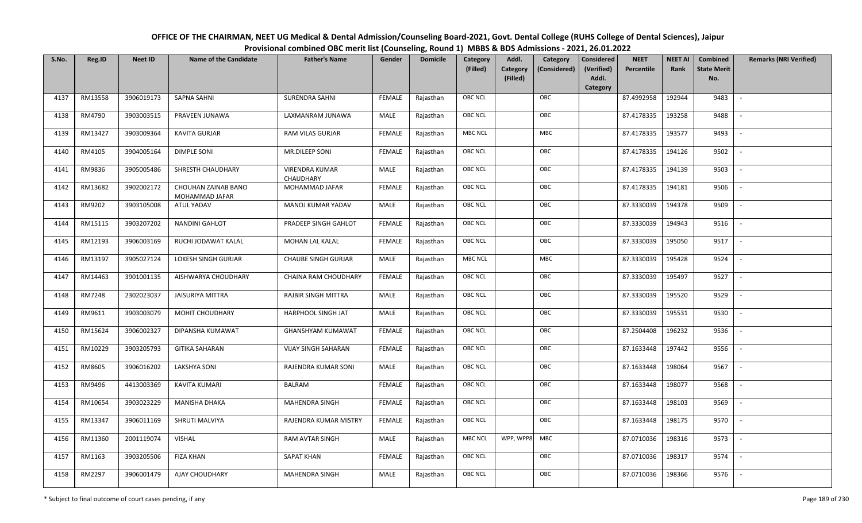| OFFICE OF THE CHAIRMAN, NEET UG Medical & Dental Admission/Counseling Board-2021, Govt. Dental College (RUHS College of Dental Sciences), Jaipur |
|--------------------------------------------------------------------------------------------------------------------------------------------------|
| Provisional combined OBC merit list (Counseling, Round 1) MBBS & BDS Admissions - 2021, 26.01.2022                                               |

| S.No. | Reg.ID  | <b>Neet ID</b> | <b>Name of the Candidate</b>          | <b>Father's Name</b>               | Gender        | <b>Domicile</b> | Category<br>(Filled) | Addl.<br>Category<br>(Filled) | Category<br>(Considered) | <b>Considered</b><br>(Verified)<br>Addl. | <b>NEET</b><br>Percentile | <b>NEET AI</b><br>Rank | Combined<br><b>State Merit</b><br>No. | <b>Remarks (NRI Verified)</b> |
|-------|---------|----------------|---------------------------------------|------------------------------------|---------------|-----------------|----------------------|-------------------------------|--------------------------|------------------------------------------|---------------------------|------------------------|---------------------------------------|-------------------------------|
| 4137  | RM13558 | 3906019173     | <b>SAPNA SAHNI</b>                    | <b>SURENDRA SAHNI</b>              | <b>FEMALE</b> | Rajasthan       | <b>OBC NCL</b>       |                               | OBC                      | Category                                 | 87.4992958                | 192944                 | 9483                                  | $\sim$                        |
|       |         |                |                                       |                                    |               |                 |                      |                               |                          |                                          |                           |                        |                                       |                               |
| 4138  | RM4790  | 3903003515     | PRAVEEN JUNAWA                        | LAXMANRAM JUNAWA                   | MALE          | Rajasthan       | OBC NCL              |                               | OBC                      |                                          | 87.4178335                | 193258                 | 9488                                  |                               |
| 4139  | RM13427 | 3903009364     | <b>KAVITA GURJAR</b>                  | RAM VILAS GURJAR                   | <b>FEMALE</b> | Rajasthan       | <b>MBC NCL</b>       |                               | <b>MBC</b>               |                                          | 87.4178335                | 193577                 | 9493                                  |                               |
| 4140  | RM4105  | 3904005164     | <b>DIMPLE SONI</b>                    | MR.DILEEP SONI                     | <b>FEMALE</b> | Rajasthan       | OBC NCL              |                               | OBC                      |                                          | 87.4178335                | 194126                 | 9502                                  | $\overline{\phantom{a}}$      |
| 4141  | RM9836  | 3905005486     | SHRESTH CHAUDHARY                     | <b>VIRENDRA KUMAR</b><br>CHAUDHARY | MALE          | Rajasthan       | <b>OBC NCL</b>       |                               | OBC                      |                                          | 87.4178335                | 194139                 | 9503                                  | $\sim$                        |
| 4142  | RM13682 | 3902002172     | CHOUHAN ZAINAB BANO<br>MOHAMMAD JAFAR | MOHAMMAD JAFAR                     | <b>FEMALE</b> | Rajasthan       | <b>OBC NCL</b>       |                               | OBC                      |                                          | 87.4178335                | 194181                 | 9506                                  | $\overline{\phantom{a}}$      |
| 4143  | RM9202  | 3903105008     | ATUL YADAV                            | MANOJ KUMAR YADAV                  | MALE          | Rajasthan       | <b>OBC NCL</b>       |                               | OBC                      |                                          | 87.3330039                | 194378                 | 9509                                  |                               |
| 4144  | RM15115 | 3903207202     | <b>NANDINI GAHLOT</b>                 | PRADEEP SINGH GAHLOT               | <b>FEMALE</b> | Rajasthan       | OBC NCL              |                               | OBC                      |                                          | 87.3330039                | 194943                 | 9516                                  |                               |
| 4145  | RM12193 | 3906003169     | RUCHI JODAWAT KALAL                   | <b>MOHAN LAL KALAL</b>             | <b>FEMALE</b> | Rajasthan       | <b>OBC NCL</b>       |                               | OBC                      |                                          | 87.3330039                | 195050                 | 9517                                  |                               |
| 4146  | RM13197 | 3905027124     | LOKESH SINGH GURJAR                   | <b>CHAUBE SINGH GURJAR</b>         | MALE          | Rajasthan       | <b>MBC NCL</b>       |                               | MBC                      |                                          | 87.3330039                | 195428                 | 9524                                  |                               |
| 4147  | RM14463 | 3901001135     | AISHWARYA CHOUDHARY                   | CHAINA RAM CHOUDHARY               | <b>FEMALE</b> | Rajasthan       | <b>OBC NCL</b>       |                               | OBC                      |                                          | 87.3330039                | 195497                 | 9527                                  |                               |
| 4148  | RM7248  | 2302023037     | <b>JAISURIYA MITTRA</b>               | <b>RAJBIR SINGH MITTRA</b>         | MALE          | Rajasthan       | <b>OBC NCL</b>       |                               | OBC                      |                                          | 87.3330039                | 195520                 | 9529                                  |                               |
| 4149  | RM9611  | 3903003079     | MOHIT CHOUDHARY                       | <b>HARPHOOL SINGH JAT</b>          | MALE          | Rajasthan       | <b>OBC NCL</b>       |                               | OBC                      |                                          | 87.3330039                | 195531                 | 9530                                  |                               |
| 4150  | RM15624 | 3906002327     | DIPANSHA KUMAWAT                      | GHANSHYAM KUMAWAT                  | <b>FEMALE</b> | Rajasthan       | <b>OBC NCL</b>       |                               | OBC                      |                                          | 87.2504408                | 196232                 | 9536                                  | $\overline{\phantom{a}}$      |
| 4151  | RM10229 | 3903205793     | <b>GITIKA SAHARAN</b>                 | <b>VIJAY SINGH SAHARAN</b>         | <b>FEMALE</b> | Rajasthan       | OBC NCL              |                               | OBC                      |                                          | 87.1633448                | 197442                 | 9556                                  | $\overline{\phantom{a}}$      |
| 4152  | RM8605  | 3906016202     | LAKSHYA SONI                          | RAJENDRA KUMAR SONI                | MALE          | Rajasthan       | <b>OBC NCL</b>       |                               | OBC                      |                                          | 87.1633448                | 198064                 | 9567                                  | $\sim$                        |
| 4153  | RM9496  | 4413003369     | KAVITA KUMARI                         | <b>BALRAM</b>                      | <b>FEMALE</b> | Rajasthan       | <b>OBC NCL</b>       |                               | OBC                      |                                          | 87.1633448                | 198077                 | 9568                                  | $\sim$                        |
| 4154  | RM10654 | 3903023229     | MANISHA DHAKA                         | <b>MAHENDRA SINGH</b>              | <b>FEMALE</b> | Rajasthan       | OBC NCL              |                               | OBC                      |                                          | 87.1633448                | 198103                 | 9569                                  |                               |
| 4155  | RM13347 | 3906011169     | SHRUTI MALVIYA                        | RAJENDRA KUMAR MISTRY              | <b>FEMALE</b> | Rajasthan       | <b>OBC NCL</b>       |                               | OBC                      |                                          | 87.1633448                | 198175                 | 9570                                  |                               |
| 4156  | RM11360 | 2001119074     | <b>VISHAL</b>                         | RAM AVTAR SINGH                    | MALE          | Rajasthan       | <b>MBC NCL</b>       | WPP, WPP8                     | MBC                      |                                          | 87.0710036                | 198316                 | 9573                                  |                               |
| 4157  | RM1163  | 3903205506     | <b>FIZA KHAN</b>                      | <b>SAPAT KHAN</b>                  | <b>FEMALE</b> | Rajasthan       | <b>OBC NCL</b>       |                               | OBC                      |                                          | 87.0710036                | 198317                 | 9574                                  |                               |
| 4158  | RM2297  | 3906001479     | AJAY CHOUDHARY                        | MAHENDRA SINGH                     | MALE          | Rajasthan       | <b>OBC NCL</b>       |                               | OBC                      |                                          | 87.0710036                | 198366                 | 9576                                  |                               |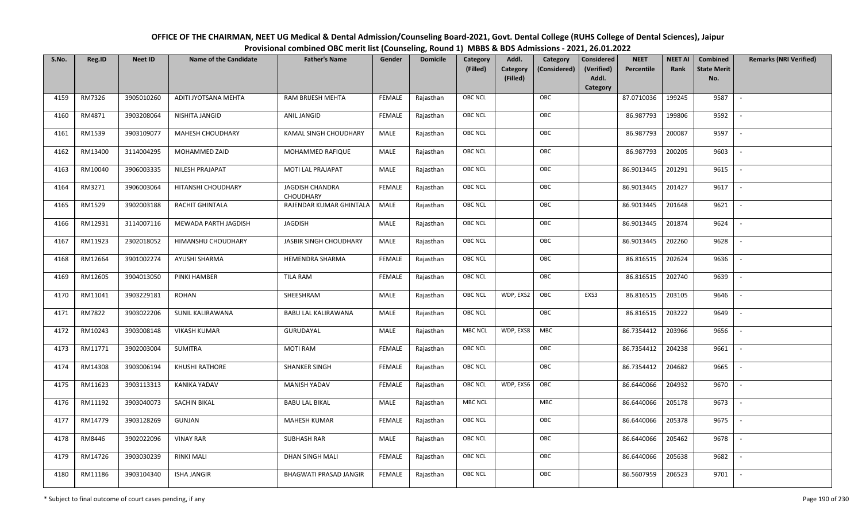| OFFICE OF THE CHAIRMAN, NEET UG Medical & Dental Admission/Counseling Board-2021, Govt. Dental College (RUHS College of Dental Sciences), Jaipur |
|--------------------------------------------------------------------------------------------------------------------------------------------------|
| Provisional combined OBC merit list (Counseling, Round 1) MBBS & BDS Admissions - 2021, 26.01.2022                                               |

| S.No. | Reg.ID  | <b>Neet ID</b> | <b>Name of the Candidate</b> | <b>Father's Name</b>                       | Gender        | <b>Domicile</b> | Category<br>(Filled) | Addl.<br>Category<br>(Filled) | Category<br>(Considered) | Considered<br>(Verified)<br>Addl. | <b>NEET</b><br>Percentile | <b>NEET AI</b><br>Rank | Combined<br><b>State Merit</b><br>No. | <b>Remarks (NRI Verified)</b> |
|-------|---------|----------------|------------------------------|--------------------------------------------|---------------|-----------------|----------------------|-------------------------------|--------------------------|-----------------------------------|---------------------------|------------------------|---------------------------------------|-------------------------------|
|       |         |                |                              |                                            |               |                 |                      |                               |                          | Category                          |                           |                        |                                       |                               |
| 4159  | RM7326  | 3905010260     | ADITI JYOTSANA MEHTA         | RAM BRIJESH MEHTA                          | <b>FEMALE</b> | Rajasthan       | <b>OBC NCL</b>       |                               | OBC                      |                                   | 87.0710036                | 199245                 | 9587                                  | $\sim$                        |
| 4160  | RM4871  | 3903208064     | NISHITA JANGID               | ANIL JANGID                                | <b>FEMALE</b> | Rajasthan       | OBC NCL              |                               | OBC                      |                                   | 86.987793                 | 199806                 | 9592                                  |                               |
| 4161  | RM1539  | 3903109077     | <b>MAHESH CHOUDHARY</b>      | KAMAL SINGH CHOUDHARY                      | MALE          | Rajasthan       | <b>OBC NCL</b>       |                               | OBC                      |                                   | 86.987793                 | 200087                 | 9597                                  |                               |
| 4162  | RM13400 | 3114004295     | MOHAMMED ZAID                | MOHAMMED RAFIQUE                           | MALE          | Rajasthan       | <b>OBC NCL</b>       |                               | OBC                      |                                   | 86.987793                 | 200205                 | 9603                                  | $\overline{\phantom{a}}$      |
| 4163  | RM10040 | 3906003335     | NILESH PRAJAPAT              | MOTI LAL PRAJAPAT                          | <b>MALE</b>   | Rajasthan       | <b>OBC NCL</b>       |                               | OBC                      |                                   | 86.9013445                | 201291                 | 9615                                  | $\sim$                        |
| 4164  | RM3271  | 3906003064     | HITANSHI CHOUDHARY           | <b>JAGDISH CHANDRA</b><br><b>CHOUDHARY</b> | <b>FEMALE</b> | Rajasthan       | <b>OBC NCL</b>       |                               | OBC                      |                                   | 86.9013445                | 201427                 | 9617                                  | $\overline{\phantom{a}}$      |
| 4165  | RM1529  | 3902003188     | RACHIT GHINTALA              | RAJENDAR KUMAR GHINTALA                    | MALE          | Rajasthan       | <b>OBC NCL</b>       |                               | OBC                      |                                   | 86.9013445                | 201648                 | 9621                                  |                               |
| 4166  | RM12931 | 3114007116     | MEWADA PARTH JAGDISH         | JAGDISH                                    | MALE          | Rajasthan       | <b>OBC NCL</b>       |                               | OBC                      |                                   | 86.9013445                | 201874                 | 9624                                  |                               |
| 4167  | RM11923 | 2302018052     | HIMANSHU CHOUDHARY           | JASBIR SINGH CHOUDHARY                     | MALE          | Rajasthan       | OBC NCL              |                               | OBC                      |                                   | 86.9013445                | 202260                 | 9628                                  |                               |
| 4168  | RM12664 | 3901002274     | <b>AYUSHI SHARMA</b>         | <b>HEMENDRA SHARMA</b>                     | <b>FEMALE</b> | Rajasthan       | <b>OBC NCL</b>       |                               | OBC                      |                                   | 86.816515                 | 202624                 | 9636                                  | $\overline{\phantom{a}}$      |
| 4169  | RM12605 | 3904013050     | PINKI HAMBER                 | <b>TILA RAM</b>                            | <b>FEMALE</b> | Rajasthan       | <b>OBC NCL</b>       |                               | OBC                      |                                   | 86.816515                 | 202740                 | 9639                                  |                               |
| 4170  | RM11041 | 3903229181     | ROHAN                        | SHEESHRAM                                  | MALE          | Rajasthan       | <b>OBC NCL</b>       | WDP, EXS2                     | OBC                      | EXS3                              | 86.816515                 | 203105                 | 9646                                  |                               |
| 4171  | RM7822  | 3903022206     | SUNIL KALIRAWANA             | BABU LAL KALIRAWANA                        | MALE          | Rajasthan       | <b>OBC NCL</b>       |                               | OBC                      |                                   | 86.816515                 | 203222                 | 9649                                  |                               |
| 4172  | RM10243 | 3903008148     | <b>VIKASH KUMAR</b>          | GURUDAYAL                                  | MALE          | Rajasthan       | <b>MBC NCL</b>       | WDP, EXS8                     | <b>MBC</b>               |                                   | 86.7354412                | 203966                 | 9656                                  |                               |
| 4173  | RM11771 | 3902003004     | SUMITRA                      | <b>MOTI RAM</b>                            | <b>FEMALE</b> | Rajasthan       | <b>OBC NCL</b>       |                               | OBC                      |                                   | 86.7354412                | 204238                 | 9661                                  | $\overline{\phantom{a}}$      |
| 4174  | RM14308 | 3903006194     | KHUSHI RATHORE               | SHANKER SINGH                              | <b>FEMALE</b> | Rajasthan       | OBC NCL              |                               | OBC                      |                                   | 86.7354412                | 204682                 | 9665                                  | $\sim$                        |
| 4175  | RM11623 | 3903113313     | KANIKA YADAV                 | MANISH YADAV                               | <b>FEMALE</b> | Rajasthan       | <b>OBC NCL</b>       | WDP, EXS6                     | OBC                      |                                   | 86.6440066                | 204932                 | 9670                                  | $\overline{\phantom{a}}$      |
| 4176  | RM11192 | 3903040073     | SACHIN BIKAL                 | <b>BABU LAL BIKAL</b>                      | MALE          | Rajasthan       | <b>MBC NCL</b>       |                               | <b>MBC</b>               |                                   | 86.6440066                | 205178                 | 9673                                  | $\overline{\phantom{a}}$      |
| 4177  | RM14779 | 3903128269     | GUNJAN                       | <b>MAHESH KUMAR</b>                        | <b>FEMALE</b> | Rajasthan       | <b>OBC NCL</b>       |                               | OBC                      |                                   | 86.6440066                | 205378                 | 9675                                  |                               |
| 4178  | RM8446  | 3902022096     | <b>VINAY RAR</b>             | <b>SUBHASH RAR</b>                         | MALE          | Rajasthan       | OBC NCL              |                               | OBC                      |                                   | 86.6440066                | 205462                 | 9678                                  |                               |
| 4179  | RM14726 | 3903030239     | <b>RINKI MALI</b>            | <b>DHAN SINGH MALI</b>                     | <b>FEMALE</b> | Rajasthan       | <b>OBC NCL</b>       |                               | OBC                      |                                   | 86.6440066                | 205638                 | 9682                                  |                               |
| 4180  | RM11186 | 3903104340     | <b>ISHA JANGIR</b>           | <b>BHAGWATI PRASAD JANGIR</b>              | <b>FEMALE</b> | Rajasthan       | <b>OBC NCL</b>       |                               | OBC                      |                                   | 86.5607959                | 206523                 | 9701                                  |                               |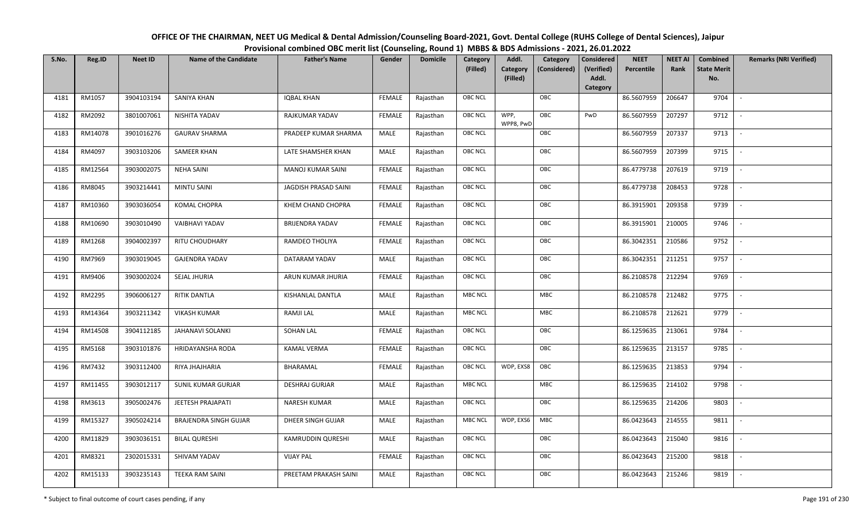| OFFICE OF THE CHAIRMAN, NEET UG Medical & Dental Admission/Counseling Board-2021, Govt. Dental College (RUHS College of Dental Sciences), Jaipur |
|--------------------------------------------------------------------------------------------------------------------------------------------------|
| Provisional combined OBC merit list (Counseling, Round 1) MBBS & BDS Admissions - 2021, 26.01.2022                                               |

| S.No. | Reg.ID  | <b>Neet ID</b> | <b>Name of the Candidate</b> | <b>Father's Name</b>     | Gender        | <b>Domicile</b> | Category<br>(Filled) | Addl.<br><b>Category</b><br>(Filled) | Category<br>(Considered) | <b>Considered</b><br>(Verified)<br>Addl. | <b>NEET</b><br>Percentile | <b>NEET AI</b><br>Rank | Combined<br><b>State Merit</b><br>No. | <b>Remarks (NRI Verified)</b> |
|-------|---------|----------------|------------------------------|--------------------------|---------------|-----------------|----------------------|--------------------------------------|--------------------------|------------------------------------------|---------------------------|------------------------|---------------------------------------|-------------------------------|
|       |         |                |                              |                          |               |                 |                      |                                      |                          | Category                                 |                           |                        |                                       |                               |
| 4181  | RM1057  | 3904103194     | <b>SANIYA KHAN</b>           | <b>IQBAL KHAN</b>        | <b>FEMALE</b> | Rajasthan       | <b>OBC NCL</b>       |                                      | OBC                      |                                          | 86.5607959                | 206647                 | 9704                                  | $\sim$                        |
| 4182  | RM2092  | 3801007061     | NISHITA YADAV                | RAJKUMAR YADAV           | <b>FEMALE</b> | Rajasthan       | OBC NCL              | WPP,<br>WPP8, PwD                    | OBC                      | PwD                                      | 86.5607959                | 207297                 | 9712                                  |                               |
| 4183  | RM14078 | 3901016276     | <b>GAURAV SHARMA</b>         | PRADEEP KUMAR SHARMA     | MALE          | Rajasthan       | <b>OBC NCL</b>       |                                      | OBC                      |                                          | 86.5607959                | 207337                 | 9713                                  | $\overline{\phantom{a}}$      |
| 4184  | RM4097  | 3903103206     | SAMEER KHAN                  | LATE SHAMSHER KHAN       | MALE          | Rajasthan       | <b>OBC NCL</b>       |                                      | OBC                      |                                          | 86.5607959                | 207399                 | 9715                                  | $\overline{\phantom{a}}$      |
| 4185  | RM12564 | 3903002075     | <b>NEHA SAINI</b>            | <b>MANOJ KUMAR SAINI</b> | <b>FEMALE</b> | Rajasthan       | <b>OBC NCL</b>       |                                      | OBC                      |                                          | 86.4779738                | 207619                 | 9719                                  | $\sim$                        |
| 4186  | RM8045  | 3903214441     | <b>MINTU SAINI</b>           | JAGDISH PRASAD SAINI     | <b>FEMALE</b> | Rajasthan       | <b>OBC NCL</b>       |                                      | OBC                      |                                          | 86.4779738                | 208453                 | 9728                                  | $\overline{\phantom{a}}$      |
| 4187  | RM10360 | 3903036054     | KOMAL CHOPRA                 | KHEM CHAND CHOPRA        | <b>FEMALE</b> | Rajasthan       | OBC NCL              |                                      | OBC                      |                                          | 86.3915901                | 209358                 | 9739                                  |                               |
| 4188  | RM10690 | 3903010490     | VAIBHAVI YADAV               | <b>BRIJENDRA YADAV</b>   | <b>FEMALE</b> | Rajasthan       | OBC NCL              |                                      | OBC                      |                                          | 86.3915901                | 210005                 | 9746                                  |                               |
| 4189  | RM1268  | 3904002397     | <b>RITU CHOUDHARY</b>        | RAMDEO THOLIYA           | <b>FEMALE</b> | Rajasthan       | OBC NCL              |                                      | OBC                      |                                          | 86.3042351                | 210586                 | 9752                                  |                               |
| 4190  | RM7969  | 3903019045     | <b>GAJENDRA YADAV</b>        | DATARAM YADAV            | <b>MALE</b>   | Rajasthan       | <b>OBC NCL</b>       |                                      | OBC                      |                                          | 86.3042351                | 211251                 | 9757                                  | $\overline{\phantom{a}}$      |
| 4191  | RM9406  | 3903002024     | SEJAL JHURIA                 | ARUN KUMAR JHURIA        | <b>FEMALE</b> | Rajasthan       | OBC NCL              |                                      | OBC                      |                                          | 86.2108578                | 212294                 | 9769                                  |                               |
| 4192  | RM2295  | 3906006127     | RITIK DANTLA                 | KISHANLAL DANTLA         | MALE          | Rajasthan       | <b>MBC NCL</b>       |                                      | MBC                      |                                          | 86.2108578                | 212482                 | 9775                                  | $\mathbb{L}$                  |
| 4193  | RM14364 | 3903211342     | <b>VIKASH KUMAR</b>          | <b>RAMJI LAL</b>         | MALE          | Rajasthan       | <b>MBC NCL</b>       |                                      | MBC                      |                                          | 86.2108578                | 212621                 | 9779                                  |                               |
| 4194  | RM14508 | 3904112185     | <b>JAHANAVI SOLANKI</b>      | <b>SOHAN LAL</b>         | <b>FEMALE</b> | Rajasthan       | OBC NCL              |                                      | OBC                      |                                          | 86.1259635                | 213061                 | 9784                                  | $\overline{\phantom{a}}$      |
| 4195  | RM5168  | 3903101876     | HRIDAYANSHA RODA             | <b>KAMAL VERMA</b>       | <b>FEMALE</b> | Rajasthan       | <b>OBC NCL</b>       |                                      | OBC                      |                                          | 86.1259635                | 213157                 | 9785                                  | $\overline{\phantom{a}}$      |
| 4196  | RM7432  | 3903112400     | RIYA JHAJHARIA               | BHARAMAL                 | <b>FEMALE</b> | Rajasthan       | <b>OBC NCL</b>       | WDP, EXS8                            | OBC                      |                                          | 86.1259635                | 213853                 | 9794                                  | $\sim$                        |
| 4197  | RM11455 | 3903012117     | SUNIL KUMAR GURJAR           | <b>DESHRAJ GURJAR</b>    | MALE          | Rajasthan       | <b>MBC NCL</b>       |                                      | MBC                      |                                          | 86.1259635                | 214102                 | 9798                                  | $\overline{\phantom{a}}$      |
| 4198  | RM3613  | 3905002476     | JEETESH PRAJAPATI            | NARESH KUMAR             | MALE          | Rajasthan       | OBC NCL              |                                      | OBC                      |                                          | 86.1259635                | 214206                 | 9803                                  | $\sim$                        |
| 4199  | RM15327 | 3905024214     | BRAJENDRA SINGH GUJAR        | DHEER SINGH GUJAR        | MALE          | Rajasthan       | <b>MBC NCL</b>       | WDP, EXS6                            | MBC                      |                                          | 86.0423643                | 214555                 | 9811                                  |                               |
| 4200  | RM11829 | 3903036151     | <b>BILAL QURESHI</b>         | KAMRUDDIN QURESHI        | MALE          | Rajasthan       | OBC NCL              |                                      | OBC                      |                                          | 86.0423643                | 215040                 | 9816                                  |                               |
| 4201  | RM8321  | 2302015331     | SHIVAM YADAV                 | <b>VIJAY PAL</b>         | <b>FEMALE</b> | Rajasthan       | <b>OBC NCL</b>       |                                      | OBC                      |                                          | 86.0423643                | 215200                 | 9818                                  |                               |
| 4202  | RM15133 | 3903235143     | <b>TEEKA RAM SAINI</b>       | PREETAM PRAKASH SAINI    | MALE          | Rajasthan       | <b>OBC NCL</b>       |                                      | OBC                      |                                          | 86.0423643                | 215246                 | 9819                                  |                               |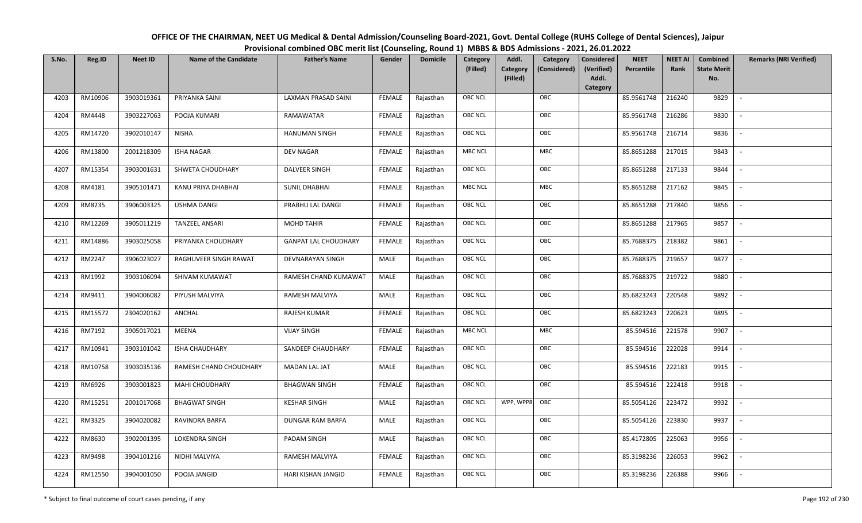| OFFICE OF THE CHAIRMAN, NEET UG Medical & Dental Admission/Counseling Board-2021, Govt. Dental College (RUHS College of Dental Sciences), Jaipur |
|--------------------------------------------------------------------------------------------------------------------------------------------------|
| Provisional combined OBC merit list (Counseling, Round 1) MBBS & BDS Admissions - 2021, 26.01.2022                                               |

| S.No. | Reg.ID  | <b>Neet ID</b> | <b>Name of the Candidate</b> | <b>Father's Name</b>        | Gender        | <b>Domicile</b> | <b>Category</b> | Addl.                | Category     | <b>Considered</b>   | <b>NEET</b> | <b>NEET AI</b> | Combined                  | <b>Remarks (NRI Verified)</b> |
|-------|---------|----------------|------------------------------|-----------------------------|---------------|-----------------|-----------------|----------------------|--------------|---------------------|-------------|----------------|---------------------------|-------------------------------|
|       |         |                |                              |                             |               |                 | (Filled)        | Category<br>(Filled) | (Considered) | (Verified)<br>Addl. | Percentile  | Rank           | <b>State Merit</b><br>No. |                               |
|       |         |                |                              |                             |               |                 |                 |                      |              | Category            |             |                |                           |                               |
| 4203  | RM10906 | 3903019361     | PRIYANKA SAINI               | LAXMAN PRASAD SAINI         | <b>FEMALE</b> | Rajasthan       | <b>OBC NCL</b>  |                      | OBC          |                     | 85.9561748  | 216240         | 9829                      |                               |
| 4204  | RM4448  | 3903227063     | POOJA KUMARI                 | RAMAWATAR                   | <b>FEMALE</b> | Rajasthan       | <b>OBC NCL</b>  |                      | OBC          |                     | 85.9561748  | 216286         | 9830                      |                               |
| 4205  | RM14720 | 3902010147     | <b>NISHA</b>                 | <b>HANUMAN SINGH</b>        | <b>FEMALE</b> | Rajasthan       | OBC NCL         |                      | OBC          |                     | 85.9561748  | 216714         | 9836                      |                               |
| 4206  | RM13800 | 2001218309     | <b>ISHA NAGAR</b>            | <b>DEV NAGAR</b>            | <b>FEMALE</b> | Rajasthan       | <b>MBC NCL</b>  |                      | MBC          |                     | 85.8651288  | 217015         | 9843                      | $\overline{\phantom{a}}$      |
| 4207  | RM15354 | 3903001631     | SHWETA CHOUDHARY             | DALVEER SINGH               | <b>FEMALE</b> | Rajasthan       | OBC NCL         |                      | OBC          |                     | 85.8651288  | 217133         | 9844                      | $\sim$                        |
| 4208  | RM4181  | 3905101471     | KANU PRIYA DHABHAI           | <b>SUNIL DHABHAI</b>        | <b>FEMALE</b> | Rajasthan       | <b>MBC NCL</b>  |                      | MBC          |                     | 85.8651288  | 217162         | 9845                      |                               |
| 4209  | RM8235  | 3906003325     | <b>USHMA DANGI</b>           | PRABHU LAL DANGI            | <b>FEMALE</b> | Rajasthan       | <b>OBC NCL</b>  |                      | OBC          |                     | 85.8651288  | 217840         | 9856                      |                               |
| 4210  | RM12269 | 3905011219     | <b>TANZEEL ANSARI</b>        | <b>MOHD TAHIR</b>           | <b>FEMALE</b> | Rajasthan       | <b>OBC NCL</b>  |                      | OBC          |                     | 85.8651288  | 217965         | 9857                      |                               |
| 4211  | RM14886 | 3903025058     | PRIYANKA CHOUDHARY           | <b>GANPAT LAL CHOUDHARY</b> | <b>FEMALE</b> | Rajasthan       | <b>OBC NCL</b>  |                      | OBC          |                     | 85.7688375  | 218382         | 9861                      |                               |
| 4212  | RM2247  | 3906023027     | RAGHUVEER SINGH RAWAT        | DEVNARAYAN SINGH            | MALE          | Rajasthan       | OBC NCL         |                      | OBC          |                     | 85.7688375  | 219657         | 9877                      | $\overline{\phantom{a}}$      |
| 4213  | RM1992  | 3903106094     | SHIVAM KUMAWAT               | RAMESH CHAND KUMAWAT        | MALE          | Rajasthan       | <b>OBC NCL</b>  |                      | OBC          |                     | 85.7688375  | 219722         | 9880                      |                               |
| 4214  | RM9411  | 3904006082     | PIYUSH MALVIYA               | RAMESH MALVIYA              | MALE          | Rajasthan       | OBC NCL         |                      | OBC          |                     | 85.6823243  | 220548         | 9892                      | $\overline{\phantom{a}}$      |
| 4215  | RM15572 | 2304020162     | ANCHAL                       | RAJESH KUMAR                | <b>FEMALE</b> | Rajasthan       | <b>OBC NCL</b>  |                      | OBC          |                     | 85.6823243  | 220623         | 9895                      |                               |
| 4216  | RM7192  | 3905017021     | MEENA                        | <b>VIJAY SINGH</b>          | <b>FEMALE</b> | Rajasthan       | <b>MBC NCL</b>  |                      | MBC          |                     | 85.594516   | 221578         | 9907                      | $\overline{\phantom{a}}$      |
| 4217  | RM10941 | 3903101042     | <b>ISHA CHAUDHARY</b>        | SANDEEP CHAUDHARY           | <b>FEMALE</b> | Rajasthan       | OBC NCL         |                      | OBC          |                     | 85.594516   | 222028         | 9914                      | $\overline{\phantom{a}}$      |
| 4218  | RM10758 | 3903035136     | RAMESH CHAND CHOUDHARY       | MADAN LAL JAT               | MALE          | Rajasthan       | <b>OBC NCL</b>  |                      | OBC          |                     | 85.594516   | 222183         | 9915                      | $\sim$                        |
| 4219  | RM6926  | 3903001823     | <b>MAHI CHOUDHARY</b>        | <b>BHAGWAN SINGH</b>        | <b>FEMALE</b> | Rajasthan       | <b>OBC NCL</b>  |                      | OBC          |                     | 85.594516   | 222418         | 9918                      | $\overline{\phantom{a}}$      |
| 4220  | RM15251 | 2001017068     | <b>BHAGWAT SINGH</b>         | <b>KESHAR SINGH</b>         | MALE          | Rajasthan       | <b>OBC NCL</b>  | WPP, WPP8            | OBC          |                     | 85.5054126  | 223472         | 9932                      |                               |
| 4221  | RM3325  | 3904020082     | RAVINDRA BARFA               | DUNGAR RAM BARFA            | MALE          | Rajasthan       | OBC NCL         |                      | OBC          |                     | 85.5054126  | 223830         | 9937                      |                               |
| 4222  | RM8630  | 3902001395     | LOKENDRA SINGH               | PADAM SINGH                 | MALE          | Rajasthan       | OBC NCL         |                      | OBC          |                     | 85.4172805  | 225063         | 9956                      |                               |
| 4223  | RM9498  | 3904101216     | NIDHI MALVIYA                | RAMESH MALVIYA              | <b>FEMALE</b> | Rajasthan       | <b>OBC NCL</b>  |                      | OBC          |                     | 85.3198236  | 226053         | 9962                      |                               |
| 4224  | RM12550 | 3904001050     | POOJA JANGID                 | HARI KISHAN JANGID          | <b>FEMALE</b> | Rajasthan       | <b>OBC NCL</b>  |                      | OBC          |                     | 85.3198236  | 226388         | 9966                      |                               |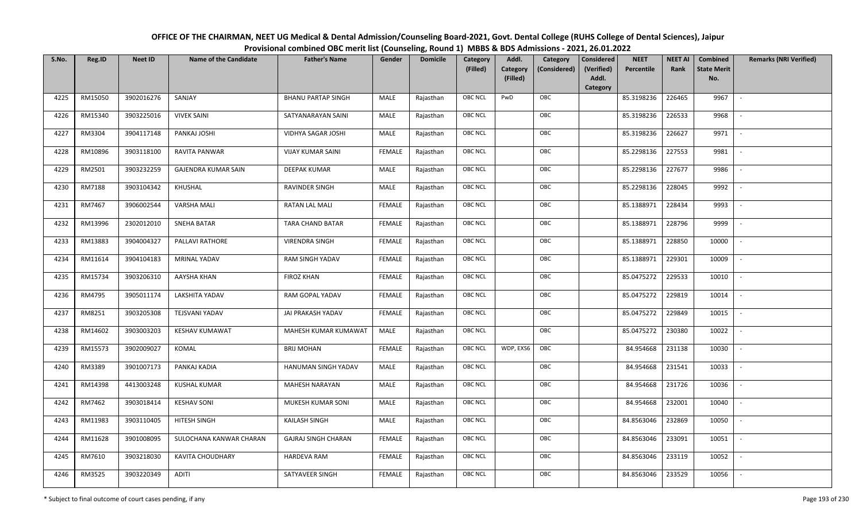| OFFICE OF THE CHAIRMAN, NEET UG Medical & Dental Admission/Counseling Board-2021, Govt. Dental College (RUHS College of Dental Sciences), Jaipur |
|--------------------------------------------------------------------------------------------------------------------------------------------------|
| Provisional combined OBC merit list (Counseling, Round 1) MBBS & BDS Admissions - 2021, 26.01.2022                                               |

| S.No. | Reg.ID  | <b>Neet ID</b> | <b>Name of the Candidate</b> | <b>Father's Name</b>       | Gender        | <b>Domicile</b> | Category<br>(Filled) | Addl.<br>Category<br>Category<br>(Considered) | <b>Considered</b><br>(Verified) | <b>NEET</b><br>Percentile | <b>NEET AI</b><br>Rank | Combined<br><b>State Merit</b> | <b>Remarks (NRI Verified)</b> |
|-------|---------|----------------|------------------------------|----------------------------|---------------|-----------------|----------------------|-----------------------------------------------|---------------------------------|---------------------------|------------------------|--------------------------------|-------------------------------|
|       |         |                |                              |                            |               |                 |                      | (Filled)                                      | Addl.<br>Category               |                           |                        | No.                            |                               |
| 4225  | RM15050 | 3902016276     | SANJAY                       | <b>BHANU PARTAP SINGH</b>  | MALE          | Rajasthan       | <b>OBC NCL</b>       | OBC<br>PwD                                    |                                 | 85.3198236                | 226465                 | 9967                           | $\sim$                        |
| 4226  | RM15340 | 3903225016     | <b>VIVEK SAINI</b>           | SATYANARAYAN SAINI         | MALE          | Rajasthan       | OBC NCL              | OBC                                           |                                 | 85.3198236                | 226533                 | 9968                           |                               |
| 4227  | RM3304  | 3904117148     | PANKAJ JOSHI                 | VIDHYA SAGAR JOSHI         | MALE          | Rajasthan       | <b>OBC NCL</b>       | OBC                                           |                                 | 85.3198236                | 226627                 | 9971                           | $\sim$                        |
| 4228  | RM10896 | 3903118100     | RAVITA PANWAR                | <b>VIJAY KUMAR SAINI</b>   | <b>FEMALE</b> | Rajasthan       | <b>OBC NCL</b>       | OBC                                           |                                 | 85.2298136                | 227553                 | 9981                           | $\overline{\phantom{a}}$      |
| 4229  | RM2501  | 3903232259     | GAJENDRA KUMAR SAIN          | DEEPAK KUMAR               | MALE          | Rajasthan       | <b>OBC NCL</b>       | OBC                                           |                                 | 85.2298136                | 227677                 | 9986                           | $\sim$                        |
| 4230  | RM7188  | 3903104342     | KHUSHAL                      | <b>RAVINDER SINGH</b>      | MALE          | Rajasthan       | OBC NCL              | OBC                                           |                                 | 85.2298136                | 228045                 | 9992                           | $\overline{\phantom{a}}$      |
| 4231  | RM7467  | 3906002544     | <b>VARSHA MALI</b>           | RATAN LAL MALI             | <b>FEMALE</b> | Rajasthan       | <b>OBC NCL</b>       | OBC                                           |                                 | 85.1388971                | 228434                 | 9993                           |                               |
| 4232  | RM13996 | 2302012010     | SNEHA BATAR                  | <b>TARA CHAND BATAR</b>    | <b>FEMALE</b> | Rajasthan       | OBC NCL              | OBC                                           |                                 | 85.1388971                | 228796                 | 9999                           |                               |
| 4233  | RM13883 | 3904004327     | PALLAVI RATHORE              | <b>VIRENDRA SINGH</b>      | <b>FEMALE</b> | Rajasthan       | OBC NCL              | OBC                                           |                                 | 85.1388971                | 228850                 | 10000                          | $\overline{\phantom{a}}$      |
| 4234  | RM11614 | 3904104183     | <b>MRINAL YADAV</b>          | <b>RAM SINGH YADAV</b>     | <b>FEMALE</b> | Rajasthan       | OBC NCL              | OBC                                           |                                 | 85.1388971                | 229301                 | 10009                          | $\overline{\phantom{a}}$      |
| 4235  | RM15734 | 3903206310     | AAYSHA KHAN                  | <b>FIROZ KHAN</b>          | <b>FEMALE</b> | Rajasthan       | <b>OBC NCL</b>       | OBC                                           |                                 | 85.0475272                | 229533                 | 10010                          |                               |
| 4236  | RM4795  | 3905011174     | LAKSHITA YADAV               | RAM GOPAL YADAV            | <b>FEMALE</b> | Rajasthan       | <b>OBC NCL</b>       | OBC                                           |                                 | 85.0475272                | 229819                 | 10014                          | $\overline{\phantom{a}}$      |
| 4237  | RM8251  | 3903205308     | <b>TEJSVANI YADAV</b>        | JAI PRAKASH YADAV          | <b>FEMALE</b> | Rajasthan       | <b>OBC NCL</b>       | OBC                                           |                                 | 85.0475272                | 229849                 | 10015                          |                               |
| 4238  | RM14602 | 3903003203     | <b>KESHAV KUMAWAT</b>        | MAHESH KUMAR KUMAWAT       | <b>MALE</b>   | Rajasthan       | OBC NCL              | OBC                                           |                                 | 85.0475272                | 230380                 | 10022                          | $\sim$                        |
| 4239  | RM15573 | 3902009027     | KOMAL                        | <b>BRIJ MOHAN</b>          | <b>FEMALE</b> | Rajasthan       | <b>OBC NCL</b>       | WDP, EXS6<br>OBC                              |                                 | 84.954668                 | 231138                 | 10030                          | $\sim$                        |
| 4240  | RM3389  | 3901007173     | PANKAJ KADIA                 | HANUMAN SINGH YADAV        | MALE          | Rajasthan       | OBC NCL              | OBC                                           |                                 | 84.954668                 | 231541                 | 10033                          | $\overline{\phantom{a}}$      |
| 4241  | RM14398 | 4413003248     | <b>KUSHAL KUMAR</b>          | MAHESH NARAYAN             | MALE          | Rajasthan       | <b>OBC NCL</b>       | OBC                                           |                                 | 84.954668                 | 231726                 | 10036                          | $\overline{\phantom{a}}$      |
| 4242  | RM7462  | 3903018414     | <b>KESHAV SONI</b>           | MUKESH KUMAR SONI          | <b>MALE</b>   | Rajasthan       | OBC NCL              | OBC                                           |                                 | 84.954668                 | 232001                 | 10040                          |                               |
| 4243  | RM11983 | 3903110405     | HITESH SINGH                 | <b>KAILASH SINGH</b>       | MALE          | Rajasthan       | <b>OBC NCL</b>       | OBC                                           |                                 | 84.8563046                | 232869                 | 10050                          |                               |
| 4244  | RM11628 | 3901008095     | SULOCHANA KANWAR CHARAN      | <b>GAJRAJ SINGH CHARAN</b> | <b>FEMALE</b> | Rajasthan       | <b>OBC NCL</b>       | OBC                                           |                                 | 84.8563046                | 233091                 | 10051                          | $\overline{\phantom{a}}$      |
| 4245  | RM7610  | 3903218030     | KAVITA CHOUDHARY             | HARDEVA RAM                | <b>FEMALE</b> | Rajasthan       | <b>OBC NCL</b>       | OBC                                           |                                 | 84.8563046                | 233119                 | 10052                          |                               |
| 4246  | RM3525  | 3903220349     | ADITI                        | SATYAVEER SINGH            | FEMALE        | Rajasthan       | OBC NCL              | OBC                                           |                                 | 84.8563046                | 233529                 | 10056                          |                               |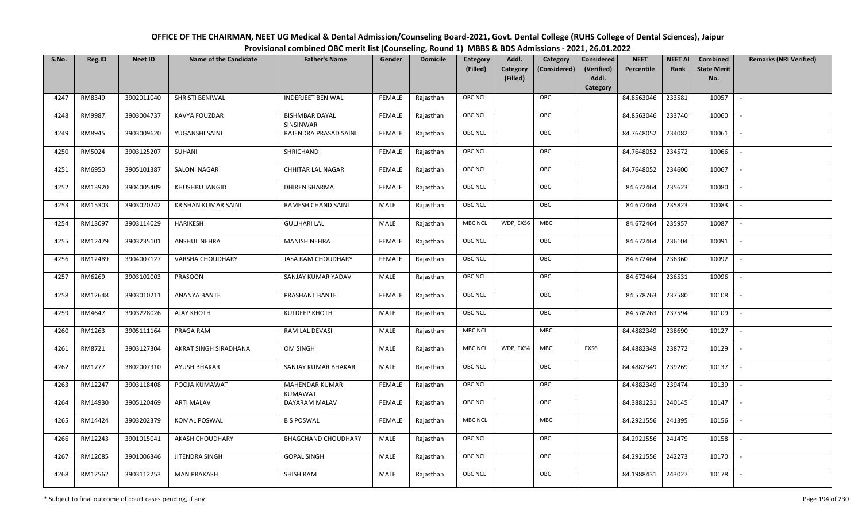| OFFICE OF THE CHAIRMAN, NEET UG Medical & Dental Admission/Counseling Board-2021, Govt. Dental College (RUHS College of Dental Sciences), Jaipur |
|--------------------------------------------------------------------------------------------------------------------------------------------------|
| Provisional combined OBC merit list (Counseling, Round 1) MBBS & BDS Admissions - 2021, 26.01.2022                                               |

| S.No. | Reg.ID  | <b>Neet ID</b> | <b>Name of the Candidate</b> | <b>Father's Name</b>               | Gender        | <b>Domicile</b> | Category<br>(Filled) | Addl.<br>Category<br>(Filled) | Category<br>(Considered) | <b>Considered</b><br>(Verified)<br>Addl. | <b>NEET</b><br>Percentile | <b>NEET AI</b><br>Rank | Combined<br><b>State Merit</b><br>No. | <b>Remarks (NRI Verified)</b> |
|-------|---------|----------------|------------------------------|------------------------------------|---------------|-----------------|----------------------|-------------------------------|--------------------------|------------------------------------------|---------------------------|------------------------|---------------------------------------|-------------------------------|
|       |         |                |                              |                                    |               |                 |                      |                               |                          | Category                                 |                           |                        |                                       |                               |
| 4247  | RM8349  | 3902011040     | SHRISTI BENIWAL              | <b>INDERJEET BENIWAL</b>           | <b>FEMALE</b> | Rajasthan       | OBC NCL              |                               | OBC                      |                                          | 84.8563046                | 233581                 | 10057                                 | $\mathcal{L}$                 |
| 4248  | RM9987  | 3903004737     | KAVYA FOUZDAR                | <b>BISHMBAR DAYAL</b><br>SINSINWAR | <b>FEMALE</b> | Rajasthan       | OBC NCL              |                               | OBC                      |                                          | 84.8563046                | 233740                 | 10060                                 |                               |
| 4249  | RM8945  | 3903009620     | YUGANSHI SAINI               | RAJENDRA PRASAD SAINI              | <b>FEMALE</b> | Rajasthan       | <b>OBC NCL</b>       |                               | OBC                      |                                          | 84.7648052                | 234082                 | 10061                                 |                               |
| 4250  | RM5024  | 3903125207     | SUHANI                       | SHRICHAND                          | <b>FEMALE</b> | Rajasthan       | OBC NCL              |                               | OBC                      |                                          | 84.7648052                | 234572                 | 10066                                 | $\overline{\phantom{a}}$      |
| 4251  | RM6950  | 3905101387     | <b>SALONI NAGAR</b>          | <b>CHHITAR LAL NAGAR</b>           | <b>FEMALE</b> | Rajasthan       | OBC NCL              |                               | OBC                      |                                          | 84.7648052                | 234600                 | 10067                                 | $\overline{\phantom{a}}$      |
| 4252  | RM13920 | 3904005409     | KHUSHBU JANGID               | <b>DHIREN SHARMA</b>               | <b>FEMALE</b> | Rajasthan       | OBC NCL              |                               | OBC                      |                                          | 84.672464                 | 235623                 | 10080                                 | $\sim$                        |
| 4253  | RM15303 | 3903020242     | <b>KRISHAN KUMAR SAINI</b>   | RAMESH CHAND SAINI                 | <b>MALE</b>   | Rajasthan       | OBC NCL              |                               | OBC                      |                                          | 84.672464                 | 235823                 | 10083                                 | $\sim$                        |
| 4254  | RM13097 | 3903114029     | <b>HARIKESH</b>              | <b>GULJHARI LAL</b>                | MALE          | Rajasthan       | <b>MBC NCL</b>       | WDP, EXS6                     | MBC                      |                                          | 84.672464                 | 235957                 | 10087                                 |                               |
| 4255  | RM12479 | 3903235101     | <b>ANSHUL NEHRA</b>          | <b>MANISH NEHRA</b>                | <b>FEMALE</b> | Rajasthan       | OBC NCL              |                               | OBC                      |                                          | 84.672464                 | 236104                 | 10091                                 |                               |
| 4256  | RM12489 | 3904007127     | <b>VARSHA CHOUDHARY</b>      | <b>JASA RAM CHOUDHARY</b>          | <b>FEMALE</b> | Rajasthan       | OBC NCL              |                               | OBC                      |                                          | 84.672464                 | 236360                 | 10092                                 |                               |
| 4257  | RM6269  | 3903102003     | <b>PRASOON</b>               | SANJAY KUMAR YADAV                 | MALE          | Rajasthan       | OBC NCL              |                               | OBC                      |                                          | 84.672464                 | 236531                 | 10096                                 |                               |
| 4258  | RM12648 | 3903010211     | ANANYA BANTE                 | PRASHANT BANTE                     | <b>FEMALE</b> | Rajasthan       | OBC NCL              |                               | OBC                      |                                          | 84.578763                 | 237580                 | 10108                                 | $\mathcal{L}$                 |
| 4259  | RM4647  | 3903228026     | AJAY KHOTH                   | <b>KULDEEP KHOTH</b>               | MALE          | Rajasthan       | OBC NCL              |                               | OBC                      |                                          | 84.578763                 | 237594                 | 10109                                 |                               |
| 4260  | RM1263  | 3905111164     | PRAGA RAM                    | RAM LAL DEVASI                     | MALE          | Rajasthan       | <b>MBC NCL</b>       |                               | <b>MBC</b>               |                                          | 84.4882349                | 238690                 | 10127                                 | $\overline{\phantom{a}}$      |
| 4261  | RM8721  | 3903127304     | AKRAT SINGH SIRADHANA        | OM SINGH                           | MALE          | Rajasthan       | <b>MBC NCL</b>       | WDP, EXS4                     | MBC                      | EXS6                                     | 84.4882349                | 238772                 | 10129                                 | $\overline{\phantom{a}}$      |
| 4262  | RM1777  | 3802007310     | <b>AYUSH BHAKAR</b>          | SANJAY KUMAR BHAKAR                | <b>MALE</b>   | Rajasthan       | OBC NCL              |                               | OBC                      |                                          | 84.4882349                | 239269                 | 10137                                 | $\overline{\phantom{a}}$      |
| 4263  | RM12247 | 3903118408     | POOJA KUMAWAT                | MAHENDAR KUMAR<br><b>KUMAWAT</b>   | <b>FEMALE</b> | Rajasthan       | <b>OBC NCL</b>       |                               | OBC                      |                                          | 84.4882349                | 239474                 | 10139                                 | $\sim$                        |
| 4264  | RM14930 | 3905120469     | <b>ARTI MALAV</b>            | DAYARAM MALAV                      | <b>FEMALE</b> | Rajasthan       | OBC NCL              |                               | OBC                      |                                          | 84.3881231                | 240145                 | 10147                                 | $\overline{\phantom{a}}$      |
| 4265  | RM14424 | 3903202379     | KOMAL POSWAL                 | <b>B S POSWAL</b>                  | <b>FEMALE</b> | Rajasthan       | <b>MBC NCL</b>       |                               | <b>MBC</b>               |                                          | 84.2921556                | 241395                 | 10156                                 |                               |
| 4266  | RM12243 | 3901015041     | AKASH CHOUDHARY              | <b>BHAGCHAND CHOUDHARY</b>         | MALE          | Rajasthan       | OBC NCL              |                               | OBC                      |                                          | 84.2921556                | 241479                 | 10158                                 |                               |
| 4267  | RM12085 | 3901006346     | JITENDRA SINGH               | <b>GOPAL SINGH</b>                 | <b>MALE</b>   | Rajasthan       | OBC NCL              |                               | OBC                      |                                          | 84.2921556                | 242273                 | 10170                                 | $\overline{\phantom{a}}$      |
| 4268  | RM12562 | 3903112253     | <b>MAN PRAKASH</b>           | SHISH RAM                          | MALE          | Rajasthan       | <b>OBC NCL</b>       |                               | OBC                      |                                          | 84.1988431                | 243027                 | 10178                                 |                               |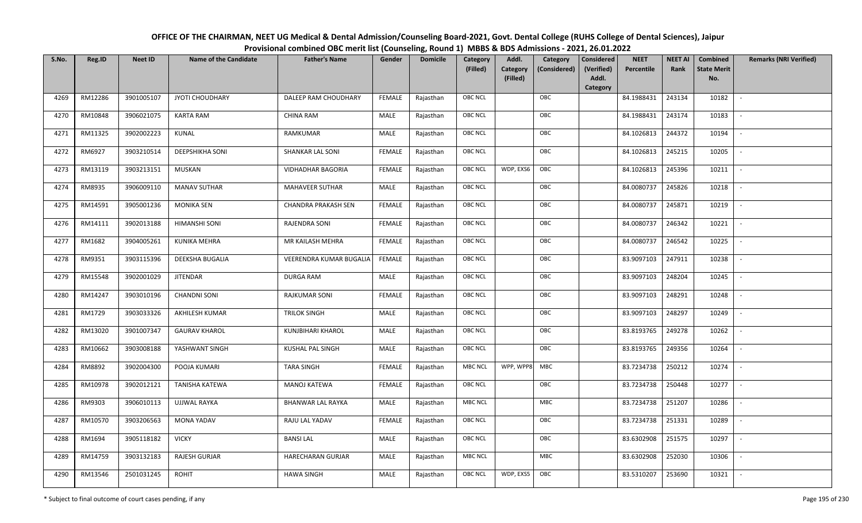| OFFICE OF THE CHAIRMAN, NEET UG Medical & Dental Admission/Counseling Board-2021, Govt. Dental College (RUHS College of Dental Sciences), Jaipur |
|--------------------------------------------------------------------------------------------------------------------------------------------------|
| Provisional combined OBC merit list (Counseling, Round 1) MBBS & BDS Admissions - 2021, 26.01.2022                                               |

| S.No. | Reg.ID  | <b>Neet ID</b> | <b>Name of the Candidate</b> | <b>Father's Name</b>       | Gender        | <b>Domicile</b> | <b>Category</b> | Addl.                | Category     | <b>Considered</b>   | <b>NEET</b> | <b>NEET AI</b> | Combined                  | <b>Remarks (NRI Verified)</b> |
|-------|---------|----------------|------------------------------|----------------------------|---------------|-----------------|-----------------|----------------------|--------------|---------------------|-------------|----------------|---------------------------|-------------------------------|
|       |         |                |                              |                            |               |                 | (Filled)        | Category<br>(Filled) | (Considered) | (Verified)<br>Addl. | Percentile  | Rank           | <b>State Merit</b><br>No. |                               |
|       |         |                |                              |                            |               |                 |                 |                      |              | Category            |             |                |                           |                               |
| 4269  | RM12286 | 3901005107     | JYOTI CHOUDHARY              | DALEEP RAM CHOUDHARY       | <b>FEMALE</b> | Rajasthan       | <b>OBC NCL</b>  |                      | OBC          |                     | 84.1988431  | 243134         | 10182                     | $\sim$                        |
| 4270  | RM10848 | 3906021075     | <b>KARTA RAM</b>             | <b>CHINA RAM</b>           | MALE          | Rajasthan       | <b>OBC NCL</b>  |                      | OBC          |                     | 84.1988431  | 243174         | 10183                     |                               |
| 4271  | RM11325 | 3902002223     | KUNAL                        | RAMKUMAR                   | MALE          | Rajasthan       | OBC NCL         |                      | OBC          |                     | 84.1026813  | 244372         | 10194                     |                               |
| 4272  | RM6927  | 3903210514     | <b>DEEPSHIKHA SONI</b>       | <b>SHANKAR LAL SONI</b>    | <b>FEMALE</b> | Rajasthan       | <b>OBC NCL</b>  |                      | OBC          |                     | 84.1026813  | 245215         | 10205                     | $\overline{\phantom{a}}$      |
| 4273  | RM13119 | 3903213151     | MUSKAN                       | <b>VIDHADHAR BAGORIA</b>   | <b>FEMALE</b> | Rajasthan       | <b>OBC NCL</b>  | WDP, EXS6            | OBC          |                     | 84.1026813  | 245396         | 10211                     | $\sim$                        |
| 4274  | RM8935  | 3906009110     | <b>MANAV SUTHAR</b>          | MAHAVEER SUTHAR            | MALE          | Rajasthan       | <b>OBC NCL</b>  |                      | OBC          |                     | 84.0080737  | 245826         | 10218                     | $\overline{\phantom{a}}$      |
| 4275  | RM14591 | 3905001236     | <b>MONIKA SEN</b>            | <b>CHANDRA PRAKASH SEN</b> | <b>FEMALE</b> | Rajasthan       | <b>OBC NCL</b>  |                      | OBC          |                     | 84.0080737  | 245871         | 10219                     | $\overline{\phantom{a}}$      |
| 4276  | RM14111 | 3902013188     | <b>HIMANSHI SONI</b>         | RAJENDRA SONI              | <b>FEMALE</b> | Rajasthan       | <b>OBC NCL</b>  |                      | OBC          |                     | 84.0080737  | 246342         | 10221                     |                               |
| 4277  | RM1682  | 3904005261     | <b>KUNIKA MEHRA</b>          | MR KAILASH MEHRA           | <b>FEMALE</b> | Rajasthan       | <b>OBC NCL</b>  |                      | OBC          |                     | 84.0080737  | 246542         | 10225                     |                               |
| 4278  | RM9351  | 3903115396     | DEEKSHA BUGALIA              | VEERENDRA KUMAR BUGALIA    | <b>FEMALE</b> | Rajasthan       | OBC NCL         |                      | OBC          |                     | 83.9097103  | 247911         | 10238                     | $\overline{\phantom{a}}$      |
| 4279  | RM15548 | 3902001029     | <b>JITENDAR</b>              | <b>DURGA RAM</b>           | MALE          | Rajasthan       | <b>OBC NCL</b>  |                      | OBC          |                     | 83.9097103  | 248204         | 10245                     |                               |
| 4280  | RM14247 | 3903010196     | <b>CHANDNI SONI</b>          | <b>RAJKUMAR SONI</b>       | <b>FEMALE</b> | Rajasthan       | OBC NCL         |                      | OBC          |                     | 83.9097103  | 248291         | 10248                     | $\sim$                        |
| 4281  | RM1729  | 3903033326     | AKHILESH KUMAR               | <b>TRILOK SINGH</b>        | MALE          | Rajasthan       | <b>OBC NCL</b>  |                      | OBC          |                     | 83.9097103  | 248297         | 10249                     |                               |
| 4282  | RM13020 | 3901007347     | <b>GAURAV KHAROL</b>         | KUNJBIHARI KHAROL          | MALE          | Rajasthan       | OBC NCL         |                      | OBC          |                     | 83.8193765  | 249278         | 10262                     | $\overline{\phantom{a}}$      |
| 4283  | RM10662 | 3903008188     | YASHWANT SINGH               | <b>KUSHAL PAL SINGH</b>    | MALE          | Rajasthan       | <b>OBC NCL</b>  |                      | OBC          |                     | 83.8193765  | 249356         | 10264                     | $\overline{\phantom{a}}$      |
| 4284  | RM8892  | 3902004300     | POOJA KUMARI                 | <b>TARA SINGH</b>          | <b>FEMALE</b> | Rajasthan       | <b>MBC NCL</b>  | WPP, WPP8 MBC        |              |                     | 83.7234738  | 250212         | 10274                     | $\overline{\phantom{a}}$      |
| 4285  | RM10978 | 3902012121     | TANISHA KATEWA               | MANOJ KATEWA               | <b>FEMALE</b> | Rajasthan       | <b>OBC NCL</b>  |                      | OBC          |                     | 83.7234738  | 250448         | 10277                     | $\overline{\phantom{a}}$      |
| 4286  | RM9303  | 3906010113     | <b>UJJWAL RAYKA</b>          | <b>BHANWAR LAL RAYKA</b>   | MALE          | Rajasthan       | <b>MBC NCL</b>  |                      | MBC          |                     | 83.7234738  | 251207         | 10286                     |                               |
| 4287  | RM10570 | 3903206563     | <b>MONA YADAV</b>            | RAJU LAL YADAV             | <b>FEMALE</b> | Rajasthan       | OBC NCL         |                      | OBC          |                     | 83.7234738  | 251331         | 10289                     |                               |
| 4288  | RM1694  | 3905118182     | <b>VICKY</b>                 | <b>BANSILAL</b>            | MALE          | Rajasthan       | <b>OBC NCL</b>  |                      | OBC          |                     | 83.6302908  | 251575         | 10297                     | $\overline{\phantom{a}}$      |
| 4289  | RM14759 | 3903132183     | RAJESH GURJAR                | HARECHARAN GURJAR          | MALE          | Rajasthan       | <b>MBC NCL</b>  |                      | <b>MBC</b>   |                     | 83.6302908  | 252030         | 10306                     |                               |
| 4290  | RM13546 | 2501031245     | <b>ROHIT</b>                 | <b>HAWA SINGH</b>          | MALE          | Rajasthan       | OBC NCL         | WDP, EXS5            | OBC          |                     | 83.5310207  | 253690         | 10321                     |                               |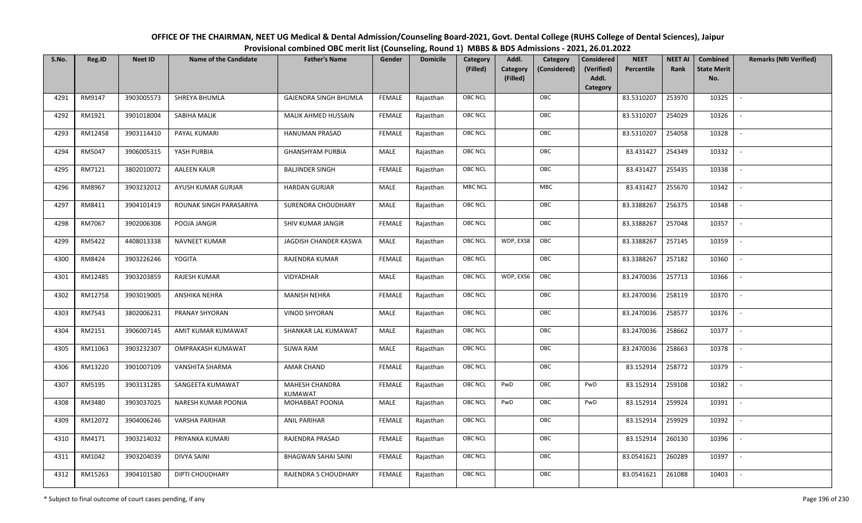| OFFICE OF THE CHAIRMAN, NEET UG Medical & Dental Admission/Counseling Board-2021, Govt. Dental College (RUHS College of Dental Sciences), Jaipur |
|--------------------------------------------------------------------------------------------------------------------------------------------------|
| Provisional combined OBC merit list (Counseling, Round 1) MBBS & BDS Admissions - 2021, 26.01.2022                                               |

| S.No. | Reg.ID  | <b>Neet ID</b> | <b>Name of the Candidate</b> | <b>Father's Name</b>                    | Gender        | <b>Domicile</b> | Category       | Addl.                | Category     | <b>Considered</b>   | <b>NEET</b> | <b>NEET AI</b> | <b>Combined</b>           | <b>Remarks (NRI Verified)</b> |
|-------|---------|----------------|------------------------------|-----------------------------------------|---------------|-----------------|----------------|----------------------|--------------|---------------------|-------------|----------------|---------------------------|-------------------------------|
|       |         |                |                              |                                         |               |                 | (Filled)       | Category<br>(Filled) | (Considered) | (Verified)<br>Addl. | Percentile  | Rank           | <b>State Merit</b><br>No. |                               |
|       |         |                |                              |                                         |               |                 |                |                      |              | Category            |             |                |                           |                               |
| 4291  | RM9147  | 3903005573     | SHREYA BHUMLA                | <b>GAJENDRA SINGH BHUMLA</b>            | <b>FEMALE</b> | Rajasthan       | <b>OBC NCL</b> |                      | OBC          |                     | 83.5310207  | 253970         | 10325                     |                               |
| 4292  | RM1921  | 3901018004     | SABIHA MALIK                 | MALIK AHMED HUSSAIN                     | <b>FEMALE</b> | Rajasthan       | OBC NCL        |                      | OBC          |                     | 83.5310207  | 254029         | 10326                     |                               |
| 4293  | RM12458 | 3903114410     | PAYAL KUMARI                 | <b>HANUMAN PRASAD</b>                   | <b>FEMALE</b> | Rajasthan       | OBC NCL        |                      | OBC          |                     | 83.5310207  | 254058         | 10328                     |                               |
| 4294  | RM5047  | 3906005315     | YASH PURBIA                  | <b>GHANSHYAM PURBIA</b>                 | MALE          | Rajasthan       | OBC NCL        |                      | OBC          |                     | 83.431427   | 254349         | 10332                     | $\overline{\phantom{a}}$      |
| 4295  | RM7121  | 3802010072     | <b>AALEEN KAUR</b>           | <b>BALJINDER SINGH</b>                  | <b>FEMALE</b> | Rajasthan       | OBC NCL        |                      | OBC          |                     | 83.431427   | 255435         | 10338                     | $\sim$                        |
| 4296  | RM8967  | 3903232012     | AYUSH KUMAR GURJAR           | <b>HARDAN GURJAR</b>                    | MALE          | Rajasthan       | <b>MBC NCL</b> |                      | <b>MBC</b>   |                     | 83.431427   | 255670         | 10342                     | $\overline{\phantom{a}}$      |
| 4297  | RM8411  | 3904101419     | ROUNAK SINGH PARASARIYA      | SURENDRA CHOUDHARY                      | MALE          | Rajasthan       | OBC NCL        |                      | OBC          |                     | 83.3388267  | 256375         | 10348                     | $\mathbb{L}$                  |
| 4298  | RM7067  | 3902006308     | POOJA JANGIR                 | SHIV KUMAR JANGIR                       | <b>FEMALE</b> | Rajasthan       | OBC NCL        |                      | OBC          |                     | 83.3388267  | 257048         | 10357                     | $\sim$                        |
| 4299  | RM5422  | 4408013338     | <b>NAVNEET KUMAR</b>         | JAGDISH CHANDER KASWA                   | MALE          | Rajasthan       | <b>OBC NCL</b> | WDP, EXS8            | OBC          |                     | 83.3388267  | 257145         | 10359                     |                               |
| 4300  | RM8424  | 3903226246     | <b>YOGITA</b>                | RAJENDRA KUMAR                          | <b>FEMALE</b> | Rajasthan       | OBC NCL        |                      | OBC          |                     | 83.3388267  | 257182         | 10360                     | $\sim$                        |
| 4301  | RM12485 | 3903203859     | RAJESH KUMAR                 | VIDYADHAR                               | MALE          | Rajasthan       | OBC NCL        | WDP, EXS6            | OBC          |                     | 83.2470036  | 257713         | 10366                     |                               |
| 4302  | RM12758 | 3903019005     | ANSHIKA NEHRA                | <b>MANISH NEHRA</b>                     | <b>FEMALE</b> | Rajasthan       | OBC NCL        |                      | OBC          |                     | 83.2470036  | 258119         | 10370                     | $\sim$                        |
| 4303  | RM7543  | 3802006231     | PRANAY SHYORAN               | <b>VINOD SHYORAN</b>                    | MALE          | Rajasthan       | OBC NCL        |                      | OBC          |                     | 83.2470036  | 258577         | 10376                     |                               |
| 4304  | RM2151  | 3906007145     | AMIT KUMAR KUMAWAT           | SHANKAR LAL KUMAWAT                     | MALE          | Rajasthan       | OBC NCL        |                      | OBC          |                     | 83.2470036  | 258662         | 10377                     | $\overline{\phantom{a}}$      |
| 4305  | RM11063 | 3903232307     | OMPRAKASH KUMAWAT            | <b>SUWA RAM</b>                         | MALE          | Rajasthan       | OBC NCL        |                      | OBC          |                     | 83.2470036  | 258663         | 10378                     | $\overline{\phantom{a}}$      |
| 4306  | RM13220 | 3901007109     | VANSHITA SHARMA              | <b>AMAR CHAND</b>                       | <b>FEMALE</b> | Rajasthan       | OBC NCL        |                      | OBC          |                     | 83.152914   | 258772         | 10379                     | $\overline{\phantom{a}}$      |
| 4307  | RM5195  | 3903131285     | SANGEETA KUMAWAT             | <b>MAHESH CHANDRA</b><br><b>KUMAWAT</b> | <b>FEMALE</b> | Rajasthan       | <b>OBC NCL</b> | PwD                  | OBC          | PwD                 | 83.152914   | 259108         | 10382                     | $\overline{\phantom{a}}$      |
| 4308  | RM3480  | 3903037025     | NARESH KUMAR POONIA          | MOHABBAT POONIA                         | MALE          | Rajasthan       | <b>OBC NCL</b> | PwD                  | OBC          | PwD                 | 83.152914   | 259924         | 10391                     | $\overline{\phantom{a}}$      |
| 4309  | RM12072 | 3904006246     | <b>VARSHA PARIHAR</b>        | <b>ANIL PARIHAR</b>                     | <b>FEMALE</b> | Rajasthan       | <b>OBC NCL</b> |                      | OBC          |                     | 83.152914   | 259929         | 10392                     |                               |
| 4310  | RM4171  | 3903214032     | PRIYANKA KUMARI              | RAJENDRA PRASAD                         | <b>FEMALE</b> | Rajasthan       | OBC NCL        |                      | OBC          |                     | 83.152914   | 260130         | 10396                     |                               |
| 4311  | RM1042  | 3903204039     | <b>DIVYA SAINI</b>           | <b>BHAGWAN SAHAI SAINI</b>              | <b>FEMALE</b> | Rajasthan       | OBC NCL        |                      | OBC          |                     | 83.0541621  | 260289         | 10397                     | $\overline{\phantom{a}}$      |
| 4312  | RM15263 | 3904101580     | DIPTI CHOUDHARY              | RAJENDRA S CHOUDHARY                    | <b>FEMALE</b> | Rajasthan       | <b>OBC NCL</b> |                      | OBC          |                     | 83.0541621  | 261088         | 10403                     |                               |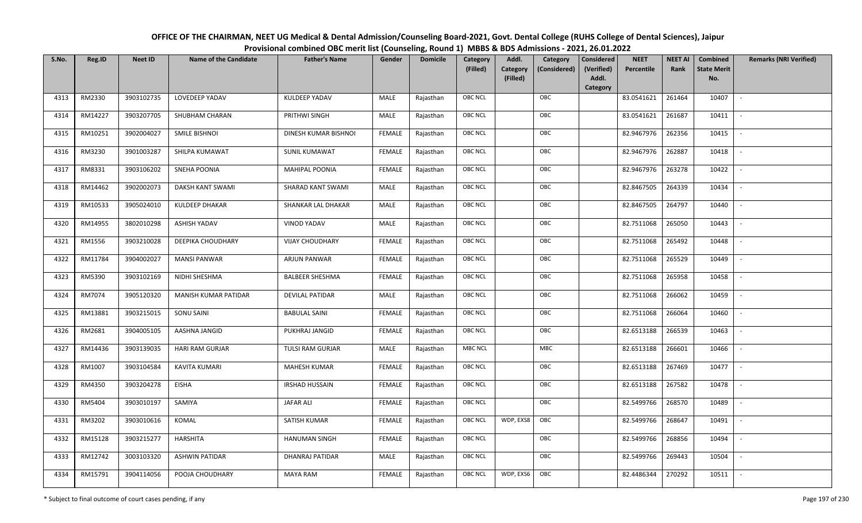| OFFICE OF THE CHAIRMAN, NEET UG Medical & Dental Admission/Counseling Board-2021, Govt. Dental College (RUHS College of Dental Sciences), Jaipur |
|--------------------------------------------------------------------------------------------------------------------------------------------------|
| Provisional combined OBC merit list (Counseling, Round 1) MBBS & BDS Admissions - 2021, 26.01.2022                                               |

| S.No. | Reg.ID  | <b>Neet ID</b> | <b>Name of the Candidate</b> | <b>Father's Name</b>   | Gender        | <b>Domicile</b> | Category<br>(Filled) | Addl.<br>Category<br>(Filled) | Category<br>(Considered) | <b>Considered</b><br>(Verified)<br>Addl. | <b>NEET</b><br>Percentile | <b>NEET AI</b><br>Rank | Combined<br><b>State Merit</b><br>No. | <b>Remarks (NRI Verified)</b> |
|-------|---------|----------------|------------------------------|------------------------|---------------|-----------------|----------------------|-------------------------------|--------------------------|------------------------------------------|---------------------------|------------------------|---------------------------------------|-------------------------------|
|       |         |                |                              |                        |               |                 |                      |                               |                          | Category                                 |                           |                        |                                       |                               |
| 4313  | RM2330  | 3903102735     | LOVEDEEP YADAV               | KULDEEP YADAV          | MALE          | Rajasthan       | OBC NCL              |                               | OBC                      |                                          | 83.0541621                | 261464                 | 10407                                 | $\sim$                        |
| 4314  | RM14227 | 3903207705     | SHUBHAM CHARAN               | PRITHWI SINGH          | MALE          | Rajasthan       | OBC NCL              |                               | OBC                      |                                          | 83.0541621                | 261687                 | 10411                                 |                               |
| 4315  | RM10251 | 3902004027     | SMILE BISHNOI                | DINESH KUMAR BISHNOI   | <b>FEMALE</b> | Rajasthan       | <b>OBC NCL</b>       |                               | OBC                      |                                          | 82.9467976                | 262356                 | 10415                                 | $\overline{\phantom{a}}$      |
| 4316  | RM3230  | 3901003287     | SHILPA KUMAWAT               | <b>SUNIL KUMAWAT</b>   | <b>FEMALE</b> | Rajasthan       | OBC NCL              |                               | OBC                      |                                          | 82.9467976                | 262887                 | 10418                                 | $\overline{\phantom{a}}$      |
| 4317  | RM8331  | 3903106202     | <b>SNEHA POONIA</b>          | MAHIPAL POONIA         | <b>FEMALE</b> | Rajasthan       | OBC NCL              |                               | OBC                      |                                          | 82.9467976                | 263278                 | 10422                                 | $\overline{\phantom{a}}$      |
| 4318  | RM14462 | 3902002073     | DAKSH KANT SWAMI             | SHARAD KANT SWAMI      | MALE          | Rajasthan       | OBC NCL              |                               | OBC                      |                                          | 82.8467505                | 264339                 | 10434                                 | $\sim$                        |
| 4319  | RM10533 | 3905024010     | KULDEEP DHAKAR               | SHANKAR LAL DHAKAR     | MALE          | Rajasthan       | OBC NCL              |                               | OBC                      |                                          | 82.8467505                | 264797                 | 10440                                 | $\sim$                        |
| 4320  | RM14955 | 3802010298     | <b>ASHISH YADAV</b>          | <b>VINOD YADAV</b>     | MALE          | Rajasthan       | OBC NCL              |                               | OBC                      |                                          | 82.7511068                | 265050                 | 10443                                 |                               |
| 4321  | RM1556  | 3903210028     | DEEPIKA CHOUDHARY            | <b>VIJAY CHOUDHARY</b> | <b>FEMALE</b> | Rajasthan       | OBC NCL              |                               | OBC                      |                                          | 82.7511068                | 265492                 | 10448                                 |                               |
| 4322  | RM11784 | 3904002027     | <b>MANSI PANWAR</b>          | <b>ARJUN PANWAR</b>    | <b>FEMALE</b> | Rajasthan       | OBC NCL              |                               | OBC                      |                                          | 82.7511068                | 265529                 | 10449                                 | $\overline{\phantom{a}}$      |
| 4323  | RM5390  | 3903102169     | NIDHI SHESHMA                | <b>BALBEER SHESHMA</b> | <b>FEMALE</b> | Rajasthan       | OBC NCL              |                               | OBC                      |                                          | 82.7511068                | 265958                 | 10458                                 |                               |
| 4324  | RM7074  | 3905120320     | MANISH KUMAR PATIDAR         | <b>DEVILAL PATIDAR</b> | MALE          | Rajasthan       | OBC NCL              |                               | OBC                      |                                          | 82.7511068                | 266062                 | 10459                                 | $\overline{\phantom{a}}$      |
| 4325  | RM13881 | 3903215015     | SONU SAINI                   | <b>BABULAL SAINI</b>   | <b>FEMALE</b> | Rajasthan       | OBC NCL              |                               | OBC                      |                                          | 82.7511068                | 266064                 | 10460                                 |                               |
| 4326  | RM2681  | 3904005105     | AASHNA JANGID                | PUKHRAJ JANGID         | <b>FEMALE</b> | Rajasthan       | <b>OBC NCL</b>       |                               | OBC                      |                                          | 82.6513188                | 266539                 | 10463                                 |                               |
| 4327  | RM14436 | 3903139035     | <b>HARI RAM GURJAR</b>       | TULSI RAM GURJAR       | MALE          | Rajasthan       | <b>MBC NCL</b>       |                               | MBC                      |                                          | 82.6513188                | 266601                 | 10466                                 | $\overline{\phantom{a}}$      |
| 4328  | RM1007  | 3903104584     | KAVITA KUMARI                | MAHESH KUMAR           | <b>FEMALE</b> | Rajasthan       | OBC NCL              |                               | OBC                      |                                          | 82.6513188                | 267469                 | 10477                                 | $\sim$                        |
| 4329  | RM4350  | 3903204278     | EISHA                        | <b>IRSHAD HUSSAIN</b>  | <b>FEMALE</b> | Rajasthan       | OBC NCL              |                               | OBC                      |                                          | 82.6513188                | 267582                 | 10478                                 | $\sim$                        |
| 4330  | RM5404  | 3903010197     | SAMIYA                       | <b>JAFAR ALI</b>       | <b>FEMALE</b> | Rajasthan       | OBC NCL              |                               | OBC                      |                                          | 82.5499766                | 268570                 | 10489                                 | $\overline{\phantom{a}}$      |
| 4331  | RM3202  | 3903010616     | KOMAL                        | SATISH KUMAR           | <b>FEMALE</b> | Rajasthan       | OBC NCL              | WDP, EXS8                     | OBC                      |                                          | 82.5499766                | 268647                 | 10491                                 |                               |
| 4332  | RM15128 | 3903215277     | <b>HARSHITA</b>              | <b>HANUMAN SINGH</b>   | <b>FEMALE</b> | Rajasthan       | OBC NCL              |                               | OBC                      |                                          | 82.5499766                | 268856                 | 10494                                 |                               |
| 4333  | RM12742 | 3003103320     | <b>ASHWIN PATIDAR</b>        | <b>DHANRAJ PATIDAR</b> | MALE          | Rajasthan       | OBC NCL              |                               | OBC                      |                                          | 82.5499766                | 269443                 | 10504                                 | $\overline{\phantom{a}}$      |
| 4334  | RM15791 | 3904114056     | POOJA CHOUDHARY              | <b>MAYA RAM</b>        | <b>FEMALE</b> | Rajasthan       | OBC NCL              | WDP, EXS6                     | OBC                      |                                          | 82.4486344                | 270292                 | 10511                                 |                               |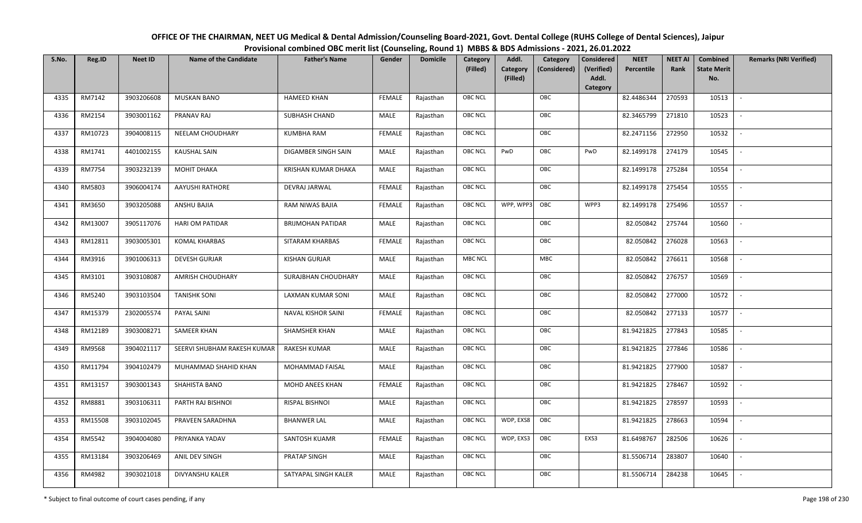| OFFICE OF THE CHAIRMAN, NEET UG Medical & Dental Admission/Counseling Board-2021, Govt. Dental College (RUHS College of Dental Sciences), Jaipur |
|--------------------------------------------------------------------------------------------------------------------------------------------------|
| Provisional combined OBC merit list (Counseling, Round 1) MBBS & BDS Admissions - 2021, 26.01.2022                                               |

| S.No. | Reg.ID  | <b>Neet ID</b> | <b>Name of the Candidate</b> | <b>Father's Name</b>      | Gender        | <b>Domicile</b> | Category<br>(Filled) | Addl.<br><b>Category</b> | Category<br>(Considered) | <b>Considered</b><br>(Verified) | <b>NEET</b><br>Percentile | <b>NEET AI</b><br>Rank | Combined<br><b>State Merit</b> | <b>Remarks (NRI Verified)</b> |
|-------|---------|----------------|------------------------------|---------------------------|---------------|-----------------|----------------------|--------------------------|--------------------------|---------------------------------|---------------------------|------------------------|--------------------------------|-------------------------------|
|       |         |                |                              |                           |               |                 |                      | (Filled)                 |                          | Addl.<br>Category               |                           |                        | No.                            |                               |
| 4335  | RM7142  | 3903206608     | <b>MUSKAN BANO</b>           | <b>HAMEED KHAN</b>        | <b>FEMALE</b> | Rajasthan       | <b>OBC NCL</b>       |                          | OBC                      |                                 | 82.4486344                | 270593                 | 10513                          | $\sim$                        |
| 4336  | RM2154  | 3903001162     | PRANAV RAJ                   | <b>SUBHASH CHAND</b>      | MALE          | Rajasthan       | OBC NCL              |                          | OBC                      |                                 | 82.3465799                | 271810                 | 10523                          |                               |
| 4337  | RM10723 | 3904008115     | NEELAM CHOUDHARY             | <b>KUMBHA RAM</b>         | <b>FEMALE</b> | Rajasthan       | <b>OBC NCL</b>       |                          | OBC                      |                                 | 82.2471156                | 272950                 | 10532                          | $\blacksquare$                |
| 4338  | RM1741  | 4401002155     | <b>KAUSHAL SAIN</b>          | DIGAMBER SINGH SAIN       | MALE          | Rajasthan       | OBC NCL              | PwD                      | OBC                      | PwD                             | 82.1499178                | 274179                 | 10545                          | $\overline{\phantom{a}}$      |
| 4339  | RM7754  | 3903232139     | MOHIT DHAKA                  | KRISHAN KUMAR DHAKA       | MALE          | Rajasthan       | <b>OBC NCL</b>       |                          | OBC                      |                                 | 82.1499178                | 275284                 | 10554                          | $\sim$                        |
| 4340  | RM5803  | 3906004174     | AAYUSHI RATHORE              | DEVRAJ JARWAL             | <b>FEMALE</b> | Rajasthan       | <b>OBC NCL</b>       |                          | OBC                      |                                 | 82.1499178                | 275454                 | 10555                          | $\sim$                        |
| 4341  | RM3650  | 3903205088     | ANSHU BAJIA                  | RAM NIWAS BAJIA           | <b>FEMALE</b> | Rajasthan       | <b>OBC NCL</b>       | WPP, WPP3                | OBC                      | WPP3                            | 82.1499178                | 275496                 | 10557                          | $\overline{\phantom{a}}$      |
| 4342  | RM13007 | 3905117076     | HARI OM PATIDAR              | <b>BRIJMOHAN PATIDAR</b>  | MALE          | Rajasthan       | OBC NCL              |                          | OBC                      |                                 | 82.050842                 | 275744                 | 10560                          |                               |
| 4343  | RM12811 | 3903005301     | <b>KOMAL KHARBAS</b>         | SITARAM KHARBAS           | <b>FEMALE</b> | Rajasthan       | <b>OBC NCL</b>       |                          | OBC                      |                                 | 82.050842                 | 276028                 | 10563                          |                               |
| 4344  | RM3916  | 3901006313     | <b>DEVESH GURJAR</b>         | <b>KISHAN GURJAR</b>      | MALE          | Rajasthan       | MBC NCL              |                          | MBC                      |                                 | 82.050842                 | 276611                 | 10568                          | $\overline{\phantom{a}}$      |
| 4345  | RM3101  | 3903108087     | AMRISH CHOUDHARY             | SURAJBHAN CHOUDHARY       | MALE          | Rajasthan       | <b>OBC NCL</b>       |                          | OBC                      |                                 | 82.050842                 | 276757                 | 10569                          |                               |
| 4346  | RM5240  | 3903103504     | <b>TANISHK SONI</b>          | <b>LAXMAN KUMAR SONI</b>  | MALE          | Rajasthan       | OBC NCL              |                          | OBC                      |                                 | 82.050842                 | 277000                 | 10572                          | $\overline{\phantom{a}}$      |
| 4347  | RM15379 | 2302005574     | PAYAL SAINI                  | <b>NAVAL KISHOR SAINI</b> | <b>FEMALE</b> | Rajasthan       | <b>OBC NCL</b>       |                          | OBC                      |                                 | 82.050842                 | 277133                 | 10577                          |                               |
| 4348  | RM12189 | 3903008271     | SAMEER KHAN                  | SHAMSHER KHAN             | MALE          | Rajasthan       | OBC NCL              |                          | OBC                      |                                 | 81.9421825                | 277843                 | 10585                          | $\sim$                        |
| 4349  | RM9568  | 3904021117     | SEERVI SHUBHAM RAKESH KUMAR  | <b>RAKESH KUMAR</b>       | <b>MALE</b>   | Rajasthan       | OBC NCL              |                          | OBC                      |                                 | 81.9421825                | 277846                 | 10586                          | $\overline{\phantom{a}}$      |
| 4350  | RM11794 | 3904102479     | MUHAMMAD SHAHID KHAN         | MOHAMMAD FAISAL           | MALE          | Rajasthan       | <b>OBC NCL</b>       |                          | OBC                      |                                 | 81.9421825                | 277900                 | 10587                          | $\sim$                        |
| 4351  | RM13157 | 3903001343     | SHAHISTA BANO                | MOHD ANEES KHAN           | <b>FEMALE</b> | Rajasthan       | <b>OBC NCL</b>       |                          | OBC                      |                                 | 81.9421825                | 278467                 | 10592                          | $\overline{\phantom{a}}$      |
| 4352  | RM8881  | 3903106311     | PARTH RAJ BISHNOI            | RISPAL BISHNOI            | MALE          | Rajasthan       | OBC NCL              |                          | OBC                      |                                 | 81.9421825                | 278597                 | 10593                          |                               |
| 4353  | RM15508 | 3903102045     | PRAVEEN SARADHNA             | <b>BHANWER LAL</b>        | MALE          | Rajasthan       | <b>OBC NCL</b>       | WDP, EXS8                | OBC                      |                                 | 81.9421825                | 278663                 | 10594                          |                               |
| 4354  | RM5542  | 3904004080     | PRIYANKA YADAV               | SANTOSH KUAMR             | <b>FEMALE</b> | Rajasthan       | <b>OBC NCL</b>       | WDP, EXS3                | OBC                      | EXS3                            | 81.6498767                | 282506                 | 10626                          | $\blacksquare$                |
| 4355  | RM13184 | 3903206469     | ANIL DEV SINGH               | PRATAP SINGH              | <b>MALE</b>   | Rajasthan       | <b>OBC NCL</b>       |                          | OBC                      |                                 | 81.5506714                | 283807                 | 10640                          | $\overline{\phantom{a}}$      |
| 4356  | RM4982  | 3903021018     | DIVYANSHU KALER              | SATYAPAL SINGH KALER      | MALE          | Rajasthan       | <b>OBC NCL</b>       |                          | OBC                      |                                 | 81.5506714                | 284238                 | 10645                          |                               |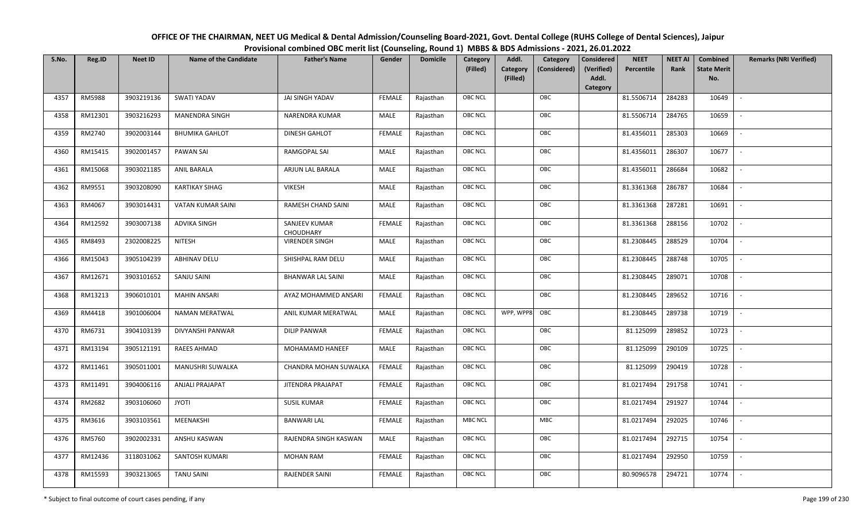| OFFICE OF THE CHAIRMAN, NEET UG Medical & Dental Admission/Counseling Board-2021, Govt. Dental College (RUHS College of Dental Sciences), Jaipur |
|--------------------------------------------------------------------------------------------------------------------------------------------------|
| Provisional combined OBC merit list (Counseling, Round 1) MBBS & BDS Admissions - 2021, 26.01.2022                                               |

| S.No. | Reg.ID        | <b>Neet ID</b> | <b>Name of the Candidate</b> | <b>Father's Name</b>       | Gender        | <b>Domicile</b> | Category<br>(Filled) | Addl.<br>Category<br>(Filled) | Category<br>(Considered) | <b>Considered</b><br>(Verified)<br>Addl. | <b>NEET</b><br>Percentile | <b>NEET AI</b><br>Rank | Combined<br><b>State Merit</b><br>No. | <b>Remarks (NRI Verified)</b> |
|-------|---------------|----------------|------------------------------|----------------------------|---------------|-----------------|----------------------|-------------------------------|--------------------------|------------------------------------------|---------------------------|------------------------|---------------------------------------|-------------------------------|
|       |               |                |                              |                            |               |                 |                      |                               |                          | Category                                 |                           |                        |                                       |                               |
| 4357  | <b>RM5988</b> | 3903219136     | <b>SWATI YADAV</b>           | JAI SINGH YADAV            | <b>FEMALE</b> | Rajasthan       | OBC NCL              |                               | OBC                      |                                          | 81.5506714                | 284283                 | 10649                                 | $\sim$                        |
| 4358  | RM12301       | 3903216293     | <b>MANENDRA SINGH</b>        | <b>NARENDRA KUMAR</b>      | MALE          | Rajasthan       | OBC NCL              |                               | OBC                      |                                          | 81.5506714                | 284765                 | 10659                                 |                               |
| 4359  | RM2740        | 3902003144     | <b>BHUMIKA GAHLOT</b>        | <b>DINESH GAHLOT</b>       | <b>FEMALE</b> | Rajasthan       | <b>OBC NCL</b>       |                               | OBC                      |                                          | 81.4356011                | 285303                 | 10669                                 |                               |
| 4360  | RM15415       | 3902001457     | PAWAN SAI                    | RAMGOPAL SAI               | MALE          | Rajasthan       | OBC NCL              |                               | OBC                      |                                          | 81.4356011                | 286307                 | 10677                                 | $\overline{\phantom{a}}$      |
| 4361  | RM15068       | 3903021185     | <b>ANIL BARALA</b>           | ARJUN LAL BARALA           | MALE          | Rajasthan       | OBC NCL              |                               | OBC                      |                                          | 81.4356011                | 286684                 | 10682                                 | $\sim$                        |
| 4362  | RM9551        | 3903208090     | <b>KARTIKAY SIHAG</b>        | <b>VIKESH</b>              | MALE          | Rajasthan       | OBC NCL              |                               | OBC                      |                                          | 81.3361368                | 286787                 | 10684                                 | $\overline{\phantom{a}}$      |
| 4363  | RM4067        | 3903014431     | <b>VATAN KUMAR SAINI</b>     | <b>RAMESH CHAND SAINI</b>  | MALE          | Rajasthan       | OBC NCL              |                               | OBC                      |                                          | 81.3361368                | 287281                 | 10691                                 |                               |
| 4364  | RM12592       | 3903007138     | <b>ADVIKA SINGH</b>          | SANJEEV KUMAR<br>CHOUDHARY | <b>FEMALE</b> | Rajasthan       | OBC NCL              |                               | OBC                      |                                          | 81.3361368                | 288156                 | 10702                                 |                               |
| 4365  | RM8493        | 2302008225     | <b>NITESH</b>                | <b>VIRENDER SINGH</b>      | MALE          | Rajasthan       | OBC NCL              |                               | OBC                      |                                          | 81.2308445                | 288529                 | 10704                                 |                               |
| 4366  | RM15043       | 3905104239     | <b>ABHINAV DELU</b>          | SHISHPAL RAM DELU          | MALE          | Rajasthan       | OBC NCL              |                               | OBC                      |                                          | 81.2308445                | 288748                 | 10705                                 | $\overline{\phantom{a}}$      |
| 4367  | RM12671       | 3903101652     | SANJU SAINI                  | <b>BHANWAR LAL SAINI</b>   | MALE          | Rajasthan       | <b>OBC NCL</b>       |                               | OBC                      |                                          | 81.2308445                | 289071                 | 10708                                 |                               |
| 4368  | RM13213       | 3906010101     | <b>MAHIN ANSARI</b>          | AYAZ MOHAMMED ANSARI       | <b>FEMALE</b> | Rajasthan       | OBC NCL              |                               | OBC                      |                                          | 81.2308445                | 289652                 | 10716                                 | $\sim$                        |
| 4369  | RM4418        | 3901006004     | <b>NAMAN MERATWAL</b>        | ANIL KUMAR MERATWAL        | MALE          | Rajasthan       | OBC NCL              | WPP, WPP8                     | OBC                      |                                          | 81.2308445                | 289738                 | 10719                                 |                               |
| 4370  | RM6731        | 3904103139     | DIVYANSHI PANWAR             | <b>DILIP PANWAR</b>        | <b>FEMALE</b> | Rajasthan       | OBC NCL              |                               | OBC                      |                                          | 81.125099                 | 289852                 | 10723                                 | $\sim$                        |
| 4371  | RM13194       | 3905121191     | <b>RAEES AHMAD</b>           | MOHAMAMD HANEEF            | <b>MALE</b>   | Rajasthan       | OBC NCL              |                               | OBC                      |                                          | 81.125099                 | 290109                 | 10725                                 | $\sim$                        |
| 4372  | RM11461       | 3905011001     | MANUSHRI SUWALKA             | CHANDRA MOHAN SUWALKA      | <b>FEMALE</b> | Rajasthan       | OBC NCL              |                               | OBC                      |                                          | 81.125099                 | 290419                 | 10728                                 | $\sim$                        |
| 4373  | RM11491       | 3904006116     | ANJALI PRAJAPAT              | <b>JITENDRA PRAJAPAT</b>   | <b>FEMALE</b> | Rajasthan       | OBC NCL              |                               | OBC                      |                                          | 81.0217494                | 291758                 | 10741                                 | $\overline{\phantom{a}}$      |
| 4374  | RM2682        | 3903106060     | <b>JYOTI</b>                 | <b>SUSIL KUMAR</b>         | <b>FEMALE</b> | Rajasthan       | OBC NCL              |                               | OBC                      |                                          | 81.0217494                | 291927                 | 10744                                 |                               |
| 4375  | RM3616        | 3903103561     | MEENAKSHI                    | <b>BANWARI LAL</b>         | <b>FEMALE</b> | Rajasthan       | MBC NCL              |                               | <b>MBC</b>               |                                          | 81.0217494                | 292025                 | 10746                                 |                               |
| 4376  | RM5760        | 3902002331     | ANSHU KASWAN                 | RAJENDRA SINGH KASWAN      | MALE          | Rajasthan       | OBC NCL              |                               | OBC                      |                                          | 81.0217494                | 292715                 | 10754                                 | $\blacksquare$                |
| 4377  | RM12436       | 3118031062     | SANTOSH KUMARI               | <b>MOHAN RAM</b>           | <b>FEMALE</b> | Rajasthan       | OBC NCL              |                               | OBC                      |                                          | 81.0217494                | 292950                 | 10759                                 |                               |
| 4378  | RM15593       | 3903213065     | <b>TANU SAINI</b>            | <b>RAJENDER SAINI</b>      | <b>FEMALE</b> | Rajasthan       | OBC NCL              |                               | OBC                      |                                          | 80.9096578                | 294721                 | 10774                                 |                               |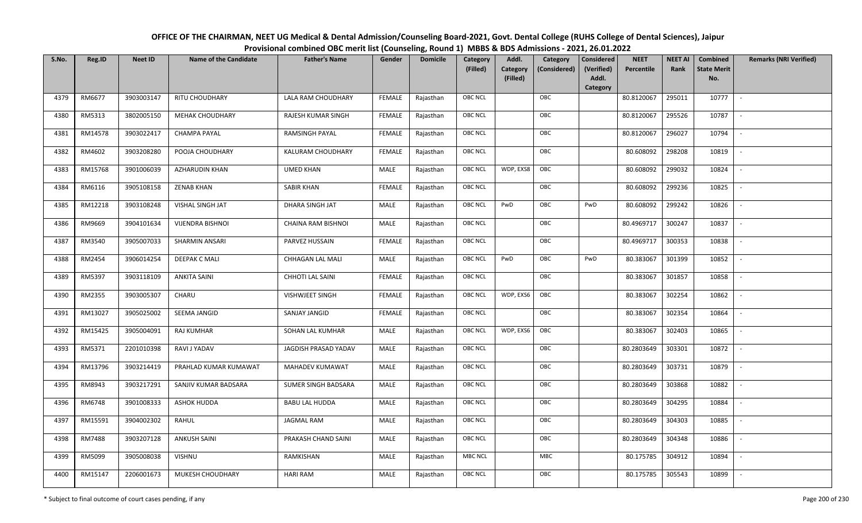| OFFICE OF THE CHAIRMAN, NEET UG Medical & Dental Admission/Counseling Board-2021, Govt. Dental College (RUHS College of Dental Sciences), Jaipur |
|--------------------------------------------------------------------------------------------------------------------------------------------------|
| Provisional combined OBC merit list (Counseling, Round 1) MBBS & BDS Admissions - 2021, 26.01.2022                                               |

| S.No. | Reg.ID  | <b>Neet ID</b> | <b>Name of the Candidate</b> | <b>Father's Name</b>       | Gender        | <b>Domicile</b> | Category<br>(Filled) | Addl.<br><b>Category</b><br>(Filled) | Category<br>(Considered) | <b>Considered</b><br>(Verified)<br>Addl. | <b>NEET</b><br>Percentile | <b>NEET AI</b><br>Rank | Combined<br><b>State Merit</b><br>No. | <b>Remarks (NRI Verified)</b> |
|-------|---------|----------------|------------------------------|----------------------------|---------------|-----------------|----------------------|--------------------------------------|--------------------------|------------------------------------------|---------------------------|------------------------|---------------------------------------|-------------------------------|
|       |         |                |                              |                            |               |                 |                      |                                      |                          | Category                                 |                           |                        |                                       |                               |
| 4379  | RM6677  | 3903003147     | <b>RITU CHOUDHARY</b>        | LALA RAM CHOUDHARY         | <b>FEMALE</b> | Rajasthan       | <b>OBC NCL</b>       |                                      | OBC                      |                                          | 80.8120067                | 295011                 | 10777                                 | $\sim$                        |
| 4380  | RM5313  | 3802005150     | <b>MEHAK CHOUDHARY</b>       | RAJESH KUMAR SINGH         | <b>FEMALE</b> | Rajasthan       | OBC NCL              |                                      | OBC                      |                                          | 80.8120067                | 295526                 | 10787                                 |                               |
| 4381  | RM14578 | 3903022417     | <b>CHAMPA PAYAL</b>          | RAMSINGH PAYAL             | <b>FEMALE</b> | Rajasthan       | OBC NCL              |                                      | OBC                      |                                          | 80.8120067                | 296027                 | 10794                                 | $\sim$                        |
| 4382  | RM4602  | 3903208280     | POOJA CHOUDHARY              | KALURAM CHOUDHARY          | <b>FEMALE</b> | Rajasthan       | OBC NCL              |                                      | OBC                      |                                          | 80.608092                 | 298208                 | 10819                                 | $\overline{\phantom{a}}$      |
| 4383  | RM15768 | 3901006039     | AZHARUDIN KHAN               | <b>UMED KHAN</b>           | MALE          | Rajasthan       | <b>OBC NCL</b>       | WDP, EXS8                            | OBC                      |                                          | 80.608092                 | 299032                 | 10824                                 | $\sim$                        |
| 4384  | RM6116  | 3905108158     | <b>ZENAB KHAN</b>            | <b>SABIR KHAN</b>          | <b>FEMALE</b> | Rajasthan       | <b>OBC NCL</b>       |                                      | OBC                      |                                          | 80.608092                 | 299236                 | 10825                                 | $\overline{\phantom{a}}$      |
| 4385  | RM12218 | 3903108248     | VISHAL SINGH JAT             | <b>DHARA SINGH JAT</b>     | MALE          | Rajasthan       | <b>OBC NCL</b>       | PwD                                  | OBC                      | PwD                                      | 80.608092                 | 299242                 | 10826                                 | $\overline{\phantom{a}}$      |
| 4386  | RM9669  | 3904101634     | VIJENDRA BISHNOI             | CHAINA RAM BISHNOI         | MALE          | Rajasthan       | OBC NCL              |                                      | OBC                      |                                          | 80.4969717                | 300247                 | 10837                                 |                               |
| 4387  | RM3540  | 3905007033     | SHARMIN ANSARI               | PARVEZ HUSSAIN             | <b>FEMALE</b> | Rajasthan       | <b>OBC NCL</b>       |                                      | OBC                      |                                          | 80.4969717                | 300353                 | 10838                                 |                               |
| 4388  | RM2454  | 3906014254     | <b>DEEPAK C MALI</b>         | CHHAGAN LAL MALI           | MALE          | Rajasthan       | <b>OBC NCL</b>       | PwD                                  | OBC                      | PwD                                      | 80.383067                 | 301399                 | 10852                                 | $\overline{\phantom{a}}$      |
| 4389  | RM5397  | 3903118109     | <b>ANKITA SAINI</b>          | CHHOTI LAL SAINI           | <b>FEMALE</b> | Rajasthan       | <b>OBC NCL</b>       |                                      | OBC                      |                                          | 80.383067                 | 301857                 | 10858                                 |                               |
| 4390  | RM2355  | 3903005307     | CHARU                        | <b>VISHWJEET SINGH</b>     | <b>FEMALE</b> | Rajasthan       | <b>OBC NCL</b>       | WDP, EXS6                            | OBC                      |                                          | 80.383067                 | 302254                 | 10862                                 | $\sim$                        |
| 4391  | RM13027 | 3905025002     | SEEMA JANGID                 | SANJAY JANGID              | <b>FEMALE</b> | Rajasthan       | <b>OBC NCL</b>       |                                      | OBC                      |                                          | 80.383067                 | 302354                 | 10864                                 |                               |
| 4392  | RM15425 | 3905004091     | <b>RAJ KUMHAR</b>            | SOHAN LAL KUMHAR           | MALE          | Rajasthan       | OBC NCL              | WDP, EXS6                            | OBC                      |                                          | 80.383067                 | 302403                 | 10865                                 | $\sim$                        |
| 4393  | RM5371  | 2201010398     | RAVI J YADAV                 | JAGDISH PRASAD YADAV       | <b>MALE</b>   | Rajasthan       | <b>OBC NCL</b>       |                                      | OBC                      |                                          | 80.2803649                | 303301                 | 10872                                 | $\sim$                        |
| 4394  | RM13796 | 3903214419     | PRAHLAD KUMAR KUMAWAT        | MAHADEV KUMAWAT            | MALE          | Rajasthan       | <b>OBC NCL</b>       |                                      | OBC                      |                                          | 80.2803649                | 303731                 | 10879                                 | $\sim$                        |
| 4395  | RM8943  | 3903217291     | SANJIV KUMAR BADSARA         | <b>SUMER SINGH BADSARA</b> | MALE          | Rajasthan       | <b>OBC NCL</b>       |                                      | OBC                      |                                          | 80.2803649                | 303868                 | 10882                                 | $\overline{\phantom{a}}$      |
| 4396  | RM6748  | 3901008333     | <b>ASHOK HUDDA</b>           | <b>BABU LAL HUDDA</b>      | MALE          | Rajasthan       | OBC NCL              |                                      | OBC                      |                                          | 80.2803649                | 304295                 | 10884                                 |                               |
| 4397  | RM15591 | 3904002302     | RAHUL                        | <b>JAGMAL RAM</b>          | MALE          | Rajasthan       | <b>OBC NCL</b>       |                                      | OBC                      |                                          | 80.2803649                | 304303                 | 10885                                 |                               |
| 4398  | RM7488  | 3903207128     | <b>ANKUSH SAINI</b>          | PRAKASH CHAND SAINI        | MALE          | Rajasthan       | OBC NCL              |                                      | OBC                      |                                          | 80.2803649                | 304348                 | 10886                                 | $\blacksquare$                |
| 4399  | RM5099  | 3905008038     | <b>VISHNU</b>                | RAMKISHAN                  | <b>MALE</b>   | Rajasthan       | <b>MBC NCL</b>       |                                      | MBC                      |                                          | 80.175785                 | 304912                 | 10894                                 | $\overline{\phantom{a}}$      |
| 4400  | RM15147 | 2206001673     | MUKESH CHOUDHARY             | <b>HARI RAM</b>            | MALE          | Rajasthan       | <b>OBC NCL</b>       |                                      | OBC                      |                                          | 80.175785                 | 305543                 | 10899                                 |                               |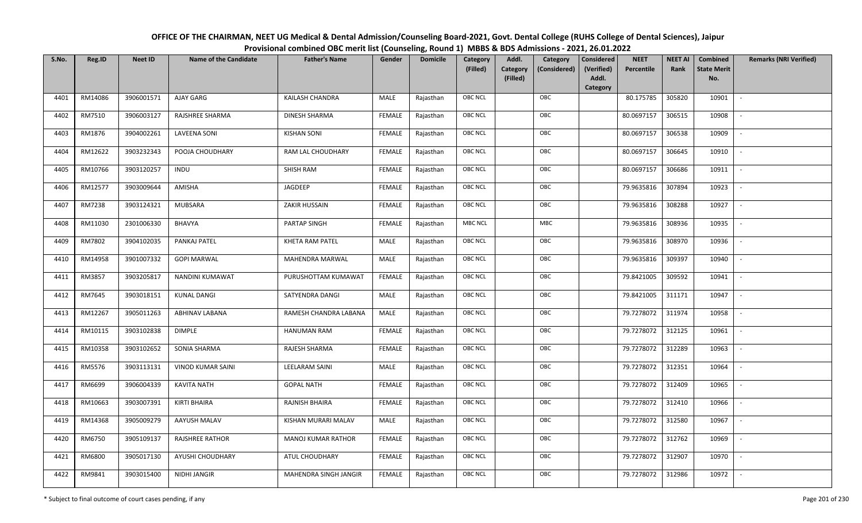| OFFICE OF THE CHAIRMAN, NEET UG Medical & Dental Admission/Counseling Board-2021, Govt. Dental College (RUHS College of Dental Sciences), Jaipur |
|--------------------------------------------------------------------------------------------------------------------------------------------------|
| Provisional combined OBC merit list (Counseling, Round 1) MBBS & BDS Admissions - 2021, 26.01.2022                                               |

| S.No. | Reg.ID  | <b>Neet ID</b> | <b>Name of the Candidate</b> | <b>Father's Name</b>      | Gender        | <b>Domicile</b> | Category<br>(Filled) | Addl.<br>Category<br><b>Category</b><br>(Considered) | <b>Considered</b><br>(Verified)<br>Addl. | <b>NEET</b><br>Percentile | <b>NEET AI</b><br>Rank | Combined<br><b>State Merit</b> | <b>Remarks (NRI Verified)</b> |
|-------|---------|----------------|------------------------------|---------------------------|---------------|-----------------|----------------------|------------------------------------------------------|------------------------------------------|---------------------------|------------------------|--------------------------------|-------------------------------|
|       |         |                |                              |                           |               |                 |                      | (Filled)                                             | Category                                 |                           |                        | No.                            |                               |
| 4401  | RM14086 | 3906001571     | AJAY GARG                    | <b>KAILASH CHANDRA</b>    | MALE          | Rajasthan       | <b>OBC NCL</b>       | OBC                                                  |                                          | 80.175785                 | 305820                 | 10901                          | $\sim$                        |
| 4402  | RM7510  | 3906003127     | RAJSHREE SHARMA              | DINESH SHARMA             | FEMALE        | Rajasthan       | OBC NCL              | OBC                                                  |                                          | 80.0697157                | 306515                 | 10908                          |                               |
| 4403  | RM1876  | 3904002261     | <b>LAVEENA SONI</b>          | <b>KISHAN SONI</b>        | <b>FEMALE</b> | Rajasthan       | <b>OBC NCL</b>       | OBC                                                  |                                          | 80.0697157                | 306538                 | 10909                          |                               |
| 4404  | RM12622 | 3903232343     | POOJA CHOUDHARY              | RAM LAL CHOUDHARY         | <b>FEMALE</b> | Rajasthan       | <b>OBC NCL</b>       | OBC                                                  |                                          | 80.0697157                | 306645                 | 10910                          | $\overline{\phantom{a}}$      |
| 4405  | RM10766 | 3903120257     | <b>INDU</b>                  | SHISH RAM                 | <b>FEMALE</b> | Rajasthan       | OBC NCL              | OBC                                                  |                                          | 80.0697157                | 306686                 | 10911                          | $\sim$                        |
| 4406  | RM12577 | 3903009644     | AMISHA                       | JAGDEEP                   | <b>FEMALE</b> | Rajasthan       | <b>OBC NCL</b>       | OBC                                                  |                                          | 79.9635816                | 307894                 | 10923                          | $\sim$                        |
| 4407  | RM7238  | 3903124321     | <b>MUBSARA</b>               | <b>ZAKIR HUSSAIN</b>      | <b>FEMALE</b> | Rajasthan       | OBC NCL              | OBC                                                  |                                          | 79.9635816                | 308288                 | 10927                          | $\overline{\phantom{a}}$      |
| 4408  | RM11030 | 2301006330     | BHAVYA                       | PARTAP SINGH              | <b>FEMALE</b> | Rajasthan       | MBC NCL              | ${\sf MBC}$                                          |                                          | 79.9635816                | 308936                 | 10935                          |                               |
| 4409  | RM7802  | 3904102035     | PANKAJ PATEL                 | KHETA RAM PATEL           | <b>MALE</b>   | Rajasthan       | OBC NCL              | OBC                                                  |                                          | 79.9635816                | 308970                 | 10936                          |                               |
| 4410  | RM14958 | 3901007332     | <b>GOPI MARWAL</b>           | <b>MAHENDRA MARWAL</b>    | MALE          | Rajasthan       | <b>OBC NCL</b>       | OBC                                                  |                                          | 79.9635816                | 309397                 | 10940                          | $\overline{\phantom{a}}$      |
| 4411  | RM3857  | 3903205817     | NANDINI KUMAWAT              | PURUSHOTTAM KUMAWAT       | <b>FEMALE</b> | Rajasthan       | OBC NCL              | OBC                                                  |                                          | 79.8421005                | 309592                 | 10941                          |                               |
| 4412  | RM7645  | 3903018151     | <b>KUNAL DANGI</b>           | SATYENDRA DANGI           | MALE          | Rajasthan       | <b>OBC NCL</b>       | OBC                                                  |                                          | 79.8421005                | 311171                 | 10947                          | $\overline{\phantom{a}}$      |
| 4413  | RM12267 | 3905011263     | ABHINAV LABANA               | RAMESH CHANDRA LABANA     | <b>MALE</b>   | Rajasthan       | OBC NCL              | OBC                                                  |                                          | 79.7278072                | 311974                 | 10958                          |                               |
| 4414  | RM10115 | 3903102838     | <b>DIMPLE</b>                | <b>HANUMAN RAM</b>        | <b>FEMALE</b> | Rajasthan       | OBC NCL              | OBC                                                  |                                          | 79.7278072                | 312125                 | 10961                          | $\sim$                        |
| 4415  | RM10358 | 3903102652     | SONIA SHARMA                 | RAJESH SHARMA             | <b>FEMALE</b> | Rajasthan       | <b>OBC NCL</b>       | OBC                                                  |                                          | 79.7278072                | 312289                 | 10963                          | $\overline{\phantom{a}}$      |
| 4416  | RM5576  | 3903113131     | <b>VINOD KUMAR SAINI</b>     | LEELARAM SAINI            | MALE          | Rajasthan       | <b>OBC NCL</b>       | OBC                                                  |                                          | 79.7278072                | 312351                 | 10964                          | $\sim$                        |
| 4417  | RM6699  | 3906004339     | KAVITA NATH                  | <b>GOPAL NATH</b>         | <b>FEMALE</b> | Rajasthan       | <b>OBC NCL</b>       | OBC                                                  |                                          | 79.7278072                | 312409                 | 10965                          | $\overline{\phantom{a}}$      |
| 4418  | RM10663 | 3903007391     | <b>KIRTI BHAIRA</b>          | RAJNISH BHAIRA            | <b>FEMALE</b> | Rajasthan       | <b>OBC NCL</b>       | OBC                                                  |                                          | 79.7278072                | 312410                 | 10966                          |                               |
| 4419  | RM14368 | 3905009279     | AAYUSH MALAV                 | KISHAN MURARI MALAV       | <b>MALE</b>   | Rajasthan       | OBC NCL              | OBC                                                  |                                          | 79.7278072                | 312580                 | 10967                          |                               |
| 4420  | RM6750  | 3905109137     | <b>RAJSHREE RATHOR</b>       | <b>MANOJ KUMAR RATHOR</b> | <b>FEMALE</b> | Rajasthan       | OBC NCL              | OBC                                                  |                                          | 79.7278072                | 312762                 | 10969                          | $\blacksquare$                |
| 4421  | RM6800  | 3905017130     | AYUSHI CHOUDHARY             | ATUL CHOUDHARY            | <b>FEMALE</b> | Rajasthan       | OBC NCL              | OBC                                                  |                                          | 79.7278072                | 312907                 | 10970                          | $\overline{\phantom{a}}$      |
| 4422  | RM9841  | 3903015400     | NIDHI JANGIR                 | MAHENDRA SINGH JANGIR     | FEMALE        | Rajasthan       | <b>OBC NCL</b>       | OBC                                                  |                                          | 79.7278072                | 312986                 | 10972                          |                               |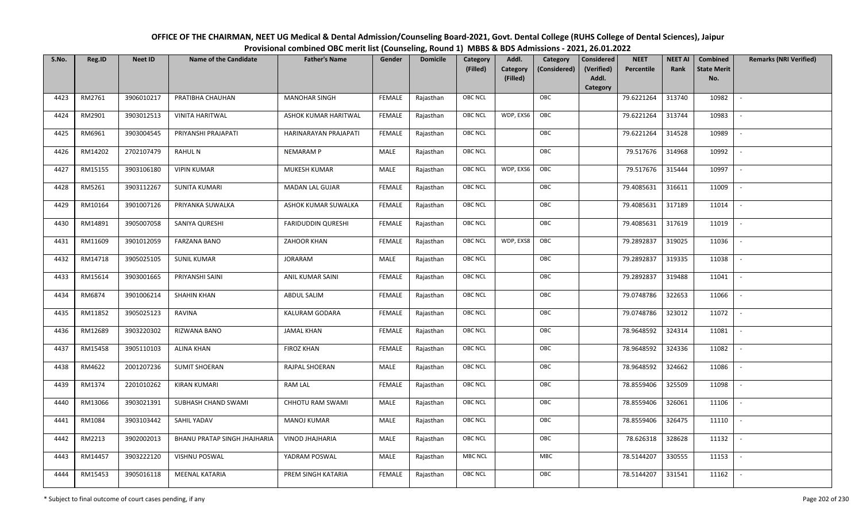| OFFICE OF THE CHAIRMAN, NEET UG Medical & Dental Admission/Counseling Board-2021, Govt. Dental College (RUHS College of Dental Sciences), Jaipur |  |
|--------------------------------------------------------------------------------------------------------------------------------------------------|--|
| Provisional combined OBC merit list (Counseling, Round 1) MBBS & BDS Admissions - 2021, 26.01.2022                                               |  |

| S.No. | Reg.ID  | <b>Neet ID</b> | <b>Name of the Candidate</b>        | <b>Father's Name</b>      | Gender        | <b>Domicile</b> | Category       | Addl.                | Category     | <b>Considered</b>   | <b>NEET</b><br>Percentile | <b>NEET AI</b><br>Rank | Combined<br><b>State Merit</b> | <b>Remarks (NRI Verified)</b> |
|-------|---------|----------------|-------------------------------------|---------------------------|---------------|-----------------|----------------|----------------------|--------------|---------------------|---------------------------|------------------------|--------------------------------|-------------------------------|
|       |         |                |                                     |                           |               |                 | (Filled)       | Category<br>(Filled) | (Considered) | (Verified)<br>Addl. |                           |                        | No.                            |                               |
|       |         |                |                                     |                           |               |                 |                |                      |              | Category            |                           |                        |                                |                               |
| 4423  | RM2761  | 3906010217     | PRATIBHA CHAUHAN                    | <b>MANOHAR SINGH</b>      | <b>FEMALE</b> | Rajasthan       | <b>OBC NCL</b> |                      | OBC          |                     | 79.6221264                | 313740                 | 10982                          | $\sim$                        |
| 4424  | RM2901  | 3903012513     | <b>VINITA HARITWAL</b>              | ASHOK KUMAR HARITWAL      | <b>FEMALE</b> | Rajasthan       | <b>OBC NCL</b> | WDP, EXS6            | OBC          |                     | 79.6221264                | 313744                 | 10983                          |                               |
| 4425  | RM6961  | 3903004545     | PRIYANSHI PRAJAPATI                 | HARINARAYAN PRAJAPATI     | <b>FEMALE</b> | Rajasthan       | <b>OBC NCL</b> |                      | OBC          |                     | 79.6221264                | 314528                 | 10989                          | $\overline{\phantom{a}}$      |
| 4426  | RM14202 | 2702107479     | <b>RAHUL N</b>                      | <b>NEMARAM P</b>          | <b>MALE</b>   | Rajasthan       | <b>OBC NCL</b> |                      | OBC          |                     | 79.517676                 | 314968                 | 10992                          | $\overline{\phantom{a}}$      |
| 4427  | RM15155 | 3903106180     | <b>VIPIN KUMAR</b>                  | MUKESH KUMAR              | MALE          | Rajasthan       | <b>OBC NCL</b> | WDP, EXS6            | OBC          |                     | 79.517676                 | 315444                 | 10997                          | $\sim$                        |
| 4428  | RM5261  | 3903112267     | <b>SUNITA KUMARI</b>                | <b>MADAN LAL GUJAR</b>    | <b>FEMALE</b> | Rajasthan       | <b>OBC NCL</b> |                      | OBC          |                     | 79.4085631                | 316611                 | 11009                          | $\overline{\phantom{a}}$      |
| 4429  | RM10164 | 3901007126     | PRIYANKA SUWALKA                    | ASHOK KUMAR SUWALKA       | <b>FEMALE</b> | Rajasthan       | <b>OBC NCL</b> |                      | OBC          |                     | 79.4085631                | 317189                 | 11014                          |                               |
| 4430  | RM14891 | 3905007058     | SANIYA QURESHI                      | <b>FARIDUDDIN QURESHI</b> | <b>FEMALE</b> | Rajasthan       | OBC NCL        |                      | OBC          |                     | 79.4085631                | 317619                 | 11019                          |                               |
| 4431  | RM11609 | 3901012059     | <b>FARZANA BANO</b>                 | ZAHOOR KHAN               | <b>FEMALE</b> | Rajasthan       | OBC NCL        | WDP, EXS8            | OBC          |                     | 79.2892837                | 319025                 | 11036                          |                               |
| 4432  | RM14718 | 3905025105     | <b>SUNIL KUMAR</b>                  | <b>JORARAM</b>            | <b>MALE</b>   | Rajasthan       | OBC NCL        |                      | OBC          |                     | 79.2892837                | 319335                 | 11038                          | $\sim$                        |
| 4433  | RM15614 | 3903001665     | PRIYANSHI SAINI                     | ANIL KUMAR SAINI          | <b>FEMALE</b> | Rajasthan       | <b>OBC NCL</b> |                      | OBC          |                     | 79.2892837                | 319488                 | 11041                          |                               |
| 4434  | RM6874  | 3901006214     | <b>SHAHIN KHAN</b>                  | ABDUL SALIM               | <b>FEMALE</b> | Rajasthan       | <b>OBC NCL</b> |                      | OBC          |                     | 79.0748786                | 322653                 | 11066                          | $\overline{\phantom{a}}$      |
| 4435  | RM11852 | 3905025123     | <b>RAVINA</b>                       | KALURAM GODARA            | FEMALE        | Rajasthan       | OBC NCL        |                      | OBC          |                     | 79.0748786                | 323012                 | 11072                          |                               |
| 4436  | RM12689 | 3903220302     | RIZWANA BANO                        | <b>JAMAL KHAN</b>         | <b>FEMALE</b> | Rajasthan       | OBC NCL        |                      | OBC          |                     | 78.9648592                | 324314                 | 11081                          | $\sim$                        |
| 4437  | RM15458 | 3905110103     | <b>ALINA KHAN</b>                   | <b>FIROZ KHAN</b>         | <b>FEMALE</b> | Rajasthan       | <b>OBC NCL</b> |                      | OBC          |                     | 78.9648592                | 324336                 | 11082                          | $\overline{\phantom{a}}$      |
| 4438  | RM4622  | 2001207236     | <b>SUMIT SHOERAN</b>                | RAJPAL SHOERAN            | MALE          | Rajasthan       | OBC NCL        |                      | OBC          |                     | 78.9648592                | 324662                 | 11086                          | $\overline{\phantom{a}}$      |
| 4439  | RM1374  | 2201010262     | <b>KIRAN KUMARI</b>                 | <b>RAM LAL</b>            | <b>FEMALE</b> | Rajasthan       | OBC NCL        |                      | OBC          |                     | 78.8559406                | 325509                 | 11098                          | $\blacksquare$                |
| 4440  | RM13066 | 3903021391     | SUBHASH CHAND SWAMI                 | CHHOTU RAM SWAMI          | <b>MALE</b>   | Rajasthan       | OBC NCL        |                      | OBC          |                     | 78.8559406                | 326061                 | 11106                          |                               |
| 4441  | RM1084  | 3903103442     | SAHIL YADAV                         | <b>MANOJ KUMAR</b>        | MALE          | Rajasthan       | <b>OBC NCL</b> |                      | OBC          |                     | 78.8559406                | 326475                 | 11110                          | $\sim$                        |
| 4442  | RM2213  | 3902002013     | <b>BHANU PRATAP SINGH JHAJHARIA</b> | <b>VINOD JHAJHARIA</b>    | <b>MALE</b>   | Rajasthan       | <b>OBC NCL</b> |                      | OBC          |                     | 78.626318                 | 328628                 | 11132                          | $\overline{\phantom{a}}$      |
| 4443  | RM14457 | 3903222120     | VISHNU POSWAL                       | YADRAM POSWAL             | MALE          | Rajasthan       | <b>MBC NCL</b> |                      | <b>MBC</b>   |                     | 78.5144207                | 330555                 | 11153                          | $\overline{\phantom{a}}$      |
| 4444  | RM15453 | 3905016118     | <b>MEENAL KATARIA</b>               | PREM SINGH KATARIA        | FEMALE        | Rajasthan       | OBC NCL        |                      | OBC          |                     | 78.5144207                | 331541                 | 11162                          |                               |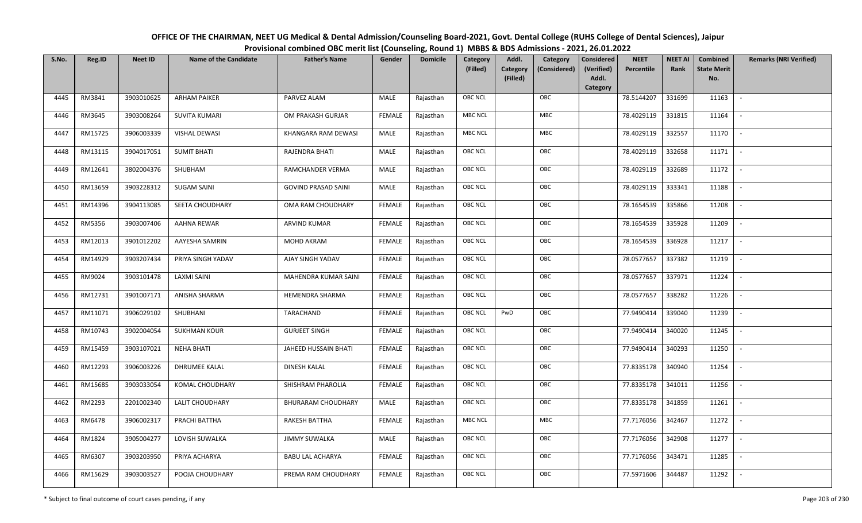| OFFICE OF THE CHAIRMAN, NEET UG Medical & Dental Admission/Counseling Board-2021, Govt. Dental College (RUHS College of Dental Sciences), Jaipur |
|--------------------------------------------------------------------------------------------------------------------------------------------------|
| Provisional combined OBC merit list (Counseling, Round 1) MBBS & BDS Admissions - 2021, 26.01.2022                                               |

| S.No. | Reg.ID  | <b>Neet ID</b> | <b>Name of the Candidate</b> | <b>Father's Name</b>       | Gender        | <b>Domicile</b> | Category<br>(Filled) | Addl.<br>Category<br><b>Category</b><br>(Considered) | <b>Considered</b><br>(Verified) | <b>NEET</b><br>Percentile | <b>NEET AI</b><br>Rank | Combined<br><b>State Merit</b> | <b>Remarks (NRI Verified)</b> |
|-------|---------|----------------|------------------------------|----------------------------|---------------|-----------------|----------------------|------------------------------------------------------|---------------------------------|---------------------------|------------------------|--------------------------------|-------------------------------|
|       |         |                |                              |                            |               |                 |                      | (Filled)                                             | Addl.<br>Category               |                           |                        | No.                            |                               |
| 4445  | RM3841  | 3903010625     | <b>ARHAM PAIKER</b>          | PARVEZ ALAM                | MALE          | Rajasthan       | <b>OBC NCL</b>       | OBC                                                  |                                 | 78.5144207                | 331699                 | 11163                          | $\sim$                        |
| 4446  | RM3645  | 3903008264     | <b>SUVITA KUMARI</b>         | OM PRAKASH GURJAR          | <b>FEMALE</b> | Rajasthan       | <b>MBC NCL</b>       | MBC                                                  |                                 | 78.4029119                | 331815                 | 11164                          |                               |
| 4447  | RM15725 | 3906003339     | <b>VISHAL DEWASI</b>         | KHANGARA RAM DEWASI        | MALE          | Rajasthan       | <b>MBC NCL</b>       | MBC                                                  |                                 | 78.4029119                | 332557                 | 11170                          | $\overline{\phantom{a}}$      |
| 4448  | RM13115 | 3904017051     | <b>SUMIT BHATI</b>           | RAJENDRA BHATI             | MALE          | Rajasthan       | <b>OBC NCL</b>       | OBC                                                  |                                 | 78.4029119                | 332658                 | 11171                          | $\sim$                        |
| 4449  | RM12641 | 3802004376     | SHUBHAM                      | RAMCHANDER VERMA           | <b>MALE</b>   | Rajasthan       | OBC NCL              | OBC                                                  |                                 | 78.4029119                | 332689                 | 11172                          | $\sim$                        |
| 4450  | RM13659 | 3903228312     | <b>SUGAM SAINI</b>           | <b>GOVIND PRASAD SAINI</b> | MALE          | Rajasthan       | <b>OBC NCL</b>       | OBC                                                  |                                 | 78.4029119                | 333341                 | 11188                          | $\sim$                        |
| 4451  | RM14396 | 3904113085     | SEETA CHOUDHARY              | OMA RAM CHOUDHARY          | <b>FEMALE</b> | Rajasthan       | OBC NCL              | OBC                                                  |                                 | 78.1654539                | 335866                 | 11208                          | $\overline{\phantom{a}}$      |
| 4452  | RM5356  | 3903007406     | AAHNA REWAR                  | ARVIND KUMAR               | <b>FEMALE</b> | Rajasthan       | OBC NCL              | OBC                                                  |                                 | 78.1654539                | 335928                 | 11209                          |                               |
| 4453  | RM12013 | 3901012202     | AAYESHA SAMRIN               | MOHD AKRAM                 | <b>FEMALE</b> | Rajasthan       | OBC NCL              | OBC                                                  |                                 | 78.1654539                | 336928                 | 11217                          | $\blacksquare$                |
| 4454  | RM14929 | 3903207434     | PRIYA SINGH YADAV            | AJAY SINGH YADAV           | <b>FEMALE</b> | Rajasthan       | <b>OBC NCL</b>       | OBC                                                  |                                 | 78.0577657                | 337382                 | 11219                          | $\sim$                        |
| 4455  | RM9024  | 3903101478     | <b>LAXMI SAINI</b>           | MAHENDRA KUMAR SAINI       | <b>FEMALE</b> | Rajasthan       | OBC NCL              | OBC                                                  |                                 | 78.0577657                | 337971                 | 11224                          |                               |
| 4456  | RM12731 | 3901007171     | ANISHA SHARMA                | HEMENDRA SHARMA            | <b>FEMALE</b> | Rajasthan       | OBC NCL              | OBC                                                  |                                 | 78.0577657                | 338282                 | 11226                          | $\mathbb{L}$                  |
| 4457  | RM11071 | 3906029102     | SHUBHANI                     | TARACHAND                  | <b>FEMALE</b> | Rajasthan       | <b>OBC NCL</b>       | PwD<br>OBC                                           |                                 | 77.9490414                | 339040                 | 11239                          |                               |
| 4458  | RM10743 | 3902004054     | <b>SUKHMAN KOUR</b>          | <b>GURJEET SINGH</b>       | <b>FEMALE</b> | Rajasthan       | OBC NCL              | OBC                                                  |                                 | 77.9490414                | 340020                 | 11245                          | $\overline{\phantom{a}}$      |
| 4459  | RM15459 | 3903107021     | <b>NEHA BHATI</b>            | JAHEED HUSSAIN BHATI       | <b>FEMALE</b> | Rajasthan       | <b>OBC NCL</b>       | OBC                                                  |                                 | 77.9490414                | 340293                 | 11250                          | $\overline{\phantom{a}}$      |
| 4460  | RM12293 | 3906003226     | DHRUMEE KALAL                | <b>DINESH KALAL</b>        | <b>FEMALE</b> | Rajasthan       | OBC NCL              | OBC                                                  |                                 | 77.8335178                | 340940                 | 11254                          | $\sim$                        |
| 4461  | RM15685 | 3903033054     | KOMAL CHOUDHARY              | SHISHRAM PHAROLIA          | <b>FEMALE</b> | Rajasthan       | <b>OBC NCL</b>       | OBC                                                  |                                 | 77.8335178                | 341011                 | 11256                          | $\overline{\phantom{a}}$      |
| 4462  | RM2293  | 2201002340     | LALIT CHOUDHARY              | <b>BHURARAM CHOUDHARY</b>  | MALE          | Rajasthan       | OBC NCL              | OBC                                                  |                                 | 77.8335178                | 341859                 | 11261                          | $\overline{\phantom{a}}$      |
| 4463  | RM6478  | 3906002317     | PRACHI BATTHA                | RAKESH BATTHA              | <b>FEMALE</b> | Rajasthan       | <b>MBC NCL</b>       | MBC                                                  |                                 | 77.7176056                | 342467                 | 11272                          |                               |
| 4464  | RM1824  | 3905004277     | LOVISH SUWALKA               | <b>JIMMY SUWALKA</b>       | MALE          | Rajasthan       | <b>OBC NCL</b>       | OBC                                                  |                                 | 77.7176056                | 342908                 | 11277                          |                               |
| 4465  | RM6307  | 3903203950     | PRIYA ACHARYA                | <b>BABU LAL ACHARYA</b>    | <b>FEMALE</b> | Rajasthan       | <b>OBC NCL</b>       | OBC                                                  |                                 | 77.7176056                | 343471                 | 11285                          | $\overline{\phantom{a}}$      |
| 4466  | RM15629 | 3903003527     | POOJA CHOUDHARY              | PREMA RAM CHOUDHARY        | FEMALE        | Rajasthan       | <b>OBC NCL</b>       | OBC                                                  |                                 | 77.5971606                | 344487                 | 11292                          |                               |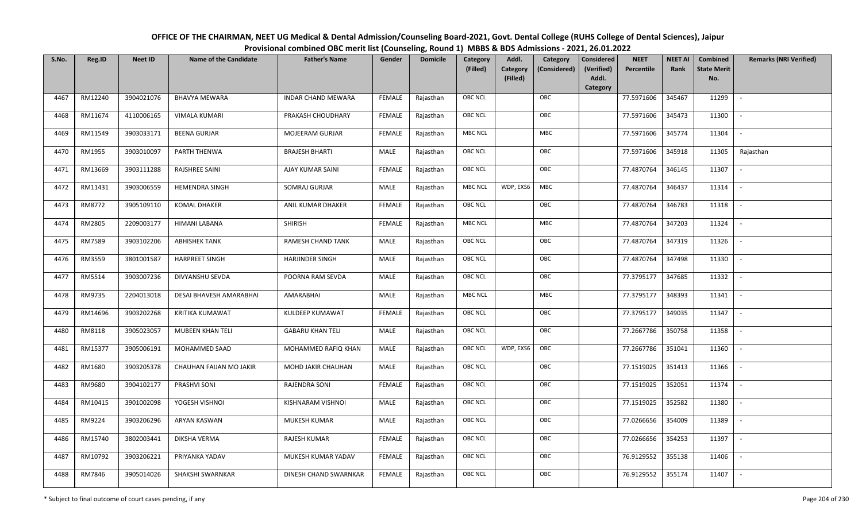| OFFICE OF THE CHAIRMAN, NEET UG Medical & Dental Admission/Counseling Board-2021, Govt. Dental College (RUHS College of Dental Sciences), Jaipur |
|--------------------------------------------------------------------------------------------------------------------------------------------------|
| Provisional combined OBC merit list (Counseling, Round 1) MBBS & BDS Admissions - 2021, 26.01.2022                                               |

| S.No. | Reg.ID  | <b>Neet ID</b> | <b>Name of the Candidate</b> | <b>Father's Name</b>      | Gender        | <b>Domicile</b> | Category<br>(Filled) | Addl.<br><b>Category</b><br>(Filled) | Category<br>(Considered) | <b>Considered</b><br>(Verified)<br>Addl. | <b>NEET</b><br>Percentile | <b>NEET AI</b><br>Rank | Combined<br><b>State Merit</b><br>No. | <b>Remarks (NRI Verified)</b> |
|-------|---------|----------------|------------------------------|---------------------------|---------------|-----------------|----------------------|--------------------------------------|--------------------------|------------------------------------------|---------------------------|------------------------|---------------------------------------|-------------------------------|
| 4467  | RM12240 | 3904021076     | <b>BHAVYA MEWARA</b>         | <b>INDAR CHAND MEWARA</b> | FEMALE        | Rajasthan       | <b>OBC NCL</b>       |                                      | OBC                      | Category                                 | 77.5971606                | 345467                 | 11299                                 | $\mathbb{L}$                  |
| 4468  | RM11674 | 4110006165     | <b>VIMALA KUMARI</b>         | PRAKASH CHOUDHARY         | FEMALE        | Rajasthan       | <b>OBC NCL</b>       |                                      | OBC                      |                                          | 77.5971606                | 345473                 | 11300                                 |                               |
|       |         |                |                              |                           |               |                 |                      |                                      |                          |                                          |                           |                        |                                       |                               |
| 4469  | RM11549 | 3903033171     | <b>BEENA GURJAR</b>          | MOJEERAM GURJAR           | <b>FEMALE</b> | Rajasthan       | <b>MBC NCL</b>       |                                      | MBC                      |                                          | 77.5971606                | 345774                 | 11304                                 | $\overline{\phantom{a}}$      |
| 4470  | RM1955  | 3903010097     | PARTH THENWA                 | <b>BRAJESH BHARTI</b>     | MALE          | Rajasthan       | <b>OBC NCL</b>       |                                      | OBC                      |                                          | 77.5971606                | 345918                 | 11305                                 | Rajasthan                     |
| 4471  | RM13669 | 3903111288     | RAJSHREE SAINI               | AJAY KUMAR SAINI          | <b>FEMALE</b> | Rajasthan       | OBC NCL              |                                      | OBC                      |                                          | 77.4870764                | 346145                 | 11307                                 | $\sim$                        |
| 4472  | RM11431 | 3903006559     | <b>HEMENDRA SINGH</b>        | SOMRAJ GURJAR             | MALE          | Rajasthan       | <b>MBC NCL</b>       | WDP, EXS6                            | MBC                      |                                          | 77.4870764                | 346437                 | 11314                                 | $\sim$                        |
| 4473  | RM8772  | 3905109110     | KOMAL DHAKER                 | ANIL KUMAR DHAKER         | <b>FEMALE</b> | Rajasthan       | OBC NCL              |                                      | OBC                      |                                          | 77.4870764                | 346783                 | 11318                                 | $\overline{\phantom{a}}$      |
| 4474  | RM2805  | 2209003177     | HIMANI LABANA                | <b>SHIRISH</b>            | <b>FEMALE</b> | Rajasthan       | <b>MBC NCL</b>       |                                      | MBC                      |                                          | 77.4870764                | 347203                 | 11324                                 |                               |
| 4475  | RM7589  | 3903102206     | <b>ABHISHEK TANK</b>         | RAMESH CHAND TANK         | MALE          | Rajasthan       | OBC NCL              |                                      | OBC                      |                                          | 77.4870764                | 347319                 | 11326                                 |                               |
| 4476  | RM3559  | 3801001587     | <b>HARPREET SINGH</b>        | <b>HARJINDER SINGH</b>    | MALE          | Rajasthan       | <b>OBC NCL</b>       |                                      | OBC                      |                                          | 77.4870764                | 347498                 | 11330                                 | $\overline{\phantom{a}}$      |
| 4477  | RM5514  | 3903007236     | DIVYANSHU SEVDA              | POORNA RAM SEVDA          | MALE          | Rajasthan       | <b>OBC NCL</b>       |                                      | OBC                      |                                          | 77.3795177                | 347685                 | 11332                                 | $\sim$                        |
| 4478  | RM9735  | 2204013018     | DESAI BHAVESH AMARABHAI      | AMARABHAI                 | MALE          | Rajasthan       | <b>MBC NCL</b>       |                                      | <b>MBC</b>               |                                          | 77.3795177                | 348393                 | 11341                                 | $\sim$                        |
| 4479  | RM14696 | 3903202268     | <b>KRITIKA KUMAWAT</b>       | KULDEEP KUMAWAT           | <b>FEMALE</b> | Rajasthan       | <b>OBC NCL</b>       |                                      | OBC                      |                                          | 77.3795177                | 349035                 | 11347                                 |                               |
| 4480  | RM8118  | 3905023057     | <b>MUBEEN KHAN TELI</b>      | <b>GABARU KHAN TELI</b>   | MALE          | Rajasthan       | OBC NCL              |                                      | OBC                      |                                          | 77.2667786                | 350758                 | 11358                                 | $\overline{\phantom{a}}$      |
| 4481  | RM15377 | 3905006191     | MOHAMMED SAAD                | MOHAMMED RAFIQ KHAN       | MALE          | Rajasthan       | <b>OBC NCL</b>       | WDP, EXS6                            | OBC                      |                                          | 77.2667786                | 351041                 | 11360                                 | $\overline{\phantom{a}}$      |
| 4482  | RM1680  | 3903205378     | CHAUHAN FAIJAN MO JAKIR      | MOHD JAKIR CHAUHAN        | <b>MALE</b>   | Rajasthan       | OBC NCL              |                                      | OBC                      |                                          | 77.1519025                | 351413                 | 11366                                 | $\sim$                        |
| 4483  | RM9680  | 3904102177     | PRASHVI SONI                 | RAJENDRA SONI             | <b>FEMALE</b> | Rajasthan       | <b>OBC NCL</b>       |                                      | OBC                      |                                          | 77.1519025                | 352051                 | 11374                                 | $\sim$                        |
| 4484  | RM10415 | 3901002098     | YOGESH VISHNOI               | KISHNARAM VISHNOI         | MALE          | Rajasthan       | OBC NCL              |                                      | OBC                      |                                          | 77.1519025                | 352582                 | 11380                                 | $\sim$                        |
| 4485  | RM9224  | 3903206296     | ARYAN KASWAN                 | MUKESH KUMAR              | MALE          | Rajasthan       | OBC NCL              |                                      | OBC                      |                                          | 77.0266656                | 354009                 | 11389                                 |                               |
| 4486  | RM15740 | 3802003441     | DIKSHA VERMA                 | RAJESH KUMAR              | <b>FEMALE</b> | Rajasthan       | <b>OBC NCL</b>       |                                      | OBC                      |                                          | 77.0266656                | 354253                 | 11397                                 |                               |
| 4487  | RM10792 | 3903206221     | PRIYANKA YADAV               | MUKESH KUMAR YADAV        | <b>FEMALE</b> | Rajasthan       | <b>OBC NCL</b>       |                                      | OBC                      |                                          | 76.9129552                | 355138                 | 11406                                 | $\overline{\phantom{a}}$      |
| 4488  | RM7846  | 3905014026     | SHAKSHI SWARNKAR             | DINESH CHAND SWARNKAR     | FEMALE        | Rajasthan       | OBC NCL              |                                      | OBC                      |                                          | 76.9129552                | 355174                 | 11407                                 |                               |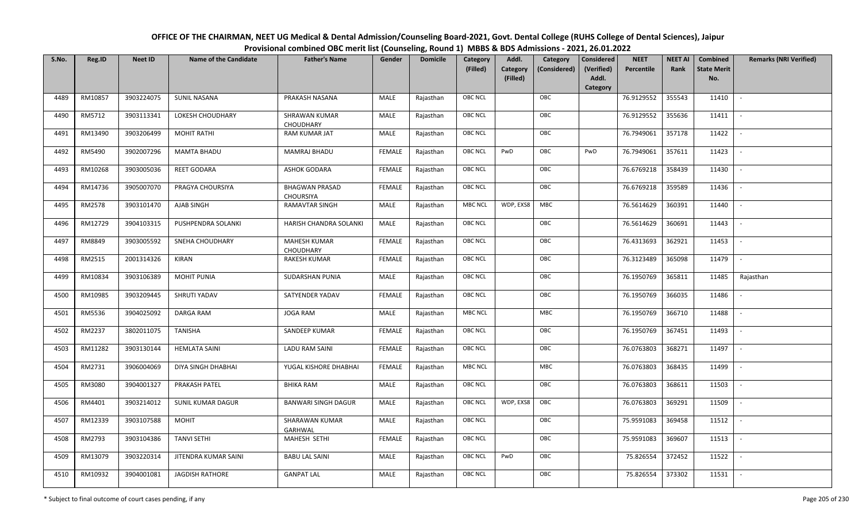| OFFICE OF THE CHAIRMAN, NEET UG Medical & Dental Admission/Counseling Board-2021, Govt. Dental College (RUHS College of Dental Sciences), Jaipur |
|--------------------------------------------------------------------------------------------------------------------------------------------------|
| Provisional combined OBC merit list (Counseling, Round 1) MBBS & BDS Admissions - 2021, 26.01.2022                                               |

| S.No. | Reg.ID  | <b>Neet ID</b> | <b>Name of the Candidate</b> | <b>Father's Name</b>                      | Gender        | <b>Domicile</b> | Category<br>(Filled) | Addl.<br>Category<br>(Filled) | Category<br>(Considered) | Considered<br>(Verified)<br>Addl. | <b>NEET</b><br>Percentile | <b>NEET AI</b><br>Rank | Combined<br><b>State Merit</b><br>No. | <b>Remarks (NRI Verified)</b> |
|-------|---------|----------------|------------------------------|-------------------------------------------|---------------|-----------------|----------------------|-------------------------------|--------------------------|-----------------------------------|---------------------------|------------------------|---------------------------------------|-------------------------------|
|       |         |                |                              |                                           |               |                 |                      |                               |                          | Category                          |                           |                        |                                       |                               |
| 4489  | RM10857 | 3903224075     | <b>SUNIL NASANA</b>          | PRAKASH NASANA                            | MALE          | Rajasthan       | <b>OBC NCL</b>       |                               | OBC                      |                                   | 76.9129552                | 355543                 | 11410                                 | $\sim$                        |
| 4490  | RM5712  | 3903113341     | LOKESH CHOUDHARY             | <b>SHRAWAN KUMAR</b><br><b>CHOUDHARY</b>  | MALE          | Rajasthan       | OBC NCL              |                               | OBC                      |                                   | 76.9129552                | 355636                 | 11411                                 |                               |
| 4491  | RM13490 | 3903206499     | <b>MOHIT RATHI</b>           | <b>RAM KUMAR JAT</b>                      | MALE          | Rajasthan       | <b>OBC NCL</b>       |                               | OBC                      |                                   | 76.7949061                | 357178                 | 11422                                 |                               |
| 4492  | RM5490  | 3902007296     | <b>MAMTA BHADU</b>           | <b>MAMRAJ BHADU</b>                       | <b>FEMALE</b> | Rajasthan       | <b>OBC NCL</b>       | PwD                           | OBC                      | PwD                               | 76.7949061                | 357611                 | 11423                                 | $\overline{\phantom{a}}$      |
| 4493  | RM10268 | 3903005036     | <b>REET GODARA</b>           | <b>ASHOK GODARA</b>                       | <b>FEMALE</b> | Rajasthan       | <b>OBC NCL</b>       |                               | OBC                      |                                   | 76.6769218                | 358439                 | 11430                                 | $\sim$                        |
| 4494  | RM14736 | 3905007070     | PRAGYA CHOURSIYA             | <b>BHAGWAN PRASAD</b><br><b>CHOURSIYA</b> | <b>FEMALE</b> | Rajasthan       | <b>OBC NCL</b>       |                               | OBC                      |                                   | 76.6769218                | 359589                 | 11436                                 | $\sim$                        |
| 4495  | RM2578  | 3903101470     | AJAB SINGH                   | <b>RAMAVTAR SINGH</b>                     | MALE          | Rajasthan       | <b>MBC NCL</b>       | WDP, EXS8                     | <b>MBC</b>               |                                   | 76.5614629                | 360391                 | 11440                                 |                               |
| 4496  | RM12729 | 3904103315     | PUSHPENDRA SOLANKI           | HARISH CHANDRA SOLANKI                    | MALE          | Rajasthan       | <b>OBC NCL</b>       |                               | OBC                      |                                   | 76.5614629                | 360691                 | 11443                                 |                               |
| 4497  | RM8849  | 3903005592     | <b>SNEHA CHOUDHARY</b>       | <b>MAHESH KUMAR</b><br>CHOUDHARY          | <b>FEMALE</b> | Rajasthan       | <b>OBC NCL</b>       |                               | OBC                      |                                   | 76.4313693                | 362921                 | 11453                                 |                               |
| 4498  | RM2515  | 2001314326     | <b>KIRAN</b>                 | <b>RAKESH KUMAR</b>                       | <b>FEMALE</b> | Rajasthan       | <b>OBC NCL</b>       |                               | OBC                      |                                   | 76.3123489                | 365098                 | 11479                                 | $\sim$                        |
| 4499  | RM10834 | 3903106389     | <b>MOHIT PUNIA</b>           | SUDARSHAN PUNIA                           | MALE          | Rajasthan       | <b>OBC NCL</b>       |                               | OBC                      |                                   | 76.1950769                | 365811                 | 11485                                 | Rajasthan                     |
| 4500  | RM10985 | 3903209445     | SHRUTI YADAV                 | SATYENDER YADAV                           | <b>FEMALE</b> | Rajasthan       | <b>OBC NCL</b>       |                               | OBC                      |                                   | 76.1950769                | 366035                 | 11486                                 |                               |
| 4501  | RM5536  | 3904025092     | <b>DARGA RAM</b>             | <b>JOGA RAM</b>                           | MALE          | Rajasthan       | <b>MBC NCL</b>       |                               | <b>MBC</b>               |                                   | 76.1950769                | 366710                 | 11488                                 |                               |
| 4502  | RM2237  | 3802011075     | TANISHA                      | SANDEEP KUMAR                             | <b>FEMALE</b> | Rajasthan       | <b>OBC NCL</b>       |                               | OBC                      |                                   | 76.1950769                | 367451                 | 11493                                 | $\overline{\phantom{a}}$      |
| 4503  | RM11282 | 3903130144     | <b>HEMLATA SAINI</b>         | <b>LADU RAM SAINI</b>                     | <b>FEMALE</b> | Rajasthan       | OBC NCL              |                               | OBC                      |                                   | 76.0763803                | 368271                 | 11497                                 | $\overline{\phantom{a}}$      |
| 4504  | RM2731  | 3906004069     | DIYA SINGH DHABHAI           | YUGAL KISHORE DHABHAI                     | <b>FEMALE</b> | Rajasthan       | <b>MBC NCL</b>       |                               | <b>MBC</b>               |                                   | 76.0763803                | 368435                 | 11499                                 |                               |
| 4505  | RM3080  | 3904001327     | <b>PRAKASH PATEL</b>         | <b>BHIKA RAM</b>                          | MALE          | Rajasthan       | <b>OBC NCL</b>       |                               | OBC                      |                                   | 76.0763803                | 368611                 | 11503                                 | $\overline{\phantom{a}}$      |
| 4506  | RM4401  | 3903214012     | <b>SUNIL KUMAR DAGUR</b>     | <b>BANWARI SINGH DAGUR</b>                | MALE          | Rajasthan       | <b>OBC NCL</b>       | WDP, EXS8                     | OBC                      |                                   | 76.0763803                | 369291                 | 11509                                 |                               |
| 4507  | RM12339 | 3903107588     | <b>MOHIT</b>                 | SHARAWAN KUMAR<br><b>GARHWAL</b>          | <b>MALE</b>   | Rajasthan       | <b>OBC NCL</b>       |                               | OBC                      |                                   | 75.9591083                | 369458                 | 11512                                 |                               |
| 4508  | RM2793  | 3903104386     | <b>TANVI SETHI</b>           | MAHESH SETHI                              | <b>FEMALE</b> | Rajasthan       | <b>OBC NCL</b>       |                               | OBC                      |                                   | 75.9591083                | 369607                 | 11513                                 | $\blacksquare$                |
| 4509  | RM13079 | 3903220314     | JITENDRA KUMAR SAINI         | <b>BABU LAL SAINI</b>                     | <b>MALE</b>   | Rajasthan       | <b>OBC NCL</b>       | PwD                           | OBC                      |                                   | 75.826554                 | 372452                 | 11522                                 |                               |
| 4510  | RM10932 | 3904001081     | <b>JAGDISH RATHORE</b>       | <b>GANPAT LAL</b>                         | MALE          | Rajasthan       | <b>OBC NCL</b>       |                               | OBC                      |                                   | 75.826554                 | 373302                 | 11531                                 |                               |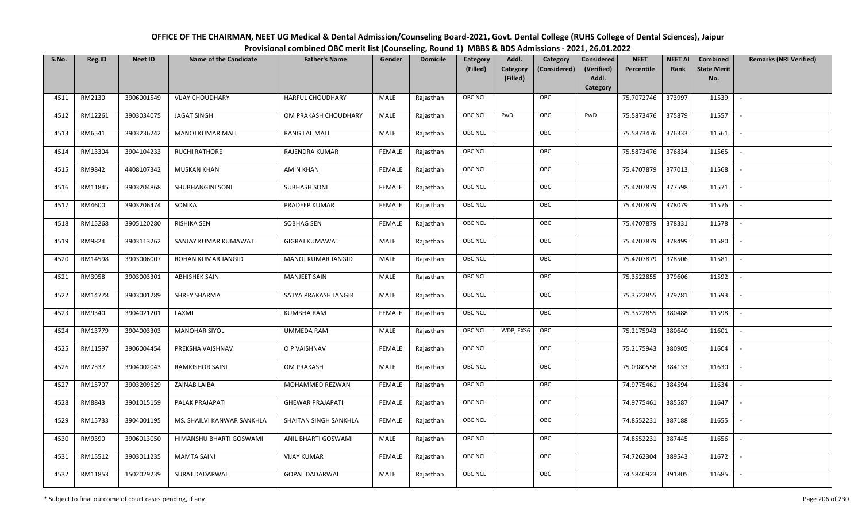| OFFICE OF THE CHAIRMAN, NEET UG Medical & Dental Admission/Counseling Board-2021, Govt. Dental College (RUHS College of Dental Sciences), Jaipur |
|--------------------------------------------------------------------------------------------------------------------------------------------------|
| Provisional combined OBC merit list (Counseling, Round 1) MBBS & BDS Admissions - 2021, 26.01.2022                                               |

| S.No. | Reg.ID  | <b>Neet ID</b> | <b>Name of the Candidate</b> | <b>Father's Name</b>    | Gender        | <b>Domicile</b> | Category<br>(Filled) | Addl.<br>Category<br><b>Category</b><br>(Considered) | <b>Considered</b><br>(Verified) | <b>NEET</b><br>Percentile | <b>NEET AI</b><br>Rank | Combined<br><b>State Merit</b> | <b>Remarks (NRI Verified)</b> |
|-------|---------|----------------|------------------------------|-------------------------|---------------|-----------------|----------------------|------------------------------------------------------|---------------------------------|---------------------------|------------------------|--------------------------------|-------------------------------|
|       |         |                |                              |                         |               |                 |                      | (Filled)                                             | Addl.<br>Category               |                           |                        | No.                            |                               |
| 4511  | RM2130  | 3906001549     | <b>VIJAY CHOUDHARY</b>       | <b>HARFUL CHOUDHARY</b> | MALE          | Rajasthan       | <b>OBC NCL</b>       | OBC                                                  |                                 | 75.7072746                | 373997                 | 11539                          | $\sim$                        |
| 4512  | RM12261 | 3903034075     | <b>JAGAT SINGH</b>           | OM PRAKASH CHOUDHARY    | MALE          | Rajasthan       | OBC NCL              | PwD<br>OBC                                           | PwD                             | 75.5873476                | 375879                 | 11557                          |                               |
| 4513  | RM6541  | 3903236242     | <b>MANOJ KUMAR MALI</b>      | RANG LAL MALI           | MALE          | Rajasthan       | <b>OBC NCL</b>       | OBC                                                  |                                 | 75.5873476                | 376333                 | 11561                          | $\blacksquare$                |
| 4514  | RM13304 | 3904104233     | <b>RUCHI RATHORE</b>         | RAJENDRA KUMAR          | <b>FEMALE</b> | Rajasthan       | <b>OBC NCL</b>       | OBC                                                  |                                 | 75.5873476                | 376834                 | 11565                          | $\overline{\phantom{a}}$      |
| 4515  | RM9842  | 4408107342     | <b>MUSKAN KHAN</b>           | AMIN KHAN               | <b>FEMALE</b> | Rajasthan       | OBC NCL              | OBC                                                  |                                 | 75.4707879                | 377013                 | 11568                          | $\sim$                        |
| 4516  | RM11845 | 3903204868     | SHUBHANGINI SONI             | <b>SUBHASH SONI</b>     | <b>FEMALE</b> | Rajasthan       | <b>OBC NCL</b>       | OBC                                                  |                                 | 75.4707879                | 377598                 | 11571                          | $\sim$                        |
| 4517  | RM4600  | 3903206474     | SONIKA                       | PRADEEP KUMAR           | <b>FEMALE</b> | Rajasthan       | OBC NCL              | OBC                                                  |                                 | 75.4707879                | 378079                 | 11576                          | $\sim$                        |
| 4518  | RM15268 | 3905120280     | <b>RISHIKA SEN</b>           | SOBHAG SEN              | <b>FEMALE</b> | Rajasthan       | OBC NCL              | OBC                                                  |                                 | 75.4707879                | 378331                 | 11578                          |                               |
| 4519  | RM9824  | 3903113262     | SANJAY KUMAR KUMAWAT         | <b>GIGRAJ KUMAWAT</b>   | <b>MALE</b>   | Rajasthan       | OBC NCL              | OBC                                                  |                                 | 75.4707879                | 378499                 | 11580                          |                               |
| 4520  | RM14598 | 3903006007     | ROHAN KUMAR JANGID           | MANOJ KUMAR JANGID      | MALE          | Rajasthan       | <b>OBC NCL</b>       | OBC                                                  |                                 | 75.4707879                | 378506                 | 11581                          | $\overline{\phantom{a}}$      |
| 4521  | RM3958  | 3903003301     | <b>ABHISHEK SAIN</b>         | <b>MANJEET SAIN</b>     | MALE          | Rajasthan       | OBC NCL              | OBC                                                  |                                 | 75.3522855                | 379606                 | 11592                          |                               |
| 4522  | RM14778 | 3903001289     | <b>SHREY SHARMA</b>          | SATYA PRAKASH JANGIR    | MALE          | Rajasthan       | <b>OBC NCL</b>       | OBC                                                  |                                 | 75.3522855                | 379781                 | 11593                          | $\sim$                        |
| 4523  | RM9340  | 3904021201     | LAXMI                        | <b>KUMBHA RAM</b>       | <b>FEMALE</b> | Rajasthan       | OBC NCL              | OBC                                                  |                                 | 75.3522855                | 380488                 | 11598                          |                               |
| 4524  | RM13779 | 3904003303     | <b>MANOHAR SIYOL</b>         | <b>UMMEDA RAM</b>       | MALE          | Rajasthan       | OBC NCL              | WDP, EXS6<br>OBC                                     |                                 | 75.2175943                | 380640                 | 11601                          | $\sim$                        |
| 4525  | RM11597 | 3906004454     | PREKSHA VAISHNAV             | O P VAISHNAV            | <b>FEMALE</b> | Rajasthan       | <b>OBC NCL</b>       | OBC                                                  |                                 | 75.2175943                | 380905                 | 11604                          | $\overline{\phantom{a}}$      |
| 4526  | RM7537  | 3904002043     | <b>RAMKISHOR SAINI</b>       | <b>OM PRAKASH</b>       | MALE          | Rajasthan       | <b>OBC NCL</b>       | OBC                                                  |                                 | 75.0980558                | 384133                 | 11630                          | $\sim$                        |
| 4527  | RM15707 | 3903209529     | ZAINAB LAIBA                 | MOHAMMED REZWAN         | <b>FEMALE</b> | Rajasthan       | <b>OBC NCL</b>       | OBC                                                  |                                 | 74.9775461                | 384594                 | 11634                          | $\overline{\phantom{a}}$      |
| 4528  | RM8843  | 3901015159     | PALAK PRAJAPATI              | <b>GHEWAR PRAJAPATI</b> | <b>FEMALE</b> | Rajasthan       | <b>OBC NCL</b>       | OBC                                                  |                                 | 74.9775461                | 385587                 | 11647                          |                               |
| 4529  | RM15733 | 3904001195     | MS. SHAILVI KANWAR SANKHLA   | SHAITAN SINGH SANKHLA   | <b>FEMALE</b> | Rajasthan       | OBC NCL              | OBC                                                  |                                 | 74.8552231                | 387188                 | 11655                          |                               |
| 4530  | RM9390  | 3906013050     | HIMANSHU BHARTI GOSWAMI      | ANIL BHARTI GOSWAMI     | <b>MALE</b>   | Rajasthan       | OBC NCL              | OBC                                                  |                                 | 74.8552231                | 387445                 | 11656                          | $\blacksquare$                |
| 4531  | RM15512 | 3903011235     | <b>MAMTA SAINI</b>           | <b>VIJAY KUMAR</b>      | <b>FEMALE</b> | Rajasthan       | OBC NCL              | OBC                                                  |                                 | 74.7262304                | 389543                 | 11672                          | $\overline{\phantom{a}}$      |
| 4532  | RM11853 | 1502029239     | SURAJ DADARWAL               | <b>GOPAL DADARWAL</b>   | MALE          | Rajasthan       | <b>OBC NCL</b>       | OBC                                                  |                                 | 74.5840923                | 391805                 | 11685                          |                               |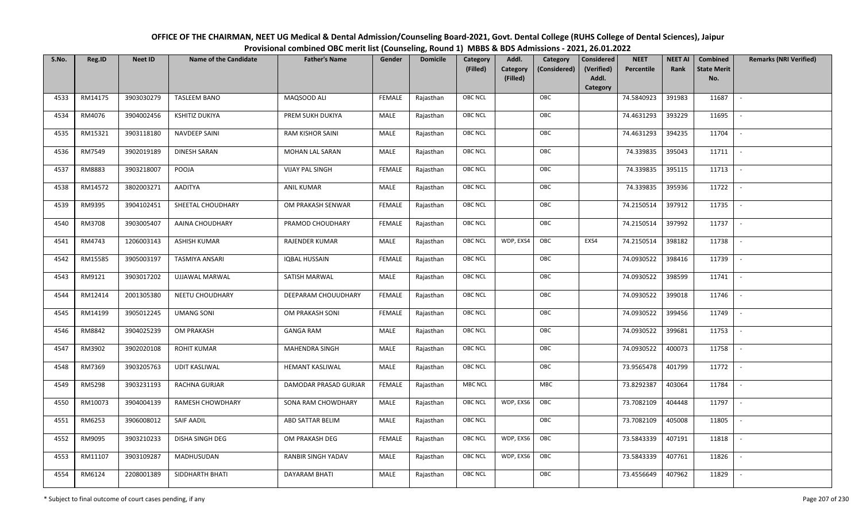| OFFICE OF THE CHAIRMAN, NEET UG Medical & Dental Admission/Counseling Board-2021, Govt. Dental College (RUHS College of Dental Sciences), Jaipur |  |
|--------------------------------------------------------------------------------------------------------------------------------------------------|--|
| Provisional combined OBC merit list (Counseling, Round 1) MBBS & BDS Admissions - 2021, 26.01.2022                                               |  |

| S.No. | Reg.ID  | <b>Neet ID</b> | <b>Name of the Candidate</b> | <b>Father's Name</b>   | Gender        | <b>Domicile</b> | <b>Category</b> | Addl.                | Category     | <b>Considered</b>   | <b>NEET</b> | <b>NEET AI</b> | Combined                  | <b>Remarks (NRI Verified)</b> |
|-------|---------|----------------|------------------------------|------------------------|---------------|-----------------|-----------------|----------------------|--------------|---------------------|-------------|----------------|---------------------------|-------------------------------|
|       |         |                |                              |                        |               |                 | (Filled)        | Category<br>(Filled) | (Considered) | (Verified)<br>Addl. | Percentile  | Rank           | <b>State Merit</b><br>No. |                               |
|       |         |                |                              |                        |               |                 |                 |                      |              | Category            |             |                |                           |                               |
| 4533  | RM14175 | 3903030279     | <b>TASLEEM BANO</b>          | MAQSOOD ALI            | <b>FEMALE</b> | Rajasthan       | <b>OBC NCL</b>  |                      | OBC          |                     | 74.5840923  | 391983         | 11687                     | $\sim$                        |
| 4534  | RM4076  | 3904002456     | <b>KSHITIZ DUKIYA</b>        | PREM SUKH DUKIYA       | MALE          | Rajasthan       | <b>OBC NCL</b>  |                      | OBC          |                     | 74.4631293  | 393229         | 11695                     |                               |
| 4535  | RM15321 | 3903118180     | <b>NAVDEEP SAINI</b>         | RAM KISHOR SAINI       | MALE          | Rajasthan       | OBC NCL         |                      | OBC          |                     | 74.4631293  | 394235         | 11704                     | $\overline{\phantom{a}}$      |
| 4536  | RM7549  | 3902019189     | <b>DINESH SARAN</b>          | <b>MOHAN LAL SARAN</b> | MALE          | Rajasthan       | <b>OBC NCL</b>  |                      | OBC          |                     | 74.339835   | 395043         | 11711                     | $\sim$                        |
| 4537  | RM8883  | 3903218007     | POOJA                        | <b>VIJAY PAL SINGH</b> | <b>FEMALE</b> | Rajasthan       | OBC NCL         |                      | OBC          |                     | 74.339835   | 395115         | 11713                     | $\sim$                        |
| 4538  | RM14572 | 3802003271     | AADITYA                      | <b>ANIL KUMAR</b>      | MALE          | Rajasthan       | <b>OBC NCL</b>  |                      | OBC          |                     | 74.339835   | 395936         | 11722                     | $\overline{\phantom{a}}$      |
| 4539  | RM9395  | 3904102451     | SHEETAL CHOUDHARY            | OM PRAKASH SENWAR      | <b>FEMALE</b> | Rajasthan       | <b>OBC NCL</b>  |                      | OBC          |                     | 74.2150514  | 397912         | 11735                     | $\overline{\phantom{a}}$      |
| 4540  | RM3708  | 3903005407     | AAINA CHOUDHARY              | PRAMOD CHOUDHARY       | <b>FEMALE</b> | Rajasthan       | <b>OBC NCL</b>  |                      | OBC          |                     | 74.2150514  | 397992         | 11737                     |                               |
| 4541  | RM4743  | 1206003143     | <b>ASHISH KUMAR</b>          | <b>RAJENDER KUMAR</b>  | MALE          | Rajasthan       | <b>OBC NCL</b>  | WDP, EXS4            | OBC          | EXS4                | 74.2150514  | 398182         | 11738                     |                               |
| 4542  | RM15585 | 3905003197     | <b>TASMIYA ANSARI</b>        | <b>IQBAL HUSSAIN</b>   | <b>FEMALE</b> | Rajasthan       | OBC NCL         |                      | OBC          |                     | 74.0930522  | 398416         | 11739                     | $\overline{\phantom{a}}$      |
| 4543  | RM9121  | 3903017202     | UJJAWAL MARWAL               | SATISH MARWAL          | MALE          | Rajasthan       | <b>OBC NCL</b>  |                      | OBC          |                     | 74.0930522  | 398599         | 11741                     |                               |
| 4544  | RM12414 | 2001305380     | NEETU CHOUDHARY              | DEEPARAM CHOUUDHARY    | <b>FEMALE</b> | Rajasthan       | OBC NCL         |                      | OBC          |                     | 74.0930522  | 399018         | 11746                     | $\sim$                        |
| 4545  | RM14199 | 3905012245     | <b>UMANG SONI</b>            | OM PRAKASH SONI        | <b>FEMALE</b> | Rajasthan       | <b>OBC NCL</b>  |                      | OBC          |                     | 74.0930522  | 399456         | 11749                     |                               |
| 4546  | RM8842  | 3904025239     | OM PRAKASH                   | <b>GANGA RAM</b>       | MALE          | Rajasthan       | OBC NCL         |                      | OBC          |                     | 74.0930522  | 399681         | 11753                     | $\overline{\phantom{a}}$      |
| 4547  | RM3902  | 3902020108     | <b>ROHIT KUMAR</b>           | <b>MAHENDRA SINGH</b>  | MALE          | Rajasthan       | OBC NCL         |                      | OBC          |                     | 74.0930522  | 400073         | 11758                     | $\overline{\phantom{a}}$      |
| 4548  | RM7369  | 3903205763     | <b>UDIT KASLIWAL</b>         | HEMANT KASLIWAL        | MALE          | Rajasthan       | <b>OBC NCL</b>  |                      | OBC          |                     | 73.9565478  | 401799         | 11772                     | $\sim$                        |
| 4549  | RM5298  | 3903231193     | RACHNA GURJAR                | DAMODAR PRASAD GURJAR  | <b>FEMALE</b> | Rajasthan       | <b>MBC NCL</b>  |                      | MBC          |                     | 73.8292387  | 403064         | 11784                     | $\overline{\phantom{a}}$      |
| 4550  | RM10073 | 3904004139     | RAMESH CHOWDHARY             | SONA RAM CHOWDHARY     | MALE          | Rajasthan       | <b>OBC NCL</b>  | WDP, EXS6            | OBC          |                     | 73.7082109  | 404448         | 11797                     |                               |
| 4551  | RM6253  | 3906008012     | SAIF AADIL                   | ABD SATTAR BELIM       | MALE          | Rajasthan       | OBC NCL         |                      | OBC          |                     | 73.7082109  | 405008         | 11805                     |                               |
| 4552  | RM9095  | 3903210233     | DISHA SINGH DEG              | OM PRAKASH DEG         | <b>FEMALE</b> | Rajasthan       | <b>OBC NCL</b>  | WDP, EXS6            | OBC          |                     | 73.5843339  | 407191         | 11818                     |                               |
| 4553  | RM11107 | 3903109287     | MADHUSUDAN                   | RANBIR SINGH YADAV     | MALE          | Rajasthan       | <b>OBC NCL</b>  | WDP, EXS6            | OBC          |                     | 73.5843339  | 407761         | 11826                     |                               |
| 4554  | RM6124  | 2208001389     | SIDDHARTH BHATI              | <b>DAYARAM BHATI</b>   | MALE          | Rajasthan       | <b>OBC NCL</b>  |                      | OBC          |                     | 73.4556649  | 407962         | 11829                     |                               |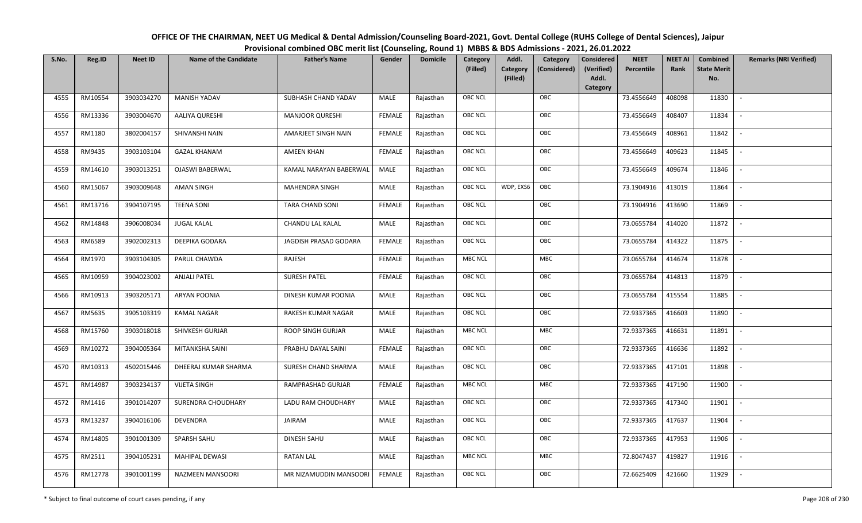| OFFICE OF THE CHAIRMAN, NEET UG Medical & Dental Admission/Counseling Board-2021, Govt. Dental College (RUHS College of Dental Sciences), Jaipur |
|--------------------------------------------------------------------------------------------------------------------------------------------------|
| Provisional combined OBC merit list (Counseling, Round 1) MBBS & BDS Admissions - 2021, 26.01.2022                                               |

| S.No. | Reg.ID  | <b>Neet ID</b> | <b>Name of the Candidate</b> | <b>Father's Name</b>     | Gender        | <b>Domicile</b> | Category<br>(Filled) | Addl.<br><b>Category</b><br>(Filled) | Category<br>(Considered) | <b>Considered</b><br>(Verified)<br>Addl. | <b>NEET</b><br>Percentile | <b>NEET AI</b><br>Rank | Combined<br><b>State Merit</b><br>No. | <b>Remarks (NRI Verified)</b> |
|-------|---------|----------------|------------------------------|--------------------------|---------------|-----------------|----------------------|--------------------------------------|--------------------------|------------------------------------------|---------------------------|------------------------|---------------------------------------|-------------------------------|
|       |         |                |                              |                          |               |                 |                      |                                      |                          | <b>Category</b>                          |                           |                        |                                       |                               |
| 4555  | RM10554 | 3903034270     | <b>MANISH YADAV</b>          | SUBHASH CHAND YADAV      | MALE          | Rajasthan       | <b>OBC NCL</b>       |                                      | OBC                      |                                          | 73.4556649                | 408098                 | 11830                                 | $\sim$                        |
| 4556  | RM13336 | 3903004670     | AALIYA QURESHI               | <b>MANJOOR QURESHI</b>   | <b>FEMALE</b> | Rajasthan       | <b>OBC NCL</b>       |                                      | OBC                      |                                          | 73.4556649                | 408407                 | 11834                                 |                               |
| 4557  | RM1180  | 3802004157     | SHIVANSHI NAIN               | AMARJEET SINGH NAIN      | <b>FEMALE</b> | Rajasthan       | OBC NCL              |                                      | OBC                      |                                          | 73.4556649                | 408961                 | 11842                                 |                               |
| 4558  | RM9435  | 3903103104     | <b>GAZAL KHANAM</b>          | <b>AMEEN KHAN</b>        | <b>FEMALE</b> | Rajasthan       | <b>OBC NCL</b>       |                                      | OBC                      |                                          | 73.4556649                | 409623                 | 11845                                 | $\overline{\phantom{a}}$      |
| 4559  | RM14610 | 3903013251     | <b>OJASWI BABERWAL</b>       | KAMAL NARAYAN BABERWAL   | MALE          | Rajasthan       | <b>OBC NCL</b>       |                                      | OBC                      |                                          | 73.4556649                | 409674                 | 11846                                 | $\sim$                        |
| 4560  | RM15067 | 3903009648     | AMAN SINGH                   | MAHENDRA SINGH           | MALE          | Rajasthan       | <b>OBC NCL</b>       | WDP, EXS6                            | OBC                      |                                          | 73.1904916                | 413019                 | 11864                                 | $\overline{\phantom{a}}$      |
| 4561  | RM13716 | 3904107195     | <b>TEENA SONI</b>            | TARA CHAND SONI          | <b>FEMALE</b> | Rajasthan       | OBC NCL              |                                      | OBC                      |                                          | 73.1904916                | 413690                 | 11869                                 |                               |
| 4562  | RM14848 | 3906008034     | <b>JUGAL KALAL</b>           | CHANDU LAL KALAL         | MALE          | Rajasthan       | <b>OBC NCL</b>       |                                      | OBC                      |                                          | 73.0655784                | 414020                 | 11872                                 |                               |
| 4563  | RM6589  | 3902002313     | DEEPIKA GODARA               | JAGDISH PRASAD GODARA    | <b>FEMALE</b> | Rajasthan       | OBC NCL              |                                      | OBC                      |                                          | 73.0655784                | 414322                 | 11875                                 | $\sim$                        |
| 4564  | RM1970  | 3903104305     | PARUL CHAWDA                 | RAJESH                   | <b>FEMALE</b> | Rajasthan       | <b>MBC NCL</b>       |                                      | MBC                      |                                          | 73.0655784                | 414674                 | 11878                                 | $\overline{\phantom{a}}$      |
| 4565  | RM10959 | 3904023002     | <b>ANJALI PATEL</b>          | <b>SURESH PATEL</b>      | <b>FEMALE</b> | Rajasthan       | OBC NCL              |                                      | OBC                      |                                          | 73.0655784                | 414813                 | 11879                                 |                               |
| 4566  | RM10913 | 3903205171     | <b>ARYAN POONIA</b>          | DINESH KUMAR POONIA      | MALE          | Rajasthan       | <b>OBC NCL</b>       |                                      | OBC                      |                                          | 73.0655784                | 415554                 | 11885                                 |                               |
| 4567  | RM5635  | 3905103319     | <b>KAMAL NAGAR</b>           | RAKESH KUMAR NAGAR       | MALE          | Rajasthan       | OBC NCL              |                                      | OBC                      |                                          | 72.9337365                | 416603                 | 11890                                 |                               |
| 4568  | RM15760 | 3903018018     | SHIVKESH GURJAR              | <b>ROOP SINGH GURJAR</b> | MALE          | Rajasthan       | <b>MBC NCL</b>       |                                      | MBC                      |                                          | 72.9337365                | 416631                 | 11891                                 | $\sim$                        |
| 4569  | RM10272 | 3904005364     | MITANKSHA SAINI              | PRABHU DAYAL SAINI       | <b>FEMALE</b> | Rajasthan       | OBC NCL              |                                      | OBC                      |                                          | 72.9337365                | 416636                 | 11892                                 | $\overline{\phantom{a}}$      |
| 4570  | RM10313 | 4502015446     | DHEERAJ KUMAR SHARMA         | SURESH CHAND SHARMA      | MALE          | Rajasthan       | <b>OBC NCL</b>       |                                      | OBC                      |                                          | 72.9337365                | 417101                 | 11898                                 |                               |
| 4571  | RM14987 | 3903234137     | <b>VIJETA SINGH</b>          | RAMPRASHAD GURJAR        | <b>FEMALE</b> | Rajasthan       | <b>MBC NCL</b>       |                                      | ${\sf MBC}$              |                                          | 72.9337365                | 417190                 | 11900                                 | $\overline{\phantom{a}}$      |
| 4572  | RM1416  | 3901014207     | SURENDRA CHOUDHARY           | LADU RAM CHOUDHARY       | MALE          | Rajasthan       | <b>OBC NCL</b>       |                                      | OBC                      |                                          | 72.9337365                | 417340                 | 11901                                 |                               |
| 4573  | RM13237 | 3904016106     | <b>DEVENDRA</b>              | JAIRAM                   | MALE          | Rajasthan       | OBC NCL              |                                      | OBC                      |                                          | 72.9337365                | 417637                 | 11904                                 |                               |
| 4574  | RM14805 | 3901001309     | SPARSH SAHU                  | <b>DINESH SAHU</b>       | MALE          | Rajasthan       | OBC NCL              |                                      | OBC                      |                                          | 72.9337365                | 417953                 | 11906                                 |                               |
| 4575  | RM2511  | 3904105231     | <b>MAHIPAL DEWASI</b>        | RATAN LAL                | MALE          | Rajasthan       | MBC NCL              |                                      | <b>MBC</b>               |                                          | 72.8047437                | 419827                 | 11916                                 |                               |
| 4576  | RM12778 | 3901001199     | <b>NAZMEEN MANSOORI</b>      | MR NIZAMUDDIN MANSOORI   | <b>FEMALE</b> | Rajasthan       | <b>OBC NCL</b>       |                                      | OBC                      |                                          | 72.6625409                | 421660                 | 11929                                 |                               |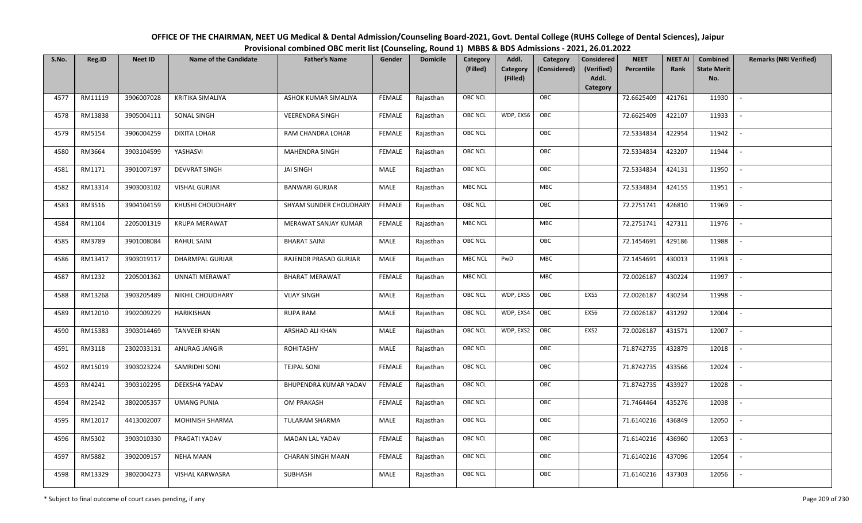| OFFICE OF THE CHAIRMAN, NEET UG Medical & Dental Admission/Counseling Board-2021, Govt. Dental College (RUHS College of Dental Sciences), Jaipur |
|--------------------------------------------------------------------------------------------------------------------------------------------------|
| Provisional combined OBC merit list (Counseling, Round 1) MBBS & BDS Admissions - 2021, 26.01.2022                                               |

| S.No. | Reg.ID  | <b>Neet ID</b> | <b>Name of the Candidate</b> | <b>Father's Name</b>     | Gender        | <b>Domicile</b> | Category<br>(Filled) | Addl.<br>Category | Category<br>(Considered) | <b>Considered</b><br>(Verified) | <b>NEET</b><br>Percentile | <b>NEET AI</b><br>Rank | Combined<br><b>State Merit</b> | <b>Remarks (NRI Verified)</b> |
|-------|---------|----------------|------------------------------|--------------------------|---------------|-----------------|----------------------|-------------------|--------------------------|---------------------------------|---------------------------|------------------------|--------------------------------|-------------------------------|
|       |         |                |                              |                          |               |                 |                      | (Filled)          |                          | Addl.<br>Category               |                           |                        | No.                            |                               |
| 4577  | RM11119 | 3906007028     | <b>KRITIKA SIMALIYA</b>      | ASHOK KUMAR SIMALIYA     | <b>FEMALE</b> | Rajasthan       | OBC NCL              |                   | OBC                      |                                 | 72.6625409                | 421761                 | 11930                          | $\mathbf{r}$                  |
| 4578  | RM13838 | 3905004111     | SONAL SINGH                  | <b>VEERENDRA SINGH</b>   | <b>FEMALE</b> | Rajasthan       | OBC NCL              | WDP, EXS6         | OBC                      |                                 | 72.6625409                | 422107                 | 11933                          |                               |
| 4579  | RM5154  | 3906004259     | <b>DIXITA LOHAR</b>          | RAM CHANDRA LOHAR        | <b>FEMALE</b> | Rajasthan       | <b>OBC NCL</b>       |                   | OBC                      |                                 | 72.5334834                | 422954                 | 11942                          |                               |
| 4580  | RM3664  | 3903104599     | YASHASVI                     | MAHENDRA SINGH           | <b>FEMALE</b> | Rajasthan       | OBC NCL              |                   | OBC                      |                                 | 72.5334834                | 423207                 | 11944                          | $\overline{\phantom{a}}$      |
| 4581  | RM1171  | 3901007197     | <b>DEVVRAT SINGH</b>         | <b>JAI SINGH</b>         | MALE          | Rajasthan       | OBC NCL              |                   | OBC                      |                                 | 72.5334834                | 424131                 | 11950                          | $\sim$                        |
| 4582  | RM13314 | 3903003102     | <b>VISHAL GURJAR</b>         | <b>BANWARI GURJAR</b>    | MALE          | Rajasthan       | <b>MBC NCL</b>       |                   | MBC                      |                                 | 72.5334834                | 424155                 | 11951                          | $\sim$                        |
| 4583  | RM3516  | 3904104159     | KHUSHI CHOUDHARY             | SHYAM SUNDER CHOUDHARY   | FEMALE        | Rajasthan       | OBC NCL              |                   | OBC                      |                                 | 72.2751741                | 426810                 | 11969                          | $\sim$                        |
| 4584  | RM1104  | 2205001319     | <b>KRUPA MERAWAT</b>         | MERAWAT SANJAY KUMAR     | <b>FEMALE</b> | Rajasthan       | <b>MBC NCL</b>       |                   | <b>MBC</b>               |                                 | 72.2751741                | 427311                 | 11976                          |                               |
| 4585  | RM3789  | 3901008084     | RAHUL SAINI                  | <b>BHARAT SAINI</b>      | MALE          | Rajasthan       | OBC NCL              |                   | OBC                      |                                 | 72.1454691                | 429186                 | 11988                          |                               |
| 4586  | RM13417 | 3903019117     | <b>DHARMPAL GURJAR</b>       | RAJENDR PRASAD GURJAR    | MALE          | Rajasthan       | <b>MBC NCL</b>       | PwD               | <b>MBC</b>               |                                 | 72.1454691                | 430013                 | 11993                          | $\overline{\phantom{a}}$      |
| 4587  | RM1232  | 2205001362     | <b>UNNATI MERAWAT</b>        | <b>BHARAT MERAWAT</b>    | <b>FEMALE</b> | Rajasthan       | <b>MBC NCL</b>       |                   | <b>MBC</b>               |                                 | 72.0026187                | 430224                 | 11997                          |                               |
| 4588  | RM13268 | 3903205489     | NIKHIL CHOUDHARY             | <b>VIJAY SINGH</b>       | MALE          | Rajasthan       | <b>OBC NCL</b>       | WDP, EXS5         | OBC                      | EXS5                            | 72.0026187                | 430234                 | 11998                          | $\mathbf{r}$                  |
| 4589  | RM12010 | 3902009229     | HARIKISHAN                   | <b>RUPA RAM</b>          | MALE          | Rajasthan       | OBC NCL              | WDP, EXS4         | OBC                      | EXS6                            | 72.0026187                | 431292                 | 12004                          |                               |
| 4590  | RM15383 | 3903014469     | <b>TANVEER KHAN</b>          | ARSHAD ALI KHAN          | MALE          | Rajasthan       | <b>OBC NCL</b>       | WDP, EXS2         | OBC                      | EXS2                            | 72.0026187                | 431571                 | 12007                          | $\overline{\phantom{a}}$      |
| 4591  | RM3118  | 2302033131     | ANURAG JANGIR                | ROHITASHV                | MALE          | Rajasthan       | OBC NCL              |                   | OBC                      |                                 | 71.8742735                | 432879                 | 12018                          | $\overline{\phantom{a}}$      |
| 4592  | RM15019 | 3903023224     | SAMRIDHI SONI                | <b>TEJPAL SONI</b>       | <b>FEMALE</b> | Rajasthan       | OBC NCL              |                   | OBC                      |                                 | 71.8742735                | 433566                 | 12024                          | $\overline{\phantom{a}}$      |
| 4593  | RM4241  | 3903102295     | DEEKSHA YADAV                | BHUPENDRA KUMAR YADAV    | <b>FEMALE</b> | Rajasthan       | OBC NCL              |                   | OBC                      |                                 | 71.8742735                | 433927                 | 12028                          | $\sim$                        |
| 4594  | RM2542  | 3802005357     | <b>UMANG PUNIA</b>           | OM PRAKASH               | <b>FEMALE</b> | Rajasthan       | OBC NCL              |                   | OBC                      |                                 | 71.7464464                | 435276                 | 12038                          | $\sim$                        |
| 4595  | RM12017 | 4413002007     | MOHINISH SHARMA              | TULARAM SHARMA           | MALE          | Rajasthan       | OBC NCL              |                   | OBC                      |                                 | 71.6140216                | 436849                 | 12050                          |                               |
| 4596  | RM5302  | 3903010330     | PRAGATI YADAV                | MADAN LAL YADAV          | <b>FEMALE</b> | Rajasthan       | OBC NCL              |                   | OBC                      |                                 | 71.6140216                | 436960                 | 12053                          |                               |
| 4597  | RM5882  | 3902009157     | <b>NEHA MAAN</b>             | <b>CHARAN SINGH MAAN</b> | <b>FEMALE</b> | Rajasthan       | OBC NCL              |                   | OBC                      |                                 | 71.6140216                | 437096                 | 12054                          |                               |
| 4598  | RM13329 | 3802004273     | <b>VISHAL KARWASRA</b>       | SUBHASH                  | MALE          | Rajasthan       | <b>OBC NCL</b>       |                   | OBC                      |                                 | 71.6140216                | 437303                 | 12056                          |                               |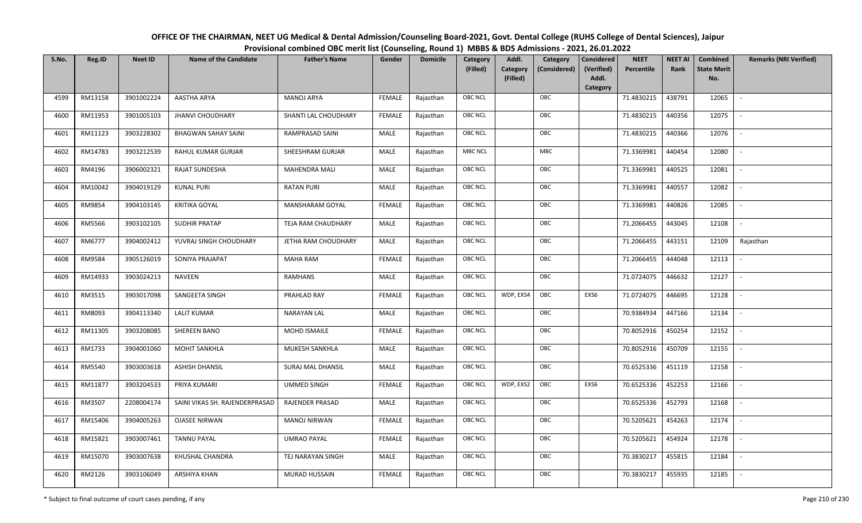| OFFICE OF THE CHAIRMAN, NEET UG Medical & Dental Admission/Counseling Board-2021, Govt. Dental College (RUHS College of Dental Sciences), Jaipur |
|--------------------------------------------------------------------------------------------------------------------------------------------------|
| Provisional combined OBC merit list (Counseling, Round 1) MBBS & BDS Admissions - 2021, 26.01.2022                                               |

| S.No. | Reg.ID  | <b>Neet ID</b> | <b>Name of the Candidate</b>   | <b>Father's Name</b>   | Gender        | <b>Domicile</b> | Category<br>(Filled) | Addl.<br>Category | Category<br>(Considered) | <b>Considered</b><br>(Verified) | <b>NEET</b><br>Percentile | <b>NEET AI</b><br>Rank | Combined<br><b>State Merit</b> | <b>Remarks (NRI Verified)</b> |
|-------|---------|----------------|--------------------------------|------------------------|---------------|-----------------|----------------------|-------------------|--------------------------|---------------------------------|---------------------------|------------------------|--------------------------------|-------------------------------|
|       |         |                |                                |                        |               |                 |                      | (Filled)          |                          | Addl.<br>Category               |                           |                        | No.                            |                               |
| 4599  | RM13158 | 3901002224     | <b>AASTHA ARYA</b>             | <b>MANOJ ARYA</b>      | <b>FEMALE</b> | Rajasthan       | OBC NCL              |                   | OBC                      |                                 | 71.4830215                | 438791                 | 12065                          | $\mathbb{L}$                  |
| 4600  | RM11953 | 3901005103     | <b>JHANVI CHOUDHARY</b>        | SHANTI LAL CHOUDHARY   | <b>FEMALE</b> | Rajasthan       | OBC NCL              |                   | OBC                      |                                 | 71.4830215                | 440356                 | 12075                          |                               |
| 4601  | RM11123 | 3903228302     | <b>BHAGWAN SAHAY SAINI</b>     | <b>RAMPRASAD SAINI</b> | MALE          | Rajasthan       | <b>OBC NCL</b>       |                   | OBC                      |                                 | 71.4830215                | 440366                 | 12076                          | $\sim$                        |
| 4602  | RM14783 | 3903212539     | RAHUL KUMAR GURJAR             | SHEESHRAM GURJAR       | MALE          | Rajasthan       | <b>MBC NCL</b>       |                   | MBC                      |                                 | 71.3369981                | 440454                 | 12080                          | $\overline{\phantom{a}}$      |
| 4603  | RM4196  | 3906002321     | RAJAT SUNDESHA                 | MAHENDRA MALI          | MALE          | Rajasthan       | OBC NCL              |                   | OBC                      |                                 | 71.3369981                | 440525                 | 12081                          | $\sim$                        |
| 4604  | RM10042 | 3904019129     | <b>KUNAL PURI</b>              | <b>RATAN PURI</b>      | MALE          | Rajasthan       | OBC NCL              |                   | OBC                      |                                 | 71.3369981                | 440557                 | 12082                          | $\overline{\phantom{a}}$      |
| 4605  | RM9854  | 3904103145     | <b>KRITIKA GOYAL</b>           | MANSHARAM GOYAL        | <b>FEMALE</b> | Rajasthan       | OBC NCL              |                   | OBC                      |                                 | 71.3369981                | 440826                 | 12085                          | $\mathbf{r}$                  |
| 4606  | RM5566  | 3903102105     | SUDHIR PRATAP                  | TEJA RAM CHAUDHARY     | MALE          | Rajasthan       | OBC NCL              |                   | OBC                      |                                 | 71.2066455                | 443045                 | 12108                          |                               |
| 4607  | RM6777  | 3904002412     | YUVRAJ SINGH CHOUDHARY         | JETHA RAM CHOUDHARY    | MALE          | Rajasthan       | OBC NCL              |                   | OBC                      |                                 | 71.2066455                | 443151                 | 12109                          | Rajasthan                     |
| 4608  | RM9584  | 3905126019     | SONIYA PRAJAPAT                | <b>MAHA RAM</b>        | <b>FEMALE</b> | Rajasthan       | OBC NCL              |                   | OBC                      |                                 | 71.2066455                | 444048                 | 12113                          |                               |
| 4609  | RM14933 | 3903024213     | <b>NAVEEN</b>                  | <b>RAMHANS</b>         | MALE          | Rajasthan       | <b>OBC NCL</b>       |                   | OBC                      |                                 | 71.0724075                | 446632                 | 12127                          |                               |
| 4610  | RM3515  | 3903017098     | SANGEETA SINGH                 | PRAHLAD RAY            | <b>FEMALE</b> | Rajasthan       | OBC NCL              | WDP, EXS4         | OBC                      | EXS6                            | 71.0724075                | 446695                 | 12128                          | $\sim$                        |
| 4611  | RM8093  | 3904113340     | <b>LALIT KUMAR</b>             | <b>NARAYAN LAL</b>     | MALE          | Rajasthan       | OBC NCL              |                   | OBC                      |                                 | 70.9384934                | 447166                 | 12134                          |                               |
| 4612  | RM11305 | 3903208085     | SHEREEN BANO                   | MOHD ISMAILE           | <b>FEMALE</b> | Rajasthan       | OBC NCL              |                   | OBC                      |                                 | 70.8052916                | 450254                 | 12152                          | $\sim$                        |
| 4613  | RM1733  | 3904001060     | <b>MOHIT SANKHLA</b>           | MUKESH SANKHLA         | <b>MALE</b>   | Rajasthan       | OBC NCL              |                   | OBC                      |                                 | 70.8052916                | 450709                 | 12155                          | $\sim$                        |
| 4614  | RM5540  | 3903003618     | <b>ASHISH DHANSIL</b>          | SURAJ MAL DHANSIL      | MALE          | Rajasthan       | OBC NCL              |                   | OBC                      |                                 | 70.6525336                | 451119                 | 12158                          | $\sim$                        |
| 4615  | RM11877 | 3903204533     | PRIYA KUMARI                   | <b>UMMED SINGH</b>     | <b>FEMALE</b> | Rajasthan       | OBC NCL              | WDP, EXS2         | OBC                      | EXS6                            | 70.6525336                | 452253                 | 12166                          | $\overline{\phantom{a}}$      |
| 4616  | RM3507  | 2208004174     | SAINI VIKAS SH. RAJENDERPRASAD | <b>RAJENDER PRASAD</b> | MALE          | Rajasthan       | OBC NCL              |                   | OBC                      |                                 | 70.6525336                | 452793                 | 12168                          |                               |
| 4617  | RM15406 | 3904005263     | <b>OJASEE NIRWAN</b>           | <b>MANOJ NIRWAN</b>    | <b>FEMALE</b> | Rajasthan       | <b>OBC NCL</b>       |                   | OBC                      |                                 | 70.5205621                | 454263                 | 12174                          |                               |
| 4618  | RM15821 | 3903007461     | <b>TANNU PAYAL</b>             | <b>UMRAO PAYAL</b>     | <b>FEMALE</b> | Rajasthan       | OBC NCL              |                   | OBC                      |                                 | 70.5205621                | 454924                 | 12178                          | $\blacksquare$                |
| 4619  | RM15070 | 3903007638     | KHUSHAL CHANDRA                | TEJ NARAYAN SINGH      | <b>MALE</b>   | Rajasthan       | OBC NCL              |                   | OBC                      |                                 | 70.3830217                | 455815                 | 12184                          |                               |
| 4620  | RM2126  | 3903106049     | ARSHIYA KHAN                   | <b>MURAD HUSSAIN</b>   | <b>FEMALE</b> | Rajasthan       | OBC NCL              |                   | OBC                      |                                 | 70.3830217                | 455935                 | 12185                          |                               |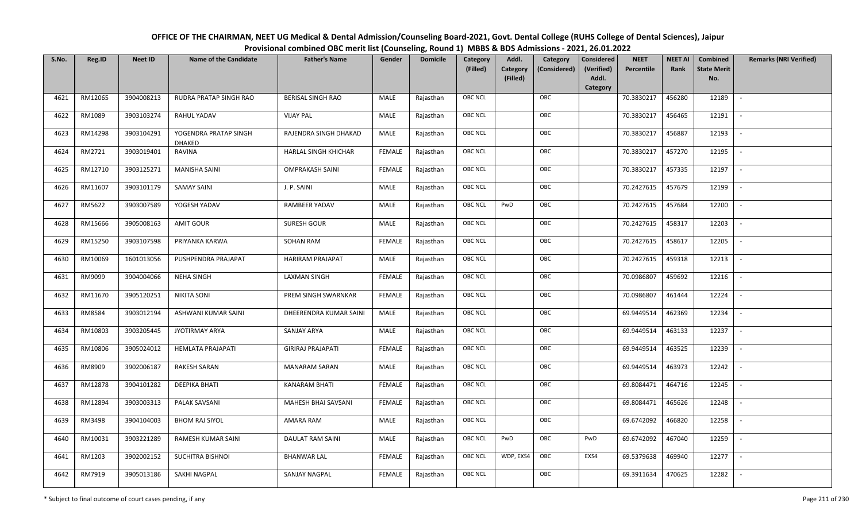| OFFICE OF THE CHAIRMAN, NEET UG Medical & Dental Admission/Counseling Board-2021, Govt. Dental College (RUHS College of Dental Sciences), Jaipur |
|--------------------------------------------------------------------------------------------------------------------------------------------------|
| Provisional combined OBC merit list (Counseling, Round 1) MBBS & BDS Admissions - 2021, 26.01.2022                                               |

| S.No. | Reg.ID  | <b>Neet ID</b> | <b>Name of the Candidate</b>           | <b>Father's Name</b>     | Gender        | <b>Domicile</b> | Category<br>(Filled) | Addl.<br>Category | Category<br>(Considered) | <b>Considered</b><br>(Verified) | <b>NEET</b><br>Percentile | <b>NEET AI</b><br>Rank | Combined<br><b>State Merit</b> | <b>Remarks (NRI Verified)</b> |
|-------|---------|----------------|----------------------------------------|--------------------------|---------------|-----------------|----------------------|-------------------|--------------------------|---------------------------------|---------------------------|------------------------|--------------------------------|-------------------------------|
|       |         |                |                                        |                          |               |                 |                      | (Filled)          |                          | Addl.<br>Category               |                           |                        | No.                            |                               |
| 4621  | RM12065 | 3904008213     | RUDRA PRATAP SINGH RAO                 | <b>BERISAL SINGH RAO</b> | MALE          | Rajasthan       | OBC NCL              |                   | OBC                      |                                 | 70.3830217                | 456280                 | 12189                          | $\sim$                        |
| 4622  | RM1089  | 3903103274     | RAHUL YADAV                            | <b>VIJAY PAL</b>         | MALE          | Rajasthan       | OBC NCL              |                   | OBC                      |                                 | 70.3830217                | 456465                 | 12191                          |                               |
| 4623  | RM14298 | 3903104291     | YOGENDRA PRATAP SINGH<br><b>DHAKED</b> | RAJENDRA SINGH DHAKAD    | MALE          | Rajasthan       | <b>OBC NCL</b>       |                   | OBC                      |                                 | 70.3830217                | 456887                 | 12193                          |                               |
| 4624  | RM2721  | 3903019401     | RAVINA                                 | HARLAL SINGH KHICHAR     | <b>FEMALE</b> | Rajasthan       | OBC NCL              |                   | OBC                      |                                 | 70.3830217                | 457270                 | 12195                          | $\overline{\phantom{a}}$      |
| 4625  | RM12710 | 3903125271     | <b>MANISHA SAINI</b>                   | <b>OMPRAKASH SAINI</b>   | <b>FEMALE</b> | Rajasthan       | OBC NCL              |                   | OBC                      |                                 | 70.3830217                | 457335                 | 12197                          | $\sim$                        |
| 4626  | RM11607 | 3903101179     | SAMAY SAINI                            | J. P. SAINI              | MALE          | Rajasthan       | OBC NCL              |                   | OBC                      |                                 | 70.2427615                | 457679                 | 12199                          | $\overline{\phantom{a}}$      |
| 4627  | RM5622  | 3903007589     | YOGESH YADAV                           | <b>RAMBEER YADAV</b>     | MALE          | Rajasthan       | OBC NCL              | PwD               | OBC                      |                                 | 70.2427615                | 457684                 | 12200                          | $\overline{\phantom{a}}$      |
| 4628  | RM15666 | 3905008163     | <b>AMIT GOUR</b>                       | SURESH GOUR              | MALE          | Rajasthan       | OBC NCL              |                   | OBC                      |                                 | 70.2427615                | 458317                 | 12203                          |                               |
| 4629  | RM15250 | 3903107598     | PRIYANKA KARWA                         | <b>SOHAN RAM</b>         | <b>FEMALE</b> | Rajasthan       | OBC NCL              |                   | OBC                      |                                 | 70.2427615                | 458617                 | 12205                          |                               |
| 4630  | RM10069 | 1601013056     | PUSHPENDRA PRAJAPAT                    | HARIRAM PRAJAPAT         | MALE          | Rajasthan       | OBC NCL              |                   | OBC                      |                                 | 70.2427615                | 459318                 | 12213                          | $\overline{\phantom{a}}$      |
| 4631  | RM9099  | 3904004066     | <b>NEHA SINGH</b>                      | <b>LAXMAN SINGH</b>      | <b>FEMALE</b> | Rajasthan       | <b>OBC NCL</b>       |                   | OBC                      |                                 | 70.0986807                | 459692                 | 12216                          |                               |
| 4632  | RM11670 | 3905120251     | <b>NIKITA SONI</b>                     | PREM SINGH SWARNKAR      | <b>FEMALE</b> | Rajasthan       | OBC NCL              |                   | OBC                      |                                 | 70.0986807                | 461444                 | 12224                          |                               |
| 4633  | RM8584  | 3903012194     | ASHWANI KUMAR SAINI                    | DHEERENDRA KUMAR SAINI   | MALE          | Rajasthan       | OBC NCL              |                   | OBC                      |                                 | 69.9449514                | 462369                 | 12234                          |                               |
| 4634  | RM10803 | 3903205445     | JYOTIRMAY ARYA                         | SANJAY ARYA              | MALE          | Rajasthan       | OBC NCL              |                   | OBC                      |                                 | 69.9449514                | 463133                 | 12237                          | $\sim$                        |
| 4635  | RM10806 | 3905024012     | HEMLATA PRAJAPATI                      | <b>GIRIRAJ PRAJAPATI</b> | <b>FEMALE</b> | Rajasthan       | OBC NCL              |                   | OBC                      |                                 | 69.9449514                | 463525                 | 12239                          | $\sim$                        |
| 4636  | RM8909  | 3902006187     | RAKESH SARAN                           | <b>MANARAM SARAN</b>     | MALE          | Rajasthan       | OBC NCL              |                   | OBC                      |                                 | 69.9449514                | 463973                 | 12242                          | $\sim$                        |
| 4637  | RM12878 | 3904101282     | DEEPIKA BHATI                          | <b>KANARAM BHATI</b>     | <b>FEMALE</b> | Rajasthan       | OBC NCL              |                   | OBC                      |                                 | 69.8084471                | 464716                 | 12245                          | $\overline{\phantom{a}}$      |
| 4638  | RM12894 | 3903003313     | PALAK SAVSANI                          | MAHESH BHAI SAVSANI      | <b>FEMALE</b> | Rajasthan       | OBC NCL              |                   | OBC                      |                                 | 69.8084471                | 465626                 | 12248                          |                               |
| 4639  | RM3498  | 3904104003     | <b>BHOM RAJ SIYOL</b>                  | AMARA RAM                | MALE          | Rajasthan       | <b>OBC NCL</b>       |                   | OBC                      |                                 | 69.6742092                | 466820                 | 12258                          |                               |
| 4640  | RM10031 | 3903221289     | RAMESH KUMAR SAINI                     | DAULAT RAM SAINI         | MALE          | Rajasthan       | OBC NCL              | PwD               | OBC                      | PwD                             | 69.6742092                | 467040                 | 12259                          | $\overline{\phantom{a}}$      |
| 4641  | RM1203  | 3902002152     | SUCHITRA BISHNOI                       | <b>BHANWAR LAL</b>       | <b>FEMALE</b> | Rajasthan       | <b>OBC NCL</b>       | WDP, EXS4         | OBC                      | EXS4                            | 69.5379638                | 469940                 | 12277                          | $\overline{\phantom{a}}$      |
| 4642  | RM7919  | 3905013186     | SAKHI NAGPAL                           | SANJAY NAGPAL            | <b>FEMALE</b> | Rajasthan       | OBC NCL              |                   | OBC                      |                                 | 69.3911634                | 470625                 | 12282                          |                               |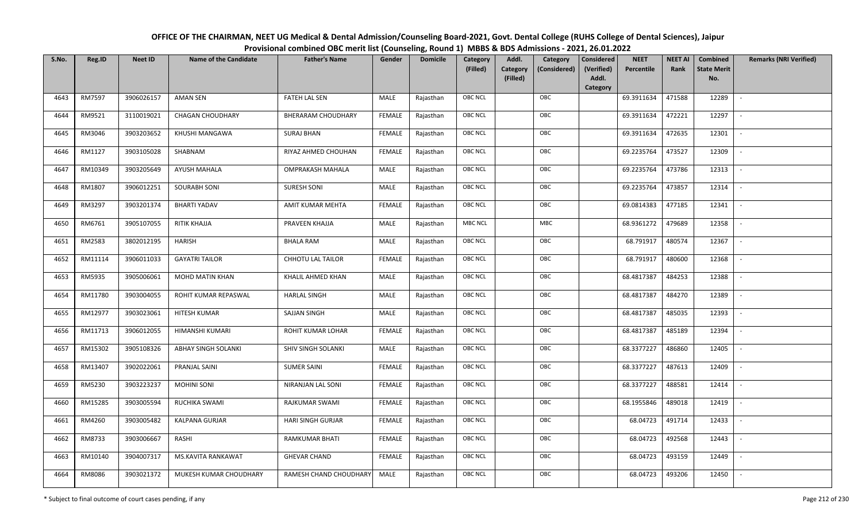| OFFICE OF THE CHAIRMAN, NEET UG Medical & Dental Admission/Counseling Board-2021, Govt. Dental College (RUHS College of Dental Sciences), Jaipur |
|--------------------------------------------------------------------------------------------------------------------------------------------------|
| Provisional combined OBC merit list (Counseling, Round 1) MBBS & BDS Admissions - 2021, 26.01.2022                                               |

| S.No. | Reg.ID  | <b>Neet ID</b> | <b>Name of the Candidate</b> | <b>Father's Name</b>      | Gender        | <b>Domicile</b> | Category<br>(Filled) | Addl.<br><b>Category</b><br>(Filled) | Category<br>(Considered) | <b>Considered</b><br>(Verified)<br>Addl. | <b>NEET</b><br>Percentile | <b>NEET AI</b><br>Rank | Combined<br><b>State Merit</b><br>No. | <b>Remarks (NRI Verified)</b> |
|-------|---------|----------------|------------------------------|---------------------------|---------------|-----------------|----------------------|--------------------------------------|--------------------------|------------------------------------------|---------------------------|------------------------|---------------------------------------|-------------------------------|
|       |         |                |                              |                           |               |                 | <b>OBC NCL</b>       |                                      | OBC                      | <b>Category</b>                          |                           |                        |                                       |                               |
| 4643  | RM7597  | 3906026157     | <b>AMAN SEN</b>              | <b>FATEH LAL SEN</b>      | MALE          | Rajasthan       |                      |                                      |                          |                                          | 69.3911634                | 471588                 | 12289                                 | $\sim$                        |
| 4644  | RM9521  | 3110019021     | <b>CHAGAN CHOUDHARY</b>      | <b>BHERARAM CHOUDHARY</b> | <b>FEMALE</b> | Rajasthan       | <b>OBC NCL</b>       |                                      | OBC                      |                                          | 69.3911634                | 472221                 | 12297                                 |                               |
| 4645  | RM3046  | 3903203652     | KHUSHI MANGAWA               | <b>SURAJ BHAN</b>         | <b>FEMALE</b> | Rajasthan       | OBC NCL              |                                      | OBC                      |                                          | 69.3911634                | 472635                 | 12301                                 | $\blacksquare$                |
| 4646  | RM1127  | 3903105028     | SHABNAM                      | RIYAZ AHMED CHOUHAN       | <b>FEMALE</b> | Rajasthan       | <b>OBC NCL</b>       |                                      | OBC                      |                                          | 69.2235764                | 473527                 | 12309                                 | $\overline{\phantom{a}}$      |
| 4647  | RM10349 | 3903205649     | AYUSH MAHALA                 | <b>OMPRAKASH MAHALA</b>   | MALE          | Rajasthan       | <b>OBC NCL</b>       |                                      | OBC                      |                                          | 69.2235764                | 473786                 | 12313                                 | $\sim$                        |
| 4648  | RM1807  | 3906012251     | <b>SOURABH SONI</b>          | SURESH SONI               | MALE          | Rajasthan       | <b>OBC NCL</b>       |                                      | OBC                      |                                          | 69.2235764                | 473857                 | 12314                                 | $\sim$                        |
| 4649  | RM3297  | 3903201374     | <b>BHARTI YADAV</b>          | AMIT KUMAR MEHTA          | <b>FEMALE</b> | Rajasthan       | OBC NCL              |                                      | OBC                      |                                          | 69.0814383                | 477185                 | 12341                                 |                               |
| 4650  | RM6761  | 3905107055     | RITIK KHAJJA                 | PRAVEEN KHAJJA            | MALE          | Rajasthan       | <b>MBC NCL</b>       |                                      | MBC                      |                                          | 68.9361272                | 479689                 | 12358                                 |                               |
| 4651  | RM2583  | 3802012195     | <b>HARISH</b>                | <b>BHALA RAM</b>          | MALE          | Rajasthan       | OBC NCL              |                                      | OBC                      |                                          | 68.791917                 | 480574                 | 12367                                 | $\sim$                        |
| 4652  | RM11114 | 3906011033     | <b>GAYATRI TAILOR</b>        | <b>CHHOTU LAL TAILOR</b>  | <b>FEMALE</b> | Rajasthan       | <b>OBC NCL</b>       |                                      | OBC                      |                                          | 68.791917                 | 480600                 | 12368                                 | $\overline{\phantom{a}}$      |
| 4653  | RM5935  | 3905006061     | MOHD MATIN KHAN              | KHALIL AHMED KHAN         | MALE          | Rajasthan       | OBC NCL              |                                      | OBC                      |                                          | 68.4817387                | 484253                 | 12388                                 |                               |
| 4654  | RM11780 | 3903004055     | ROHIT KUMAR REPASWAL         | <b>HARLAL SINGH</b>       | MALE          | Rajasthan       | <b>OBC NCL</b>       |                                      | OBC                      |                                          | 68.4817387                | 484270                 | 12389                                 |                               |
| 4655  | RM12977 | 3903023061     | HITESH KUMAR                 | SAJJAN SINGH              | MALE          | Rajasthan       | OBC NCL              |                                      | OBC                      |                                          | 68.4817387                | 485035                 | 12393                                 |                               |
| 4656  | RM11713 | 3906012055     | HIMANSHI KUMARI              | ROHIT KUMAR LOHAR         | <b>FEMALE</b> | Rajasthan       | OBC NCL              |                                      | OBC                      |                                          | 68.4817387                | 485189                 | 12394                                 | $\sim$                        |
| 4657  | RM15302 | 3905108326     | <b>ABHAY SINGH SOLANKI</b>   | SHIV SINGH SOLANKI        | MALE          | Rajasthan       | OBC NCL              |                                      | OBC                      |                                          | 68.3377227                | 486860                 | 12405                                 | $\sim$                        |
| 4658  | RM13407 | 3902022061     | PRANJAL SAINI                | <b>SUMER SAINI</b>        | <b>FEMALE</b> | Rajasthan       | <b>OBC NCL</b>       |                                      | OBC                      |                                          | 68.3377227                | 487613                 | 12409                                 | $\sim$                        |
| 4659  | RM5230  | 3903223237     | <b>MOHINI SONI</b>           | NIRANJAN LAL SONI         | <b>FEMALE</b> | Rajasthan       | OBC NCL              |                                      | OBC                      |                                          | 68.3377227                | 488581                 | 12414                                 | $\overline{\phantom{a}}$      |
| 4660  | RM15285 | 3903005594     | RUCHIKA SWAMI                | RAJKUMAR SWAMI            | <b>FEMALE</b> | Rajasthan       | <b>OBC NCL</b>       |                                      | OBC                      |                                          | 68.1955846                | 489018                 | 12419                                 |                               |
| 4661  | RM4260  | 3903005482     | KALPANA GURJAR               | <b>HARI SINGH GURJAR</b>  | <b>FEMALE</b> | Rajasthan       | OBC NCL              |                                      | OBC                      |                                          | 68.04723                  | 491714                 | 12433                                 | $\sim$                        |
| 4662  | RM8733  | 3903006667     | RASHI                        | <b>RAMKUMAR BHATI</b>     | <b>FEMALE</b> | Rajasthan       | OBC NCL              |                                      | OBC                      |                                          | 68.04723                  | 492568                 | 12443                                 | $\blacksquare$                |
| 4663  | RM10140 | 3904007317     | MS.KAVITA RANKAWAT           | <b>GHEVAR CHAND</b>       | <b>FEMALE</b> | Rajasthan       | <b>OBC NCL</b>       |                                      | OBC                      |                                          | 68.04723                  | 493159                 | 12449                                 |                               |
| 4664  | RM8086  | 3903021372     | MUKESH KUMAR CHOUDHARY       | RAMESH CHAND CHOUDHARY    | MALE          | Rajasthan       | <b>OBC NCL</b>       |                                      | OBC                      |                                          | 68.04723                  | 493206                 | 12450                                 |                               |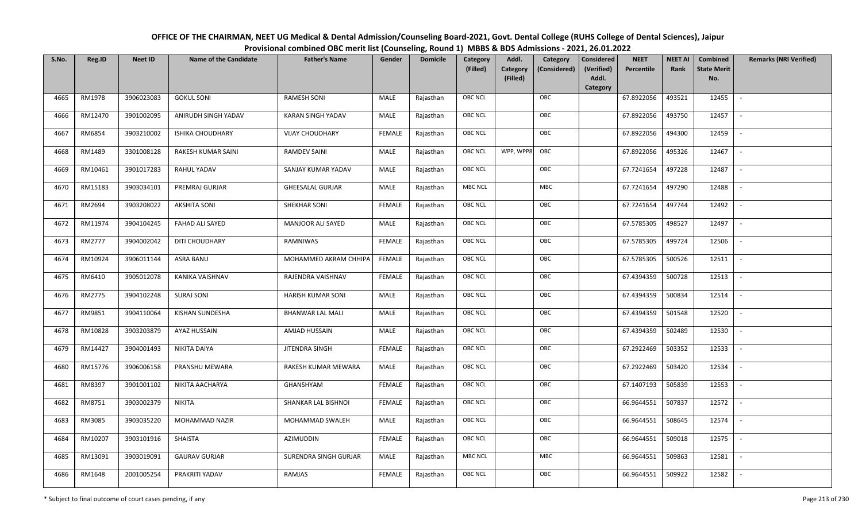| OFFICE OF THE CHAIRMAN, NEET UG Medical & Dental Admission/Counseling Board-2021, Govt. Dental College (RUHS College of Dental Sciences), Jaipur |
|--------------------------------------------------------------------------------------------------------------------------------------------------|
| Provisional combined OBC merit list (Counseling, Round 1) MBBS & BDS Admissions - 2021, 26.01.2022                                               |

| S.No. | Reg.ID  | <b>Neet ID</b> | <b>Name of the Candidate</b> | <b>Father's Name</b>         | Gender        | <b>Domicile</b> | Category<br>(Filled) | Addl.<br><b>Category</b><br>(Filled) | Category<br>(Considered) | <b>Considered</b><br>(Verified)<br>Addl. | <b>NEET</b><br>Percentile | <b>NEET AI</b><br>Rank | Combined<br><b>State Merit</b><br>No. | <b>Remarks (NRI Verified)</b> |
|-------|---------|----------------|------------------------------|------------------------------|---------------|-----------------|----------------------|--------------------------------------|--------------------------|------------------------------------------|---------------------------|------------------------|---------------------------------------|-------------------------------|
|       |         |                |                              |                              |               |                 |                      |                                      |                          | Category                                 |                           |                        |                                       |                               |
| 4665  | RM1978  | 3906023083     | <b>GOKUL SONI</b>            | <b>RAMESH SONI</b>           | MALE          | Rajasthan       | <b>OBC NCL</b>       |                                      | OBC                      |                                          | 67.8922056                | 493521                 | 12455                                 | $\mathbb{L}$                  |
| 4666  | RM12470 | 3901002095     | ANIRUDH SINGH YADAV          | KARAN SINGH YADAV            | MALE          | Rajasthan       | <b>OBC NCL</b>       |                                      | OBC                      |                                          | 67.8922056                | 493750                 | 12457                                 |                               |
| 4667  | RM6854  | 3903210002     | <b>ISHIKA CHOUDHARY</b>      | <b>VIJAY CHOUDHARY</b>       | <b>FEMALE</b> | Rajasthan       | <b>OBC NCL</b>       |                                      | OBC                      |                                          | 67.8922056                | 494300                 | 12459                                 | $\sim$                        |
| 4668  | RM1489  | 3301008128     | RAKESH KUMAR SAINI           | <b>RAMDEV SAINI</b>          | MALE          | Rajasthan       | <b>OBC NCL</b>       | WPP, WPP8                            | OBC                      |                                          | 67.8922056                | 495326                 | 12467                                 | $\overline{\phantom{a}}$      |
| 4669  | RM10461 | 3901017283     | RAHUL YADAV                  | SANJAY KUMAR YADAV           | MALE          | Rajasthan       | OBC NCL              |                                      | OBC                      |                                          | 67.7241654                | 497228                 | 12487                                 | $\overline{\phantom{a}}$      |
| 4670  | RM15183 | 3903034101     | PREMRAJ GURJAR               | <b>GHEESALAL GURJAR</b>      | MALE          | Rajasthan       | <b>MBC NCL</b>       |                                      | MBC                      |                                          | 67.7241654                | 497290                 | 12488                                 | $\blacksquare$                |
| 4671  | RM2694  | 3903208022     | <b>AKSHITA SONI</b>          | SHEKHAR SONI                 | <b>FEMALE</b> | Rajasthan       | OBC NCL              |                                      | OBC                      |                                          | 67.7241654                | 497744                 | 12492                                 | $\overline{\phantom{a}}$      |
| 4672  | RM11974 | 3904104245     | FAHAD ALI SAYED              | MANJOOR ALI SAYED            | MALE          | Rajasthan       | OBC NCL              |                                      | OBC                      |                                          | 67.5785305                | 498527                 | 12497                                 |                               |
| 4673  | RM2777  | 3904002042     | DITI CHOUDHARY               | RAMNIWAS                     | <b>FEMALE</b> | Rajasthan       | OBC NCL              |                                      | OBC                      |                                          | 67.5785305                | 499724                 | 12506                                 |                               |
| 4674  | RM10924 | 3906011144     | ASRA BANU                    | MOHAMMED AKRAM CHHIPA        | <b>FEMALE</b> | Rajasthan       | <b>OBC NCL</b>       |                                      | OBC                      |                                          | 67.5785305                | 500526                 | 12511                                 | $\overline{\phantom{a}}$      |
| 4675  | RM6410  | 3905012078     | KANIKA VAISHNAV              | RAJENDRA VAISHNAV            | <b>FEMALE</b> | Rajasthan       | <b>OBC NCL</b>       |                                      | OBC                      |                                          | 67.4394359                | 500728                 | 12513                                 |                               |
| 4676  | RM2775  | 3904102248     | <b>SURAJ SONI</b>            | <b>HARISH KUMAR SONI</b>     | MALE          | Rajasthan       | OBC NCL              |                                      | OBC                      |                                          | 67.4394359                | 500834                 | 12514                                 | $\sim$                        |
| 4677  | RM9851  | 3904110064     | KISHAN SUNDESHA              | <b>BHANWAR LAL MALI</b>      | MALE          | Rajasthan       | <b>OBC NCL</b>       |                                      | OBC                      |                                          | 67.4394359                | 501548                 | 12520                                 |                               |
| 4678  | RM10828 | 3903203879     | AYAZ HUSSAIN                 | AMJAD HUSSAIN                | MALE          | Rajasthan       | OBC NCL              |                                      | OBC                      |                                          | 67.4394359                | 502489                 | 12530                                 | $\overline{\phantom{a}}$      |
| 4679  | RM14427 | 3904001493     | NIKITA DAIYA                 | JITENDRA SINGH               | <b>FEMALE</b> | Rajasthan       | <b>OBC NCL</b>       |                                      | OBC                      |                                          | 67.2922469                | 503352                 | 12533                                 | $\overline{\phantom{a}}$      |
| 4680  | RM15776 | 3906006158     | PRANSHU MEWARA               | RAKESH KUMAR MEWARA          | <b>MALE</b>   | Rajasthan       | OBC NCL              |                                      | OBC                      |                                          | 67.2922469                | 503420                 | 12534                                 | $\sim$                        |
| 4681  | RM8397  | 3901001102     | NIKITA AACHARYA              | GHANSHYAM                    | <b>FEMALE</b> | Rajasthan       | <b>OBC NCL</b>       |                                      | OBC                      |                                          | 67.1407193                | 505839                 | 12553                                 | $\sim$                        |
| 4682  | RM8751  | 3903002379     | <b>NIKITA</b>                | SHANKAR LAL BISHNOI          | <b>FEMALE</b> | Rajasthan       | OBC NCL              |                                      | OBC                      |                                          | 66.9644551                | 507837                 | 12572                                 | $\sim$                        |
| 4683  | RM3085  | 3903035220     | MOHAMMAD NAZIR               | MOHAMMAD SWALEH              | MALE          | Rajasthan       | OBC NCL              |                                      | OBC                      |                                          | 66.9644551                | 508645                 | 12574                                 |                               |
| 4684  | RM10207 | 3903101916     | SHAISTA                      | AZIMUDDIN                    | <b>FEMALE</b> | Rajasthan       | <b>OBC NCL</b>       |                                      | OBC                      |                                          | 66.9644551                | 509018                 | 12575                                 |                               |
| 4685  | RM13091 | 3903019091     | <b>GAURAV GURJAR</b>         | <b>SURENDRA SINGH GURJAR</b> | MALE          | Rajasthan       | <b>MBC NCL</b>       |                                      | MBC                      |                                          | 66.9644551                | 509863                 | 12581                                 | $\overline{\phantom{a}}$      |
| 4686  | RM1648  | 2001005254     | PRAKRITI YADAV               | <b>RAMJAS</b>                | FEMALE        | Rajasthan       | <b>OBC NCL</b>       |                                      | OBC                      |                                          | 66.9644551                | 509922                 | 12582                                 |                               |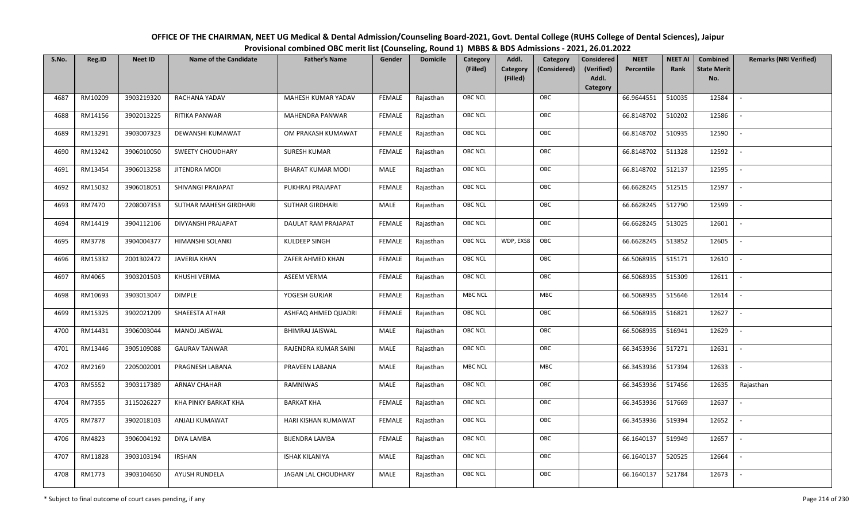| OFFICE OF THE CHAIRMAN, NEET UG Medical & Dental Admission/Counseling Board-2021, Govt. Dental College (RUHS College of Dental Sciences), Jaipur |
|--------------------------------------------------------------------------------------------------------------------------------------------------|
| Provisional combined OBC merit list (Counseling, Round 1) MBBS & BDS Admissions - 2021, 26.01.2022                                               |

| S.No. | Reg.ID  | <b>Neet ID</b> | <b>Name of the Candidate</b> | <b>Father's Name</b>     | Gender        | <b>Domicile</b> | Category<br>(Filled) | Addl.<br><b>Category</b><br>(Filled) | Category<br>(Considered) | <b>Considered</b><br>(Verified)<br>Addl. | <b>NEET</b><br>Percentile | <b>NEET AI</b><br>Rank | Combined<br><b>State Merit</b><br>No. | <b>Remarks (NRI Verified)</b> |
|-------|---------|----------------|------------------------------|--------------------------|---------------|-----------------|----------------------|--------------------------------------|--------------------------|------------------------------------------|---------------------------|------------------------|---------------------------------------|-------------------------------|
|       |         |                |                              |                          |               |                 |                      |                                      |                          | Category                                 |                           |                        |                                       |                               |
| 4687  | RM10209 | 3903219320     | RACHANA YADAV                | MAHESH KUMAR YADAV       | <b>FEMALE</b> | Rajasthan       | <b>OBC NCL</b>       |                                      | OBC                      |                                          | 66.9644551                | 510035                 | 12584                                 | $\mathbb{L}$                  |
| 4688  | RM14156 | 3902013225     | RITIKA PANWAR                | <b>MAHENDRA PANWAR</b>   | <b>FEMALE</b> | Rajasthan       | OBC NCL              |                                      | OBC                      |                                          | 66.8148702                | 510202                 | 12586                                 |                               |
| 4689  | RM13291 | 3903007323     | DEWANSHI KUMAWAT             | OM PRAKASH KUMAWAT       | <b>FEMALE</b> | Rajasthan       | <b>OBC NCL</b>       |                                      | OBC                      |                                          | 66.8148702                | 510935                 | 12590                                 |                               |
| 4690  | RM13242 | 3906010050     | <b>SWEETY CHOUDHARY</b>      | <b>SURESH KUMAR</b>      | <b>FEMALE</b> | Rajasthan       | OBC NCL              |                                      | OBC                      |                                          | 66.8148702                | 511328                 | 12592                                 | $\overline{\phantom{a}}$      |
| 4691  | RM13454 | 3906013258     | JITENDRA MODI                | <b>BHARAT KUMAR MODI</b> | MALE          | Rajasthan       | <b>OBC NCL</b>       |                                      | OBC                      |                                          | 66.8148702                | 512137                 | 12595                                 | $\sim$                        |
| 4692  | RM15032 | 3906018051     | SHIVANGI PRAJAPAT            | PUKHRAJ PRAJAPAT         | <b>FEMALE</b> | Rajasthan       | <b>OBC NCL</b>       |                                      | OBC                      |                                          | 66.6628245                | 512515                 | 12597                                 | $\sim$                        |
| 4693  | RM7470  | 2208007353     | SUTHAR MAHESH GIRDHARI       | <b>SUTHAR GIRDHARI</b>   | MALE          | Rajasthan       | OBC NCL              |                                      | OBC                      |                                          | 66.6628245                | 512790                 | 12599                                 |                               |
| 4694  | RM14419 | 3904112106     | DIVYANSHI PRAJAPAT           | DAULAT RAM PRAJAPAT      | <b>FEMALE</b> | Rajasthan       | OBC NCL              |                                      | OBC                      |                                          | 66.6628245                | 513025                 | 12601                                 |                               |
| 4695  | RM3778  | 3904004377     | HIMANSHI SOLANKI             | KULDEEP SINGH            | <b>FEMALE</b> | Rajasthan       | <b>OBC NCL</b>       | WDP, EXS8                            | OBC                      |                                          | 66.6628245                | 513852                 | 12605                                 |                               |
| 4696  | RM15332 | 2001302472     | <b>JAVERIA KHAN</b>          | ZAFER AHMED KHAN         | <b>FEMALE</b> | Rajasthan       | <b>OBC NCL</b>       |                                      | OBC                      |                                          | 66.5068935                | 515171                 | 12610                                 | $\overline{\phantom{a}}$      |
| 4697  | RM4065  | 3903201503     | KHUSHI VERMA                 | <b>ASEEM VERMA</b>       | <b>FEMALE</b> | Rajasthan       | <b>OBC NCL</b>       |                                      | OBC                      |                                          | 66.5068935                | 515309                 | 12611                                 |                               |
| 4698  | RM10693 | 3903013047     | <b>DIMPLE</b>                | YOGESH GURJAR            | <b>FEMALE</b> | Rajasthan       | <b>MBC NCL</b>       |                                      | MBC                      |                                          | 66.5068935                | 515646                 | 12614                                 | $\overline{\phantom{a}}$      |
| 4699  | RM15325 | 3902021209     | SHAEESTA ATHAR               | ASHFAQ AHMED QUADRI      | <b>FEMALE</b> | Rajasthan       | <b>OBC NCL</b>       |                                      | OBC                      |                                          | 66.5068935                | 516821                 | 12627                                 |                               |
| 4700  | RM14431 | 3906003044     | <b>MANOJ JAISWAL</b>         | <b>BHIMRAJ JAISWAL</b>   | MALE          | Rajasthan       | OBC NCL              |                                      | OBC                      |                                          | 66.5068935                | 516941                 | 12629                                 | $\sim$                        |
| 4701  | RM13446 | 3905109088     | <b>GAURAV TANWAR</b>         | RAJENDRA KUMAR SAINI     | <b>MALE</b>   | Rajasthan       | OBC NCL              |                                      | OBC                      |                                          | 66.3453936                | 517271                 | 12631                                 | $\sim$                        |
| 4702  | RM2169  | 2205002001     | PRAGNESH LABANA              | PRAVEEN LABANA           | MALE          | Rajasthan       | <b>MBC NCL</b>       |                                      | MBC                      |                                          | 66.3453936                | 517394                 | 12633                                 | $\mathcal{L}_{\mathcal{A}}$   |
| 4703  | RM5552  | 3903117389     | ARNAV CHAHAR                 | RAMNIWAS                 | MALE          | Rajasthan       | <b>OBC NCL</b>       |                                      | OBC                      |                                          | 66.3453936                | 517456                 | 12635                                 | Rajasthan                     |
| 4704  | RM7355  | 3115026227     | KHA PINKY BARKAT KHA         | <b>BARKAT KHA</b>        | <b>FEMALE</b> | Rajasthan       | OBC NCL              |                                      | OBC                      |                                          | 66.3453936                | 517669                 | 12637                                 | $\overline{\phantom{a}}$      |
| 4705  | RM7877  | 3902018103     | <b>ANJALI KUMAWAT</b>        | HARI KISHAN KUMAWAT      | <b>FEMALE</b> | Rajasthan       | <b>OBC NCL</b>       |                                      | OBC                      |                                          | 66.3453936                | 519394                 | 12652                                 |                               |
| 4706  | RM4823  | 3906004192     | DIYA LAMBA                   | <b>BIJENDRA LAMBA</b>    | <b>FEMALE</b> | Rajasthan       | OBC NCL              |                                      | OBC                      |                                          | 66.1640137                | 519949                 | 12657                                 | $\blacksquare$                |
| 4707  | RM11828 | 3903103194     | <b>IRSHAN</b>                | <b>ISHAK KILANIYA</b>    | <b>MALE</b>   | Rajasthan       | <b>OBC NCL</b>       |                                      | OBC                      |                                          | 66.1640137                | 520525                 | 12664                                 | $\overline{\phantom{a}}$      |
| 4708  | RM1773  | 3903104650     | AYUSH RUNDELA                | JAGAN LAL CHOUDHARY      | MALE          | Rajasthan       | <b>OBC NCL</b>       |                                      | OBC                      |                                          | 66.1640137                | 521784                 | 12673                                 |                               |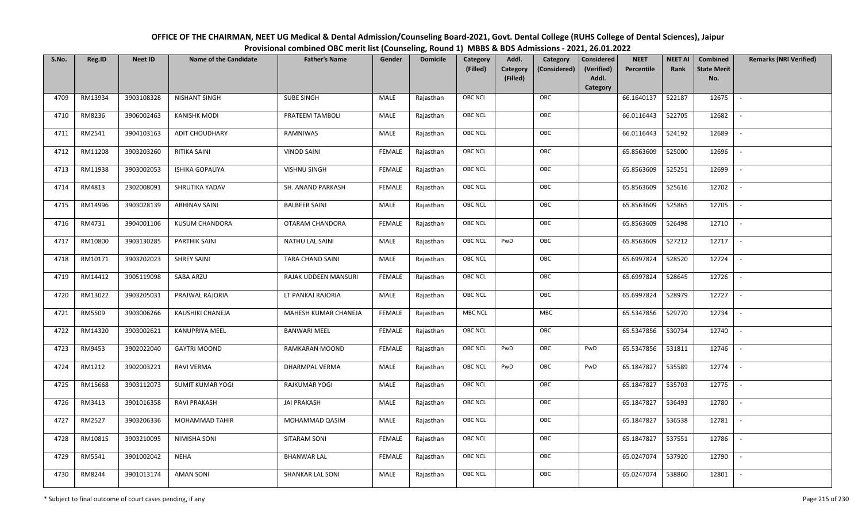| OFFICE OF THE CHAIRMAN, NEET UG Medical & Dental Admission/Counseling Board-2021, Govt. Dental College (RUHS College of Dental Sciences), Jaipur |
|--------------------------------------------------------------------------------------------------------------------------------------------------|
| Provisional combined OBC merit list (Counseling, Round 1) MBBS & BDS Admissions - 2021, 26.01.2022                                               |

| S.No. | Reg.ID  | <b>Neet ID</b> | <b>Name of the Candidate</b> | <b>Father's Name</b>    | Gender        | <b>Domicile</b> | Category<br>(Filled) | Addl.<br><b>Category</b> | Category<br>(Considered) | <b>Considered</b><br>(Verified) | <b>NEET</b><br>Percentile | <b>NEET AI</b><br>Rank | Combined<br><b>State Merit</b> | <b>Remarks (NRI Verified)</b> |
|-------|---------|----------------|------------------------------|-------------------------|---------------|-----------------|----------------------|--------------------------|--------------------------|---------------------------------|---------------------------|------------------------|--------------------------------|-------------------------------|
|       |         |                |                              |                         |               |                 |                      | (Filled)                 |                          | Addl.<br>Category               |                           |                        | No.                            |                               |
| 4709  | RM13934 | 3903108328     | <b>NISHANT SINGH</b>         | <b>SUBE SINGH</b>       | MALE          | Rajasthan       | <b>OBC NCL</b>       |                          | OBC                      |                                 | 66.1640137                | 522187                 | 12675                          | $\sim$                        |
| 4710  | RM8236  | 3906002463     | <b>KANISHK MODI</b>          | PRATEEM TAMBOLI         | MALE          | Rajasthan       | OBC NCL              |                          | OBC                      |                                 | 66.0116443                | 522705                 | 12682                          |                               |
| 4711  | RM2541  | 3904103163     | <b>ADIT CHOUDHARY</b>        | RAMNIWAS                | MALE          | Rajasthan       | <b>OBC NCL</b>       |                          | OBC                      |                                 | 66.0116443                | 524192                 | 12689                          |                               |
| 4712  | RM11208 | 3903203260     | <b>RITIKA SAINI</b>          | <b>VINOD SAINI</b>      | <b>FEMALE</b> | Rajasthan       | <b>OBC NCL</b>       |                          | OBC                      |                                 | 65.8563609                | 525000                 | 12696                          | $\overline{\phantom{a}}$      |
| 4713  | RM11938 | 3903002053     | <b>ISHIKA GOPALIYA</b>       | <b>VISHNU SINGH</b>     | <b>FEMALE</b> | Rajasthan       | OBC NCL              |                          | OBC                      |                                 | 65.8563609                | 525251                 | 12699                          | $\sim$                        |
| 4714  | RM4813  | 2302008091     | SHRUTIKA YADAV               | SH. ANAND PARKASH       | <b>FEMALE</b> | Rajasthan       | <b>OBC NCL</b>       |                          | OBC                      |                                 | 65.8563609                | 525616                 | 12702                          | $\sim$                        |
| 4715  | RM14996 | 3903028139     | <b>ABHINAV SAINI</b>         | <b>BALBEER SAINI</b>    | <b>MALE</b>   | Rajasthan       | OBC NCL              |                          | OBC                      |                                 | 65.8563609                | 525865                 | 12705                          | $\overline{\phantom{a}}$      |
| 4716  | RM4731  | 3904001106     | <b>KUSUM CHANDORA</b>        | OTARAM CHANDORA         | <b>FEMALE</b> | Rajasthan       | OBC NCL              |                          | OBC                      |                                 | 65.8563609                | 526498                 | 12710                          |                               |
| 4717  | RM10800 | 3903130285     | PARTHIK SAINI                | <b>NATHU LAL SAINI</b>  | MALE          | Rajasthan       | <b>OBC NCL</b>       | PwD                      | OBC                      |                                 | 65.8563609                | 527212                 | 12717                          | $\overline{\phantom{a}}$      |
| 4718  | RM10171 | 3903202023     | <b>SHREY SAINI</b>           | TARA CHAND SAINI        | MALE          | Rajasthan       | <b>OBC NCL</b>       |                          | OBC                      |                                 | 65.6997824                | 528520                 | 12724                          | $\overline{\phantom{a}}$      |
| 4719  | RM14412 | 3905119098     | SABA ARZU                    | RAJAK UDDEEN MANSURI    | <b>FEMALE</b> | Rajasthan       | OBC NCL              |                          | OBC                      |                                 | 65.6997824                | 528645                 | 12726                          |                               |
| 4720  | RM13022 | 3903205031     | PRAJWAL RAJORIA              | LT PANKAJ RAJORIA       | MALE          | Rajasthan       | OBC NCL              |                          | OBC                      |                                 | 65.6997824                | 528979                 | 12727                          | $\overline{\phantom{a}}$      |
| 4721  | RM5509  | 3903006266     | KAUSHIKI CHANEJA             | MAHESH KUMAR CHANEJA    | <b>FEMALE</b> | Rajasthan       | <b>MBC NCL</b>       |                          | MBC                      |                                 | 65.5347856                | 529770                 | 12734                          |                               |
| 4722  | RM14320 | 3903002621     | <b>KANUPRIYA MEEL</b>        | <b>BANWARI MEEL</b>     | <b>FEMALE</b> | Rajasthan       | OBC NCL              |                          | OBC                      |                                 | 65.5347856                | 530734                 | 12740                          | $\overline{\phantom{a}}$      |
| 4723  | RM9453  | 3902022040     | <b>GAYTRI MOOND</b>          | RAMKARAN MOOND          | <b>FEMALE</b> | Rajasthan       | <b>OBC NCL</b>       | PwD                      | OBC                      | PwD                             | 65.5347856                | 531811                 | 12746                          | $\sim$                        |
| 4724  | RM1212  | 3902003221     | RAVI VERMA                   | DHARMPAL VERMA          | MALE          | Rajasthan       | <b>OBC NCL</b>       | PwD                      | OBC                      | PwD                             | 65.1847827                | 535589                 | 12774                          | $\sim$                        |
| 4725  | RM15668 | 3903112073     | <b>SUMIT KUMAR YOGI</b>      | RAJKUMAR YOGI           | MALE          | Rajasthan       | <b>OBC NCL</b>       |                          | OBC                      |                                 | 65.1847827                | 535703                 | 12775                          | $\overline{\phantom{a}}$      |
| 4726  | RM3413  | 3901016358     | RAVI PRAKASH                 | <b>JAI PRAKASH</b>      | MALE          | Rajasthan       | <b>OBC NCL</b>       |                          | OBC                      |                                 | 65.1847827                | 536493                 | 12780                          |                               |
| 4727  | RM2527  | 3903206336     | <b>MOHAMMAD TAHIR</b>        | MOHAMMAD QASIM          | MALE          | Rajasthan       | OBC NCL              |                          | OBC                      |                                 | 65.1847827                | 536538                 | 12781                          |                               |
| 4728  | RM10815 | 3903210095     | NIMISHA SONI                 | SITARAM SONI            | <b>FEMALE</b> | Rajasthan       | <b>OBC NCL</b>       |                          | OBC                      |                                 | 65.1847827                | 537551                 | 12786                          | $\blacksquare$                |
| 4729  | RM5541  | 3901002042     | <b>NEHA</b>                  | <b>BHANWAR LAL</b>      | <b>FEMALE</b> | Rajasthan       | OBC NCL              |                          | OBC                      |                                 | 65.0247074                | 537920                 | 12790                          | $\overline{\phantom{a}}$      |
| 4730  | RM8244  | 3901013174     | <b>AMAN SONI</b>             | <b>SHANKAR LAL SONI</b> | MALE          | Rajasthan       | <b>OBC NCL</b>       |                          | OBC                      |                                 | 65.0247074                | 538860                 | 12801                          |                               |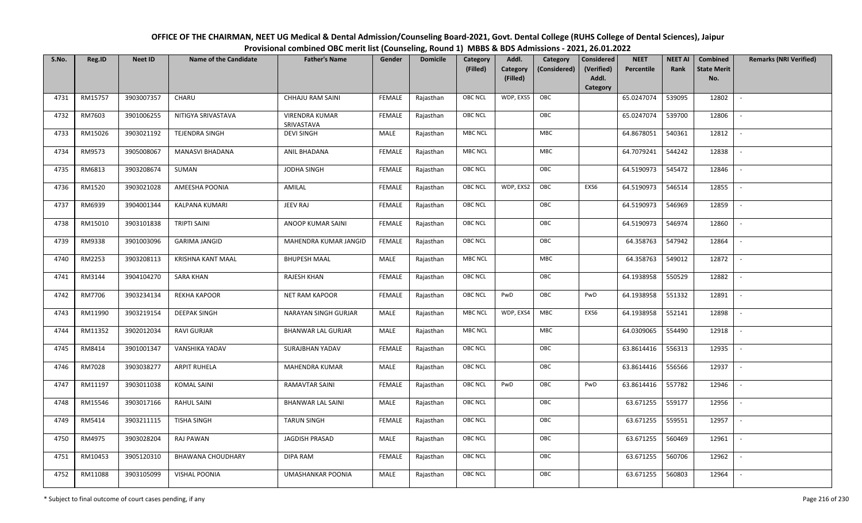| OFFICE OF THE CHAIRMAN, NEET UG Medical & Dental Admission/Counseling Board-2021, Govt. Dental College (RUHS College of Dental Sciences), Jaipur |
|--------------------------------------------------------------------------------------------------------------------------------------------------|
| Provisional combined OBC merit list (Counseling, Round 1) MBBS & BDS Admissions - 2021, 26.01.2022                                               |

| S.No. | Reg.ID  | <b>Neet ID</b> | <b>Name of the Candidate</b> | <b>Father's Name</b>                | Gender        | <b>Domicile</b> | Category<br>(Filled) | Addl.<br><b>Category</b><br>(Filled) | Category<br>(Considered) | <b>Considered</b><br>(Verified)<br>Addl. | <b>NEET</b><br>Percentile | <b>NEET AI</b><br>Rank | Combined<br><b>State Merit</b><br>No. | <b>Remarks (NRI Verified)</b> |
|-------|---------|----------------|------------------------------|-------------------------------------|---------------|-----------------|----------------------|--------------------------------------|--------------------------|------------------------------------------|---------------------------|------------------------|---------------------------------------|-------------------------------|
| 4731  | RM15757 | 3903007357     | CHARU                        | CHHAJU RAM SAINI                    | FEMALE        | Rajasthan       | <b>OBC NCL</b>       | WDP, EXS5                            | OBC                      | Category                                 | 65.0247074                | 539095                 | 12802                                 | $\mathbb{L}$                  |
| 4732  | RM7603  | 3901006255     | NITIGYA SRIVASTAVA           | <b>VIRENDRA KUMAR</b><br>SRIVASTAVA | FEMALE        | Rajasthan       | <b>OBC NCL</b>       |                                      | OBC                      |                                          | 65.0247074                | 539700                 | 12806                                 |                               |
| 4733  | RM15026 | 3903021192     | TEJENDRA SINGH               | <b>DEVI SINGH</b>                   | MALE          | Rajasthan       | <b>MBC NCL</b>       |                                      | MBC                      |                                          | 64.8678051                | 540361                 | 12812                                 | $\overline{\phantom{a}}$      |
| 4734  | RM9573  | 3905008067     | <b>MANASVI BHADANA</b>       | ANIL BHADANA                        | <b>FEMALE</b> | Rajasthan       | <b>MBC NCL</b>       |                                      | MBC                      |                                          | 64.7079241                | 544242                 | 12838                                 | $\overline{\phantom{a}}$      |
| 4735  | RM6813  | 3903208674     | SUMAN                        | JODHA SINGH                         | <b>FEMALE</b> | Rajasthan       | OBC NCL              |                                      | OBC                      |                                          | 64.5190973                | 545472                 | 12846                                 | $\overline{\phantom{a}}$      |
| 4736  | RM1520  | 3903021028     | AMEESHA POONIA               | AMILAL                              | <b>FEMALE</b> | Rajasthan       | <b>OBC NCL</b>       | WDP, EXS2                            | OBC                      | EXS6                                     | 64.5190973                | 546514                 | 12855                                 | $\blacksquare$                |
| 4737  | RM6939  | 3904001344     | KALPANA KUMARI               | JEEV RAJ                            | <b>FEMALE</b> | Rajasthan       | OBC NCL              |                                      | OBC                      |                                          | 64.5190973                | 546969                 | 12859                                 | $\overline{\phantom{a}}$      |
| 4738  | RM15010 | 3903101838     | <b>TRIPTI SAINI</b>          | ANOOP KUMAR SAINI                   | <b>FEMALE</b> | Rajasthan       | OBC NCL              |                                      | OBC                      |                                          | 64.5190973                | 546974                 | 12860                                 |                               |
| 4739  | RM9338  | 3901003096     | <b>GARIMA JANGID</b>         | MAHENDRA KUMAR JANGID               | <b>FEMALE</b> | Rajasthan       | OBC NCL              |                                      | OBC                      |                                          | 64.358763                 | 547942                 | 12864                                 |                               |
| 4740  | RM2253  | 3903208113     | <b>KRISHNA KANT MAAL</b>     | <b>BHUPESH MAAL</b>                 | MALE          | Rajasthan       | <b>MBC NCL</b>       |                                      | MBC                      |                                          | 64.358763                 | 549012                 | 12872                                 | $\overline{\phantom{a}}$      |
| 4741  | RM3144  | 3904104270     | <b>SARA KHAN</b>             | <b>RAJESH KHAN</b>                  | <b>FEMALE</b> | Rajasthan       | <b>OBC NCL</b>       |                                      | OBC                      |                                          | 64.1938958                | 550529                 | 12882                                 |                               |
| 4742  | RM7706  | 3903234134     | <b>REKHA KAPOOR</b>          | <b>NET RAM KAPOOR</b>               | <b>FEMALE</b> | Rajasthan       | OBC NCL              | PwD                                  | OBC                      | PwD                                      | 64.1938958                | 551332                 | 12891                                 | $\mathbb{L}$                  |
| 4743  | RM11990 | 3903219154     | <b>DEEPAK SINGH</b>          | NARAYAN SINGH GURJAR                | MALE          | Rajasthan       | <b>MBC NCL</b>       | WDP, EXS4                            | MBC                      | EXS6                                     | 64.1938958                | 552141                 | 12898                                 |                               |
| 4744  | RM11352 | 3902012034     | RAVI GURJAR                  | BHANWAR LAL GURJAR                  | MALE          | Rajasthan       | <b>MBC NCL</b>       |                                      | <b>MBC</b>               |                                          | 64.0309065                | 554490                 | 12918                                 | $\overline{\phantom{a}}$      |
| 4745  | RM8414  | 3901001347     | VANSHIKA YADAV               | SURAJBHAN YADAV                     | <b>FEMALE</b> | Rajasthan       | <b>OBC NCL</b>       |                                      | OBC                      |                                          | 63.8614416                | 556313                 | 12935                                 | $\overline{\phantom{a}}$      |
| 4746  | RM7028  | 3903038277     | <b>ARPIT RUHELA</b>          | MAHENDRA KUMAR                      | <b>MALE</b>   | Rajasthan       | OBC NCL              |                                      | OBC                      |                                          | 63.8614416                | 556566                 | 12937                                 | $\sim$                        |
| 4747  | RM11197 | 3903011038     | <b>KOMAL SAINI</b>           | RAMAVTAR SAINI                      | <b>FEMALE</b> | Rajasthan       | <b>OBC NCL</b>       | PwD                                  | OBC                      | PwD                                      | 63.8614416                | 557782                 | 12946                                 | $\overline{\phantom{a}}$      |
| 4748  | RM15546 | 3903017166     | <b>RAHUL SAINI</b>           | <b>BHANWAR LAL SAINI</b>            | MALE          | Rajasthan       | OBC NCL              |                                      | OBC                      |                                          | 63.671255                 | 559177                 | 12956                                 | $\sim$                        |
| 4749  | RM5414  | 3903211115     | <b>TISHA SINGH</b>           | <b>TARUN SINGH</b>                  | <b>FEMALE</b> | Rajasthan       | OBC NCL              |                                      | OBC                      |                                          | 63.671255                 | 559551                 | 12957                                 |                               |
| 4750  | RM4975  | 3903028204     | RAJ PAWAN                    | <b>JAGDISH PRASAD</b>               | MALE          | Rajasthan       | <b>OBC NCL</b>       |                                      | OBC                      |                                          | 63.671255                 | 560469                 | 12961                                 |                               |
| 4751  | RM10453 | 3905120310     | <b>BHAWANA CHOUDHARY</b>     | DIPA RAM                            | <b>FEMALE</b> | Rajasthan       | <b>OBC NCL</b>       |                                      | OBC                      |                                          | 63.671255                 | 560706                 | 12962                                 | $\overline{\phantom{a}}$      |
| 4752  | RM11088 | 3903105099     | <b>VISHAL POONIA</b>         | <b>UMASHANKAR POONIA</b>            | MALE          | Rajasthan       | <b>OBC NCL</b>       |                                      | OBC                      |                                          | 63.671255                 | 560803                 | 12964                                 |                               |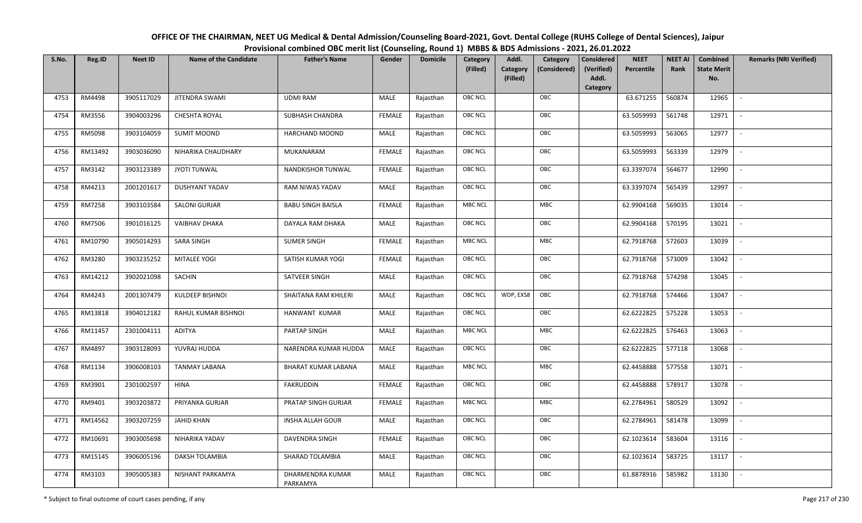| OFFICE OF THE CHAIRMAN, NEET UG Medical & Dental Admission/Counseling Board-2021, Govt. Dental College (RUHS College of Dental Sciences), Jaipur |
|--------------------------------------------------------------------------------------------------------------------------------------------------|
| Provisional combined OBC merit list (Counseling, Round 1) MBBS & BDS Admissions - 2021, 26.01.2022                                               |

| S.No. | Reg.ID  | <b>Neet ID</b> | <b>Name of the Candidate</b> | <b>Father's Name</b>         | Gender        | <b>Domicile</b> | Category       | Addl.<br>Category        | <b>Considered</b> | <b>NEET</b> | <b>NEET AI</b> | <b>Combined</b>    | <b>Remarks (NRI Verified)</b> |
|-------|---------|----------------|------------------------------|------------------------------|---------------|-----------------|----------------|--------------------------|-------------------|-------------|----------------|--------------------|-------------------------------|
|       |         |                |                              |                              |               |                 | (Filled)       | Category<br>(Considered) | (Verified)        | Percentile  | Rank           | <b>State Merit</b> |                               |
|       |         |                |                              |                              |               |                 |                | (Filled)                 | Addl.<br>Category |             |                | No.                |                               |
| 4753  | RM4498  | 3905117029     | <b>JITENDRA SWAMI</b>        | <b>UDMI RAM</b>              | MALE          | Rajasthan       | <b>OBC NCL</b> | OBC                      |                   | 63.671255   | 560874         | 12965              | $\sim$                        |
| 4754  | RM3556  | 3904003296     | <b>CHESHTA ROYAL</b>         | <b>SUBHASH CHANDRA</b>       | <b>FEMALE</b> | Rajasthan       | <b>OBC NCL</b> | OBC                      |                   | 63.5059993  | 561748         | 12971              |                               |
| 4755  | RM5098  | 3903104059     | <b>SUMIT MOOND</b>           | <b>HARCHAND MOOND</b>        | <b>MALE</b>   | Rajasthan       | OBC NCL        | OBC                      |                   | 63.5059993  | 563065         | 12977              | $\blacksquare$                |
| 4756  | RM13492 | 3903036090     | NIHARIKA CHAUDHARY           | MUKANARAM                    | <b>FEMALE</b> | Rajasthan       | OBC NCL        | OBC                      |                   | 63.5059993  | 563339         | 12979              |                               |
| 4757  | RM3142  | 3903123389     | <b>JYOTI TUNWAL</b>          | NANDKISHOR TUNWAL            | <b>FEMALE</b> | Rajasthan       | OBC NCL        | OBC                      |                   | 63.3397074  | 564677         | 12990              | $\sim$                        |
| 4758  | RM4213  | 2001201617     | DUSHYANT YADAV               | RAM NIWAS YADAV              | MALE          | Rajasthan       | OBC NCL        | OBC                      |                   | 63.3397074  | 565439         | 12997              | $\overline{\phantom{a}}$      |
| 4759  | RM7258  | 3903103584     | <b>SALONI GURJAR</b>         | <b>BABU SINGH BAISLA</b>     | <b>FEMALE</b> | Rajasthan       | <b>MBC NCL</b> | MBC                      |                   | 62.9904168  | 569035         | 13014              | $\overline{\phantom{a}}$      |
| 4760  | RM7506  | 3901016125     | <b>VAIBHAV DHAKA</b>         | DAYALA RAM DHAKA             | <b>MALE</b>   | Rajasthan       | OBC NCL        | OBC                      |                   | 62.9904168  | 570195         | 13021              | $\overline{\phantom{a}}$      |
| 4761  | RM10790 | 3905014293     | <b>SARA SINGH</b>            | <b>SUMER SINGH</b>           | <b>FEMALE</b> | Rajasthan       | <b>MBC NCL</b> | MBC                      |                   | 62.7918768  | 572603         | 13039              |                               |
| 4762  | RM3280  | 3903235252     | MITALEE YOGI                 | SATISH KUMAR YOGI            | <b>FEMALE</b> | Rajasthan       | OBC NCL        | OBC                      |                   | 62.7918768  | 573009         | 13042              |                               |
| 4763  | RM14212 | 3902021098     | <b>SACHIN</b>                | SATVEER SINGH                | <b>MALE</b>   | Rajasthan       | <b>OBC NCL</b> | OBC                      |                   | 62.7918768  | 574298         | 13045              |                               |
| 4764  | RM4243  | 2001307479     | KULDEEP BISHNOI              | SHAITANA RAM KHILERI         | MALE          | Rajasthan       | <b>OBC NCL</b> | WDP, EXS8<br>OBC         |                   | 62.7918768  | 574466         | 13047              | $\overline{\phantom{a}}$      |
| 4765  | RM13818 | 3904012182     | RAHUL KUMAR BISHNOI          | HANWANT KUMAR                | MALE          | Rajasthan       | OBC NCL        | OBC                      |                   | 62.6222825  | 575228         | 13053              |                               |
| 4766  | RM11457 | 2301004111     | ADITYA                       | PARTAP SINGH                 | MALE          | Rajasthan       | <b>MBC NCL</b> | MBC                      |                   | 62.6222825  | 576463         | 13063              |                               |
| 4767  | RM4897  | 3903128093     | YUVRAJ HUDDA                 | NARENDRA KUMAR HUDDA         | MALE          | Rajasthan       | OBC NCL        | OBC                      |                   | 62.6222825  | 577118         | 13068              |                               |
| 4768  | RM1134  | 3906008103     | <b>TANMAY LABANA</b>         | BHARAT KUMAR LABANA          | MALE          | Rajasthan       | <b>MBC NCL</b> | MBC                      |                   | 62.4458888  | 577558         | 13071              | $\sim$                        |
| 4769  | RM3901  | 2301002597     | <b>HINA</b>                  | <b>FAKRUDDIN</b>             | <b>FEMALE</b> | Rajasthan       | <b>OBC NCL</b> | OBC                      |                   | 62.4458888  | 578917         | 13078              | $\overline{\phantom{a}}$      |
| 4770  | RM9401  | 3903203872     | PRIYANKA GURJAR              | PRATAP SINGH GURJAR          | <b>FEMALE</b> | Rajasthan       | <b>MBC NCL</b> | <b>MBC</b>               |                   | 62.2784961  | 580529         | 13092              | $\sim$                        |
| 4771  | RM14562 | 3903207259     | <b>JAHID KHAN</b>            | <b>INSHA ALLAH GOUR</b>      | MALE          | Rajasthan       | <b>OBC NCL</b> | OBC                      |                   | 62.2784961  | 581478         | 13099              | $\sim$                        |
| 4772  | RM10691 | 3903005698     | NIHARIKA YADAV               | <b>DAVENDRA SINGH</b>        | <b>FEMALE</b> | Rajasthan       | OBC NCL        | OBC                      |                   | 62.1023614  | 583604         | 13116              |                               |
| 4773  | RM15145 | 3906005196     | DAKSH TOLAMBIA               | SHARAD TOLAMBIA              | MALE          | Rajasthan       | <b>OBC NCL</b> | OBC                      |                   | 62.1023614  | 583725         | 13117              |                               |
| 4774  | RM3103  | 3905005383     | NISHANT PARKAMYA             | DHARMENDRA KUMAR<br>PARKAMYA | <b>MALE</b>   | Rajasthan       | OBC NCL        | OBC                      |                   | 61.8878916  | 585982         | 13130              | $\overline{\phantom{a}}$      |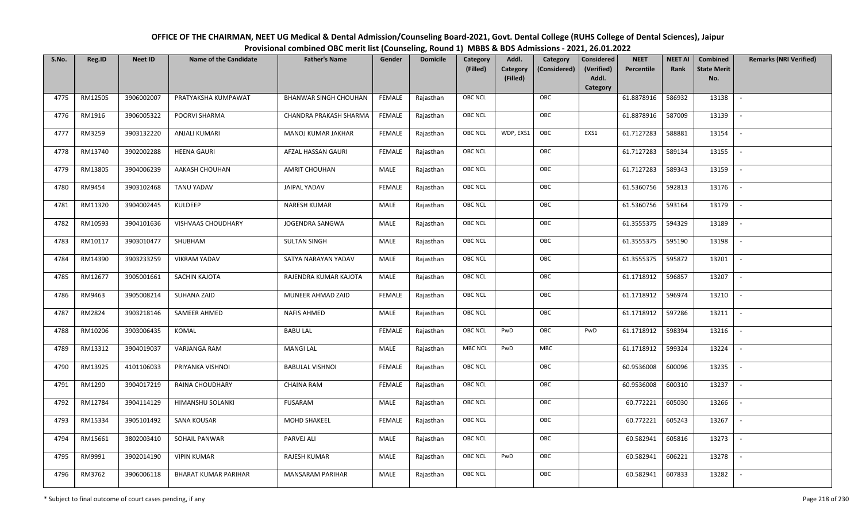| OFFICE OF THE CHAIRMAN, NEET UG Medical & Dental Admission/Counseling Board-2021, Govt. Dental College (RUHS College of Dental Sciences), Jaipur |
|--------------------------------------------------------------------------------------------------------------------------------------------------|
| Provisional combined OBC merit list (Counseling, Round 1) MBBS & BDS Admissions - 2021, 26.01.2022                                               |

| S.No. | Reg.ID  | <b>Neet ID</b> | <b>Name of the Candidate</b> | <b>Father's Name</b>         | Gender        | <b>Domicile</b> | Category<br>(Filled) | Addl.<br>Category<br>(Filled) | Category<br>(Considered) | <b>Considered</b><br>(Verified)<br>Addl. | <b>NEET</b><br>Percentile | <b>NEET AI</b><br>Rank | Combined<br><b>State Merit</b><br>No. | <b>Remarks (NRI Verified)</b> |
|-------|---------|----------------|------------------------------|------------------------------|---------------|-----------------|----------------------|-------------------------------|--------------------------|------------------------------------------|---------------------------|------------------------|---------------------------------------|-------------------------------|
|       |         |                |                              |                              |               |                 |                      |                               |                          | Category                                 |                           |                        |                                       |                               |
| 4775  | RM12505 | 3906002007     | PRATYAKSHA KUMPAWAT          | <b>BHANWAR SINGH CHOUHAN</b> | FEMALE        | Rajasthan       | OBC NCL              |                               | OBC                      |                                          | 61.8878916                | 586932                 | 13138                                 | $\blacksquare$                |
| 4776  | RM1916  | 3906005322     | POORVI SHARMA                | CHANDRA PRAKASH SHARMA       | FEMALE        | Rajasthan       | OBC NCL              |                               | OBC                      |                                          | 61.8878916                | 587009                 | 13139                                 |                               |
| 4777  | RM3259  | 3903132220     | <b>ANJALI KUMARI</b>         | MANOJ KUMAR JAKHAR           | <b>FEMALE</b> | Rajasthan       | OBC NCL              | WDP, EXS1                     | OBC                      | EXS1                                     | 61.7127283                | 588881                 | 13154                                 |                               |
| 4778  | RM13740 | 3902002288     | <b>HEENA GAURI</b>           | AFZAL HASSAN GAURI           | <b>FEMALE</b> | Rajasthan       | OBC NCL              |                               | OBC                      |                                          | 61.7127283                | 589134                 | 13155                                 | $\overline{\phantom{a}}$      |
| 4779  | RM13805 | 3904006239     | AAKASH CHOUHAN               | <b>AMRIT CHOUHAN</b>         | MALE          | Rajasthan       | OBC NCL              |                               | OBC                      |                                          | 61.7127283                | 589343                 | 13159                                 | $\sim$                        |
| 4780  | RM9454  | 3903102468     | <b>TANU YADAV</b>            | JAIPAL YADAV                 | <b>FEMALE</b> | Rajasthan       | OBC NCL              |                               | OBC                      |                                          | 61.5360756                | 592813                 | 13176                                 | $\overline{\phantom{a}}$      |
| 4781  | RM11320 | 3904002445     | <b>KULDEEP</b>               | <b>NARESH KUMAR</b>          | MALE          | Rajasthan       | OBC NCL              |                               | OBC                      |                                          | 61.5360756                | 593164                 | 13179                                 | $\overline{\phantom{a}}$      |
| 4782  | RM10593 | 3904101636     | VISHVAAS CHOUDHARY           | JOGENDRA SANGWA              | MALE          | Rajasthan       | OBC NCL              |                               | OBC                      |                                          | 61.3555375                | 594329                 | 13189                                 |                               |
| 4783  | RM10117 | 3903010477     | SHUBHAM                      | <b>SULTAN SINGH</b>          | MALE          | Rajasthan       | OBC NCL              |                               | OBC                      |                                          | 61.3555375                | 595190                 | 13198                                 |                               |
| 4784  | RM14390 | 3903233259     | <b>VIKRAM YADAV</b>          | SATYA NARAYAN YADAV          | MALE          | Rajasthan       | OBC NCL              |                               | OBC                      |                                          | 61.3555375                | 595872                 | 13201                                 | $\overline{\phantom{a}}$      |
| 4785  | RM12677 | 3905001661     | SACHIN KAJOTA                | RAJENDRA KUMAR KAJOTA        | MALE          | Rajasthan       | <b>OBC NCL</b>       |                               | OBC                      |                                          | 61.1718912                | 596857                 | 13207                                 |                               |
| 4786  | RM9463  | 3905008214     | SUHANA ZAID                  | MUNEER AHMAD ZAID            | <b>FEMALE</b> | Rajasthan       | OBC NCL              |                               | OBC                      |                                          | 61.1718912                | 596974                 | 13210                                 |                               |
| 4787  | RM2824  | 3903218146     | SAMEER AHMED                 | <b>NAFIS AHMED</b>           | MALE          | Rajasthan       | OBC NCL              |                               | OBC                      |                                          | 61.1718912                | 597286                 | 13211                                 |                               |
| 4788  | RM10206 | 3903006435     | KOMAL                        | <b>BABU LAL</b>              | <b>FEMALE</b> | Rajasthan       | OBC NCL              | PwD                           | OBC                      | PwD                                      | 61.1718912                | 598394                 | 13216                                 | $\sim$                        |
| 4789  | RM13312 | 3904019037     | VARJANGA RAM                 | <b>MANGI LAL</b>             | <b>MALE</b>   | Rajasthan       | <b>MBC NCL</b>       | PwD                           | <b>MBC</b>               |                                          | 61.1718912                | 599324                 | 13224                                 | $\sim$                        |
| 4790  | RM13925 | 4101106033     | PRIYANKA VISHNOI             | <b>BABULAL VISHNOI</b>       | <b>FEMALE</b> | Rajasthan       | OBC NCL              |                               | OBC                      |                                          | 60.9536008                | 600096                 | 13235                                 | $\sim$                        |
| 4791  | RM1290  | 3904017219     | RAINA CHOUDHARY              | <b>CHAINA RAM</b>            | <b>FEMALE</b> | Rajasthan       | OBC NCL              |                               | OBC                      |                                          | 60.9536008                | 600310                 | 13237                                 | $\overline{\phantom{a}}$      |
| 4792  | RM12784 | 3904114129     | HIMANSHU SOLANKI             | FUSARAM                      | MALE          | Rajasthan       | OBC NCL              |                               | OBC                      |                                          | 60.772221                 | 605030                 | 13266                                 |                               |
| 4793  | RM15334 | 3905101492     | SANA KOUSAR                  | MOHD SHAKEEL                 | <b>FEMALE</b> | Rajasthan       | <b>OBC NCL</b>       |                               | OBC                      |                                          | 60.772221                 | 605243                 | 13267                                 |                               |
| 4794  | RM15661 | 3802003410     | SOHAIL PANWAR                | PARVEJ ALI                   | MALE          | Rajasthan       | OBC NCL              |                               | OBC                      |                                          | 60.582941                 | 605816                 | 13273                                 | $\blacksquare$                |
| 4795  | RM9991  | 3902014190     | <b>VIPIN KUMAR</b>           | RAJESH KUMAR                 | <b>MALE</b>   | Rajasthan       | OBC NCL              | PwD                           | OBC                      |                                          | 60.582941                 | 606221                 | 13278                                 |                               |
| 4796  | RM3762  | 3906006118     | <b>BHARAT KUMAR PARIHAR</b>  | <b>MANSARAM PARIHAR</b>      | MALE          | Rajasthan       | OBC NCL              |                               | OBC                      |                                          | 60.582941                 | 607833                 | 13282                                 |                               |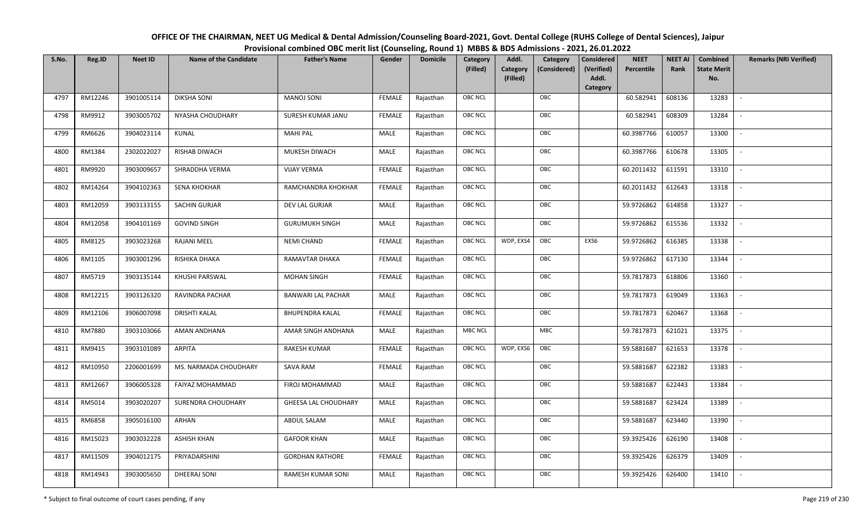| OFFICE OF THE CHAIRMAN, NEET UG Medical & Dental Admission/Counseling Board-2021, Govt. Dental College (RUHS College of Dental Sciences), Jaipur |
|--------------------------------------------------------------------------------------------------------------------------------------------------|
| Provisional combined OBC merit list (Counseling, Round 1) MBBS & BDS Admissions - 2021, 26.01.2022                                               |

| S.No. | Reg.ID  | <b>Neet ID</b> | <b>Name of the Candidate</b> | <b>Father's Name</b>        | Gender        | <b>Domicile</b> | Category       | Addl.                | Category     | <b>Considered</b>   | <b>NEET</b> | <b>NEET AI</b> | Combined                  | <b>Remarks (NRI Verified)</b> |
|-------|---------|----------------|------------------------------|-----------------------------|---------------|-----------------|----------------|----------------------|--------------|---------------------|-------------|----------------|---------------------------|-------------------------------|
|       |         |                |                              |                             |               |                 | (Filled)       | Category<br>(Filled) | (Considered) | (Verified)<br>Addl. | Percentile  | Rank           | <b>State Merit</b><br>No. |                               |
|       |         |                |                              |                             |               |                 |                |                      |              | Category            |             |                |                           |                               |
| 4797  | RM12246 | 3901005114     | <b>DIKSHA SONI</b>           | <b>MANOJ SONI</b>           | <b>FEMALE</b> | Rajasthan       | <b>OBC NCL</b> |                      | OBC          |                     | 60.582941   | 608136         | 13283                     | $\sim$                        |
| 4798  | RM9912  | 3903005702     | NYASHA CHOUDHARY             | <b>SURESH KUMAR JANU</b>    | <b>FEMALE</b> | Rajasthan       | OBC NCL        |                      | OBC          |                     | 60.582941   | 608309         | 13284                     |                               |
| 4799  | RM6626  | 3904023114     | KUNAL                        | <b>MAHI PAL</b>             | MALE          | Rajasthan       | <b>OBC NCL</b> |                      | OBC          |                     | 60.3987766  | 610057         | 13300                     | $\sim$                        |
| 4800  | RM1384  | 2302022027     | RISHAB DIWACH                | MUKESH DIWACH               | <b>MALE</b>   | Rajasthan       | <b>OBC NCL</b> |                      | OBC          |                     | 60.3987766  | 610678         | 13305                     | $\overline{\phantom{a}}$      |
| 4801  | RM9920  | 3903009657     | SHRADDHA VERMA               | <b>VIJAY VERMA</b>          | <b>FEMALE</b> | Rajasthan       | OBC NCL        |                      | OBC          |                     | 60.2011432  | 611591         | 13310                     | $\sim$                        |
| 4802  | RM14264 | 3904102363     | <b>SENA KHOKHAR</b>          | RAMCHANDRA KHOKHAR          | <b>FEMALE</b> | Rajasthan       | <b>OBC NCL</b> |                      | OBC          |                     | 60.2011432  | 612643         | 13318                     | $\overline{\phantom{a}}$      |
| 4803  | RM12059 | 3903133155     | SACHIN GURJAR                | DEV LAL GURJAR              | MALE          | Rajasthan       | OBC NCL        |                      | OBC          |                     | 59.9726862  | 614858         | 13327                     | $\overline{\phantom{a}}$      |
| 4804  | RM12058 | 3904101169     | <b>GOVIND SINGH</b>          | <b>GURUMUKH SINGH</b>       | <b>MALE</b>   | Rajasthan       | <b>OBC NCL</b> |                      | OBC          |                     | 59.9726862  | 615536         | 13332                     |                               |
| 4805  | RM8125  | 3903023268     | <b>RAJANI MEEL</b>           | <b>NEMI CHAND</b>           | <b>FEMALE</b> | Rajasthan       | OBC NCL        | WDP, EXS4<br>OBC     |              | EXS6                | 59.9726862  | 616385         | 13338                     |                               |
| 4806  | RM1105  | 3903001296     | RISHIKA DHAKA                | RAMAVTAR DHAKA              | <b>FEMALE</b> | Rajasthan       | <b>OBC NCL</b> |                      | OBC          |                     | 59.9726862  | 617130         | 13344                     | $\sim$                        |
| 4807  | RM5719  | 3903135144     | KHUSHI PARSWAL               | <b>MOHAN SINGH</b>          | <b>FEMALE</b> | Rajasthan       | <b>OBC NCL</b> |                      | OBC          |                     | 59.7817873  | 618806         | 13360                     |                               |
| 4808  | RM12215 | 3903126320     | RAVINDRA PACHAR              | <b>BANWARI LAL PACHAR</b>   | MALE          | Rajasthan       | <b>OBC NCL</b> |                      | OBC          |                     | 59.7817873  | 619049         | 13363                     | $\sim$                        |
| 4809  | RM12106 | 3906007098     | <b>DRISHTI KALAL</b>         | <b>BHUPENDRA KALAL</b>      | <b>FEMALE</b> | Rajasthan       | OBC NCL        |                      | OBC          |                     | 59.7817873  | 620467         | 13368                     |                               |
| 4810  | RM7880  | 3903103066     | AMAN ANDHANA                 | AMAR SINGH ANDHANA          | MALE          | Rajasthan       | <b>MBC NCL</b> |                      | <b>MBC</b>   |                     | 59.7817873  | 621021         | 13375                     | $\overline{\phantom{a}}$      |
| 4811  | RM9415  | 3903101089     | <b>ARPITA</b>                | <b>RAKESH KUMAR</b>         | <b>FEMALE</b> | Rajasthan       | <b>OBC NCL</b> | WDP, EXS6<br>OBC     |              |                     | 59.5881687  | 621653         | 13378                     | $\overline{\phantom{a}}$      |
| 4812  | RM10950 | 2206001699     | MS. NARMADA CHOUDHARY        | SAVA RAM                    | <b>FEMALE</b> | Rajasthan       | OBC NCL        |                      | OBC          |                     | 59.5881687  | 622382         | 13383                     | $\overline{\phantom{a}}$      |
| 4813  | RM12667 | 3906005328     | FAIYAZ MOHAMMAD              | FIROJ MOHAMMAD              | MALE          | Rajasthan       | OBC NCL        |                      | OBC          |                     | 59.5881687  | 622443         | 13384                     | $\overline{\phantom{a}}$      |
| 4814  | RM5014  | 3903020207     | SURENDRA CHOUDHARY           | <b>GHEESA LAL CHOUDHARY</b> | <b>MALE</b>   | Rajasthan       | OBC NCL        |                      | OBC          |                     | 59.5881687  | 623424         | 13389                     |                               |
| 4815  | RM6858  | 3905016100     | ARHAN                        | ABDUL SALAM                 | <b>MALE</b>   | Rajasthan       | OBC NCL        |                      | OBC          |                     | 59.5881687  | 623440         | 13390                     |                               |
| 4816  | RM15023 | 3903032228     | <b>ASHISH KHAN</b>           | <b>GAFOOR KHAN</b>          | <b>MALE</b>   | Rajasthan       | <b>OBC NCL</b> |                      | OBC          |                     | 59.3925426  | 626190         | 13408                     |                               |
| 4817  | RM11509 | 3904012175     | PRIYADARSHINI                | <b>GORDHAN RATHORE</b>      | <b>FEMALE</b> | Rajasthan       | <b>OBC NCL</b> |                      | OBC          |                     | 59.3925426  | 626379         | 13409                     |                               |
| 4818  | RM14943 | 3903005650     | DHEERAJ SONI                 | <b>RAMESH KUMAR SONI</b>    | MALE          | Rajasthan       | OBC NCL        |                      | OBC          |                     | 59.3925426  | 626400         | 13410                     | $\mathbb{L}$                  |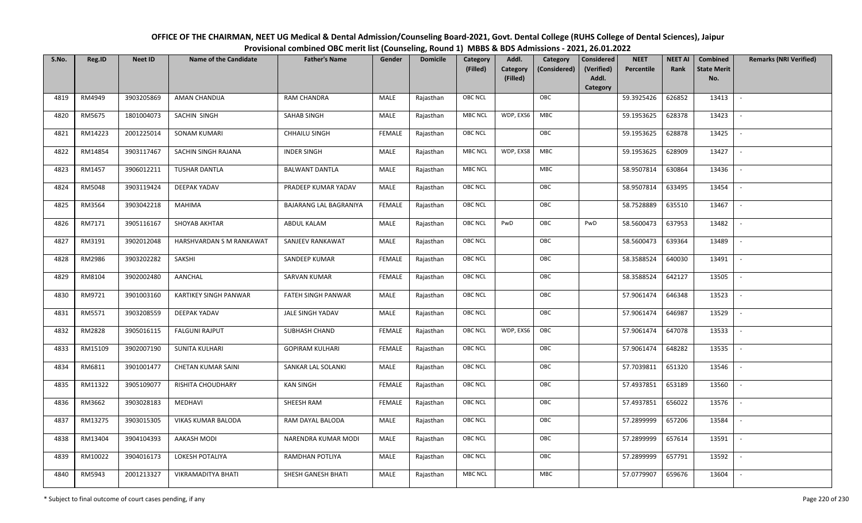| OFFICE OF THE CHAIRMAN, NEET UG Medical & Dental Admission/Counseling Board-2021, Govt. Dental College (RUHS College of Dental Sciences), Jaipur |
|--------------------------------------------------------------------------------------------------------------------------------------------------|
| Provisional combined OBC merit list (Counseling, Round 1) MBBS & BDS Admissions - 2021, 26.01.2022                                               |

| S.No. | Reg.ID  | <b>Neet ID</b> | <b>Name of the Candidate</b> | <b>Father's Name</b>   | Gender        | <b>Domicile</b> | Category<br>(Filled) | Addl.<br>Category | Category<br>(Considered) | <b>Considered</b><br>(Verified) | <b>NEET</b><br>Percentile | <b>NEET AI</b><br>Rank | Combined<br><b>State Merit</b> | <b>Remarks (NRI Verified)</b> |
|-------|---------|----------------|------------------------------|------------------------|---------------|-----------------|----------------------|-------------------|--------------------------|---------------------------------|---------------------------|------------------------|--------------------------------|-------------------------------|
|       |         |                |                              |                        |               |                 |                      | (Filled)          |                          | Addl.<br>Category               |                           |                        | No.                            |                               |
| 4819  | RM4949  | 3903205869     | AMAN CHANDIJA                | <b>RAM CHANDRA</b>     | MALE          | Rajasthan       | OBC NCL              |                   | OBC                      |                                 | 59.3925426                | 626852                 | 13413                          | $\overline{\phantom{a}}$      |
| 4820  | RM5675  | 1801004073     | SACHIN SINGH                 | SAHAB SINGH            | <b>MALE</b>   | Rajasthan       | <b>MBC NCL</b>       | WDP, EXS6         | <b>MBC</b>               |                                 | 59.1953625                | 628378                 | 13423                          |                               |
| 4821  | RM14223 | 2001225014     | SONAM KUMARI                 | <b>CHHAILU SINGH</b>   | <b>FEMALE</b> | Rajasthan       | OBC NCL              |                   | OBC                      |                                 | 59.1953625                | 628878                 | 13425                          |                               |
| 4822  | RM14854 | 3903117467     | SACHIN SINGH RAJANA          | <b>INDER SINGH</b>     | MALE          | Rajasthan       | <b>MBC NCL</b>       | WDP, EXS8         | MBC                      |                                 | 59.1953625                | 628909                 | 13427                          | $\sim$                        |
| 4823  | RM1457  | 3906012211     | TUSHAR DANTLA                | <b>BALWANT DANTLA</b>  | MALE          | Rajasthan       | <b>MBC NCL</b>       |                   | <b>MBC</b>               |                                 | 58.9507814                | 630864                 | 13436                          | $\sim$                        |
| 4824  | RM5048  | 3903119424     | DEEPAK YADAV                 | PRADEEP KUMAR YADAV    | MALE          | Rajasthan       | <b>OBC NCL</b>       |                   | OBC                      |                                 | 58.9507814                | 633495                 | 13454                          | $\overline{\phantom{a}}$      |
| 4825  | RM3564  | 3903042218     | MAHIMA                       | BAJARANG LAL BAGRANIYA | <b>FEMALE</b> | Rajasthan       | <b>OBC NCL</b>       |                   | OBC                      |                                 | 58.7528889                | 635510                 | 13467                          |                               |
| 4826  | RM7171  | 3905116167     | SHOYAB AKHTAR                | ABDUL KALAM            | MALE          | Rajasthan       | <b>OBC NCL</b>       | PwD               | OBC                      | PwD                             | 58.5600473                | 637953                 | 13482                          |                               |
| 4827  | RM3191  | 3902012048     | HARSHVARDAN S M RANKAWAT     | SANJEEV RANKAWAT       | MALE          | Rajasthan       | OBC NCL              |                   | OBC                      |                                 | 58.5600473                | 639364                 | 13489                          |                               |
| 4828  | RM2986  | 3903202282     | SAKSHI                       | SANDEEP KUMAR          | <b>FEMALE</b> | Rajasthan       | OBC NCL              |                   | OBC                      |                                 | 58.3588524                | 640030                 | 13491                          |                               |
| 4829  | RM8104  | 3902002480     | AANCHAL                      | SARVAN KUMAR           | <b>FEMALE</b> | Rajasthan       | <b>OBC NCL</b>       |                   | OBC                      |                                 | 58.3588524                | 642127                 | 13505                          |                               |
| 4830  | RM9721  | 3901003160     | KARTIKEY SINGH PANWAR        | FATEH SINGH PANWAR     | MALE          | Rajasthan       | OBC NCL              |                   | OBC                      |                                 | 57.9061474                | 646348                 | 13523                          | $\overline{\phantom{a}}$      |
| 4831  | RM5571  | 3903208559     | DEEPAK YADAV                 | JALE SINGH YADAV       | MALE          | Rajasthan       | OBC NCL              |                   | OBC                      |                                 | 57.9061474                | 646987                 | 13529                          |                               |
| 4832  | RM2828  | 3905016115     | <b>FALGUNI RAJPUT</b>        | SUBHASH CHAND          | <b>FEMALE</b> | Rajasthan       | OBC NCL              | WDP, EXS6         | OBC                      |                                 | 57.9061474                | 647078                 | 13533                          | $\sim$                        |
| 4833  | RM15109 | 3902007190     | SUNITA KULHARI               | <b>GOPIRAM KULHARI</b> | FEMALE        | Rajasthan       | OBC NCL              |                   | OBC                      |                                 | 57.9061474                | 648282                 | 13535                          | $\overline{\phantom{a}}$      |
| 4834  | RM6811  | 3901001477     | CHETAN KUMAR SAINI           | SANKAR LAL SOLANKI     | MALE          | Rajasthan       | <b>OBC NCL</b>       |                   | OBC                      |                                 | 57.7039811                | 651320                 | 13546                          |                               |
| 4835  | RM11322 | 3905109077     | RISHITA CHOUDHARY            | <b>KAN SINGH</b>       | <b>FEMALE</b> | Rajasthan       | OBC NCL              |                   | OBC                      |                                 | 57.4937851                | 653189                 | 13560                          | $\sim$                        |
| 4836  | RM3662  | 3903028183     | MEDHAVI                      | SHEESH RAM             | <b>FEMALE</b> | Rajasthan       | <b>OBC NCL</b>       |                   | OBC                      |                                 | 57.4937851                | 656022                 | 13576                          |                               |
| 4837  | RM13275 | 3903015305     | VIKAS KUMAR BALODA           | RAM DAYAL BALODA       | MALE          | Rajasthan       | OBC NCL              |                   | OBC                      |                                 | 57.2899999                | 657206                 | 13584                          |                               |
| 4838  | RM13404 | 3904104393     | AAKASH MODI                  | NARENDRA KUMAR MODI    | MALE          | Rajasthan       | OBC NCL              |                   | OBC                      |                                 | 57.2899999                | 657614                 | 13591                          |                               |
| 4839  | RM10022 | 3904016173     | LOKESH POTALIYA              | RAMDHAN POTLIYA        | MALE          | Rajasthan       | <b>OBC NCL</b>       |                   | OBC                      |                                 | 57.2899999                | 657791                 | 13592                          |                               |
| 4840  | RM5943  | 2001213327     | <b>VIKRAMADITYA BHATI</b>    | SHESH GANESH BHATI     | MALE          | Rajasthan       | <b>MBC NCL</b>       |                   | <b>MBC</b>               |                                 | 57.0779907                | 659676                 | 13604                          |                               |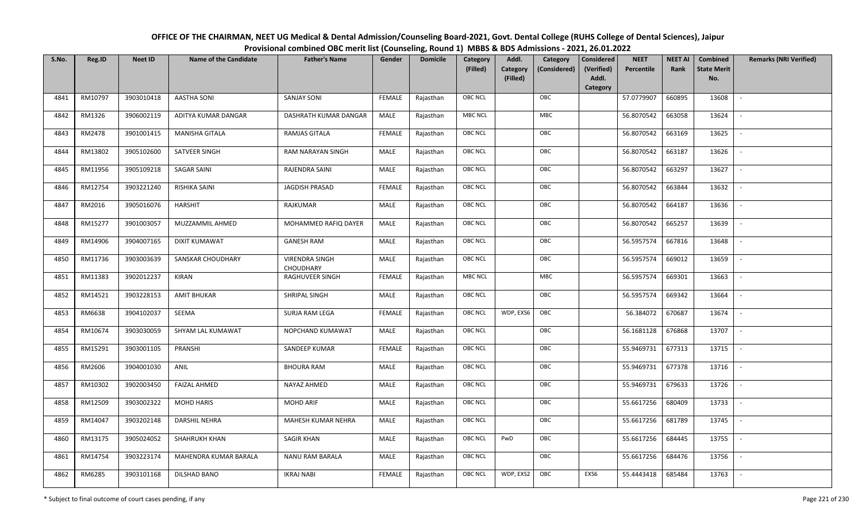| OFFICE OF THE CHAIRMAN, NEET UG Medical & Dental Admission/Counseling Board-2021, Govt. Dental College (RUHS College of Dental Sciences), Jaipur |
|--------------------------------------------------------------------------------------------------------------------------------------------------|
| Provisional combined OBC merit list (Counseling, Round 1) MBBS & BDS Admissions - 2021, 26.01.2022                                               |

| S.No. | Reg.ID  | <b>Neet ID</b> | <b>Name of the Candidate</b> | <b>Father's Name</b>               | Gender        | <b>Domicile</b> | Category       | Addl.<br>Category                    | <b>Considered</b>   | <b>NEET</b> | <b>NEET AI</b> | <b>Combined</b>           | <b>Remarks (NRI Verified)</b> |
|-------|---------|----------------|------------------------------|------------------------------------|---------------|-----------------|----------------|--------------------------------------|---------------------|-------------|----------------|---------------------------|-------------------------------|
|       |         |                |                              |                                    |               |                 | (Filled)       | Category<br>(Considered)<br>(Filled) | (Verified)<br>Addl. | Percentile  | Rank           | <b>State Merit</b><br>No. |                               |
|       |         |                |                              |                                    |               |                 |                |                                      | Category            |             |                |                           |                               |
| 4841  | RM10797 | 3903010418     | <b>AASTHA SONI</b>           | <b>SANJAY SONI</b>                 | <b>FEMALE</b> | Rajasthan       | <b>OBC NCL</b> | OBC                                  |                     | 57.0779907  | 660895         | 13608                     | $\blacksquare$                |
| 4842  | RM1326  | 3906002119     | ADITYA KUMAR DANGAR          | DASHRATH KUMAR DANGAR              | MALE          | Rajasthan       | <b>MBC NCL</b> | MBC                                  |                     | 56.8070542  | 663058         | 13624                     |                               |
| 4843  | RM2478  | 3901001415     | <b>MANISHA GITALA</b>        | <b>RAMJAS GITALA</b>               | <b>FEMALE</b> | Rajasthan       | <b>OBC NCL</b> | OBC                                  |                     | 56.8070542  | 663169         | 13625                     |                               |
| 4844  | RM13802 | 3905102600     | SATVEER SINGH                | RAM NARAYAN SINGH                  | MALE          | Rajasthan       | <b>OBC NCL</b> | OBC                                  |                     | 56.8070542  | 663187         | 13626                     | $\overline{\phantom{a}}$      |
| 4845  | RM11956 | 3905109218     | <b>SAGAR SAINI</b>           | RAJENDRA SAINI                     | MALE          | Rajasthan       | <b>OBC NCL</b> | OBC                                  |                     | 56.8070542  | 663297         | 13627                     | $\sim$                        |
| 4846  | RM12754 | 3903221240     | RISHIKA SAINI                | JAGDISH PRASAD                     | <b>FEMALE</b> | Rajasthan       | OBC NCL        | OBC                                  |                     | 56.8070542  | 663844         | 13632                     | $\overline{\phantom{a}}$      |
| 4847  | RM2016  | 3905016076     | <b>HARSHIT</b>               | RAJKUMAR                           | MALE          | Rajasthan       | OBC NCL        | OBC                                  |                     | 56.8070542  | 664187         | 13636                     | $\sim$                        |
| 4848  | RM15277 | 3901003057     | MUZZAMMIL AHMED              | MOHAMMED RAFIQ DAYER               | MALE          | Rajasthan       | OBC NCL        | OBC                                  |                     | 56.8070542  | 665257         | 13639                     | $\overline{\phantom{a}}$      |
| 4849  | RM14906 | 3904007165     | <b>DIXIT KUMAWAT</b>         | <b>GANESH RAM</b>                  | <b>MALE</b>   | Rajasthan       | OBC NCL        | OBC                                  |                     | 56.5957574  | 667816         | 13648                     |                               |
| 4850  | RM11736 | 3903003639     | SANSKAR CHOUDHARY            | <b>VIRENDRA SINGH</b><br>CHOUDHARY | <b>MALE</b>   | Rajasthan       | OBC NCL        | OBC                                  |                     | 56.5957574  | 669012         | 13659                     | $\overline{\phantom{a}}$      |
| 4851  | RM11383 | 3902012237     | <b>KIRAN</b>                 | RAGHUVEER SINGH                    | <b>FEMALE</b> | Rajasthan       | <b>MBC NCL</b> | MBC                                  |                     | 56.5957574  | 669301         | 13663                     |                               |
| 4852  | RM14521 | 3903228153     | <b>AMIT BHUKAR</b>           | SHRIPAL SINGH                      | MALE          | Rajasthan       | <b>OBC NCL</b> | OBC                                  |                     | 56.5957574  | 669342         | 13664                     | $\sim$                        |
| 4853  | RM6638  | 3904102037     | SEEMA                        | <b>SURJA RAM LEGA</b>              | <b>FEMALE</b> | Rajasthan       | <b>OBC NCL</b> | OBC<br>WDP, EXS6                     |                     | 56.384072   | 670687         | 13674                     |                               |
| 4854  | RM10674 | 3903030059     | SHYAM LAL KUMAWAT            | NOPCHAND KUMAWAT                   | MALE          | Rajasthan       | <b>OBC NCL</b> | OBC                                  |                     | 56.1681128  | 676868         | 13707                     | $\sim$                        |
| 4855  | RM15291 | 3903001105     | PRANSHI                      | SANDEEP KUMAR                      | <b>FEMALE</b> | Rajasthan       | <b>OBC NCL</b> | OBC                                  |                     | 55.9469731  | 677313         | 13715                     | $\overline{\phantom{a}}$      |
| 4856  | RM2606  | 3904001030     | ANIL                         | <b>BHOURA RAM</b>                  | MALE          | Rajasthan       | <b>OBC NCL</b> | OBC                                  |                     | 55.9469731  | 677378         | 13716                     | $\sim$                        |
| 4857  | RM10302 | 3902003450     | <b>FAIZAL AHMED</b>          | NAYAZ AHMED                        | MALE          | Rajasthan       | <b>OBC NCL</b> | OBC                                  |                     | 55.9469731  | 679633         | 13726                     | $\sim$                        |
| 4858  | RM12509 | 3903002322     | <b>MOHD HARIS</b>            | <b>MOHD ARIF</b>                   | <b>MALE</b>   | Rajasthan       | <b>OBC NCL</b> | OBC                                  |                     | 55.6617256  | 680409         | 13733                     | $\overline{\phantom{a}}$      |
| 4859  | RM14047 | 3903202148     | <b>DARSHIL NEHRA</b>         | MAHESH KUMAR NEHRA                 | MALE          | Rajasthan       | OBC NCL        | OBC                                  |                     | 55.6617256  | 681789         | 13745                     |                               |
| 4860  | RM13175 | 3905024052     | <b>SHAHRUKH KHAN</b>         | <b>SAGIR KHAN</b>                  | MALE          | Rajasthan       | <b>OBC NCL</b> | PwD<br>OBC                           |                     | 55.6617256  | 684445         | 13755                     |                               |
| 4861  | RM14754 | 3903223174     | MAHENDRA KUMAR BARALA        | <b>NANU RAM BARALA</b>             | <b>MALE</b>   | Rajasthan       | <b>OBC NCL</b> | OBC                                  |                     | 55.6617256  | 684476         | 13756                     | $\overline{\phantom{a}}$      |
| 4862  | RM6285  | 3903101168     | <b>DILSHAD BANO</b>          | <b>IKRAJ NABI</b>                  | FEMALE        | Rajasthan       | <b>OBC NCL</b> | OBC<br>WDP, EXS2                     | EXS6                | 55.4443418  | 685484         | 13763                     |                               |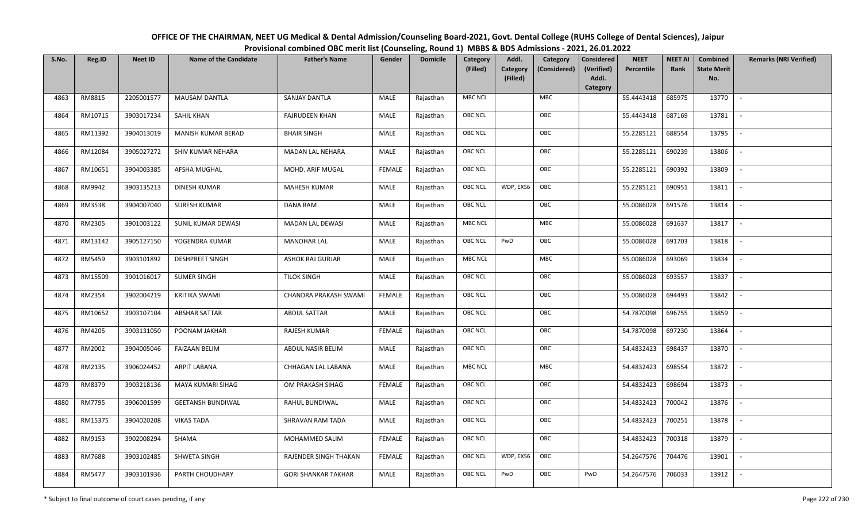| OFFICE OF THE CHAIRMAN, NEET UG Medical & Dental Admission/Counseling Board-2021, Govt. Dental College (RUHS College of Dental Sciences), Jaipur |
|--------------------------------------------------------------------------------------------------------------------------------------------------|
| Provisional combined OBC merit list (Counseling, Round 1) MBBS & BDS Admissions - 2021, 26.01.2022                                               |

| S.No. | Reg.ID  | <b>Neet ID</b> | <b>Name of the Candidate</b> | <b>Father's Name</b>       | Gender        | <b>Domicile</b> | <b>Category</b> | Addl.                | Category     | <b>Considered</b>   | <b>NEET</b> | <b>NEET AI</b> | Combined                  | <b>Remarks (NRI Verified)</b> |
|-------|---------|----------------|------------------------------|----------------------------|---------------|-----------------|-----------------|----------------------|--------------|---------------------|-------------|----------------|---------------------------|-------------------------------|
|       |         |                |                              |                            |               |                 | (Filled)        | Category<br>(Filled) | (Considered) | (Verified)<br>Addl. | Percentile  | Rank           | <b>State Merit</b><br>No. |                               |
|       |         |                |                              |                            |               |                 |                 |                      |              | Category            |             |                |                           |                               |
| 4863  | RM8815  | 2205001577     | MAUSAM DANTLA                | SANJAY DANTLA              | MALE          | Rajasthan       | <b>MBC NCL</b>  |                      | <b>MBC</b>   |                     | 55.4443418  | 685975         | 13770                     | $\overline{\phantom{a}}$      |
| 4864  | RM10715 | 3903017234     | SAHIL KHAN                   | <b>FAJRUDEEN KHAN</b>      | MALE          | Rajasthan       | <b>OBC NCL</b>  |                      | OBC          |                     | 55.4443418  | 687169         | 13781                     |                               |
| 4865  | RM11392 | 3904013019     | MANISH KUMAR BERAD           | <b>BHAIR SINGH</b>         | MALE          | Rajasthan       | <b>OBC NCL</b>  |                      | OBC          |                     | 55.2285121  | 688554         | 13795                     | $\blacksquare$                |
| 4866  | RM12084 | 3905027272     | SHIV KUMAR NEHARA            | MADAN LAL NEHARA           | MALE          | Rajasthan       | OBC NCL         |                      | OBC          |                     | 55.2285121  | 690239         | 13806                     | $\overline{\phantom{a}}$      |
| 4867  | RM10651 | 3904003385     | AFSHA MUGHAL                 | MOHD. ARIF MUGAL           | <b>FEMALE</b> | Rajasthan       | <b>OBC NCL</b>  |                      | OBC          |                     | 55.2285121  | 690392         | 13809                     | $\sim$                        |
| 4868  | RM9942  | 3903135213     | <b>DINESH KUMAR</b>          | <b>MAHESH KUMAR</b>        | MALE          | Rajasthan       | <b>OBC NCL</b>  | WDP, EXS6            | OBC          |                     | 55.2285121  | 690951         | 13811                     | $\overline{\phantom{a}}$      |
| 4869  | RM3538  | 3904007040     | <b>SURESH KUMAR</b>          | <b>DANA RAM</b>            | MALE          | Rajasthan       | <b>OBC NCL</b>  |                      | OBC          |                     | 55.0086028  | 691576         | 13814                     | $\sim$                        |
| 4870  | RM2305  | 3901003122     | SUNIL KUMAR DEWASI           | MADAN LAL DEWASI           | MALE          | Rajasthan       | <b>MBC NCL</b>  |                      | MBC          |                     | 55.0086028  | 691637         | 13817                     | $\sim$                        |
| 4871  | RM13142 | 3905127150     | YOGENDRA KUMAR               | <b>MANOHAR LAL</b>         | MALE          | Rajasthan       | OBC NCL         | PwD                  | OBC          |                     | 55.0086028  | 691703         | 13818                     |                               |
| 4872  | RM5459  | 3903101892     | <b>DESHPREET SINGH</b>       | ASHOK RAJ GURJAR           | MALE          | Rajasthan       | <b>MBC NCL</b>  |                      | ${\sf MBC}$  |                     | 55.0086028  | 693069         | 13834                     | $\sim$                        |
| 4873  | RM15509 | 3901016017     | <b>SUMER SINGH</b>           | <b>TILOK SINGH</b>         | MALE          | Rajasthan       | <b>OBC NCL</b>  |                      | OBC          |                     | 55.0086028  | 693557         | 13837                     |                               |
| 4874  | RM2354  | 3902004219     | <b>KRITIKA SWAMI</b>         | CHANDRA PRAKASH SWAMI      | <b>FEMALE</b> | Rajasthan       | <b>OBC NCL</b>  |                      | OBC          |                     | 55.0086028  | 694493         | 13842                     | $\sim$                        |
| 4875  | RM10652 | 3903107104     | <b>ABSHAR SATTAR</b>         | <b>ABDUL SATTAR</b>        | MALE          | Rajasthan       | <b>OBC NCL</b>  |                      | OBC          |                     | 54.7870098  | 696755         | 13859                     |                               |
| 4876  | RM4205  | 3903131050     | POONAM JAKHAR                | RAJESH KUMAR               | <b>FEMALE</b> | Rajasthan       | OBC NCL         |                      | OBC          |                     | 54.7870098  | 697230         | 13864                     |                               |
| 4877  | RM2002  | 3904005046     | <b>FAIZAAN BELIM</b>         | ABDUL NASIR BELIM          | MALE          | Rajasthan       | <b>OBC NCL</b>  |                      | OBC          |                     | 54.4832423  | 698437         | 13870                     | $\overline{\phantom{a}}$      |
| 4878  | RM2135  | 3906024452     | ARPIT LABANA                 | CHHAGAN LAL LABANA         | MALE          | Rajasthan       | <b>MBC NCL</b>  |                      | <b>MBC</b>   |                     | 54.4832423  | 698554         | 13872                     | $\overline{\phantom{a}}$      |
| 4879  | RM8379  | 3903218136     | MAYA KUMARI SIHAG            | OM PRAKASH SIHAG           | <b>FEMALE</b> | Rajasthan       | <b>OBC NCL</b>  |                      | OBC          |                     | 54.4832423  | 698694         | 13873                     | $\sim$                        |
| 4880  | RM7795  | 3906001599     | <b>GEETANSH BUNDIWAL</b>     | RAHUL BUNDIWAL             | MALE          | Rajasthan       | OBC NCL         |                      | OBC          |                     | 54.4832423  | 700042         | 13876                     | $\overline{\phantom{a}}$      |
| 4881  | RM15375 | 3904020208     | <b>VIKAS TADA</b>            | SHRAVAN RAM TADA           | MALE          | Rajasthan       | <b>OBC NCL</b>  |                      | OBC          |                     | 54.4832423  | 700251         | 13878                     |                               |
| 4882  | RM9153  | 3902008294     | SHAMA                        | MOHAMMED SALIM             | <b>FEMALE</b> | Rajasthan       | OBC NCL         |                      | OBC          |                     | 54.4832423  | 700318         | 13879                     |                               |
| 4883  | RM7688  | 3903102485     | SHWETA SINGH                 | RAJENDER SINGH THAKAN      | <b>FEMALE</b> | Rajasthan       | <b>OBC NCL</b>  | WDP, EXS6            | OBC          |                     | 54.2647576  | 704476         | 13901                     | $\overline{\phantom{a}}$      |
| 4884  | RM5477  | 3903101936     | PARTH CHOUDHARY              | <b>GORI SHANKAR TAKHAR</b> | MALE          | Rajasthan       | <b>OBC NCL</b>  | PwD                  | OBC          | PwD                 | 54.2647576  | 706033         | 13912                     |                               |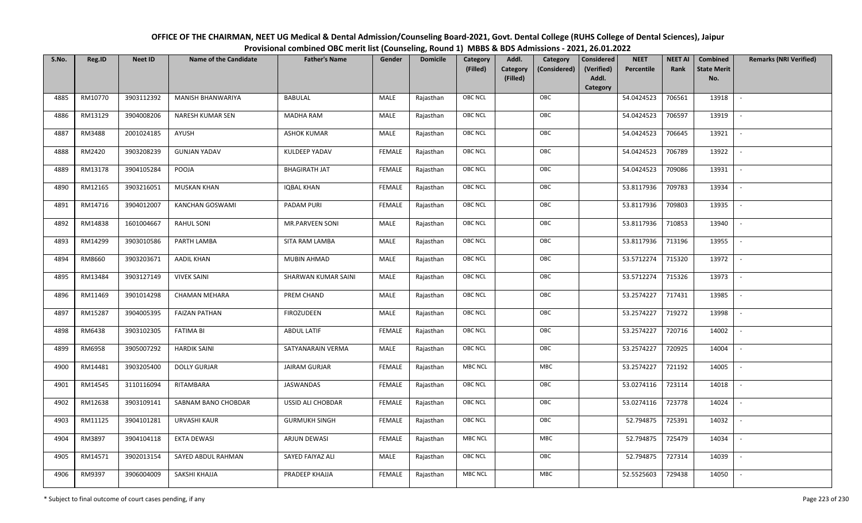| OFFICE OF THE CHAIRMAN, NEET UG Medical & Dental Admission/Counseling Board-2021, Govt. Dental College (RUHS College of Dental Sciences), Jaipur |
|--------------------------------------------------------------------------------------------------------------------------------------------------|
| Provisional combined OBC merit list (Counseling, Round 1) MBBS & BDS Admissions - 2021, 26.01.2022                                               |

| S.No. | Reg.ID  | <b>Neet ID</b> | <b>Name of the Candidate</b> | <b>Father's Name</b> | Gender        | <b>Domicile</b> | Category<br>(Filled) | Addl.<br>Category<br>(Filled) | Category<br>(Considered) | <b>Considered</b><br>(Verified)<br>Addl. | <b>NEET</b><br>Percentile | <b>NEET AI</b><br>Rank | Combined<br><b>State Merit</b><br>No. | <b>Remarks (NRI Verified)</b> |
|-------|---------|----------------|------------------------------|----------------------|---------------|-----------------|----------------------|-------------------------------|--------------------------|------------------------------------------|---------------------------|------------------------|---------------------------------------|-------------------------------|
|       |         |                |                              |                      |               |                 |                      |                               |                          | Category                                 |                           |                        |                                       |                               |
| 4885  | RM10770 | 3903112392     | <b>MANISH BHANWARIYA</b>     | <b>BABULAL</b>       | MALE          | Rajasthan       | OBC NCL              |                               | OBC                      |                                          | 54.0424523                | 706561                 | 13918                                 | $\sim$                        |
| 4886  | RM13129 | 3904008206     | NARESH KUMAR SEN             | MADHA RAM            | MALE          | Rajasthan       | OBC NCL              |                               | OBC                      |                                          | 54.0424523                | 706597                 | 13919                                 |                               |
| 4887  | RM3488  | 2001024185     | AYUSH                        | <b>ASHOK KUMAR</b>   | MALE          | Rajasthan       | <b>OBC NCL</b>       |                               | OBC                      |                                          | 54.0424523                | 706645                 | 13921                                 |                               |
| 4888  | RM2420  | 3903208239     | <b>GUNJAN YADAV</b>          | KULDEEP YADAV        | <b>FEMALE</b> | Rajasthan       | OBC NCL              |                               | OBC                      |                                          | 54.0424523                | 706789                 | 13922                                 | $\overline{\phantom{a}}$      |
| 4889  | RM13178 | 3904105284     | POOJA                        | <b>BHAGIRATH JAT</b> | <b>FEMALE</b> | Rajasthan       | OBC NCL              |                               | OBC                      |                                          | 54.0424523                | 709086                 | 13931                                 | $\sim$                        |
| 4890  | RM12165 | 3903216051     | <b>MUSKAN KHAN</b>           | <b>IQBAL KHAN</b>    | <b>FEMALE</b> | Rajasthan       | OBC NCL              |                               | OBC                      |                                          | 53.8117936                | 709783                 | 13934                                 | $\overline{\phantom{a}}$      |
| 4891  | RM14716 | 3904012007     | <b>KANCHAN GOSWAMI</b>       | PADAM PURI           | <b>FEMALE</b> | Rajasthan       | OBC NCL              |                               | OBC                      |                                          | 53.8117936                | 709803                 | 13935                                 | $\overline{\phantom{a}}$      |
| 4892  | RM14838 | 1601004667     | RAHUL SONI                   | MR.PARVEEN SONI      | MALE          | Rajasthan       | OBC NCL              |                               | OBC                      |                                          | 53.8117936                | 710853                 | 13940                                 |                               |
| 4893  | RM14299 | 3903010586     | PARTH LAMBA                  | SITA RAM LAMBA       | MALE          | Rajasthan       | OBC NCL              |                               | OBC                      |                                          | 53.8117936                | 713196                 | 13955                                 |                               |
| 4894  | RM8660  | 3903203671     | <b>AADIL KHAN</b>            | <b>MUBIN AHMAD</b>   | MALE          | Rajasthan       | OBC NCL              |                               | OBC                      |                                          | 53.5712274                | 715320                 | 13972                                 | $\overline{\phantom{a}}$      |
| 4895  | RM13484 | 3903127149     | <b>VIVEK SAINI</b>           | SHARWAN KUMAR SAINI  | MALE          | Rajasthan       | <b>OBC NCL</b>       |                               | OBC                      |                                          | 53.5712274                | 715326                 | 13973                                 |                               |
| 4896  | RM11469 | 3901014298     | <b>CHAMAN MEHARA</b>         | PREM CHAND           | MALE          | Rajasthan       | OBC NCL              |                               | OBC                      |                                          | 53.2574227                | 717431                 | 13985                                 |                               |
| 4897  | RM15287 | 3904005395     | <b>FAIZAN PATHAN</b>         | FIROZUDEEN           | MALE          | Rajasthan       | OBC NCL              |                               | OBC                      |                                          | 53.2574227                | 719272                 | 13998                                 |                               |
| 4898  | RM6438  | 3903102305     | <b>FATIMA BI</b>             | <b>ABDUL LATIF</b>   | <b>FEMALE</b> | Rajasthan       | OBC NCL              |                               | OBC                      |                                          | 53.2574227                | 720716                 | 14002                                 | $\sim$                        |
| 4899  | RM6958  | 3905007292     | <b>HARDIK SAINI</b>          | SATYANARAIN VERMA    | <b>MALE</b>   | Rajasthan       | OBC NCL              |                               | OBC                      |                                          | 53.2574227                | 720925                 | 14004                                 | $\sim$                        |
| 4900  | RM14481 | 3903205400     | <b>DOLLY GURJAR</b>          | <b>JAIRAM GURJAR</b> | <b>FEMALE</b> | Rajasthan       | <b>MBC NCL</b>       |                               | <b>MBC</b>               |                                          | 53.2574227                | 721192                 | 14005                                 | $\overline{\phantom{a}}$      |
| 4901  | RM14545 | 3110116094     | RITAMBARA                    | JASWANDAS            | <b>FEMALE</b> | Rajasthan       | OBC NCL              |                               | OBC                      |                                          | 53.0274116                | 723114                 | 14018                                 | $\overline{\phantom{a}}$      |
| 4902  | RM12638 | 3903109141     | SABNAM BANO CHOBDAR          | USSID ALI CHOBDAR    | <b>FEMALE</b> | Rajasthan       | OBC NCL              |                               | OBC                      |                                          | 53.0274116                | 723778                 | 14024                                 |                               |
| 4903  | RM11125 | 3904101281     | URVASHI KAUR                 | <b>GURMUKH SINGH</b> | <b>FEMALE</b> | Rajasthan       | OBC NCL              |                               | OBC                      |                                          | 52.794875                 | 725391                 | 14032                                 |                               |
| 4904  | RM3897  | 3904104118     | <b>EKTA DEWASI</b>           | ARJUN DEWASI         | <b>FEMALE</b> | Rajasthan       | <b>MBC NCL</b>       |                               | <b>MBC</b>               |                                          | 52.794875                 | 725479                 | 14034                                 | $\blacksquare$                |
| 4905  | RM14571 | 3902013154     | SAYED ABDUL RAHMAN           | SAYED FAIYAZ ALI     | <b>MALE</b>   | Rajasthan       | OBC NCL              |                               | OBC                      |                                          | 52.794875                 | 727314                 | 14039                                 |                               |
| 4906  | RM9397  | 3906004009     | SAKSHI KHAJJA                | PRADEEP KHAJJA       | <b>FEMALE</b> | Rajasthan       | <b>MBC NCL</b>       |                               | <b>MBC</b>               |                                          | 52.5525603                | 729438                 | 14050                                 |                               |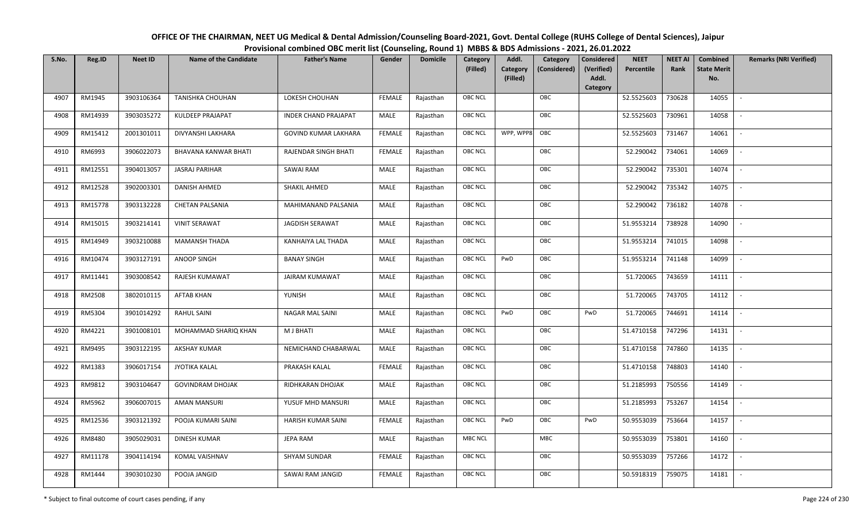OFFICE OF THE CHAIRMAN, NEET UG Medical & Dental Admission/Counseling Board-2021, Govt. Dental College (RUHS College of Dental Sciences), JaipurProvisional combined OBC merit list (Counseling, Round 1) MBBS & BDS Admissions - 2021, 26.01.2022

| S.No. | Reg.ID  | <b>Neet ID</b> | <b>Name of the Candidate</b> | <b>Father's Name</b>        | Gender        | <b>Domicile</b> | Category       | Addl.                | Category     | Considered          | <b>NEET</b> | <b>NEET AI</b> | Combined                  | <b>Remarks (NRI Verified)</b> |
|-------|---------|----------------|------------------------------|-----------------------------|---------------|-----------------|----------------|----------------------|--------------|---------------------|-------------|----------------|---------------------------|-------------------------------|
|       |         |                |                              |                             |               |                 | (Filled)       | Category<br>(Filled) | (Considered) | (Verified)<br>Addl. | Percentile  | Rank           | <b>State Merit</b><br>No. |                               |
|       |         |                |                              |                             |               |                 |                |                      |              | Category            |             |                |                           |                               |
| 4907  | RM1945  | 3903106364     | <b>TANISHKA CHOUHAN</b>      | LOKESH CHOUHAN              | <b>FEMALE</b> | Rajasthan       | OBC NCL        |                      | OBC          |                     | 52.5525603  | 730628         | 14055                     | $\sim$                        |
| 4908  | RM14939 | 3903035272     | <b>KULDEEP PRAJAPAT</b>      | <b>INDER CHAND PRAJAPAT</b> | MALE          | Rajasthan       | <b>OBC NCL</b> |                      | OBC          |                     | 52.5525603  | 730961         | 14058                     |                               |
| 4909  | RM15412 | 2001301011     | DIVYANSHI LAKHARA            | <b>GOVIND KUMAR LAKHARA</b> | <b>FEMALE</b> | Rajasthan       | OBC NCL        | WPP, WPP8            | OBC          |                     | 52.5525603  | 731467         | 14061                     | $\sim$                        |
| 4910  | RM6993  | 3906022073     | BHAVANA KANWAR BHATI         | RAJENDAR SINGH BHATI        | <b>FEMALE</b> | Rajasthan       | <b>OBC NCL</b> |                      | OBC          |                     | 52.290042   | 734061         | 14069                     |                               |
| 4911  | RM12551 | 3904013057     | <b>JASRAJ PARIHAR</b>        | SAWAI RAM                   | MALE          | Rajasthan       | OBC NCL        |                      | OBC          |                     | 52.290042   | 735301         | 14074                     | $\sim$                        |
| 4912  | RM12528 | 3902003301     | <b>DANISH AHMED</b>          | SHAKIL AHMED                | MALE          | Rajasthan       | <b>OBC NCL</b> |                      | OBC          |                     | 52.290042   | 735342         | 14075                     | $\sim$                        |
| 4913  | RM15778 | 3903132228     | <b>CHETAN PALSANIA</b>       | MAHIMANAND PALSANIA         | MALE          | Rajasthan       | OBC NCL        |                      | OBC          |                     | 52.290042   | 736182         | 14078                     | $\sim$                        |
| 4914  | RM15015 | 3903214141     | <b>VINIT SERAWAT</b>         | <b>JAGDISH SERAWAT</b>      | MALE          | Rajasthan       | OBC NCL        |                      | OBC          |                     | 51.9553214  | 738928         | 14090                     | $\blacksquare$                |
| 4915  | RM14949 | 3903210088     | <b>MAMANSH THADA</b>         | KANHAIYA LAL THADA          | MALE          | Rajasthan       | OBC NCL        |                      | OBC          |                     | 51.9553214  | 741015         | 14098                     |                               |
| 4916  | RM10474 | 3903127191     | ANOOP SINGH                  | <b>BANAY SINGH</b>          | MALE          | Rajasthan       | OBC NCL        | PwD                  | OBC          |                     | 51.9553214  | 741148         | 14099                     | $\sim$                        |
| 4917  | RM11441 | 3903008542     | RAJESH KUMAWAT               | <b>JAIRAM KUMAWAT</b>       | MALE          | Rajasthan       | <b>OBC NCL</b> |                      | OBC          |                     | 51.720065   | 743659         | 14111                     | $\overline{\phantom{a}}$      |
| 4918  | RM2508  | 3802010115     | <b>AFTAB KHAN</b>            | YUNISH                      | MALE          | Rajasthan       | <b>OBC NCL</b> |                      | OBC          |                     | 51.720065   | 743705         | 14112                     | $\sim$                        |
| 4919  | RM5304  | 3901014292     | <b>RAHUL SAINI</b>           | NAGAR MAL SAINI             | MALE          | Rajasthan       | OBC NCL        | PwD                  | OBC          | PwD                 | 51.720065   | 744691         | 14114                     |                               |
| 4920  | RM4221  | 3901008101     | MOHAMMAD SHARIQ KHAN         | M J BHATI                   | MALE          | Rajasthan       | <b>OBC NCL</b> |                      | OBC          |                     | 51.4710158  | 747296         | 14131                     | $\sim$                        |
| 4921  | RM9495  | 3903122195     | <b>AKSHAY KUMAR</b>          | NEMICHAND CHABARWAL         | MALE          | Rajasthan       | OBC NCL        |                      | OBC          |                     | 51.4710158  | 747860         | 14135                     | $\sim$                        |
| 4922  | RM1383  | 3906017154     | <b>JYOTIKA KALAL</b>         | PRAKASH KALAL               | <b>FEMALE</b> | Rajasthan       | <b>OBC NCL</b> |                      | OBC          |                     | 51.4710158  | 748803         | 14140                     | $\overline{\phantom{a}}$      |
| 4923  | RM9812  | 3903104647     | <b>GOVINDRAM DHOJAK</b>      | RIDHKARAN DHOJAK            | MALE          | Rajasthan       | <b>OBC NCL</b> |                      | OBC          |                     | 51.2185993  | 750556         | 14149                     | $\overline{\phantom{a}}$      |
| 4924  | RM5962  | 3906007015     | <b>AMAN MANSURI</b>          | YUSUF MHD MANSURI           | MALE          | Rajasthan       | OBC NCL        |                      | OBC          |                     | 51.2185993  | 753267         | 14154                     | $\sim$                        |
| 4925  | RM12536 | 3903121392     | POOJA KUMARI SAINI           | <b>HARISH KUMAR SAINI</b>   | <b>FEMALE</b> | Rajasthan       | <b>OBC NCL</b> | PwD                  | OBC          | PwD                 | 50.9553039  | 753664         | 14157                     | $\blacksquare$                |
| 4926  | RM8480  | 3905029031     | <b>DINESH KUMAR</b>          | <b>JEPA RAM</b>             | MALE          | Rajasthan       | <b>MBC NCL</b> |                      | <b>MBC</b>   |                     | 50.9553039  | 753801         | 14160                     | $\overline{\phantom{a}}$      |
| 4927  | RM11178 | 3904114194     | KOMAL VAISHNAV               | <b>SHYAM SUNDAR</b>         | <b>FEMALE</b> | Rajasthan       | <b>OBC NCL</b> |                      | OBC          |                     | 50.9553039  | 757266         | 14172                     | $\sim$                        |
| 4928  | RM1444  | 3903010230     | POOJA JANGID                 | SAWAI RAM JANGID            | <b>FEMALE</b> | Rajasthan       | OBC NCL        |                      | OBC          |                     | 50.5918319  | 759075         | 14181                     | $\mathbb{L}$                  |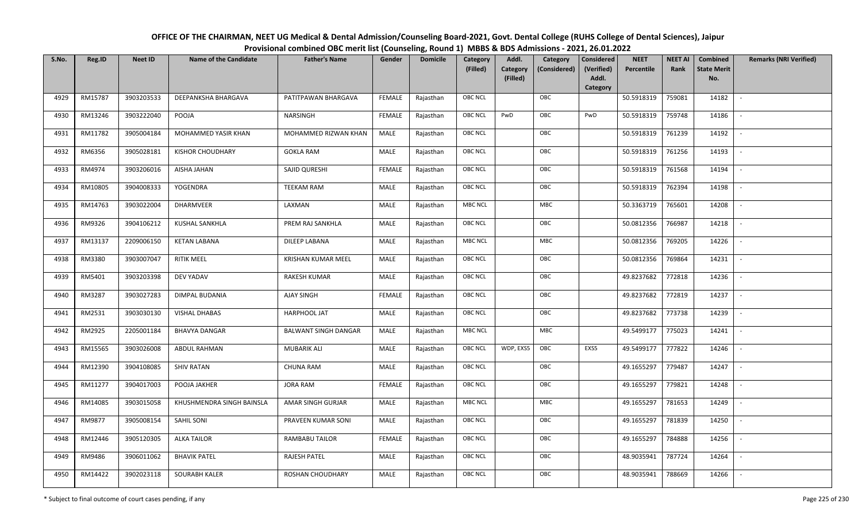| OFFICE OF THE CHAIRMAN, NEET UG Medical & Dental Admission/Counseling Board-2021, Govt. Dental College (RUHS College of Dental Sciences), Jaipur |
|--------------------------------------------------------------------------------------------------------------------------------------------------|
| Provisional combined OBC merit list (Counseling, Round 1) MBBS & BDS Admissions - 2021, 26.01.2022                                               |

| S.No. | Reg.ID  | <b>Neet ID</b> | <b>Name of the Candidate</b> | <b>Father's Name</b>        | Gender        | <b>Domicile</b> | Category<br>(Filled) | Addl.<br><b>Category</b> | Category<br>(Considered) | <b>Considered</b><br>(Verified)<br>Addl. | <b>NEET</b><br>Percentile | <b>NEET AI</b><br>Rank | Combined<br><b>State Merit</b><br>No. | <b>Remarks (NRI Verified)</b> |
|-------|---------|----------------|------------------------------|-----------------------------|---------------|-----------------|----------------------|--------------------------|--------------------------|------------------------------------------|---------------------------|------------------------|---------------------------------------|-------------------------------|
|       |         |                |                              |                             |               |                 |                      | (Filled)                 |                          | Category                                 |                           |                        |                                       |                               |
| 4929  | RM15787 | 3903203533     | DEEPANKSHA BHARGAVA          | PATITPAWAN BHARGAVA         | <b>FEMALE</b> | Rajasthan       | <b>OBC NCL</b>       |                          | OBC                      |                                          | 50.5918319                | 759081                 | 14182                                 | $\sim$                        |
| 4930  | RM13246 | 3903222040     | POOJA                        | NARSINGH                    | <b>FEMALE</b> | Rajasthan       | OBC NCL              | PwD                      | OBC                      | PwD                                      | 50.5918319                | 759748                 | 14186                                 |                               |
| 4931  | RM11782 | 3905004184     | MOHAMMED YASIR KHAN          | MOHAMMED RIZWAN KHAN        | MALE          | Rajasthan       | <b>OBC NCL</b>       |                          | OBC                      |                                          | 50.5918319                | 761239                 | 14192                                 |                               |
| 4932  | RM6356  | 3905028181     | <b>KISHOR CHOUDHARY</b>      | <b>GOKLA RAM</b>            | MALE          | Rajasthan       | OBC NCL              |                          | OBC                      |                                          | 50.5918319                | 761256                 | 14193                                 | $\overline{\phantom{a}}$      |
| 4933  | RM4974  | 3903206016     | AISHA JAHAN                  | SAJID QURESHI               | <b>FEMALE</b> | Rajasthan       | <b>OBC NCL</b>       |                          | OBC                      |                                          | 50.5918319                | 761568                 | 14194                                 | $\sim$                        |
| 4934  | RM10805 | 3904008333     | YOGENDRA                     | TEEKAM RAM                  | MALE          | Rajasthan       | <b>OBC NCL</b>       |                          | OBC                      |                                          | 50.5918319                | 762394                 | 14198                                 | $\overline{\phantom{a}}$      |
| 4935  | RM14763 | 3903022004     | <b>DHARMVEER</b>             | LAXMAN                      | MALE          | Rajasthan       | <b>MBC NCL</b>       |                          | MBC                      |                                          | 50.3363719                | 765601                 | 14208                                 | $\overline{\phantom{a}}$      |
| 4936  | RM9326  | 3904106212     | <b>KUSHAL SANKHLA</b>        | PREM RAJ SANKHLA            | MALE          | Rajasthan       | OBC NCL              |                          | OBC                      |                                          | 50.0812356                | 766987                 | 14218                                 |                               |
| 4937  | RM13137 | 2209006150     | <b>KETAN LABANA</b>          | <b>DILEEP LABANA</b>        | MALE          | Rajasthan       | <b>MBC NCL</b>       |                          | MBC                      |                                          | 50.0812356                | 769205                 | 14226                                 |                               |
| 4938  | RM3380  | 3903007047     | <b>RITIK MEEL</b>            | KRISHAN KUMAR MEEL          | MALE          | Rajasthan       | OBC NCL              |                          | OBC                      |                                          | 50.0812356                | 769864                 | 14231                                 | $\overline{\phantom{a}}$      |
| 4939  | RM5401  | 3903203398     | DEV YADAV                    | <b>RAKESH KUMAR</b>         | MALE          | Rajasthan       | <b>OBC NCL</b>       |                          | OBC                      |                                          | 49.8237682                | 772818                 | 14236                                 |                               |
| 4940  | RM3287  | 3903027283     | DIMPAL BUDANIA               | AJAY SINGH                  | <b>FEMALE</b> | Rajasthan       | OBC NCL              |                          | OBC                      |                                          | 49.8237682                | 772819                 | 14237                                 | $\overline{\phantom{a}}$      |
| 4941  | RM2531  | 3903030130     | <b>VISHAL DHABAS</b>         | HARPHOOL JAT                | MALE          | Rajasthan       | <b>OBC NCL</b>       |                          | OBC                      |                                          | 49.8237682                | 773738                 | 14239                                 |                               |
| 4942  | RM2925  | 2205001184     | <b>BHAVYA DANGAR</b>         | <b>BALWANT SINGH DANGAR</b> | MALE          | Rajasthan       | <b>MBC NCL</b>       |                          | MBC                      |                                          | 49.5499177                | 775023                 | 14241                                 | $\sim$                        |
| 4943  | RM15565 | 3903026008     | <b>ABDUL RAHMAN</b>          | <b>MUBARIK ALI</b>          | <b>MALE</b>   | Rajasthan       | <b>OBC NCL</b>       | WDP, EXS5                | OBC                      | EXS5                                     | 49.5499177                | 777822                 | 14246                                 | $\overline{\phantom{a}}$      |
| 4944  | RM12390 | 3904108085     | <b>SHIV RATAN</b>            | <b>CHUNA RAM</b>            | MALE          | Rajasthan       | <b>OBC NCL</b>       |                          | OBC                      |                                          | 49.1655297                | 779487                 | 14247                                 | $\sim$                        |
| 4945  | RM11277 | 3904017003     | POOJA JAKHER                 | <b>JORA RAM</b>             | <b>FEMALE</b> | Rajasthan       | <b>OBC NCL</b>       |                          | OBC                      |                                          | 49.1655297                | 779821                 | 14248                                 | $\overline{\phantom{a}}$      |
| 4946  | RM14085 | 3903015058     | KHUSHMENDRA SINGH BAINSLA    | AMAR SINGH GURJAR           | MALE          | Rajasthan       | <b>MBC NCL</b>       |                          | MBC                      |                                          | 49.1655297                | 781653                 | 14249                                 |                               |
| 4947  | RM9877  | 3905008154     | SAHIL SONI                   | PRAVEEN KUMAR SONI          | MALE          | Rajasthan       | <b>OBC NCL</b>       |                          | OBC                      |                                          | 49.1655297                | 781839                 | 14250                                 |                               |
| 4948  | RM12446 | 3905120305     | <b>ALKA TAILOR</b>           | RAMBABU TAILOR              | <b>FEMALE</b> | Rajasthan       | OBC NCL              |                          | OBC                      |                                          | 49.1655297                | 784888                 | 14256                                 | $\blacksquare$                |
| 4949  | RM9486  | 3906011062     | <b>BHAVIK PATEL</b>          | <b>RAJESH PATEL</b>         | <b>MALE</b>   | Rajasthan       | <b>OBC NCL</b>       |                          | OBC                      |                                          | 48.9035941                | 787724                 | 14264                                 | $\overline{\phantom{a}}$      |
| 4950  | RM14422 | 3902023118     | <b>SOURABH KALER</b>         | ROSHAN CHOUDHARY            | MALE          | Rajasthan       | <b>OBC NCL</b>       |                          | OBC                      |                                          | 48.9035941                | 788669                 | 14266                                 |                               |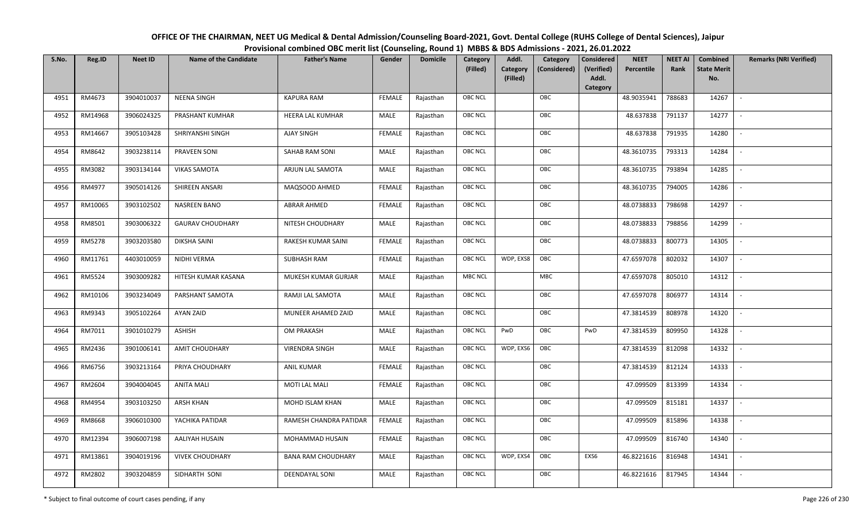| OFFICE OF THE CHAIRMAN, NEET UG Medical & Dental Admission/Counseling Board-2021, Govt. Dental College (RUHS College of Dental Sciences), Jaipur |
|--------------------------------------------------------------------------------------------------------------------------------------------------|
| Provisional combined OBC merit list (Counseling, Round 1) MBBS & BDS Admissions - 2021, 26.01.2022                                               |

| S.No. | Reg.ID  | <b>Neet ID</b> | <b>Name of the Candidate</b> | <b>Father's Name</b>      | Gender        | <b>Domicile</b> | Category<br>(Filled) | Addl.<br><b>Category</b><br>(Filled) | Category<br>(Considered) | <b>Considered</b><br>(Verified)<br>Addl. | <b>NEET</b><br>Percentile | <b>NEET AI</b><br>Rank | Combined<br><b>State Merit</b><br>No. | <b>Remarks (NRI Verified)</b> |
|-------|---------|----------------|------------------------------|---------------------------|---------------|-----------------|----------------------|--------------------------------------|--------------------------|------------------------------------------|---------------------------|------------------------|---------------------------------------|-------------------------------|
|       |         |                |                              |                           |               |                 |                      |                                      |                          | Category                                 |                           |                        |                                       |                               |
| 4951  | RM4673  | 3904010037     | <b>NEENA SINGH</b>           | <b>KAPURA RAM</b>         | <b>FEMALE</b> | Rajasthan       | <b>OBC NCL</b>       |                                      | OBC                      |                                          | 48.9035941                | 788683                 | 14267                                 | $\sim$                        |
| 4952  | RM14968 | 3906024325     | PRASHANT KUMHAR              | HEERA LAL KUMHAR          | MALE          | Rajasthan       | OBC NCL              |                                      | OBC                      |                                          | 48.637838                 | 791137                 | 14277                                 |                               |
| 4953  | RM14667 | 3905103428     | SHRIYANSHI SINGH             | <b>AJAY SINGH</b>         | <b>FEMALE</b> | Rajasthan       | <b>OBC NCL</b>       |                                      | OBC                      |                                          | 48.637838                 | 791935                 | 14280                                 |                               |
| 4954  | RM8642  | 3903238114     | PRAVEEN SONI                 | SAHAB RAM SONI            | MALE          | Rajasthan       | OBC NCL              |                                      | OBC                      |                                          | 48.3610735                | 793313                 | 14284                                 | $\overline{\phantom{a}}$      |
| 4955  | RM3082  | 3903134144     | <b>VIKAS SAMOTA</b>          | ARJUN LAL SAMOTA          | MALE          | Rajasthan       | <b>OBC NCL</b>       |                                      | OBC                      |                                          | 48.3610735                | 793894                 | 14285                                 | $\sim$                        |
| 4956  | RM4977  | 3905014126     | SHIREEN ANSARI               | MAQSOOD AHMED             | <b>FEMALE</b> | Rajasthan       | <b>OBC NCL</b>       |                                      | OBC                      |                                          | 48.3610735                | 794005                 | 14286                                 | $\sim$                        |
| 4957  | RM10065 | 3903102502     | <b>NASREEN BANO</b>          | <b>ABRAR AHMED</b>        | <b>FEMALE</b> | Rajasthan       | OBC NCL              |                                      | OBC                      |                                          | 48.0738833                | 798698                 | 14297                                 | $\overline{\phantom{a}}$      |
| 4958  | RM8501  | 3903006322     | <b>GAURAV CHOUDHARY</b>      | NITESH CHOUDHARY          | MALE          | Rajasthan       | OBC NCL              |                                      | OBC                      |                                          | 48.0738833                | 798856                 | 14299                                 |                               |
| 4959  | RM5278  | 3903203580     | <b>DIKSHA SAINI</b>          | RAKESH KUMAR SAINI        | <b>FEMALE</b> | Rajasthan       | <b>OBC NCL</b>       |                                      | OBC                      |                                          | 48.0738833                | 800773                 | 14305                                 |                               |
| 4960  | RM11761 | 4403010059     | NIDHI VERMA                  | <b>SUBHASH RAM</b>        | <b>FEMALE</b> | Rajasthan       | <b>OBC NCL</b>       | WDP, EXS8                            | OBC                      |                                          | 47.6597078                | 802032                 | 14307                                 | $\overline{\phantom{a}}$      |
| 4961  | RM5524  | 3903009282     | HITESH KUMAR KASANA          | MUKESH KUMAR GURJAR       | MALE          | Rajasthan       | <b>MBC NCL</b>       |                                      | <b>MBC</b>               |                                          | 47.6597078                | 805010                 | 14312                                 |                               |
| 4962  | RM10106 | 3903234049     | PARSHANT SAMOTA              | RAMJI LAL SAMOTA          | MALE          | Rajasthan       | OBC NCL              |                                      | OBC                      |                                          | 47.6597078                | 806977                 | 14314                                 | $\overline{\phantom{a}}$      |
| 4963  | RM9343  | 3905102264     | AYAN ZAID                    | MUNEER AHAMED ZAID        | MALE          | Rajasthan       | <b>OBC NCL</b>       |                                      | OBC                      |                                          | 47.3814539                | 808978                 | 14320                                 |                               |
| 4964  | RM7011  | 3901010279     | ASHISH                       | OM PRAKASH                | MALE          | Rajasthan       | OBC NCL              | PwD                                  | OBC                      | PwD                                      | 47.3814539                | 809950                 | 14328                                 | $\overline{\phantom{a}}$      |
| 4965  | RM2436  | 3901006141     | <b>AMIT CHOUDHARY</b>        | <b>VIRENDRA SINGH</b>     | <b>MALE</b>   | Rajasthan       | <b>OBC NCL</b>       | WDP, EXS6                            | OBC                      |                                          | 47.3814539                | 812098                 | 14332                                 | $\sim$                        |
| 4966  | RM6756  | 3903213164     | PRIYA CHOUDHARY              | <b>ANIL KUMAR</b>         | <b>FEMALE</b> | Rajasthan       | <b>OBC NCL</b>       |                                      | OBC                      |                                          | 47.3814539                | 812124                 | 14333                                 | $\sim$                        |
| 4967  | RM2604  | 3904004045     | <b>ANITA MALI</b>            | MOTI LAL MALI             | <b>FEMALE</b> | Rajasthan       | <b>OBC NCL</b>       |                                      | OBC                      |                                          | 47.099509                 | 813399                 | 14334                                 | $\overline{\phantom{a}}$      |
| 4968  | RM4954  | 3903103250     | <b>ARSH KHAN</b>             | MOHD ISLAM KHAN           | MALE          | Rajasthan       | OBC NCL              |                                      | OBC                      |                                          | 47.099509                 | 815181                 | 14337                                 |                               |
| 4969  | RM8668  | 3906010300     | YACHIKA PATIDAR              | RAMESH CHANDRA PATIDAR    | <b>FEMALE</b> | Rajasthan       | <b>OBC NCL</b>       |                                      | OBC                      |                                          | 47.099509                 | 815896                 | 14338                                 |                               |
| 4970  | RM12394 | 3906007198     | AALIYAH HUSAIN               | MOHAMMAD HUSAIN           | <b>FEMALE</b> | Rajasthan       | OBC NCL              |                                      | OBC                      |                                          | 47.099509                 | 816740                 | 14340                                 | $\blacksquare$                |
| 4971  | RM13861 | 3904019196     | <b>VIVEK CHOUDHARY</b>       | <b>BANA RAM CHOUDHARY</b> | <b>MALE</b>   | Rajasthan       | <b>OBC NCL</b>       | WDP, EXS4                            | OBC                      | EXS6                                     | 46.8221616                | 816948                 | 14341                                 | $\overline{\phantom{a}}$      |
| 4972  | RM2802  | 3903204859     | SIDHARTH SONI                | DEENDAYAL SONI            | MALE          | Rajasthan       | <b>OBC NCL</b>       |                                      | OBC                      |                                          | 46.8221616                | 817945                 | 14344                                 |                               |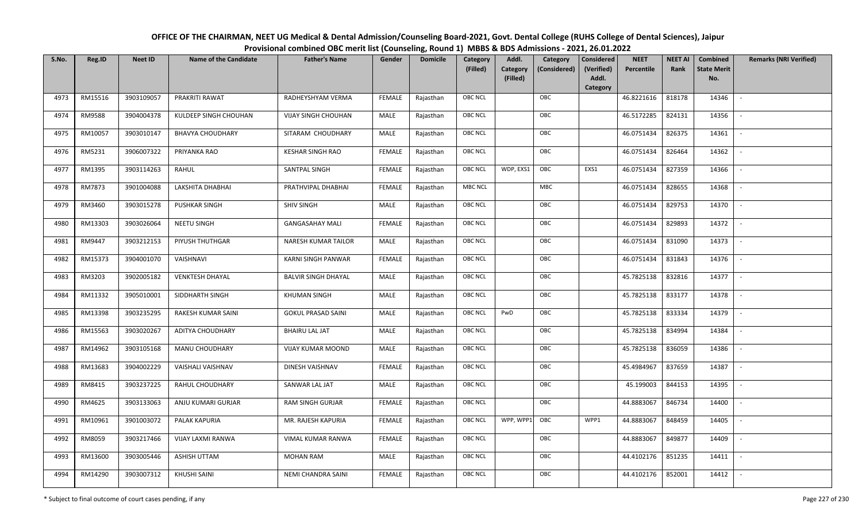OFFICE OF THE CHAIRMAN, NEET UG Medical & Dental Admission/Counseling Board-2021, Govt. Dental College (RUHS College of Dental Sciences), JaipurProvisional combined OBC merit list (Counseling, Round 1) MBBS & BDS Admissions - 2021, 26.01.2022

| S.No. | Reg.ID  | <b>Neet ID</b> | <b>Name of the Candidate</b> | <b>Father's Name</b>       | Gender        | <b>Domicile</b> | Category       | Addl.                | Category     | <b>Considered</b>   | <b>NEET</b> | <b>NEET AI</b> | Combined                  | <b>Remarks (NRI Verified)</b> |
|-------|---------|----------------|------------------------------|----------------------------|---------------|-----------------|----------------|----------------------|--------------|---------------------|-------------|----------------|---------------------------|-------------------------------|
|       |         |                |                              |                            |               |                 | (Filled)       | Category<br>(Filled) | (Considered) | (Verified)<br>Addl. | Percentile  | Rank           | <b>State Merit</b><br>No. |                               |
|       |         |                |                              |                            |               |                 |                |                      |              | Category            |             |                |                           |                               |
| 4973  | RM15516 | 3903109057     | PRAKRITI RAWAT               | RADHEYSHYAM VERMA          | <b>FEMALE</b> | Rajasthan       | <b>OBC NCL</b> |                      | OBC          |                     | 46.8221616  | 818178         | 14346                     | $\overline{\phantom{a}}$      |
| 4974  | RM9588  | 3904004378     | KULDEEP SINGH CHOUHAN        | <b>VIJAY SINGH CHOUHAN</b> | MALE          | Rajasthan       | OBC NCL        |                      | OBC          |                     | 46.5172285  | 824131         | 14356                     |                               |
| 4975  | RM10057 | 3903010147     | <b>BHAVYA CHOUDHARY</b>      | SITARAM CHOUDHARY          | MALE          | Rajasthan       | OBC NCL        |                      | OBC          |                     | 46.0751434  | 826375         | 14361                     | $\overline{\phantom{a}}$      |
| 4976  | RM5231  | 3906007322     | PRIYANKA RAO                 | <b>KESHAR SINGH RAO</b>    | <b>FEMALE</b> | Rajasthan       | OBC NCL        |                      | OBC          |                     | 46.0751434  | 826464         | 14362                     | $\overline{\phantom{a}}$      |
| 4977  | RM1395  | 3903114263     | RAHUL                        | SANTPAL SINGH              | <b>FEMALE</b> | Rajasthan       | OBC NCL        | WDP, EXS1            | OBC          | EXS1                | 46.0751434  | 827359         | 14366                     | $\sim$                        |
| 4978  | RM7873  | 3901004088     | LAKSHITA DHABHAI             | PRATHVIPAL DHABHAI         | <b>FEMALE</b> | Rajasthan       | <b>MBC NCL</b> |                      | MBC          |                     | 46.0751434  | 828655         | 14368                     | $\overline{\phantom{a}}$      |
| 4979  | RM3460  | 3903015278     | PUSHKAR SINGH                | <b>SHIV SINGH</b>          | MALE          | Rajasthan       | OBC NCL        |                      | OBC          |                     | 46.0751434  | 829753         | 14370                     | $\sim$                        |
| 4980  | RM13303 | 3903026064     | NEETU SINGH                  | <b>GANGASAHAY MALI</b>     | <b>FEMALE</b> | Rajasthan       | OBC NCL        |                      | OBC          |                     | 46.0751434  | 829893         | 14372                     | $\blacksquare$                |
| 4981  | RM9447  | 3903212153     | PIYUSH THUTHGAR              | NARESH KUMAR TAILOR        | MALE          | Rajasthan       | OBC NCL        |                      | OBC          |                     | 46.0751434  | 831090         | 14373                     | $\sim$                        |
| 4982  | RM15373 | 3904001070     | VAISHNAVI                    | <b>KARNI SINGH PANWAR</b>  | <b>FEMALE</b> | Rajasthan       | OBC NCL        |                      | OBC          |                     | 46.0751434  | 831843         | 14376                     | $\sim$                        |
| 4983  | RM3203  | 3902005182     | <b>VENKTESH DHAYAL</b>       | <b>BALVIR SINGH DHAYAL</b> | MALE          | Rajasthan       | OBC NCL        |                      | OBC          |                     | 45.7825138  | 832816         | 14377                     | $\overline{\phantom{a}}$      |
| 4984  | RM11332 | 3905010001     | SIDDHARTH SINGH              | <b>KHUMAN SINGH</b>        | MALE          | Rajasthan       | <b>OBC NCL</b> |                      | OBC          |                     | 45.7825138  | 833177         | 14378                     | $\overline{\phantom{a}}$      |
| 4985  | RM13398 | 3903235295     | RAKESH KUMAR SAINI           | <b>GOKUL PRASAD SAINI</b>  | MALE          | Rajasthan       | <b>OBC NCL</b> | PwD                  | OBC          |                     | 45.7825138  | 833334         | 14379                     |                               |
| 4986  | RM15563 | 3903020267     | ADITYA CHOUDHARY             | <b>BHAIRU LAL JAT</b>      | MALE          | Rajasthan       | OBC NCL        |                      | OBC          |                     | 45.7825138  | 834994         | 14384                     | $\overline{\phantom{a}}$      |
| 4987  | RM14962 | 3903105168     | <b>MANU CHOUDHARY</b>        | <b>VIJAY KUMAR MOOND</b>   | <b>MALE</b>   | Rajasthan       | OBC NCL        |                      | OBC          |                     | 45.7825138  | 836059         | 14386                     | $\sim$                        |
| 4988  | RM13683 | 3904002229     | VAISHALI VAISHNAV            | DINESH VAISHNAV            | <b>FEMALE</b> | Rajasthan       | OBC NCL        |                      | OBC          |                     | 45.4984967  | 837659         | 14387                     | $\overline{\phantom{a}}$      |
| 4989  | RM8415  | 3903237225     | RAHUL CHOUDHARY              | SANWAR LAL JAT             | MALE          | Rajasthan       | <b>OBC NCL</b> |                      | OBC          |                     | 45.199003   | 844153         | 14395                     | $\overline{\phantom{a}}$      |
| 4990  | RM4625  | 3903133063     | ANJU KUMARI GURJAR           | RAM SINGH GURJAR           | <b>FEMALE</b> | Rajasthan       | OBC NCL        |                      | OBC          |                     | 44.8883067  | 846734         | 14400                     | $\sim$                        |
| 4991  | RM10961 | 3901003072     | PALAK KAPURIA                | MR. RAJESH KAPURIA         | <b>FEMALE</b> | Rajasthan       | <b>OBC NCL</b> | WPP, WPP1            | OBC          | WPP1                | 44.8883067  | 848459         | 14405                     | $\blacksquare$                |
| 4992  | RM8059  | 3903217466     | VIJAY LAXMI RANWA            | VIMAL KUMAR RANWA          | <b>FEMALE</b> | Rajasthan       | OBC NCL        |                      | OBC          |                     | 44.8883067  | 849877         | 14409                     | $\overline{\phantom{a}}$      |
| 4993  | RM13600 | 3903005446     | ASHISH UTTAM                 | <b>MOHAN RAM</b>           | MALE          | Rajasthan       | OBC NCL        |                      | OBC          |                     | 44.4102176  | 851235         | 14411                     | $\sim$                        |
| 4994  | RM14290 | 3903007312     | <b>KHUSHI SAINI</b>          | NEMI CHANDRA SAINI         | <b>FEMALE</b> | Rajasthan       | <b>OBC NCL</b> |                      | OBC          |                     | 44.4102176  | 852001         | 14412                     | $\blacksquare$                |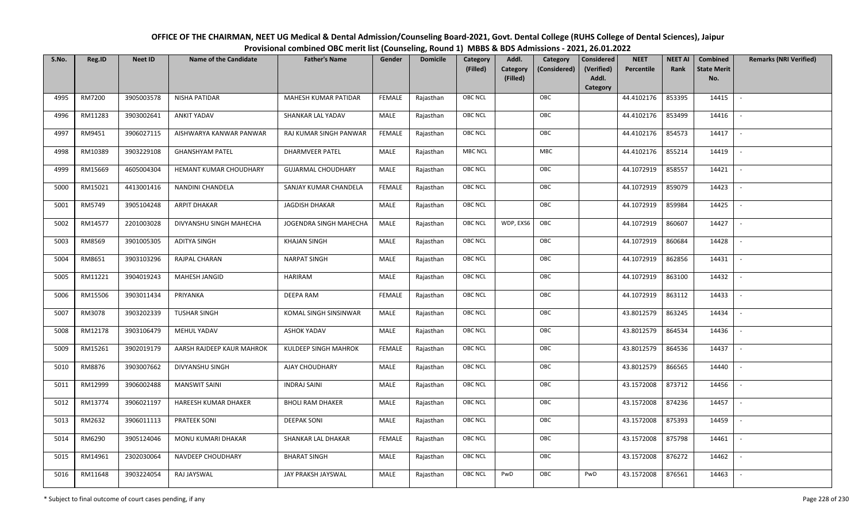| OFFICE OF THE CHAIRMAN, NEET UG Medical & Dental Admission/Counseling Board-2021, Govt. Dental College (RUHS College of Dental Sciences), Jaipur |
|--------------------------------------------------------------------------------------------------------------------------------------------------|
| Provisional combined OBC merit list (Counseling, Round 1) MBBS & BDS Admissions - 2021, 26.01.2022                                               |

| S.No. | Reg.ID  | <b>Neet ID</b> | <b>Name of the Candidate</b> | <b>Father's Name</b>      | Gender        | <b>Domicile</b> | Category<br>(Filled) | Addl.<br>Category<br>(Filled) | Category<br>(Considered) | <b>Considered</b><br>(Verified)<br>Addl. | <b>NEET</b><br>Percentile | <b>NEET AI</b><br>Rank | Combined<br><b>State Merit</b><br>No. | <b>Remarks (NRI Verified)</b> |
|-------|---------|----------------|------------------------------|---------------------------|---------------|-----------------|----------------------|-------------------------------|--------------------------|------------------------------------------|---------------------------|------------------------|---------------------------------------|-------------------------------|
|       |         |                |                              |                           |               |                 |                      |                               |                          | Category                                 |                           |                        |                                       |                               |
| 4995  | RM7200  | 3905003578     | <b>NISHA PATIDAR</b>         | MAHESH KUMAR PATIDAR      | <b>FEMALE</b> | Rajasthan       | OBC NCL              |                               | OBC                      |                                          | 44.4102176                | 853395                 | 14415                                 | $\mathbb{L}$                  |
| 4996  | RM11283 | 3903002641     | <b>ANKIT YADAV</b>           | SHANKAR LAL YADAV         | MALE          | Rajasthan       | OBC NCL              |                               | OBC                      |                                          | 44.4102176                | 853499                 | 14416                                 |                               |
| 4997  | RM9451  | 3906027115     | AISHWARYA KANWAR PANWAR      | RAJ KUMAR SINGH PANWAR    | <b>FEMALE</b> | Rajasthan       | <b>OBC NCL</b>       |                               | OBC                      |                                          | 44.4102176                | 854573                 | 14417                                 | $\overline{\phantom{a}}$      |
| 4998  | RM10389 | 3903229108     | <b>GHANSHYAM PATEL</b>       | <b>DHARMVEER PATEL</b>    | MALE          | Rajasthan       | MBC NCL              |                               | MBC                      |                                          | 44.4102176                | 855214                 | 14419                                 | $\overline{\phantom{a}}$      |
| 4999  | RM15669 | 4605004304     | HEMANT KUMAR CHOUDHARY       | <b>GUJARMAL CHOUDHARY</b> | MALE          | Rajasthan       | OBC NCL              |                               | OBC                      |                                          | 44.1072919                | 858557                 | 14421                                 | $\overline{\phantom{a}}$      |
| 5000  | RM15021 | 4413001416     | NANDINI CHANDELA             | SANJAY KUMAR CHANDELA     | <b>FEMALE</b> | Rajasthan       | OBC NCL              |                               | OBC                      |                                          | 44.1072919                | 859079                 | 14423                                 | $\sim$                        |
| 5001  | RM5749  | 3905104248     | <b>ARPIT DHAKAR</b>          | JAGDISH DHAKAR            | <b>MALE</b>   | Rajasthan       | OBC NCL              |                               | OBC                      |                                          | 44.1072919                | 859984                 | 14425                                 | $\sim$                        |
| 5002  | RM14577 | 2201003028     | DIVYANSHU SINGH MAHECHA      | JOGENDRA SINGH MAHECHA    | MALE          | Rajasthan       | OBC NCL              | WDP, EXS6                     | OBC                      |                                          | 44.1072919                | 860607                 | 14427                                 |                               |
| 5003  | RM8569  | 3901005305     | <b>ADITYA SINGH</b>          | <b>KHAJAN SINGH</b>       | MALE          | Rajasthan       | OBC NCL              |                               | OBC                      |                                          | 44.1072919                | 860684                 | 14428                                 |                               |
| 5004  | RM8651  | 3903103296     | RAJPAL CHARAN                | <b>NARPAT SINGH</b>       | MALE          | Rajasthan       | OBC NCL              |                               | OBC                      |                                          | 44.1072919                | 862856                 | 14431                                 | $\overline{\phantom{a}}$      |
| 5005  | RM11221 | 3904019243     | MAHESH JANGID                | HARIRAM                   | MALE          | Rajasthan       | OBC NCL              |                               | OBC                      |                                          | 44.1072919                | 863100                 | 14432                                 |                               |
| 5006  | RM15506 | 3903011434     | PRIYANKA                     | <b>DEEPA RAM</b>          | <b>FEMALE</b> | Rajasthan       | <b>OBC NCL</b>       |                               | OBC                      |                                          | 44.1072919                | 863112                 | 14433                                 | $\overline{\phantom{a}}$      |
| 5007  | RM3078  | 3903202339     | <b>TUSHAR SINGH</b>          | KOMAL SINGH SINSINWAR     | MALE          | Rajasthan       | OBC NCL              |                               | OBC                      |                                          | 43.8012579                | 863245                 | 14434                                 |                               |
| 5008  | RM12178 | 3903106479     | MEHUL YADAV                  | <b>ASHOK YADAV</b>        | MALE          | Rajasthan       | <b>OBC NCL</b>       |                               | OBC                      |                                          | 43.8012579                | 864534                 | 14436                                 |                               |
| 5009  | RM15261 | 3902019179     | AARSH RAJDEEP KAUR MAHROK    | KULDEEP SINGH MAHROK      | <b>FEMALE</b> | Rajasthan       | OBC NCL              |                               | OBC                      |                                          | 43.8012579                | 864536                 | 14437                                 | $\overline{\phantom{a}}$      |
| 5010  | RM8876  | 3903007662     | DIVYANSHU SINGH              | AJAY CHOUDHARY            | MALE          | Rajasthan       | OBC NCL              |                               | OBC                      |                                          | 43.8012579                | 866565                 | 14440                                 | $\overline{a}$                |
| 5011  | RM12999 | 3906002488     | <b>MANSWIT SAINI</b>         | <b>INDRAJ SAINI</b>       | MALE          | Rajasthan       | OBC NCL              |                               | OBC                      |                                          | 43.1572008                | 873712                 | 14456                                 | $\sim$                        |
| 5012  | RM13774 | 3906021197     | HAREESH KUMAR DHAKER         | <b>BHOLI RAM DHAKER</b>   | MALE          | Rajasthan       | OBC NCL              |                               | OBC                      |                                          | 43.1572008                | 874236                 | 14457                                 | $\overline{\phantom{a}}$      |
| 5013  | RM2632  | 3906011113     | PRATEEK SONI                 | <b>DEEPAK SONI</b>        | MALE          | Rajasthan       | OBC NCL              |                               | OBC                      |                                          | 43.1572008                | 875393                 | 14459                                 |                               |
| 5014  | RM6290  | 3905124046     | MONU KUMARI DHAKAR           | SHANKAR LAL DHAKAR        | <b>FEMALE</b> | Rajasthan       | OBC NCL              |                               | OBC                      |                                          | 43.1572008                | 875798                 | 14461                                 |                               |
| 5015  | RM14961 | 2302030064     | NAVDEEP CHOUDHARY            | <b>BHARAT SINGH</b>       | <b>MALE</b>   | Rajasthan       | OBC NCL              |                               | OBC                      |                                          | 43.1572008                | 876272                 | 14462                                 | $\overline{\phantom{a}}$      |
| 5016  | RM11648 | 3903224054     | RAJ JAYSWAL                  | JAY PRAKSH JAYSWAL        | MALE          | Rajasthan       | <b>OBC NCL</b>       | PwD                           | OBC                      | PwD                                      | 43.1572008                | 876561                 | 14463                                 |                               |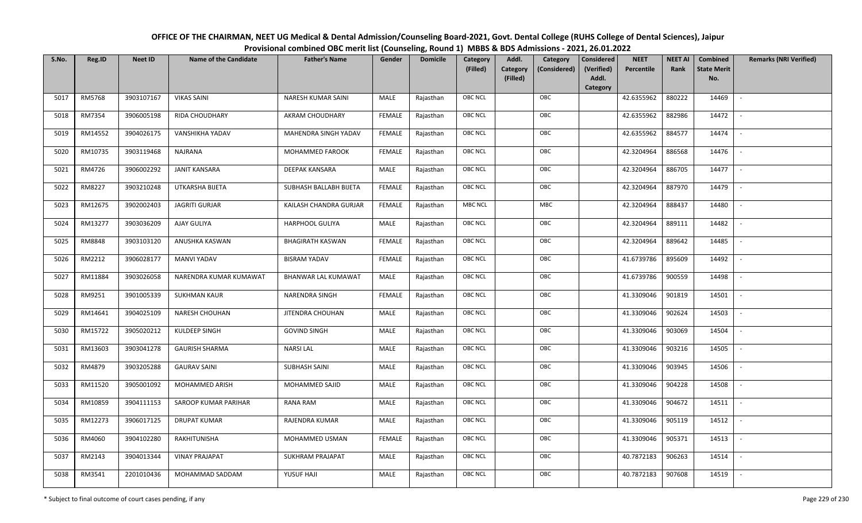| OFFICE OF THE CHAIRMAN, NEET UG Medical & Dental Admission/Counseling Board-2021, Govt. Dental College (RUHS College of Dental Sciences), Jaipur |
|--------------------------------------------------------------------------------------------------------------------------------------------------|
| Provisional combined OBC merit list (Counseling, Round 1) MBBS & BDS Admissions - 2021, 26.01.2022                                               |

| S.No. | Reg.ID  | <b>Neet ID</b> | <b>Name of the Candidate</b> | <b>Father's Name</b>       | Gender        | <b>Domicile</b> | Category<br>(Filled) | Addl.<br>Category<br>(Filled) | Category<br>(Considered) | <b>Considered</b><br>(Verified)<br>Addl. | <b>NEET</b><br>Percentile | <b>NEET AI</b><br>Rank | Combined<br><b>State Merit</b><br>No. | <b>Remarks (NRI Verified)</b> |
|-------|---------|----------------|------------------------------|----------------------------|---------------|-----------------|----------------------|-------------------------------|--------------------------|------------------------------------------|---------------------------|------------------------|---------------------------------------|-------------------------------|
|       |         |                |                              |                            |               |                 |                      |                               |                          | Category                                 |                           |                        |                                       |                               |
| 5017  | RM5768  | 3903107167     | <b>VIKAS SAINI</b>           | NARESH KUMAR SAINI         | MALE          | Rajasthan       | OBC NCL              |                               | OBC                      |                                          | 42.6355962                | 880222                 | 14469                                 | $\blacksquare$                |
| 5018  | RM7354  | 3906005198     | RIDA CHOUDHARY               | AKRAM CHOUDHARY            | <b>FEMALE</b> | Rajasthan       | OBC NCL              |                               | OBC                      |                                          | 42.6355962                | 882986                 | 14472                                 |                               |
| 5019  | RM14552 | 3904026175     | VANSHIKHA YADAV              | MAHENDRA SINGH YADAV       | <b>FEMALE</b> | Rajasthan       | <b>OBC NCL</b>       |                               | OBC                      |                                          | 42.6355962                | 884577                 | 14474                                 | $\sim$                        |
| 5020  | RM10735 | 3903119468     | NAJRANA                      | MOHAMMED FAROOK            | <b>FEMALE</b> | Rajasthan       | OBC NCL              |                               | OBC                      |                                          | 42.3204964                | 886568                 | 14476                                 | $\overline{\phantom{a}}$      |
| 5021  | RM4726  | 3906002292     | <b>JANIT KANSARA</b>         | <b>DEEPAK KANSARA</b>      | MALE          | Rajasthan       | OBC NCL              |                               | OBC                      |                                          | 42.3204964                | 886705                 | 14477                                 | $\sim$                        |
| 5022  | RM8227  | 3903210248     | UTKARSHA BIJETA              | SUBHASH BALLABH BIJETA     | <b>FEMALE</b> | Rajasthan       | OBC NCL              |                               | OBC                      |                                          | 42.3204964                | 887970                 | 14479                                 | $\overline{\phantom{a}}$      |
| 5023  | RM12675 | 3902002403     | <b>JAGRITI GURJAR</b>        | KAILASH CHANDRA GURJAR     | <b>FEMALE</b> | Rajasthan       | <b>MBC NCL</b>       |                               | <b>MBC</b>               |                                          | 42.3204964                | 888437                 | 14480                                 | $\overline{\phantom{a}}$      |
| 5024  | RM13277 | 3903036209     | AJAY GULIYA                  | HARPHOOL GULIYA            | MALE          | Rajasthan       | OBC NCL              |                               | OBC                      |                                          | 42.3204964                | 889111                 | 14482                                 |                               |
| 5025  | RM8848  | 3903103120     | ANUSHKA KASWAN               | <b>BHAGIRATH KASWAN</b>    | <b>FEMALE</b> | Rajasthan       | OBC NCL              |                               | OBC                      |                                          | 42.3204964                | 889642                 | 14485                                 |                               |
| 5026  | RM2212  | 3906028177     | <b>MANVI YADAV</b>           | <b>BISRAM YADAV</b>        | <b>FEMALE</b> | Rajasthan       | OBC NCL              |                               | OBC                      |                                          | 41.6739786                | 895609                 | 14492                                 | $\overline{\phantom{a}}$      |
| 5027  | RM11884 | 3903026058     | NARENDRA KUMAR KUMAWAT       | <b>BHANWAR LAL KUMAWAT</b> | MALE          | Rajasthan       | <b>OBC NCL</b>       |                               | OBC                      |                                          | 41.6739786                | 900559                 | 14498                                 |                               |
| 5028  | RM9251  | 3901005339     | <b>SUKHMAN KAUR</b>          | <b>NARENDRA SINGH</b>      | <b>FEMALE</b> | Rajasthan       | OBC NCL              |                               | OBC                      |                                          | 41.3309046                | 901819                 | 14501                                 |                               |
| 5029  | RM14641 | 3904025109     | <b>NARESH CHOUHAN</b>        | JITENDRA CHOUHAN           | MALE          | Rajasthan       | OBC NCL              |                               | OBC                      |                                          | 41.3309046                | 902624                 | 14503                                 |                               |
| 5030  | RM15722 | 3905020212     | KULDEEP SINGH                | <b>GOVIND SINGH</b>        | MALE          | Rajasthan       | OBC NCL              |                               | OBC                      |                                          | 41.3309046                | 903069                 | 14504                                 | $\sim$                        |
| 5031  | RM13603 | 3903041278     | <b>GAURISH SHARMA</b>        | <b>NARSILAL</b>            | <b>MALE</b>   | Rajasthan       | OBC NCL              |                               | OBC                      |                                          | 41.3309046                | 903216                 | 14505                                 | $\sim$                        |
| 5032  | RM4879  | 3903205288     | <b>GAURAV SAINI</b>          | <b>SUBHASH SAINI</b>       | MALE          | Rajasthan       | OBC NCL              |                               | OBC                      |                                          | 41.3309046                | 903945                 | 14506                                 | $\sim$                        |
| 5033  | RM11520 | 3905001092     | MOHAMMED ARISH               | MOHAMMED SAJID             | MALE          | Rajasthan       | OBC NCL              |                               | OBC                      |                                          | 41.3309046                | 904228                 | 14508                                 | $\overline{\phantom{a}}$      |
| 5034  | RM10859 | 3904111153     | SAROOP KUMAR PARIHAR         | RANA RAM                   | MALE          | Rajasthan       | OBC NCL              |                               | OBC                      |                                          | 41.3309046                | 904672                 | 14511                                 |                               |
| 5035  | RM12273 | 3906017125     | <b>DRUPAT KUMAR</b>          | RAJENDRA KUMAR             | <b>MALE</b>   | Rajasthan       | <b>OBC NCL</b>       |                               | OBC                      |                                          | 41.3309046                | 905119                 | 14512                                 |                               |
| 5036  | RM4060  | 3904102280     | RAKHITUNISHA                 | MOHAMMED USMAN             | <b>FEMALE</b> | Rajasthan       | OBC NCL              |                               | OBC                      |                                          | 41.3309046                | 905371                 | 14513                                 | $\blacksquare$                |
| 5037  | RM2143  | 3904013344     | <b>VINAY PRAJAPAT</b>        | SUKHRAM PRAJAPAT           | <b>MALE</b>   | Rajasthan       | OBC NCL              |                               | OBC                      |                                          | 40.7872183                | 906263                 | 14514                                 | $\overline{\phantom{a}}$      |
| 5038  | RM3541  | 2201010436     | MOHAMMAD SADDAM              | YUSUF HAJI                 | MALE          | Rajasthan       | OBC NCL              |                               | OBC                      |                                          | 40.7872183                | 907608                 | 14519                                 |                               |